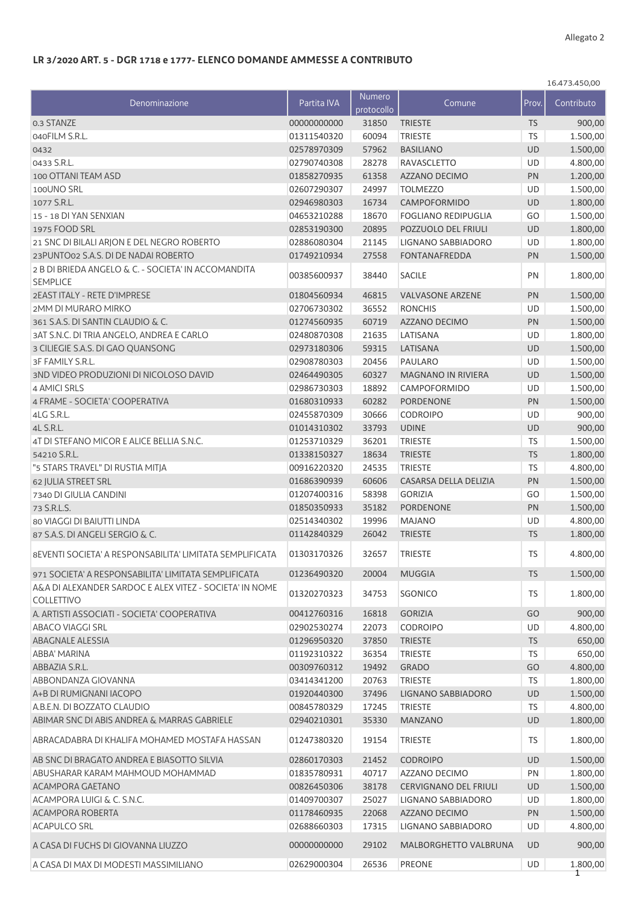## **LR 3/2020 ART. 5 - DGR 1718 e 1777- ELENCO DOMANDE AMMESSE A CONTRIBUTO**

| Numero<br>Denominazione<br>Partita IVA<br>Comune<br>Prov.<br>Contributo<br>protocollo<br>00000000000<br>31850<br><b>TRIESTE</b><br><b>TS</b><br>900,00<br>0.3 STANZE<br>60094<br><b>TRIESTE</b><br>TS<br>01311540320<br>1.500,00<br>040FILM S.R.L.<br>1.500,00<br>02578970309<br>57962<br><b>BASILIANO</b><br>UD<br>0432<br>0433 S.R.L.<br>02790740308<br>28278<br><b>RAVASCLETTO</b><br>UD<br>4.800,00<br>01858270935<br>61358<br><b>AZZANO DECIMO</b><br>PN<br>1.200,00<br>100 OTTANI TEAM ASD<br>24997<br>UD<br>100UNO SRL<br>02607290307<br><b>TOLMEZZO</b><br>1.500,00<br>02946980303<br>16734<br>CAMPOFORMIDO<br>UD<br>1.800,00<br>1077 S.R.L.<br>18670<br>15 - 18 DI YAN SENXIAN<br>04653210288<br><b>FOGLIANO REDIPUGLIA</b><br>GO<br>1.500,00<br>1975 FOOD SRL<br>02853190300<br>20895<br>POZZUOLO DEL FRIULI<br>UD<br>1.800,00<br>21 SNC DI BILALI ARJON E DEL NEGRO ROBERTO<br>UD<br>1.800,00<br>02886080304<br>21145<br>LIGNANO SABBIADORO<br>23 PUNTO02 S.A.S. DI DE NADAI ROBERTO<br>27558<br>PN<br>1.500,00<br>01749210934<br>FONTANAFREDDA<br>2 B DI BRIEDA ANGELO & C. - SOCIETA' IN ACCOMANDITA<br>00385600937<br>38440<br><b>SACILE</b><br>PN<br>1.800,00<br><b>SEMPLICE</b><br>2EAST ITALY - RETE D'IMPRESE<br>01804560934<br>46815<br><b>VALVASONE ARZENE</b><br>PN<br>1.500,00<br>2MM DI MURARO MIRKO<br>02706730302<br>36552<br><b>RONCHIS</b><br>UD<br>1.500,00<br>60719<br>PN<br>361 S.A.S. DI SANTIN CLAUDIO & C.<br>01274560935<br>AZZANO DECIMO<br>1.500,00<br>3AT S.N.C. DI TRIA ANGELO, ANDREA E CARLO<br>1.800,00<br>02480870308<br>21635<br>LATISANA<br>UD<br>59315<br>1.500,00<br>3 CILIEGIE S.A.S. DI GAO QUANSONG<br>02973180306<br>LATISANA<br>UD<br>UD<br>3F FAMILY S.R.L.<br>02908780303<br>20456<br>PAULARO<br>1.500,00<br>3ND VIDEO PRODUZIONI DI NICOLOSO DAVID<br>60327<br>02464490305<br><b>MAGNANO IN RIVIERA</b><br><b>UD</b><br>1.500,00<br>4 AMICI SRLS<br>UD<br>02986730303<br>18892<br>CAMPOFORMIDO<br>1.500,00<br>4 FRAME - SOCIETA' COOPERATIVA<br>60282<br>01680310933<br><b>PORDENONE</b><br>PN<br>1.500,00<br>4LG S.R.L.<br>30666<br>UD<br>900,00<br>02455870309<br><b>CODROIPO</b><br>4L S.R.L.<br>01014310302<br>33793<br><b>UDINE</b><br><b>UD</b><br>900,00<br>4T DI STEFANO MICOR E ALICE BELLIA S.N.C.<br>36201<br>TS<br>1.500,00<br>01253710329<br><b>TRIESTE</b><br>TS<br>54210 S.R.L.<br>01338150327<br>18634<br>1.800,00<br><b>TRIESTE</b><br>"5 STARS TRAVEL" DI RUSTIA MITJA<br>TS<br>00916220320<br>24535<br><b>TRIESTE</b><br>4.800,00<br>62 JULIA STREET SRL<br>01686390939<br>60606<br>CASARSA DELLA DELIZIA<br>PN<br>1.500,00<br>7340 DI GIULIA CANDINI<br>01207400316<br>58398<br><b>GORIZIA</b><br>GO<br>1.500,00<br>73 S.R.L.S.<br>01850350933<br>35182<br><b>PORDENONE</b><br>PN<br>1.500,00<br>02514340302<br>19996<br><b>MAJANO</b><br>UD<br>4.800,00<br>80 VIAGGI DI BAIUTTI LINDA<br>26042<br><b>TS</b><br>1.800,00<br>87 S.A.S. DI ANGELI SERGIO & C.<br>01142840329<br><b>TRIESTE</b><br>8EVENTI SOCIETA' A RESPONSABILITA' LIMITATA SEMPLIFICATA<br>4.800,00<br>01303170326<br>32657<br><b>TRIESTE</b><br><b>TS</b><br>20004<br><b>TS</b><br>1.500,00<br>971 SOCIETA' A RESPONSABILITA' LIMITATA SEMPLIFICATA<br>01236490320<br><b>MUGGIA</b><br>A&A DI ALEXANDER SARDOC E ALEX VITEZ - SOCIETA' IN NOME<br>01320270323<br>34753<br>SGONICO<br>TS<br>1.800,00<br><b>COLLETTIVO</b><br>GO<br>900,00<br>A. ARTISTI ASSOCIATI - SOCIETA' COOPERATIVA<br>00412760316<br>16818<br><b>GORIZIA</b><br>UD<br><b>ABACO VIAGGI SRL</b><br>02902530274<br>22073<br><b>CODROIPO</b><br>4.800,00<br>01296950320<br>37850<br><b>TRIESTE</b><br><b>TS</b><br>650,00<br><b>ABAGNALE ALESSIA</b><br>36354<br><b>TS</b><br>ABBA' MARINA<br>01192310322<br><b>TRIESTE</b><br>650,00<br>GO<br>4.800,00<br>ABBAZIA S.R.L.<br>00309760312<br>19492<br><b>GRADO</b><br>ABBONDANZA GIOVANNA<br>20763<br><b>TS</b><br>1.800,00<br>03414341200<br><b>TRIESTE</b><br>1.500,00<br>A+B DI RUMIGNANI IACOPO<br>01920440300<br>37496<br><b>LIGNANO SABBIADORO</b><br>UD<br>A.B.E.N. DI BOZZATO CLAUDIO<br>00845780329<br>17245<br><b>TRIESTE</b><br>TS<br>4.800,00<br>ABIMAR SNC DI ABIS ANDREA & MARRAS GABRIELE<br>35330<br>UD<br>1.800,00<br>02940210301<br><b>MANZANO</b><br><b>TS</b><br>1.800,00<br>ABRACADABRA DI KHALIFA MOHAMED MOSTAFA HASSAN<br>01247380320<br>19154<br><b>TRIESTE</b><br>AB SNC DI BRAGATO ANDREA E BIASOTTO SILVIA<br>02860170303<br>21452<br><b>CODROIPO</b><br>UD<br>1.500,00<br>PN<br>1.800,00<br>ABUSHARAR KARAM MAHMOUD MOHAMMAD<br>01835780931<br>40717<br>AZZANO DECIMO<br>1.500,00<br>ACAMPORA GAETANO<br>00826450306<br>38178<br>UD<br><b>CERVIGNANO DEL FRIULI</b><br>ACAMPORA LUIGI & C. S.N.C.<br>01409700307<br>25027<br>LIGNANO SABBIADORO<br>UD<br>1.800,00<br>ACAMPORA ROBERTA<br>01178460935<br>22068<br>AZZANO DECIMO<br>PN<br>1.500,00<br>ACAPULCO SRL<br>02688660303<br>17315<br>LIGNANO SABBIADORO<br>UD<br>4.800,00<br>A CASA DI FUCHS DI GIOVANNA LIUZZO<br>00000000000<br>29102<br><b>UD</b><br>900,00<br>MALBORGHETTO VALBRUNA<br>A CASA DI MAX DI MODESTI MASSIMILIANO<br>02629000304<br>26536<br><b>PREONE</b><br>UD<br>1.800,00 |  |  | 16.473.450,00 |
|---------------------------------------------------------------------------------------------------------------------------------------------------------------------------------------------------------------------------------------------------------------------------------------------------------------------------------------------------------------------------------------------------------------------------------------------------------------------------------------------------------------------------------------------------------------------------------------------------------------------------------------------------------------------------------------------------------------------------------------------------------------------------------------------------------------------------------------------------------------------------------------------------------------------------------------------------------------------------------------------------------------------------------------------------------------------------------------------------------------------------------------------------------------------------------------------------------------------------------------------------------------------------------------------------------------------------------------------------------------------------------------------------------------------------------------------------------------------------------------------------------------------------------------------------------------------------------------------------------------------------------------------------------------------------------------------------------------------------------------------------------------------------------------------------------------------------------------------------------------------------------------------------------------------------------------------------------------------------------------------------------------------------------------------------------------------------------------------------------------------------------------------------------------------------------------------------------------------------------------------------------------------------------------------------------------------------------------------------------------------------------------------------------------------------------------------------------------------------------------------------------------------------------------------------------------------------------------------------------------------------------------------------------------------------------------------------------------------------------------------------------------------------------------------------------------------------------------------------------------------------------------------------------------------------------------------------------------------------------------------------------------------------------------------------------------------------------------------------------------------------------------------------------------------------------------------------------------------------------------------------------------------------------------------------------------------------------------------------------------------------------------------------------------------------------------------------------------------------------------------------------------------------------------------------------------------------------------------------------------------------------------------------------------------------------------------------------------------------------------------------------------------------------------------------------------------------------------------------------------------------------------------------------------------------------------------------------------------------------------------------------------------------------------------------------------------------------------------------------------------------------------------------------------------------------------------------------------------------------------------------------------------------------------------------------------------------------------------------------------------------------------------------------------------------------------------------------------------------------------------------------------------------------------------------------------------------------------------------------------------------------------------------------------------------------------------------------------------------------------------------------------------------------------------------------------------------------------------------------------------------------------------------------------------------------------------------------------------------------------------------------------------------------------------------------------------------------------------------------------------------------------------|--|--|---------------|
|                                                                                                                                                                                                                                                                                                                                                                                                                                                                                                                                                                                                                                                                                                                                                                                                                                                                                                                                                                                                                                                                                                                                                                                                                                                                                                                                                                                                                                                                                                                                                                                                                                                                                                                                                                                                                                                                                                                                                                                                                                                                                                                                                                                                                                                                                                                                                                                                                                                                                                                                                                                                                                                                                                                                                                                                                                                                                                                                                                                                                                                                                                                                                                                                                                                                                                                                                                                                                                                                                                                                                                                                                                                                                                                                                                                                                                                                                                                                                                                                                                                                                                                                                                                                                                                                                                                                                                                                                                                                                                                                                                                                                                                                                                                                                                                                                                                                                                                                                                                                                                                                                                                                             |  |  |               |
|                                                                                                                                                                                                                                                                                                                                                                                                                                                                                                                                                                                                                                                                                                                                                                                                                                                                                                                                                                                                                                                                                                                                                                                                                                                                                                                                                                                                                                                                                                                                                                                                                                                                                                                                                                                                                                                                                                                                                                                                                                                                                                                                                                                                                                                                                                                                                                                                                                                                                                                                                                                                                                                                                                                                                                                                                                                                                                                                                                                                                                                                                                                                                                                                                                                                                                                                                                                                                                                                                                                                                                                                                                                                                                                                                                                                                                                                                                                                                                                                                                                                                                                                                                                                                                                                                                                                                                                                                                                                                                                                                                                                                                                                                                                                                                                                                                                                                                                                                                                                                                                                                                                                             |  |  |               |
|                                                                                                                                                                                                                                                                                                                                                                                                                                                                                                                                                                                                                                                                                                                                                                                                                                                                                                                                                                                                                                                                                                                                                                                                                                                                                                                                                                                                                                                                                                                                                                                                                                                                                                                                                                                                                                                                                                                                                                                                                                                                                                                                                                                                                                                                                                                                                                                                                                                                                                                                                                                                                                                                                                                                                                                                                                                                                                                                                                                                                                                                                                                                                                                                                                                                                                                                                                                                                                                                                                                                                                                                                                                                                                                                                                                                                                                                                                                                                                                                                                                                                                                                                                                                                                                                                                                                                                                                                                                                                                                                                                                                                                                                                                                                                                                                                                                                                                                                                                                                                                                                                                                                             |  |  |               |
|                                                                                                                                                                                                                                                                                                                                                                                                                                                                                                                                                                                                                                                                                                                                                                                                                                                                                                                                                                                                                                                                                                                                                                                                                                                                                                                                                                                                                                                                                                                                                                                                                                                                                                                                                                                                                                                                                                                                                                                                                                                                                                                                                                                                                                                                                                                                                                                                                                                                                                                                                                                                                                                                                                                                                                                                                                                                                                                                                                                                                                                                                                                                                                                                                                                                                                                                                                                                                                                                                                                                                                                                                                                                                                                                                                                                                                                                                                                                                                                                                                                                                                                                                                                                                                                                                                                                                                                                                                                                                                                                                                                                                                                                                                                                                                                                                                                                                                                                                                                                                                                                                                                                             |  |  |               |
|                                                                                                                                                                                                                                                                                                                                                                                                                                                                                                                                                                                                                                                                                                                                                                                                                                                                                                                                                                                                                                                                                                                                                                                                                                                                                                                                                                                                                                                                                                                                                                                                                                                                                                                                                                                                                                                                                                                                                                                                                                                                                                                                                                                                                                                                                                                                                                                                                                                                                                                                                                                                                                                                                                                                                                                                                                                                                                                                                                                                                                                                                                                                                                                                                                                                                                                                                                                                                                                                                                                                                                                                                                                                                                                                                                                                                                                                                                                                                                                                                                                                                                                                                                                                                                                                                                                                                                                                                                                                                                                                                                                                                                                                                                                                                                                                                                                                                                                                                                                                                                                                                                                                             |  |  |               |
|                                                                                                                                                                                                                                                                                                                                                                                                                                                                                                                                                                                                                                                                                                                                                                                                                                                                                                                                                                                                                                                                                                                                                                                                                                                                                                                                                                                                                                                                                                                                                                                                                                                                                                                                                                                                                                                                                                                                                                                                                                                                                                                                                                                                                                                                                                                                                                                                                                                                                                                                                                                                                                                                                                                                                                                                                                                                                                                                                                                                                                                                                                                                                                                                                                                                                                                                                                                                                                                                                                                                                                                                                                                                                                                                                                                                                                                                                                                                                                                                                                                                                                                                                                                                                                                                                                                                                                                                                                                                                                                                                                                                                                                                                                                                                                                                                                                                                                                                                                                                                                                                                                                                             |  |  |               |
|                                                                                                                                                                                                                                                                                                                                                                                                                                                                                                                                                                                                                                                                                                                                                                                                                                                                                                                                                                                                                                                                                                                                                                                                                                                                                                                                                                                                                                                                                                                                                                                                                                                                                                                                                                                                                                                                                                                                                                                                                                                                                                                                                                                                                                                                                                                                                                                                                                                                                                                                                                                                                                                                                                                                                                                                                                                                                                                                                                                                                                                                                                                                                                                                                                                                                                                                                                                                                                                                                                                                                                                                                                                                                                                                                                                                                                                                                                                                                                                                                                                                                                                                                                                                                                                                                                                                                                                                                                                                                                                                                                                                                                                                                                                                                                                                                                                                                                                                                                                                                                                                                                                                             |  |  |               |
|                                                                                                                                                                                                                                                                                                                                                                                                                                                                                                                                                                                                                                                                                                                                                                                                                                                                                                                                                                                                                                                                                                                                                                                                                                                                                                                                                                                                                                                                                                                                                                                                                                                                                                                                                                                                                                                                                                                                                                                                                                                                                                                                                                                                                                                                                                                                                                                                                                                                                                                                                                                                                                                                                                                                                                                                                                                                                                                                                                                                                                                                                                                                                                                                                                                                                                                                                                                                                                                                                                                                                                                                                                                                                                                                                                                                                                                                                                                                                                                                                                                                                                                                                                                                                                                                                                                                                                                                                                                                                                                                                                                                                                                                                                                                                                                                                                                                                                                                                                                                                                                                                                                                             |  |  |               |
|                                                                                                                                                                                                                                                                                                                                                                                                                                                                                                                                                                                                                                                                                                                                                                                                                                                                                                                                                                                                                                                                                                                                                                                                                                                                                                                                                                                                                                                                                                                                                                                                                                                                                                                                                                                                                                                                                                                                                                                                                                                                                                                                                                                                                                                                                                                                                                                                                                                                                                                                                                                                                                                                                                                                                                                                                                                                                                                                                                                                                                                                                                                                                                                                                                                                                                                                                                                                                                                                                                                                                                                                                                                                                                                                                                                                                                                                                                                                                                                                                                                                                                                                                                                                                                                                                                                                                                                                                                                                                                                                                                                                                                                                                                                                                                                                                                                                                                                                                                                                                                                                                                                                             |  |  |               |
|                                                                                                                                                                                                                                                                                                                                                                                                                                                                                                                                                                                                                                                                                                                                                                                                                                                                                                                                                                                                                                                                                                                                                                                                                                                                                                                                                                                                                                                                                                                                                                                                                                                                                                                                                                                                                                                                                                                                                                                                                                                                                                                                                                                                                                                                                                                                                                                                                                                                                                                                                                                                                                                                                                                                                                                                                                                                                                                                                                                                                                                                                                                                                                                                                                                                                                                                                                                                                                                                                                                                                                                                                                                                                                                                                                                                                                                                                                                                                                                                                                                                                                                                                                                                                                                                                                                                                                                                                                                                                                                                                                                                                                                                                                                                                                                                                                                                                                                                                                                                                                                                                                                                             |  |  |               |
|                                                                                                                                                                                                                                                                                                                                                                                                                                                                                                                                                                                                                                                                                                                                                                                                                                                                                                                                                                                                                                                                                                                                                                                                                                                                                                                                                                                                                                                                                                                                                                                                                                                                                                                                                                                                                                                                                                                                                                                                                                                                                                                                                                                                                                                                                                                                                                                                                                                                                                                                                                                                                                                                                                                                                                                                                                                                                                                                                                                                                                                                                                                                                                                                                                                                                                                                                                                                                                                                                                                                                                                                                                                                                                                                                                                                                                                                                                                                                                                                                                                                                                                                                                                                                                                                                                                                                                                                                                                                                                                                                                                                                                                                                                                                                                                                                                                                                                                                                                                                                                                                                                                                             |  |  |               |
|                                                                                                                                                                                                                                                                                                                                                                                                                                                                                                                                                                                                                                                                                                                                                                                                                                                                                                                                                                                                                                                                                                                                                                                                                                                                                                                                                                                                                                                                                                                                                                                                                                                                                                                                                                                                                                                                                                                                                                                                                                                                                                                                                                                                                                                                                                                                                                                                                                                                                                                                                                                                                                                                                                                                                                                                                                                                                                                                                                                                                                                                                                                                                                                                                                                                                                                                                                                                                                                                                                                                                                                                                                                                                                                                                                                                                                                                                                                                                                                                                                                                                                                                                                                                                                                                                                                                                                                                                                                                                                                                                                                                                                                                                                                                                                                                                                                                                                                                                                                                                                                                                                                                             |  |  |               |
|                                                                                                                                                                                                                                                                                                                                                                                                                                                                                                                                                                                                                                                                                                                                                                                                                                                                                                                                                                                                                                                                                                                                                                                                                                                                                                                                                                                                                                                                                                                                                                                                                                                                                                                                                                                                                                                                                                                                                                                                                                                                                                                                                                                                                                                                                                                                                                                                                                                                                                                                                                                                                                                                                                                                                                                                                                                                                                                                                                                                                                                                                                                                                                                                                                                                                                                                                                                                                                                                                                                                                                                                                                                                                                                                                                                                                                                                                                                                                                                                                                                                                                                                                                                                                                                                                                                                                                                                                                                                                                                                                                                                                                                                                                                                                                                                                                                                                                                                                                                                                                                                                                                                             |  |  |               |
|                                                                                                                                                                                                                                                                                                                                                                                                                                                                                                                                                                                                                                                                                                                                                                                                                                                                                                                                                                                                                                                                                                                                                                                                                                                                                                                                                                                                                                                                                                                                                                                                                                                                                                                                                                                                                                                                                                                                                                                                                                                                                                                                                                                                                                                                                                                                                                                                                                                                                                                                                                                                                                                                                                                                                                                                                                                                                                                                                                                                                                                                                                                                                                                                                                                                                                                                                                                                                                                                                                                                                                                                                                                                                                                                                                                                                                                                                                                                                                                                                                                                                                                                                                                                                                                                                                                                                                                                                                                                                                                                                                                                                                                                                                                                                                                                                                                                                                                                                                                                                                                                                                                                             |  |  |               |
|                                                                                                                                                                                                                                                                                                                                                                                                                                                                                                                                                                                                                                                                                                                                                                                                                                                                                                                                                                                                                                                                                                                                                                                                                                                                                                                                                                                                                                                                                                                                                                                                                                                                                                                                                                                                                                                                                                                                                                                                                                                                                                                                                                                                                                                                                                                                                                                                                                                                                                                                                                                                                                                                                                                                                                                                                                                                                                                                                                                                                                                                                                                                                                                                                                                                                                                                                                                                                                                                                                                                                                                                                                                                                                                                                                                                                                                                                                                                                                                                                                                                                                                                                                                                                                                                                                                                                                                                                                                                                                                                                                                                                                                                                                                                                                                                                                                                                                                                                                                                                                                                                                                                             |  |  |               |
|                                                                                                                                                                                                                                                                                                                                                                                                                                                                                                                                                                                                                                                                                                                                                                                                                                                                                                                                                                                                                                                                                                                                                                                                                                                                                                                                                                                                                                                                                                                                                                                                                                                                                                                                                                                                                                                                                                                                                                                                                                                                                                                                                                                                                                                                                                                                                                                                                                                                                                                                                                                                                                                                                                                                                                                                                                                                                                                                                                                                                                                                                                                                                                                                                                                                                                                                                                                                                                                                                                                                                                                                                                                                                                                                                                                                                                                                                                                                                                                                                                                                                                                                                                                                                                                                                                                                                                                                                                                                                                                                                                                                                                                                                                                                                                                                                                                                                                                                                                                                                                                                                                                                             |  |  |               |
|                                                                                                                                                                                                                                                                                                                                                                                                                                                                                                                                                                                                                                                                                                                                                                                                                                                                                                                                                                                                                                                                                                                                                                                                                                                                                                                                                                                                                                                                                                                                                                                                                                                                                                                                                                                                                                                                                                                                                                                                                                                                                                                                                                                                                                                                                                                                                                                                                                                                                                                                                                                                                                                                                                                                                                                                                                                                                                                                                                                                                                                                                                                                                                                                                                                                                                                                                                                                                                                                                                                                                                                                                                                                                                                                                                                                                                                                                                                                                                                                                                                                                                                                                                                                                                                                                                                                                                                                                                                                                                                                                                                                                                                                                                                                                                                                                                                                                                                                                                                                                                                                                                                                             |  |  |               |
|                                                                                                                                                                                                                                                                                                                                                                                                                                                                                                                                                                                                                                                                                                                                                                                                                                                                                                                                                                                                                                                                                                                                                                                                                                                                                                                                                                                                                                                                                                                                                                                                                                                                                                                                                                                                                                                                                                                                                                                                                                                                                                                                                                                                                                                                                                                                                                                                                                                                                                                                                                                                                                                                                                                                                                                                                                                                                                                                                                                                                                                                                                                                                                                                                                                                                                                                                                                                                                                                                                                                                                                                                                                                                                                                                                                                                                                                                                                                                                                                                                                                                                                                                                                                                                                                                                                                                                                                                                                                                                                                                                                                                                                                                                                                                                                                                                                                                                                                                                                                                                                                                                                                             |  |  |               |
|                                                                                                                                                                                                                                                                                                                                                                                                                                                                                                                                                                                                                                                                                                                                                                                                                                                                                                                                                                                                                                                                                                                                                                                                                                                                                                                                                                                                                                                                                                                                                                                                                                                                                                                                                                                                                                                                                                                                                                                                                                                                                                                                                                                                                                                                                                                                                                                                                                                                                                                                                                                                                                                                                                                                                                                                                                                                                                                                                                                                                                                                                                                                                                                                                                                                                                                                                                                                                                                                                                                                                                                                                                                                                                                                                                                                                                                                                                                                                                                                                                                                                                                                                                                                                                                                                                                                                                                                                                                                                                                                                                                                                                                                                                                                                                                                                                                                                                                                                                                                                                                                                                                                             |  |  |               |
|                                                                                                                                                                                                                                                                                                                                                                                                                                                                                                                                                                                                                                                                                                                                                                                                                                                                                                                                                                                                                                                                                                                                                                                                                                                                                                                                                                                                                                                                                                                                                                                                                                                                                                                                                                                                                                                                                                                                                                                                                                                                                                                                                                                                                                                                                                                                                                                                                                                                                                                                                                                                                                                                                                                                                                                                                                                                                                                                                                                                                                                                                                                                                                                                                                                                                                                                                                                                                                                                                                                                                                                                                                                                                                                                                                                                                                                                                                                                                                                                                                                                                                                                                                                                                                                                                                                                                                                                                                                                                                                                                                                                                                                                                                                                                                                                                                                                                                                                                                                                                                                                                                                                             |  |  |               |
|                                                                                                                                                                                                                                                                                                                                                                                                                                                                                                                                                                                                                                                                                                                                                                                                                                                                                                                                                                                                                                                                                                                                                                                                                                                                                                                                                                                                                                                                                                                                                                                                                                                                                                                                                                                                                                                                                                                                                                                                                                                                                                                                                                                                                                                                                                                                                                                                                                                                                                                                                                                                                                                                                                                                                                                                                                                                                                                                                                                                                                                                                                                                                                                                                                                                                                                                                                                                                                                                                                                                                                                                                                                                                                                                                                                                                                                                                                                                                                                                                                                                                                                                                                                                                                                                                                                                                                                                                                                                                                                                                                                                                                                                                                                                                                                                                                                                                                                                                                                                                                                                                                                                             |  |  |               |
|                                                                                                                                                                                                                                                                                                                                                                                                                                                                                                                                                                                                                                                                                                                                                                                                                                                                                                                                                                                                                                                                                                                                                                                                                                                                                                                                                                                                                                                                                                                                                                                                                                                                                                                                                                                                                                                                                                                                                                                                                                                                                                                                                                                                                                                                                                                                                                                                                                                                                                                                                                                                                                                                                                                                                                                                                                                                                                                                                                                                                                                                                                                                                                                                                                                                                                                                                                                                                                                                                                                                                                                                                                                                                                                                                                                                                                                                                                                                                                                                                                                                                                                                                                                                                                                                                                                                                                                                                                                                                                                                                                                                                                                                                                                                                                                                                                                                                                                                                                                                                                                                                                                                             |  |  |               |
|                                                                                                                                                                                                                                                                                                                                                                                                                                                                                                                                                                                                                                                                                                                                                                                                                                                                                                                                                                                                                                                                                                                                                                                                                                                                                                                                                                                                                                                                                                                                                                                                                                                                                                                                                                                                                                                                                                                                                                                                                                                                                                                                                                                                                                                                                                                                                                                                                                                                                                                                                                                                                                                                                                                                                                                                                                                                                                                                                                                                                                                                                                                                                                                                                                                                                                                                                                                                                                                                                                                                                                                                                                                                                                                                                                                                                                                                                                                                                                                                                                                                                                                                                                                                                                                                                                                                                                                                                                                                                                                                                                                                                                                                                                                                                                                                                                                                                                                                                                                                                                                                                                                                             |  |  |               |
|                                                                                                                                                                                                                                                                                                                                                                                                                                                                                                                                                                                                                                                                                                                                                                                                                                                                                                                                                                                                                                                                                                                                                                                                                                                                                                                                                                                                                                                                                                                                                                                                                                                                                                                                                                                                                                                                                                                                                                                                                                                                                                                                                                                                                                                                                                                                                                                                                                                                                                                                                                                                                                                                                                                                                                                                                                                                                                                                                                                                                                                                                                                                                                                                                                                                                                                                                                                                                                                                                                                                                                                                                                                                                                                                                                                                                                                                                                                                                                                                                                                                                                                                                                                                                                                                                                                                                                                                                                                                                                                                                                                                                                                                                                                                                                                                                                                                                                                                                                                                                                                                                                                                             |  |  |               |
|                                                                                                                                                                                                                                                                                                                                                                                                                                                                                                                                                                                                                                                                                                                                                                                                                                                                                                                                                                                                                                                                                                                                                                                                                                                                                                                                                                                                                                                                                                                                                                                                                                                                                                                                                                                                                                                                                                                                                                                                                                                                                                                                                                                                                                                                                                                                                                                                                                                                                                                                                                                                                                                                                                                                                                                                                                                                                                                                                                                                                                                                                                                                                                                                                                                                                                                                                                                                                                                                                                                                                                                                                                                                                                                                                                                                                                                                                                                                                                                                                                                                                                                                                                                                                                                                                                                                                                                                                                                                                                                                                                                                                                                                                                                                                                                                                                                                                                                                                                                                                                                                                                                                             |  |  |               |
|                                                                                                                                                                                                                                                                                                                                                                                                                                                                                                                                                                                                                                                                                                                                                                                                                                                                                                                                                                                                                                                                                                                                                                                                                                                                                                                                                                                                                                                                                                                                                                                                                                                                                                                                                                                                                                                                                                                                                                                                                                                                                                                                                                                                                                                                                                                                                                                                                                                                                                                                                                                                                                                                                                                                                                                                                                                                                                                                                                                                                                                                                                                                                                                                                                                                                                                                                                                                                                                                                                                                                                                                                                                                                                                                                                                                                                                                                                                                                                                                                                                                                                                                                                                                                                                                                                                                                                                                                                                                                                                                                                                                                                                                                                                                                                                                                                                                                                                                                                                                                                                                                                                                             |  |  |               |
|                                                                                                                                                                                                                                                                                                                                                                                                                                                                                                                                                                                                                                                                                                                                                                                                                                                                                                                                                                                                                                                                                                                                                                                                                                                                                                                                                                                                                                                                                                                                                                                                                                                                                                                                                                                                                                                                                                                                                                                                                                                                                                                                                                                                                                                                                                                                                                                                                                                                                                                                                                                                                                                                                                                                                                                                                                                                                                                                                                                                                                                                                                                                                                                                                                                                                                                                                                                                                                                                                                                                                                                                                                                                                                                                                                                                                                                                                                                                                                                                                                                                                                                                                                                                                                                                                                                                                                                                                                                                                                                                                                                                                                                                                                                                                                                                                                                                                                                                                                                                                                                                                                                                             |  |  |               |
|                                                                                                                                                                                                                                                                                                                                                                                                                                                                                                                                                                                                                                                                                                                                                                                                                                                                                                                                                                                                                                                                                                                                                                                                                                                                                                                                                                                                                                                                                                                                                                                                                                                                                                                                                                                                                                                                                                                                                                                                                                                                                                                                                                                                                                                                                                                                                                                                                                                                                                                                                                                                                                                                                                                                                                                                                                                                                                                                                                                                                                                                                                                                                                                                                                                                                                                                                                                                                                                                                                                                                                                                                                                                                                                                                                                                                                                                                                                                                                                                                                                                                                                                                                                                                                                                                                                                                                                                                                                                                                                                                                                                                                                                                                                                                                                                                                                                                                                                                                                                                                                                                                                                             |  |  |               |
|                                                                                                                                                                                                                                                                                                                                                                                                                                                                                                                                                                                                                                                                                                                                                                                                                                                                                                                                                                                                                                                                                                                                                                                                                                                                                                                                                                                                                                                                                                                                                                                                                                                                                                                                                                                                                                                                                                                                                                                                                                                                                                                                                                                                                                                                                                                                                                                                                                                                                                                                                                                                                                                                                                                                                                                                                                                                                                                                                                                                                                                                                                                                                                                                                                                                                                                                                                                                                                                                                                                                                                                                                                                                                                                                                                                                                                                                                                                                                                                                                                                                                                                                                                                                                                                                                                                                                                                                                                                                                                                                                                                                                                                                                                                                                                                                                                                                                                                                                                                                                                                                                                                                             |  |  |               |
|                                                                                                                                                                                                                                                                                                                                                                                                                                                                                                                                                                                                                                                                                                                                                                                                                                                                                                                                                                                                                                                                                                                                                                                                                                                                                                                                                                                                                                                                                                                                                                                                                                                                                                                                                                                                                                                                                                                                                                                                                                                                                                                                                                                                                                                                                                                                                                                                                                                                                                                                                                                                                                                                                                                                                                                                                                                                                                                                                                                                                                                                                                                                                                                                                                                                                                                                                                                                                                                                                                                                                                                                                                                                                                                                                                                                                                                                                                                                                                                                                                                                                                                                                                                                                                                                                                                                                                                                                                                                                                                                                                                                                                                                                                                                                                                                                                                                                                                                                                                                                                                                                                                                             |  |  |               |
|                                                                                                                                                                                                                                                                                                                                                                                                                                                                                                                                                                                                                                                                                                                                                                                                                                                                                                                                                                                                                                                                                                                                                                                                                                                                                                                                                                                                                                                                                                                                                                                                                                                                                                                                                                                                                                                                                                                                                                                                                                                                                                                                                                                                                                                                                                                                                                                                                                                                                                                                                                                                                                                                                                                                                                                                                                                                                                                                                                                                                                                                                                                                                                                                                                                                                                                                                                                                                                                                                                                                                                                                                                                                                                                                                                                                                                                                                                                                                                                                                                                                                                                                                                                                                                                                                                                                                                                                                                                                                                                                                                                                                                                                                                                                                                                                                                                                                                                                                                                                                                                                                                                                             |  |  |               |
|                                                                                                                                                                                                                                                                                                                                                                                                                                                                                                                                                                                                                                                                                                                                                                                                                                                                                                                                                                                                                                                                                                                                                                                                                                                                                                                                                                                                                                                                                                                                                                                                                                                                                                                                                                                                                                                                                                                                                                                                                                                                                                                                                                                                                                                                                                                                                                                                                                                                                                                                                                                                                                                                                                                                                                                                                                                                                                                                                                                                                                                                                                                                                                                                                                                                                                                                                                                                                                                                                                                                                                                                                                                                                                                                                                                                                                                                                                                                                                                                                                                                                                                                                                                                                                                                                                                                                                                                                                                                                                                                                                                                                                                                                                                                                                                                                                                                                                                                                                                                                                                                                                                                             |  |  |               |
|                                                                                                                                                                                                                                                                                                                                                                                                                                                                                                                                                                                                                                                                                                                                                                                                                                                                                                                                                                                                                                                                                                                                                                                                                                                                                                                                                                                                                                                                                                                                                                                                                                                                                                                                                                                                                                                                                                                                                                                                                                                                                                                                                                                                                                                                                                                                                                                                                                                                                                                                                                                                                                                                                                                                                                                                                                                                                                                                                                                                                                                                                                                                                                                                                                                                                                                                                                                                                                                                                                                                                                                                                                                                                                                                                                                                                                                                                                                                                                                                                                                                                                                                                                                                                                                                                                                                                                                                                                                                                                                                                                                                                                                                                                                                                                                                                                                                                                                                                                                                                                                                                                                                             |  |  |               |
|                                                                                                                                                                                                                                                                                                                                                                                                                                                                                                                                                                                                                                                                                                                                                                                                                                                                                                                                                                                                                                                                                                                                                                                                                                                                                                                                                                                                                                                                                                                                                                                                                                                                                                                                                                                                                                                                                                                                                                                                                                                                                                                                                                                                                                                                                                                                                                                                                                                                                                                                                                                                                                                                                                                                                                                                                                                                                                                                                                                                                                                                                                                                                                                                                                                                                                                                                                                                                                                                                                                                                                                                                                                                                                                                                                                                                                                                                                                                                                                                                                                                                                                                                                                                                                                                                                                                                                                                                                                                                                                                                                                                                                                                                                                                                                                                                                                                                                                                                                                                                                                                                                                                             |  |  |               |
|                                                                                                                                                                                                                                                                                                                                                                                                                                                                                                                                                                                                                                                                                                                                                                                                                                                                                                                                                                                                                                                                                                                                                                                                                                                                                                                                                                                                                                                                                                                                                                                                                                                                                                                                                                                                                                                                                                                                                                                                                                                                                                                                                                                                                                                                                                                                                                                                                                                                                                                                                                                                                                                                                                                                                                                                                                                                                                                                                                                                                                                                                                                                                                                                                                                                                                                                                                                                                                                                                                                                                                                                                                                                                                                                                                                                                                                                                                                                                                                                                                                                                                                                                                                                                                                                                                                                                                                                                                                                                                                                                                                                                                                                                                                                                                                                                                                                                                                                                                                                                                                                                                                                             |  |  |               |
|                                                                                                                                                                                                                                                                                                                                                                                                                                                                                                                                                                                                                                                                                                                                                                                                                                                                                                                                                                                                                                                                                                                                                                                                                                                                                                                                                                                                                                                                                                                                                                                                                                                                                                                                                                                                                                                                                                                                                                                                                                                                                                                                                                                                                                                                                                                                                                                                                                                                                                                                                                                                                                                                                                                                                                                                                                                                                                                                                                                                                                                                                                                                                                                                                                                                                                                                                                                                                                                                                                                                                                                                                                                                                                                                                                                                                                                                                                                                                                                                                                                                                                                                                                                                                                                                                                                                                                                                                                                                                                                                                                                                                                                                                                                                                                                                                                                                                                                                                                                                                                                                                                                                             |  |  |               |
|                                                                                                                                                                                                                                                                                                                                                                                                                                                                                                                                                                                                                                                                                                                                                                                                                                                                                                                                                                                                                                                                                                                                                                                                                                                                                                                                                                                                                                                                                                                                                                                                                                                                                                                                                                                                                                                                                                                                                                                                                                                                                                                                                                                                                                                                                                                                                                                                                                                                                                                                                                                                                                                                                                                                                                                                                                                                                                                                                                                                                                                                                                                                                                                                                                                                                                                                                                                                                                                                                                                                                                                                                                                                                                                                                                                                                                                                                                                                                                                                                                                                                                                                                                                                                                                                                                                                                                                                                                                                                                                                                                                                                                                                                                                                                                                                                                                                                                                                                                                                                                                                                                                                             |  |  |               |
|                                                                                                                                                                                                                                                                                                                                                                                                                                                                                                                                                                                                                                                                                                                                                                                                                                                                                                                                                                                                                                                                                                                                                                                                                                                                                                                                                                                                                                                                                                                                                                                                                                                                                                                                                                                                                                                                                                                                                                                                                                                                                                                                                                                                                                                                                                                                                                                                                                                                                                                                                                                                                                                                                                                                                                                                                                                                                                                                                                                                                                                                                                                                                                                                                                                                                                                                                                                                                                                                                                                                                                                                                                                                                                                                                                                                                                                                                                                                                                                                                                                                                                                                                                                                                                                                                                                                                                                                                                                                                                                                                                                                                                                                                                                                                                                                                                                                                                                                                                                                                                                                                                                                             |  |  |               |
|                                                                                                                                                                                                                                                                                                                                                                                                                                                                                                                                                                                                                                                                                                                                                                                                                                                                                                                                                                                                                                                                                                                                                                                                                                                                                                                                                                                                                                                                                                                                                                                                                                                                                                                                                                                                                                                                                                                                                                                                                                                                                                                                                                                                                                                                                                                                                                                                                                                                                                                                                                                                                                                                                                                                                                                                                                                                                                                                                                                                                                                                                                                                                                                                                                                                                                                                                                                                                                                                                                                                                                                                                                                                                                                                                                                                                                                                                                                                                                                                                                                                                                                                                                                                                                                                                                                                                                                                                                                                                                                                                                                                                                                                                                                                                                                                                                                                                                                                                                                                                                                                                                                                             |  |  |               |
|                                                                                                                                                                                                                                                                                                                                                                                                                                                                                                                                                                                                                                                                                                                                                                                                                                                                                                                                                                                                                                                                                                                                                                                                                                                                                                                                                                                                                                                                                                                                                                                                                                                                                                                                                                                                                                                                                                                                                                                                                                                                                                                                                                                                                                                                                                                                                                                                                                                                                                                                                                                                                                                                                                                                                                                                                                                                                                                                                                                                                                                                                                                                                                                                                                                                                                                                                                                                                                                                                                                                                                                                                                                                                                                                                                                                                                                                                                                                                                                                                                                                                                                                                                                                                                                                                                                                                                                                                                                                                                                                                                                                                                                                                                                                                                                                                                                                                                                                                                                                                                                                                                                                             |  |  |               |
|                                                                                                                                                                                                                                                                                                                                                                                                                                                                                                                                                                                                                                                                                                                                                                                                                                                                                                                                                                                                                                                                                                                                                                                                                                                                                                                                                                                                                                                                                                                                                                                                                                                                                                                                                                                                                                                                                                                                                                                                                                                                                                                                                                                                                                                                                                                                                                                                                                                                                                                                                                                                                                                                                                                                                                                                                                                                                                                                                                                                                                                                                                                                                                                                                                                                                                                                                                                                                                                                                                                                                                                                                                                                                                                                                                                                                                                                                                                                                                                                                                                                                                                                                                                                                                                                                                                                                                                                                                                                                                                                                                                                                                                                                                                                                                                                                                                                                                                                                                                                                                                                                                                                             |  |  |               |
|                                                                                                                                                                                                                                                                                                                                                                                                                                                                                                                                                                                                                                                                                                                                                                                                                                                                                                                                                                                                                                                                                                                                                                                                                                                                                                                                                                                                                                                                                                                                                                                                                                                                                                                                                                                                                                                                                                                                                                                                                                                                                                                                                                                                                                                                                                                                                                                                                                                                                                                                                                                                                                                                                                                                                                                                                                                                                                                                                                                                                                                                                                                                                                                                                                                                                                                                                                                                                                                                                                                                                                                                                                                                                                                                                                                                                                                                                                                                                                                                                                                                                                                                                                                                                                                                                                                                                                                                                                                                                                                                                                                                                                                                                                                                                                                                                                                                                                                                                                                                                                                                                                                                             |  |  |               |
|                                                                                                                                                                                                                                                                                                                                                                                                                                                                                                                                                                                                                                                                                                                                                                                                                                                                                                                                                                                                                                                                                                                                                                                                                                                                                                                                                                                                                                                                                                                                                                                                                                                                                                                                                                                                                                                                                                                                                                                                                                                                                                                                                                                                                                                                                                                                                                                                                                                                                                                                                                                                                                                                                                                                                                                                                                                                                                                                                                                                                                                                                                                                                                                                                                                                                                                                                                                                                                                                                                                                                                                                                                                                                                                                                                                                                                                                                                                                                                                                                                                                                                                                                                                                                                                                                                                                                                                                                                                                                                                                                                                                                                                                                                                                                                                                                                                                                                                                                                                                                                                                                                                                             |  |  |               |
|                                                                                                                                                                                                                                                                                                                                                                                                                                                                                                                                                                                                                                                                                                                                                                                                                                                                                                                                                                                                                                                                                                                                                                                                                                                                                                                                                                                                                                                                                                                                                                                                                                                                                                                                                                                                                                                                                                                                                                                                                                                                                                                                                                                                                                                                                                                                                                                                                                                                                                                                                                                                                                                                                                                                                                                                                                                                                                                                                                                                                                                                                                                                                                                                                                                                                                                                                                                                                                                                                                                                                                                                                                                                                                                                                                                                                                                                                                                                                                                                                                                                                                                                                                                                                                                                                                                                                                                                                                                                                                                                                                                                                                                                                                                                                                                                                                                                                                                                                                                                                                                                                                                                             |  |  |               |
|                                                                                                                                                                                                                                                                                                                                                                                                                                                                                                                                                                                                                                                                                                                                                                                                                                                                                                                                                                                                                                                                                                                                                                                                                                                                                                                                                                                                                                                                                                                                                                                                                                                                                                                                                                                                                                                                                                                                                                                                                                                                                                                                                                                                                                                                                                                                                                                                                                                                                                                                                                                                                                                                                                                                                                                                                                                                                                                                                                                                                                                                                                                                                                                                                                                                                                                                                                                                                                                                                                                                                                                                                                                                                                                                                                                                                                                                                                                                                                                                                                                                                                                                                                                                                                                                                                                                                                                                                                                                                                                                                                                                                                                                                                                                                                                                                                                                                                                                                                                                                                                                                                                                             |  |  |               |
|                                                                                                                                                                                                                                                                                                                                                                                                                                                                                                                                                                                                                                                                                                                                                                                                                                                                                                                                                                                                                                                                                                                                                                                                                                                                                                                                                                                                                                                                                                                                                                                                                                                                                                                                                                                                                                                                                                                                                                                                                                                                                                                                                                                                                                                                                                                                                                                                                                                                                                                                                                                                                                                                                                                                                                                                                                                                                                                                                                                                                                                                                                                                                                                                                                                                                                                                                                                                                                                                                                                                                                                                                                                                                                                                                                                                                                                                                                                                                                                                                                                                                                                                                                                                                                                                                                                                                                                                                                                                                                                                                                                                                                                                                                                                                                                                                                                                                                                                                                                                                                                                                                                                             |  |  |               |
|                                                                                                                                                                                                                                                                                                                                                                                                                                                                                                                                                                                                                                                                                                                                                                                                                                                                                                                                                                                                                                                                                                                                                                                                                                                                                                                                                                                                                                                                                                                                                                                                                                                                                                                                                                                                                                                                                                                                                                                                                                                                                                                                                                                                                                                                                                                                                                                                                                                                                                                                                                                                                                                                                                                                                                                                                                                                                                                                                                                                                                                                                                                                                                                                                                                                                                                                                                                                                                                                                                                                                                                                                                                                                                                                                                                                                                                                                                                                                                                                                                                                                                                                                                                                                                                                                                                                                                                                                                                                                                                                                                                                                                                                                                                                                                                                                                                                                                                                                                                                                                                                                                                                             |  |  |               |
|                                                                                                                                                                                                                                                                                                                                                                                                                                                                                                                                                                                                                                                                                                                                                                                                                                                                                                                                                                                                                                                                                                                                                                                                                                                                                                                                                                                                                                                                                                                                                                                                                                                                                                                                                                                                                                                                                                                                                                                                                                                                                                                                                                                                                                                                                                                                                                                                                                                                                                                                                                                                                                                                                                                                                                                                                                                                                                                                                                                                                                                                                                                                                                                                                                                                                                                                                                                                                                                                                                                                                                                                                                                                                                                                                                                                                                                                                                                                                                                                                                                                                                                                                                                                                                                                                                                                                                                                                                                                                                                                                                                                                                                                                                                                                                                                                                                                                                                                                                                                                                                                                                                                             |  |  |               |
|                                                                                                                                                                                                                                                                                                                                                                                                                                                                                                                                                                                                                                                                                                                                                                                                                                                                                                                                                                                                                                                                                                                                                                                                                                                                                                                                                                                                                                                                                                                                                                                                                                                                                                                                                                                                                                                                                                                                                                                                                                                                                                                                                                                                                                                                                                                                                                                                                                                                                                                                                                                                                                                                                                                                                                                                                                                                                                                                                                                                                                                                                                                                                                                                                                                                                                                                                                                                                                                                                                                                                                                                                                                                                                                                                                                                                                                                                                                                                                                                                                                                                                                                                                                                                                                                                                                                                                                                                                                                                                                                                                                                                                                                                                                                                                                                                                                                                                                                                                                                                                                                                                                                             |  |  |               |
|                                                                                                                                                                                                                                                                                                                                                                                                                                                                                                                                                                                                                                                                                                                                                                                                                                                                                                                                                                                                                                                                                                                                                                                                                                                                                                                                                                                                                                                                                                                                                                                                                                                                                                                                                                                                                                                                                                                                                                                                                                                                                                                                                                                                                                                                                                                                                                                                                                                                                                                                                                                                                                                                                                                                                                                                                                                                                                                                                                                                                                                                                                                                                                                                                                                                                                                                                                                                                                                                                                                                                                                                                                                                                                                                                                                                                                                                                                                                                                                                                                                                                                                                                                                                                                                                                                                                                                                                                                                                                                                                                                                                                                                                                                                                                                                                                                                                                                                                                                                                                                                                                                                                             |  |  |               |
|                                                                                                                                                                                                                                                                                                                                                                                                                                                                                                                                                                                                                                                                                                                                                                                                                                                                                                                                                                                                                                                                                                                                                                                                                                                                                                                                                                                                                                                                                                                                                                                                                                                                                                                                                                                                                                                                                                                                                                                                                                                                                                                                                                                                                                                                                                                                                                                                                                                                                                                                                                                                                                                                                                                                                                                                                                                                                                                                                                                                                                                                                                                                                                                                                                                                                                                                                                                                                                                                                                                                                                                                                                                                                                                                                                                                                                                                                                                                                                                                                                                                                                                                                                                                                                                                                                                                                                                                                                                                                                                                                                                                                                                                                                                                                                                                                                                                                                                                                                                                                                                                                                                                             |  |  |               |
|                                                                                                                                                                                                                                                                                                                                                                                                                                                                                                                                                                                                                                                                                                                                                                                                                                                                                                                                                                                                                                                                                                                                                                                                                                                                                                                                                                                                                                                                                                                                                                                                                                                                                                                                                                                                                                                                                                                                                                                                                                                                                                                                                                                                                                                                                                                                                                                                                                                                                                                                                                                                                                                                                                                                                                                                                                                                                                                                                                                                                                                                                                                                                                                                                                                                                                                                                                                                                                                                                                                                                                                                                                                                                                                                                                                                                                                                                                                                                                                                                                                                                                                                                                                                                                                                                                                                                                                                                                                                                                                                                                                                                                                                                                                                                                                                                                                                                                                                                                                                                                                                                                                                             |  |  |               |
|                                                                                                                                                                                                                                                                                                                                                                                                                                                                                                                                                                                                                                                                                                                                                                                                                                                                                                                                                                                                                                                                                                                                                                                                                                                                                                                                                                                                                                                                                                                                                                                                                                                                                                                                                                                                                                                                                                                                                                                                                                                                                                                                                                                                                                                                                                                                                                                                                                                                                                                                                                                                                                                                                                                                                                                                                                                                                                                                                                                                                                                                                                                                                                                                                                                                                                                                                                                                                                                                                                                                                                                                                                                                                                                                                                                                                                                                                                                                                                                                                                                                                                                                                                                                                                                                                                                                                                                                                                                                                                                                                                                                                                                                                                                                                                                                                                                                                                                                                                                                                                                                                                                                             |  |  |               |
|                                                                                                                                                                                                                                                                                                                                                                                                                                                                                                                                                                                                                                                                                                                                                                                                                                                                                                                                                                                                                                                                                                                                                                                                                                                                                                                                                                                                                                                                                                                                                                                                                                                                                                                                                                                                                                                                                                                                                                                                                                                                                                                                                                                                                                                                                                                                                                                                                                                                                                                                                                                                                                                                                                                                                                                                                                                                                                                                                                                                                                                                                                                                                                                                                                                                                                                                                                                                                                                                                                                                                                                                                                                                                                                                                                                                                                                                                                                                                                                                                                                                                                                                                                                                                                                                                                                                                                                                                                                                                                                                                                                                                                                                                                                                                                                                                                                                                                                                                                                                                                                                                                                                             |  |  |               |
|                                                                                                                                                                                                                                                                                                                                                                                                                                                                                                                                                                                                                                                                                                                                                                                                                                                                                                                                                                                                                                                                                                                                                                                                                                                                                                                                                                                                                                                                                                                                                                                                                                                                                                                                                                                                                                                                                                                                                                                                                                                                                                                                                                                                                                                                                                                                                                                                                                                                                                                                                                                                                                                                                                                                                                                                                                                                                                                                                                                                                                                                                                                                                                                                                                                                                                                                                                                                                                                                                                                                                                                                                                                                                                                                                                                                                                                                                                                                                                                                                                                                                                                                                                                                                                                                                                                                                                                                                                                                                                                                                                                                                                                                                                                                                                                                                                                                                                                                                                                                                                                                                                                                             |  |  |               |
|                                                                                                                                                                                                                                                                                                                                                                                                                                                                                                                                                                                                                                                                                                                                                                                                                                                                                                                                                                                                                                                                                                                                                                                                                                                                                                                                                                                                                                                                                                                                                                                                                                                                                                                                                                                                                                                                                                                                                                                                                                                                                                                                                                                                                                                                                                                                                                                                                                                                                                                                                                                                                                                                                                                                                                                                                                                                                                                                                                                                                                                                                                                                                                                                                                                                                                                                                                                                                                                                                                                                                                                                                                                                                                                                                                                                                                                                                                                                                                                                                                                                                                                                                                                                                                                                                                                                                                                                                                                                                                                                                                                                                                                                                                                                                                                                                                                                                                                                                                                                                                                                                                                                             |  |  |               |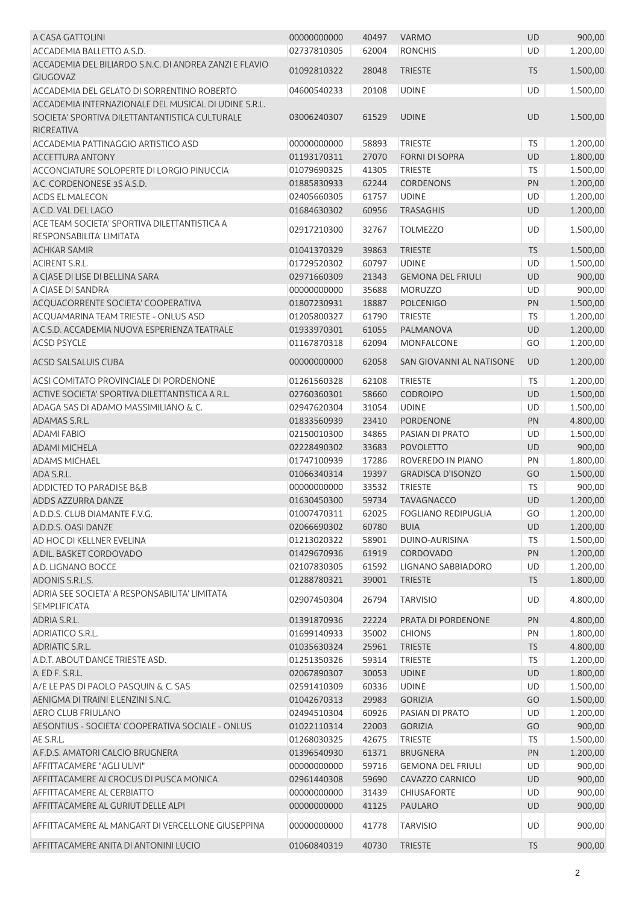| A CASA GATTOLINI                                                                                                            | 00000000000                | 40497          | <b>VARMO</b>                      | <b>UD</b>              | 900,00               |
|-----------------------------------------------------------------------------------------------------------------------------|----------------------------|----------------|-----------------------------------|------------------------|----------------------|
| ACCADEMIA BALLETTO A.S.D.                                                                                                   | 02737810305                | 62004          | <b>RONCHIS</b>                    | UD                     | 1.200,00             |
| ACCADEMIA DEL BILIARDO S.N.C. DI ANDREA ZANZI E FLAVIO<br><b>GIUGOVAZ</b>                                                   | 01092810322                | 28048          | <b>TRIESTE</b>                    | <b>TS</b>              | 1.500,00             |
| ACCADEMIA DEL GELATO DI SORRENTINO ROBERTO                                                                                  | 04600540233                | 20108          | <b>UDINE</b>                      | <b>UD</b>              | 1.500,00             |
| ACCADEMIA INTERNAZIONALE DEL MUSICAL DI UDINE S.R.L.<br>SOCIETA' SPORTIVA DILETTANTANTISTICA CULTURALE<br><b>RICREATIVA</b> | 03006240307                | 61529          | <b>UDINE</b>                      | <b>UD</b>              | 1.500,00             |
| ACCADEMIA PATTINAGGIO ARTISTICO ASD                                                                                         | 00000000000                | 58893          | <b>TRIESTE</b>                    | <b>TS</b>              | 1.200,00             |
| <b>ACCETTURA ANTONY</b>                                                                                                     | 01193170311                | 27070          | <b>FORNI DI SOPRA</b>             | UD                     | 1.800,00             |
| ACCONCIATURE SOLOPERTE DI LORGIO PINUCCIA                                                                                   | 01079690325                | 41305          | <b>TRIESTE</b>                    | TS                     | 1.500,00             |
| A.C. CORDENONESE 3S A.S.D.                                                                                                  | 01885830933                | 62244          | <b>CORDENONS</b>                  | PN                     | 1.200,00             |
| <b>ACDS EL MALECON</b>                                                                                                      | 02405660305                | 61757          | <b>UDINE</b>                      | UD                     | 1.200,00             |
| A.C.D. VAL DEL LAGO                                                                                                         | 01684630302                | 60956          | <b>TRASAGHIS</b>                  | UD                     | 1.200,00             |
| ACE TEAM SOCIETA' SPORTIVA DILETTANTISTICA A<br>RESPONSABILITA' LIMITATA                                                    | 02917210300                | 32767          | <b>TOLMEZZO</b>                   | UD                     | 1.500,00             |
| <b>ACHKAR SAMIR</b>                                                                                                         | 01041370329                | 39863          | <b>TRIESTE</b>                    | <b>TS</b>              | 1.500,00             |
| <b>ACIRENT S.R.L.</b>                                                                                                       | 01729520302                | 60797          | <b>UDINE</b>                      | UD                     | 1.500,00             |
| A CJASE DI LISE DI BELLINA SARA                                                                                             | 02971660309                | 21343          | <b>GEMONA DEL FRIULI</b>          | UD                     | 900,00               |
| A CJASE DI SANDRA                                                                                                           | 00000000000                | 35688          | <b>MORUZZO</b>                    | <b>UD</b>              | 900,00               |
| ACQUACORRENTE SOCIETA' COOPERATIVA                                                                                          | 01807230931                | 18887          | <b>POLCENIGO</b>                  | PN                     | 1.500,00             |
| ACQUAMARINA TEAM TRIESTE - ONLUS ASD                                                                                        | 01205800327                | 61790          | <b>TRIESTE</b>                    | TS                     | 1.200,00             |
| A.C.S.D. ACCADEMIA NUOVA ESPERIENZA TEATRALE                                                                                | 01933970301                | 61055          | PALMANOVA                         | UD                     | 1.200,00             |
| <b>ACSD PSYCLE</b>                                                                                                          | 01167870318                | 62094          | MONFALCONE                        | GO                     | 1.200,00             |
| ACSD SALSALUIS CUBA                                                                                                         | 00000000000                | 62058          | SAN GIOVANNI AL NATISONE          | <b>UD</b>              | 1.200,00             |
| ACSI COMITATO PROVINCIALE DI PORDENONE                                                                                      | 01261560328                | 62108          | <b>TRIESTE</b>                    | TS                     | 1.200,00             |
| ACTIVE SOCIETA' SPORTIVA DILETTANTISTICA A R.L.                                                                             | 02760360301                | 58660          | <b>CODROIPO</b>                   | UD                     | 1.500,00             |
| ADAGA SAS DI ADAMO MASSIMILIANO & C.                                                                                        | 02947620304                | 31054          | <b>UDINE</b>                      | UD                     | 1.500,00             |
| ADAMAS S.R.L.                                                                                                               | 01833560939                | 23410          | <b>PORDENONE</b>                  | PN                     | 4.800,00             |
| <b>ADAMI FABIO</b>                                                                                                          | 02150010300                | 34865          | PASIAN DI PRATO                   | UD                     | 1.500,00             |
| <b>ADAMI MICHELA</b>                                                                                                        | 02228490302                | 33683          | <b>POVOLETTO</b>                  | <b>UD</b>              | 900,00               |
| <b>ADAMS MICHAEL</b>                                                                                                        | 01747100939                | 17286          | ROVEREDO IN PIANO                 | PN                     | 1.800,00             |
| ADA S.R.L.                                                                                                                  | 01066340314                | 19397          | <b>GRADISCA D'ISONZO</b>          | GO                     | 1.500,00             |
| <b>ADDICTED TO PARADISE B&amp;B</b>                                                                                         | 00000000000                | 33532          | <b>TRIESTE</b>                    | TS                     | 900,00               |
| ADDS AZZURRA DANZE                                                                                                          | 01630450300                | 59734          | <b>TAVAGNACCO</b>                 | <b>UD</b>              | 1.200,00             |
|                                                                                                                             | 01007470311                |                |                                   |                        |                      |
| A.D.D.S. CLUB DIAMANTE F.V.G.<br>A.D.D.S. OASI DANZE                                                                        |                            | 62025          | <b>FOGLIANO REDIPUGLIA</b>        | GO                     | 1.200,00             |
| AD HOC DI KELLNER EVELINA                                                                                                   | 02066690302<br>01213020322 | 60780<br>58901 | <b>BUIA</b><br>DUINO-AURISINA     | <b>UD</b><br><b>TS</b> | 1.200,00<br>1.500,00 |
|                                                                                                                             |                            |                | CORDOVADO                         |                        |                      |
| A.DIL. BASKET CORDOVADO                                                                                                     | 01429670936                | 61919          |                                   | <b>PN</b>              | 1.200,00             |
| A.D. LIGNANO BOCCE                                                                                                          | 02107830305                | 61592          | LIGNANO SABBIADORO                | <b>UD</b>              | 1.200,00             |
| ADONIS S.R.L.S.<br>ADRIA SEE SOCIETA' A RESPONSABILITA' LIMITATA                                                            | 01288780321<br>02907450304 | 39001<br>26794 | <b>TRIESTE</b><br><b>TARVISIO</b> | <b>TS</b><br>UD        | 1.800,00<br>4.800,00 |
| <b>SEMPLIFICATA</b>                                                                                                         |                            |                |                                   |                        |                      |
| ADRIA S.R.L.                                                                                                                | 01391870936                | 22224          | PRATA DI PORDENONE                | <b>PN</b>              | 4.800,00             |
| ADRIATICO S.R.L.                                                                                                            | 01699140933                | 35002          | <b>CHIONS</b>                     | PN                     | 1.800,00             |
| ADRIATIC S.R.L.                                                                                                             | 01035630324                | 25961          | <b>TRIESTE</b>                    | <b>TS</b>              | 4.800,00             |
| A.D.T. ABOUT DANCE TRIESTE ASD.                                                                                             | 01251350326                | 59314          | <b>TRIESTE</b>                    | <b>TS</b>              | 1.200,00             |
| A. ED F. S.R.L.                                                                                                             | 02067890307                | 30053          | <b>UDINE</b>                      | <b>UD</b>              | 1.800,00             |
| A/E LE PAS DI PAOLO PASQUIN & C. SAS                                                                                        | 02591410309                | 60336          | <b>UDINE</b>                      | <b>UD</b>              | 1.500,00             |
| AENIGMA DI TRAINI E LENZINI S.N.C.                                                                                          | 01042670313                | 29983          | <b>GORIZIA</b>                    | GO                     | 1.500,00             |
| <b>AERO CLUB FRIULANO</b>                                                                                                   | 02494510304                | 60926          | PASIAN DI PRATO                   | UD                     | 1.200,00             |
| AESONTIUS - SOCIETA' COOPERATIVA SOCIALE - ONLUS                                                                            | 01022110314                | 22003          | <b>GORIZIA</b>                    | GO                     | 900,00               |
| AE S.R.L.                                                                                                                   | 01268030325                | 42675          | <b>TRIESTE</b>                    | <b>TS</b>              | 1.500,00             |
| A.F.D.S. AMATORI CALCIO BRUGNERA                                                                                            | 01396540930                | 61371          | <b>BRUGNERA</b>                   | <b>PN</b>              | 1.200,00             |
| AFFITTACAMERE "AGLI ULIVI"                                                                                                  | 00000000000                | 59716          | <b>GEMONA DEL FRIULI</b>          | <b>UD</b>              | 900,00               |
| AFFITTACAMERE AI CROCUS DI PUSCA MONICA                                                                                     | 02961440308                | 59690          | CAVAZZO CARNICO                   | <b>UD</b>              | 900,00               |
| AFFITTACAMERE AL CERBIATTO                                                                                                  | 00000000000                | 31439          | <b>CHIUSAFORTE</b>                | <b>UD</b>              | 900,00               |
| AFFITTACAMERE AL GURIUT DELLE ALPI                                                                                          | 00000000000                | 41125          | <b>PAULARO</b>                    | UD                     | 900,00               |
| AFFITTACAMERE AL MANGART DI VERCELLONE GIUSEPPINA                                                                           | 00000000000                | 41778          | <b>TARVISIO</b>                   | UD                     | 900,00               |
| AFFITTACAMERE ANITA DI ANTONINI LUCIO                                                                                       | 01060840319                | 40730          | <b>TRIESTE</b>                    | <b>TS</b>              | 900,00               |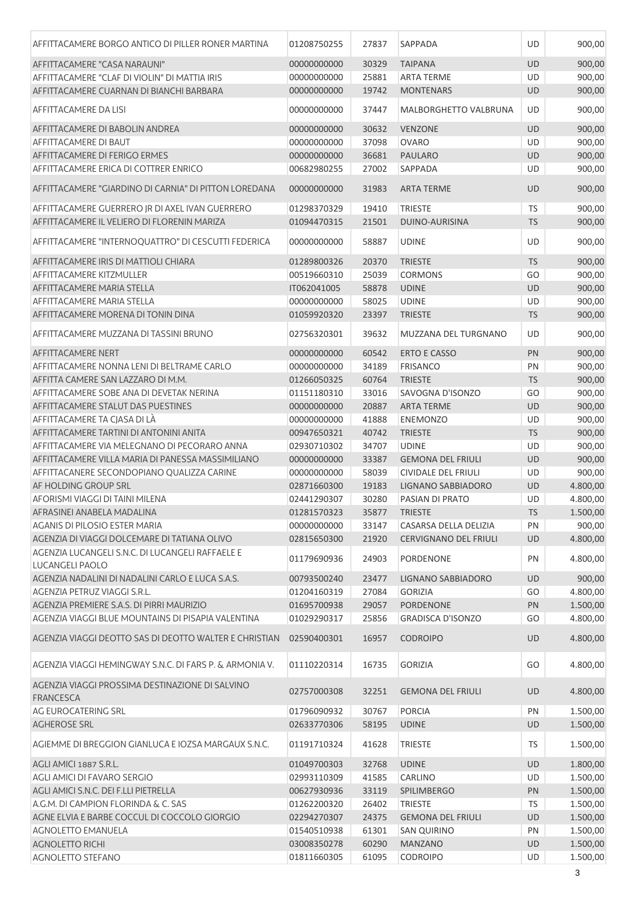| AFFITTACAMERE BORGO ANTICO DI PILLER RONER MARTINA           | 01208750255 | 27837 | SAPPADA                      | <b>UD</b> | 900,00   |
|--------------------------------------------------------------|-------------|-------|------------------------------|-----------|----------|
| AFFITTACAMERE "CASA NARAUNI"                                 | 00000000000 | 30329 | <b>TAIPANA</b>               | <b>UD</b> | 900,00   |
| AFFITTACAMERE "CLAF DI VIOLIN" DI MATTIA IRIS                | 00000000000 | 25881 | <b>ARTA TERME</b>            | <b>UD</b> | 900,00   |
| AFFITTACAMERE CUARNAN DI BIANCHI BARBARA                     | 00000000000 | 19742 | <b>MONTENARS</b>             | <b>UD</b> | 900,00   |
| AFFITTACAMERE DA LISI                                        | 00000000000 | 37447 | MALBORGHETTO VALBRUNA        | UD        | 900,00   |
| AFFITTACAMERE DI BABOLIN ANDREA                              | 00000000000 | 30632 | <b>VENZONE</b>               | <b>UD</b> | 900,00   |
| <b>AFFITTACAMERE DI BAUT</b>                                 | 00000000000 | 37098 | <b>OVARO</b>                 | <b>UD</b> | 900,00   |
| AFFITTACAMERE DI FERIGO ERMES                                | 00000000000 | 36681 | <b>PAULARO</b>               | <b>UD</b> | 900,00   |
| AFFITTACAMERE ERICA DI COTTRER ENRICO                        | 00682980255 | 27002 | SAPPADA                      | <b>UD</b> | 900,00   |
|                                                              |             |       |                              |           |          |
| AFFITTACAMERE "GIARDINO DI CARNIA" DI PITTON LOREDANA        | 00000000000 | 31983 | <b>ARTA TERME</b>            | <b>UD</b> | 900,00   |
| AFFITTACAMERE GUERRERO JR DI AXEL IVAN GUERRERO              | 01298370329 | 19410 | <b>TRIESTE</b>               | <b>TS</b> | 900,00   |
| AFFITTACAMERE IL VELIERO DI FLORENIN MARIZA                  | 01094470315 | 21501 | DUINO-AURISINA               | <b>TS</b> | 900,00   |
| AFFITTACAMERE "INTERNOQUATTRO" DI CESCUTTI FEDERICA          | 00000000000 | 58887 | <b>UDINE</b>                 | <b>UD</b> | 900,00   |
| AFFITTACAMERE IRIS DI MATTIOLI CHIARA                        | 01289800326 | 20370 | <b>TRIESTE</b>               | <b>TS</b> | 900,00   |
| AFFITTACAMERE KITZMULLER                                     | 00519660310 | 25039 | <b>CORMONS</b>               | GO        | 900,00   |
| AFFITTACAMERE MARIA STELLA                                   | IT062041005 | 58878 | <b>UDINE</b>                 | <b>UD</b> | 900,00   |
| AFFITTACAMERE MARIA STELLA                                   | 00000000000 | 58025 | <b>UDINE</b>                 | <b>UD</b> | 900,00   |
| AFFITTACAMERE MORENA DI TONIN DINA                           | 01059920320 | 23397 | <b>TRIESTE</b>               | <b>TS</b> | 900,00   |
| AFFITTACAMERE MUZZANA DI TASSINI BRUNO                       | 02756320301 | 39632 | MUZZANA DEL TURGNANO         | UD        | 900,00   |
|                                                              |             |       |                              |           |          |
| AFFITTACAMERE NERT                                           | 00000000000 | 60542 | <b>ERTO E CASSO</b>          | PN        | 900,00   |
| AFFITTACAMERE NONNA LENI DI BELTRAME CARLO                   | 00000000000 | 34189 | <b>FRISANCO</b>              | PN        | 900,00   |
| AFFITTA CAMERE SAN LAZZARO DI M.M.                           | 01266050325 | 60764 | <b>TRIESTE</b>               | <b>TS</b> | 900,00   |
| AFFITTACAMERE SOBE ANA DI DEVETAK NERINA                     | 01151180310 | 33016 | SAVOGNA D'ISONZO             | GO        | 900,00   |
| AFFITTACAMERE STALUT DAS PUESTINES                           | 00000000000 | 20887 | <b>ARTA TERME</b>            | <b>UD</b> | 900,00   |
| AFFITTACAMERE TA CIASA DI LÀ                                 | 00000000000 | 41888 | <b>ENEMONZO</b>              | <b>UD</b> | 900,00   |
| AFFITTACAMERE TARTINI DI ANTONINI ANITA                      | 00947650321 | 40742 | <b>TRIESTE</b>               | <b>TS</b> | 900,00   |
| AFFITTACAMERE VIA MELEGNANO DI PECORARO ANNA                 | 02930710302 | 34707 | <b>UDINE</b>                 | <b>UD</b> | 900,00   |
| AFFITTACAMERE VILLA MARIA DI PANESSA MASSIMILIANO            | 00000000000 | 33387 | <b>GEMONA DEL FRIULI</b>     | <b>UD</b> | 900,00   |
| AFFITTACANERE SECONDOPIANO QUALIZZA CARINE                   | 00000000000 | 58039 | CIVIDALE DEL FRIULI          | <b>UD</b> | 900,00   |
| AF HOLDING GROUP SRL                                         | 02871660300 | 19183 | LIGNANO SABBIADORO           | UD        | 4.800,00 |
| AFORISMI VIAGGI DI TAINI MILENA                              | 02441290307 | 30280 | PASIAN DI PRATO              | <b>UD</b> | 4.800,00 |
| AFRASINEI ANABELA MADALINA                                   | 01281570323 | 35877 | TRIESTE                      | <b>TS</b> | 1.500,00 |
| AGANIS DI PILOSIO ESTER MARIA                                | 00000000000 | 33147 | CASARSA DELLA DELIZIA        | PN        | 900,00   |
| AGENZIA DI VIAGGI DOLCEMARE DI TATIANA OLIVO                 | 02815650300 | 21920 | <b>CERVIGNANO DEL FRIULI</b> | <b>UD</b> | 4.800,00 |
| AGENZIA LUCANGELI S.N.C. DI LUCANGELI RAFFAELE E             |             |       |                              |           |          |
| LUCANGELI PAOLO                                              | 01179690936 | 24903 | <b>PORDENONE</b>             | PN        | 4.800,00 |
| AGENZIA NADALINI DI NADALINI CARLO E LUCA S.A.S.             | 00793500240 | 23477 | LIGNANO SABBIADORO           | <b>UD</b> | 900,00   |
| AGENZIA PETRUZ VIAGGI S.R.L.                                 | 01204160319 | 27084 | <b>GORIZIA</b>               | GO        | 4.800,00 |
| AGENZIA PREMIERE S.A.S. DI PIRRI MAURIZIO                    | 01695700938 | 29057 | PORDENONE                    | PN        | 1.500,00 |
| AGENZIA VIAGGI BLUE MOUNTAINS DI PISAPIA VALENTINA           | 01029290317 | 25856 | <b>GRADISCA D'ISONZO</b>     | GO        | 4.800,00 |
| AGENZIA VIAGGI DEOTTO SAS DI DEOTTO WALTER E CHRISTIAN       | 02590400301 | 16957 | <b>CODROIPO</b>              | <b>UD</b> | 4.800,00 |
| AGENZIA VIAGGI HEMINGWAY S.N.C. DI FARS P. & ARMONIA V.      | 01110220314 | 16735 | <b>GORIZIA</b>               | GO        | 4.800,00 |
| AGENZIA VIAGGI PROSSIMA DESTINAZIONE DI SALVINO<br>FRANCESCA | 02757000308 | 32251 | <b>GEMONA DEL FRIULI</b>     | <b>UD</b> | 4.800,00 |
| <b>AG EUROCATERING SRL</b>                                   | 01796090932 | 30767 | <b>PORCIA</b>                | PN        | 1.500,00 |
| AGHEROSE SRL                                                 | 02633770306 | 58195 | <b>UDINE</b>                 | UD        | 1.500,00 |
|                                                              |             |       |                              |           |          |
| AGIEMME DI BREGGION GIANLUCA E IOZSA MARGAUX S.N.C.          | 01191710324 | 41628 | <b>TRIESTE</b>               | TS        | 1.500,00 |
| AGLI AMICI 1887 S.R.L.                                       | 01049700303 | 32768 | <b>UDINE</b>                 | UD        | 1.800,00 |
| <b>AGLI AMICI DI FAVARO SERGIO</b>                           | 02993110309 | 41585 | CARLINO                      | UD        | 1.500,00 |
| AGLI AMICI S.N.C. DEI F.LLI PIETRELLA                        | 00627930936 | 33119 | SPILIMBERGO                  | PN        | 1.500,00 |
| A.G.M. DI CAMPION FLORINDA & C. SAS                          | 01262200320 | 26402 | TRIESTE                      | <b>TS</b> | 1.500,00 |
| AGNE ELVIA E BARBE COCCUL DI COCCOLO GIORGIO                 | 02294270307 | 24375 | <b>GEMONA DEL FRIULI</b>     | UD        | 1.500,00 |
| <b>AGNOLETTO EMANUELA</b>                                    | 01540510938 | 61301 | <b>SAN QUIRINO</b>           | PN        | 1.500,00 |
| <b>AGNOLETTO RICHI</b>                                       | 03008350278 | 60290 | <b>MANZANO</b>               | UD        | 1.500,00 |
| AGNOLETTO STEFANO                                            | 01811660305 | 61095 | <b>CODROIPO</b>              | UD        | 1.500,00 |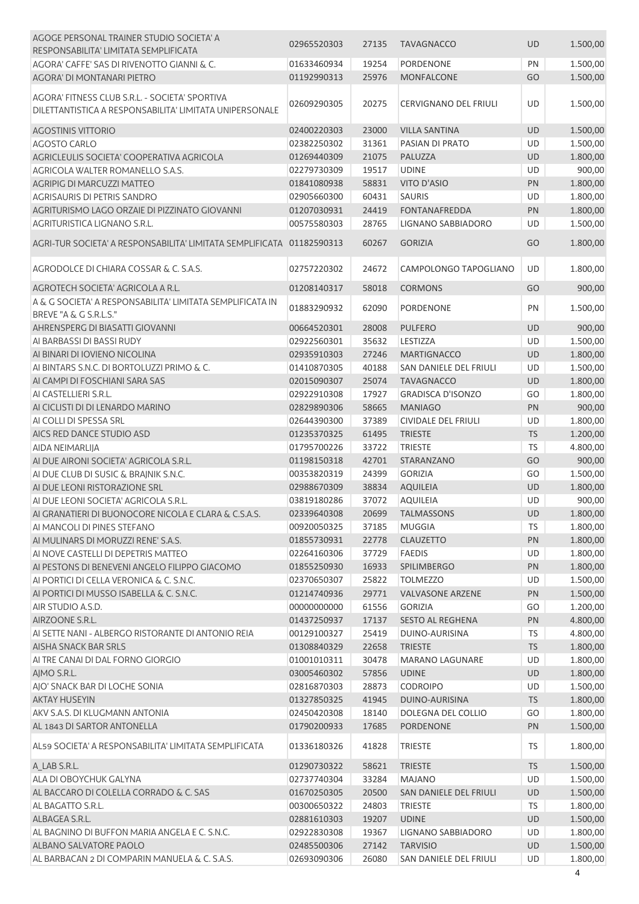| AGOGE PERSONAL TRAINER STUDIO SOCIETA' A<br>RESPONSABILITA' LIMITATA SEMPLIFICATA                         | 02965520303 | 27135 | <b>TAVAGNACCO</b>            | <b>UD</b> | 1.500,00 |
|-----------------------------------------------------------------------------------------------------------|-------------|-------|------------------------------|-----------|----------|
| AGORA' CAFFE' SAS DI RIVENOTTO GIANNI & C.                                                                | 01633460934 | 19254 | <b>PORDENONE</b>             | PN        | 1.500,00 |
| AGORA' DI MONTANARI PIETRO                                                                                | 01192990313 | 25976 | <b>MONFALCONE</b>            | GO        | 1.500,00 |
|                                                                                                           |             |       |                              |           |          |
| AGORA' FITNESS CLUB S.R.L. - SOCIETA' SPORTIVA<br>DILETTANTISTICA A RESPONSABILITA' LIMITATA UNIPERSONALE | 02609290305 | 20275 | <b>CERVIGNANO DEL FRIULI</b> | UD        | 1.500,00 |
|                                                                                                           |             |       |                              |           |          |
| <b>AGOSTINIS VITTORIO</b>                                                                                 | 02400220303 | 23000 | <b>VILLA SANTINA</b>         | <b>UD</b> | 1.500,00 |
| <b>AGOSTO CARLO</b>                                                                                       | 02382250302 | 31361 | PASIAN DI PRATO              | UD        | 1.500,00 |
| AGRICLEULIS SOCIETA' COOPERATIVA AGRICOLA                                                                 | 01269440309 | 21075 | PALUZZA                      | <b>UD</b> | 1.800,00 |
| AGRICOLA WALTER ROMANELLO S.A.S.                                                                          | 02279730309 | 19517 | <b>UDINE</b>                 | <b>UD</b> | 900,00   |
| AGRIPIG DI MARCUZZI MATTEO                                                                                | 01841080938 | 58831 | VITO D'ASIO                  | PN        | 1.800,00 |
| AGRISAURIS DI PETRIS SANDRO                                                                               | 02905660300 | 60431 | <b>SAURIS</b>                | UD        | 1.800,00 |
| AGRITURISMO LAGO ORZAIE DI PIZZINATO GIOVANNI                                                             | 01207030931 | 24419 | <b>FONTANAFREDDA</b>         | PN        | 1.800,00 |
| AGRITURISTICA LIGNANO S.R.L.                                                                              | 00575580303 | 28765 | LIGNANO SABBIADORO           | UD        | 1.500,00 |
| AGRI-TUR SOCIETA' A RESPONSABILITA' LIMITATA SEMPLIFICATA 01182590313                                     |             | 60267 | <b>GORIZIA</b>               | GO        | 1.800,00 |
| AGRODOLCE DI CHIARA COSSAR & C. S.A.S.                                                                    | 02757220302 | 24672 | CAMPOLONGO TAPOGLIANO        | UD        | 1.800,00 |
| AGROTECH SOCIETA' AGRICOLA A R.L.                                                                         | 01208140317 | 58018 | <b>CORMONS</b>               | GO        | 900,00   |
| A & G SOCIETA' A RESPONSABILITA' LIMITATA SEMPLIFICATA IN<br>BREVE "A & G S.R.L.S."                       | 01883290932 | 62090 | <b>PORDENONE</b>             | PN        | 1.500,00 |
| AHRENSPERG DI BIASATTI GIOVANNI                                                                           | 00664520301 | 28008 | <b>PULFERO</b>               | <b>UD</b> | 900,00   |
| AI BARBASSI DI BASSI RUDY                                                                                 | 02922560301 | 35632 | LESTIZZA                     | UD        | 1.500,00 |
| AI BINARI DI IOVIENO NICOLINA                                                                             | 02935910303 | 27246 | <b>MARTIGNACCO</b>           | <b>UD</b> | 1.800,00 |
| AI BINTARS S.N.C. DI BORTOLUZZI PRIMO & C.                                                                | 01410870305 | 40188 | SAN DANIELE DEL FRIULI       | <b>UD</b> | 1.500,00 |
| AI CAMPI DI FOSCHIANI SARA SAS                                                                            | 02015090307 | 25074 | <b>TAVAGNACCO</b>            | <b>UD</b> | 1.800,00 |
| AI CASTELLIERI S.R.L.                                                                                     | 02922910308 | 17927 | <b>GRADISCA D'ISONZO</b>     | GO        | 1.800,00 |
| AI CICLISTI DI DI LENARDO MARINO                                                                          | 02829890306 | 58665 | <b>MANIAGO</b>               | PN        | 900,00   |
| AI COLLI DI SPESSA SRL                                                                                    | 02644390300 | 37389 | <b>CIVIDALE DEL FRIULI</b>   | <b>UD</b> | 1.800,00 |
| AICS RED DANCE STUDIO ASD                                                                                 | 01235370325 | 61495 | <b>TRIESTE</b>               | <b>TS</b> | 1.200,00 |
| <b>AIDA NEIMARLIJA</b>                                                                                    | 01795700226 | 33722 | <b>TRIESTE</b>               | <b>TS</b> | 4.800,00 |
| AI DUE AIRONI SOCIETA' AGRICOLA S.R.L.                                                                    | 01198150318 | 42701 | STARANZANO                   | GO        | 900,00   |
|                                                                                                           |             |       | <b>GORIZIA</b>               | GO        |          |
| AI DUE CLUB DI SUSIC & BRAJNIK S.N.C.                                                                     | 00353820319 | 24399 |                              |           | 1.500,00 |
| AI DUE LEONI RISTORAZIONE SRL                                                                             | 02988670309 | 38834 | <b>AQUILEIA</b>              | <b>UD</b> | 1.800,00 |
| AI DUE LEONI SOCIETA' AGRICOLA S.R.L.                                                                     | 03819180286 | 37072 | <b>AQUILEIA</b>              | <b>UD</b> | 900,00   |
| AI GRANATIERI DI BUONOCORE NICOLA E CLARA & C.S.A.S.                                                      | 02339640308 |       | 20699 TALMASSONS             | UD        | 1.800,00 |
| AI MANCOLI DI PINES STEFANO                                                                               | 00920050325 | 37185 | <b>MUGGIA</b>                | TS        | 1.800,00 |
| AI MULINARS DI MORUZZI RENE' S.A.S.                                                                       | 01855730931 | 22778 | <b>CLAUZETTO</b>             | PN        | 1.800,00 |
| AI NOVE CASTELLI DI DEPETRIS MATTEO                                                                       | 02264160306 | 37729 | <b>FAEDIS</b>                | UD        | 1.800,00 |
| AI PESTONS DI BENEVENI ANGELO FILIPPO GIACOMO                                                             | 01855250930 | 16933 | <b>SPILIMBERGO</b>           | PN        | 1.800,00 |
| AI PORTICI DI CELLA VERONICA & C. S.N.C.                                                                  | 02370650307 | 25822 | <b>TOLMEZZO</b>              | UD        | 1.500,00 |
| AI PORTICI DI MUSSO ISABELLA & C. S.N.C.                                                                  | 01214740936 | 29771 | <b>VALVASONE ARZENE</b>      | PN        | 1.500,00 |
| AIR STUDIO A.S.D.                                                                                         | 00000000000 | 61556 | <b>GORIZIA</b>               | GO        | 1.200,00 |
| AIRZOONE S.R.L.                                                                                           | 01437250937 | 17137 | <b>SESTO AL REGHENA</b>      | PN        | 4.800,00 |
| AI SETTE NANI - ALBERGO RISTORANTE DI ANTONIO REIA                                                        | 00129100327 | 25419 | DUINO-AURISINA               | <b>TS</b> | 4.800,00 |
| AISHA SNACK BAR SRLS                                                                                      | 01308840329 | 22658 | <b>TRIESTE</b>               | <b>TS</b> | 1.800,00 |
| AI TRE CANAI DI DAL FORNO GIORGIO                                                                         | 01001010311 | 30478 | MARANO LAGUNARE              | UD        | 1.800,00 |
| AJMO S.R.L.                                                                                               | 03005460302 | 57856 | <b>UDINE</b>                 | <b>UD</b> | 1.800,00 |
| AJO' SNACK BAR DI LOCHE SONIA                                                                             | 02816870303 | 28873 | <b>CODROIPO</b>              | UD        | 1.500,00 |
| <b>AKTAY HUSEYIN</b>                                                                                      | 01327850325 | 41945 | DUINO-AURISINA               | <b>TS</b> | 1.800,00 |
| AKV S.A.S. DI KLUGMANN ANTONIA                                                                            | 02450420308 | 18140 | DOLEGNA DEL COLLIO           | GO        | 1.800,00 |
| AL 1843 DI SARTOR ANTONELLA                                                                               | 01790200933 | 17685 | <b>PORDENONE</b>             | PN        | 1.500,00 |
| AL59 SOCIETA' A RESPONSABILITA' LIMITATA SEMPLIFICATA                                                     | 01336180326 | 41828 | <b>TRIESTE</b>               | TS.       | 1.800,00 |
| A LAB S.R.L.                                                                                              | 01290730322 | 58621 | <b>TRIESTE</b>               | <b>TS</b> | 1.500,00 |
| ALA DI OBOYCHUK GALYNA                                                                                    | 02737740304 | 33284 | <b>MAJANO</b>                | UD        | 1.500,00 |
| AL BACCARO DI COLELLA CORRADO & C. SAS                                                                    | 01670250305 | 20500 | SAN DANIELE DEL FRIULI       | <b>UD</b> | 1.500,00 |
| AL BAGATTO S.R.L.                                                                                         | 00300650322 | 24803 | <b>TRIESTE</b>               | <b>TS</b> | 1.800,00 |
| ALBAGEA S.R.L.                                                                                            | 02881610303 | 19207 | <b>UDINE</b>                 | UD        | 1.500,00 |
| AL BAGNINO DI BUFFON MARIA ANGELA E C. S.N.C.                                                             | 02922830308 | 19367 | LIGNANO SABBIADORO           | UD        | 1.800,00 |
| ALBANO SALVATORE PAOLO                                                                                    | 02485500306 | 27142 | <b>TARVISIO</b>              | <b>UD</b> | 1.500,00 |
| AL BARBACAN 2 DI COMPARIN MANUELA & C. S.A.S.                                                             | 02693090306 | 26080 | SAN DANIELE DEL FRIULI       | UD        | 1.800,00 |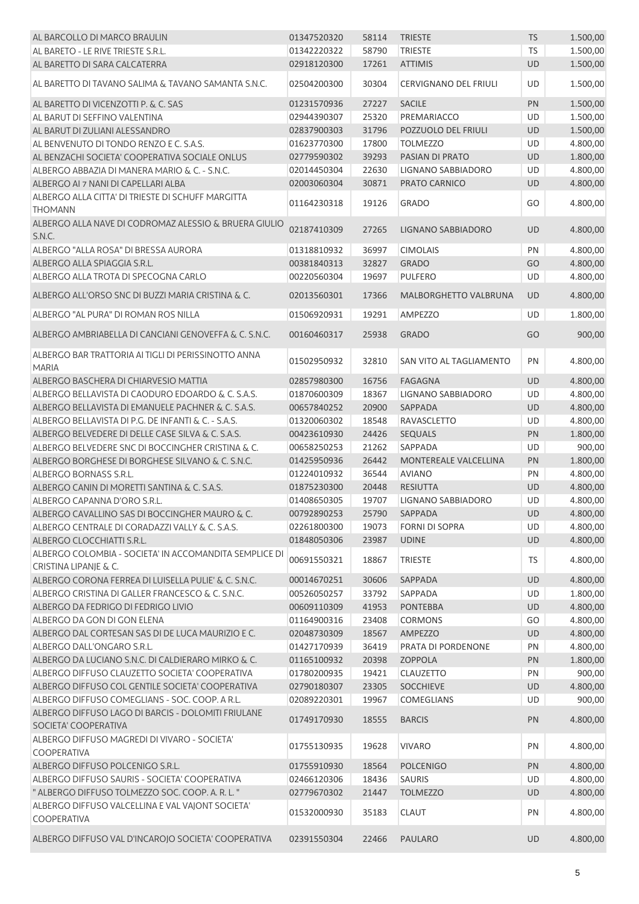| AL BARCOLLO DI MARCO BRAULIN                                                    | 01347520320 | 58114 | <b>TRIESTE</b>               | <b>TS</b> | 1.500,00 |
|---------------------------------------------------------------------------------|-------------|-------|------------------------------|-----------|----------|
| AL BARETO - LE RIVE TRIESTE S.R.L.                                              | 01342220322 | 58790 | <b>TRIESTE</b>               | <b>TS</b> | 1.500,00 |
| AL BARETTO DI SARA CALCATERRA                                                   | 02918120300 | 17261 | <b>ATTIMIS</b>               | <b>UD</b> | 1.500,00 |
| AL BARETTO DI TAVANO SALIMA & TAVANO SAMANTA S.N.C.                             | 02504200300 | 30304 | <b>CERVIGNANO DEL FRIULI</b> | UD        | 1.500,00 |
| AL BARETTO DI VICENZOTTI P. & C. SAS                                            | 01231570936 | 27227 | <b>SACILE</b>                | PN        | 1.500,00 |
| AL BARUT DI SEFFINO VALENTINA                                                   | 02944390307 | 25320 | PREMARIACCO                  | UD        | 1.500,00 |
| AL BARUT DI ZULIANI ALESSANDRO                                                  | 02837900303 | 31796 | POZZUOLO DEL FRIULI          | UD        | 1.500,00 |
| AL BENVENUTO DI TONDO RENZO E C. S.A.S.                                         | 01623770300 | 17800 | <b>TOLMEZZO</b>              | UD        | 4.800,00 |
| AL BENZACHI SOCIETA' COOPERATIVA SOCIALE ONLUS                                  | 02779590302 | 39293 | PASIAN DI PRATO              | <b>UD</b> | 1.800,00 |
| ALBERGO ABBAZIA DI MANERA MARIO & C. - S.N.C.                                   | 02014450304 | 22630 | LIGNANO SABBIADORO           | UD        | 4.800,00 |
| ALBERGO AI 7 NANI DI CAPELLARI ALBA                                             | 02003060304 | 30871 | PRATO CARNICO                | <b>UD</b> | 4.800,00 |
| ALBERGO ALLA CITTA' DI TRIESTE DI SCHUFF MARGITTA                               |             |       |                              |           |          |
| <b>THOMANN</b>                                                                  | 01164230318 | 19126 | <b>GRADO</b>                 | GO        | 4.800,00 |
| ALBERGO ALLA NAVE DI CODROMAZ ALESSIO & BRUERA GIULIO<br>S.N.C.                 | 02187410309 | 27265 | LIGNANO SABBIADORO           | <b>UD</b> | 4.800,00 |
| ALBERGO "ALLA ROSA" DI BRESSA AURORA                                            | 01318810932 | 36997 | <b>CIMOLAIS</b>              | PN        | 4.800,00 |
| ALBERGO ALLA SPIAGGIA S.R.L.                                                    | 00381840313 | 32827 | <b>GRADO</b>                 | GO        | 4.800,00 |
| ALBERGO ALLA TROTA DI SPECOGNA CARLO                                            | 00220560304 | 19697 | <b>PULFERO</b>               | UD        | 4.800,00 |
| ALBERGO ALL'ORSO SNC DI BUZZI MARIA CRISTINA & C.                               | 02013560301 | 17366 | MALBORGHETTO VALBRUNA        | <b>UD</b> | 4.800,00 |
| ALBERGO "AL PURA" DI ROMAN ROS NILLA                                            | 01506920931 | 19291 | <b>AMPEZZO</b>               | UD        | 1.800,00 |
| ALBERGO AMBRIABELLA DI CANCIANI GENOVEFFA & C. S.N.C.                           | 00160460317 | 25938 | <b>GRADO</b>                 | GO        | 900,00   |
| ALBERGO BAR TRATTORIA AI TIGLI DI PERISSINOTTO ANNA                             | 01502950932 | 32810 | SAN VITO AL TAGLIAMENTO      | PN        | 4.800,00 |
| <b>MARIA</b>                                                                    |             |       |                              |           |          |
| ALBERGO BASCHERA DI CHIARVESIO MATTIA                                           | 02857980300 | 16756 | <b>FAGAGNA</b>               | UD        | 4.800,00 |
| ALBERGO BELLAVISTA DI CAODURO EDOARDO & C. S.A.S.                               | 01870600309 | 18367 | LIGNANO SABBIADORO           | UD        | 4.800,00 |
| ALBERGO BELLAVISTA DI EMANUELE PACHNER & C. S.A.S.                              | 00657840252 | 20900 | SAPPADA                      | UD        | 4.800,00 |
| ALBERGO BELLAVISTA DI P.G. DE INFANTI & C. - S.A.S.                             | 01320060302 | 18548 | RAVASCLETTO                  | <b>UD</b> | 4.800,00 |
| ALBERGO BELVEDERE DI DELLE CASE SILVA & C. S.A.S.                               | 00423610930 | 24426 | <b>SEQUALS</b>               | PN        | 1.800,00 |
| ALBERGO BELVEDERE SNC DI BOCCINGHER CRISTINA & C.                               | 00658250253 | 21262 | <b>SAPPADA</b>               | UD        | 900,00   |
| ALBERGO BORGHESE DI BORGHESE SILVANO & C. S.N.C.                                | 01425950936 | 26442 | MONTEREALE VALCELLINA        | PN        | 1.800,00 |
| ALBERGO BORNASS S.R.L.                                                          | 01224010932 | 36544 | <b>AVIANO</b>                | PN        | 4.800,00 |
| ALBERGO CANIN DI MORETTI SANTINA & C. S.A.S.                                    | 01875230300 | 20448 | <b>RESIUTTA</b>              | UD        | 4.800,00 |
| ALBERGO CAPANNA D'ORO S.R.L.                                                    | 01408650305 | 19707 | LIGNANO SABBIADORO           | <b>UD</b> | 4.800,00 |
| ALBERGO CAVALLINO SAS DI BOCCINGHER MAURO & C.                                  | 00792890253 | 25790 | SAPPADA                      | UD.       | 4.800,00 |
| ALBERGO CENTRALE DI CORADAZZI VALLY & C. S.A.S.                                 | 02261800300 | 19073 | <b>FORNI DI SOPRA</b>        | UD        | 4.800,00 |
| ALBERGO CLOCCHIATTI S.R.L.                                                      | 01848050306 | 23987 | <b>UDINE</b>                 | <b>UD</b> | 4.800,00 |
| ALBERGO COLOMBIA - SOCIETA' IN ACCOMANDITA SEMPLICE DI<br>CRISTINA LIPANJE & C. | 00691550321 | 18867 | <b>TRIESTE</b>               | <b>TS</b> | 4.800,00 |
| ALBERGO CORONA FERREA DI LUISELLA PULIE' & C. S.N.C.                            | 00014670251 | 30606 | SAPPADA                      | UD        | 4.800,00 |
| ALBERGO CRISTINA DI GALLER FRANCESCO & C. S.N.C.                                | 00526050257 | 33792 | <b>SAPPADA</b>               | <b>UD</b> | 1.800,00 |
| ALBERGO DA FEDRIGO DI FEDRIGO LIVIO                                             | 00609110309 | 41953 | <b>PONTEBBA</b>              | UD        | 4.800,00 |
| ALBERGO DA GON DI GON ELENA                                                     | 01164900316 | 23408 | <b>CORMONS</b>               | GO        | 4.800,00 |
| ALBERGO DAL CORTESAN SAS DI DE LUCA MAURIZIO E C.                               | 02048730309 | 18567 | <b>AMPEZZO</b>               | <b>UD</b> | 4.800,00 |
| ALBERGO DALL'ONGARO S.R.L.                                                      | 01427170939 | 36419 | PRATA DI PORDENONE           | PN        | 4.800,00 |
| ALBERGO DA LUCIANO S.N.C. DI CALDIERARO MIRKO & C.                              | 01165100932 | 20398 | <b>ZOPPOLA</b>               | PN        | 1.800,00 |
| ALBERGO DIFFUSO CLAUZETTO SOCIETA' COOPERATIVA                                  | 01780200935 | 19421 | <b>CLAUZETTO</b>             | PN        | 900,00   |
| ALBERGO DIFFUSO COL GENTILE SOCIETA' COOPERATIVA                                | 02790180307 | 23305 | <b>SOCCHIEVE</b>             | UD        | 4.800,00 |
| ALBERGO DIFFUSO COMEGLIANS - SOC. COOP. A R.L.                                  | 02089220301 | 19967 | COMEGLIANS                   | UD        | 900,00   |
| ALBERGO DIFFUSO LAGO DI BARCIS - DOLOMITI FRIULANE<br>SOCIETA' COOPERATIVA      | 01749170930 | 18555 | <b>BARCIS</b>                | PN        | 4.800,00 |
| ALBERGO DIFFUSO MAGREDI DI VIVARO - SOCIETA'<br>COOPERATIVA                     | 01755130935 | 19628 | <b>VIVARO</b>                | PN        | 4.800,00 |
| ALBERGO DIFFUSO POLCENIGO S.R.L.                                                |             |       |                              | PN        |          |
|                                                                                 | 01755910930 | 18564 | <b>POLCENIGO</b>             |           | 4.800,00 |
| ALBERGO DIFFUSO SAURIS - SOCIETA' COOPERATIVA                                   | 02466120306 | 18436 | SAURIS                       | UD        | 4.800,00 |
| " ALBERGO DIFFUSO TOLMEZZO SOC. COOP. A. R. L. "                                | 02779670302 | 21447 | <b>TOLMEZZO</b>              | <b>UD</b> | 4.800,00 |
| ALBERGO DIFFUSO VALCELLINA E VAL VAJONT SOCIETA'<br><b>COOPERATIVA</b>          | 01532000930 | 35183 | <b>CLAUT</b>                 | PN        | 4.800,00 |
| ALBERGO DIFFUSO VAL D'INCAROJO SOCIETA' COOPERATIVA                             | 02391550304 | 22466 | <b>PAULARO</b>               | <b>UD</b> | 4.800,00 |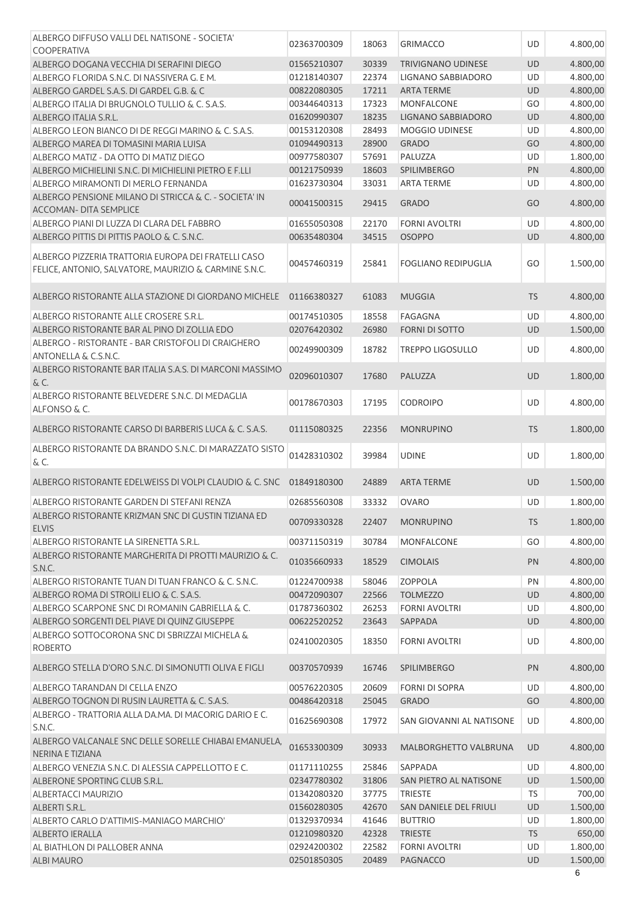| ALBERGO DIFFUSO VALLI DEL NATISONE - SOCIETA'                                          | 02363700309 | 18063 | <b>GRIMACCO</b>            | UD        | 4.800,00 |
|----------------------------------------------------------------------------------------|-------------|-------|----------------------------|-----------|----------|
| COOPERATIVA                                                                            |             |       |                            |           |          |
| ALBERGO DOGANA VECCHIA DI SERAFINI DIEGO                                               | 01565210307 | 30339 | <b>TRIVIGNANO UDINESE</b>  | <b>UD</b> | 4.800,00 |
| ALBERGO FLORIDA S.N.C. DI NASSIVERA G. E M.                                            | 01218140307 | 22374 | LIGNANO SABBIADORO         | UD        | 4.800,00 |
| ALBERGO GARDEL S.A.S. DI GARDEL G.B. & C                                               | 00822080305 | 17211 | <b>ARTA TERME</b>          | <b>UD</b> | 4.800,00 |
| ALBERGO ITALIA DI BRUGNOLO TULLIO & C. S.A.S.                                          | 00344640313 | 17323 | MONFALCONE                 | GO        | 4.800,00 |
| ALBERGO ITALIA S.R.L.                                                                  | 01620990307 | 18235 | LIGNANO SABBIADORO         | <b>UD</b> | 4.800,00 |
| ALBERGO LEON BIANCO DI DE REGGI MARINO & C. S.A.S.                                     | 00153120308 | 28493 | MOGGIO UDINESE             | <b>UD</b> | 4.800,00 |
| ALBERGO MAREA DI TOMASINI MARIA LUISA                                                  | 01094490313 | 28900 | <b>GRADO</b>               | GO        | 4.800,00 |
| ALBERGO MATIZ - DA OTTO DI MATIZ DIEGO                                                 | 00977580307 | 57691 | PALUZZA                    | <b>UD</b> | 1.800,00 |
| ALBERGO MICHIELINI S.N.C. DI MICHIELINI PIETRO E F.LLI                                 | 00121750939 | 18603 | <b>SPILIMBERGO</b>         | PN        | 4.800,00 |
| ALBERGO MIRAMONTI DI MERLO FERNANDA                                                    | 01623730304 | 33031 | <b>ARTA TERME</b>          | UD        | 4.800,00 |
| ALBERGO PENSIONE MILANO DI STRICCA & C. - SOCIETA' IN<br><b>ACCOMAN- DITA SEMPLICE</b> | 00041500315 | 29415 | <b>GRADO</b>               | GO        | 4.800,00 |
| ALBERGO PIANI DI LUZZA DI CLARA DEL FABBRO                                             | 01655050308 | 22170 | <b>FORNI AVOLTRI</b>       | <b>UD</b> | 4.800,00 |
| ALBERGO PITTIS DI PITTIS PAOLO & C. S.N.C.                                             | 00635480304 | 34515 | <b>OSOPPO</b>              | <b>UD</b> | 4.800,00 |
| ALBERGO PIZZERIA TRATTORIA EUROPA DEI FRATELLI CASO                                    |             |       |                            |           |          |
| FELICE, ANTONIO, SALVATORE, MAURIZIO & CARMINE S.N.C.                                  | 00457460319 | 25841 | <b>FOGLIANO REDIPUGLIA</b> | GO        | 1.500,00 |
| ALBERGO RISTORANTE ALLA STAZIONE DI GIORDANO MICHELE                                   | 01166380327 | 61083 | <b>MUGGIA</b>              | <b>TS</b> | 4.800,00 |
| ALBERGO RISTORANTE ALLE CROSERE S.R.L.                                                 | 00174510305 | 18558 | <b>FAGAGNA</b>             | UD        | 4.800,00 |
| ALBERGO RISTORANTE BAR AL PINO DI ZOLLIA EDO                                           | 02076420302 | 26980 | <b>FORNI DI SOTTO</b>      | <b>UD</b> | 1.500,00 |
| ALBERGO - RISTORANTE - BAR CRISTOFOLI DI CRAIGHERO<br>ANTONELLA & C.S.N.C.             | 00249900309 | 18782 | <b>TREPPO LIGOSULLO</b>    | <b>UD</b> | 4.800,00 |
| ALBERGO RISTORANTE BAR ITALIA S.A.S. DI MARCONI MASSIMO<br>& C.                        | 02096010307 | 17680 | PALUZZA                    | <b>UD</b> | 1.800,00 |
| ALBERGO RISTORANTE BELVEDERE S.N.C. DI MEDAGLIA                                        | 00178670303 | 17195 | <b>CODROIPO</b>            | UD        | 4.800,00 |
| ALFONSO & C.                                                                           |             |       |                            |           |          |
| ALBERGO RISTORANTE CARSO DI BARBERIS LUCA & C. S.A.S.                                  | 01115080325 | 22356 | <b>MONRUPINO</b>           | <b>TS</b> | 1.800,00 |
| ALBERGO RISTORANTE DA BRANDO S.N.C. DI MARAZZATO SISTO<br>& C.                         | 01428310302 | 39984 | <b>UDINE</b>               | <b>UD</b> | 1.800,00 |
| ALBERGO RISTORANTE EDELWEISS DI VOLPI CLAUDIO & C. SNC                                 | 01849180300 | 24889 | <b>ARTA TERME</b>          | <b>UD</b> | 1.500,00 |
| ALBERGO RISTORANTE GARDEN DI STEFANI RENZA                                             | 02685560308 | 33332 | <b>OVARO</b>               | <b>UD</b> | 1.800,00 |
| ALBERGO RISTORANTE KRIZMAN SNC DI GUSTIN TIZIANA ED<br><b>ELVIS</b>                    | 00709330328 | 22407 | <b>MONRUPINO</b>           | <b>TS</b> | 1.800,00 |
| ALBERGO RISTORANTE LA SIRENETTA S.R.L.                                                 | 00371150319 | 30784 | MONFALCONE                 | GO        | 4.800,00 |
| ALBERGO RISTORANTE MARGHERITA DI PROTTI MAURIZIO & C.<br>S.N.C.                        | 01035660933 | 18529 | <b>CIMOLAIS</b>            | PN        | 4.800,00 |
| ALBERGO RISTORANTE TUAN DI TUAN FRANCO & C. S.N.C.                                     | 01224700938 | 58046 | <b>ZOPPOLA</b>             | PN        | 4.800,00 |
| ALBERGO ROMA DI STROILI ELIO & C. S.A.S.                                               | 00472090307 | 22566 | <b>TOLMEZZO</b>            | UD        | 4.800,00 |
| ALBERGO SCARPONE SNC DI ROMANIN GABRIELLA & C.                                         | 01787360302 | 26253 | <b>FORNI AVOLTRI</b>       | <b>UD</b> | 4.800,00 |
| ALBERGO SORGENTI DEL PIAVE DI QUINZ GIUSEPPE                                           | 00622520252 | 23643 | SAPPADA                    | <b>UD</b> | 4.800,00 |
| ALBERGO SOTTOCORONA SNC DI SBRIZZAI MICHELA &                                          |             |       |                            |           |          |
| <b>ROBERTO</b>                                                                         | 02410020305 | 18350 | <b>FORNI AVOLTRI</b>       | <b>UD</b> | 4.800,00 |
| ALBERGO STELLA D'ORO S.N.C. DI SIMONUTTI OLIVA E FIGLI                                 | 00370570939 | 16746 | <b>SPILIMBERGO</b>         | PN        | 4.800,00 |
| ALBERGO TARANDAN DI CELLA ENZO                                                         | 00576220305 | 20609 | <b>FORNI DI SOPRA</b>      | UD        | 4.800,00 |
| ALBERGO TOGNON DI RUSIN LAURETTA & C. S.A.S.                                           | 00486420318 | 25045 | <b>GRADO</b>               | GO        | 4.800,00 |
| ALBERGO - TRATTORIA ALLA DA.MA. DI MACORIG DARIO E C.<br>S.N.C.                        | 01625690308 | 17972 | SAN GIOVANNI AL NATISONE   | UD.       | 4.800,00 |
| ALBERGO VALCANALE SNC DELLE SORELLE CHIABAI EMANUELA,<br>NERINA E TIZIANA              | 01653300309 | 30933 | MALBORGHETTO VALBRUNA      | <b>UD</b> | 4.800,00 |
| ALBERGO VENEZIA S.N.C. DI ALESSIA CAPPELLOTTO E C.                                     | 01171110255 | 25846 | SAPPADA                    | <b>UD</b> | 4.800,00 |
| ALBERONE SPORTING CLUB S.R.L.                                                          | 02347780302 | 31806 | SAN PIETRO AL NATISONE     | <b>UD</b> | 1.500,00 |
| <b>ALBERTACCI MAURIZIO</b>                                                             | 01342080320 | 37775 | <b>TRIESTE</b>             | <b>TS</b> | 700,00   |
| ALBERTI S.R.L.                                                                         | 01560280305 | 42670 | SAN DANIELE DEL FRIULI     | <b>UD</b> | 1.500,00 |
| ALBERTO CARLO D'ATTIMIS-MANIAGO MARCHIO'                                               | 01329370934 | 41646 | <b>BUTTRIO</b>             | UD        | 1.800,00 |
| ALBERTO IERALLA                                                                        | 01210980320 | 42328 | <b>TRIESTE</b>             | <b>TS</b> | 650,00   |
| AL BIATHLON DI PALLOBER ANNA                                                           | 02924200302 | 22582 | <b>FORNI AVOLTRI</b>       | UD        | 1.800,00 |
| <b>ALBI MAURO</b>                                                                      | 02501850305 | 20489 | PAGNACCO                   | <b>UD</b> | 1.500,00 |
|                                                                                        |             |       |                            |           | 6        |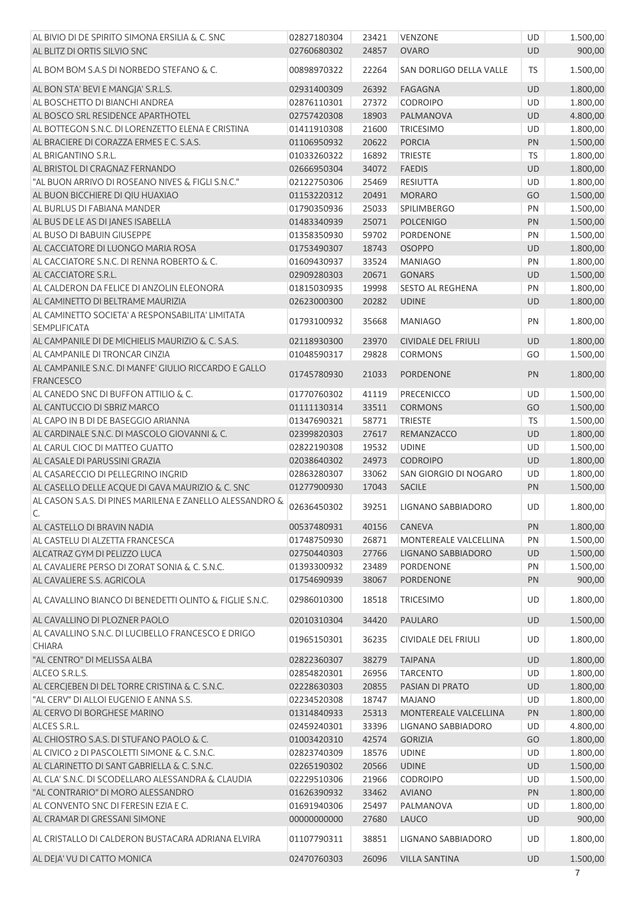| AL BIVIO DI DE SPIRITO SIMONA ERSILIA & C. SNC                          | 02827180304 | 23421 | <b>VENZONE</b>             | UD        | 1.500,00       |
|-------------------------------------------------------------------------|-------------|-------|----------------------------|-----------|----------------|
| AL BLITZ DI ORTIS SILVIO SNC                                            | 02760680302 | 24857 | <b>OVARO</b>               | <b>UD</b> | 900,00         |
| AL BOM BOM S.A.S DI NORBEDO STEFANO & C.                                | 00898970322 | 22264 | SAN DORLIGO DELLA VALLE    | <b>TS</b> | 1.500,00       |
| AL BON STA' BEVI E MANGJA' S.R.L.S.                                     | 02931400309 | 26392 | <b>FAGAGNA</b>             | <b>UD</b> | 1.800,00       |
| AL BOSCHETTO DI BIANCHI ANDREA                                          | 02876110301 | 27372 | <b>CODROIPO</b>            | UD        | 1.800,00       |
|                                                                         |             |       |                            |           |                |
| AL BOSCO SRL RESIDENCE APARTHOTEL                                       | 02757420308 | 18903 | PALMANOVA                  | <b>UD</b> | 4.800,00       |
| AL BOTTEGON S.N.C. DI LORENZETTO ELENA E CRISTINA                       | 01411910308 | 21600 | <b>TRICESIMO</b>           | UD        | 1.800,00       |
| AL BRACIERE DI CORAZZA ERMES E C. S.A.S.                                | 01106950932 | 20622 | <b>PORCIA</b>              | PN        | 1.500,00       |
| AL BRIGANTINO S.R.L.                                                    | 01033260322 | 16892 | <b>TRIESTE</b>             | <b>TS</b> | 1.800,00       |
| AL BRISTOL DI CRAGNAZ FERNANDO                                          | 02666950304 | 34072 | <b>FAEDIS</b>              | UD        | 1.800,00       |
| "AL BUON ARRIVO DI ROSEANO NIVES & FIGLI S.N.C."                        | 02122750306 | 25469 | RESIUTTA                   | UD        | 1.800,00       |
| AL BUON BICCHIERE DI QIU HUAXIAO                                        | 01153220312 | 20491 | <b>MORARO</b>              | GO        | 1.500,00       |
| AL BURLUS DI FABIANA MANDER                                             | 01790350936 | 25033 | <b>SPILIMBERGO</b>         | PN        | 1.500,00       |
| AL BUS DE LE AS DI JANES ISABELLA                                       | 01483340939 | 25071 | <b>POLCENIGO</b>           | PN        | 1.500,00       |
| AL BUSO DI BABUIN GIUSEPPE                                              | 01358350930 | 59702 | <b>PORDENONE</b>           | PN        | 1.500,00       |
| AL CACCIATORE DI LUONGO MARIA ROSA                                      | 01753490307 | 18743 | <b>OSOPPO</b>              | UD        | 1.800,00       |
| AL CACCIATORE S.N.C. DI RENNA ROBERTO & C.                              | 01609430937 | 33524 | <b>MANIAGO</b>             | PN        | 1.800,00       |
| AL CACCIATORE S.R.L.                                                    | 02909280303 | 20671 | <b>GONARS</b>              | UD        | 1.500,00       |
| AL CALDERON DA FELICE DI ANZOLIN ELEONORA                               | 01815030935 | 19998 | <b>SESTO AL REGHENA</b>    | PN        | 1.800,00       |
| AL CAMINETTO DI BELTRAME MAURIZIA                                       | 02623000300 | 20282 | <b>UDINE</b>               | <b>UD</b> | 1.800,00       |
| AL CAMINETTO SOCIETA' A RESPONSABILITA' LIMITATA<br><b>SEMPLIFICATA</b> | 01793100932 | 35668 | <b>MANIAGO</b>             | PN        | 1.800,00       |
| AL CAMPANILE DI DE MICHIELIS MAURIZIO & C. S.A.S.                       | 02118930300 | 23970 | <b>CIVIDALE DEL FRIULI</b> | <b>UD</b> | 1.800,00       |
| AL CAMPANILE DI TRONCAR CINZIA                                          | 01048590317 | 29828 | <b>CORMONS</b>             | GO        | 1.500,00       |
| AL CAMPANILE S.N.C. DI MANFE' GIULIO RICCARDO E GALLO                   |             |       |                            |           |                |
| <b>FRANCESCO</b>                                                        | 01745780930 | 21033 | <b>PORDENONE</b>           | PN        | 1.800,00       |
| AL CANEDO SNC DI BUFFON ATTILIO & C.                                    | 01770760302 | 41119 | <b>PRECENICCO</b>          | UD        | 1.500,00       |
| AL CANTUCCIO DI SBRIZ MARCO                                             | 01111130314 | 33511 | <b>CORMONS</b>             | GO        | 1.500,00       |
| AL CAPO IN B DI DE BASEGGIO ARIANNA                                     | 01347690321 | 58771 | <b>TRIESTE</b>             | <b>TS</b> | 1.500,00       |
| AL CARDINALE S.N.C. DI MASCOLO GIOVANNI & C.                            | 02399820303 | 27617 | REMANZACCO                 | <b>UD</b> | 1.800,00       |
| AL CARUL CIOC DI MATTEO GUATTO                                          | 02822190308 | 19532 | <b>UDINE</b>               | UD        | 1.500,00       |
| AL CASALE DI PARUSSINI GRAZIA                                           | 02038640302 | 24973 | <b>CODROIPO</b>            | UD        | 1.800,00       |
| AL CASARECCIO DI PELLEGRINO INGRID                                      | 02863280307 | 33062 | SAN GIORGIO DI NOGARO      | <b>UD</b> | 1.800,00       |
| AL CASELLO DELLE ACQUE DI GAVA MAURIZIO & C. SNC                        | 01277900930 | 17043 | <b>SACILE</b>              | PN        | 1.500,00       |
| AL CASON S.A.S. DI PINES MARILENA E ZANELLO ALESSANDRO &                | 02636450302 | 39251 | LIGNANO SABBIADORO         | UD        | 1.800,00       |
| C.                                                                      |             |       |                            |           |                |
| AL CASTELLO DI BRAVIN NADIA                                             | 00537480931 | 40156 | <b>CANEVA</b>              | <b>PN</b> | 1.800,00       |
| AL CASTELU DI ALZETTA FRANCESCA                                         | 01748750930 | 26871 | MONTEREALE VALCELLINA      | PN        | 1.500,00       |
| ALCATRAZ GYM DI PELIZZO LUCA                                            | 02750440303 | 27766 | LIGNANO SABBIADORO         | <b>UD</b> | 1.500,00       |
| AL CAVALIERE PERSO DI ZORAT SONIA & C. S.N.C.                           | 01393300932 | 23489 | PORDENONE                  | PN        | 1.500,00       |
| AL CAVALIERE S.S. AGRICOLA                                              | 01754690939 | 38067 | PORDENONE                  | <b>PN</b> | 900,00         |
| AL CAVALLINO BIANCO DI BENEDETTI OLINTO & FIGLIE S.N.C.                 | 02986010300 | 18518 | <b>TRICESIMO</b>           | UD        | 1.800,00       |
| AL CAVALLINO DI PLOZNER PAOLO                                           | 02010310304 | 34420 | <b>PAULARO</b>             | <b>UD</b> | 1.500,00       |
| AL CAVALLINO S.N.C. DI LUCIBELLO FRANCESCO E DRIGO                      | 01965150301 | 36235 | CIVIDALE DEL FRIULI        | <b>UD</b> | 1.800,00       |
| <b>CHIARA</b>                                                           |             |       |                            |           |                |
| "AL CENTRO" DI MELISSA ALBA                                             | 02822360307 | 38279 | <b>TAIPANA</b>             | <b>UD</b> | 1.800,00       |
| ALCEO S.R.L.S.                                                          | 02854820301 | 26956 | <b>TARCENTO</b>            | UD        | 1.800,00       |
| AL CERCJEBEN DI DEL TORRE CRISTINA & C. S.N.C.                          | 02228630303 | 20855 | PASIAN DI PRATO            | UD        | 1.800,00       |
| "AL CERV" DI ALLOI EUGENIO E ANNA S.S.                                  | 02234520308 | 18747 | <b>MAJANO</b>              | <b>UD</b> | 1.800,00       |
| AL CERVO DI BORGHESE MARINO                                             | 01314840933 | 25313 | MONTEREALE VALCELLINA      | PN        | 1.800,00       |
| ALCES S.R.L.                                                            | 02459240301 | 33396 | LIGNANO SABBIADORO         | UD        | 4.800,00       |
| AL CHIOSTRO S.A.S. DI STUFANO PAOLO & C.                                | 01003420310 | 42574 | <b>GORIZIA</b>             | GO        | 1.800,00       |
| AL CIVICO 2 DI PASCOLETTI SIMONE & C. S.N.C.                            | 02823740309 | 18576 | <b>UDINE</b>               | UD        | 1.800,00       |
| AL CLARINETTO DI SANT GABRIELLA & C. S.N.C.                             | 02265190302 | 20566 | <b>UDINE</b>               | <b>UD</b> | 1.500,00       |
| AL CLA' S.N.C. DI SCODELLARO ALESSANDRA & CLAUDIA                       | 02229510306 | 21966 | <b>CODROIPO</b>            | UD        | 1.500,00       |
| "AL CONTRARIO" DI MORO ALESSANDRO                                       | 01626390932 | 33462 | <b>AVIANO</b>              | PN        | 1.800,00       |
| AL CONVENTO SNC DI FERESIN EZIA E C.                                    | 01691940306 | 25497 | PALMANOVA                  | <b>UD</b> | 1.800,00       |
| AL CRAMAR DI GRESSANI SIMONE                                            | 00000000000 | 27680 | LAUCO                      | UD        | 900,00         |
| AL CRISTALLO DI CALDERON BUSTACARA ADRIANA ELVIRA                       | 01107790311 | 38851 | LIGNANO SABBIADORO         | UD        | 1.800,00       |
| AL DEJA' VU DI CATTO MONICA                                             | 02470760303 | 26096 | <b>VILLA SANTINA</b>       | <b>UD</b> | 1.500,00       |
|                                                                         |             |       |                            |           | $\overline{7}$ |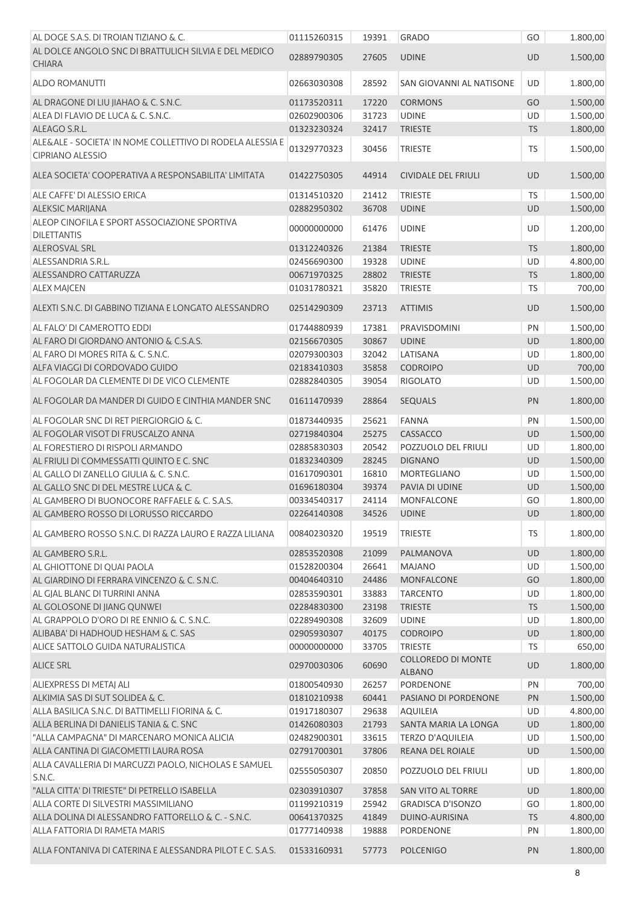| AL DOGE S.A.S. DI TROIAN TIZIANO & C.                     | 01115260315 | 19391 | <b>GRADO</b>               | GO        | 1.800,00 |
|-----------------------------------------------------------|-------------|-------|----------------------------|-----------|----------|
| AL DOLCE ANGOLO SNC DI BRATTULICH SILVIA E DEL MEDICO     |             |       |                            |           |          |
| <b>CHIARA</b>                                             | 02889790305 | 27605 | <b>UDINE</b>               | UD        | 1.500,00 |
| <b>ALDO ROMANUTTI</b>                                     | 02663030308 | 28592 | SAN GIOVANNI AL NATISONE   |           |          |
|                                                           |             |       |                            | UD        | 1.800,00 |
| AL DRAGONE DI LIU JIAHAO & C. S.N.C.                      | 01173520311 | 17220 | <b>CORMONS</b>             | GO        | 1.500,00 |
| ALEA DI FLAVIO DE LUCA & C. S.N.C.                        | 02602900306 | 31723 | <b>UDINE</b>               | UD        | 1.500,00 |
| ALEAGO S.R.L.                                             | 01323230324 | 32417 | <b>TRIESTE</b>             | <b>TS</b> | 1.800,00 |
| ALE&ALE - SOCIETA' IN NOME COLLETTIVO DI RODELA ALESSIA E | 01329770323 | 30456 | <b>TRIESTE</b>             | <b>TS</b> | 1.500,00 |
| <b>CIPRIANO ALESSIO</b>                                   |             |       |                            |           |          |
| ALEA SOCIETA' COOPERATIVA A RESPONSABILITA' LIMITATA      | 01422750305 | 44914 | <b>CIVIDALE DEL FRIULI</b> | <b>UD</b> | 1.500,00 |
|                                                           |             |       |                            |           |          |
| ALE CAFFE' DI ALESSIO ERICA                               | 01314510320 | 21412 | <b>TRIESTE</b>             | <b>TS</b> | 1.500,00 |
| <b>ALEKSIC MARIJANA</b>                                   | 02882950302 | 36708 | <b>UDINE</b>               | UD        | 1.500,00 |
| ALEOP CINOFILA E SPORT ASSOCIAZIONE SPORTIVA              | 00000000000 | 61476 | <b>UDINE</b>               | UD        | 1.200,00 |
| <b>DILETTANTIS</b>                                        |             |       |                            |           |          |
| <b>ALEROSVAL SRL</b>                                      | 01312240326 | 21384 | <b>TRIESTE</b>             | <b>TS</b> | 1.800,00 |
| ALESSANDRIA S.R.L.                                        | 02456690300 | 19328 | <b>UDINE</b>               | UD        | 4.800,00 |
| ALESSANDRO CATTARUZZA                                     | 00671970325 | 28802 | <b>TRIESTE</b>             | <b>TS</b> | 1.800,00 |
| <b>ALEX MAJCEN</b>                                        | 01031780321 | 35820 | <b>TRIESTE</b>             | TS        | 700,00   |
| ALEXTI S.N.C. DI GABBINO TIZIANA E LONGATO ALESSANDRO     | 02514290309 | 23713 | <b>ATTIMIS</b>             | <b>UD</b> | 1.500,00 |
| AL FALO' DI CAMEROTTO EDDI                                | 01744880939 | 17381 |                            | PN        |          |
|                                                           |             |       | PRAVISDOMINI               |           | 1.500,00 |
| AL FARO DI GIORDANO ANTONIO & C.S.A.S.                    | 02156670305 | 30867 | <b>UDINE</b>               | UD        | 1.800,00 |
| AL FARO DI MORES RITA & C. S.N.C.                         | 02079300303 | 32042 | LATISANA                   | UD        | 1.800,00 |
| ALFA VIAGGI DI CORDOVADO GUIDO                            | 02183410303 | 35858 | <b>CODROIPO</b>            | UD        | 700,00   |
| AL FOGOLAR DA CLEMENTE DI DE VICO CLEMENTE                | 02882840305 | 39054 | <b>RIGOLATO</b>            | UD        | 1.500,00 |
| AL FOGOLAR DA MANDER DI GUIDO E CINTHIA MANDER SNC        | 01611470939 | 28864 | <b>SEQUALS</b>             | PN        | 1.800,00 |
| AL FOGOLAR SNC DI RET PIERGIORGIO & C.                    | 01873440935 | 25621 | <b>FANNA</b>               | PN        | 1.500,00 |
| AL FOGOLAR VISOT DI FRUSCALZO ANNA                        | 02719840304 | 25275 | CASSACCO                   | UD        | 1.500,00 |
| AL FORESTIERO DI RISPOLI ARMANDO                          | 02885830303 | 20542 | POZZUOLO DEL FRIULI        | UD        | 1.800,00 |
| AL FRIULI DI COMMESSATTI QUINTO E C. SNC                  | 01832340309 | 28245 | <b>DIGNANO</b>             | UD        | 1.500,00 |
| AL GALLO DI ZANELLO GIULIA & C. S.N.C.                    | 01617090301 | 16810 | <b>MORTEGLIANO</b>         | UD        | 1.500,00 |
| AL GALLO SNC DI DEL MESTRE LUCA & C.                      | 01696180304 | 39374 | PAVIA DI UDINE             | <b>UD</b> | 1.500,00 |
| AL GAMBERO DI BUONOCORE RAFFAELE & C. S.A.S.              | 00334540317 | 24114 | <b>MONFALCONE</b>          | GO        | 1.800,00 |
| AL GAMBERO ROSSO DI LORUSSO RICCARDO                      | 02264140308 | 34526 | <b>UDINE</b>               | UD        | 1.800,00 |
| AL GAMBERO ROSSO S.N.C. DI RAZZA LAURO E RAZZA LILIANA    | 00840230320 | 19519 | <b>TRIESTE</b>             | TS        | 1.800,00 |
| AL GAMBERO S.R.L.                                         | 02853520308 | 21099 | PALMANOVA                  | UD        | 1.800,00 |
| AL GHIOTTONE DI QUAI PAOLA                                | 01528200304 | 26641 | <b>MAJANO</b>              | UD        | 1.500,00 |
| AL GIARDINO DI FERRARA VINCENZO & C. S.N.C.               | 00404640310 | 24486 | MONFALCONE                 | GO        | 1.800,00 |
| AL GIAL BLANC DI TURRINI ANNA                             | 02853590301 | 33883 | <b>TARCENTO</b>            | UD        | 1.800,00 |
| AL GOLOSONE DI JIANG QUNWEI                               | 02284830300 | 23198 | <b>TRIESTE</b>             | <b>TS</b> | 1.500,00 |
| AL GRAPPOLO D'ORO DI RE ENNIO & C. S.N.C.                 | 02289490308 | 32609 | <b>UDINE</b>               | UD        | 1.800,00 |
| ALIBABA' DI HADHOUD HESHAM & C. SAS                       | 02905930307 | 40175 | <b>CODROIPO</b>            | UD        | 1.800,00 |
| ALICE SATTOLO GUIDA NATURALISTICA                         | 00000000000 | 33705 | <b>TRIESTE</b>             | TS        | 650,00   |
|                                                           |             |       | <b>COLLOREDO DI MONTE</b>  |           |          |
| <b>ALICE SRL</b>                                          | 02970030306 | 60690 | <b>ALBANO</b>              | <b>UD</b> | 1.800,00 |
| ALIEXPRESS DI METAJ ALI                                   | 01800540930 | 26257 | PORDENONE                  | PN        | 700,00   |
| ALKIMIA SAS DI SUT SOLIDEA & C.                           | 01810210938 | 60441 | PASIANO DI PORDENONE       | PN        | 1.500,00 |
| ALLA BASILICA S.N.C. DI BATTIMELLI FIORINA & C.           | 01917180307 | 29638 | <b>AQUILEIA</b>            | UD        | 4.800,00 |
| ALLA BERLINA DI DANIELIS TANIA & C. SNC                   | 01426080303 | 21793 | SANTA MARIA LA LONGA       | UD        | 1.800,00 |
| "ALLA CAMPAGNA" DI MARCENARO MONICA ALICIA                | 02482900301 | 33615 | <b>TERZO D'AQUILEIA</b>    | UD        | 1.500,00 |
| ALLA CANTINA DI GIACOMETTI LAURA ROSA                     | 02791700301 | 37806 | REANA DEL ROIALE           | UD        | 1.500,00 |
| ALLA CAVALLERIA DI MARCUZZI PAOLO, NICHOLAS E SAMUEL      |             |       |                            |           |          |
| S.N.C.                                                    | 02555050307 | 20850 | POZZUOLO DEL FRIULI        | UD        | 1.800,00 |
| "ALLA CITTA' DI TRIESTE" DI PETRELLO ISABELLA             | 02303910307 | 37858 | SAN VITO AL TORRE          | <b>UD</b> | 1.800,00 |
| ALLA CORTE DI SILVESTRI MASSIMILIANO                      | 01199210319 | 25942 | <b>GRADISCA D'ISONZO</b>   | GO        | 1.800,00 |
| ALLA DOLINA DI ALESSANDRO FATTORELLO & C. - S.N.C.        | 00641370325 | 41849 | DUINO-AURISINA             | <b>TS</b> | 4.800,00 |
| ALLA FATTORIA DI RAMETA MARIS                             | 01777140938 | 19888 | <b>PORDENONE</b>           | PN        | 1.800,00 |
| ALLA FONTANIVA DI CATERINA E ALESSANDRA PILOT E C. S.A.S. | 01533160931 | 57773 | <b>POLCENIGO</b>           | PN        | 1.800,00 |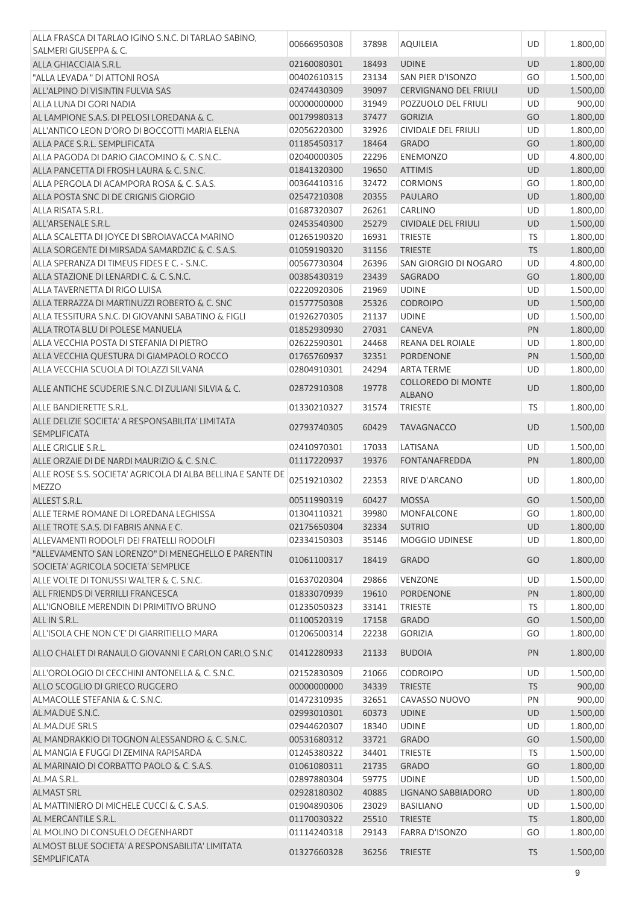| ALLA FRASCA DI TARLAO IGINO S.N.C. DI TARLAO SABINO,            |                            |                |                              |                 |                      |
|-----------------------------------------------------------------|----------------------------|----------------|------------------------------|-----------------|----------------------|
| SALMERI GIUSEPPA & C.                                           | 00666950308                | 37898          | <b>AQUILEIA</b>              | UD              | 1.800,00             |
| ALLA GHIACCIAIA S.R.L.                                          | 02160080301                | 18493          | <b>UDINE</b>                 | <b>UD</b>       | 1.800,00             |
| "ALLA LEVADA" DI ATTONI ROSA                                    | 00402610315                | 23134          | SAN PIER D'ISONZO            | GO              | 1.500,00             |
| ALL'ALPINO DI VISINTIN FULVIA SAS                               | 02474430309                | 39097          | <b>CERVIGNANO DEL FRIULI</b> | <b>UD</b>       | 1.500,00             |
| ALLA LUNA DI GORI NADIA                                         | 00000000000                | 31949          | POZZUOLO DEL FRIULI          | <b>UD</b>       | 900,00               |
| AL LAMPIONE S.A.S. DI PELOSI LOREDANA & C.                      | 00179980313                | 37477          | <b>GORIZIA</b>               | GO              | 1.800,00             |
| ALL'ANTICO LEON D'ORO DI BOCCOTTI MARIA ELENA                   | 02056220300                | 32926          | CIVIDALE DEL FRIULI          | UD              | 1.800,00             |
| ALLA PACE S.R.L. SEMPLIFICATA                                   | 01185450317                | 18464          | <b>GRADO</b>                 | GO              | 1.800,00             |
| ALLA PAGODA DI DARIO GIACOMINO & C. S.N.C                       | 02040000305                | 22296          | <b>ENEMONZO</b>              | UD              | 4.800,00             |
| ALLA PANCETTA DI FROSH LAURA & C. S.N.C.                        | 01841320300                | 19650          | <b>ATTIMIS</b>               | <b>UD</b>       | 1.800,00             |
| ALLA PERGOLA DI ACAMPORA ROSA & C. S.A.S.                       | 00364410316                | 32472          | <b>CORMONS</b>               | GO              | 1.800,00             |
| ALLA POSTA SNC DI DE CRIGNIS GIORGIO                            | 02547210308                | 20355          | <b>PAULARO</b>               | UD              | 1.800,00             |
| ALLA RISATA S.R.L.                                              |                            |                |                              |                 |                      |
|                                                                 | 01687320307                | 26261          | <b>CARLINO</b>               | UD              | 1.800,00             |
| ALL'ARSENALE S.R.L.                                             | 02453540300                | 25279          | <b>CIVIDALE DEL FRIULI</b>   | UD              | 1.500,00             |
| ALLA SCALETTA DI JOYCE DI SBROIAVACCA MARINO                    | 01265190320                | 16931          | <b>TRIESTE</b>               | TS              | 1.800,00             |
| ALLA SORGENTE DI MIRSADA SAMARDZIC & C. S.A.S.                  | 01059190320                | 31156          | <b>TRIESTE</b>               | <b>TS</b>       | 1.800,00             |
| ALLA SPERANZA DI TIMEUS FIDES E C. - S.N.C.                     | 00567730304                | 26396          | SAN GIORGIO DI NOGARO        | UD              | 4.800,00             |
| ALLA STAZIONE DI LENARDI C. & C. S.N.C.                         | 00385430319                | 23439          | SAGRADO                      | GO              | 1.800,00             |
| ALLA TAVERNETTA DI RIGO LUISA                                   | 02220920306                | 21969          | <b>UDINE</b>                 | UD              | 1.500,00             |
| ALLA TERRAZZA DI MARTINUZZI ROBERTO & C. SNC                    | 01577750308                | 25326          | <b>CODROIPO</b>              | UD              | 1.500,00             |
| ALLA TESSITURA S.N.C. DI GIOVANNI SABATINO & FIGLI              | 01926270305                | 21137          | <b>UDINE</b>                 | UD              | 1.500,00             |
| ALLA TROTA BLU DI POLESE MANUELA                                | 01852930930                | 27031          | CANEVA                       | PN              | 1.800,00             |
| ALLA VECCHIA POSTA DI STEFANIA DI PIETRO                        | 02622590301                | 24468          | <b>REANA DEL ROIALE</b>      | UD              | 1.800,00             |
| ALLA VECCHIA QUESTURA DI GIAMPAOLO ROCCO                        | 01765760937                | 32351          | <b>PORDENONE</b>             | PN              | 1.500,00             |
| ALLA VECCHIA SCUOLA DI TOLAZZI SILVANA                          | 02804910301                | 24294          | <b>ARTA TERME</b>            | UD              | 1.800,00             |
|                                                                 |                            |                | <b>COLLOREDO DI MONTE</b>    |                 |                      |
| ALLE ANTICHE SCUDERIE S.N.C. DI ZULIANI SILVIA & C.             | 02872910308                | 19778          | <b>ALBANO</b>                | <b>UD</b>       | 1.800,00             |
| ALLE BANDIERETTE S.R.L.                                         | 01330210327                | 31574          | <b>TRIESTE</b>               | TS              | 1.800,00             |
| ALLE DELIZIE SOCIETA' A RESPONSABILITA' LIMITATA                |                            |                |                              |                 |                      |
| <b>SEMPLIFICATA</b>                                             | 02793740305                | 60429          | <b>TAVAGNACCO</b>            | <b>UD</b>       | 1.500,00             |
| <b>ALLE GRIGLIE S.R.L.</b>                                      | 02410970301                | 17033          | LATISANA                     | UD              | 1.500,00             |
| ALLE ORZAIE DI DE NARDI MAURIZIO & C. S.N.C.                    | 01117220937                | 19376          | <b>FONTANAFREDDA</b>         | PN              | 1.800,00             |
| ALLE ROSE S.S. SOCIETA' AGRICOLA DI ALBA BELLINA E SANTE DE     |                            |                |                              |                 |                      |
| <b>MEZZO</b>                                                    | 02519210302                | 22353          | RIVE D'ARCANO                | UD              | 1.800,00             |
| ALLEST S.R.L.                                                   | 00511990319                | 60427          | <b>MOSSA</b>                 | GO              | 1.500,00             |
| ALLE TERME ROMANE DI LOREDANA LEGHISSA                          |                            |                |                              |                 |                      |
| ALLE TROTE S.A.S. DI FABRIS ANNA E C.                           | 01304110321<br>02175650304 | 39980<br>32334 | MONFALCONE<br><b>SUTRIO</b>  | GO<br><b>UD</b> | 1.800,00<br>1.800,00 |
|                                                                 |                            |                | <b>MOGGIO UDINESE</b>        |                 |                      |
| ALLEVAMENTI RODOLFI DEI FRATELLI RODOLFI                        | 02334150303                | 35146          |                              | UD              | 1.800,00             |
| "ALLEVAMENTO SAN LORENZO" DI MENEGHELLO E PARENTIN              | 01061100317                | 18419          | <b>GRADO</b>                 | GO              | 1.800,00             |
| SOCIETA' AGRICOLA SOCIETA' SEMPLICE                             |                            |                |                              |                 |                      |
| ALLE VOLTE DI TONUSSI WALTER & C. S.N.C.                        | 01637020304                | 29866          | <b>VENZONE</b>               | UD              | 1.500,00             |
| ALL FRIENDS DI VERRILLI FRANCESCA                               | 01833070939                | 19610          | PORDENONE                    | PN              | 1.800,00             |
| ALL'IGNOBILE MERENDIN DI PRIMITIVO BRUNO                        | 01235050323                | 33141          | <b>TRIESTE</b>               | <b>TS</b>       | 1.800,00             |
| ALL IN S.R.L.                                                   | 01100520319                | 17158          | <b>GRADO</b>                 | GO              | 1.500,00             |
| ALL'ISOLA CHE NON C'E' DI GIARRITIELLO MARA                     | 01206500314                | 22238          | <b>GORIZIA</b>               | GO              | 1.800,00             |
| ALLO CHALET DI RANAULO GIOVANNI E CARLON CARLO S.N.C            | 01412280933                | 21133          | <b>BUDOIA</b>                | PN              | 1.800,00             |
| ALL'OROLOGIO DI CECCHINI ANTONELLA & C. S.N.C.                  | 02152830309                | 21066          | <b>CODROIPO</b>              | UD              | 1.500,00             |
| ALLO SCOGLIO DI GRIECO RUGGERO                                  | 00000000000                | 34339          | <b>TRIESTE</b>               | <b>TS</b>       | 900,00               |
| ALMACOLLE STEFANIA & C. S.N.C.                                  | 01472310935                | 32651          | CAVASSO NUOVO                | PN              | 900,00               |
| AL.MA.DUE S.N.C.                                                | 02993010301                | 60373          | <b>UDINE</b>                 | UD              | 1.500,00             |
| AL.MA.DUE SRLS                                                  |                            |                |                              |                 |                      |
|                                                                 | 02944620307                | 18340          | <b>UDINE</b>                 | UD              | 1.800,00             |
| AL MANDRAKKIO DI TOGNON ALESSANDRO & C. S.N.C.                  | 00531680312                | 33721          | <b>GRADO</b>                 | GO              | 1.500,00             |
| AL MANGIA E FUGGI DI ZEMINA RAPISARDA                           | 01245380322                | 34401          | <b>TRIESTE</b>               | <b>TS</b>       | 1.500,00             |
| AL MARINAIO DI CORBATTO PAOLO & C. S.A.S.                       | 01061080311                | 21735          | <b>GRADO</b>                 | GO              | 1.800,00             |
| AL.MA S.R.L.                                                    | 02897880304                | 59775          | <b>UDINE</b>                 | <b>UD</b>       | 1.500,00             |
| <b>ALMAST SRL</b>                                               | 02928180302                | 40885          | LIGNANO SABBIADORO           | <b>UD</b>       | 1.800,00             |
| AL MATTINIERO DI MICHELE CUCCI & C. S.A.S.                      | 01904890306                | 23029          | <b>BASILIANO</b>             | UD              | 1.500,00             |
| AL MERCANTILE S.R.L.                                            | 01170030322                | 25510          | <b>TRIESTE</b>               | <b>TS</b>       | 1.800,00             |
| AL MOLINO DI CONSUELO DEGENHARDT                                | 01114240318                | 29143          | <b>FARRA D'ISONZO</b>        | GO              | 1.800,00             |
| ALMOST BLUE SOCIETA' A RESPONSABILITA' LIMITATA<br>SEMPLIFICATA | 01327660328                | 36256          | <b>TRIESTE</b>               | TS              | 1.500,00             |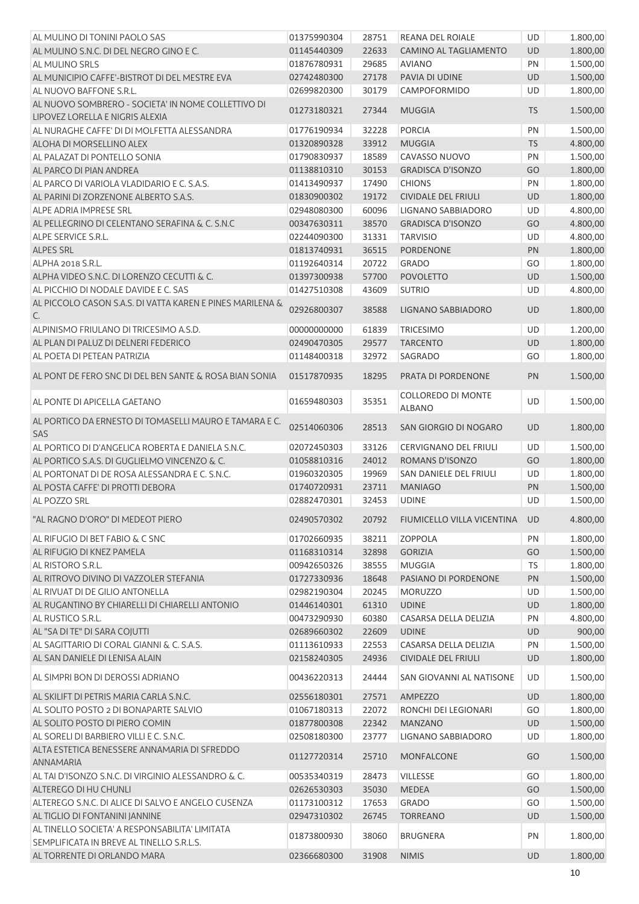| AL MULINO DI TONINI PAOLO SAS                                                         | 01375990304 | 28751 | <b>REANA DEL ROIALE</b>                    | <b>UD</b> | 1.800,00 |
|---------------------------------------------------------------------------------------|-------------|-------|--------------------------------------------|-----------|----------|
| AL MULINO S.N.C. DI DEL NEGRO GINO E C.                                               | 01145440309 | 22633 | CAMINO AL TAGLIAMENTO                      | UD        | 1.800,00 |
| AL MULINO SRLS                                                                        | 01876780931 | 29685 | <b>AVIANO</b>                              | PN        | 1.500,00 |
| AL MUNICIPIO CAFFE'-BISTROT DI DEL MESTRE EVA                                         | 02742480300 | 27178 | PAVIA DI UDINE                             | <b>UD</b> | 1.500,00 |
| AL NUOVO BAFFONE S.R.L.                                                               | 02699820300 | 30179 | CAMPOFORMIDO                               | UD        | 1.800,00 |
| AL NUOVO SOMBRERO - SOCIETA' IN NOME COLLETTIVO DI<br>LIPOVEZ LORELLA E NIGRIS ALEXIA | 01273180321 | 27344 | <b>MUGGIA</b>                              | <b>TS</b> | 1.500,00 |
| AL NURAGHE CAFFE' DI DI MOLFETTA ALESSANDRA                                           | 01776190934 | 32228 | <b>PORCIA</b>                              | PN        | 1.500,00 |
| ALOHA DI MORSELLINO ALEX                                                              | 01320890328 | 33912 | <b>MUGGIA</b>                              | <b>TS</b> | 4.800,00 |
| AL PALAZAT DI PONTELLO SONIA                                                          | 01790830937 | 18589 | CAVASSO NUOVO                              | PN        | 1.500,00 |
| AL PARCO DI PIAN ANDREA                                                               | 01138810310 | 30153 | <b>GRADISCA D'ISONZO</b>                   | GO        | 1.800,00 |
| AL PARCO DI VARIOLA VLADIDARIO E C. S.A.S.                                            | 01413490937 | 17490 | <b>CHIONS</b>                              | PN        | 1.800,00 |
| AL PARINI DI ZORZENONE ALBERTO S.A.S.                                                 | 01830900302 | 19172 | <b>CIVIDALE DEL FRIULI</b>                 | UD        | 1.800,00 |
| <b>ALPE ADRIA IMPRESE SRL</b>                                                         | 02948080300 | 60096 | LIGNANO SABBIADORO                         | UD        | 4.800,00 |
| AL PELLEGRINO DI CELENTANO SERAFINA & C. S.N.C                                        | 00347630311 | 38570 | <b>GRADISCA D'ISONZO</b>                   | GO        | 4.800,00 |
| ALPE SERVICE S.R.L.                                                                   | 02244090300 | 31331 | <b>TARVISIO</b>                            | UD        | 4.800,00 |
| ALPES SRL                                                                             | 01813740931 | 36515 | PORDENONE                                  | PN        | 1.800,00 |
| ALPHA 2018 S.R.L.                                                                     | 01192640314 | 20722 | <b>GRADO</b>                               | GO        | 1.800,00 |
| ALPHA VIDEO S.N.C. DI LORENZO CECUTTI & C.                                            | 01397300938 | 57700 | <b>POVOLETTO</b>                           | UD        | 1.500,00 |
| AL PICCHIO DI NODALE DAVIDE E C. SAS                                                  | 01427510308 | 43609 | <b>SUTRIO</b>                              | UD        | 4.800,00 |
|                                                                                       |             |       |                                            |           |          |
| AL PICCOLO CASON S.A.S. DI VATTA KAREN E PINES MARILENA &<br>C.                       | 02926800307 | 38588 | LIGNANO SABBIADORO                         | UD        | 1.800,00 |
| ALPINISMO FRIULANO DI TRICESIMO A.S.D.                                                | 00000000000 | 61839 | <b>TRICESIMO</b>                           | UD        | 1.200,00 |
| AL PLAN DI PALUZ DI DELNERI FEDERICO                                                  | 02490470305 | 29577 | <b>TARCENTO</b>                            | UD        | 1.800,00 |
| AL POETA DI PETEAN PATRIZIA                                                           | 01148400318 | 32972 | SAGRADO                                    | GO        | 1.800,00 |
| AL PONT DE FERO SNC DI DEL BEN SANTE & ROSA BIAN SONIA                                | 01517870935 | 18295 | PRATA DI PORDENONE                         | PN        | 1.500,00 |
| AL PONTE DI APICELLA GAETANO                                                          | 01659480303 | 35351 | <b>COLLOREDO DI MONTE</b><br><b>ALBANO</b> | <b>UD</b> | 1.500,00 |
| AL PORTICO DA ERNESTO DI TOMASELLI MAURO E TAMARA E C.<br>SAS                         | 02514060306 | 28513 | SAN GIORGIO DI NOGARO                      | UD        | 1.800,00 |
| AL PORTICO DI D'ANGELICA ROBERTA E DANIELA S.N.C.                                     | 02072450303 | 33126 | <b>CERVIGNANO DEL FRIULI</b>               | UD        | 1.500,00 |
| AL PORTICO S.A.S. DI GUGLIELMO VINCENZO & C.                                          | 01058810316 | 24012 | ROMANS D'ISONZO                            | GO        | 1.800,00 |
| AL PORTONAT DI DE ROSA ALESSANDRA E C. S.N.C.                                         | 01960320305 | 19969 | SAN DANIELE DEL FRIULI                     | UD        | 1.800,00 |
| AL POSTA CAFFE' DI PROTTI DEBORA                                                      | 01740720931 | 23711 | <b>MANIAGO</b>                             | PN        | 1.500,00 |
| AL POZZO SRL                                                                          | 02882470301 | 32453 | <b>UDINE</b>                               | <b>UD</b> | 1.500,00 |
| "AL RAGNO D'ORO" DI MEDEOT PIERO                                                      | 02490570302 | 20792 | FIUMICELLO VILLA VICENTINA                 | <b>UD</b> | 4.800,00 |
| AL RIFUGIO DI BET FABIO & C SNC                                                       | 01702660935 | 38211 | ZOPPOLA                                    | PN        | 1.800,00 |
| AL RIFUGIO DI KNEZ PAMELA                                                             | 01168310314 | 32898 | <b>GORIZIA</b>                             | GO        | 1.500,00 |
| AL RISTORO S.R.L.                                                                     | 00942650326 | 38555 | <b>MUGGIA</b>                              | <b>TS</b> | 1.800,00 |
| AL RITROVO DIVINO DI VAZZOLER STEFANIA                                                | 01727330936 | 18648 | PASIANO DI PORDENONE                       | PN        | 1.500,00 |
| AL RIVUAT DI DE GILIO ANTONELLA                                                       | 02982190304 | 20245 | <b>MORUZZO</b>                             | UD        | 1.500,00 |
| AL RUGANTINO BY CHIARELLI DI CHIARELLI ANTONIO                                        | 01446140301 | 61310 | <b>UDINE</b>                               | <b>UD</b> | 1.800,00 |
| AL RUSTICO S.R.L.                                                                     | 00473290930 | 60380 | CASARSA DELLA DELIZIA                      | PN        | 4.800,00 |
| AL "SA DI TE" DI SARA COJUTTI                                                         | 02689660302 | 22609 | <b>UDINE</b>                               | UD        | 900,00   |
| AL SAGITTARIO DI CORAL GIANNI & C. S.A.S.                                             | 01113610933 | 22553 | CASARSA DELLA DELIZIA                      | PN        | 1.500,00 |
| AL SAN DANIELE DI LENISA ALAIN                                                        | 02158240305 | 24936 | <b>CIVIDALE DEL FRIULI</b>                 | <b>UD</b> | 1.800,00 |
| AL SIMPRI BON DI DEROSSI ADRIANO                                                      | 00436220313 | 24444 | SAN GIOVANNI AL NATISONE                   | UD        | 1.500,00 |
| AL SKILIFT DI PETRIS MARIA CARLA S.N.C.                                               | 02556180301 | 27571 | AMPEZZO                                    | UD        | 1.800,00 |
| AL SOLITO POSTO 2 DI BONAPARTE SALVIO                                                 | 01067180313 | 22072 | RONCHI DEI LEGIONARI                       | GO        | 1.800,00 |
| AL SOLITO POSTO DI PIERO COMIN                                                        | 01877800308 | 22342 | <b>MANZANO</b>                             | UD        | 1.500,00 |
| AL SORELI DI BARBIERO VILLI E C. S.N.C.                                               | 02508180300 | 23777 | LIGNANO SABBIADORO                         | UD        | 1.800,00 |
| ALTA ESTETICA BENESSERE ANNAMARIA DI SFREDDO<br>ANNAMARIA                             | 01127720314 | 25710 | <b>MONFALCONE</b>                          | GO        | 1.500,00 |
| AL TAI D'ISONZO S.N.C. DI VIRGINIO ALESSANDRO & C.                                    | 00535340319 | 28473 | VILLESSE                                   | GO        | 1.800,00 |
| ALTEREGO DI HU CHUNLI                                                                 | 02626530303 | 35030 | <b>MEDEA</b>                               | GO        | 1.500,00 |
| ALTEREGO S.N.C. DI ALICE DI SALVO E ANGELO CUSENZA                                    | 01173100312 | 17653 | <b>GRADO</b>                               | GO        | 1.500,00 |
| AL TIGLIO DI FONTANINI JANNINE                                                        | 02947310302 | 26745 | <b>TORREANO</b>                            | <b>UD</b> | 1.500,00 |
| AL TINELLO SOCIETA' A RESPONSABILITA' LIMITATA                                        |             |       |                                            |           |          |
| SEMPLIFICATA IN BREVE AL TINELLO S.R.L.S.                                             | 01873800930 | 38060 | <b>BRUGNERA</b>                            | PN        | 1.800,00 |
| AL TORRENTE DI ORLANDO MARA                                                           | 02366680300 | 31908 | <b>NIMIS</b>                               | <b>UD</b> | 1.800,00 |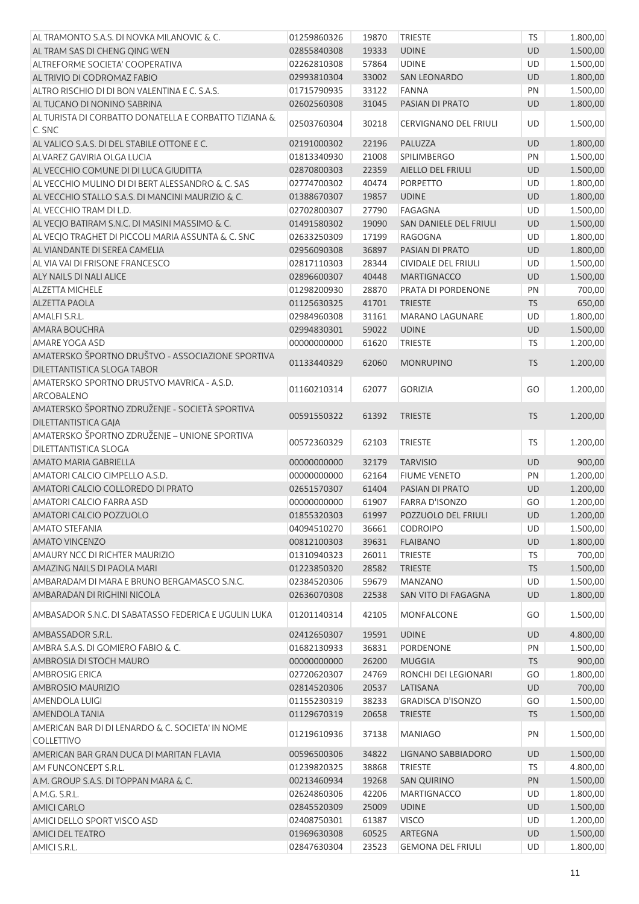| AL TRAMONTO S.A.S. DI NOVKA MILANOVIC & C.                                       | 01259860326 | 19870 | <b>TRIESTE</b>               | TS        | 1.800,00 |
|----------------------------------------------------------------------------------|-------------|-------|------------------------------|-----------|----------|
| AL TRAM SAS DI CHENG QING WEN                                                    | 02855840308 | 19333 | <b>UDINE</b>                 | UD        | 1.500,00 |
| ALTREFORME SOCIETA' COOPERATIVA                                                  | 02262810308 | 57864 | <b>UDINE</b>                 | UD        | 1.500,00 |
| AL TRIVIO DI CODROMAZ FABIO                                                      | 02993810304 | 33002 | <b>SAN LEONARDO</b>          | <b>UD</b> | 1.800,00 |
| ALTRO RISCHIO DI DI BON VALENTINA E C. S.A.S.                                    | 01715790935 | 33122 | <b>FANNA</b>                 | PN        | 1.500,00 |
| AL TUCANO DI NONINO SABRINA                                                      | 02602560308 | 31045 | PASIAN DI PRATO              | <b>UD</b> | 1.800,00 |
| AL TURISTA DI CORBATTO DONATELLA E CORBATTO TIZIANA &<br>C. SNC                  | 02503760304 | 30218 | <b>CERVIGNANO DEL FRIULI</b> | UD        | 1.500,00 |
| AL VALICO S.A.S. DI DEL STABILE OTTONE E C.                                      | 02191000302 | 22196 | PALUZZA                      | <b>UD</b> | 1.800,00 |
| ALVAREZ GAVIRIA OLGA LUCIA                                                       | 01813340930 | 21008 | SPILIMBERGO                  | PN        | 1.500,00 |
| AL VECCHIO COMUNE DI DI LUCA GIUDITTA                                            | 02870800303 | 22359 | <b>AIELLO DEL FRIULI</b>     | <b>UD</b> | 1.500,00 |
| AL VECCHIO MULINO DI DI BERT ALESSANDRO & C. SAS                                 | 02774700302 | 40474 | <b>PORPETTO</b>              | UD        |          |
|                                                                                  |             |       |                              |           | 1.800,00 |
| AL VECCHIO STALLO S.A.S. DI MANCINI MAURIZIO & C.                                | 01388670307 | 19857 | <b>UDINE</b>                 | UD        | 1.800,00 |
| AL VECCHIO TRAM DI L.D.                                                          | 02702800307 | 27790 | FAGAGNA                      | UD        | 1.500,00 |
| AL VECJO BATIRAM S.N.C. DI MASINI MASSIMO & C.                                   | 01491580302 | 19090 | SAN DANIELE DEL FRIULI       | UD        | 1.500,00 |
| AL VECJO TRAGHET DI PICCOLI MARIA ASSUNTA & C. SNC                               | 02633250309 | 17199 | <b>RAGOGNA</b>               | UD        | 1.800,00 |
| AL VIANDANTE DI SEREA CAMELIA                                                    | 02956090308 | 36897 | PASIAN DI PRATO              | UD        | 1.800,00 |
| AL VIA VAI DI FRISONE FRANCESCO                                                  | 02817110303 | 28344 | <b>CIVIDALE DEL FRIULI</b>   | UD        | 1.500,00 |
| ALY NAILS DI NALI ALICE                                                          | 02896600307 | 40448 | <b>MARTIGNACCO</b>           | UD        | 1.500,00 |
| <b>ALZETTA MICHELE</b>                                                           | 01298200930 | 28870 | PRATA DI PORDENONE           | PN        | 700,00   |
| <b>ALZETTA PAOLA</b>                                                             | 01125630325 | 41701 | <b>TRIESTE</b>               | <b>TS</b> | 650,00   |
| AMALFI S.R.L.                                                                    | 02984960308 | 31161 | <b>MARANO LAGUNARE</b>       | UD        | 1.800,00 |
| AMARA BOUCHRA                                                                    | 02994830301 | 59022 | <b>UDINE</b>                 | UD        | 1.500,00 |
| AMARE YOGA ASD                                                                   | 00000000000 | 61620 | <b>TRIESTE</b>               | TS        | 1.200,00 |
| AMATERSKO ŠPORTNO DRUŠTVO - ASSOCIAZIONE SPORTIVA<br>DILETTANTISTICA SLOGA TABOR | 01133440329 | 62060 | <b>MONRUPINO</b>             | <b>TS</b> | 1.200,00 |
| AMATERSKO SPORTNO DRUSTVO MAVRICA - A.S.D.<br>ARCOBALENO                         | 01160210314 | 62077 | <b>GORIZIA</b>               | GO        | 1.200,00 |
| AMATERSKO ŠPORTNO ZDRUŽENJE - SOCIETÀ SPORTIVA<br>DILETTANTISTICA GAJA           | 00591550322 | 61392 | <b>TRIESTE</b>               | <b>TS</b> | 1.200,00 |
| AMATERSKO ŠPORTNO ZDRUŽENJE - UNIONE SPORTIVA<br>DILETTANTISTICA SLOGA           | 00572360329 | 62103 | <b>TRIESTE</b>               | <b>TS</b> | 1.200,00 |
| AMATO MARIA GABRIELLA                                                            | 00000000000 | 32179 | <b>TARVISIO</b>              | UD        | 900,00   |
| AMATORI CALCIO CIMPELLO A.S.D.                                                   | 00000000000 | 62164 | <b>FIUME VENETO</b>          | PN        | 1.200,00 |
| AMATORI CALCIO COLLOREDO DI PRATO                                                | 02651570307 | 61404 | PASIAN DI PRATO              | UD        | 1.200,00 |
| AMATORI CALCIO FARRA ASD                                                         | 00000000000 | 61907 | <b>FARRA D'ISONZO</b>        | GO        | 1.200,00 |
| AMATORI CALCIO POZZUOLO                                                          | 01855320303 | 61997 | POZZUOLO DEL FRIULI          | UD        | 1.200,00 |
| <b>AMATO STEFANIA</b>                                                            | 04094510270 | 36661 | <b>CODROIPO</b>              | <b>UD</b> | 1.500,00 |
| <b>AMATO VINCENZO</b>                                                            | 00812100303 | 39631 | <b>FLAIBANO</b>              | UD        | 1.800,00 |
| <b>AMAURY NCC DI RICHTER MAURIZIO</b>                                            | 01310940323 | 26011 | <b>TRIESTE</b>               | <b>TS</b> | 700,00   |
| AMAZING NAILS DI PAOLA MARI                                                      | 01223850320 | 28582 | <b>TRIESTE</b>               | <b>TS</b> | 1.500,00 |
| AMBARADAM DI MARA E BRUNO BERGAMASCO S.N.C.                                      | 02384520306 | 59679 | <b>MANZANO</b>               | <b>UD</b> | 1.500,00 |
| AMBARADAN DI RIGHINI NICOLA                                                      | 02636070308 | 22538 | SAN VITO DI FAGAGNA          | <b>UD</b> | 1.800,00 |
|                                                                                  |             |       |                              |           |          |
| AMBASADOR S.N.C. DI SABATASSO FEDERICA E UGULIN LUKA                             | 01201140314 | 42105 | <b>MONFALCONE</b>            | GO        | 1.500,00 |
| AMBASSADOR S.R.L.                                                                | 02412650307 | 19591 | <b>UDINE</b>                 | <b>UD</b> | 4.800,00 |
| AMBRA S.A.S. DI GOMIERO FABIO & C.                                               | 01682130933 | 36831 | <b>PORDENONE</b>             | PN        | 1.500,00 |
| AMBROSIA DI STOCH MAURO                                                          | 00000000000 | 26200 | <b>MUGGIA</b>                | <b>TS</b> | 900,00   |
| <b>AMBROSIG ERICA</b>                                                            | 02720620307 | 24769 | RONCHI DEI LEGIONARI         | GO        | 1.800,00 |
| AMBROSIO MAURIZIO                                                                | 02814520306 | 20537 | LATISANA                     | <b>UD</b> | 700,00   |
| AMENDOLA LUIGI                                                                   | 01155230319 | 38233 | <b>GRADISCA D'ISONZO</b>     | GO        | 1.500,00 |
| AMENDOLA TANIA                                                                   | 01129670319 | 20658 | <b>TRIESTE</b>               | <b>TS</b> | 1.500,00 |
| AMERICAN BAR DI DI LENARDO & C. SOCIETA' IN NOME<br>COLLETTIVO                   | 01219610936 | 37138 | <b>MANIAGO</b>               | PN        | 1.500,00 |
| AMERICAN BAR GRAN DUCA DI MARITAN FLAVIA                                         | 00596500306 | 34822 | LIGNANO SABBIADORO           | <b>UD</b> | 1.500,00 |
| AM FUNCONCEPT S.R.L.                                                             | 01239820325 | 38868 | <b>TRIESTE</b>               | <b>TS</b> | 4.800,00 |
| A.M. GROUP S.A.S. DI TOPPAN MARA & C.                                            | 00213460934 | 19268 | <b>SAN QUIRINO</b>           | PN        | 1.500,00 |
| A.M.G. S.R.L.                                                                    | 02624860306 | 42206 | <b>MARTIGNACCO</b>           | UD        | 1.800,00 |
| <b>AMICI CARLO</b>                                                               | 02845520309 | 25009 | <b>UDINE</b>                 | <b>UD</b> | 1.500,00 |
| AMICI DELLO SPORT VISCO ASD                                                      | 02408750301 | 61387 | <b>VISCO</b>                 | UD        | 1.200,00 |
| <b>AMICI DEL TEATRO</b>                                                          | 01969630308 | 60525 | ARTEGNA                      | <b>UD</b> | 1.500,00 |
| AMICI S.R.L.                                                                     | 02847630304 | 23523 | <b>GEMONA DEL FRIULI</b>     | <b>UD</b> | 1.800,00 |
|                                                                                  |             |       |                              |           |          |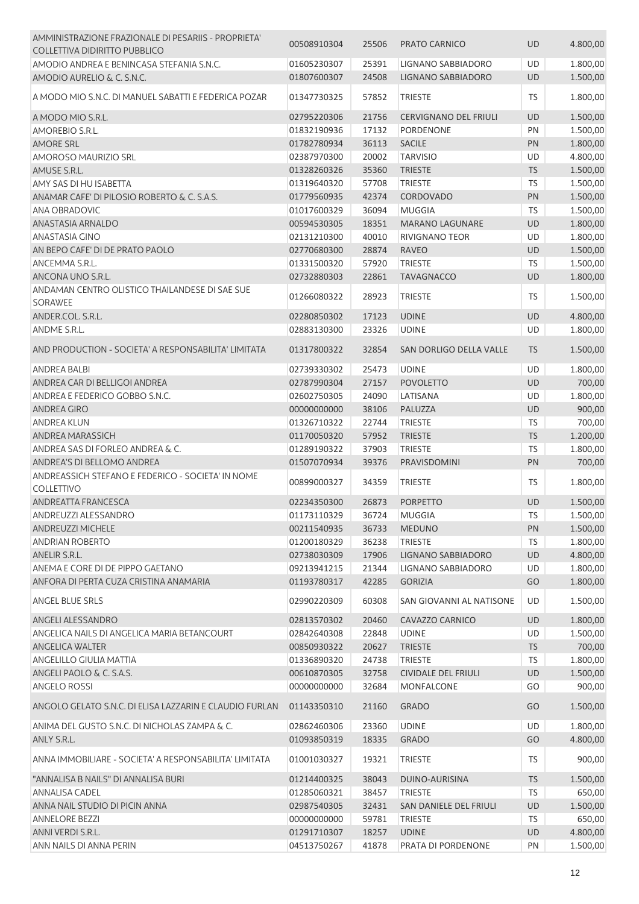| AMMINISTRAZIONE FRAZIONALE DI PESARIIS - PROPRIETA'                    |             |       |                              |           |          |
|------------------------------------------------------------------------|-------------|-------|------------------------------|-----------|----------|
| <b>COLLETTIVA DIDIRITTO PUBBLICO</b>                                   | 00508910304 | 25506 | PRATO CARNICO                | <b>UD</b> | 4.800,00 |
| AMODIO ANDREA E BENINCASA STEFANIA S.N.C.                              | 01605230307 | 25391 | LIGNANO SABBIADORO           | UD        | 1.800,00 |
| AMODIO AURELIO & C. S.N.C.                                             | 01807600307 | 24508 | LIGNANO SABBIADORO           | <b>UD</b> | 1.500,00 |
|                                                                        |             |       |                              |           |          |
| A MODO MIO S.N.C. DI MANUEL SABATTI E FEDERICA POZAR                   | 01347730325 | 57852 | <b>TRIESTE</b>               | TS        | 1.800,00 |
| A MODO MIO S.R.L.                                                      | 02795220306 | 21756 | <b>CERVIGNANO DEL FRIULI</b> | <b>UD</b> | 1.500,00 |
| AMOREBIO S.R.L.                                                        | 01832190936 | 17132 | <b>PORDENONE</b>             | PN        | 1.500,00 |
| <b>AMORE SRL</b>                                                       | 01782780934 | 36113 | <b>SACILE</b>                | PN        | 1.800,00 |
| AMOROSO MAURIZIO SRL                                                   | 02387970300 | 20002 | <b>TARVISIO</b>              | <b>UD</b> | 4.800,00 |
| AMUSE S.R.L.                                                           |             |       |                              |           |          |
|                                                                        | 01328260326 | 35360 | <b>TRIESTE</b>               | <b>TS</b> | 1.500,00 |
| AMY SAS DI HU ISABETTA                                                 | 01319640320 | 57708 | <b>TRIESTE</b>               | <b>TS</b> | 1.500,00 |
| ANAMAR CAFE' DI PILOSIO ROBERTO & C. S.A.S.                            | 01779560935 | 42374 | CORDOVADO                    | PN        | 1.500,00 |
| ANA OBRADOVIC                                                          | 01017600329 | 36094 | <b>MUGGIA</b>                | <b>TS</b> | 1.500,00 |
| ANASTASIA ARNALDO                                                      | 00594530305 | 18351 | <b>MARANO LAGUNARE</b>       | UD        | 1.800,00 |
| ANASTASIA GINO                                                         | 02131210300 | 40010 | RIVIGNANO TEOR               | UD        | 1.800,00 |
| AN BEPO CAFE' DI DE PRATO PAOLO                                        | 02770680300 | 28874 | <b>RAVEO</b>                 | UD        | 1.500,00 |
| ANCEMMA S.R.L.                                                         | 01331500320 | 57920 | <b>TRIESTE</b>               | <b>TS</b> | 1.500,00 |
| ANCONA UNO S.R.L.                                                      | 02732880303 | 22861 | <b>TAVAGNACCO</b>            | <b>UD</b> | 1.800,00 |
| ANDAMAN CENTRO OLISTICO THAILANDESE DI SAE SUE                         |             |       |                              |           |          |
| SORAWEE                                                                | 01266080322 | 28923 | <b>TRIESTE</b>               | <b>TS</b> | 1.500,00 |
| ANDER.COL. S.R.L.                                                      | 02280850302 | 17123 | <b>UDINE</b>                 | <b>UD</b> | 4.800,00 |
| ANDME S.R.L.                                                           | 02883130300 | 23326 | <b>UDINE</b>                 | UD        | 1.800,00 |
|                                                                        |             |       |                              |           |          |
| AND PRODUCTION - SOCIETA' A RESPONSABILITA' LIMITATA                   | 01317800322 | 32854 | SAN DORLIGO DELLA VALLE      | <b>TS</b> | 1.500,00 |
| <b>ANDREA BALBI</b>                                                    | 02739330302 | 25473 | <b>UDINE</b>                 | UD        | 1.800,00 |
| ANDREA CAR DI BELLIGOI ANDREA                                          | 02787990304 | 27157 | <b>POVOLETTO</b>             | UD        | 700,00   |
| ANDREA E FEDERICO GOBBO S.N.C.                                         | 02602750305 | 24090 | LATISANA                     | UD        | 1.800,00 |
| <b>ANDREA GIRO</b>                                                     | 00000000000 | 38106 | PALUZZA                      | UD        | 900,00   |
| <b>ANDREA KLUN</b>                                                     | 01326710322 | 22744 | <b>TRIESTE</b>               | TS        | 700,00   |
| ANDREA MARASSICH                                                       | 01170050320 | 57952 | <b>TRIESTE</b>               | <b>TS</b> |          |
| ANDREA SAS DI FORLEO ANDREA & C.                                       |             |       |                              |           | 1.200,00 |
|                                                                        | 01289190322 | 37903 | <b>TRIESTE</b>               | TS        | 1.800,00 |
| ANDREA'S DI BELLOMO ANDREA                                             | 01507070934 | 39376 | PRAVISDOMINI                 | PN        | 700,00   |
| ANDREASSICH STEFANO E FEDERICO - SOCIETA' IN NOME<br><b>COLLETTIVO</b> | 00899000327 | 34359 | <b>TRIESTE</b>               | TS        | 1.800,00 |
| ANDREATTA FRANCESCA                                                    | 02234350300 | 26873 | <b>PORPETTO</b>              | <b>UD</b> | 1.500,00 |
| ANDREUZZI ALESSANDRO                                                   | 01173110329 |       | MUGGIA                       |           | 1.500,00 |
|                                                                        |             | 36/24 |                              | 15        | 1.500,00 |
| ANDREUZZI MICHELE                                                      | 00211540935 | 36733 | <b>MEDUNO</b>                | PN        |          |
| <b>ANDRIAN ROBERTO</b>                                                 | 01200180329 | 36238 | <b>TRIESTE</b>               | <b>TS</b> | 1.800,00 |
| ANELIR S.R.L.                                                          | 02738030309 | 17906 | LIGNANO SABBIADORO           | <b>UD</b> | 4.800,00 |
| ANEMA E CORE DI DE PIPPO GAETANO                                       | 09213941215 | 21344 | LIGNANO SABBIADORO           | UD        | 1.800,00 |
| ANFORA DI PERTA CUZA CRISTINA ANAMARIA                                 | 01193780317 | 42285 | <b>GORIZIA</b>               | GO        | 1.800,00 |
| <b>ANGEL BLUE SRLS</b>                                                 | 02990220309 | 60308 | SAN GIOVANNI AL NATISONE     | UD        | 1.500,00 |
| ANGELI ALESSANDRO                                                      | 02813570302 | 20460 | CAVAZZO CARNICO              | <b>UD</b> | 1.800,00 |
| ANGELICA NAILS DI ANGELICA MARIA BETANCOURT                            | 02842640308 | 22848 | <b>UDINE</b>                 | UD        | 1.500,00 |
| ANGELICA WALTER                                                        | 00850930322 | 20627 | <b>TRIESTE</b>               | <b>TS</b> | 700,00   |
|                                                                        |             |       |                              |           |          |
| <b>ANGELILLO GIULIA MATTIA</b>                                         | 01336890320 | 24738 | <b>TRIESTE</b>               | TS        | 1.800,00 |
| ANGELI PAOLO & C. S.A.S.                                               | 00610870305 | 32758 | <b>CIVIDALE DEL FRIULI</b>   | UD        | 1.500,00 |
| <b>ANGELO ROSSI</b>                                                    | 00000000000 | 32684 | MONFALCONE                   | GO        | 900,00   |
| ANGOLO GELATO S.N.C. DI ELISA LAZZARIN E CLAUDIO FURLAN                | 01143350310 | 21160 | <b>GRADO</b>                 | GO        | 1.500,00 |
| ANIMA DEL GUSTO S.N.C. DI NICHOLAS ZAMPA & C.                          | 02862460306 | 23360 | <b>UDINE</b>                 | UD        | 1.800,00 |
| ANLY S.R.L.                                                            | 01093850319 | 18335 | <b>GRADO</b>                 | GO        | 4.800,00 |
|                                                                        |             |       |                              |           |          |
| ANNA IMMOBILIARE - SOCIETA' A RESPONSABILITA' LIMITATA                 | 01001030327 | 19321 | <b>TRIESTE</b>               | TS        | 900,00   |
| "ANNALISA B NAILS" DI ANNALISA BURI                                    | 01214400325 | 38043 | DUINO-AURISINA               | <b>TS</b> | 1.500,00 |
| ANNALISA CADEL                                                         | 01285060321 | 38457 | <b>TRIESTE</b>               | TS        | 650,00   |
| ANNA NAIL STUDIO DI PICIN ANNA                                         | 02987540305 | 32431 | SAN DANIELE DEL FRIULI       | UD        | 1.500,00 |
| <b>ANNELORE BEZZI</b>                                                  | 00000000000 | 59781 | <b>TRIESTE</b>               | <b>TS</b> | 650,00   |
| ANNI VERDI S.R.L.                                                      | 01291710307 | 18257 | <b>UDINE</b>                 | <b>UD</b> | 4.800,00 |
| ANN NAILS DI ANNA PERIN                                                | 04513750267 | 41878 | PRATA DI PORDENONE           | PN        | 1.500,00 |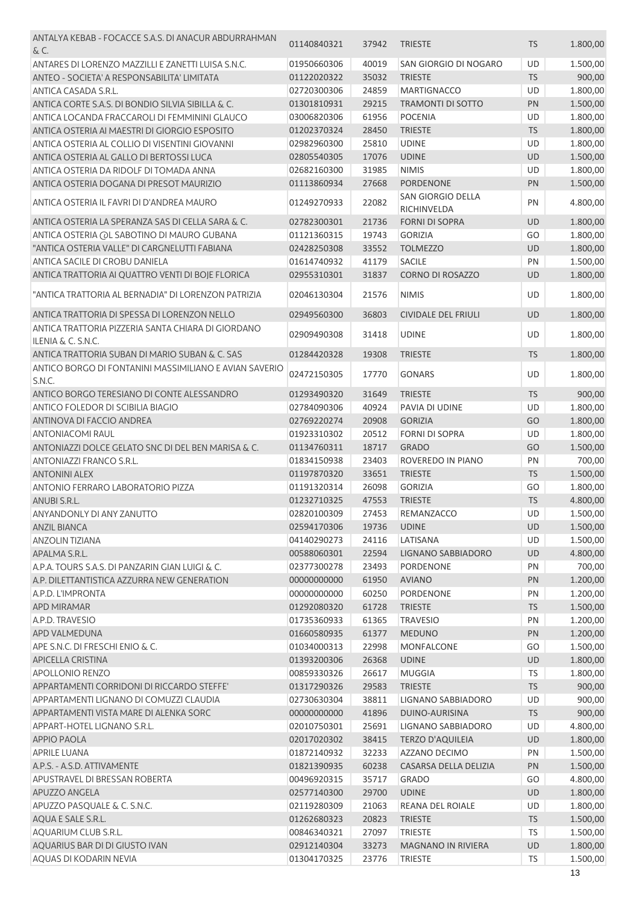| ANTALYA KEBAB - FOCACCE S.A.S. DI ANACUR ABDURRAHMAN             | 01140840321 | 37942 | <b>TRIESTE</b>                   | <b>TS</b> | 1.800,00 |
|------------------------------------------------------------------|-------------|-------|----------------------------------|-----------|----------|
| &C.                                                              |             |       |                                  |           |          |
| ANTARES DI LORENZO MAZZILLI E ZANETTI LUISA S.N.C.               | 01950660306 | 40019 | SAN GIORGIO DI NOGARO            | UD        | 1.500,00 |
| ANTEO - SOCIETA' A RESPONSABILITA' LIMITATA                      | 01122020322 | 35032 | <b>TRIESTE</b>                   | <b>TS</b> | 900,00   |
| ANTICA CASADA S.R.L.                                             | 02720300306 | 24859 | <b>MARTIGNACCO</b>               | <b>UD</b> | 1.800,00 |
| ANTICA CORTE S.A.S. DI BONDIO SILVIA SIBILLA & C.                | 01301810931 | 29215 | <b>TRAMONTI DI SOTTO</b>         | PN        | 1.500,00 |
| ANTICA LOCANDA FRACCAROLI DI FEMMININI GLAUCO                    | 03006820306 | 61956 | <b>POCENIA</b>                   | <b>UD</b> | 1.800,00 |
| ANTICA OSTERIA AI MAESTRI DI GIORGIO ESPOSITO                    | 01202370324 | 28450 | <b>TRIESTE</b>                   | <b>TS</b> | 1.800,00 |
| ANTICA OSTERIA AL COLLIO DI VISENTINI GIOVANNI                   | 02982960300 | 25810 | <b>UDINE</b>                     | <b>UD</b> | 1.800,00 |
| ANTICA OSTERIA AL GALLO DI BERTOSSI LUCA                         | 02805540305 | 17076 | <b>UDINE</b>                     | <b>UD</b> | 1.500,00 |
| ANTICA OSTERIA DA RIDOLF DI TOMADA ANNA                          | 02682160300 | 31985 | <b>NIMIS</b>                     | UD        | 1.800,00 |
| ANTICA OSTERIA DOGANA DI PRESOT MAURIZIO                         | 01113860934 | 27668 | <b>PORDENONE</b>                 | PN        | 1.500,00 |
| ANTICA OSTERIA IL FAVRI DI D'ANDREA MAURO                        | 01249270933 | 22082 | SAN GIORGIO DELLA<br>RICHINVELDA | PN        | 4.800,00 |
| ANTICA OSTERIA LA SPERANZA SAS DI CELLA SARA & C.                | 02782300301 | 21736 | <b>FORNI DI SOPRA</b>            | <b>UD</b> | 1.800,00 |
| ANTICA OSTERIA (OL SABOTINO DI MAURO GUBANA                      | 01121360315 | 19743 | <b>GORIZIA</b>                   | GO        | 1.800,00 |
| "ANTICA OSTERIA VALLE" DI CARGNELUTTI FABIANA                    | 02428250308 | 33552 | <b>TOLMEZZO</b>                  | <b>UD</b> | 1.800,00 |
| ANTICA SACILE DI CROBU DANIELA                                   | 01614740932 | 41179 | SACILE                           | PN        | 1.500,00 |
| ANTICA TRATTORIA AI QUATTRO VENTI DI BOJE FLORICA                | 02955310301 | 31837 | <b>CORNO DI ROSAZZO</b>          | <b>UD</b> | 1.800,00 |
| "ANTICA TRATTORIA AL BERNADIA" DI LORENZON PATRIZIA              | 02046130304 | 21576 | <b>NIMIS</b>                     | UD        | 1.800,00 |
| ANTICA TRATTORIA DI SPESSA DI LORENZON NELLO                     | 02949560300 | 36803 | <b>CIVIDALE DEL FRIULI</b>       | <b>UD</b> | 1.800,00 |
| ANTICA TRATTORIA PIZZERIA SANTA CHIARA DI GIORDANO               |             |       |                                  |           |          |
| ILENIA & C. S.N.C.                                               | 02909490308 | 31418 | <b>UDINE</b>                     | UD        | 1.800,00 |
| ANTICA TRATTORIA SUBAN DI MARIO SUBAN & C. SAS                   | 01284420328 | 19308 | <b>TRIESTE</b>                   | <b>TS</b> | 1.800,00 |
| ANTICO BORGO DI FONTANINI MASSIMILIANO E AVIAN SAVERIO<br>S.N.C. | 02472150305 | 17770 | <b>GONARS</b>                    | UD        | 1.800,00 |
| ANTICO BORGO TERESIANO DI CONTE ALESSANDRO                       | 01293490320 | 31649 | <b>TRIESTE</b>                   | <b>TS</b> | 900,00   |
| ANTICO FOLEDOR DI SCIBILIA BIAGIO                                | 02784090306 | 40924 | PAVIA DI UDINE                   | <b>UD</b> | 1.800,00 |
| ANTINOVA DI FACCIO ANDREA                                        | 02769220274 | 20908 | <b>GORIZIA</b>                   | GO        | 1.800,00 |
| <b>ANTONIACOMI RAUL</b>                                          | 01923310302 | 20512 | <b>FORNI DI SOPRA</b>            | UD        | 1.800,00 |
| ANTONIAZZI DOLCE GELATO SNC DI DEL BEN MARISA & C.               | 01134760311 | 18717 | <b>GRADO</b>                     | GO        | 1.500,00 |
| <b>ANTONIAZZI FRANCO S.R.L.</b>                                  | 01834150938 | 23403 | ROVEREDO IN PIANO                | PN        | 700,00   |
| <b>ANTONINI ALEX</b>                                             | 01197870320 | 33651 | <b>TRIESTE</b>                   | <b>TS</b> | 1.500,00 |
| ANTONIO FERRARO LABORATORIO PIZZA                                | 01191320314 | 26098 | <b>GORIZIA</b>                   | GO        | 1.800,00 |
| ANUBI S.R.L.                                                     | 01232710325 | 47553 | <b>TRIESTE</b>                   | <b>TS</b> | 4.800,00 |
| ANYANDONLY DI ANY ZANUTTO                                        | 02820100309 | 27453 | REMANZACCO                       | UD        | 1.500,00 |
| <b>ANZIL BIANCA</b>                                              | 02594170306 | 19736 | <b>UDINE</b>                     | UD        | 1.500,00 |
| <b>ANZOLIN TIZIANA</b>                                           | 04140290273 | 24116 | LATISANA                         | <b>UD</b> | 1.500,00 |
| APALMA S.R.L.                                                    | 00588060301 | 22594 | LIGNANO SABBIADORO               | <b>UD</b> | 4.800,00 |
| A.P.A. TOURS S.A.S. DI PANZARIN GIAN LUIGI & C.                  | 02377300278 | 23493 | PORDENONE                        | PN        | 700,00   |
| A.P. DILETTANTISTICA AZZURRA NEW GENERATION                      | 00000000000 | 61950 | <b>AVIANO</b>                    | PN        | 1.200,00 |
| A.P.D. L'IMPRONTA                                                | 00000000000 | 60250 | PORDENONE                        | PN        | 1.200,00 |
| APD MIRAMAR                                                      | 01292080320 | 61728 | <b>TRIESTE</b>                   | <b>TS</b> | 1.500,00 |
| A.P.D. TRAVESIO                                                  | 01735360933 | 61365 | <b>TRAVESIO</b>                  | PN        | 1.200,00 |
| APD VALMEDUNA                                                    | 01660580935 | 61377 | <b>MEDUNO</b>                    | PN        | 1.200,00 |
| APE S.N.C. DI FRESCHI ENIO & C.                                  | 01034000313 | 22998 | <b>MONFALCONE</b>                | GO        | 1.500,00 |
| APICELLA CRISTINA                                                | 01393200306 | 26368 | <b>UDINE</b>                     | <b>UD</b> | 1.800,00 |
| <b>APOLLONIO RENZO</b>                                           | 00859330326 | 26617 | <b>MUGGIA</b>                    | <b>TS</b> | 1.800,00 |
| APPARTAMENTI CORRIDONI DI RICCARDO STEFFE'                       | 01317290326 | 29583 | <b>TRIESTE</b>                   | TS        | 900,00   |
| APPARTAMENTI LIGNANO DI COMUZZI CLAUDIA                          | 02730630304 | 38811 | LIGNANO SABBIADORO               | UD        | 900,00   |
| APPARTAMENTI VISTA MARE DI ALENKA SORC                           | 00000000000 | 41896 | DUINO-AURISINA                   | <b>TS</b> | 900,00   |
| APPART-HOTEL LIGNANO S.R.L.                                      | 02010750301 | 25691 | LIGNANO SABBIADORO               | UD        | 4.800,00 |
| <b>APPIO PAOLA</b>                                               | 02017020302 | 38415 | TERZO D'AQUILEIA                 | <b>UD</b> | 1.800,00 |
| <b>APRILE LUANA</b>                                              | 01872140932 | 32233 | AZZANO DECIMO                    | PN        | 1.500,00 |
| A.P.S. - A.S.D. ATTIVAMENTE                                      | 01821390935 | 60238 | CASARSA DELLA DELIZIA            | PN        | 1.500,00 |
| APUSTRAVEL DI BRESSAN ROBERTA                                    | 00496920315 | 35717 | GRADO                            | GO        | 4.800,00 |
| APUZZO ANGELA                                                    | 02577140300 | 29700 | <b>UDINE</b>                     | UD        | 1.800,00 |
| APUZZO PASQUALE & C. S.N.C.                                      | 02119280309 | 21063 | REANA DEL ROIALE                 | UD        | 1.800,00 |
| AQUA E SALE S.R.L.                                               | 01262680323 | 20823 | <b>TRIESTE</b>                   | <b>TS</b> | 1.500,00 |
| AQUARIUM CLUB S.R.L.                                             | 00846340321 | 27097 | <b>TRIESTE</b>                   | <b>TS</b> | 1.500,00 |
| AQUARIUS BAR DI DI GIUSTO IVAN                                   | 02912140304 | 33273 | <b>MAGNANO IN RIVIERA</b>        | UD        | 1.800,00 |
| AQUAS DI KODARIN NEVIA                                           | 01304170325 | 23776 | <b>TRIESTE</b>                   | TS        | 1.500,00 |
|                                                                  |             |       |                                  |           | 13       |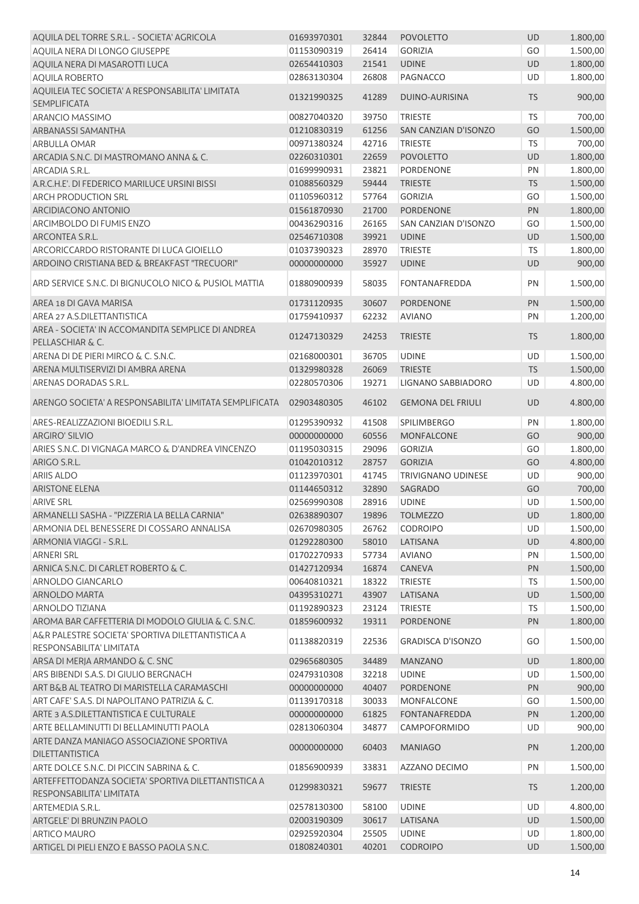| AQUILA DEL TORRE S.R.L. - SOCIETA' AGRICOLA                                         | 01693970301                | 32844          | <b>POVOLETTO</b>               | UD        | 1.800,00           |
|-------------------------------------------------------------------------------------|----------------------------|----------------|--------------------------------|-----------|--------------------|
| AQUILA NERA DI LONGO GIUSEPPE                                                       | 01153090319                | 26414          | <b>GORIZIA</b>                 | GO        | 1.500,00           |
| AQUILA NERA DI MASAROTTI LUCA                                                       | 02654410303                | 21541          | <b>UDINE</b>                   | <b>UD</b> | 1.800,00           |
| <b>AQUILA ROBERTO</b>                                                               | 02863130304                | 26808          | PAGNACCO                       | <b>UD</b> | 1.800,00           |
| AQUILEIA TEC SOCIETA' A RESPONSABILITA' LIMITATA<br><b>SEMPLIFICATA</b>             | 01321990325                | 41289          | DUINO-AURISINA                 | <b>TS</b> | 900,00             |
| <b>ARANCIO MASSIMO</b>                                                              | 00827040320                | 39750          | <b>TRIESTE</b>                 | <b>TS</b> | 700,00             |
| ARBANASSI SAMANTHA                                                                  | 01210830319                | 61256          | SAN CANZIAN D'ISONZO           | GO        | 1.500,00           |
| <b>ARBULLA OMAR</b>                                                                 | 00971380324                | 42716          | <b>TRIESTE</b>                 | <b>TS</b> | 700,00             |
| ARCADIA S.N.C. DI MASTROMANO ANNA & C.                                              | 02260310301                | 22659          | <b>POVOLETTO</b>               | UD        | 1.800,00           |
| ARCADIA S.R.L.                                                                      | 01699990931                | 23821          | <b>PORDENONE</b>               | PN        | 1.800,00           |
| A.R.C.H.E'. DI FEDERICO MARILUCE URSINI BISSI                                       | 01088560329                | 59444          | <b>TRIESTE</b>                 | <b>TS</b> | 1.500,00           |
| <b>ARCH PRODUCTION SRL</b>                                                          | 01105960312                | 57764          | <b>GORIZIA</b>                 | GO        | 1.500,00           |
| ARCIDIACONO ANTONIO                                                                 | 01561870930                | 21700          | <b>PORDENONE</b>               | PN        | 1.800,00           |
| <b>ARCIMBOLDO DI FUMIS ENZO</b>                                                     | 00436290316                | 26165          | SAN CANZIAN D'ISONZO           | GO        | 1.500,00           |
| ARCONTEA S.R.L.                                                                     | 02546710308                | 39921          | <b>UDINE</b>                   | UD        | 1.500,00           |
| ARCORICCARDO RISTORANTE DI LUCA GIOIELLO                                            | 01037390323                | 28970          | <b>TRIESTE</b>                 | <b>TS</b> | 1.800,00           |
| ARDOINO CRISTIANA BED & BREAKFAST "TRECUORI"                                        | 00000000000                | 35927          | <b>UDINE</b>                   | <b>UD</b> | 900,00             |
|                                                                                     |                            |                |                                |           |                    |
| ARD SERVICE S.N.C. DI BIGNUCOLO NICO & PUSIOL MATTIA                                | 01880900939                | 58035          | FONTANAFREDDA                  | PN        | 1.500,00           |
| AREA 18 DI GAVA MARISA                                                              | 01731120935                | 30607          | <b>PORDENONE</b>               | PN        | 1.500,00           |
| AREA 27 A.S.DILETTANTISTICA                                                         | 01759410937                | 62232          | <b>AVIANO</b>                  | PN        | 1.200,00           |
| AREA - SOCIETA' IN ACCOMANDITA SEMPLICE DI ANDREA<br><b>PELLASCHIAR &amp; C.</b>    | 01247130329                | 24253          | <b>TRIESTE</b>                 | <b>TS</b> | 1.800,00           |
| ARENA DI DE PIERI MIRCO & C. S.N.C.                                                 | 02168000301                | 36705          | <b>UDINE</b>                   | UD        | 1.500,00           |
| ARENA MULTISERVIZI DI AMBRA ARENA                                                   | 01329980328                | 26069          | <b>TRIESTE</b>                 | <b>TS</b> | 1.500,00           |
| ARENAS DORADAS S.R.L.                                                               | 02280570306                | 19271          | LIGNANO SABBIADORO             | UD        | 4.800,00           |
| ARENGO SOCIETA' A RESPONSABILITA' LIMITATA SEMPLIFICATA                             | 02903480305                | 46102          | <b>GEMONA DEL FRIULI</b>       | <b>UD</b> | 4.800,00           |
| ARES-REALIZZAZIONI BIOEDILI S.R.L.                                                  | 01295390932                | 41508          | <b>SPILIMBERGO</b>             | PN        | 1.800,00           |
| <b>ARGIRO' SILVIO</b>                                                               | 00000000000                | 60556          | <b>MONFALCONE</b>              | GO        | 900,00             |
| ARIES S.N.C. DI VIGNAGA MARCO & D'ANDREA VINCENZO                                   | 01195030315                | 29096          | <b>GORIZIA</b>                 | GO        | 1.800,00           |
| ARIGO S.R.L.                                                                        | 01042010312                | 28757          | <b>GORIZIA</b>                 | GO        | 4.800,00           |
| <b>ARIIS ALDO</b>                                                                   | 01123970301                | 41745          | <b>TRIVIGNANO UDINESE</b>      | UD        | 900,00             |
| <b>ARISTONE ELENA</b>                                                               | 01144650312                | 32890          | SAGRADO                        | GO        | 700,00             |
| <b>ARIVE SRL</b>                                                                    | 02569990308                | 28916          | <b>UDINE</b>                   | UD        | 1.500,00           |
| ARMANELLI SASHA - "PIZZERIA LA BELLA CARNIA"                                        | 02638890307                | 19896          | <b>TOLMEZZO</b>                | UD        | 1.800,00           |
| ARMONIA DEL BENESSERE DI COSSARO ANNALISA                                           | 02670980305                | 26762          | <b>CODROIPO</b>                | UD        | 1.500,00           |
| ARMONIA VIAGGI - S.R.L.                                                             | 01292280300                | 58010          | LATISANA                       | <b>UD</b> | 4.800,00           |
| <b>ARNERI SRL</b>                                                                   | 01702270933                | 57734          | <b>AVIANO</b>                  | PN        | 1.500,00           |
| ARNICA S.N.C. DI CARLET ROBERTO & C.                                                | 01427120934                | 16874          | CANEVA                         | PN        | 1.500,00           |
| ARNOLDO GIANCARLO                                                                   | 00640810321                | 18322          | <b>TRIESTE</b>                 | <b>TS</b> | 1.500,00           |
| ARNOLDO MARTA                                                                       | 04395310271                | 43907          | LATISANA                       | UD        | 1.500,00           |
| ARNOLDO TIZIANA                                                                     | 01192890323                | 23124          | <b>TRIESTE</b>                 | <b>TS</b> | 1.500,00           |
| AROMA BAR CAFFETTERIA DI MODOLO GIULIA & C. S.N.C.                                  | 01859600932                | 19311          | <b>PORDENONE</b>               | PN        | 1.800,00           |
| A&R PALESTRE SOCIETA' SPORTIVA DILETTANTISTICA A                                    | 01138820319                | 22536          | <b>GRADISCA D'ISONZO</b>       | GO        | 1.500,00           |
| RESPONSABILITA' LIMITATA                                                            |                            |                |                                |           |                    |
| ARSA DI MERJA ARMANDO & C. SNC                                                      | 02965680305                | 34489          | <b>MANZANO</b>                 | UD        | 1.800,00           |
| ARS BIBENDI S.A.S. DI GIULIO BERGNACH                                               | 02479310308                | 32218          | <b>UDINE</b>                   | UD        | 1.500,00           |
| ART B&B AL TEATRO DI MARISTELLA CARAMASCHI                                          | 00000000000                | 40407          | <b>PORDENONE</b>               | PN        | 900,00             |
| ART CAFE' S.A.S. DI NAPOLITANO PATRIZIA & C.                                        | 01139170318                | 30033          | <b>MONFALCONE</b>              | GO        | 1.500,00           |
| ARTE 3 A.S.DILETTANTISTICA E CULTURALE                                              | 00000000000                | 61825          | <b>FONTANAFREDDA</b>           | PN        | 1.200,00           |
| ARTE BELLAMINUTTI DI BELLAMINUTTI PAOLA<br>ARTE DANZA MANIAGO ASSOCIAZIONE SPORTIVA | 02813060304<br>00000000000 | 34877<br>60403 | CAMPOFORMIDO<br><b>MANIAGO</b> | UD<br>PN  | 900,00<br>1.200,00 |
| <b>DILETTANTISTICA</b><br>ARTE DOLCE S.N.C. DI PICCIN SABRINA & C.                  | 01856900939                | 33831          | AZZANO DECIMO                  | PN        | 1.500,00           |
| ARTEFFETTODANZA SOCIETA' SPORTIVA DILETTANTISTICA A                                 | 01299830321                | 59677          | <b>TRIESTE</b>                 | <b>TS</b> | 1.200,00           |
| RESPONSABILITA' LIMITATA                                                            |                            |                |                                |           |                    |
| ARTEMEDIA S.R.L.                                                                    | 02578130300                | 58100          | <b>UDINE</b>                   | UD        | 4.800,00           |
| ARTGELE' DI BRUNZIN PAOLO                                                           | 02003190309                | 30617          | LATISANA                       | UD        | 1.500,00           |
| <b>ARTICO MAURO</b>                                                                 | 02925920304                | 25505          | <b>UDINE</b>                   | UD        | 1.800,00           |
| ARTIGEL DI PIELI ENZO E BASSO PAOLA S.N.C.                                          | 01808240301                | 40201          | <b>CODROIPO</b>                | <b>UD</b> | 1.500,00           |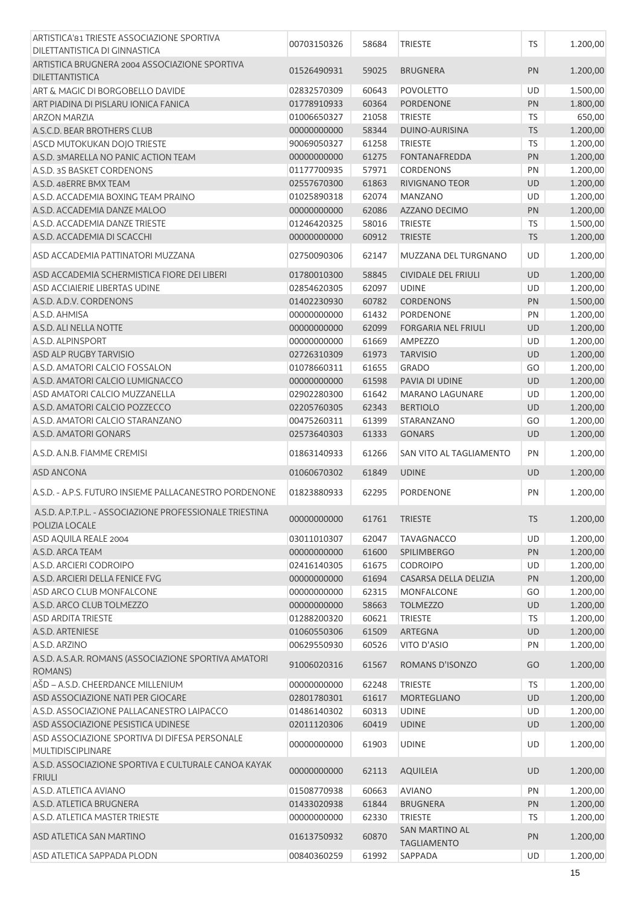| ARTISTICA BRUGNERA 2004 ASSOCIAZIONE SPORTIVA<br>01526490931<br>59025<br><b>BRUGNERA</b><br>PN<br>1.200,00<br><b>DILETTANTISTICA</b><br>60643<br>UD<br>1.500,00<br>ART & MAGIC DI BORGOBELLO DAVIDE<br>02832570309<br><b>POVOLETTO</b><br>PN<br>01778910933<br>60364<br><b>PORDENONE</b><br>1.800,00<br>ART PIADINA DI PISLARU IONICA FANICA<br>650,00<br><b>ARZON MARZIA</b><br>01006650327<br>21058<br><b>TRIESTE</b><br>TS<br>A.S.C.D. BEAR BROTHERS CLUB<br>00000000000<br>58344<br>DUINO-AURISINA<br><b>TS</b><br>1.200,00<br>61258<br><b>TRIESTE</b><br>TS<br>1.200,00<br>ASCD MUTOKUKAN DOJO TRIESTE<br>90069050327<br>PN<br>1.200,00<br>A.S.D. 3MARELLA NO PANIC ACTION TEAM<br>00000000000<br>61275<br>FONTANAFREDDA<br>A.S.D. 3S BASKET CORDENONS<br>01177700935<br>57971<br><b>CORDENONS</b><br>PN<br>1.200,00<br>1.200,00<br>A.S.D. 48ERRE BMX TEAM<br>61863<br>RIVIGNANO TEOR<br>UD<br>02557670300<br>62074<br>1.200,00<br>A.S.D. ACCADEMIA BOXING TEAM PRAINO<br>01025890318<br><b>MANZANO</b><br>UD<br>PN<br>A.S.D. ACCADEMIA DANZE MALOO<br>62086<br>AZZANO DECIMO<br>1.200,00<br>00000000000<br>A.S.D. ACCADEMIA DANZE TRIESTE<br>1.500,00<br>01246420325<br>58016<br><b>TRIESTE</b><br><b>TS</b><br>A.S.D. ACCADEMIA DI SCACCHI<br>1.200,00<br>00000000000<br>60912<br><b>TRIESTE</b><br><b>TS</b><br>ASD ACCADEMIA PATTINATORI MUZZANA<br>02750090306<br>62147<br>MUZZANA DEL TURGNANO<br>UD<br>1.200,00<br>ASD ACCADEMIA SCHERMISTICA FIORE DEI LIBERI<br>01780010300<br>58845<br><b>CIVIDALE DEL FRIULI</b><br><b>UD</b><br>1.200,00<br>ASD ACCIAIERIE LIBERTAS UDINE<br>UD<br>1.200,00<br>02854620305<br>62097<br><b>UDINE</b><br>A.S.D. A.D.V. CORDENONS<br>60782<br>PN<br>1.500,00<br>01402230930<br><b>CORDENONS</b><br>A.S.D. AHMISA<br>61432<br>PN<br>1.200,00<br>00000000000<br>PORDENONE<br>A.S.D. ALI NELLA NOTTE<br>1.200,00<br>00000000000<br>62099<br><b>FORGARIA NEL FRIULI</b><br><b>UD</b><br>A.S.D. ALPINSPORT<br>UD<br>00000000000<br>61669<br>AMPEZZO<br>1.200,00<br>ASD ALP RUGBY TARVISIO<br>02726310309<br>61973<br><b>TARVISIO</b><br>UD<br>1.200,00<br>A.S.D. AMATORI CALCIO FOSSALON<br>61655<br>GO<br>1.200,00<br>01078660311<br>GRADO<br>A.S.D. AMATORI CALCIO LUMIGNACCO<br>1.200,00<br>00000000000<br>61598<br>PAVIA DI UDINE<br>UD<br>ASD AMATORI CALCIO MUZZANELLA<br>61642<br>UD<br>1.200,00<br>02902280300<br>MARANO LAGUNARE<br>A.S.D. AMATORI CALCIO POZZECCO<br>UD<br>1.200,00<br>02205760305<br>62343<br><b>BERTIOLO</b><br>A.S.D. AMATORI CALCIO STARANZANO<br>GO<br>1.200,00<br>00475260311<br>61399<br>STARANZANO<br>A.S.D. AMATORI GONARS<br>1.200,00<br>02573640303<br>61333<br><b>GONARS</b><br>UD<br>A.S.D. A.N.B. FIAMME CREMISI<br>1.200,00<br>01863140933<br>61266<br>SAN VITO AL TAGLIAMENTO<br>PN<br>1.200,00<br>ASD ANCONA<br>61849<br><b>UDINE</b><br>UD<br>01060670302<br>A.S.D. - A.P.S. FUTURO INSIEME PALLACANESTRO PORDENONE<br>1.200,00<br>01823880933<br>62295<br>PORDENONE<br>PN<br>00000000000<br>61761<br><b>TS</b><br>1.200,00<br><b>TRIESTE</b><br>POLIZIA LOCALE<br>ASD AQUILA REALE 2004<br>UD<br>1.200,00<br>03011010307<br>62047<br><b>TAVAGNACCO</b><br>A.S.D. ARCA TEAM<br>PN<br>1.200,00<br>00000000000<br>61600<br>SPILIMBERGO<br>A.S.D. ARCIERI CODROIPO<br>61675<br>CODROIPO<br>UD<br>1.200,00<br>02416140305<br>A.S.D. ARCIERI DELLA FENICE FVG<br>1.200,00<br>00000000000<br>61694<br>CASARSA DELLA DELIZIA<br>PN<br>ASD ARCO CLUB MONFALCONE<br>62315<br>1.200,00<br>00000000000<br>MONFALCONE<br>GO<br>1.200,00<br>A.S.D. ARCO CLUB TOLMEZZO<br>00000000000<br>58663<br><b>TOLMEZZO</b><br>UD<br><b>ASD ARDITA TRIESTE</b><br>01288200320<br>60621<br><b>TRIESTE</b><br><b>TS</b><br>1.200,00<br>A.S.D. ARTENIESE<br>01060550306<br>61509<br><b>ARTEGNA</b><br>UD<br>1.200,00<br>60526<br>PN<br>A.S.D. ARZINO<br>00629550930<br>VITO D'ASIO<br>1.200,00<br>A.S.D. A.S.A.R. ROMANS (ASSOCIAZIONE SPORTIVA AMATORI<br>1.200,00<br>91006020316<br>61567<br>ROMANS D'ISONZO<br>GO<br>ROMANS)<br>AŠD - A.S.D. CHEERDANCE MILLENIUM<br>TS<br>1.200,00<br>00000000000<br>62248<br><b>TRIESTE</b><br>1.200,00<br>ASD ASSOCIAZIONE NATI PER GIOCARE<br>02801780301<br>61617<br><b>MORTEGLIANO</b><br>UD<br>A.S.D. ASSOCIAZIONE PALLACANESTRO LAIPACCO<br>01486140302<br>60313<br><b>UDINE</b><br>UD<br>1.200,00<br>ASD ASSOCIAZIONE PESISTICA UDINESE<br>02011120306<br>60419<br><b>UDINE</b><br>UD<br>1.200,00<br>ASD ASSOCIAZIONE SPORTIVA DI DIFESA PERSONALE<br>1.200,00<br>00000000000<br>61903<br><b>UDINE</b><br>UD<br>MULTIDISCIPLINARE<br>A.S.D. ASSOCIAZIONE SPORTIVA E CULTURALE CANOA KAYAK<br>00000000000<br>62113<br><b>AQUILEIA</b><br>UD<br>1.200,00<br><b>FRIULI</b><br>A.S.D. ATLETICA AVIANO<br>PN<br>1.200,00<br>01508770938<br>60663<br><b>AVIANO</b><br>1.200,00<br>A.S.D. ATLETICA BRUGNERA<br>01433020938<br>61844<br><b>BRUGNERA</b><br>PN<br>A.S.D. ATLETICA MASTER TRIESTE<br>00000000000<br>62330<br><b>TRIESTE</b><br><b>TS</b><br>1.200,00<br><b>SAN MARTINO AL</b><br>01613750932<br>60870<br>PN<br>1.200,00<br>ASD ATLETICA SAN MARTINO<br><b>TAGLIAMENTO</b><br>1.200,00<br>ASD ATLETICA SAPPADA PLODN<br>00840360259<br>61992<br>SAPPADA<br>UD | ARTISTICA'81 TRIESTE ASSOCIAZIONE SPORTIVA<br>DILETTANTISTICA DI GINNASTICA | 00703150326 | 58684 | <b>TRIESTE</b> | TS | 1.200,00 |
|--------------------------------------------------------------------------------------------------------------------------------------------------------------------------------------------------------------------------------------------------------------------------------------------------------------------------------------------------------------------------------------------------------------------------------------------------------------------------------------------------------------------------------------------------------------------------------------------------------------------------------------------------------------------------------------------------------------------------------------------------------------------------------------------------------------------------------------------------------------------------------------------------------------------------------------------------------------------------------------------------------------------------------------------------------------------------------------------------------------------------------------------------------------------------------------------------------------------------------------------------------------------------------------------------------------------------------------------------------------------------------------------------------------------------------------------------------------------------------------------------------------------------------------------------------------------------------------------------------------------------------------------------------------------------------------------------------------------------------------------------------------------------------------------------------------------------------------------------------------------------------------------------------------------------------------------------------------------------------------------------------------------------------------------------------------------------------------------------------------------------------------------------------------------------------------------------------------------------------------------------------------------------------------------------------------------------------------------------------------------------------------------------------------------------------------------------------------------------------------------------------------------------------------------------------------------------------------------------------------------------------------------------------------------------------------------------------------------------------------------------------------------------------------------------------------------------------------------------------------------------------------------------------------------------------------------------------------------------------------------------------------------------------------------------------------------------------------------------------------------------------------------------------------------------------------------------------------------------------------------------------------------------------------------------------------------------------------------------------------------------------------------------------------------------------------------------------------------------------------------------------------------------------------------------------------------------------------------------------------------------------------------------------------------------------------------------------------------------------------------------------------------------------------------------------------------------------------------------------------------------------------------------------------------------------------------------------------------------------------------------------------------------------------------------------------------------------------------------------------------------------------------------------------------------------------------------------------------------------------------------------------------------------------------------------------------------------------------------------------------------------------------------------------------------------------------------------------------------------------------------------------------------------------------------------------------------------------------------------------------------------------------------------------------------------------------------------------------------------------------------------------------------------------------------------------------------------------------------------------------------------------------------------------------------------------------------------------------------------------------------------------------------------------------------------------------------------------------------------------------------------------------------------------------------|-----------------------------------------------------------------------------|-------------|-------|----------------|----|----------|
|                                                                                                                                                                                                                                                                                                                                                                                                                                                                                                                                                                                                                                                                                                                                                                                                                                                                                                                                                                                                                                                                                                                                                                                                                                                                                                                                                                                                                                                                                                                                                                                                                                                                                                                                                                                                                                                                                                                                                                                                                                                                                                                                                                                                                                                                                                                                                                                                                                                                                                                                                                                                                                                                                                                                                                                                                                                                                                                                                                                                                                                                                                                                                                                                                                                                                                                                                                                                                                                                                                                                                                                                                                                                                                                                                                                                                                                                                                                                                                                                                                                                                                                                                                                                                                                                                                                                                                                                                                                                                                                                                                                                                                                                                                                                                                                                                                                                                                                                                                                                                                                                                                                                                                          |                                                                             |             |       |                |    |          |
|                                                                                                                                                                                                                                                                                                                                                                                                                                                                                                                                                                                                                                                                                                                                                                                                                                                                                                                                                                                                                                                                                                                                                                                                                                                                                                                                                                                                                                                                                                                                                                                                                                                                                                                                                                                                                                                                                                                                                                                                                                                                                                                                                                                                                                                                                                                                                                                                                                                                                                                                                                                                                                                                                                                                                                                                                                                                                                                                                                                                                                                                                                                                                                                                                                                                                                                                                                                                                                                                                                                                                                                                                                                                                                                                                                                                                                                                                                                                                                                                                                                                                                                                                                                                                                                                                                                                                                                                                                                                                                                                                                                                                                                                                                                                                                                                                                                                                                                                                                                                                                                                                                                                                                          |                                                                             |             |       |                |    |          |
|                                                                                                                                                                                                                                                                                                                                                                                                                                                                                                                                                                                                                                                                                                                                                                                                                                                                                                                                                                                                                                                                                                                                                                                                                                                                                                                                                                                                                                                                                                                                                                                                                                                                                                                                                                                                                                                                                                                                                                                                                                                                                                                                                                                                                                                                                                                                                                                                                                                                                                                                                                                                                                                                                                                                                                                                                                                                                                                                                                                                                                                                                                                                                                                                                                                                                                                                                                                                                                                                                                                                                                                                                                                                                                                                                                                                                                                                                                                                                                                                                                                                                                                                                                                                                                                                                                                                                                                                                                                                                                                                                                                                                                                                                                                                                                                                                                                                                                                                                                                                                                                                                                                                                                          |                                                                             |             |       |                |    |          |
|                                                                                                                                                                                                                                                                                                                                                                                                                                                                                                                                                                                                                                                                                                                                                                                                                                                                                                                                                                                                                                                                                                                                                                                                                                                                                                                                                                                                                                                                                                                                                                                                                                                                                                                                                                                                                                                                                                                                                                                                                                                                                                                                                                                                                                                                                                                                                                                                                                                                                                                                                                                                                                                                                                                                                                                                                                                                                                                                                                                                                                                                                                                                                                                                                                                                                                                                                                                                                                                                                                                                                                                                                                                                                                                                                                                                                                                                                                                                                                                                                                                                                                                                                                                                                                                                                                                                                                                                                                                                                                                                                                                                                                                                                                                                                                                                                                                                                                                                                                                                                                                                                                                                                                          |                                                                             |             |       |                |    |          |
|                                                                                                                                                                                                                                                                                                                                                                                                                                                                                                                                                                                                                                                                                                                                                                                                                                                                                                                                                                                                                                                                                                                                                                                                                                                                                                                                                                                                                                                                                                                                                                                                                                                                                                                                                                                                                                                                                                                                                                                                                                                                                                                                                                                                                                                                                                                                                                                                                                                                                                                                                                                                                                                                                                                                                                                                                                                                                                                                                                                                                                                                                                                                                                                                                                                                                                                                                                                                                                                                                                                                                                                                                                                                                                                                                                                                                                                                                                                                                                                                                                                                                                                                                                                                                                                                                                                                                                                                                                                                                                                                                                                                                                                                                                                                                                                                                                                                                                                                                                                                                                                                                                                                                                          |                                                                             |             |       |                |    |          |
|                                                                                                                                                                                                                                                                                                                                                                                                                                                                                                                                                                                                                                                                                                                                                                                                                                                                                                                                                                                                                                                                                                                                                                                                                                                                                                                                                                                                                                                                                                                                                                                                                                                                                                                                                                                                                                                                                                                                                                                                                                                                                                                                                                                                                                                                                                                                                                                                                                                                                                                                                                                                                                                                                                                                                                                                                                                                                                                                                                                                                                                                                                                                                                                                                                                                                                                                                                                                                                                                                                                                                                                                                                                                                                                                                                                                                                                                                                                                                                                                                                                                                                                                                                                                                                                                                                                                                                                                                                                                                                                                                                                                                                                                                                                                                                                                                                                                                                                                                                                                                                                                                                                                                                          |                                                                             |             |       |                |    |          |
|                                                                                                                                                                                                                                                                                                                                                                                                                                                                                                                                                                                                                                                                                                                                                                                                                                                                                                                                                                                                                                                                                                                                                                                                                                                                                                                                                                                                                                                                                                                                                                                                                                                                                                                                                                                                                                                                                                                                                                                                                                                                                                                                                                                                                                                                                                                                                                                                                                                                                                                                                                                                                                                                                                                                                                                                                                                                                                                                                                                                                                                                                                                                                                                                                                                                                                                                                                                                                                                                                                                                                                                                                                                                                                                                                                                                                                                                                                                                                                                                                                                                                                                                                                                                                                                                                                                                                                                                                                                                                                                                                                                                                                                                                                                                                                                                                                                                                                                                                                                                                                                                                                                                                                          |                                                                             |             |       |                |    |          |
|                                                                                                                                                                                                                                                                                                                                                                                                                                                                                                                                                                                                                                                                                                                                                                                                                                                                                                                                                                                                                                                                                                                                                                                                                                                                                                                                                                                                                                                                                                                                                                                                                                                                                                                                                                                                                                                                                                                                                                                                                                                                                                                                                                                                                                                                                                                                                                                                                                                                                                                                                                                                                                                                                                                                                                                                                                                                                                                                                                                                                                                                                                                                                                                                                                                                                                                                                                                                                                                                                                                                                                                                                                                                                                                                                                                                                                                                                                                                                                                                                                                                                                                                                                                                                                                                                                                                                                                                                                                                                                                                                                                                                                                                                                                                                                                                                                                                                                                                                                                                                                                                                                                                                                          |                                                                             |             |       |                |    |          |
|                                                                                                                                                                                                                                                                                                                                                                                                                                                                                                                                                                                                                                                                                                                                                                                                                                                                                                                                                                                                                                                                                                                                                                                                                                                                                                                                                                                                                                                                                                                                                                                                                                                                                                                                                                                                                                                                                                                                                                                                                                                                                                                                                                                                                                                                                                                                                                                                                                                                                                                                                                                                                                                                                                                                                                                                                                                                                                                                                                                                                                                                                                                                                                                                                                                                                                                                                                                                                                                                                                                                                                                                                                                                                                                                                                                                                                                                                                                                                                                                                                                                                                                                                                                                                                                                                                                                                                                                                                                                                                                                                                                                                                                                                                                                                                                                                                                                                                                                                                                                                                                                                                                                                                          |                                                                             |             |       |                |    |          |
|                                                                                                                                                                                                                                                                                                                                                                                                                                                                                                                                                                                                                                                                                                                                                                                                                                                                                                                                                                                                                                                                                                                                                                                                                                                                                                                                                                                                                                                                                                                                                                                                                                                                                                                                                                                                                                                                                                                                                                                                                                                                                                                                                                                                                                                                                                                                                                                                                                                                                                                                                                                                                                                                                                                                                                                                                                                                                                                                                                                                                                                                                                                                                                                                                                                                                                                                                                                                                                                                                                                                                                                                                                                                                                                                                                                                                                                                                                                                                                                                                                                                                                                                                                                                                                                                                                                                                                                                                                                                                                                                                                                                                                                                                                                                                                                                                                                                                                                                                                                                                                                                                                                                                                          |                                                                             |             |       |                |    |          |
|                                                                                                                                                                                                                                                                                                                                                                                                                                                                                                                                                                                                                                                                                                                                                                                                                                                                                                                                                                                                                                                                                                                                                                                                                                                                                                                                                                                                                                                                                                                                                                                                                                                                                                                                                                                                                                                                                                                                                                                                                                                                                                                                                                                                                                                                                                                                                                                                                                                                                                                                                                                                                                                                                                                                                                                                                                                                                                                                                                                                                                                                                                                                                                                                                                                                                                                                                                                                                                                                                                                                                                                                                                                                                                                                                                                                                                                                                                                                                                                                                                                                                                                                                                                                                                                                                                                                                                                                                                                                                                                                                                                                                                                                                                                                                                                                                                                                                                                                                                                                                                                                                                                                                                          |                                                                             |             |       |                |    |          |
|                                                                                                                                                                                                                                                                                                                                                                                                                                                                                                                                                                                                                                                                                                                                                                                                                                                                                                                                                                                                                                                                                                                                                                                                                                                                                                                                                                                                                                                                                                                                                                                                                                                                                                                                                                                                                                                                                                                                                                                                                                                                                                                                                                                                                                                                                                                                                                                                                                                                                                                                                                                                                                                                                                                                                                                                                                                                                                                                                                                                                                                                                                                                                                                                                                                                                                                                                                                                                                                                                                                                                                                                                                                                                                                                                                                                                                                                                                                                                                                                                                                                                                                                                                                                                                                                                                                                                                                                                                                                                                                                                                                                                                                                                                                                                                                                                                                                                                                                                                                                                                                                                                                                                                          |                                                                             |             |       |                |    |          |
|                                                                                                                                                                                                                                                                                                                                                                                                                                                                                                                                                                                                                                                                                                                                                                                                                                                                                                                                                                                                                                                                                                                                                                                                                                                                                                                                                                                                                                                                                                                                                                                                                                                                                                                                                                                                                                                                                                                                                                                                                                                                                                                                                                                                                                                                                                                                                                                                                                                                                                                                                                                                                                                                                                                                                                                                                                                                                                                                                                                                                                                                                                                                                                                                                                                                                                                                                                                                                                                                                                                                                                                                                                                                                                                                                                                                                                                                                                                                                                                                                                                                                                                                                                                                                                                                                                                                                                                                                                                                                                                                                                                                                                                                                                                                                                                                                                                                                                                                                                                                                                                                                                                                                                          |                                                                             |             |       |                |    |          |
|                                                                                                                                                                                                                                                                                                                                                                                                                                                                                                                                                                                                                                                                                                                                                                                                                                                                                                                                                                                                                                                                                                                                                                                                                                                                                                                                                                                                                                                                                                                                                                                                                                                                                                                                                                                                                                                                                                                                                                                                                                                                                                                                                                                                                                                                                                                                                                                                                                                                                                                                                                                                                                                                                                                                                                                                                                                                                                                                                                                                                                                                                                                                                                                                                                                                                                                                                                                                                                                                                                                                                                                                                                                                                                                                                                                                                                                                                                                                                                                                                                                                                                                                                                                                                                                                                                                                                                                                                                                                                                                                                                                                                                                                                                                                                                                                                                                                                                                                                                                                                                                                                                                                                                          |                                                                             |             |       |                |    |          |
|                                                                                                                                                                                                                                                                                                                                                                                                                                                                                                                                                                                                                                                                                                                                                                                                                                                                                                                                                                                                                                                                                                                                                                                                                                                                                                                                                                                                                                                                                                                                                                                                                                                                                                                                                                                                                                                                                                                                                                                                                                                                                                                                                                                                                                                                                                                                                                                                                                                                                                                                                                                                                                                                                                                                                                                                                                                                                                                                                                                                                                                                                                                                                                                                                                                                                                                                                                                                                                                                                                                                                                                                                                                                                                                                                                                                                                                                                                                                                                                                                                                                                                                                                                                                                                                                                                                                                                                                                                                                                                                                                                                                                                                                                                                                                                                                                                                                                                                                                                                                                                                                                                                                                                          |                                                                             |             |       |                |    |          |
|                                                                                                                                                                                                                                                                                                                                                                                                                                                                                                                                                                                                                                                                                                                                                                                                                                                                                                                                                                                                                                                                                                                                                                                                                                                                                                                                                                                                                                                                                                                                                                                                                                                                                                                                                                                                                                                                                                                                                                                                                                                                                                                                                                                                                                                                                                                                                                                                                                                                                                                                                                                                                                                                                                                                                                                                                                                                                                                                                                                                                                                                                                                                                                                                                                                                                                                                                                                                                                                                                                                                                                                                                                                                                                                                                                                                                                                                                                                                                                                                                                                                                                                                                                                                                                                                                                                                                                                                                                                                                                                                                                                                                                                                                                                                                                                                                                                                                                                                                                                                                                                                                                                                                                          |                                                                             |             |       |                |    |          |
|                                                                                                                                                                                                                                                                                                                                                                                                                                                                                                                                                                                                                                                                                                                                                                                                                                                                                                                                                                                                                                                                                                                                                                                                                                                                                                                                                                                                                                                                                                                                                                                                                                                                                                                                                                                                                                                                                                                                                                                                                                                                                                                                                                                                                                                                                                                                                                                                                                                                                                                                                                                                                                                                                                                                                                                                                                                                                                                                                                                                                                                                                                                                                                                                                                                                                                                                                                                                                                                                                                                                                                                                                                                                                                                                                                                                                                                                                                                                                                                                                                                                                                                                                                                                                                                                                                                                                                                                                                                                                                                                                                                                                                                                                                                                                                                                                                                                                                                                                                                                                                                                                                                                                                          |                                                                             |             |       |                |    |          |
|                                                                                                                                                                                                                                                                                                                                                                                                                                                                                                                                                                                                                                                                                                                                                                                                                                                                                                                                                                                                                                                                                                                                                                                                                                                                                                                                                                                                                                                                                                                                                                                                                                                                                                                                                                                                                                                                                                                                                                                                                                                                                                                                                                                                                                                                                                                                                                                                                                                                                                                                                                                                                                                                                                                                                                                                                                                                                                                                                                                                                                                                                                                                                                                                                                                                                                                                                                                                                                                                                                                                                                                                                                                                                                                                                                                                                                                                                                                                                                                                                                                                                                                                                                                                                                                                                                                                                                                                                                                                                                                                                                                                                                                                                                                                                                                                                                                                                                                                                                                                                                                                                                                                                                          |                                                                             |             |       |                |    |          |
|                                                                                                                                                                                                                                                                                                                                                                                                                                                                                                                                                                                                                                                                                                                                                                                                                                                                                                                                                                                                                                                                                                                                                                                                                                                                                                                                                                                                                                                                                                                                                                                                                                                                                                                                                                                                                                                                                                                                                                                                                                                                                                                                                                                                                                                                                                                                                                                                                                                                                                                                                                                                                                                                                                                                                                                                                                                                                                                                                                                                                                                                                                                                                                                                                                                                                                                                                                                                                                                                                                                                                                                                                                                                                                                                                                                                                                                                                                                                                                                                                                                                                                                                                                                                                                                                                                                                                                                                                                                                                                                                                                                                                                                                                                                                                                                                                                                                                                                                                                                                                                                                                                                                                                          |                                                                             |             |       |                |    |          |
|                                                                                                                                                                                                                                                                                                                                                                                                                                                                                                                                                                                                                                                                                                                                                                                                                                                                                                                                                                                                                                                                                                                                                                                                                                                                                                                                                                                                                                                                                                                                                                                                                                                                                                                                                                                                                                                                                                                                                                                                                                                                                                                                                                                                                                                                                                                                                                                                                                                                                                                                                                                                                                                                                                                                                                                                                                                                                                                                                                                                                                                                                                                                                                                                                                                                                                                                                                                                                                                                                                                                                                                                                                                                                                                                                                                                                                                                                                                                                                                                                                                                                                                                                                                                                                                                                                                                                                                                                                                                                                                                                                                                                                                                                                                                                                                                                                                                                                                                                                                                                                                                                                                                                                          |                                                                             |             |       |                |    |          |
|                                                                                                                                                                                                                                                                                                                                                                                                                                                                                                                                                                                                                                                                                                                                                                                                                                                                                                                                                                                                                                                                                                                                                                                                                                                                                                                                                                                                                                                                                                                                                                                                                                                                                                                                                                                                                                                                                                                                                                                                                                                                                                                                                                                                                                                                                                                                                                                                                                                                                                                                                                                                                                                                                                                                                                                                                                                                                                                                                                                                                                                                                                                                                                                                                                                                                                                                                                                                                                                                                                                                                                                                                                                                                                                                                                                                                                                                                                                                                                                                                                                                                                                                                                                                                                                                                                                                                                                                                                                                                                                                                                                                                                                                                                                                                                                                                                                                                                                                                                                                                                                                                                                                                                          |                                                                             |             |       |                |    |          |
|                                                                                                                                                                                                                                                                                                                                                                                                                                                                                                                                                                                                                                                                                                                                                                                                                                                                                                                                                                                                                                                                                                                                                                                                                                                                                                                                                                                                                                                                                                                                                                                                                                                                                                                                                                                                                                                                                                                                                                                                                                                                                                                                                                                                                                                                                                                                                                                                                                                                                                                                                                                                                                                                                                                                                                                                                                                                                                                                                                                                                                                                                                                                                                                                                                                                                                                                                                                                                                                                                                                                                                                                                                                                                                                                                                                                                                                                                                                                                                                                                                                                                                                                                                                                                                                                                                                                                                                                                                                                                                                                                                                                                                                                                                                                                                                                                                                                                                                                                                                                                                                                                                                                                                          |                                                                             |             |       |                |    |          |
|                                                                                                                                                                                                                                                                                                                                                                                                                                                                                                                                                                                                                                                                                                                                                                                                                                                                                                                                                                                                                                                                                                                                                                                                                                                                                                                                                                                                                                                                                                                                                                                                                                                                                                                                                                                                                                                                                                                                                                                                                                                                                                                                                                                                                                                                                                                                                                                                                                                                                                                                                                                                                                                                                                                                                                                                                                                                                                                                                                                                                                                                                                                                                                                                                                                                                                                                                                                                                                                                                                                                                                                                                                                                                                                                                                                                                                                                                                                                                                                                                                                                                                                                                                                                                                                                                                                                                                                                                                                                                                                                                                                                                                                                                                                                                                                                                                                                                                                                                                                                                                                                                                                                                                          |                                                                             |             |       |                |    |          |
|                                                                                                                                                                                                                                                                                                                                                                                                                                                                                                                                                                                                                                                                                                                                                                                                                                                                                                                                                                                                                                                                                                                                                                                                                                                                                                                                                                                                                                                                                                                                                                                                                                                                                                                                                                                                                                                                                                                                                                                                                                                                                                                                                                                                                                                                                                                                                                                                                                                                                                                                                                                                                                                                                                                                                                                                                                                                                                                                                                                                                                                                                                                                                                                                                                                                                                                                                                                                                                                                                                                                                                                                                                                                                                                                                                                                                                                                                                                                                                                                                                                                                                                                                                                                                                                                                                                                                                                                                                                                                                                                                                                                                                                                                                                                                                                                                                                                                                                                                                                                                                                                                                                                                                          |                                                                             |             |       |                |    |          |
|                                                                                                                                                                                                                                                                                                                                                                                                                                                                                                                                                                                                                                                                                                                                                                                                                                                                                                                                                                                                                                                                                                                                                                                                                                                                                                                                                                                                                                                                                                                                                                                                                                                                                                                                                                                                                                                                                                                                                                                                                                                                                                                                                                                                                                                                                                                                                                                                                                                                                                                                                                                                                                                                                                                                                                                                                                                                                                                                                                                                                                                                                                                                                                                                                                                                                                                                                                                                                                                                                                                                                                                                                                                                                                                                                                                                                                                                                                                                                                                                                                                                                                                                                                                                                                                                                                                                                                                                                                                                                                                                                                                                                                                                                                                                                                                                                                                                                                                                                                                                                                                                                                                                                                          |                                                                             |             |       |                |    |          |
|                                                                                                                                                                                                                                                                                                                                                                                                                                                                                                                                                                                                                                                                                                                                                                                                                                                                                                                                                                                                                                                                                                                                                                                                                                                                                                                                                                                                                                                                                                                                                                                                                                                                                                                                                                                                                                                                                                                                                                                                                                                                                                                                                                                                                                                                                                                                                                                                                                                                                                                                                                                                                                                                                                                                                                                                                                                                                                                                                                                                                                                                                                                                                                                                                                                                                                                                                                                                                                                                                                                                                                                                                                                                                                                                                                                                                                                                                                                                                                                                                                                                                                                                                                                                                                                                                                                                                                                                                                                                                                                                                                                                                                                                                                                                                                                                                                                                                                                                                                                                                                                                                                                                                                          |                                                                             |             |       |                |    |          |
|                                                                                                                                                                                                                                                                                                                                                                                                                                                                                                                                                                                                                                                                                                                                                                                                                                                                                                                                                                                                                                                                                                                                                                                                                                                                                                                                                                                                                                                                                                                                                                                                                                                                                                                                                                                                                                                                                                                                                                                                                                                                                                                                                                                                                                                                                                                                                                                                                                                                                                                                                                                                                                                                                                                                                                                                                                                                                                                                                                                                                                                                                                                                                                                                                                                                                                                                                                                                                                                                                                                                                                                                                                                                                                                                                                                                                                                                                                                                                                                                                                                                                                                                                                                                                                                                                                                                                                                                                                                                                                                                                                                                                                                                                                                                                                                                                                                                                                                                                                                                                                                                                                                                                                          |                                                                             |             |       |                |    |          |
|                                                                                                                                                                                                                                                                                                                                                                                                                                                                                                                                                                                                                                                                                                                                                                                                                                                                                                                                                                                                                                                                                                                                                                                                                                                                                                                                                                                                                                                                                                                                                                                                                                                                                                                                                                                                                                                                                                                                                                                                                                                                                                                                                                                                                                                                                                                                                                                                                                                                                                                                                                                                                                                                                                                                                                                                                                                                                                                                                                                                                                                                                                                                                                                                                                                                                                                                                                                                                                                                                                                                                                                                                                                                                                                                                                                                                                                                                                                                                                                                                                                                                                                                                                                                                                                                                                                                                                                                                                                                                                                                                                                                                                                                                                                                                                                                                                                                                                                                                                                                                                                                                                                                                                          |                                                                             |             |       |                |    |          |
|                                                                                                                                                                                                                                                                                                                                                                                                                                                                                                                                                                                                                                                                                                                                                                                                                                                                                                                                                                                                                                                                                                                                                                                                                                                                                                                                                                                                                                                                                                                                                                                                                                                                                                                                                                                                                                                                                                                                                                                                                                                                                                                                                                                                                                                                                                                                                                                                                                                                                                                                                                                                                                                                                                                                                                                                                                                                                                                                                                                                                                                                                                                                                                                                                                                                                                                                                                                                                                                                                                                                                                                                                                                                                                                                                                                                                                                                                                                                                                                                                                                                                                                                                                                                                                                                                                                                                                                                                                                                                                                                                                                                                                                                                                                                                                                                                                                                                                                                                                                                                                                                                                                                                                          |                                                                             |             |       |                |    |          |
|                                                                                                                                                                                                                                                                                                                                                                                                                                                                                                                                                                                                                                                                                                                                                                                                                                                                                                                                                                                                                                                                                                                                                                                                                                                                                                                                                                                                                                                                                                                                                                                                                                                                                                                                                                                                                                                                                                                                                                                                                                                                                                                                                                                                                                                                                                                                                                                                                                                                                                                                                                                                                                                                                                                                                                                                                                                                                                                                                                                                                                                                                                                                                                                                                                                                                                                                                                                                                                                                                                                                                                                                                                                                                                                                                                                                                                                                                                                                                                                                                                                                                                                                                                                                                                                                                                                                                                                                                                                                                                                                                                                                                                                                                                                                                                                                                                                                                                                                                                                                                                                                                                                                                                          |                                                                             |             |       |                |    |          |
|                                                                                                                                                                                                                                                                                                                                                                                                                                                                                                                                                                                                                                                                                                                                                                                                                                                                                                                                                                                                                                                                                                                                                                                                                                                                                                                                                                                                                                                                                                                                                                                                                                                                                                                                                                                                                                                                                                                                                                                                                                                                                                                                                                                                                                                                                                                                                                                                                                                                                                                                                                                                                                                                                                                                                                                                                                                                                                                                                                                                                                                                                                                                                                                                                                                                                                                                                                                                                                                                                                                                                                                                                                                                                                                                                                                                                                                                                                                                                                                                                                                                                                                                                                                                                                                                                                                                                                                                                                                                                                                                                                                                                                                                                                                                                                                                                                                                                                                                                                                                                                                                                                                                                                          |                                                                             |             |       |                |    |          |
|                                                                                                                                                                                                                                                                                                                                                                                                                                                                                                                                                                                                                                                                                                                                                                                                                                                                                                                                                                                                                                                                                                                                                                                                                                                                                                                                                                                                                                                                                                                                                                                                                                                                                                                                                                                                                                                                                                                                                                                                                                                                                                                                                                                                                                                                                                                                                                                                                                                                                                                                                                                                                                                                                                                                                                                                                                                                                                                                                                                                                                                                                                                                                                                                                                                                                                                                                                                                                                                                                                                                                                                                                                                                                                                                                                                                                                                                                                                                                                                                                                                                                                                                                                                                                                                                                                                                                                                                                                                                                                                                                                                                                                                                                                                                                                                                                                                                                                                                                                                                                                                                                                                                                                          | A.S.D. A.P.T.P.L. - ASSOCIAZIONE PROFESSIONALE TRIESTINA                    |             |       |                |    |          |
|                                                                                                                                                                                                                                                                                                                                                                                                                                                                                                                                                                                                                                                                                                                                                                                                                                                                                                                                                                                                                                                                                                                                                                                                                                                                                                                                                                                                                                                                                                                                                                                                                                                                                                                                                                                                                                                                                                                                                                                                                                                                                                                                                                                                                                                                                                                                                                                                                                                                                                                                                                                                                                                                                                                                                                                                                                                                                                                                                                                                                                                                                                                                                                                                                                                                                                                                                                                                                                                                                                                                                                                                                                                                                                                                                                                                                                                                                                                                                                                                                                                                                                                                                                                                                                                                                                                                                                                                                                                                                                                                                                                                                                                                                                                                                                                                                                                                                                                                                                                                                                                                                                                                                                          |                                                                             |             |       |                |    |          |
|                                                                                                                                                                                                                                                                                                                                                                                                                                                                                                                                                                                                                                                                                                                                                                                                                                                                                                                                                                                                                                                                                                                                                                                                                                                                                                                                                                                                                                                                                                                                                                                                                                                                                                                                                                                                                                                                                                                                                                                                                                                                                                                                                                                                                                                                                                                                                                                                                                                                                                                                                                                                                                                                                                                                                                                                                                                                                                                                                                                                                                                                                                                                                                                                                                                                                                                                                                                                                                                                                                                                                                                                                                                                                                                                                                                                                                                                                                                                                                                                                                                                                                                                                                                                                                                                                                                                                                                                                                                                                                                                                                                                                                                                                                                                                                                                                                                                                                                                                                                                                                                                                                                                                                          |                                                                             |             |       |                |    |          |
|                                                                                                                                                                                                                                                                                                                                                                                                                                                                                                                                                                                                                                                                                                                                                                                                                                                                                                                                                                                                                                                                                                                                                                                                                                                                                                                                                                                                                                                                                                                                                                                                                                                                                                                                                                                                                                                                                                                                                                                                                                                                                                                                                                                                                                                                                                                                                                                                                                                                                                                                                                                                                                                                                                                                                                                                                                                                                                                                                                                                                                                                                                                                                                                                                                                                                                                                                                                                                                                                                                                                                                                                                                                                                                                                                                                                                                                                                                                                                                                                                                                                                                                                                                                                                                                                                                                                                                                                                                                                                                                                                                                                                                                                                                                                                                                                                                                                                                                                                                                                                                                                                                                                                                          |                                                                             |             |       |                |    |          |
|                                                                                                                                                                                                                                                                                                                                                                                                                                                                                                                                                                                                                                                                                                                                                                                                                                                                                                                                                                                                                                                                                                                                                                                                                                                                                                                                                                                                                                                                                                                                                                                                                                                                                                                                                                                                                                                                                                                                                                                                                                                                                                                                                                                                                                                                                                                                                                                                                                                                                                                                                                                                                                                                                                                                                                                                                                                                                                                                                                                                                                                                                                                                                                                                                                                                                                                                                                                                                                                                                                                                                                                                                                                                                                                                                                                                                                                                                                                                                                                                                                                                                                                                                                                                                                                                                                                                                                                                                                                                                                                                                                                                                                                                                                                                                                                                                                                                                                                                                                                                                                                                                                                                                                          |                                                                             |             |       |                |    |          |
|                                                                                                                                                                                                                                                                                                                                                                                                                                                                                                                                                                                                                                                                                                                                                                                                                                                                                                                                                                                                                                                                                                                                                                                                                                                                                                                                                                                                                                                                                                                                                                                                                                                                                                                                                                                                                                                                                                                                                                                                                                                                                                                                                                                                                                                                                                                                                                                                                                                                                                                                                                                                                                                                                                                                                                                                                                                                                                                                                                                                                                                                                                                                                                                                                                                                                                                                                                                                                                                                                                                                                                                                                                                                                                                                                                                                                                                                                                                                                                                                                                                                                                                                                                                                                                                                                                                                                                                                                                                                                                                                                                                                                                                                                                                                                                                                                                                                                                                                                                                                                                                                                                                                                                          |                                                                             |             |       |                |    |          |
|                                                                                                                                                                                                                                                                                                                                                                                                                                                                                                                                                                                                                                                                                                                                                                                                                                                                                                                                                                                                                                                                                                                                                                                                                                                                                                                                                                                                                                                                                                                                                                                                                                                                                                                                                                                                                                                                                                                                                                                                                                                                                                                                                                                                                                                                                                                                                                                                                                                                                                                                                                                                                                                                                                                                                                                                                                                                                                                                                                                                                                                                                                                                                                                                                                                                                                                                                                                                                                                                                                                                                                                                                                                                                                                                                                                                                                                                                                                                                                                                                                                                                                                                                                                                                                                                                                                                                                                                                                                                                                                                                                                                                                                                                                                                                                                                                                                                                                                                                                                                                                                                                                                                                                          |                                                                             |             |       |                |    |          |
|                                                                                                                                                                                                                                                                                                                                                                                                                                                                                                                                                                                                                                                                                                                                                                                                                                                                                                                                                                                                                                                                                                                                                                                                                                                                                                                                                                                                                                                                                                                                                                                                                                                                                                                                                                                                                                                                                                                                                                                                                                                                                                                                                                                                                                                                                                                                                                                                                                                                                                                                                                                                                                                                                                                                                                                                                                                                                                                                                                                                                                                                                                                                                                                                                                                                                                                                                                                                                                                                                                                                                                                                                                                                                                                                                                                                                                                                                                                                                                                                                                                                                                                                                                                                                                                                                                                                                                                                                                                                                                                                                                                                                                                                                                                                                                                                                                                                                                                                                                                                                                                                                                                                                                          |                                                                             |             |       |                |    |          |
|                                                                                                                                                                                                                                                                                                                                                                                                                                                                                                                                                                                                                                                                                                                                                                                                                                                                                                                                                                                                                                                                                                                                                                                                                                                                                                                                                                                                                                                                                                                                                                                                                                                                                                                                                                                                                                                                                                                                                                                                                                                                                                                                                                                                                                                                                                                                                                                                                                                                                                                                                                                                                                                                                                                                                                                                                                                                                                                                                                                                                                                                                                                                                                                                                                                                                                                                                                                                                                                                                                                                                                                                                                                                                                                                                                                                                                                                                                                                                                                                                                                                                                                                                                                                                                                                                                                                                                                                                                                                                                                                                                                                                                                                                                                                                                                                                                                                                                                                                                                                                                                                                                                                                                          |                                                                             |             |       |                |    |          |
|                                                                                                                                                                                                                                                                                                                                                                                                                                                                                                                                                                                                                                                                                                                                                                                                                                                                                                                                                                                                                                                                                                                                                                                                                                                                                                                                                                                                                                                                                                                                                                                                                                                                                                                                                                                                                                                                                                                                                                                                                                                                                                                                                                                                                                                                                                                                                                                                                                                                                                                                                                                                                                                                                                                                                                                                                                                                                                                                                                                                                                                                                                                                                                                                                                                                                                                                                                                                                                                                                                                                                                                                                                                                                                                                                                                                                                                                                                                                                                                                                                                                                                                                                                                                                                                                                                                                                                                                                                                                                                                                                                                                                                                                                                                                                                                                                                                                                                                                                                                                                                                                                                                                                                          |                                                                             |             |       |                |    |          |
|                                                                                                                                                                                                                                                                                                                                                                                                                                                                                                                                                                                                                                                                                                                                                                                                                                                                                                                                                                                                                                                                                                                                                                                                                                                                                                                                                                                                                                                                                                                                                                                                                                                                                                                                                                                                                                                                                                                                                                                                                                                                                                                                                                                                                                                                                                                                                                                                                                                                                                                                                                                                                                                                                                                                                                                                                                                                                                                                                                                                                                                                                                                                                                                                                                                                                                                                                                                                                                                                                                                                                                                                                                                                                                                                                                                                                                                                                                                                                                                                                                                                                                                                                                                                                                                                                                                                                                                                                                                                                                                                                                                                                                                                                                                                                                                                                                                                                                                                                                                                                                                                                                                                                                          |                                                                             |             |       |                |    |          |
|                                                                                                                                                                                                                                                                                                                                                                                                                                                                                                                                                                                                                                                                                                                                                                                                                                                                                                                                                                                                                                                                                                                                                                                                                                                                                                                                                                                                                                                                                                                                                                                                                                                                                                                                                                                                                                                                                                                                                                                                                                                                                                                                                                                                                                                                                                                                                                                                                                                                                                                                                                                                                                                                                                                                                                                                                                                                                                                                                                                                                                                                                                                                                                                                                                                                                                                                                                                                                                                                                                                                                                                                                                                                                                                                                                                                                                                                                                                                                                                                                                                                                                                                                                                                                                                                                                                                                                                                                                                                                                                                                                                                                                                                                                                                                                                                                                                                                                                                                                                                                                                                                                                                                                          |                                                                             |             |       |                |    |          |
|                                                                                                                                                                                                                                                                                                                                                                                                                                                                                                                                                                                                                                                                                                                                                                                                                                                                                                                                                                                                                                                                                                                                                                                                                                                                                                                                                                                                                                                                                                                                                                                                                                                                                                                                                                                                                                                                                                                                                                                                                                                                                                                                                                                                                                                                                                                                                                                                                                                                                                                                                                                                                                                                                                                                                                                                                                                                                                                                                                                                                                                                                                                                                                                                                                                                                                                                                                                                                                                                                                                                                                                                                                                                                                                                                                                                                                                                                                                                                                                                                                                                                                                                                                                                                                                                                                                                                                                                                                                                                                                                                                                                                                                                                                                                                                                                                                                                                                                                                                                                                                                                                                                                                                          |                                                                             |             |       |                |    |          |
|                                                                                                                                                                                                                                                                                                                                                                                                                                                                                                                                                                                                                                                                                                                                                                                                                                                                                                                                                                                                                                                                                                                                                                                                                                                                                                                                                                                                                                                                                                                                                                                                                                                                                                                                                                                                                                                                                                                                                                                                                                                                                                                                                                                                                                                                                                                                                                                                                                                                                                                                                                                                                                                                                                                                                                                                                                                                                                                                                                                                                                                                                                                                                                                                                                                                                                                                                                                                                                                                                                                                                                                                                                                                                                                                                                                                                                                                                                                                                                                                                                                                                                                                                                                                                                                                                                                                                                                                                                                                                                                                                                                                                                                                                                                                                                                                                                                                                                                                                                                                                                                                                                                                                                          |                                                                             |             |       |                |    |          |
|                                                                                                                                                                                                                                                                                                                                                                                                                                                                                                                                                                                                                                                                                                                                                                                                                                                                                                                                                                                                                                                                                                                                                                                                                                                                                                                                                                                                                                                                                                                                                                                                                                                                                                                                                                                                                                                                                                                                                                                                                                                                                                                                                                                                                                                                                                                                                                                                                                                                                                                                                                                                                                                                                                                                                                                                                                                                                                                                                                                                                                                                                                                                                                                                                                                                                                                                                                                                                                                                                                                                                                                                                                                                                                                                                                                                                                                                                                                                                                                                                                                                                                                                                                                                                                                                                                                                                                                                                                                                                                                                                                                                                                                                                                                                                                                                                                                                                                                                                                                                                                                                                                                                                                          |                                                                             |             |       |                |    |          |
|                                                                                                                                                                                                                                                                                                                                                                                                                                                                                                                                                                                                                                                                                                                                                                                                                                                                                                                                                                                                                                                                                                                                                                                                                                                                                                                                                                                                                                                                                                                                                                                                                                                                                                                                                                                                                                                                                                                                                                                                                                                                                                                                                                                                                                                                                                                                                                                                                                                                                                                                                                                                                                                                                                                                                                                                                                                                                                                                                                                                                                                                                                                                                                                                                                                                                                                                                                                                                                                                                                                                                                                                                                                                                                                                                                                                                                                                                                                                                                                                                                                                                                                                                                                                                                                                                                                                                                                                                                                                                                                                                                                                                                                                                                                                                                                                                                                                                                                                                                                                                                                                                                                                                                          |                                                                             |             |       |                |    |          |
|                                                                                                                                                                                                                                                                                                                                                                                                                                                                                                                                                                                                                                                                                                                                                                                                                                                                                                                                                                                                                                                                                                                                                                                                                                                                                                                                                                                                                                                                                                                                                                                                                                                                                                                                                                                                                                                                                                                                                                                                                                                                                                                                                                                                                                                                                                                                                                                                                                                                                                                                                                                                                                                                                                                                                                                                                                                                                                                                                                                                                                                                                                                                                                                                                                                                                                                                                                                                                                                                                                                                                                                                                                                                                                                                                                                                                                                                                                                                                                                                                                                                                                                                                                                                                                                                                                                                                                                                                                                                                                                                                                                                                                                                                                                                                                                                                                                                                                                                                                                                                                                                                                                                                                          |                                                                             |             |       |                |    |          |
|                                                                                                                                                                                                                                                                                                                                                                                                                                                                                                                                                                                                                                                                                                                                                                                                                                                                                                                                                                                                                                                                                                                                                                                                                                                                                                                                                                                                                                                                                                                                                                                                                                                                                                                                                                                                                                                                                                                                                                                                                                                                                                                                                                                                                                                                                                                                                                                                                                                                                                                                                                                                                                                                                                                                                                                                                                                                                                                                                                                                                                                                                                                                                                                                                                                                                                                                                                                                                                                                                                                                                                                                                                                                                                                                                                                                                                                                                                                                                                                                                                                                                                                                                                                                                                                                                                                                                                                                                                                                                                                                                                                                                                                                                                                                                                                                                                                                                                                                                                                                                                                                                                                                                                          |                                                                             |             |       |                |    |          |
|                                                                                                                                                                                                                                                                                                                                                                                                                                                                                                                                                                                                                                                                                                                                                                                                                                                                                                                                                                                                                                                                                                                                                                                                                                                                                                                                                                                                                                                                                                                                                                                                                                                                                                                                                                                                                                                                                                                                                                                                                                                                                                                                                                                                                                                                                                                                                                                                                                                                                                                                                                                                                                                                                                                                                                                                                                                                                                                                                                                                                                                                                                                                                                                                                                                                                                                                                                                                                                                                                                                                                                                                                                                                                                                                                                                                                                                                                                                                                                                                                                                                                                                                                                                                                                                                                                                                                                                                                                                                                                                                                                                                                                                                                                                                                                                                                                                                                                                                                                                                                                                                                                                                                                          |                                                                             |             |       |                |    |          |
|                                                                                                                                                                                                                                                                                                                                                                                                                                                                                                                                                                                                                                                                                                                                                                                                                                                                                                                                                                                                                                                                                                                                                                                                                                                                                                                                                                                                                                                                                                                                                                                                                                                                                                                                                                                                                                                                                                                                                                                                                                                                                                                                                                                                                                                                                                                                                                                                                                                                                                                                                                                                                                                                                                                                                                                                                                                                                                                                                                                                                                                                                                                                                                                                                                                                                                                                                                                                                                                                                                                                                                                                                                                                                                                                                                                                                                                                                                                                                                                                                                                                                                                                                                                                                                                                                                                                                                                                                                                                                                                                                                                                                                                                                                                                                                                                                                                                                                                                                                                                                                                                                                                                                                          |                                                                             |             |       |                |    |          |
|                                                                                                                                                                                                                                                                                                                                                                                                                                                                                                                                                                                                                                                                                                                                                                                                                                                                                                                                                                                                                                                                                                                                                                                                                                                                                                                                                                                                                                                                                                                                                                                                                                                                                                                                                                                                                                                                                                                                                                                                                                                                                                                                                                                                                                                                                                                                                                                                                                                                                                                                                                                                                                                                                                                                                                                                                                                                                                                                                                                                                                                                                                                                                                                                                                                                                                                                                                                                                                                                                                                                                                                                                                                                                                                                                                                                                                                                                                                                                                                                                                                                                                                                                                                                                                                                                                                                                                                                                                                                                                                                                                                                                                                                                                                                                                                                                                                                                                                                                                                                                                                                                                                                                                          |                                                                             |             |       |                |    |          |
|                                                                                                                                                                                                                                                                                                                                                                                                                                                                                                                                                                                                                                                                                                                                                                                                                                                                                                                                                                                                                                                                                                                                                                                                                                                                                                                                                                                                                                                                                                                                                                                                                                                                                                                                                                                                                                                                                                                                                                                                                                                                                                                                                                                                                                                                                                                                                                                                                                                                                                                                                                                                                                                                                                                                                                                                                                                                                                                                                                                                                                                                                                                                                                                                                                                                                                                                                                                                                                                                                                                                                                                                                                                                                                                                                                                                                                                                                                                                                                                                                                                                                                                                                                                                                                                                                                                                                                                                                                                                                                                                                                                                                                                                                                                                                                                                                                                                                                                                                                                                                                                                                                                                                                          |                                                                             |             |       |                |    |          |
|                                                                                                                                                                                                                                                                                                                                                                                                                                                                                                                                                                                                                                                                                                                                                                                                                                                                                                                                                                                                                                                                                                                                                                                                                                                                                                                                                                                                                                                                                                                                                                                                                                                                                                                                                                                                                                                                                                                                                                                                                                                                                                                                                                                                                                                                                                                                                                                                                                                                                                                                                                                                                                                                                                                                                                                                                                                                                                                                                                                                                                                                                                                                                                                                                                                                                                                                                                                                                                                                                                                                                                                                                                                                                                                                                                                                                                                                                                                                                                                                                                                                                                                                                                                                                                                                                                                                                                                                                                                                                                                                                                                                                                                                                                                                                                                                                                                                                                                                                                                                                                                                                                                                                                          |                                                                             |             |       |                |    |          |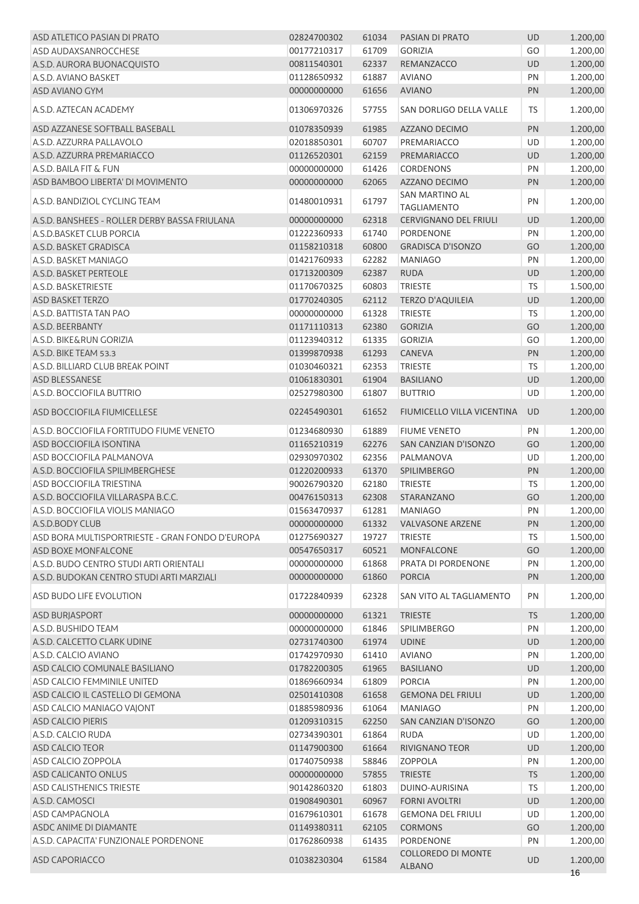| ASD ATLETICO PASIAN DI PRATO                    | 02824700302 | 61034 | PASIAN DI PRATO                            | UD.       | 1.200,00 |
|-------------------------------------------------|-------------|-------|--------------------------------------------|-----------|----------|
| <b>ASD AUDAXSANROCCHESE</b>                     | 00177210317 | 61709 | <b>GORIZIA</b>                             | GO        | 1.200,00 |
| A.S.D. AURORA BUONACQUISTO                      | 00811540301 | 62337 | REMANZACCO                                 | UD        | 1.200,00 |
| A.S.D. AVIANO BASKET                            | 01128650932 | 61887 | <b>AVIANO</b>                              | PN        | 1.200,00 |
| ASD AVIANO GYM                                  | 00000000000 | 61656 | <b>AVIANO</b>                              | PN        | 1.200,00 |
| A.S.D. AZTECAN ACADEMY                          | 01306970326 | 57755 | SAN DORLIGO DELLA VALLE                    | TS.       | 1.200,00 |
| ASD AZZANESE SOFTBALL BASEBALL                  | 01078350939 | 61985 | AZZANO DECIMO                              | PN        | 1.200,00 |
| A.S.D. AZZURRA PALLAVOLO                        | 02018850301 | 60707 | PREMARIACCO                                | UD        | 1.200,00 |
| A.S.D. AZZURRA PREMARIACCO                      | 01126520301 | 62159 | PREMARIACCO                                | <b>UD</b> | 1.200,00 |
| A.S.D. BAILA FIT & FUN                          | 00000000000 | 61426 | <b>CORDENONS</b>                           | PN        | 1.200,00 |
| ASD BAMBOO LIBERTA' DI MOVIMENTO                | 00000000000 | 62065 | AZZANO DECIMO                              | PN        | 1.200,00 |
| A.S.D. BANDIZIOL CYCLING TEAM                   | 01480010931 | 61797 | SAN MARTINO AL<br><b>TAGLIAMENTO</b>       | PN        | 1.200,00 |
| A.S.D. BANSHEES - ROLLER DERBY BASSA FRIULANA   | 00000000000 | 62318 | <b>CERVIGNANO DEL FRIULI</b>               | <b>UD</b> | 1.200,00 |
| A.S.D.BASKET CLUB PORCIA                        | 01222360933 | 61740 | <b>PORDENONE</b>                           | PN        | 1.200,00 |
| A.S.D. BASKET GRADISCA                          | 01158210318 | 60800 | <b>GRADISCA D'ISONZO</b>                   | GO        | 1.200,00 |
| A.S.D. BASKET MANIAGO                           | 01421760933 | 62282 | <b>MANIAGO</b>                             | PN        | 1.200,00 |
| A.S.D. BASKET PERTEOLE                          | 01713200309 | 62387 | <b>RUDA</b>                                | UD        | 1.200,00 |
| A.S.D. BASKETRIESTE                             | 01170670325 | 60803 | <b>TRIESTE</b>                             | <b>TS</b> | 1.500,00 |
| <b>ASD BASKET TERZO</b>                         | 01770240305 | 62112 | <b>TERZO D'AQUILEIA</b>                    | UD        | 1.200,00 |
| A.S.D. BATTISTA TAN PAO                         | 00000000000 | 61328 | <b>TRIESTE</b>                             | <b>TS</b> | 1.200,00 |
| A.S.D. BEERBANTY                                | 01171110313 | 62380 | <b>GORIZIA</b>                             | GO        | 1.200,00 |
| A.S.D. BIKE&RUN GORIZIA                         | 01123940312 | 61335 | <b>GORIZIA</b>                             | GO        | 1.200,00 |
| A.S.D. BIKE TEAM 53.3                           | 01399870938 | 61293 | CANEVA                                     | PN        |          |
|                                                 |             |       |                                            |           | 1.200,00 |
| A.S.D. BILLIARD CLUB BREAK POINT                | 01030460321 | 62353 | <b>TRIESTE</b>                             | TS        | 1.200,00 |
| ASD BLESSANESE                                  | 01061830301 | 61904 | <b>BASILIANO</b>                           | <b>UD</b> | 1.200,00 |
| A.S.D. BOCCIOFILA BUTTRIO                       | 02527980300 | 61807 | <b>BUTTRIO</b>                             | UD        | 1.200,00 |
| ASD BOCCIOFILA FIUMICELLESE                     | 02245490301 | 61652 | FIUMICELLO VILLA VICENTINA                 | <b>UD</b> | 1.200,00 |
| A.S.D. BOCCIOFILA FORTITUDO FIUME VENETO        | 01234680930 | 61889 | <b>FIUME VENETO</b>                        | PN        | 1.200,00 |
| ASD BOCCIOFILA ISONTINA                         | 01165210319 | 62276 | SAN CANZIAN D'ISONZO                       | GO        | 1.200,00 |
| ASD BOCCIOFILA PALMANOVA                        | 02930970302 | 62356 | PALMANOVA                                  | UD        | 1.200,00 |
| A.S.D. BOCCIOFILA SPILIMBERGHESE                | 01220200933 | 61370 | <b>SPILIMBERGO</b>                         | PN        | 1.200,00 |
| <b>ASD BOCCIOFILA TRIESTINA</b>                 | 90026790320 | 62180 | <b>TRIESTE</b>                             | TS        | 1.200,00 |
| A.S.D. BOCCIOFILA VILLARASPA B.C.C.             | 00476150313 | 62308 | STARANZANO                                 | GO        | 1.200,00 |
| A.S.D. BOCCIOFILA VIOLIS MANIAGO                | 01563470937 | 61281 | <b>MANIAGO</b>                             | PN        | 1.200,00 |
| A.S.D.BODY CLUB                                 | 00000000000 | 61332 | VALVASONE ARZENE                           | <b>PN</b> | 1.200,00 |
| ASD BORA MULTISPORTRIESTE - GRAN FONDO D'EUROPA | 01275690327 | 19727 | <b>TRIESTE</b>                             | <b>TS</b> | 1.500,00 |
| ASD BOXE MONFALCONE                             | 00547650317 | 60521 | <b>MONFALCONE</b>                          | GO        | 1.200,00 |
| A.S.D. BUDO CENTRO STUDI ARTI ORIENTALI         | 00000000000 | 61868 | PRATA DI PORDENONE                         | PN        | 1.200,00 |
| A.S.D. BUDOKAN CENTRO STUDI ARTI MARZIALI       | 00000000000 | 61860 | <b>PORCIA</b>                              | PN        | 1.200,00 |
| <b>ASD BUDO LIFE EVOLUTION</b>                  | 01722840939 | 62328 | SAN VITO AL TAGLIAMENTO                    | PN        | 1.200,00 |
| <b>ASD BURJASPORT</b>                           | 00000000000 | 61321 | <b>TRIESTE</b>                             | <b>TS</b> | 1.200,00 |
| A.S.D. BUSHIDO TEAM                             | 00000000000 | 61846 | <b>SPILIMBERGO</b>                         | PN        | 1.200,00 |
| A.S.D. CALCETTO CLARK UDINE                     | 02731740300 | 61974 | <b>UDINE</b>                               | UD        | 1.200,00 |
| A.S.D. CALCIO AVIANO                            | 01742970930 | 61410 | <b>AVIANO</b>                              | PN        | 1.200,00 |
| ASD CALCIO COMUNALE BASILIANO                   | 01782200305 | 61965 | <b>BASILIANO</b>                           | UD        | 1.200,00 |
| <b>ASD CALCIO FEMMINILE UNITED</b>              | 01869660934 | 61809 | <b>PORCIA</b>                              | PN        | 1.200,00 |
| ASD CALCIO IL CASTELLO DI GEMONA                | 02501410308 | 61658 | <b>GEMONA DEL FRIULI</b>                   | UD        | 1.200,00 |
| ASD CALCIO MANIAGO VAJONT                       | 01885980936 | 61064 | <b>MANIAGO</b>                             | PN        | 1.200,00 |
| ASD CALCIO PIERIS                               | 01209310315 |       | SAN CANZIAN D'ISONZO                       | GO        | 1.200,00 |
|                                                 |             | 62250 |                                            |           |          |
| A.S.D. CALCIO RUDA                              | 02734390301 | 61864 | <b>RUDA</b>                                | UD        | 1.200,00 |
| ASD CALCIO TEOR                                 | 01147900300 | 61664 | <b>RIVIGNANO TEOR</b>                      | UD        | 1.200,00 |
| ASD CALCIO ZOPPOLA                              | 01740750938 | 58846 | <b>ZOPPOLA</b>                             | PN        | 1.200,00 |
| ASD CALICANTO ONLUS                             | 00000000000 | 57855 | <b>TRIESTE</b>                             | <b>TS</b> | 1.200,00 |
| <b>ASD CALISTHENICS TRIESTE</b>                 | 90142860320 | 61803 | DUINO-AURISINA                             | TS        | 1.200,00 |
| A.S.D. CAMOSCI                                  | 01908490301 | 60967 | <b>FORNI AVOLTRI</b>                       | <b>UD</b> | 1.200,00 |
| <b>ASD CAMPAGNOLA</b>                           | 01679610301 | 61678 | <b>GEMONA DEL FRIULI</b>                   | UD        | 1.200,00 |
| ASDC ANIME DI DIAMANTE                          | 01149380311 | 62105 | <b>CORMONS</b>                             | GO        | 1.200,00 |
| A.S.D. CAPACITA' FUNZIONALE PORDENONE           | 01762860938 | 61435 | PORDENONE                                  | PN        | 1.200,00 |
| <b>ASD CAPORIACCO</b>                           | 01038230304 | 61584 | <b>COLLOREDO DI MONTE</b><br><b>ALBANO</b> | UD        | 1.200,00 |
|                                                 |             |       |                                            |           | 16       |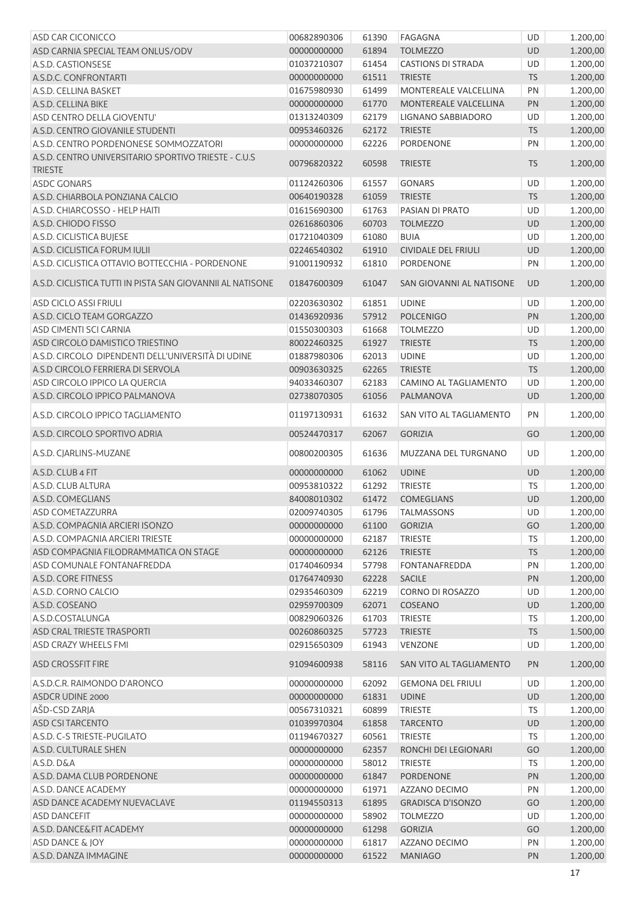| ASD CAR CICONICCO                                                      | 00682890306                  | 61390 | FAGAGNA                    | UD        | 1.200,00 |
|------------------------------------------------------------------------|------------------------------|-------|----------------------------|-----------|----------|
| ASD CARNIA SPECIAL TEAM ONLUS/ODV                                      | 00000000000                  | 61894 | <b>TOLMEZZO</b>            | <b>UD</b> | 1.200,00 |
| A.S.D. CASTIONSESE                                                     | 01037210307                  | 61454 | <b>CASTIONS DI STRADA</b>  | UD        | 1.200,00 |
| A.S.D.C. CONFRONTARTI                                                  | 00000000000                  | 61511 | <b>TRIESTE</b>             | <b>TS</b> | 1.200,00 |
| A.S.D. CELLINA BASKET                                                  | 01675980930                  | 61499 | MONTEREALE VALCELLINA      | PN        | 1.200,00 |
| A.S.D. CELLINA BIKE                                                    | 00000000000                  | 61770 | MONTEREALE VALCELLINA      | PN        | 1.200,00 |
| ASD CENTRO DELLA GIOVENTU'                                             | 01313240309                  | 62179 | LIGNANO SABBIADORO         | UD        | 1.200,00 |
| A.S.D. CENTRO GIOVANILE STUDENTI                                       | 00953460326                  | 62172 | <b>TRIESTE</b>             | <b>TS</b> | 1.200,00 |
| A.S.D. CENTRO PORDENONESE SOMMOZZATORI                                 | 00000000000                  | 62226 | <b>PORDENONE</b>           | PN        | 1.200,00 |
| A.S.D. CENTRO UNIVERSITARIO SPORTIVO TRIESTE - C.U.S<br><b>TRIESTE</b> | 00796820322                  | 60598 | <b>TRIESTE</b>             | <b>TS</b> | 1.200,00 |
| <b>ASDC GONARS</b>                                                     | 01124260306                  | 61557 | <b>GONARS</b>              | UD        | 1.200,00 |
| A.S.D. CHIARBOLA PONZIANA CALCIO                                       | 00640190328                  | 61059 | <b>TRIESTE</b>             | <b>TS</b> | 1.200,00 |
| A.S.D. CHIARCOSSO - HELP HAITI                                         | 01615690300                  | 61763 | PASIAN DI PRATO            | UD        | 1.200,00 |
| A.S.D. CHIODO FISSO                                                    | 02616860306                  | 60703 | <b>TOLMEZZO</b>            | UD        | 1.200,00 |
| A.S.D. CICLISTICA BUJESE                                               | 01721040309                  | 61080 | <b>BUIA</b>                | UD        | 1.200,00 |
| A.S.D. CICLISTICA FORUM IULII                                          | 02246540302                  | 61910 | <b>CIVIDALE DEL FRIULI</b> | <b>UD</b> | 1.200,00 |
| A.S.D. CICLISTICA OTTAVIO BOTTECCHIA - PORDENONE                       | 91001190932                  | 61810 | <b>PORDENONE</b>           | PN        | 1.200,00 |
| A.S.D. CICLISTICA TUTTI IN PISTA SAN GIOVANNII AL NATISONE             | 01847600309                  | 61047 | SAN GIOVANNI AL NATISONE   | <b>UD</b> | 1.200,00 |
| <b>ASD CICLO ASSI FRIULI</b>                                           | 02203630302                  | 61851 | <b>UDINE</b>               | UD        | 1.200,00 |
| A.S.D. CICLO TEAM GORGAZZO                                             | 01436920936                  | 57912 | <b>POLCENIGO</b>           | PN        | 1.200,00 |
| ASD CIMENTI SCI CARNIA                                                 | 01550300303                  | 61668 | <b>TOLMEZZO</b>            | UD        | 1.200,00 |
| ASD CIRCOLO DAMISTICO TRIESTINO                                        | 80022460325                  | 61927 | <b>TRIESTE</b>             | <b>TS</b> | 1.200,00 |
| A.S.D. CIRCOLO DIPENDENTI DELL'UNIVERSITÀ DI UDINE                     | 01887980306                  | 62013 | <b>UDINE</b>               | <b>UD</b> | 1.200,00 |
| A.S.D CIRCOLO FERRIERA DI SERVOLA                                      | 00903630325                  | 62265 | <b>TRIESTE</b>             | <b>TS</b> | 1.200,00 |
| ASD CIRCOLO IPPICO LA QUERCIA                                          | 94033460307                  | 62183 | CAMINO AL TAGLIAMENTO      | UD        | 1.200,00 |
| A.S.D. CIRCOLO IPPICO PALMANOVA                                        | 02738070305                  | 61056 | PALMANOVA                  | UD        | 1.200,00 |
| A.S.D. CIRCOLO IPPICO TAGLIAMENTO                                      | 01197130931                  | 61632 | SAN VITO AL TAGLIAMENTO    | PN        | 1.200,00 |
| A.S.D. CIRCOLO SPORTIVO ADRIA                                          | 00524470317                  | 62067 | <b>GORIZIA</b>             | GO        | 1.200,00 |
|                                                                        |                              |       |                            |           |          |
| A.S.D. CJARLINS-MUZANE                                                 | 00800200305                  | 61636 | MUZZANA DEL TURGNANO       | UD        | 1.200,00 |
| A.S.D. CLUB 4 FIT                                                      | 00000000000                  | 61062 | <b>UDINE</b>               | <b>UD</b> | 1.200,00 |
| A.S.D. CLUB ALTURA                                                     | 00953810322                  | 61292 | <b>TRIESTE</b>             | <b>TS</b> | 1.200,00 |
| A.S.D. COMEGLIANS                                                      | 84008010302                  | 61472 | <b>COMEGLIANS</b>          | <b>UD</b> | 1.200,00 |
| ASD COMETAZZURRA                                                       | 02009740305 61796 TALMASSONS |       |                            | UD        | 1.200,00 |
| A.S.D. COMPAGNIA ARCIERI ISONZO                                        | 00000000000                  | 61100 | <b>GORIZIA</b>             | GO        | 1.200,00 |
| A.S.D. COMPAGNIA ARCIERI TRIESTE                                       | 00000000000                  | 62187 | <b>TRIESTE</b>             | <b>TS</b> | 1.200,00 |
| ASD COMPAGNIA FILODRAMMATICA ON STAGE                                  | 00000000000                  | 62126 | <b>TRIESTE</b>             | <b>TS</b> | 1.200,00 |
| ASD COMUNALE FONTANAFREDDA                                             | 01740460934                  | 57798 | <b>FONTANAFREDDA</b>       | PN        | 1.200,00 |
| A.S.D. CORE FITNESS                                                    | 01764740930                  | 62228 | <b>SACILE</b>              | PN        | 1.200,00 |
| A.S.D. CORNO CALCIO                                                    | 02935460309                  | 62219 | CORNO DI ROSAZZO           | UD        | 1.200,00 |
| A.S.D. COSEANO                                                         | 02959700309                  | 62071 | COSEANO                    | UD        | 1.200,00 |
| A.S.D.COSTALUNGA                                                       | 00829060326                  | 61703 | <b>TRIESTE</b>             | <b>TS</b> | 1.200,00 |
| ASD CRAL TRIESTE TRASPORTI                                             | 00260860325                  | 57723 | <b>TRIESTE</b>             | <b>TS</b> | 1.500,00 |
| <b>ASD CRAZY WHEELS FMI</b>                                            | 02915650309                  | 61943 | VENZONE                    | UD        | 1.200,00 |
| <b>ASD CROSSFIT FIRE</b>                                               | 91094600938                  | 58116 | SAN VITO AL TAGLIAMENTO    | PN        | 1.200,00 |
| A.S.D.C.R. RAIMONDO D'ARONCO                                           | 00000000000                  | 62092 | <b>GEMONA DEL FRIULI</b>   | UD        | 1.200,00 |
| ASDCR UDINE 2000                                                       | 00000000000                  | 61831 | <b>UDINE</b>               | <b>UD</b> | 1.200,00 |
| AŠD-CSD ZARJA                                                          | 00567310321                  | 60899 | <b>TRIESTE</b>             | <b>TS</b> | 1.200,00 |
| <b>ASD CSI TARCENTO</b>                                                | 01039970304                  | 61858 | <b>TARCENTO</b>            | UD        | 1.200,00 |
| A.S.D. C-S TRIESTE-PUGILATO                                            | 01194670327                  | 60561 | <b>TRIESTE</b>             | <b>TS</b> | 1.200,00 |
| A.S.D. CULTURALE SHEN                                                  | 00000000000                  | 62357 | RONCHI DEI LEGIONARI       | GO        | 1.200,00 |
| A.S.D. D&A                                                             | 00000000000                  | 58012 | <b>TRIESTE</b>             | <b>TS</b> | 1.200,00 |
| A.S.D. DAMA CLUB PORDENONE                                             | 00000000000                  | 61847 | <b>PORDENONE</b>           | PN        | 1.200,00 |
| A.S.D. DANCE ACADEMY                                                   | 00000000000                  | 61971 | AZZANO DECIMO              | PN        | 1.200,00 |
| ASD DANCE ACADEMY NUEVACLAVE                                           | 01194550313                  | 61895 | <b>GRADISCA D'ISONZO</b>   | GO        | 1.200,00 |
| <b>ASD DANCEFIT</b>                                                    | 00000000000                  | 58902 | <b>TOLMEZZO</b>            | UD        | 1.200,00 |
| A.S.D. DANCE&FIT ACADEMY                                               | 00000000000                  | 61298 | <b>GORIZIA</b>             | GO        | 1.200,00 |
| ASD DANCE & JOY                                                        | 00000000000                  | 61817 | AZZANO DECIMO              | PN        | 1.200,00 |
| A.S.D. DANZA IMMAGINE                                                  | 00000000000                  | 61522 | <b>MANIAGO</b>             | PN        | 1.200,00 |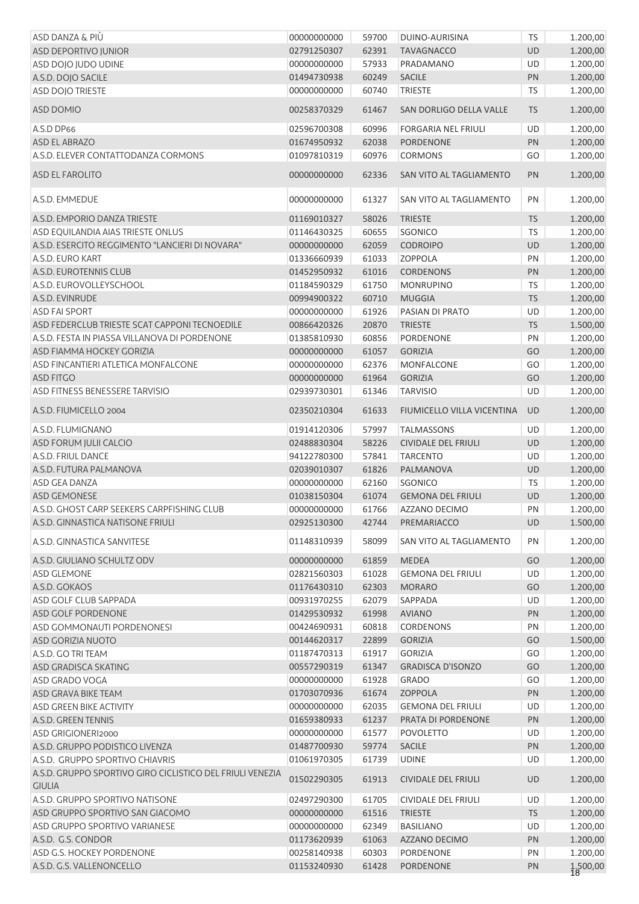| ASD DANZA & PIÙ                                                            | 00000000000 | 59700 | DUINO-AURISINA             | TS        | 1.200,00 |
|----------------------------------------------------------------------------|-------------|-------|----------------------------|-----------|----------|
| ASD DEPORTIVO JUNIOR                                                       | 02791250307 | 62391 | <b>TAVAGNACCO</b>          | <b>UD</b> | 1.200,00 |
| ASD DOJO JUDO UDINE                                                        | 00000000000 | 57933 | PRADAMANO                  | UD        | 1.200,00 |
| A.S.D. DOJO SACILE                                                         | 01494730938 | 60249 | SACILE                     | PN        | 1.200,00 |
| <b>ASD DOJO TRIESTE</b>                                                    | 00000000000 | 60740 | <b>TRIESTE</b>             | <b>TS</b> | 1.200,00 |
| <b>ASD DOMIO</b>                                                           | 00258370329 | 61467 | SAN DORLIGO DELLA VALLE    | <b>TS</b> | 1.200,00 |
| A.S.D DP66                                                                 | 02596700308 | 60996 | <b>FORGARIA NEL FRIULI</b> | UD        | 1.200,00 |
| <b>ASD EL ABRAZO</b>                                                       | 01674950932 | 62038 | <b>PORDENONE</b>           | PN        | 1.200,00 |
| A.S.D. ELEVER CONTATTODANZA CORMONS                                        | 01097810319 | 60976 | <b>CORMONS</b>             | GO        | 1.200,00 |
| <b>ASD EL FAROLITO</b>                                                     | 00000000000 | 62336 | SAN VITO AL TAGLIAMENTO    | PN        | 1.200,00 |
| A.S.D. EMMEDUE                                                             | 00000000000 | 61327 | SAN VITO AL TAGLIAMENTO    | PN        | 1.200,00 |
| A.S.D. EMPORIO DANZA TRIESTE                                               | 01169010327 | 58026 | <b>TRIESTE</b>             | <b>TS</b> | 1.200,00 |
| ASD EQUILANDIA AIAS TRIESTE ONLUS                                          | 01146430325 | 60655 | SGONICO                    | TS        | 1.200,00 |
| A.S.D. ESERCITO REGGIMENTO "LANCIERI DI NOVARA"                            | 00000000000 | 62059 | <b>CODROIPO</b>            | UD        | 1.200,00 |
| A.S.D. EURO KART                                                           | 01336660939 | 61033 | <b>ZOPPOLA</b>             | PN        | 1.200,00 |
| A.S.D. EUROTENNIS CLUB                                                     | 01452950932 | 61016 | <b>CORDENONS</b>           | PN        | 1.200,00 |
| A.S.D. EUROVOLLEYSCHOOL                                                    | 01184590329 | 61750 | <b>MONRUPINO</b>           | TS        | 1.200,00 |
| A.S.D. EVINRUDE                                                            | 00994900322 | 60710 | <b>MUGGIA</b>              | <b>TS</b> | 1.200,00 |
| <b>ASD FAI SPORT</b>                                                       | 00000000000 | 61926 | PASIAN DI PRATO            | UD        | 1.200,00 |
| ASD FEDERCLUB TRIESTE SCAT CAPPONI TECNOEDILE                              | 00866420326 | 20870 | <b>TRIESTE</b>             | <b>TS</b> | 1.500,00 |
| A.S.D. FESTA IN PIASSA VILLANOVA DI PORDENONE                              | 01385810930 | 60856 | PORDENONE                  | PN        | 1.200,00 |
| ASD FIAMMA HOCKEY GORIZIA                                                  | 00000000000 | 61057 | <b>GORIZIA</b>             | GO        | 1.200,00 |
| ASD FINCANTIERI ATLETICA MONFALCONE                                        | 00000000000 | 62376 | <b>MONFALCONE</b>          | GO        | 1.200,00 |
| <b>ASD FITGO</b>                                                           | 00000000000 | 61964 | <b>GORIZIA</b>             | GO        | 1.200,00 |
| ASD FITNESS BENESSERE TARVISIO                                             | 02939730301 | 61346 | <b>TARVISIO</b>            | UD        | 1.200,00 |
| A.S.D. FIUMICELLO 2004                                                     | 02350210304 | 61633 | FIUMICELLO VILLA VICENTINA | <b>UD</b> | 1.200,00 |
| A.S.D. FLUMIGNANO                                                          | 01914120306 | 57997 | <b>TALMASSONS</b>          | UD        | 1.200,00 |
| ASD FORUM JULII CALCIO                                                     | 02488830304 | 58226 | <b>CIVIDALE DEL FRIULI</b> | UD        | 1.200,00 |
| A.S.D. FRIUL DANCE                                                         | 94122780300 | 57841 | <b>TARCENTO</b>            | UD        | 1.200,00 |
| A.S.D. FUTURA PALMANOVA                                                    | 02039010307 | 61826 | PALMANOVA                  | UD        | 1.200,00 |
| ASD GEA DANZA                                                              | 00000000000 | 62160 | SGONICO                    | <b>TS</b> | 1.200,00 |
| ASD GEMONESE                                                               | 01038150304 | 61074 | <b>GEMONA DEL FRIULI</b>   | UD        | 1.200,00 |
| A.S.D. GHOST CARP SEEKERS CARPFISHING CLUB                                 | 00000000000 | 61766 | AZZANO DECIMO              | PN        | 1.200,00 |
| A.S.D. GINNASTICA NATISONE FRIULI                                          | 02925130300 | 42744 | PREMARIACCO                | UD        | 1.500,00 |
| A.S.D. GINNASTICA SANVITESE                                                | 01148310939 | 58099 | SAN VITO AL TAGLIAMENTO    | PN        | 1.200,00 |
| A.S.D. GIULIANO SCHULTZ ODV                                                | 00000000000 | 61859 | <b>MEDEA</b>               | GO        | 1.200,00 |
| <b>ASD GLEMONE</b>                                                         | 02821560303 | 61028 | <b>GEMONA DEL FRIULI</b>   | UD        | 1.200,00 |
| A.S.D. GOKAOS                                                              | 01176430310 | 62303 | <b>MORARO</b>              | GO        | 1.200,00 |
| ASD GOLF CLUB SAPPADA                                                      | 00931970255 | 62079 | SAPPADA                    | UD        | 1.200,00 |
| ASD GOLF PORDENONE                                                         | 01429530932 | 61998 | <b>AVIANO</b>              | PN        | 1.200,00 |
| ASD GOMMONAUTI PORDENONESI                                                 | 00424690931 | 60818 | <b>CORDENONS</b>           | PN        | 1.200,00 |
| ASD GORIZIA NUOTO                                                          | 00144620317 | 22899 | <b>GORIZIA</b>             | GO        | 1.500,00 |
| A.S.D. GO TRI TEAM                                                         | 01187470313 | 61917 | <b>GORIZIA</b>             | GO        | 1.200,00 |
| ASD GRADISCA SKATING                                                       | 00557290319 | 61347 | <b>GRADISCA D'ISONZO</b>   | GO        | 1.200,00 |
| ASD GRADO VOGA                                                             | 00000000000 | 61928 | <b>GRADO</b>               | GO        | 1.200,00 |
| ASD GRAVA BIKE TEAM                                                        | 01703070936 | 61674 | <b>ZOPPOLA</b>             | PN        | 1.200,00 |
| <b>ASD GREEN BIKE ACTIVITY</b>                                             | 00000000000 | 62035 | <b>GEMONA DEL FRIULI</b>   | UD        | 1.200,00 |
| A.S.D. GREEN TENNIS                                                        | 01659380933 | 61237 | PRATA DI PORDENONE         | PN        | 1.200,00 |
| ASD GRIGIONERI2000                                                         | 00000000000 | 61577 | <b>POVOLETTO</b>           | UD        | 1.200,00 |
| A.S.D. GRUPPO PODISTICO LIVENZA                                            | 01487700930 | 59774 | <b>SACILE</b>              | PN        | 1.200,00 |
| A.S.D. GRUPPO SPORTIVO CHIAVRIS                                            | 01061970305 | 61739 | <b>UDINE</b>               | UD        | 1.200,00 |
| A.S.D. GRUPPO SPORTIVO GIRO CICLISTICO DEL FRIULI VENEZIA<br><b>GIULIA</b> | 01502290305 | 61913 | <b>CIVIDALE DEL FRIULI</b> | UD        | 1.200,00 |
| A.S.D. GRUPPO SPORTIVO NATISONE                                            | 02497290300 | 61705 | <b>CIVIDALE DEL FRIULI</b> | UD        | 1.200,00 |
| ASD GRUPPO SPORTIVO SAN GIACOMO                                            | 00000000000 | 61516 | <b>TRIESTE</b>             | <b>TS</b> | 1.200,00 |
| ASD GRUPPO SPORTIVO VARIANESE                                              | 00000000000 | 62349 | <b>BASILIANO</b>           | UD        | 1.200,00 |
|                                                                            | 01173620939 | 61063 | AZZANO DECIMO              | PN        | 1.200,00 |
| A.S.D. G.S. CONDOR                                                         |             |       |                            |           |          |
| ASD G.S. HOCKEY PORDENONE                                                  | 00258140938 | 60303 | PORDENONE                  | PN        | 1.200,00 |
| A.S.D. G.S. VALLENONCELLO                                                  | 01153240930 | 61428 | <b>PORDENONE</b>           | <b>PN</b> | 1.500,00 |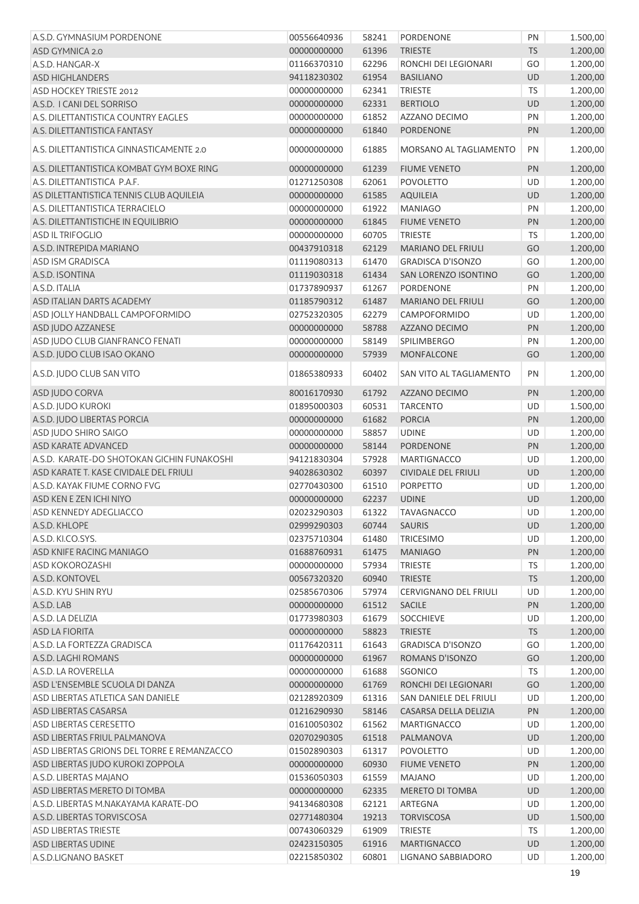| A.S.D. GYMNASIUM PORDENONE                 | 00556640936                  | 58241 | PORDENONE                    | PN        | 1.500,00 |
|--------------------------------------------|------------------------------|-------|------------------------------|-----------|----------|
| ASD GYMNICA 2.0                            | 00000000000                  | 61396 | <b>TRIESTE</b>               | <b>TS</b> | 1.200,00 |
| A.S.D. HANGAR-X                            | 01166370310                  | 62296 | RONCHI DEI LEGIONARI         | GO        | 1.200,00 |
| <b>ASD HIGHLANDERS</b>                     | 94118230302                  | 61954 | <b>BASILIANO</b>             | UD        | 1.200,00 |
| <b>ASD HOCKEY TRIESTE 2012</b>             | 00000000000                  | 62341 | <b>TRIESTE</b>               | <b>TS</b> | 1.200,00 |
| A.S.D. I CANI DEL SORRISO                  | 00000000000                  | 62331 | <b>BERTIOLO</b>              | UD        | 1.200,00 |
| A.S. DILETTANTISTICA COUNTRY EAGLES        | 00000000000                  | 61852 | AZZANO DECIMO                | PN        | 1.200,00 |
| A.S. DILETTANTISTICA FANTASY               | 00000000000                  | 61840 | <b>PORDENONE</b>             | PN        | 1.200,00 |
| A.S. DILETTANTISTICA GINNASTICAMENTE 2.0   | 00000000000                  | 61885 | MORSANO AL TAGLIAMENTO       | PN        | 1.200,00 |
| A.S. DILETTANTISTICA KOMBAT GYM BOXE RING  | 00000000000                  | 61239 | <b>FIUME VENETO</b>          | PN        | 1.200,00 |
| A.S. DILETTANTISTICA P.A.F.                | 01271250308                  | 62061 | <b>POVOLETTO</b>             | UD        | 1.200,00 |
| AS DILETTANTISTICA TENNIS CLUB AQUILEIA    | 00000000000                  | 61585 | <b>AQUILEIA</b>              | UD        | 1.200,00 |
| A.S. DILETTANTISTICA TERRACIELO            | 00000000000                  | 61922 | <b>MANIAGO</b>               | PN        | 1.200,00 |
| A.S. DILETTANTISTICHE IN EQUILIBRIO        | 00000000000                  | 61845 | <b>FIUME VENETO</b>          | PN        | 1.200,00 |
| <b>ASD IL TRIFOGLIO</b>                    | 00000000000                  | 60705 | <b>TRIESTE</b>               | <b>TS</b> | 1.200,00 |
| A.S.D. INTREPIDA MARIANO                   | 00437910318                  | 62129 | <b>MARIANO DEL FRIULI</b>    | GO        | 1.200,00 |
| <b>ASD ISM GRADISCA</b>                    | 01119080313                  | 61470 | <b>GRADISCA D'ISONZO</b>     | GO        | 1.200,00 |
| A.S.D. ISONTINA                            | 01119030318                  | 61434 | SAN LORENZO ISONTINO         | GO        | 1.200,00 |
| A.S.D. ITALIA                              | 01737890937                  | 61267 | PORDENONE                    | PN        | 1.200,00 |
| ASD ITALIAN DARTS ACADEMY                  | 01185790312                  | 61487 | MARIANO DEL FRIULI           | GO        | 1.200,00 |
| ASD JOLLY HANDBALL CAMPOFORMIDO            | 02752320305                  | 62279 | CAMPOFORMIDO                 | UD        | 1.200,00 |
| ASD JUDO AZZANESE                          | 00000000000                  | 58788 | AZZANO DECIMO                | PN        | 1.200,00 |
| ASD JUDO CLUB GIANFRANCO FENATI            | 00000000000                  | 58149 | <b>SPILIMBERGO</b>           | PN        | 1.200,00 |
| A.S.D. JUDO CLUB ISAO OKANO                | 00000000000                  | 57939 | <b>MONFALCONE</b>            | GO        | 1.200,00 |
|                                            |                              |       |                              |           |          |
| A.S.D. JUDO CLUB SAN VITO                  | 01865380933                  | 60402 | SAN VITO AL TAGLIAMENTO      | PN        | 1.200,00 |
| ASD JUDO CORVA                             | 80016170930                  | 61792 | AZZANO DECIMO                | PN        | 1.200,00 |
| A.S.D. JUDO KUROKI                         | 01895000303                  | 60531 | <b>TARCENTO</b>              | UD        | 1.500,00 |
| A.S.D. JUDO LIBERTAS PORCIA                | 00000000000                  | 61682 | <b>PORCIA</b>                | PN        | 1.200,00 |
| ASD JUDO SHIRO SAIGO                       | 00000000000                  | 58857 | <b>UDINE</b>                 | UD        | 1.200,00 |
| ASD KARATE ADVANCED                        | 00000000000                  | 58144 | <b>PORDENONE</b>             | PN        | 1.200,00 |
| A.S.D. KARATE-DO SHOTOKAN GICHIN FUNAKOSHI | 94121830304                  | 57928 | <b>MARTIGNACCO</b>           | UD        | 1.200,00 |
| ASD KARATE T. KASE CIVIDALE DEL FRIULI     | 94028630302                  | 60397 | <b>CIVIDALE DEL FRIULI</b>   | UD        | 1.200,00 |
| A.S.D. KAYAK FIUME CORNO FVG               | 02770430300                  | 61510 | <b>PORPETTO</b>              | UD        | 1.200,00 |
| ASD KEN E ZEN ICHI NIYO                    | 00000000000                  | 62237 | <b>UDINE</b>                 | <b>UD</b> | 1.200,00 |
| ASD KENNEDY ADEGLIACCO                     | 02023290303 61322 TAVAGNACCO |       |                              | UD        | 1.200,00 |
| A.S.D. KHLOPE                              | 02999290303                  | 60744 | <b>SAURIS</b>                | <b>UD</b> | 1.200,00 |
| A.S.D. KI.CO.SYS.                          | 02375710304                  | 61480 | <b>TRICESIMO</b>             | UD        | 1.200,00 |
| ASD KNIFE RACING MANIAGO                   | 01688760931                  | 61475 | <b>MANIAGO</b>               | PN        | 1.200,00 |
| <b>ASD KOKOROZASHI</b>                     | 00000000000                  | 57934 | <b>TRIESTE</b>               | <b>TS</b> | 1.200,00 |
| A.S.D. KONTOVEL                            | 00567320320                  | 60940 | <b>TRIESTE</b>               | <b>TS</b> | 1.200,00 |
| A.S.D. KYU SHIN RYU                        | 02585670306                  | 57974 | <b>CERVIGNANO DEL FRIULI</b> | UD        | 1.200,00 |
| A.S.D. LAB                                 | 00000000000                  | 61512 | <b>SACILE</b>                | PN        | 1.200,00 |
| A.S.D. LA DELIZIA                          | 01773980303                  | 61679 | <b>SOCCHIEVE</b>             | UD        | 1.200,00 |
| <b>ASD LA FIORITA</b>                      | 00000000000                  | 58823 | <b>TRIESTE</b>               | <b>TS</b> | 1.200,00 |
| A.S.D. LA FORTEZZA GRADISCA                | 01176420311                  | 61643 | <b>GRADISCA D'ISONZO</b>     | GO        | 1.200,00 |
| A.S.D. LAGHI ROMANS                        | 00000000000                  | 61967 | ROMANS D'ISONZO              | GO        | 1.200,00 |
| A.S.D. LA ROVERELLA                        | 00000000000                  | 61688 | <b>SGONICO</b>               | <b>TS</b> | 1.200,00 |
| ASD L'ENSEMBLE SCUOLA DI DANZA             | 00000000000                  | 61769 | RONCHI DEI LEGIONARI         | GO        | 1.200,00 |
| ASD LIBERTAS ATLETICA SAN DANIELE          | 02128920309                  | 61316 | SAN DANIELE DEL FRIULI       | UD        | 1.200,00 |
| ASD LIBERTAS CASARSA                       | 01216290930                  | 58146 | CASARSA DELLA DELIZIA        | PN        | 1.200,00 |
| <b>ASD LIBERTAS CERESETTO</b>              | 01610050302                  | 61562 | <b>MARTIGNACCO</b>           | UD        | 1.200,00 |
| ASD LIBERTAS FRIUL PALMANOVA               | 02070290305                  | 61518 | PALMANOVA                    | UD        | 1.200,00 |
| ASD LIBERTAS GRIONS DEL TORRE E REMANZACCO | 01502890303                  | 61317 | <b>POVOLETTO</b>             | UD        | 1.200,00 |
| ASD LIBERTAS JUDO KUROKI ZOPPOLA           | 00000000000                  | 60930 | <b>FIUME VENETO</b>          | PN        | 1.200,00 |
| A.S.D. LIBERTAS MAJANO                     | 01536050303                  | 61559 | <b>MAJANO</b>                | UD        | 1.200,00 |
| ASD LIBERTAS MERETO DI TOMBA               | 00000000000                  | 62335 | <b>MERETO DI TOMBA</b>       | UD        | 1.200,00 |
| A.S.D. LIBERTAS M.NAKAYAMA KARATE-DO       | 94134680308                  | 62121 | ARTEGNA                      | UD        | 1.200,00 |
| A.S.D. LIBERTAS TORVISCOSA                 | 02771480304                  | 19213 | <b>TORVISCOSA</b>            | UD        | 1.500,00 |
| <b>ASD LIBERTAS TRIESTE</b>                | 00743060329                  | 61909 | <b>TRIESTE</b>               | <b>TS</b> | 1.200,00 |
| ASD LIBERTAS UDINE                         | 02423150305                  | 61916 | <b>MARTIGNACCO</b>           | UD        | 1.200,00 |
| A.S.D.LIGNANO BASKET                       | 02215850302                  | 60801 | LIGNANO SABBIADORO           | UD        | 1.200,00 |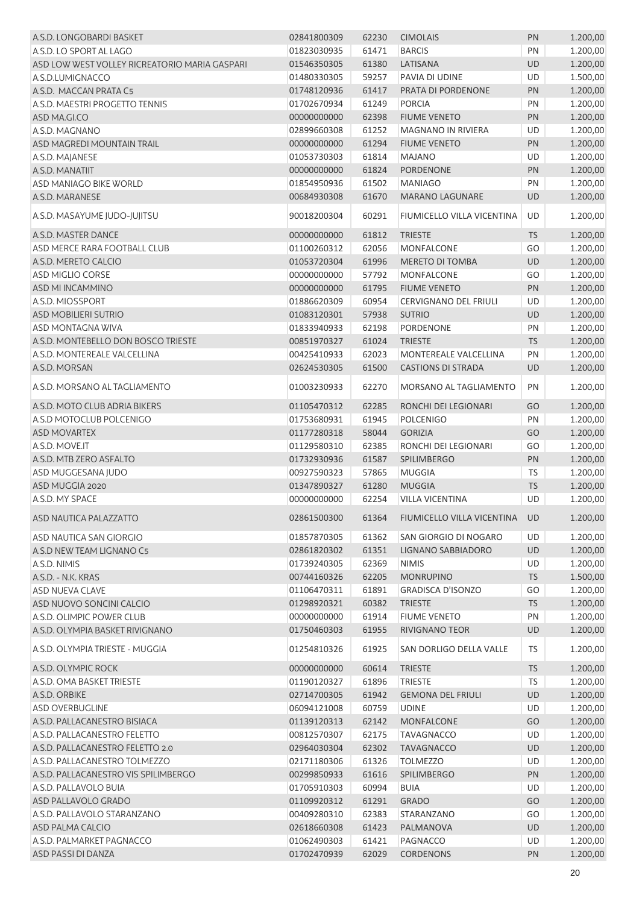| A.S.D. LONGOBARDI BASKET                      | 02841800309 | 62230 | <b>CIMOLAIS</b>              | PN        | 1.200,00 |
|-----------------------------------------------|-------------|-------|------------------------------|-----------|----------|
| A.S.D. LO SPORT AL LAGO                       | 01823030935 | 61471 | <b>BARCIS</b>                | PN        | 1.200,00 |
| ASD LOW WEST VOLLEY RICREATORIO MARIA GASPARI | 01546350305 | 61380 | LATISANA                     | UD        | 1.200,00 |
| A.S.D.LUMIGNACCO                              | 01480330305 | 59257 | PAVIA DI UDINE               | <b>UD</b> | 1.500,00 |
| A.S.D. MACCAN PRATA C5                        | 01748120936 | 61417 | PRATA DI PORDENONE           | PN        | 1.200,00 |
| A.S.D. MAESTRI PROGETTO TENNIS                | 01702670934 | 61249 | <b>PORCIA</b>                | PN        | 1.200,00 |
| ASD MA.GI.CO                                  | 00000000000 | 62398 | <b>FIUME VENETO</b>          | PN        | 1.200,00 |
| A.S.D. MAGNANO                                | 02899660308 | 61252 | <b>MAGNANO IN RIVIERA</b>    | <b>UD</b> | 1.200,00 |
| ASD MAGREDI MOUNTAIN TRAIL                    | 00000000000 | 61294 | <b>FIUME VENETO</b>          | PN        | 1.200,00 |
| A.S.D. MAJANESE                               | 01053730303 | 61814 | <b>MAJANO</b>                | UD        | 1.200,00 |
| A.S.D. MANATIIT                               | 00000000000 | 61824 | <b>PORDENONE</b>             | PN        | 1.200,00 |
| <b>ASD MANIAGO BIKE WORLD</b>                 | 01854950936 | 61502 | <b>MANIAGO</b>               | PN        | 1.200,00 |
| A.S.D. MARANESE                               | 00684930308 | 61670 | <b>MARANO LAGUNARE</b>       | <b>UD</b> | 1.200,00 |
| A.S.D. MASAYUME JUDO-JUJITSU                  | 90018200304 | 60291 | FIUMICELLO VILLA VICENTINA   | <b>UD</b> | 1.200,00 |
| A.S.D. MASTER DANCE                           | 00000000000 | 61812 | <b>TRIESTE</b>               | <b>TS</b> | 1.200,00 |
| ASD MERCE RARA FOOTBALL CLUB                  | 01100260312 | 62056 | <b>MONFALCONE</b>            | GO        | 1.200,00 |
| A.S.D. MERETO CALCIO                          | 01053720304 | 61996 | <b>MERETO DI TOMBA</b>       | UD        | 1.200,00 |
| <b>ASD MIGLIO CORSE</b>                       | 00000000000 | 57792 | <b>MONFALCONE</b>            | GO        | 1.200,00 |
| ASD MI INCAMMINO                              | 00000000000 | 61795 | <b>FIUME VENETO</b>          | PN        | 1.200,00 |
| A.S.D. MIOSSPORT                              | 01886620309 | 60954 | <b>CERVIGNANO DEL FRIULI</b> | UD        | 1.200,00 |
| <b>ASD MOBILIERI SUTRIO</b>                   | 01083120301 | 57938 | <b>SUTRIO</b>                | <b>UD</b> | 1.200,00 |
| ASD MONTAGNA WIVA                             | 01833940933 | 62198 | <b>PORDENONE</b>             | PN        | 1.200,00 |
| A.S.D. MONTEBELLO DON BOSCO TRIESTE           | 00851970327 | 61024 | <b>TRIESTE</b>               | <b>TS</b> | 1.200,00 |
| A.S.D. MONTEREALE VALCELLINA                  | 00425410933 | 62023 | MONTEREALE VALCELLINA        | PN        | 1.200,00 |
| A.S.D. MORSAN                                 | 02624530305 | 61500 | <b>CASTIONS DI STRADA</b>    | UD        | 1.200,00 |
| A.S.D. MORSANO AL TAGLIAMENTO                 | 01003230933 | 62270 | MORSANO AL TAGLIAMENTO       | PN        | 1.200,00 |
| A.S.D. MOTO CLUB ADRIA BIKERS                 | 01105470312 | 62285 | RONCHI DEI LEGIONARI         | GO        | 1.200,00 |
| A.S.D MOTOCLUB POLCENIGO                      | 01753680931 | 61945 | <b>POLCENIGO</b>             | PN        | 1.200,00 |
| <b>ASD MOVARTEX</b>                           | 01177280318 | 58044 | <b>GORIZIA</b>               | GO        | 1.200,00 |
| A.S.D. MOVE.IT                                | 01129580310 | 62385 | RONCHI DEI LEGIONARI         | GO        | 1.200,00 |
| A.S.D. MTB ZERO ASFALTO                       | 01732930936 | 61587 | SPILIMBERGO                  | PN        | 1.200,00 |
| ASD MUGGESANA JUDO                            | 00927590323 | 57865 | <b>MUGGIA</b>                | TS        | 1.200,00 |
| ASD MUGGIA 2020                               | 01347890327 | 61280 | <b>MUGGIA</b>                | <b>TS</b> | 1.200,00 |
| A.S.D. MY SPACE                               | 00000000000 | 62254 | <b>VILLA VICENTINA</b>       | UD        | 1.200,00 |
| ASD NAUTICA PALAZZATTO                        | 02861500300 | 61364 | FIUMICELLO VILLA VICENTINA   | UD        | 1.200,00 |
| ASD NAUTICA SAN GIORGIO                       | 01857870305 | 61362 | SAN GIORGIO DI NOGARO        | UD        | 1.200,00 |
| A.S.D NEW TEAM LIGNANO C5                     | 02861820302 | 61351 | <b>LIGNANO SABBIADORO</b>    | <b>UD</b> | 1.200,00 |
| A.S.D. NIMIS                                  | 01739240305 | 62369 | <b>NIMIS</b>                 | UD        | 1.200,00 |
| A.S.D. - N.K. KRAS                            | 00744160326 | 62205 | <b>MONRUPINO</b>             | <b>TS</b> | 1.500,00 |
| <b>ASD NUEVA CLAVE</b>                        | 01106470311 | 61891 | <b>GRADISCA D'ISONZO</b>     | GO        | 1.200,00 |
| ASD NUOVO SONCINI CALCIO                      | 01298920321 | 60382 | <b>TRIESTE</b>               | <b>TS</b> | 1.200,00 |
| A.S.D. OLIMPIC POWER CLUB                     | 00000000000 | 61914 | <b>FIUME VENETO</b>          | PN        | 1.200,00 |
| A.S.D. OLYMPIA BASKET RIVIGNANO               | 01750460303 | 61955 | RIVIGNANO TEOR               | UD        | 1.200,00 |
| A.S.D. OLYMPIA TRIESTE - MUGGIA               | 01254810326 | 61925 | SAN DORLIGO DELLA VALLE      | TS        | 1.200,00 |
| A.S.D. OLYMPIC ROCK                           | 00000000000 | 60614 | <b>TRIESTE</b>               | <b>TS</b> | 1.200,00 |
| A.S.D. OMA BASKET TRIESTE                     | 01190120327 | 61896 | <b>TRIESTE</b>               | <b>TS</b> | 1.200,00 |
| A.S.D. ORBIKE                                 | 02714700305 | 61942 | <b>GEMONA DEL FRIULI</b>     | UD        | 1.200,00 |
| <b>ASD OVERBUGLINE</b>                        | 06094121008 | 60759 | <b>UDINE</b>                 | UD        | 1.200,00 |
| A.S.D. PALLACANESTRO BISIACA                  | 01139120313 | 62142 | <b>MONFALCONE</b>            | GO        | 1.200,00 |
| A.S.D. PALLACANESTRO FELETTO                  | 00812570307 | 62175 | <b>TAVAGNACCO</b>            | <b>UD</b> | 1.200,00 |
| A.S.D. PALLACANESTRO FELETTO 2.0              | 02964030304 | 62302 | <b>TAVAGNACCO</b>            | <b>UD</b> | 1.200,00 |
| A.S.D. PALLACANESTRO TOLMEZZO                 | 02171180306 | 61326 | <b>TOLMEZZO</b>              | UD        | 1.200,00 |
| A.S.D. PALLACANESTRO VIS SPILIMBERGO          | 00299850933 | 61616 | SPILIMBERGO                  | PN        | 1.200,00 |
| A.S.D. PALLAVOLO BUIA                         | 01705910303 | 60994 | <b>BUIA</b>                  | UD        | 1.200,00 |
| ASD PALLAVOLO GRADO                           | 01109920312 | 61291 | <b>GRADO</b>                 | GO        | 1.200,00 |
| A.S.D. PALLAVOLO STARANZANO                   | 00409280310 | 62383 | STARANZANO                   | GO        | 1.200,00 |
| ASD PALMA CALCIO                              | 02618660308 | 61423 | PALMANOVA                    | <b>UD</b> | 1.200,00 |
| A.S.D. PALMARKET PAGNACCO                     | 01062490303 | 61421 | PAGNACCO                     | UD        | 1.200,00 |
| ASD PASSI DI DANZA                            | 01702470939 | 62029 | <b>CORDENONS</b>             | PN        | 1.200,00 |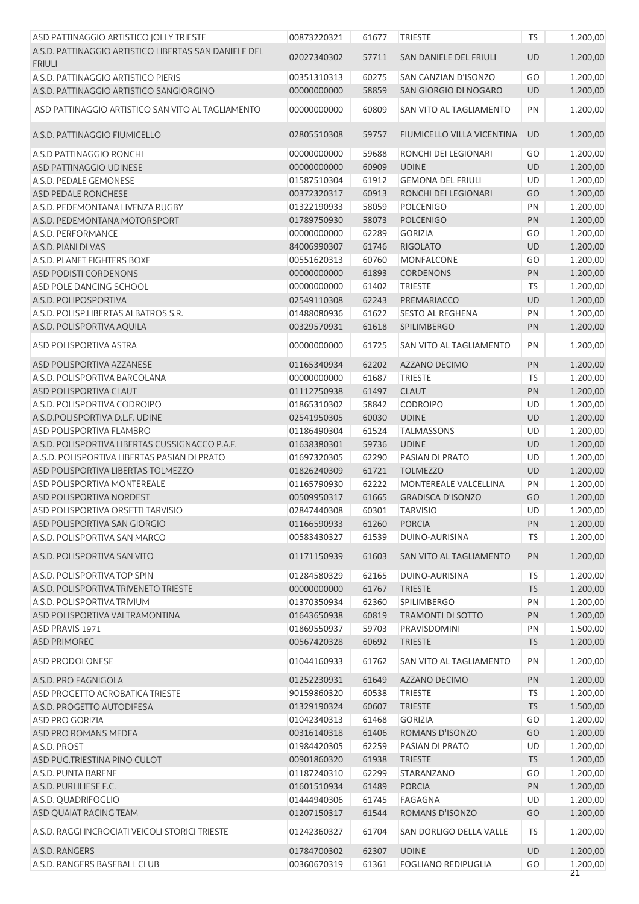| ASD PATTINAGGIO ARTISTICO JOLLY TRIESTE                       | 00873220321                | 61677          | <b>TRIESTE</b>                              | <b>TS</b>       | 1.200,00             |
|---------------------------------------------------------------|----------------------------|----------------|---------------------------------------------|-----------------|----------------------|
| A.S.D. PATTINAGGIO ARTISTICO LIBERTAS SAN DANIELE DEL         | 02027340302                | 57711          | SAN DANIELE DEL FRIULI                      | <b>UD</b>       | 1.200,00             |
| <b>FRIULI</b>                                                 |                            |                |                                             |                 |                      |
| A.S.D. PATTINAGGIO ARTISTICO PIERIS                           | 00351310313                | 60275          | SAN CANZIAN D'ISONZO                        | GO              | 1.200,00             |
| A.S.D. PATTINAGGIO ARTISTICO SANGIORGINO                      | 00000000000                | 58859          | SAN GIORGIO DI NOGARO                       | <b>UD</b>       | 1.200,00             |
| ASD PATTINAGGIO ARTISTICO SAN VITO AL TAGLIAMENTO             | 00000000000                | 60809          | SAN VITO AL TAGLIAMENTO                     | PN              | 1.200,00             |
| A.S.D. PATTINAGGIO FIUMICELLO                                 | 02805510308                | 59757          | FIUMICELLO VILLA VICENTINA                  | <b>UD</b>       | 1.200,00             |
| A.S.D PATTINAGGIO RONCHI                                      | 00000000000                | 59688          | RONCHI DEI LEGIONARI                        | GO              | 1.200,00             |
| ASD PATTINAGGIO UDINESE                                       | 00000000000                | 60909          | <b>UDINE</b>                                | UD              | 1.200,00             |
| A.S.D. PEDALE GEMONESE                                        | 01587510304                | 61912          | <b>GEMONA DEL FRIULI</b>                    | UD              | 1.200,00             |
| ASD PEDALE RONCHESE                                           | 00372320317                | 60913          | RONCHI DEI LEGIONARI                        | GO              | 1.200,00             |
| A.S.D. PEDEMONTANA LIVENZA RUGBY                              | 01322190933                | 58059          | <b>POLCENIGO</b>                            | PN              | 1.200,00             |
| A.S.D. PEDEMONTANA MOTORSPORT                                 | 01789750930                | 58073          | <b>POLCENIGO</b>                            | PN              | 1.200,00             |
| A.S.D. PERFORMANCE                                            | 00000000000                | 62289          | <b>GORIZIA</b>                              | GO              | 1.200,00             |
| A.S.D. PIANI DI VAS                                           | 84006990307                | 61746          | <b>RIGOLATO</b>                             | UD              | 1.200,00             |
| A.S.D. PLANET FIGHTERS BOXE                                   | 00551620313                | 60760          | <b>MONFALCONE</b>                           | GO              | 1.200,00             |
| ASD PODISTI CORDENONS                                         | 00000000000                | 61893          | <b>CORDENONS</b>                            | PN              | 1.200,00             |
| ASD POLE DANCING SCHOOL                                       | 00000000000                | 61402          | <b>TRIESTE</b>                              | <b>TS</b>       | 1.200,00             |
| A.S.D. POLIPOSPORTIVA                                         | 02549110308                | 62243          | PREMARIACCO                                 | UD              | 1.200,00             |
| A.S.D. POLISP.LIBERTAS ALBATROS S.R.                          | 01488080936                | 61622          | <b>SESTO AL REGHENA</b>                     | PN              | 1.200,00             |
| A.S.D. POLISPORTIVA AQUILA                                    | 00329570931                | 61618          | SPILIMBERGO                                 | PN              | 1.200,00             |
| ASD POLISPORTIVA ASTRA                                        | 00000000000                | 61725          | SAN VITO AL TAGLIAMENTO                     | PN              | 1.200,00             |
| ASD POLISPORTIVA AZZANESE                                     | 01165340934                | 62202          | AZZANO DECIMO                               | PN              | 1.200,00             |
| A.S.D. POLISPORTIVA BARCOLANA                                 | 00000000000                | 61687          | <b>TRIESTE</b>                              | <b>TS</b>       | 1.200,00             |
| ASD POLISPORTIVA CLAUT                                        | 01112750938                | 61497          | <b>CLAUT</b>                                | PN              | 1.200,00             |
| A.S.D. POLISPORTIVA CODROIPO                                  | 01865310302                | 58842          | <b>CODROIPO</b>                             | UD              | 1.200,00             |
| A.S.D.POLISPORTIVA D.L.F. UDINE                               | 02541950305                | 60030          | <b>UDINE</b>                                | <b>UD</b>       | 1.200,00             |
| ASD POLISPORTIVA FLAMBRO                                      | 01186490304                | 61524          | <b>TALMASSONS</b>                           | UD              | 1.200,00             |
| A.S.D. POLISPORTIVA LIBERTAS CUSSIGNACCO P.A.F.               | 01638380301                | 59736          | <b>UDINE</b>                                | UD              | 1.200,00             |
| AS.D. POLISPORTIVA LIBERTAS PASIAN DI PRATO                   | 01697320305                | 62290          | PASIAN DI PRATO                             | UD              | 1.200,00             |
| ASD POLISPORTIVA LIBERTAS TOLMEZZO                            | 01826240309                | 61721          | <b>TOLMEZZO</b>                             | UD              | 1.200,00             |
| ASD POLISPORTIVA MONTEREALE<br>ASD POLISPORTIVA NORDEST       | 01165790930                | 62222          | MONTEREALE VALCELLINA                       | PN              | 1.200,00             |
| ASD POLISPORTIVA ORSETTI TARVISIO                             | 00509950317<br>02847440308 | 61665          | <b>GRADISCA D'ISONZO</b><br><b>TARVISIO</b> | GO<br>UD        | 1.200,00             |
| ASD POLISPORTIVA SAN GIORGIO                                  | 01166590933                | 60301<br>61260 | <b>PORCIA</b>                               | <b>PN</b>       | 1.200,00<br>1.200,00 |
| A.S.D. POLISPORTIVA SAN MARCO                                 | 00583430327                | 61539          | DUINO-AURISINA                              | <b>TS</b>       | 1.200,00             |
| A.S.D. POLISPORTIVA SAN VITO                                  | 01171150939                | 61603          | SAN VITO AL TAGLIAMENTO                     | <b>PN</b>       | 1.200,00             |
|                                                               |                            |                |                                             |                 |                      |
| A.S.D. POLISPORTIVA TOP SPIN                                  | 01284580329                | 62165          | DUINO-AURISINA                              | <b>TS</b>       | 1.200,00             |
| A.S.D. POLISPORTIVA TRIVENETO TRIESTE                         | 00000000000                | 61767          | <b>TRIESTE</b>                              | <b>TS</b>       | 1.200,00             |
| A.S.D. POLISPORTIVA TRIVIUM<br>ASD POLISPORTIVA VALTRAMONTINA | 01370350934                | 62360          | SPILIMBERGO                                 | PN<br>PN        | 1.200,00             |
| ASD PRAVIS 1971                                               | 01643650938<br>01869550937 | 60819<br>59703 | <b>TRAMONTI DI SOTTO</b><br>PRAVISDOMINI    | PN              | 1.200,00<br>1.500,00 |
| <b>ASD PRIMOREC</b>                                           | 00567420328                | 60692          | <b>TRIESTE</b>                              | <b>TS</b>       | 1.200,00             |
| ASD PRODOLONESE                                               | 01044160933                | 61762          | SAN VITO AL TAGLIAMENTO                     | PN              | 1.200,00             |
|                                                               |                            |                |                                             |                 |                      |
| A.S.D. PRO FAGNIGOLA<br>ASD PROGETTO ACROBATICA TRIESTE       | 01252230931                | 61649          | AZZANO DECIMO                               | PN              | 1.200,00             |
|                                                               | 90159860320                | 60538          | <b>TRIESTE</b>                              | <b>TS</b>       | 1.200,00             |
| A.S.D. PROGETTO AUTODIFESA<br>ASD PRO GORIZIA                 | 01329190324<br>01042340313 | 60607<br>61468 | <b>TRIESTE</b><br><b>GORIZIA</b>            | TS<br>GO        | 1.500,00<br>1.200,00 |
| ASD PRO ROMANS MEDEA                                          | 00316140318                | 61406          | ROMANS D'ISONZO                             | GO              | 1.200,00             |
|                                                               |                            |                |                                             |                 |                      |
| A.S.D. PROST<br>ASD PUG.TRIESTINA PINO CULOT                  | 01984420305<br>00901860320 | 62259<br>61938 | PASIAN DI PRATO<br><b>TRIESTE</b>           | UD<br><b>TS</b> | 1.200,00<br>1.200,00 |
| A.S.D. PUNTA BARENE                                           | 01187240310                | 62299          | STARANZANO                                  | GO              | 1.200,00             |
| A.S.D. PURLILIESE F.C.                                        | 01601510934                | 61489          | <b>PORCIA</b>                               | PN              | 1.200,00             |
| A.S.D. QUADRIFOGLIO                                           | 01444940306                | 61745          | <b>FAGAGNA</b>                              | UD              | 1.200,00             |
| ASD QUAIAT RACING TEAM                                        | 01207150317                | 61544          | ROMANS D'ISONZO                             | GO              | 1.200,00             |
| A.S.D. RAGGI INCROCIATI VEICOLI STORICI TRIESTE               | 01242360327                | 61704          | SAN DORLIGO DELLA VALLE                     | TS              | 1.200,00             |
|                                                               |                            |                |                                             |                 |                      |
| A.S.D. RANGERS                                                | 01784700302                | 62307          | <b>UDINE</b>                                | UD              | 1.200,00             |
| A.S.D. RANGERS BASEBALL CLUB                                  | 00360670319                | 61361          | <b>FOGLIANO REDIPUGLIA</b>                  | GO              | 1.200,00<br>21       |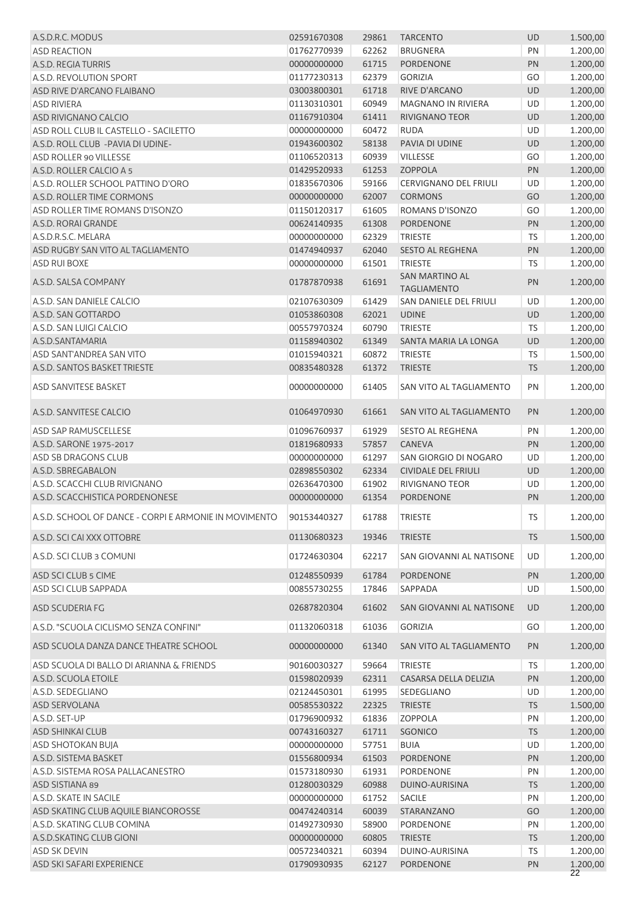| A.S.D.R.C. MODUS                                      | 02591670308 | 29861 | <b>TARCENTO</b>                      | UD        | 1.500,00 |
|-------------------------------------------------------|-------------|-------|--------------------------------------|-----------|----------|
| <b>ASD REACTION</b>                                   | 01762770939 | 62262 | <b>BRUGNERA</b>                      | PN        | 1.200,00 |
| A.S.D. REGIA TURRIS                                   | 00000000000 | 61715 | <b>PORDENONE</b>                     | PN        | 1.200,00 |
| A.S.D. REVOLUTION SPORT                               | 01177230313 | 62379 | <b>GORIZIA</b>                       | GO        | 1.200,00 |
| ASD RIVE D'ARCANO FLAIBANO                            | 03003800301 | 61718 | <b>RIVE D'ARCANO</b>                 | <b>UD</b> | 1.200,00 |
| <b>ASD RIVIERA</b>                                    | 01130310301 | 60949 | MAGNANO IN RIVIERA                   | <b>UD</b> | 1.200,00 |
| ASD RIVIGNANO CALCIO                                  | 01167910304 | 61411 | <b>RIVIGNANO TEOR</b>                | <b>UD</b> | 1.200,00 |
| ASD ROLL CLUB IL CASTELLO - SACILETTO                 | 00000000000 | 60472 | <b>RUDA</b>                          | UD        | 1.200,00 |
| A.S.D. ROLL CLUB - PAVIA DI UDINE-                    | 01943600302 | 58138 | PAVIA DI UDINE                       | <b>UD</b> | 1.200,00 |
| ASD ROLLER 90 VILLESSE                                | 01106520313 | 60939 | <b>VILLESSE</b>                      | GO        | 1.200,00 |
| A.S.D. ROLLER CALCIO A 5                              | 01429520933 | 61253 | <b>ZOPPOLA</b>                       | PN        | 1.200,00 |
| A.S.D. ROLLER SCHOOL PATTINO D'ORO                    | 01835670306 | 59166 | <b>CERVIGNANO DEL FRIULI</b>         | UD        | 1.200,00 |
| A.S.D. ROLLER TIME CORMONS                            | 00000000000 | 62007 | <b>CORMONS</b>                       | GO        | 1.200,00 |
| ASD ROLLER TIME ROMANS D'ISONZO                       | 01150120317 | 61605 | ROMANS D'ISONZO                      | GO        | 1.200,00 |
| A.S.D. RORAI GRANDE                                   | 00624140935 | 61308 | <b>PORDENONE</b>                     | PN        | 1.200,00 |
| A.S.D.R.S.C. MELARA                                   | 00000000000 | 62329 | <b>TRIESTE</b>                       | <b>TS</b> | 1.200,00 |
| ASD RUGBY SAN VITO AL TAGLIAMENTO                     | 01474940937 | 62040 | <b>SESTO AL REGHENA</b>              | PN        | 1.200,00 |
| <b>ASD RUI BOXE</b>                                   | 00000000000 | 61501 | <b>TRIESTE</b>                       | TS        | 1.200,00 |
| A.S.D. SALSA COMPANY                                  | 01787870938 | 61691 | <b>SAN MARTINO AL</b><br>TAGLIAMENTO | PN        | 1.200,00 |
| A.S.D. SAN DANIELE CALCIO                             | 02107630309 | 61429 | SAN DANIELE DEL FRIULI               | UD        | 1.200,00 |
| A.S.D. SAN GOTTARDO                                   | 01053860308 | 62021 | <b>UDINE</b>                         | UD        | 1.200,00 |
| A.S.D. SAN LUIGI CALCIO                               | 00557970324 | 60790 | <b>TRIESTE</b>                       | <b>TS</b> | 1.200,00 |
| A.S.D.SANTAMARIA                                      | 01158940302 | 61349 | SANTA MARIA LA LONGA                 | UD        | 1.200,00 |
| ASD SANT'ANDREA SAN VITO                              | 01015940321 | 60872 | <b>TRIESTE</b>                       | <b>TS</b> | 1.500,00 |
| A.S.D. SANTOS BASKET TRIESTE                          | 00835480328 | 61372 | <b>TRIESTE</b>                       | <b>TS</b> | 1.200,00 |
| ASD SANVITESE BASKET                                  | 00000000000 | 61405 | SAN VITO AL TAGLIAMENTO              | PN        | 1.200,00 |
| A.S.D. SANVITESE CALCIO                               | 01064970930 | 61661 | SAN VITO AL TAGLIAMENTO              | PN        | 1.200,00 |
| ASD SAP RAMUSCELLESE                                  | 01096760937 | 61929 | <b>SESTO AL REGHENA</b>              | PN        | 1.200,00 |
| A.S.D. SARONE 1975-2017                               | 01819680933 | 57857 | <b>CANEVA</b>                        | PN        | 1.200,00 |
| <b>ASD SB DRAGONS CLUB</b>                            | 00000000000 | 61297 | SAN GIORGIO DI NOGARO                | UD        | 1.200,00 |
| A.S.D. SBREGABALON                                    | 02898550302 | 62334 | <b>CIVIDALE DEL FRIULI</b>           | UD        | 1.200,00 |
| A.S.D. SCACCHI CLUB RIVIGNANO                         | 02636470300 | 61902 | RIVIGNANO TEOR                       | UD        | 1.200,00 |
| A.S.D. SCACCHISTICA PORDENONESE                       | 00000000000 | 61354 | <b>PORDENONE</b>                     | PN        | 1.200,00 |
| A.S.D. SCHOOL OF DANCE - CORPI E ARMONIE IN MOVIMENTO | 90153440327 | 61788 | <b>TRIESTE</b>                       | TS        | 1.200,00 |
| A.S.D. SCI CAI XXX OTTOBRE                            | 01130680323 | 19346 | <b>TRIESTE</b>                       | <b>TS</b> | 1.500,00 |
| A.S.D. SCI CLUB 3 COMUNI                              | 01724630304 | 62217 | SAN GIOVANNI AL NATISONE             | UD        | 1.200,00 |
| ASD SCI CLUB 5 CIME                                   | 01248550939 | 61784 | <b>PORDENONE</b>                     | PN        | 1.200,00 |
| ASD SCI CLUB SAPPADA                                  | 00855730255 | 17846 | SAPPADA                              | UD        | 1.500,00 |
| ASD SCUDERIA FG                                       | 02687820304 | 61602 | SAN GIOVANNI AL NATISONE             | UD        | 1.200,00 |
| A.S.D. "SCUOLA CICLISMO SENZA CONFINI"                | 01132060318 | 61036 | <b>GORIZIA</b>                       | GO        | 1.200,00 |
| ASD SCUOLA DANZA DANCE THEATRE SCHOOL                 | 00000000000 | 61340 | SAN VITO AL TAGLIAMENTO              | PN        | 1.200,00 |
| ASD SCUOLA DI BALLO DI ARIANNA & FRIENDS              | 90160030327 | 59664 | <b>TRIESTE</b>                       | <b>TS</b> | 1.200,00 |
| A.S.D. SCUOLA ETOILE                                  | 01598020939 | 62311 | CASARSA DELLA DELIZIA                | PN        | 1.200,00 |
| A.S.D. SEDEGLIANO                                     | 02124450301 | 61995 | SEDEGLIANO                           | UD        | 1.200,00 |
| ASD SERVOLANA                                         | 00585530322 | 22325 | <b>TRIESTE</b>                       | <b>TS</b> | 1.500,00 |
| A.S.D. SET-UP                                         | 01796900932 | 61836 | <b>ZOPPOLA</b>                       | PN        | 1.200,00 |
| ASD SHINKAI CLUB                                      | 00743160327 | 61711 | <b>SGONICO</b>                       | <b>TS</b> | 1.200,00 |
| ASD SHOTOKAN BUJA                                     | 00000000000 | 57751 | <b>BUIA</b>                          | UD        | 1.200,00 |
| A.S.D. SISTEMA BASKET                                 | 01556800934 | 61503 | <b>PORDENONE</b>                     | PN        | 1.200,00 |
| A.S.D. SISTEMA ROSA PALLACANESTRO                     | 01573180930 | 61931 | PORDENONE                            | PN        | 1.200,00 |
| ASD SISTIANA 89                                       | 01280030329 | 60988 | DUINO-AURISINA                       | <b>TS</b> | 1.200,00 |
| A.S.D. SKATE IN SACILE                                | 00000000000 | 61752 | <b>SACILE</b>                        | PN        | 1.200,00 |
| ASD SKATING CLUB AQUILE BIANCOROSSE                   | 00474240314 | 60039 | STARANZANO                           | GO        | 1.200,00 |
| A.S.D. SKATING CLUB COMINA                            | 01492730930 | 58900 | PORDENONE                            | PN        | 1.200,00 |
| A.S.D.SKATING CLUB GIONI                              | 00000000000 | 60805 | <b>TRIESTE</b>                       | <b>TS</b> | 1.200,00 |
| <b>ASD SK DEVIN</b>                                   | 00572340321 | 60394 | DUINO-AURISINA                       | <b>TS</b> | 1.200,00 |
| ASD SKI SAFARI EXPERIENCE                             | 01790930935 | 62127 | <b>PORDENONE</b>                     | <b>PN</b> | 1.200,00 |
|                                                       |             |       |                                      |           | 22       |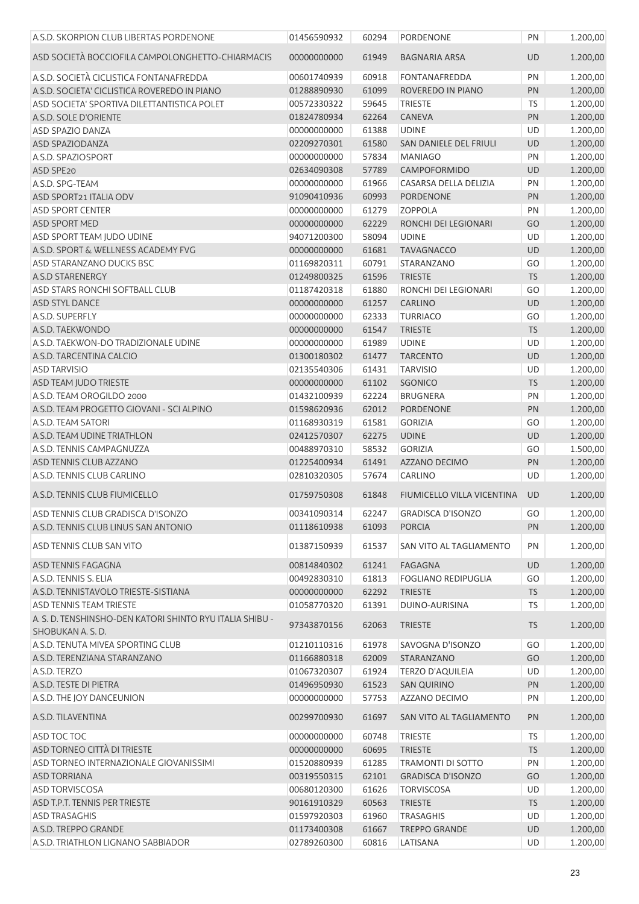| A.S.D. SKORPION CLUB LIBERTAS PORDENONE                                       | 01456590932                | 60294 | PORDENONE                  | PN        | 1.200,00 |
|-------------------------------------------------------------------------------|----------------------------|-------|----------------------------|-----------|----------|
| ASD SOCIETÀ BOCCIOFILA CAMPOLONGHETTO-CHIARMACIS                              | 00000000000                | 61949 | <b>BAGNARIA ARSA</b>       | <b>UD</b> | 1.200,00 |
| A.S.D. SOCIETÀ CICLISTICA FONTANAFREDDA                                       | 00601740939                | 60918 | <b>FONTANAFREDDA</b>       | PN        | 1.200,00 |
| A.S.D. SOCIETA' CICLISTICA ROVEREDO IN PIANO                                  | 01288890930                | 61099 | ROVEREDO IN PIANO          | PN        | 1.200,00 |
| ASD SOCIETA' SPORTIVA DILETTANTISTICA POLET                                   | 00572330322                | 59645 | <b>TRIESTE</b>             | TS        | 1.200,00 |
| A.S.D. SOLE D'ORIENTE                                                         | 01824780934                | 62264 | <b>CANEVA</b>              | PN        | 1.200,00 |
| <b>ASD SPAZIO DANZA</b>                                                       | 00000000000                | 61388 | <b>UDINE</b>               | UD        | 1.200,00 |
| ASD SPAZIODANZA                                                               | 02209270301                | 61580 | SAN DANIELE DEL FRIULI     | UD        | 1.200,00 |
| A.S.D. SPAZIOSPORT                                                            | 00000000000                | 57834 | <b>MANIAGO</b>             | PN        | 1.200,00 |
| ASD SPE20                                                                     | 02634090308                | 57789 | CAMPOFORMIDO               | UD        | 1.200,00 |
| A.S.D. SPG-TEAM                                                               | 00000000000                | 61966 | CASARSA DELLA DELIZIA      | PN        | 1.200,00 |
| ASD SPORT21 ITALIA ODV                                                        | 91090410936                | 60993 | PORDENONE                  | PN        | 1.200,00 |
| <b>ASD SPORT CENTER</b>                                                       | 00000000000                | 61279 | <b>ZOPPOLA</b>             | PN        | 1.200,00 |
| ASD SPORT MED                                                                 | 00000000000                | 62229 | RONCHI DEI LEGIONARI       | GO        | 1.200,00 |
| ASD SPORT TEAM JUDO UDINE                                                     | 94071200300                | 58094 | <b>UDINE</b>               | UD        | 1.200,00 |
| A.S.D. SPORT & WELLNESS ACADEMY FVG                                           | 00000000000                | 61681 | <b>TAVAGNACCO</b>          | <b>UD</b> | 1.200,00 |
| ASD STARANZANO DUCKS BSC                                                      | 01169820311                | 60791 | STARANZANO                 | GO        | 1.200,00 |
| A.S.D STARENERGY                                                              | 01249800325                | 61596 | <b>TRIESTE</b>             | TS        | 1.200,00 |
| ASD STARS RONCHI SOFTBALL CLUB                                                | 01187420318                | 61880 | RONCHI DEI LEGIONARI       | GO        | 1.200,00 |
| ASD STYL DANCE                                                                | 00000000000                | 61257 | CARLINO                    | UD        | 1.200,00 |
| A.S.D. SUPERFLY                                                               | 00000000000                | 62333 | <b>TURRIACO</b>            | GO        | 1.200,00 |
| A.S.D. TAEKWONDO                                                              | 00000000000                | 61547 | <b>TRIESTE</b>             | TS        | 1.200,00 |
| A.S.D. TAEKWON-DO TRADIZIONALE UDINE                                          | 00000000000                | 61989 | <b>UDINE</b>               | UD        | 1.200,00 |
| A.S.D. TARCENTINA CALCIO                                                      | 01300180302                | 61477 | <b>TARCENTO</b>            | <b>UD</b> | 1.200,00 |
| <b>ASD TARVISIO</b>                                                           | 02135540306                | 61431 | <b>TARVISIO</b>            | UD        | 1.200,00 |
| ASD TEAM JUDO TRIESTE                                                         | 00000000000                | 61102 | SGONICO                    | <b>TS</b> | 1.200,00 |
| A.S.D. TEAM OROGILDO 2000                                                     | 01432100939                | 62224 | <b>BRUGNERA</b>            | PN        | 1.200,00 |
| A.S.D. TEAM PROGETTO GIOVANI - SCI ALPINO                                     | 01598620936                | 62012 | PORDENONE                  | PN        | 1.200,00 |
| A.S.D. TEAM SATORI                                                            | 01168930319                | 61581 | <b>GORIZIA</b>             | GO        | 1.200,00 |
| A.S.D. TEAM UDINE TRIATHLON                                                   | 02412570307                | 62275 | <b>UDINE</b>               | UD        | 1.200,00 |
| A.S.D. TENNIS CAMPAGNUZZA                                                     | 00488970310                | 58532 | <b>GORIZIA</b>             | GO        | 1.500,00 |
| ASD TENNIS CLUB AZZANO                                                        | 01225400934                | 61491 | AZZANO DECIMO              | PN        | 1.200,00 |
| A.S.D. TENNIS CLUB CARLINO                                                    | 02810320305                | 57674 | <b>CARLINO</b>             | UD        | 1.200,00 |
|                                                                               |                            |       |                            |           |          |
| A.S.D. TENNIS CLUB FIUMICELLO                                                 | 01759750308                | 61848 | FIUMICELLO VILLA VICENTINA | <b>UD</b> | 1.200,00 |
| ASD TENNIS CLUB GRADISCA D'ISONZO                                             | 00341090314                | 62247 | <b>GRADISCA D'ISONZO</b>   | GO        | 1.200,00 |
| A.S.D. TENNIS CLUB LINUS SAN ANTONIO                                          | 01118610938                | 61093 | <b>PORCIA</b>              | PN        | 1.200,00 |
| ASD TENNIS CLUB SAN VITO                                                      | 01387150939                | 61537 | SAN VITO AL TAGLIAMENTO    | PN        | 1.200,00 |
| ASD TENNIS FAGAGNA                                                            | 00814840302                | 61241 | <b>FAGAGNA</b>             | <b>UD</b> | 1.200,00 |
| A.S.D. TENNIS S. ELIA                                                         | 00492830310                | 61813 | <b>FOGLIANO REDIPUGLIA</b> | GO        | 1.200,00 |
| A.S.D. TENNISTAVOLO TRIESTE-SISTIANA                                          | 00000000000                | 62292 | <b>TRIESTE</b>             | <b>TS</b> | 1.200,00 |
| ASD TENNIS TEAM TRIESTE                                                       | 01058770320                | 61391 | DUINO-AURISINA             | TS        | 1.200,00 |
| A. S. D. TENSHINSHO-DEN KATORI SHINTO RYU ITALIA SHIBU -<br>SHOBUKAN A. S. D. | 97343870156                | 62063 | <b>TRIESTE</b>             | <b>TS</b> | 1.200,00 |
| A.S.D. TENUTA MIVEA SPORTING CLUB                                             |                            |       |                            |           |          |
|                                                                               | 01210110316                | 61978 | SAVOGNA D'ISONZO           | GO        | 1.200,00 |
| A.S.D. TERENZIANA STARANZANO                                                  | 01166880318                | 62009 | STARANZANO                 | GO        | 1.200,00 |
| A.S.D. TERZO                                                                  | 01067320307                | 61924 | <b>TERZO D'AQUILEIA</b>    | UD        | 1.200,00 |
| A.S.D. TESTE DI PIETRA                                                        | 01496950930                | 61523 | <b>SAN QUIRINO</b>         | PN        | 1.200,00 |
| A.S.D. THE JOY DANCEUNION                                                     | 00000000000                | 57753 | AZZANO DECIMO              | PN        | 1.200,00 |
| A.S.D. TILAVENTINA                                                            | 00299700930<br>00000000000 | 61697 | SAN VITO AL TAGLIAMENTO    | <b>PN</b> | 1.200,00 |
| ASD TOC TOC                                                                   |                            | 60748 | <b>TRIESTE</b>             | <b>TS</b> | 1.200,00 |
| ASD TORNEO CITTÀ DI TRIESTE                                                   | 00000000000                | 60695 | <b>TRIESTE</b>             | TS        | 1.200,00 |
| ASD TORNEO INTERNAZIONALE GIOVANISSIMI                                        | 01520880939                | 61285 | <b>TRAMONTI DI SOTTO</b>   | PN        | 1.200,00 |
| <b>ASD TORRIANA</b>                                                           | 00319550315                | 62101 | <b>GRADISCA D'ISONZO</b>   | GO        | 1.200,00 |
| <b>ASD TORVISCOSA</b>                                                         | 00680120300                | 61626 | <b>TORVISCOSA</b>          | UD        | 1.200,00 |
| ASD T.P.T. TENNIS PER TRIESTE                                                 | 90161910329                | 60563 | <b>TRIESTE</b>             | <b>TS</b> | 1.200,00 |
| <b>ASD TRASAGHIS</b>                                                          | 01597920303                | 61960 | <b>TRASAGHIS</b>           | UD        | 1.200,00 |
| A.S.D. TREPPO GRANDE                                                          | 01173400308                | 61667 | <b>TREPPO GRANDE</b>       | UD        | 1.200,00 |
| A.S.D. TRIATHLON LIGNANO SABBIADOR                                            | 02789260300                | 60816 | LATISANA                   | UD        | 1.200,00 |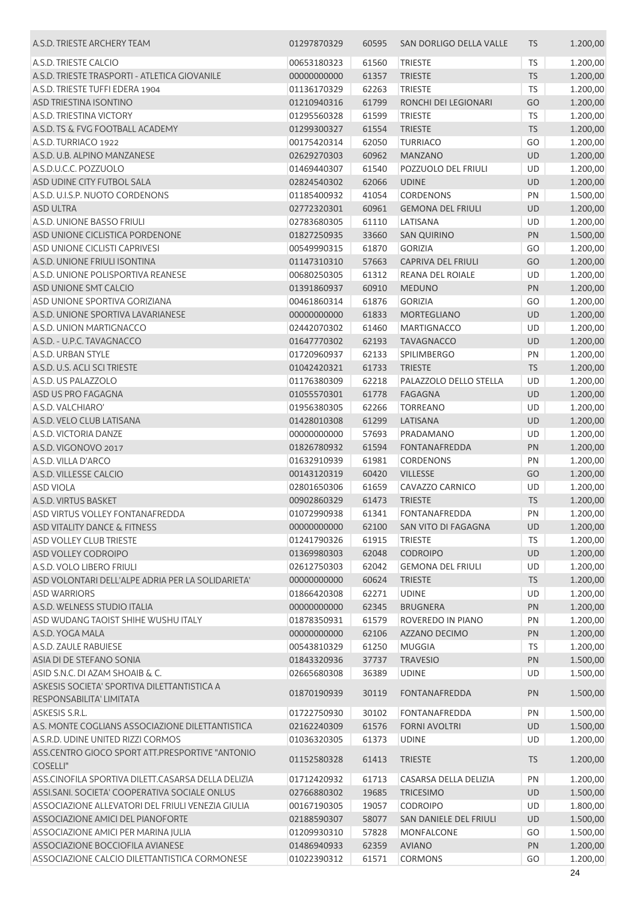| A.S.D. TRIESTE ARCHERY TEAM                                             | 01297870329 | 60595 | SAN DORLIGO DELLA VALLE  | <b>TS</b> | 1.200,00 |
|-------------------------------------------------------------------------|-------------|-------|--------------------------|-----------|----------|
| A.S.D. TRIESTE CALCIO                                                   | 00653180323 | 61560 | <b>TRIESTE</b>           | <b>TS</b> | 1.200,00 |
| A.S.D. TRIESTE TRASPORTI - ATLETICA GIOVANILE                           | 00000000000 | 61357 | <b>TRIESTE</b>           | <b>TS</b> | 1.200,00 |
| A.S.D. TRIESTE TUFFI EDERA 1904                                         | 01136170329 | 62263 | <b>TRIESTE</b>           | TS        | 1.200,00 |
| ASD TRIESTINA ISONTINO                                                  | 01210940316 | 61799 | RONCHI DEI LEGIONARI     | GO        | 1.200,00 |
| A.S.D. TRIESTINA VICTORY                                                | 01295560328 | 61599 | <b>TRIESTE</b>           | <b>TS</b> | 1.200,00 |
| A.S.D. TS & FVG FOOTBALL ACADEMY                                        | 01299300327 | 61554 | <b>TRIESTE</b>           | <b>TS</b> | 1.200,00 |
| A.S.D. TURRIACO 1922                                                    | 00175420314 | 62050 | <b>TURRIACO</b>          | GO        | 1.200,00 |
| A.S.D. U.B. ALPINO MANZANESE                                            | 02629270303 | 60962 | <b>MANZANO</b>           | <b>UD</b> | 1.200,00 |
| A.S.D.U.C.C. POZZUOLO                                                   | 01469440307 | 61540 | POZZUOLO DEL FRIULI      | <b>UD</b> | 1.200,00 |
| ASD UDINE CITY FUTBOL SALA                                              | 02824540302 | 62066 | <b>UDINE</b>             | <b>UD</b> | 1.200,00 |
| A.S.D. U.I.S.P. NUOTO CORDENONS                                         | 01185400932 | 41054 | <b>CORDENONS</b>         | PN        | 1.500,00 |
| <b>ASD ULTRA</b>                                                        | 02772320301 | 60961 | <b>GEMONA DEL FRIULI</b> | <b>UD</b> | 1.200,00 |
| A.S.D. UNIONE BASSO FRIULI                                              | 02783680305 | 61110 | LATISANA                 | UD        | 1.200,00 |
| ASD UNIONE CICLISTICA PORDENONE                                         | 01827250935 | 33660 | <b>SAN QUIRINO</b>       | <b>PN</b> | 1.500,00 |
| ASD UNIONE CICLISTI CAPRIVESI                                           | 00549990315 | 61870 | <b>GORIZIA</b>           | GO        | 1.200,00 |
| A.S.D. UNIONE FRIULI ISONTINA                                           | 01147310310 | 57663 | CAPRIVA DEL FRIULI       | GO        | 1.200,00 |
| A.S.D. UNIONE POLISPORTIVA REANESE                                      | 00680250305 | 61312 | <b>REANA DEL ROIALE</b>  | <b>UD</b> | 1.200,00 |
| ASD UNIONE SMT CALCIO                                                   | 01391860937 | 60910 | <b>MEDUNO</b>            | PN        | 1.200,00 |
| ASD UNIONE SPORTIVA GORIZIANA                                           | 00461860314 | 61876 | <b>GORIZIA</b>           | GO        | 1.200,00 |
| A.S.D. UNIONE SPORTIVA LAVARIANESE                                      | 00000000000 | 61833 | <b>MORTEGLIANO</b>       | <b>UD</b> | 1.200,00 |
| A.S.D. UNION MARTIGNACCO                                                | 02442070302 | 61460 | <b>MARTIGNACCO</b>       | UD        | 1.200,00 |
| A.S.D. - U.P.C. TAVAGNACCO                                              | 01647770302 | 62193 | <b>TAVAGNACCO</b>        | <b>UD</b> | 1.200,00 |
| A.S.D. URBAN STYLE                                                      | 01720960937 | 62133 | <b>SPILIMBERGO</b>       | PN        | 1.200,00 |
| A.S.D. U.S. ACLI SCI TRIESTE                                            | 01042420321 | 61733 | <b>TRIESTE</b>           | <b>TS</b> | 1.200,00 |
| A.S.D. US PALAZZOLO                                                     | 01176380309 | 62218 | PALAZZOLO DELLO STELLA   | <b>UD</b> | 1.200,00 |
| ASD US PRO FAGAGNA                                                      | 01055570301 | 61778 | FAGAGNA                  | <b>UD</b> | 1.200,00 |
| A.S.D. VALCHIARO'                                                       | 01956380305 | 62266 | <b>TORREANO</b>          | UD        | 1.200,00 |
| A.S.D. VELO CLUB LATISANA                                               | 01428010308 | 61299 | LATISANA                 | <b>UD</b> | 1.200,00 |
| A.S.D. VICTORIA DANZE                                                   | 00000000000 | 57693 | PRADAMANO                | UD        | 1.200,00 |
| A.S.D. VIGONOVO 2017                                                    | 01826780932 | 61594 | <b>FONTANAFREDDA</b>     | PN        | 1.200,00 |
| A.S.D. VILLA D'ARCO                                                     | 01632910939 | 61981 | <b>CORDENONS</b>         | PN        | 1.200,00 |
| A.S.D. VILLESSE CALCIO                                                  | 00143120319 | 60420 | <b>VILLESSE</b>          | GO        | 1.200,00 |
| ASD VIOLA                                                               | 02801650306 | 61659 | CAVAZZO CARNICO          | UD        | 1.200,00 |
| A.S.D. VIRTUS BASKET                                                    | 00902860329 | 61473 | <b>TRIESTE</b>           | <b>TS</b> | 1.200,00 |
| ASD VIRTUS VOLLEY FONTANAFREDDA                                         | 01072990938 | 61341 | FONTANAFREDDA            | PN        | 1.200,00 |
| ASD VITALITY DANCE & FITNESS                                            | 00000000000 | 62100 | SAN VITO DI FAGAGNA      | <b>UD</b> | 1.200,00 |
| <b>ASD VOLLEY CLUB TRIESTE</b>                                          | 01241790326 | 61915 | <b>TRIESTE</b>           | <b>TS</b> | 1.200,00 |
| ASD VOLLEY CODROIPO                                                     | 01369980303 | 62048 | <b>CODROIPO</b>          | UD        | 1.200,00 |
| A.S.D. VOLO LIBERO FRIULI                                               | 02612750303 | 62042 | <b>GEMONA DEL FRIULI</b> | UD        | 1.200,00 |
| ASD VOLONTARI DELL'ALPE ADRIA PER LA SOLIDARIETA'                       | 00000000000 | 60624 | <b>TRIESTE</b>           | <b>TS</b> | 1.200,00 |
| <b>ASD WARRIORS</b>                                                     | 01866420308 | 62271 | <b>UDINE</b>             | <b>UD</b> | 1.200,00 |
| A.S.D. WELNESS STUDIO ITALIA                                            | 00000000000 | 62345 | <b>BRUGNERA</b>          | PN        | 1.200,00 |
| ASD WUDANG TAOIST SHIHE WUSHU ITALY                                     | 01878350931 | 61579 | ROVEREDO IN PIANO        | PN        | 1.200,00 |
| A.S.D. YOGA MALA                                                        | 00000000000 | 62106 | AZZANO DECIMO            | PN        | 1.200,00 |
| A.S.D. ZAULE RABUIESE                                                   | 00543810329 | 61250 | <b>MUGGIA</b>            | TS        | 1.200,00 |
| ASIA DI DE STEFANO SONIA                                                | 01843320936 | 37737 | <b>TRAVESIO</b>          | PN        | 1.500,00 |
| ASID S.N.C. DI AZAM SHOAIB & C.                                         | 02665680308 | 36389 | <b>UDINE</b>             | <b>UD</b> | 1.500,00 |
| ASKESIS SOCIETA' SPORTIVA DILETTANTISTICA A<br>RESPONSABILITA' LIMITATA | 01870190939 | 30119 | <b>FONTANAFREDDA</b>     | PN        | 1.500,00 |
| ASKESIS S.R.L.                                                          | 01722750930 | 30102 | <b>FONTANAFREDDA</b>     | PN        | 1.500,00 |
| A.S. MONTE COGLIANS ASSOCIAZIONE DILETTANTISTICA                        | 02162240309 | 61576 | <b>FORNI AVOLTRI</b>     | UD        | 1.500,00 |
| A.S.R.D. UDINE UNITED RIZZI CORMOS                                      | 01036320305 | 61373 | <b>UDINE</b>             | UD        | 1.200,00 |
| ASS.CENTRO GIOCO SPORT ATT.PRESPORTIVE "ANTONIO<br><b>COSELLI"</b>      | 01152580328 | 61413 | <b>TRIESTE</b>           | <b>TS</b> | 1.200,00 |
| ASS.CINOFILA SPORTIVA DILETT.CASARSA DELLA DELIZIA                      | 01712420932 | 61713 | CASARSA DELLA DELIZIA    | PN        | 1.200,00 |
| ASSI.SANI. SOCIETA' COOPERATIVA SOCIALE ONLUS                           | 02766880302 | 19685 | <b>TRICESIMO</b>         | UD        | 1.500,00 |
| ASSOCIAZIONE ALLEVATORI DEL FRIULI VENEZIA GIULIA                       | 00167190305 | 19057 | <b>CODROIPO</b>          | UD        | 1.800,00 |
| ASSOCIAZIONE AMICI DEL PIANOFORTE                                       | 02188590307 | 58077 | SAN DANIELE DEL FRIULI   | UD        | 1.500,00 |
| ASSOCIAZIONE AMICI PER MARINA JULIA                                     | 01209930310 | 57828 | <b>MONFALCONE</b>        | GO        | 1.500,00 |
| ASSOCIAZIONE BOCCIOFILA AVIANESE                                        | 01486940933 | 62359 | <b>AVIANO</b>            | PN        | 1.200,00 |
| ASSOCIAZIONE CALCIO DILETTANTISTICA CORMONESE                           | 01022390312 | 61571 | <b>CORMONS</b>           | GO        | 1.200,00 |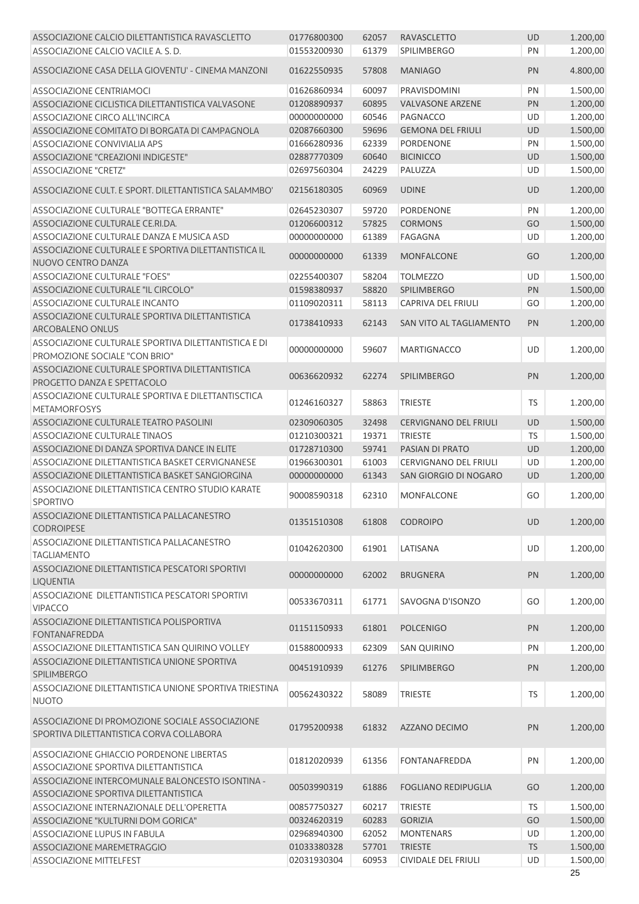| ASSOCIAZIONE CALCIO DILETTANTISTICA RAVASCLETTO                                             | 01776800300 | 62057 | <b>RAVASCLETTO</b>         | <b>UD</b> | 1.200,00 |
|---------------------------------------------------------------------------------------------|-------------|-------|----------------------------|-----------|----------|
| ASSOCIAZIONE CALCIO VACILE A. S. D.                                                         | 01553200930 | 61379 | SPILIMBERGO                | PN        | 1.200,00 |
| ASSOCIAZIONE CASA DELLA GIOVENTU' - CINEMA MANZONI                                          | 01622550935 | 57808 | <b>MANIAGO</b>             | PN        | 4.800,00 |
| ASSOCIAZIONE CENTRIAMOCI                                                                    | 01626860934 | 60097 | PRAVISDOMINI               | PN        | 1.500,00 |
| ASSOCIAZIONE CICLISTICA DILETTANTISTICA VALVASONE                                           | 01208890937 | 60895 | <b>VALVASONE ARZENE</b>    | PN        | 1.200,00 |
| ASSOCIAZIONE CIRCO ALL'INCIRCA                                                              | 00000000000 | 60546 | PAGNACCO                   | UD        | 1.200,00 |
| ASSOCIAZIONE COMITATO DI BORGATA DI CAMPAGNOLA                                              | 02087660300 | 59696 | <b>GEMONA DEL FRIULI</b>   | <b>UD</b> | 1.500,00 |
| ASSOCIAZIONE CONVIVIALIA APS                                                                | 01666280936 | 62339 | PORDENONE                  | PN        | 1.500,00 |
|                                                                                             |             |       |                            |           |          |
| ASSOCIAZIONE "CREAZIONI INDIGESTE"                                                          | 02887770309 | 60640 | <b>BICINICCO</b>           | UD        | 1.500,00 |
| ASSOCIAZIONE "CRETZ"                                                                        | 02697560304 | 24229 | PALUZZA                    | UD        | 1.500,00 |
| ASSOCIAZIONE CULT. E SPORT. DILETTANTISTICA SALAMMBO'                                       | 02156180305 | 60969 | <b>UDINE</b>               | <b>UD</b> | 1.200,00 |
| ASSOCIAZIONE CULTURALE "BOTTEGA ERRANTE"                                                    | 02645230307 | 59720 | PORDENONE                  | PN        | 1.200,00 |
| ASSOCIAZIONE CULTURALE CE.RI.DA.                                                            | 01206600312 | 57825 | <b>CORMONS</b>             | GO        | 1.500,00 |
| ASSOCIAZIONE CULTURALE DANZA E MUSICA ASD                                                   | 00000000000 | 61389 | FAGAGNA                    | UD        | 1.200,00 |
| ASSOCIAZIONE CULTURALE E SPORTIVA DILETTANTISTICA IL<br>NUOVO CENTRO DANZA                  | 00000000000 | 61339 | <b>MONFALCONE</b>          | GO        | 1.200,00 |
| ASSOCIAZIONE CULTURALE "FOES"                                                               | 02255400307 | 58204 | <b>TOLMEZZO</b>            | UD        | 1.500,00 |
| ASSOCIAZIONE CULTURALE "IL CIRCOLO"                                                         | 01598380937 | 58820 | SPILIMBERGO                | PN        | 1.500,00 |
| ASSOCIAZIONE CULTURALE INCANTO                                                              | 01109020311 | 58113 | CAPRIVA DEL FRIULI         | GO        | 1.200,00 |
| ASSOCIAZIONE CULTURALE SPORTIVA DILETTANTISTICA                                             |             |       |                            |           |          |
| ARCOBALENO ONLUS                                                                            | 01738410933 | 62143 | SAN VITO AL TAGLIAMENTO    | PN        | 1.200,00 |
| ASSOCIAZIONE CULTURALE SPORTIVA DILETTANTISTICA E DI<br>PROMOZIONE SOCIALE "CON BRIO"       | 00000000000 | 59607 | <b>MARTIGNACCO</b>         | UD        | 1.200,00 |
| ASSOCIAZIONE CULTURALE SPORTIVA DILETTANTISTICA<br>PROGETTO DANZA E SPETTACOLO              | 00636620932 | 62274 | <b>SPILIMBERGO</b>         | PN        | 1.200,00 |
| ASSOCIAZIONE CULTURALE SPORTIVA E DILETTANTISCTICA<br><b>METAMORFOSYS</b>                   | 01246160327 | 58863 | <b>TRIESTE</b>             | <b>TS</b> | 1.200,00 |
| ASSOCIAZIONE CULTURALE TEATRO PASOLINI                                                      | 02309060305 | 32498 | CERVIGNANO DEL FRIULI      | UD        | 1.500,00 |
| ASSOCIAZIONE CULTURALE TINAOS                                                               | 01210300321 | 19371 | <b>TRIESTE</b>             | <b>TS</b> | 1.500,00 |
| ASSOCIAZIONE DI DANZA SPORTIVA DANCE IN ELITE                                               | 01728710300 | 59741 | PASIAN DI PRATO            | UD        | 1.200,00 |
| ASSOCIAZIONE DILETTANTISTICA BASKET CERVIGNANESE                                            | 01966300301 | 61003 | CERVIGNANO DEL FRIULI      | UD        | 1.200,00 |
| ASSOCIAZIONE DILETTANTISTICA BASKET SANGIORGINA                                             | 00000000000 | 61343 | SAN GIORGIO DI NOGARO      | UD        | 1.200,00 |
| ASSOCIAZIONE DILETTANTISTICA CENTRO STUDIO KARATE<br>SPORTIVO                               | 90008590318 | 62310 | MONFALCONE                 | GO        | 1.200,00 |
| ASSOCIAZIONE DILETTANTISTICA PALLACANESTRO                                                  |             |       |                            |           |          |
| <b>CODROIPESE</b>                                                                           | 01351510308 | 61808 | <b>CODROIPO</b>            | <b>UD</b> | 1.200,00 |
| ASSOCIAZIONE DILETTANTISTICA PALLACANESTRO<br><b>TAGLIAMENTO</b>                            | 01042620300 | 61901 | LATISANA                   | UD        | 1.200,00 |
| ASSOCIAZIONE DILETTANTISTICA PESCATORI SPORTIVI<br>LIQUENTIA                                | 00000000000 | 62002 | <b>BRUGNERA</b>            | PN        | 1.200,00 |
| ASSOCIAZIONE DILETTANTISTICA PESCATORI SPORTIVI<br><b>VIPACCO</b>                           | 00533670311 | 61771 | SAVOGNA D'ISONZO           | GO        | 1.200,00 |
| ASSOCIAZIONE DILETTANTISTICA POLISPORTIVA<br><b>FONTANAFREDDA</b>                           | 01151150933 | 61801 | <b>POLCENIGO</b>           | PN        | 1.200,00 |
| ASSOCIAZIONE DILETTANTISTICA SAN QUIRINO VOLLEY                                             | 01588000933 | 62309 | <b>SAN QUIRINO</b>         | PN        | 1.200,00 |
| ASSOCIAZIONE DILETTANTISTICA UNIONE SPORTIVA                                                | 00451910939 | 61276 | <b>SPILIMBERGO</b>         | PN        | 1.200,00 |
| SPILIMBERGO<br>ASSOCIAZIONE DILETTANTISTICA UNIONE SPORTIVA TRIESTINA                       | 00562430322 | 58089 | <b>TRIESTE</b>             | <b>TS</b> | 1.200,00 |
| <b>NUOTO</b>                                                                                |             |       |                            |           |          |
| ASSOCIAZIONE DI PROMOZIONE SOCIALE ASSOCIAZIONE<br>SPORTIVA DILETTANTISTICA CORVA COLLABORA | 01795200938 | 61832 | <b>AZZANO DECIMO</b>       | PN        | 1.200,00 |
| ASSOCIAZIONE GHIACCIO PORDENONE LIBERTAS<br>ASSOCIAZIONE SPORTIVA DILETTANTISTICA           | 01812020939 | 61356 | <b>FONTANAFREDDA</b>       | PN        | 1.200,00 |
| ASSOCIAZIONE INTERCOMUNALE BALONCESTO ISONTINA -<br>ASSOCIAZIONE SPORTIVA DILETTANTISTICA   | 00503990319 | 61886 | <b>FOGLIANO REDIPUGLIA</b> | GO        | 1.200,00 |
| ASSOCIAZIONE INTERNAZIONALE DELL'OPERETTA                                                   | 00857750327 | 60217 | <b>TRIESTE</b>             | <b>TS</b> | 1.500,00 |
| ASSOCIAZIONE "KULTURNI DOM GORICA"                                                          | 00324620319 | 60283 | <b>GORIZIA</b>             | GO        | 1.500,00 |
| ASSOCIAZIONE LUPUS IN FABULA                                                                | 02968940300 | 62052 | <b>MONTENARS</b>           | UD        | 1.200,00 |
| ASSOCIAZIONE MAREMETRAGGIO                                                                  | 01033380328 | 57701 | <b>TRIESTE</b>             | <b>TS</b> | 1.500,00 |
| ASSOCIAZIONE MITTELFEST                                                                     | 02031930304 | 60953 | <b>CIVIDALE DEL FRIULI</b> | UD        | 1.500,00 |
|                                                                                             |             |       |                            |           | 25       |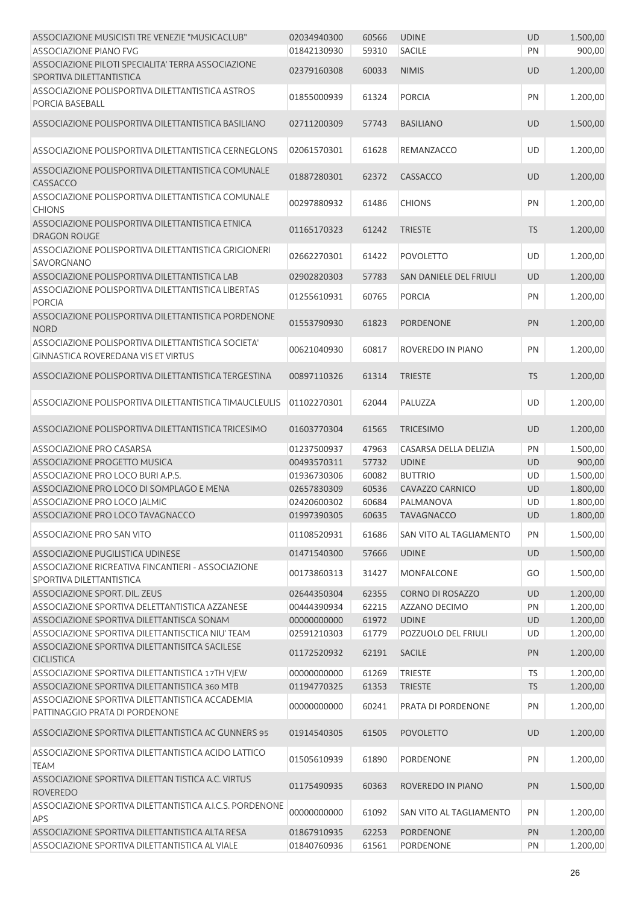| ASSOCIAZIONE MUSICISTI TRE VENEZIE "MUSICACLUB"<br><b>ASSOCIAZIONE PIANO FVG</b>                 | 02034940300<br>01842130930 | 60566<br>59310 | <b>UDINE</b><br>SACILE  | <b>UD</b><br>PN | 1.500,00<br>900,00 |
|--------------------------------------------------------------------------------------------------|----------------------------|----------------|-------------------------|-----------------|--------------------|
| ASSOCIAZIONE PILOTI SPECIALITA' TERRA ASSOCIAZIONE                                               | 02379160308                | 60033          | <b>NIMIS</b>            | UD              | 1.200,00           |
| SPORTIVA DILETTANTISTICA                                                                         |                            |                |                         |                 |                    |
| ASSOCIAZIONE POLISPORTIVA DILETTANTISTICA ASTROS<br>PORCIA BASEBALL                              | 01855000939                | 61324          | <b>PORCIA</b>           | PN              | 1.200,00           |
| ASSOCIAZIONE POLISPORTIVA DILETTANTISTICA BASILIANO                                              | 02711200309                | 57743          | <b>BASILIANO</b>        | UD              | 1.500,00           |
| ASSOCIAZIONE POLISPORTIVA DILETTANTISTICA CERNEGLONS                                             | 02061570301                | 61628          | REMANZACCO              | UD              | 1.200,00           |
| ASSOCIAZIONE POLISPORTIVA DILETTANTISTICA COMUNALE<br>CASSACCO                                   | 01887280301                | 62372          | CASSACCO                | UD              | 1.200,00           |
| ASSOCIAZIONE POLISPORTIVA DILETTANTISTICA COMUNALE<br><b>CHIONS</b>                              | 00297880932                | 61486          | <b>CHIONS</b>           | PN              | 1.200,00           |
| ASSOCIAZIONE POLISPORTIVA DILETTANTISTICA ETNICA<br>DRAGON ROUGE                                 | 01165170323                | 61242          | <b>TRIESTE</b>          | <b>TS</b>       | 1.200,00           |
| ASSOCIAZIONE POLISPORTIVA DILETTANTISTICA GRIGIONERI<br>SAVORGNANO                               | 02662270301                | 61422          | <b>POVOLETTO</b>        | UD              | 1.200,00           |
| ASSOCIAZIONE POLISPORTIVA DILETTANTISTICA LAB                                                    | 02902820303                | 57783          | SAN DANIELE DEL FRIULI  | <b>UD</b>       | 1.200,00           |
| ASSOCIAZIONE POLISPORTIVA DILETTANTISTICA LIBERTAS<br><b>PORCIA</b>                              | 01255610931                | 60765          | <b>PORCIA</b>           | PN              | 1.200,00           |
| ASSOCIAZIONE POLISPORTIVA DILETTANTISTICA PORDENONE<br><b>NORD</b>                               | 01553790930                | 61823          | <b>PORDENONE</b>        | PN              | 1.200,00           |
| ASSOCIAZIONE POLISPORTIVA DILETTANTISTICA SOCIETA'<br><b>GINNASTICA ROVEREDANA VIS ET VIRTUS</b> | 00621040930                | 60817          | ROVEREDO IN PIANO       | PN              | 1.200,00           |
| ASSOCIAZIONE POLISPORTIVA DILETTANTISTICA TERGESTINA                                             | 00897110326                | 61314          | <b>TRIESTE</b>          | <b>TS</b>       | 1.200,00           |
| ASSOCIAZIONE POLISPORTIVA DILETTANTISTICA TIMAUCLEULIS                                           | 01102270301                | 62044          | PALUZZA                 | UD              | 1.200,00           |
| ASSOCIAZIONE POLISPORTIVA DILETTANTISTICA TRICESIMO                                              | 01603770304                | 61565          | <b>TRICESIMO</b>        | UD              | 1.200,00           |
| ASSOCIAZIONE PRO CASARSA                                                                         | 01237500937                | 47963          | CASARSA DELLA DELIZIA   | PN              | 1.500,00           |
| <b>ASSOCIAZIONE PROGETTO MUSICA</b>                                                              | 00493570311                | 57732          | <b>UDINE</b>            | UD              | 900,00             |
| ASSOCIAZIONE PRO LOCO BURI A.P.S.                                                                | 01936730306                | 60082          | <b>BUTTRIO</b>          | UD              | 1.500,00           |
| ASSOCIAZIONE PRO LOCO DI SOMPLAGO E MENA                                                         | 02657830309                | 60536          | <b>CAVAZZO CARNICO</b>  | <b>UD</b>       | 1.800,00           |
| ASSOCIAZIONE PRO LOCO JALMIC                                                                     | 02420600302                | 60684          | PALMANOVA               | UD              | 1.800,00           |
| ASSOCIAZIONE PRO LOCO TAVAGNACCO                                                                 | 01997390305                | 60635          | <b>TAVAGNACCO</b>       | <b>UD</b>       | 1.800,00           |
| ASSOCIAZIONE PRO SAN VITO                                                                        | 01108520931                | 61686          | SAN VITO AL TAGLIAMENTO | PN              | 1.500,00           |
| ASSOCIAZIONE PUGILISTICA UDINESE                                                                 | 01471540300                | 57666          | <b>UDINE</b>            | <b>UD</b>       | 1.500,00           |
| ASSOCIAZIONE RICREATIVA FINCANTIERI - ASSOCIAZIONE<br>SPORTIVA DILETTANTISTICA                   | 00173860313                | 31427          | MONFALCONE              | GO              | 1.500,00           |
| ASSOCIAZIONE SPORT. DIL. ZEUS                                                                    | 02644350304                | 62355          | CORNO DI ROSAZZO        | UD              | 1.200,00           |
| ASSOCIAZIONE SPORTIVA DELETTANTISTICA AZZANESE                                                   | 00444390934                | 62215          | AZZANO DECIMO           | PN              | 1.200,00           |
| ASSOCIAZIONE SPORTIVA DILETTANTISCA SONAM                                                        | 00000000000                | 61972          | <b>UDINE</b>            | UD              | 1.200,00           |
| ASSOCIAZIONE SPORTIVA DILETTANTISCTICA NIU' TEAM                                                 | 02591210303                | 61779          | POZZUOLO DEL FRIULI     | UD              | 1.200,00           |
| ASSOCIAZIONE SPORTIVA DILETTANTISITCA SACILESE<br><b>CICLISTICA</b>                              | 01172520932                | 62191          | <b>SACILE</b>           | PN              | 1.200,00           |
| ASSOCIAZIONE SPORTIVA DILETTANTISTICA 17TH VJEW                                                  | 00000000000                | 61269          | <b>TRIESTE</b>          | <b>TS</b>       | 1.200,00           |
| ASSOCIAZIONE SPORTIVA DILETTANTISTICA 360 MTB                                                    | 01194770325                | 61353          | <b>TRIESTE</b>          | <b>TS</b>       | 1.200,00           |
| ASSOCIAZIONE SPORTIVA DILETTANTISTICA ACCADEMIA<br>PATTINAGGIO PRATA DI PORDENONE                | 00000000000                | 60241          | PRATA DI PORDENONE      | PN              | 1.200,00           |
| ASSOCIAZIONE SPORTIVA DILETTANTISTICA AC GUNNERS 95                                              | 01914540305                | 61505          | <b>POVOLETTO</b>        | <b>UD</b>       | 1.200,00           |
| ASSOCIAZIONE SPORTIVA DILETTANTISTICA ACIDO LATTICO<br><b>TEAM</b>                               | 01505610939                | 61890          | PORDENONE               | PN              | 1.200,00           |
| ASSOCIAZIONE SPORTIVA DILETTAN TISTICA A.C. VIRTUS<br><b>ROVEREDO</b>                            | 01175490935                | 60363          | ROVEREDO IN PIANO       | PN              | 1.500,00           |
| ASSOCIAZIONE SPORTIVA DILETTANTISTICA A.I.C.S. PORDENONE<br>APS                                  | 00000000000                | 61092          | SAN VITO AL TAGLIAMENTO | PN              | 1.200,00           |
| ASSOCIAZIONE SPORTIVA DILETTANTISTICA ALTA RESA                                                  | 01867910935                | 62253          | <b>PORDENONE</b>        | PN              | 1.200,00           |
| ASSOCIAZIONE SPORTIVA DILETTANTISTICA AL VIALE                                                   | 01840760936                | 61561          | PORDENONE               | PN              | 1.200,00           |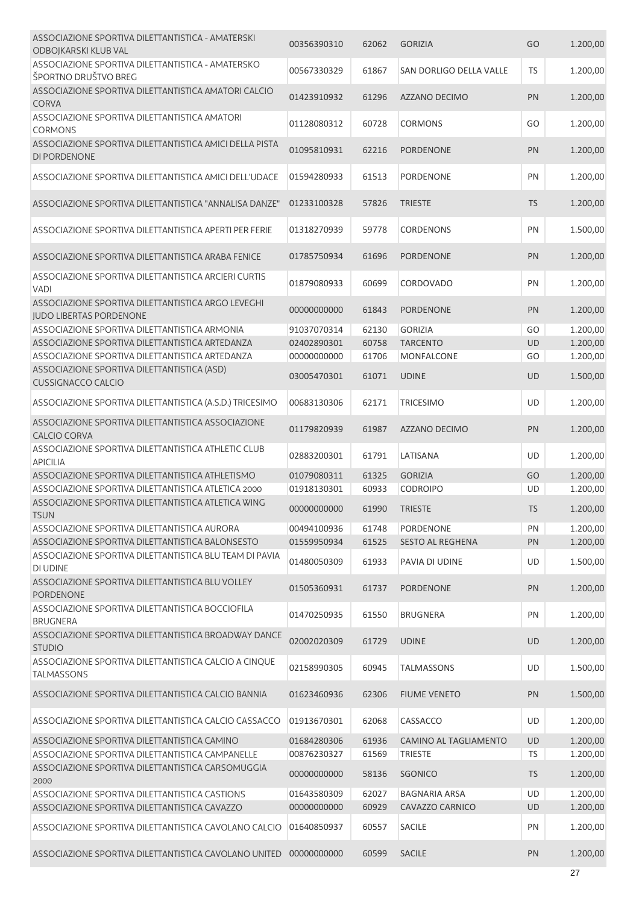| ASSOCIAZIONE SPORTIVA DILETTANTISTICA - AMATERSKI<br>ODBOJKARSKI KLUB VAL            | 00356390310 | 62062 | <b>GORIZIA</b>          | GO        | 1.200,00 |
|--------------------------------------------------------------------------------------|-------------|-------|-------------------------|-----------|----------|
| ASSOCIAZIONE SPORTIVA DILETTANTISTICA - AMATERSKO<br>ŠPORTNO DRUŠTVO BREG            | 00567330329 | 61867 | SAN DORLIGO DELLA VALLE | <b>TS</b> | 1.200,00 |
| ASSOCIAZIONE SPORTIVA DILETTANTISTICA AMATORI CALCIO<br><b>CORVA</b>                 | 01423910932 | 61296 | <b>AZZANO DECIMO</b>    | PN        | 1.200,00 |
| ASSOCIAZIONE SPORTIVA DILETTANTISTICA AMATORI<br><b>CORMONS</b>                      | 01128080312 | 60728 | <b>CORMONS</b>          | GO        | 1.200,00 |
| ASSOCIAZIONE SPORTIVA DILETTANTISTICA AMICI DELLA PISTA<br>DI PORDENONE              | 01095810931 | 62216 | <b>PORDENONE</b>        | PN        | 1.200,00 |
| ASSOCIAZIONE SPORTIVA DILETTANTISTICA AMICI DELL'UDACE                               | 01594280933 | 61513 | PORDENONE               | PN        | 1.200,00 |
| ASSOCIAZIONE SPORTIVA DILETTANTISTICA "ANNALISA DANZE"                               | 01233100328 | 57826 | <b>TRIESTE</b>          | <b>TS</b> | 1.200,00 |
| ASSOCIAZIONE SPORTIVA DILETTANTISTICA APERTI PER FERIE                               | 01318270939 | 59778 | <b>CORDENONS</b>        | PN        | 1.500,00 |
| ASSOCIAZIONE SPORTIVA DILETTANTISTICA ARABA FENICE                                   | 01785750934 | 61696 | PORDENONE               | PN        | 1.200,00 |
| ASSOCIAZIONE SPORTIVA DILETTANTISTICA ARCIERI CURTIS<br><b>VADI</b>                  | 01879080933 | 60699 | <b>CORDOVADO</b>        | PN        | 1.200,00 |
| ASSOCIAZIONE SPORTIVA DILETTANTISTICA ARGO LEVEGHI<br><b>JUDO LIBERTAS PORDENONE</b> | 00000000000 | 61843 | <b>PORDENONE</b>        | PN        | 1.200,00 |
| ASSOCIAZIONE SPORTIVA DILETTANTISTICA ARMONIA                                        | 91037070314 | 62130 | <b>GORIZIA</b>          | GO        | 1.200,00 |
| ASSOCIAZIONE SPORTIVA DILETTANTISTICA ARTEDANZA                                      | 02402890301 | 60758 | <b>TARCENTO</b>         | UD        | 1.200,00 |
| ASSOCIAZIONE SPORTIVA DILETTANTISTICA ARTEDANZA                                      | 00000000000 | 61706 | <b>MONFALCONE</b>       | GO        | 1.200,00 |
| ASSOCIAZIONE SPORTIVA DILETTANTISTICA (ASD)<br><b>CUSSIGNACCO CALCIO</b>             | 03005470301 | 61071 | <b>UDINE</b>            | <b>UD</b> | 1.500,00 |
| ASSOCIAZIONE SPORTIVA DILETTANTISTICA (A.S.D.) TRICESIMO                             | 00683130306 | 62171 | <b>TRICESIMO</b>        | UD        | 1.200,00 |
| ASSOCIAZIONE SPORTIVA DILETTANTISTICA ASSOCIAZIONE<br><b>CALCIO CORVA</b>            | 01179820939 | 61987 | AZZANO DECIMO           | PN        | 1.200,00 |
| ASSOCIAZIONE SPORTIVA DILETTANTISTICA ATHLETIC CLUB<br><b>APICILIA</b>               | 02883200301 | 61791 | LATISANA                | UD        | 1.200,00 |
| ASSOCIAZIONE SPORTIVA DILETTANTISTICA ATHLETISMO                                     | 01079080311 | 61325 | <b>GORIZIA</b>          | GO        | 1.200,00 |
| ASSOCIAZIONE SPORTIVA DILETTANTISTICA ATLETICA 2000                                  | 01918130301 | 60933 | <b>CODROIPO</b>         | UD        | 1.200,00 |
| ASSOCIAZIONE SPORTIVA DILETTANTISTICA ATLETICA WING<br>TSUN                          | 00000000000 | 61990 | <b>TRIESTE</b>          | <b>TS</b> | 1.200,00 |
| ASSOCIAZIONE SPORTIVA DILETTANTISTICA AURORA                                         | 00494100936 | 61748 | PORDENONE               | PN        | 1.200,00 |
| ASSOCIAZIONE SPORTIVA DILETTANTISTICA BALONSESTO                                     | 01559950934 | 61525 | <b>SESTO AL REGHENA</b> | PN        | 1.200,00 |
| ASSOCIAZIONE SPORTIVA DILETTANTISTICA BLU TEAM DI PAVIA<br>DI UDINE                  | 01480050309 | 61933 | PAVIA DI UDINE          | UD        | 1.500,00 |
| ASSOCIAZIONE SPORTIVA DILETTANTISTICA BLU VOLLEY<br><b>PORDENONE</b>                 | 01505360931 | 61737 | <b>PORDENONE</b>        | PN        | 1.200,00 |
| ASSOCIAZIONE SPORTIVA DILETTANTISTICA BOCCIOFILA<br><b>BRUGNERA</b>                  | 01470250935 | 61550 | <b>BRUGNERA</b>         | PN        | 1.200,00 |
| ASSOCIAZIONE SPORTIVA DILETTANTISTICA BROADWAY DANCE<br><b>STUDIO</b>                | 02002020309 | 61729 | <b>UDINE</b>            | <b>UD</b> | 1.200,00 |
| ASSOCIAZIONE SPORTIVA DILETTANTISTICA CALCIO A CINQUE<br><b>TALMASSONS</b>           | 02158990305 | 60945 | <b>TALMASSONS</b>       | UD        | 1.500,00 |
| ASSOCIAZIONE SPORTIVA DILETTANTISTICA CALCIO BANNIA                                  | 01623460936 | 62306 | <b>FIUME VENETO</b>     | PN        | 1.500,00 |
| ASSOCIAZIONE SPORTIVA DILETTANTISTICA CALCIO CASSACCO                                | 01913670301 | 62068 | CASSACCO                | UD        | 1.200,00 |
| ASSOCIAZIONE SPORTIVA DILETTANTISTICA CAMINO                                         | 01684280306 | 61936 | CAMINO AL TAGLIAMENTO   | <b>UD</b> | 1.200,00 |
| ASSOCIAZIONE SPORTIVA DILETTANTISTICA CAMPANELLE                                     | 00876230327 | 61569 | <b>TRIESTE</b>          | <b>TS</b> | 1.200,00 |
| ASSOCIAZIONE SPORTIVA DILETTANTISTICA CARSOMUGGIA<br>2000                            | 00000000000 | 58136 | SGONICO                 | <b>TS</b> | 1.200,00 |
| ASSOCIAZIONE SPORTIVA DILETTANTISTICA CASTIONS                                       | 01643580309 | 62027 | <b>BAGNARIA ARSA</b>    | UD        | 1.200,00 |
| ASSOCIAZIONE SPORTIVA DILETTANTISTICA CAVAZZO                                        | 00000000000 | 60929 | CAVAZZO CARNICO         | UD        | 1.200,00 |
| ASSOCIAZIONE SPORTIVA DILETTANTISTICA CAVOLANO CALCIO                                | 01640850937 | 60557 | <b>SACILE</b>           | PN        | 1.200,00 |
| ASSOCIAZIONE SPORTIVA DILETTANTISTICA CAVOLANO UNITED                                | 00000000000 | 60599 | <b>SACILE</b>           | PN        | 1.200,00 |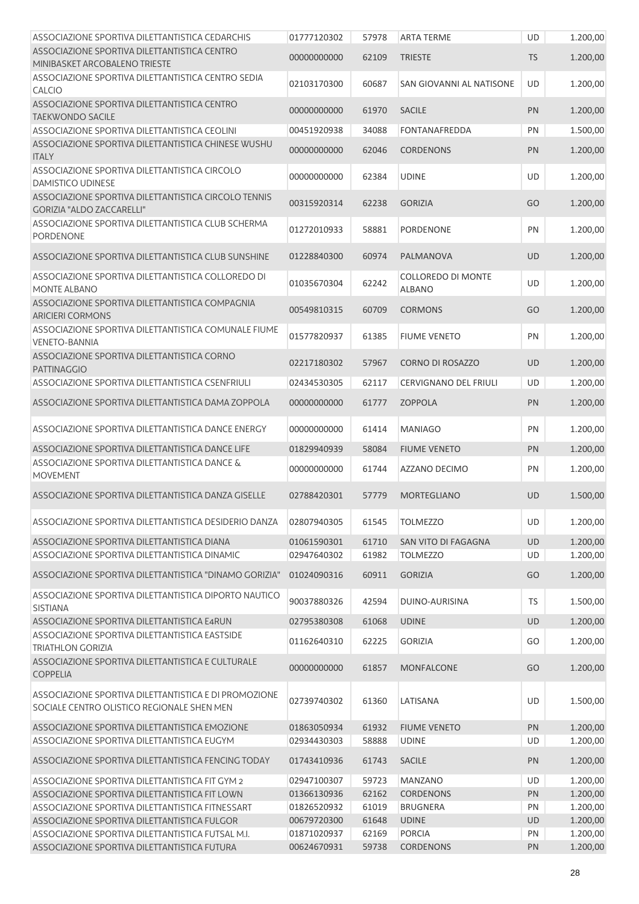| ASSOCIAZIONE SPORTIVA DILETTANTISTICA CENTRO<br>1.200,00<br>00000000000<br>62109<br><b>TRIESTE</b><br><b>TS</b><br>MINIBASKET ARCOBALENO TRIESTE<br>ASSOCIAZIONE SPORTIVA DILETTANTISTICA CENTRO SEDIA<br>60687<br>1.200,00<br>02103170300<br>SAN GIOVANNI AL NATISONE<br>UD<br><b>CALCIO</b><br>ASSOCIAZIONE SPORTIVA DILETTANTISTICA CENTRO<br>61970<br><b>SACILE</b><br>1.200,00<br>00000000000<br>PN<br><b>TAEKWONDO SACILE</b><br>ASSOCIAZIONE SPORTIVA DILETTANTISTICA CEOLINI<br>00451920938<br>34088<br>FONTANAFREDDA<br>PN<br>1.500,00<br>ASSOCIAZIONE SPORTIVA DILETTANTISTICA CHINESE WUSHU<br>00000000000<br>62046<br><b>CORDENONS</b><br>PN<br>1.200,00<br><b>ITALY</b><br>ASSOCIAZIONE SPORTIVA DILETTANTISTICA CIRCOLO<br>00000000000<br>62384<br>UD<br>1.200,00<br><b>UDINE</b><br><b>DAMISTICO UDINESE</b><br>ASSOCIAZIONE SPORTIVA DILETTANTISTICA CIRCOLO TENNIS<br>00315920314<br>62238<br><b>GORIZIA</b><br>GO<br>1.200,00<br>GORIZIA "ALDO ZACCARELLI"<br>ASSOCIAZIONE SPORTIVA DILETTANTISTICA CLUB SCHERMA<br>01272010933<br>58881<br>1.200,00<br><b>PORDENONE</b><br>PN<br><b>PORDENONE</b><br>ASSOCIAZIONE SPORTIVA DILETTANTISTICA CLUB SUNSHINE<br>01228840300<br>60974<br>PALMANOVA<br><b>UD</b><br>1.200,00<br>ASSOCIAZIONE SPORTIVA DILETTANTISTICA COLLOREDO DI<br><b>COLLOREDO DI MONTE</b><br>62242<br>UD<br>1.200,00<br>01035670304<br><b>ALBANO</b><br><b>MONTE ALBANO</b><br>ASSOCIAZIONE SPORTIVA DILETTANTISTICA COMPAGNIA<br>60709<br>1.200,00<br>00549810315<br><b>CORMONS</b><br>GO<br><b>ARICIERI CORMONS</b><br>ASSOCIAZIONE SPORTIVA DILETTANTISTICA COMUNALE FIUME<br>01577820937<br>61385<br><b>FIUME VENETO</b><br>PN<br>1.200,00<br><b>VENETO-BANNIA</b><br>ASSOCIAZIONE SPORTIVA DILETTANTISTICA CORNO<br><b>CORNO DI ROSAZZO</b><br>1.200,00<br>02217180302<br>57967<br><b>UD</b><br>PATTINAGGIO<br>ASSOCIAZIONE SPORTIVA DILETTANTISTICA CSENFRIULI<br>02434530305<br>1.200,00<br>62117<br><b>CERVIGNANO DEL FRIULI</b><br>UD<br>ASSOCIAZIONE SPORTIVA DILETTANTISTICA DAMA ZOPPOLA<br>1.200,00<br>00000000000<br>61777<br><b>ZOPPOLA</b><br>PN<br>ASSOCIAZIONE SPORTIVA DILETTANTISTICA DANCE ENERGY<br>00000000000<br>61414<br>PN<br>1.200,00<br><b>MANIAGO</b><br>ASSOCIAZIONE SPORTIVA DILETTANTISTICA DANCE LIFE<br>1.200,00<br>01829940939<br>58084<br><b>FIUME VENETO</b><br>PN<br>ASSOCIAZIONE SPORTIVA DILETTANTISTICA DANCE &<br>1.200,00<br>00000000000<br>61744<br>AZZANO DECIMO<br>PN<br><b>MOVEMENT</b><br>ASSOCIAZIONE SPORTIVA DILETTANTISTICA DANZA GISELLE<br>02788420301<br>MORTEGLIANO<br><b>UD</b><br>1.500,00<br>57779<br>ASSOCIAZIONE SPORTIVA DILETTANTISTICA DESIDERIO DANZA<br>1.200,00<br>02807940305<br>61545<br><b>TOLMEZZO</b><br>UD<br>61710<br>UD<br>1.200,00<br>ASSOCIAZIONE SPORTIVA DILETTANTISTICA DIANA<br>01061590301<br>SAN VITO DI FAGAGNA<br>02947640302<br>61982<br>UD<br>1.200,00<br>ASSOCIAZIONE SPORTIVA DILETTANTISTICA DINAMIC<br><b>TOLMEZZO</b><br>ASSOCIAZIONE SPORTIVA DILETTANTISTICA "DINAMO GORIZIA"<br>GO<br>1.200,00<br>01024090316<br>60911<br><b>GORIZIA</b><br>ASSOCIAZIONE SPORTIVA DILETTANTISTICA DIPORTO NAUTICO<br>90037880326<br>42594<br>DUINO-AURISINA<br><b>TS</b><br>1.500,00<br><b>SISTIANA</b><br>ASSOCIAZIONE SPORTIVA DILETTANTISTICA E4RUN<br>1.200,00<br>02795380308<br>61068<br><b>UDINE</b><br><b>UD</b><br>ASSOCIAZIONE SPORTIVA DILETTANTISTICA EASTSIDE<br>62225<br>1.200,00<br>01162640310<br><b>GORIZIA</b><br>GO<br><b>TRIATHLON GORIZIA</b><br>ASSOCIAZIONE SPORTIVA DILETTANTISTICA E CULTURALE<br>00000000000<br>61857<br>1.200,00<br><b>MONFALCONE</b><br>GO<br><b>COPPELIA</b><br>ASSOCIAZIONE SPORTIVA DILETTANTISTICA E DI PROMOZIONE<br>02739740302<br>61360<br>LATISANA<br>UD<br>1.500,00<br>SOCIALE CENTRO OLISTICO REGIONALE SHEN MEN<br>ASSOCIAZIONE SPORTIVA DILETTANTISTICA EMOZIONE<br>PN<br>1.200,00<br>01863050934<br>61932<br><b>FIUME VENETO</b><br>ASSOCIAZIONE SPORTIVA DILETTANTISTICA EUGYM<br>02934430303<br>58888<br><b>UDINE</b><br>UD<br>1.200,00<br>ASSOCIAZIONE SPORTIVA DILETTANTISTICA FENCING TODAY<br><b>SACILE</b><br>PN<br>1.200,00<br>01743410936<br>61743<br>ASSOCIAZIONE SPORTIVA DILETTANTISTICA FIT GYM 2<br>1.200,00<br>02947100307<br>59723<br><b>MANZANO</b><br>UD<br>1.200,00<br>ASSOCIAZIONE SPORTIVA DILETTANTISTICA FIT LOWN<br>62162<br>01366130936<br><b>CORDENONS</b><br>PN<br>ASSOCIAZIONE SPORTIVA DILETTANTISTICA FITNESSART<br>61019<br><b>BRUGNERA</b><br>PN<br>1.200,00<br>01826520932<br>ASSOCIAZIONE SPORTIVA DILETTANTISTICA FULGOR<br>61648<br>1.200,00<br>00679720300<br><b>UDINE</b><br>UD<br>1.200,00<br>ASSOCIAZIONE SPORTIVA DILETTANTISTICA FUTSAL M.I.<br>62169<br>PN<br>01871020937<br><b>PORCIA</b><br>ASSOCIAZIONE SPORTIVA DILETTANTISTICA FUTURA<br>PN<br>1.200,00<br>00624670931<br>59738<br><b>CORDENONS</b> | ASSOCIAZIONE SPORTIVA DILETTANTISTICA CEDARCHIS | 01777120302 | 57978 | <b>ARTA TERME</b> | UD | 1.200,00 |
|-------------------------------------------------------------------------------------------------------------------------------------------------------------------------------------------------------------------------------------------------------------------------------------------------------------------------------------------------------------------------------------------------------------------------------------------------------------------------------------------------------------------------------------------------------------------------------------------------------------------------------------------------------------------------------------------------------------------------------------------------------------------------------------------------------------------------------------------------------------------------------------------------------------------------------------------------------------------------------------------------------------------------------------------------------------------------------------------------------------------------------------------------------------------------------------------------------------------------------------------------------------------------------------------------------------------------------------------------------------------------------------------------------------------------------------------------------------------------------------------------------------------------------------------------------------------------------------------------------------------------------------------------------------------------------------------------------------------------------------------------------------------------------------------------------------------------------------------------------------------------------------------------------------------------------------------------------------------------------------------------------------------------------------------------------------------------------------------------------------------------------------------------------------------------------------------------------------------------------------------------------------------------------------------------------------------------------------------------------------------------------------------------------------------------------------------------------------------------------------------------------------------------------------------------------------------------------------------------------------------------------------------------------------------------------------------------------------------------------------------------------------------------------------------------------------------------------------------------------------------------------------------------------------------------------------------------------------------------------------------------------------------------------------------------------------------------------------------------------------------------------------------------------------------------------------------------------------------------------------------------------------------------------------------------------------------------------------------------------------------------------------------------------------------------------------------------------------------------------------------------------------------------------------------------------------------------------------------------------------------------------------------------------------------------------------------------------------------------------------------------------------------------------------------------------------------------------------------------------------------------------------------------------------------------------------------------------------------------------------------------------------------------------------------------------------------------------------------------------------------------------------------------------------------------------------------------------------------------------------------------------------------------------------------------------------------------------------------------------------------------------------------------------------------------------------------------------------------------------------------------------------------------------------------------------------------------------------------------------------------------------------------------------------------------------------------------------------------------------------------------------------------------------------------------------------------------------|-------------------------------------------------|-------------|-------|-------------------|----|----------|
|                                                                                                                                                                                                                                                                                                                                                                                                                                                                                                                                                                                                                                                                                                                                                                                                                                                                                                                                                                                                                                                                                                                                                                                                                                                                                                                                                                                                                                                                                                                                                                                                                                                                                                                                                                                                                                                                                                                                                                                                                                                                                                                                                                                                                                                                                                                                                                                                                                                                                                                                                                                                                                                                                                                                                                                                                                                                                                                                                                                                                                                                                                                                                                                                                                                                                                                                                                                                                                                                                                                                                                                                                                                                                                                                                                                                                                                                                                                                                                                                                                                                                                                                                                                                                                                                                                                                                                                                                                                                                                                                                                                                                                                                                                                                                                                                                               |                                                 |             |       |                   |    |          |
|                                                                                                                                                                                                                                                                                                                                                                                                                                                                                                                                                                                                                                                                                                                                                                                                                                                                                                                                                                                                                                                                                                                                                                                                                                                                                                                                                                                                                                                                                                                                                                                                                                                                                                                                                                                                                                                                                                                                                                                                                                                                                                                                                                                                                                                                                                                                                                                                                                                                                                                                                                                                                                                                                                                                                                                                                                                                                                                                                                                                                                                                                                                                                                                                                                                                                                                                                                                                                                                                                                                                                                                                                                                                                                                                                                                                                                                                                                                                                                                                                                                                                                                                                                                                                                                                                                                                                                                                                                                                                                                                                                                                                                                                                                                                                                                                                               |                                                 |             |       |                   |    |          |
|                                                                                                                                                                                                                                                                                                                                                                                                                                                                                                                                                                                                                                                                                                                                                                                                                                                                                                                                                                                                                                                                                                                                                                                                                                                                                                                                                                                                                                                                                                                                                                                                                                                                                                                                                                                                                                                                                                                                                                                                                                                                                                                                                                                                                                                                                                                                                                                                                                                                                                                                                                                                                                                                                                                                                                                                                                                                                                                                                                                                                                                                                                                                                                                                                                                                                                                                                                                                                                                                                                                                                                                                                                                                                                                                                                                                                                                                                                                                                                                                                                                                                                                                                                                                                                                                                                                                                                                                                                                                                                                                                                                                                                                                                                                                                                                                                               |                                                 |             |       |                   |    |          |
|                                                                                                                                                                                                                                                                                                                                                                                                                                                                                                                                                                                                                                                                                                                                                                                                                                                                                                                                                                                                                                                                                                                                                                                                                                                                                                                                                                                                                                                                                                                                                                                                                                                                                                                                                                                                                                                                                                                                                                                                                                                                                                                                                                                                                                                                                                                                                                                                                                                                                                                                                                                                                                                                                                                                                                                                                                                                                                                                                                                                                                                                                                                                                                                                                                                                                                                                                                                                                                                                                                                                                                                                                                                                                                                                                                                                                                                                                                                                                                                                                                                                                                                                                                                                                                                                                                                                                                                                                                                                                                                                                                                                                                                                                                                                                                                                                               |                                                 |             |       |                   |    |          |
|                                                                                                                                                                                                                                                                                                                                                                                                                                                                                                                                                                                                                                                                                                                                                                                                                                                                                                                                                                                                                                                                                                                                                                                                                                                                                                                                                                                                                                                                                                                                                                                                                                                                                                                                                                                                                                                                                                                                                                                                                                                                                                                                                                                                                                                                                                                                                                                                                                                                                                                                                                                                                                                                                                                                                                                                                                                                                                                                                                                                                                                                                                                                                                                                                                                                                                                                                                                                                                                                                                                                                                                                                                                                                                                                                                                                                                                                                                                                                                                                                                                                                                                                                                                                                                                                                                                                                                                                                                                                                                                                                                                                                                                                                                                                                                                                                               |                                                 |             |       |                   |    |          |
|                                                                                                                                                                                                                                                                                                                                                                                                                                                                                                                                                                                                                                                                                                                                                                                                                                                                                                                                                                                                                                                                                                                                                                                                                                                                                                                                                                                                                                                                                                                                                                                                                                                                                                                                                                                                                                                                                                                                                                                                                                                                                                                                                                                                                                                                                                                                                                                                                                                                                                                                                                                                                                                                                                                                                                                                                                                                                                                                                                                                                                                                                                                                                                                                                                                                                                                                                                                                                                                                                                                                                                                                                                                                                                                                                                                                                                                                                                                                                                                                                                                                                                                                                                                                                                                                                                                                                                                                                                                                                                                                                                                                                                                                                                                                                                                                                               |                                                 |             |       |                   |    |          |
|                                                                                                                                                                                                                                                                                                                                                                                                                                                                                                                                                                                                                                                                                                                                                                                                                                                                                                                                                                                                                                                                                                                                                                                                                                                                                                                                                                                                                                                                                                                                                                                                                                                                                                                                                                                                                                                                                                                                                                                                                                                                                                                                                                                                                                                                                                                                                                                                                                                                                                                                                                                                                                                                                                                                                                                                                                                                                                                                                                                                                                                                                                                                                                                                                                                                                                                                                                                                                                                                                                                                                                                                                                                                                                                                                                                                                                                                                                                                                                                                                                                                                                                                                                                                                                                                                                                                                                                                                                                                                                                                                                                                                                                                                                                                                                                                                               |                                                 |             |       |                   |    |          |
|                                                                                                                                                                                                                                                                                                                                                                                                                                                                                                                                                                                                                                                                                                                                                                                                                                                                                                                                                                                                                                                                                                                                                                                                                                                                                                                                                                                                                                                                                                                                                                                                                                                                                                                                                                                                                                                                                                                                                                                                                                                                                                                                                                                                                                                                                                                                                                                                                                                                                                                                                                                                                                                                                                                                                                                                                                                                                                                                                                                                                                                                                                                                                                                                                                                                                                                                                                                                                                                                                                                                                                                                                                                                                                                                                                                                                                                                                                                                                                                                                                                                                                                                                                                                                                                                                                                                                                                                                                                                                                                                                                                                                                                                                                                                                                                                                               |                                                 |             |       |                   |    |          |
|                                                                                                                                                                                                                                                                                                                                                                                                                                                                                                                                                                                                                                                                                                                                                                                                                                                                                                                                                                                                                                                                                                                                                                                                                                                                                                                                                                                                                                                                                                                                                                                                                                                                                                                                                                                                                                                                                                                                                                                                                                                                                                                                                                                                                                                                                                                                                                                                                                                                                                                                                                                                                                                                                                                                                                                                                                                                                                                                                                                                                                                                                                                                                                                                                                                                                                                                                                                                                                                                                                                                                                                                                                                                                                                                                                                                                                                                                                                                                                                                                                                                                                                                                                                                                                                                                                                                                                                                                                                                                                                                                                                                                                                                                                                                                                                                                               |                                                 |             |       |                   |    |          |
|                                                                                                                                                                                                                                                                                                                                                                                                                                                                                                                                                                                                                                                                                                                                                                                                                                                                                                                                                                                                                                                                                                                                                                                                                                                                                                                                                                                                                                                                                                                                                                                                                                                                                                                                                                                                                                                                                                                                                                                                                                                                                                                                                                                                                                                                                                                                                                                                                                                                                                                                                                                                                                                                                                                                                                                                                                                                                                                                                                                                                                                                                                                                                                                                                                                                                                                                                                                                                                                                                                                                                                                                                                                                                                                                                                                                                                                                                                                                                                                                                                                                                                                                                                                                                                                                                                                                                                                                                                                                                                                                                                                                                                                                                                                                                                                                                               |                                                 |             |       |                   |    |          |
|                                                                                                                                                                                                                                                                                                                                                                                                                                                                                                                                                                                                                                                                                                                                                                                                                                                                                                                                                                                                                                                                                                                                                                                                                                                                                                                                                                                                                                                                                                                                                                                                                                                                                                                                                                                                                                                                                                                                                                                                                                                                                                                                                                                                                                                                                                                                                                                                                                                                                                                                                                                                                                                                                                                                                                                                                                                                                                                                                                                                                                                                                                                                                                                                                                                                                                                                                                                                                                                                                                                                                                                                                                                                                                                                                                                                                                                                                                                                                                                                                                                                                                                                                                                                                                                                                                                                                                                                                                                                                                                                                                                                                                                                                                                                                                                                                               |                                                 |             |       |                   |    |          |
|                                                                                                                                                                                                                                                                                                                                                                                                                                                                                                                                                                                                                                                                                                                                                                                                                                                                                                                                                                                                                                                                                                                                                                                                                                                                                                                                                                                                                                                                                                                                                                                                                                                                                                                                                                                                                                                                                                                                                                                                                                                                                                                                                                                                                                                                                                                                                                                                                                                                                                                                                                                                                                                                                                                                                                                                                                                                                                                                                                                                                                                                                                                                                                                                                                                                                                                                                                                                                                                                                                                                                                                                                                                                                                                                                                                                                                                                                                                                                                                                                                                                                                                                                                                                                                                                                                                                                                                                                                                                                                                                                                                                                                                                                                                                                                                                                               |                                                 |             |       |                   |    |          |
|                                                                                                                                                                                                                                                                                                                                                                                                                                                                                                                                                                                                                                                                                                                                                                                                                                                                                                                                                                                                                                                                                                                                                                                                                                                                                                                                                                                                                                                                                                                                                                                                                                                                                                                                                                                                                                                                                                                                                                                                                                                                                                                                                                                                                                                                                                                                                                                                                                                                                                                                                                                                                                                                                                                                                                                                                                                                                                                                                                                                                                                                                                                                                                                                                                                                                                                                                                                                                                                                                                                                                                                                                                                                                                                                                                                                                                                                                                                                                                                                                                                                                                                                                                                                                                                                                                                                                                                                                                                                                                                                                                                                                                                                                                                                                                                                                               |                                                 |             |       |                   |    |          |
|                                                                                                                                                                                                                                                                                                                                                                                                                                                                                                                                                                                                                                                                                                                                                                                                                                                                                                                                                                                                                                                                                                                                                                                                                                                                                                                                                                                                                                                                                                                                                                                                                                                                                                                                                                                                                                                                                                                                                                                                                                                                                                                                                                                                                                                                                                                                                                                                                                                                                                                                                                                                                                                                                                                                                                                                                                                                                                                                                                                                                                                                                                                                                                                                                                                                                                                                                                                                                                                                                                                                                                                                                                                                                                                                                                                                                                                                                                                                                                                                                                                                                                                                                                                                                                                                                                                                                                                                                                                                                                                                                                                                                                                                                                                                                                                                                               |                                                 |             |       |                   |    |          |
|                                                                                                                                                                                                                                                                                                                                                                                                                                                                                                                                                                                                                                                                                                                                                                                                                                                                                                                                                                                                                                                                                                                                                                                                                                                                                                                                                                                                                                                                                                                                                                                                                                                                                                                                                                                                                                                                                                                                                                                                                                                                                                                                                                                                                                                                                                                                                                                                                                                                                                                                                                                                                                                                                                                                                                                                                                                                                                                                                                                                                                                                                                                                                                                                                                                                                                                                                                                                                                                                                                                                                                                                                                                                                                                                                                                                                                                                                                                                                                                                                                                                                                                                                                                                                                                                                                                                                                                                                                                                                                                                                                                                                                                                                                                                                                                                                               |                                                 |             |       |                   |    |          |
|                                                                                                                                                                                                                                                                                                                                                                                                                                                                                                                                                                                                                                                                                                                                                                                                                                                                                                                                                                                                                                                                                                                                                                                                                                                                                                                                                                                                                                                                                                                                                                                                                                                                                                                                                                                                                                                                                                                                                                                                                                                                                                                                                                                                                                                                                                                                                                                                                                                                                                                                                                                                                                                                                                                                                                                                                                                                                                                                                                                                                                                                                                                                                                                                                                                                                                                                                                                                                                                                                                                                                                                                                                                                                                                                                                                                                                                                                                                                                                                                                                                                                                                                                                                                                                                                                                                                                                                                                                                                                                                                                                                                                                                                                                                                                                                                                               |                                                 |             |       |                   |    |          |
|                                                                                                                                                                                                                                                                                                                                                                                                                                                                                                                                                                                                                                                                                                                                                                                                                                                                                                                                                                                                                                                                                                                                                                                                                                                                                                                                                                                                                                                                                                                                                                                                                                                                                                                                                                                                                                                                                                                                                                                                                                                                                                                                                                                                                                                                                                                                                                                                                                                                                                                                                                                                                                                                                                                                                                                                                                                                                                                                                                                                                                                                                                                                                                                                                                                                                                                                                                                                                                                                                                                                                                                                                                                                                                                                                                                                                                                                                                                                                                                                                                                                                                                                                                                                                                                                                                                                                                                                                                                                                                                                                                                                                                                                                                                                                                                                                               |                                                 |             |       |                   |    |          |
|                                                                                                                                                                                                                                                                                                                                                                                                                                                                                                                                                                                                                                                                                                                                                                                                                                                                                                                                                                                                                                                                                                                                                                                                                                                                                                                                                                                                                                                                                                                                                                                                                                                                                                                                                                                                                                                                                                                                                                                                                                                                                                                                                                                                                                                                                                                                                                                                                                                                                                                                                                                                                                                                                                                                                                                                                                                                                                                                                                                                                                                                                                                                                                                                                                                                                                                                                                                                                                                                                                                                                                                                                                                                                                                                                                                                                                                                                                                                                                                                                                                                                                                                                                                                                                                                                                                                                                                                                                                                                                                                                                                                                                                                                                                                                                                                                               |                                                 |             |       |                   |    |          |
|                                                                                                                                                                                                                                                                                                                                                                                                                                                                                                                                                                                                                                                                                                                                                                                                                                                                                                                                                                                                                                                                                                                                                                                                                                                                                                                                                                                                                                                                                                                                                                                                                                                                                                                                                                                                                                                                                                                                                                                                                                                                                                                                                                                                                                                                                                                                                                                                                                                                                                                                                                                                                                                                                                                                                                                                                                                                                                                                                                                                                                                                                                                                                                                                                                                                                                                                                                                                                                                                                                                                                                                                                                                                                                                                                                                                                                                                                                                                                                                                                                                                                                                                                                                                                                                                                                                                                                                                                                                                                                                                                                                                                                                                                                                                                                                                                               |                                                 |             |       |                   |    |          |
|                                                                                                                                                                                                                                                                                                                                                                                                                                                                                                                                                                                                                                                                                                                                                                                                                                                                                                                                                                                                                                                                                                                                                                                                                                                                                                                                                                                                                                                                                                                                                                                                                                                                                                                                                                                                                                                                                                                                                                                                                                                                                                                                                                                                                                                                                                                                                                                                                                                                                                                                                                                                                                                                                                                                                                                                                                                                                                                                                                                                                                                                                                                                                                                                                                                                                                                                                                                                                                                                                                                                                                                                                                                                                                                                                                                                                                                                                                                                                                                                                                                                                                                                                                                                                                                                                                                                                                                                                                                                                                                                                                                                                                                                                                                                                                                                                               |                                                 |             |       |                   |    |          |
|                                                                                                                                                                                                                                                                                                                                                                                                                                                                                                                                                                                                                                                                                                                                                                                                                                                                                                                                                                                                                                                                                                                                                                                                                                                                                                                                                                                                                                                                                                                                                                                                                                                                                                                                                                                                                                                                                                                                                                                                                                                                                                                                                                                                                                                                                                                                                                                                                                                                                                                                                                                                                                                                                                                                                                                                                                                                                                                                                                                                                                                                                                                                                                                                                                                                                                                                                                                                                                                                                                                                                                                                                                                                                                                                                                                                                                                                                                                                                                                                                                                                                                                                                                                                                                                                                                                                                                                                                                                                                                                                                                                                                                                                                                                                                                                                                               |                                                 |             |       |                   |    |          |
|                                                                                                                                                                                                                                                                                                                                                                                                                                                                                                                                                                                                                                                                                                                                                                                                                                                                                                                                                                                                                                                                                                                                                                                                                                                                                                                                                                                                                                                                                                                                                                                                                                                                                                                                                                                                                                                                                                                                                                                                                                                                                                                                                                                                                                                                                                                                                                                                                                                                                                                                                                                                                                                                                                                                                                                                                                                                                                                                                                                                                                                                                                                                                                                                                                                                                                                                                                                                                                                                                                                                                                                                                                                                                                                                                                                                                                                                                                                                                                                                                                                                                                                                                                                                                                                                                                                                                                                                                                                                                                                                                                                                                                                                                                                                                                                                                               |                                                 |             |       |                   |    |          |
|                                                                                                                                                                                                                                                                                                                                                                                                                                                                                                                                                                                                                                                                                                                                                                                                                                                                                                                                                                                                                                                                                                                                                                                                                                                                                                                                                                                                                                                                                                                                                                                                                                                                                                                                                                                                                                                                                                                                                                                                                                                                                                                                                                                                                                                                                                                                                                                                                                                                                                                                                                                                                                                                                                                                                                                                                                                                                                                                                                                                                                                                                                                                                                                                                                                                                                                                                                                                                                                                                                                                                                                                                                                                                                                                                                                                                                                                                                                                                                                                                                                                                                                                                                                                                                                                                                                                                                                                                                                                                                                                                                                                                                                                                                                                                                                                                               |                                                 |             |       |                   |    |          |
|                                                                                                                                                                                                                                                                                                                                                                                                                                                                                                                                                                                                                                                                                                                                                                                                                                                                                                                                                                                                                                                                                                                                                                                                                                                                                                                                                                                                                                                                                                                                                                                                                                                                                                                                                                                                                                                                                                                                                                                                                                                                                                                                                                                                                                                                                                                                                                                                                                                                                                                                                                                                                                                                                                                                                                                                                                                                                                                                                                                                                                                                                                                                                                                                                                                                                                                                                                                                                                                                                                                                                                                                                                                                                                                                                                                                                                                                                                                                                                                                                                                                                                                                                                                                                                                                                                                                                                                                                                                                                                                                                                                                                                                                                                                                                                                                                               |                                                 |             |       |                   |    |          |
|                                                                                                                                                                                                                                                                                                                                                                                                                                                                                                                                                                                                                                                                                                                                                                                                                                                                                                                                                                                                                                                                                                                                                                                                                                                                                                                                                                                                                                                                                                                                                                                                                                                                                                                                                                                                                                                                                                                                                                                                                                                                                                                                                                                                                                                                                                                                                                                                                                                                                                                                                                                                                                                                                                                                                                                                                                                                                                                                                                                                                                                                                                                                                                                                                                                                                                                                                                                                                                                                                                                                                                                                                                                                                                                                                                                                                                                                                                                                                                                                                                                                                                                                                                                                                                                                                                                                                                                                                                                                                                                                                                                                                                                                                                                                                                                                                               |                                                 |             |       |                   |    |          |
|                                                                                                                                                                                                                                                                                                                                                                                                                                                                                                                                                                                                                                                                                                                                                                                                                                                                                                                                                                                                                                                                                                                                                                                                                                                                                                                                                                                                                                                                                                                                                                                                                                                                                                                                                                                                                                                                                                                                                                                                                                                                                                                                                                                                                                                                                                                                                                                                                                                                                                                                                                                                                                                                                                                                                                                                                                                                                                                                                                                                                                                                                                                                                                                                                                                                                                                                                                                                                                                                                                                                                                                                                                                                                                                                                                                                                                                                                                                                                                                                                                                                                                                                                                                                                                                                                                                                                                                                                                                                                                                                                                                                                                                                                                                                                                                                                               |                                                 |             |       |                   |    |          |
|                                                                                                                                                                                                                                                                                                                                                                                                                                                                                                                                                                                                                                                                                                                                                                                                                                                                                                                                                                                                                                                                                                                                                                                                                                                                                                                                                                                                                                                                                                                                                                                                                                                                                                                                                                                                                                                                                                                                                                                                                                                                                                                                                                                                                                                                                                                                                                                                                                                                                                                                                                                                                                                                                                                                                                                                                                                                                                                                                                                                                                                                                                                                                                                                                                                                                                                                                                                                                                                                                                                                                                                                                                                                                                                                                                                                                                                                                                                                                                                                                                                                                                                                                                                                                                                                                                                                                                                                                                                                                                                                                                                                                                                                                                                                                                                                                               |                                                 |             |       |                   |    |          |
|                                                                                                                                                                                                                                                                                                                                                                                                                                                                                                                                                                                                                                                                                                                                                                                                                                                                                                                                                                                                                                                                                                                                                                                                                                                                                                                                                                                                                                                                                                                                                                                                                                                                                                                                                                                                                                                                                                                                                                                                                                                                                                                                                                                                                                                                                                                                                                                                                                                                                                                                                                                                                                                                                                                                                                                                                                                                                                                                                                                                                                                                                                                                                                                                                                                                                                                                                                                                                                                                                                                                                                                                                                                                                                                                                                                                                                                                                                                                                                                                                                                                                                                                                                                                                                                                                                                                                                                                                                                                                                                                                                                                                                                                                                                                                                                                                               |                                                 |             |       |                   |    |          |
|                                                                                                                                                                                                                                                                                                                                                                                                                                                                                                                                                                                                                                                                                                                                                                                                                                                                                                                                                                                                                                                                                                                                                                                                                                                                                                                                                                                                                                                                                                                                                                                                                                                                                                                                                                                                                                                                                                                                                                                                                                                                                                                                                                                                                                                                                                                                                                                                                                                                                                                                                                                                                                                                                                                                                                                                                                                                                                                                                                                                                                                                                                                                                                                                                                                                                                                                                                                                                                                                                                                                                                                                                                                                                                                                                                                                                                                                                                                                                                                                                                                                                                                                                                                                                                                                                                                                                                                                                                                                                                                                                                                                                                                                                                                                                                                                                               |                                                 |             |       |                   |    |          |
|                                                                                                                                                                                                                                                                                                                                                                                                                                                                                                                                                                                                                                                                                                                                                                                                                                                                                                                                                                                                                                                                                                                                                                                                                                                                                                                                                                                                                                                                                                                                                                                                                                                                                                                                                                                                                                                                                                                                                                                                                                                                                                                                                                                                                                                                                                                                                                                                                                                                                                                                                                                                                                                                                                                                                                                                                                                                                                                                                                                                                                                                                                                                                                                                                                                                                                                                                                                                                                                                                                                                                                                                                                                                                                                                                                                                                                                                                                                                                                                                                                                                                                                                                                                                                                                                                                                                                                                                                                                                                                                                                                                                                                                                                                                                                                                                                               |                                                 |             |       |                   |    |          |
|                                                                                                                                                                                                                                                                                                                                                                                                                                                                                                                                                                                                                                                                                                                                                                                                                                                                                                                                                                                                                                                                                                                                                                                                                                                                                                                                                                                                                                                                                                                                                                                                                                                                                                                                                                                                                                                                                                                                                                                                                                                                                                                                                                                                                                                                                                                                                                                                                                                                                                                                                                                                                                                                                                                                                                                                                                                                                                                                                                                                                                                                                                                                                                                                                                                                                                                                                                                                                                                                                                                                                                                                                                                                                                                                                                                                                                                                                                                                                                                                                                                                                                                                                                                                                                                                                                                                                                                                                                                                                                                                                                                                                                                                                                                                                                                                                               |                                                 |             |       |                   |    |          |
|                                                                                                                                                                                                                                                                                                                                                                                                                                                                                                                                                                                                                                                                                                                                                                                                                                                                                                                                                                                                                                                                                                                                                                                                                                                                                                                                                                                                                                                                                                                                                                                                                                                                                                                                                                                                                                                                                                                                                                                                                                                                                                                                                                                                                                                                                                                                                                                                                                                                                                                                                                                                                                                                                                                                                                                                                                                                                                                                                                                                                                                                                                                                                                                                                                                                                                                                                                                                                                                                                                                                                                                                                                                                                                                                                                                                                                                                                                                                                                                                                                                                                                                                                                                                                                                                                                                                                                                                                                                                                                                                                                                                                                                                                                                                                                                                                               |                                                 |             |       |                   |    |          |
|                                                                                                                                                                                                                                                                                                                                                                                                                                                                                                                                                                                                                                                                                                                                                                                                                                                                                                                                                                                                                                                                                                                                                                                                                                                                                                                                                                                                                                                                                                                                                                                                                                                                                                                                                                                                                                                                                                                                                                                                                                                                                                                                                                                                                                                                                                                                                                                                                                                                                                                                                                                                                                                                                                                                                                                                                                                                                                                                                                                                                                                                                                                                                                                                                                                                                                                                                                                                                                                                                                                                                                                                                                                                                                                                                                                                                                                                                                                                                                                                                                                                                                                                                                                                                                                                                                                                                                                                                                                                                                                                                                                                                                                                                                                                                                                                                               |                                                 |             |       |                   |    |          |
|                                                                                                                                                                                                                                                                                                                                                                                                                                                                                                                                                                                                                                                                                                                                                                                                                                                                                                                                                                                                                                                                                                                                                                                                                                                                                                                                                                                                                                                                                                                                                                                                                                                                                                                                                                                                                                                                                                                                                                                                                                                                                                                                                                                                                                                                                                                                                                                                                                                                                                                                                                                                                                                                                                                                                                                                                                                                                                                                                                                                                                                                                                                                                                                                                                                                                                                                                                                                                                                                                                                                                                                                                                                                                                                                                                                                                                                                                                                                                                                                                                                                                                                                                                                                                                                                                                                                                                                                                                                                                                                                                                                                                                                                                                                                                                                                                               |                                                 |             |       |                   |    |          |
|                                                                                                                                                                                                                                                                                                                                                                                                                                                                                                                                                                                                                                                                                                                                                                                                                                                                                                                                                                                                                                                                                                                                                                                                                                                                                                                                                                                                                                                                                                                                                                                                                                                                                                                                                                                                                                                                                                                                                                                                                                                                                                                                                                                                                                                                                                                                                                                                                                                                                                                                                                                                                                                                                                                                                                                                                                                                                                                                                                                                                                                                                                                                                                                                                                                                                                                                                                                                                                                                                                                                                                                                                                                                                                                                                                                                                                                                                                                                                                                                                                                                                                                                                                                                                                                                                                                                                                                                                                                                                                                                                                                                                                                                                                                                                                                                                               |                                                 |             |       |                   |    |          |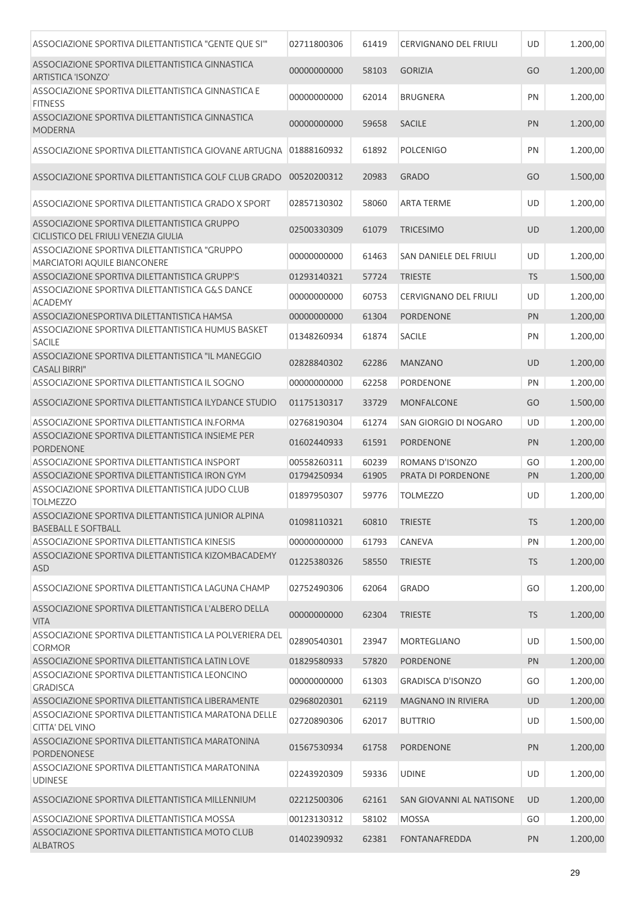| ASSOCIAZIONE SPORTIVA DILETTANTISTICA "GENTE QUE SI""                                | 02711800306 | 61419 | <b>CERVIGNANO DEL FRIULI</b> | UD        | 1.200,00 |
|--------------------------------------------------------------------------------------|-------------|-------|------------------------------|-----------|----------|
| ASSOCIAZIONE SPORTIVA DILETTANTISTICA GINNASTICA<br>ARTISTICA 'ISONZO'               | 00000000000 | 58103 | <b>GORIZIA</b>               | GO        | 1.200,00 |
| ASSOCIAZIONE SPORTIVA DILETTANTISTICA GINNASTICA E<br><b>FITNESS</b>                 | 00000000000 | 62014 | <b>BRUGNERA</b>              | PN        | 1.200,00 |
| ASSOCIAZIONE SPORTIVA DILETTANTISTICA GINNASTICA<br><b>MODERNA</b>                   | 00000000000 | 59658 | <b>SACILE</b>                | PN        | 1.200,00 |
| ASSOCIAZIONE SPORTIVA DILETTANTISTICA GIOVANE ARTUGNA                                | 01888160932 | 61892 | <b>POLCENIGO</b>             | PN        | 1.200,00 |
| ASSOCIAZIONE SPORTIVA DILETTANTISTICA GOLF CLUB GRADO                                | 00520200312 | 20983 | <b>GRADO</b>                 | GO        | 1.500,00 |
| ASSOCIAZIONE SPORTIVA DILETTANTISTICA GRADO X SPORT                                  | 02857130302 | 58060 | <b>ARTA TERME</b>            | UD        | 1.200,00 |
| ASSOCIAZIONE SPORTIVA DILETTANTISTICA GRUPPO<br>CICLISTICO DEL FRIULI VENEZIA GIULIA | 02500330309 | 61079 | <b>TRICESIMO</b>             | UD        | 1.200,00 |
| ASSOCIAZIONE SPORTIVA DILETTANTISTICA "GRUPPO<br>MARCIATORI AQUILE BIANCONERE        | 00000000000 | 61463 | SAN DANIELE DEL FRIULI       | UD        | 1.200,00 |
| ASSOCIAZIONE SPORTIVA DILETTANTISTICA GRUPP'S                                        | 01293140321 | 57724 | <b>TRIESTE</b>               | <b>TS</b> | 1.500,00 |
| ASSOCIAZIONE SPORTIVA DILETTANTISTICA G&S DANCE<br><b>ACADEMY</b>                    | 00000000000 | 60753 | <b>CERVIGNANO DEL FRIULI</b> | UD        | 1.200,00 |
| ASSOCIAZIONESPORTIVA DILETTANTISTICA HAMSA                                           | 00000000000 | 61304 | <b>PORDENONE</b>             | PN        | 1.200,00 |
| ASSOCIAZIONE SPORTIVA DILETTANTISTICA HUMUS BASKET<br><b>SACILE</b>                  | 01348260934 | 61874 | <b>SACILE</b>                | PN        | 1.200,00 |
| ASSOCIAZIONE SPORTIVA DILETTANTISTICA "IL MANEGGIO<br><b>CASALI BIRRI"</b>           | 02828840302 | 62286 | <b>MANZANO</b>               | <b>UD</b> | 1.200,00 |
| ASSOCIAZIONE SPORTIVA DILETTANTISTICA IL SOGNO                                       | 00000000000 | 62258 | PORDENONE                    | PN        | 1.200,00 |
| ASSOCIAZIONE SPORTIVA DILETTANTISTICA ILYDANCE STUDIO                                | 01175130317 | 33729 | <b>MONFALCONE</b>            | GO        | 1.500,00 |
| ASSOCIAZIONE SPORTIVA DILETTANTISTICA IN.FORMA                                       | 02768190304 | 61274 | SAN GIORGIO DI NOGARO        | UD        | 1.200,00 |
| ASSOCIAZIONE SPORTIVA DILETTANTISTICA INSIEME PER<br><b>PORDENONE</b>                | 01602440933 | 61591 | <b>PORDENONE</b>             | PN        | 1.200,00 |
| ASSOCIAZIONE SPORTIVA DILETTANTISTICA INSPORT                                        | 00558260311 | 60239 | ROMANS D'ISONZO              | GO        | 1.200,00 |
| ASSOCIAZIONE SPORTIVA DILETTANTISTICA IRON GYM                                       | 01794250934 | 61905 | PRATA DI PORDENONE           | PN        | 1.200,00 |
| ASSOCIAZIONE SPORTIVA DILETTANTISTICA JUDO CLUB<br><b>TOLMEZZO</b>                   | 01897950307 | 59776 | <b>TOLMEZZO</b>              | UD        | 1.200,00 |
| ASSOCIAZIONE SPORTIVA DILETTANTISTICA JUNIOR ALPINA<br><b>BASEBALL E SOFTBALL</b>    | 01098110321 | 60810 | <b>TRIESTE</b>               | <b>TS</b> | 1.200,00 |
| ASSOCIAZIONE SPORTIVA DILETTANTISTICA KINESIS                                        | 00000000000 | 61793 | CANEVA                       | PN        | 1.200,00 |
| ASSOCIAZIONE SPORTIVA DILETTANTISTICA KIZOMBACADEMY<br><b>ASD</b>                    | 01225380326 | 58550 | <b>TRIESTE</b>               | <b>TS</b> | 1.200,00 |
| ASSOCIAZIONE SPORTIVA DILETTANTISTICA LAGUNA CHAMP                                   | 02752490306 | 62064 | <b>GRADO</b>                 | GO        | 1.200,00 |
| ASSOCIAZIONE SPORTIVA DILETTANTISTICA L'ALBERO DELLA<br><b>VITA</b>                  | 00000000000 | 62304 | <b>TRIESTE</b>               | <b>TS</b> | 1.200,00 |
| ASSOCIAZIONE SPORTIVA DILETTANTISTICA LA POLVERIERA DEL<br><b>CORMOR</b>             | 02890540301 | 23947 | <b>MORTEGLIANO</b>           | <b>UD</b> | 1.500,00 |
| ASSOCIAZIONE SPORTIVA DILETTANTISTICA LATIN LOVE                                     | 01829580933 | 57820 | <b>PORDENONE</b>             | PN        | 1.200,00 |
| ASSOCIAZIONE SPORTIVA DILETTANTISTICA LEONCINO<br><b>GRADISCA</b>                    | 00000000000 | 61303 | <b>GRADISCA D'ISONZO</b>     | GO        | 1.200,00 |
| ASSOCIAZIONE SPORTIVA DILETTANTISTICA LIBERAMENTE                                    | 02968020301 | 62119 | MAGNANO IN RIVIERA           | <b>UD</b> | 1.200,00 |
| ASSOCIAZIONE SPORTIVA DILETTANTISTICA MARATONA DELLE                                 | 02720890306 | 62017 | <b>BUTTRIO</b>               | UD        | 1.500,00 |
| <b>CITTA' DEL VINO</b>                                                               |             |       |                              |           |          |
| ASSOCIAZIONE SPORTIVA DILETTANTISTICA MARATONINA<br>PORDENONESE                      | 01567530934 | 61758 | <b>PORDENONE</b>             | PN        | 1.200,00 |
| ASSOCIAZIONE SPORTIVA DILETTANTISTICA MARATONINA<br><b>UDINESE</b>                   | 02243920309 | 59336 | <b>UDINE</b>                 | UD        | 1.200,00 |
| ASSOCIAZIONE SPORTIVA DILETTANTISTICA MILLENNIUM                                     | 02212500306 | 62161 | SAN GIOVANNI AL NATISONE     | <b>UD</b> | 1.200,00 |
| ASSOCIAZIONE SPORTIVA DILETTANTISTICA MOSSA                                          | 00123130312 | 58102 | <b>MOSSA</b>                 | GO        | 1.200,00 |
| ASSOCIAZIONE SPORTIVA DILETTANTISTICA MOTO CLUB<br><b>ALBATROS</b>                   | 01402390932 | 62381 | <b>FONTANAFREDDA</b>         | PN        | 1.200,00 |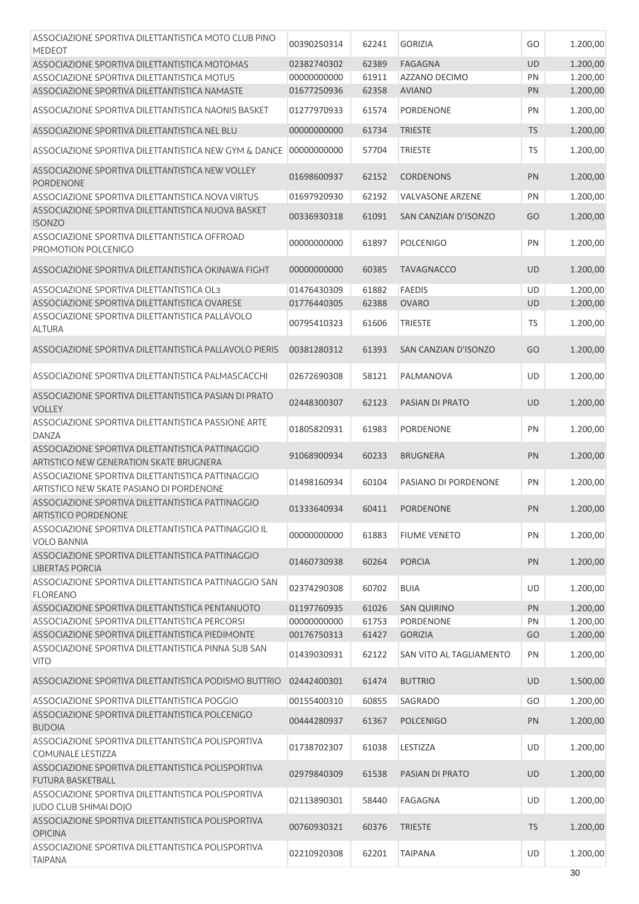| ASSOCIAZIONE SPORTIVA DILETTANTISTICA MOTO CLUB PINO<br><b>MEDEOT</b>                         | 00390250314 | 62241 | <b>GORIZIA</b>          | GO        | 1.200,00 |
|-----------------------------------------------------------------------------------------------|-------------|-------|-------------------------|-----------|----------|
| ASSOCIAZIONE SPORTIVA DILETTANTISTICA MOTOMAS                                                 | 02382740302 | 62389 | <b>FAGAGNA</b>          | <b>UD</b> | 1.200,00 |
| ASSOCIAZIONE SPORTIVA DILETTANTISTICA MOTUS                                                   | 00000000000 | 61911 | AZZANO DECIMO           | PN        | 1.200,00 |
| ASSOCIAZIONE SPORTIVA DILETTANTISTICA NAMASTE                                                 | 01677250936 | 62358 | <b>AVIANO</b>           | PN        | 1.200,00 |
| ASSOCIAZIONE SPORTIVA DILETTANTISTICA NAONIS BASKET                                           | 01277970933 | 61574 | <b>PORDENONE</b>        | PN        | 1.200,00 |
| ASSOCIAZIONE SPORTIVA DILETTANTISTICA NEL BLU                                                 | 00000000000 | 61734 | <b>TRIESTE</b>          | <b>TS</b> | 1.200,00 |
| ASSOCIAZIONE SPORTIVA DILETTANTISTICA NEW GYM & DANCE                                         | 00000000000 | 57704 | <b>TRIESTE</b>          | <b>TS</b> | 1.200,00 |
| ASSOCIAZIONE SPORTIVA DILETTANTISTICA NEW VOLLEY<br>PORDENONE                                 | 01698600937 | 62152 | <b>CORDENONS</b>        | PN        | 1.200,00 |
| ASSOCIAZIONE SPORTIVA DILETTANTISTICA NOVA VIRTUS                                             | 01697920930 | 62192 | <b>VALVASONE ARZENE</b> | PN        | 1.200,00 |
| ASSOCIAZIONE SPORTIVA DILETTANTISTICA NUOVA BASKET<br><b>ISONZO</b>                           | 00336930318 | 61091 | SAN CANZIAN D'ISONZO    | GO        | 1.200,00 |
| ASSOCIAZIONE SPORTIVA DILETTANTISTICA OFFROAD<br>PROMOTION POLCENIGO                          | 00000000000 | 61897 | <b>POLCENIGO</b>        | PN        | 1.200,00 |
| ASSOCIAZIONE SPORTIVA DILETTANTISTICA OKINAWA FIGHT                                           | 00000000000 | 60385 | <b>TAVAGNACCO</b>       | <b>UD</b> | 1.200,00 |
| ASSOCIAZIONE SPORTIVA DILETTANTISTICA OL3                                                     | 01476430309 | 61882 | <b>FAEDIS</b>           | UD        | 1.200,00 |
| ASSOCIAZIONE SPORTIVA DILETTANTISTICA OVARESE                                                 | 01776440305 | 62388 | <b>OVARO</b>            | <b>UD</b> | 1.200,00 |
| ASSOCIAZIONE SPORTIVA DILETTANTISTICA PALLAVOLO<br><b>ALTURA</b>                              | 00795410323 | 61606 | <b>TRIESTE</b>          | TS        | 1.200,00 |
| ASSOCIAZIONE SPORTIVA DILETTANTISTICA PALLAVOLO PIERIS                                        | 00381280312 | 61393 | SAN CANZIAN D'ISONZO    | GO        | 1.200,00 |
| ASSOCIAZIONE SPORTIVA DILETTANTISTICA PALMASCACCHI                                            | 02672690308 | 58121 | PALMANOVA               | UD        | 1.200,00 |
| ASSOCIAZIONE SPORTIVA DILETTANTISTICA PASIAN DI PRATO<br><b>VOLLEY</b>                        | 02448300307 | 62123 | PASIAN DI PRATO         | UD        | 1.200,00 |
| ASSOCIAZIONE SPORTIVA DILETTANTISTICA PASSIONE ARTE<br><b>DANZA</b>                           | 01805820931 | 61983 | <b>PORDENONE</b>        | PN        | 1.200,00 |
| ASSOCIAZIONE SPORTIVA DILETTANTISTICA PATTINAGGIO<br>ARTISTICO NEW GENERATION SKATE BRUGNERA  | 91068900934 | 60233 | <b>BRUGNERA</b>         | PN        | 1.200,00 |
| ASSOCIAZIONE SPORTIVA DILETTANTISTICA PATTINAGGIO<br>ARTISTICO NEW SKATE PASIANO DI PORDENONE | 01498160934 | 60104 | PASIANO DI PORDENONE    | PN        | 1.200,00 |
| ASSOCIAZIONE SPORTIVA DILETTANTISTICA PATTINAGGIO<br><b>ARTISTICO PORDENONE</b>               | 01333640934 | 60411 | PORDENONE               | PN        | 1.200,00 |
| ASSOCIAZIONE SPORTIVA DILETTANTISTICA PATTINAGGIO IL<br><b>VOLO BANNIA</b>                    | 00000000000 | 61883 | <b>FIUME VENETO</b>     | PN        | 1.200,00 |
| ASSOCIAZIONE SPORTIVA DILETTANTISTICA PATTINAGGIO<br><b>LIBERTAS PORCIA</b>                   | 01460730938 | 60264 | <b>PORCIA</b>           | PN        | 1.200,00 |
| ASSOCIAZIONE SPORTIVA DILETTANTISTICA PATTINAGGIO SAN<br><b>FLOREANO</b>                      | 02374290308 | 60702 | <b>BUIA</b>             | UD        | 1.200,00 |
| ASSOCIAZIONE SPORTIVA DILETTANTISTICA PENTANUOTO                                              | 01197760935 | 61026 | <b>SAN QUIRINO</b>      | PN        | 1.200,00 |
| ASSOCIAZIONE SPORTIVA DILETTANTISTICA PERCORSI                                                | 00000000000 | 61753 | <b>PORDENONE</b>        | PN        | 1.200,00 |
| ASSOCIAZIONE SPORTIVA DILETTANTISTICA PIEDIMONTE                                              | 00176750313 | 61427 | <b>GORIZIA</b>          | GO        | 1.200,00 |
| ASSOCIAZIONE SPORTIVA DILETTANTISTICA PINNA SUB SAN<br><b>VITO</b>                            | 01439030931 | 62122 | SAN VITO AL TAGLIAMENTO | PN        | 1.200,00 |
| ASSOCIAZIONE SPORTIVA DILETTANTISTICA PODISMO BUTTRIO                                         | 02442400301 | 61474 | <b>BUTTRIO</b>          | <b>UD</b> | 1.500,00 |
| ASSOCIAZIONE SPORTIVA DILETTANTISTICA POGGIO                                                  | 00155400310 | 60855 | <b>SAGRADO</b>          | GO        | 1.200,00 |
| ASSOCIAZIONE SPORTIVA DILETTANTISTICA POLCENIGO<br><b>BUDOIA</b>                              | 00444280937 | 61367 | <b>POLCENIGO</b>        | PN        | 1.200,00 |
| ASSOCIAZIONE SPORTIVA DILETTANTISTICA POLISPORTIVA<br>COMUNALE LESTIZZA                       | 01738702307 | 61038 | LESTIZZA                | <b>UD</b> | 1.200,00 |
| ASSOCIAZIONE SPORTIVA DILETTANTISTICA POLISPORTIVA<br><b>FUTURA BASKETBALL</b>                | 02979840309 | 61538 | PASIAN DI PRATO         | UD        | 1.200,00 |
| ASSOCIAZIONE SPORTIVA DILETTANTISTICA POLISPORTIVA<br>JUDO CLUB SHIMAI DOJO                   | 02113890301 | 58440 | FAGAGNA                 | UD        | 1.200,00 |
| ASSOCIAZIONE SPORTIVA DILETTANTISTICA POLISPORTIVA<br><b>OPICINA</b>                          | 00760930321 | 60376 | <b>TRIESTE</b>          | <b>TS</b> | 1.200,00 |
| ASSOCIAZIONE SPORTIVA DILETTANTISTICA POLISPORTIVA<br><b>TAIPANA</b>                          | 02210920308 | 62201 | <b>TAIPANA</b>          | <b>UD</b> | 1.200,00 |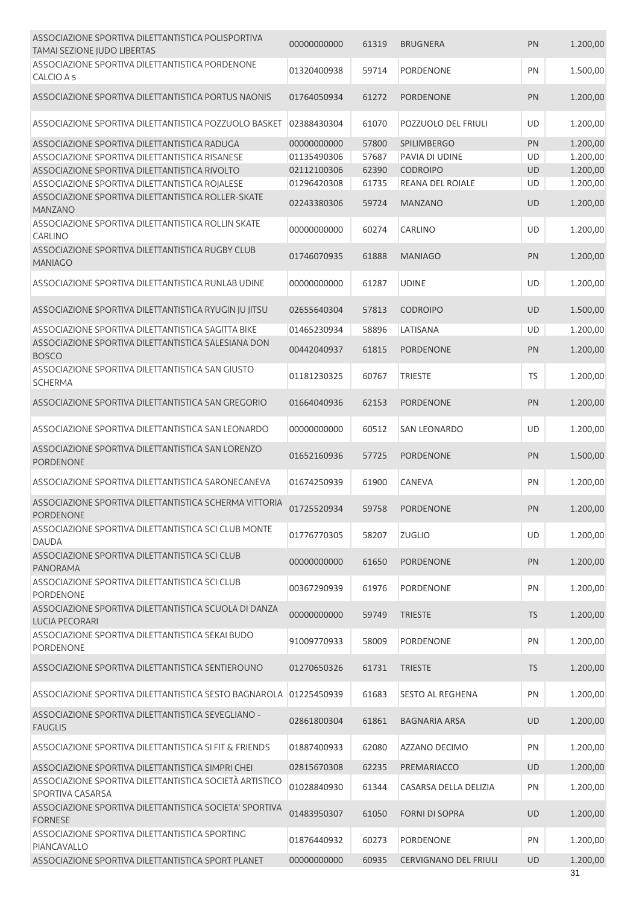| ASSOCIAZIONE SPORTIVA DILETTANTISTICA POLISPORTIVA<br>TAMAI SEZIONE JUDO LIBERTAS                    | 00000000000 | 61319 | <b>BRUGNERA</b>              | PN        | 1.200,00       |
|------------------------------------------------------------------------------------------------------|-------------|-------|------------------------------|-----------|----------------|
| ASSOCIAZIONE SPORTIVA DILETTANTISTICA PORDENONE<br>CALCIO A 5                                        | 01320400938 | 59714 | PORDENONE                    | PN        | 1.500,00       |
| ASSOCIAZIONE SPORTIVA DILETTANTISTICA PORTUS NAONIS                                                  | 01764050934 | 61272 | <b>PORDENONE</b>             | PN        | 1.200,00       |
| ASSOCIAZIONE SPORTIVA DILETTANTISTICA POZZUOLO BASKET                                                | 02388430304 | 61070 | POZZUOLO DEL FRIULI          | UD        | 1.200,00       |
| ASSOCIAZIONE SPORTIVA DILETTANTISTICA RADUGA                                                         | 00000000000 | 57800 | <b>SPILIMBERGO</b>           | PN        | 1.200,00       |
| ASSOCIAZIONE SPORTIVA DILETTANTISTICA RISANESE                                                       | 01135490306 | 57687 | PAVIA DI UDINE               | UD        | 1.200,00       |
| ASSOCIAZIONE SPORTIVA DILETTANTISTICA RIVOLTO                                                        | 02112100306 | 62390 | <b>CODROIPO</b>              | UD        | 1.200,00       |
| ASSOCIAZIONE SPORTIVA DILETTANTISTICA ROJALESE<br>ASSOCIAZIONE SPORTIVA DILETTANTISTICA ROLLER-SKATE | 01296420308 | 61735 | REANA DEL ROIALE             | UD        | 1.200,00       |
| <b>MANZANO</b>                                                                                       | 02243380306 | 59724 | <b>MANZANO</b>               | <b>UD</b> | 1.200,00       |
| ASSOCIAZIONE SPORTIVA DILETTANTISTICA ROLLIN SKATE                                                   |             |       |                              |           |                |
| <b>CARLINO</b>                                                                                       | 00000000000 | 60274 | CARLINO                      | UD        | 1.200,00       |
| ASSOCIAZIONE SPORTIVA DILETTANTISTICA RUGBY CLUB<br><b>MANIAGO</b>                                   | 01746070935 | 61888 | <b>MANIAGO</b>               | PN        | 1.200,00       |
| ASSOCIAZIONE SPORTIVA DILETTANTISTICA RUNLAB UDINE                                                   | 00000000000 | 61287 | <b>UDINE</b>                 | UD        | 1.200,00       |
| ASSOCIAZIONE SPORTIVA DILETTANTISTICA RYUGIN JU JITSU                                                | 02655640304 | 57813 | <b>CODROIPO</b>              | <b>UD</b> | 1.500,00       |
| ASSOCIAZIONE SPORTIVA DILETTANTISTICA SAGITTA BIKE                                                   | 01465230934 | 58896 | LATISANA                     | UD        | 1.200,00       |
| ASSOCIAZIONE SPORTIVA DILETTANTISTICA SALESIANA DON<br><b>BOSCO</b>                                  | 00442040937 | 61815 | <b>PORDENONE</b>             | PN        | 1.200,00       |
| ASSOCIAZIONE SPORTIVA DILETTANTISTICA SAN GIUSTO<br><b>SCHERMA</b>                                   | 01181230325 | 60767 | <b>TRIESTE</b>               | TS        | 1.200,00       |
| ASSOCIAZIONE SPORTIVA DILETTANTISTICA SAN GREGORIO                                                   | 01664040936 | 62153 | <b>PORDENONE</b>             | PN        | 1.200,00       |
| ASSOCIAZIONE SPORTIVA DILETTANTISTICA SAN LEONARDO                                                   | 00000000000 | 60512 | <b>SAN LEONARDO</b>          | UD        | 1.200,00       |
| ASSOCIAZIONE SPORTIVA DILETTANTISTICA SAN LORENZO<br><b>PORDENONE</b>                                | 01652160936 | 57725 | <b>PORDENONE</b>             | PN        | 1.500,00       |
| ASSOCIAZIONE SPORTIVA DILETTANTISTICA SARONECANEVA                                                   | 01674250939 | 61900 | CANEVA                       | PN        | 1.200,00       |
| ASSOCIAZIONE SPORTIVA DILETTANTISTICA SCHERMA VITTORIA<br>PORDENONE                                  | 01725520934 | 59758 | <b>PORDENONE</b>             | <b>PN</b> | 1.200,00       |
| ASSOCIAZIONE SPORTIVA DILETTANTISTICA SCI CLUB MONTE<br><b>DAUDA</b>                                 | 01776770305 | 58207 | <b>ZUGLIO</b>                | UD        | 1.200,00       |
| ASSOCIAZIONE SPORTIVA DILETTANTISTICA SCI CLUB<br>PANORAMA                                           | 00000000000 | 61650 | <b>PORDENONE</b>             | PN        | 1.200,00       |
| ASSOCIAZIONE SPORTIVA DILETTANTISTICA SCI CLUB<br><b>PORDENONE</b>                                   | 00367290939 | 61976 | PORDENONE                    | PN        | 1.200,00       |
| ASSOCIAZIONE SPORTIVA DILETTANTISTICA SCUOLA DI DANZA<br><b>LUCIA PECORARI</b>                       | 00000000000 | 59749 | <b>TRIESTE</b>               | <b>TS</b> | 1.200,00       |
| ASSOCIAZIONE SPORTIVA DILETTANTISTICA SEKAI BUDO<br><b>PORDENONE</b>                                 | 91009770933 | 58009 | PORDENONE                    | PN        | 1.200,00       |
| ASSOCIAZIONE SPORTIVA DILETTANTISTICA SENTIEROUNO                                                    | 01270650326 | 61731 | <b>TRIESTE</b>               | <b>TS</b> | 1.200,00       |
| ASSOCIAZIONE SPORTIVA DILETTANTISTICA SESTO BAGNAROLA                                                | 01225450939 | 61683 | <b>SESTO AL REGHENA</b>      | PN        | 1.200,00       |
| ASSOCIAZIONE SPORTIVA DILETTANTISTICA SEVEGLIANO -<br><b>FAUGLIS</b>                                 | 02861800304 | 61861 | <b>BAGNARIA ARSA</b>         | UD        | 1.200,00       |
| ASSOCIAZIONE SPORTIVA DILETTANTISTICA SI FIT & FRIENDS                                               | 01887400933 | 62080 | AZZANO DECIMO                | PN        | 1.200,00       |
| ASSOCIAZIONE SPORTIVA DILETTANTISTICA SIMPRI CHEI                                                    | 02815670308 | 62235 | PREMARIACCO                  | <b>UD</b> | 1.200,00       |
| ASSOCIAZIONE SPORTIVA DILETTANTISTICA SOCIETÀ ARTISTICO<br>SPORTIVA CASARSA                          | 01028840930 | 61344 | CASARSA DELLA DELIZIA        | PN        | 1.200,00       |
| ASSOCIAZIONE SPORTIVA DILETTANTISTICA SOCIETA' SPORTIVA<br><b>FORNESE</b>                            | 01483950307 | 61050 | <b>FORNI DI SOPRA</b>        | UD        | 1.200,00       |
| ASSOCIAZIONE SPORTIVA DILETTANTISTICA SPORTING<br>PIANCAVALLO                                        | 01876440932 | 60273 | PORDENONE                    | PN        | 1.200,00       |
| ASSOCIAZIONE SPORTIVA DILETTANTISTICA SPORT PLANET                                                   | 00000000000 | 60935 | <b>CERVIGNANO DEL FRIULI</b> | <b>UD</b> | 1.200,00<br>31 |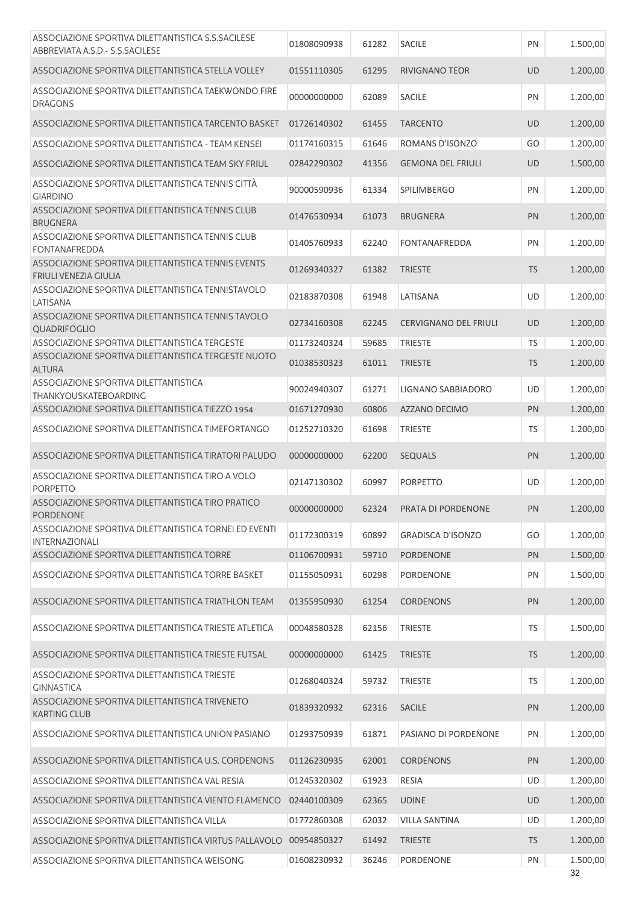| ASSOCIAZIONE SPORTIVA DILETTANTISTICA S.S.SACILESE<br>ABBREVIATA A.S.D. - S.S.SACILESE | 01808090938 | 61282 | <b>SACILE</b>                | PN        | 1.500,00       |
|----------------------------------------------------------------------------------------|-------------|-------|------------------------------|-----------|----------------|
| ASSOCIAZIONE SPORTIVA DILETTANTISTICA STELLA VOLLEY                                    | 01551110305 | 61295 | <b>RIVIGNANO TEOR</b>        | UD        | 1.200,00       |
| ASSOCIAZIONE SPORTIVA DILETTANTISTICA TAEKWONDO FIRE<br><b>DRAGONS</b>                 | 00000000000 | 62089 | <b>SACILE</b>                | PN        | 1.200,00       |
| ASSOCIAZIONE SPORTIVA DILETTANTISTICA TARCENTO BASKET                                  | 01726140302 | 61455 | <b>TARCENTO</b>              | UD        | 1.200,00       |
| ASSOCIAZIONE SPORTIVA DILETTANTISTICA - TEAM KENSEI                                    | 01174160315 | 61646 | ROMANS D'ISONZO              | GO        | 1.200,00       |
| ASSOCIAZIONE SPORTIVA DILETTANTISTICA TEAM SKY FRIUL                                   | 02842290302 | 41356 | <b>GEMONA DEL FRIULI</b>     | <b>UD</b> | 1.500,00       |
| ASSOCIAZIONE SPORTIVA DILETTANTISTICA TENNIS CITTÀ<br><b>GIARDINO</b>                  | 90000590936 | 61334 | <b>SPILIMBERGO</b>           | PN        | 1.200,00       |
| ASSOCIAZIONE SPORTIVA DILETTANTISTICA TENNIS CLUB<br><b>BRUGNERA</b>                   | 01476530934 | 61073 | <b>BRUGNERA</b>              | PN        | 1.200,00       |
| ASSOCIAZIONE SPORTIVA DILETTANTISTICA TENNIS CLUB<br><b>FONTANAFREDDA</b>              | 01405760933 | 62240 | <b>FONTANAFREDDA</b>         | PN        | 1.200,00       |
| ASSOCIAZIONE SPORTIVA DILETTANTISTICA TENNIS EVENTS<br><b>FRIULI VENEZIA GIULIA</b>    | 01269340327 | 61382 | <b>TRIESTE</b>               | <b>TS</b> | 1.200,00       |
| ASSOCIAZIONE SPORTIVA DILETTANTISTICA TENNISTAVOLO<br>LATISANA                         | 02183870308 | 61948 | LATISANA                     | UD        | 1.200,00       |
| ASSOCIAZIONE SPORTIVA DILETTANTISTICA TENNIS TAVOLO<br>QUADRIFOGLIO                    | 02734160308 | 62245 | <b>CERVIGNANO DEL FRIULI</b> | <b>UD</b> | 1.200,00       |
| ASSOCIAZIONE SPORTIVA DILETTANTISTICA TERGESTE                                         | 01173240324 | 59685 | <b>TRIESTE</b>               | <b>TS</b> | 1.200,00       |
| ASSOCIAZIONE SPORTIVA DILETTANTISTICA TERGESTE NUOTO<br><b>ALTURA</b>                  | 01038530323 | 61011 | <b>TRIESTE</b>               | <b>TS</b> | 1.200,00       |
| ASSOCIAZIONE SPORTIVA DILETTANTISTICA<br>THANKYOUSKATEBOARDING                         | 90024940307 | 61271 | LIGNANO SABBIADORO           | UD        | 1.200,00       |
| ASSOCIAZIONE SPORTIVA DILETTANTISTICA TIEZZO 1954                                      | 01671270930 | 60806 | AZZANO DECIMO                | PN        | 1.200,00       |
| ASSOCIAZIONE SPORTIVA DILETTANTISTICA TIMEFORTANGO                                     | 01252710320 | 61698 | <b>TRIESTE</b>               | TS        | 1.200,00       |
| ASSOCIAZIONE SPORTIVA DILETTANTISTICA TIRATORI PALUDO                                  | 00000000000 | 62200 | <b>SEQUALS</b>               | PN        | 1.200,00       |
| ASSOCIAZIONE SPORTIVA DILETTANTISTICA TIRO A VOLO<br><b>PORPETTO</b>                   | 02147130302 | 60997 | <b>PORPETTO</b>              | UD        | 1.200,00       |
| ASSOCIAZIONE SPORTIVA DILETTANTISTICA TIRO PRATICO<br>PORDENONE                        | 00000000000 | 62324 | PRATA DI PORDENONE           | <b>PN</b> | 1.200,00       |
| ASSOCIAZIONE SPORTIVA DILETTANTISTICA TORNEI ED EVENTI<br><b>INTERNAZIONALI</b>        | 01172300319 | 60892 | <b>GRADISCA D'ISONZO</b>     | GO        | 1.200,00       |
| ASSOCIAZIONE SPORTIVA DILETTANTISTICA TORRE                                            | 01106700931 | 59710 | <b>PORDENONE</b>             | PN        | 1.500,00       |
| ASSOCIAZIONE SPORTIVA DILETTANTISTICA TORRE BASKET                                     | 01155050931 | 60298 | PORDENONE                    | PN        | 1.500,00       |
| ASSOCIAZIONE SPORTIVA DILETTANTISTICA TRIATHLON TEAM                                   | 01355950930 | 61254 | <b>CORDENONS</b>             | PN        | 1.200,00       |
| ASSOCIAZIONE SPORTIVA DILETTANTISTICA TRIESTE ATLETICA                                 | 00048580328 | 62156 | <b>TRIESTE</b>               | <b>TS</b> | 1.500,00       |
| ASSOCIAZIONE SPORTIVA DILETTANTISTICA TRIESTE FUTSAL                                   | 00000000000 | 61425 | <b>TRIESTE</b>               | <b>TS</b> | 1.200,00       |
| ASSOCIAZIONE SPORTIVA DILETTANTISTICA TRIESTE<br><b>GINNASTICA</b>                     | 01268040324 | 59732 | <b>TRIESTE</b>               | TS        | 1.200,00       |
| ASSOCIAZIONE SPORTIVA DILETTANTISTICA TRIVENETO<br><b>KARTING CLUB</b>                 | 01839320932 | 62316 | <b>SACILE</b>                | PN        | 1.200,00       |
| ASSOCIAZIONE SPORTIVA DILETTANTISTICA UNION PASIANO                                    | 01293750939 | 61871 | PASIANO DI PORDENONE         | PN        | 1.200,00       |
| ASSOCIAZIONE SPORTIVA DILETTANTISTICA U.S. CORDENONS                                   | 01126230935 | 62001 | <b>CORDENONS</b>             | PN        | 1.200,00       |
| ASSOCIAZIONE SPORTIVA DILETTANTISTICA VAL RESIA                                        | 01245320302 | 61923 | <b>RESIA</b>                 | UD        | 1.200,00       |
| ASSOCIAZIONE SPORTIVA DILETTANTISTICA VIENTO FLAMENCO                                  | 02440100309 | 62365 | <b>UDINE</b>                 | UD        | 1.200,00       |
| ASSOCIAZIONE SPORTIVA DILETTANTISTICA VILLA                                            | 01772860308 | 62032 | <b>VILLA SANTINA</b>         | UD        | 1.200,00       |
| ASSOCIAZIONE SPORTIVA DILETTANTISTICA VIRTUS PALLAVOLO                                 | 00954850327 | 61492 | <b>TRIESTE</b>               | <b>TS</b> | 1.200,00       |
| ASSOCIAZIONE SPORTIVA DILETTANTISTICA WEISONG                                          | 01608230932 | 36246 | PORDENONE                    | PN        | 1.500,00<br>32 |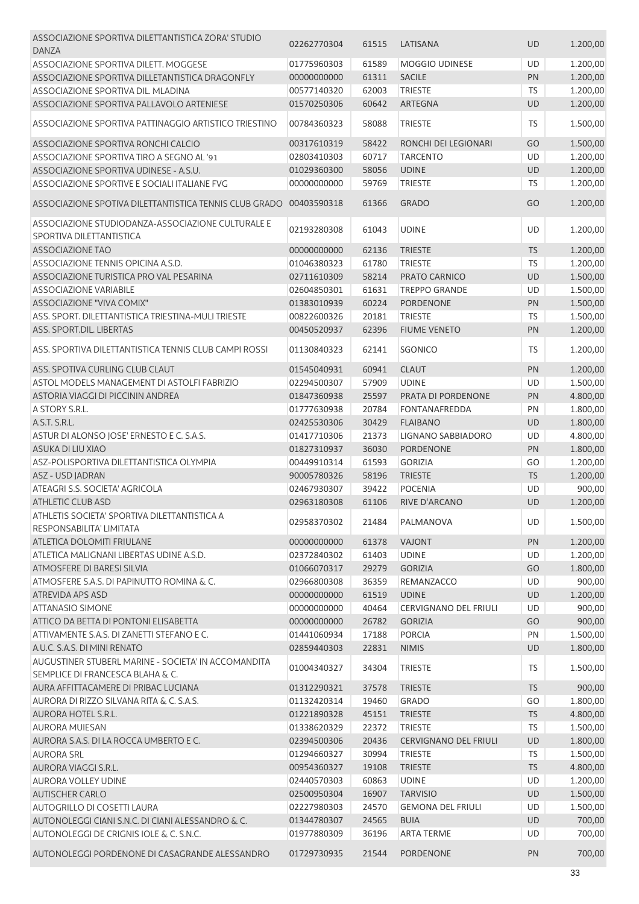| ASSOCIAZIONE SPORTIVA DILETTANTISTICA ZORA' STUDIO<br><b>DANZA</b>                      | 02262770304 | 61515 | LATISANA                     | <b>UD</b> | 1.200,00 |
|-----------------------------------------------------------------------------------------|-------------|-------|------------------------------|-----------|----------|
| ASSOCIAZIONE SPORTIVA DILETT. MOGGESE                                                   | 01775960303 | 61589 | <b>MOGGIO UDINESE</b>        | UD        | 1.200,00 |
| ASSOCIAZIONE SPORTIVA DILLETANTISTICA DRAGONFLY                                         | 00000000000 | 61311 | <b>SACILE</b>                | PN        | 1.200,00 |
| ASSOCIAZIONE SPORTIVA DIL. MLADINA                                                      | 00577140320 | 62003 | <b>TRIESTE</b>               | TS        | 1.200,00 |
| ASSOCIAZIONE SPORTIVA PALLAVOLO ARTENIESE                                               | 01570250306 | 60642 | ARTEGNA                      | UD        | 1.200,00 |
| ASSOCIAZIONE SPORTIVA PATTINAGGIO ARTISTICO TRIESTINO                                   | 00784360323 | 58088 | <b>TRIESTE</b>               | TS        | 1.500,00 |
|                                                                                         |             |       |                              |           |          |
| ASSOCIAZIONE SPORTIVA RONCHI CALCIO                                                     | 00317610319 | 58422 | RONCHI DEI LEGIONARI         | GO        | 1.500,00 |
| ASSOCIAZIONE SPORTIVA TIRO A SEGNO AL '91                                               | 02803410303 | 60717 | <b>TARCENTO</b>              | UD        | 1.200,00 |
| ASSOCIAZIONE SPORTIVA UDINESE - A.S.U.                                                  | 01029360300 | 58056 | <b>UDINE</b>                 | <b>UD</b> | 1.200,00 |
| ASSOCIAZIONE SPORTIVE E SOCIALI ITALIANE FVG                                            | 00000000000 | 59769 | <b>TRIESTE</b>               | <b>TS</b> | 1.200,00 |
| ASSOCIAZIONE SPOTIVA DILETTANTISTICA TENNIS CLUB GRADO                                  | 00403590318 | 61366 | <b>GRADO</b>                 | GO        | 1.200,00 |
| ASSOCIAZIONE STUDIODANZA-ASSOCIAZIONE CULTURALE E<br>SPORTIVA DILETTANTISTICA           | 02193280308 | 61043 | <b>UDINE</b>                 | UD        | 1.200,00 |
| <b>ASSOCIAZIONE TAO</b>                                                                 | 00000000000 | 62136 | <b>TRIESTE</b>               | <b>TS</b> | 1.200,00 |
| ASSOCIAZIONE TENNIS OPICINA A.S.D.                                                      | 01046380323 | 61780 | <b>TRIESTE</b>               | TS        | 1.200,00 |
| ASSOCIAZIONE TURISTICA PRO VAL PESARINA                                                 | 02711610309 | 58214 | PRATO CARNICO                | UD        | 1.500,00 |
| <b>ASSOCIAZIONE VARIABILE</b>                                                           | 02604850301 | 61631 | <b>TREPPO GRANDE</b>         | <b>UD</b> | 1.500,00 |
| ASSOCIAZIONE "VIVA COMIX"                                                               | 01383010939 | 60224 | <b>PORDENONE</b>             | PN        | 1.500,00 |
| ASS. SPORT. DILETTANTISTICA TRIESTINA-MULI TRIESTE                                      | 00822600326 | 20181 | <b>TRIESTE</b>               | TS        | 1.500,00 |
| ASS. SPORT.DIL. LIBERTAS                                                                | 00450520937 | 62396 | <b>FIUME VENETO</b>          | PN        | 1.200,00 |
|                                                                                         |             |       |                              |           |          |
| ASS. SPORTIVA DILETTANTISTICA TENNIS CLUB CAMPI ROSSI                                   | 01130840323 | 62141 | SGONICO                      | TS        | 1.200,00 |
| ASS. SPOTIVA CURLING CLUB CLAUT                                                         | 01545040931 | 60941 | <b>CLAUT</b>                 | PN        | 1.200,00 |
| ASTOL MODELS MANAGEMENT DI ASTOLFI FABRIZIO                                             | 02294500307 | 57909 | <b>UDINE</b>                 | UD        | 1.500,00 |
| ASTORIA VIAGGI DI PICCININ ANDREA                                                       | 01847360938 | 25597 | PRATA DI PORDENONE           | PN        | 4.800,00 |
| A STORY S.R.L.                                                                          | 01777630938 | 20784 | <b>FONTANAFREDDA</b>         | PN        | 1.800,00 |
| A.S.T. S.R.L.                                                                           | 02425530306 | 30429 | <b>FLAIBANO</b>              | UD        | 1.800,00 |
| ASTUR DI ALONSO JOSE' ERNESTO E C. S.A.S.                                               | 01417710306 | 21373 | LIGNANO SABBIADORO           | UD        | 4.800,00 |
| ASUKA DI LIU XIAO                                                                       | 01827310937 | 36030 | <b>PORDENONE</b>             | <b>PN</b> | 1.800,00 |
| ASZ-POLISPORTIVA DILETTANTISTICA OLYMPIA                                                | 00449910314 | 61593 | <b>GORIZIA</b>               | GO        | 1.200,00 |
| ASZ - USD JADRAN                                                                        | 90005780326 | 58196 | <b>TRIESTE</b>               | <b>TS</b> | 1.200,00 |
| ATEAGRI S.S. SOCIETA' AGRICOLA                                                          | 02467930307 | 39422 | <b>POCENIA</b>               | UD        | 900,00   |
| <b>ATHLETIC CLUB ASD</b>                                                                | 02963180308 | 61106 | RIVE D'ARCANO                | <b>UD</b> | 1.200,00 |
| ATHLETIS SOCIETA' SPORTIVA DILETTANTISTICA A                                            | 02958370302 | 21484 | PALMANOVA                    | UD        | 1.500,00 |
| RESPONSABILITA' LIMITATA                                                                |             |       |                              |           |          |
| ATLETICA DOLOMITI FRIULANE                                                              | 00000000000 | 61378 | VAJONT                       | PN        | 1.200,00 |
| ATLETICA MALIGNANI LIBERTAS UDINE A.S.D.                                                | 02372840302 | 61403 | <b>UDINE</b>                 | UD        | 1.200,00 |
| ATMOSFERE DI BARESI SILVIA                                                              | 01066070317 | 29279 | <b>GORIZIA</b>               | GO        | 1.800,00 |
| ATMOSFERE S.A.S. DI PAPINUTTO ROMINA & C.                                               | 02966800308 | 36359 | REMANZACCO                   | UD        | 900,00   |
| <b>ATREVIDA APS ASD</b>                                                                 | 00000000000 | 61519 | <b>UDINE</b>                 | <b>UD</b> | 1.200,00 |
| <b>ATTANASIO SIMONE</b>                                                                 | 00000000000 | 40464 | <b>CERVIGNANO DEL FRIULI</b> | <b>UD</b> | 900,00   |
| ATTICO DA BETTA DI PONTONI ELISABETTA                                                   | 00000000000 | 26782 | <b>GORIZIA</b>               | GO        | 900,00   |
| ATTIVAMENTE S.A.S. DI ZANETTI STEFANO E C.                                              | 01441060934 | 17188 | <b>PORCIA</b>                | PN        | 1.500,00 |
| A.U.C. S.A.S. DI MINI RENATO                                                            | 02859440303 | 22831 | <b>NIMIS</b>                 | <b>UD</b> | 1.800,00 |
| AUGUSTINER STUBERL MARINE - SOCIETA' IN ACCOMANDITA<br>SEMPLICE DI FRANCESCA BLAHA & C. | 01004340327 | 34304 | <b>TRIESTE</b>               | <b>TS</b> | 1.500,00 |
| AURA AFFITTACAMERE DI PRIBAC LUCIANA                                                    | 01312290321 | 37578 | <b>TRIESTE</b>               | <b>TS</b> | 900,00   |
| AURORA DI RIZZO SILVANA RITA & C. S.A.S.                                                | 01132420314 | 19460 | <b>GRADO</b>                 | GO        | 1.800,00 |
| AURORA HOTEL S.R.L.                                                                     | 01221890328 | 45151 | <b>TRIESTE</b>               | <b>TS</b> | 4.800,00 |
| <b>AURORA MUIESAN</b>                                                                   | 01338620329 | 22372 | TRIESTE                      | <b>TS</b> | 1.500,00 |
| AURORA S.A.S. DI LA ROCCA UMBERTO E C.                                                  | 02394500306 | 20436 | <b>CERVIGNANO DEL FRIULI</b> | UD        | 1.800,00 |
| <b>AURORA SRL</b>                                                                       | 01294660327 | 30994 | TRIESTE                      | <b>TS</b> | 1.500,00 |
| AURORA VIAGGI S.R.L.                                                                    | 00954360327 | 19108 | <b>TRIESTE</b>               | <b>TS</b> | 4.800,00 |
| <b>AURORA VOLLEY UDINE</b>                                                              | 02440570303 | 60863 | <b>UDINE</b>                 | UD        | 1.200,00 |
| <b>AUTISCHER CARLO</b>                                                                  | 02500950304 | 16907 | <b>TARVISIO</b>              | <b>UD</b> | 1.500,00 |
| AUTOGRILLO DI COSETTI LAURA                                                             | 02227980303 | 24570 | <b>GEMONA DEL FRIULI</b>     | UD        | 1.500,00 |
| AUTONOLEGGI CIANI S.N.C. DI CIANI ALESSANDRO & C.                                       | 01344780307 | 24565 | <b>BUIA</b>                  | <b>UD</b> | 700,00   |
| AUTONOLEGGI DE CRIGNIS IOLE & C. S.N.C.                                                 | 01977880309 | 36196 | <b>ARTA TERME</b>            | <b>UD</b> | 700,00   |
| AUTONOLEGGI PORDENONE DI CASAGRANDE ALESSANDRO                                          | 01729730935 | 21544 | <b>PORDENONE</b>             | <b>PN</b> | 700,00   |
|                                                                                         |             |       |                              |           |          |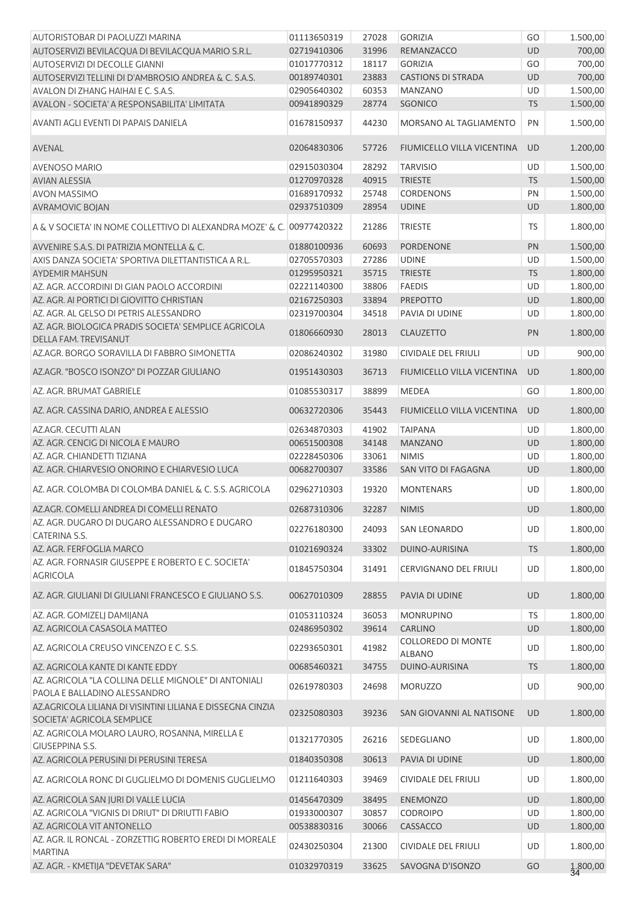| AUTORISTOBAR DI PAOLUZZI MARINA                                                          | 01113650319 | 27028 | <b>GORIZIA</b>                      | GO        | 1.500,00       |
|------------------------------------------------------------------------------------------|-------------|-------|-------------------------------------|-----------|----------------|
| AUTOSERVIZI BEVILACQUA DI BEVILACQUA MARIO S.R.L.                                        | 02719410306 | 31996 | REMANZACCO                          | <b>UD</b> | 700,00         |
| <b>AUTOSERVIZI DI DECOLLE GIANNI</b>                                                     | 01017770312 | 18117 | <b>GORIZIA</b>                      | GO        | 700,00         |
| AUTOSERVIZI TELLINI DI D'AMBROSIO ANDREA & C. S.A.S.                                     | 00189740301 | 23883 | <b>CASTIONS DI STRADA</b>           | <b>UD</b> | 700,00         |
| AVALON DI ZHANG HAIHAI E C. S.A.S.                                                       | 02905640302 | 60353 | <b>MANZANO</b>                      | UD        | 1.500,00       |
| AVALON - SOCIETA' A RESPONSABILITA' LIMITATA                                             | 00941890329 | 28774 | SGONICO                             | <b>TS</b> | 1.500,00       |
| AVANTI AGLI EVENTI DI PAPAIS DANIELA                                                     | 01678150937 | 44230 | MORSANO AL TAGLIAMENTO              | PN        | 1.500,00       |
| AVENAL                                                                                   | 02064830306 | 57726 | FIUMICELLO VILLA VICENTINA          | <b>UD</b> | 1.200,00       |
| AVENOSO MARIO                                                                            | 02915030304 | 28292 | <b>TARVISIO</b>                     | UD        | 1.500,00       |
| <b>AVIAN ALESSIA</b>                                                                     | 01270970328 | 40915 | <b>TRIESTE</b>                      | <b>TS</b> | 1.500,00       |
| <b>AVON MASSIMO</b>                                                                      | 01689170932 | 25748 | CORDENONS                           | PN        | 1.500,00       |
| <b>AVRAMOVIC BOJAN</b>                                                                   | 02937510309 | 28954 | <b>UDINE</b>                        | <b>UD</b> | 1.800,00       |
| A & V SOCIETA' IN NOME COLLETTIVO DI ALEXANDRA MOZE' & C.                                | 00977420322 | 21286 | <b>TRIESTE</b>                      | TS        | 1.800,00       |
| AVVENIRE S.A.S. DI PATRIZIA MONTELLA & C.                                                | 01880100936 | 60693 | <b>PORDENONE</b>                    | PN        | 1.500,00       |
| AXIS DANZA SOCIETA' SPORTIVA DILETTANTISTICA A R.L.                                      | 02705570303 | 27286 | <b>UDINE</b>                        | UD        | 1.500,00       |
| <b>AYDEMIR MAHSUN</b>                                                                    | 01295950321 | 35715 | <b>TRIESTE</b>                      | <b>TS</b> | 1.800,00       |
| AZ. AGR. ACCORDINI DI GIAN PAOLO ACCORDINI                                               | 02221140300 | 38806 | <b>FAEDIS</b>                       | UD        | 1.800,00       |
| AZ. AGR. AI PORTICI DI GIOVITTO CHRISTIAN                                                | 02167250303 | 33894 | <b>PREPOTTO</b>                     | UD        | 1.800,00       |
| AZ. AGR. AL GELSO DI PETRIS ALESSANDRO                                                   | 02319700304 | 34518 | PAVIA DI UDINE                      | UD        | 1.800,00       |
| AZ. AGR. BIOLOGICA PRADIS SOCIETA' SEMPLICE AGRICOLA<br><b>DELLA FAM. TREVISANUT</b>     | 01806660930 | 28013 | <b>CLAUZETTO</b>                    | PN        | 1.800,00       |
| AZ.AGR. BORGO SORAVILLA DI FABBRO SIMONETTA                                              | 02086240302 | 31980 | CIVIDALE DEL FRIULI                 | <b>UD</b> | 900,00         |
| AZ.AGR. "BOSCO ISONZO" DI POZZAR GIULIANO                                                | 01951430303 | 36713 | FIUMICELLO VILLA VICENTINA          | <b>UD</b> | 1.800,00       |
| AZ. AGR. BRUMAT GABRIELE                                                                 | 01085530317 | 38899 | MEDEA                               | GO        | 1.800,00       |
| AZ. AGR. CASSINA DARIO, ANDREA E ALESSIO                                                 | 00632720306 | 35443 | FIUMICELLO VILLA VICENTINA          | <b>UD</b> | 1.800,00       |
| AZ.AGR. CECUTTI ALAN                                                                     | 02634870303 | 41902 | <b>TAIPANA</b>                      | UD        | 1.800,00       |
| AZ. AGR. CENCIG DI NICOLA E MAURO                                                        | 00651500308 | 34148 | <b>MANZANO</b>                      | UD        | 1.800,00       |
| AZ. AGR. CHIANDETTI TIZIANA                                                              | 02228450306 | 33061 | <b>NIMIS</b>                        | UD        | 1.800,00       |
| AZ. AGR. CHIARVESIO ONORINO E CHIARVESIO LUCA                                            | 00682700307 | 33586 | SAN VITO DI FAGAGNA                 | <b>UD</b> | 1.800,00       |
| AZ. AGR. COLOMBA DI COLOMBA DANIEL & C. S.S. AGRICOLA                                    | 02962710303 | 19320 | <b>MONTENARS</b>                    | UD        | 1.800,00       |
| AZ.AGR. COMELLI ANDREA DI COMELLI RENATO                                                 | 02687310306 | 32287 | <b>NIMIS</b>                        | <b>UD</b> | 1.800,00       |
| AZ. AGR. DUGARO DI DUGARO ALESSANDRO E DUGARO                                            | 02276180300 | 24093 |                                     |           |                |
| CATERINA S.S.                                                                            |             |       | <b>SAN LEONARDO</b>                 | UD        | 1.800,00       |
| AZ. AGR. FERFOGLIA MARCO                                                                 | 01021690324 | 33302 | DUINO-AURISINA                      | <b>TS</b> | 1.800,00       |
| AZ, AGR, FORNASIR GIUSEPPE E ROBERTO E C. SOCIETA'<br><b>AGRICOLA</b>                    | 01845750304 | 31491 | CERVIGNANO DEL FRIULI               | <b>UD</b> | 1.800,00       |
| AZ, AGR, GIULIANI DI GIULIANI FRANCESCO E GIULIANO S.S.                                  | 00627010309 | 28855 | PAVIA DI UDINE                      | <b>UD</b> | 1.800,00       |
| AZ. AGR. GOMIZELJ DAMIJANA                                                               | 01053110324 | 36053 | MONRUPINO                           | <b>TS</b> | 1.800,00       |
| AZ. AGRICOLA CASASOLA MATTEO                                                             | 02486950302 | 39614 | CARLINO                             | UD        | 1.800,00       |
| AZ. AGRICOLA CREUSO VINCENZO E C. S.S.                                                   | 02293650301 | 41982 | COLLOREDO DI MONTE<br><b>ALBANO</b> | UD        | 1.800,00       |
| AZ. AGRICOLA KANTE DI KANTE EDDY                                                         | 00685460321 | 34755 | DUINO-AURISINA                      | <b>TS</b> | 1.800,00       |
| AZ. AGRICOLA "LA COLLINA DELLE MIGNOLE" DI ANTONIALI<br>PAOLA E BALLADINO ALESSANDRO     | 02619780303 | 24698 | <b>MORUZZO</b>                      | UD        | 900,00         |
| AZ.AGRICOLA LILIANA DI VISINTINI LILIANA E DISSEGNA CINZIA<br>SOCIETA' AGRICOLA SEMPLICE | 02325080303 | 39236 | SAN GIOVANNI AL NATISONE            | <b>UD</b> | 1.800,00       |
| AZ. AGRICOLA MOLARO LAURO, ROSANNA, MIRELLA E                                            | 01321770305 | 26216 | SEDEGLIANO                          | UD        | 1.800,00       |
| <b>GIUSEPPINA S.S.</b><br>AZ. AGRICOLA PERUSINI DI PERUSINI TERESA                       | 01840350308 | 30613 | PAVIA DI UDINE                      | <b>UD</b> | 1.800,00       |
| AZ. AGRICOLA RONC DI GUGLIELMO DI DOMENIS GUGLIELMO                                      | 01211640303 | 39469 | CIVIDALE DEL FRIULI                 | <b>UD</b> | 1.800,00       |
| AZ. AGRICOLA SAN JURI DI VALLE LUCIA                                                     | 01456470309 | 38495 | <b>ENEMONZO</b>                     | UD        | 1.800,00       |
| AZ. AGRICOLA "VIGNIS DI DRIUT" DI DRIUTTI FABIO                                          | 01933000307 | 30857 | <b>CODROIPO</b>                     | <b>UD</b> | 1.800,00       |
| AZ. AGRICOLA VIT ANTONELLO                                                               | 00538830316 | 30066 | CASSACCO                            | <b>UD</b> | 1.800,00       |
| AZ. AGR. IL RONCAL - ZORZETTIG ROBERTO EREDI DI MOREALE<br><b>MARTINA</b>                | 02430250304 | 21300 | CIVIDALE DEL FRIULI                 | UD        | 1.800,00       |
| AZ. AGR. - KMETIJA "DEVETAK SARA"                                                        | 01032970319 | 33625 | SAVOGNA D'ISONZO                    | GO        | 1.800,00<br>34 |
|                                                                                          |             |       |                                     |           |                |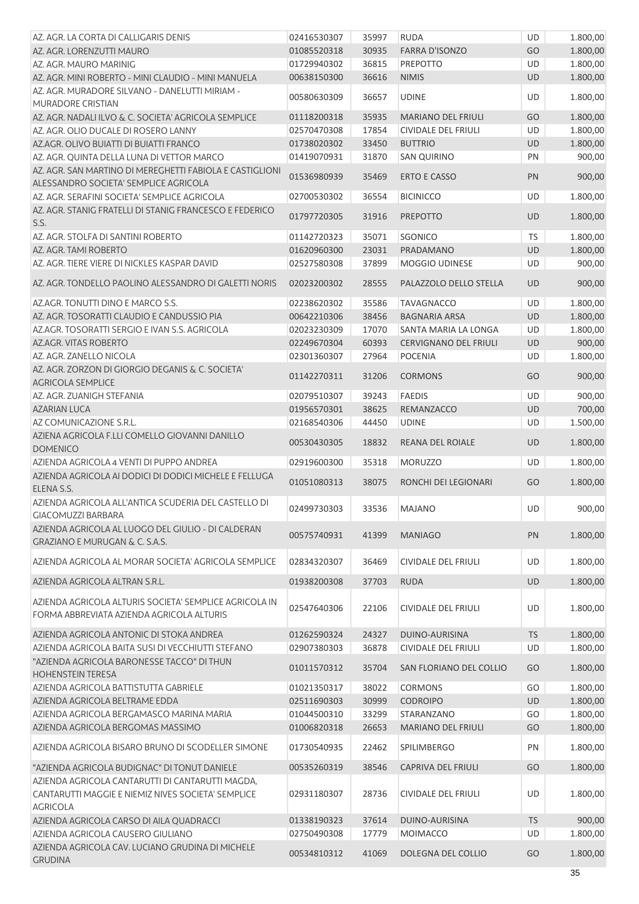| AZ. AGR. LA CORTA DI CALLIGARIS DENIS                                                               | 02416530307 | 35997 | <b>RUDA</b>                  | UD        | 1.800,00 |
|-----------------------------------------------------------------------------------------------------|-------------|-------|------------------------------|-----------|----------|
| AZ. AGR. LORENZUTTI MAURO                                                                           | 01085520318 | 30935 | <b>FARRA D'ISONZO</b>        | GO        | 1.800,00 |
| AZ. AGR. MAURO MARINIG                                                                              | 01729940302 | 36815 | <b>PREPOTTO</b>              | UD        | 1.800,00 |
| AZ. AGR. MINI ROBERTO - MINI CLAUDIO - MINI MANUELA                                                 | 00638150300 | 36616 | <b>NIMIS</b>                 | <b>UD</b> | 1.800,00 |
| AZ. AGR. MURADORE SILVANO - DANELUTTI MIRIAM -<br><b>MURADORE CRISTIAN</b>                          | 00580630309 | 36657 | <b>UDINE</b>                 | UD        | 1.800,00 |
| AZ. AGR. NADALI ILVO & C. SOCIETA' AGRICOLA SEMPLICE                                                | 01118200318 | 35935 | <b>MARIANO DEL FRIULI</b>    | GO        | 1.800,00 |
| AZ. AGR. OLIO DUCALE DI ROSERO LANNY                                                                | 02570470308 | 17854 | <b>CIVIDALE DEL FRIULI</b>   | UD        | 1.800,00 |
| AZ.AGR. OLIVO BUIATTI DI BUIATTI FRANCO                                                             | 01738020302 | 33450 | <b>BUTTRIO</b>               | UD        | 1.800,00 |
| AZ. AGR. QUINTA DELLA LUNA DI VETTOR MARCO                                                          | 01419070931 | 31870 | <b>SAN QUIRINO</b>           | PN        | 900,00   |
| AZ. AGR. SAN MARTINO DI MEREGHETTI FABIOLA E CASTIGLIONI<br>ALESSANDRO SOCIETA' SEMPLICE AGRICOLA   | 01536980939 | 35469 | <b>ERTO E CASSO</b>          | PN        | 900,00   |
| AZ. AGR. SERAFINI SOCIETA' SEMPLICE AGRICOLA                                                        | 02700530302 | 36554 | <b>BICINICCO</b>             | UD        | 1.800,00 |
| AZ. AGR. STANIG FRATELLI DI STANIG FRANCESCO E FEDERICO<br>S.S.                                     | 01797720305 | 31916 | <b>PREPOTTO</b>              | <b>UD</b> | 1.800,00 |
| AZ, AGR, STOLFA DI SANTINI ROBERTO                                                                  | 01142720323 | 35071 | SGONICO                      | <b>TS</b> | 1.800,00 |
| AZ. AGR. TAMI ROBERTO                                                                               | 01620960300 | 23031 | PRADAMANO                    | UD        | 1.800,00 |
| AZ. AGR. TIERE VIERE DI NICKLES KASPAR DAVID                                                        | 02527580308 | 37899 | MOGGIO UDINESE               | UD        | 900,00   |
| AZ. AGR. TONDELLO PAOLINO ALESSANDRO DI GALETTI NORIS                                               | 02023200302 | 28555 | PALAZZOLO DELLO STELLA       | <b>UD</b> | 900,00   |
| AZ.AGR. TONUTTI DINO E MARCO S.S.                                                                   | 02238620302 | 35586 | <b>TAVAGNACCO</b>            | UD        | 1.800,00 |
| AZ. AGR. TOSORATTI CLAUDIO E CANDUSSIO PIA                                                          | 00642210306 | 38456 | <b>BAGNARIA ARSA</b>         | <b>UD</b> | 1.800,00 |
| AZ.AGR. TOSORATTI SERGIO E IVAN S.S. AGRICOLA                                                       | 02023230309 | 17070 | SANTA MARIA LA LONGA         | UD        | 1.800,00 |
| AZ.AGR. VITAS ROBERTO                                                                               | 02249670304 | 60393 | <b>CERVIGNANO DEL FRIULI</b> | UD        | 900,00   |
| AZ. AGR. ZANELLO NICOLA                                                                             | 02301360307 | 27964 | <b>POCENIA</b>               | UD        | 1.800,00 |
| AZ. AGR. ZORZON DI GIORGIO DEGANIS & C. SOCIETA'<br><b>AGRICOLA SEMPLICE</b>                        | 01142270311 | 31206 | <b>CORMONS</b>               | GO        | 900,00   |
| AZ. AGR. ZUANIGH STEFANIA                                                                           | 02079510307 | 39243 | <b>FAEDIS</b>                | <b>UD</b> | 900,00   |
| <b>AZARIAN LUCA</b>                                                                                 | 01956570301 | 38625 | <b>REMANZACCO</b>            | UD        | 700,00   |
| AZ COMUNICAZIONE S.R.L.                                                                             | 02168540306 | 44450 | <b>UDINE</b>                 | UD        | 1.500,00 |
| AZIENA AGRICOLA F.LLI COMELLO GIOVANNI DANILLO<br><b>DOMENICO</b>                                   | 00530430305 | 18832 | REANA DEL ROIALE             | <b>UD</b> | 1.800,00 |
| AZIENDA AGRICOLA 4 VENTI DI PUPPO ANDREA                                                            | 02919600300 | 35318 | <b>MORUZZO</b>               | UD        | 1.800,00 |
| AZIENDA AGRICOLA AI DODICI DI DODICI MICHELE E FELLUGA<br>ELENA S.S.                                | 01051080313 | 38075 | RONCHI DEI LEGIONARI         | GO        | 1.800,00 |
| AZIENDA AGRICOLA ALL'ANTICA SCUDERIA DEL CASTELLO DI<br><b>GIACOMUZZI BARBARA</b>                   | 02499730303 | 33536 | <b>MAJANO</b>                | UD        | 900,00   |
| AZIENDA AGRICOLA AL LUOGO DEL GIULIO - DI CALDERAN<br><b>GRAZIANO E MURUGAN &amp; C. S.A.S.</b>     | 00575740931 | 41399 | <b>MANIAGO</b>               | PN        | 1.800,00 |
| AZIENDA AGRICOLA AL MORAR SOCIETA' AGRICOLA SEMPLICE                                                | 02834320307 | 36469 | CIVIDALE DEL FRIULI          | UD        | 1.800,00 |
| AZIENDA AGRICOLA ALTRAN S.R.L.                                                                      | 01938200308 | 37703 | <b>RUDA</b>                  | UD        | 1.800,00 |
| AZIENDA AGRICOLA ALTURIS SOCIETA' SEMPLICE AGRICOLA IN<br>FORMA ABBREVIATA AZIENDA AGRICOLA ALTURIS | 02547640306 | 22106 | CIVIDALE DEL FRIULI          | UD        | 1.800,00 |
|                                                                                                     |             |       |                              |           |          |
| AZIENDA AGRICOLA ANTONIC DI STOKA ANDREA                                                            | 01262590324 | 24327 | <b>DUINO-AURISINA</b>        | <b>TS</b> | 1.800,00 |
| AZIENDA AGRICOLA BAITA SUSI DI VECCHIUTTI STEFANO                                                   | 02907380303 | 36878 | CIVIDALE DEL FRIULI          | UD        | 1.800,00 |
| "AZIENDA AGRICOLA BARONESSE TACCO" DI THUN<br><b>HOHENSTEIN TERESA</b>                              | 01011570312 | 35704 | SAN FLORIANO DEL COLLIO      | GO        | 1.800,00 |
| AZIENDA AGRICOLA BATTISTUTTA GABRIELE                                                               | 01021350317 | 38022 | <b>CORMONS</b>               | GO        | 1.800,00 |
| AZIENDA AGRICOLA BELTRAME EDDA                                                                      | 02511690303 | 30999 | <b>CODROIPO</b>              | <b>UD</b> | 1.800,00 |
| AZIENDA AGRICOLA BERGAMASCO MARINA MARIA                                                            | 01044500310 | 33299 | STARANZANO                   | GO        | 1.800,00 |
| AZIENDA AGRICOLA BERGOMAS MASSIMO                                                                   | 01006820318 | 26653 | <b>MARIANO DEL FRIULI</b>    | GO        | 1.800,00 |
| AZIENDA AGRICOLA BISARO BRUNO DI SCODELLER SIMONE                                                   | 01730540935 | 22462 | <b>SPILIMBERGO</b>           | PN        | 1.800,00 |
| "AZIENDA AGRICOLA BUDIGNAC" DI TONUT DANIELE                                                        | 00535260319 | 38546 | CAPRIVA DEL FRIULI           | GO        | 1.800,00 |
| AZIENDA AGRICOLA CANTARUTTI DI CANTARUTTI MAGDA,                                                    |             |       |                              |           |          |
| CANTARUTTI MAGGIE E NIEMIZ NIVES SOCIETA' SEMPLICE<br><b>AGRICOLA</b>                               | 02931180307 | 28736 | CIVIDALE DEL FRIULI          | UD        | 1.800,00 |
| AZIENDA AGRICOLA CARSO DI AILA QUADRACCI                                                            | 01338190323 | 37614 | DUINO-AURISINA               | <b>TS</b> | 900,00   |
| AZIENDA AGRICOLA CAUSERO GIULIANO                                                                   | 02750490308 | 17779 | <b>MOIMACCO</b>              | UD        | 1.800,00 |
| AZIENDA AGRICOLA CAV. LUCIANO GRUDINA DI MICHELE                                                    | 00534810312 | 41069 | DOLEGNA DEL COLLIO           |           | 1.800,00 |
| <b>GRUDINA</b>                                                                                      |             |       |                              | GO        |          |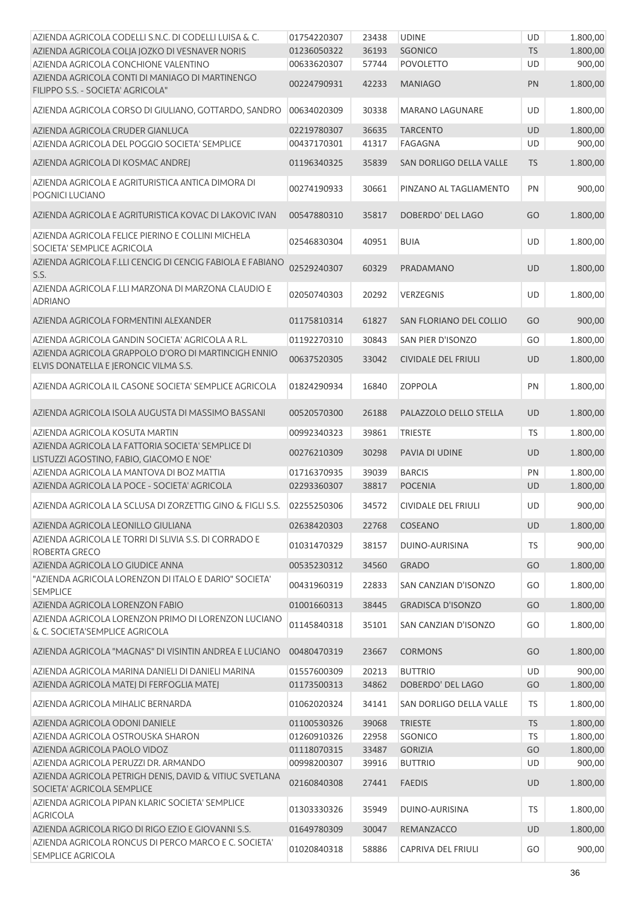| AZIENDA AGRICOLA CODELLI S.N.C. DI CODELLI LUISA & C.                                         | 01754220307 | 23438 | <b>UDINE</b>               | UD        | 1.800,00 |
|-----------------------------------------------------------------------------------------------|-------------|-------|----------------------------|-----------|----------|
| AZIENDA AGRICOLA COLJA JOZKO DI VESNAVER NORIS                                                | 01236050322 | 36193 | <b>SGONICO</b>             | <b>TS</b> | 1.800,00 |
| AZIENDA AGRICOLA CONCHIONE VALENTINO                                                          | 00633620307 | 57744 | <b>POVOLETTO</b>           | UD        | 900,00   |
| AZIENDA AGRICOLA CONTI DI MANIAGO DI MARTINENGO<br>FILIPPO S.S. - SOCIETA' AGRICOLA"          | 00224790931 | 42233 | <b>MANIAGO</b>             | PN        | 1.800,00 |
| AZIENDA AGRICOLA CORSO DI GIULIANO, GOTTARDO, SANDRO                                          | 00634020309 | 30338 | <b>MARANO LAGUNARE</b>     | UD        | 1.800,00 |
| AZIENDA AGRICOLA CRUDER GIANLUCA                                                              | 02219780307 | 36635 | <b>TARCENTO</b>            | UD        | 1.800,00 |
| AZIENDA AGRICOLA DEL POGGIO SOCIETA' SEMPLICE                                                 | 00437170301 | 41317 | FAGAGNA                    | UD        | 900,00   |
| AZIENDA AGRICOLA DI KOSMAC ANDREJ                                                             | 01196340325 | 35839 | SAN DORLIGO DELLA VALLE    | <b>TS</b> | 1.800,00 |
| AZIENDA AGRICOLA E AGRITURISTICA ANTICA DIMORA DI<br>POGNICI LUCIANO                          | 00274190933 | 30661 | PINZANO AL TAGLIAMENTO     | PN        | 900,00   |
| AZIENDA AGRICOLA E AGRITURISTICA KOVAC DI LAKOVIC IVAN                                        | 00547880310 | 35817 | DOBERDO' DEL LAGO          | GO        | 1.800,00 |
| AZIENDA AGRICOLA FELICE PIERINO E COLLINI MICHELA<br>SOCIETA' SEMPLICE AGRICOLA               | 02546830304 | 40951 | <b>BUIA</b>                | UD        | 1.800,00 |
| AZIENDA AGRICOLA F.LLI CENCIG DI CENCIG FABIOLA E FABIANO<br>S.S.                             | 02529240307 | 60329 | PRADAMANO                  | <b>UD</b> | 1.800,00 |
| AZIENDA AGRICOLA F.LLI MARZONA DI MARZONA CLAUDIO E<br><b>ADRIANO</b>                         | 02050740303 | 20292 | <b>VERZEGNIS</b>           | UD        | 1.800,00 |
| AZIENDA AGRICOLA FORMENTINI ALEXANDER                                                         | 01175810314 | 61827 | SAN FLORIANO DEL COLLIO    | GO        | 900,00   |
| AZIENDA AGRICOLA GANDIN SOCIETA' AGRICOLA A R.L.                                              | 01192270310 | 30843 | SAN PIER D'ISONZO          | GO        | 1.800,00 |
| AZIENDA AGRICOLA GRAPPOLO D'ORO DI MARTINCIGH ENNIO<br>ELVIS DONATELLA E JERONCIC VILMA S.S.  | 00637520305 | 33042 | <b>CIVIDALE DEL FRIULI</b> | UD        | 1.800,00 |
| AZIENDA AGRICOLA IL CASONE SOCIETA' SEMPLICE AGRICOLA                                         | 01824290934 | 16840 | <b>ZOPPOLA</b>             | PN        | 1.800,00 |
| AZIENDA AGRICOLA ISOLA AUGUSTA DI MASSIMO BASSANI                                             | 00520570300 | 26188 | PALAZZOLO DELLO STELLA     | UD        | 1.800,00 |
| AZIENDA AGRICOLA KOSUTA MARTIN                                                                | 00992340323 | 39861 | <b>TRIESTE</b>             | TS        | 1.800,00 |
| AZIENDA AGRICOLA LA FATTORIA SOCIETA' SEMPLICE DI<br>LISTUZZI AGOSTINO, FABIO, GIACOMO E NOE' | 00276210309 | 30298 | PAVIA DI UDINE             | UD        | 1.800,00 |
| AZIENDA AGRICOLA LA MANTOVA DI BOZ MATTIA                                                     | 01716370935 | 39039 | <b>BARCIS</b>              | PN        | 1.800,00 |
| AZIENDA AGRICOLA LA POCE - SOCIETA' AGRICOLA                                                  | 02293360307 | 38817 | <b>POCENIA</b>             | UD        | 1.800,00 |
| AZIENDA AGRICOLA LA SCLUSA DI ZORZETTIG GINO & FIGLI S.S.                                     | 02255250306 | 34572 | <b>CIVIDALE DEL FRIULI</b> | UD        | 900,00   |
| AZIENDA AGRICOLA LEONILLO GIULIANA                                                            | 02638420303 | 22768 | COSEANO                    | UD        | 1.800,00 |
| AZIENDA AGRICOLA LE TORRI DI SLIVIA S.S. DI CORRADO E<br>ROBERTA GRECO                        | 01031470329 | 38157 | DUINO-AURISINA             | <b>TS</b> | 900,00   |
| AZIENDA AGRICOLA LO GIUDICE ANNA                                                              | 00535230312 | 34560 | <b>GRADO</b>               | GO        | 1.800,00 |
| "AZIENDA AGRICOLA LORENZON DI ITALO E DARIO" SOCIETA'<br><b>SEMPLICE</b>                      | 00431960319 | 22833 | SAN CANZIAN D'ISONZO       | GO        | 1.800,00 |
| AZIENDA AGRICOLA LORENZON FABIO                                                               | 01001660313 | 38445 | <b>GRADISCA D'ISONZO</b>   | GO        | 1.800,00 |
| AZIENDA AGRICOLA LORENZON PRIMO DI LORENZON LUCIANO<br>& C. SOCIETA'SEMPLICE AGRICOLA         | 01145840318 | 35101 | SAN CANZIAN D'ISONZO       | GO        | 1.800,00 |
| AZIENDA AGRICOLA "MAGNAS" DI VISINTIN ANDREA E LUCIANO                                        | 00480470319 | 23667 | <b>CORMONS</b>             | GO        | 1.800,00 |
| AZIENDA AGRICOLA MARINA DANIELI DI DANIELI MARINA                                             | 01557600309 | 20213 | <b>BUTTRIO</b>             | <b>UD</b> | 900,00   |
| AZIENDA AGRICOLA MATEJ DI FERFOGLIA MATEJ                                                     | 01173500313 | 34862 | DOBERDO' DEL LAGO          | GO        | 1.800,00 |
| AZIENDA AGRICOLA MIHALIC BERNARDA                                                             | 01062020324 | 34141 | SAN DORLIGO DELLA VALLE    | TS.       | 1.800,00 |
| AZIENDA AGRICOLA ODONI DANIELE                                                                | 01100530326 | 39068 | <b>TRIESTE</b>             | <b>TS</b> | 1.800,00 |
| AZIENDA AGRICOLA OSTROUSKA SHARON                                                             | 01260910326 | 22958 | SGONICO                    | <b>TS</b> | 1.800,00 |
| AZIENDA AGRICOLA PAOLO VIDOZ                                                                  | 01118070315 | 33487 | <b>GORIZIA</b>             | GO        | 1.800,00 |
| AZIENDA AGRICOLA PERUZZI DR. ARMANDO                                                          | 00998200307 | 39916 | <b>BUTTRIO</b>             | UD        | 900,00   |
| AZIENDA AGRICOLA PETRIGH DENIS, DAVID & VITIUC SVETLANA<br>SOCIETA' AGRICOLA SEMPLICE         | 02160840308 | 27441 | <b>FAEDIS</b>              | UD        | 1.800,00 |
| AZIENDA AGRICOLA PIPAN KLARIC SOCIETA' SEMPLICE<br><b>AGRICOLA</b>                            | 01303330326 | 35949 | DUINO-AURISINA             | <b>TS</b> | 1.800,00 |
| AZIENDA AGRICOLA RIGO DI RIGO EZIO E GIOVANNI S.S.                                            | 01649780309 | 30047 | <b>REMANZACCO</b>          | UD        | 1.800,00 |
| AZIENDA AGRICOLA RONCUS DI PERCO MARCO E C. SOCIETA'<br>SEMPLICE AGRICOLA                     | 01020840318 | 58886 | CAPRIVA DEL FRIULI         | GO        | 900,00   |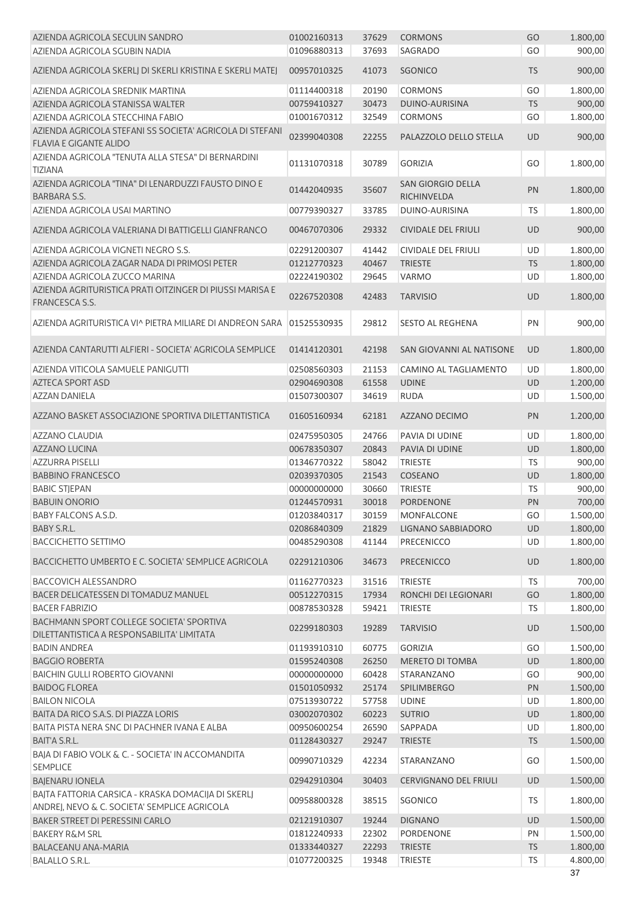| AZIENDA AGRICOLA SECULIN SANDRO                                                                    | 01002160313 | 37629 | <b>CORMONS</b>                          | GO        | 1.800,00 |
|----------------------------------------------------------------------------------------------------|-------------|-------|-----------------------------------------|-----------|----------|
| AZIENDA AGRICOLA SGUBIN NADIA                                                                      | 01096880313 | 37693 | SAGRADO                                 | GO        | 900,00   |
| AZIENDA AGRICOLA SKERLJ DI SKERLI KRISTINA E SKERLI MATEJ                                          | 00957010325 | 41073 | <b>SGONICO</b>                          | <b>TS</b> | 900,00   |
| AZIENDA AGRICOLA SREDNIK MARTINA                                                                   | 01114400318 | 20190 | <b>CORMONS</b>                          | GO        | 1.800,00 |
| AZIENDA AGRICOLA STANISSA WALTER                                                                   | 00759410327 | 30473 | DUINO-AURISINA                          | <b>TS</b> | 900,00   |
| AZIENDA AGRICOLA STECCHINA FABIO                                                                   | 01001670312 | 32549 | <b>CORMONS</b>                          | GO        | 1.800,00 |
| AZIENDA AGRICOLA STEFANI SS SOCIETA' AGRICOLA DI STEFANI<br>FLAVIA E GIGANTE ALIDO                 | 02399040308 | 22255 | PALAZZOLO DELLO STELLA                  | UD        | 900,00   |
| AZIENDA AGRICOLA "TENUTA ALLA STESA" DI BERNARDINI<br><b>TIZIANA</b>                               | 01131070318 | 30789 | <b>GORIZIA</b>                          | GO        | 1.800,00 |
| AZIENDA AGRICOLA "TINA" DI LENARDUZZI FAUSTO DINO E<br>BARBARA S.S.                                | 01442040935 | 35607 | <b>SAN GIORGIO DELLA</b><br>RICHINVELDA | PN        | 1.800,00 |
| AZIENDA AGRICOLA USAI MARTINO                                                                      | 00779390327 | 33785 | DUINO-AURISINA                          | TS        | 1.800,00 |
| AZIENDA AGRICOLA VALERIANA DI BATTIGELLI GIANFRANCO                                                | 00467070306 | 29332 | <b>CIVIDALE DEL FRIULI</b>              | UD        | 900,00   |
| AZIENDA AGRICOLA VIGNETI NEGRO S.S.                                                                | 02291200307 | 41442 | CIVIDALE DEL FRIULI                     | UD        | 1.800,00 |
| AZIENDA AGRICOLA ZAGAR NADA DI PRIMOSI PETER                                                       | 01212770323 | 40467 | <b>TRIESTE</b>                          | <b>TS</b> | 1.800,00 |
| AZIENDA AGRICOLA ZUCCO MARINA                                                                      | 02224190302 | 29645 | VARMO                                   | UD        | 1.800,00 |
| AZIENDA AGRITURISTICA PRATI OITZINGER DI PIUSSI MARISA E<br>FRANCESCA S.S.                         | 02267520308 | 42483 | <b>TARVISIO</b>                         | <b>UD</b> | 1.800,00 |
| AZIENDA AGRITURISTICA VI^ PIETRA MILIARE DI ANDREON SARA                                           | 01525530935 | 29812 | <b>SESTO AL REGHENA</b>                 | PN        | 900,00   |
| AZIENDA CANTARUTTI ALFIERI - SOCIETA' AGRICOLA SEMPLICE                                            | 01414120301 | 42198 | SAN GIOVANNI AL NATISONE                | <b>UD</b> | 1.800,00 |
| AZIENDA VITICOLA SAMUELE PANIGUTTI                                                                 | 02508560303 | 21153 | CAMINO AL TAGLIAMENTO                   | UD        | 1.800,00 |
| <b>AZTECA SPORT ASD</b>                                                                            | 02904690308 | 61558 | <b>UDINE</b>                            | UD        | 1.200,00 |
| <b>AZZAN DANIELA</b>                                                                               | 01507300307 | 34619 | <b>RUDA</b>                             | UD        | 1.500,00 |
| AZZANO BASKET ASSOCIAZIONE SPORTIVA DILETTANTISTICA                                                | 01605160934 | 62181 | AZZANO DECIMO                           | PN        | 1.200,00 |
| <b>AZZANO CLAUDIA</b>                                                                              | 02475950305 | 24766 | PAVIA DI UDINE                          | UD        | 1.800,00 |
| <b>AZZANO LUCINA</b>                                                                               | 00678350307 | 20843 | PAVIA DI UDINE                          | UD        | 1.800,00 |
| <b>AZZURRA PISELLI</b>                                                                             | 01346770322 | 58042 | <b>TRIESTE</b>                          | <b>TS</b> | 900,00   |
| <b>BABBINO FRANCESCO</b>                                                                           | 02039370305 | 21543 | COSEANO                                 | UD        | 1.800,00 |
| <b>BABIC STJEPAN</b>                                                                               | 00000000000 | 30660 | <b>TRIESTE</b>                          | TS        | 900,00   |
| <b>BABUIN ONORIO</b>                                                                               | 01244570931 | 30018 | PORDENONE                               | PN        | 700,00   |
| <b>BABY FALCONS A.S.D.</b>                                                                         | 01203840317 | 30159 | <b>MONFALCONE</b>                       | GO        | 1.500,00 |
| BABY S.R.L.                                                                                        | 02086840309 | 21829 | LIGNANO SABBIADORO                      | UD        | 1.800,00 |
| <b>BACCICHETTO SETTIMO</b>                                                                         | 00485290308 | 41144 | <b>PRECENICCO</b>                       | <b>UD</b> | 1.800,00 |
| BACCICHETTO UMBERTO E C. SOCIETA' SEMPLICE AGRICOLA                                                | 02291210306 | 34673 | <b>PRECENICCO</b>                       | <b>UD</b> | 1.800,00 |
| <b>BACCOVICH ALESSANDRO</b>                                                                        | 01162770323 | 31516 | <b>TRIESTE</b>                          | <b>TS</b> | 700,00   |
| BACER DELICATESSEN DI TOMADUZ MANUEL                                                               | 00512270315 | 17934 | RONCHI DEI LEGIONARI                    | GO        | 1.800,00 |
| <b>BACER FABRIZIO</b>                                                                              | 00878530328 | 59421 | <b>TRIESTE</b>                          | <b>TS</b> | 1.800,00 |
| BACHMANN SPORT COLLEGE SOCIETA' SPORTIVA<br>DILETTANTISTICA A RESPONSABILITA' LIMITATA             | 02299180303 | 19289 | <b>TARVISIO</b>                         | UD        | 1.500,00 |
| <b>BADIN ANDREA</b>                                                                                | 01193910310 | 60775 | <b>GORIZIA</b>                          | GO        | 1.500,00 |
| <b>BAGGIO ROBERTA</b>                                                                              | 01595240308 | 26250 | <b>MERETO DI TOMBA</b>                  | <b>UD</b> | 1.800,00 |
| <b>BAICHIN GULLI ROBERTO GIOVANNI</b>                                                              | 00000000000 | 60428 | STARANZANO                              | GO        | 900,00   |
| <b>BAIDOG FLOREA</b>                                                                               | 01501050932 | 25174 | <b>SPILIMBERGO</b>                      | PN        | 1.500,00 |
| <b>BAILON NICOLA</b>                                                                               | 07513930722 | 57758 | <b>UDINE</b>                            | UD        | 1.800,00 |
| BAITA DA RICO S.A.S. DI PIAZZA LORIS                                                               | 03002070302 | 60223 | <b>SUTRIO</b>                           | UD        | 1.800,00 |
| BAITA PISTA NERA SNC DI PACHNER IVANA E ALBA                                                       | 00950600254 | 26590 | SAPPADA                                 | UD        | 1.800,00 |
| <b>BAIT'A S.R.L.</b>                                                                               | 01128430327 | 29247 | <b>TRIESTE</b>                          | <b>TS</b> | 1.500,00 |
| BAJA DI FABIO VOLK & C. - SOCIETA' IN ACCOMANDITA<br><b>SEMPLICE</b>                               | 00990710329 | 42234 | STARANZANO                              | GO        | 1.500,00 |
| <b>BAJENARU IONELA</b>                                                                             | 02942910304 | 30403 | <b>CERVIGNANO DEL FRIULI</b>            | UD        | 1.500,00 |
| BAJTA FATTORIA CARSICA - KRASKA DOMACIJA DI SKERLJ<br>ANDREJ, NEVO & C. SOCIETA' SEMPLICE AGRICOLA | 00958800328 | 38515 | SGONICO                                 | TS        | 1.800,00 |
| <b>BAKER STREET DI PERESSINI CARLO</b>                                                             | 02121910307 | 19244 | <b>DIGNANO</b>                          | UD        | 1.500,00 |
| <b>BAKERY R&amp;M SRL</b>                                                                          | 01812240933 | 22302 | <b>PORDENONE</b>                        | PN        | 1.500,00 |
| <b>BALACEANU ANA-MARIA</b>                                                                         | 01333440327 | 22293 | <b>TRIESTE</b>                          | <b>TS</b> | 1.800,00 |
| <b>BALALLO S.R.L.</b>                                                                              | 01077200325 | 19348 | <b>TRIESTE</b>                          | TS        | 4.800,00 |
|                                                                                                    |             |       |                                         |           | 37       |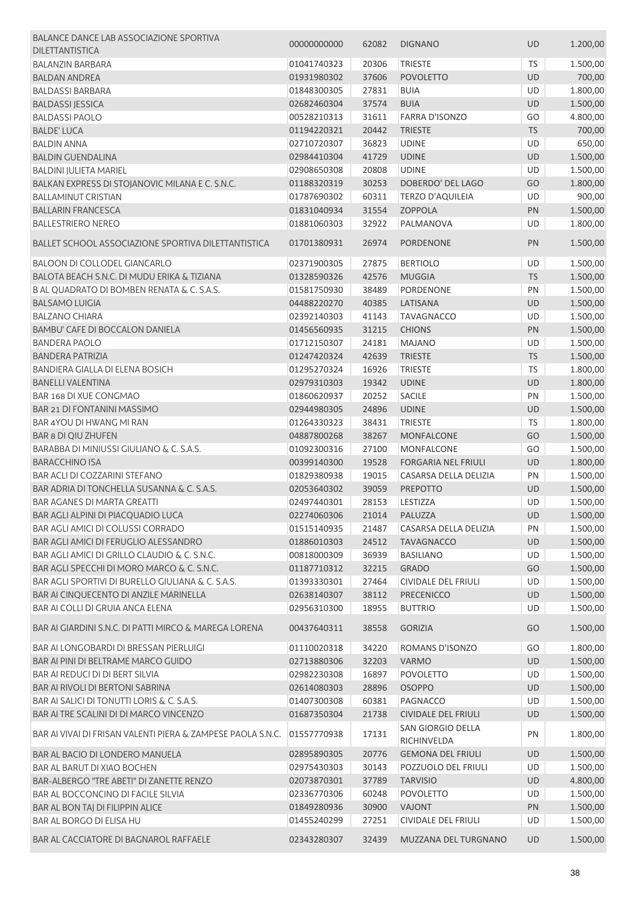| BALANCE DANCE LAB ASSOCIAZIONE SPORTIVA                     |             |               |                            |           |          |
|-------------------------------------------------------------|-------------|---------------|----------------------------|-----------|----------|
| <b>DILETTANTISTICA</b>                                      | 00000000000 | 62082         | <b>DIGNANO</b>             | <b>UD</b> | 1.200,00 |
| <b>BALANZIN BARBARA</b>                                     | 01041740323 | 20306         | TRIESTE                    | TS        | 1.500,00 |
| <b>BALDAN ANDREA</b>                                        | 01931980302 | 37606         | <b>POVOLETTO</b>           | <b>UD</b> | 700,00   |
| <b>BALDASSI BARBARA</b>                                     | 01848300305 | 27831         | <b>BUIA</b>                | <b>UD</b> | 1.800,00 |
| <b>BALDASSI JESSICA</b>                                     | 02682460304 | 37574         | <b>BUIA</b>                | UD        | 1.500,00 |
| <b>BALDASSI PAOLO</b>                                       | 00528210313 | 31611         | <b>FARRA D'ISONZO</b>      | GO        | 4.800,00 |
| <b>BALDE' LUCA</b>                                          | 01194220321 | 20442         | <b>TRIESTE</b>             | <b>TS</b> | 700,00   |
| <b>BALDIN ANNA</b>                                          | 02710720307 | 36823         | <b>UDINE</b>               | <b>UD</b> | 650,00   |
| <b>BALDIN GUENDALINA</b>                                    | 02984410304 | 41729         | <b>UDINE</b>               | UD        | 1.500,00 |
| <b>BALDINI JULIETA MARIEL</b>                               | 02908650308 | 20808         | <b>UDINE</b>               | UD        | 1.500,00 |
| BALKAN EXPRESS DI STOJANOVIC MILANA E C. S.N.C.             | 01188320319 | 30253         | DOBERDO' DEL LAGO          | GO        | 1.800,00 |
| <b>BALLAMINUT CRISTIAN</b>                                  | 01787690302 | 60311         | <b>TERZO D'AQUILEIA</b>    | UD        | 900,00   |
| <b>BALLARIN FRANCESCA</b>                                   | 01831040934 | 31554         | ZOPPOLA                    | PN        | 1.500,00 |
| <b>BALLESTRIERO NEREO</b>                                   | 01881060303 | 32922         | PALMANOVA                  | UD        | 1.800,00 |
| BALLET SCHOOL ASSOCIAZIONE SPORTIVA DILETTANTISTICA         | 01701380931 | 26974         | <b>PORDENONE</b>           | PN        | 1.500,00 |
|                                                             |             |               |                            |           |          |
| <b>BALOON DI COLLODEL GIANCARLO</b>                         | 02371900305 | 27875         | <b>BERTIOLO</b>            | UD        | 1.500,00 |
| BALOTA BEACH S.N.C. DI MUDU ERIKA & TIZIANA                 | 01328590326 | 42576         | <b>MUGGIA</b>              | <b>TS</b> | 1.500,00 |
| B AL QUADRATO DI BOMBEN RENATA & C. S.A.S.                  | 01581750930 | 38489         | PORDENONE                  | PN        | 1.500,00 |
| <b>BALSAMO LUIGIA</b>                                       | 04488220270 | 40385         | LATISANA                   | UD        | 1.500,00 |
| <b>BALZANO CHIARA</b>                                       | 02392140303 | 41143         | <b>TAVAGNACCO</b>          | UD        | 1.500,00 |
| <b>BAMBU' CAFE DI BOCCALON DANIELA</b>                      | 01456560935 | 31215         | <b>CHIONS</b>              | PN        | 1.500,00 |
| <b>BANDERA PAOLO</b>                                        | 01712150307 | 24181         | <b>MAJANO</b>              | UD        | 1.500,00 |
| <b>BANDERA PATRIZIA</b>                                     | 01247420324 | 42639         | <b>TRIESTE</b>             | <b>TS</b> | 1.500,00 |
| BANDIERA GIALLA DI ELENA BOSICH                             | 01295270324 | 16926         | <b>TRIESTE</b>             | TS        | 1.800,00 |
| <b>BANELLI VALENTINA</b>                                    | 02979310303 | 19342         | <b>UDINE</b>               | <b>UD</b> | 1.800,00 |
| BAR 168 DI XUE CONGMAO                                      | 01860620937 | 20252         | <b>SACILE</b>              | PN        | 1.500,00 |
| <b>BAR 21 DI FONTANINI MASSIMO</b>                          | 02944980305 | 24896         | <b>UDINE</b>               | <b>UD</b> | 1.500,00 |
| BAR 4YOU DI HWANG MI RAN                                    | 01264330323 | 38431         | <b>TRIESTE</b>             | TS        | 1.800,00 |
| BAR 8 DI QIU ZHUFEN                                         | 04887800268 | 38267         | <b>MONFALCONE</b>          | GO        | 1.500,00 |
| BARABBA DI MINIUSSI GIULIANO & C. S.A.S.                    | 01092300316 | 27100         | <b>MONFALCONE</b>          | GO        | 1.500,00 |
| <b>BARACCHINO ISA</b>                                       | 00399140300 | 19528         | <b>FORGARIA NEL FRIULI</b> | <b>UD</b> | 1.800,00 |
| BAR ACLI DI COZZARINI STEFANO                               | 01829380938 | 19015         | CASARSA DELLA DELIZIA      | PN        | 1.500,00 |
| BAR ADRIA DI TONCHELLA SUSANNA & C. S.A.S.                  | 02053640302 | 39059         | PREPOTTO                   | <b>UD</b> | 1.500,00 |
| <b>BAR AGANES DI MARTA GREATTI</b>                          | 02497440301 | 28153         | LESTIZZA                   | UD        | 1.500,00 |
| BAR AGLI ALPINI DI PIACQUADIO LUCA                          | 02274060306 | 21014 PALUZZA |                            | UD        | 1.500,00 |
| BAR AGLI AMICI DI COLUSSI CORRADO                           | 01515140935 | 21487         | CASARSA DELLA DELIZIA      | PN        | 1.500,00 |
| BAR AGLI AMICI DI FERUGLIO ALESSANDRO                       | 01886010303 | 24512         | <b>TAVAGNACCO</b>          | UD        | 1.500,00 |
| BAR AGLI AMICI DI GRILLO CLAUDIO & C. S.N.C.                | 00818000309 | 36939         | <b>BASILIANO</b>           | UD        | 1.500,00 |
| BAR AGLI SPECCHI DI MORO MARCO & C. S.N.C.                  | 01187710312 | 32215         | <b>GRADO</b>               | GO        | 1.500,00 |
| BAR AGLI SPORTIVI DI BURELLO GIULIANA & C. S.A.S.           | 01393330301 | 27464         | <b>CIVIDALE DEL FRIULI</b> | UD        | 1.500,00 |
| BAR AI CINQUECENTO DI ANZILE MARINELLA                      | 02638140307 | 38112         | <b>PRECENICCO</b>          | <b>UD</b> | 1.500,00 |
| BAR AI COLLI DI GRUIA ANCA ELENA                            | 02956310300 | 18955         | <b>BUTTRIO</b>             | UD        | 1.500,00 |
| BAR AI GIARDINI S.N.C. DI PATTI MIRCO & MAREGA LORENA       | 00437640311 | 38558         | <b>GORIZIA</b>             | GO        | 1.500,00 |
| BAR AI LONGOBARDI DI BRESSAN PIERLUIGI                      | 01110020318 | 34220         | ROMANS D'ISONZO            | GO        | 1.800,00 |
| BAR AI PINI DI BELTRAME MARCO GUIDO                         | 02713880306 | 32203         | <b>VARMO</b>               | <b>UD</b> | 1.500,00 |
| BAR AI REDUCI DI DI BERT SILVIA                             | 02982230308 | 16897         | <b>POVOLETTO</b>           | UD        | 1.500,00 |
| BAR AI RIVOLI DI BERTONI SABRINA                            | 02614080303 | 28896         | <b>OSOPPO</b>              | <b>UD</b> | 1.500,00 |
| BAR AI SALICI DI TONUTTI LORIS & C. S.A.S.                  | 01407300308 | 60381         | PAGNACCO                   | UD        | 1.500,00 |
| BAR AI TRE SCALINI DI DI MARCO VINCENZO                     | 01687350304 | 21738         | <b>CIVIDALE DEL FRIULI</b> | UD        | 1.500,00 |
|                                                             |             |               | SAN GIORGIO DELLA          |           |          |
| BAR AI VIVAI DI FRISAN VALENTI PIERA & ZAMPESE PAOLA S.N.C. | 01557770938 | 17131         | RICHINVELDA                | PN        | 1.800,00 |
| BAR AL BACIO DI LONDERO MANUELA                             | 02895890305 | 20776         | <b>GEMONA DEL FRIULI</b>   | UD        | 1.500,00 |
| BAR AL BARUT DI XIAO BOCHEN                                 | 02975430303 | 30143         | POZZUOLO DEL FRIULI        | UD        | 1.500,00 |
| BAR-ALBERGO "TRE ABETI" DI ZANETTE RENZO                    | 02073870301 | 37789         | <b>TARVISIO</b>            | UD        | 4.800,00 |
| BAR AL BOCCONCINO DI FACILE SILVIA                          | 02336770306 | 60248         | <b>POVOLETTO</b>           | UD        | 1.500,00 |
| BAR AL BON TAJ DI FILIPPIN ALICE                            | 01849280936 | 30900         | VAJONT                     | PN        | 1.500,00 |
| BAR AL BORGO DI ELISA HU                                    | 01455240299 | 27251         | CIVIDALE DEL FRIULI        | UD        | 1.500,00 |
| BAR AL CACCIATORE DI BAGNAROL RAFFAELE                      | 02343280307 | 32439         | MUZZANA DEL TURGNANO       | UD        | 1.500,00 |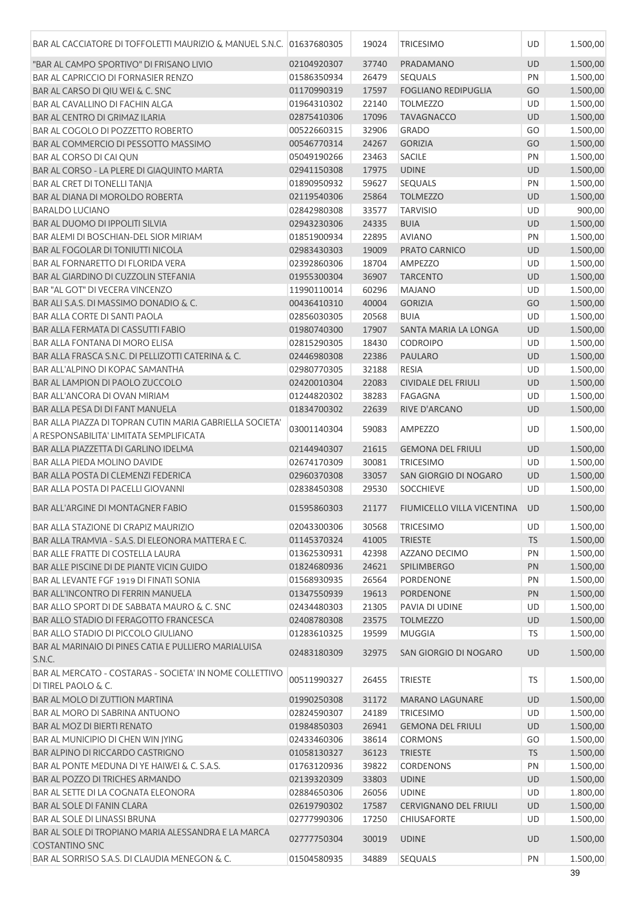| BAR AL CACCIATORE DI TOFFOLETTI MAURIZIO & MANUEL S.N.C. 01637680305                        |                            | 19024          | <b>TRICESIMO</b>                  | UD              | 1.500,00             |
|---------------------------------------------------------------------------------------------|----------------------------|----------------|-----------------------------------|-----------------|----------------------|
| "BAR AL CAMPO SPORTIVO" DI FRISANO LIVIO                                                    | 02104920307                | 37740          | PRADAMANO                         | <b>UD</b>       | 1.500,00             |
| BAR AL CAPRICCIO DI FORNASIER RENZO                                                         | 01586350934                | 26479          | <b>SEQUALS</b>                    | PN              | 1.500,00             |
| BAR AL CARSO DI QIU WEI & C. SNC                                                            | 01170990319                | 17597          | <b>FOGLIANO REDIPUGLIA</b>        | GO              | 1.500,00             |
| BAR AL CAVALLINO DI FACHIN ALGA                                                             | 01964310302                | 22140          | <b>TOLMEZZO</b>                   | <b>UD</b>       | 1.500,00             |
| BAR AL CENTRO DI GRIMAZ ILARIA                                                              | 02875410306                | 17096          | <b>TAVAGNACCO</b>                 | UD              | 1.500,00             |
| BAR AL COGOLO DI POZZETTO ROBERTO                                                           | 00522660315                | 32906          | <b>GRADO</b>                      | GO              | 1.500,00             |
| BAR AL COMMERCIO DI PESSOTTO MASSIMO                                                        | 00546770314                | 24267          | <b>GORIZIA</b>                    | GO              | 1.500,00             |
| BAR AL CORSO DI CAI QUN                                                                     | 05049190266                | 23463          | <b>SACILE</b>                     | PN              | 1.500,00             |
| BAR AL CORSO - LA PLERE DI GIAQUINTO MARTA                                                  | 02941150308                | 17975          | <b>UDINE</b>                      | <b>UD</b>       | 1.500,00             |
| BAR AL CRET DI TONELLI TANJA                                                                | 01890950932                | 59627          | <b>SEQUALS</b>                    | PN              | 1.500,00             |
| BAR AL DIANA DI MOROLDO ROBERTA                                                             | 02119540306                | 25864          | <b>TOLMEZZO</b>                   | UD              | 1.500,00             |
| <b>BARALDO LUCIANO</b>                                                                      | 02842980308                | 33577          | <b>TARVISIO</b>                   | <b>UD</b>       | 900,00               |
| BAR AL DUOMO DI IPPOLITI SILVIA                                                             | 02943230306                | 24335          | <b>BUIA</b>                       | UD              | 1.500,00             |
| BAR ALEMI DI BOSCHIAN-DEL SIOR MIRIAM                                                       | 01851900934                | 22895          | <b>AVIANO</b>                     | PN              | 1.500,00             |
| <b>BAR AL FOGOLAR DI TONIUTTI NICOLA</b>                                                    | 02983430303                | 19009          | PRATO CARNICO                     | <b>UD</b>       | 1.500,00             |
| <b>BAR AL FORNARETTO DI FLORIDA VERA</b>                                                    | 02392860306                | 18704          | <b>AMPEZZO</b>                    | UD              | 1.500,00             |
| BAR AL GIARDINO DI CUZZOLIN STEFANIA                                                        | 01955300304                | 36907          | <b>TARCENTO</b>                   | UD              | 1.500,00             |
| BAR "AL GOT" DI VECERA VINCENZO                                                             | 11990110014                | 60296          | <b>MAJANO</b>                     | UD              | 1.500,00             |
| BAR ALI S.A.S. DI MASSIMO DONADIO & C.                                                      | 00436410310                | 40004          | <b>GORIZIA</b>                    | GO              | 1.500,00             |
| <b>BAR ALLA CORTE DI SANTI PAOLA</b>                                                        | 02856030305                | 20568          | <b>BUIA</b>                       | UD              | 1.500,00             |
| <b>BAR ALLA FERMATA DI CASSUTTI FABIO</b>                                                   | 01980740300                | 17907          | SANTA MARIA LA LONGA              | UD              | 1.500,00             |
| <b>BAR ALLA FONTANA DI MORO ELISA</b><br>BAR ALLA FRASCA S.N.C. DI PELLIZOTTI CATERINA & C. | 02815290305                | 18430          | <b>CODROIPO</b>                   | UD              | 1.500,00             |
| BAR ALL'ALPINO DI KOPAC SAMANTHA                                                            | 02446980308<br>02980770305 | 22386<br>32188 | <b>PAULARO</b><br><b>RESIA</b>    | <b>UD</b><br>UD | 1.500,00             |
| BAR AL LAMPION DI PAOLO ZUCCOLO                                                             | 02420010304                | 22083          | <b>CIVIDALE DEL FRIULI</b>        | <b>UD</b>       | 1.500,00<br>1.500,00 |
| BAR ALL'ANCORA DI OVAN MIRIAM                                                               | 01244820302                | 38283          | <b>FAGAGNA</b>                    | <b>UD</b>       | 1.500,00             |
| BAR ALLA PESA DI DI FANT MANUELA                                                            | 01834700302                | 22639          | RIVE D'ARCANO                     | <b>UD</b>       | 1.500,00             |
| BAR ALLA PIAZZA DI TOPRAN CUTIN MARIA GABRIELLA SOCIETA'                                    |                            |                |                                   |                 |                      |
| A RESPONSABILITA' LIMITATA SEMPLIFICATA                                                     | 03001140304                | 59083          | AMPEZZO                           | UD              | 1.500,00             |
| BAR ALLA PIAZZETTA DI GARLINO IDELMA                                                        | 02144940307                | 21615          | <b>GEMONA DEL FRIULI</b>          | UD              | 1.500,00             |
| BAR ALLA PIEDA MOLINO DAVIDE                                                                | 02674170309                | 30081          | <b>TRICESIMO</b>                  | UD              | 1.500,00             |
| <b>BAR ALLA POSTA DI CLEMENZI FEDERICA</b>                                                  | 02960370308                | 33057          | SAN GIORGIO DI NOGARO             | <b>UD</b>       | 1.500,00             |
| <b>BAR ALLA POSTA DI PACELLI GIOVANNI</b>                                                   | 02838450308                | 29530          | <b>SOCCHIEVE</b>                  | UD              | 1.500,00             |
| <b>BAR ALL'ARGINE DI MONTAGNER FABIO</b>                                                    | 01595860303                | 21177          | <b>FIUMICELLO VILLA VICENTINA</b> | <b>UD</b>       | 1.500,00             |
| BAR ALLA STAZIONE DI CRAPIZ MAURIZIO                                                        | 02043300306                | 30568          | <b>TRICESIMO</b>                  | <b>UD</b>       | 1.500,00             |
| BAR ALLA TRAMVIA - S.A.S. DI ELEONORA MATTERA E C.                                          | 01145370324                | 41005          | <b>TRIESTE</b>                    | <b>TS</b>       | 1.500,00             |
| <b>BAR ALLE FRATTE DI COSTELLA LAURA</b>                                                    | 01362530931                | 42398          | AZZANO DECIMO                     | PN              | 1.500,00             |
| BAR ALLE PISCINE DI DE PIANTE VICIN GUIDO                                                   | 01824680936                | 24621          | <b>SPILIMBERGO</b>                | PN              | 1.500,00             |
| BAR AL LEVANTE FGF 1919 DI FINATI SONIA                                                     | 01568930935                | 26564          | PORDENONE                         | PN              | 1.500,00             |
| BAR ALL'INCONTRO DI FERRIN MANUELA                                                          | 01347550939<br>02434480303 | 19613<br>21305 | PORDENONE<br>PAVIA DI UDINE       | PN<br>UD        | 1.500,00<br>1.500,00 |
| BAR ALLO SPORT DI DE SABBATA MAURO & C. SNC<br>BAR ALLO STADIO DI FERAGOTTO FRANCESCA       | 02408780308                | 23575          | <b>TOLMEZZO</b>                   | <b>UD</b>       | 1.500,00             |
| BAR ALLO STADIO DI PICCOLO GIULIANO                                                         | 01283610325                | 19599          | <b>MUGGIA</b>                     | <b>TS</b>       | 1.500,00             |
| BAR AL MARINAIO DI PINES CATIA E PULLIERO MARIALUISA                                        |                            |                |                                   |                 |                      |
| S.N.C.                                                                                      | 02483180309                | 32975          | SAN GIORGIO DI NOGARO             | <b>UD</b>       | 1.500,00             |
| BAR AL MERCATO - COSTARAS - SOCIETA' IN NOME COLLETTIVO                                     |                            |                |                                   |                 |                      |
| DI TIREL PAOLO & C.                                                                         | 00511990327                | 26455          | <b>TRIESTE</b>                    | <b>TS</b>       | 1.500,00             |
| BAR AL MOLO DI ZUTTION MARTINA                                                              | 01990250308                | 31172          | <b>MARANO LAGUNARE</b>            | UD              | 1.500,00             |
| BAR AL MORO DI SABRINA ANTUONO                                                              | 02824590307                | 24189          | <b>TRICESIMO</b>                  | UD              | 1.500,00             |
| BAR AL MOZ DI BIERTI RENATO                                                                 | 01984850303                | 26941          | <b>GEMONA DEL FRIULI</b>          | <b>UD</b>       | 1.500,00             |
| BAR AL MUNICIPIO DI CHEN WIN JYING                                                          | 02433460306                | 38614          | <b>CORMONS</b>                    | GO              | 1.500,00             |
| <b>BAR ALPINO DI RICCARDO CASTRIGNO</b>                                                     | 01058130327                | 36123          | <b>TRIESTE</b>                    | <b>TS</b>       | 1.500,00             |
| BAR AL PONTE MEDUNA DI YE HAIWEI & C. S.A.S.                                                | 01763120936                | 39822          | <b>CORDENONS</b>                  | PN              | 1.500,00             |
| BAR AL POZZO DI TRICHES ARMANDO                                                             | 02139320309                | 33803          | <b>UDINE</b>                      | UD              | 1.500,00             |
| BAR AL SETTE DI LA COGNATA ELEONORA                                                         | 02884650306                | 26056          | <b>UDINE</b>                      | UD              | 1.800,00             |
| BAR AL SOLE DI FANIN CLARA                                                                  | 02619790302                | 17587          | <b>CERVIGNANO DEL FRIULI</b>      | UD              | 1.500,00             |
| BAR AL SOLE DI LINASSI BRUNA                                                                | 02777990306                | 17250          | CHIUSAFORTE                       | UD              | 1.500,00             |
| BAR AL SOLE DI TROPIANO MARIA ALESSANDRA E LA MARCA<br><b>COSTANTINO SNC</b>                | 02777750304                | 30019          | <b>UDINE</b>                      | <b>UD</b>       | 1.500,00             |
| BAR AL SORRISO S.A.S. DI CLAUDIA MENEGON & C.                                               | 01504580935                | 34889          | <b>SEQUALS</b>                    | PN              | 1.500,00             |
|                                                                                             |                            |                |                                   |                 | 39                   |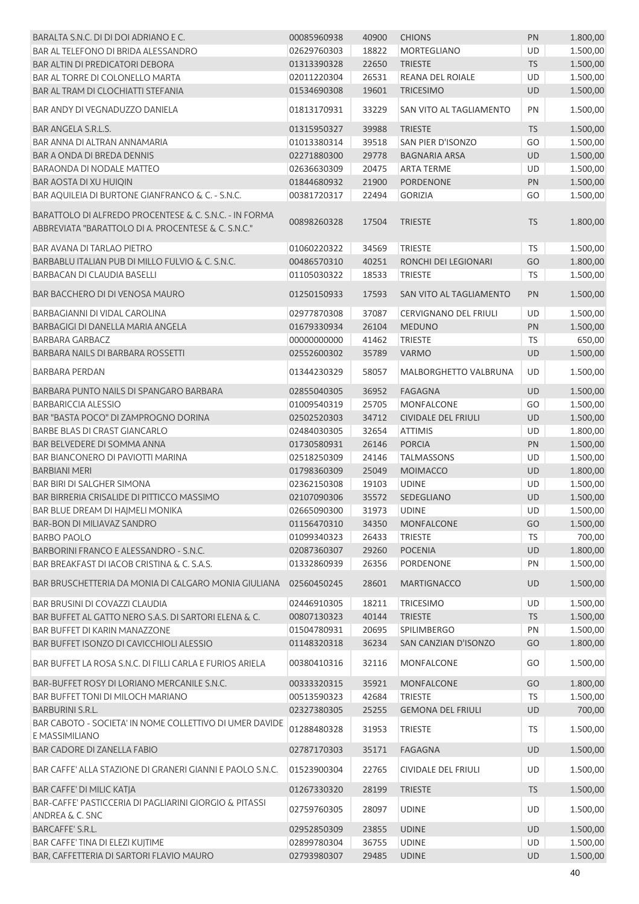| BARALTA S.N.C. DI DI DOI ADRIANO E C.                                                                         | 00085960938                | 40900          | <b>CHIONS</b>                   | <b>PN</b> | 1.800,00             |
|---------------------------------------------------------------------------------------------------------------|----------------------------|----------------|---------------------------------|-----------|----------------------|
| BAR AL TELEFONO DI BRIDA ALESSANDRO                                                                           | 02629760303                | 18822          | MORTEGLIANO                     | UD        | 1.500,00             |
| <b>BAR ALTIN DI PREDICATORI DEBORA</b>                                                                        | 01313390328                | 22650          | <b>TRIESTE</b>                  | <b>TS</b> | 1.500,00             |
| BAR AL TORRE DI COLONELLO MARTA                                                                               | 02011220304                | 26531          | REANA DEL ROIALE                | UD        | 1.500,00             |
| BAR AL TRAM DI CLOCHIATTI STEFANIA                                                                            | 01534690308                | 19601          | <b>TRICESIMO</b>                | UD        | 1.500,00             |
| BAR ANDY DI VEGNADUZZO DANIELA                                                                                | 01813170931                | 33229          | SAN VITO AL TAGLIAMENTO         | PN        | 1.500,00             |
| <b>BAR ANGELA S.R.L.S.</b>                                                                                    | 01315950327                | 39988          | <b>TRIESTE</b>                  | <b>TS</b> | 1.500,00             |
| BAR ANNA DI ALTRAN ANNAMARIA                                                                                  | 01013380314                | 39518          | SAN PIER D'ISONZO               | GO        | 1.500,00             |
| BAR A ONDA DI BREDA DENNIS                                                                                    | 02271880300                | 29778          | <b>BAGNARIA ARSA</b>            | UD        | 1.500,00             |
| BARAONDA DI NODALE MATTEO                                                                                     | 02636630309                | 20475          | <b>ARTA TERME</b>               | UD        | 1.500,00             |
| <b>BAR AOSTA DI XU HUIQIN</b>                                                                                 | 01844680932                | 21900          | <b>PORDENONE</b>                | PN        | 1.500,00             |
| BAR AQUILEIA DI BURTONE GIANFRANCO & C. - S.N.C.                                                              | 00381720317                | 22494          | <b>GORIZIA</b>                  | GO        | 1.500,00             |
| BARATTOLO DI ALFREDO PROCENTESE & C. S.N.C. - IN FORMA<br>ABBREVIATA "BARATTOLO DI A. PROCENTESE & C. S.N.C." | 00898260328                | 17504          | <b>TRIESTE</b>                  | <b>TS</b> | 1.800,00             |
| <b>BAR AVANA DI TARLAO PIETRO</b>                                                                             | 01060220322                | 34569          | <b>TRIESTE</b>                  | <b>TS</b> | 1.500,00             |
| BARBABLU ITALIAN PUB DI MILLO FULVIO & C. S.N.C.                                                              | 00486570310                | 40251          | RONCHI DEI LEGIONARI            | GO        | 1.800,00             |
| BARBACAN DI CLAUDIA BASELLI                                                                                   | 01105030322                | 18533          | <b>TRIESTE</b>                  | <b>TS</b> | 1.500,00             |
| <b>BAR BACCHERO DI DI VENOSA MAURO</b>                                                                        | 01250150933                | 17593          | SAN VITO AL TAGLIAMENTO         | PN        | 1.500,00             |
| BARBAGIANNI DI VIDAL CAROLINA                                                                                 | 02977870308                | 37087          | <b>CERVIGNANO DEL FRIULI</b>    | UD        | 1.500,00             |
| BARBAGIGI DI DANELLA MARIA ANGELA                                                                             | 01679330934                | 26104          | <b>MEDUNO</b>                   | PN        | 1.500,00             |
| <b>BARBARA GARBACZ</b>                                                                                        | 00000000000                | 41462          | <b>TRIESTE</b>                  | <b>TS</b> | 650,00               |
| BARBARA NAILS DI BARBARA ROSSETTI                                                                             | 02552600302                | 35789          | <b>VARMO</b>                    | <b>UD</b> | 1.500,00             |
| <b>BARBARA PERDAN</b>                                                                                         | 01344230329                | 58057          | MALBORGHETTO VALBRUNA           | UD        | 1.500,00             |
| BARBARA PUNTO NAILS DI SPANGARO BARBARA                                                                       | 02855040305                | 36952          | FAGAGNA                         | UD        | 1.500,00             |
| <b>BARBARICCIA ALESSIO</b>                                                                                    | 01009540319                | 25705          | MONFALCONE                      | GO        | 1.500,00             |
| BAR "BASTA POCO" DI ZAMPROGNO DORINA                                                                          | 02502520303                | 34712          | <b>CIVIDALE DEL FRIULI</b>      | <b>UD</b> | 1.500,00             |
| BARBE BLAS DI CRAST GIANCARLO                                                                                 | 02484030305                | 32654          | <b>ATTIMIS</b>                  | UD        | 1.800,00             |
| BAR BELVEDERE DI SOMMA ANNA                                                                                   | 01730580931                | 26146          | <b>PORCIA</b>                   | PN        | 1.500,00             |
| BAR BIANCONERO DI PAVIOTTI MARINA                                                                             |                            |                |                                 |           |                      |
|                                                                                                               | 02518250309                | 24146          | <b>TALMASSONS</b>               | UD        | 1.500,00             |
| <b>BARBIANI MERI</b><br><b>BAR BIRI DI SALGHER SIMONA</b>                                                     | 01798360309                | 25049          | <b>MOIMACCO</b>                 | <b>UD</b> | 1.800,00             |
| BAR BIRRERIA CRISALIDE DI PITTICCO MASSIMO                                                                    | 02362150308<br>02107090306 | 19103          | <b>UDINE</b>                    | UD        | 1.500,00             |
|                                                                                                               |                            | 35572          | SEDEGLIANO                      | UD        | 1.500,00             |
| BAR BLUE DREAM DI HAJMELI MONIKA                                                                              | 02665090300                | 31973          | <b>UDINE</b>                    | UD        | 1.500,00             |
| BAR-BON DI MILIAVAZ SANDRO                                                                                    | 01156470310                | 34350          | <b>MONFALCONE</b>               | GO        | 1.500,00             |
| <b>BARBO PAOLO</b>                                                                                            | 01099340323                | 26433          | <b>TRIESTE</b>                  | <b>TS</b> | 700,00               |
| BARBORINI FRANCO E ALESSANDRO - S.N.C.<br>BAR BREAKFAST DI IACOB CRISTINA & C. S.A.S.                         | 02087360307                | 29260          | <b>POCENIA</b>                  | <b>UD</b> | 1.800,00             |
| BAR BRUSCHETTERIA DA MONIA DI CALGARO MONIA GIULIANA                                                          | 01332860939<br>02560450245 | 26356<br>28601 | PORDENONE<br><b>MARTIGNACCO</b> | PN<br>UD  | 1.500,00<br>1.500,00 |
|                                                                                                               |                            |                |                                 |           |                      |
| BAR BRUSINI DI COVAZZI CLAUDIA                                                                                | 02446910305                | 18211          | <b>TRICESIMO</b>                | UD        | 1.500,00             |
| BAR BUFFET AL GATTO NERO S.A.S. DI SARTORI ELENA & C.                                                         | 00807130323                | 40144          | <b>TRIESTE</b>                  | <b>TS</b> | 1.500,00             |
| BAR BUFFET DI KARIN MANAZZONE                                                                                 | 01504780931                | 20695          | <b>SPILIMBERGO</b>              | PN        | 1.500,00             |
| BAR BUFFET ISONZO DI CAVICCHIOLI ALESSIO                                                                      | 01148320318                | 36234          | SAN CANZIAN D'ISONZO            | GO        | 1.800,00             |
| BAR BUFFET LA ROSA S.N.C. DI FILLI CARLA E FURIOS ARIELA                                                      | 00380410316                | 32116          | <b>MONFALCONE</b>               | GO        | 1.500,00             |
| BAR-BUFFET ROSY DI LORIANO MERCANILE S.N.C.                                                                   | 00333320315                | 35921          | <b>MONFALCONE</b>               | GO        | 1.800,00             |
| <b>BAR BUFFET TONI DI MILOCH MARIANO</b>                                                                      | 00513590323                | 42684          | <b>TRIESTE</b>                  | TS        | 1.500,00             |
| <b>BARBURINI S.R.L.</b>                                                                                       | 02327380305                | 25255          | <b>GEMONA DEL FRIULI</b>        | <b>UD</b> | 700,00               |
| BAR CABOTO - SOCIETA' IN NOME COLLETTIVO DI UMER DAVIDE<br>E MASSIMILIANO                                     | 01288480328                | 31953          | <b>TRIESTE</b>                  | <b>TS</b> | 1.500,00             |
| <b>BAR CADORE DI ZANELLA FABIO</b>                                                                            | 02787170303                | 35171          | <b>FAGAGNA</b>                  | UD        | 1.500,00             |
| BAR CAFFE' ALLA STAZIONE DI GRANERI GIANNI E PAOLO S.N.C.                                                     | 01523900304                | 22765          | CIVIDALE DEL FRIULI             | UD        | 1.500,00             |
| BAR CAFFE' DI MILIC KATJA                                                                                     | 01267330320                | 28199          | <b>TRIESTE</b>                  | <b>TS</b> | 1.500,00             |
| BAR-CAFFE' PASTICCERIA DI PAGLIARINI GIORGIO & PITASSI                                                        |                            |                |                                 |           |                      |
| ANDREA & C. SNC                                                                                               | 02759760305                | 28097          | <b>UDINE</b>                    | UD        | 1.500,00             |
| BARCAFFE' S.R.L.                                                                                              | 02952850309                | 23855          | <b>UDINE</b>                    | UD        | 1.500,00             |
| BAR CAFFE' TINA DI ELEZI KUJTIME                                                                              | 02899780304                | 36755          | <b>UDINE</b>                    | UD        | 1.500,00             |
| BAR, CAFFETTERIA DI SARTORI FLAVIO MAURO                                                                      | 02793980307                | 29485          | <b>UDINE</b>                    | UD        | 1.500,00             |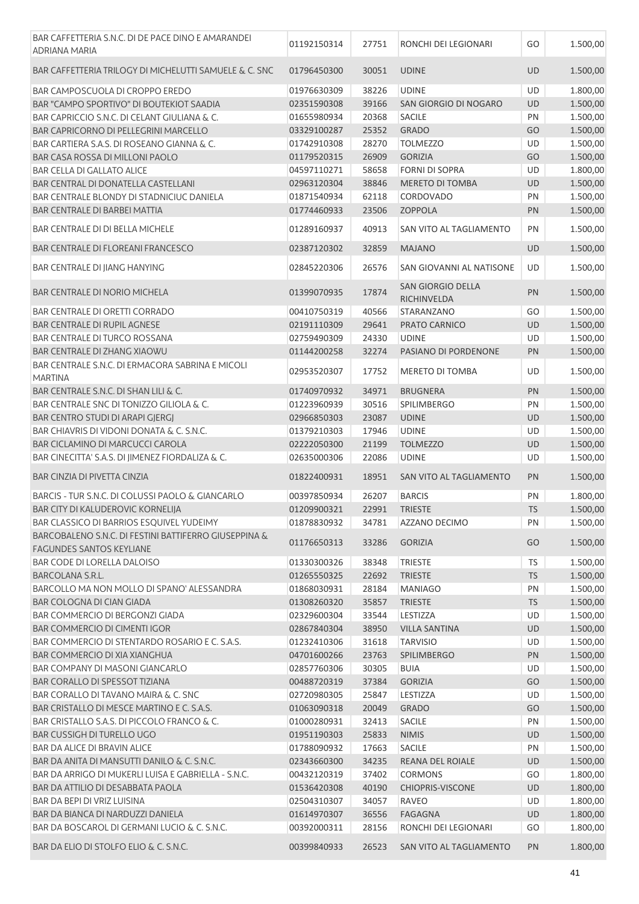| BAR CAFFETTERIA S.N.C. DI DE PACE DINO E AMARANDEI<br>ADRIANA MARIA | 01192150314 | 27751 | RONCHI DEI LEGIONARI                    | GO        | 1.500,00 |
|---------------------------------------------------------------------|-------------|-------|-----------------------------------------|-----------|----------|
| BAR CAFFETTERIA TRILOGY DI MICHELUTTI SAMUELE & C. SNC              | 01796450300 | 30051 | <b>UDINE</b>                            | <b>UD</b> | 1.500,00 |
| <b>BAR CAMPOSCUOLA DI CROPPO EREDO</b>                              | 01976630309 | 38226 | <b>UDINE</b>                            | UD        | 1.800,00 |
| BAR "CAMPO SPORTIVO" DI BOUTEKIOT SAADIA                            | 02351590308 | 39166 | SAN GIORGIO DI NOGARO                   | UD        | 1.500,00 |
| BAR CAPRICCIO S.N.C. DI CELANT GIULIANA & C.                        | 01655980934 | 20368 | <b>SACILE</b>                           | PN        | 1.500,00 |
| BAR CAPRICORNO DI PELLEGRINI MARCELLO                               | 03329100287 | 25352 | <b>GRADO</b>                            | GO        | 1.500,00 |
| BAR CARTIERA S.A.S. DI ROSEANO GIANNA & C.                          | 01742910308 | 28270 | <b>TOLMEZZO</b>                         | UD        | 1.500,00 |
| BAR CASA ROSSA DI MILLONI PAOLO                                     | 01179520315 | 26909 | <b>GORIZIA</b>                          | GO        | 1.500,00 |
| <b>BAR CELLA DI GALLATO ALICE</b>                                   | 04597110271 | 58658 | <b>FORNI DI SOPRA</b>                   | UD        | 1.800,00 |
| BAR CENTRAL DI DONATELLA CASTELLANI                                 | 02963120304 | 38846 | <b>MERETO DI TOMBA</b>                  | UD        | 1.500,00 |
| BAR CENTRALE BLONDY DI STADNICIUC DANIELA                           | 01871540934 | 62118 | <b>CORDOVADO</b>                        | PN        | 1.500,00 |
| BAR CENTRALE DI BARBEI MATTIA                                       | 01774460933 | 23506 | <b>ZOPPOLA</b>                          | PN        | 1.500,00 |
| BAR CENTRALE DI DI BELLA MICHELE                                    | 01289160937 | 40913 | SAN VITO AL TAGLIAMENTO                 | PN        | 1.500,00 |
| <b>BAR CENTRALE DI FLOREANI FRANCESCO</b>                           | 02387120302 | 32859 | <b>MAJANO</b>                           | <b>UD</b> | 1.500,00 |
| <b>BAR CENTRALE DI JIANG HANYING</b>                                | 02845220306 | 26576 | SAN GIOVANNI AL NATISONE                | UD        | 1.500,00 |
| <b>BAR CENTRALE DI NORIO MICHELA</b>                                | 01399070935 | 17874 | <b>SAN GIORGIO DELLA</b><br>RICHINVELDA | PN        | 1.500,00 |
| <b>BAR CENTRALE DI ORETTI CORRADO</b>                               | 00410750319 | 40566 | STARANZANO                              | GO        | 1.500,00 |
| <b>BAR CENTRALE DI RUPIL AGNESE</b>                                 | 02191110309 | 29641 | PRATO CARNICO                           | UD        | 1.500,00 |
| <b>BAR CENTRALE DI TURCO ROSSANA</b>                                | 02759490309 | 24330 | <b>UDINE</b>                            | UD        | 1.500,00 |
| BAR CENTRALE DI ZHANG XIAOWU                                        | 01144200258 | 32274 | PASIANO DI PORDENONE                    | PN        | 1.500,00 |
| BAR CENTRALE S.N.C. DI ERMACORA SABRINA E MICOLI<br><b>MARTINA</b>  | 02953520307 | 17752 | <b>MERETO DI TOMBA</b>                  | UD        | 1.500,00 |
| BAR CENTRALE S.N.C. DI SHAN LILI & C.                               | 01740970932 | 34971 | <b>BRUGNERA</b>                         | PN        | 1.500,00 |
| BAR CENTRALE SNC DI TONIZZO GILIOLA & C.                            | 01223960939 | 30516 | <b>SPILIMBERGO</b>                      | PN        | 1.500,00 |
| BAR CENTRO STUDI DI ARAPI GJERGJ                                    | 02966850303 | 23087 | <b>UDINE</b>                            | <b>UD</b> | 1.500,00 |
| BAR CHIAVRIS DI VIDONI DONATA & C. S.N.C.                           | 01379210303 | 17946 | <b>UDINE</b>                            | UD        | 1.500,00 |
| BAR CICLAMINO DI MARCUCCI CAROLA                                    | 02222050300 | 21199 | <b>TOLMEZZO</b>                         | UD        | 1.500,00 |
| BAR CINECITTA' S.A.S. DI JIMENEZ FIORDALIZA & C.                    | 02635000306 | 22086 | <b>UDINE</b>                            | UD        | 1.500,00 |
| BAR CINZIA DI PIVETTA CINZIA                                        | 01822400931 | 18951 | SAN VITO AL TAGLIAMENTO                 | PN        | 1.500,00 |
| BARCIS - TUR S.N.C. DI COLUSSI PAOLO & GIANCARLO                    | 00397850934 | 26207 | <b>BARCIS</b>                           | PN        | 1.800,00 |
| BAR CITY DI KALUDEROVIC KORNELIJA                                   | 01209900321 | 22991 | <b>TRIESTE</b>                          | <b>TS</b> | 1.500,00 |
| BAR CLASSICO DI BARRIOS ESQUIVEL YUDEIMY                            | 01878830932 | 34781 | AZZANO DECIMO                           | PN        | 1.500,00 |
| BARCOBALENO S.N.C. DI FESTINI BATTIFERRO GIUSEPPINA &               |             |       |                                         |           |          |
| <b>FAGUNDES SANTOS KEYLIANE</b>                                     | 01176650313 | 33286 | <b>GORIZIA</b>                          | GO        | 1.500,00 |
| BAR CODE DI LORELLA DALOISO                                         | 01330300326 | 38348 | <b>TRIESTE</b>                          | <b>TS</b> | 1.500,00 |
| <b>BARCOLANA S.R.L.</b>                                             | 01265550325 | 22692 | <b>TRIESTE</b>                          | <b>TS</b> | 1.500,00 |
| BARCOLLO MA NON MOLLO DI SPANO' ALESSANDRA                          | 01868030931 | 28184 | <b>MANIAGO</b>                          | PN        | 1.500,00 |
| BAR COLOGNA DI CIAN GIADA                                           | 01308260320 | 35857 | <b>TRIESTE</b>                          | <b>TS</b> | 1.500,00 |
| BAR COMMERCIO DI BERGONZI GIADA                                     | 02329600304 | 33544 | LESTIZZA                                | UD        | 1.500,00 |
| BAR COMMERCIO DI CIMENTI IGOR                                       | 02867840304 | 38950 | <b>VILLA SANTINA</b>                    | <b>UD</b> | 1.500,00 |
| BAR COMMERCIO DI STENTARDO ROSARIO E C. S.A.S.                      | 01232410306 | 31618 | <b>TARVISIO</b>                         | UD        | 1.500,00 |
| BAR COMMERCIO DI XIA XIANGHUA                                       | 04701600266 | 23763 | SPILIMBERGO                             | PN        | 1.500,00 |
| BAR COMPANY DI MASONI GIANCARLO                                     | 02857760306 | 30305 | <b>BUIA</b>                             | UD        | 1.500,00 |
| BAR CORALLO DI SPESSOT TIZIANA                                      | 00488720319 | 37384 | <b>GORIZIA</b>                          | GO        | 1.500,00 |
| BAR CORALLO DI TAVANO MAIRA & C. SNC                                | 02720980305 | 25847 | LESTIZZA                                | UD        | 1.500,00 |
| BAR CRISTALLO DI MESCE MARTINO E C. S.A.S.                          | 01063090318 | 20049 | <b>GRADO</b>                            | GO        | 1.500,00 |
| BAR CRISTALLO S.A.S. DI PICCOLO FRANCO & C.                         | 01000280931 | 32413 | <b>SACILE</b>                           | PN        | 1.500,00 |
| BAR CUSSIGH DI TURELLO UGO                                          | 01951190303 | 25833 | <b>NIMIS</b>                            | <b>UD</b> | 1.500,00 |
| BAR DA ALICE DI BRAVIN ALICE                                        | 01788090932 | 17663 | SACILE                                  | PN        | 1.500,00 |
| BAR DA ANITA DI MANSUTTI DANILO & C. S.N.C.                         | 02343660300 | 34235 | REANA DEL ROIALE                        | <b>UD</b> | 1.500,00 |
| BAR DA ARRIGO DI MUKERLI LUISA E GABRIELLA - S.N.C.                 | 00432120319 | 37402 | <b>CORMONS</b>                          | GO        | 1.800,00 |
| BAR DA ATTILIO DI DESABBATA PAOLA                                   | 01536420308 | 40190 | CHIOPRIS-VISCONE                        | UD        | 1.800,00 |
| BAR DA BEPI DI VRIZ LUISINA                                         | 02504310307 | 34057 | RAVEO                                   | UD        | 1.800,00 |
| BAR DA BIANCA DI NARDUZZI DANIELA                                   | 01614970307 | 36556 | <b>FAGAGNA</b>                          | UD        | 1.800,00 |
| BAR DA BOSCAROL DI GERMANI LUCIO & C. S.N.C.                        | 00392000311 | 28156 | RONCHI DEI LEGIONARI                    | GO        | 1.800,00 |
| BAR DA ELIO DI STOLFO ELIO & C. S.N.C.                              | 00399840933 | 26523 | SAN VITO AL TAGLIAMENTO                 | PN.       | 1.800,00 |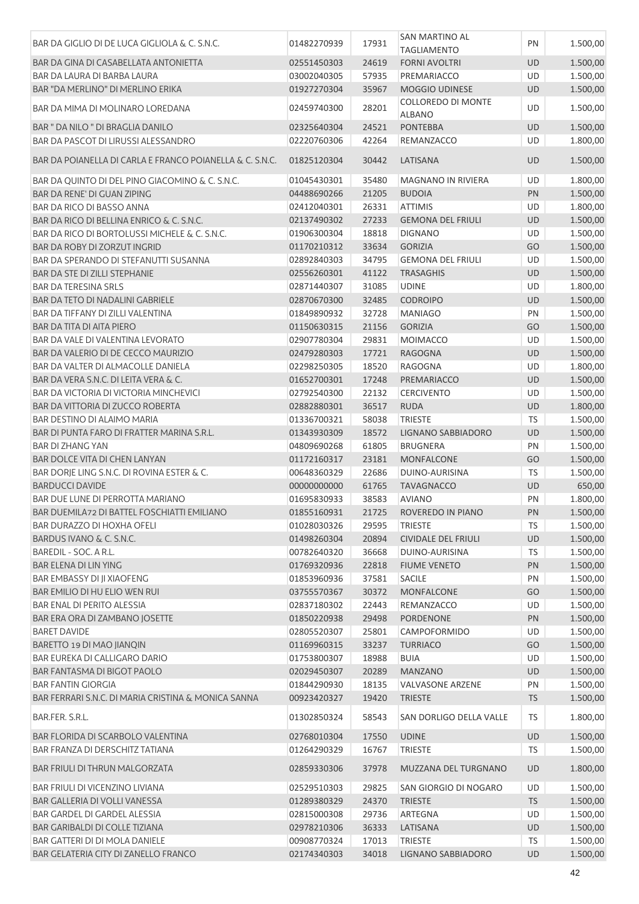| BAR DA GIGLIO DI DE LUCA GIGLIOLA & C. S.N.C.            | 01482270939 | 17931 | SAN MARTINO AL                             | PN        | 1.500,00 |
|----------------------------------------------------------|-------------|-------|--------------------------------------------|-----------|----------|
|                                                          |             |       | <b>TAGLIAMENTO</b>                         |           |          |
| BAR DA GINA DI CASABELLATA ANTONIETTA                    | 02551450303 | 24619 | <b>FORNI AVOLTRI</b>                       | UD        | 1.500,00 |
| BAR DA LAURA DI BARBA LAURA                              | 03002040305 | 57935 | PREMARIACCO                                | UD        | 1.500,00 |
| BAR "DA MERLINO" DI MERLINO ERIKA                        | 01927270304 | 35967 | <b>MOGGIO UDINESE</b>                      | <b>UD</b> | 1.500,00 |
| BAR DA MIMA DI MOLINARO LOREDANA                         | 02459740300 | 28201 | <b>COLLOREDO DI MONTE</b><br><b>ALBANO</b> | <b>UD</b> | 1.500,00 |
| BAR " DA NILO " DI BRAGLIA DANILO                        | 02325640304 | 24521 | <b>PONTEBBA</b>                            | UD        | 1.500,00 |
| <b>BAR DA PASCOT DI LIRUSSI ALESSANDRO</b>               | 02220760306 | 42264 | REMANZACCO                                 | UD        | 1.800,00 |
|                                                          |             |       |                                            |           |          |
| BAR DA POIANELLA DI CARLA E FRANCO POIANELLA & C. S.N.C. | 01825120304 | 30442 | LATISANA                                   | <b>UD</b> | 1.500,00 |
| BAR DA QUINTO DI DEL PINO GIACOMINO & C. S.N.C.          | 01045430301 | 35480 | MAGNANO IN RIVIERA                         | UD        | 1.800,00 |
| BAR DA RENE' DI GUAN ZIPING                              | 04488690266 | 21205 | <b>BUDOIA</b>                              | PN        | 1.500,00 |
| BAR DA RICO DI BASSO ANNA                                | 02412040301 | 26331 | <b>ATTIMIS</b>                             | UD        | 1.800,00 |
| BAR DA RICO DI BELLINA ENRICO & C. S.N.C.                | 02137490302 | 27233 | <b>GEMONA DEL FRIULI</b>                   | <b>UD</b> | 1.500,00 |
| BAR DA RICO DI BORTOLUSSI MICHELE & C. S.N.C.            | 01906300304 | 18818 | <b>DIGNANO</b>                             | <b>UD</b> | 1.500,00 |
| BAR DA ROBY DI ZORZUT INGRID                             | 01170210312 | 33634 | <b>GORIZIA</b>                             | GO        | 1.500,00 |
| BAR DA SPERANDO DI STEFANUTTI SUSANNA                    | 02892840303 | 34795 | <b>GEMONA DEL FRIULI</b>                   | <b>UD</b> | 1.500,00 |
| BAR DA STE DI ZILLI STEPHANIE                            | 02556260301 | 41122 | <b>TRASAGHIS</b>                           | <b>UD</b> | 1.500,00 |
| <b>BAR DA TERESINA SRLS</b>                              | 02871440307 | 31085 | <b>UDINE</b>                               | <b>UD</b> | 1.800,00 |
| <b>BAR DA TETO DI NADALINI GABRIELE</b>                  | 02870670300 | 32485 | <b>CODROIPO</b>                            | <b>UD</b> | 1.500,00 |
| BAR DA TIFFANY DI ZILLI VALENTINA                        | 01849890932 | 32728 | <b>MANIAGO</b>                             | PN        | 1.500,00 |
| <b>BAR DA TITA DI AITA PIERO</b>                         | 01150630315 | 21156 | <b>GORIZIA</b>                             | GO        | 1.500,00 |
| BAR DA VALE DI VALENTINA LEVORATO                        | 02907780304 | 29831 | <b>MOIMACCO</b>                            | UD        |          |
| BAR DA VALERIO DI DE CECCO MAURIZIO                      |             |       |                                            |           | 1.500,00 |
|                                                          | 02479280303 | 17721 | <b>RAGOGNA</b>                             | <b>UD</b> | 1.500,00 |
| BAR DA VALTER DI ALMACOLLE DANIELA                       | 02298250305 | 18520 | RAGOGNA                                    | UD        | 1.800,00 |
| BAR DA VERA S.N.C. DI LEITA VERA & C.                    | 01652700301 | 17248 | PREMARIACCO                                | <b>UD</b> | 1.500,00 |
| <b>BAR DA VICTORIA DI VICTORIA MINCHEVICI</b>            | 02792540300 | 22132 | <b>CERCIVENTO</b>                          | <b>UD</b> | 1.500,00 |
| BAR DA VITTORIA DI ZUCCO ROBERTA                         | 02882880301 | 36517 | <b>RUDA</b>                                | <b>UD</b> | 1.800,00 |
| BAR DESTINO DI ALAIMO MARIA                              | 01336700321 | 58038 | <b>TRIESTE</b>                             | TS        | 1.500,00 |
| BAR DI PUNTA FARO DI FRATTER MARINA S.R.L.               | 01343930309 | 18572 | LIGNANO SABBIADORO                         | <b>UD</b> | 1.500,00 |
| <b>BAR DI ZHANG YAN</b>                                  | 04809690268 | 61805 | <b>BRUGNERA</b>                            | PN        | 1.500,00 |
| <b>BAR DOLCE VITA DI CHEN LANYAN</b>                     | 01172160317 | 23181 | <b>MONFALCONE</b>                          | GO        | 1.500,00 |
| BAR DORJE LING S.N.C. DI ROVINA ESTER & C.               | 00648360329 | 22686 | DUINO-AURISINA                             | <b>TS</b> | 1.500,00 |
| <b>BARDUCCI DAVIDE</b>                                   | 00000000000 | 61765 | <b>TAVAGNACCO</b>                          | <b>UD</b> | 650,00   |
| BAR DUE LUNE DI PERROTTA MARIANO                         | 01695830933 | 38583 | <b>AVIANO</b>                              | PN        | 1.800,00 |
| BAR DUEMILA72 DI BATTEL FOSCHIATTI EMILIANO              | 01855160931 | 21725 | ROVEREDO IN PIANO                          | PN        | 1.500,00 |
| BAR DURAZZO DI HOXHA OFELI                               | 01028030326 | 29595 | <b>TRIESTE</b>                             | TS.       | 1.500,00 |
| BARDUS IVANO & C. S.N.C.                                 | 01498260304 | 20894 | <b>CIVIDALE DEL FRIULI</b>                 | <b>UD</b> | 1.500,00 |
| BAREDIL - SOC. A R.L.                                    | 00782640320 | 36668 | DUINO-AURISINA                             | <b>TS</b> | 1.500,00 |
| <b>BAR ELENA DI LIN YING</b>                             | 01769320936 | 22818 | <b>FIUME VENETO</b>                        | PN        | 1.500,00 |
| BAR EMBASSY DI JI XIAOFENG                               | 01853960936 | 37581 | <b>SACILE</b>                              | PN        | 1.500,00 |
| BAR EMILIO DI HU ELIO WEN RUI                            | 03755570367 | 30372 | <b>MONFALCONE</b>                          | GO        | 1.500,00 |
| BAR ENAL DI PERITO ALESSIA                               | 02837180302 | 22443 | REMANZACCO                                 | UD        | 1.500,00 |
| BAR ERA ORA DI ZAMBANO JOSETTE                           | 01850220938 | 29498 | <b>PORDENONE</b>                           | PN        | 1.500,00 |
| <b>BARET DAVIDE</b>                                      | 02805520307 | 25801 | CAMPOFORMIDO                               | UD        | 1.500,00 |
| BARETTO 19 DI MAO JIANQIN                                | 01169960315 | 33237 | <b>TURRIACO</b>                            | GO        | 1.500,00 |
| BAR EUREKA DI CALLIGARO DARIO                            | 01753800307 | 18988 | <b>BUIA</b>                                | UD        | 1.500,00 |
|                                                          |             |       |                                            |           |          |
| BAR FANTASMA DI BIGOT PAOLO                              | 02029450307 | 20289 | <b>MANZANO</b>                             | <b>UD</b> | 1.500,00 |
| <b>BAR FANTIN GIORGIA</b>                                | 01844290930 | 18135 | <b>VALVASONE ARZENE</b>                    | PN        | 1.500,00 |
| BAR FERRARI S.N.C. DI MARIA CRISTINA & MONICA SANNA      | 00923420327 | 19420 | <b>TRIESTE</b>                             | <b>TS</b> | 1.500,00 |
| BAR.FER. S.R.L.                                          | 01302850324 | 58543 | SAN DORLIGO DELLA VALLE                    | TS.       | 1.800,00 |
| BAR FLORIDA DI SCARBOLO VALENTINA                        | 02768010304 | 17550 | <b>UDINE</b>                               | UD        | 1.500,00 |
| BAR FRANZA DI DERSCHITZ TATIANA                          | 01264290329 | 16767 | <b>TRIESTE</b>                             | <b>TS</b> | 1.500,00 |
| BAR FRIULI DI THRUN MALGORZATA                           | 02859330306 | 37978 | MUZZANA DEL TURGNANO                       | UD        | 1.800,00 |
| <b>BAR FRIULI DI VICENZINO LIVIANA</b>                   | 02529510303 | 29825 | SAN GIORGIO DI NOGARO                      | UD        | 1.500,00 |
| BAR GALLERIA DI VOLLI VANESSA                            | 01289380329 | 24370 | <b>TRIESTE</b>                             | <b>TS</b> | 1.500,00 |
| BAR GARDEL DI GARDEL ALESSIA                             | 02815000308 | 29736 | ARTEGNA                                    | UD        | 1.500,00 |
| BAR GARIBALDI DI COLLE TIZIANA                           | 02978210306 | 36333 | LATISANA                                   | <b>UD</b> | 1.500,00 |
| BAR GATTERI DI DI MOLA DANIELE                           | 00908770324 | 17013 | <b>TRIESTE</b>                             | <b>TS</b> | 1.500,00 |
| BAR GELATERIA CITY DI ZANELLO FRANCO                     | 02174340303 | 34018 | LIGNANO SABBIADORO                         | UD        | 1.500,00 |
|                                                          |             |       |                                            |           |          |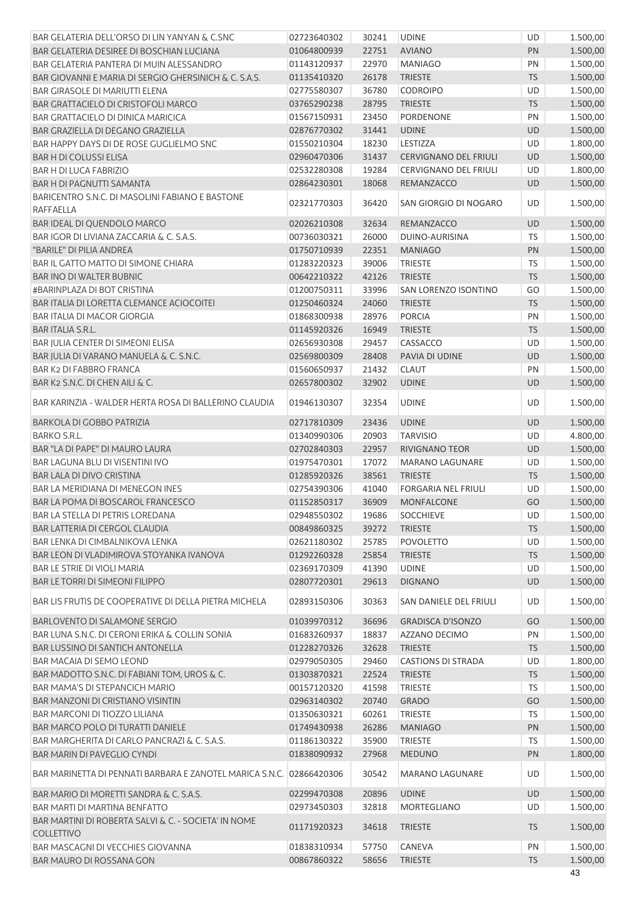| BAR GELATERIA DELL'ORSO DI LIN YANYAN & C.SNC                             | 02723640302 | 30241 | <b>UDINE</b>                 | UD        | 1.500,00 |
|---------------------------------------------------------------------------|-------------|-------|------------------------------|-----------|----------|
| BAR GELATERIA DESIREE DI BOSCHIAN LUCIANA                                 | 01064800939 | 22751 | <b>AVIANO</b>                | PN        | 1.500,00 |
| BAR GELATERIA PANTERA DI MUIN ALESSANDRO                                  | 01143120937 | 22970 | <b>MANIAGO</b>               | PN        | 1.500,00 |
| BAR GIOVANNI E MARIA DI SERGIO GHERSINICH & C. S.A.S.                     | 01135410320 | 26178 | <b>TRIESTE</b>               | <b>TS</b> | 1.500,00 |
| <b>BAR GIRASOLE DI MARIUTTI ELENA</b>                                     | 02775580307 | 36780 | <b>CODROIPO</b>              | UD        | 1.500,00 |
| <b>BAR GRATTACIELO DI CRISTOFOLI MARCO</b>                                | 03765290238 | 28795 | <b>TRIESTE</b>               | <b>TS</b> | 1.500,00 |
| BAR GRATTACIELO DI DINICA MARICICA                                        | 01567150931 | 23450 | PORDENONE                    | PN        | 1.500,00 |
| BAR GRAZIELLA DI DEGANO GRAZIELLA                                         | 02876770302 | 31441 | <b>UDINE</b>                 | UD        | 1.500,00 |
| BAR HAPPY DAYS DI DE ROSE GUGLIELMO SNC                                   | 01550210304 | 18230 | LESTIZZA                     | <b>UD</b> | 1.800,00 |
| <b>BAR H DI COLUSSI ELISA</b>                                             | 02960470306 | 31437 | <b>CERVIGNANO DEL FRIULI</b> | <b>UD</b> | 1.500,00 |
| <b>BAR H DI LUCA FABRIZIO</b>                                             | 02532280308 | 19284 | <b>CERVIGNANO DEL FRIULI</b> | UD        | 1.800,00 |
| <b>BAR H DI PAGNUTTI SAMANTA</b>                                          | 02864230301 | 18068 | REMANZACCO                   | UD        | 1.500,00 |
| BARICENTRO S.N.C. DI MASOLINI FABIANO E BASTONE<br><b>RAFFAELLA</b>       | 02321770303 | 36420 | SAN GIORGIO DI NOGARO        | UD        | 1.500,00 |
| BAR IDEAL DI QUENDOLO MARCO                                               | 02026210308 | 32634 | REMANZACCO                   | <b>UD</b> | 1.500,00 |
| BAR IGOR DI LIVIANA ZACCARIA & C. S.A.S.                                  | 00736030321 | 26000 | DUINO-AURISINA               | TS        | 1.500,00 |
| "BARILE" DI PILIA ANDREA                                                  | 01750710939 | 22351 | <b>MANIAGO</b>               | PN        | 1.500,00 |
| BAR IL GATTO MATTO DI SIMONE CHIARA                                       | 01283220323 | 39006 | <b>TRIESTE</b>               | TS        | 1.500,00 |
| <b>BAR INO DI WALTER BUBNIC</b>                                           | 00642210322 | 42126 | <b>TRIESTE</b>               | <b>TS</b> | 1.500,00 |
| #BARINPLAZA DI BOT CRISTINA                                               | 01200750311 | 33996 | SAN LORENZO ISONTINO         | GO        | 1.500,00 |
| <b>BAR ITALIA DI LORETTA CLEMANCE ACIOCOITEI</b>                          | 01250460324 | 24060 | <b>TRIESTE</b>               | <b>TS</b> | 1.500,00 |
| <b>BAR ITALIA DI MACOR GIORGIA</b>                                        | 01868300938 | 28976 | <b>PORCIA</b>                | PN        | 1.500,00 |
| <b>BAR ITALIA S.R.L.</b>                                                  | 01145920326 | 16949 | <b>TRIESTE</b>               | <b>TS</b> | 1.500,00 |
| BAR JULIA CENTER DI SIMEONI ELISA                                         | 02656930308 | 29457 | CASSACCO                     | UD        | 1.500,00 |
| BAR JULIA DI VARANO MANUELA & C. S.N.C.                                   | 02569800309 | 28408 | PAVIA DI UDINE               | UD        | 1.500,00 |
| <b>BAR K2 DI FABBRO FRANCA</b>                                            | 01560650937 | 21432 | <b>CLAUT</b>                 | PN        | 1.500,00 |
| BAR K2 S.N.C. DI CHEN AILI & C.                                           | 02657800302 | 32902 | <b>UDINE</b>                 | UD        | 1.500,00 |
| BAR KARINZIA - WALDER HERTA ROSA DI BALLERINO CLAUDIA                     | 01946130307 | 32354 | <b>UDINE</b>                 | <b>UD</b> | 1.500,00 |
| BARKOLA DI GOBBO PATRIZIA                                                 | 02717810309 | 23436 | <b>UDINE</b>                 | UD        | 1.500,00 |
| BARKO S.R.L.                                                              | 01340990306 | 20903 | <b>TARVISIO</b>              | UD        | 4.800,00 |
| BAR "LA DI PAPE" DI MAURO LAURA                                           | 02702840303 | 22957 | <b>RIVIGNANO TEOR</b>        | <b>UD</b> | 1.500,00 |
| <b>BAR LAGUNA BLU DI VISENTINI IVO</b>                                    | 01975470301 | 17072 | MARANO LAGUNARE              | UD        | 1.500,00 |
| <b>BAR LALA DI DIVO CRISTINA</b>                                          | 01285920326 | 38561 | <b>TRIESTE</b>               | <b>TS</b> | 1.500,00 |
| BAR LA MERIDIANA DI MENEGON INES                                          | 02754390306 | 41040 | <b>FORGARIA NEL FRIULI</b>   | UD        | 1.500,00 |
| BAR LA POMA DI BOSCAROL FRANCESCO                                         | 01152850317 | 36909 | <b>MONFALCONE</b>            | GO        | 1.500,00 |
| BAR LA STELLA DI PETRIS LOREDANA                                          | 02948550302 | 19686 | <b>SOCCHIEVE</b>             | UD        | 1.500,00 |
| <b>BAR LATTERIA DI CERGOL CLAUDIA</b>                                     | 00849860325 | 39272 | <b>TRIESTE</b>               | <b>TS</b> | 1.500,00 |
| BAR LENKA DI CIMBALNIKOVA LENKA                                           | 02621180302 | 25785 | <b>POVOLETTO</b>             | UD        | 1.500,00 |
| BAR LEON DI VLADIMIROVA STOYANKA IVANOVA                                  | 01292260328 | 25854 | <b>TRIESTE</b>               | <b>TS</b> | 1.500,00 |
| <b>BAR LE STRIE DI VIOLI MARIA</b>                                        | 02369170309 | 41390 | <b>UDINE</b>                 | <b>UD</b> | 1.500,00 |
| <b>BAR LE TORRI DI SIMEONI FILIPPO</b>                                    | 02807720301 | 29613 | <b>DIGNANO</b>               | <b>UD</b> | 1.500,00 |
| BAR LIS FRUTIS DE COOPERATIVE DI DELLA PIETRA MICHELA                     | 02893150306 | 30363 | SAN DANIELE DEL FRIULI       | UD        | 1.500,00 |
| <b>BARLOVENTO DI SALAMONE SERGIO</b>                                      | 01039970312 | 36696 | <b>GRADISCA D'ISONZO</b>     | GO        | 1.500,00 |
| BAR LUNA S.N.C. DI CERONI ERIKA & COLLIN SONIA                            | 01683260937 | 18837 | AZZANO DECIMO                | PN        | 1.500,00 |
| <b>BAR LUSSINO DI SANTICH ANTONELLA</b>                                   | 01228270326 | 32628 | <b>TRIESTE</b>               | <b>TS</b> | 1.500,00 |
| BAR MACAIA DI SEMO LEOND                                                  | 02979050305 | 29460 | <b>CASTIONS DI STRADA</b>    | UD        | 1.800,00 |
| BAR MADOTTO S.N.C. DI FABIANI TOM, UROS & C.                              | 01303870321 | 22524 | <b>TRIESTE</b>               | <b>TS</b> | 1.500,00 |
| BAR MAMA'S DI STEPANCICH MARIO                                            | 00157120320 | 41598 | <b>TRIESTE</b>               | <b>TS</b> | 1.500,00 |
| <b>BAR MANZONI DI CRISTIANO VISINTIN</b>                                  | 02963140302 | 20740 | <b>GRADO</b>                 | GO        | 1.500,00 |
| <b>BAR MARCONI DI TIOZZO LILIANA</b>                                      | 01350630321 | 60261 | <b>TRIESTE</b>               | <b>TS</b> | 1.500,00 |
| <b>BAR MARCO POLO DI TURATTI DANIELE</b>                                  | 01749430938 | 26286 | <b>MANIAGO</b>               | PN        | 1.500,00 |
| BAR MARGHERITA DI CARLO PANCRAZI & C. S.A.S.                              | 01186130322 | 35900 | <b>TRIESTE</b>               | TS        | 1.500,00 |
| <b>BAR MARIN DI PAVEGLIO CYNDI</b>                                        | 01838090932 | 27968 | <b>MEDUNO</b>                | PN        | 1.800,00 |
| BAR MARINETTA DI PENNATI BARBARA E ZANOTEL MARICA S.N.C.                  | 02866420306 | 30542 | <b>MARANO LAGUNARE</b>       | UD        | 1.500,00 |
| BAR MARIO DI MORETTI SANDRA & C. S.A.S.                                   | 02299470308 | 20896 | <b>UDINE</b>                 | UD        | 1.500,00 |
| BAR MARTI DI MARTINA BENFATTO                                             | 02973450303 | 32818 | MORTEGLIANO                  | UD        | 1.500,00 |
| BAR MARTINI DI ROBERTA SALVI & C. - SOCIETA' IN NOME<br><b>COLLETTIVO</b> | 01171920323 | 34618 | <b>TRIESTE</b>               | <b>TS</b> | 1.500,00 |
| BAR MASCAGNI DI VECCHIES GIOVANNA                                         | 01838310934 | 57750 | CANEVA                       | PN        | 1.500,00 |
| BAR MAURO DI ROSSANA GON                                                  | 00867860322 | 58656 | <b>TRIESTE</b>               | <b>TS</b> | 1.500,00 |
|                                                                           |             |       |                              |           | 43       |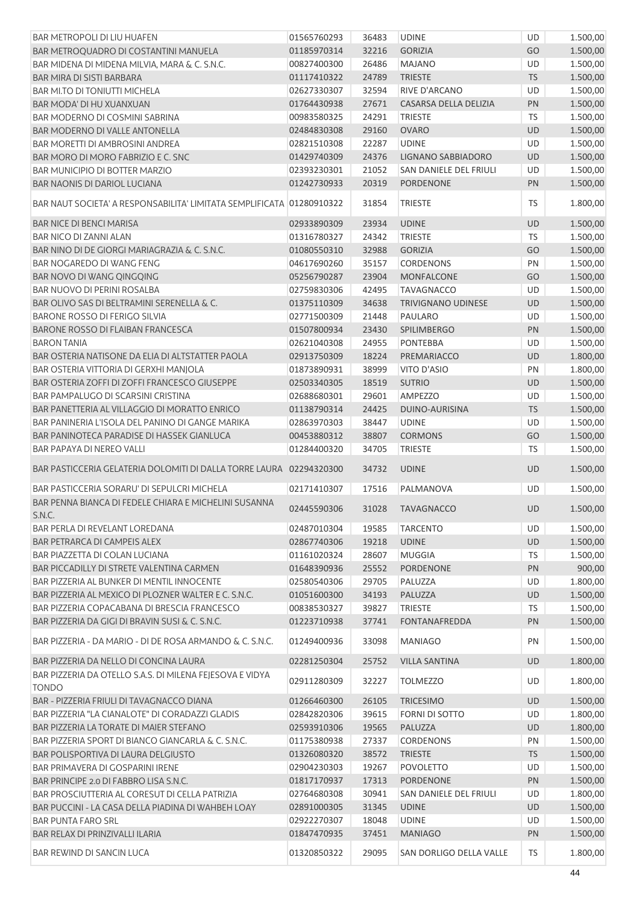| <b>BAR METROPOLI DI LIU HUAFEN</b>                                       | 01565760293 | 36483 | <b>UDINE</b>            | UD        | 1.500,00 |
|--------------------------------------------------------------------------|-------------|-------|-------------------------|-----------|----------|
| BAR METROQUADRO DI COSTANTINI MANUELA                                    | 01185970314 | 32216 | <b>GORIZIA</b>          | GO        | 1.500,00 |
| BAR MIDENA DI MIDENA MILVIA, MARA & C. S.N.C.                            | 00827400300 | 26486 | <b>MAJANO</b>           | UD        | 1.500,00 |
| BAR MIRA DI SISTI BARBARA                                                | 01117410322 | 24789 | <b>TRIESTE</b>          | <b>TS</b> | 1.500,00 |
| <b>BAR MI.TO DI TONIUTTI MICHELA</b>                                     | 02627330307 | 32594 | RIVE D'ARCANO           | <b>UD</b> | 1.500,00 |
| BAR MODA' DI HU XUANXUAN                                                 | 01764430938 | 27671 | CASARSA DELLA DELIZIA   | PN        | 1.500,00 |
| BAR MODERNO DI COSMINI SABRINA                                           | 00983580325 | 24291 | <b>TRIESTE</b>          | <b>TS</b> | 1.500,00 |
| BAR MODERNO DI VALLE ANTONELLA                                           | 02484830308 | 29160 | <b>OVARO</b>            | UD        | 1.500,00 |
| BAR MORETTI DI AMBROSINI ANDREA                                          | 02821510308 | 22287 | <b>UDINE</b>            | <b>UD</b> | 1.500,00 |
| BAR MORO DI MORO FABRIZIO E C. SNC                                       | 01429740309 | 24376 | LIGNANO SABBIADORO      | UD        | 1.500,00 |
| <b>BAR MUNICIPIO DI BOTTER MARZIO</b>                                    | 02393230301 | 21052 | SAN DANIELE DEL FRIULI  | UD        | 1.500,00 |
| <b>BAR NAONIS DI DARIOL LUCIANA</b>                                      | 01242730933 | 20319 | PORDENONE               | PN        | 1.500,00 |
| BAR NAUT SOCIETA' A RESPONSABILITA' LIMITATA SEMPLIFICATA 01280910322    |             | 31854 | <b>TRIESTE</b>          | <b>TS</b> | 1.800,00 |
| <b>BAR NICE DI BENCI MARISA</b>                                          | 02933890309 | 23934 | <b>UDINE</b>            | UD        | 1.500,00 |
| <b>BAR NICO DI ZANNI ALAN</b>                                            | 01316780327 | 24342 | <b>TRIESTE</b>          | TS        | 1.500,00 |
| BAR NINO DI DE GIORGI MARIAGRAZIA & C. S.N.C.                            | 01080550310 | 32988 | <b>GORIZIA</b>          | GO        | 1.500,00 |
| BAR NOGAREDO DI WANG FENG                                                | 04617690260 | 35157 | <b>CORDENONS</b>        | PN        | 1.500,00 |
| BAR NOVO DI WANG QINGQING                                                | 05256790287 | 23904 | <b>MONFALCONE</b>       | GO        | 1.500,00 |
| BAR NUOVO DI PERINI ROSALBA                                              | 02759830306 | 42495 | <b>TAVAGNACCO</b>       | <b>UD</b> | 1.500,00 |
| BAR OLIVO SAS DI BELTRAMINI SERENELLA & C.                               | 01375110309 | 34638 | TRIVIGNANO UDINESE      | UD        | 1.500,00 |
| <b>BARONE ROSSO DI FERIGO SILVIA</b>                                     | 02771500309 | 21448 | PAULARO                 | UD        | 1.500,00 |
| BARONE ROSSO DI FLAIBAN FRANCESCA                                        | 01507800934 | 23430 | SPILIMBERGO             | PN        | 1.500,00 |
| <b>BARON TANIA</b>                                                       | 02621040308 | 24955 | <b>PONTEBBA</b>         | UD        | 1.500,00 |
| BAR OSTERIA NATISONE DA ELIA DI ALTSTATTER PAOLA                         | 02913750309 | 18224 | PREMARIACCO             | UD        | 1.800,00 |
| BAR OSTERIA VITTORIA DI GERXHI MANJOLA                                   | 01873890931 | 38999 | VITO D'ASIO             | PN        | 1.800,00 |
| BAR OSTERIA ZOFFI DI ZOFFI FRANCESCO GIUSEPPE                            | 02503340305 | 18519 | <b>SUTRIO</b>           | UD        | 1.500,00 |
| BAR PAMPALUGO DI SCARSINI CRISTINA                                       | 02688680301 | 29601 | <b>AMPEZZO</b>          | UD        | 1.500,00 |
| BAR PANETTERIA AL VILLAGGIO DI MORATTO ENRICO                            | 01138790314 | 24425 | DUINO-AURISINA          | <b>TS</b> | 1.500,00 |
| BAR PANINERIA L'ISOLA DEL PANINO DI GANGE MARIKA                         | 02863970303 | 38447 | <b>UDINE</b>            | UD        | 1.500,00 |
| BAR PANINOTECA PARADISE DI HASSEK GIANLUCA                               | 00453880312 | 38807 | <b>CORMONS</b>          | GO        | 1.500,00 |
| BAR PAPAYA DI NEREO VALLI                                                | 01284400320 | 34705 | <b>TRIESTE</b>          | <b>TS</b> | 1.500,00 |
| BAR PASTICCERIA GELATERIA DOLOMITI DI DALLA TORRE LAURA 02294320300      |             | 34732 | <b>UDINE</b>            | <b>UD</b> | 1.500,00 |
| BAR PASTICCERIA SORARU' DI SEPULCRI MICHELA                              | 02171410307 | 17516 | PALMANOVA               | UD        | 1.500,00 |
| BAR PENNA BIANCA DI FEDELE CHIARA E MICHELINI SUSANNA<br>S.N.C.          | 02445590306 |       | 31028 TAVAGNACCO        | UD        | 1.500,00 |
| BAR PERLA DI REVELANT LOREDANA                                           | 02487010304 | 19585 | <b>TARCENTO</b>         | UD        | 1.500,00 |
| BAR PETRARCA DI CAMPEIS ALEX                                             | 02867740306 | 19218 | <b>UDINE</b>            | UD        | 1.500,00 |
| BAR PIAZZETTA DI COLAN LUCIANA                                           | 01161020324 | 28607 | <b>MUGGIA</b>           | <b>TS</b> | 1.500,00 |
| BAR PICCADILLY DI STRETE VALENTINA CARMEN                                | 01648390936 | 25552 | <b>PORDENONE</b>        | PN        | 900,00   |
| BAR PIZZERIA AL BUNKER DI MENTIL INNOCENTE                               | 02580540306 | 29705 | PALUZZA                 | UD        | 1.800,00 |
| BAR PIZZERIA AL MEXICO DI PLOZNER WALTER E C. S.N.C.                     | 01051600300 | 34193 | PALUZZA                 | UD        | 1.500,00 |
| BAR PIZZERIA COPACABANA DI BRESCIA FRANCESCO                             | 00838530327 | 39827 | <b>TRIESTE</b>          | <b>TS</b> | 1.500,00 |
| BAR PIZZERIA DA GIGI DI BRAVIN SUSI & C. S.N.C.                          | 01223710938 | 37741 | <b>FONTANAFREDDA</b>    | PN        | 1.500,00 |
| BAR PIZZERIA - DA MARIO - DI DE ROSA ARMANDO & C. S.N.C.                 | 01249400936 | 33098 | <b>MANIAGO</b>          | PN        | 1.500,00 |
| BAR PIZZERIA DA NELLO DI CONCINA LAURA                                   | 02281250304 | 25752 | <b>VILLA SANTINA</b>    | UD        | 1.800,00 |
| BAR PIZZERIA DA OTELLO S.A.S. DI MILENA FEJESOVA E VIDYA<br><b>TONDO</b> | 02911280309 | 32227 | <b>TOLMEZZO</b>         | UD        | 1.800,00 |
| BAR - PIZZERIA FRIULI DI TAVAGNACCO DIANA                                | 01266460300 | 26105 | <b>TRICESIMO</b>        | UD        | 1.500,00 |
| BAR PIZZERIA "LA CIANALOTE" DI CORADAZZI GLADIS                          | 02842820306 | 39615 | <b>FORNI DI SOTTO</b>   | UD        | 1.800,00 |
| BAR PIZZERIA LA TORATE DI MAIER STEFANO                                  | 02593910306 | 19565 | PALUZZA                 | <b>UD</b> | 1.800,00 |
| BAR PIZZERIA SPORT DI BIANCO GIANCARLA & C. S.N.C.                       | 01175380938 | 27337 | <b>CORDENONS</b>        | PN        | 1.500,00 |
| BAR POLISPORTIVA DI LAURA DELGIUSTO                                      | 01326080320 | 38572 | <b>TRIESTE</b>          | <b>TS</b> | 1.500,00 |
| BAR PRIMAVERA DI GOSPARINI IRENE                                         | 02904230303 | 19267 | <b>POVOLETTO</b>        | UD        | 1.500,00 |
| BAR PRINCIPE 2.0 DI FABBRO LISA S.N.C.                                   | 01817170937 | 17313 | PORDENONE               | PN        | 1.500,00 |
| BAR PROSCIUTTERIA AL CORESUT DI CELLA PATRIZIA                           | 02764680308 | 30941 | SAN DANIELE DEL FRIULI  | UD        | 1.800,00 |
| BAR PUCCINI - LA CASA DELLA PIADINA DI WAHBEH LOAY                       | 02891000305 | 31345 | <b>UDINE</b>            | UD        | 1.500,00 |
| <b>BAR PUNTA FARO SRL</b>                                                | 02922270307 | 18048 | <b>UDINE</b>            | UD        | 1.500,00 |
| BAR RELAX DI PRINZIVALLI ILARIA                                          | 01847470935 | 37451 | <b>MANIAGO</b>          | PN        | 1.500,00 |
| BAR REWIND DI SANCIN LUCA                                                | 01320850322 | 29095 | SAN DORLIGO DELLA VALLE | <b>TS</b> | 1.800,00 |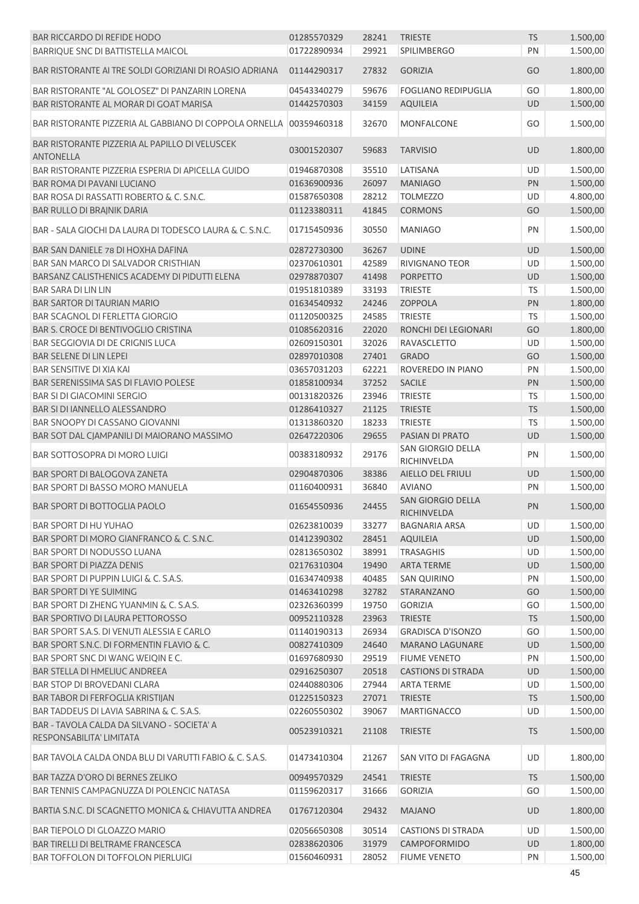| <b>BAR RICCARDO DI REFIDE HODO</b>                                     | 01285570329 | 28241 | <b>TRIESTE</b>                     | <b>TS</b> | 1.500,00             |
|------------------------------------------------------------------------|-------------|-------|------------------------------------|-----------|----------------------|
| BARRIQUE SNC DI BATTISTELLA MAICOL                                     | 01722890934 | 29921 | SPILIMBERGO                        | PN        | 1.500,00             |
| BAR RISTORANTE AI TRE SOLDI GORIZIANI DI ROASIO ADRIANA                | 01144290317 | 27832 | <b>GORIZIA</b>                     | GO        | 1.800,00             |
| BAR RISTORANTE "AL GOLOSEZ" DI PANZARIN LORENA                         | 04543340279 | 59676 | <b>FOGLIANO REDIPUGLIA</b>         | GO        | 1.800,00             |
| BAR RISTORANTE AL MORAR DI GOAT MARISA                                 | 01442570303 | 34159 | <b>AQUILEIA</b>                    | <b>UD</b> | 1.500,00             |
| BAR RISTORANTE PIZZERIA AL GABBIANO DI COPPOLA ORNELLA                 | 00359460318 | 32670 | MONFALCONE                         | GO        | 1.500,00             |
| BAR RISTORANTE PIZZERIA AL PAPILLO DI VELUSCEK<br><b>ANTONELLA</b>     | 03001520307 | 59683 | <b>TARVISIO</b>                    | <b>UD</b> | 1.800,00             |
| BAR RISTORANTE PIZZERIA ESPERIA DI APICELLA GUIDO                      | 01946870308 | 35510 | LATISANA                           | UD        | 1.500,00             |
| <b>BAR ROMA DI PAVANI LUCIANO</b>                                      | 01636900936 | 26097 | <b>MANIAGO</b>                     | PN        | 1.500,00             |
| BAR ROSA DI RASSATTI ROBERTO & C. S.N.C.                               | 01587650308 | 28212 | <b>TOLMEZZO</b>                    | UD        | 4.800,00             |
| BAR RULLO DI BRAJNIK DARIA                                             | 01123380311 | 41845 | <b>CORMONS</b>                     | GO        | 1.500,00             |
| BAR - SALA GIOCHI DA LAURA DI TODESCO LAURA & C. S.N.C.                | 01715450936 | 30550 | <b>MANIAGO</b>                     | PN        | 1.500,00             |
| BAR SAN DANIELE 78 DI HOXHA DAFINA                                     | 02872730300 | 36267 | <b>UDINE</b>                       | UD        | 1.500,00             |
| BAR SAN MARCO DI SALVADOR CRISTHIAN                                    | 02370610301 | 42589 | RIVIGNANO TEOR                     | UD        | 1.500,00             |
| BARSANZ CALISTHENICS ACADEMY DI PIDUTTI ELENA                          | 02978870307 | 41498 | <b>PORPETTO</b>                    | <b>UD</b> | 1.500,00             |
| <b>BAR SARA DI LIN LIN</b>                                             | 01951810389 | 33193 | <b>TRIESTE</b>                     | TS        | 1.500,00             |
| <b>BAR SARTOR DI TAURIAN MARIO</b>                                     | 01634540932 | 24246 | <b>ZOPPOLA</b>                     | PN        | 1.800,00             |
| <b>BAR SCAGNOL DI FERLETTA GIORGIO</b>                                 | 01120500325 | 24585 | <b>TRIESTE</b>                     | TS        | 1.500,00             |
| BAR S. CROCE DI BENTIVOGLIO CRISTINA                                   | 01085620316 | 22020 | RONCHI DEI LEGIONARI               | GO        | 1.800,00             |
| <b>BAR SEGGIOVIA DI DE CRIGNIS LUCA</b>                                | 02609150301 | 32026 | RAVASCLETTO                        | UD        | 1.500,00             |
| BAR SELENE DI LIN LEPEI                                                | 02897010308 | 27401 | <b>GRADO</b>                       | GO        | 1.500,00             |
| BAR SENSITIVE DI XIA KAI                                               | 03657031203 | 62221 | ROVEREDO IN PIANO                  | PN        | 1.500,00             |
| BAR SERENISSIMA SAS DI FLAVIO POLESE                                   | 01858100934 | 37252 | <b>SACILE</b>                      | PN        | 1.500,00             |
| <b>BAR SI DI GIACOMINI SERGIO</b>                                      | 00131820326 | 23946 | <b>TRIESTE</b>                     | <b>TS</b> | 1.500,00             |
| BAR SI DI IANNELLO ALESSANDRO                                          | 01286410327 | 21125 | <b>TRIESTE</b>                     | <b>TS</b> | 1.500,00             |
| BAR SNOOPY DI CASSANO GIOVANNI                                         | 01313860320 | 18233 | <b>TRIESTE</b>                     | <b>TS</b> | 1.500,00             |
| BAR SOT DAL CJAMPANILI DI MAIORANO MASSIMO                             | 02647220306 | 29655 | PASIAN DI PRATO                    | <b>UD</b> | 1.500,00             |
| BAR SOTTOSOPRA DI MORO LUIGI                                           | 00383180932 | 29176 | SAN GIORGIO DELLA                  | PN        | 1.500,00             |
| BAR SPORT DI BALOGOVA ZANETA                                           |             |       | RICHINVELDA                        |           |                      |
| <b>BAR SPORT DI BASSO MORO MANUELA</b>                                 | 02904870306 | 38386 | AIELLO DEL FRIULI                  | UD        | 1.500,00             |
|                                                                        | 01160400931 | 36840 | <b>AVIANO</b><br>SAN GIORGIO DELLA | PN        | 1.500,00             |
| <b>BAR SPORT DI BOTTOGLIA PAOLO</b>                                    | 01654550936 | 24455 | RICHINVELDA                        | PN        | 1.500,00             |
| <b>BAR SPORT DI HU YUHAO</b>                                           | 02623810039 | 33277 | <b>BAGNARIA ARSA</b>               | UD        | 1.500,00             |
| BAR SPORT DI MORO GIANFRANCO & C. S.N.C.                               | 01412390302 | 28451 | AQUILEIA                           | UD        | 1.500,00             |
| BAR SPORT DI NODUSSO LUANA                                             | 02813650302 | 38991 | <b>TRASAGHIS</b>                   | UD        | 1.500,00             |
| BAR SPORT DI PIAZZA DENIS                                              | 02176310304 | 19490 | <b>ARTA TERME</b>                  | UD        | 1.500,00             |
| BAR SPORT DI PUPPIN LUIGI & C. S.A.S.                                  | 01634740938 | 40485 | <b>SAN QUIRINO</b>                 | PN        | 1.500,00             |
| BAR SPORT DI YE SUIMING                                                | 01463410298 | 32782 | STARANZANO                         | GO        | 1.500,00             |
| BAR SPORT DI ZHENG YUANMIN & C. S.A.S.                                 | 02326360399 | 19750 | <b>GORIZIA</b>                     | GO        | 1.500,00             |
| <b>BAR SPORTIVO DI LAURA PETTOROSSO</b>                                | 00952110328 | 23963 | <b>TRIESTE</b>                     | <b>TS</b> | 1.500,00             |
| BAR SPORT S.A.S. DI VENUTI ALESSIA E CARLO                             | 01140190313 | 26934 | <b>GRADISCA D'ISONZO</b>           | GO        | 1.500,00             |
| BAR SPORT S.N.C. DI FORMENTIN FLAVIO & C.                              | 00827410309 | 24640 | <b>MARANO LAGUNARE</b>             | UD        | 1.500,00             |
| BAR SPORT SNC DI WANG WEIQIN E C.                                      | 01697680930 | 29519 | <b>FIUME VENETO</b>                | PN        | 1.500,00             |
| BAR STELLA DI HMELIUC ANDREEA                                          | 02916250307 | 20518 | <b>CASTIONS DI STRADA</b>          | UD        | 1.500,00             |
| <b>BAR STOP DI BROVEDANI CLARA</b>                                     | 02440880306 | 27944 | <b>ARTA TERME</b>                  | UD        | 1.500,00             |
| <b>BAR TABOR DI FERFOGLIA KRISTIJAN</b>                                | 01225150323 | 27071 | <b>TRIESTE</b>                     | <b>TS</b> | 1.500,00             |
| BAR TADDEUS DI LAVIA SABRINA & C. S.A.S.                               | 02260550302 | 39067 | MARTIGNACCO                        | UD        | 1.500,00             |
| BAR - TAVOLA CALDA DA SILVANO - SOCIETA' A<br>RESPONSABILITA' LIMITATA | 00523910321 | 21108 | <b>TRIESTE</b>                     | <b>TS</b> | 1.500,00             |
| BAR TAVOLA CALDA ONDA BLU DI VARUTTI FABIO & C. S.A.S.                 | 01473410304 | 21267 | SAN VITO DI FAGAGNA                | <b>UD</b> | 1.800,00             |
| BAR TAZZA D'ORO DI BERNES ZELIKO                                       | 00949570329 | 24541 | <b>TRIESTE</b>                     | <b>TS</b> |                      |
| BAR TENNIS CAMPAGNUZZA DI POLENCIC NATASA                              | 01159620317 | 31666 | <b>GORIZIA</b>                     | GO        | 1.500,00<br>1.500,00 |
|                                                                        |             |       |                                    |           |                      |
| BARTIA S.N.C. DI SCAGNETTO MONICA & CHIAVUTTA ANDREA                   | 01767120304 | 29432 | <b>MAJANO</b>                      | UD        | 1.800,00             |
| BAR TIEPOLO DI GLOAZZO MARIO                                           | 02056650308 | 30514 | <b>CASTIONS DI STRADA</b>          | UD        | 1.500,00             |
| <b>BAR TIRELLI DI BELTRAME FRANCESCA</b>                               | 02838620306 | 31979 | CAMPOFORMIDO                       | <b>UD</b> | 1.800,00             |
| BAR TOFFOLON DI TOFFOLON PIERLUIGI                                     | 01560460931 | 28052 | <b>FIUME VENETO</b>                | PN        | 1.500,00             |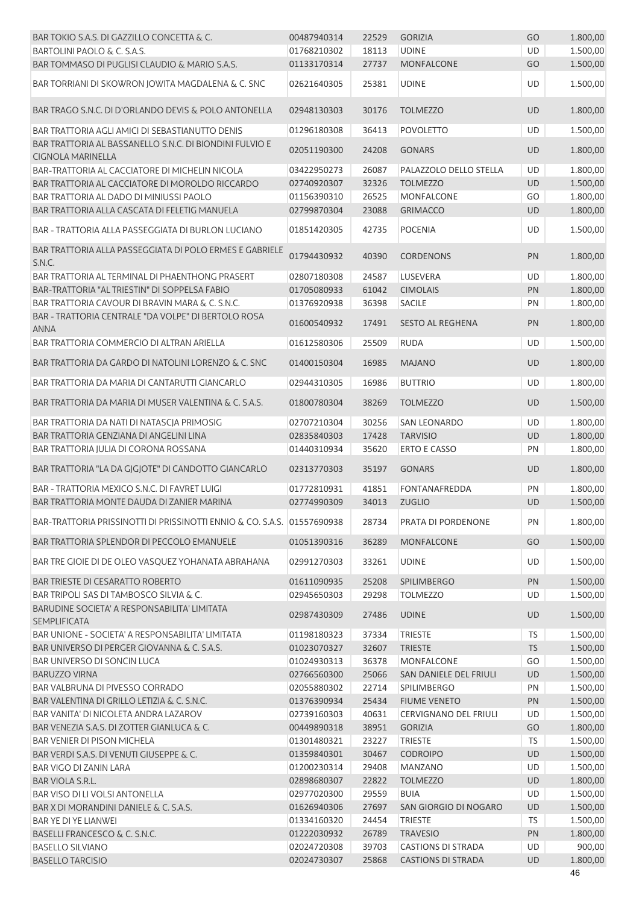| BAR TOKIO S.A.S. DI GAZZILLO CONCETTA & C.                                   | 00487940314                | 22529          | <b>GORIZIA</b>                         | GO        | 1.800,00             |
|------------------------------------------------------------------------------|----------------------------|----------------|----------------------------------------|-----------|----------------------|
| BARTOLINI PAOLO & C. S.A.S.                                                  | 01768210302                | 18113          | <b>UDINE</b>                           | UD        | 1.500,00             |
| BAR TOMMASO DI PUGLISI CLAUDIO & MARIO S.A.S.                                | 01133170314                | 27737          | <b>MONFALCONE</b>                      | GO        | 1.500,00             |
| BAR TORRIANI DI SKOWRON JOWITA MAGDALENA & C. SNC                            | 02621640305                | 25381          | <b>UDINE</b>                           | <b>UD</b> | 1.500,00             |
| BAR TRAGO S.N.C. DI D'ORLANDO DEVIS & POLO ANTONELLA                         | 02948130303                | 30176          | <b>TOLMEZZO</b>                        | UD        | 1.800,00             |
| BAR TRATTORIA AGLI AMICI DI SEBASTIANUTTO DENIS                              | 01296180308                | 36413          | POVOLETTO                              | UD        | 1.500,00             |
| BAR TRATTORIA AL BASSANELLO S.N.C. DI BIONDINI FULVIO E<br>CIGNOLA MARINELLA | 02051190300                | 24208          | <b>GONARS</b>                          | <b>UD</b> | 1.800,00             |
| BAR-TRATTORIA AL CACCIATORE DI MICHELIN NICOLA                               | 03422950273                | 26087          | PALAZZOLO DELLO STELLA                 | <b>UD</b> | 1.800,00             |
| BAR TRATTORIA AL CACCIATORE DI MOROLDO RICCARDO                              | 02740920307                | 32326          | <b>TOLMEZZO</b>                        | UD        | 1.500,00             |
| BAR TRATTORIA AL DADO DI MINIUSSI PAOLO                                      | 01156390310                | 26525          | MONFALCONE                             | GO        | 1.800,00             |
| BAR TRATTORIA ALLA CASCATA DI FELETIG MANUELA                                | 02799870304                | 23088          | <b>GRIMACCO</b>                        | <b>UD</b> | 1.800,00             |
| BAR - TRATTORIA ALLA PASSEGGIATA DI BURLON LUCIANO                           | 01851420305                | 42735          | <b>POCENIA</b>                         | UD        | 1.500,00             |
| BAR TRATTORIA ALLA PASSEGGIATA DI POLO ERMES E GABRIELE<br>S.N.C.            | 01794430932                | 40390          | <b>CORDENONS</b>                       | PN        | 1.800,00             |
| BAR TRATTORIA AL TERMINAL DI PHAENTHONG PRASERT                              | 02807180308                | 24587          | LUSEVERA                               | UD        | 1.800,00             |
| BAR-TRATTORIA "AL TRIESTIN" DI SOPPELSA FABIO                                | 01705080933                | 61042          | <b>CIMOLAIS</b>                        | PN        | 1.800,00             |
| BAR TRATTORIA CAVOUR DI BRAVIN MARA & C. S.N.C.                              | 01376920938                | 36398          | <b>SACILE</b>                          | PN        | 1.800,00             |
| BAR - TRATTORIA CENTRALE "DA VOLPE" DI BERTOLO ROSA                          |                            |                |                                        |           |                      |
| <b>ANNA</b><br>BAR TRATTORIA COMMERCIO DI ALTRAN ARIELLA                     | 01600540932<br>01612580306 | 17491<br>25509 | <b>SESTO AL REGHENA</b><br><b>RUDA</b> | PN<br>UD  | 1.800,00<br>1.500,00 |
|                                                                              |                            |                |                                        |           |                      |
| BAR TRATTORIA DA GARDO DI NATOLINI LORENZO & C. SNC                          | 01400150304                | 16985          | <b>MAJANO</b>                          | <b>UD</b> | 1.800,00             |
| BAR TRATTORIA DA MARIA DI CANTARUTTI GIANCARLO                               | 02944310305                | 16986          | <b>BUTTRIO</b>                         | UD        | 1.800,00             |
| BAR TRATTORIA DA MARIA DI MUSER VALENTINA & C. S.A.S.                        | 01800780304                | 38269          | <b>TOLMEZZO</b>                        | UD        | 1.500,00             |
| BAR TRATTORIA DA NATI DI NATASCJA PRIMOSIG                                   | 02707210304                | 30256          | <b>SAN LEONARDO</b>                    | UD        | 1.800,00             |
| BAR TRATTORIA GENZIANA DI ANGELINI LINA                                      | 02835840303                | 17428          | <b>TARVISIO</b>                        | UD        | 1.800,00             |
| BAR TRATTORIA JULIA DI CORONA ROSSANA                                        | 01440310934                | 35620          | ERTO E CASSO                           | PN        | 1.800,00             |
| BAR TRATTORIA "LA DA GJGJOTE" DI CANDOTTO GIANCARLO                          | 02313770303                | 35197          | <b>GONARS</b>                          | <b>UD</b> | 1.800,00             |
| BAR - TRATTORIA MEXICO S.N.C. DI FAVRET LUIGI                                | 01772810931                | 41851          | <b>FONTANAFREDDA</b>                   | PN        | 1.800,00             |
| BAR TRATTORIA MONTE DAUDA DI ZANIER MARINA                                   | 02774990309                | 34013          | <b>ZUGLIO</b>                          | <b>UD</b> | 1.500,00             |
| BAR-TRATTORIA PRISSINOTTI DI PRISSINOTTI ENNIO & CO. S.A.S. 01557690938      |                            | 28734          | PRATA DI PORDENONE                     | PN        | 1.800,00             |
| BAR TRATTORIA SPLENDOR DI PECCOLO EMANUELE                                   | 01051390316                | 36289          | <b>MONFALCONE</b>                      | GO        | 1.500,00             |
| BAR TRE GIOIE DI DE OLEO VASQUEZ YOHANATA ABRAHANA                           | 02991270303                | 33261          | <b>UDINE</b>                           | <b>UD</b> | 1.500,00             |
| <b>BAR TRIESTE DI CESARATTO ROBERTO</b>                                      | 01611090935                | 25208          | <b>SPILIMBERGO</b>                     | PN        | 1.500,00             |
| BAR TRIPOLI SAS DI TAMBOSCO SILVIA & C.                                      | 02945650303                | 29298          | <b>TOLMEZZO</b>                        | UD        | 1.500,00             |
| BARUDINE SOCIETA' A RESPONSABILITA' LIMITATA<br><b>SEMPLIFICATA</b>          | 02987430309                | 27486          | <b>UDINE</b>                           | UD        | 1.500,00             |
| BAR UNIONE - SOCIETA' A RESPONSABILITA' LIMITATA                             | 01198180323                |                |                                        |           |                      |
|                                                                              |                            | 37334          | <b>TRIESTE</b>                         | TS        | 1.500,00             |
| BAR UNIVERSO DI PERGER GIOVANNA & C. S.A.S.                                  | 01023070327                | 32607          | <b>TRIESTE</b>                         | <b>TS</b> | 1.500,00             |
| <b>BAR UNIVERSO DI SONCIN LUCA</b>                                           | 01024930313                | 36378          | MONFALCONE                             | GO        | 1.500,00             |
| <b>BARUZZO VIRNA</b>                                                         | 02766560300                | 25066          | SAN DANIELE DEL FRIULI                 | UD        | 1.500,00             |
| BAR VALBRUNA DI PIVESSO CORRADO                                              | 02055880302                | 22714          | SPILIMBERGO                            | PN        | 1.500,00             |
| BAR VALENTINA DI GRILLO LETIZIA & C. S.N.C.                                  | 01376390934                | 25434          | <b>FIUME VENETO</b>                    | PN        | 1.500,00             |
| BAR VANITA' DI NICOLETA ANDRA LAZAROV                                        | 02739160303                | 40631          | CERVIGNANO DEL FRIULI                  | UD        | 1.500,00             |
| BAR VENEZIA S.A.S. DI ZOTTER GIANLUCA & C.                                   | 00449890318                | 38951          | <b>GORIZIA</b>                         | GO        | 1.800,00             |
| <b>BAR VENIER DI PISON MICHELA</b>                                           | 01301480321                | 23227          | <b>TRIESTE</b>                         | <b>TS</b> | 1.500,00             |
| BAR VERDI S.A.S. DI VENUTI GIUSEPPE & C.                                     | 01359840301                | 30467          | <b>CODROIPO</b>                        | UD        | 1.500,00             |
| <b>BAR VIGO DI ZANIN LARA</b>                                                | 01200230314                | 29408          | MANZANO                                | UD        | 1.500,00             |
| BAR VIOLA S.R.L.                                                             | 02898680307                | 22822          | <b>TOLMEZZO</b>                        | UD        | 1.800,00             |
| BAR VISO DI LI VOLSI ANTONELLA                                               | 02977020300                | 29559          | <b>BUIA</b>                            | UD        | 1.500,00             |
| BAR X DI MORANDINI DANIELE & C. S.A.S.                                       | 01626940306                | 27697          | SAN GIORGIO DI NOGARO                  | <b>UD</b> | 1.500,00             |
| <b>BAR YE DI YE LIANWEI</b>                                                  | 01334160320                | 24454          | <b>TRIESTE</b>                         | <b>TS</b> | 1.500,00             |
| BASELLI FRANCESCO & C. S.N.C.                                                | 01222030932                | 26789          | <b>TRAVESIO</b>                        | PN        | 1.800,00             |
| <b>BASELLO SILVIANO</b>                                                      | 02024720308                | 39703          | <b>CASTIONS DI STRADA</b>              | UD        | 900,00               |
| <b>BASELLO TARCISIO</b>                                                      | 02024730307                | 25868          | <b>CASTIONS DI STRADA</b>              | <b>UD</b> | 1.800,00             |
|                                                                              |                            |                |                                        |           | 46                   |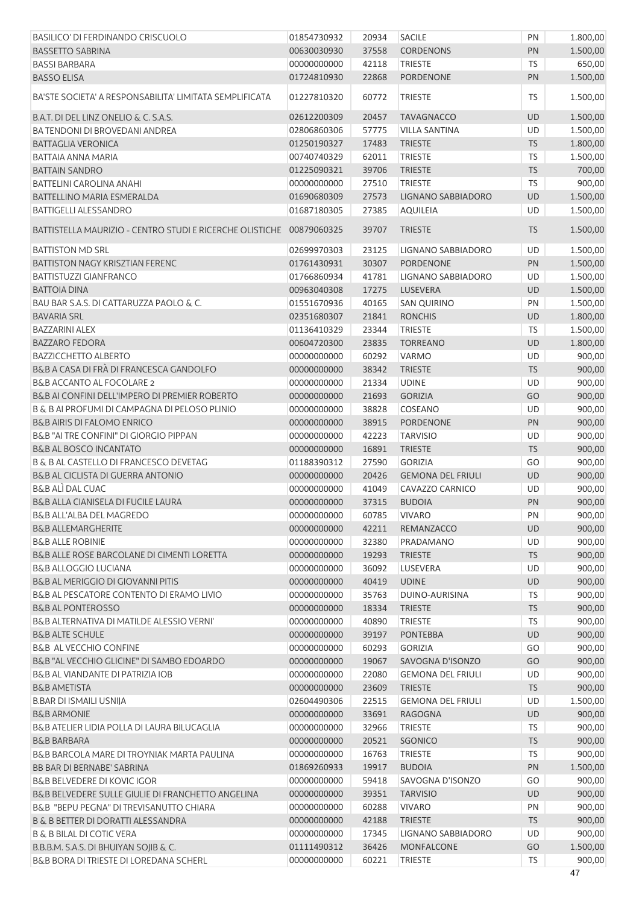| <b>BASSETTO SABRINA</b><br>00630030930<br>37558<br><b>CORDENONS</b><br>PN<br>1.500,00<br>42118<br><b>TRIESTE</b><br><b>TS</b><br>650,00<br><b>BASSI BARBARA</b><br>00000000000<br><b>BASSO ELISA</b><br>01724810930<br>22868<br><b>PORDENONE</b><br>PN<br>1.500,00<br>BA'STE SOCIETA' A RESPONSABILITA' LIMITATA SEMPLIFICATA<br>1.500,00<br>01227810320<br>60772<br><b>TRIESTE</b><br>TS<br>B.A.T. DI DEL LINZ ONELIO & C. S.A.S.<br>02612200309<br>20457<br><b>TAVAGNACCO</b><br>UD<br>1.500,00<br>UD<br>BA TENDONI DI BROVEDANI ANDREA<br>02806860306<br>57775<br><b>VILLA SANTINA</b><br>1.500,00<br>1.800,00<br><b>BATTAGLIA VERONICA</b><br>01250190327<br>17483<br><b>TRIESTE</b><br><b>TS</b><br>TS<br>1.500,00<br>BATTAIA ANNA MARIA<br>00740740329<br>62011<br><b>TRIESTE</b><br><b>BATTAIN SANDRO</b><br><b>TS</b><br>01225090321<br>39706<br>700,00<br><b>TRIESTE</b><br><b>BATTELINI CAROLINA ANAHI</b><br>900,00<br>00000000000<br>27510<br><b>TRIESTE</b><br><b>TS</b><br>BATTELLINO MARIA ESMERALDA<br>UD<br>1.500,00<br>01690680309<br>27573<br>LIGNANO SABBIADORO<br><b>BATTIGELLI ALESSANDRO</b><br>27385<br>UD<br>1.500,00<br>01687180305<br><b>AQUILEIA</b><br>BATTISTELLA MAURIZIO - CENTRO STUDI E RICERCHE OLISTICHE 00879060325<br>39707<br><b>TRIESTE</b><br><b>TS</b><br>1.500,00<br><b>BATTISTON MD SRL</b><br>UD<br>02699970303<br>23125<br>LIGNANO SABBIADORO<br>1.500,00<br><b>BATTISTON NAGY KRISZTIAN FERENC</b><br>30307<br>PN<br>01761430931<br><b>PORDENONE</b><br>1.500,00<br><b>BATTISTUZZI GIANFRANCO</b><br>41781<br>LIGNANO SABBIADORO<br>UD<br>1.500,00<br>01766860934<br>1.500,00<br><b>BATTOIA DINA</b><br>00963040308<br>17275<br>LUSEVERA<br>UD<br>BAU BAR S.A.S. DI CATTARUZZA PAOLO & C.<br>40165<br><b>SAN QUIRINO</b><br>PN<br>1.500,00<br>01551670936<br><b>BAVARIA SRL</b><br>UD<br>1.800,00<br>02351680307<br>21841<br><b>RONCHIS</b><br><b>BAZZARINI ALEX</b><br>23344<br>TS<br>1.500,00<br>01136410329<br><b>TRIESTE</b><br><b>BAZZARO FEDORA</b><br>1.800,00<br>00604720300<br>23835<br><b>TORREANO</b><br>UD<br><b>BAZZICCHETTO ALBERTO</b><br>UD<br>900,00<br>00000000000<br>60292<br><b>VARMO</b><br>B&B A CASA DI FRÀ DI FRANCESCA GANDOLFO<br><b>TS</b><br>00000000000<br>38342<br><b>TRIESTE</b><br>900,00<br><b>B&amp;B ACCANTO AL FOCOLARE 2</b><br>21334<br>UD<br>900,00<br>00000000000<br><b>UDINE</b><br>B&B AI CONFINI DELL'IMPERO DI PREMIER ROBERTO<br>GO<br>900,00<br>00000000000<br>21693<br><b>GORIZIA</b><br>B & B AI PROFUMI DI CAMPAGNA DI PELOSO PLINIO<br>38828<br>COSEANO<br>UD<br>900,00<br>00000000000<br><b>B&amp;B AIRIS DI FALOMO ENRICO</b><br>38915<br>PORDENONE<br>PN<br>900,00<br>00000000000<br>B&B "AI TRE CONFINI" DI GIORGIO PIPPAN<br>42223<br>UD<br>00000000000<br><b>TARVISIO</b><br>900,00<br><b>B&amp;B AL BOSCO INCANTATO</b><br>16891<br>00000000000<br><b>TRIESTE</b><br><b>TS</b><br>900,00<br><b>B &amp; B AL CASTELLO DI FRANCESCO DEVETAG</b><br>27590<br>GO<br>01188390312<br><b>GORIZIA</b><br>900,00<br>UD<br>B&B AL CICLISTA DI GUERRA ANTONIO<br>00000000000<br>20426<br><b>GEMONA DEL FRIULI</b><br>900,00<br><b>B&amp;B ALI DAL CUAC</b><br>UD<br>00000000000<br>41049<br>CAVAZZO CARNICO<br>900,00<br>900,00<br><b>B&amp;B ALLA CIANISELA DI FUCILE LAURA</b><br>00000000000<br>37315<br><b>BUDOIA</b><br>PN<br>900,00<br>00000000000<br><b>B&amp;B ALL'ALBA DEL MAGREDO</b><br>60785<br><b>VIVARO</b><br>PN<br>UD<br>900,00<br><b>B&amp;B ALLEMARGHERITE</b><br>00000000000<br>42211<br>REMANZACCO<br>32380<br><b>UD</b><br>900,00<br><b>B&amp;B ALLE ROBINIE</b><br>00000000000<br>PRADAMANO<br><b>TS</b><br>B&B ALLE ROSE BARCOLANE DI CIMENTI LORETTA<br>00000000000<br>19293<br><b>TRIESTE</b><br>900,00<br><b>UD</b><br><b>B&amp;B ALLOGGIO LUCIANA</b><br>00000000000<br>36092<br>LUSEVERA<br>900,00<br><b>B&amp;B AL MERIGGIO DI GIOVANNI PITIS</b><br>00000000000<br>40419<br><b>UDINE</b><br><b>UD</b><br>900,00<br>B&B AL PESCATORE CONTENTO DI ERAMO LIVIO<br>00000000000<br>35763<br>DUINO-AURISINA<br><b>TS</b><br>900,00<br><b>TS</b><br><b>B&amp;B AL PONTEROSSO</b><br>00000000000<br>18334<br>900,00<br><b>TRIESTE</b><br><b>TS</b><br>B&B ALTERNATIVA DI MATILDE ALESSIO VERNI'<br>00000000000<br>40890<br><b>TRIESTE</b><br>900,00<br><b>B&amp;B ALTE SCHULE</b><br><b>UD</b><br>00000000000<br>39197<br><b>PONTEBBA</b><br>900,00<br><b>B&amp;B AL VECCHIO CONFINE</b><br>60293<br><b>GORIZIA</b><br>GO<br>900,00<br>00000000000<br>B&B "AL VECCHIO GLICINE" DI SAMBO EDOARDO<br>GO<br>00000000000<br>19067<br>SAVOGNA D'ISONZO<br>900,00<br><b>UD</b><br>B&B AL VIANDANTE DI PATRIZIA IOB<br>00000000000<br>22080<br><b>GEMONA DEL FRIULI</b><br>900,00<br><b>B&amp;B AMETISTA</b><br>00000000000<br>23609<br><b>TRIESTE</b><br><b>TS</b><br>900,00<br><b>B.BAR DI ISMAILI USNIJA</b><br><b>UD</b><br>02604490306<br>22515<br><b>GEMONA DEL FRIULI</b><br>1.500,00<br><b>UD</b><br><b>B&amp;B ARMONIE</b><br>00000000000<br>33691<br><b>RAGOGNA</b><br>900,00<br>B&B ATELIER LIDIA POLLA DI LAURA BILUCAGLIA<br>00000000000<br>32966<br><b>TRIESTE</b><br>TS<br>900,00<br><b>B&amp;B BARBARA</b><br>00000000000<br>20521<br>SGONICO<br><b>TS</b><br>900,00<br>B&B BARCOLA MARE DI TROYNIAK MARTA PAULINA<br><b>TS</b><br>900,00<br>00000000000<br>16763<br><b>TRIESTE</b><br>PN<br>BB BAR DI BERNABE' SABRINA<br>01869260933<br>19917<br>1.500,00<br><b>BUDOIA</b><br><b>B&amp;B BELVEDERE DI KOVIC IGOR</b><br>00000000000<br>SAVOGNA D'ISONZO<br>GO<br>900,00<br>59418<br>B&B BELVEDERE SULLE GIULIE DI FRANCHETTO ANGELINA<br>00000000000<br>39351<br><b>UD</b><br>900,00<br><b>TARVISIO</b><br><b>B&amp;B "BEPU PEGNA" DI TREVISANUTTO CHIARA</b><br>PN<br>00000000000<br>60288<br><b>VIVARO</b><br>900,00<br>B & B BETTER DI DORATTI ALESSANDRA<br><b>TS</b><br>900,00<br>00000000000<br>42188<br><b>TRIESTE</b><br><b>B &amp; B BILAL DI COTIC VERA</b><br>00000000000<br>17345<br>LIGNANO SABBIADORO<br>UD<br>900,00<br>B.B.B.M. S.A.S. DI BHUIYAN SOJIB & C.<br>1.500,00<br>01111490312<br>36426<br><b>MONFALCONE</b><br>GO<br>B&B BORA DI TRIESTE DI LOREDANA SCHERL<br>00000000000<br>60221<br><b>TRIESTE</b><br><b>TS</b><br>900,00 | <b>BASILICO' DI FERDINANDO CRISCUOLO</b> | 01854730932 | 20934 | <b>SACILE</b> | PN | 1.800,00 |
|--------------------------------------------------------------------------------------------------------------------------------------------------------------------------------------------------------------------------------------------------------------------------------------------------------------------------------------------------------------------------------------------------------------------------------------------------------------------------------------------------------------------------------------------------------------------------------------------------------------------------------------------------------------------------------------------------------------------------------------------------------------------------------------------------------------------------------------------------------------------------------------------------------------------------------------------------------------------------------------------------------------------------------------------------------------------------------------------------------------------------------------------------------------------------------------------------------------------------------------------------------------------------------------------------------------------------------------------------------------------------------------------------------------------------------------------------------------------------------------------------------------------------------------------------------------------------------------------------------------------------------------------------------------------------------------------------------------------------------------------------------------------------------------------------------------------------------------------------------------------------------------------------------------------------------------------------------------------------------------------------------------------------------------------------------------------------------------------------------------------------------------------------------------------------------------------------------------------------------------------------------------------------------------------------------------------------------------------------------------------------------------------------------------------------------------------------------------------------------------------------------------------------------------------------------------------------------------------------------------------------------------------------------------------------------------------------------------------------------------------------------------------------------------------------------------------------------------------------------------------------------------------------------------------------------------------------------------------------------------------------------------------------------------------------------------------------------------------------------------------------------------------------------------------------------------------------------------------------------------------------------------------------------------------------------------------------------------------------------------------------------------------------------------------------------------------------------------------------------------------------------------------------------------------------------------------------------------------------------------------------------------------------------------------------------------------------------------------------------------------------------------------------------------------------------------------------------------------------------------------------------------------------------------------------------------------------------------------------------------------------------------------------------------------------------------------------------------------------------------------------------------------------------------------------------------------------------------------------------------------------------------------------------------------------------------------------------------------------------------------------------------------------------------------------------------------------------------------------------------------------------------------------------------------------------------------------------------------------------------------------------------------------------------------------------------------------------------------------------------------------------------------------------------------------------------------------------------------------------------------------------------------------------------------------------------------------------------------------------------------------------------------------------------------------------------------------------------------------------------------------------------------------------------------------------------------------------------------------------------------------------------------------------------------------------------------------------------------------------------------------------------------------------------------------------------------------------------------------------------------------------------------------------------------------------------------------------------------------------------------------------------------------------------------------------------------------------------------------------------------------------------------------------------------------------------------------------------------------------------------------------------------------------------------------------------------------------------------------------------------------------------------------------------------------------------------------------------------------------------------------------------------------------------------------------------|------------------------------------------|-------------|-------|---------------|----|----------|
|                                                                                                                                                                                                                                                                                                                                                                                                                                                                                                                                                                                                                                                                                                                                                                                                                                                                                                                                                                                                                                                                                                                                                                                                                                                                                                                                                                                                                                                                                                                                                                                                                                                                                                                                                                                                                                                                                                                                                                                                                                                                                                                                                                                                                                                                                                                                                                                                                                                                                                                                                                                                                                                                                                                                                                                                                                                                                                                                                                                                                                                                                                                                                                                                                                                                                                                                                                                                                                                                                                                                                                                                                                                                                                                                                                                                                                                                                                                                                                                                                                                                                                                                                                                                                                                                                                                                                                                                                                                                                                                                                                                                                                                                                                                                                                                                                                                                                                                                                                                                                                                                                                                                                                                                                                                                                                                                                                                                                                                                                                                                                                                                                                                                                                                                                                                                                                                                                                                                                                                                                                                                                                                                                                                      |                                          |             |       |               |    |          |
|                                                                                                                                                                                                                                                                                                                                                                                                                                                                                                                                                                                                                                                                                                                                                                                                                                                                                                                                                                                                                                                                                                                                                                                                                                                                                                                                                                                                                                                                                                                                                                                                                                                                                                                                                                                                                                                                                                                                                                                                                                                                                                                                                                                                                                                                                                                                                                                                                                                                                                                                                                                                                                                                                                                                                                                                                                                                                                                                                                                                                                                                                                                                                                                                                                                                                                                                                                                                                                                                                                                                                                                                                                                                                                                                                                                                                                                                                                                                                                                                                                                                                                                                                                                                                                                                                                                                                                                                                                                                                                                                                                                                                                                                                                                                                                                                                                                                                                                                                                                                                                                                                                                                                                                                                                                                                                                                                                                                                                                                                                                                                                                                                                                                                                                                                                                                                                                                                                                                                                                                                                                                                                                                                                                      |                                          |             |       |               |    |          |
|                                                                                                                                                                                                                                                                                                                                                                                                                                                                                                                                                                                                                                                                                                                                                                                                                                                                                                                                                                                                                                                                                                                                                                                                                                                                                                                                                                                                                                                                                                                                                                                                                                                                                                                                                                                                                                                                                                                                                                                                                                                                                                                                                                                                                                                                                                                                                                                                                                                                                                                                                                                                                                                                                                                                                                                                                                                                                                                                                                                                                                                                                                                                                                                                                                                                                                                                                                                                                                                                                                                                                                                                                                                                                                                                                                                                                                                                                                                                                                                                                                                                                                                                                                                                                                                                                                                                                                                                                                                                                                                                                                                                                                                                                                                                                                                                                                                                                                                                                                                                                                                                                                                                                                                                                                                                                                                                                                                                                                                                                                                                                                                                                                                                                                                                                                                                                                                                                                                                                                                                                                                                                                                                                                                      |                                          |             |       |               |    |          |
|                                                                                                                                                                                                                                                                                                                                                                                                                                                                                                                                                                                                                                                                                                                                                                                                                                                                                                                                                                                                                                                                                                                                                                                                                                                                                                                                                                                                                                                                                                                                                                                                                                                                                                                                                                                                                                                                                                                                                                                                                                                                                                                                                                                                                                                                                                                                                                                                                                                                                                                                                                                                                                                                                                                                                                                                                                                                                                                                                                                                                                                                                                                                                                                                                                                                                                                                                                                                                                                                                                                                                                                                                                                                                                                                                                                                                                                                                                                                                                                                                                                                                                                                                                                                                                                                                                                                                                                                                                                                                                                                                                                                                                                                                                                                                                                                                                                                                                                                                                                                                                                                                                                                                                                                                                                                                                                                                                                                                                                                                                                                                                                                                                                                                                                                                                                                                                                                                                                                                                                                                                                                                                                                                                                      |                                          |             |       |               |    |          |
|                                                                                                                                                                                                                                                                                                                                                                                                                                                                                                                                                                                                                                                                                                                                                                                                                                                                                                                                                                                                                                                                                                                                                                                                                                                                                                                                                                                                                                                                                                                                                                                                                                                                                                                                                                                                                                                                                                                                                                                                                                                                                                                                                                                                                                                                                                                                                                                                                                                                                                                                                                                                                                                                                                                                                                                                                                                                                                                                                                                                                                                                                                                                                                                                                                                                                                                                                                                                                                                                                                                                                                                                                                                                                                                                                                                                                                                                                                                                                                                                                                                                                                                                                                                                                                                                                                                                                                                                                                                                                                                                                                                                                                                                                                                                                                                                                                                                                                                                                                                                                                                                                                                                                                                                                                                                                                                                                                                                                                                                                                                                                                                                                                                                                                                                                                                                                                                                                                                                                                                                                                                                                                                                                                                      |                                          |             |       |               |    |          |
|                                                                                                                                                                                                                                                                                                                                                                                                                                                                                                                                                                                                                                                                                                                                                                                                                                                                                                                                                                                                                                                                                                                                                                                                                                                                                                                                                                                                                                                                                                                                                                                                                                                                                                                                                                                                                                                                                                                                                                                                                                                                                                                                                                                                                                                                                                                                                                                                                                                                                                                                                                                                                                                                                                                                                                                                                                                                                                                                                                                                                                                                                                                                                                                                                                                                                                                                                                                                                                                                                                                                                                                                                                                                                                                                                                                                                                                                                                                                                                                                                                                                                                                                                                                                                                                                                                                                                                                                                                                                                                                                                                                                                                                                                                                                                                                                                                                                                                                                                                                                                                                                                                                                                                                                                                                                                                                                                                                                                                                                                                                                                                                                                                                                                                                                                                                                                                                                                                                                                                                                                                                                                                                                                                                      |                                          |             |       |               |    |          |
|                                                                                                                                                                                                                                                                                                                                                                                                                                                                                                                                                                                                                                                                                                                                                                                                                                                                                                                                                                                                                                                                                                                                                                                                                                                                                                                                                                                                                                                                                                                                                                                                                                                                                                                                                                                                                                                                                                                                                                                                                                                                                                                                                                                                                                                                                                                                                                                                                                                                                                                                                                                                                                                                                                                                                                                                                                                                                                                                                                                                                                                                                                                                                                                                                                                                                                                                                                                                                                                                                                                                                                                                                                                                                                                                                                                                                                                                                                                                                                                                                                                                                                                                                                                                                                                                                                                                                                                                                                                                                                                                                                                                                                                                                                                                                                                                                                                                                                                                                                                                                                                                                                                                                                                                                                                                                                                                                                                                                                                                                                                                                                                                                                                                                                                                                                                                                                                                                                                                                                                                                                                                                                                                                                                      |                                          |             |       |               |    |          |
|                                                                                                                                                                                                                                                                                                                                                                                                                                                                                                                                                                                                                                                                                                                                                                                                                                                                                                                                                                                                                                                                                                                                                                                                                                                                                                                                                                                                                                                                                                                                                                                                                                                                                                                                                                                                                                                                                                                                                                                                                                                                                                                                                                                                                                                                                                                                                                                                                                                                                                                                                                                                                                                                                                                                                                                                                                                                                                                                                                                                                                                                                                                                                                                                                                                                                                                                                                                                                                                                                                                                                                                                                                                                                                                                                                                                                                                                                                                                                                                                                                                                                                                                                                                                                                                                                                                                                                                                                                                                                                                                                                                                                                                                                                                                                                                                                                                                                                                                                                                                                                                                                                                                                                                                                                                                                                                                                                                                                                                                                                                                                                                                                                                                                                                                                                                                                                                                                                                                                                                                                                                                                                                                                                                      |                                          |             |       |               |    |          |
|                                                                                                                                                                                                                                                                                                                                                                                                                                                                                                                                                                                                                                                                                                                                                                                                                                                                                                                                                                                                                                                                                                                                                                                                                                                                                                                                                                                                                                                                                                                                                                                                                                                                                                                                                                                                                                                                                                                                                                                                                                                                                                                                                                                                                                                                                                                                                                                                                                                                                                                                                                                                                                                                                                                                                                                                                                                                                                                                                                                                                                                                                                                                                                                                                                                                                                                                                                                                                                                                                                                                                                                                                                                                                                                                                                                                                                                                                                                                                                                                                                                                                                                                                                                                                                                                                                                                                                                                                                                                                                                                                                                                                                                                                                                                                                                                                                                                                                                                                                                                                                                                                                                                                                                                                                                                                                                                                                                                                                                                                                                                                                                                                                                                                                                                                                                                                                                                                                                                                                                                                                                                                                                                                                                      |                                          |             |       |               |    |          |
|                                                                                                                                                                                                                                                                                                                                                                                                                                                                                                                                                                                                                                                                                                                                                                                                                                                                                                                                                                                                                                                                                                                                                                                                                                                                                                                                                                                                                                                                                                                                                                                                                                                                                                                                                                                                                                                                                                                                                                                                                                                                                                                                                                                                                                                                                                                                                                                                                                                                                                                                                                                                                                                                                                                                                                                                                                                                                                                                                                                                                                                                                                                                                                                                                                                                                                                                                                                                                                                                                                                                                                                                                                                                                                                                                                                                                                                                                                                                                                                                                                                                                                                                                                                                                                                                                                                                                                                                                                                                                                                                                                                                                                                                                                                                                                                                                                                                                                                                                                                                                                                                                                                                                                                                                                                                                                                                                                                                                                                                                                                                                                                                                                                                                                                                                                                                                                                                                                                                                                                                                                                                                                                                                                                      |                                          |             |       |               |    |          |
|                                                                                                                                                                                                                                                                                                                                                                                                                                                                                                                                                                                                                                                                                                                                                                                                                                                                                                                                                                                                                                                                                                                                                                                                                                                                                                                                                                                                                                                                                                                                                                                                                                                                                                                                                                                                                                                                                                                                                                                                                                                                                                                                                                                                                                                                                                                                                                                                                                                                                                                                                                                                                                                                                                                                                                                                                                                                                                                                                                                                                                                                                                                                                                                                                                                                                                                                                                                                                                                                                                                                                                                                                                                                                                                                                                                                                                                                                                                                                                                                                                                                                                                                                                                                                                                                                                                                                                                                                                                                                                                                                                                                                                                                                                                                                                                                                                                                                                                                                                                                                                                                                                                                                                                                                                                                                                                                                                                                                                                                                                                                                                                                                                                                                                                                                                                                                                                                                                                                                                                                                                                                                                                                                                                      |                                          |             |       |               |    |          |
|                                                                                                                                                                                                                                                                                                                                                                                                                                                                                                                                                                                                                                                                                                                                                                                                                                                                                                                                                                                                                                                                                                                                                                                                                                                                                                                                                                                                                                                                                                                                                                                                                                                                                                                                                                                                                                                                                                                                                                                                                                                                                                                                                                                                                                                                                                                                                                                                                                                                                                                                                                                                                                                                                                                                                                                                                                                                                                                                                                                                                                                                                                                                                                                                                                                                                                                                                                                                                                                                                                                                                                                                                                                                                                                                                                                                                                                                                                                                                                                                                                                                                                                                                                                                                                                                                                                                                                                                                                                                                                                                                                                                                                                                                                                                                                                                                                                                                                                                                                                                                                                                                                                                                                                                                                                                                                                                                                                                                                                                                                                                                                                                                                                                                                                                                                                                                                                                                                                                                                                                                                                                                                                                                                                      |                                          |             |       |               |    |          |
|                                                                                                                                                                                                                                                                                                                                                                                                                                                                                                                                                                                                                                                                                                                                                                                                                                                                                                                                                                                                                                                                                                                                                                                                                                                                                                                                                                                                                                                                                                                                                                                                                                                                                                                                                                                                                                                                                                                                                                                                                                                                                                                                                                                                                                                                                                                                                                                                                                                                                                                                                                                                                                                                                                                                                                                                                                                                                                                                                                                                                                                                                                                                                                                                                                                                                                                                                                                                                                                                                                                                                                                                                                                                                                                                                                                                                                                                                                                                                                                                                                                                                                                                                                                                                                                                                                                                                                                                                                                                                                                                                                                                                                                                                                                                                                                                                                                                                                                                                                                                                                                                                                                                                                                                                                                                                                                                                                                                                                                                                                                                                                                                                                                                                                                                                                                                                                                                                                                                                                                                                                                                                                                                                                                      |                                          |             |       |               |    |          |
|                                                                                                                                                                                                                                                                                                                                                                                                                                                                                                                                                                                                                                                                                                                                                                                                                                                                                                                                                                                                                                                                                                                                                                                                                                                                                                                                                                                                                                                                                                                                                                                                                                                                                                                                                                                                                                                                                                                                                                                                                                                                                                                                                                                                                                                                                                                                                                                                                                                                                                                                                                                                                                                                                                                                                                                                                                                                                                                                                                                                                                                                                                                                                                                                                                                                                                                                                                                                                                                                                                                                                                                                                                                                                                                                                                                                                                                                                                                                                                                                                                                                                                                                                                                                                                                                                                                                                                                                                                                                                                                                                                                                                                                                                                                                                                                                                                                                                                                                                                                                                                                                                                                                                                                                                                                                                                                                                                                                                                                                                                                                                                                                                                                                                                                                                                                                                                                                                                                                                                                                                                                                                                                                                                                      |                                          |             |       |               |    |          |
|                                                                                                                                                                                                                                                                                                                                                                                                                                                                                                                                                                                                                                                                                                                                                                                                                                                                                                                                                                                                                                                                                                                                                                                                                                                                                                                                                                                                                                                                                                                                                                                                                                                                                                                                                                                                                                                                                                                                                                                                                                                                                                                                                                                                                                                                                                                                                                                                                                                                                                                                                                                                                                                                                                                                                                                                                                                                                                                                                                                                                                                                                                                                                                                                                                                                                                                                                                                                                                                                                                                                                                                                                                                                                                                                                                                                                                                                                                                                                                                                                                                                                                                                                                                                                                                                                                                                                                                                                                                                                                                                                                                                                                                                                                                                                                                                                                                                                                                                                                                                                                                                                                                                                                                                                                                                                                                                                                                                                                                                                                                                                                                                                                                                                                                                                                                                                                                                                                                                                                                                                                                                                                                                                                                      |                                          |             |       |               |    |          |
|                                                                                                                                                                                                                                                                                                                                                                                                                                                                                                                                                                                                                                                                                                                                                                                                                                                                                                                                                                                                                                                                                                                                                                                                                                                                                                                                                                                                                                                                                                                                                                                                                                                                                                                                                                                                                                                                                                                                                                                                                                                                                                                                                                                                                                                                                                                                                                                                                                                                                                                                                                                                                                                                                                                                                                                                                                                                                                                                                                                                                                                                                                                                                                                                                                                                                                                                                                                                                                                                                                                                                                                                                                                                                                                                                                                                                                                                                                                                                                                                                                                                                                                                                                                                                                                                                                                                                                                                                                                                                                                                                                                                                                                                                                                                                                                                                                                                                                                                                                                                                                                                                                                                                                                                                                                                                                                                                                                                                                                                                                                                                                                                                                                                                                                                                                                                                                                                                                                                                                                                                                                                                                                                                                                      |                                          |             |       |               |    |          |
|                                                                                                                                                                                                                                                                                                                                                                                                                                                                                                                                                                                                                                                                                                                                                                                                                                                                                                                                                                                                                                                                                                                                                                                                                                                                                                                                                                                                                                                                                                                                                                                                                                                                                                                                                                                                                                                                                                                                                                                                                                                                                                                                                                                                                                                                                                                                                                                                                                                                                                                                                                                                                                                                                                                                                                                                                                                                                                                                                                                                                                                                                                                                                                                                                                                                                                                                                                                                                                                                                                                                                                                                                                                                                                                                                                                                                                                                                                                                                                                                                                                                                                                                                                                                                                                                                                                                                                                                                                                                                                                                                                                                                                                                                                                                                                                                                                                                                                                                                                                                                                                                                                                                                                                                                                                                                                                                                                                                                                                                                                                                                                                                                                                                                                                                                                                                                                                                                                                                                                                                                                                                                                                                                                                      |                                          |             |       |               |    |          |
|                                                                                                                                                                                                                                                                                                                                                                                                                                                                                                                                                                                                                                                                                                                                                                                                                                                                                                                                                                                                                                                                                                                                                                                                                                                                                                                                                                                                                                                                                                                                                                                                                                                                                                                                                                                                                                                                                                                                                                                                                                                                                                                                                                                                                                                                                                                                                                                                                                                                                                                                                                                                                                                                                                                                                                                                                                                                                                                                                                                                                                                                                                                                                                                                                                                                                                                                                                                                                                                                                                                                                                                                                                                                                                                                                                                                                                                                                                                                                                                                                                                                                                                                                                                                                                                                                                                                                                                                                                                                                                                                                                                                                                                                                                                                                                                                                                                                                                                                                                                                                                                                                                                                                                                                                                                                                                                                                                                                                                                                                                                                                                                                                                                                                                                                                                                                                                                                                                                                                                                                                                                                                                                                                                                      |                                          |             |       |               |    |          |
|                                                                                                                                                                                                                                                                                                                                                                                                                                                                                                                                                                                                                                                                                                                                                                                                                                                                                                                                                                                                                                                                                                                                                                                                                                                                                                                                                                                                                                                                                                                                                                                                                                                                                                                                                                                                                                                                                                                                                                                                                                                                                                                                                                                                                                                                                                                                                                                                                                                                                                                                                                                                                                                                                                                                                                                                                                                                                                                                                                                                                                                                                                                                                                                                                                                                                                                                                                                                                                                                                                                                                                                                                                                                                                                                                                                                                                                                                                                                                                                                                                                                                                                                                                                                                                                                                                                                                                                                                                                                                                                                                                                                                                                                                                                                                                                                                                                                                                                                                                                                                                                                                                                                                                                                                                                                                                                                                                                                                                                                                                                                                                                                                                                                                                                                                                                                                                                                                                                                                                                                                                                                                                                                                                                      |                                          |             |       |               |    |          |
|                                                                                                                                                                                                                                                                                                                                                                                                                                                                                                                                                                                                                                                                                                                                                                                                                                                                                                                                                                                                                                                                                                                                                                                                                                                                                                                                                                                                                                                                                                                                                                                                                                                                                                                                                                                                                                                                                                                                                                                                                                                                                                                                                                                                                                                                                                                                                                                                                                                                                                                                                                                                                                                                                                                                                                                                                                                                                                                                                                                                                                                                                                                                                                                                                                                                                                                                                                                                                                                                                                                                                                                                                                                                                                                                                                                                                                                                                                                                                                                                                                                                                                                                                                                                                                                                                                                                                                                                                                                                                                                                                                                                                                                                                                                                                                                                                                                                                                                                                                                                                                                                                                                                                                                                                                                                                                                                                                                                                                                                                                                                                                                                                                                                                                                                                                                                                                                                                                                                                                                                                                                                                                                                                                                      |                                          |             |       |               |    |          |
|                                                                                                                                                                                                                                                                                                                                                                                                                                                                                                                                                                                                                                                                                                                                                                                                                                                                                                                                                                                                                                                                                                                                                                                                                                                                                                                                                                                                                                                                                                                                                                                                                                                                                                                                                                                                                                                                                                                                                                                                                                                                                                                                                                                                                                                                                                                                                                                                                                                                                                                                                                                                                                                                                                                                                                                                                                                                                                                                                                                                                                                                                                                                                                                                                                                                                                                                                                                                                                                                                                                                                                                                                                                                                                                                                                                                                                                                                                                                                                                                                                                                                                                                                                                                                                                                                                                                                                                                                                                                                                                                                                                                                                                                                                                                                                                                                                                                                                                                                                                                                                                                                                                                                                                                                                                                                                                                                                                                                                                                                                                                                                                                                                                                                                                                                                                                                                                                                                                                                                                                                                                                                                                                                                                      |                                          |             |       |               |    |          |
|                                                                                                                                                                                                                                                                                                                                                                                                                                                                                                                                                                                                                                                                                                                                                                                                                                                                                                                                                                                                                                                                                                                                                                                                                                                                                                                                                                                                                                                                                                                                                                                                                                                                                                                                                                                                                                                                                                                                                                                                                                                                                                                                                                                                                                                                                                                                                                                                                                                                                                                                                                                                                                                                                                                                                                                                                                                                                                                                                                                                                                                                                                                                                                                                                                                                                                                                                                                                                                                                                                                                                                                                                                                                                                                                                                                                                                                                                                                                                                                                                                                                                                                                                                                                                                                                                                                                                                                                                                                                                                                                                                                                                                                                                                                                                                                                                                                                                                                                                                                                                                                                                                                                                                                                                                                                                                                                                                                                                                                                                                                                                                                                                                                                                                                                                                                                                                                                                                                                                                                                                                                                                                                                                                                      |                                          |             |       |               |    |          |
|                                                                                                                                                                                                                                                                                                                                                                                                                                                                                                                                                                                                                                                                                                                                                                                                                                                                                                                                                                                                                                                                                                                                                                                                                                                                                                                                                                                                                                                                                                                                                                                                                                                                                                                                                                                                                                                                                                                                                                                                                                                                                                                                                                                                                                                                                                                                                                                                                                                                                                                                                                                                                                                                                                                                                                                                                                                                                                                                                                                                                                                                                                                                                                                                                                                                                                                                                                                                                                                                                                                                                                                                                                                                                                                                                                                                                                                                                                                                                                                                                                                                                                                                                                                                                                                                                                                                                                                                                                                                                                                                                                                                                                                                                                                                                                                                                                                                                                                                                                                                                                                                                                                                                                                                                                                                                                                                                                                                                                                                                                                                                                                                                                                                                                                                                                                                                                                                                                                                                                                                                                                                                                                                                                                      |                                          |             |       |               |    |          |
|                                                                                                                                                                                                                                                                                                                                                                                                                                                                                                                                                                                                                                                                                                                                                                                                                                                                                                                                                                                                                                                                                                                                                                                                                                                                                                                                                                                                                                                                                                                                                                                                                                                                                                                                                                                                                                                                                                                                                                                                                                                                                                                                                                                                                                                                                                                                                                                                                                                                                                                                                                                                                                                                                                                                                                                                                                                                                                                                                                                                                                                                                                                                                                                                                                                                                                                                                                                                                                                                                                                                                                                                                                                                                                                                                                                                                                                                                                                                                                                                                                                                                                                                                                                                                                                                                                                                                                                                                                                                                                                                                                                                                                                                                                                                                                                                                                                                                                                                                                                                                                                                                                                                                                                                                                                                                                                                                                                                                                                                                                                                                                                                                                                                                                                                                                                                                                                                                                                                                                                                                                                                                                                                                                                      |                                          |             |       |               |    |          |
|                                                                                                                                                                                                                                                                                                                                                                                                                                                                                                                                                                                                                                                                                                                                                                                                                                                                                                                                                                                                                                                                                                                                                                                                                                                                                                                                                                                                                                                                                                                                                                                                                                                                                                                                                                                                                                                                                                                                                                                                                                                                                                                                                                                                                                                                                                                                                                                                                                                                                                                                                                                                                                                                                                                                                                                                                                                                                                                                                                                                                                                                                                                                                                                                                                                                                                                                                                                                                                                                                                                                                                                                                                                                                                                                                                                                                                                                                                                                                                                                                                                                                                                                                                                                                                                                                                                                                                                                                                                                                                                                                                                                                                                                                                                                                                                                                                                                                                                                                                                                                                                                                                                                                                                                                                                                                                                                                                                                                                                                                                                                                                                                                                                                                                                                                                                                                                                                                                                                                                                                                                                                                                                                                                                      |                                          |             |       |               |    |          |
|                                                                                                                                                                                                                                                                                                                                                                                                                                                                                                                                                                                                                                                                                                                                                                                                                                                                                                                                                                                                                                                                                                                                                                                                                                                                                                                                                                                                                                                                                                                                                                                                                                                                                                                                                                                                                                                                                                                                                                                                                                                                                                                                                                                                                                                                                                                                                                                                                                                                                                                                                                                                                                                                                                                                                                                                                                                                                                                                                                                                                                                                                                                                                                                                                                                                                                                                                                                                                                                                                                                                                                                                                                                                                                                                                                                                                                                                                                                                                                                                                                                                                                                                                                                                                                                                                                                                                                                                                                                                                                                                                                                                                                                                                                                                                                                                                                                                                                                                                                                                                                                                                                                                                                                                                                                                                                                                                                                                                                                                                                                                                                                                                                                                                                                                                                                                                                                                                                                                                                                                                                                                                                                                                                                      |                                          |             |       |               |    |          |
|                                                                                                                                                                                                                                                                                                                                                                                                                                                                                                                                                                                                                                                                                                                                                                                                                                                                                                                                                                                                                                                                                                                                                                                                                                                                                                                                                                                                                                                                                                                                                                                                                                                                                                                                                                                                                                                                                                                                                                                                                                                                                                                                                                                                                                                                                                                                                                                                                                                                                                                                                                                                                                                                                                                                                                                                                                                                                                                                                                                                                                                                                                                                                                                                                                                                                                                                                                                                                                                                                                                                                                                                                                                                                                                                                                                                                                                                                                                                                                                                                                                                                                                                                                                                                                                                                                                                                                                                                                                                                                                                                                                                                                                                                                                                                                                                                                                                                                                                                                                                                                                                                                                                                                                                                                                                                                                                                                                                                                                                                                                                                                                                                                                                                                                                                                                                                                                                                                                                                                                                                                                                                                                                                                                      |                                          |             |       |               |    |          |
|                                                                                                                                                                                                                                                                                                                                                                                                                                                                                                                                                                                                                                                                                                                                                                                                                                                                                                                                                                                                                                                                                                                                                                                                                                                                                                                                                                                                                                                                                                                                                                                                                                                                                                                                                                                                                                                                                                                                                                                                                                                                                                                                                                                                                                                                                                                                                                                                                                                                                                                                                                                                                                                                                                                                                                                                                                                                                                                                                                                                                                                                                                                                                                                                                                                                                                                                                                                                                                                                                                                                                                                                                                                                                                                                                                                                                                                                                                                                                                                                                                                                                                                                                                                                                                                                                                                                                                                                                                                                                                                                                                                                                                                                                                                                                                                                                                                                                                                                                                                                                                                                                                                                                                                                                                                                                                                                                                                                                                                                                                                                                                                                                                                                                                                                                                                                                                                                                                                                                                                                                                                                                                                                                                                      |                                          |             |       |               |    |          |
|                                                                                                                                                                                                                                                                                                                                                                                                                                                                                                                                                                                                                                                                                                                                                                                                                                                                                                                                                                                                                                                                                                                                                                                                                                                                                                                                                                                                                                                                                                                                                                                                                                                                                                                                                                                                                                                                                                                                                                                                                                                                                                                                                                                                                                                                                                                                                                                                                                                                                                                                                                                                                                                                                                                                                                                                                                                                                                                                                                                                                                                                                                                                                                                                                                                                                                                                                                                                                                                                                                                                                                                                                                                                                                                                                                                                                                                                                                                                                                                                                                                                                                                                                                                                                                                                                                                                                                                                                                                                                                                                                                                                                                                                                                                                                                                                                                                                                                                                                                                                                                                                                                                                                                                                                                                                                                                                                                                                                                                                                                                                                                                                                                                                                                                                                                                                                                                                                                                                                                                                                                                                                                                                                                                      |                                          |             |       |               |    |          |
|                                                                                                                                                                                                                                                                                                                                                                                                                                                                                                                                                                                                                                                                                                                                                                                                                                                                                                                                                                                                                                                                                                                                                                                                                                                                                                                                                                                                                                                                                                                                                                                                                                                                                                                                                                                                                                                                                                                                                                                                                                                                                                                                                                                                                                                                                                                                                                                                                                                                                                                                                                                                                                                                                                                                                                                                                                                                                                                                                                                                                                                                                                                                                                                                                                                                                                                                                                                                                                                                                                                                                                                                                                                                                                                                                                                                                                                                                                                                                                                                                                                                                                                                                                                                                                                                                                                                                                                                                                                                                                                                                                                                                                                                                                                                                                                                                                                                                                                                                                                                                                                                                                                                                                                                                                                                                                                                                                                                                                                                                                                                                                                                                                                                                                                                                                                                                                                                                                                                                                                                                                                                                                                                                                                      |                                          |             |       |               |    |          |
|                                                                                                                                                                                                                                                                                                                                                                                                                                                                                                                                                                                                                                                                                                                                                                                                                                                                                                                                                                                                                                                                                                                                                                                                                                                                                                                                                                                                                                                                                                                                                                                                                                                                                                                                                                                                                                                                                                                                                                                                                                                                                                                                                                                                                                                                                                                                                                                                                                                                                                                                                                                                                                                                                                                                                                                                                                                                                                                                                                                                                                                                                                                                                                                                                                                                                                                                                                                                                                                                                                                                                                                                                                                                                                                                                                                                                                                                                                                                                                                                                                                                                                                                                                                                                                                                                                                                                                                                                                                                                                                                                                                                                                                                                                                                                                                                                                                                                                                                                                                                                                                                                                                                                                                                                                                                                                                                                                                                                                                                                                                                                                                                                                                                                                                                                                                                                                                                                                                                                                                                                                                                                                                                                                                      |                                          |             |       |               |    |          |
|                                                                                                                                                                                                                                                                                                                                                                                                                                                                                                                                                                                                                                                                                                                                                                                                                                                                                                                                                                                                                                                                                                                                                                                                                                                                                                                                                                                                                                                                                                                                                                                                                                                                                                                                                                                                                                                                                                                                                                                                                                                                                                                                                                                                                                                                                                                                                                                                                                                                                                                                                                                                                                                                                                                                                                                                                                                                                                                                                                                                                                                                                                                                                                                                                                                                                                                                                                                                                                                                                                                                                                                                                                                                                                                                                                                                                                                                                                                                                                                                                                                                                                                                                                                                                                                                                                                                                                                                                                                                                                                                                                                                                                                                                                                                                                                                                                                                                                                                                                                                                                                                                                                                                                                                                                                                                                                                                                                                                                                                                                                                                                                                                                                                                                                                                                                                                                                                                                                                                                                                                                                                                                                                                                                      |                                          |             |       |               |    |          |
|                                                                                                                                                                                                                                                                                                                                                                                                                                                                                                                                                                                                                                                                                                                                                                                                                                                                                                                                                                                                                                                                                                                                                                                                                                                                                                                                                                                                                                                                                                                                                                                                                                                                                                                                                                                                                                                                                                                                                                                                                                                                                                                                                                                                                                                                                                                                                                                                                                                                                                                                                                                                                                                                                                                                                                                                                                                                                                                                                                                                                                                                                                                                                                                                                                                                                                                                                                                                                                                                                                                                                                                                                                                                                                                                                                                                                                                                                                                                                                                                                                                                                                                                                                                                                                                                                                                                                                                                                                                                                                                                                                                                                                                                                                                                                                                                                                                                                                                                                                                                                                                                                                                                                                                                                                                                                                                                                                                                                                                                                                                                                                                                                                                                                                                                                                                                                                                                                                                                                                                                                                                                                                                                                                                      |                                          |             |       |               |    |          |
|                                                                                                                                                                                                                                                                                                                                                                                                                                                                                                                                                                                                                                                                                                                                                                                                                                                                                                                                                                                                                                                                                                                                                                                                                                                                                                                                                                                                                                                                                                                                                                                                                                                                                                                                                                                                                                                                                                                                                                                                                                                                                                                                                                                                                                                                                                                                                                                                                                                                                                                                                                                                                                                                                                                                                                                                                                                                                                                                                                                                                                                                                                                                                                                                                                                                                                                                                                                                                                                                                                                                                                                                                                                                                                                                                                                                                                                                                                                                                                                                                                                                                                                                                                                                                                                                                                                                                                                                                                                                                                                                                                                                                                                                                                                                                                                                                                                                                                                                                                                                                                                                                                                                                                                                                                                                                                                                                                                                                                                                                                                                                                                                                                                                                                                                                                                                                                                                                                                                                                                                                                                                                                                                                                                      |                                          |             |       |               |    |          |
|                                                                                                                                                                                                                                                                                                                                                                                                                                                                                                                                                                                                                                                                                                                                                                                                                                                                                                                                                                                                                                                                                                                                                                                                                                                                                                                                                                                                                                                                                                                                                                                                                                                                                                                                                                                                                                                                                                                                                                                                                                                                                                                                                                                                                                                                                                                                                                                                                                                                                                                                                                                                                                                                                                                                                                                                                                                                                                                                                                                                                                                                                                                                                                                                                                                                                                                                                                                                                                                                                                                                                                                                                                                                                                                                                                                                                                                                                                                                                                                                                                                                                                                                                                                                                                                                                                                                                                                                                                                                                                                                                                                                                                                                                                                                                                                                                                                                                                                                                                                                                                                                                                                                                                                                                                                                                                                                                                                                                                                                                                                                                                                                                                                                                                                                                                                                                                                                                                                                                                                                                                                                                                                                                                                      |                                          |             |       |               |    |          |
|                                                                                                                                                                                                                                                                                                                                                                                                                                                                                                                                                                                                                                                                                                                                                                                                                                                                                                                                                                                                                                                                                                                                                                                                                                                                                                                                                                                                                                                                                                                                                                                                                                                                                                                                                                                                                                                                                                                                                                                                                                                                                                                                                                                                                                                                                                                                                                                                                                                                                                                                                                                                                                                                                                                                                                                                                                                                                                                                                                                                                                                                                                                                                                                                                                                                                                                                                                                                                                                                                                                                                                                                                                                                                                                                                                                                                                                                                                                                                                                                                                                                                                                                                                                                                                                                                                                                                                                                                                                                                                                                                                                                                                                                                                                                                                                                                                                                                                                                                                                                                                                                                                                                                                                                                                                                                                                                                                                                                                                                                                                                                                                                                                                                                                                                                                                                                                                                                                                                                                                                                                                                                                                                                                                      |                                          |             |       |               |    |          |
|                                                                                                                                                                                                                                                                                                                                                                                                                                                                                                                                                                                                                                                                                                                                                                                                                                                                                                                                                                                                                                                                                                                                                                                                                                                                                                                                                                                                                                                                                                                                                                                                                                                                                                                                                                                                                                                                                                                                                                                                                                                                                                                                                                                                                                                                                                                                                                                                                                                                                                                                                                                                                                                                                                                                                                                                                                                                                                                                                                                                                                                                                                                                                                                                                                                                                                                                                                                                                                                                                                                                                                                                                                                                                                                                                                                                                                                                                                                                                                                                                                                                                                                                                                                                                                                                                                                                                                                                                                                                                                                                                                                                                                                                                                                                                                                                                                                                                                                                                                                                                                                                                                                                                                                                                                                                                                                                                                                                                                                                                                                                                                                                                                                                                                                                                                                                                                                                                                                                                                                                                                                                                                                                                                                      |                                          |             |       |               |    |          |
|                                                                                                                                                                                                                                                                                                                                                                                                                                                                                                                                                                                                                                                                                                                                                                                                                                                                                                                                                                                                                                                                                                                                                                                                                                                                                                                                                                                                                                                                                                                                                                                                                                                                                                                                                                                                                                                                                                                                                                                                                                                                                                                                                                                                                                                                                                                                                                                                                                                                                                                                                                                                                                                                                                                                                                                                                                                                                                                                                                                                                                                                                                                                                                                                                                                                                                                                                                                                                                                                                                                                                                                                                                                                                                                                                                                                                                                                                                                                                                                                                                                                                                                                                                                                                                                                                                                                                                                                                                                                                                                                                                                                                                                                                                                                                                                                                                                                                                                                                                                                                                                                                                                                                                                                                                                                                                                                                                                                                                                                                                                                                                                                                                                                                                                                                                                                                                                                                                                                                                                                                                                                                                                                                                                      |                                          |             |       |               |    |          |
|                                                                                                                                                                                                                                                                                                                                                                                                                                                                                                                                                                                                                                                                                                                                                                                                                                                                                                                                                                                                                                                                                                                                                                                                                                                                                                                                                                                                                                                                                                                                                                                                                                                                                                                                                                                                                                                                                                                                                                                                                                                                                                                                                                                                                                                                                                                                                                                                                                                                                                                                                                                                                                                                                                                                                                                                                                                                                                                                                                                                                                                                                                                                                                                                                                                                                                                                                                                                                                                                                                                                                                                                                                                                                                                                                                                                                                                                                                                                                                                                                                                                                                                                                                                                                                                                                                                                                                                                                                                                                                                                                                                                                                                                                                                                                                                                                                                                                                                                                                                                                                                                                                                                                                                                                                                                                                                                                                                                                                                                                                                                                                                                                                                                                                                                                                                                                                                                                                                                                                                                                                                                                                                                                                                      |                                          |             |       |               |    |          |
|                                                                                                                                                                                                                                                                                                                                                                                                                                                                                                                                                                                                                                                                                                                                                                                                                                                                                                                                                                                                                                                                                                                                                                                                                                                                                                                                                                                                                                                                                                                                                                                                                                                                                                                                                                                                                                                                                                                                                                                                                                                                                                                                                                                                                                                                                                                                                                                                                                                                                                                                                                                                                                                                                                                                                                                                                                                                                                                                                                                                                                                                                                                                                                                                                                                                                                                                                                                                                                                                                                                                                                                                                                                                                                                                                                                                                                                                                                                                                                                                                                                                                                                                                                                                                                                                                                                                                                                                                                                                                                                                                                                                                                                                                                                                                                                                                                                                                                                                                                                                                                                                                                                                                                                                                                                                                                                                                                                                                                                                                                                                                                                                                                                                                                                                                                                                                                                                                                                                                                                                                                                                                                                                                                                      |                                          |             |       |               |    |          |
|                                                                                                                                                                                                                                                                                                                                                                                                                                                                                                                                                                                                                                                                                                                                                                                                                                                                                                                                                                                                                                                                                                                                                                                                                                                                                                                                                                                                                                                                                                                                                                                                                                                                                                                                                                                                                                                                                                                                                                                                                                                                                                                                                                                                                                                                                                                                                                                                                                                                                                                                                                                                                                                                                                                                                                                                                                                                                                                                                                                                                                                                                                                                                                                                                                                                                                                                                                                                                                                                                                                                                                                                                                                                                                                                                                                                                                                                                                                                                                                                                                                                                                                                                                                                                                                                                                                                                                                                                                                                                                                                                                                                                                                                                                                                                                                                                                                                                                                                                                                                                                                                                                                                                                                                                                                                                                                                                                                                                                                                                                                                                                                                                                                                                                                                                                                                                                                                                                                                                                                                                                                                                                                                                                                      |                                          |             |       |               |    |          |
|                                                                                                                                                                                                                                                                                                                                                                                                                                                                                                                                                                                                                                                                                                                                                                                                                                                                                                                                                                                                                                                                                                                                                                                                                                                                                                                                                                                                                                                                                                                                                                                                                                                                                                                                                                                                                                                                                                                                                                                                                                                                                                                                                                                                                                                                                                                                                                                                                                                                                                                                                                                                                                                                                                                                                                                                                                                                                                                                                                                                                                                                                                                                                                                                                                                                                                                                                                                                                                                                                                                                                                                                                                                                                                                                                                                                                                                                                                                                                                                                                                                                                                                                                                                                                                                                                                                                                                                                                                                                                                                                                                                                                                                                                                                                                                                                                                                                                                                                                                                                                                                                                                                                                                                                                                                                                                                                                                                                                                                                                                                                                                                                                                                                                                                                                                                                                                                                                                                                                                                                                                                                                                                                                                                      |                                          |             |       |               |    |          |
|                                                                                                                                                                                                                                                                                                                                                                                                                                                                                                                                                                                                                                                                                                                                                                                                                                                                                                                                                                                                                                                                                                                                                                                                                                                                                                                                                                                                                                                                                                                                                                                                                                                                                                                                                                                                                                                                                                                                                                                                                                                                                                                                                                                                                                                                                                                                                                                                                                                                                                                                                                                                                                                                                                                                                                                                                                                                                                                                                                                                                                                                                                                                                                                                                                                                                                                                                                                                                                                                                                                                                                                                                                                                                                                                                                                                                                                                                                                                                                                                                                                                                                                                                                                                                                                                                                                                                                                                                                                                                                                                                                                                                                                                                                                                                                                                                                                                                                                                                                                                                                                                                                                                                                                                                                                                                                                                                                                                                                                                                                                                                                                                                                                                                                                                                                                                                                                                                                                                                                                                                                                                                                                                                                                      |                                          |             |       |               |    |          |
|                                                                                                                                                                                                                                                                                                                                                                                                                                                                                                                                                                                                                                                                                                                                                                                                                                                                                                                                                                                                                                                                                                                                                                                                                                                                                                                                                                                                                                                                                                                                                                                                                                                                                                                                                                                                                                                                                                                                                                                                                                                                                                                                                                                                                                                                                                                                                                                                                                                                                                                                                                                                                                                                                                                                                                                                                                                                                                                                                                                                                                                                                                                                                                                                                                                                                                                                                                                                                                                                                                                                                                                                                                                                                                                                                                                                                                                                                                                                                                                                                                                                                                                                                                                                                                                                                                                                                                                                                                                                                                                                                                                                                                                                                                                                                                                                                                                                                                                                                                                                                                                                                                                                                                                                                                                                                                                                                                                                                                                                                                                                                                                                                                                                                                                                                                                                                                                                                                                                                                                                                                                                                                                                                                                      |                                          |             |       |               |    |          |
|                                                                                                                                                                                                                                                                                                                                                                                                                                                                                                                                                                                                                                                                                                                                                                                                                                                                                                                                                                                                                                                                                                                                                                                                                                                                                                                                                                                                                                                                                                                                                                                                                                                                                                                                                                                                                                                                                                                                                                                                                                                                                                                                                                                                                                                                                                                                                                                                                                                                                                                                                                                                                                                                                                                                                                                                                                                                                                                                                                                                                                                                                                                                                                                                                                                                                                                                                                                                                                                                                                                                                                                                                                                                                                                                                                                                                                                                                                                                                                                                                                                                                                                                                                                                                                                                                                                                                                                                                                                                                                                                                                                                                                                                                                                                                                                                                                                                                                                                                                                                                                                                                                                                                                                                                                                                                                                                                                                                                                                                                                                                                                                                                                                                                                                                                                                                                                                                                                                                                                                                                                                                                                                                                                                      |                                          |             |       |               |    |          |
|                                                                                                                                                                                                                                                                                                                                                                                                                                                                                                                                                                                                                                                                                                                                                                                                                                                                                                                                                                                                                                                                                                                                                                                                                                                                                                                                                                                                                                                                                                                                                                                                                                                                                                                                                                                                                                                                                                                                                                                                                                                                                                                                                                                                                                                                                                                                                                                                                                                                                                                                                                                                                                                                                                                                                                                                                                                                                                                                                                                                                                                                                                                                                                                                                                                                                                                                                                                                                                                                                                                                                                                                                                                                                                                                                                                                                                                                                                                                                                                                                                                                                                                                                                                                                                                                                                                                                                                                                                                                                                                                                                                                                                                                                                                                                                                                                                                                                                                                                                                                                                                                                                                                                                                                                                                                                                                                                                                                                                                                                                                                                                                                                                                                                                                                                                                                                                                                                                                                                                                                                                                                                                                                                                                      |                                          |             |       |               |    |          |
|                                                                                                                                                                                                                                                                                                                                                                                                                                                                                                                                                                                                                                                                                                                                                                                                                                                                                                                                                                                                                                                                                                                                                                                                                                                                                                                                                                                                                                                                                                                                                                                                                                                                                                                                                                                                                                                                                                                                                                                                                                                                                                                                                                                                                                                                                                                                                                                                                                                                                                                                                                                                                                                                                                                                                                                                                                                                                                                                                                                                                                                                                                                                                                                                                                                                                                                                                                                                                                                                                                                                                                                                                                                                                                                                                                                                                                                                                                                                                                                                                                                                                                                                                                                                                                                                                                                                                                                                                                                                                                                                                                                                                                                                                                                                                                                                                                                                                                                                                                                                                                                                                                                                                                                                                                                                                                                                                                                                                                                                                                                                                                                                                                                                                                                                                                                                                                                                                                                                                                                                                                                                                                                                                                                      |                                          |             |       |               |    |          |
|                                                                                                                                                                                                                                                                                                                                                                                                                                                                                                                                                                                                                                                                                                                                                                                                                                                                                                                                                                                                                                                                                                                                                                                                                                                                                                                                                                                                                                                                                                                                                                                                                                                                                                                                                                                                                                                                                                                                                                                                                                                                                                                                                                                                                                                                                                                                                                                                                                                                                                                                                                                                                                                                                                                                                                                                                                                                                                                                                                                                                                                                                                                                                                                                                                                                                                                                                                                                                                                                                                                                                                                                                                                                                                                                                                                                                                                                                                                                                                                                                                                                                                                                                                                                                                                                                                                                                                                                                                                                                                                                                                                                                                                                                                                                                                                                                                                                                                                                                                                                                                                                                                                                                                                                                                                                                                                                                                                                                                                                                                                                                                                                                                                                                                                                                                                                                                                                                                                                                                                                                                                                                                                                                                                      |                                          |             |       |               |    |          |
|                                                                                                                                                                                                                                                                                                                                                                                                                                                                                                                                                                                                                                                                                                                                                                                                                                                                                                                                                                                                                                                                                                                                                                                                                                                                                                                                                                                                                                                                                                                                                                                                                                                                                                                                                                                                                                                                                                                                                                                                                                                                                                                                                                                                                                                                                                                                                                                                                                                                                                                                                                                                                                                                                                                                                                                                                                                                                                                                                                                                                                                                                                                                                                                                                                                                                                                                                                                                                                                                                                                                                                                                                                                                                                                                                                                                                                                                                                                                                                                                                                                                                                                                                                                                                                                                                                                                                                                                                                                                                                                                                                                                                                                                                                                                                                                                                                                                                                                                                                                                                                                                                                                                                                                                                                                                                                                                                                                                                                                                                                                                                                                                                                                                                                                                                                                                                                                                                                                                                                                                                                                                                                                                                                                      |                                          |             |       |               |    |          |
|                                                                                                                                                                                                                                                                                                                                                                                                                                                                                                                                                                                                                                                                                                                                                                                                                                                                                                                                                                                                                                                                                                                                                                                                                                                                                                                                                                                                                                                                                                                                                                                                                                                                                                                                                                                                                                                                                                                                                                                                                                                                                                                                                                                                                                                                                                                                                                                                                                                                                                                                                                                                                                                                                                                                                                                                                                                                                                                                                                                                                                                                                                                                                                                                                                                                                                                                                                                                                                                                                                                                                                                                                                                                                                                                                                                                                                                                                                                                                                                                                                                                                                                                                                                                                                                                                                                                                                                                                                                                                                                                                                                                                                                                                                                                                                                                                                                                                                                                                                                                                                                                                                                                                                                                                                                                                                                                                                                                                                                                                                                                                                                                                                                                                                                                                                                                                                                                                                                                                                                                                                                                                                                                                                                      |                                          |             |       |               |    |          |
|                                                                                                                                                                                                                                                                                                                                                                                                                                                                                                                                                                                                                                                                                                                                                                                                                                                                                                                                                                                                                                                                                                                                                                                                                                                                                                                                                                                                                                                                                                                                                                                                                                                                                                                                                                                                                                                                                                                                                                                                                                                                                                                                                                                                                                                                                                                                                                                                                                                                                                                                                                                                                                                                                                                                                                                                                                                                                                                                                                                                                                                                                                                                                                                                                                                                                                                                                                                                                                                                                                                                                                                                                                                                                                                                                                                                                                                                                                                                                                                                                                                                                                                                                                                                                                                                                                                                                                                                                                                                                                                                                                                                                                                                                                                                                                                                                                                                                                                                                                                                                                                                                                                                                                                                                                                                                                                                                                                                                                                                                                                                                                                                                                                                                                                                                                                                                                                                                                                                                                                                                                                                                                                                                                                      |                                          |             |       |               |    |          |
|                                                                                                                                                                                                                                                                                                                                                                                                                                                                                                                                                                                                                                                                                                                                                                                                                                                                                                                                                                                                                                                                                                                                                                                                                                                                                                                                                                                                                                                                                                                                                                                                                                                                                                                                                                                                                                                                                                                                                                                                                                                                                                                                                                                                                                                                                                                                                                                                                                                                                                                                                                                                                                                                                                                                                                                                                                                                                                                                                                                                                                                                                                                                                                                                                                                                                                                                                                                                                                                                                                                                                                                                                                                                                                                                                                                                                                                                                                                                                                                                                                                                                                                                                                                                                                                                                                                                                                                                                                                                                                                                                                                                                                                                                                                                                                                                                                                                                                                                                                                                                                                                                                                                                                                                                                                                                                                                                                                                                                                                                                                                                                                                                                                                                                                                                                                                                                                                                                                                                                                                                                                                                                                                                                                      |                                          |             |       |               |    |          |
|                                                                                                                                                                                                                                                                                                                                                                                                                                                                                                                                                                                                                                                                                                                                                                                                                                                                                                                                                                                                                                                                                                                                                                                                                                                                                                                                                                                                                                                                                                                                                                                                                                                                                                                                                                                                                                                                                                                                                                                                                                                                                                                                                                                                                                                                                                                                                                                                                                                                                                                                                                                                                                                                                                                                                                                                                                                                                                                                                                                                                                                                                                                                                                                                                                                                                                                                                                                                                                                                                                                                                                                                                                                                                                                                                                                                                                                                                                                                                                                                                                                                                                                                                                                                                                                                                                                                                                                                                                                                                                                                                                                                                                                                                                                                                                                                                                                                                                                                                                                                                                                                                                                                                                                                                                                                                                                                                                                                                                                                                                                                                                                                                                                                                                                                                                                                                                                                                                                                                                                                                                                                                                                                                                                      |                                          |             |       |               |    |          |
|                                                                                                                                                                                                                                                                                                                                                                                                                                                                                                                                                                                                                                                                                                                                                                                                                                                                                                                                                                                                                                                                                                                                                                                                                                                                                                                                                                                                                                                                                                                                                                                                                                                                                                                                                                                                                                                                                                                                                                                                                                                                                                                                                                                                                                                                                                                                                                                                                                                                                                                                                                                                                                                                                                                                                                                                                                                                                                                                                                                                                                                                                                                                                                                                                                                                                                                                                                                                                                                                                                                                                                                                                                                                                                                                                                                                                                                                                                                                                                                                                                                                                                                                                                                                                                                                                                                                                                                                                                                                                                                                                                                                                                                                                                                                                                                                                                                                                                                                                                                                                                                                                                                                                                                                                                                                                                                                                                                                                                                                                                                                                                                                                                                                                                                                                                                                                                                                                                                                                                                                                                                                                                                                                                                      |                                          |             |       |               |    |          |
|                                                                                                                                                                                                                                                                                                                                                                                                                                                                                                                                                                                                                                                                                                                                                                                                                                                                                                                                                                                                                                                                                                                                                                                                                                                                                                                                                                                                                                                                                                                                                                                                                                                                                                                                                                                                                                                                                                                                                                                                                                                                                                                                                                                                                                                                                                                                                                                                                                                                                                                                                                                                                                                                                                                                                                                                                                                                                                                                                                                                                                                                                                                                                                                                                                                                                                                                                                                                                                                                                                                                                                                                                                                                                                                                                                                                                                                                                                                                                                                                                                                                                                                                                                                                                                                                                                                                                                                                                                                                                                                                                                                                                                                                                                                                                                                                                                                                                                                                                                                                                                                                                                                                                                                                                                                                                                                                                                                                                                                                                                                                                                                                                                                                                                                                                                                                                                                                                                                                                                                                                                                                                                                                                                                      |                                          |             |       |               |    |          |
|                                                                                                                                                                                                                                                                                                                                                                                                                                                                                                                                                                                                                                                                                                                                                                                                                                                                                                                                                                                                                                                                                                                                                                                                                                                                                                                                                                                                                                                                                                                                                                                                                                                                                                                                                                                                                                                                                                                                                                                                                                                                                                                                                                                                                                                                                                                                                                                                                                                                                                                                                                                                                                                                                                                                                                                                                                                                                                                                                                                                                                                                                                                                                                                                                                                                                                                                                                                                                                                                                                                                                                                                                                                                                                                                                                                                                                                                                                                                                                                                                                                                                                                                                                                                                                                                                                                                                                                                                                                                                                                                                                                                                                                                                                                                                                                                                                                                                                                                                                                                                                                                                                                                                                                                                                                                                                                                                                                                                                                                                                                                                                                                                                                                                                                                                                                                                                                                                                                                                                                                                                                                                                                                                                                      |                                          |             |       |               |    |          |
|                                                                                                                                                                                                                                                                                                                                                                                                                                                                                                                                                                                                                                                                                                                                                                                                                                                                                                                                                                                                                                                                                                                                                                                                                                                                                                                                                                                                                                                                                                                                                                                                                                                                                                                                                                                                                                                                                                                                                                                                                                                                                                                                                                                                                                                                                                                                                                                                                                                                                                                                                                                                                                                                                                                                                                                                                                                                                                                                                                                                                                                                                                                                                                                                                                                                                                                                                                                                                                                                                                                                                                                                                                                                                                                                                                                                                                                                                                                                                                                                                                                                                                                                                                                                                                                                                                                                                                                                                                                                                                                                                                                                                                                                                                                                                                                                                                                                                                                                                                                                                                                                                                                                                                                                                                                                                                                                                                                                                                                                                                                                                                                                                                                                                                                                                                                                                                                                                                                                                                                                                                                                                                                                                                                      |                                          |             |       |               |    |          |
|                                                                                                                                                                                                                                                                                                                                                                                                                                                                                                                                                                                                                                                                                                                                                                                                                                                                                                                                                                                                                                                                                                                                                                                                                                                                                                                                                                                                                                                                                                                                                                                                                                                                                                                                                                                                                                                                                                                                                                                                                                                                                                                                                                                                                                                                                                                                                                                                                                                                                                                                                                                                                                                                                                                                                                                                                                                                                                                                                                                                                                                                                                                                                                                                                                                                                                                                                                                                                                                                                                                                                                                                                                                                                                                                                                                                                                                                                                                                                                                                                                                                                                                                                                                                                                                                                                                                                                                                                                                                                                                                                                                                                                                                                                                                                                                                                                                                                                                                                                                                                                                                                                                                                                                                                                                                                                                                                                                                                                                                                                                                                                                                                                                                                                                                                                                                                                                                                                                                                                                                                                                                                                                                                                                      |                                          |             |       |               |    |          |
|                                                                                                                                                                                                                                                                                                                                                                                                                                                                                                                                                                                                                                                                                                                                                                                                                                                                                                                                                                                                                                                                                                                                                                                                                                                                                                                                                                                                                                                                                                                                                                                                                                                                                                                                                                                                                                                                                                                                                                                                                                                                                                                                                                                                                                                                                                                                                                                                                                                                                                                                                                                                                                                                                                                                                                                                                                                                                                                                                                                                                                                                                                                                                                                                                                                                                                                                                                                                                                                                                                                                                                                                                                                                                                                                                                                                                                                                                                                                                                                                                                                                                                                                                                                                                                                                                                                                                                                                                                                                                                                                                                                                                                                                                                                                                                                                                                                                                                                                                                                                                                                                                                                                                                                                                                                                                                                                                                                                                                                                                                                                                                                                                                                                                                                                                                                                                                                                                                                                                                                                                                                                                                                                                                                      |                                          |             |       |               |    |          |
|                                                                                                                                                                                                                                                                                                                                                                                                                                                                                                                                                                                                                                                                                                                                                                                                                                                                                                                                                                                                                                                                                                                                                                                                                                                                                                                                                                                                                                                                                                                                                                                                                                                                                                                                                                                                                                                                                                                                                                                                                                                                                                                                                                                                                                                                                                                                                                                                                                                                                                                                                                                                                                                                                                                                                                                                                                                                                                                                                                                                                                                                                                                                                                                                                                                                                                                                                                                                                                                                                                                                                                                                                                                                                                                                                                                                                                                                                                                                                                                                                                                                                                                                                                                                                                                                                                                                                                                                                                                                                                                                                                                                                                                                                                                                                                                                                                                                                                                                                                                                                                                                                                                                                                                                                                                                                                                                                                                                                                                                                                                                                                                                                                                                                                                                                                                                                                                                                                                                                                                                                                                                                                                                                                                      |                                          |             |       |               |    |          |
|                                                                                                                                                                                                                                                                                                                                                                                                                                                                                                                                                                                                                                                                                                                                                                                                                                                                                                                                                                                                                                                                                                                                                                                                                                                                                                                                                                                                                                                                                                                                                                                                                                                                                                                                                                                                                                                                                                                                                                                                                                                                                                                                                                                                                                                                                                                                                                                                                                                                                                                                                                                                                                                                                                                                                                                                                                                                                                                                                                                                                                                                                                                                                                                                                                                                                                                                                                                                                                                                                                                                                                                                                                                                                                                                                                                                                                                                                                                                                                                                                                                                                                                                                                                                                                                                                                                                                                                                                                                                                                                                                                                                                                                                                                                                                                                                                                                                                                                                                                                                                                                                                                                                                                                                                                                                                                                                                                                                                                                                                                                                                                                                                                                                                                                                                                                                                                                                                                                                                                                                                                                                                                                                                                                      |                                          |             |       |               |    |          |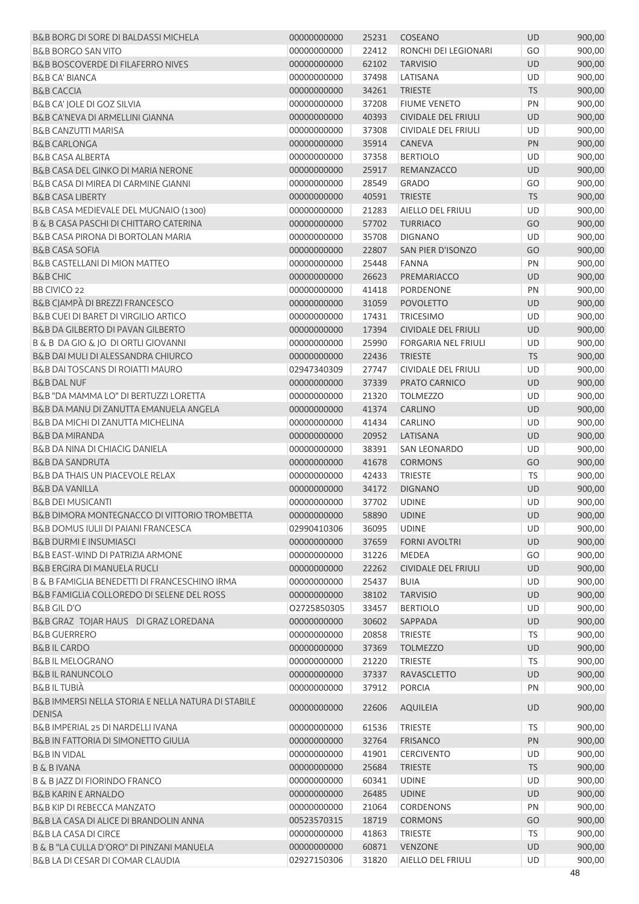| B&B BORG DI SORE DI BALDASSI MICHELA                                | 00000000000 | 25231 | COSEANO                    | <b>UD</b> | 900,00 |
|---------------------------------------------------------------------|-------------|-------|----------------------------|-----------|--------|
| <b>B&amp;B BORGO SAN VITO</b>                                       | 00000000000 | 22412 | RONCHI DEI LEGIONARI       | GO        | 900,00 |
| <b>B&amp;B BOSCOVERDE DI FILAFERRO NIVES</b>                        | 00000000000 | 62102 | <b>TARVISIO</b>            | <b>UD</b> | 900,00 |
| <b>B&amp;B CA' BIANCA</b>                                           | 00000000000 | 37498 | LATISANA                   | <b>UD</b> | 900,00 |
| <b>B&amp;B CACCIA</b>                                               | 00000000000 | 34261 | <b>TRIESTE</b>             | <b>TS</b> | 900,00 |
| B&B CA' JOLE DI GOZ SILVIA                                          | 00000000000 | 37208 | <b>FIUME VENETO</b>        | PN        | 900,00 |
| B&B CA'NEVA DI ARMELLINI GIANNA                                     | 00000000000 | 40393 | <b>CIVIDALE DEL FRIULI</b> | <b>UD</b> | 900,00 |
| <b>B&amp;B CANZUTTI MARISA</b>                                      | 00000000000 | 37308 | <b>CIVIDALE DEL FRIULI</b> | UD        | 900,00 |
| <b>B&amp;B CARLONGA</b>                                             | 00000000000 | 35914 | CANEVA                     | <b>PN</b> | 900,00 |
| <b>B&amp;B CASA ALBERTA</b>                                         | 00000000000 | 37358 | <b>BERTIOLO</b>            | UD        | 900,00 |
| <b>B&amp;B CASA DEL GINKO DI MARIA NERONE</b>                       | 00000000000 | 25917 | REMANZACCO                 | <b>UD</b> | 900,00 |
| B&B CASA DI MIREA DI CARMINE GIANNI                                 | 00000000000 | 28549 | <b>GRADO</b>               | GO        | 900,00 |
| <b>B&amp;B CASA LIBERTY</b>                                         | 00000000000 | 40591 | <b>TRIESTE</b>             | <b>TS</b> | 900,00 |
| B&B CASA MEDIEVALE DEL MUGNAIO (1300)                               | 00000000000 | 21283 | AIELLO DEL FRIULI          | UD        | 900,00 |
| B & B CASA PASCHI DI CHITTARO CATERINA                              | 00000000000 | 57702 | <b>TURRIACO</b>            | GO        | 900,00 |
| B&B CASA PIRONA DI BORTOLAN MARIA                                   | 00000000000 | 35708 | <b>DIGNANO</b>             | UD        | 900,00 |
| <b>B&amp;B CASA SOFIA</b>                                           | 00000000000 | 22807 | SAN PIER D'ISONZO          | GO        | 900,00 |
| B&B CASTELLANI DI MION MATTEO                                       | 00000000000 | 25448 | <b>FANNA</b>               | PN        | 900,00 |
| <b>B&amp;B CHIC</b>                                                 | 00000000000 | 26623 | PREMARIACCO                | <b>UD</b> | 900,00 |
| BB CIVICO 22                                                        | 00000000000 | 41418 | <b>PORDENONE</b>           | PN        | 900,00 |
| B&B CJAMPÀ DI BREZZI FRANCESCO                                      | 00000000000 | 31059 | <b>POVOLETTO</b>           | <b>UD</b> | 900,00 |
| <b>B&amp;B CUEI DI BARET DI VIRGILIO ARTICO</b>                     | 00000000000 | 17431 | <b>TRICESIMO</b>           | <b>UD</b> | 900,00 |
| <b>B&amp;B DA GILBERTO DI PAVAN GILBERTO</b>                        | 00000000000 | 17394 | <b>CIVIDALE DEL FRIULI</b> | <b>UD</b> | 900,00 |
| B & B DA GIO & JO DI ORTLI GIOVANNI                                 | 00000000000 | 25990 | <b>FORGARIA NEL FRIULI</b> | <b>UD</b> | 900,00 |
| B&B DAI MULI DI ALESSANDRA CHIURCO                                  | 00000000000 | 22436 | <b>TRIESTE</b>             | <b>TS</b> | 900,00 |
| B&B DAI TOSCANS DI ROIATTI MAURO                                    | 02947340309 | 27747 | <b>CIVIDALE DEL FRIULI</b> | UD        | 900,00 |
| <b>B&amp;B DAL NUF</b>                                              | 00000000000 | 37339 | PRATO CARNICO              | UD        | 900,00 |
| B&B "DA MAMMA LO" DI BERTUZZI LORETTA                               | 00000000000 | 21320 | <b>TOLMEZZO</b>            | UD        | 900,00 |
| B&B DA MANU DI ZANUTTA EMANUELA ANGELA                              | 00000000000 | 41374 | CARLINO                    | <b>UD</b> | 900,00 |
| B&B DA MICHI DI ZANUTTA MICHELINA                                   | 00000000000 | 41434 | CARLINO                    | <b>UD</b> | 900,00 |
| <b>B&amp;B DA MIRANDA</b>                                           | 00000000000 | 20952 | LATISANA                   | <b>UD</b> | 900,00 |
| <b>B&amp;B DA NINA DI CHIACIG DANIELA</b>                           | 00000000000 | 38391 | <b>SAN LEONARDO</b>        | UD        | 900,00 |
| <b>B&amp;B DA SANDRUTA</b>                                          | 00000000000 | 41678 | <b>CORMONS</b>             | GO        | 900,00 |
| <b>B&amp;B DA THAIS UN PIACEVOLE RELAX</b>                          | 00000000000 | 42433 | <b>TRIESTE</b>             | TS.       | 900,00 |
| <b>B&amp;B DA VANILLA</b>                                           | 00000000000 | 34172 | <b>DIGNANO</b>             | <b>UD</b> | 900,00 |
| <b>B&amp;B DEI MUSICANTI</b>                                        | 00000000000 | 37702 | <b>UDINE</b>               | UD        | 900,00 |
| B&B DIMORA MONTEGNACCO DI VITTORIO TROMBETTA                        | 00000000000 | 58890 | <b>UDINE</b>               | UD        | 900,00 |
| B&B DOMUS IULII DI PAIANI FRANCESCA                                 | 02990410306 | 36095 | <b>UDINE</b>               | UD        | 900,00 |
| <b>B&amp;B DURMI E INSUMIASCI</b>                                   | 00000000000 | 37659 | <b>FORNI AVOLTRI</b>       | <b>UD</b> | 900,00 |
| B&B EAST-WIND DI PATRIZIA ARMONE                                    | 00000000000 | 31226 | MEDEA                      | GO        | 900,00 |
| <b>B&amp;B ERGIRA DI MANUELA RUCLI</b>                              | 00000000000 | 22262 | <b>CIVIDALE DEL FRIULI</b> | <b>UD</b> | 900,00 |
| B & B FAMIGLIA BENEDETTI DI FRANCESCHINO IRMA                       | 00000000000 | 25437 | <b>BUIA</b>                | <b>UD</b> | 900,00 |
| B&B FAMIGLIA COLLOREDO DI SELENE DEL ROSS                           | 00000000000 | 38102 | <b>TARVISIO</b>            | UD        | 900,00 |
| <b>B&amp;B GIL D'O</b>                                              | 02725850305 | 33457 | <b>BERTIOLO</b>            | UD        | 900,00 |
| B&B GRAZ TOJAR HAUS DI GRAZ LOREDANA                                | 00000000000 | 30602 | SAPPADA                    | UD        | 900,00 |
| <b>B&amp;B GUERRERO</b>                                             | 00000000000 | 20858 | TRIESTE                    | <b>TS</b> | 900,00 |
| <b>B&amp;BIL CARDO</b>                                              | 00000000000 | 37369 | <b>TOLMEZZO</b>            | <b>UD</b> | 900,00 |
| <b>B&amp;B IL MELOGRANO</b>                                         | 00000000000 | 21220 | <b>TRIESTE</b>             | <b>TS</b> | 900,00 |
| <b>B&amp;BIL RANUNCOLO</b>                                          | 00000000000 | 37337 | <b>RAVASCLETTO</b>         | UD        | 900,00 |
| <b>B&amp;BILTUBIÀ</b>                                               | 00000000000 | 37912 | <b>PORCIA</b>              | PN        | 900,00 |
| B&B IMMERSI NELLA STORIA E NELLA NATURA DI STABILE<br><b>DENISA</b> | 00000000000 | 22606 | <b>AQUILEIA</b>            | <b>UD</b> | 900,00 |
| B&B IMPERIAL 25 DI NARDELLI IVANA                                   | 00000000000 | 61536 | <b>TRIESTE</b>             | <b>TS</b> | 900,00 |
| <b>B&amp;B IN FATTORIA DI SIMONETTO GIULIA</b>                      | 00000000000 | 32764 | <b>FRISANCO</b>            | PN        | 900,00 |
| <b>B&amp;B IN VIDAL</b>                                             | 00000000000 | 41901 | <b>CERCIVENTO</b>          | UD        | 900,00 |
| <b>B &amp; B IVANA</b>                                              | 00000000000 | 25684 | <b>TRIESTE</b>             | <b>TS</b> | 900,00 |
| <b>B &amp; B JAZZ DI FIORINDO FRANCO</b>                            | 00000000000 | 60341 | <b>UDINE</b>               | <b>UD</b> | 900,00 |
| <b>B&amp;B KARIN E ARNALDO</b>                                      | 00000000000 | 26485 | <b>UDINE</b>               | <b>UD</b> | 900,00 |
| <b>B&amp;B KIP DI REBECCA MANZATO</b>                               | 00000000000 | 21064 | <b>CORDENONS</b>           | PN        | 900,00 |
| B&B LA CASA DI ALICE DI BRANDOLIN ANNA                              | 00523570315 | 18719 | <b>CORMONS</b>             | GO        | 900,00 |
| <b>B&amp;B LA CASA DI CIRCE</b>                                     | 00000000000 | 41863 | <b>TRIESTE</b>             | <b>TS</b> | 900,00 |
| B & B "LA CULLA D'ORO" DI PINZANI MANUELA                           | 00000000000 | 60871 | VENZONE                    | <b>UD</b> | 900,00 |
| B&B LA DI CESAR DI COMAR CLAUDIA                                    | 02927150306 | 31820 | AIELLO DEL FRIULI          | UD        | 900,00 |
|                                                                     |             |       |                            |           | 48     |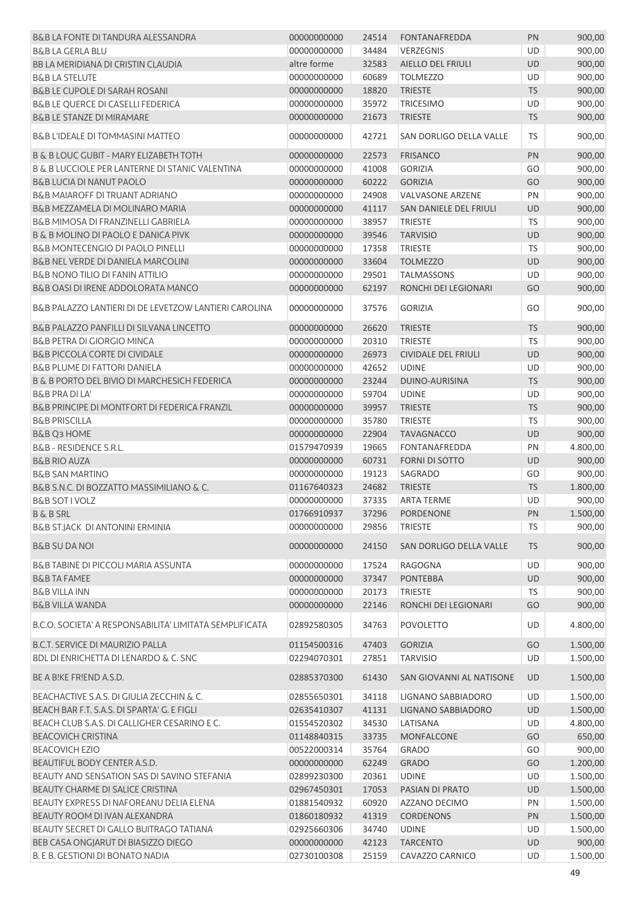| B&B LA FONTE DI TANDURA ALESSANDRA                         | 00000000000 | 24514 | FONTANAFREDDA              | PN        | 900,00   |
|------------------------------------------------------------|-------------|-------|----------------------------|-----------|----------|
| <b>B&amp;B LA GERLA BLU</b>                                | 00000000000 | 34484 | <b>VERZEGNIS</b>           | <b>UD</b> | 900,00   |
| BB LA MERIDIANA DI CRISTIN CLAUDIA                         | altre forme | 32583 | <b>AIELLO DEL FRIULI</b>   | <b>UD</b> | 900,00   |
| <b>B&amp;B LA STELUTE</b>                                  | 00000000000 | 60689 | <b>TOLMEZZO</b>            | <b>UD</b> | 900,00   |
| <b>B&amp;B LE CUPOLE DI SARAH ROSANI</b>                   | 00000000000 | 18820 | <b>TRIESTE</b>             | <b>TS</b> | 900,00   |
| <b>B&amp;B LE OUERCE DI CASELLI FEDERICA</b>               | 00000000000 | 35972 | <b>TRICESIMO</b>           | <b>UD</b> | 900,00   |
| B&B LE STANZE DI MIRAMARE                                  | 00000000000 | 21673 | <b>TRIESTE</b>             | <b>TS</b> | 900,00   |
|                                                            |             |       |                            |           |          |
| B&B L'IDEALE DI TOMMASINI MATTEO                           | 00000000000 | 42721 | SAN DORLIGO DELLA VALLE    | TS        | 900,00   |
| B & B LOUC GUBIT - MARY ELIZABETH TOTH                     | 00000000000 | 22573 | <b>FRISANCO</b>            | PN        | 900,00   |
| <b>B &amp; B LUCCIOLE PER LANTERNE DI STANIC VALENTINA</b> | 00000000000 | 41008 | <b>GORIZIA</b>             | GO        | 900,00   |
| B&B LUCIA DI NANUT PAOLO                                   | 00000000000 | 60222 | <b>GORIZIA</b>             | GO        | 900,00   |
| <b>B&amp;B MAIAROFF DI TRUANT ADRIANO</b>                  | 00000000000 | 24908 | VALVASONE ARZENE           | PN        | 900,00   |
| B&B MEZZAMELA DI MOLINARO MARIA                            | 00000000000 | 41117 | SAN DANIELE DEL FRIULI     | <b>UD</b> | 900,00   |
| <b>B&amp;B MIMOSA DI FRANZINELLI GABRIELA</b>              | 00000000000 | 38957 | <b>TRIESTE</b>             | TS        | 900,00   |
| B & B MOLINO DI PAOLO E DANICA PIVK                        | 00000000000 | 39546 | <b>TARVISIO</b>            | UD        | 900,00   |
| <b>B&amp;B MONTECENGIO DI PAOLO PINELLI</b>                | 00000000000 | 17358 | <b>TRIESTE</b>             | <b>TS</b> | 900,00   |
| <b>B&amp;B NEL VERDE DI DANIELA MARCOLINI</b>              | 00000000000 | 33604 | <b>TOLMEZZO</b>            | <b>UD</b> | 900,00   |
| <b>B&amp;B NONO TILIO DI FANIN ATTILIO</b>                 | 00000000000 | 29501 | <b>TALMASSONS</b>          | <b>UD</b> | 900,00   |
| B&B OASI DI IRENE ADDOLORATA MANCO                         | 00000000000 | 62197 | RONCHI DEI LEGIONARI       | GO        | 900,00   |
|                                                            |             |       |                            |           |          |
| B&B PALAZZO LANTIERI DI DE LEVETZOW LANTIERI CAROLINA      | 00000000000 | 37576 | <b>GORIZIA</b>             | GO        | 900,00   |
| B&B PALAZZO PANFILLI DI SILVANA LINCETTO                   | 00000000000 | 26620 | <b>TRIESTE</b>             | <b>TS</b> | 900,00   |
| <b>B&amp;B PETRA DI GIORGIO MINCA</b>                      | 00000000000 | 20310 | <b>TRIESTE</b>             | TS        | 900,00   |
| <b>B&amp;B PICCOLA CORTE DI CIVIDALE</b>                   | 00000000000 | 26973 | <b>CIVIDALE DEL FRIULI</b> | <b>UD</b> | 900,00   |
| <b>B&amp;B PLUME DI FATTORI DANIELA</b>                    | 00000000000 | 42652 | <b>UDINE</b>               | <b>UD</b> | 900,00   |
| B & B PORTO DEL BIVIO DI MARCHESICH FEDERICA               | 00000000000 | 23244 | DUINO-AURISINA             | <b>TS</b> | 900,00   |
| <b>B&amp;B PRA DI LA'</b>                                  | 00000000000 | 59704 | <b>UDINE</b>               | UD        | 900,00   |
| B&B PRINCIPE DI MONTFORT DI FEDERICA FRANZIL               | 00000000000 | 39957 | <b>TRIESTE</b>             | <b>TS</b> | 900,00   |
| <b>B&amp;B PRISCILLA</b>                                   | 00000000000 | 35780 | <b>TRIESTE</b>             | <b>TS</b> | 900,00   |
| B&B Q3 HOME                                                | 00000000000 | 22904 | <b>TAVAGNACCO</b>          | <b>UD</b> | 900,00   |
| B&B - RESIDENCE S.R.L.                                     | 01579470939 | 19665 | <b>FONTANAFREDDA</b>       | PN        | 4.800,00 |
| <b>B&amp;B RIO AUZA</b>                                    | 00000000000 | 60731 | <b>FORNI DI SOTTO</b>      | <b>UD</b> | 900,00   |
| <b>B&amp;B SAN MARTINO</b>                                 | 00000000000 | 19123 | SAGRADO                    | GO        | 900,00   |
| B&B S.N.C. DI BOZZATTO MASSIMILIANO & C.                   | 01167640323 | 24682 | <b>TRIESTE</b>             | <b>TS</b> | 1.800,00 |
| <b>B&amp;B SOT I VOLZ</b>                                  | 00000000000 | 37335 | <b>ARTA TERME</b>          | <b>UD</b> | 900,00   |
| <b>B &amp; B SRL</b>                                       | 01766910937 | 37296 | PORDENONE                  | PN        | 1.500,00 |
| B&B ST.JACK DI ANTONINI ERMINIA                            | 00000000000 | 29856 | <b>TRIESTE</b>             | TS        | 900,00   |
|                                                            |             |       |                            |           |          |
| <b>B&amp;B SU DA NOI</b>                                   | 00000000000 | 24150 | SAN DORLIGO DELLA VALLE    | <b>TS</b> | 900,00   |
| B&B TABINE DI PICCOLI MARIA ASSUNTA                        | 00000000000 | 17524 | <b>RAGOGNA</b>             | <b>UD</b> | 900,00   |
| <b>B&amp;B TA FAMEE</b>                                    | 00000000000 | 37347 | <b>PONTEBBA</b>            | <b>UD</b> | 900,00   |
| <b>B&amp;B VILLA INN</b>                                   | 00000000000 | 20173 | <b>TRIESTE</b>             | <b>TS</b> | 900,00   |
| <b>B&amp;B VILLA WANDA</b>                                 | 00000000000 | 22146 | RONCHI DEI LEGIONARI       | GO        | 900,00   |
| B.C.O. SOCIETA' A RESPONSABILITA' LIMITATA SEMPLIFICATA    | 02892580305 | 34763 | <b>POVOLETTO</b>           | UD        | 4.800,00 |
| <b>B.C.T. SERVICE DI MAURIZIO PALLA</b>                    | 01154500316 | 47403 | <b>GORIZIA</b>             | GO        | 1.500,00 |
| BDL DI ENRICHETTA DI LENARDO & C. SNC                      | 02294070301 | 27851 | <b>TARVISIO</b>            | <b>UD</b> | 1.500,00 |
|                                                            |             |       |                            |           |          |
| BE A BIKE FRIEND A.S.D.                                    | 02885370300 | 61430 | SAN GIOVANNI AL NATISONE   | <b>UD</b> | 1.500,00 |
| BEACHACTIVE S.A.S. DI GIULIA ZECCHIN & C.                  | 02855650301 | 34118 | LIGNANO SABBIADORO         | UD        | 1.500,00 |
| BEACH BAR F.T. S.A.S. DI SPARTA' G. E FIGLI                | 02635410307 | 41131 | LIGNANO SABBIADORO         | <b>UD</b> | 1.500,00 |
| BEACH CLUB S.A.S. DI CALLIGHER CESARINO E C.               | 01554520302 | 34530 | LATISANA                   | <b>UD</b> | 4.800,00 |
| <b>BEACOVICH CRISTINA</b>                                  | 01148840315 | 33735 | <b>MONFALCONE</b>          | GO        | 650,00   |
| <b>BEACOVICH EZIO</b>                                      | 00522000314 | 35764 | <b>GRADO</b>               | GO        | 900,00   |
| BEAUTIFUL BODY CENTER A.S.D.                               | 00000000000 | 62249 | <b>GRADO</b>               | GO        | 1.200,00 |
| BEAUTY AND SENSATION SAS DI SAVINO STEFANIA                | 02899230300 | 20361 | <b>UDINE</b>               | UD        | 1.500,00 |
| BEAUTY CHARME DI SALICE CRISTINA                           | 02967450301 | 17053 | PASIAN DI PRATO            | <b>UD</b> | 1.500,00 |
| BEAUTY EXPRESS DI NAFOREANU DELIA ELENA                    | 01881540932 | 60920 | AZZANO DECIMO              | PN        | 1.500,00 |
| BEAUTY ROOM DI IVAN ALEXANDRA                              | 01860180932 | 41319 | <b>CORDENONS</b>           | PN        | 1.500,00 |
| BEAUTY SECRET DI GALLO BUITRAGO TATIANA                    | 02925660306 | 34740 | <b>UDINE</b>               | <b>UD</b> | 1.500,00 |
| BEB CASA ONGJARUT DI BIASIZZO DIEGO                        | 00000000000 | 42123 | <b>TARCENTO</b>            | UD        | 900,00   |
| B. E B. GESTIONI DI BONATO NADIA                           | 02730100308 | 25159 | CAVAZZO CARNICO            | UD        | 1.500,00 |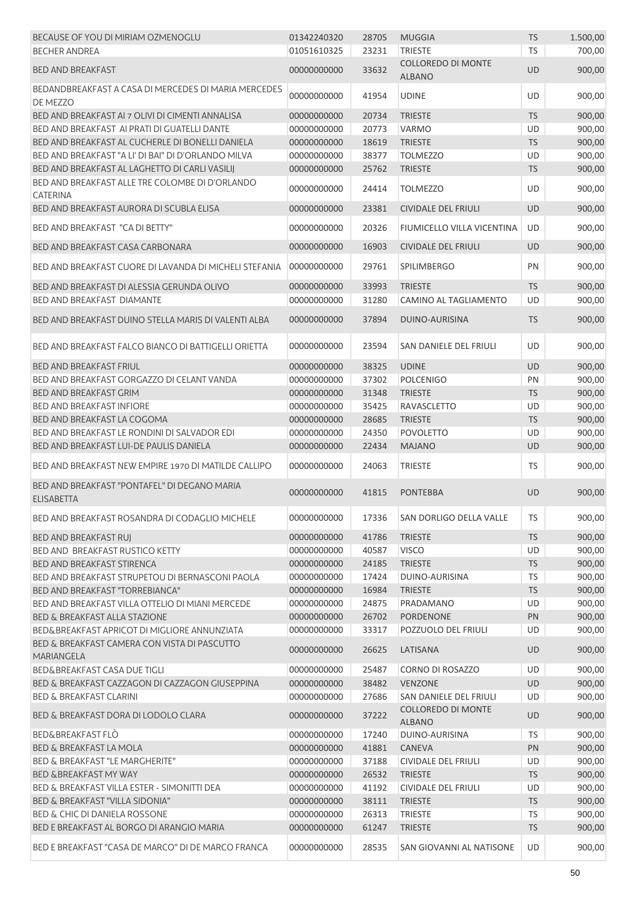| BECAUSE OF YOU DI MIRIAM OZMENOGLU                                 | 01342240320 | 28705 | <b>MUGGIA</b>                              | <b>TS</b> | 1.500,00 |
|--------------------------------------------------------------------|-------------|-------|--------------------------------------------|-----------|----------|
| <b>BECHER ANDREA</b>                                               | 01051610325 | 23231 | <b>TRIESTE</b>                             | <b>TS</b> | 700,00   |
| <b>BED AND BREAKFAST</b>                                           | 00000000000 | 33632 | <b>COLLOREDO DI MONTE</b><br><b>ALBANO</b> | <b>UD</b> | 900,00   |
| BEDANDBREAKFAST A CASA DI MERCEDES DI MARIA MERCEDES<br>DE MEZZO   | 00000000000 | 41954 | <b>UDINE</b>                               | UD        | 900,00   |
| BED AND BREAKFAST AI 7 OLIVI DI CIMENTI ANNALISA                   | 00000000000 | 20734 | <b>TRIESTE</b>                             | <b>TS</b> | 900,00   |
| BED AND BREAKFAST AI PRATI DI GUATELLI DANTE                       | 00000000000 | 20773 | <b>VARMO</b>                               | UD        | 900,00   |
| BED AND BREAKFAST AL CUCHERLE DI BONELLI DANIELA                   | 00000000000 | 18619 | <b>TRIESTE</b>                             | <b>TS</b> | 900,00   |
| BED AND BREAKFAST "A LI' DI BAI" DI D'ORLANDO MILVA                | 00000000000 | 38377 | <b>TOLMEZZO</b>                            | UD        | 900,00   |
| BED AND BREAKFAST AL LAGHETTO DI CARLI VASILIJ                     | 00000000000 | 25762 | <b>TRIESTE</b>                             | <b>TS</b> | 900,00   |
| BED AND BREAKFAST ALLE TRE COLOMBE DI D'ORLANDO<br><b>CATERINA</b> | 00000000000 | 24414 | <b>TOLMEZZO</b>                            | UD        | 900,00   |
| BED AND BREAKFAST AURORA DI SCUBLA ELISA                           | 00000000000 | 23381 | <b>CIVIDALE DEL FRIULI</b>                 | <b>UD</b> | 900,00   |
| BED AND BREAKFAST "CA DI BETTY"                                    | 00000000000 | 20326 | FIUMICELLO VILLA VICENTINA                 | UD        | 900,00   |
| BED AND BREAKFAST CASA CARBONARA                                   | 00000000000 | 16903 | <b>CIVIDALE DEL FRIULI</b>                 | UD        | 900,00   |
| BED AND BREAKFAST CUORE DI LAVANDA DI MICHELI STEFANIA             | 00000000000 | 29761 | <b>SPILIMBERGO</b>                         | PN        | 900,00   |
| BED AND BREAKFAST DI ALESSIA GERUNDA OLIVO                         | 00000000000 | 33993 | <b>TRIESTE</b>                             | <b>TS</b> | 900,00   |
| <b>BED AND BREAKFAST DIAMANTE</b>                                  | 00000000000 | 31280 | CAMINO AL TAGLIAMENTO                      | UD        | 900,00   |
|                                                                    |             |       |                                            |           |          |
| BED AND BREAKFAST DUINO STELLA MARIS DI VALENTI ALBA               | 00000000000 | 37894 | DUINO-AURISINA                             | <b>TS</b> | 900,00   |
| BED AND BREAKFAST FALCO BIANCO DI BATTIGELLI ORIETTA               | 00000000000 | 23594 | SAN DANIELE DEL FRIULI                     | UD        | 900,00   |
| <b>BED AND BREAKFAST FRIUL</b>                                     | 00000000000 | 38325 | <b>UDINE</b>                               | <b>UD</b> | 900,00   |
| BED AND BREAKFAST GORGAZZO DI CELANT VANDA                         | 00000000000 | 37302 | <b>POLCENIGO</b>                           | PN        | 900,00   |
| BED AND BREAKFAST GRIM                                             | 00000000000 | 31348 | <b>TRIESTE</b>                             | <b>TS</b> | 900,00   |
| <b>BED AND BREAKFAST INFIORE</b>                                   | 00000000000 | 35425 | RAVASCLETTO                                | UD        | 900,00   |
| BED AND BREAKFAST LA COGOMA                                        | 00000000000 | 28685 | <b>TRIESTE</b>                             | <b>TS</b> | 900,00   |
| BED AND BREAKFAST LE RONDINI DI SALVADOR EDI                       | 00000000000 | 24350 | <b>POVOLETTO</b>                           | UD        | 900,00   |
| BED AND BREAKFAST LUI-DE PAULIS DANIELA                            | 00000000000 | 22434 | <b>MAJANO</b>                              | <b>UD</b> | 900,00   |
| BED AND BREAKFAST NEW EMPIRE 1970 DI MATILDE CALLIPO               | 00000000000 | 24063 | <b>TRIESTE</b>                             | <b>TS</b> | 900,00   |
| BED AND BREAKFAST "PONTAFEL" DI DEGANO MARIA<br>ELISABETTA         | 00000000000 | 41815 | <b>PONTEBBA</b>                            | <b>UD</b> | 900,00   |
| BED AND BREAKFAST ROSANDRA DI CODAGLIO MICHELE                     | 00000000000 | 17336 | SAN DORLIGO DELLA VALLE                    | TS        | 900,00   |
| <b>BED AND BREAKFAST RUJ</b>                                       | 00000000000 | 41786 | <b>TRIESTE</b>                             | TS        | 900,00   |
| <b>BED AND BREAKFAST RUSTICO KETTY</b>                             | 00000000000 | 40587 | <b>VISCO</b>                               | UD        | 900,00   |
| BED AND BREAKFAST STIRENCA                                         | 00000000000 | 24185 | <b>TRIESTE</b>                             | <b>TS</b> | 900,00   |
| BED AND BREAKFAST STRUPETOU DI BERNASCONI PAOLA                    | 00000000000 | 17424 | DUINO-AURISINA                             | TS.       | 900,00   |
| <b>BED AND BREAKFAST "TORREBIANCA"</b>                             | 00000000000 | 16984 | <b>TRIESTE</b>                             | <b>TS</b> | 900,00   |
| BED AND BREAKFAST VILLA OTTELIO DI MIANI MERCEDE                   | 00000000000 | 24875 | PRADAMANO                                  | <b>UD</b> | 900,00   |
| BED & BREAKFAST ALLA STAZIONE                                      | 00000000000 | 26702 | <b>PORDENONE</b>                           | PN        | 900,00   |
| BED&BREAKFAST APRICOT DI MIGLIORE ANNUNZIATA                       | 00000000000 | 33317 | POZZUOLO DEL FRIULI                        | UD        | 900,00   |
| BED & BREAKFAST CAMERA CON VISTA DI PASCUTTO<br>MARIANGELA         | 00000000000 | 26625 | LATISANA                                   | <b>UD</b> | 900,00   |
| BED&BREAKFAST CASA DUE TIGLI                                       | 00000000000 | 25487 | CORNO DI ROSAZZO                           | <b>UD</b> | 900,00   |
| BED & BREAKFAST CAZZAGON DI CAZZAGON GIUSEPPINA                    | 00000000000 | 38482 | <b>VENZONE</b>                             | <b>UD</b> | 900,00   |
| <b>BED &amp; BREAKFAST CLARINI</b>                                 | 00000000000 | 27686 | SAN DANIELE DEL FRIULI                     | UD        | 900,00   |
| BED & BREAKFAST DORA DI LODOLO CLARA                               | 00000000000 | 37222 | <b>COLLOREDO DI MONTE</b><br><b>ALBANO</b> | <b>UD</b> | 900,00   |
| <b>BED&amp;BREAKFAST FLO</b>                                       | 00000000000 | 17240 | DUINO-AURISINA                             | <b>TS</b> | 900,00   |
| <b>BED &amp; BREAKFAST LA MOLA</b>                                 | 00000000000 | 41881 | CANEVA                                     | PN        | 900,00   |
| BED & BREAKFAST "LE MARGHERITE"                                    | 00000000000 | 37188 | <b>CIVIDALE DEL FRIULI</b>                 | UD        | 900,00   |
| BED & BREAKFAST MY WAY                                             | 00000000000 | 26532 | <b>TRIESTE</b>                             | <b>TS</b> | 900,00   |
| BED & BREAKFAST VILLA ESTER - SIMONITTI DEA                        | 00000000000 | 41192 | CIVIDALE DEL FRIULI                        | UD        | 900,00   |
| BED & BREAKFAST "VILLA SIDONIA"                                    | 00000000000 | 38111 | <b>TRIESTE</b>                             | <b>TS</b> | 900,00   |
| BED & CHIC DI DANIELA ROSSONE                                      | 00000000000 | 26313 | <b>TRIESTE</b>                             | TS        | 900,00   |
| BED E BREAKFAST AL BORGO DI ARANGIO MARIA                          | 00000000000 | 61247 | <b>TRIESTE</b>                             | <b>TS</b> | 900,00   |
| BED E BREAKFAST "CASA DE MARCO" DI DE MARCO FRANCA                 | 00000000000 | 28535 | SAN GIOVANNI AL NATISONE                   | UD        | 900,00   |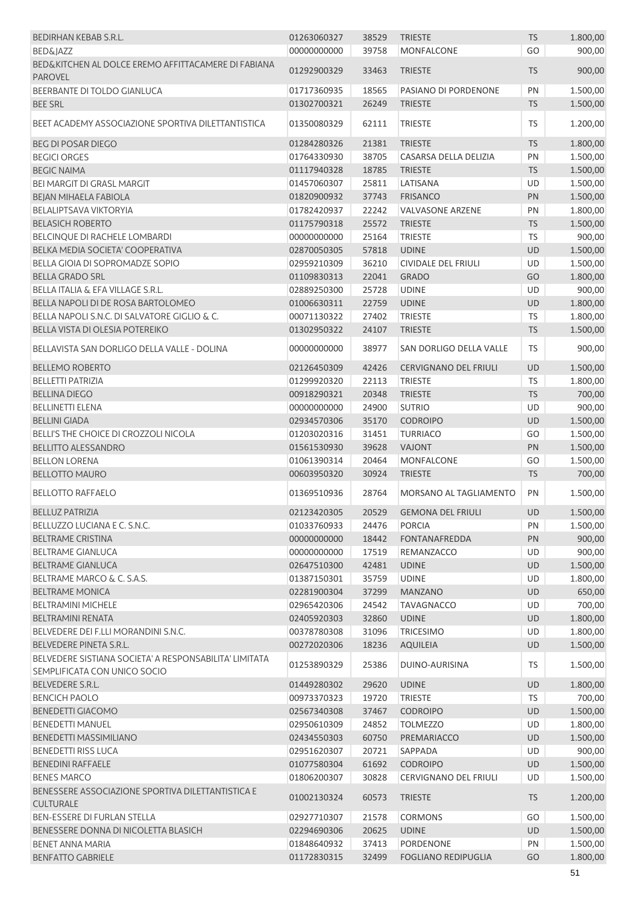| BEDIRHAN KEBAB S.R.L.                                                                  | 01263060327 | 38529 | <b>TRIESTE</b>                        | <b>TS</b> | 1.800,00 |
|----------------------------------------------------------------------------------------|-------------|-------|---------------------------------------|-----------|----------|
| <b>BED&amp;IAZZ</b>                                                                    | 00000000000 | 39758 | MONFALCONE                            | GO        | 900,00   |
| BED&KITCHEN AL DOLCE EREMO AFFITTACAMERE DI FABIANA<br><b>PAROVEL</b>                  | 01292900329 | 33463 | <b>TRIESTE</b>                        | <b>TS</b> | 900,00   |
| BEERBANTE DI TOLDO GIANLUCA                                                            | 01717360935 | 18565 | PASIANO DI PORDENONE                  | PN        | 1.500,00 |
| <b>BEE SRL</b>                                                                         | 01302700321 | 26249 | <b>TRIESTE</b>                        | <b>TS</b> | 1.500,00 |
| BEET ACADEMY ASSOCIAZIONE SPORTIVA DILETTANTISTICA                                     | 01350080329 | 62111 | <b>TRIESTE</b>                        | <b>TS</b> | 1.200,00 |
| <b>BEG DI POSAR DIEGO</b>                                                              | 01284280326 | 21381 | <b>TRIESTE</b>                        | <b>TS</b> | 1.800,00 |
| <b>BEGICI ORGES</b>                                                                    | 01764330930 | 38705 | CASARSA DELLA DELIZIA                 | PN        | 1.500,00 |
| <b>BEGIC NAIMA</b>                                                                     | 01117940328 | 18785 | <b>TRIESTE</b>                        | <b>TS</b> | 1.500,00 |
| BEI MARGIT DI GRASL MARGIT                                                             | 01457060307 | 25811 | LATISANA                              | UD        | 1.500,00 |
| BEJAN MIHAELA FABIOLA                                                                  | 01820900932 | 37743 | <b>FRISANCO</b>                       | PN        | 1.500,00 |
| <b>BELALIPTSAVA VIKTORYIA</b>                                                          | 01782420937 | 22242 | <b>VALVASONE ARZENE</b>               | PN        | 1.800,00 |
| <b>BELASICH ROBERTO</b>                                                                | 01175790318 | 25572 | <b>TRIESTE</b>                        | <b>TS</b> | 1.500,00 |
| BELCINQUE DI RACHELE LOMBARDI                                                          | 00000000000 | 25164 | <b>TRIESTE</b>                        | <b>TS</b> | 900,00   |
| BELKA MEDIA SOCIETA' COOPERATIVA                                                       | 02870050305 | 57818 | <b>UDINE</b>                          | UD        | 1.500,00 |
| BELLA GIOIA DI SOPROMADZE SOPIO                                                        | 02959210309 | 36210 | <b>CIVIDALE DEL FRIULI</b>            | UD        | 1.500,00 |
| <b>BELLA GRADO SRL</b>                                                                 | 01109830313 | 22041 | <b>GRADO</b>                          | GO        | 1.800,00 |
| BELLA ITALIA & EFA VILLAGE S.R.L.                                                      | 02889250300 | 25728 | <b>UDINE</b>                          | UD        | 900,00   |
| BELLA NAPOLI DI DE ROSA BARTOLOMEO                                                     | 01006630311 | 22759 | <b>UDINE</b>                          | UD        | 1.800,00 |
| BELLA NAPOLI S.N.C. DI SALVATORE GIGLIO & C.                                           | 00071130322 | 27402 | <b>TRIESTE</b>                        | TS        | 1.800,00 |
| BELLA VISTA DI OLESIA POTEREIKO                                                        | 01302950322 | 24107 | <b>TRIESTE</b>                        | <b>TS</b> | 1.500,00 |
| BELLAVISTA SAN DORLIGO DELLA VALLE - DOLINA                                            | 00000000000 | 38977 | SAN DORLIGO DELLA VALLE               | TS        | 900,00   |
| <b>BELLEMO ROBERTO</b>                                                                 | 02126450309 | 42426 | <b>CERVIGNANO DEL FRIULI</b>          | UD        | 1.500,00 |
| <b>BELLETTI PATRIZIA</b>                                                               | 01299920320 | 22113 | <b>TRIESTE</b>                        | <b>TS</b> | 1.800,00 |
| <b>BELLINA DIEGO</b>                                                                   | 00918290321 | 20348 | <b>TRIESTE</b>                        | <b>TS</b> | 700,00   |
| <b>BELLINETTI ELENA</b>                                                                | 00000000000 | 24900 | <b>SUTRIO</b>                         | UD        | 900,00   |
| <b>BELLINI GIADA</b>                                                                   | 02934570306 | 35170 | <b>CODROIPO</b>                       | UD        | 1.500,00 |
| BELLI'S THE CHOICE DI CROZZOLI NICOLA                                                  | 01203020316 | 31451 | <b>TURRIACO</b>                       | GO        | 1.500,00 |
| <b>BELLITTO ALESSANDRO</b>                                                             | 01561530930 | 39628 | <b>VAJONT</b>                         | PN        | 1.500,00 |
| <b>BELLON LORENA</b>                                                                   | 01061390314 | 20464 | <b>MONFALCONE</b>                     | GO        | 1.500,00 |
| <b>BELLOTTO MAURO</b>                                                                  | 00603950320 | 30924 | <b>TRIESTE</b>                        | <b>TS</b> | 700,00   |
| <b>BELLOTTO RAFFAELO</b>                                                               | 01369510936 | 28764 | MORSANO AL TAGLIAMENTO                | PN        | 1.500,00 |
| BELLUZ PATRIZIA                                                                        |             |       | 02123420305  20529  GEMONA DEL FRIULI | UD        | 1.500,00 |
| BELLUZZO LUCIANA E C. S.N.C.                                                           | 01033760933 | 24476 | <b>PORCIA</b>                         | PN        | 1.500,00 |
| <b>BELTRAME CRISTINA</b>                                                               | 00000000000 | 18442 | <b>FONTANAFREDDA</b>                  | PN        | 900,00   |
| <b>BELTRAME GIANLUCA</b>                                                               | 00000000000 | 17519 | REMANZACCO                            | <b>UD</b> | 900,00   |
| <b>BELTRAME GIANLUCA</b>                                                               | 02647510300 | 42481 | <b>UDINE</b>                          | UD        | 1.500,00 |
| BELTRAME MARCO & C. S.A.S.                                                             | 01387150301 | 35759 | <b>UDINE</b>                          | UD        | 1.800,00 |
| <b>BELTRAME MONICA</b>                                                                 | 02281900304 | 37299 | <b>MANZANO</b>                        | <b>UD</b> | 650,00   |
| <b>BELTRAMINI MICHELE</b>                                                              | 02965420306 | 24542 | <b>TAVAGNACCO</b>                     | UD        | 700,00   |
| BELTRAMINI RENATA                                                                      | 02405920303 | 32860 | <b>UDINE</b>                          | <b>UD</b> | 1.800,00 |
| BELVEDERE DEI F.LLI MORANDINI S.N.C.                                                   | 00378780308 | 31096 | <b>TRICESIMO</b>                      | UD        | 1.800,00 |
| BELVEDERE PINETA S.R.L.                                                                | 00272020306 | 18236 | AQUILEIA                              | UD        | 1.500,00 |
| BELVEDERE SISTIANA SOCIETA' A RESPONSABILITA' LIMITATA<br>SEMPLIFICATA CON UNICO SOCIO | 01253890329 | 25386 | DUINO-AURISINA                        | <b>TS</b> | 1.500,00 |
| <b>BELVEDERE S.R.L.</b>                                                                | 01449280302 | 29620 | <b>UDINE</b>                          | UD        | 1.800,00 |
| <b>BENCICH PAOLO</b>                                                                   | 00973370323 | 19720 | <b>TRIESTE</b>                        | TS        | 700,00   |
| <b>BENEDETTI GIACOMO</b>                                                               | 02567340308 | 37467 | <b>CODROIPO</b>                       | <b>UD</b> | 1.500,00 |
| <b>BENEDETTI MANUEL</b>                                                                | 02950610309 | 24852 | <b>TOLMEZZO</b>                       | UD        | 1.800,00 |
| <b>BENEDETTI MASSIMILIANO</b>                                                          | 02434550303 | 60750 | PREMARIACCO                           | <b>UD</b> | 1.500,00 |
| <b>BENEDETTI RISS LUCA</b>                                                             | 02951620307 | 20721 | SAPPADA                               | <b>UD</b> | 900,00   |
| <b>BENEDINI RAFFAELE</b>                                                               | 01077580304 | 61692 | <b>CODROIPO</b>                       | <b>UD</b> | 1.500,00 |
| <b>BENES MARCO</b>                                                                     | 01806200307 | 30828 | <b>CERVIGNANO DEL FRIULI</b>          | UD        | 1.500,00 |
| BENESSERE ASSOCIAZIONE SPORTIVA DILETTANTISTICA E<br><b>CULTURALE</b>                  | 01002130324 | 60573 | <b>TRIESTE</b>                        | <b>TS</b> | 1.200,00 |
| BEN-ESSERE DI FURLAN STELLA                                                            | 02927710307 | 21578 | <b>CORMONS</b>                        | GO        | 1.500,00 |
| BENESSERE DONNA DI NICOLETTA BLASICH                                                   | 02294690306 | 20625 | <b>UDINE</b>                          | <b>UD</b> | 1.500,00 |
| BENET ANNA MARIA                                                                       | 01848640932 | 37413 | PORDENONE                             | PN        | 1.500,00 |
| <b>BENFATTO GABRIELE</b>                                                               | 01172830315 | 32499 | <b>FOGLIANO REDIPUGLIA</b>            | GO        | 1.800,00 |
|                                                                                        |             |       |                                       |           |          |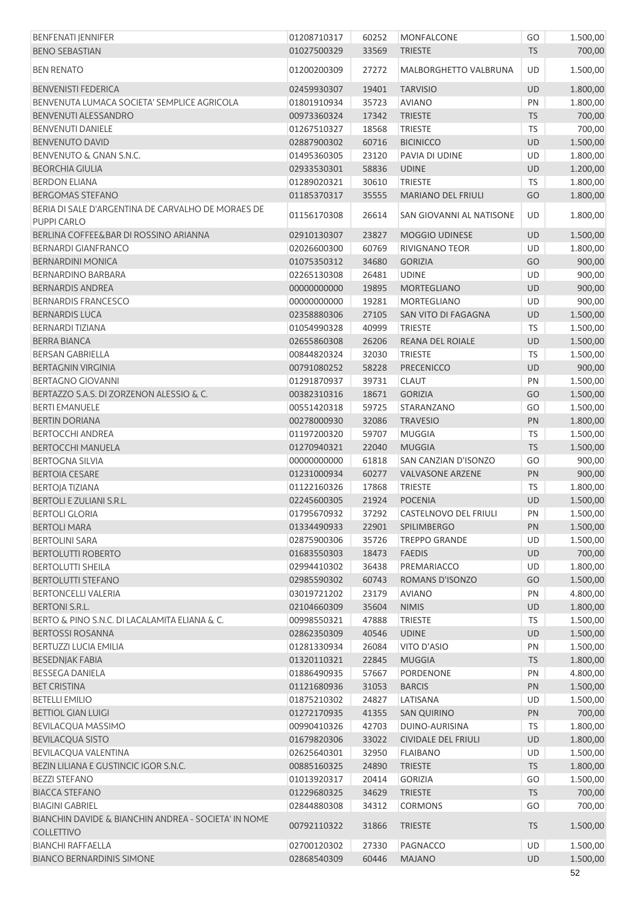| <b>BENFENATI JENNIFER</b>                                          | 01208710317 | 60252 | <b>MONFALCONE</b>            | GO        | 1.500,00 |
|--------------------------------------------------------------------|-------------|-------|------------------------------|-----------|----------|
| <b>BENO SEBASTIAN</b>                                              | 01027500329 | 33569 | <b>TRIESTE</b>               | <b>TS</b> | 700,00   |
| <b>BEN RENATO</b>                                                  | 01200200309 | 27272 | MALBORGHETTO VALBRUNA        | UD        | 1.500,00 |
| <b>BENVENISTI FEDERICA</b>                                         | 02459930307 | 19401 | <b>TARVISIO</b>              | UD        | 1.800,00 |
| BENVENUTA LUMACA SOCIETA' SEMPLICE AGRICOLA                        | 01801910934 | 35723 | <b>AVIANO</b>                | PN        | 1.800,00 |
| <b>BENVENUTI ALESSANDRO</b>                                        | 00973360324 | 17342 | <b>TRIESTE</b>               | <b>TS</b> | 700,00   |
| <b>BENVENUTI DANIELE</b>                                           | 01267510327 | 18568 | <b>TRIESTE</b>               | TS        | 700,00   |
| <b>BENVENUTO DAVID</b>                                             | 02887900302 | 60716 | <b>BICINICCO</b>             | UD        | 1.500,00 |
| BENVENUTO & GNAN S.N.C.                                            | 01495360305 | 23120 | PAVIA DI UDINE               | UD        | 1.800,00 |
| <b>BEORCHIA GIULIA</b>                                             | 02933530301 | 58836 | <b>UDINE</b>                 | <b>UD</b> | 1.200,00 |
| <b>BERDON ELIANA</b>                                               | 01289020321 | 30610 | TRIESTE                      | <b>TS</b> | 1.800,00 |
| <b>BERGOMAS STEFANO</b>                                            | 01185370317 | 35555 | <b>MARIANO DEL FRIULI</b>    | GO        | 1.800,00 |
| BERIA DI SALE D'ARGENTINA DE CARVALHO DE MORAES DE<br>PUPPI CARLO  | 01156170308 | 26614 | SAN GIOVANNI AL NATISONE     | UD        | 1.800,00 |
| BERLINA COFFEE&BAR DI ROSSINO ARIANNA                              | 02910130307 | 23827 | <b>MOGGIO UDINESE</b>        | UD        | 1.500,00 |
| <b>BERNARDI GIANFRANCO</b>                                         | 02026600300 | 60769 | RIVIGNANO TEOR               | <b>UD</b> | 1.800,00 |
| <b>BERNARDINI MONICA</b>                                           | 01075350312 | 34680 | <b>GORIZIA</b>               | GO        | 900,00   |
| BERNARDINO BARBARA                                                 | 02265130308 | 26481 | <b>UDINE</b>                 | UD        | 900,00   |
| <b>BERNARDIS ANDREA</b>                                            | 00000000000 | 19895 | <b>MORTEGLIANO</b>           | <b>UD</b> | 900,00   |
| <b>BERNARDIS FRANCESCO</b>                                         | 00000000000 | 19281 | <b>MORTEGLIANO</b>           | UD        | 900,00   |
| <b>BERNARDIS LUCA</b>                                              | 02358880306 | 27105 | SAN VITO DI FAGAGNA          | <b>UD</b> | 1.500,00 |
| BERNARDI TIZIANA                                                   | 01054990328 | 40999 | <b>TRIESTE</b>               | TS        | 1.500,00 |
| <b>BERRA BIANCA</b>                                                | 02655860308 | 26206 | <b>REANA DEL ROIALE</b>      | UD        | 1.500,00 |
| <b>BERSAN GABRIELLA</b>                                            | 00844820324 | 32030 | <b>TRIESTE</b>               | TS        | 1.500,00 |
| <b>BERTAGNIN VIRGINIA</b>                                          | 00791080252 | 58228 | <b>PRECENICCO</b>            | UD        | 900,00   |
| <b>BERTAGNO GIOVANNI</b>                                           | 01291870937 | 39731 | <b>CLAUT</b>                 | PN        | 1.500,00 |
| BERTAZZO S.A.S. DI ZORZENON ALESSIO & C.                           | 00382310316 | 18671 | <b>GORIZIA</b>               | GO        | 1.500,00 |
| <b>BERTI EMANUELE</b>                                              | 00551420318 | 59725 | STARANZANO                   | GO        | 1.500,00 |
| <b>BERTIN DORIANA</b>                                              | 00278000930 | 32086 | <b>TRAVESIO</b>              | PN        | 1.800,00 |
| <b>BERTOCCHI ANDREA</b>                                            | 01197200320 | 59707 | <b>MUGGIA</b>                | <b>TS</b> | 1.500,00 |
| <b>BERTOCCHI MANUELA</b>                                           | 01270940321 | 22040 | <b>MUGGIA</b>                | <b>TS</b> | 1.500,00 |
| <b>BERTOGNA SILVIA</b>                                             | 00000000000 | 61818 | SAN CANZIAN D'ISONZO         | GO        | 900,00   |
| <b>BERTOIA CESARE</b>                                              | 01231000934 | 60277 | <b>VALVASONE ARZENE</b>      | PN        | 900,00   |
| <b>BERTOJA TIZIANA</b>                                             | 01122160326 | 17868 | <b>TRIESTE</b>               | <b>TS</b> | 1.800,00 |
| <b>BERTOLI E ZULIANI S.R.L.</b>                                    | 02245600305 | 21924 | <b>POCENIA</b>               | <b>UD</b> | 1.500,00 |
| <b>BERTOLI GLORIA</b>                                              | 01795670932 | 37292 | <b>CASTELNOVO DEL FRIULI</b> | PN        | 1.500,00 |
| <b>BERTOLI MARA</b>                                                | 01334490933 | 22901 | <b>SPILIMBERGO</b>           | <b>PN</b> | 1.500,00 |
| <b>BERTOLINI SARA</b>                                              | 02875900306 | 35726 | <b>TREPPO GRANDE</b>         | UD        | 1.500,00 |
| <b>BERTOLUTTI ROBERTO</b>                                          | 01683550303 | 18473 | <b>FAEDIS</b>                | <b>UD</b> | 700,00   |
| <b>BERTOLUTTI SHEILA</b>                                           | 02994410302 | 36438 | PREMARIACCO                  | UD        | 1.800,00 |
| <b>BERTOLUTTI STEFANO</b>                                          | 02985590302 | 60743 | ROMANS D'ISONZO              | GO        | 1.500,00 |
| <b>BERTONCELLI VALERIA</b>                                         | 03019721202 | 23179 | <b>AVIANO</b>                | PN        | 4.800,00 |
| BERTONI S.R.L.                                                     | 02104660309 | 35604 | <b>NIMIS</b>                 | <b>UD</b> | 1.800,00 |
| BERTO & PINO S.N.C. DI LACALAMITA ELIANA & C.                      | 00998550321 | 47888 | <b>TRIESTE</b>               | <b>TS</b> | 1.500,00 |
| <b>BERTOSSI ROSANNA</b>                                            | 02862350309 | 40546 | <b>UDINE</b>                 | <b>UD</b> | 1.500,00 |
| BERTUZZI LUCIA EMILIA                                              | 01281330934 | 26084 | VITO D'ASIO                  | PN        | 1.500,00 |
| <b>BESEDNJAK FABIA</b>                                             | 01320110321 | 22845 | <b>MUGGIA</b>                | <b>TS</b> | 1.800,00 |
| <b>BESSEGA DANIELA</b>                                             | 01886490935 | 57667 | <b>PORDENONE</b>             | PN        | 4.800,00 |
| <b>BET CRISTINA</b>                                                | 01121680936 | 31053 | <b>BARCIS</b>                | PN        | 1.500,00 |
| <b>BETELLI EMILIO</b>                                              | 01875210302 | 24827 | LATISANA                     | UD        | 1.500,00 |
| <b>BETTIOL GIAN LUIGI</b>                                          | 01272170935 | 41355 | <b>SAN QUIRINO</b>           | PN        | 700,00   |
| BEVILACQUA MASSIMO                                                 | 00990410326 | 42703 | DUINO-AURISINA               | <b>TS</b> | 1.800,00 |
| <b>BEVILACQUA SISTO</b>                                            | 01679820306 | 33022 | <b>CIVIDALE DEL FRIULI</b>   | <b>UD</b> | 1.800,00 |
| BEVILACQUA VALENTINA                                               | 02625640301 | 32950 | <b>FLAIBANO</b>              | UD        | 1.500,00 |
| BEZIN LILIANA E GUSTINCIC IGOR S.N.C.                              | 00885160325 | 24890 | <b>TRIESTE</b>               | <b>TS</b> | 1.800,00 |
| <b>BEZZI STEFANO</b>                                               | 01013920317 | 20414 | <b>GORIZIA</b>               | GO        | 1.500,00 |
| <b>BIACCA STEFANO</b>                                              | 01229680325 | 34629 | <b>TRIESTE</b>               | <b>TS</b> | 700,00   |
| <b>BIAGINI GABRIEL</b>                                             | 02844880308 | 34312 | <b>CORMONS</b>               | GO        | 700,00   |
| BIANCHIN DAVIDE & BIANCHIN ANDREA - SOCIETA' IN NOME<br>COLLETTIVO | 00792110322 | 31866 | <b>TRIESTE</b>               | <b>TS</b> | 1.500,00 |
| <b>BIANCHI RAFFAELLA</b>                                           | 02700120302 | 27330 | PAGNACCO                     | UD        | 1.500,00 |
| <b>BIANCO BERNARDINIS SIMONE</b>                                   | 02868540309 | 60446 | <b>MAJANO</b>                | <b>UD</b> | 1.500,00 |
|                                                                    |             |       |                              |           | 52       |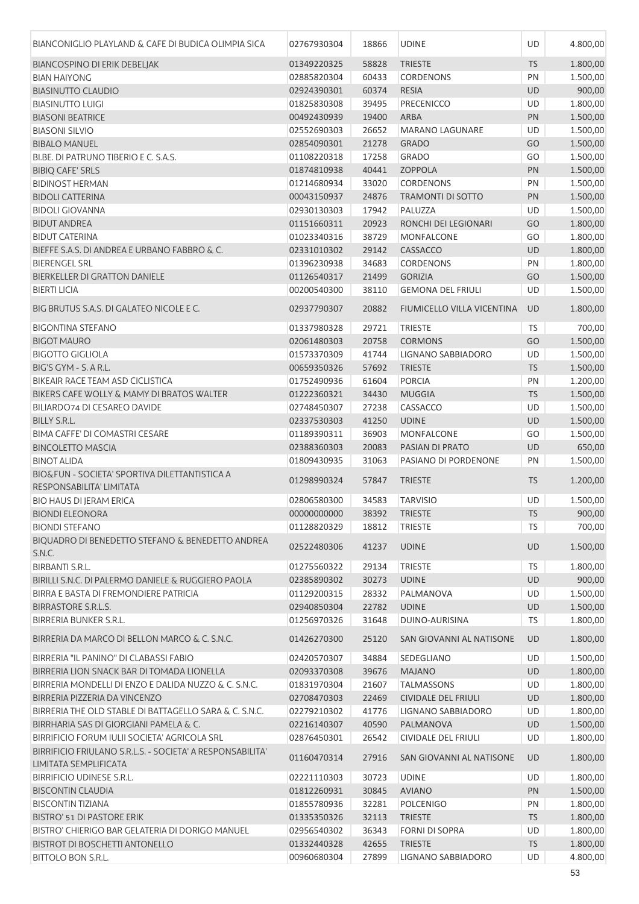| BIANCONIGLIO PLAYLAND & CAFE DI BUDICA OLIMPIA SICA                                | 02767930304               | 18866 | <b>UDINE</b>               | UD        | 4.800,00 |
|------------------------------------------------------------------------------------|---------------------------|-------|----------------------------|-----------|----------|
| <b>BIANCOSPINO DI ERIK DEBELJAK</b>                                                | 01349220325               | 58828 | <b>TRIESTE</b>             | <b>TS</b> | 1.800,00 |
| <b>BIAN HAIYONG</b>                                                                | 02885820304               | 60433 | <b>CORDENONS</b>           | PN        | 1.500,00 |
| <b>BIASINUTTO CLAUDIO</b>                                                          | 02924390301               | 60374 | <b>RESIA</b>               | <b>UD</b> | 900,00   |
| <b>BIASINUTTO LUIGI</b>                                                            | 01825830308               | 39495 | <b>PRECENICCO</b>          | UD        | 1.800,00 |
| <b>BIASONI BEATRICE</b>                                                            | 00492430939               | 19400 | <b>ARBA</b>                | PN        | 1.500,00 |
| <b>BIASONI SILVIO</b>                                                              | 02552690303               | 26652 | <b>MARANO LAGUNARE</b>     | UD        | 1.500,00 |
| <b>BIBALO MANUEL</b>                                                               | 02854090301               | 21278 | <b>GRADO</b>               | GO        | 1.500,00 |
| BI.BE. DI PATRUNO TIBERIO E C. S.A.S.                                              | 01108220318               | 17258 | <b>GRADO</b>               | GO        | 1.500,00 |
| <b>BIBIQ CAFE' SRLS</b>                                                            | 01874810938               | 40441 | <b>ZOPPOLA</b>             | PN        | 1.500,00 |
| <b>BIDINOST HERMAN</b>                                                             | 01214680934               | 33020 | <b>CORDENONS</b>           | PN        | 1.500,00 |
| <b>BIDOLI CATTERINA</b>                                                            | 00043150937               | 24876 | <b>TRAMONTI DI SOTTO</b>   | PN        | 1.500,00 |
| <b>BIDOLI GIOVANNA</b>                                                             | 02930130303               | 17942 | PALUZZA                    | UD        | 1.500,00 |
| <b>BIDUT ANDREA</b>                                                                | 01151660311               | 20923 | RONCHI DEI LEGIONARI       | GO        | 1.800,00 |
| <b>BIDUT CATERINA</b>                                                              | 01023340316               | 38729 | MONFALCONE                 | GO        | 1.800,00 |
| BIEFFE S.A.S. DI ANDREA E URBANO FABBRO & C.                                       | 02331010302               | 29142 | CASSACCO                   | <b>UD</b> | 1.800,00 |
| <b>BIERENGEL SRL</b>                                                               | 01396230938               | 34683 | <b>CORDENONS</b>           | PN        | 1.800,00 |
| <b>BIERKELLER DI GRATTON DANIELE</b>                                               | 01126540317               | 21499 | <b>GORIZIA</b>             | GO        | 1.500,00 |
| <b>BIERTI LICIA</b>                                                                | 00200540300               | 38110 | <b>GEMONA DEL FRIULI</b>   | UD        | 1.500,00 |
| BIG BRUTUS S.A.S. DI GALATEO NICOLE E C.                                           | 02937790307               | 20882 | FIUMICELLO VILLA VICENTINA | <b>UD</b> | 1.800,00 |
| <b>BIGONTINA STEFANO</b>                                                           | 01337980328               | 29721 | <b>TRIESTE</b>             | TS        | 700,00   |
| <b>BIGOT MAURO</b>                                                                 | 02061480303               | 20758 | <b>CORMONS</b>             | GO        | 1.500,00 |
| <b>BIGOTTO GIGLIOLA</b>                                                            | 01573370309               | 41744 | LIGNANO SABBIADORO         | UD        | 1.500,00 |
| BIG'S GYM - S. A R.L.                                                              | 00659350326               | 57692 | <b>TRIESTE</b>             | <b>TS</b> | 1.500,00 |
| BIKEAIR RACE TEAM ASD CICLISTICA                                                   | 01752490936               | 61604 | <b>PORCIA</b>              | PN        | 1.200,00 |
| BIKERS CAFE WOLLY & MAMY DI BRATOS WALTER                                          | 01222360321               | 34430 | <b>MUGGIA</b>              | <b>TS</b> | 1.500,00 |
| BILIARDO74 DI CESAREO DAVIDE                                                       | 02748450307               | 27238 | CASSACCO                   | UD        | 1.500,00 |
| <b>BILLY S.R.L.</b>                                                                | 02337530303               | 41250 | <b>UDINE</b>               | <b>UD</b> | 1.500,00 |
| <b>BIMA CAFFE' DI COMASTRI CESARE</b>                                              | 01189390311               | 36903 | MONFALCONE                 | GO        | 1.500,00 |
| <b>BINCOLETTO MASCIA</b>                                                           | 02388360303               | 20083 | PASIAN DI PRATO            | <b>UD</b> | 650,00   |
| <b>BINOT ALIDA</b>                                                                 | 01809430935               | 31063 | PASIANO DI PORDENONE       | PN        | 1.500,00 |
| <b>BIO&amp;FUN - SOCIETA' SPORTIVA DILETTANTISTICA A</b>                           |                           |       |                            |           |          |
| RESPONSABILITA' LIMITATA                                                           | 01298990324               | 57847 | <b>TRIESTE</b>             | <b>TS</b> | 1.200,00 |
| <b>BIO HAUS DI JERAM ERICA</b>                                                     | 02806580300               | 34583 | <b>TARVISIO</b>            | UD        | 1.500,00 |
| <b>BIONDI ELEONORA</b>                                                             | 00000000000 38392 TRIESTE |       |                            | <b>TS</b> | 900,00   |
| <b>BIONDI STEFANO</b>                                                              | 01128820329               | 18812 | <b>TRIESTE</b>             | TS        | 700,00   |
| BIQUADRO DI BENEDETTO STEFANO & BENEDETTO ANDREA<br>S.N.C.                         | 02522480306               | 41237 | <b>UDINE</b>               | <b>UD</b> | 1.500,00 |
| <b>BIRBANTI S.R.L.</b>                                                             | 01275560322               | 29134 | <b>TRIESTE</b>             | TS        | 1.800,00 |
| BIRILLI S.N.C. DI PALERMO DANIELE & RUGGIERO PAOLA                                 | 02385890302               | 30273 | <b>UDINE</b>               | UD        | 900,00   |
| BIRRA E BASTA DI FREMONDIERE PATRICIA                                              | 01129200315               | 28332 | PALMANOVA                  | UD        | 1.500,00 |
| <b>BIRRASTORE S.R.L.S.</b>                                                         | 02940850304               | 22782 | <b>UDINE</b>               | <b>UD</b> | 1.500,00 |
| BIRRERIA BUNKER S.R.L.                                                             | 01256970326               | 31648 | DUINO-AURISINA             | <b>TS</b> | 1.800,00 |
| BIRRERIA DA MARCO DI BELLON MARCO & C. S.N.C.                                      | 01426270300               | 25120 | SAN GIOVANNI AL NATISONE   | <b>UD</b> | 1.800,00 |
| BIRRERIA "IL PANINO" DI CLABASSI FABIO                                             | 02420570307               | 34884 | SEDEGLIANO                 | UD        | 1.500,00 |
| BIRRERIA LION SNACK BAR DI TOMADA LIONELLA                                         | 02093370308               | 39676 | <b>MAJANO</b>              | <b>UD</b> | 1.800,00 |
| BIRRERIA MONDELLI DI ENZO E DALIDA NUZZO & C. S.N.C.                               | 01831970304               | 21607 | <b>TALMASSONS</b>          | UD        | 1.800,00 |
| BIRRERIA PIZZERIA DA VINCENZO                                                      | 02708470303               | 22469 | <b>CIVIDALE DEL FRIULI</b> | <b>UD</b> | 1.800,00 |
| BIRRERIA THE OLD STABLE DI BATTAGELLO SARA & C. S.N.C.                             | 02279210302               | 41776 | LIGNANO SABBIADORO         | <b>UD</b> | 1.800,00 |
| BIRRHARIA SAS DI GIORGIANI PAMELA & C.                                             | 02216140307               | 40590 | PALMANOVA                  | <b>UD</b> | 1.500,00 |
| BIRRIFICIO FORUM IULII SOCIETA' AGRICOLA SRL                                       | 02876450301               | 26542 | CIVIDALE DEL FRIULI        | UD        | 1.800,00 |
| BIRRIFICIO FRIULANO S.R.L.S. - SOCIETA' A RESPONSABILITA'<br>LIMITATA SEMPLIFICATA | 01160470314               | 27916 | SAN GIOVANNI AL NATISONE   | <b>UD</b> | 1.800,00 |
| BIRRIFICIO UDINESE S.R.L.                                                          | 02221110303               | 30723 | <b>UDINE</b>               | UD        | 1.800,00 |
| <b>BISCONTIN CLAUDIA</b>                                                           | 01812260931               | 30845 | <b>AVIANO</b>              | PN        | 1.500,00 |
| <b>BISCONTIN TIZIANA</b>                                                           | 01855780936               | 32281 | <b>POLCENIGO</b>           | PN        | 1.800,00 |
| <b>BISTRO' 51 DI PASTORE ERIK</b>                                                  | 01335350326               | 32113 | <b>TRIESTE</b>             | <b>TS</b> | 1.800,00 |
| BISTRO' CHIERIGO BAR GELATERIA DI DORIGO MANUEL                                    | 02956540302               | 36343 | <b>FORNI DI SOPRA</b>      | UD        | 1.800,00 |
| <b>BISTROT DI BOSCHETTI ANTONELLO</b>                                              | 01332440328               | 42655 | <b>TRIESTE</b>             | TS        | 1.800,00 |
| BITTOLO BON S.R.L.                                                                 | 00960680304               | 27899 | LIGNANO SABBIADORO         | UD        | 4.800,00 |
|                                                                                    |                           |       |                            |           |          |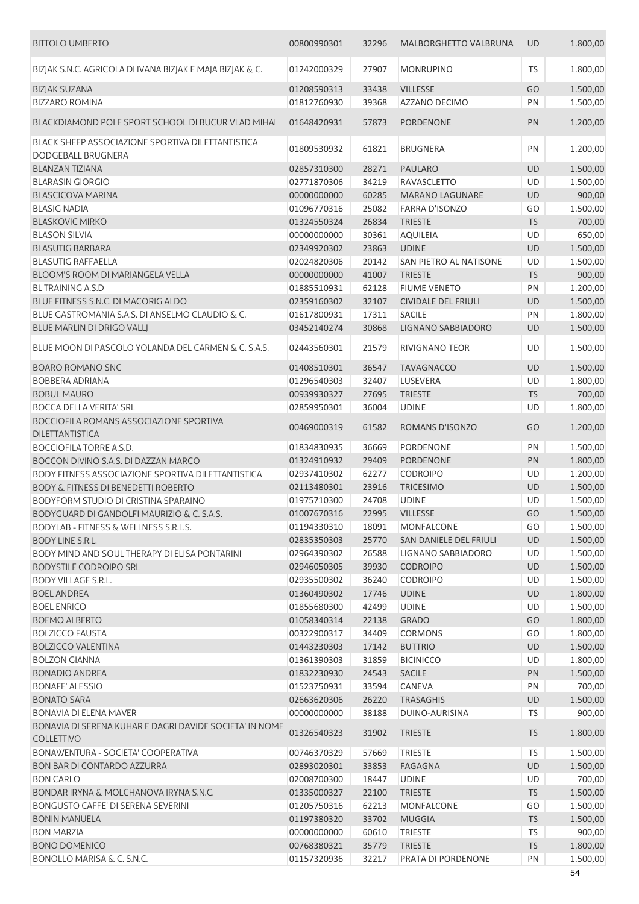| <b>BITTOLO UMBERTO</b>                                                       | 00800990301 | 32296 | <b>MALBORGHETTO VALBRUNA</b> | UD        | 1.800,00 |
|------------------------------------------------------------------------------|-------------|-------|------------------------------|-----------|----------|
| BIZJAK S.N.C. AGRICOLA DI IVANA BIZJAK E MAJA BIZJAK & C.                    | 01242000329 | 27907 | <b>MONRUPINO</b>             | <b>TS</b> | 1.800,00 |
| <b>BIZJAK SUZANA</b>                                                         | 01208590313 | 33438 | <b>VILLESSE</b>              | GO        | 1.500,00 |
| <b>BIZZARO ROMINA</b>                                                        | 01812760930 | 39368 | AZZANO DECIMO                | PN        | 1.500,00 |
| BLACKDIAMOND POLE SPORT SCHOOL DI BUCUR VLAD MIHAI                           | 01648420931 | 57873 | <b>PORDENONE</b>             | PN        | 1.200,00 |
| BLACK SHEEP ASSOCIAZIONE SPORTIVA DILETTANTISTICA<br>DODGEBALL BRUGNERA      | 01809530932 | 61821 | <b>BRUGNERA</b>              | PN        | 1.200,00 |
| <b>BLANZAN TIZIANA</b>                                                       | 02857310300 | 28271 | <b>PAULARO</b>               | UD        | 1.500,00 |
| <b>BLARASIN GIORGIO</b>                                                      | 02771870306 | 34219 | <b>RAVASCLETTO</b>           | UD        | 1.500,00 |
| <b>BLASCICOVA MARINA</b>                                                     | 00000000000 | 60285 | <b>MARANO LAGUNARE</b>       | <b>UD</b> | 900,00   |
| <b>BLASIG NADIA</b>                                                          | 01096770316 | 25082 | <b>FARRA D'ISONZO</b>        | GO        | 1.500,00 |
| <b>BLASKOVIC MIRKO</b>                                                       | 01324550324 | 26834 | <b>TRIESTE</b>               | <b>TS</b> | 700,00   |
| <b>BLASON SILVIA</b>                                                         | 00000000000 | 30361 | <b>AQUILEIA</b>              | UD        | 650,00   |
| <b>BLASUTIG BARBARA</b>                                                      | 02349920302 | 23863 | <b>UDINE</b>                 | <b>UD</b> | 1.500,00 |
| <b>BLASUTIG RAFFAELLA</b>                                                    | 02024820306 | 20142 | SAN PIETRO AL NATISONE       | UD        | 1.500,00 |
| <b>BLOOM'S ROOM DI MARIANGELA VELLA</b>                                      | 00000000000 | 41007 | <b>TRIESTE</b>               | <b>TS</b> | 900,00   |
| <b>BL TRAINING A.S.D</b>                                                     | 01885510931 | 62128 | <b>FIUME VENETO</b>          | PN        | 1.200,00 |
| BLUE FITNESS S.N.C. DI MACORIG ALDO                                          | 02359160302 | 32107 | <b>CIVIDALE DEL FRIULI</b>   | UD        | 1.500,00 |
| BLUE GASTROMANIA S.A.S. DI ANSELMO CLAUDIO & C.                              | 01617800931 | 17311 | <b>SACILE</b>                | PN        | 1.800,00 |
| BLUE MARLIN DI DRIGO VALLJ                                                   | 03452140274 | 30868 | LIGNANO SABBIADORO           | UD        | 1.500,00 |
| BLUE MOON DI PASCOLO YOLANDA DEL CARMEN & C. S.A.S.                          | 02443560301 | 21579 | <b>RIVIGNANO TEOR</b>        | UD        | 1.500,00 |
| <b>BOARO ROMANO SNC</b>                                                      | 01408510301 | 36547 | <b>TAVAGNACCO</b>            | UD        | 1.500,00 |
| <b>BOBBERA ADRIANA</b>                                                       | 01296540303 | 32407 | LUSEVERA                     | UD        | 1.800,00 |
| <b>BOBUL MAURO</b>                                                           | 00939930327 | 27695 | <b>TRIESTE</b>               | TS        | 700,00   |
| <b>BOCCA DELLA VERITA' SRL</b>                                               | 02859950301 | 36004 | <b>UDINE</b>                 | UD        | 1.800,00 |
| <b>BOCCIOFILA ROMANS ASSOCIAZIONE SPORTIVA</b><br><b>DILETTANTISTICA</b>     | 00469000319 | 61582 | ROMANS D'ISONZO              | GO        | 1.200,00 |
| <b>BOCCIOFILA TORRE A.S.D.</b>                                               | 01834830935 | 36669 | PORDENONE                    | PN        | 1.500,00 |
| BOCCON DIVINO S.A.S. DI DAZZAN MARCO                                         | 01324910932 | 29409 | PORDENONE                    | PN        | 1.800,00 |
| BODY FITNESS ASSOCIAZIONE SPORTIVA DILETTANTISTICA                           | 02937410302 | 62277 | <b>CODROIPO</b>              | UD        | 1.200,00 |
| <b>BODY &amp; FITNESS DI BENEDETTI ROBERTO</b>                               | 02113480301 | 23916 | <b>TRICESIMO</b>             | <b>UD</b> | 1.500,00 |
| BODYFORM STUDIO DI CRISTINA SPARAINO                                         | 01975710300 | 24708 | <b>UDINE</b>                 | UD        | 1.500,00 |
| BODYGUARD DI GANDOLFI MAURIZIO & C. S.A.S.                                   | 01007670316 | 22995 | <b>VILLESSE</b>              | GO        | 1.500,00 |
| BODYLAB - FITNESS & WELLNESS S.R.L.S.                                        | 01194330310 | 18091 | <b>MONFALCONE</b>            | GO        | 1.500,00 |
| BODY LINE S.R.L.                                                             | 02835350303 | 25770 | SAN DANIELE DEL FRIULI       | <b>UD</b> | 1.500,00 |
| BODY MIND AND SOUL THERAPY DI ELISA PONTARINI                                | 02964390302 | 26588 | LIGNANO SABBIADORO           | UD        | 1.500,00 |
| <b>BODYSTILE CODROIPO SRL</b>                                                | 02946050305 | 39930 | <b>CODROIPO</b>              | <b>UD</b> | 1.500,00 |
| <b>BODY VILLAGE S.R.L.</b>                                                   | 02935500302 | 36240 | <b>CODROIPO</b>              | UD        | 1.500,00 |
| <b>BOEL ANDREA</b>                                                           | 01360490302 | 17746 | <b>UDINE</b>                 | <b>UD</b> | 1.800,00 |
| <b>BOEL ENRICO</b>                                                           | 01855680300 | 42499 | <b>UDINE</b>                 | UD        | 1.500,00 |
| <b>BOEMO ALBERTO</b>                                                         | 01058340314 | 22138 | <b>GRADO</b>                 | GO        | 1.800,00 |
| <b>BOLZICCO FAUSTA</b>                                                       | 00322900317 | 34409 | <b>CORMONS</b>               | GO        | 1.800,00 |
| <b>BOLZICCO VALENTINA</b>                                                    | 01443230303 | 17142 | <b>BUTTRIO</b>               | <b>UD</b> | 1.500,00 |
| <b>BOLZON GIANNA</b>                                                         | 01361390303 | 31859 | <b>BICINICCO</b>             | UD        | 1.800,00 |
| <b>BONADIO ANDREA</b>                                                        | 01832230930 | 24543 | <b>SACILE</b>                | PN        | 1.500,00 |
| <b>BONAFE' ALESSIO</b>                                                       | 01523750931 | 33594 | CANEVA                       | PN        | 700,00   |
| <b>BONATO SARA</b>                                                           | 02663620306 | 26220 | <b>TRASAGHIS</b>             | <b>UD</b> | 1.500,00 |
| <b>BONAVIA DI ELENA MAVER</b>                                                | 00000000000 | 38188 | DUINO-AURISINA               | <b>TS</b> | 900,00   |
| BONAVIA DI SERENA KUHAR E DAGRI DAVIDE SOCIETA' IN NOME<br><b>COLLETTIVO</b> | 01326540323 | 31902 | <b>TRIESTE</b>               | <b>TS</b> | 1.800,00 |
| BONAWENTURA - SOCIETA' COOPERATIVA                                           | 00746370329 | 57669 | <b>TRIESTE</b>               | TS        | 1.500,00 |
| BON BAR DI CONTARDO AZZURRA                                                  | 02893020301 | 33853 | <b>FAGAGNA</b>               | <b>UD</b> | 1.500,00 |
| <b>BON CARLO</b>                                                             | 02008700300 | 18447 | <b>UDINE</b>                 | UD        | 700,00   |
| BONDAR IRYNA & MOLCHANOVA IRYNA S.N.C.                                       | 01335000327 | 22100 | <b>TRIESTE</b>               | <b>TS</b> | 1.500,00 |
| <b>BONGUSTO CAFFE' DI SERENA SEVERINI</b>                                    | 01205750316 | 62213 | <b>MONFALCONE</b>            | GO        | 1.500,00 |
| <b>BONIN MANUELA</b>                                                         | 01197380320 | 33702 | <b>MUGGIA</b>                | <b>TS</b> | 1.500,00 |
| <b>BON MARZIA</b>                                                            | 00000000000 | 60610 | TRIESTE                      | <b>TS</b> | 900,00   |
| <b>BONO DOMENICO</b>                                                         | 00768380321 | 35779 | <b>TRIESTE</b>               | <b>TS</b> | 1.800,00 |
| BONOLLO MARISA & C. S.N.C.                                                   | 01157320936 | 32217 | PRATA DI PORDENONE           | PN        | 1.500,00 |
|                                                                              |             |       |                              |           | 54       |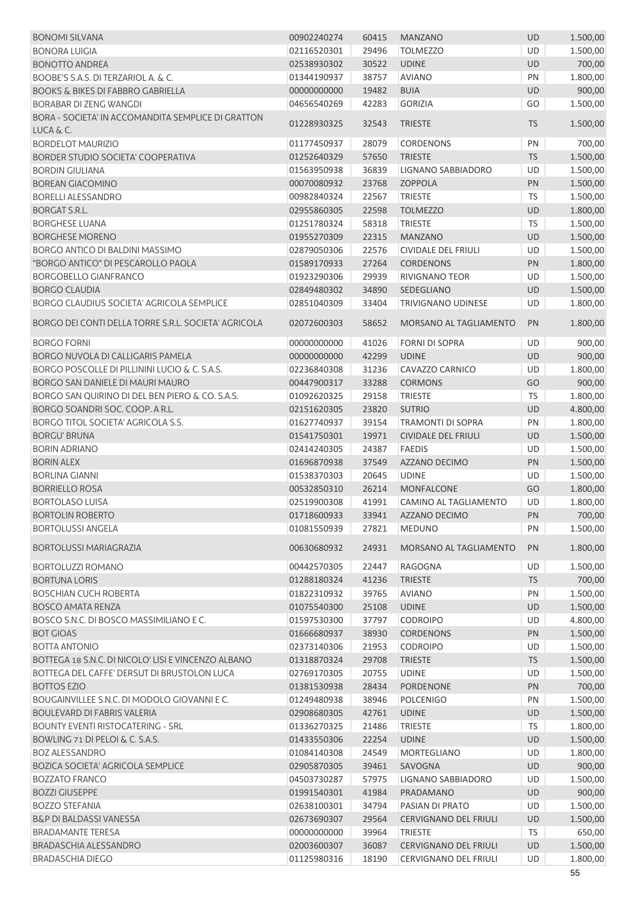| <b>BONOMI SILVANA</b>                                           | 00902240274 | 60415 | <b>MANZANO</b>               | UD        | 1.500,00 |
|-----------------------------------------------------------------|-------------|-------|------------------------------|-----------|----------|
| <b>BONORA LUIGIA</b>                                            | 02116520301 | 29496 | <b>TOLMEZZO</b>              | <b>UD</b> | 1.500,00 |
| <b>BONOTTO ANDREA</b>                                           | 02538930302 | 30522 | <b>UDINE</b>                 | <b>UD</b> | 700,00   |
| BOOBE'S S.A.S. DI TERZARIOL A. & C.                             | 01344190937 | 38757 | <b>AVIANO</b>                | PN        | 1.800,00 |
| <b>BOOKS &amp; BIKES DI FABBRO GABRIELLA</b>                    | 00000000000 | 19482 | <b>BUIA</b>                  | <b>UD</b> | 900,00   |
| <b>BORABAR DI ZENG WANGDI</b>                                   | 04656540269 | 42283 | <b>GORIZIA</b>               | GO        | 1.500,00 |
| BORA - SOCIETA' IN ACCOMANDITA SEMPLICE DI GRATTON<br>LUCA & C. | 01228930325 | 32543 | <b>TRIESTE</b>               | <b>TS</b> | 1.500,00 |
| <b>BORDELOT MAURIZIO</b>                                        | 01177450937 | 28079 | <b>CORDENONS</b>             | PN        | 700,00   |
| <b>BORDER STUDIO SOCIETA' COOPERATIVA</b>                       | 01252640329 | 57650 | <b>TRIESTE</b>               | <b>TS</b> | 1.500,00 |
| <b>BORDIN GIULIANA</b>                                          | 01563950938 | 36839 | LIGNANO SABBIADORO           | UD        | 1.500,00 |
| <b>BOREAN GIACOMINO</b>                                         | 00070080932 | 23768 | <b>ZOPPOLA</b>               | PN        | 1.500,00 |
| <b>BORELLI ALESSANDRO</b>                                       | 00982840324 | 22567 | <b>TRIESTE</b>               | <b>TS</b> | 1.500,00 |
| <b>BORGAT S.R.L.</b>                                            | 02955860305 | 22598 | <b>TOLMEZZO</b>              | UD        | 1.800,00 |
| <b>BORGHESE LUANA</b>                                           | 01251780324 | 58318 | <b>TRIESTE</b>               | <b>TS</b> | 1.500,00 |
| <b>BORGHESE MORENO</b>                                          | 01955270309 | 22315 | <b>MANZANO</b>               | UD        | 1.500,00 |
| BORGO ANTICO DI BALDINI MASSIMO                                 | 02879050306 | 22576 | <b>CIVIDALE DEL FRIULI</b>   | <b>UD</b> | 1.500,00 |
| "BORGO ANTICO" DI PESCAROLLO PAOLA                              | 01589170933 | 27264 | <b>CORDENONS</b>             | PN        | 1.800,00 |
| <b>BORGOBELLO GIANFRANCO</b>                                    | 01923290306 | 29939 | RIVIGNANO TEOR               | UD        | 1.500,00 |
| <b>BORGO CLAUDIA</b>                                            | 02849480302 | 34890 | SEDEGLIANO                   | <b>UD</b> | 1.500,00 |
| BORGO CLAUDIUS SOCIETA' AGRICOLA SEMPLICE                       | 02851040309 | 33404 | <b>TRIVIGNANO UDINESE</b>    | UD        | 1.800,00 |
| BORGO DEI CONTI DELLA TORRE S.R.L. SOCIETA' AGRICOLA            | 02072600303 | 58652 | MORSANO AL TAGLIAMENTO       | PN        | 1.800,00 |
| <b>BORGO FORNI</b>                                              | 00000000000 | 41026 | <b>FORNI DI SOPRA</b>        | UD        | 900,00   |
| BORGO NUVOLA DI CALLIGARIS PAMELA                               | 00000000000 | 42299 | <b>UDINE</b>                 | UD        | 900,00   |
| BORGO POSCOLLE DI PILLININI LUCIO & C. S.A.S.                   | 02236840308 | 31236 | CAVAZZO CARNICO              | UD        | 1.800,00 |
| BORGO SAN DANIELE DI MAURI MAURO                                | 00447900317 | 33288 | <b>CORMONS</b>               | GO        | 900,00   |
| BORGO SAN QUIRINO DI DEL BEN PIERO & CO. S.A.S.                 | 01092620325 | 29158 | <b>TRIESTE</b>               | <b>TS</b> | 1.800,00 |
| BORGO SOANDRI SOC. COOP. A R.L.                                 | 02151620305 | 23820 |                              | UD        | 4.800,00 |
|                                                                 |             |       | <b>SUTRIO</b>                |           |          |
| BORGO TITOL SOCIETA' AGRICOLA S.S.                              | 01627740937 | 39154 | <b>TRAMONTI DI SOPRA</b>     | PN        | 1.800,00 |
| <b>BORGU' BRUNA</b>                                             | 01541750301 | 19971 | CIVIDALE DEL FRIULI          | <b>UD</b> | 1.500,00 |
| <b>BORIN ADRIANO</b>                                            | 02414240305 | 24387 | <b>FAEDIS</b>                | UD        | 1.500,00 |
| <b>BORIN ALEX</b>                                               | 01696870938 | 37549 | AZZANO DECIMO                | PN        | 1.500,00 |
| <b>BORLINA GIANNI</b>                                           | 01538370303 | 20645 | <b>UDINE</b>                 | UD        | 1.500,00 |
| <b>BORRIELLO ROSA</b>                                           | 00532850310 | 26214 | <b>MONFALCONE</b>            | GO        | 1.800,00 |
| BORTOLASO LUISA                                                 | 02519900308 | 41991 | CAMINO AL TAGLIAMENTO        | <b>UD</b> | 1.800,00 |
| <b>BORTOLIN ROBERTO</b>                                         | 01718600933 | 33941 | AZZANO DECIMO                | <b>PN</b> | 700,00   |
| <b>BORTOLUSSI ANGELA</b>                                        | 01081550939 | 27821 | <b>MEDUNO</b>                | PN        | 1.500,00 |
| <b>BORTOLUSSI MARIAGRAZIA</b>                                   | 00630680932 | 24931 | MORSANO AL TAGLIAMENTO       | PN        | 1.800,00 |
| BORTOLUZZI ROMANO                                               | 00442570305 | 22447 | RAGOGNA                      | UD        | 1.500,00 |
| <b>BORTUNA LORIS</b>                                            | 01288180324 | 41236 | <b>TRIESTE</b>               | <b>TS</b> | 700,00   |
| <b>BOSCHIAN CUCH ROBERTA</b>                                    | 01822310932 | 39765 | <b>AVIANO</b>                | PN        | 1.500,00 |
| <b>BOSCO AMATA RENZA</b>                                        | 01075540300 | 25108 | <b>UDINE</b>                 | <b>UD</b> | 1.500,00 |
| BOSCO S.N.C. DI BOSCO MASSIMILIANO E C.                         | 01597530300 | 37797 | <b>CODROIPO</b>              | <b>UD</b> | 4.800,00 |
| <b>BOT GIOAS</b>                                                | 01666680937 | 38930 | <b>CORDENONS</b>             | PN        | 1.500,00 |
| <b>BOTTA ANTONIO</b>                                            | 02373140306 | 21953 | <b>CODROIPO</b>              | UD        | 1.500,00 |
| BOTTEGA 18 S.N.C. DI NICOLO' LISI E VINCENZO ALBANO             | 01318870324 | 29708 | <b>TRIESTE</b>               | <b>TS</b> | 1.500,00 |
| BOTTEGA DEL CAFFE' DERSUT DI BRUSTOLON LUCA                     | 02769170305 | 20755 | <b>UDINE</b>                 | <b>UD</b> | 1.500,00 |
| <b>BOTTOS EZIO</b>                                              | 01381530938 | 28434 | <b>PORDENONE</b>             | <b>PN</b> | 700,00   |
| BOUGAINVILLEE S.N.C. DI MODOLO GIOVANNI E C.                    | 01249480938 | 38946 | <b>POLCENIGO</b>             | PN        | 1.500,00 |
| <b>BOULEVARD DI FABRIS VALERIA</b>                              | 02908680305 | 42761 | <b>UDINE</b>                 | <b>UD</b> | 1.500,00 |
| <b>BOUNTY EVENTI RISTOCATERING - SRL</b>                        | 01336270325 | 21486 | <b>TRIESTE</b>               | TS        | 1.800,00 |
| BOWLING 71 DI PELOI & C. S.A.S.                                 | 01433550306 | 22254 | <b>UDINE</b>                 | <b>UD</b> | 1.500,00 |
| <b>BOZ ALESSANDRO</b>                                           | 01084140308 | 24549 | MORTEGLIANO                  | <b>UD</b> | 1.800,00 |
| BOZICA SOCIETA' AGRICOLA SEMPLICE                               | 02905870305 | 39461 | SAVOGNA                      | <b>UD</b> | 900,00   |
| <b>BOZZATO FRANCO</b>                                           | 04503730287 | 57975 | LIGNANO SABBIADORO           | <b>UD</b> | 1.500,00 |
| <b>BOZZI GIUSEPPE</b>                                           | 01991540301 | 41984 | PRADAMANO                    | <b>UD</b> | 900,00   |
| <b>BOZZO STEFANIA</b>                                           | 02638100301 | 34794 | PASIAN DI PRATO              | <b>UD</b> | 1.500,00 |
| <b>B&amp;P DI BALDASSI VANESSA</b>                              | 02673690307 | 29564 | <b>CERVIGNANO DEL FRIULI</b> | <b>UD</b> | 1.500,00 |
| <b>BRADAMANTE TERESA</b>                                        | 00000000000 | 39964 | TRIESTE                      | TS.       | 650,00   |
| BRADASCHIA ALESSANDRO                                           | 02003600307 | 36087 | <b>CERVIGNANO DEL FRIULI</b> | <b>UD</b> | 1.500,00 |
| <b>BRADASCHIA DIEGO</b>                                         | 01125980316 | 18190 | <b>CERVIGNANO DEL FRIULI</b> | UD        | 1.800,00 |
|                                                                 |             |       |                              |           | 55       |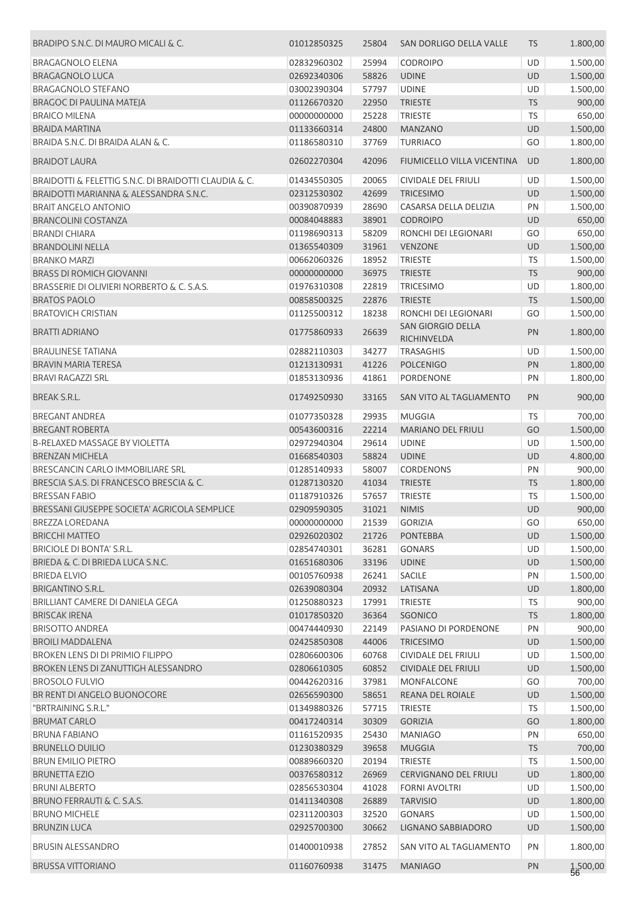| BRADIPO S.N.C. DI MAURO MICALI & C.                   | 01012850325 | 25804 | SAN DORLIGO DELLA VALLE                 | <b>TS</b> | 1.800,00       |
|-------------------------------------------------------|-------------|-------|-----------------------------------------|-----------|----------------|
| <b>BRAGAGNOLO ELENA</b>                               | 02832960302 | 25994 | <b>CODROIPO</b>                         | UD        | 1.500,00       |
| <b>BRAGAGNOLO LUCA</b>                                | 02692340306 | 58826 | <b>UDINE</b>                            | <b>UD</b> | 1.500,00       |
| <b>BRAGAGNOLO STEFANO</b>                             | 03002390304 | 57797 | <b>UDINE</b>                            | UD        | 1.500,00       |
| <b>BRAGOC DI PAULINA MATEJA</b>                       | 01126670320 | 22950 | <b>TRIESTE</b>                          | <b>TS</b> | 900,00         |
| <b>BRAICO MILENA</b>                                  | 00000000000 | 25228 | <b>TRIESTE</b>                          | TS        | 650,00         |
| <b>BRAIDA MARTINA</b>                                 | 01133660314 | 24800 | <b>MANZANO</b>                          | UD        | 1.500,00       |
| BRAIDA S.N.C. DI BRAIDA ALAN & C.                     | 01186580310 | 37769 | <b>TURRIACO</b>                         | GO        | 1.800,00       |
| <b>BRAIDOT LAURA</b>                                  | 02602270304 | 42096 | FIUMICELLO VILLA VICENTINA              | <b>UD</b> | 1.800,00       |
|                                                       |             |       |                                         |           |                |
| BRAIDOTTI & FELETTIG S.N.C. DI BRAIDOTTI CLAUDIA & C. | 01434550305 | 20065 | CIVIDALE DEL FRIULI                     | UD        | 1.500,00       |
| BRAIDOTTI MARIANNA & ALESSANDRA S.N.C.                | 02312530302 | 42699 | <b>TRICESIMO</b>                        | UD        | 1.500,00       |
| <b>BRAIT ANGELO ANTONIO</b>                           | 00390870939 | 28690 | CASARSA DELLA DELIZIA                   | PN        | 1.500,00       |
| <b>BRANCOLINI COSTANZA</b>                            | 00084048883 | 38901 | <b>CODROIPO</b>                         | UD        | 650,00         |
| <b>BRANDI CHIARA</b>                                  | 01198690313 | 58209 | RONCHI DEI LEGIONARI                    | GO        | 650,00         |
| <b>BRANDOLINI NELLA</b>                               | 01365540309 | 31961 | <b>VENZONE</b>                          | UD        | 1.500,00       |
| <b>BRANKO MARZI</b>                                   | 00662060326 | 18952 | <b>TRIESTE</b>                          | TS        | 1.500,00       |
| <b>BRASS DI ROMICH GIOVANNI</b>                       | 00000000000 | 36975 | <b>TRIESTE</b>                          | <b>TS</b> | 900,00         |
| BRASSERIE DI OLIVIERI NORBERTO & C. S.A.S.            | 01976310308 | 22819 | <b>TRICESIMO</b>                        | UD        | 1.800,00       |
| <b>BRATOS PAOLO</b>                                   | 00858500325 | 22876 | <b>TRIESTE</b>                          | <b>TS</b> | 1.500,00       |
| <b>BRATOVICH CRISTIAN</b>                             | 01125500312 | 18238 | RONCHI DEI LEGIONARI                    | GO        | 1.500,00       |
| <b>BRATTI ADRIANO</b>                                 | 01775860933 | 26639 | <b>SAN GIORGIO DELLA</b><br>RICHINVELDA | PN        | 1.800,00       |
| <b>BRAULINESE TATIANA</b>                             | 02882110303 | 34277 | <b>TRASAGHIS</b>                        | UD        | 1.500,00       |
| <b>BRAVIN MARIA TERESA</b>                            | 01213130931 | 41226 | <b>POLCENIGO</b>                        | PN        | 1.800,00       |
| <b>BRAVI RAGAZZI SRL</b>                              | 01853130936 | 41861 | PORDENONE                               | PN        | 1.800,00       |
| <b>BREAK S.R.L.</b>                                   | 01749250930 | 33165 | SAN VITO AL TAGLIAMENTO                 | PN        | 900,00         |
|                                                       |             |       |                                         |           |                |
| <b>BREGANT ANDREA</b>                                 | 01077350328 | 29935 | <b>MUGGIA</b>                           | TS        | 700,00         |
| <b>BREGANT ROBERTA</b>                                | 00543600316 | 22214 | <b>MARIANO DEL FRIULI</b>               | GO        | 1.500,00       |
| <b>B-RELAXED MASSAGE BY VIOLETTA</b>                  | 02972940304 | 29614 | <b>UDINE</b>                            | UD        | 1.500,00       |
| <b>BRENZAN MICHELA</b>                                | 01668540303 | 58824 | <b>UDINE</b>                            | <b>UD</b> | 4.800,00       |
| BRESCANCIN CARLO IMMOBILIARE SRL                      | 01285140933 | 58007 | CORDENONS                               | PN        | 900,00         |
| BRESCIA S.A.S. DI FRANCESCO BRESCIA & C.              | 01287130320 | 41034 | <b>TRIESTE</b>                          | <b>TS</b> | 1.800,00       |
| <b>BRESSAN FABIO</b>                                  | 01187910326 | 57657 | <b>TRIESTE</b>                          | TS        | 1.500,00       |
| BRESSANI GIUSEPPE SOCIETA' AGRICOLA SEMPLICE          | 02909590305 | 31021 | <b>NIMIS</b>                            | <b>UD</b> | 900,00         |
| <b>BREZZA LOREDANA</b>                                | 00000000000 | 21539 | <b>GORIZIA</b>                          | GO        | 650,00         |
| <b>BRICCHI MATTEO</b>                                 | 02926020302 | 21726 | <b>PONTEBBA</b>                         | <b>UD</b> | 1.500,00       |
| <b>BRICIOLE DI BONTA' S.R.L.</b>                      | 02854740301 | 36281 | <b>GONARS</b>                           | UD        | 1.500,00       |
| BRIEDA & C. DI BRIEDA LUCA S.N.C.                     | 01651680306 | 33196 | <b>UDINE</b>                            | <b>UD</b> | 1.500,00       |
| <b>BRIEDA ELVIO</b>                                   | 00105760938 | 26241 | <b>SACILE</b>                           | PN        | 1.500,00       |
| <b>BRIGANTINO S.R.L.</b>                              | 02639080304 | 20932 | LATISANA                                | <b>UD</b> | 1.800,00       |
| BRILLIANT CAMERE DI DANIELA GEGA                      | 01250880323 | 17991 | <b>TRIESTE</b>                          | TS        | 900,00         |
| <b>BRISCAK IRENA</b>                                  | 01017850320 | 36364 | <b>SGONICO</b>                          | <b>TS</b> | 1.800,00       |
| <b>BRISOTTO ANDREA</b>                                | 00474440930 | 22149 | PASIANO DI PORDENONE                    | PN        | 900,00         |
| <b>BROILI MADDALENA</b>                               | 02425850308 | 44006 | <b>TRICESIMO</b>                        | UD        | 1.500,00       |
| BROKEN LENS DI DI PRIMIO FILIPPO                      | 02806600306 | 60768 | CIVIDALE DEL FRIULI                     | UD        | 1.500,00       |
| BROKEN LENS DI ZANUTTIGH ALESSANDRO                   | 02806610305 | 60852 | <b>CIVIDALE DEL FRIULI</b>              | UD        | 1.500,00       |
| <b>BROSOLO FULVIO</b>                                 | 00442620316 | 37981 | MONFALCONE                              | GO        | 700,00         |
| BR RENT DI ANGELO BUONOCORE                           | 02656590300 | 58651 | REANA DEL ROIALE                        | <b>UD</b> | 1.500,00       |
| "BRTRAINING S.R.L."                                   | 01349880326 | 57715 | <b>TRIESTE</b>                          | TS        | 1.500,00       |
| <b>BRUMAT CARLO</b>                                   | 00417240314 | 30309 | <b>GORIZIA</b>                          | GO        | 1.800,00       |
| <b>BRUNA FABIANO</b>                                  | 01161520935 | 25430 | <b>MANIAGO</b>                          | PN        | 650,00         |
| <b>BRUNELLO DUILIO</b>                                | 01230380329 | 39658 | <b>MUGGIA</b>                           | <b>TS</b> | 700,00         |
|                                                       | 00889660320 | 20194 | <b>TRIESTE</b>                          | <b>TS</b> |                |
| <b>BRUN EMILIO PIETRO</b>                             |             |       |                                         |           | 1.500,00       |
| <b>BRUNETTA EZIO</b>                                  | 00376580312 | 26969 | <b>CERVIGNANO DEL FRIULI</b>            | UD        | 1.800,00       |
| <b>BRUNI ALBERTO</b>                                  | 02856530304 | 41028 | <b>FORNI AVOLTRI</b>                    | UD        | 1.500,00       |
| BRUNO FERRAUTI & C. S.A.S.                            | 01411340308 | 26889 | <b>TARVISIO</b>                         | <b>UD</b> | 1.800,00       |
| <b>BRUNO MICHELE</b>                                  | 02311200303 | 32520 | <b>GONARS</b>                           | UD        | 1.500,00       |
| <b>BRUNZIN LUCA</b>                                   | 02925700300 | 30662 | LIGNANO SABBIADORO                      | <b>UD</b> | 1.500,00       |
| <b>BRUSIN ALESSANDRO</b>                              | 01400010938 | 27852 | SAN VITO AL TAGLIAMENTO                 | PN        | 1.800,00       |
| <b>BRUSSA VITTORIANO</b>                              | 01160760938 | 31475 | <b>MANIAGO</b>                          | <b>PN</b> | 1.500,00<br>56 |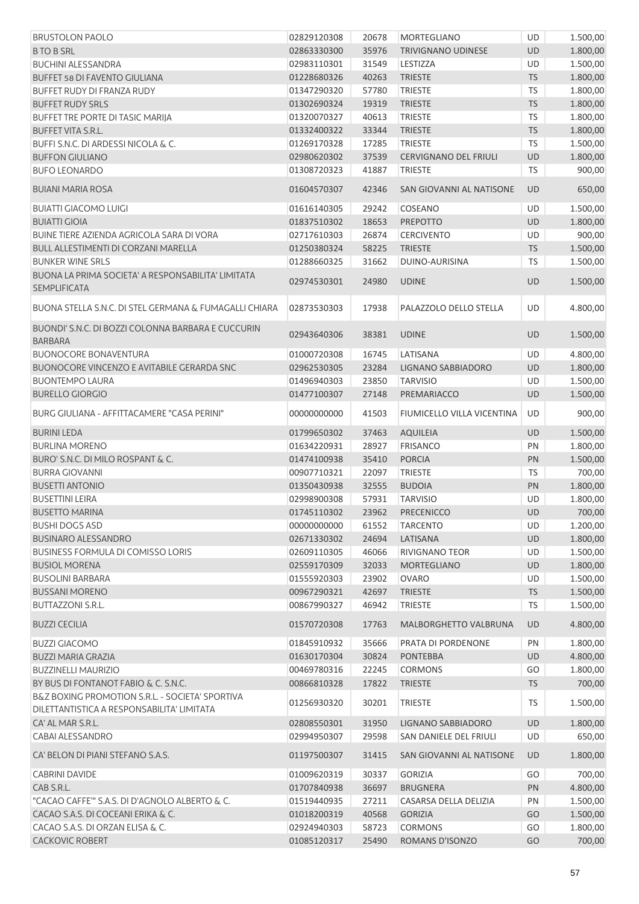| <b>BRUSTOLON PAOLO</b>                                               | 02829120308                  | 20678          | <b>MORTEGLIANO</b>                                 | <b>UD</b>       | 1.500,00           |
|----------------------------------------------------------------------|------------------------------|----------------|----------------------------------------------------|-----------------|--------------------|
| <b>BTO B SRL</b>                                                     | 02863330300                  | 35976          | <b>TRIVIGNANO UDINESE</b>                          | <b>UD</b>       | 1.800,00           |
| <b>BUCHINI ALESSANDRA</b>                                            | 02983110301                  | 31549          | LESTIZZA                                           | UD              | 1.500,00           |
| <b>BUFFET 58 DI FAVENTO GIULIANA</b>                                 | 01228680326                  | 40263          | <b>TRIESTE</b>                                     | <b>TS</b>       | 1.800,00           |
| <b>BUFFET RUDY DI FRANZA RUDY</b>                                    | 01347290320                  | 57780          | <b>TRIESTE</b>                                     | TS              | 1.800,00           |
| <b>BUFFET RUDY SRLS</b>                                              | 01302690324                  | 19319          | <b>TRIESTE</b>                                     | <b>TS</b>       | 1.800,00           |
| BUFFET TRE PORTE DI TASIC MARIJA                                     | 01320070327                  | 40613          | <b>TRIESTE</b>                                     | TS              | 1.800,00           |
| <b>BUFFET VITA S.R.L.</b>                                            | 01332400322                  | 33344          | <b>TRIESTE</b>                                     | <b>TS</b>       | 1.800,00           |
| BUFFI S.N.C. DI ARDESSI NICOLA & C.                                  | 01269170328                  | 17285          | <b>TRIESTE</b>                                     | TS              | 1.500,00           |
| <b>BUFFON GIULIANO</b>                                               | 02980620302                  | 37539          | CERVIGNANO DEL FRIULI                              | UD              | 1.800,00           |
| <b>BUFO LEONARDO</b>                                                 | 01308720323                  | 41887          | <b>TRIESTE</b>                                     | TS              | 900,00             |
| <b>BUIANI MARIA ROSA</b>                                             | 01604570307                  | 42346          | SAN GIOVANNI AL NATISONE                           | UD              | 650,00             |
| <b>BUIATTI GIACOMO LUIGI</b>                                         | 01616140305                  | 29242          | COSEANO                                            | <b>UD</b>       | 1.500,00           |
| <b>BUIATTI GIOIA</b>                                                 | 01837510302                  | 18653          | <b>PREPOTTO</b>                                    | <b>UD</b>       | 1.800,00           |
| BUINE TIERE AZIENDA AGRICOLA SARA DI VORA                            | 02717610303                  | 26874          | <b>CERCIVENTO</b>                                  | UD              | 900,00             |
| <b>BULL ALLESTIMENTI DI CORZANI MARELLA</b>                          | 01250380324                  | 58225          | <b>TRIESTE</b>                                     | <b>TS</b>       | 1.500,00           |
| <b>BUNKER WINE SRLS</b>                                              | 01288660325                  | 31662          | DUINO-AURISINA                                     | TS              | 1.500,00           |
| BUONA LA PRIMA SOCIETA' A RESPONSABILITA' LIMITATA<br>SEMPLIFICATA   | 02974530301                  | 24980          | <b>UDINE</b>                                       | <b>UD</b>       | 1.500,00           |
| BUONA STELLA S.N.C. DI STEL GERMANA & FUMAGALLI CHIARA               | 02873530303                  | 17938          | PALAZZOLO DELLO STELLA                             | UD              | 4.800,00           |
| BUONDI' S.N.C. DI BOZZI COLONNA BARBARA E CUCCURIN<br><b>BARBARA</b> | 02943640306                  | 38381          | <b>UDINE</b>                                       | <b>UD</b>       | 1.500,00           |
| <b>BUONOCORE BONAVENTURA</b>                                         | 01000720308                  | 16745          | LATISANA                                           | <b>UD</b>       | 4.800,00           |
| BUONOCORE VINCENZO E AVITABILE GERARDA SNC                           | 02962530305                  | 23284          | LIGNANO SABBIADORO                                 | UD              | 1.800,00           |
| <b>BUONTEMPO LAURA</b>                                               | 01496940303                  | 23850          | <b>TARVISIO</b>                                    | <b>UD</b>       | 1.500,00           |
| <b>BURELLO GIORGIO</b>                                               | 01477100307                  | 27148          | PREMARIACCO                                        | <b>UD</b>       | 1.500,00           |
| BURG GIULIANA - AFFITTACAMERE "CASA PERINI"                          | 00000000000                  | 41503          | FIUMICELLO VILLA VICENTINA                         | UD              | 900,00             |
| <b>BURINI LEDA</b>                                                   | 01799650302                  | 37463          | <b>AQUILEIA</b>                                    | UD              | 1.500,00           |
| <b>BURLINA MORENO</b>                                                | 01634220931                  | 28927          | <b>FRISANCO</b>                                    | PN              | 1.800,00           |
| BURO' S.N.C. DI MILO ROSPANT & C.                                    | 01474100938                  | 35410          | <b>PORCIA</b>                                      | PN              | 1.500,00           |
| <b>BURRA GIOVANNI</b>                                                | 00907710321                  | 22097          | <b>TRIESTE</b>                                     | <b>TS</b>       | 700,00             |
| <b>BUSETTI ANTONIO</b>                                               | 01350430938                  | 32555          | <b>BUDOIA</b>                                      | PN              | 1.800,00           |
| <b>BUSETTINI LEIRA</b>                                               | 02998900308                  | 57931          | <b>TARVISIO</b>                                    | UD              | 1.800,00           |
| <b>BUSETTO MARINA</b>                                                | 01745110302 23962 PRECENICCO |                |                                                    | UD              | 700,00             |
| <b>BUSHI DOGS ASD</b>                                                | 00000000000                  | 61552          | <b>TARCENTO</b>                                    | UD              | 1.200,00           |
| <b>BUSINARO ALESSANDRO</b>                                           | 02671330302                  | 24694          | LATISANA                                           | UD              | 1.800,00           |
| <b>BUSINESS FORMULA DI COMISSO LORIS</b>                             | 02609110305                  | 46066          | <b>RIVIGNANO TEOR</b>                              | UD              | 1.500,00           |
| <b>BUSIOL MORENA</b>                                                 | 02559170309                  | 32033          | <b>MORTEGLIANO</b>                                 | UD              | 1.800,00           |
| <b>BUSOLINI BARBARA</b>                                              | 01555920303                  | 23902          | <b>OVARO</b>                                       | UD              | 1.500,00           |
| <b>BUSSANI MORENO</b>                                                | 00967290321                  | 42697          | <b>TRIESTE</b>                                     | <b>TS</b>       | 1.500,00           |
| <b>BUTTAZZONI S.R.L.</b>                                             | 00867990327                  | 46942          | <b>TRIESTE</b>                                     | TS.             | 1.500,00           |
| <b>BUZZI CECILIA</b>                                                 | 01570720308                  | 17763          | MALBORGHETTO VALBRUNA                              | <b>UD</b>       | 4.800,00           |
| <b>BUZZI GIACOMO</b>                                                 | 01845910932                  | 35666          | PRATA DI PORDENONE                                 | PN              | 1.800,00           |
| <b>BUZZI MARIA GRAZIA</b>                                            | 01630170304                  | 30824          | <b>PONTEBBA</b>                                    | <b>UD</b>       | 4.800,00           |
| <b>BUZZINELLI MAURIZIO</b>                                           | 00469780316                  | 22245          | <b>CORMONS</b>                                     | GO              | 1.800,00           |
| BY BUS DI FONTANOT FABIO & C. S.N.C.                                 | 00866810328                  | 17822          | <b>TRIESTE</b>                                     | <b>TS</b>       | 700,00             |
| B&Z BOXING PROMOTION S.R.L. - SOCIETA' SPORTIVA                      |                              |                |                                                    |                 |                    |
| DILETTANTISTICA A RESPONSABILITA' LIMITATA                           | 01256930320                  | 30201          | <b>TRIESTE</b>                                     | TS.             | 1.500,00           |
| CA' AL MAR S.R.L.                                                    | 02808550301                  | 31950          | LIGNANO SABBIADORO                                 | <b>UD</b>       | 1.800,00           |
| CABAI ALESSANDRO<br>CA' BELON DI PIANI STEFANO S.A.S.                | 02994950307<br>01197500307   | 29598<br>31415 | SAN DANIELE DEL FRIULI<br>SAN GIOVANNI AL NATISONE | UD<br><b>UD</b> | 650,00<br>1.800,00 |
|                                                                      |                              |                |                                                    |                 |                    |
| <b>CABRINI DAVIDE</b>                                                | 01009620319                  | 30337          | <b>GORIZIA</b>                                     | GO              | 700,00             |
| CAB S.R.L.                                                           | 01707840938                  | 36697          | <b>BRUGNERA</b>                                    | PN              | 4.800,00           |
| "CACAO CAFFE" S.A.S. DI D'AGNOLO ALBERTO & C.                        | 01519440935                  | 27211          | CASARSA DELLA DELIZIA                              | PN              | 1.500,00           |
| CACAO S.A.S. DI COCEANI ERIKA & C.                                   | 01018200319                  | 40568          | <b>GORIZIA</b>                                     | GO              | 1.500,00           |
| CACAO S.A.S. DI ORZAN ELISA & C.                                     | 02924940303                  | 58723          | <b>CORMONS</b>                                     | GO              | 1.800,00           |
| <b>CACKOVIC ROBERT</b>                                               | 01085120317                  | 25490          | ROMANS D'ISONZO                                    | GO              | 700,00             |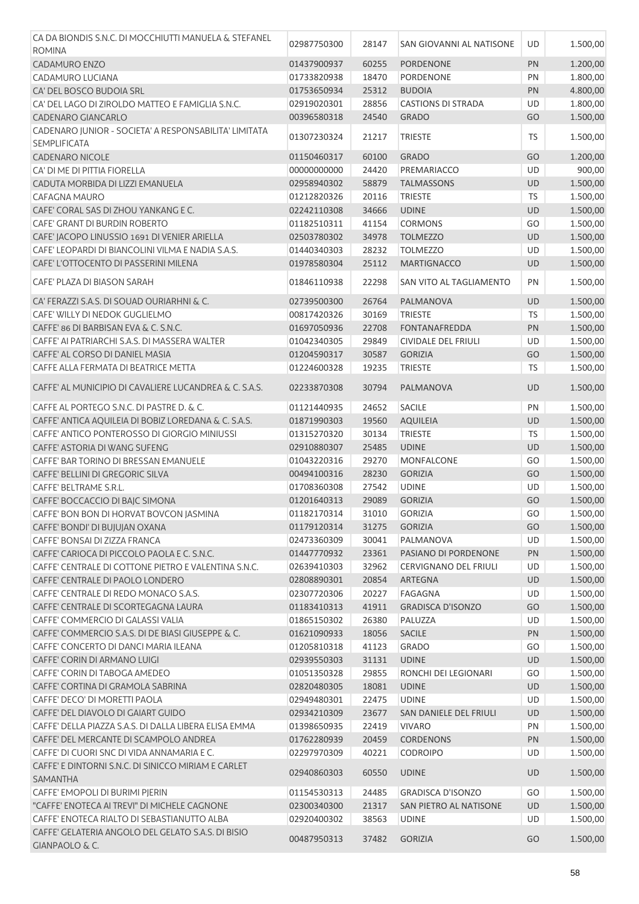| CA DA BIONDIS S.N.C. DI MOCCHIUTTI MANUELA & STEFANEL  |             |               |                            |           |          |
|--------------------------------------------------------|-------------|---------------|----------------------------|-----------|----------|
| <b>ROMINA</b>                                          | 02987750300 | 28147         | SAN GIOVANNI AL NATISONE   | UD.       | 1.500,00 |
| <b>CADAMURO ENZO</b>                                   | 01437900937 | 60255         | <b>PORDENONE</b>           | PN        | 1.200,00 |
| CADAMURO LUCIANA                                       | 01733820938 | 18470         | PORDENONE                  | PN        | 1.800,00 |
| CA' DEL BOSCO BUDOIA SRL                               | 01753650934 | 25312         | <b>BUDOIA</b>              | <b>PN</b> | 4.800,00 |
| CA' DEL LAGO DI ZIROLDO MATTEO E FAMIGLIA S.N.C.       | 02919020301 | 28856         | <b>CASTIONS DI STRADA</b>  | UD        | 1.800,00 |
| CADENARO GIANCARLO                                     | 00396580318 | 24540         | <b>GRADO</b>               | GO        | 1.500,00 |
| CADENARO JUNIOR - SOCIETA' A RESPONSABILITA' LIMITATA  |             |               |                            |           |          |
| <b>SEMPLIFICATA</b>                                    | 01307230324 | 21217         | TRIESTE                    | TS        | 1.500,00 |
| <b>CADENARO NICOLE</b>                                 | 01150460317 | 60100         | <b>GRADO</b>               | GO        | 1.200,00 |
| CA' DI ME DI PITTIA FIORELLA                           | 00000000000 | 24420         | PREMARIACCO                | <b>UD</b> | 900,00   |
| CADUTA MORBIDA DI LIZZI EMANUELA                       | 02958940302 | 58879         | <b>TALMASSONS</b>          | <b>UD</b> | 1.500,00 |
| <b>CAFAGNA MAURO</b>                                   | 01212820326 | 20116         | <b>TRIESTE</b>             | TS        | 1.500,00 |
| CAFE' CORAL SAS DI ZHOU YANKANG E C.                   | 02242110308 | 34666         | <b>UDINE</b>               | <b>UD</b> | 1.500,00 |
| CAFE' GRANT DI BURDIN ROBERTO                          | 01182510311 | 41154         | <b>CORMONS</b>             | GO        | 1.500,00 |
| CAFE' JACOPO LINUSSIO 1691 DI VENIER ARIELLA           | 02503780302 | 34978         | <b>TOLMEZZO</b>            | <b>UD</b> | 1.500,00 |
| CAFE' LEOPARDI DI BIANCOLINI VILMA E NADIA S.A.S.      | 01440340303 | 28232         | <b>TOLMEZZO</b>            | UD        | 1.500,00 |
| CAFE' L'OTTOCENTO DI PASSERINI MILENA                  | 01978580304 | 25112         | <b>MARTIGNACCO</b>         | <b>UD</b> | 1.500,00 |
|                                                        |             |               |                            |           |          |
| CAFE' PLAZA DI BIASON SARAH                            | 01846110938 | 22298         | SAN VITO AL TAGLIAMENTO    | PN        | 1.500,00 |
| CA' FERAZZI S.A.S. DI SOUAD OURIARHNI & C.             | 02739500300 | 26764         | PALMANOVA                  | <b>UD</b> | 1.500,00 |
| CAFE' WILLY DI NEDOK GUGLIELMO                         | 00817420326 | 30169         | TRIESTE                    | TS        | 1.500,00 |
| CAFFE' 86 DI BARBISAN EVA & C. S.N.C.                  | 01697050936 | 22708         | <b>FONTANAFREDDA</b>       | PN        | 1.500,00 |
| CAFFE' AI PATRIARCHI S.A.S. DI MASSERA WALTER          | 01042340305 | 29849         | <b>CIVIDALE DEL FRIULI</b> | UD        | 1.500,00 |
| CAFFE' AL CORSO DI DANIEL MASIA                        | 01204590317 | 30587         | <b>GORIZIA</b>             | GO        | 1.500,00 |
| CAFFE ALLA FERMATA DI BEATRICE METTA                   | 01224600328 | 19235         | <b>TRIESTE</b>             | <b>TS</b> | 1.500,00 |
| CAFFE' AL MUNICIPIO DI CAVALIERE LUCANDREA & C. S.A.S. | 02233870308 | 30794         | PALMANOVA                  | <b>UD</b> | 1.500,00 |
|                                                        |             |               |                            |           |          |
| CAFFE AL PORTEGO S.N.C. DI PASTRE D. & C.              | 01121440935 | 24652         | <b>SACILE</b>              | PN        | 1.500,00 |
| CAFFE' ANTICA AQUILEIA DI BOBIZ LOREDANA & C. S.A.S.   | 01871990303 | 19560         | <b>AQUILEIA</b>            | <b>UD</b> | 1.500,00 |
| CAFFE' ANTICO PONTEROSSO DI GIORGIO MINIUSSI           | 01315270320 | 30134         | <b>TRIESTE</b>             | <b>TS</b> | 1.500,00 |
| CAFFE' ASTORIA DI WANG SUFENG                          | 02910880307 | 25485         | <b>UDINE</b>               | <b>UD</b> | 1.500,00 |
| CAFFE' BAR TORINO DI BRESSAN EMANUELE                  | 01043220316 | 29270         | <b>MONFALCONE</b>          | GO        | 1.500,00 |
| CAFFE' BELLINI DI GREGORIC SILVA                       | 00494100316 | 28230         | <b>GORIZIA</b>             | GO        | 1.500,00 |
| CAFFE' BELTRAME S.R.L.                                 | 01708360308 | 27542         | <b>UDINE</b>               | UD        | 1.500,00 |
| CAFFE' BOCCACCIO DI BAJC SIMONA                        | 01201640313 | 29089         | <b>GORIZIA</b>             | GO        | 1.500,00 |
| CAFFE' BON BON DI HORVAT BOVCON JASMINA                | 01182170314 | 31010 GORIZIA |                            | GO        | 1.500,00 |
| CAFFE' BONDI' DI BUJUJAN OXANA                         | 01179120314 | 31275         | <b>GORIZIA</b>             | GO        | 1.500,00 |
| CAFFE' BONSAI DI ZIZZA FRANCA                          | 02473360309 | 30041         | PALMANOVA                  | UD        | 1.500,00 |
| CAFFE' CARIOCA DI PICCOLO PAOLA E C. S.N.C.            | 01447770932 | 23361         | PASIANO DI PORDENONE       | PN        | 1.500,00 |
| CAFFE' CENTRALE DI COTTONE PIETRO E VALENTINA S.N.C.   | 02639410303 | 32962         | CERVIGNANO DEL FRIULI      | UD        | 1.500,00 |
| CAFFE' CENTRALE DI PAOLO LONDERO                       | 02808890301 | 20854         | <b>ARTEGNA</b>             | <b>UD</b> | 1.500,00 |
| CAFFE' CENTRALE DI REDO MONACO S.A.S.                  | 02307720306 | 20227         | <b>FAGAGNA</b>             | UD        | 1.500,00 |
| CAFFE' CENTRALE DI SCORTEGAGNA LAURA                   | 01183410313 | 41911         | <b>GRADISCA D'ISONZO</b>   | GO        | 1.500,00 |
| CAFFE' COMMERCIO DI GALASSI VALIA                      | 01865150302 | 26380         | PALUZZA                    | <b>UD</b> | 1.500,00 |
| CAFFE' COMMERCIO S.A.S. DI DE BIASI GIUSEPPE & C.      | 01621090933 | 18056         | <b>SACILE</b>              | PN        | 1.500,00 |
| CAFFE' CONCERTO DI DANCI MARIA ILEANA                  | 01205810318 | 41123         | <b>GRADO</b>               | GO        | 1.500,00 |
| CAFFE' CORIN DI ARMANO LUIGI                           | 02939550303 | 31131         | <b>UDINE</b>               | UD        | 1.500,00 |
| CAFFE' CORIN DI TABOGA AMEDEO                          | 01051350328 | 29855         | RONCHI DEI LEGIONARI       | GO        | 1.500,00 |
| CAFFE' CORTINA DI GRAMOLA SABRINA                      | 02820480305 | 18081         | <b>UDINE</b>               | <b>UD</b> | 1.500,00 |
| CAFFE' DECO' DI MORETTI PAOLA                          | 02949480301 | 22475         | <b>UDINE</b>               | UD        | 1.500,00 |
| CAFFE' DEL DIAVOLO DI GAIART GUIDO                     | 02934210309 | 23677         | SAN DANIELE DEL FRIULI     | <b>UD</b> | 1.500,00 |
| CAFFE' DELLA PIAZZA S.A.S. DI DALLA LIBERA ELISA EMMA  | 01398650935 | 22419         | <b>VIVARO</b>              | PN        | 1.500,00 |
| CAFFE' DEL MERCANTE DI SCAMPOLO ANDREA                 | 01762280939 | 20459         | <b>CORDENONS</b>           | PN        | 1.500,00 |
| CAFFE' DI CUORI SNC DI VIDA ANNAMARIA E C.             | 02297970309 | 40221         | <b>CODROIPO</b>            | <b>UD</b> | 1.500,00 |
| CAFFE' E DINTORNI S.N.C. DI SINICCO MIRIAM E CARLET    |             |               |                            |           |          |
| <b>SAMANTHA</b>                                        | 02940860303 | 60550         | <b>UDINE</b>               | <b>UD</b> | 1.500,00 |
| CAFFE' EMOPOLI DI BURIMI PJERIN                        | 01154530313 | 24485         | <b>GRADISCA D'ISONZO</b>   | GO        | 1.500,00 |
| "CAFFE' ENOTECA AI TREVI" DI MICHELE CAGNONE           | 02300340300 | 21317         | SAN PIETRO AL NATISONE     | <b>UD</b> | 1.500,00 |
| CAFFE' ENOTECA RIALTO DI SEBASTIANUTTO ALBA            | 02920400302 | 38563         | <b>UDINE</b>               | UD        | 1.500,00 |
| CAFFE' GELATERIA ANGOLO DEL GELATO S.A.S. DI BISIO     | 00487950313 | 37482         | <b>GORIZIA</b>             | GO        | 1.500,00 |
| GIANPAOLO & C.                                         |             |               |                            |           |          |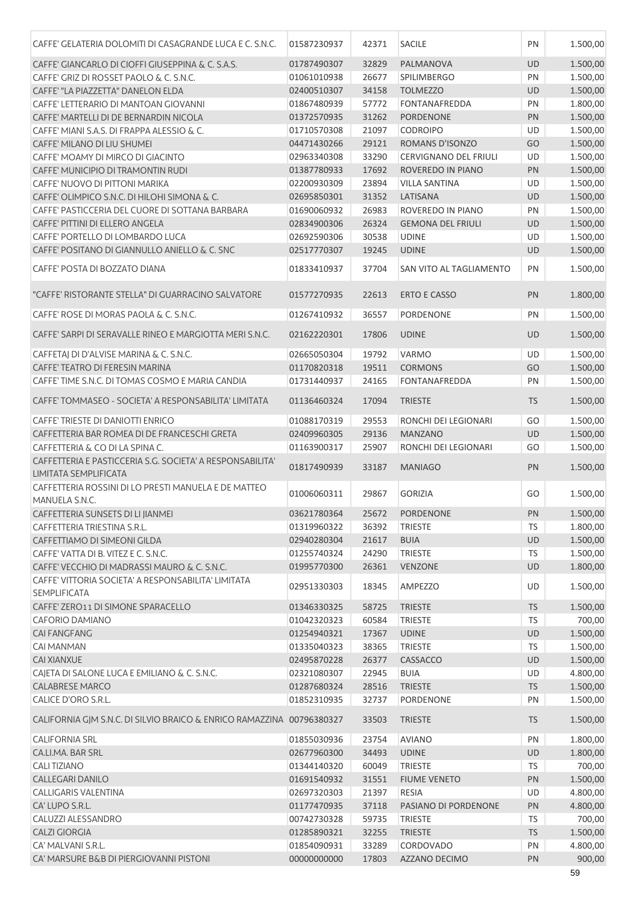| CAFFE' GELATERIA DOLOMITI DI CASAGRANDE LUCA E C. S.N.C.                                  | 01587230937                 | 42371 | <b>SACILE</b>                | PN        | 1.500,00 |
|-------------------------------------------------------------------------------------------|-----------------------------|-------|------------------------------|-----------|----------|
| CAFFE' GIANCARLO DI CIOFFI GIUSEPPINA & C. S.A.S.                                         | 01787490307                 | 32829 | PALMANOVA                    | <b>UD</b> | 1.500,00 |
| CAFFE' GRIZ DI ROSSET PAOLO & C. S.N.C.                                                   | 01061010938                 | 26677 | <b>SPILIMBERGO</b>           | PN        | 1.500,00 |
| CAFFE' "LA PIAZZETTA" DANELON ELDA                                                        | 02400510307                 | 34158 | <b>TOLMEZZO</b>              | <b>UD</b> | 1.500,00 |
| CAFFE' LETTERARIO DI MANTOAN GIOVANNI                                                     | 01867480939                 | 57772 | <b>FONTANAFREDDA</b>         | PN        | 1.800,00 |
| CAFFE' MARTELLI DI DE BERNARDIN NICOLA                                                    | 01372570935                 | 31262 | <b>PORDENONE</b>             | PN        | 1.500,00 |
| CAFFE' MIANI S.A.S. DI FRAPPA ALESSIO & C.                                                | 01710570308                 | 21097 | <b>CODROIPO</b>              | <b>UD</b> | 1.500,00 |
| CAFFE' MILANO DI LIU SHUMEI                                                               | 04471430266                 | 29121 | <b>ROMANS D'ISONZO</b>       | GO        | 1.500,00 |
| CAFFE' MOAMY DI MIRCO DI GIACINTO                                                         | 02963340308                 | 33290 | <b>CERVIGNANO DEL FRIULI</b> | UD        | 1.500,00 |
| CAFFE' MUNICIPIO DI TRAMONTIN RUDI                                                        | 01387780933                 | 17692 | ROVEREDO IN PIANO            | PN        | 1.500,00 |
| CAFFE' NUOVO DI PITTONI MARIKA                                                            | 02200930309                 | 23894 | <b>VILLA SANTINA</b>         | UD        | 1.500,00 |
| CAFFE' OLIMPICO S.N.C. DI HILOHI SIMONA & C.                                              | 02695850301                 | 31352 | LATISANA                     | <b>UD</b> | 1.500,00 |
| CAFFE' PASTICCERIA DEL CUORE DI SOTTANA BARBARA                                           | 01690060932                 | 26983 | ROVEREDO IN PIANO            | PN        | 1.500,00 |
| CAFFE' PITTINI DI ELLERO ANGELA                                                           | 02834900306                 | 26324 | <b>GEMONA DEL FRIULI</b>     | <b>UD</b> | 1.500,00 |
| CAFFE' PORTELLO DI LOMBARDO LUCA                                                          | 02692590306                 | 30538 | <b>UDINE</b>                 | UD        | 1.500,00 |
| CAFFE' POSITANO DI GIANNULLO ANIELLO & C. SNC                                             | 02517770307                 | 19245 | <b>UDINE</b>                 | <b>UD</b> | 1.500,00 |
| CAFFE' POSTA DI BOZZATO DIANA                                                             | 01833410937                 | 37704 | SAN VITO AL TAGLIAMENTO      | PN        | 1.500,00 |
|                                                                                           |                             |       |                              |           |          |
| "CAFFE' RISTORANTE STELLA" DI GUARRACINO SALVATORE                                        | 01577270935                 | 22613 | <b>ERTO E CASSO</b>          | PN        | 1.800,00 |
| CAFFE' ROSE DI MORAS PAOLA & C. S.N.C.                                                    | 01267410932                 | 36557 | PORDENONE                    | PN        | 1.500,00 |
| CAFFE' SARPI DI SERAVALLE RINEO E MARGIOTTA MERI S.N.C.                                   | 02162220301                 | 17806 | <b>UDINE</b>                 | <b>UD</b> | 1.500,00 |
| CAFFETAJ DI D'ALVISE MARINA & C. S.N.C.                                                   | 02665050304                 | 19792 | <b>VARMO</b>                 | UD        | 1.500,00 |
| CAFFE' TEATRO DI FERESIN MARINA                                                           | 01170820318                 | 19511 | <b>CORMONS</b>               | GO        | 1.500,00 |
| CAFFE' TIME S.N.C. DI TOMAS COSMO E MARIA CANDIA                                          | 01731440937                 | 24165 | <b>FONTANAFREDDA</b>         | PN        | 1.500,00 |
| CAFFE' TOMMASEO - SOCIETA' A RESPONSABILITA' LIMITATA                                     | 01136460324                 | 17094 | <b>TRIESTE</b>               | <b>TS</b> | 1.500,00 |
| CAFFE' TRIESTE DI DANIOTTI ENRICO                                                         | 01088170319                 | 29553 | RONCHI DEI LEGIONARI         | GO        | 1.500,00 |
| CAFFETTERIA BAR ROMEA DI DE FRANCESCHI GRETA                                              | 02409960305                 | 29136 | <b>MANZANO</b>               | UD        | 1.500,00 |
| CAFFETTERIA & CO DI LA SPINA C.                                                           | 01163900317                 | 25907 | RONCHI DEI LEGIONARI         | GO        | 1.500,00 |
| CAFFETTERIA E PASTICCERIA S.G. SOCIETA' A RESPONSABILITA'<br><b>LIMITATA SEMPLIFICATA</b> | 01817490939                 | 33187 | <b>MANIAGO</b>               | PN        | 1.500,00 |
| CAFFETTERIA ROSSINI DI LO PRESTI MANUELA E DE MATTEO<br>MANUELA S.N.C.                    | 01006060311                 | 29867 | <b>GORIZIA</b>               | GO        | 1.500,00 |
| CAFFETTERIA SUNSETS DI LI JIANMEI                                                         | 03621780364 25672 PORDENONE |       |                              | PN        | 1.500,00 |
| CAFFETTERIA TRIESTINA S.R.L.                                                              | 01319960322                 | 36392 | <b>TRIESTE</b>               | TS        | 1.800,00 |
| CAFFETTIAMO DI SIMEONI GILDA                                                              | 02940280304                 | 21617 | <b>BUIA</b>                  | UD        | 1.500,00 |
| CAFFE' VATTA DI B. VITEZ E C. S.N.C.                                                      | 01255740324                 | 24290 | <b>TRIESTE</b>               | <b>TS</b> | 1.500,00 |
| CAFFE' VECCHIO DI MADRASSI MAURO & C. S.N.C.                                              | 01995770300                 | 26361 | <b>VENZONE</b>               | <b>UD</b> | 1.800,00 |
| CAFFE' VITTORIA SOCIETA' A RESPONSABILITA' LIMITATA                                       |                             |       |                              |           |          |
| <b>SEMPLIFICATA</b>                                                                       | 02951330303                 | 18345 | <b>AMPEZZO</b>               | UD        | 1.500,00 |
| CAFFE' ZERO11 DI SIMONE SPARACELLO                                                        | 01346330325                 | 58725 | <b>TRIESTE</b>               | <b>TS</b> | 1.500,00 |
| <b>CAFORIO DAMIANO</b>                                                                    | 01042320323                 | 60584 | <b>TRIESTE</b>               | TS        | 700,00   |
| <b>CAI FANGFANG</b>                                                                       | 01254940321                 | 17367 | <b>UDINE</b>                 | <b>UD</b> | 1.500,00 |
| <b>CAI MANMAN</b>                                                                         | 01335040323                 | 38365 | <b>TRIESTE</b>               | TS        | 1.500,00 |
| <b>CAI XIANXUE</b>                                                                        | 02495870228                 | 26377 | CASSACCO                     | <b>UD</b> | 1.500,00 |
| CAJETA DI SALONE LUCA E EMILIANO & C. S.N.C.                                              | 02321080307                 | 22945 | <b>BUIA</b>                  | UD        | 4.800,00 |
| <b>CALABRESE MARCO</b>                                                                    | 01287680324                 | 28516 | <b>TRIESTE</b>               | <b>TS</b> | 1.500,00 |
| CALICE D'ORO S.R.L.                                                                       | 01852310935                 | 32737 | PORDENONE                    | PN        | 1.500,00 |
| CALIFORNIA GJM S.N.C. DI SILVIO BRAICO & ENRICO RAMAZZINA 00796380327                     |                             | 33503 | <b>TRIESTE</b>               | <b>TS</b> | 1.500,00 |
| <b>CALIFORNIA SRL</b>                                                                     | 01855030936                 | 23754 | <b>AVIANO</b>                | PN        | 1.800,00 |
| CA.LI.MA. BAR SRL                                                                         | 02677960300                 | 34493 | <b>UDINE</b>                 | UD        | 1.800,00 |
| <b>CALI TIZIANO</b>                                                                       | 01344140320                 | 60049 | <b>TRIESTE</b>               | <b>TS</b> | 700,00   |
| <b>CALLEGARI DANILO</b>                                                                   | 01691540932                 | 31551 | <b>FIUME VENETO</b>          | PN        | 1.500,00 |
| CALLIGARIS VALENTINA                                                                      | 02697320303                 | 21397 | <b>RESIA</b>                 | UD        | 4.800,00 |
| CA' LUPO S.R.L.                                                                           | 01177470935                 | 37118 | PASIANO DI PORDENONE         | <b>PN</b> | 4.800,00 |
| CALUZZI ALESSANDRO                                                                        | 00742730328                 | 59735 | <b>TRIESTE</b>               | <b>TS</b> | 700,00   |
| <b>CALZI GIORGIA</b>                                                                      | 01285890321                 | 32255 | <b>TRIESTE</b>               | <b>TS</b> | 1.500,00 |
| CA' MALVANI S.R.L.                                                                        | 01854090931                 | 33289 | <b>CORDOVADO</b>             | PN        | 4.800,00 |
| CA' MARSURE B&B DI PIERGIOVANNI PISTONI                                                   | 00000000000                 | 17803 | AZZANO DECIMO                | PN        | 900,00   |
|                                                                                           |                             |       |                              |           | 59       |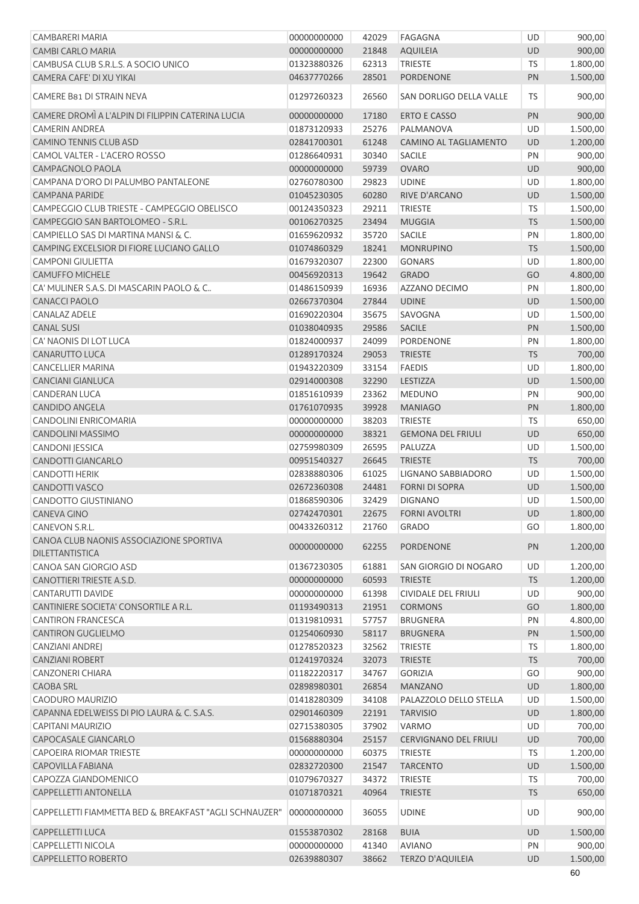| <b>CAMBARERI MARIA</b>                                            | 00000000000 | 42029 | FAGAGNA                      | <b>UD</b> | 900,00             |
|-------------------------------------------------------------------|-------------|-------|------------------------------|-----------|--------------------|
| <b>CAMBI CARLO MARIA</b>                                          | 00000000000 | 21848 | <b>AQUILEIA</b>              | <b>UD</b> | 900,00             |
| CAMBUSA CLUB S.R.L.S. A SOCIO UNICO                               | 01323880326 | 62313 | <b>TRIESTE</b>               | <b>TS</b> | 1.800,00           |
| CAMERA CAFE' DI XU YIKAI                                          | 04637770266 | 28501 | <b>PORDENONE</b>             | PN        | 1.500,00           |
| CAMERE B81 DI STRAIN NEVA                                         | 01297260323 | 26560 | SAN DORLIGO DELLA VALLE      | TS        | 900,00             |
| CAMERE DROMÌ A L'ALPIN DI FILIPPIN CATERINA LUCIA                 | 00000000000 | 17180 | ERTO E CASSO                 | PN        | 900,00             |
| <b>CAMERIN ANDREA</b>                                             | 01873120933 | 25276 | PALMANOVA                    | <b>UD</b> | 1.500,00           |
| <b>CAMINO TENNIS CLUB ASD</b>                                     | 02841700301 | 61248 | CAMINO AL TAGLIAMENTO        | <b>UD</b> | 1.200,00           |
| CAMOL VALTER - L'ACERO ROSSO                                      | 01286640931 | 30340 | <b>SACILE</b>                | PN        | 900,00             |
| CAMPAGNOLO PAOLA                                                  | 00000000000 | 59739 | <b>OVARO</b>                 | UD        | 900,00             |
| CAMPANA D'ORO DI PALUMBO PANTALEONE                               | 02760780300 | 29823 | <b>UDINE</b>                 | UD        | 1.800,00           |
| <b>CAMPANA PARIDE</b>                                             | 01045230305 | 60280 | RIVE D'ARCANO                | <b>UD</b> | 1.500,00           |
| CAMPEGGIO CLUB TRIESTE - CAMPEGGIO OBELISCO                       | 00124350323 | 29211 | <b>TRIESTE</b>               | <b>TS</b> | 1.500,00           |
| CAMPEGGIO SAN BARTOLOMEO - S.R.L.                                 | 00106270325 | 23494 | <b>MUGGIA</b>                | <b>TS</b> | 1.500,00           |
| CAMPIELLO SAS DI MARTINA MANSI & C.                               | 01659620932 | 35720 | <b>SACILE</b>                | PN        | 1.800,00           |
| CAMPING EXCELSIOR DI FIORE LUCIANO GALLO                          | 01074860329 | 18241 | <b>MONRUPINO</b>             | <b>TS</b> | 1.500,00           |
| <b>CAMPONI GIULIETTA</b>                                          | 01679320307 | 22300 | <b>GONARS</b>                | <b>UD</b> | 1.800,00           |
| <b>CAMUFFO MICHELE</b>                                            | 00456920313 | 19642 | <b>GRADO</b>                 | GO        | 4.800,00           |
| CA' MULINER S.A.S. DI MASCARIN PAOLO & C                          | 01486150939 | 16936 | AZZANO DECIMO                | PN        | 1.800,00           |
| <b>CANACCI PAOLO</b>                                              | 02667370304 | 27844 | <b>UDINE</b>                 | <b>UD</b> | 1.500,00           |
| <b>CANALAZ ADELE</b>                                              | 01690220304 | 35675 | SAVOGNA                      | UD        | 1.500,00           |
| <b>CANAL SUSI</b>                                                 | 01038040935 | 29586 | <b>SACILE</b>                | PN        | 1.500,00           |
| CA' NAONIS DI LOT LUCA                                            | 01824000937 | 24099 | <b>PORDENONE</b>             | PN        | 1.800,00           |
| CANARUTTO LUCA                                                    | 01289170324 | 29053 | <b>TRIESTE</b>               | <b>TS</b> | 700,00             |
| <b>CANCELLIER MARINA</b>                                          | 01943220309 | 33154 | <b>FAEDIS</b>                | UD        | 1.800,00           |
| <b>CANCIANI GIANLUCA</b>                                          | 02914000308 | 32290 | LESTIZZA                     | UD        | 1.500,00           |
| <b>CANDERAN LUCA</b>                                              | 01851610939 | 23362 | <b>MEDUNO</b>                | PN        | 900,00             |
| <b>CANDIDO ANGELA</b>                                             | 01761070935 | 39928 | <b>MANIAGO</b>               | <b>PN</b> | 1.800,00           |
| CANDOLINI ENRICOMARIA                                             | 00000000000 | 38203 | <b>TRIESTE</b>               | <b>TS</b> | 650,00             |
| CANDOLINI MASSIMO                                                 | 00000000000 | 38321 | <b>GEMONA DEL FRIULI</b>     | <b>UD</b> | 650,00             |
| <b>CANDONI JESSICA</b>                                            | 02759980309 | 26595 | PALUZZA                      | <b>UD</b> | 1.500,00           |
| CANDOTTI GIANCARLO                                                | 00951540327 | 26645 | <b>TRIESTE</b>               | <b>TS</b> | 700,00             |
| CANDOTTI HERIK                                                    | 02838880306 | 61025 | LIGNANO SABBIADORO           | UD        | 1.500,00           |
| CANDOTTI VASCO                                                    | 02672360308 | 24481 | <b>FORNI DI SOPRA</b>        | UD        | 1.500,00           |
| CANDOTTO GIUSTINIANO                                              | 01868590306 | 32429 | <b>DIGNANO</b>               | <b>UD</b> | 1.500,00           |
| <b>CANEVA GINO</b>                                                | 02742470301 | 22675 | <b>FORNI AVOLTRI</b>         | <b>UD</b> | 1.800,00           |
| CANEVON S.R.L.                                                    | 00433260312 | 21760 | <b>GRADO</b>                 | GO        | 1.800,00           |
| CANOA CLUB NAONIS ASSOCIAZIONE SPORTIVA<br><b>DILETTANTISTICA</b> | 00000000000 | 62255 | PORDENONE                    | PN        | 1.200,00           |
| CANOA SAN GIORGIO ASD                                             | 01367230305 | 61881 | SAN GIORGIO DI NOGARO        | UD        | 1.200,00           |
| CANOTTIERI TRIESTE A.S.D.                                         | 00000000000 | 60593 | <b>TRIESTE</b>               | <b>TS</b> | 1.200,00           |
| <b>CANTARUTTI DAVIDE</b>                                          | 00000000000 | 61398 | <b>CIVIDALE DEL FRIULI</b>   | UD        | 900,00             |
| CANTINIERE SOCIETA' CONSORTILE A R.L.                             | 01193490313 | 21951 | <b>CORMONS</b>               | GO        | 1.800,00           |
| <b>CANTIRON FRANCESCA</b>                                         | 01319810931 | 57757 | <b>BRUGNERA</b>              | PN        | 4.800,00           |
| <b>CANTIRON GUGLIELMO</b>                                         | 01254060930 | 58117 | <b>BRUGNERA</b>              | PN        | 1.500,00           |
| <b>CANZIANI ANDREJ</b>                                            | 01278520323 | 32562 | <b>TRIESTE</b>               | <b>TS</b> | 1.800,00           |
| <b>CANZIANI ROBERT</b>                                            | 01241970324 | 32073 | <b>TRIESTE</b>               | <b>TS</b> | 700,00             |
| <b>CANZONERI CHIARA</b>                                           | 01182220317 | 34767 | <b>GORIZIA</b>               | GO        | 900,00             |
| <b>CAOBA SRL</b>                                                  | 02898980301 | 26854 | <b>MANZANO</b>               | <b>UD</b> | 1.800,00           |
| CAODURO MAURIZIO                                                  | 01418280309 | 34108 | PALAZZOLO DELLO STELLA       | <b>UD</b> | 1.500,00           |
| CAPANNA EDELWEISS DI PIO LAURA & C. S.A.S.                        | 02901460309 | 22191 | <b>TARVISIO</b>              | UD        | 1.800,00           |
| <b>CAPITANI MAURIZIO</b>                                          | 02715380305 | 37902 | VARMO                        | UD        | 700,00             |
| CAPOCASALE GIANCARLO                                              | 01568880304 | 25157 | <b>CERVIGNANO DEL FRIULI</b> | <b>UD</b> | 700,00             |
| <b>CAPOEIRA RIOMAR TRIESTE</b>                                    | 00000000000 | 60375 | <b>TRIESTE</b>               | <b>TS</b> | 1.200,00           |
| <b>CAPOVILLA FABIANA</b>                                          | 02832720300 | 21547 | <b>TARCENTO</b>              | <b>UD</b> | 1.500,00           |
| CAPOZZA GIANDOMENICO                                              | 01079670327 | 34372 | <b>TRIESTE</b>               | <b>TS</b> | 700,00             |
| <b>CAPPELLETTI ANTONELLA</b>                                      | 01071870321 | 40964 | <b>TRIESTE</b>               | <b>TS</b> | 650,00             |
| CAPPELLETTI FIAMMETTA BED & BREAKFAST "AGLI SCHNAUZER"            | 00000000000 | 36055 | <b>UDINE</b>                 | UD        | 900,00             |
|                                                                   |             |       |                              |           |                    |
| CAPPELLETTI LUCA<br><b>CAPPELLETTI NICOLA</b>                     | 01553870302 | 28168 | <b>BUIA</b><br><b>AVIANO</b> | <b>UD</b> | 1.500,00           |
| CAPPELLETTO ROBERTO                                               | 00000000000 | 41340 |                              | PN        | 900,00<br>1.500,00 |
|                                                                   | 02639880307 | 38662 | <b>TERZO D'AQUILEIA</b>      | <b>UD</b> | 60                 |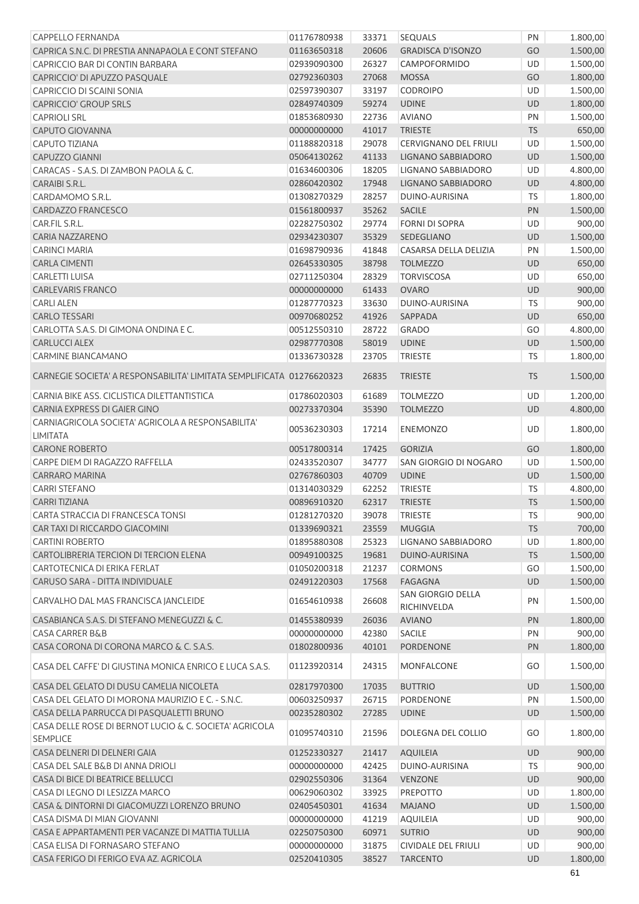| <b>CAPPELLO FERNANDA</b>                                              | 01176780938 | 33371 | <b>SEQUALS</b>                      | PN        | 1.800,00           |
|-----------------------------------------------------------------------|-------------|-------|-------------------------------------|-----------|--------------------|
| CAPRICA S.N.C. DI PRESTIA ANNAPAOLA E CONT STEFANO                    | 01163650318 | 20606 | <b>GRADISCA D'ISONZO</b>            | GO        | 1.500,00           |
| CAPRICCIO BAR DI CONTIN BARBARA                                       | 02939090300 | 26327 | <b>CAMPOFORMIDO</b>                 | <b>UD</b> | 1.500,00           |
| CAPRICCIO' DI APUZZO PASQUALE                                         | 02792360303 | 27068 | <b>MOSSA</b>                        | GO        | 1.800,00           |
| CAPRICCIO DI SCAINI SONIA                                             | 02597390307 | 33197 | <b>CODROIPO</b>                     | <b>UD</b> | 1.500,00           |
| <b>CAPRICCIO' GROUP SRLS</b>                                          | 02849740309 | 59274 | <b>UDINE</b>                        | UD        | 1.800,00           |
| <b>CAPRIOLI SRL</b>                                                   | 01853680930 | 22736 | <b>AVIANO</b>                       | PN        | 1.500,00           |
| CAPUTO GIOVANNA                                                       | 00000000000 | 41017 | <b>TRIESTE</b>                      | <b>TS</b> | 650,00             |
| <b>CAPUTO TIZIANA</b>                                                 | 01188820318 | 29078 | <b>CERVIGNANO DEL FRIULI</b>        | UD        | 1.500,00           |
| <b>CAPUZZO GIANNI</b>                                                 | 05064130262 | 41133 | LIGNANO SABBIADORO                  | UD        | 1.500,00           |
| CARACAS - S.A.S. DI ZAMBON PAOLA & C.                                 | 01634600306 | 18205 | LIGNANO SABBIADORO                  | UD        | 4.800,00           |
| CARAIBI S.R.L.                                                        | 02860420302 | 17948 | LIGNANO SABBIADORO                  | <b>UD</b> | 4.800,00           |
| CARDAMOMO S.R.L.                                                      | 01308270329 | 28257 | DUINO-AURISINA                      | <b>TS</b> | 1.800,00           |
| CARDAZZO FRANCESCO                                                    | 01561800937 | 35262 | <b>SACILE</b>                       | PN        | 1.500,00           |
| CAR.FIL S.R.L.                                                        | 02282750302 | 29774 | <b>FORNI DI SOPRA</b>               | UD        | 900,00             |
| CARIA NAZZARENO                                                       | 02934230307 | 35329 | SEDEGLIANO                          | <b>UD</b> | 1.500,00           |
| <b>CARINCI MARIA</b>                                                  | 01698790936 | 41848 | CASARSA DELLA DELIZIA               | PN        | 1.500,00           |
| <b>CARLA CIMENTI</b>                                                  | 02645330305 | 38798 | <b>TOLMEZZO</b>                     | <b>UD</b> | 650,00             |
| <b>CARLETTI LUISA</b>                                                 | 02711250304 | 28329 | <b>TORVISCOSA</b>                   | <b>UD</b> | 650,00             |
| <b>CARLEVARIS FRANCO</b>                                              | 00000000000 | 61433 | <b>OVARO</b>                        | UD        | 900,00             |
| <b>CARLI ALEN</b>                                                     | 01287770323 | 33630 | <b>DUINO-AURISINA</b>               | <b>TS</b> | 900,00             |
| <b>CARLO TESSARI</b>                                                  | 00970680252 | 41926 | SAPPADA                             | UD        | 650,00             |
| CARLOTTA S.A.S. DI GIMONA ONDINA E C.                                 | 00512550310 | 28722 | <b>GRADO</b>                        | GO        | 4.800,00           |
| <b>CARLUCCI ALEX</b>                                                  | 02987770308 | 58019 | <b>UDINE</b>                        | <b>UD</b> | 1.500,00           |
| CARMINE BIANCAMANO                                                    | 01336730328 | 23705 | <b>TRIESTE</b>                      | TS        | 1.800,00           |
|                                                                       |             |       |                                     |           |                    |
| CARNEGIE SOCIETA' A RESPONSABILITA' LIMITATA SEMPLIFICATA 01276620323 |             | 26835 | <b>TRIESTE</b>                      | <b>TS</b> | 1.500,00           |
| CARNIA BIKE ASS. CICLISTICA DILETTANTISTICA                           | 01786020303 | 61689 | <b>TOLMEZZO</b>                     | UD        | 1.200,00           |
| CARNIA EXPRESS DI GAIER GINO                                          | 00273370304 | 35390 | <b>TOLMEZZO</b>                     | UD        | 4.800,00           |
| CARNIAGRICOLA SOCIETA' AGRICOLA A RESPONSABILITA'<br><b>LIMITATA</b>  | 00536230303 | 17214 | <b>ENEMONZO</b>                     | UD        | 1.800,00           |
| <b>CARONE ROBERTO</b>                                                 | 00517800314 | 17425 | <b>GORIZIA</b>                      | GO        | 1.800,00           |
| CARPE DIEM DI RAGAZZO RAFFELLA                                        | 02433520307 | 34777 | SAN GIORGIO DI NOGARO               | <b>UD</b> |                    |
|                                                                       | 02767860303 | 40709 | <b>UDINE</b>                        | UD        | 1.500,00           |
| <b>CARRARO MARINA</b><br><b>CARRI STEFANO</b>                         | 01314030329 | 62252 | <b>TRIESTE</b>                      | TS        | 1.500,00           |
| <b>CARRITIZIANA</b>                                                   | 00896910320 | 62317 |                                     | <b>TS</b> | 4.800,00           |
| CARTA STRACCIA DI FRANCESCA TONSI                                     | 01281270320 | 39078 | <b>TRIESTE</b><br><b>TRIESTE</b>    | TS        | 1.500,00<br>900,00 |
|                                                                       | 01339690321 | 23559 | <b>MUGGIA</b>                       | <b>TS</b> | 700,00             |
| CAR TAXI DI RICCARDO GIACOMINI<br><b>CARTINI ROBERTO</b>              | 01895880308 | 25323 | LIGNANO SABBIADORO                  | UD        | 1.800,00           |
| CARTOLIBRERIA TERCION DI TERCION ELENA                                | 00949100325 | 19681 | <b>DUINO-AURISINA</b>               | <b>TS</b> | 1.500,00           |
|                                                                       | 01050200318 |       |                                     | GO        | 1.500,00           |
| CARTOTECNICA DI ERIKA FERLAT                                          |             | 21237 | <b>CORMONS</b>                      |           |                    |
| CARUSO SARA - DITTA INDIVIDUALE                                       | 02491220303 | 17568 | <b>FAGAGNA</b><br>SAN GIORGIO DELLA | <b>UD</b> | 1.500,00           |
| CARVALHO DAL MAS FRANCISCA JANCLEIDE                                  | 01654610938 | 26608 | RICHINVELDA                         | PN        | 1.500,00           |
| CASABIANCA S.A.S. DI STEFANO MENEGUZZI & C.                           | 01455380939 | 26036 | <b>AVIANO</b>                       | PN        | 1.800,00           |
| <b>CASA CARRER B&amp;B</b>                                            | 00000000000 | 42380 | <b>SACILE</b>                       | PN        | 900,00             |
| CASA CORONA DI CORONA MARCO & C. S.A.S.                               | 01802800936 | 40101 | <b>PORDENONE</b>                    | PN        | 1.800,00           |
| CASA DEL CAFFE' DI GIUSTINA MONICA ENRICO E LUCA S.A.S.               | 01123920314 | 24315 | MONFALCONE                          | GO        | 1.500,00           |
| CASA DEL GELATO DI DUSU CAMELIA NICOLETA                              | 02817970300 | 17035 | <b>BUTTRIO</b>                      | <b>UD</b> | 1.500,00           |
| CASA DEL GELATO DI MORONA MAURIZIO E C. - S.N.C.                      | 00603250937 | 26715 | PORDENONE                           | PN        | 1.500,00           |
| CASA DELLA PARRUCCA DI PASQUALETTI BRUNO                              | 00235280302 | 27285 | <b>UDINE</b>                        | <b>UD</b> | 1.500,00           |
| CASA DELLE ROSE DI BERNOT LUCIO & C. SOCIETA' AGRICOLA                |             |       |                                     |           |                    |
| <b>SEMPLICE</b>                                                       | 01095740310 | 21596 | DOLEGNA DEL COLLIO                  | GO        | 1.800,00           |
| CASA DELNERI DI DELNERI GAIA                                          | 01252330327 | 21417 | <b>AQUILEIA</b>                     | <b>UD</b> | 900,00             |
| CASA DEL SALE B&B DI ANNA DRIOLI                                      | 00000000000 | 42425 | DUINO-AURISINA                      | <b>TS</b> | 900,00             |
| CASA DI BICE DI BEATRICE BELLUCCI                                     | 02902550306 | 31364 | VENZONE                             | UD        | 900,00             |
| CASA DI LEGNO DI LESIZZA MARCO                                        | 00629060302 | 33925 | PREPOTTO                            | <b>UD</b> | 1.800,00           |
| CASA & DINTORNI DI GIACOMUZZI LORENZO BRUNO                           | 02405450301 | 41634 | <b>MAJANO</b>                       | UD        | 1.500,00           |
| CASA DISMA DI MIAN GIOVANNI                                           | 00000000000 | 41219 | <b>AQUILEIA</b>                     | UD        | 900,00             |
| CASA E APPARTAMENTI PER VACANZE DI MATTIA TULLIA                      | 02250750300 | 60971 | <b>SUTRIO</b>                       | <b>UD</b> | 900,00             |
| CASA ELISA DI FORNASARO STEFANO                                       | 00000000000 | 31875 | CIVIDALE DEL FRIULI                 | UD        | 900,00             |
| CASA FERIGO DI FERIGO EVA AZ. AGRICOLA                                | 02520410305 | 38527 | <b>TARCENTO</b>                     | <b>UD</b> | 1.800,00           |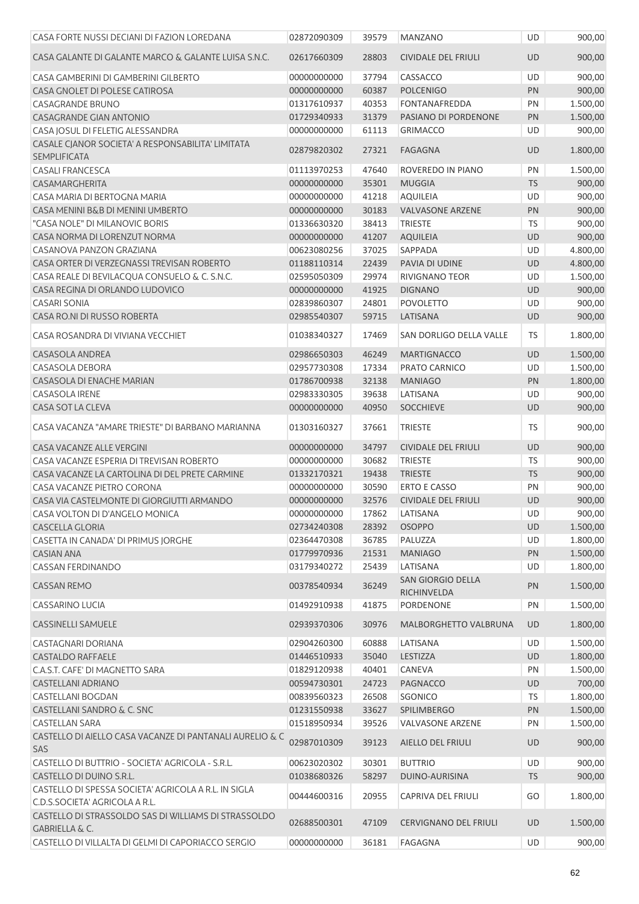| CASA FORTE NUSSI DECIANI DI FAZION LOREDANA                                            | 02872090309 | 39579 | <b>MANZANO</b>                          | <b>UD</b> | 900,00   |
|----------------------------------------------------------------------------------------|-------------|-------|-----------------------------------------|-----------|----------|
| CASA GALANTE DI GALANTE MARCO & GALANTE LUISA S.N.C.                                   | 02617660309 | 28803 | <b>CIVIDALE DEL FRIULI</b>              | <b>UD</b> | 900,00   |
| CASA GAMBERINI DI GAMBERINI GILBERTO                                                   | 00000000000 | 37794 | CASSACCO                                | <b>UD</b> | 900,00   |
| CASA GNOLET DI POLESE CATIROSA                                                         | 00000000000 | 60387 | <b>POLCENIGO</b>                        | PN        | 900,00   |
| <b>CASAGRANDE BRUNO</b>                                                                | 01317610937 | 40353 | <b>FONTANAFREDDA</b>                    | PN        | 1.500,00 |
| <b>CASAGRANDE GIAN ANTONIO</b>                                                         | 01729340933 | 31379 | PASIANO DI PORDENONE                    | PN        | 1.500,00 |
| CASA JOSUL DI FELETIG ALESSANDRA                                                       | 00000000000 | 61113 | <b>GRIMACCO</b>                         | UD        | 900,00   |
| CASALE CJANOR SOCIETA' A RESPONSABILITA' LIMITATA<br><b>SEMPLIFICATA</b>               | 02879820302 | 27321 | <b>FAGAGNA</b>                          | UD        | 1.800,00 |
| <b>CASALI FRANCESCA</b>                                                                | 01113970253 | 47640 | ROVEREDO IN PIANO                       | PN        | 1.500,00 |
| CASAMARGHERITA                                                                         | 00000000000 | 35301 | <b>MUGGIA</b>                           | <b>TS</b> | 900,00   |
| CASA MARIA DI BERTOGNA MARIA                                                           | 00000000000 | 41218 | <b>AQUILEIA</b>                         | UD        | 900,00   |
| CASA MENINI B&B DI MENINI UMBERTO                                                      | 00000000000 | 30183 | <b>VALVASONE ARZENE</b>                 | PN        | 900,00   |
| "CASA NOLE" DI MILANOVIC BORIS                                                         | 01336630320 | 38413 | <b>TRIESTE</b>                          | TS        | 900,00   |
| CASA NORMA DI LORENZUT NORMA                                                           | 00000000000 | 41207 | <b>AQUILEIA</b>                         | UD        | 900,00   |
| CASANOVA PANZON GRAZIANA                                                               | 00623080256 | 37025 | SAPPADA                                 | UD        | 4.800,00 |
| CASA ORTER DI VERZEGNASSI TREVISAN ROBERTO                                             | 01188110314 | 22439 | PAVIA DI UDINE                          | <b>UD</b> | 4.800,00 |
| CASA REALE DI BEVILACQUA CONSUELO & C. S.N.C.                                          | 02595050309 | 29974 | <b>RIVIGNANO TEOR</b>                   | UD        | 1.500,00 |
| CASA REGINA DI ORLANDO LUDOVICO                                                        | 00000000000 | 41925 | <b>DIGNANO</b>                          | UD        | 900,00   |
| <b>CASARI SONIA</b>                                                                    | 02839860307 | 24801 | <b>POVOLETTO</b>                        | UD        | 900,00   |
| CASA RO.NI DI RUSSO ROBERTA                                                            | 02985540307 | 59715 | LATISANA                                | <b>UD</b> | 900,00   |
| CASA ROSANDRA DI VIVIANA VECCHIET                                                      | 01038340327 | 17469 | SAN DORLIGO DELLA VALLE                 | TS        | 1.800,00 |
|                                                                                        |             |       |                                         |           |          |
| CASASOLA ANDREA                                                                        | 02986650303 | 46249 | <b>MARTIGNACCO</b>                      | UD        | 1.500,00 |
| CASASOLA DEBORA                                                                        | 02957730308 | 17334 | PRATO CARNICO                           | UD        | 1.500,00 |
| CASASOLA DI ENACHE MARIAN                                                              | 01786700938 | 32138 | <b>MANIAGO</b>                          | PN        | 1.800,00 |
| <b>CASASOLA IRENE</b>                                                                  | 02983330305 | 39638 | LATISANA                                | UD        | 900,00   |
| CASA SOT LA CLEVA                                                                      | 00000000000 | 40950 | <b>SOCCHIEVE</b>                        | UD        | 900,00   |
| CASA VACANZA "AMARE TRIESTE" DI BARBANO MARIANNA                                       | 01303160327 | 37661 | <b>TRIESTE</b>                          | <b>TS</b> | 900,00   |
| CASA VACANZE ALLE VERGINI                                                              | 00000000000 | 34797 | <b>CIVIDALE DEL FRIULI</b>              | UD        | 900,00   |
| CASA VACANZE ESPERIA DI TREVISAN ROBERTO                                               | 00000000000 | 30682 | <b>TRIESTE</b>                          | TS        | 900,00   |
| CASA VACANZE LA CARTOLINA DI DEL PRETE CARMINE                                         | 01332170321 | 19438 | <b>TRIESTE</b>                          | <b>TS</b> | 900,00   |
| CASA VACANZE PIETRO CORONA                                                             | 00000000000 | 30590 | <b>ERTO E CASSO</b>                     | PN        | 900,00   |
| CASA VIA CASTELMONTE DI GIORGIUTTI ARMANDO                                             | 00000000000 | 32576 | <b>CIVIDALE DEL FRIULI</b>              | <b>UD</b> | 900,00   |
| CASA VOLTON DI D'ANGELO MONICA                                                         | 00000000000 | 17862 | LATISANA                                | UD        | 900,00   |
| <b>CASCELLA GLORIA</b>                                                                 | 02734240308 | 28392 | <b>OSOPPO</b>                           | <b>UD</b> | 1.500,00 |
| CASETTA IN CANADA' DI PRIMUS JORGHE                                                    | 02364470308 | 36785 | PALUZZA                                 | UD        | 1.800,00 |
| <b>CASIAN ANA</b>                                                                      | 01779970936 | 21531 | <b>MANIAGO</b>                          | <b>PN</b> | 1.500,00 |
| <b>CASSAN FERDINANDO</b>                                                               | 03179340272 | 25439 | LATISANA                                | UD        | 1.800,00 |
| <b>CASSAN REMO</b>                                                                     | 00378540934 | 36249 | <b>SAN GIORGIO DELLA</b><br>RICHINVELDA | PN        | 1.500,00 |
| CASSARINO LUCIA                                                                        | 01492910938 | 41875 | PORDENONE                               | PN        | 1.500,00 |
| <b>CASSINELLI SAMUELE</b>                                                              | 02939370306 | 30976 | MALBORGHETTO VALBRUNA                   | <b>UD</b> | 1.800,00 |
| CASTAGNARI DORIANA                                                                     | 02904260300 | 60888 | LATISANA                                | <b>UD</b> | 1.500,00 |
| <b>CASTALDO RAFFAELE</b>                                                               | 01446510933 | 35040 | LESTIZZA                                | <b>UD</b> | 1.800,00 |
| C.A.S.T. CAFE' DI MAGNETTO SARA                                                        | 01829120938 | 40401 | <b>CANEVA</b>                           | PN        | 1.500,00 |
| <b>CASTELLANI ADRIANO</b>                                                              | 00594730301 | 24723 | <b>PAGNACCO</b>                         | <b>UD</b> | 700,00   |
| <b>CASTELLANI BOGDAN</b>                                                               | 00839560323 | 26508 | SGONICO                                 | TS        | 1.800,00 |
| CASTELLANI SANDRO & C. SNC                                                             | 01231550938 | 33627 | <b>SPILIMBERGO</b>                      | PN        | 1.500,00 |
| <b>CASTELLAN SARA</b>                                                                  | 01518950934 | 39526 | <b>VALVASONE ARZENE</b>                 | PN        | 1.500,00 |
| CASTELLO DI AIELLO CASA VACANZE DI PANTANALI AURELIO & C                               | 02987010309 | 39123 | AIELLO DEL FRIULI                       | <b>UD</b> | 900,00   |
| SAS                                                                                    |             |       | <b>BUTTRIO</b>                          | <b>UD</b> |          |
| CASTELLO DI BUTTRIO - SOCIETA' AGRICOLA - S.R.L.                                       | 00623020302 | 30301 |                                         |           | 900,00   |
| CASTELLO DI DUINO S.R.L.                                                               | 01038680326 | 58297 | DUINO-AURISINA                          | <b>TS</b> | 900,00   |
| CASTELLO DI SPESSA SOCIETA' AGRICOLA A R.L. IN SIGLA<br>C.D.S.SOCIETA' AGRICOLA A R.L. | 00444600316 | 20955 | CAPRIVA DEL FRIULI                      | GO        | 1.800,00 |
| CASTELLO DI STRASSOLDO SAS DI WILLIAMS DI STRASSOLDO<br><b>GABRIELLA &amp; C.</b>      | 02688500301 | 47109 | <b>CERVIGNANO DEL FRIULI</b>            | <b>UD</b> | 1.500,00 |
| CASTELLO DI VILLALTA DI GELMI DI CAPORIACCO SERGIO                                     | 00000000000 | 36181 | <b>FAGAGNA</b>                          | UD        | 900,00   |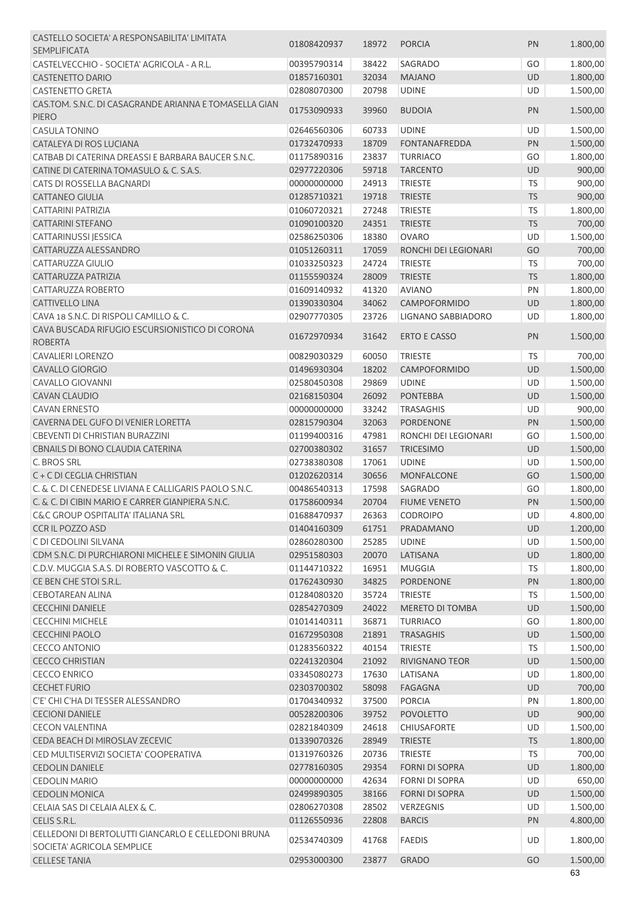| CASTELLO SOCIETA' A RESPONSABILITA' LIMITATA                           | 01808420937                | 18972          | <b>PORCIA</b>              | PN                     | 1.800,00           |
|------------------------------------------------------------------------|----------------------------|----------------|----------------------------|------------------------|--------------------|
| <b>SEMPLIFICATA</b>                                                    |                            |                |                            |                        |                    |
| CASTELVECCHIO - SOCIETA' AGRICOLA - A R.L.                             | 00395790314                | 38422          | SAGRADO                    | GO                     | 1.800,00           |
| <b>CASTENETTO DARIO</b>                                                | 01857160301                | 32034          | <b>MAJANO</b>              | UD                     | 1.800,00           |
| <b>CASTENETTO GRETA</b>                                                | 02808070300                | 20798          | <b>UDINE</b>               | <b>UD</b>              | 1.500,00           |
| CAS.TOM. S.N.C. DI CASAGRANDE ARIANNA E TOMASELLA GIAN<br><b>PIERO</b> | 01753090933                | 39960          | <b>BUDOIA</b>              | PN                     | 1.500,00           |
| <b>CASULA TONINO</b>                                                   | 02646560306                | 60733          | <b>UDINE</b>               | UD                     | 1.500,00           |
| CATALEYA DI ROS LUCIANA                                                | 01732470933                | 18709          | <b>FONTANAFREDDA</b>       | PN                     | 1.500,00           |
| CATBAB DI CATERINA DREASSI E BARBARA BAUCER S.N.C.                     | 01175890316                | 23837          | <b>TURRIACO</b>            | GO                     | 1.800,00           |
| CATINE DI CATERINA TOMASULO & C. S.A.S.                                | 02977220306                | 59718          | <b>TARCENTO</b>            | <b>UD</b>              | 900,00             |
| CATS DI ROSSELLA BAGNARDI                                              | 00000000000                | 24913          | <b>TRIESTE</b>             | <b>TS</b>              | 900,00             |
| <b>CATTANEO GIULIA</b>                                                 | 01285710321                | 19718          | <b>TRIESTE</b>             | <b>TS</b>              | 900,00             |
| <b>CATTARINI PATRIZIA</b>                                              | 01060720321                | 27248          | <b>TRIESTE</b>             | <b>TS</b>              | 1.800,00           |
| <b>CATTARINI STEFANO</b>                                               | 01090100320                | 24351          | <b>TRIESTE</b>             | <b>TS</b>              | 700,00             |
| CATTARINUSSI JESSICA                                                   | 02586250306                | 18380          | <b>OVARO</b>               | UD                     | 1.500,00           |
| CATTARUZZA ALESSANDRO                                                  | 01051260311                | 17059          | RONCHI DEI LEGIONARI       | GO                     | 700,00             |
| CATTARUZZA GIULIO                                                      | 01033250323                | 24724          | <b>TRIESTE</b>             | <b>TS</b>              | 700,00             |
| CATTARUZZA PATRIZIA                                                    | 01155590324                | 28009          | <b>TRIESTE</b>             | <b>TS</b>              | 1.800,00           |
| CATTARUZZA ROBERTO                                                     | 01609140932                | 41320          | <b>AVIANO</b>              | PN                     | 1.800,00           |
| <b>CATTIVELLO LINA</b>                                                 | 01390330304                | 34062          | CAMPOFORMIDO               | UD                     | 1.800,00           |
| CAVA 18 S.N.C. DI RISPOLI CAMILLO & C.                                 | 02907770305                | 23726          | LIGNANO SABBIADORO         | <b>UD</b>              | 1.800,00           |
| CAVA BUSCADA RIFUGIO ESCURSIONISTICO DI CORONA<br><b>ROBERTA</b>       | 01672970934                | 31642          | <b>ERTO E CASSO</b>        | PN                     | 1.500,00           |
| <b>CAVALIERI LORENZO</b>                                               | 00829030329                | 60050          | <b>TRIESTE</b>             | <b>TS</b>              | 700,00             |
| <b>CAVALLO GIORGIO</b>                                                 | 01496930304                | 18202          | CAMPOFORMIDO               | <b>UD</b>              | 1.500,00           |
| <b>CAVALLO GIOVANNI</b>                                                | 02580450308                | 29869          | <b>UDINE</b>               | <b>UD</b>              | 1.500,00           |
| <b>CAVAN CLAUDIO</b>                                                   | 02168150304                | 26092          | <b>PONTEBBA</b>            | UD                     | 1.500,00           |
| <b>CAVAN ERNESTO</b>                                                   | 00000000000                | 33242          | <b>TRASAGHIS</b>           | UD                     | 900,00             |
| CAVERNA DEL GUFO DI VENIER LORETTA                                     | 02815790304                | 32063          | <b>PORDENONE</b>           | PN                     | 1.500,00           |
| CBEVENTI DI CHRISTIAN BURAZZINI                                        | 01199400316                | 47981          | RONCHI DEI LEGIONARI       | GO                     | 1.500,00           |
| CBNAILS DI BONO CLAUDIA CATERINA                                       | 02700380302                | 31657          | <b>TRICESIMO</b>           | <b>UD</b>              | 1.500,00           |
| C. BROS SRL                                                            | 02738380308                | 17061          | <b>UDINE</b>               | UD                     | 1.500,00           |
| C + C DI CEGLIA CHRISTIAN                                              | 01202620314                | 30656          | <b>MONFALCONE</b>          | GO                     | 1.500,00           |
| C. & C. DI CENEDESE LIVIANA E CALLIGARIS PAOLO S.N.C.                  | 00486540313                | 17598          | SAGRADO                    | GO                     | 1.800,00           |
| C. & C. DI CIBIN MARIO E CARRER GIANPIERA S.N.C.                       | 01758600934                | 20704          | <b>FIUME VENETO</b>        | PN                     | 1.500,00           |
| C&C GROUP OSPITALITA' ITALIANA SRL                                     | 01688470937                | 26363          | <b>CODROIPO</b>            | UD.                    | 4.800,00           |
| <b>CCRIL POZZO ASD</b>                                                 | 01404160309                | 61751          | PRADAMANO                  | <b>UD</b>              | 1.200,00           |
| C DI CEDOLINI SILVANA                                                  | 02860280300                | 25285          | <b>UDINE</b>               | UD                     | 1.500,00           |
| CDM S.N.C. DI PURCHIARONI MICHELE E SIMONIN GIULIA                     | 02951580303                | 20070          | LATISANA                   | <b>UD</b>              | 1.800,00           |
| C.D.V. MUGGIA S.A.S. DI ROBERTO VASCOTTO & C.                          | 01144710322                | 16951          | <b>MUGGIA</b>              | <b>TS</b>              | 1.800,00           |
| CE BEN CHE STOI S.R.L.                                                 | 01762430930                | 34825          | <b>PORDENONE</b>           | <b>PN</b>              | 1.800,00           |
| <b>CEBOTAREAN ALINA</b>                                                | 01284080320                | 35724          | <b>TRIESTE</b>             | <b>TS</b>              | 1.500,00           |
| <b>CECCHINI DANIELE</b>                                                | 02854270309                | 24022          | <b>MERETO DI TOMBA</b>     | <b>UD</b>              | 1.500,00           |
| <b>CECCHINI MICHELE</b><br><b>CECCHINI PAOLO</b>                       | 01014140311                | 36871          | <b>TURRIACO</b>            | GO                     | 1.800,00           |
| <b>CECCO ANTONIO</b>                                                   | 01672950308                | 21891          | <b>TRASAGHIS</b>           | UD                     | 1.500,00           |
|                                                                        | 01283560322                | 40154          | <b>TRIESTE</b>             | <b>TS</b>              | 1.500,00           |
| <b>CECCO CHRISTIAN</b><br><b>CECCO ENRICO</b>                          | 02241320304                | 21092          | <b>RIVIGNANO TEOR</b>      | <b>UD</b><br><b>UD</b> | 1.500,00           |
| <b>CECHET FURIO</b>                                                    | 03345080273<br>02303700302 | 17630          | LATISANA<br><b>FAGAGNA</b> | <b>UD</b>              | 1.800,00           |
| C'E' CHI C'HA DI TESSER ALESSANDRO                                     | 01704340932                | 58098<br>37500 | <b>PORCIA</b>              | PN                     | 700,00<br>1.800,00 |
| <b>CECIONI DANIELE</b>                                                 | 00528200306                | 39752          | <b>POVOLETTO</b>           | <b>UD</b>              | 900,00             |
| <b>CECON VALENTINA</b>                                                 | 02821840309                | 24618          | <b>CHIUSAFORTE</b>         | <b>UD</b>              | 1.500,00           |
| CEDA BEACH DI MIROSLAV ZECEVIC                                         | 01339070326                | 28949          | <b>TRIESTE</b>             | <b>TS</b>              | 1.800,00           |
| CED MULTISERVIZI SOCIETA' COOPERATIVA                                  | 01319760326                | 20736          | <b>TRIESTE</b>             | <b>TS</b>              | 700,00             |
| <b>CEDOLIN DANIELE</b>                                                 | 02778160305                | 29354          | <b>FORNI DI SOPRA</b>      | <b>UD</b>              | 1.800,00           |
| <b>CEDOLIN MARIO</b>                                                   | 00000000000                | 42634          | <b>FORNI DI SOPRA</b>      | UD                     | 650,00             |
| <b>CEDOLIN MONICA</b>                                                  | 02499890305                | 38166          | <b>FORNI DI SOPRA</b>      | <b>UD</b>              | 1.500,00           |
| CELAIA SAS DI CELAIA ALEX & C.                                         | 02806270308                | 28502          | VERZEGNIS                  | <b>UD</b>              | 1.500,00           |
| CELIS S.R.L.                                                           | 01126550936                | 22808          | <b>BARCIS</b>              | <b>PN</b>              | 4.800,00           |
| CELLEDONI DI BERTOLUTTI GIANCARLO E CELLEDONI BRUNA                    |                            |                |                            |                        |                    |
| SOCIETA' AGRICOLA SEMPLICE                                             | 02534740309                | 41768          | <b>FAEDIS</b>              | UD                     | 1.800,00           |
| <b>CELLESE TANIA</b>                                                   | 02953000300                | 23877          | <b>GRADO</b>               | GO                     | 1.500,00<br>63     |
|                                                                        |                            |                |                            |                        |                    |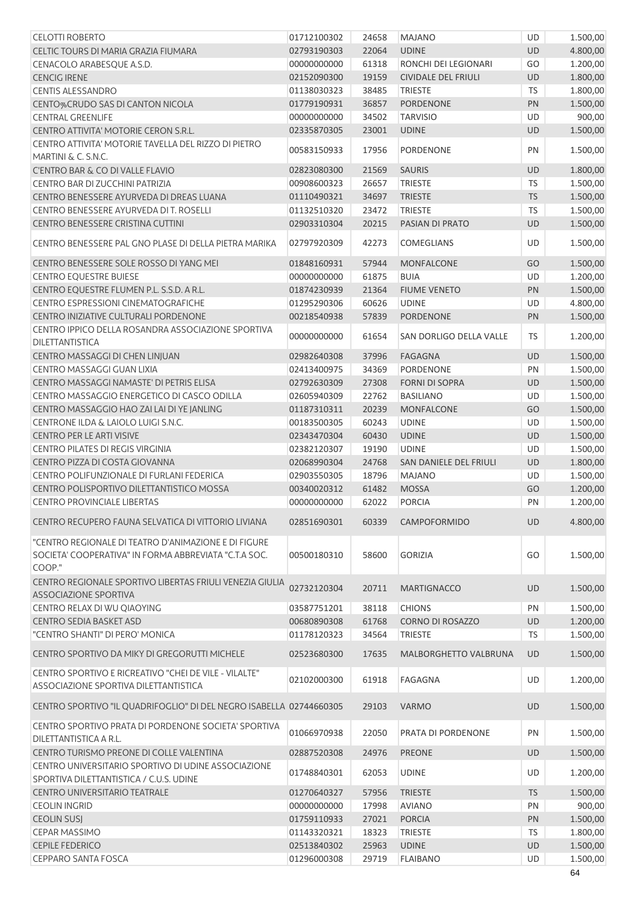| <b>CELOTTI ROBERTO</b>                                                                         | 01712100302 | 24658 | <b>MAJANO</b>              | <b>UD</b> | 1.500,00 |
|------------------------------------------------------------------------------------------------|-------------|-------|----------------------------|-----------|----------|
| CELTIC TOURS DI MARIA GRAZIA FIUMARA                                                           | 02793190303 | 22064 | <b>UDINE</b>               | <b>UD</b> | 4.800,00 |
| CENACOLO ARABESQUE A.S.D.                                                                      | 00000000000 | 61318 | RONCHI DEI LEGIONARI       | GO        | 1.200,00 |
| <b>CENCIG IRENE</b>                                                                            | 02152090300 | 19159 | <b>CIVIDALE DEL FRIULI</b> | UD        | 1.800,00 |
| <b>CENTIS ALESSANDRO</b>                                                                       | 01138030323 | 38485 | <b>TRIESTE</b>             | <b>TS</b> | 1.800,00 |
| CENTO%CRUDO SAS DI CANTON NICOLA                                                               | 01779190931 | 36857 | <b>PORDENONE</b>           | PN        | 1.500,00 |
| <b>CENTRAL GREENLIFE</b>                                                                       | 00000000000 | 34502 | <b>TARVISIO</b>            | <b>UD</b> | 900,00   |
| CENTRO ATTIVITA' MOTORIE CERON S.R.L.                                                          | 02335870305 | 23001 | <b>UDINE</b>               | <b>UD</b> | 1.500,00 |
| CENTRO ATTIVITA' MOTORIE TAVELLA DEL RIZZO DI PIETRO                                           |             |       |                            |           |          |
| MARTINI & C. S.N.C.                                                                            | 00583150933 | 17956 | PORDENONE                  | PN        | 1.500,00 |
| <b>C'ENTRO BAR &amp; CO DI VALLE FLAVIO</b>                                                    | 02823080300 | 21569 | <b>SAURIS</b>              | <b>UD</b> | 1.800,00 |
| CENTRO BAR DI ZUCCHINI PATRIZIA                                                                | 00908600323 | 26657 | <b>TRIESTE</b>             | <b>TS</b> | 1.500,00 |
| CENTRO BENESSERE AYURVEDA DI DREAS LUANA                                                       | 01110490321 | 34697 | <b>TRIESTE</b>             | <b>TS</b> | 1.500,00 |
| CENTRO BENESSERE AYURVEDA DI T. ROSELLI                                                        | 01132510320 | 23472 | <b>TRIESTE</b>             | TS        | 1.500,00 |
| CENTRO BENESSERE CRISTINA CUTTINI                                                              | 02903310304 | 20215 | PASIAN DI PRATO            | <b>UD</b> | 1.500,00 |
| CENTRO BENESSERE PAL GNO PLASE DI DELLA PIETRA MARIKA                                          | 02797920309 | 42273 | COMEGLIANS                 | <b>UD</b> | 1.500,00 |
| CENTRO BENESSERE SOLE ROSSO DI YANG MEI                                                        | 01848160931 | 57944 | <b>MONFALCONE</b>          | GO        | 1.500,00 |
| <b>CENTRO EQUESTRE BUIESE</b>                                                                  | 00000000000 | 61875 | <b>BUIA</b>                | <b>UD</b> | 1.200,00 |
| CENTRO EQUESTRE FLUMEN P.L. S.S.D. A R.L.                                                      | 01874230939 | 21364 | <b>FIUME VENETO</b>        | PN        | 1.500,00 |
| CENTRO ESPRESSIONI CINEMATOGRAFICHE                                                            | 01295290306 | 60626 | <b>UDINE</b>               | UD        | 4.800,00 |
| CENTRO INIZIATIVE CULTURALI PORDENONE                                                          | 00218540938 | 57839 | <b>PORDENONE</b>           | PN        | 1.500,00 |
| CENTRO IPPICO DELLA ROSANDRA ASSOCIAZIONE SPORTIVA                                             |             |       |                            |           |          |
| DILETTANTISTICA                                                                                | 00000000000 | 61654 | SAN DORLIGO DELLA VALLE    | <b>TS</b> | 1.200,00 |
| CENTRO MASSAGGI DI CHEN LINJUAN                                                                | 02982640308 | 37996 | <b>FAGAGNA</b>             | UD        | 1.500,00 |
| CENTRO MASSAGGI GUAN LIXIA                                                                     | 02413400975 | 34369 | PORDENONE                  | PN        | 1.500,00 |
| CENTRO MASSAGGI NAMASTE' DI PETRIS ELISA                                                       | 02792630309 | 27308 | <b>FORNI DI SOPRA</b>      | <b>UD</b> | 1.500,00 |
| CENTRO MASSAGGIO ENERGETICO DI CASCO ODILLA                                                    | 02605940309 | 22762 | <b>BASILIANO</b>           | <b>UD</b> | 1.500,00 |
| CENTRO MASSAGGIO HAO ZAI LAI DI YE JANLING                                                     | 01187310311 | 20239 | <b>MONFALCONE</b>          | GO        | 1.500,00 |
| CENTRONE ILDA & LAIOLO LUIGI S.N.C.                                                            | 00183500305 | 60243 | <b>UDINE</b>               | UD        | 1.500,00 |
| <b>CENTRO PER LE ARTI VISIVE</b>                                                               | 02343470304 | 60430 | <b>UDINE</b>               | <b>UD</b> | 1.500,00 |
| CENTRO PILATES DI REGIS VIRGINIA                                                               | 02382120307 | 19190 | <b>UDINE</b>               | UD        | 1.500,00 |
| CENTRO PIZZA DI COSTA GIOVANNA                                                                 | 02068990304 | 24768 | SAN DANIELE DEL FRIULI     | <b>UD</b> | 1.800,00 |
| CENTRO POLIFUNZIONALE DI FURLANI FEDERICA                                                      | 02903550305 | 18796 | <b>MAJANO</b>              | UD        | 1.500,00 |
| CENTRO POLISPORTIVO DILETTANTISTICO MOSSA                                                      | 00340020312 | 61482 | <b>MOSSA</b>               | GO        | 1.200,00 |
| <b>CENTRO PROVINCIALE LIBERTAS</b>                                                             | 00000000000 | 62022 | <b>PORCIA</b>              | PN        | 1.200,00 |
| CENTRO RECUPERO FAUNA SELVATICA DI VITTORIO LIVIANA                                            | 02851690301 | 60339 | CAMPOFORMIDO               | <b>UD</b> | 4.800,00 |
| "CENTRO REGIONALE DI TEATRO D'ANIMAZIONE E DI FIGURE                                           |             |       |                            |           |          |
| SOCIETA' COOPERATIVA" IN FORMA ABBREVIATA "C.T.A SOC.                                          | 00500180310 | 58600 | <b>GORIZIA</b>             | GO        | 1.500,00 |
| COOP."                                                                                         |             |       |                            |           |          |
| CENTRO REGIONALE SPORTIVO LIBERTAS FRIULI VENEZIA GIULIA<br><b>ASSOCIAZIONE SPORTIVA</b>       | 02732120304 | 20711 | <b>MARTIGNACCO</b>         | UD        | 1.500,00 |
| CENTRO RELAX DI WU QIAOYING                                                                    | 03587751201 | 38118 | <b>CHIONS</b>              | PN        | 1.500,00 |
| <b>CENTRO SEDIA BASKET ASD</b>                                                                 | 00680890308 | 61768 | <b>CORNO DI ROSAZZO</b>    | UD        | 1.200,00 |
| "CENTRO SHANTI" DI PERO' MONICA                                                                | 01178120323 | 34564 | <b>TRIESTE</b>             | <b>TS</b> | 1.500,00 |
| CENTRO SPORTIVO DA MIKY DI GREGORUTTI MICHELE                                                  | 02523680300 | 17635 | MALBORGHETTO VALBRUNA      | <b>UD</b> | 1.500,00 |
| CENTRO SPORTIVO E RICREATIVO "CHEI DE VILE - VILALTE"<br>ASSOCIAZIONE SPORTIVA DILETTANTISTICA | 02102000300 | 61918 | FAGAGNA                    | <b>UD</b> | 1.200,00 |
| CENTRO SPORTIVO "IL QUADRIFOGLIO" DI DEL NEGRO ISABELLA 02744660305                            |             | 29103 | <b>VARMO</b>               | UD        | 1.500,00 |
| CENTRO SPORTIVO PRATA DI PORDENONE SOCIETA' SPORTIVA                                           | 01066970938 | 22050 | PRATA DI PORDENONE         | PN        | 1.500,00 |
| DILETTANTISTICA A R.L.                                                                         |             |       |                            |           |          |
| CENTRO TURISMO PREONE DI COLLE VALENTINA                                                       | 02887520308 | 24976 | <b>PREONE</b>              | <b>UD</b> | 1.500,00 |
| CENTRO UNIVERSITARIO SPORTIVO DI UDINE ASSOCIAZIONE<br>SPORTIVA DILETTANTISTICA / C.U.S. UDINE | 01748840301 | 62053 | <b>UDINE</b>               | UD        | 1.200,00 |
| CENTRO UNIVERSITARIO TEATRALE                                                                  | 01270640327 | 57956 | <b>TRIESTE</b>             | <b>TS</b> | 1.500,00 |
| <b>CEOLIN INGRID</b>                                                                           | 00000000000 | 17998 | <b>AVIANO</b>              | PN        | 900,00   |
| <b>CEOLIN SUSJ</b>                                                                             | 01759110933 | 27021 | <b>PORCIA</b>              | PN        | 1.500,00 |
| <b>CEPAR MASSIMO</b>                                                                           | 01143320321 | 18323 | <b>TRIESTE</b>             | <b>TS</b> | 1.800,00 |
| <b>CEPILE FEDERICO</b>                                                                         | 02513840302 | 25963 | <b>UDINE</b>               | UD        | 1.500,00 |
| <b>CEPPARO SANTA FOSCA</b>                                                                     | 01296000308 | 29719 | <b>FLAIBANO</b>            | UD        | 1.500,00 |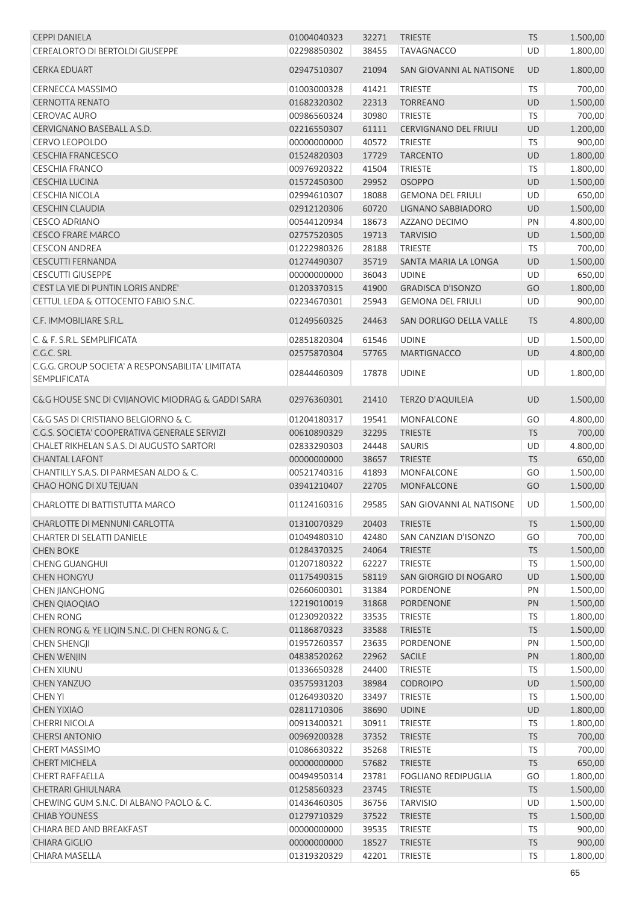| <b>CEPPI DANIELA</b>                             | 01004040323 | 32271 | <b>TRIESTE</b>               | <b>TS</b> | 1.500,00 |
|--------------------------------------------------|-------------|-------|------------------------------|-----------|----------|
| CEREALORTO DI BERTOLDI GIUSEPPE                  | 02298850302 | 38455 | <b>TAVAGNACCO</b>            | UD        | 1.800,00 |
| <b>CERKA EDUART</b>                              | 02947510307 | 21094 | SAN GIOVANNI AL NATISONE     | <b>UD</b> | 1.800,00 |
| <b>CERNECCA MASSIMO</b>                          | 01003000328 | 41421 | <b>TRIESTE</b>               | <b>TS</b> | 700,00   |
| <b>CERNOTTA RENATO</b>                           | 01682320302 | 22313 | <b>TORREANO</b>              | <b>UD</b> | 1.500,00 |
| <b>CEROVAC AURO</b>                              | 00986560324 | 30980 | <b>TRIESTE</b>               | TS        | 700,00   |
| CERVIGNANO BASEBALL A.S.D.                       | 02216550307 | 61111 | <b>CERVIGNANO DEL FRIULI</b> | <b>UD</b> | 1.200,00 |
| <b>CERVO LEOPOLDO</b>                            | 00000000000 | 40572 | <b>TRIESTE</b>               | <b>TS</b> | 900,00   |
| <b>CESCHIA FRANCESCO</b>                         | 01524820303 | 17729 | <b>TARCENTO</b>              | <b>UD</b> |          |
|                                                  |             |       |                              |           | 1.800,00 |
| <b>CESCHIA FRANCO</b>                            | 00976920322 | 41504 | <b>TRIESTE</b>               | <b>TS</b> | 1.800,00 |
| <b>CESCHIA LUCINA</b>                            | 01572450300 | 29952 | <b>OSOPPO</b>                | UD        | 1.500,00 |
| <b>CESCHIA NICOLA</b>                            | 02994610307 | 18088 | <b>GEMONA DEL FRIULI</b>     | UD        | 650,00   |
| <b>CESCHIN CLAUDIA</b>                           | 02912120306 | 60720 | LIGNANO SABBIADORO           | <b>UD</b> | 1.500,00 |
| <b>CESCO ADRIANO</b>                             | 00544120934 | 18673 | AZZANO DECIMO                | PN        | 4.800,00 |
| <b>CESCO FRARE MARCO</b>                         | 02757520305 | 19713 | <b>TARVISIO</b>              | <b>UD</b> | 1.500,00 |
| <b>CESCON ANDREA</b>                             | 01222980326 | 28188 | <b>TRIESTE</b>               | <b>TS</b> | 700,00   |
| <b>CESCUTTI FERNANDA</b>                         | 01274490307 | 35719 | SANTA MARIA LA LONGA         | UD        | 1.500,00 |
| <b>CESCUTTI GIUSEPPE</b>                         | 00000000000 | 36043 | <b>UDINE</b>                 | UD        | 650,00   |
| C'EST LA VIE DI PUNTIN LORIS ANDRE'              | 01203370315 | 41900 | <b>GRADISCA D'ISONZO</b>     | GO        | 1.800,00 |
| CETTUL LEDA & OTTOCENTO FABIO S.N.C.             | 02234670301 | 25943 | <b>GEMONA DEL FRIULI</b>     | <b>UD</b> | 900,00   |
| C.F. IMMOBILIARE S.R.L.                          | 01249560325 | 24463 | SAN DORLIGO DELLA VALLE      | <b>TS</b> | 4.800,00 |
| C. & F. S.R.L. SEMPLIFICATA                      | 02851820304 | 61546 | <b>UDINE</b>                 | UD        | 1.500,00 |
| C.G.C. SRL                                       | 02575870304 | 57765 | <b>MARTIGNACCO</b>           | <b>UD</b> | 4.800,00 |
| C.G.G. GROUP SOCIETA' A RESPONSABILITA' LIMITATA |             |       |                              |           |          |
| <b>SEMPLIFICATA</b>                              | 02844460309 | 17878 | <b>UDINE</b>                 | UD        | 1.800,00 |
| C&G HOUSE SNC DI CVIJANOVIC MIODRAG & GADDI SARA | 02976360301 | 21410 | <b>TERZO D'AQUILEIA</b>      | <b>UD</b> | 1.500,00 |
| C&G SAS DI CRISTIANO BELGIORNO & C.              | 01204180317 | 19541 | <b>MONFALCONE</b>            | GO        | 4.800,00 |
| C.G.S. SOCIETA' COOPERATIVA GENERALE SERVIZI     | 00610890329 | 32295 | <b>TRIESTE</b>               | <b>TS</b> | 700,00   |
| CHALET RIKHELAN S.A.S. DI AUGUSTO SARTORI        | 02833290303 | 24448 | <b>SAURIS</b>                | UD        | 4.800,00 |
| <b>CHANTAL LAFONT</b>                            | 00000000000 | 38657 | <b>TRIESTE</b>               | <b>TS</b> | 650,00   |
| CHANTILLY S.A.S. DI PARMESAN ALDO & C.           | 00521740316 | 41893 | <b>MONFALCONE</b>            | GO        | 1.500,00 |
| CHAO HONG DI XU TEJUAN                           | 03941210407 | 22705 | <b>MONFALCONE</b>            | GO        | 1.500,00 |
| CHARLOTTE DI BATTISTUTTA MARCO                   | 01124160316 | 29585 | SAN GIOVANNI AL NATISONE     | UD        | 1.500,00 |
| CHARLOTTE DI MENNUNI CARLOTTA                    | 01310070329 | 20403 | <b>TRIESTE</b>               | <b>TS</b> | 1.500,00 |
| <b>CHARTER DI SELATTI DANIELE</b>                |             |       |                              |           |          |
|                                                  | 01049480310 | 42480 | SAN CANZIAN D'ISONZO         | GO        | 700,00   |
| <b>CHEN BOKE</b>                                 | 01284370325 | 24064 | <b>TRIESTE</b>               | <b>TS</b> | 1.500,00 |
| <b>CHENG GUANGHUI</b>                            | 01207180322 | 62227 | <b>TRIESTE</b>               | <b>TS</b> | 1.500,00 |
| <b>CHEN HONGYU</b>                               | 01175490315 | 58119 | SAN GIORGIO DI NOGARO        | UD        | 1.500,00 |
| CHEN JIANGHONG                                   | 02660600301 | 31384 | <b>PORDENONE</b>             | PN        | 1.500,00 |
| <b>CHEN QIAOQIAO</b>                             | 12219010019 | 31868 | <b>PORDENONE</b>             | PN        | 1.500,00 |
| <b>CHEN RONG</b>                                 | 01230920322 | 33535 | <b>TRIESTE</b>               | TS        | 1.800,00 |
| CHEN RONG & YE LIQIN S.N.C. DI CHEN RONG & C.    | 01186870323 | 33588 | <b>TRIESTE</b>               | <b>TS</b> | 1.500,00 |
| <b>CHEN SHENGJI</b>                              | 01957260357 | 23635 | <b>PORDENONE</b>             | PN        | 1.500,00 |
| <b>CHEN WENJIN</b>                               | 04838520262 | 22962 | <b>SACILE</b>                | PN        | 1.800,00 |
| <b>CHEN XIUNU</b>                                | 01336650328 | 24400 | <b>TRIESTE</b>               | TS        | 1.500,00 |
| CHEN YANZUO                                      | 03575931203 | 38984 | <b>CODROIPO</b>              | UD        | 1.500,00 |
| <b>CHEN YI</b>                                   | 01264930320 | 33497 | <b>TRIESTE</b>               | <b>TS</b> | 1.500,00 |
| <b>CHEN YIXIAO</b>                               | 02811710306 | 38690 | <b>UDINE</b>                 | UD        | 1.800,00 |
| <b>CHERRI NICOLA</b>                             | 00913400321 | 30911 | <b>TRIESTE</b>               | TS        | 1.800,00 |
| <b>CHERSI ANTONIO</b>                            | 00969200328 | 37352 | <b>TRIESTE</b>               | TS        | 700,00   |
| <b>CHERT MASSIMO</b>                             | 01086630322 | 35268 | <b>TRIESTE</b>               | <b>TS</b> | 700,00   |
|                                                  |             |       |                              |           |          |
| <b>CHERT MICHELA</b>                             | 00000000000 | 57682 | <b>TRIESTE</b>               | <b>TS</b> | 650,00   |
| <b>CHERT RAFFAELLA</b>                           | 00494950314 | 23781 | <b>FOGLIANO REDIPUGLIA</b>   | GO        | 1.800,00 |
| <b>CHETRARI GHIULNARA</b>                        | 01258560323 | 23745 | <b>TRIESTE</b>               | <b>TS</b> | 1.500,00 |
| CHEWING GUM S.N.C. DI ALBANO PAOLO & C.          | 01436460305 | 36756 | <b>TARVISIO</b>              | UD        | 1.500,00 |
| <b>CHIAB YOUNESS</b>                             | 01279710329 | 37522 | TRIESTE                      | <b>TS</b> | 1.500,00 |
| CHIARA BED AND BREAKFAST                         | 00000000000 | 39535 | <b>TRIESTE</b>               | <b>TS</b> | 900,00   |
| <b>CHIARA GIGLIO</b>                             | 00000000000 | 18527 | <b>TRIESTE</b>               | <b>TS</b> | 900,00   |
| CHIARA MASELLA                                   | 01319320329 | 42201 | <b>TRIESTE</b>               | TS        | 1.800,00 |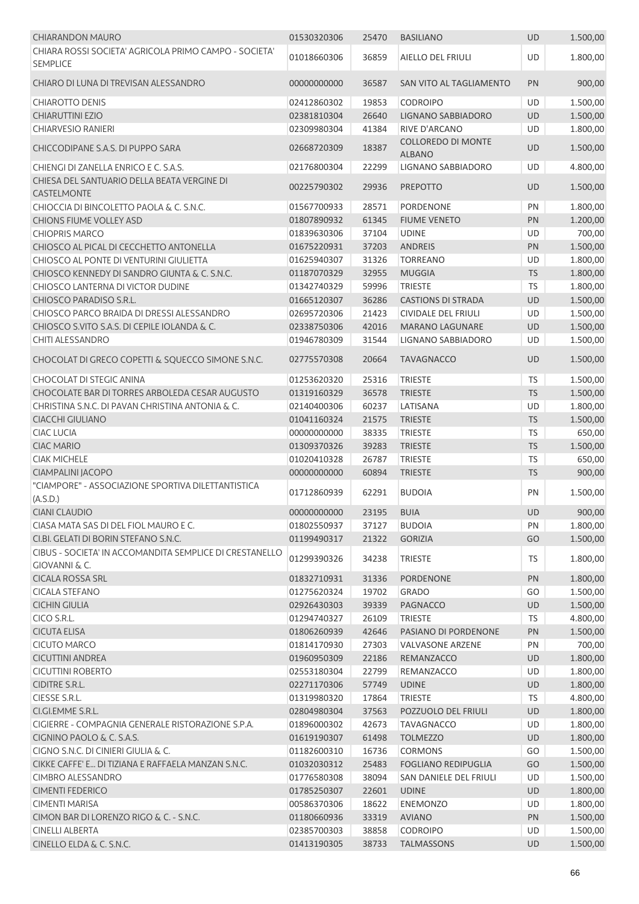| <b>CHIARANDON MAURO</b>                                 | 01530320306            | 25470 | <b>BASILIANO</b>           | <b>UD</b> | 1.500,00 |
|---------------------------------------------------------|------------------------|-------|----------------------------|-----------|----------|
| CHIARA ROSSI SOCIETA' AGRICOLA PRIMO CAMPO - SOCIETA'   |                        |       |                            |           |          |
| <b>SEMPLICE</b>                                         | 01018660306            | 36859 | AIELLO DEL FRIULI          | UD        | 1.800,00 |
|                                                         |                        |       |                            |           |          |
| CHIARO DI LUNA DI TREVISAN ALESSANDRO                   | 00000000000            | 36587 | SAN VITO AL TAGLIAMENTO    | PN        | 900,00   |
| <b>CHIAROTTO DENIS</b>                                  | 02412860302            | 19853 | <b>CODROIPO</b>            | UD        | 1.500,00 |
| <b>CHIARUTTINI EZIO</b>                                 | 02381810304            | 26640 | LIGNANO SABBIADORO         | <b>UD</b> | 1.500,00 |
| <b>CHIARVESIO RANIERI</b>                               | 02309980304            | 41384 | RIVE D'ARCANO              | UD        | 1.800,00 |
|                                                         |                        |       | <b>COLLOREDO DI MONTE</b>  |           |          |
| CHICCODIPANE S.A.S. DI PUPPO SARA                       | 02668720309            | 18387 | <b>ALBANO</b>              | <b>UD</b> | 1.500,00 |
| CHIENGI DI ZANELLA ENRICO E C. S.A.S.                   | 02176800304            | 22299 | LIGNANO SABBIADORO         | UD        | 4.800,00 |
| CHIESA DEL SANTUARIO DELLA BEATA VERGINE DI             |                        |       |                            |           |          |
| CASTELMONTE                                             | 00225790302            | 29936 | PREPOTTO                   | <b>UD</b> | 1.500,00 |
| CHIOCCIA DI BINCOLETTO PAOLA & C. S.N.C.                | 01567700933            | 28571 | PORDENONE                  | PN        | 1.800,00 |
| CHIONS FIUME VOLLEY ASD                                 | 01807890932            | 61345 | <b>FIUME VENETO</b>        | PN        | 1.200,00 |
| <b>CHIOPRIS MARCO</b>                                   | 01839630306            | 37104 | <b>UDINE</b>               | UD        | 700,00   |
| CHIOSCO AL PICAL DI CECCHETTO ANTONELLA                 | 01675220931            | 37203 | <b>ANDREIS</b>             | PN        | 1.500,00 |
| CHIOSCO AL PONTE DI VENTURINI GIULIETTA                 | 01625940307            | 31326 | <b>TORREANO</b>            | UD        | 1.800,00 |
| CHIOSCO KENNEDY DI SANDRO GIUNTA & C. S.N.C.            | 01187070329            | 32955 | <b>MUGGIA</b>              | <b>TS</b> | 1.800,00 |
| CHIOSCO LANTERNA DI VICTOR DUDINE                       | 01342740329            | 59996 | <b>TRIESTE</b>             | TS        | 1.800,00 |
| CHIOSCO PARADISO S.R.L.                                 | 01665120307            | 36286 | <b>CASTIONS DI STRADA</b>  | UD        | 1.500,00 |
| CHIOSCO PARCO BRAIDA DI DRESSI ALESSANDRO               | 02695720306            | 21423 | <b>CIVIDALE DEL FRIULI</b> | <b>UD</b> | 1.500,00 |
| CHIOSCO S.VITO S.A.S. DI CEPILE IOLANDA & C.            | 02338750306            | 42016 | <b>MARANO LAGUNARE</b>     | <b>UD</b> | 1.500,00 |
| <b>CHITI ALESSANDRO</b>                                 | 01946780309            | 31544 | <b>LIGNANO SABBIADORO</b>  | UD        | 1.500,00 |
|                                                         |                        |       |                            |           |          |
| CHOCOLAT DI GRECO COPETTI & SQUECCO SIMONE S.N.C.       | 02775570308            | 20664 | <b>TAVAGNACCO</b>          | <b>UD</b> | 1.500,00 |
|                                                         |                        |       |                            |           |          |
| <b>CHOCOLAT DI STEGIC ANINA</b>                         | 01253620320            | 25316 | <b>TRIESTE</b>             | <b>TS</b> | 1.500,00 |
| CHOCOLATE BAR DI TORRES ARBOLEDA CESAR AUGUSTO          | 01319160329            | 36578 | <b>TRIESTE</b>             | <b>TS</b> | 1.500,00 |
| CHRISTINA S.N.C. DI PAVAN CHRISTINA ANTONIA & C.        | 02140400306            | 60237 | LATISANA                   | UD        | 1.800,00 |
| <b>CIACCHI GIULIANO</b>                                 | 01041160324            | 21575 | <b>TRIESTE</b>             | <b>TS</b> | 1.500,00 |
| <b>CIAC LUCIA</b>                                       | 00000000000            | 38335 | <b>TRIESTE</b>             | <b>TS</b> | 650,00   |
| <b>CIAC MARIO</b>                                       | 01309370326            | 39283 | <b>TRIESTE</b>             | <b>TS</b> | 1.500,00 |
| <b>CIAK MICHELE</b>                                     | 01020410328            | 26787 | TRIESTE                    | <b>TS</b> | 650,00   |
| CIAMPALINI JACOPO                                       | 00000000000            | 60894 | <b>TRIESTE</b>             | <b>TS</b> | 900,00   |
| "CIAMPORE" - ASSOCIAZIONE SPORTIVA DILETTANTISTICA      | 01712860939            | 62291 | <b>BUDOIA</b>              | PN        | 1.500,00 |
| (A.S.D.)                                                |                        |       |                            |           |          |
| <b>CIANI CLAUDIO</b>                                    | 00000000000 23195 BUIA |       |                            | UD        | 900,00   |
| CIASA MATA SAS DI DEL FIOL MAURO E C.                   | 01802550937            | 37127 | <b>BUDOIA</b>              | PN        | 1.800,00 |
| CI.BI. GELATI DI BORIN STEFANO S.N.C.                   | 01199490317            | 21322 | <b>GORIZIA</b>             | GO        | 1.500,00 |
| CIBUS - SOCIETA' IN ACCOMANDITA SEMPLICE DI CRESTANELLO |                        |       |                            |           |          |
| <b>GIOVANNI &amp; C.</b>                                | 01299390326            | 34238 | <b>TRIESTE</b>             | <b>TS</b> | 1.800,00 |
| <b>CICALA ROSSA SRL</b>                                 | 01832710931            | 31336 | <b>PORDENONE</b>           | PN        | 1.800,00 |
| <b>CICALA STEFANO</b>                                   | 01275620324            | 19702 | <b>GRADO</b>               | GO        | 1.500,00 |
| <b>CICHIN GIULIA</b>                                    | 02926430303            | 39339 | <b>PAGNACCO</b>            | UD        | 1.500,00 |
| CICO S.R.L.                                             | 01294740327            | 26109 | <b>TRIESTE</b>             | <b>TS</b> | 4.800,00 |
| <b>CICUTA ELISA</b>                                     | 01806260939            | 42646 | PASIANO DI PORDENONE       | <b>PN</b> | 1.500,00 |
| <b>CICUTO MARCO</b>                                     | 01814170930            | 27303 | <b>VALVASONE ARZENE</b>    | PN        | 700,00   |
| CICUTTINI ANDREA                                        | 01960950309            | 22186 | REMANZACCO                 | <b>UD</b> | 1.800,00 |
| <b>CICUTTINI ROBERTO</b>                                | 02553180304            | 22799 | REMANZACCO                 | UD        | 1.800,00 |
|                                                         |                        |       |                            |           |          |
| CIDITRE S.R.L.                                          | 02271170306            | 57749 | <b>UDINE</b>               | <b>UD</b> | 1.800,00 |
| CIESSE S.R.L.                                           | 01319980320            | 17864 | <b>TRIESTE</b>             | <b>TS</b> | 4.800,00 |
| CI.GI.EMME S.R.L.                                       | 02804980304            | 37563 | POZZUOLO DEL FRIULI        | <b>UD</b> | 1.800,00 |
| CIGIERRE - COMPAGNIA GENERALE RISTORAZIONE S.P.A.       | 01896000302            | 42673 | <b>TAVAGNACCO</b>          | UD        | 1.800,00 |
| CIGNINO PAOLO & C. S.A.S.                               | 01619190307            | 61498 | <b>TOLMEZZO</b>            | <b>UD</b> | 1.800,00 |
| CIGNO S.N.C. DI CINIERI GIULIA & C.                     | 01182600310            | 16736 | <b>CORMONS</b>             | GO        | 1.500,00 |
| CIKKE CAFFE' E DI TIZIANA E RAFFAELA MANZAN S.N.C.      | 01032030312            | 25483 | <b>FOGLIANO REDIPUGLIA</b> | GO        | 1.500,00 |
| <b>CIMBRO ALESSANDRO</b>                                | 01776580308            | 38094 | SAN DANIELE DEL FRIULI     | UD        | 1.500,00 |
| <b>CIMENTI FEDERICO</b>                                 | 01785250307            | 22601 | <b>UDINE</b>               | UD        | 1.800,00 |
| CIMENTI MARISA                                          | 00586370306            | 18622 | <b>ENEMONZO</b>            | UD        | 1.800,00 |
| CIMON BAR DI LORENZO RIGO & C. - S.N.C.                 | 01180660936            | 33319 | <b>AVIANO</b>              | <b>PN</b> | 1.500,00 |
| <b>CINELLI ALBERTA</b>                                  | 02385700303            | 38858 | <b>CODROIPO</b>            | UD        | 1.500,00 |
| CINELLO ELDA & C. S.N.C.                                | 01413190305            | 38733 | <b>TALMASSONS</b>          | <b>UD</b> | 1.500,00 |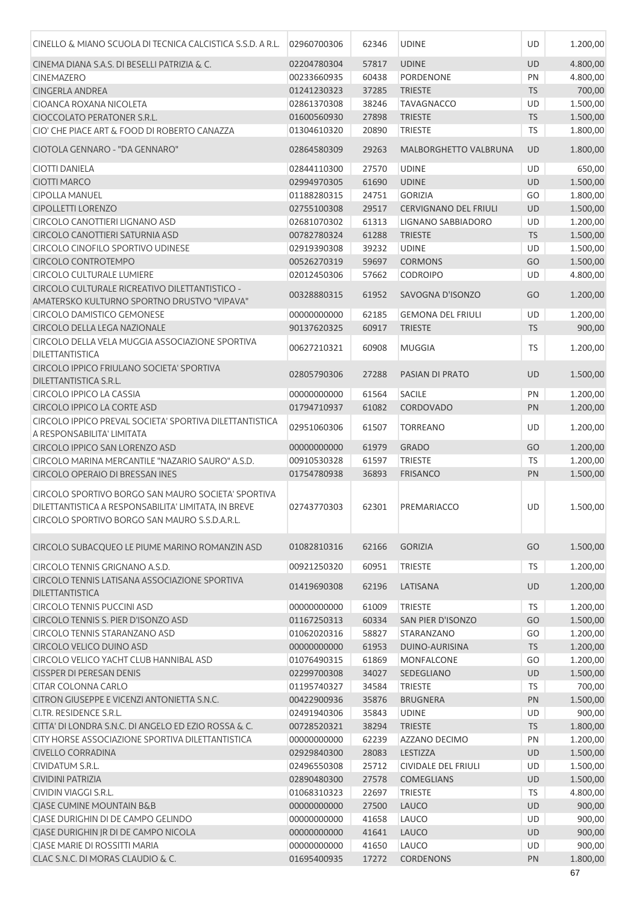| CINELLO & MIANO SCUOLA DI TECNICA CALCISTICA S.S.D. A R.L.                                                                                                  | 02960700306 | 62346 | <b>UDINE</b>                 | UD        | 1.200,00 |
|-------------------------------------------------------------------------------------------------------------------------------------------------------------|-------------|-------|------------------------------|-----------|----------|
| CINEMA DIANA S.A.S. DI BESELLI PATRIZIA & C.                                                                                                                | 02204780304 | 57817 | <b>UDINE</b>                 | <b>UD</b> | 4.800,00 |
| CINEMAZERO                                                                                                                                                  | 00233660935 | 60438 | <b>PORDENONE</b>             | PN        | 4.800,00 |
| <b>CINGERLA ANDREA</b>                                                                                                                                      | 01241230323 | 37285 | <b>TRIESTE</b>               | <b>TS</b> | 700,00   |
| CIOANCA ROXANA NICOLETA                                                                                                                                     | 02861370308 | 38246 | <b>TAVAGNACCO</b>            | UD        | 1.500,00 |
| CIOCCOLATO PERATONER S.R.L.                                                                                                                                 | 01600560930 | 27898 | <b>TRIESTE</b>               | <b>TS</b> | 1.500,00 |
| CIO' CHE PIACE ART & FOOD DI ROBERTO CANAZZA                                                                                                                | 01304610320 | 20890 | <b>TRIESTE</b>               | <b>TS</b> | 1.800,00 |
| CIOTOLA GENNARO - "DA GENNARO"                                                                                                                              | 02864580309 | 29263 | <b>MALBORGHETTO VALBRUNA</b> | <b>UD</b> | 1.800,00 |
| <b>CIOTTI DANIELA</b>                                                                                                                                       | 02844110300 | 27570 | <b>UDINE</b>                 | <b>UD</b> | 650,00   |
| <b>CIOTTI MARCO</b>                                                                                                                                         | 02994970305 | 61690 | <b>UDINE</b>                 | <b>UD</b> | 1.500,00 |
| <b>CIPOLLA MANUEL</b>                                                                                                                                       | 01188280315 | 24751 | <b>GORIZIA</b>               | GO        | 1.800,00 |
| <b>CIPOLLETTI LORENZO</b>                                                                                                                                   | 02755100308 | 29517 | <b>CERVIGNANO DEL FRIULI</b> | <b>UD</b> | 1.500,00 |
| CIRCOLO CANOTTIERI LIGNANO ASD                                                                                                                              | 02681070302 | 61313 | LIGNANO SABBIADORO           | <b>UD</b> | 1.200,00 |
| CIRCOLO CANOTTIERI SATURNIA ASD                                                                                                                             | 00782780324 | 61288 | <b>TRIESTE</b>               | <b>TS</b> | 1.500,00 |
| CIRCOLO CINOFILO SPORTIVO UDINESE                                                                                                                           | 02919390308 | 39232 | <b>UDINE</b>                 | UD        | 1.500,00 |
| <b>CIRCOLO CONTROTEMPO</b>                                                                                                                                  | 00526270319 | 59697 | <b>CORMONS</b>               | GO        | 1.500,00 |
| <b>CIRCOLO CULTURALE LUMIERE</b>                                                                                                                            | 02012450306 | 57662 | <b>CODROIPO</b>              | <b>UD</b> | 4.800,00 |
| CIRCOLO CULTURALE RICREATIVO DILETTANTISTICO -                                                                                                              |             |       |                              |           |          |
| AMATERSKO KULTURNO SPORTNO DRUSTVO "VIPAVA"                                                                                                                 | 00328880315 | 61952 | SAVOGNA D'ISONZO             | GO        | 1.200,00 |
| <b>CIRCOLO DAMISTICO GEMONESE</b>                                                                                                                           | 00000000000 | 62185 | <b>GEMONA DEL FRIULI</b>     | <b>UD</b> | 1.200,00 |
| CIRCOLO DELLA LEGA NAZIONALE                                                                                                                                | 90137620325 | 60917 | <b>TRIESTE</b>               | <b>TS</b> | 900,00   |
| CIRCOLO DELLA VELA MUGGIA ASSOCIAZIONE SPORTIVA<br>DILETTANTISTICA                                                                                          | 00627210321 | 60908 | <b>MUGGIA</b>                | <b>TS</b> | 1.200,00 |
| CIRCOLO IPPICO FRIULANO SOCIETA' SPORTIVA                                                                                                                   | 02805790306 | 27288 | PASIAN DI PRATO              | <b>UD</b> | 1.500,00 |
| DILETTANTISTICA S.R.L.                                                                                                                                      |             |       |                              |           |          |
| <b>CIRCOLO IPPICO LA CASSIA</b>                                                                                                                             | 00000000000 | 61564 | <b>SACILE</b>                | PN        | 1.200,00 |
| <b>CIRCOLO IPPICO LA CORTE ASD</b>                                                                                                                          | 01794710937 | 61082 | <b>CORDOVADO</b>             | PN        | 1.200,00 |
| CIRCOLO IPPICO PREVAL SOCIETA' SPORTIVA DILETTANTISTICA<br>A RESPONSABILITA' LIMITATA                                                                       | 02951060306 | 61507 | <b>TORREANO</b>              | UD        | 1.200,00 |
| CIRCOLO IPPICO SAN LORENZO ASD                                                                                                                              | 00000000000 | 61979 | <b>GRADO</b>                 | GO        | 1.200,00 |
| CIRCOLO MARINA MERCANTILE "NAZARIO SAURO" A.S.D.                                                                                                            | 00910530328 | 61597 | <b>TRIESTE</b>               | TS        | 1.200,00 |
| CIRCOLO OPERAIO DI BRESSAN INES                                                                                                                             | 01754780938 | 36893 | <b>FRISANCO</b>              | PN        | 1.500,00 |
| CIRCOLO SPORTIVO BORGO SAN MAURO SOCIETA' SPORTIVA<br>DILETTANTISTICA A RESPONSABILITA' LIMITATA, IN BREVE<br>CIRCOLO SPORTIVO BORGO SAN MAURO S.S.D.A.R.L. | 02743770303 | 62301 | PREMARIACCO                  | UD        | 1.500,00 |
| CIRCOLO SUBACQUEO LE PIUME MARINO ROMANZIN ASD                                                                                                              | 01082810316 | 62166 | <b>GORIZIA</b>               | GO        | 1.500,00 |
| CIRCOLO TENNIS GRIGNANO A.S.D.                                                                                                                              | 00921250320 | 60951 | <b>TRIESTE</b>               | <b>TS</b> | 1.200,00 |
| CIRCOLO TENNIS LATISANA ASSOCIAZIONE SPORTIVA                                                                                                               |             |       |                              |           |          |
| <b>DILETTANTISTICA</b>                                                                                                                                      | 01419690308 | 62196 | LATISANA                     | <b>UD</b> | 1.200,00 |
| <b>CIRCOLO TENNIS PUCCINI ASD</b>                                                                                                                           | 00000000000 | 61009 | <b>TRIESTE</b>               | <b>TS</b> | 1.200,00 |
| CIRCOLO TENNIS S. PIER D'ISONZO ASD                                                                                                                         | 01167250313 | 60334 | SAN PIER D'ISONZO            | GO        | 1.500,00 |
| CIRCOLO TENNIS STARANZANO ASD                                                                                                                               | 01062020316 | 58827 | STARANZANO                   | GO        | 1.200,00 |
| CIRCOLO VELICO DUINO ASD                                                                                                                                    | 00000000000 | 61953 | DUINO-AURISINA               | <b>TS</b> | 1.200,00 |
| CIRCOLO VELICO YACHT CLUB HANNIBAL ASD                                                                                                                      | 01076490315 | 61869 | MONFALCONE                   | GO        | 1.200,00 |
| CISSPER DI PERESAN DENIS                                                                                                                                    | 02299700308 | 34027 | SEDEGLIANO                   | UD        | 1.500,00 |
| <b>CITAR COLONNA CARLO</b>                                                                                                                                  | 01195740327 | 34584 | <b>TRIESTE</b>               | <b>TS</b> | 700,00   |
| CITRON GIUSEPPE E VICENZI ANTONIETTA S.N.C.                                                                                                                 | 00422900936 | 35876 | <b>BRUGNERA</b>              | PN        | 1.500,00 |
| CI.TR. RESIDENCE S.R.L.                                                                                                                                     | 02491940306 | 35843 | <b>UDINE</b>                 | UD        | 900,00   |
| CITTA' DI LONDRA S.N.C. DI ANGELO ED EZIO ROSSA & C.                                                                                                        | 00728520321 | 38294 | <b>TRIESTE</b>               | <b>TS</b> | 1.800,00 |
| CITY HORSE ASSOCIAZIONE SPORTIVA DILETTANTISTICA                                                                                                            | 00000000000 | 62239 | AZZANO DECIMO                | PN        | 1.200,00 |
| <b>CIVELLO CORRADINA</b>                                                                                                                                    | 02929840300 | 28083 | LESTIZZA                     | <b>UD</b> | 1.500,00 |
| CIVIDATUM S.R.L.                                                                                                                                            | 02496550308 | 25712 | <b>CIVIDALE DEL FRIULI</b>   | <b>UD</b> | 1.500,00 |
| <b>CIVIDINI PATRIZIA</b>                                                                                                                                    | 02890480300 | 27578 | <b>COMEGLIANS</b>            | UD        | 1.500,00 |
| CIVIDIN VIAGGI S.R.L.                                                                                                                                       | 01068310323 | 22697 | <b>TRIESTE</b>               | <b>TS</b> | 4.800,00 |
| CJASE CUMINE MOUNTAIN B&B                                                                                                                                   | 00000000000 | 27500 | LAUCO                        | <b>UD</b> | 900,00   |
| CJASE DURIGHIN DI DE CAMPO GELINDO                                                                                                                          | 00000000000 | 41658 | LAUCO                        | UD        | 900,00   |
| CJASE DURIGHIN JR DI DE CAMPO NICOLA                                                                                                                        | 00000000000 | 41641 | LAUCO                        | <b>UD</b> | 900,00   |
| CJASE MARIE DI ROSSITTI MARIA                                                                                                                               | 00000000000 | 41650 | LAUCO                        | UD        | 900,00   |
| CLAC S.N.C. DI MORAS CLAUDIO & C.                                                                                                                           | 01695400935 | 17272 | <b>CORDENONS</b>             | PN        | 1.800,00 |
|                                                                                                                                                             |             |       |                              |           | 67       |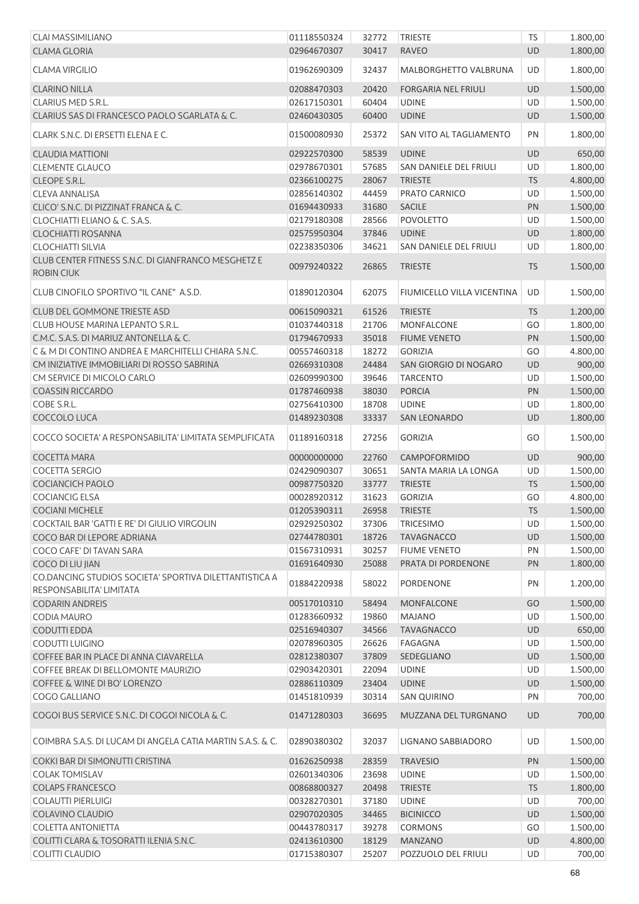| <b>CLAI MASSIMILIANO</b>                                                           | 01118550324 | 32772 | <b>TRIESTE</b>                | <b>TS</b> | 1.800,00 |
|------------------------------------------------------------------------------------|-------------|-------|-------------------------------|-----------|----------|
| <b>CLAMA GLORIA</b>                                                                | 02964670307 | 30417 | <b>RAVEO</b>                  | <b>UD</b> | 1.800,00 |
| <b>CLAMA VIRGILIO</b>                                                              | 01962690309 | 32437 | <b>MALBORGHETTO VALBRUNA</b>  | UD        | 1.800,00 |
|                                                                                    |             |       |                               |           |          |
| <b>CLARINO NILLA</b>                                                               | 02088470303 | 20420 | <b>FORGARIA NEL FRIULI</b>    | <b>UD</b> | 1.500,00 |
| CLARIUS MED S.R.L.                                                                 | 02617150301 | 60404 | <b>UDINE</b>                  | UD        | 1.500,00 |
| CLARIUS SAS DI FRANCESCO PAOLO SGARLATA & C.                                       | 02460430305 | 60400 | <b>UDINE</b>                  | <b>UD</b> | 1.500,00 |
| CLARK S.N.C. DI ERSETTI ELENA E C.                                                 | 01500080930 | 25372 | SAN VITO AL TAGLIAMENTO       | PN        | 1.800,00 |
| <b>CLAUDIA MATTIONI</b>                                                            | 02922570300 | 58539 | <b>UDINE</b>                  | <b>UD</b> | 650,00   |
| <b>CLEMENTE GLAUCO</b>                                                             | 02978670301 | 57685 | SAN DANIELE DEL FRIULI        | UD        | 1.800,00 |
| CLEOPE S.R.L.                                                                      | 02366100275 | 28067 | <b>TRIESTE</b>                | <b>TS</b> | 4.800,00 |
| <b>CLEVA ANNALISA</b>                                                              | 02856140302 | 44459 | PRATO CARNICO                 | <b>UD</b> | 1.500,00 |
| CLICO' S.N.C. DI PIZZINAT FRANCA & C.                                              | 01694430933 | 31680 | <b>SACILE</b>                 | PN        | 1.500,00 |
| CLOCHIATTI ELIANO & C. S.A.S.                                                      | 02179180308 | 28566 | <b>POVOLETTO</b>              | <b>UD</b> | 1.500,00 |
| <b>CLOCHIATTI ROSANNA</b>                                                          | 02575950304 | 37846 | <b>UDINE</b>                  | UD        | 1.800,00 |
| <b>CLOCHIATTI SILVIA</b>                                                           | 02238350306 | 34621 | <b>SAN DANIELE DEL FRIULI</b> | UD        | 1.800,00 |
| CLUB CENTER FITNESS S.N.C. DI GIANFRANCO MESGHETZ E<br><b>ROBIN CIUK</b>           | 00979240322 | 26865 | <b>TRIESTE</b>                | <b>TS</b> | 1.500,00 |
| CLUB CINOFILO SPORTIVO "IL CANE" A.S.D.                                            | 01890120304 | 62075 | FIUMICELLO VILLA VICENTINA    | UD        | 1.500,00 |
|                                                                                    |             |       |                               |           |          |
| <b>CLUB DEL GOMMONE TRIESTE ASD</b>                                                | 00615090321 | 61526 | <b>TRIESTE</b>                | <b>TS</b> | 1.200,00 |
| CLUB HOUSE MARINA LEPANTO S.R.L.                                                   | 01037440318 | 21706 | <b>MONFALCONE</b>             | GO        | 1.800,00 |
| C.M.C. S.A.S. DI MARIUZ ANTONELLA & C.                                             | 01794670933 | 35018 | <b>FIUME VENETO</b>           | PN        | 1.500,00 |
| C & M DI CONTINO ANDREA E MARCHITELLI CHIARA S.N.C.                                | 00557460318 | 18272 | <b>GORIZIA</b>                | GO        | 4.800,00 |
| CM INIZIATIVE IMMOBILIARI DI ROSSO SABRINA                                         | 02669310308 | 24484 | SAN GIORGIO DI NOGARO         | <b>UD</b> | 900,00   |
| CM SERVICE DI MICOLO CARLO                                                         | 02609990300 | 39646 | <b>TARCENTO</b>               | UD        | 1.500,00 |
| <b>COASSIN RICCARDO</b>                                                            | 01787460938 | 38030 | <b>PORCIA</b>                 | PN        | 1.500,00 |
| COBE S.R.L.                                                                        | 02756410300 | 18708 | <b>UDINE</b>                  | UD        | 1.800,00 |
| COCCOLO LUCA                                                                       | 01489230308 | 33337 | <b>SAN LEONARDO</b>           | <b>UD</b> | 1.800,00 |
| COCCO SOCIETA' A RESPONSABILITA' LIMITATA SEMPLIFICATA                             | 01189160318 | 27256 | <b>GORIZIA</b>                | GO        | 1.500,00 |
|                                                                                    |             |       |                               |           |          |
| <b>COCETTA MARA</b>                                                                | 00000000000 | 22760 | <b>CAMPOFORMIDO</b>           | <b>UD</b> | 900,00   |
| <b>COCETTA SERGIO</b>                                                              | 02429090307 | 30651 | SANTA MARIA LA LONGA          | UD        | 1.500,00 |
| <b>COCIANCICH PAOLO</b>                                                            | 00987750320 | 33777 | <b>TRIESTE</b>                | <b>TS</b> | 1.500,00 |
| <b>COCIANCIG ELSA</b>                                                              | 00028920312 | 31623 | <b>GORIZIA</b>                | GO        | 4.800,00 |
| <b>COCIANI MICHELE</b>                                                             | 01205390311 | 26958 | TRIESTE                       | <b>TS</b> | 1.500,00 |
| COCKTAIL BAR 'GATTI E RE' DI GIULIO VIRGOLIN                                       | 02929250302 | 37306 | <b>TRICESIMO</b>              | UD        | 1.500,00 |
| COCO BAR DI LEPORE ADRIANA                                                         | 02744780301 | 18726 | <b>TAVAGNACCO</b>             | <b>UD</b> | 1.500,00 |
| COCO CAFE' DI TAVAN SARA                                                           | 01567310931 | 30257 | <b>FIUME VENETO</b>           | PN        | 1.500,00 |
| COCO DI LIU JIAN                                                                   | 01691640930 | 25088 | PRATA DI PORDENONE            | <b>PN</b> | 1.800,00 |
| CO.DANCING STUDIOS SOCIETA' SPORTIVA DILETTANTISTICA A<br>RESPONSABILITA' LIMITATA | 01884220938 | 58022 | <b>PORDENONE</b>              | PN        | 1.200,00 |
| <b>CODARIN ANDREIS</b>                                                             | 00517010310 | 58494 | <b>MONFALCONE</b>             | GO        | 1.500,00 |
| CODIA MAURO                                                                        | 01283660932 | 19860 | <b>MAJANO</b>                 | UD        | 1.500,00 |
| <b>CODUTTI EDDA</b>                                                                | 02516940307 | 34566 | <b>TAVAGNACCO</b>             | <b>UD</b> | 650,00   |
| CODUTTI LUIGINO                                                                    | 02078960305 | 26626 | <b>FAGAGNA</b>                | UD        | 1.500,00 |
| COFFEE BAR IN PLACE DI ANNA CIAVARELLA                                             | 02812380307 | 37809 | SEDEGLIANO                    | UD        | 1.500,00 |
| COFFEE BREAK DI BELLOMONTE MAURIZIO                                                | 02903420301 | 22094 | <b>UDINE</b>                  | <b>UD</b> | 1.500,00 |
| <b>COFFEE &amp; WINE DI BO' LORENZO</b>                                            | 02886110309 | 23404 | <b>UDINE</b>                  | UD        | 1.500,00 |
| COGO GALLIANO                                                                      | 01451810939 | 30314 | <b>SAN QUIRINO</b>            | PN        | 700,00   |
|                                                                                    |             |       |                               |           |          |
| COGOI BUS SERVICE S.N.C. DI COGOI NICOLA & C.                                      | 01471280303 | 36695 | MUZZANA DEL TURGNANO          | <b>UD</b> | 700,00   |
| COIMBRA S.A.S. DI LUCAM DI ANGELA CATIA MARTIN S.A.S. & C.                         | 02890380302 | 32037 | LIGNANO SABBIADORO            | UD        | 1.500,00 |
| COKKI BAR DI SIMONUTTI CRISTINA                                                    | 01626250938 | 28359 | <b>TRAVESIO</b>               | PN        | 1.500,00 |
| <b>COLAK TOMISLAV</b>                                                              | 02601340306 | 23698 | <b>UDINE</b>                  | UD        | 1.500,00 |
| <b>COLAPS FRANCESCO</b>                                                            | 00868800327 | 20498 | <b>TRIESTE</b>                | TS        | 1.800,00 |
| <b>COLAUTTI PIERLUIGI</b>                                                          | 00328270301 | 37180 | <b>UDINE</b>                  | UD        | 700,00   |
| <b>COLAVINO CLAUDIO</b>                                                            | 02907020305 | 34465 | <b>BICINICCO</b>              | UD        | 1.500,00 |
| <b>COLETTA ANTONIETTA</b>                                                          | 00443780317 | 39278 | <b>CORMONS</b>                | GO        | 1.500,00 |
| COLITTI CLARA & TOSORATTI ILENIA S.N.C.                                            | 02413610300 | 18129 | <b>MANZANO</b>                | <b>UD</b> | 4.800,00 |
| <b>COLITTI CLAUDIO</b>                                                             | 01715380307 | 25207 | POZZUOLO DEL FRIULI           | UD        | 700,00   |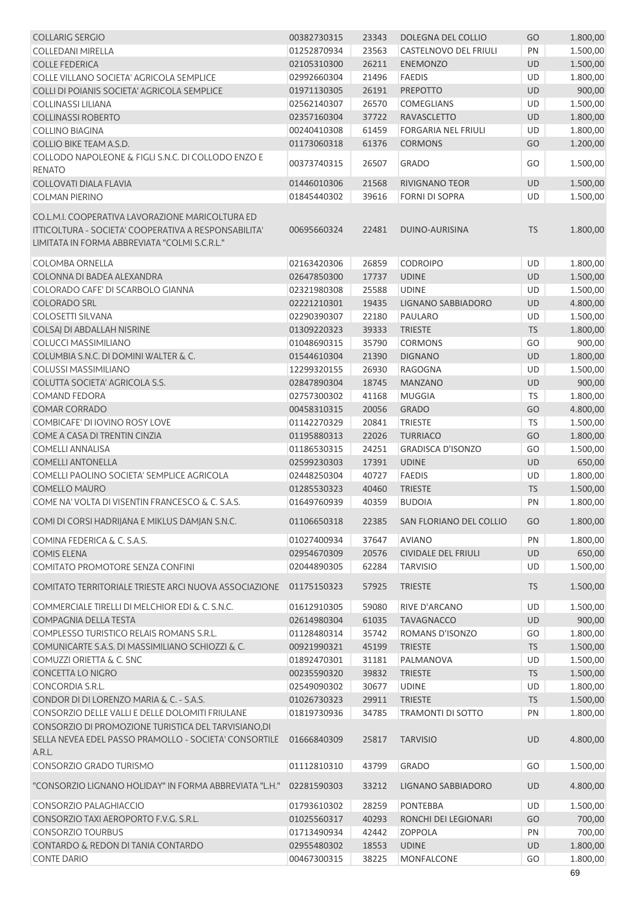| <b>COLLARIG SERGIO</b>                                                                                        | 00382730315 | 23343 | DOLEGNA DEL COLLIO         | GO        | 1.800,00 |
|---------------------------------------------------------------------------------------------------------------|-------------|-------|----------------------------|-----------|----------|
| <b>COLLEDANI MIRELLA</b>                                                                                      | 01252870934 | 23563 | CASTELNOVO DEL FRIULI      | PN        | 1.500,00 |
| <b>COLLE FEDERICA</b>                                                                                         | 02105310300 | 26211 | <b>ENEMONZO</b>            | UD        | 1.500,00 |
| COLLE VILLANO SOCIETA' AGRICOLA SEMPLICE                                                                      | 02992660304 | 21496 | <b>FAEDIS</b>              | UD        | 1.800,00 |
| COLLI DI POIANIS SOCIETA' AGRICOLA SEMPLICE                                                                   | 01971130305 | 26191 | <b>PREPOTTO</b>            | <b>UD</b> | 900,00   |
| <b>COLLINASSI LILIANA</b>                                                                                     | 02562140307 | 26570 | COMEGLIANS                 | <b>UD</b> | 1.500,00 |
| <b>COLLINASSI ROBERTO</b>                                                                                     | 02357160304 | 37722 | <b>RAVASCLETTO</b>         | <b>UD</b> | 1.800,00 |
| <b>COLLINO BIAGINA</b>                                                                                        | 00240410308 | 61459 | <b>FORGARIA NEL FRIULI</b> | <b>UD</b> | 1.800,00 |
| COLLIO BIKE TEAM A.S.D.                                                                                       | 01173060318 | 61376 | <b>CORMONS</b>             | GO        | 1.200,00 |
| COLLODO NAPOLEONE & FIGLI S.N.C. DI COLLODO ENZO E                                                            | 00373740315 | 26507 | <b>GRADO</b>               | GO        | 1.500,00 |
| <b>RENATO</b>                                                                                                 |             |       |                            |           |          |
| COLLOVATI DIALA FLAVIA                                                                                        | 01446010306 | 21568 | <b>RIVIGNANO TEOR</b>      | UD        | 1.500,00 |
| <b>COLMAN PIERINO</b>                                                                                         | 01845440302 | 39616 | <b>FORNI DI SOPRA</b>      | <b>UD</b> | 1.500,00 |
| CO.L.M.I. COOPERATIVA LAVORAZIONE MARICOLTURA ED                                                              |             |       |                            |           |          |
| ITTICOLTURA - SOCIETA' COOPERATIVA A RESPONSABILITA'<br>LIMITATA IN FORMA ABBREVIATA "COLMI S.C.R.L."         | 00695660324 | 22481 | DUINO-AURISINA             | <b>TS</b> | 1.800,00 |
| COLOMBA ORNELLA                                                                                               | 02163420306 | 26859 | <b>CODROIPO</b>            | UD        | 1.800,00 |
| COLONNA DI BADEA ALEXANDRA                                                                                    | 02647850300 | 17737 | <b>UDINE</b>               | UD        | 1.500,00 |
| COLORADO CAFE' DI SCARBOLO GIANNA                                                                             | 02321980308 | 25588 | <b>UDINE</b>               | UD        | 1.500,00 |
| <b>COLORADO SRL</b>                                                                                           | 02221210301 | 19435 | LIGNANO SABBIADORO         | <b>UD</b> | 4.800,00 |
| COLOSETTI SILVANA                                                                                             | 02290390307 | 22180 | PAULARO                    | UD        | 1.500,00 |
| COLSAJ DI ABDALLAH NISRINE                                                                                    | 01309220323 | 39333 | <b>TRIESTE</b>             | <b>TS</b> | 1.800,00 |
| <b>COLUCCI MASSIMILIANO</b>                                                                                   | 01048690315 | 35790 | <b>CORMONS</b>             | GO        | 900,00   |
| COLUMBIA S.N.C. DI DOMINI WALTER & C.                                                                         | 01544610304 | 21390 | <b>DIGNANO</b>             | <b>UD</b> | 1.800,00 |
| COLUSSI MASSIMILIANO                                                                                          | 12299320155 | 26930 | RAGOGNA                    | <b>UD</b> | 1.500,00 |
| COLUTTA SOCIETA' AGRICOLA S.S.                                                                                | 02847890304 | 18745 | <b>MANZANO</b>             | UD        | 900,00   |
| <b>COMAND FEDORA</b>                                                                                          | 02757300302 | 41168 | <b>MUGGIA</b>              | <b>TS</b> | 1.800,00 |
| <b>COMAR CORRADO</b>                                                                                          | 00458310315 | 20056 | <b>GRADO</b>               | GO        | 4.800,00 |
| COMBICAFE' DI IOVINO ROSY LOVE                                                                                | 01142270329 | 20841 | <b>TRIESTE</b>             | <b>TS</b> | 1.500,00 |
| COME A CASA DI TRENTIN CINZIA                                                                                 | 01195880313 | 22026 | <b>TURRIACO</b>            | GO        | 1.800,00 |
| <b>COMELLI ANNALISA</b>                                                                                       | 01186530315 | 24251 | <b>GRADISCA D'ISONZO</b>   | GO        | 1.500,00 |
| <b>COMELLI ANTONELLA</b>                                                                                      | 02599230303 | 17391 | <b>UDINE</b>               | UD        | 650,00   |
| COMELLI PAOLINO SOCIETA' SEMPLICE AGRICOLA                                                                    | 02448250304 | 40727 | <b>FAEDIS</b>              | UD        | 1.800,00 |
| <b>COMELLO MAURO</b>                                                                                          | 01285530323 | 40460 | <b>TRIESTE</b>             | <b>TS</b> | 1.500,00 |
| COME NA' VOLTA DI VISENTIN FRANCESCO & C. S.A.S.                                                              | 01649760939 | 40359 | <b>BUDOIA</b>              | PN        | 1.800,00 |
|                                                                                                               |             |       | SAN FLORIANO DEL COLLIO    |           |          |
| COMI DI CORSI HADRIJANA E MIKLUS DAMJAN S.N.C.                                                                | 01106650318 | 22385 |                            | GO        | 1.800,00 |
| COMINA FEDERICA & C. S.A.S.                                                                                   | 01027400934 | 37647 | <b>AVIANO</b>              | PN        | 1.800,00 |
| <b>COMIS ELENA</b>                                                                                            | 02954670309 | 20576 | <b>CIVIDALE DEL FRIULI</b> | <b>UD</b> | 650,00   |
| <b>COMITATO PROMOTORE SENZA CONFINI</b>                                                                       | 02044890305 | 62284 | <b>TARVISIO</b>            | UD        | 1.500,00 |
| COMITATO TERRITORIALE TRIESTE ARCI NUOVA ASSOCIAZIONE                                                         | 01175150323 | 57925 | <b>TRIESTE</b>             | <b>TS</b> | 1.500,00 |
| COMMERCIALE TIRELLI DI MELCHIOR EDI & C. S.N.C.                                                               | 01612910305 | 59080 | RIVE D'ARCANO              | UD        | 1.500,00 |
| COMPAGNIA DELLA TESTA                                                                                         | 02614980304 | 61035 | <b>TAVAGNACCO</b>          | <b>UD</b> | 900,00   |
| COMPLESSO TURISTICO RELAIS ROMANS S.R.L.                                                                      | 01128480314 | 35742 | ROMANS D'ISONZO            | GO        | 1.800,00 |
| COMUNICARTE S.A.S. DI MASSIMILIANO SCHIOZZI & C.                                                              | 00921990321 | 45199 | <b>TRIESTE</b>             | <b>TS</b> | 1.500,00 |
| COMUZZI ORIETTA & C. SNC                                                                                      | 01892470301 | 31181 | PALMANOVA                  | UD        | 1.500,00 |
| CONCETTA LO NIGRO                                                                                             | 00235590320 | 39832 | <b>TRIESTE</b>             | <b>TS</b> | 1.500,00 |
| CONCORDIA S.R.L.                                                                                              | 02549090302 | 30677 | <b>UDINE</b>               | UD        | 1.800,00 |
| CONDOR DI DI LORENZO MARIA & C. - S.A.S.                                                                      | 01026730323 | 29911 | <b>TRIESTE</b>             | <b>TS</b> | 1.500,00 |
| CONSORZIO DELLE VALLI E DELLE DOLOMITI FRIULANE                                                               | 01819730936 | 34785 | TRAMONTI DI SOTTO          | PN        | 1.800,00 |
| CONSORZIO DI PROMOZIONE TURISTICA DEL TARVISIANO, DI<br>SELLA NEVEA EDEL PASSO PRAMOLLO - SOCIETA' CONSORTILE | 01666840309 | 25817 | <b>TARVISIO</b>            | <b>UD</b> | 4.800,00 |
| A.R.L.                                                                                                        |             |       |                            |           |          |
| CONSORZIO GRADO TURISMO                                                                                       | 01112810310 | 43799 | <b>GRADO</b>               | GO        | 1.500,00 |
| "CONSORZIO LIGNANO HOLIDAY" IN FORMA ABBREVIATA "L.H."                                                        | 02281590303 | 33212 | LIGNANO SABBIADORO         | <b>UD</b> | 4.800,00 |
| CONSORZIO PALAGHIACCIO                                                                                        | 01793610302 | 28259 | <b>PONTEBBA</b>            | <b>UD</b> | 1.500,00 |
| CONSORZIO TAXI AEROPORTO F.V.G. S.R.L.                                                                        | 01025560317 | 40293 | RONCHI DEI LEGIONARI       | GO        | 700,00   |
| <b>CONSORZIO TOURBUS</b>                                                                                      | 01713490934 | 42442 | ZOPPOLA                    | PN        | 700,00   |
| CONTARDO & REDON DI TANIA CONTARDO                                                                            | 02955480302 | 18553 | <b>UDINE</b>               | <b>UD</b> | 1.800,00 |
| <b>CONTE DARIO</b>                                                                                            | 00467300315 | 38225 | MONFALCONE                 | GO        | 1.800,00 |
|                                                                                                               |             |       |                            |           | 69       |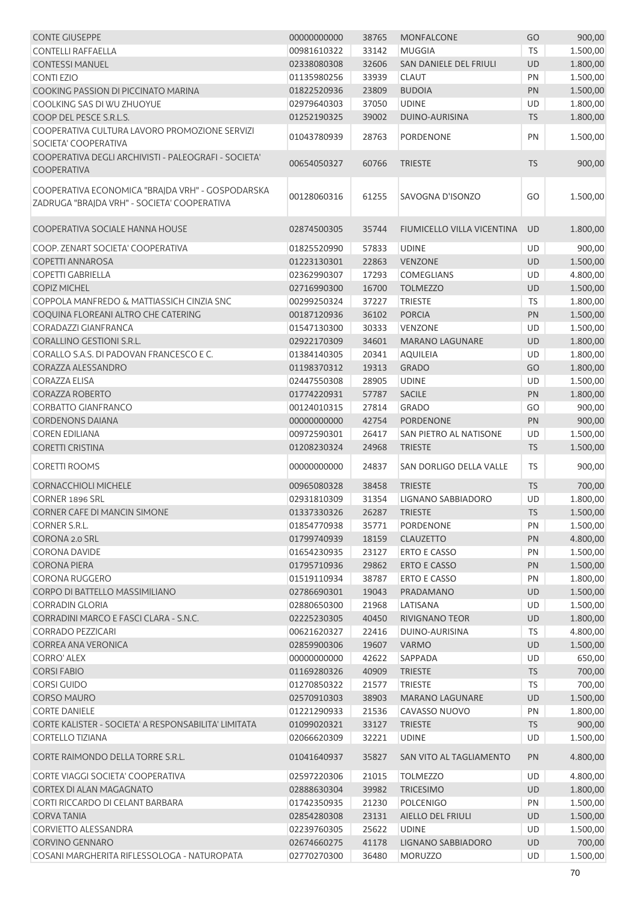| <b>CONTE GIUSEPPE</b>                                | 00000000000 | 38765 | <b>MONFALCONE</b>          | GO        | 900,00   |
|------------------------------------------------------|-------------|-------|----------------------------|-----------|----------|
| <b>CONTELLI RAFFAELLA</b>                            | 00981610322 | 33142 | <b>MUGGIA</b>              | <b>TS</b> | 1.500,00 |
| <b>CONTESSI MANUEL</b>                               | 02338080308 | 32606 | SAN DANIELE DEL FRIULI     | <b>UD</b> | 1.800,00 |
| <b>CONTIEZIO</b>                                     | 01135980256 | 33939 | <b>CLAUT</b>               | PN        | 1.500,00 |
| COOKING PASSION DI PICCINATO MARINA                  | 01822520936 | 23809 | <b>BUDOIA</b>              | <b>PN</b> | 1.500,00 |
| COOLKING SAS DI WU ZHUOYUE                           | 02979640303 | 37050 | <b>UDINE</b>               | UD        | 1.800,00 |
| COOP DEL PESCE S.R.L.S.                              | 01252190325 | 39002 | DUINO-AURISINA             | <b>TS</b> | 1.800,00 |
| COOPERATIVA CULTURA LAVORO PROMOZIONE SERVIZI        |             |       |                            |           |          |
| SOCIETA' COOPERATIVA                                 | 01043780939 | 28763 | PORDENONE                  | PN        | 1.500,00 |
| COOPERATIVA DEGLI ARCHIVISTI - PALEOGRAFI - SOCIETA' |             |       |                            |           |          |
| <b>COOPERATIVA</b>                                   | 00654050327 | 60766 | <b>TRIESTE</b>             | <b>TS</b> | 900,00   |
|                                                      |             |       |                            |           |          |
| COOPERATIVA ECONOMICA "BRAJDA VRH" - GOSPODARSKA     | 00128060316 | 61255 | SAVOGNA D'ISONZO           | GO        | 1.500,00 |
| ZADRUGA "BRAJDA VRH" - SOCIETA' COOPERATIVA          |             |       |                            |           |          |
|                                                      |             |       |                            |           |          |
| COOPERATIVA SOCIALE HANNA HOUSE                      | 02874500305 | 35744 | FIUMICELLO VILLA VICENTINA | <b>UD</b> | 1.800,00 |
| COOP. ZENART SOCIETA' COOPERATIVA                    | 01825520990 | 57833 | <b>UDINE</b>               | UD        | 900,00   |
| <b>COPETTI ANNAROSA</b>                              | 01223130301 | 22863 | <b>VENZONE</b>             | <b>UD</b> | 1.500,00 |
| <b>COPETTI GABRIELLA</b>                             | 02362990307 | 17293 | <b>COMEGLIANS</b>          | UD        | 4.800,00 |
| <b>COPIZ MICHEL</b>                                  | 02716990300 | 16700 | <b>TOLMEZZO</b>            | UD        | 1.500,00 |
| COPPOLA MANFREDO & MATTIASSICH CINZIA SNC            | 00299250324 | 37227 | <b>TRIESTE</b>             | <b>TS</b> | 1.800,00 |
| COQUINA FLOREANI ALTRO CHE CATERING                  | 00187120936 | 36102 | <b>PORCIA</b>              | PN        | 1.500,00 |
| <b>CORADAZZI GIANFRANCA</b>                          | 01547130300 | 30333 | <b>VENZONE</b>             | UD        | 1.500,00 |
| <b>CORALLINO GESTIONI S.R.L.</b>                     | 02922170309 | 34601 | <b>MARANO LAGUNARE</b>     | <b>UD</b> | 1.800,00 |
| CORALLO S.A.S. DI PADOVAN FRANCESCO E C.             | 01384140305 | 20341 | <b>AQUILEIA</b>            | UD        | 1.800,00 |
| CORAZZA ALESSANDRO                                   | 01198370312 | 19313 | <b>GRADO</b>               | GO        | 1.800,00 |
| <b>CORAZZA ELISA</b>                                 | 02447550308 | 28905 | <b>UDINE</b>               | UD        | 1.500,00 |
| <b>CORAZZA ROBERTO</b>                               | 01774220931 | 57787 | <b>SACILE</b>              | PN        | 1.800,00 |
| <b>CORBATTO GIANFRANCO</b>                           | 00124010315 | 27814 | <b>GRADO</b>               | GO        | 900,00   |
|                                                      |             |       |                            |           |          |
| <b>CORDENONS DAIANA</b>                              | 00000000000 | 42754 | <b>PORDENONE</b>           | PN        | 900,00   |
| <b>COREN EDILIANA</b>                                | 00972590301 | 26417 | SAN PIETRO AL NATISONE     | UD        | 1.500,00 |
| <b>CORETTI CRISTINA</b>                              | 01208230324 | 24968 | <b>TRIESTE</b>             | <b>TS</b> | 1.500,00 |
| <b>CORETTI ROOMS</b>                                 | 00000000000 | 24837 | SAN DORLIGO DELLA VALLE    | <b>TS</b> | 900,00   |
| <b>CORNACCHIOLI MICHELE</b>                          | 00965080328 | 38458 | <b>TRIESTE</b>             | <b>TS</b> | 700,00   |
| CORNER 1896 SRL                                      | 02931810309 | 31354 | <b>LIGNANO SABBIADORO</b>  | UD        | 1.800,00 |
| <b>CORNER CAFE DI MANCIN SIMONE</b>                  | 01337330326 | 26287 | <b>TRIESTE</b>             | <b>TS</b> | 1.500,00 |
| <b>CORNER S.R.L.</b>                                 | 01854770938 | 35771 | PORDENONE                  | PN        | 1.500,00 |
| CORONA 2.0 SRL                                       | 01799740939 | 18159 | <b>CLAUZETTO</b>           | PN        | 4.800,00 |
| <b>CORONA DAVIDE</b>                                 | 01654230935 |       | <b>ERTO E CASSO</b>        | PN        | 1.500,00 |
|                                                      |             | 23127 | <b>ERTO E CASSO</b>        |           |          |
| <b>CORONA PIERA</b>                                  | 01795710936 | 29862 |                            | PN        | 1.500,00 |
| <b>CORONA RUGGERO</b>                                | 01519110934 | 38787 | ERTO E CASSO               | PN        | 1.800,00 |
| CORPO DI BATTELLO MASSIMILIANO                       | 02786690301 | 19043 | PRADAMANO                  | UD        | 1.500,00 |
| <b>CORRADIN GLORIA</b>                               | 02880650300 | 21968 | LATISANA                   | UD        | 1.500,00 |
| CORRADINI MARCO E FASCI CLARA - S.N.C.               | 02225230305 | 40450 | <b>RIVIGNANO TEOR</b>      | UD        | 1.800,00 |
| CORRADO PEZZICARI                                    | 00621620327 | 22416 | DUINO-AURISINA             | <b>TS</b> | 4.800,00 |
| CORREA ANA VERONICA                                  | 02859900306 | 19607 | VARMO                      | UD        | 1.500,00 |
| <b>CORRO' ALEX</b>                                   | 00000000000 | 42622 | SAPPADA                    | UD        | 650,00   |
| <b>CORSIFABIO</b>                                    | 01169280326 | 40909 | <b>TRIESTE</b>             | <b>TS</b> | 700,00   |
| <b>CORSI GUIDO</b>                                   | 01270850322 | 21577 | <b>TRIESTE</b>             | <b>TS</b> | 700,00   |
| CORSO MAURO                                          | 02570910303 | 38903 | <b>MARANO LAGUNARE</b>     | UD        | 1.500,00 |
| <b>CORTE DANIELE</b>                                 | 01221290933 | 21536 | CAVASSO NUOVO              | PN        | 1.800,00 |
| CORTE KALISTER - SOCIETA' A RESPONSABILITA' LIMITATA | 01099020321 | 33127 | <b>TRIESTE</b>             | <b>TS</b> | 900,00   |
| <b>CORTELLO TIZIANA</b>                              | 02066620309 | 32221 | <b>UDINE</b>               | UD        | 1.500,00 |
| CORTE RAIMONDO DELLA TORRE S.R.L.                    | 01041640937 | 35827 | SAN VITO AL TAGLIAMENTO    | <b>PN</b> | 4.800,00 |
| CORTE VIAGGI SOCIETA' COOPERATIVA                    | 02597220306 | 21015 | <b>TOLMEZZO</b>            | UD        | 4.800,00 |
| CORTEX DI ALAN MAGAGNATO                             | 02888630304 | 39982 | <b>TRICESIMO</b>           | UD        | 1.800,00 |
| CORTI RICCARDO DI CELANT BARBARA                     | 01742350935 | 21230 | <b>POLCENIGO</b>           | PN        | 1.500,00 |
| <b>CORVATANIA</b>                                    | 02854280308 | 23131 | AIELLO DEL FRIULI          | <b>UD</b> | 1.500,00 |
| CORVIETTO ALESSANDRA                                 | 02239760305 | 25622 | <b>UDINE</b>               | UD        | 1.500,00 |
| CORVINO GENNARO                                      | 02674660275 | 41178 | LIGNANO SABBIADORO         | UD        | 700,00   |
| COSANI MARGHERITA RIFLESSOLOGA - NATUROPATA          | 02770270300 | 36480 | <b>MORUZZO</b>             | <b>UD</b> | 1.500,00 |
|                                                      |             |       |                            |           |          |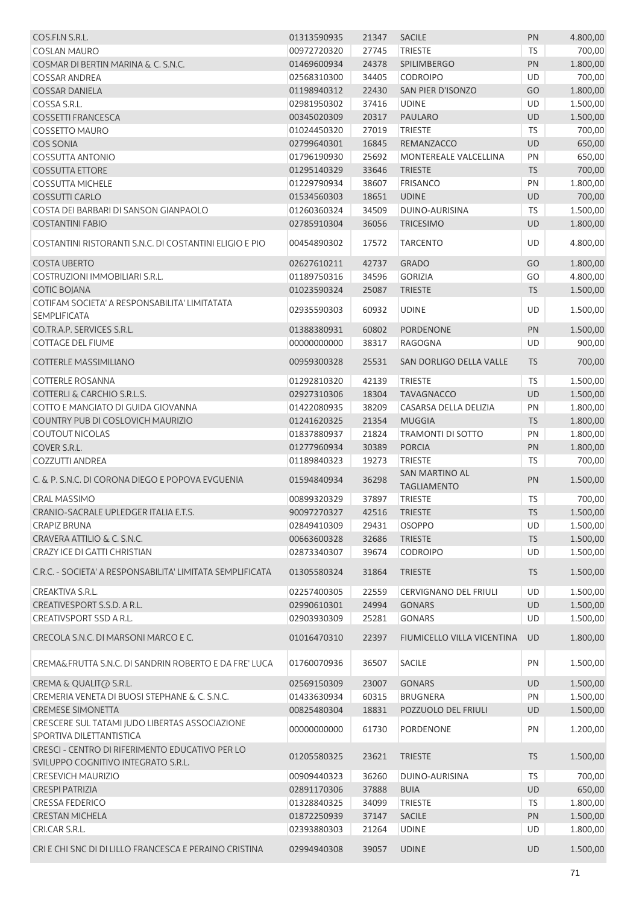| COS.FI.N S.R.L.                                                                        | 01313590935       | 21347 | <b>SACILE</b>                           | PN        | 4.800,00 |
|----------------------------------------------------------------------------------------|-------------------|-------|-----------------------------------------|-----------|----------|
| <b>COSLAN MAURO</b>                                                                    | 00972720320       | 27745 | <b>TRIESTE</b>                          | <b>TS</b> | 700,00   |
| COSMAR DI BERTIN MARINA & C. S.N.C.                                                    | 01469600934       | 24378 | SPILIMBERGO                             | PN        | 1.800,00 |
| <b>COSSAR ANDREA</b>                                                                   | 02568310300       | 34405 | <b>CODROIPO</b>                         | <b>UD</b> | 700,00   |
| <b>COSSAR DANIELA</b>                                                                  | 01198940312       | 22430 | SAN PIER D'ISONZO                       | GO        | 1.800,00 |
| COSSA S.R.L.                                                                           | 02981950302       | 37416 | <b>UDINE</b>                            | <b>UD</b> | 1.500,00 |
| <b>COSSETTI FRANCESCA</b>                                                              | 00345020309       | 20317 | <b>PAULARO</b>                          | <b>UD</b> | 1.500,00 |
| <b>COSSETTO MAURO</b>                                                                  | 01024450320       | 27019 | <b>TRIESTE</b>                          | <b>TS</b> | 700,00   |
| <b>COS SONIA</b>                                                                       | 02799640301       | 16845 | REMANZACCO                              | UD        | 650,00   |
| <b>COSSUTTA ANTONIO</b>                                                                | 01796190930       | 25692 | MONTEREALE VALCELLINA                   | PN        | 650,00   |
| <b>COSSUTTA ETTORE</b>                                                                 | 01295140329       | 33646 | <b>TRIESTE</b>                          | <b>TS</b> | 700,00   |
| <b>COSSUTTA MICHELE</b>                                                                | 01229790934       | 38607 | <b>FRISANCO</b>                         | PN        | 1.800,00 |
| COSSUTTI CARLO                                                                         | 01534560303       | 18651 | <b>UDINE</b>                            | <b>UD</b> | 700,00   |
| COSTA DEI BARBARI DI SANSON GIANPAOLO                                                  | 01260360324       | 34509 | DUINO-AURISINA                          | <b>TS</b> | 1.500,00 |
| <b>COSTANTINI FABIO</b>                                                                | 02785910304       | 36056 | <b>TRICESIMO</b>                        | <b>UD</b> | 1.800,00 |
|                                                                                        |                   |       |                                         |           |          |
| COSTANTINI RISTORANTI S.N.C. DI COSTANTINI ELIGIO E PIO                                | 00454890302       | 17572 | <b>TARCENTO</b>                         | UD        | 4.800,00 |
| <b>COSTA UBERTO</b>                                                                    | 02627610211       | 42737 | <b>GRADO</b>                            | GO        | 1.800,00 |
| COSTRUZIONI IMMOBILIARI S.R.L.                                                         | 01189750316       | 34596 | <b>GORIZIA</b>                          | GO        | 4.800,00 |
| <b>COTIC BOJANA</b>                                                                    | 01023590324       | 25087 | <b>TRIESTE</b>                          | <b>TS</b> | 1.500,00 |
| COTIFAM SOCIETA' A RESPONSABILITA' LIMITATATA                                          |                   |       |                                         |           |          |
| <b>SEMPLIFICATA</b>                                                                    | 02935590303       | 60932 | <b>UDINE</b>                            | UD        | 1.500,00 |
| CO.TR.A.P. SERVICES S.R.L.                                                             | 01388380931       | 60802 | <b>PORDENONE</b>                        | PN        | 1.500,00 |
| <b>COTTAGE DEL FIUME</b>                                                               | 00000000000       | 38317 | RAGOGNA                                 | <b>UD</b> | 900,00   |
| COTTERLE MASSIMILIANO                                                                  | 00959300328       | 25531 | SAN DORLIGO DELLA VALLE                 | <b>TS</b> | 700,00   |
| <b>COTTERLE ROSANNA</b>                                                                | 01292810320       | 42139 | <b>TRIESTE</b>                          | TS        | 1.500,00 |
| <b>COTTERLI &amp; CARCHIO S.R.L.S.</b>                                                 | 02927310306       | 18304 | <b>TAVAGNACCO</b>                       | UD        | 1.500,00 |
| COTTO E MANGIATO DI GUIDA GIOVANNA                                                     | 01422080935       | 38209 | CASARSA DELLA DELIZIA                   | PN        | 1.800,00 |
|                                                                                        |                   |       |                                         | <b>TS</b> |          |
| COUNTRY PUB DI COSLOVICH MAURIZIO                                                      | 01241620325       | 21354 | <b>MUGGIA</b>                           |           | 1.800,00 |
| <b>COUTOUT NICOLAS</b>                                                                 | 01837880937       | 21824 | TRAMONTI DI SOTTO                       | PN        | 1.800,00 |
| COVER S.R.L.<br><b>COZZUTTI ANDREA</b>                                                 | 01277960934       | 30389 | <b>PORCIA</b>                           | PN        | 1.800,00 |
|                                                                                        | 01189840323       | 19273 | <b>TRIESTE</b><br><b>SAN MARTINO AL</b> | TS        | 700,00   |
| C. & P. S.N.C. DI CORONA DIEGO E POPOVA EVGUENIA                                       | 01594840934       | 36298 | <b>TAGLIAMENTO</b>                      | PN        | 1.500,00 |
| <b>CRAL MASSIMO</b>                                                                    | 00899320329       | 37897 | <b>TRIESTE</b>                          | TS        | 700,00   |
| CRANIO-SACRALE UPLEDGER ITALIA E.T.S.                                                  | 90097270327 42516 |       | TRIESTE                                 | <b>TS</b> | 1.500,00 |
| <b>CRAPIZ BRUNA</b>                                                                    | 02849410309       | 29431 | <b>OSOPPO</b>                           | UD        | 1.500,00 |
| CRAVERA ATTILIO & C. S.N.C.                                                            | 00663600328       | 32686 | <b>TRIESTE</b>                          | <b>TS</b> | 1.500,00 |
| <b>CRAZY ICE DI GATTI CHRISTIAN</b>                                                    | 02873340307       | 39674 | <b>CODROIPO</b>                         | <b>UD</b> | 1.500,00 |
| C.R.C. - SOCIETA' A RESPONSABILITA' LIMITATA SEMPLIFICATA                              | 01305580324       | 31864 | <b>TRIESTE</b>                          | <b>TS</b> | 1.500,00 |
| CREAKTIVA S.R.L.                                                                       |                   |       |                                         |           |          |
|                                                                                        | 02257400305       | 22559 | <b>CERVIGNANO DEL FRIULI</b>            | UD        | 1.500,00 |
| CREATIVESPORT S.S.D. A R.L.                                                            | 02990610301       | 24994 | <b>GONARS</b>                           | UD        | 1.500,00 |
| CREATIVSPORT SSD A R.L.                                                                | 02903930309       | 25281 | <b>GONARS</b>                           | UD        | 1.500,00 |
| CRECOLA S.N.C. DI MARSONI MARCO E C.                                                   | 01016470310       | 22397 | FIUMICELLO VILLA VICENTINA              | <b>UD</b> | 1.800,00 |
| CREMA&FRUTTA S.N.C. DI SANDRIN ROBERTO E DA FRE' LUCA                                  | 01760070936       | 36507 | SACILE                                  | PN        | 1.500,00 |
| CREMA & QUALITO S.R.L.                                                                 | 02569150309       | 23007 | <b>GONARS</b>                           | <b>UD</b> | 1.500,00 |
| CREMERIA VENETA DI BUOSI STEPHANE & C. S.N.C.                                          | 01433630934       | 60315 | <b>BRUGNERA</b>                         | PN        | 1.500,00 |
| <b>CREMESE SIMONETTA</b>                                                               | 00825480304       | 18831 | POZZUOLO DEL FRIULI                     | UD        | 1.500,00 |
| CRESCERE SUL TATAMI JUDO LIBERTAS ASSOCIAZIONE                                         | 00000000000       |       |                                         |           |          |
| SPORTIVA DILETTANTISTICA                                                               |                   | 61730 | PORDENONE                               | PN        | 1.200,00 |
| CRESCI - CENTRO DI RIFERIMENTO EDUCATIVO PER LO<br>SVILUPPO COGNITIVO INTEGRATO S.R.L. | 01205580325       | 23621 | <b>TRIESTE</b>                          | <b>TS</b> | 1.500,00 |
| <b>CRESEVICH MAURIZIO</b>                                                              | 00909440323       | 36260 | DUINO-AURISINA                          | <b>TS</b> | 700,00   |
| <b>CRESPI PATRIZIA</b>                                                                 | 02891170306       | 37888 | <b>BUIA</b>                             | <b>UD</b> | 650,00   |
| <b>CRESSA FEDERICO</b>                                                                 | 01328840325       | 34099 | <b>TRIESTE</b>                          | <b>TS</b> | 1.800,00 |
| <b>CRESTAN MICHELA</b>                                                                 | 01872250939       | 37147 | <b>SACILE</b>                           | PN        | 1.500,00 |
| CRI.CAR S.R.L.                                                                         | 02393880303       | 21264 | <b>UDINE</b>                            | UD        | 1.800,00 |
|                                                                                        |                   |       |                                         |           |          |
| CRI E CHI SNC DI DI LILLO FRANCESCA E PERAINO CRISTINA                                 | 02994940308       | 39057 | <b>UDINE</b>                            | <b>UD</b> | 1.500,00 |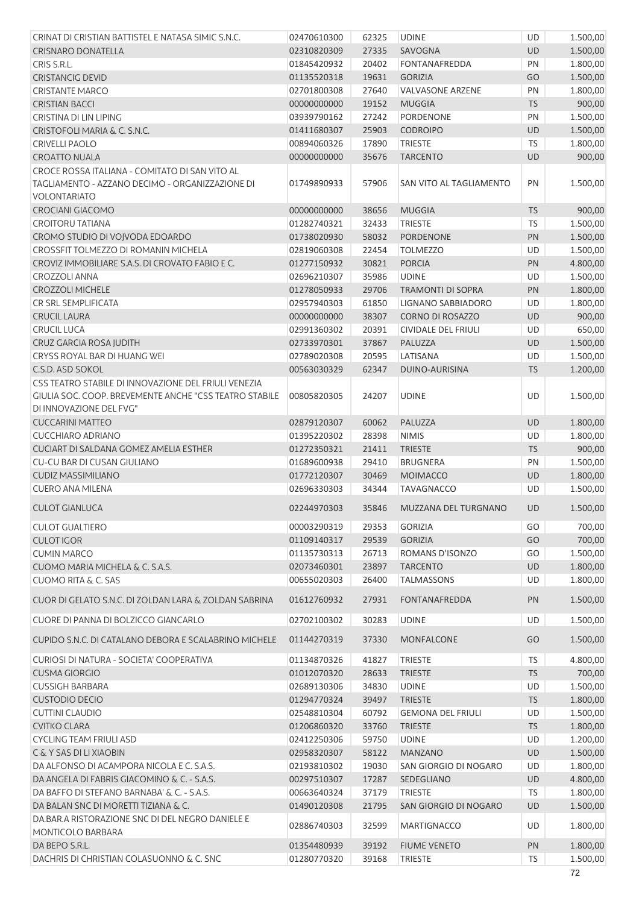| CRINAT DI CRISTIAN BATTISTEL E NATASA SIMIC S.N.C.                    | 02470610300 | 62325 | <b>UDINE</b>               | UD        | 1.500,00 |
|-----------------------------------------------------------------------|-------------|-------|----------------------------|-----------|----------|
| <b>CRISNARO DONATELLA</b>                                             | 02310820309 | 27335 | SAVOGNA                    | <b>UD</b> | 1.500,00 |
| CRIS S.R.L.                                                           | 01845420932 | 20402 | <b>FONTANAFREDDA</b>       | PN        | 1.800,00 |
| <b>CRISTANCIG DEVID</b>                                               | 01135520318 | 19631 | <b>GORIZIA</b>             | GO        | 1.500,00 |
| <b>CRISTANTE MARCO</b>                                                | 02701800308 | 27640 | <b>VALVASONE ARZENE</b>    | PN        | 1.800,00 |
| <b>CRISTIAN BACCI</b>                                                 | 00000000000 | 19152 | <b>MUGGIA</b>              | <b>TS</b> | 900,00   |
| CRISTINA DI LIN LIPING                                                | 03939790162 | 27242 | PORDENONE                  | PN        | 1.500,00 |
| CRISTOFOLI MARIA & C. S.N.C.                                          | 01411680307 | 25903 | <b>CODROIPO</b>            | <b>UD</b> | 1.500,00 |
| <b>CRIVELLI PAOLO</b>                                                 | 00894060326 | 17890 | <b>TRIESTE</b>             | TS        | 1.800,00 |
| <b>CROATTO NUALA</b>                                                  | 00000000000 | 35676 | <b>TARCENTO</b>            | <b>UD</b> | 900,00   |
| CROCE ROSSA ITALIANA - COMITATO DI SAN VITO AL                        |             |       |                            |           |          |
| TAGLIAMENTO - AZZANO DECIMO - ORGANIZZAZIONE DI                       | 01749890933 | 57906 | SAN VITO AL TAGLIAMENTO    | PN        | 1.500,00 |
| VOLONTARIATO                                                          |             |       |                            |           |          |
| <b>CROCIANI GIACOMO</b>                                               | 00000000000 | 38656 | <b>MUGGIA</b>              | <b>TS</b> | 900,00   |
| <b>CROITORU TATIANA</b>                                               | 01282740321 | 32433 | <b>TRIESTE</b>             | TS        | 1.500,00 |
| CROMO STUDIO DI VOJVODA EDOARDO                                       | 01738020930 | 58032 | PORDENONE                  | PN        | 1.500,00 |
| CROSSFIT TOLMEZZO DI ROMANIN MICHELA                                  | 02819060308 | 22454 | <b>TOLMEZZO</b>            | UD        | 1.500,00 |
| CROVIZ IMMOBILIARE S.A.S. DI CROVATO FABIO E C.                       | 01277150932 | 30821 | <b>PORCIA</b>              | PN        | 4.800,00 |
| <b>CROZZOLI ANNA</b>                                                  | 02696210307 | 35986 | <b>UDINE</b>               | UD        | 1.500,00 |
| <b>CROZZOLI MICHELE</b>                                               | 01278050933 | 29706 | <b>TRAMONTI DI SOPRA</b>   | PN        | 1.800,00 |
| CR SRL SEMPLIFICATA                                                   | 02957940303 | 61850 | LIGNANO SABBIADORO         | UD        | 1.800,00 |
| <b>CRUCIL LAURA</b>                                                   | 00000000000 | 38307 | CORNO DI ROSAZZO           | <b>UD</b> | 900,00   |
| <b>CRUCIL LUCA</b>                                                    | 02991360302 | 20391 | <b>CIVIDALE DEL FRIULI</b> | UD        | 650,00   |
| CRUZ GARCIA ROSA JUDITH                                               | 02733970301 | 37867 | PALUZZA                    | UD        | 1.500,00 |
| CRYSS ROYAL BAR DI HUANG WEI                                          | 02789020308 | 20595 | LATISANA                   | UD        | 1.500,00 |
| C.S.D. ASD SOKOL                                                      | 00563030329 | 62347 | DUINO-AURISINA             | <b>TS</b> | 1.200,00 |
| CSS TEATRO STABILE DI INNOVAZIONE DEL FRIULI VENEZIA                  |             |       |                            |           |          |
| GIULIA SOC. COOP. BREVEMENTE ANCHE "CSS TEATRO STABILE                | 00805820305 | 24207 | <b>UDINE</b>               | UD        | 1.500,00 |
| DI INNOVAZIONE DEL FVG"                                               |             |       |                            |           |          |
| <b>CUCCARINI MATTEO</b>                                               | 02879120307 | 60062 | PALUZZA                    | <b>UD</b> | 1.800,00 |
| <b>CUCCHIARO ADRIANO</b>                                              | 01395220302 | 28398 | <b>NIMIS</b>               | UD        | 1.800,00 |
| CUCIART DI SALDANA GOMEZ AMELIA ESTHER                                | 01272350321 | 21411 | <b>TRIESTE</b>             | <b>TS</b> | 900,00   |
| <b>CU-CU BAR DI CUSAN GIULIANO</b>                                    | 01689600938 | 29410 | <b>BRUGNERA</b>            | PN        | 1.500,00 |
| <b>CUDIZ MASSIMILIANO</b>                                             | 01772120307 | 30469 | <b>MOIMACCO</b>            | UD        | 1.800,00 |
| <b>CUERO ANA MILENA</b>                                               | 02696330303 | 34344 | <b>TAVAGNACCO</b>          | UD        | 1.500,00 |
| <b>CULOT GIANLUCA</b>                                                 | 02244970303 | 35846 | MUZZANA DEL TURGNANO       | <b>UD</b> | 1.500,00 |
|                                                                       |             |       |                            |           |          |
| <b>CULOT GUALTIERO</b>                                                | 00003290319 | 29353 | <b>GORIZIA</b>             | GO        | 700,00   |
| <b>CULOT IGOR</b>                                                     | 01109140317 | 29539 | <b>GORIZIA</b>             | GO        | 700,00   |
| <b>CUMIN MARCO</b>                                                    | 01135730313 | 26713 | ROMANS D'ISONZO            | GO        | 1.500,00 |
| CUOMO MARIA MICHELA & C. S.A.S.                                       | 02073460301 | 23897 | <b>TARCENTO</b>            | UD        | 1.800,00 |
| <b>CUOMO RITA &amp; C. SAS</b>                                        | 00655020303 | 26400 | <b>TALMASSONS</b>          | UD        | 1.800,00 |
| CUOR DI GELATO S.N.C. DI ZOLDAN LARA & ZOLDAN SABRINA                 | 01612760932 | 27931 | FONTANAFREDDA              | PN        | 1.500,00 |
| CUORE DI PANNA DI BOLZICCO GIANCARLO                                  | 02702100302 | 30283 | <b>UDINE</b>               | UD        | 1.500,00 |
| CUPIDO S.N.C. DI CATALANO DEBORA E SCALABRINO MICHELE                 | 01144270319 | 37330 | <b>MONFALCONE</b>          | GO        | 1.500,00 |
|                                                                       |             |       |                            |           |          |
| CURIOSI DI NATURA - SOCIETA' COOPERATIVA                              | 01134870326 | 41827 | <b>TRIESTE</b>             | TS        | 4.800,00 |
| <b>CUSMA GIORGIO</b>                                                  | 01012070320 | 28633 | <b>TRIESTE</b>             | <b>TS</b> | 700,00   |
| <b>CUSSIGH BARBARA</b>                                                | 02689130306 | 34830 | <b>UDINE</b>               | UD        | 1.500,00 |
| <b>CUSTODIO DECIO</b>                                                 | 01294770324 | 39497 | <b>TRIESTE</b>             | TS        | 1.800,00 |
| <b>CUTTINI CLAUDIO</b>                                                | 02548810304 | 60792 | <b>GEMONA DEL FRIULI</b>   | UD        | 1.500,00 |
| <b>CVITKO CLARA</b>                                                   | 01206860320 | 33760 | <b>TRIESTE</b>             | TS        | 1.800,00 |
| <b>CYCLING TEAM FRIULI ASD</b>                                        | 02412250306 | 59750 | <b>UDINE</b>               | UD        | 1.200,00 |
| C & Y SAS DI LI XIAOBIN                                               | 02958320307 | 58122 | <b>MANZANO</b>             | UD        | 1.500,00 |
| DA ALFONSO DI ACAMPORA NICOLA E C. S.A.S.                             | 02193810302 | 19030 | SAN GIORGIO DI NOGARO      | UD        | 1.800,00 |
| DA ANGELA DI FABRIS GIACOMINO & C. - S.A.S.                           | 00297510307 | 17287 | SEDEGLIANO                 | UD        | 4.800,00 |
| DA BAFFO DI STEFANO BARNABA' & C. - S.A.S.                            | 00663640324 | 37179 | <b>TRIESTE</b>             | TS        | 1.800,00 |
| DA BALAN SNC DI MORETTI TIZIANA & C.                                  | 01490120308 | 21795 | SAN GIORGIO DI NOGARO      | UD        | 1.500,00 |
| DA.BAR.A RISTORAZIONE SNC DI DEL NEGRO DANIELE E<br>MONTICOLO BARBARA | 02886740303 | 32599 | MARTIGNACCO                | <b>UD</b> | 1.800,00 |
| DA BEPO S.R.L.                                                        | 01354480939 | 39192 | <b>FIUME VENETO</b>        | PN        | 1.800,00 |
| DACHRIS DI CHRISTIAN COLASUONNO & C. SNC                              | 01280770320 | 39168 | <b>TRIESTE</b>             | <b>TS</b> | 1.500,00 |
|                                                                       |             |       |                            |           | 72       |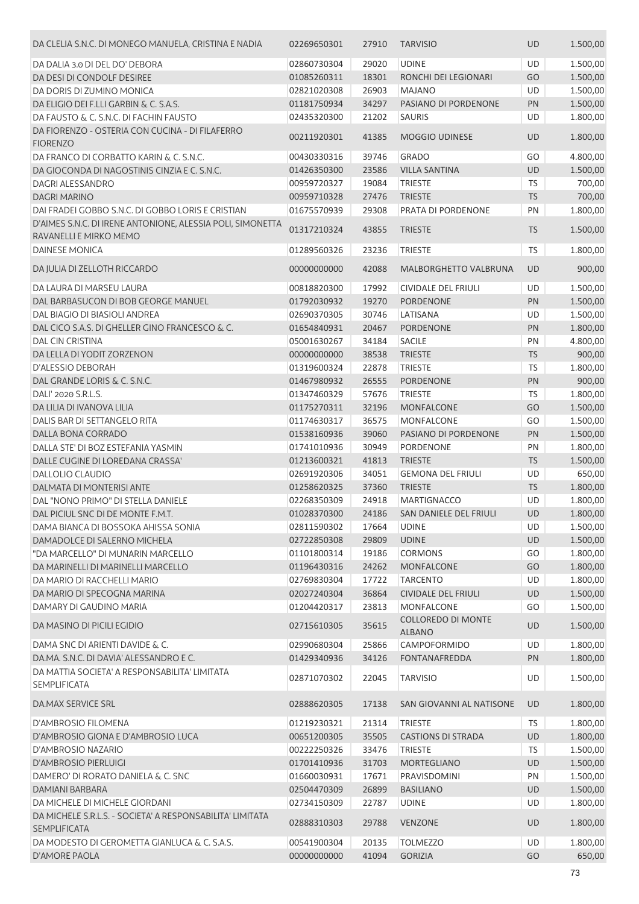| DA CLELIA S.N.C. DI MONEGO MANUELA, CRISTINA E NADIA                                 | 02269650301 | 27910 | <b>TARVISIO</b>                            | <b>UD</b> | 1.500,00 |
|--------------------------------------------------------------------------------------|-------------|-------|--------------------------------------------|-----------|----------|
| DA DALIA 3.0 DI DEL DO' DEBORA                                                       | 02860730304 | 29020 | <b>UDINE</b>                               | UD        | 1.500,00 |
| DA DESI DI CONDOLF DESIREE                                                           | 01085260311 | 18301 | RONCHI DEI LEGIONARI                       | GO        | 1.500,00 |
| DA DORIS DI ZUMINO MONICA                                                            | 02821020308 | 26903 | <b>MAJANO</b>                              | UD        | 1.500,00 |
| DA ELIGIO DEI F.LLI GARBIN & C. S.A.S.                                               | 01181750934 | 34297 | PASIANO DI PORDENONE                       | PN        | 1.500,00 |
| DA FAUSTO & C. S.N.C. DI FACHIN FAUSTO                                               | 02435320300 | 21202 | <b>SAURIS</b>                              | UD        | 1.800,00 |
| DA FIORENZO - OSTERIA CON CUCINA - DI FILAFERRO<br><b>FIORENZO</b>                   | 00211920301 | 41385 | MOGGIO UDINESE                             | <b>UD</b> | 1.800,00 |
| DA FRANCO DI CORBATTO KARIN & C. S.N.C.                                              | 00430330316 | 39746 | <b>GRADO</b>                               | GO        | 4.800,00 |
| DA GIOCONDA DI NAGOSTINIS CINZIA E C. S.N.C.                                         | 01426350300 | 23586 | <b>VILLA SANTINA</b>                       | UD        | 1.500,00 |
| DAGRI ALESSANDRO                                                                     | 00959720327 | 19084 | <b>TRIESTE</b>                             | <b>TS</b> | 700,00   |
| <b>DAGRI MARINO</b>                                                                  | 00959710328 | 27476 | <b>TRIESTE</b>                             | <b>TS</b> | 700,00   |
| DAI FRADEI GOBBO S.N.C. DI GOBBO LORIS E CRISTIAN                                    | 01675570939 | 29308 | PRATA DI PORDENONE                         | PN        | 1.800,00 |
| D'AIMES S.N.C. DI IRENE ANTONIONE, ALESSIA POLI, SIMONETTA<br>RAVANELLI E MIRKO MEMO | 01317210324 | 43855 | <b>TRIESTE</b>                             | <b>TS</b> | 1.500,00 |
| <b>DAINESE MONICA</b>                                                                | 01289560326 | 23236 | <b>TRIESTE</b>                             | <b>TS</b> | 1.800,00 |
|                                                                                      | 00000000000 | 42088 | MALBORGHETTO VALBRUNA                      | <b>UD</b> | 900,00   |
| DA JULIA DI ZELLOTH RICCARDO                                                         |             |       |                                            |           |          |
| DA LAURA DI MARSEU LAURA                                                             | 00818820300 | 17992 | <b>CIVIDALE DEL FRIULI</b>                 | UD        | 1.500,00 |
| DAL BARBASUCON DI BOB GEORGE MANUEL                                                  | 01792030932 | 19270 | PORDENONE                                  | PN        | 1.500,00 |
| DAL BIAGIO DI BIASIOLI ANDREA                                                        | 02690370305 | 30746 | LATISANA                                   | UD        | 1.500,00 |
| DAL CICO S.A.S. DI GHELLER GINO FRANCESCO & C.                                       | 01654840931 | 20467 | PORDENONE                                  | PN        | 1.800,00 |
| <b>DAL CIN CRISTINA</b>                                                              | 05001630267 | 34184 | <b>SACILE</b>                              | PN        | 4.800,00 |
| DA LELLA DI YODIT ZORZENON                                                           | 00000000000 | 38538 | <b>TRIESTE</b>                             | <b>TS</b> | 900,00   |
| <b>D'ALESSIO DEBORAH</b>                                                             | 01319600324 | 22878 | <b>TRIESTE</b>                             | <b>TS</b> | 1.800,00 |
| DAL GRANDE LORIS & C. S.N.C.                                                         | 01467980932 | 26555 | PORDENONE                                  | PN        | 900,00   |
| DALI' 2020 S.R.L.S.                                                                  | 01347460329 | 57676 | <b>TRIESTE</b>                             | <b>TS</b> | 1.800,00 |
| DA LILIA DI IVANOVA LILIA                                                            | 01175270311 | 32196 | <b>MONFALCONE</b>                          | GO        | 1.500,00 |
| DALIS BAR DI SETTANGELO RITA                                                         | 01174630317 | 36575 | MONFALCONE                                 | GO        | 1.500,00 |
| DALLA BONA CORRADO                                                                   | 01538160936 | 39060 | PASIANO DI PORDENONE                       | PN        | 1.500,00 |
| DALLA STE' DI BOZ ESTEFANIA YASMIN                                                   | 01741010936 | 30949 | PORDENONE                                  | PN        | 1.800,00 |
| DALLE CUGINE DI LOREDANA CRASSA'                                                     | 01213600321 | 41813 | <b>TRIESTE</b>                             | <b>TS</b> | 1.500,00 |
| DALLOLIO CLAUDIO                                                                     | 02691920306 | 34051 | <b>GEMONA DEL FRIULI</b>                   | UD        | 650,00   |
| DALMATA DI MONTERISI ANTE                                                            | 01258620325 | 37360 | <b>TRIESTE</b>                             | <b>TS</b> | 1.800,00 |
| DAL "NONO PRIMO" DI STELLA DANIELE                                                   | 02268350309 | 24918 | MARTIGNACCO                                | <b>UD</b> | 1.800,00 |
| DAL PICIUL SNC DI DE MONTE F.M.T.                                                    | 01028370300 | 24186 | SAN DANIELE DEL FRIULI                     | <b>UD</b> | 1.800,00 |
| DAMA BIANCA DI BOSSOKA AHISSA SONIA                                                  | 02811590302 | 17664 | <b>UDINE</b>                               | <b>UD</b> | 1.500,00 |
| DAMADOLCE DI SALERNO MICHELA                                                         | 02722850308 | 29809 | <b>UDINE</b>                               | UD        | 1.500,00 |
| "DA MARCELLO" DI MUNARIN MARCELLO                                                    | 01101800314 | 19186 | <b>CORMONS</b>                             | GO        | 1.800,00 |
| DA MARINELLI DI MARINELLI MARCELLO                                                   | 01196430316 | 24262 | <b>MONFALCONE</b>                          | GO        | 1.800,00 |
| DA MARIO DI RACCHELLI MARIO                                                          | 02769830304 | 17722 | <b>TARCENTO</b>                            | UD        | 1.800,00 |
| DA MARIO DI SPECOGNA MARINA                                                          | 02027240304 | 36864 | <b>CIVIDALE DEL FRIULI</b>                 | <b>UD</b> | 1.500,00 |
| DAMARY DI GAUDINO MARIA                                                              | 01204420317 | 23813 | <b>MONFALCONE</b>                          | GO        | 1.500,00 |
| DA MASINO DI PICILI EGIDIO                                                           | 02715610305 | 35615 | <b>COLLOREDO DI MONTE</b><br><b>ALBANO</b> | <b>UD</b> | 1.500,00 |
| DAMA SNC DI ARIENTI DAVIDE & C.                                                      | 02990680304 | 25866 | CAMPOFORMIDO                               | UD        | 1.800,00 |
| DA.MA. S.N.C. DI DAVIA' ALESSANDRO E C.                                              | 01429340936 | 34126 | <b>FONTANAFREDDA</b>                       | PN        | 1.800,00 |
| DA MATTIA SOCIETA' A RESPONSABILITA' LIMITATA<br><b>SEMPLIFICATA</b>                 | 02871070302 | 22045 | <b>TARVISIO</b>                            | <b>UD</b> | 1.500,00 |
| DA.MAX SERVICE SRL                                                                   | 02888620305 | 17138 | SAN GIOVANNI AL NATISONE                   | <b>UD</b> | 1.800,00 |
| D'AMBROSIO FILOMENA                                                                  | 01219230321 | 21314 | <b>TRIESTE</b>                             | <b>TS</b> | 1.800,00 |
| D'AMBROSIO GIONA E D'AMBROSIO LUCA                                                   | 00651200305 | 35505 | <b>CASTIONS DI STRADA</b>                  | <b>UD</b> | 1.800,00 |
| D'AMBROSIO NAZARIO                                                                   | 00222250326 | 33476 | <b>TRIESTE</b>                             | <b>TS</b> | 1.500,00 |
| D'AMBROSIO PIERLUIGI                                                                 | 01701410936 | 31703 | MORTEGLIANO                                | UD        | 1.500,00 |
| DAMERO' DI RORATO DANIELA & C. SNC                                                   | 01660030931 | 17671 | PRAVISDOMINI                               | PN        | 1.500,00 |
| DAMIANI BARBARA                                                                      | 02504470309 | 26899 | <b>BASILIANO</b>                           | UD        | 1.500,00 |
| DA MICHELE DI MICHELE GIORDANI                                                       | 02734150309 | 22787 | <b>UDINE</b>                               | UD        | 1.800,00 |
| DA MICHELE S.R.L.S. - SOCIETA' A RESPONSABILITA' LIMITATA<br><b>SEMPLIFICATA</b>     | 02888310303 | 29788 | <b>VENZONE</b>                             | <b>UD</b> | 1.800,00 |
| DA MODESTO DI GEROMETTA GIANLUCA & C. S.A.S.                                         | 00541900304 | 20135 | <b>TOLMEZZO</b>                            | UD        | 1.800,00 |
| <b>D'AMORE PAOLA</b>                                                                 | 00000000000 | 41094 | <b>GORIZIA</b>                             | GO        | 650,00   |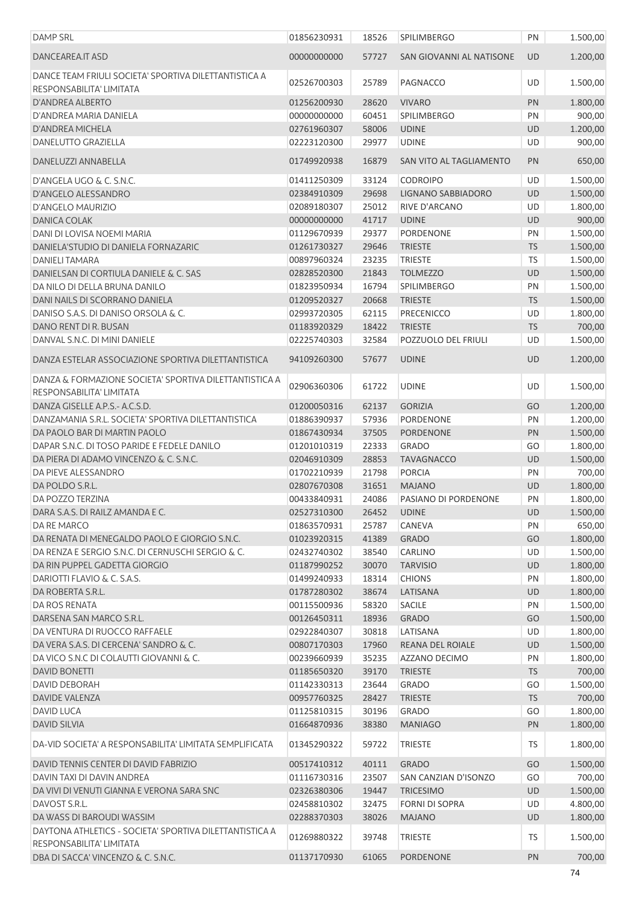| <b>DAMP SRL</b>                                                                    | 01856230931 | 18526 | <b>SPILIMBERGO</b>       | PN        | 1.500,00 |
|------------------------------------------------------------------------------------|-------------|-------|--------------------------|-----------|----------|
| DANCEAREA.IT ASD                                                                   | 00000000000 | 57727 | SAN GIOVANNI AL NATISONE | <b>UD</b> | 1.200,00 |
| DANCE TEAM FRIULI SOCIETA' SPORTIVA DILETTANTISTICA A<br>RESPONSABILITA' LIMITATA  | 02526700303 | 25789 | PAGNACCO                 | UD        | 1.500,00 |
| D'ANDREA ALBERTO                                                                   | 01256200930 | 28620 | <b>VIVARO</b>            | PN        | 1.800,00 |
| D'ANDREA MARIA DANIELA                                                             | 00000000000 | 60451 | <b>SPILIMBERGO</b>       | PN        | 900,00   |
| D'ANDREA MICHELA                                                                   | 02761960307 | 58006 | <b>UDINE</b>             | <b>UD</b> | 1.200,00 |
| DANELUTTO GRAZIELLA                                                                | 02223120300 | 29977 | <b>UDINE</b>             | UD        | 900,00   |
| DANELUZZI ANNABELLA                                                                | 01749920938 | 16879 | SAN VITO AL TAGLIAMENTO  | PN        | 650,00   |
| D'ANGELA UGO & C. S.N.C.                                                           | 01411250309 | 33124 | <b>CODROIPO</b>          | UD        | 1.500,00 |
| D'ANGELO ALESSANDRO                                                                | 02384910309 | 29698 | LIGNANO SABBIADORO       | UD        | 1.500,00 |
| D'ANGELO MAURIZIO                                                                  | 02089180307 | 25012 | RIVE D'ARCANO            | UD        | 1.800,00 |
| DANICA COLAK                                                                       | 00000000000 | 41717 | <b>UDINE</b>             | <b>UD</b> | 900,00   |
| DANI DI LOVISA NOEMI MARIA                                                         | 01129670939 | 29377 | PORDENONE                | PN        | 1.500,00 |
| DANIELA'STUDIO DI DANIELA FORNAZARIC                                               | 01261730327 | 29646 | <b>TRIESTE</b>           | <b>TS</b> | 1.500,00 |
| <b>DANIELI TAMARA</b>                                                              | 00897960324 | 23235 | <b>TRIESTE</b>           | TS        | 1.500,00 |
| DANIELSAN DI CORTIULA DANIELE & C. SAS                                             | 02828520300 | 21843 | <b>TOLMEZZO</b>          | UD        | 1.500,00 |
| DA NILO DI DELLA BRUNA DANILO                                                      | 01823950934 | 16794 | <b>SPILIMBERGO</b>       | PN        | 1.500,00 |
| DANI NAILS DI SCORRANO DANIELA                                                     | 01209520327 | 20668 | <b>TRIESTE</b>           | <b>TS</b> | 1.500,00 |
| DANISO S.A.S. DI DANISO ORSOLA & C.                                                | 02993720305 | 62115 | <b>PRECENICCO</b>        | UD        | 1.800,00 |
|                                                                                    |             |       |                          |           |          |
| DANO RENT DI R. BUSAN                                                              | 01183920329 | 18422 | <b>TRIESTE</b>           | TS        | 700,00   |
| DANVAL S.N.C. DI MINI DANIELE                                                      | 02225740303 | 32584 | POZZUOLO DEL FRIULI      | UD        | 1.500,00 |
| DANZA ESTELAR ASSOCIAZIONE SPORTIVA DILETTANTISTICA                                | 94109260300 | 57677 | <b>UDINE</b>             | <b>UD</b> | 1.200,00 |
| DANZA & FORMAZIONE SOCIETA' SPORTIVA DILETTANTISTICA A<br>RESPONSABILITA' LIMITATA | 02906360306 | 61722 | <b>UDINE</b>             | UD        | 1.500,00 |
| DANZA GISELLE A.P.S.- A.C.S.D.                                                     | 01200050316 | 62137 | <b>GORIZIA</b>           | GO        | 1.200,00 |
| DANZAMANIA S.R.L. SOCIETA' SPORTIVA DILETTANTISTICA                                | 01886390937 | 57936 | <b>PORDENONE</b>         | PN        | 1.200,00 |
| DA PAOLO BAR DI MARTIN PAOLO                                                       | 01867430934 | 37505 | <b>PORDENONE</b>         | PN        | 1.500,00 |
| DAPAR S.N.C. DI TOSO PARIDE E FEDELE DANILO                                        | 01201010319 | 22333 | <b>GRADO</b>             | GO        | 1.800,00 |
| DA PIERA DI ADAMO VINCENZO & C. S.N.C.                                             | 02046910309 | 28853 | <b>TAVAGNACCO</b>        | <b>UD</b> | 1.500,00 |
| DA PIEVE ALESSANDRO                                                                | 01702210939 | 21798 | <b>PORCIA</b>            | PN        | 700,00   |
| DA POLDO S.R.L.                                                                    | 02807670308 | 31651 | <b>MAJANO</b>            | UD        | 1.800,00 |
| DA POZZO TERZINA                                                                   | 00433840931 | 24086 | PASIANO DI PORDENONE     | PN        | 1.800,00 |
| DARA S.A.S. DI RAILZ AMANDA E C.                                                   | 02527310300 | 26452 | <b>UDINE</b>             | UD        | 1.500,00 |
| DA RE MARCO                                                                        | 01863570931 | 25787 | <b>CANEVA</b>            | PN        | 650,00   |
| DA RENATA DI MENEGALDO PAOLO E GIORGIO S.N.C.                                      | 01023920315 | 41389 | <b>GRADO</b>             | GO        | 1.800,00 |
| DA RENZA E SERGIO S.N.C. DI CERNUSCHI SERGIO & C.                                  | 02432740302 | 38540 | <b>CARLINO</b>           | <b>UD</b> | 1.500,00 |
| DA RIN PUPPEL GADETTA GIORGIO                                                      | 01187990252 | 30070 | <b>TARVISIO</b>          | UD        | 1.800,00 |
| DARIOTTI FLAVIO & C. S.A.S.                                                        | 01499240933 | 18314 | <b>CHIONS</b>            | PN        | 1.800,00 |
|                                                                                    |             |       |                          |           |          |
| DA ROBERTA S.R.L.                                                                  | 01787280302 | 38674 | LATISANA                 | <b>UD</b> | 1.800,00 |
| DA ROS RENATA                                                                      | 00115500936 | 58320 | SACILE                   | PN        | 1.500,00 |
| DARSENA SAN MARCO S.R.L.                                                           | 00126450311 | 18936 | <b>GRADO</b>             | GO        | 1.500,00 |
| DA VENTURA DI RUOCCO RAFFAELE                                                      | 02922840307 | 30818 | LATISANA                 | UD        | 1.800,00 |
| DA VERA S.A.S. DI CERCENA' SANDRO & C.                                             | 00807170303 | 17960 | REANA DEL ROIALE         | UD        | 1.500,00 |
| DA VICO S.N.C DI COLAUTTI GIOVANNI & C.                                            | 00239660939 | 35235 | AZZANO DECIMO            | PN        | 1.800,00 |
| DAVID BONETTI                                                                      | 01185650320 | 39170 | <b>TRIESTE</b>           | <b>TS</b> | 700,00   |
| DAVID DEBORAH                                                                      | 01142330313 | 23644 | <b>GRADO</b>             | GO        | 1.500,00 |
| DAVIDE VALENZA                                                                     | 00957760325 | 28427 | <b>TRIESTE</b>           | <b>TS</b> | 700,00   |
| DAVID LUCA                                                                         | 01125810315 | 30196 | <b>GRADO</b>             | GO        | 1.800,00 |
| <b>DAVID SILVIA</b>                                                                | 01664870936 | 38380 | <b>MANIAGO</b>           | PN        | 1.800,00 |
| DA-VID SOCIETA' A RESPONSABILITA' LIMITATA SEMPLIFICATA                            | 01345290322 | 59722 | <b>TRIESTE</b>           | TS        | 1.800,00 |
| DAVID TENNIS CENTER DI DAVID FABRIZIO                                              | 00517410312 | 40111 | <b>GRADO</b>             | GO        | 1.500,00 |
| DAVIN TAXI DI DAVIN ANDREA                                                         | 01116730316 | 23507 | SAN CANZIAN D'ISONZO     | GO        | 700,00   |
| DA VIVI DI VENUTI GIANNA E VERONA SARA SNC                                         | 02326380306 | 19447 | <b>TRICESIMO</b>         | UD        | 1.500,00 |
| DAVOST S.R.L.                                                                      | 02458810302 | 32475 | <b>FORNI DI SOPRA</b>    | UD        | 4.800,00 |
| DA WASS DI BAROUDI WASSIM                                                          | 02288370303 | 38026 | <b>MAJANO</b>            | <b>UD</b> | 1.800,00 |
| DAYTONA ATHLETICS - SOCIETA' SPORTIVA DILETTANTISTICA A                            |             |       |                          |           |          |
| RESPONSABILITA' LIMITATA                                                           | 01269880322 | 39748 | <b>TRIESTE</b>           | TS        | 1.500,00 |
| DBA DI SACCA' VINCENZO & C. S.N.C.                                                 | 01137170930 | 61065 | <b>PORDENONE</b>         | <b>PN</b> | 700,00   |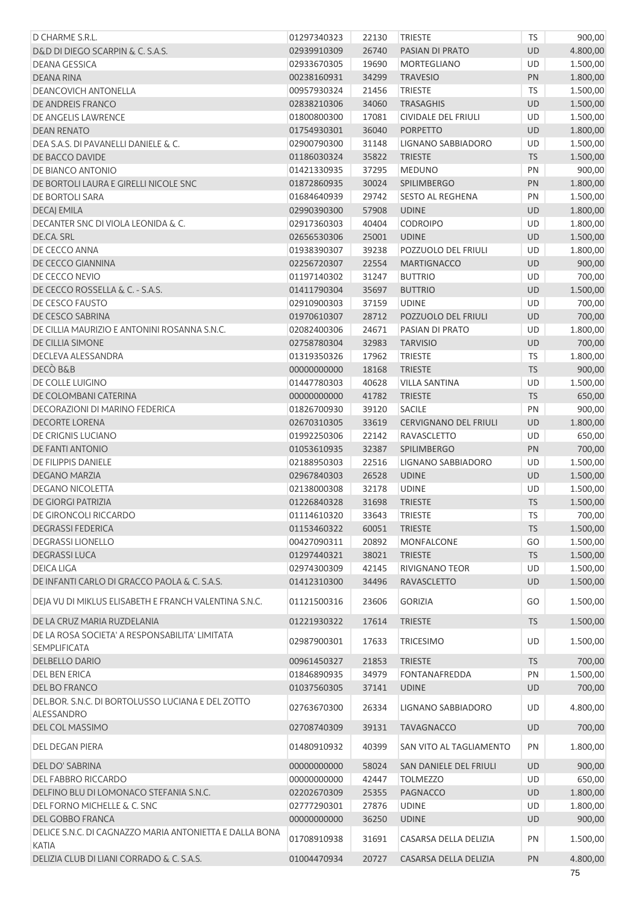| D CHARME S.R.L.                                           | 01297340323 | 22130 | <b>TRIESTE</b>               | TS        | 900,00   |
|-----------------------------------------------------------|-------------|-------|------------------------------|-----------|----------|
| D&D DI DIEGO SCARPIN & C. S.A.S.                          | 02939910309 | 26740 | PASIAN DI PRATO              | <b>UD</b> | 4.800,00 |
| <b>DEANA GESSICA</b>                                      | 02933670305 | 19690 | MORTEGLIANO                  | UD        | 1.500,00 |
| <b>DEANA RINA</b>                                         | 00238160931 | 34299 | <b>TRAVESIO</b>              | PN        | 1.800,00 |
| DEANCOVICH ANTONELLA                                      | 00957930324 | 21456 | <b>TRIESTE</b>               | <b>TS</b> | 1.500,00 |
| DE ANDREIS FRANCO                                         | 02838210306 | 34060 | <b>TRASAGHIS</b>             | <b>UD</b> | 1.500,00 |
| DE ANGELIS LAWRENCE                                       | 01800800300 | 17081 | <b>CIVIDALE DEL FRIULI</b>   | UD        | 1.500,00 |
| <b>DEAN RENATO</b>                                        | 01754930301 | 36040 | <b>PORPETTO</b>              | UD        | 1.800,00 |
| DEA S.A.S. DI PAVANELLI DANIELE & C.                      | 02900790300 | 31148 | <b>LIGNANO SABBIADORO</b>    | UD        | 1.500,00 |
| DE BACCO DAVIDE                                           | 01186030324 | 35822 | <b>TRIESTE</b>               | <b>TS</b> | 1.500,00 |
| DE BIANCO ANTONIO                                         | 01421330935 | 37295 | <b>MEDUNO</b>                | PN        | 900,00   |
| DE BORTOLI LAURA E GIRELLI NICOLE SNC                     | 01872860935 | 30024 | <b>SPILIMBERGO</b>           | PN        | 1.800,00 |
| DE BORTOLI SARA                                           | 01684640939 | 29742 | <b>SESTO AL REGHENA</b>      | PN        | 1.500,00 |
| DECAJ EMILA                                               | 02990390300 | 57908 | <b>UDINE</b>                 | <b>UD</b> | 1.800,00 |
| DECANTER SNC DI VIOLA LEONIDA & C.                        | 02917360303 | 40404 | <b>CODROIPO</b>              | UD        | 1.800,00 |
| DE.CA. SRL                                                | 02656530306 | 25001 | <b>UDINE</b>                 | UD        | 1.500,00 |
| DE CECCO ANNA                                             | 01938390307 | 39238 | POZZUOLO DEL FRIULI          | UD        | 1.800,00 |
| DE CECCO GIANNINA                                         | 02256720307 | 22554 | <b>MARTIGNACCO</b>           | <b>UD</b> | 900,00   |
| DE CECCO NEVIO                                            | 01197140302 | 31247 | <b>BUTTRIO</b>               | UD        | 700,00   |
| DE CECCO ROSSELLA & C. - S.A.S.                           | 01411790304 | 35697 | <b>BUTTRIO</b>               | <b>UD</b> | 1.500,00 |
| DE CESCO FAUSTO                                           | 02910900303 | 37159 | <b>UDINE</b>                 | <b>UD</b> | 700,00   |
| DE CESCO SABRINA                                          | 01970610307 | 28712 | POZZUOLO DEL FRIULI          | UD        | 700,00   |
| DE CILLIA MAURIZIO E ANTONINI ROSANNA S.N.C.              | 02082400306 | 24671 | PASIAN DI PRATO              | <b>UD</b> | 1.800,00 |
| DE CILLIA SIMONE                                          | 02758780304 | 32983 | <b>TARVISIO</b>              | UD        | 700,00   |
| DECLEVA ALESSANDRA                                        | 01319350326 | 17962 | <b>TRIESTE</b>               | TS        | 1.800,00 |
| DECÒ B&B                                                  | 00000000000 | 18168 | <b>TRIESTE</b>               | <b>TS</b> | 900,00   |
| DE COLLE LUIGINO                                          | 01447780303 | 40628 | <b>VILLA SANTINA</b>         | UD        | 1.500,00 |
| DE COLOMBANI CATERINA                                     | 00000000000 | 41782 | <b>TRIESTE</b>               | <b>TS</b> | 650,00   |
| DECORAZIONI DI MARINO FEDERICA                            | 01826700930 | 39120 | <b>SACILE</b>                | PN        | 900,00   |
| <b>DECORTE LORENA</b>                                     | 02670310305 | 33619 | <b>CERVIGNANO DEL FRIULI</b> | <b>UD</b> | 1.800,00 |
| DE CRIGNIS LUCIANO                                        | 01992250306 | 22142 | RAVASCLETTO                  | <b>UD</b> | 650,00   |
| DE FANTI ANTONIO                                          | 01053610935 | 32387 | SPILIMBERGO                  | PN        | 700,00   |
| DE FILIPPIS DANIELE                                       | 02188950303 | 22516 | <b>LIGNANO SABBIADORO</b>    | UD        | 1.500,00 |
| <b>DEGANO MARZIA</b>                                      | 02967840303 | 26528 | <b>UDINE</b>                 | UD        | 1.500,00 |
| DEGANO NICOLETTA                                          | 02138000308 | 32178 | <b>UDINE</b>                 | UD        | 1.500,00 |
| <b>DE GIORGI PATRIZIA</b>                                 | 01226840328 | 31698 | <b>TRIESTE</b>               | <b>TS</b> | 1.500,00 |
| DE GIRONCOLI RICCARDO                                     | 01114610320 | 33643 | <b>TRIESTE</b>               | TS        | 700,00   |
| <b>DEGRASSI FEDERICA</b>                                  | 01153460322 | 60051 | <b>TRIESTE</b>               | <b>TS</b> | 1.500,00 |
| <b>DEGRASSI LIONELLO</b>                                  | 00427090311 | 20892 | MONFALCONE                   | GO        | 1.500,00 |
| <b>DEGRASSI LUCA</b>                                      | 01297440321 | 38021 | <b>TRIESTE</b>               | <b>TS</b> | 1.500,00 |
| <b>DEICA LIGA</b>                                         | 02974300309 | 42145 | RIVIGNANO TEOR               | UD        | 1.500,00 |
| DE INFANTI CARLO DI GRACCO PAOLA & C. S.A.S.              | 01412310300 | 34496 | <b>RAVASCLETTO</b>           | <b>UD</b> | 1.500,00 |
| DEJA VU DI MIKLUS ELISABETH E FRANCH VALENTINA S.N.C.     | 01121500316 | 23606 | <b>GORIZIA</b>               | GO        | 1.500,00 |
| DE LA CRUZ MARIA RUZDELANIA                               | 01221930322 | 17614 | <b>TRIESTE</b>               | <b>TS</b> | 1.500,00 |
| DE LA ROSA SOCIETA' A RESPONSABILITA' LIMITATA            | 02987900301 | 17633 | <b>TRICESIMO</b>             | UD        | 1.500,00 |
| <b>SEMPLIFICATA</b><br><b>DELBELLO DARIO</b>              | 00961450327 | 21853 | <b>TRIESTE</b>               | <b>TS</b> | 700,00   |
| DEL BEN ERICA                                             | 01846890935 | 34979 | <b>FONTANAFREDDA</b>         | PN        | 1.500,00 |
| DEL BO FRANCO                                             | 01037560305 | 37141 | <b>UDINE</b>                 | <b>UD</b> | 700,00   |
| DEL.BOR. S.N.C. DI BORTOLUSSO LUCIANA E DEL ZOTTO         | 02763670300 | 26334 | LIGNANO SABBIADORO           | UD        | 4.800,00 |
| ALESSANDRO<br>DEL COL MASSIMO                             | 02708740309 | 39131 | <b>TAVAGNACCO</b>            | <b>UD</b> | 700,00   |
| DEL DEGAN PIERA                                           | 01480910932 | 40399 | SAN VITO AL TAGLIAMENTO      | PN        | 1.800,00 |
| <b>DEL DO' SABRINA</b>                                    | 00000000000 | 58024 | SAN DANIELE DEL FRIULI       | <b>UD</b> | 900,00   |
| DEL FABBRO RICCARDO                                       | 00000000000 | 42447 | <b>TOLMEZZO</b>              | UD        | 650,00   |
| DELFINO BLU DI LOMONACO STEFANIA S.N.C.                   | 02202670309 | 25355 | PAGNACCO                     | <b>UD</b> | 1.800,00 |
| DEL FORNO MICHELLE & C. SNC                               | 02777290301 | 27876 | <b>UDINE</b>                 | <b>UD</b> | 1.800,00 |
| DEL GOBBO FRANCA                                          | 00000000000 | 36250 | <b>UDINE</b>                 | <b>UD</b> | 900,00   |
| DELICE S.N.C. DI CAGNAZZO MARIA ANTONIETTA E DALLA BONA   | 01708910938 | 31691 | CASARSA DELLA DELIZIA        | PN        | 1.500,00 |
| <b>KATIA</b><br>DELIZIA CLUB DI LIANI CORRADO & C. S.A.S. | 01004470934 | 20727 | CASARSA DELLA DELIZIA        | <b>PN</b> | 4.800,00 |
|                                                           |             |       |                              |           | 75       |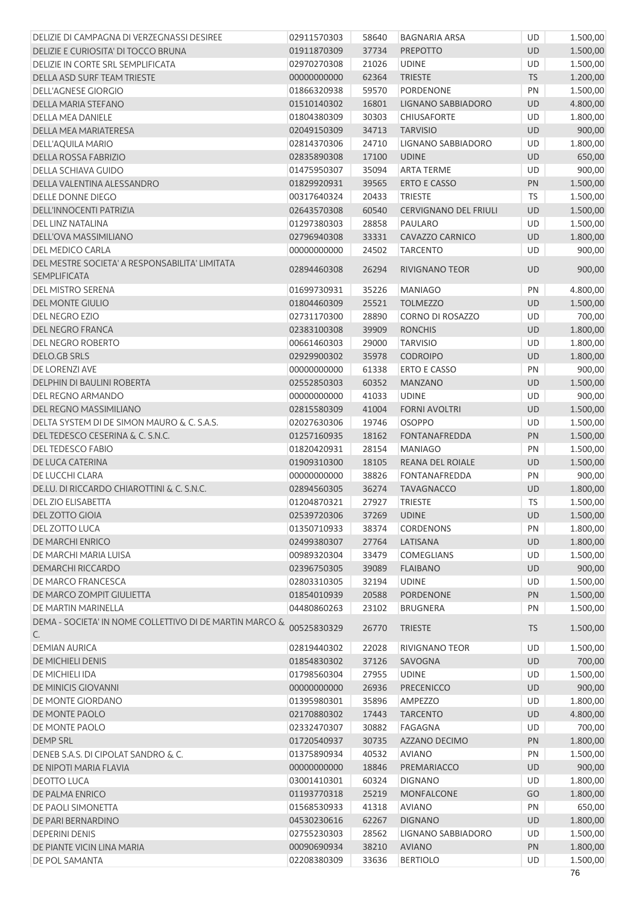| DELIZIE DI CAMPAGNA DI VERZEGNASSI DESIREE                            | 02911570303 | 58640 | <b>BAGNARIA ARSA</b>         | <b>UD</b> | 1.500,00 |
|-----------------------------------------------------------------------|-------------|-------|------------------------------|-----------|----------|
| DELIZIE E CURIOSITA' DI TOCCO BRUNA                                   | 01911870309 | 37734 | <b>PREPOTTO</b>              | UD        | 1.500,00 |
| DELIZIE IN CORTE SRL SEMPLIFICATA                                     | 02970270308 | 21026 | <b>UDINE</b>                 | UD        | 1.500,00 |
| DELLA ASD SURF TEAM TRIESTE                                           | 00000000000 | 62364 | <b>TRIESTE</b>               | <b>TS</b> | 1.200,00 |
| <b>DELL'AGNESE GIORGIO</b>                                            | 01866320938 | 59570 | PORDENONE                    | PN        | 1.500,00 |
| DELLA MARIA STEFANO                                                   | 01510140302 | 16801 | LIGNANO SABBIADORO           | <b>UD</b> | 4.800,00 |
| <b>DELLA MEA DANIELE</b>                                              | 01804380309 | 30303 | <b>CHIUSAFORTE</b>           | <b>UD</b> | 1.800,00 |
| DELLA MEA MARIATERESA                                                 | 02049150309 | 34713 | <b>TARVISIO</b>              | <b>UD</b> | 900,00   |
| DELL'AQUILA MARIO                                                     | 02814370306 | 24710 | LIGNANO SABBIADORO           | UD        | 1.800,00 |
| DELLA ROSSA FABRIZIO                                                  | 02835890308 | 17100 | <b>UDINE</b>                 | <b>UD</b> | 650,00   |
| DELLA SCHIAVA GUIDO                                                   | 01475950307 | 35094 | <b>ARTA TERME</b>            | UD        | 900,00   |
| DELLA VALENTINA ALESSANDRO                                            | 01829920931 | 39565 | <b>ERTO E CASSO</b>          | PN        | 1.500,00 |
| DELLE DONNE DIEGO                                                     | 00317640324 | 20433 | <b>TRIESTE</b>               | <b>TS</b> | 1.500,00 |
| DELL'INNOCENTI PATRIZIA                                               | 02643570308 | 60540 | <b>CERVIGNANO DEL FRIULI</b> | UD        | 1.500,00 |
| DEL LINZ NATALINA                                                     | 01297380303 | 28858 | PAULARO                      | UD        | 1.500,00 |
| DELL'OVA MASSIMILIANO                                                 | 02796940308 | 33331 | CAVAZZO CARNICO              | UD        | 1.800,00 |
| DEL MEDICO CARLA                                                      | 00000000000 | 24502 | <b>TARCENTO</b>              | <b>UD</b> | 900,00   |
| DEL MESTRE SOCIETA' A RESPONSABILITA' LIMITATA<br><b>SEMPLIFICATA</b> | 02894460308 | 26294 | <b>RIVIGNANO TEOR</b>        | <b>UD</b> | 900,00   |
| DEL MISTRO SERENA                                                     | 01699730931 | 35226 | <b>MANIAGO</b>               | PN        | 4.800,00 |
| <b>DEL MONTE GIULIO</b>                                               | 01804460309 | 25521 | <b>TOLMEZZO</b>              | <b>UD</b> | 1.500,00 |
| <b>DEL NEGRO EZIO</b>                                                 | 02731170300 | 28890 | <b>CORNO DI ROSAZZO</b>      | UD        | 700,00   |
| DEL NEGRO FRANCA                                                      | 02383100308 | 39909 | <b>RONCHIS</b>               | <b>UD</b> | 1.800,00 |
| DEL NEGRO ROBERTO                                                     | 00661460303 | 29000 | <b>TARVISIO</b>              | UD        | 1.800,00 |
| DELO.GB SRLS                                                          | 02929900302 | 35978 | <b>CODROIPO</b>              | UD        | 1.800,00 |
| DE LORENZI AVE                                                        | 00000000000 | 61338 | <b>ERTO E CASSO</b>          | PN        | 900,00   |
| <b>DELPHIN DI BAULINI ROBERTA</b>                                     | 02552850303 | 60352 | <b>MANZANO</b>               | <b>UD</b> | 1.500,00 |
| DEL REGNO ARMANDO                                                     | 00000000000 | 41033 | <b>UDINE</b>                 | UD        | 900,00   |
| DEL REGNO MASSIMILIANO                                                | 02815580309 | 41004 | <b>FORNI AVOLTRI</b>         | <b>UD</b> | 1.500,00 |
| DELTA SYSTEM DI DE SIMON MAURO & C. S.A.S.                            | 02027630306 | 19746 | <b>OSOPPO</b>                | UD        | 1.500,00 |
| DEL TEDESCO CESERINA & C. S.N.C.                                      | 01257160935 | 18162 | <b>FONTANAFREDDA</b>         | PN        | 1.500,00 |
| <b>DEL TEDESCO FABIO</b>                                              | 01820420931 | 28154 | <b>MANIAGO</b>               | PN        | 1.500,00 |
| DE LUCA CATERINA                                                      | 01909310300 | 18105 | REANA DEL ROIALE             | UD        | 1.500,00 |
| DE LUCCHI CLARA                                                       | 00000000000 | 38826 | <b>FONTANAFREDDA</b>         | PN        | 900,00   |
| DE.LU. DI RICCARDO CHIAROTTINI & C. S.N.C.                            | 02894560305 | 36274 | <b>TAVAGNACCO</b>            | UD        | 1.800,00 |
| <b>DEL ZIO ELISABETTA</b>                                             | 01204870321 | 27927 | <b>TRIESTE</b>               | TS        | 1.500,00 |
| DEL ZOTTO GIOIA                                                       | 02539720306 | 37269 | <b>UDINE</b>                 | UD        | 1.500,00 |
| DEL ZOTTO LUCA                                                        | 01350710933 | 38374 | <b>CORDENONS</b>             | PN        | 1.800,00 |
| DE MARCHI ENRICO                                                      | 02499380307 | 27764 | LATISANA                     | <b>UD</b> | 1.800,00 |
| DE MARCHI MARIA LUISA                                                 | 00989320304 | 33479 | <b>COMEGLIANS</b>            | <b>UD</b> | 1.500,00 |
| DEMARCHI RICCARDO                                                     | 02396750305 | 39089 | <b>FLAIBANO</b>              | <b>UD</b> | 900,00   |
| DE MARCO FRANCESCA                                                    | 02803310305 | 32194 | <b>UDINE</b>                 | UD        | 1.500,00 |
| DE MARCO ZOMPIT GIULIETTA                                             | 01854010939 | 20588 | <b>PORDENONE</b>             | PN        | 1.500,00 |
| DE MARTIN MARINELLA                                                   | 04480860263 | 23102 | <b>BRUGNERA</b>              | PN        | 1.500,00 |
| DEMA - SOCIETA' IN NOME COLLETTIVO DI DE MARTIN MARCO &<br>C.         | 00525830329 | 26770 | <b>TRIESTE</b>               | <b>TS</b> | 1.500,00 |
| <b>DEMIAN AURICA</b>                                                  | 02819440302 | 22028 | <b>RIVIGNANO TEOR</b>        | UD        | 1.500,00 |
| DE MICHIELI DENIS                                                     | 01854830302 | 37126 | SAVOGNA                      | <b>UD</b> | 700,00   |
| DE MICHIELI IDA                                                       | 01798560304 | 27955 | <b>UDINE</b>                 | UD        | 1.500,00 |
| DE MINICIS GIOVANNI                                                   | 00000000000 | 26936 | <b>PRECENICCO</b>            | UD        | 900,00   |
| DE MONTE GIORDANO                                                     | 01395980301 | 35896 | AMPEZZO                      | UD        | 1.800,00 |
| DE MONTE PAOLO                                                        | 02170880302 | 17443 | <b>TARCENTO</b>              | <b>UD</b> | 4.800,00 |
| DE MONTE PAOLO                                                        | 02332470307 | 30882 | <b>FAGAGNA</b>               | UD        | 700,00   |
| <b>DEMP SRL</b>                                                       | 01720540937 | 30735 | AZZANO DECIMO                | PN        | 1.800,00 |
| DENEB S.A.S. DI CIPOLAT SANDRO & C.                                   | 01375890934 | 40532 | <b>AVIANO</b>                | PN        | 1.500,00 |
| DE NIPOTI MARIA FLAVIA                                                | 00000000000 | 18846 | PREMARIACCO                  | <b>UD</b> | 900,00   |
| <b>DEOTTO LUCA</b>                                                    | 03001410301 | 60324 | <b>DIGNANO</b>               | UD        | 1.800,00 |
| DE PALMA ENRICO                                                       | 01193770318 | 25219 | <b>MONFALCONE</b>            | GO        | 1.800,00 |
| DE PAOLI SIMONETTA                                                    | 01568530933 | 41318 | <b>AVIANO</b>                | PN        | 650,00   |
| DE PARI BERNARDINO                                                    | 04530230616 | 62267 | <b>DIGNANO</b>               | <b>UD</b> | 1.800,00 |
| <b>DEPERINI DENIS</b>                                                 | 02755230303 | 28562 | LIGNANO SABBIADORO           | UD        | 1.500,00 |
| DE PIANTE VICIN LINA MARIA                                            | 00090690934 | 38210 | <b>AVIANO</b>                | PN        | 1.800,00 |
| DE POL SAMANTA                                                        | 02208380309 | 33636 | <b>BERTIOLO</b>              | UD        | 1.500,00 |
|                                                                       |             |       |                              |           | 76       |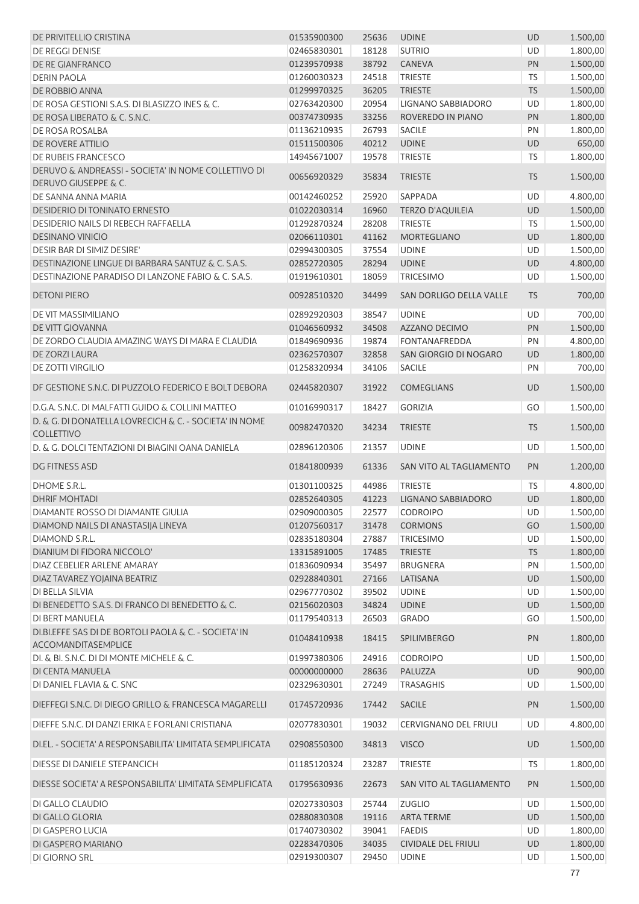| DE PRIVITELLIO CRISTINA                                                     | 01535900300                | 25636          | <b>UDINE</b>                       | <b>UD</b> | 1.500,00             |
|-----------------------------------------------------------------------------|----------------------------|----------------|------------------------------------|-----------|----------------------|
| DE REGGI DENISE                                                             | 02465830301                | 18128          | <b>SUTRIO</b>                      | <b>UD</b> | 1.800,00             |
| DE RE GIANFRANCO                                                            | 01239570938                | 38792          | CANEVA                             | PN        | 1.500,00             |
| <b>DERIN PAOLA</b>                                                          | 01260030323                | 24518          | TRIESTE                            | <b>TS</b> | 1.500,00             |
| DE ROBBIO ANNA                                                              | 01299970325                | 36205          | <b>TRIESTE</b>                     | <b>TS</b> | 1.500,00             |
| DE ROSA GESTIONI S.A.S. DI BLASIZZO INES & C.                               | 02763420300                | 20954          | LIGNANO SABBIADORO                 | UD        | 1.800,00             |
| DE ROSA LIBERATO & C. S.N.C.                                                | 00374730935                | 33256          | ROVEREDO IN PIANO                  | PN        | 1.800,00             |
| DE ROSA ROSALBA                                                             | 01136210935                | 26793          | <b>SACILE</b>                      | PN        | 1.800,00             |
| DE ROVERE ATTILIO                                                           | 01511500306                | 40212          | <b>UDINE</b>                       | <b>UD</b> | 650,00               |
| DE RUBEIS FRANCESCO                                                         | 14945671007                | 19578          | <b>TRIESTE</b>                     | TS        | 1.800,00             |
| DERUVO & ANDREASSI - SOCIETA' IN NOME COLLETTIVO DI<br>DERUVO GIUSEPPE & C. | 00656920329                | 35834          | <b>TRIESTE</b>                     | <b>TS</b> | 1.500,00             |
| DE SANNA ANNA MARIA                                                         | 00142460252                | 25920          | SAPPADA                            | UD        | 4.800,00             |
| DESIDERIO DI TONINATO ERNESTO                                               | 01022030314                | 16960          | <b>TERZO D'AQUILEIA</b>            | UD        | 1.500,00             |
| <b>DESIDERIO NAILS DI REBECH RAFFAELLA</b>                                  | 01292870324                | 28208          | <b>TRIESTE</b>                     | TS        | 1.500,00             |
| <b>DESINANO VINICIO</b>                                                     | 02066110301                | 41162          | <b>MORTEGLIANO</b>                 | UD        | 1.800,00             |
| DESIR BAR DI SIMIZ DESIRE'                                                  | 02994300305                | 37554          | <b>UDINE</b>                       | UD        | 1.500,00             |
| DESTINAZIONE LINGUE DI BARBARA SANTUZ & C. S.A.S.                           | 02852720305                | 28294          | <b>UDINE</b>                       | UD        | 4.800,00             |
| DESTINAZIONE PARADISO DI LANZONE FABIO & C. S.A.S.                          | 01919610301                | 18059          | <b>TRICESIMO</b>                   | UD        | 1.500,00             |
| <b>DETONI PIERO</b>                                                         | 00928510320                | 34499          | SAN DORLIGO DELLA VALLE            | <b>TS</b> | 700,00               |
| DE VIT MASSIMILIANO                                                         | 02892920303                | 38547          | <b>UDINE</b>                       | UD        | 700,00               |
| DE VITT GIOVANNA                                                            | 01046560932                | 34508          | AZZANO DECIMO                      | PN        |                      |
| DE ZORDO CLAUDIA AMAZING WAYS DI MARA E CLAUDIA                             | 01849690936                |                |                                    | PN        | 1.500,00             |
|                                                                             |                            | 19874          | <b>FONTANAFREDDA</b>               |           | 4.800,00             |
| DE ZORZI LAURA                                                              | 02362570307                | 32858          | SAN GIORGIO DI NOGARO              | <b>UD</b> | 1.800,00             |
| DE ZOTTI VIRGILIO                                                           | 01258320934                | 34106          | <b>SACILE</b>                      | PN        | 700,00               |
| DF GESTIONE S.N.C. DI PUZZOLO FEDERICO E BOLT DEBORA                        | 02445820307                | 31922          | <b>COMEGLIANS</b>                  | <b>UD</b> | 1.500,00             |
| D.G.A. S.N.C. DI MALFATTI GUIDO & COLLINI MATTEO                            | 01016990317                | 18427          | <b>GORIZIA</b>                     | GO        | 1.500,00             |
| D. & G. DI DONATELLA LOVRECICH & C. - SOCIETA' IN NOME<br>COLLETTIVO        | 00982470320                | 34234          | <b>TRIESTE</b>                     | <b>TS</b> | 1.500,00             |
| D. & G. DOLCI TENTAZIONI DI BIAGINI OANA DANIELA                            | 02896120306                | 21357          | <b>UDINE</b>                       | UD        | 1.500,00             |
| <b>DG FITNESS ASD</b>                                                       | 01841800939                | 61336          | SAN VITO AL TAGLIAMENTO            | <b>PN</b> | 1.200,00             |
| DHOME S.R.L.                                                                | 01301100325                | 44986          | <b>TRIESTE</b>                     | TS        | 4.800,00             |
| <b>DHRIF MOHTADI</b>                                                        | 02852640305                | 41223          | LIGNANO SABBIADORO                 | UD        | 1.800,00             |
| DIAMANTE ROSSO DI DIAMANTE GIULIA                                           | 02909000305                | 22577          | <b>CODROIPO</b>                    | UD        | 1.500,00             |
| DIAMOND NAILS DI ANASTASIJA LINEVA                                          | 01207560317                | 31478          | <b>CORMONS</b>                     | GO        | 1.500,00             |
| DIAMOND S.R.L.                                                              | 02835180304                | 27887          | <b>TRICESIMO</b>                   | UD        | 1.500,00             |
| DIANIUM DI FIDORA NICCOLO'                                                  | 13315891005                | 17485          | <b>TRIESTE</b>                     | <b>TS</b> | 1.800,00             |
| DIAZ CEBELIER ARLENE AMARAY                                                 | 01836090934                | 35497          | <b>BRUGNERA</b>                    | PN        | 1.500,00             |
| DIAZ TAVAREZ YOJAINA BEATRIZ                                                |                            |                |                                    |           | 1.500,00             |
|                                                                             | 02928840301                | 27166          | LATISANA                           | <b>UD</b> |                      |
| DI BELLA SILVIA                                                             | 02967770302                | 39502          | <b>UDINE</b>                       | <b>UD</b> | 1.500,00             |
| DI BENEDETTO S.A.S. DI FRANCO DI BENEDETTO & C.                             | 02156020303                | 34824          | <b>UDINE</b>                       | <b>UD</b> | 1.500,00             |
| DI BERT MANUELA<br>DI.BI.EFFE SAS DI DE BORTOLI PAOLA & C. - SOCIETA' IN    | 01179540313<br>01048410938 | 26503<br>18415 | <b>GRADO</b><br><b>SPILIMBERGO</b> | GO<br>PN  | 1.500,00<br>1.800,00 |
| ACCOMANDITASEMPLICE                                                         |                            |                |                                    |           |                      |
| DI. & BI. S.N.C. DI DI MONTE MICHELE & C.                                   | 01997380306                | 24916          | <b>CODROIPO</b>                    | UD        | 1.500,00             |
| DI CENTA MANUELA                                                            | 00000000000                | 28636          | PALUZZA                            | <b>UD</b> | 900,00               |
| DI DANIEL FLAVIA & C. SNC                                                   | 02329630301                | 27249          | <b>TRASAGHIS</b>                   | UD        | 1.500,00             |
| DIEFFEGI S.N.C. DI DIEGO GRILLO & FRANCESCA MAGARELLI                       | 01745720936                | 17442          | <b>SACILE</b>                      | PN        | 1.500,00             |
| DIEFFE S.N.C. DI DANZI ERIKA E FORLANI CRISTIANA                            | 02077830301                | 19032          | <b>CERVIGNANO DEL FRIULI</b>       | UD        | 4.800,00             |
| DI.EL. - SOCIETA' A RESPONSABILITA' LIMITATA SEMPLIFICATA                   | 02908550300                | 34813          | <b>VISCO</b>                       | UD        | 1.500,00             |
| DIESSE DI DANIELE STEPANCICH                                                | 01185120324                | 23287          | <b>TRIESTE</b>                     | <b>TS</b> | 1.800,00             |
| DIESSE SOCIETA' A RESPONSABILITA' LIMITATA SEMPLIFICATA                     | 01795630936                | 22673          | SAN VITO AL TAGLIAMENTO            | <b>PN</b> | 1.500,00             |
| DI GALLO CLAUDIO                                                            | 02027330303                | 25744          | <b>ZUGLIO</b>                      | UD        | 1.500,00             |
| DI GALLO GLORIA                                                             | 02880830308                | 19116          | <b>ARTA TERME</b>                  | <b>UD</b> | 1.500,00             |
| DI GASPERO LUCIA                                                            | 01740730302                | 39041          | <b>FAEDIS</b>                      | UD        | 1.800,00             |
| DI GASPERO MARIANO                                                          | 02283470306                | 34035          | <b>CIVIDALE DEL FRIULI</b>         | UD        | 1.800,00             |
| DI GIORNO SRL                                                               | 02919300307                | 29450          | <b>UDINE</b>                       | UD        | 1.500,00             |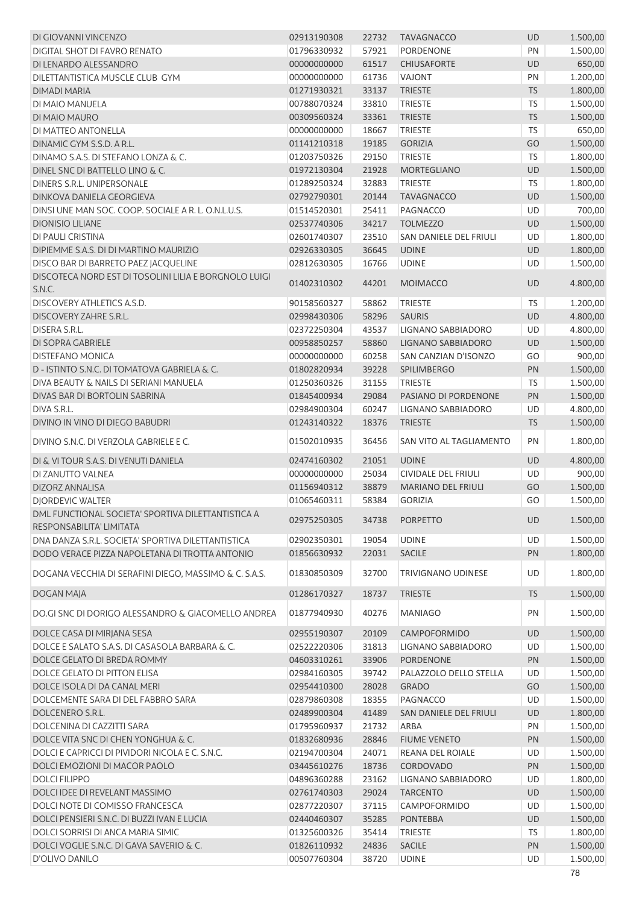| DI GIOVANNI VINCENZO                                                           | 02913190308 | 22732 | <b>TAVAGNACCO</b>          | <b>UD</b> | 1.500,00 |
|--------------------------------------------------------------------------------|-------------|-------|----------------------------|-----------|----------|
| DIGITAL SHOT DI FAVRO RENATO                                                   | 01796330932 | 57921 | <b>PORDENONE</b>           | PN        | 1.500,00 |
| DI LENARDO ALESSANDRO                                                          | 00000000000 | 61517 | <b>CHIUSAFORTE</b>         | <b>UD</b> | 650,00   |
| DILETTANTISTICA MUSCLE CLUB GYM                                                | 00000000000 | 61736 | <b>VAJONT</b>              | PN        | 1.200,00 |
| DIMADI MARIA                                                                   | 01271930321 | 33137 | <b>TRIESTE</b>             | <b>TS</b> | 1.800,00 |
| DI MAIO MANUELA                                                                | 00788070324 | 33810 | <b>TRIESTE</b>             | TS        | 1.500,00 |
| DI MAIO MAURO                                                                  | 00309560324 | 33361 | <b>TRIESTE</b>             | <b>TS</b> | 1.500,00 |
| DI MATTEO ANTONELLA                                                            | 00000000000 | 18667 | <b>TRIESTE</b>             | <b>TS</b> | 650,00   |
| DINAMIC GYM S.S.D. A R.L.                                                      | 01141210318 | 19185 | <b>GORIZIA</b>             | GO        | 1.500,00 |
| DINAMO S.A.S. DI STEFANO LONZA & C.                                            | 01203750326 | 29150 | <b>TRIESTE</b>             | <b>TS</b> | 1.800,00 |
| DINEL SNC DI BATTELLO LINO & C.                                                | 01972130304 | 21928 | <b>MORTEGLIANO</b>         | UD        | 1.500,00 |
| DINERS S.R.L. UNIPERSONALE                                                     | 01289250324 | 32883 | <b>TRIESTE</b>             | <b>TS</b> | 1.800,00 |
| DINKOVA DANIELA GEORGIEVA                                                      | 02792790301 | 20144 | <b>TAVAGNACCO</b>          | <b>UD</b> | 1.500,00 |
| DINSI UNE MAN SOC. COOP. SOCIALE A R. L. O.N.L.U.S.                            | 01514520301 | 25411 | PAGNACCO                   | UD        | 700,00   |
| <b>DIONISIO LILIANE</b>                                                        | 02537740306 | 34217 | <b>TOLMEZZO</b>            | <b>UD</b> | 1.500,00 |
| DI PAULI CRISTINA                                                              | 02601740307 | 23510 | SAN DANIELE DEL FRIULI     | UD        | 1.800,00 |
| DIPIEMME S.A.S. DI DI MARTINO MAURIZIO                                         | 02926330305 | 36645 | <b>UDINE</b>               | <b>UD</b> | 1.800,00 |
| DISCO BAR DI BARRETO PAEZ JACQUELINE                                           | 02812630305 | 16766 | <b>UDINE</b>               | <b>UD</b> | 1.500,00 |
| DISCOTECA NORD EST DI TOSOLINI LILIA E BORGNOLO LUIGI                          | 01402310302 | 44201 | <b>MOIMACCO</b>            | <b>UD</b> | 4.800,00 |
| S.N.C.                                                                         |             |       |                            |           |          |
| DISCOVERY ATHLETICS A.S.D.                                                     | 90158560327 | 58862 | <b>TRIESTE</b>             | <b>TS</b> | 1.200,00 |
| DISCOVERY ZAHRE S.R.L.                                                         | 02998430306 | 58296 | <b>SAURIS</b>              | <b>UD</b> | 4.800,00 |
| DISERA S.R.L.                                                                  | 02372250304 | 43537 | LIGNANO SABBIADORO         | UD        | 4.800,00 |
| DI SOPRA GABRIELE                                                              | 00958850257 | 58860 | LIGNANO SABBIADORO         | <b>UD</b> | 1.500,00 |
| <b>DISTEFANO MONICA</b>                                                        | 00000000000 | 60258 | SAN CANZIAN D'ISONZO       | GO        | 900,00   |
| D - ISTINTO S.N.C. DI TOMATOVA GABRIELA & C.                                   | 01802820934 | 39228 | SPILIMBERGO                | PN        | 1.500,00 |
| DIVA BEAUTY & NAILS DI SERIANI MANUELA                                         | 01250360326 | 31155 | <b>TRIESTE</b>             | TS        | 1.500,00 |
| DIVAS BAR DI BORTOLIN SABRINA                                                  | 01845400934 | 29084 | PASIANO DI PORDENONE       | PN        | 1.500,00 |
| DIVA S.R.L.                                                                    | 02984900304 | 60247 | LIGNANO SABBIADORO         | UD        | 4.800,00 |
| DIVINO IN VINO DI DIEGO BABUDRI                                                | 01243140322 | 18376 | <b>TRIESTE</b>             | <b>TS</b> | 1.500,00 |
| DIVINO S.N.C. DI VERZOLA GABRIELE E C.                                         | 01502010935 | 36456 | SAN VITO AL TAGLIAMENTO    | PN        | 1.800,00 |
| DI & VI TOUR S.A.S. DI VENUTI DANIELA                                          | 02474160302 | 21051 | <b>UDINE</b>               | <b>UD</b> | 4.800,00 |
| DI ZANUTTO VALNEA                                                              | 00000000000 | 25034 | <b>CIVIDALE DEL FRIULI</b> | UD        | 900,00   |
| <b>DIZORZ ANNALISA</b>                                                         | 01156940312 | 38879 | MARIANO DEL FRIULI         | GO        | 1.500,00 |
| <b>DJORDEVIC WALTER</b>                                                        | 01065460311 | 58384 | <b>GORIZIA</b>             | GO        | 1.500,00 |
| DML FUNCTIONAL SOCIETA' SPORTIVA DILETTANTISTICA A<br>RESPONSABILITA' LIMITATA | 02975250305 | 34738 | <b>PORPETTO</b>            | <b>UD</b> | 1.500,00 |
| DNA DANZA S.R.L. SOCIETA' SPORTIVA DILETTANTISTICA                             | 02902350301 | 19054 | <b>UDINE</b>               | <b>UD</b> | 1.500,00 |
| DODO VERACE PIZZA NAPOLETANA DI TROTTA ANTONIO                                 | 01856630932 | 22031 | <b>SACILE</b>              | PN        | 1.800,00 |
| DOGANA VECCHIA DI SERAFINI DIEGO, MASSIMO & C. S.A.S.                          | 01830850309 | 32700 | TRIVIGNANO UDINESE         | UD        | 1.800,00 |
| DOGAN MAJA                                                                     | 01286170327 | 18737 | <b>TRIESTE</b>             | <b>TS</b> | 1.500,00 |
| DO.GI SNC DI DORIGO ALESSANDRO & GIACOMELLO ANDREA                             | 01877940930 | 40276 | <b>MANIAGO</b>             | PN        | 1.500,00 |
| DOLCE CASA DI MIRJANA SESA                                                     | 02955190307 | 20109 | CAMPOFORMIDO               | <b>UD</b> | 1.500,00 |
| DOLCE E SALATO S.A.S. DI CASASOLA BARBARA & C.                                 | 02522220306 | 31813 | LIGNANO SABBIADORO         | <b>UD</b> | 1.500,00 |
| DOLCE GELATO DI BREDA ROMMY                                                    | 04603310261 | 33906 | <b>PORDENONE</b>           | PN        | 1.500,00 |
| DOLCE GELATO DI PITTON ELISA                                                   | 02984160305 | 39742 | PALAZZOLO DELLO STELLA     | UD        | 1.500,00 |
| DOLCE ISOLA DI DA CANAL MERI                                                   | 02954410300 | 28028 | <b>GRADO</b>               | GO        | 1.500,00 |
| DOLCEMENTE SARA DI DEL FABBRO SARA                                             | 02879860308 | 18355 | PAGNACCO                   | UD        | 1.500,00 |
| DOLCENERO S.R.L.                                                               | 02489900304 | 41489 | SAN DANIELE DEL FRIULI     | <b>UD</b> | 1.800,00 |
| DOLCENINA DI CAZZITTI SARA                                                     | 01795960937 | 21732 | ARBA                       | PN        | 1.500,00 |
| DOLCE VITA SNC DI CHEN YONGHUA & C.                                            | 01832680936 | 28846 | <b>FIUME VENETO</b>        | PN        | 1.500,00 |
| DOLCI E CAPRICCI DI PIVIDORI NICOLA E C. S.N.C.                                | 02194700304 | 24071 | REANA DEL ROIALE           | <b>UD</b> | 1.500,00 |
| DOLCI EMOZIONI DI MACOR PAOLO                                                  | 03445610276 | 18736 | CORDOVADO                  | PN        | 1.500,00 |
| <b>DOLCI FILIPPO</b>                                                           | 04896360288 | 23162 | LIGNANO SABBIADORO         | UD        | 1.800,00 |
| DOLCI IDEE DI REVELANT MASSIMO                                                 | 02761740303 | 29024 | <b>TARCENTO</b>            | <b>UD</b> | 1.500,00 |
| DOLCI NOTE DI COMISSO FRANCESCA                                                | 02877220307 | 37115 | CAMPOFORMIDO               | UD        | 1.500,00 |
| DOLCI PENSIERI S.N.C. DI BUZZI IVAN E LUCIA                                    | 02440460307 | 35285 | <b>PONTEBBA</b>            | <b>UD</b> | 1.500,00 |
| DOLCI SORRISI DI ANCA MARIA SIMIC                                              | 01325600326 | 35414 | <b>TRIESTE</b>             | <b>TS</b> | 1.800,00 |
| DOLCI VOGLIE S.N.C. DI GAVA SAVERIO & C.                                       | 01826110932 | 24836 | <b>SACILE</b>              | PN        | 1.500,00 |
| D'OLIVO DANILO                                                                 | 00507760304 | 38720 | <b>UDINE</b>               | <b>UD</b> | 1.500,00 |
|                                                                                |             |       |                            |           | 78       |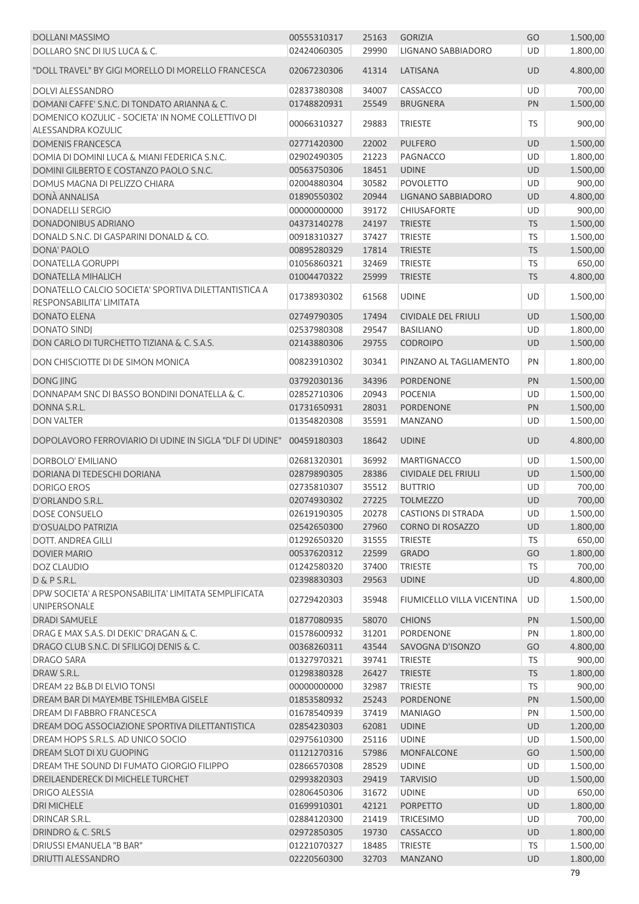| <b>DOLLANI MASSIMO</b>                                                           | 00555310317 | 25163 | <b>GORIZIA</b>             | GO        | 1.500,00 |
|----------------------------------------------------------------------------------|-------------|-------|----------------------------|-----------|----------|
| DOLLARO SNC DI IUS LUCA & C.                                                     | 02424060305 | 29990 | LIGNANO SABBIADORO         | UD        | 1.800,00 |
| "DOLL TRAVEL" BY GIGI MORELLO DI MORELLO FRANCESCA                               | 02067230306 | 41314 | LATISANA                   | <b>UD</b> | 4.800,00 |
| DOLVI ALESSANDRO                                                                 | 02837380308 | 34007 | CASSACCO                   | UD        | 700,00   |
| DOMANI CAFFE' S.N.C. DI TONDATO ARIANNA & C.                                     | 01748820931 | 25549 | <b>BRUGNERA</b>            | PN        | 1.500,00 |
| DOMENICO KOZULIC - SOCIETA' IN NOME COLLETTIVO DI<br>ALESSANDRA KOZULIC          | 00066310327 | 29883 | <b>TRIESTE</b>             | TS        | 900,00   |
| <b>DOMENIS FRANCESCA</b>                                                         | 02771420300 | 22002 | <b>PULFERO</b>             | UD        | 1.500,00 |
| DOMIA DI DOMINI LUCA & MIANI FEDERICA S.N.C.                                     | 02902490305 | 21223 | PAGNACCO                   | UD        | 1.800,00 |
| DOMINI GILBERTO E COSTANZO PAOLO S.N.C.                                          | 00563750306 | 18451 | <b>UDINE</b>               | UD        | 1.500,00 |
| DOMUS MAGNA DI PELIZZO CHIARA                                                    | 02004880304 | 30582 | <b>POVOLETTO</b>           | UD        | 900,00   |
| DONÀ ANNALISA                                                                    | 01890550302 | 20944 | LIGNANO SABBIADORO         | UD        | 4.800,00 |
| <b>DONADELLI SERGIO</b>                                                          | 00000000000 | 39172 | <b>CHIUSAFORTE</b>         | UD        | 900,00   |
| DONADONIBUS ADRIANO                                                              | 04373140278 | 24197 | <b>TRIESTE</b>             | <b>TS</b> | 1.500,00 |
| DONALD S.N.C. DI GASPARINI DONALD & CO.                                          | 00918310327 | 37427 | <b>TRIESTE</b>             | TS        | 1.500,00 |
| <b>DONA' PAOLO</b>                                                               | 00895280329 | 17814 | <b>TRIESTE</b>             | <b>TS</b> | 1.500,00 |
| <b>DONATELLA GORUPPI</b>                                                         | 01056860321 | 32469 | <b>TRIESTE</b>             | TS        | 650,00   |
| <b>DONATELLA MIHALICH</b>                                                        | 01004470322 | 25999 | <b>TRIESTE</b>             | <b>TS</b> | 4.800,00 |
| DONATELLO CALCIO SOCIETA' SPORTIVA DILETTANTISTICA A<br>RESPONSABILITA' LIMITATA | 01738930302 | 61568 | <b>UDINE</b>               | UD        | 1.500,00 |
| <b>DONATO ELENA</b>                                                              | 02749790305 | 17494 | <b>CIVIDALE DEL FRIULI</b> | UD        | 1.500,00 |
| <b>DONATO SINDJ</b>                                                              | 02537980308 | 29547 | <b>BASILIANO</b>           | UD        | 1.800,00 |
| DON CARLO DI TURCHETTO TIZIANA & C. S.A.S.                                       | 02143880306 | 29755 | <b>CODROIPO</b>            | UD        | 1.500,00 |
| DON CHISCIOTTE DI DE SIMON MONICA                                                | 00823910302 | 30341 | PINZANO AL TAGLIAMENTO     | PN        | 1.800,00 |
| <b>DONG JING</b>                                                                 | 03792030136 | 34396 | <b>PORDENONE</b>           | PN        | 1.500,00 |
| DONNAPAM SNC DI BASSO BONDINI DONATELLA & C.                                     | 02852710306 | 20943 | <b>POCENIA</b>             | UD        | 1.500,00 |
| DONNA S.R.L.                                                                     | 01731650931 | 28031 | <b>PORDENONE</b>           | PN        | 1.500,00 |
| <b>DON VALTER</b>                                                                | 01354820308 | 35591 | <b>MANZANO</b>             | UD        | 1.500,00 |
| DOPOLAVORO FERROVIARIO DI UDINE IN SIGLA "DLF DI UDINE"                          | 00459180303 | 18642 | <b>UDINE</b>               | UD        | 4.800,00 |
| <b>DORBOLO' EMILIANO</b>                                                         | 02681320301 | 36992 | <b>MARTIGNACCO</b>         | UD        | 1.500,00 |
| DORIANA DI TEDESCHI DORIANA                                                      | 02879890305 | 28386 | <b>CIVIDALE DEL FRIULI</b> | UD        | 1.500,00 |
| <b>DORIGO EROS</b>                                                               | 02735810307 | 35512 | <b>BUTTRIO</b>             | UD        | 700,00   |
| D'ORLANDO S.R.L.                                                                 | 02074930302 | 27225 | <b>TOLMEZZO</b>            | <b>UD</b> | 700,00   |
| DOSE CONSUELO                                                                    | 02619190305 | 20278 | <b>CASTIONS DI STRADA</b>  | UD        | 1.500,00 |
| D'OSUALDO PATRIZIA                                                               | 02542650300 | 27960 | CORNO DI ROSAZZO           | <b>UD</b> | 1.800,00 |
| <b>DOTT, ANDREA GILLI</b>                                                        | 01292650320 | 31555 | <b>TRIESTE</b>             | <b>TS</b> | 650,00   |
| <b>DOVIER MARIO</b>                                                              | 00537620312 | 22599 | <b>GRADO</b>               | GO        | 1.800,00 |
| DOZ CLAUDIO                                                                      | 01242580320 | 37400 | <b>TRIESTE</b>             | TS        | 700,00   |
| D & P S.R.L.                                                                     | 02398830303 | 29563 | <b>UDINE</b>               | UD        | 4.800,00 |
| DPW SOCIETA' A RESPONSABILITA' LIMITATA SEMPLIFICATA<br><b>UNIPERSONALE</b>      | 02729420303 | 35948 | FIUMICELLO VILLA VICENTINA | UD        | 1.500,00 |
| <b>DRADI SAMUELE</b>                                                             | 01877080935 | 58070 | <b>CHIONS</b>              | PN        | 1.500,00 |
| DRAG E MAX S.A.S. DI DEKIC' DRAGAN & C.                                          | 01578600932 | 31201 | <b>PORDENONE</b>           | PN        | 1.800,00 |
| DRAGO CLUB S.N.C. DI SFILIGOJ DENIS & C.                                         | 00368260311 | 43544 | SAVOGNA D'ISONZO           | GO        | 4.800,00 |
| <b>DRAGO SARA</b>                                                                | 01327970321 | 39741 | <b>TRIESTE</b>             | <b>TS</b> | 900,00   |
| DRAW S.R.L.                                                                      | 01298380328 | 26427 | <b>TRIESTE</b>             | <b>TS</b> | 1.800,00 |
| DREAM 22 B&B DI ELVIO TONSI                                                      | 00000000000 | 32987 | <b>TRIESTE</b>             | <b>TS</b> | 900,00   |
| DREAM BAR DI MAYEMBE TSHILEMBA GISELE                                            | 01853580932 | 25243 | <b>PORDENONE</b>           | PN        | 1.500,00 |
| DREAM DI FABBRO FRANCESCA                                                        | 01678540939 | 37419 | <b>MANIAGO</b>             | PN        | 1.500,00 |
| DREAM DOG ASSOCIAZIONE SPORTIVA DILETTANTISTICA                                  | 02854230303 | 62081 | <b>UDINE</b>               | UD        | 1.200,00 |
| DREAM HOPS S.R.L.S. AD UNICO SOCIO                                               | 02975610300 | 25116 | <b>UDINE</b>               | UD        | 1.500,00 |
| DREAM SLOT DI XU GUOPING                                                         | 01121270316 | 57986 | MONFALCONE                 | GO        | 1.500,00 |
| DREAM THE SOUND DI FUMATO GIORGIO FILIPPO                                        | 02866570308 | 28529 | <b>UDINE</b>               | UD        | 1.500,00 |
| DREILAENDERECK DI MICHELE TURCHET                                                | 02993820303 | 29419 | <b>TARVISIO</b>            | UD        | 1.500,00 |
| DRIGO ALESSIA                                                                    | 02806450306 | 31672 | <b>UDINE</b>               | UD        | 650,00   |
| <b>DRI MICHELE</b>                                                               | 01699910301 | 42121 | <b>PORPETTO</b>            | UD        | 1.800,00 |
| DRINCAR S.R.L.                                                                   | 02884120300 | 21419 | <b>TRICESIMO</b>           | UD        | 700,00   |
| DRINDRO & C. SRLS                                                                | 02972850305 | 19730 | CASSACCO                   | UD        | 1.800,00 |
| DRIUSSI EMANUELA "B BAR"                                                         | 01221070327 | 18485 | <b>TRIESTE</b>             | <b>TS</b> | 1.500,00 |
| <b>DRIUTTI ALESSANDRO</b>                                                        | 02220560300 | 32703 | <b>MANZANO</b>             | <b>UD</b> | 1.800,00 |
|                                                                                  |             |       |                            |           | 79       |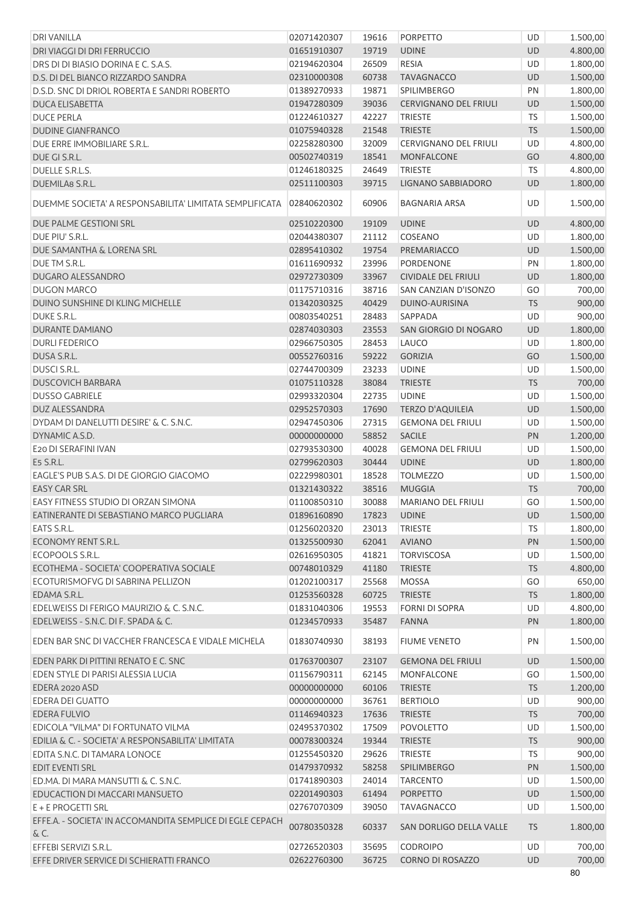| DRI VANILLA                                                       | 02071420307 | 19616 | <b>PORPETTO</b>              | <b>UD</b> | 1.500,00 |
|-------------------------------------------------------------------|-------------|-------|------------------------------|-----------|----------|
| DRI VIAGGI DI DRI FERRUCCIO                                       | 01651910307 | 19719 | <b>UDINE</b>                 | <b>UD</b> | 4.800,00 |
| DRS DI DI BIASIO DORINA E C. S.A.S.                               | 02194620304 | 26509 | <b>RESIA</b>                 | <b>UD</b> | 1.800,00 |
| D.S. DI DEL BIANCO RIZZARDO SANDRA                                | 02310000308 | 60738 | <b>TAVAGNACCO</b>            | <b>UD</b> | 1.500,00 |
| D.S.D. SNC DI DRIOL ROBERTA E SANDRI ROBERTO                      | 01389270933 | 19871 | <b>SPILIMBERGO</b>           | PN        | 1.800,00 |
| <b>DUCA ELISABETTA</b>                                            | 01947280309 | 39036 | <b>CERVIGNANO DEL FRIULI</b> | UD        | 1.500,00 |
| <b>DUCE PERLA</b>                                                 | 01224610327 | 42227 | <b>TRIESTE</b>               | <b>TS</b> | 1.500,00 |
| DUDINE GIANFRANCO                                                 | 01075940328 | 21548 | <b>TRIESTE</b>               | <b>TS</b> | 1.500,00 |
| DUE ERRE IMMOBILIARE S.R.L.                                       | 02258280300 | 32009 | <b>CERVIGNANO DEL FRIULI</b> | UD        | 4.800,00 |
| DUE GI S.R.L.                                                     | 00502740319 | 18541 | <b>MONFALCONE</b>            | GO        | 4.800,00 |
| DUELLE S.R.L.S.                                                   | 01246180325 | 24649 | <b>TRIESTE</b>               | <b>TS</b> | 4.800,00 |
| DUEMILA8 S.R.L.                                                   | 02511100303 | 39715 | LIGNANO SABBIADORO           | <b>UD</b> | 1.800,00 |
| DUEMME SOCIETA' A RESPONSABILITA' LIMITATA SEMPLIFICATA           | 02840620302 | 60906 | <b>BAGNARIA ARSA</b>         | UD        | 1.500,00 |
| DUE PALME GESTIONI SRL                                            | 02510220300 | 19109 | <b>UDINE</b>                 | UD        | 4.800,00 |
| DUE PIU' S.R.L.                                                   | 02044380307 | 21112 | COSEANO                      | UD        | 1.800,00 |
| DUE SAMANTHA & LORENA SRL                                         | 02895410302 | 19754 | PREMARIACCO                  | UD        | 1.500,00 |
| DUE TM S.R.L.                                                     | 01611690932 | 23996 | PORDENONE                    | PN        | 1.800,00 |
| DUGARO ALESSANDRO                                                 | 02972730309 | 33967 | <b>CIVIDALE DEL FRIULI</b>   | <b>UD</b> | 1.800,00 |
| <b>DUGON MARCO</b>                                                | 01175710316 | 38716 | SAN CANZIAN D'ISONZO         | GO        | 700,00   |
| DUINO SUNSHINE DI KLING MICHELLE                                  | 01342030325 | 40429 | DUINO-AURISINA               | <b>TS</b> | 900,00   |
| DUKE S.R.L.                                                       | 00803540251 | 28483 | SAPPADA                      | UD        | 900,00   |
| <b>DURANTE DAMIANO</b>                                            | 02874030303 | 23553 | SAN GIORGIO DI NOGARO        | UD        | 1.800,00 |
| <b>DURLI FEDERICO</b>                                             | 02966750305 | 28453 | LAUCO                        | UD        |          |
|                                                                   |             |       |                              |           | 1.800,00 |
| DUSA S.R.L.                                                       | 00552760316 | 59222 | <b>GORIZIA</b>               | GO        | 1.500,00 |
| DUSCI S.R.L.                                                      | 02744700309 | 23233 | <b>UDINE</b>                 | UD        | 1.500,00 |
| <b>DUSCOVICH BARBARA</b>                                          | 01075110328 | 38084 | <b>TRIESTE</b>               | <b>TS</b> | 700,00   |
| <b>DUSSO GABRIELE</b>                                             | 02993320304 | 22735 | <b>UDINE</b>                 | <b>UD</b> | 1.500,00 |
| DUZ ALESSANDRA                                                    | 02952570303 | 17690 | TERZO D'AQUILEIA             | UD        | 1.500,00 |
| DYDAM DI DANELUTTI DESIRE' & C. S.N.C.                            | 02947450306 | 27315 | <b>GEMONA DEL FRIULI</b>     | <b>UD</b> | 1.500,00 |
| DYNAMIC A.S.D.                                                    | 00000000000 | 58852 | <b>SACILE</b>                | PN        | 1.200,00 |
| E20 DI SERAFINI IVAN                                              | 02793530300 | 40028 | <b>GEMONA DEL FRIULI</b>     | UD        | 1.500,00 |
| E5 S.R.L.                                                         | 02799620303 | 30444 | <b>UDINE</b>                 | <b>UD</b> | 1.800,00 |
| EAGLE'S PUB S.A.S. DI DE GIORGIO GIACOMO                          | 02229980301 | 18528 | <b>TOLMEZZO</b>              | UD        | 1.500,00 |
| <b>EASY CAR SRL</b>                                               | 01321430322 | 38516 | <b>MUGGIA</b>                | <b>TS</b> | 700,00   |
| EASY FITNESS STUDIO DI ORZAN SIMONA                               | 01100850310 | 30088 | <b>MARIANO DEL FRIULI</b>    | GO        | 1.500,00 |
| EATINERANTE DI SEBASTIANO MARCO PUGLIARA                          | 01896160890 | 17823 | <b>UDINE</b>                 | <b>UD</b> | 1.500,00 |
| EATS S.R.L.                                                       | 01256020320 | 23013 | <b>TRIESTE</b>               | <b>TS</b> | 1.800,00 |
| ECONOMY RENT S.R.L.                                               | 01325500930 | 62041 | <b>AVIANO</b>                | PN        | 1.500,00 |
| ECOPOOLS S.R.L.                                                   | 02616950305 | 41821 | <b>TORVISCOSA</b>            | UD        | 1.500,00 |
| ECOTHEMA - SOCIETA' COOPERATIVA SOCIALE                           | 00748010329 | 41180 | <b>TRIESTE</b>               | <b>TS</b> | 4.800,00 |
| ECOTURISMOFVG DI SABRINA PELLIZON                                 | 01202100317 | 25568 | <b>MOSSA</b>                 | GO        | 650,00   |
| EDAMA S.R.L.                                                      | 01253560328 | 60725 | <b>TRIESTE</b>               | <b>TS</b> | 1.800,00 |
| EDELWEISS DI FERIGO MAURIZIO & C. S.N.C.                          | 01831040306 | 19553 | <b>FORNI DI SOPRA</b>        | <b>UD</b> | 4.800,00 |
| EDELWEISS - S.N.C. DI F. SPADA & C.                               | 01234570933 | 35487 | <b>FANNA</b>                 | PN        | 1.800,00 |
| EDEN BAR SNC DI VACCHER FRANCESCA E VIDALE MICHELA                | 01830740930 | 38193 | <b>FIUME VENETO</b>          | PN        | 1.500,00 |
| EDEN PARK DI PITTINI RENATO E C. SNC                              | 01763700307 | 23107 | <b>GEMONA DEL FRIULI</b>     | <b>UD</b> | 1.500,00 |
| EDEN STYLE DI PARISI ALESSIA LUCIA                                | 01156790311 | 62145 | MONFALCONE                   | GO        | 1.500,00 |
| EDERA 2020 ASD                                                    | 00000000000 | 60106 | <b>TRIESTE</b>               | <b>TS</b> | 1.200,00 |
| EDERA DEI GUATTO                                                  | 00000000000 | 36761 | <b>BERTIOLO</b>              | UD        | 900,00   |
| EDERA FULVIO                                                      | 01146940323 | 17636 | <b>TRIESTE</b>               | <b>TS</b> | 700,00   |
| EDICOLA "VILMA" DI FORTUNATO VILMA                                | 02495370302 | 17509 | <b>POVOLETTO</b>             | <b>UD</b> | 1.500,00 |
| EDILIA & C. - SOCIETA' A RESPONSABILITA' LIMITATA                 | 00078300324 | 19344 | <b>TRIESTE</b>               | <b>TS</b> | 900,00   |
| EDITA S.N.C. DI TAMARA LONOCE                                     | 01255450320 | 29626 | <b>TRIESTE</b>               | <b>TS</b> | 900,00   |
| EDIT EVENTI SRL                                                   | 01479370932 | 58258 | <b>SPILIMBERGO</b>           | PN        | 1.500,00 |
| ED.MA. DI MARA MANSUTTI & C. S.N.C.                               | 01741890303 | 24014 | <b>TARCENTO</b>              | UD        | 1.500,00 |
| EDUCACTION DI MACCARI MANSUETO                                    | 02201490303 | 61494 | <b>PORPETTO</b>              | <b>UD</b> | 1.500,00 |
| E + E PROGETTI SRL                                                | 02767070309 | 39050 | <b>TAVAGNACCO</b>            | UD        | 1.500,00 |
| EFFE.A. - SOCIETA' IN ACCOMANDITA SEMPLICE DI EGLE CEPACH<br>& C. | 00780350328 | 60337 | SAN DORLIGO DELLA VALLE      | <b>TS</b> | 1.800,00 |
| EFFEBI SERVIZI S.R.L.                                             | 02726520303 | 35695 | <b>CODROIPO</b>              | UD        | 700,00   |
| EFFE DRIVER SERVICE DI SCHIERATTI FRANCO                          | 02622760300 | 36725 | CORNO DI ROSAZZO             | <b>UD</b> | 700,00   |
|                                                                   |             |       |                              |           | 80       |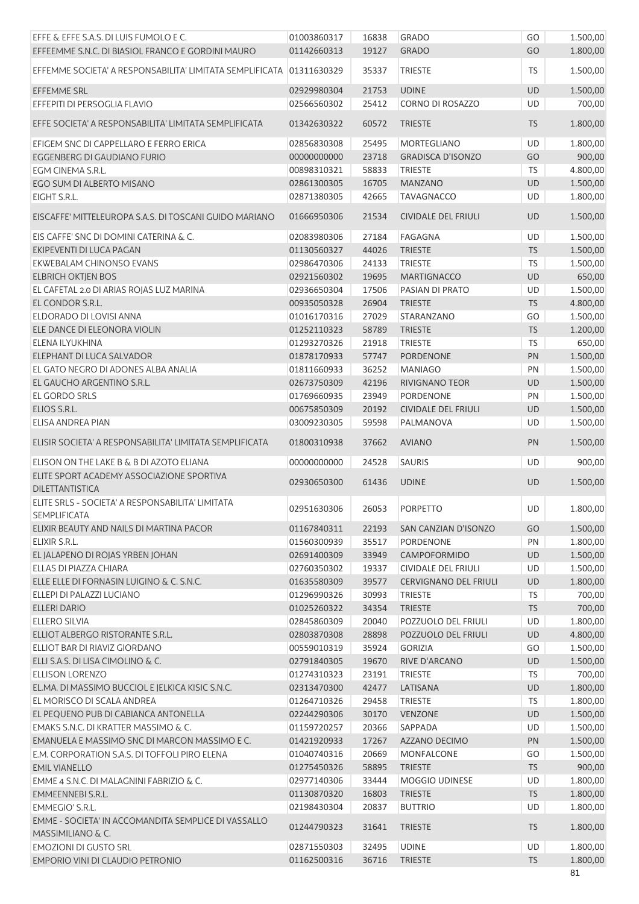| EFFE & EFFE S.A.S. DI LUIS FUMOLO E C.                                   | 01003860317 | 16838 | <b>GRADO</b>               | GO        | 1.500,00 |
|--------------------------------------------------------------------------|-------------|-------|----------------------------|-----------|----------|
| EFFEEMME S.N.C. DI BIASIOL FRANCO E GORDINI MAURO                        | 01142660313 | 19127 | <b>GRADO</b>               | GO        | 1.800,00 |
| EFFEMME SOCIETA' A RESPONSABILITA' LIMITATA SEMPLIFICATA                 | 01311630329 | 35337 | <b>TRIESTE</b>             | <b>TS</b> | 1.500,00 |
|                                                                          |             |       |                            |           |          |
| EFFEMME SRL                                                              | 02929980304 | 21753 | <b>UDINE</b>               | UD        | 1.500,00 |
| EFFEPITI DI PERSOGLIA FLAVIO                                             | 02566560302 | 25412 | CORNO DI ROSAZZO           | <b>UD</b> | 700,00   |
| EFFE SOCIETA' A RESPONSABILITA' LIMITATA SEMPLIFICATA                    | 01342630322 | 60572 | <b>TRIESTE</b>             | <b>TS</b> | 1.800,00 |
| EFIGEM SNC DI CAPPELLARO E FERRO ERICA                                   | 02856830308 | 25495 | <b>MORTEGLIANO</b>         | UD        | 1.800,00 |
| EGGENBERG DI GAUDIANO FURIO                                              | 00000000000 | 23718 | <b>GRADISCA D'ISONZO</b>   | GO        | 900,00   |
| EGM CINEMA S.R.L.                                                        | 00898310321 | 58833 | <b>TRIESTE</b>             | <b>TS</b> | 4.800,00 |
| EGO SUM DI ALBERTO MISANO                                                | 02861300305 | 16705 | <b>MANZANO</b>             | UD        | 1.500,00 |
| EIGHT S.R.L.                                                             | 02871380305 | 42665 | <b>TAVAGNACCO</b>          | UD        | 1.800,00 |
| EISCAFFE' MITTELEUROPA S.A.S. DI TOSCANI GUIDO MARIANO                   | 01666950306 | 21534 | <b>CIVIDALE DEL FRIULI</b> | <b>UD</b> | 1.500,00 |
| EIS CAFFE' SNC DI DOMINI CATERINA & C.                                   | 02083980306 | 27184 | FAGAGNA                    | UD        | 1.500,00 |
| EKIPEVENTI DI LUCA PAGAN                                                 | 01130560327 | 44026 | <b>TRIESTE</b>             | <b>TS</b> | 1.500,00 |
| EKWEBALAM CHINONSO EVANS                                                 | 02986470306 | 24133 | <b>TRIESTE</b>             | TS        | 1.500,00 |
| <b>ELBRICH OKTJEN BOS</b>                                                | 02921560302 | 19695 | <b>MARTIGNACCO</b>         | <b>UD</b> | 650,00   |
| EL CAFETAL 2.0 DI ARIAS ROJAS LUZ MARINA                                 | 02936650304 | 17506 | PASIAN DI PRATO            | UD        | 1.500,00 |
| EL CONDOR S.R.L.                                                         | 00935050328 | 26904 | <b>TRIESTE</b>             | <b>TS</b> | 4.800,00 |
| ELDORADO DI LOVISI ANNA                                                  | 01016170316 | 27029 | STARANZANO                 | GO        | 1.500,00 |
| ELE DANCE DI ELEONORA VIOLIN                                             | 01252110323 | 58789 | <b>TRIESTE</b>             | <b>TS</b> | 1.200,00 |
| ELENA ILYUKHINA                                                          | 01293270326 | 21918 | <b>TRIESTE</b>             | TS        | 650,00   |
| ELEPHANT DI LUCA SALVADOR                                                | 01878170933 | 57747 | PORDENONE                  | PN        | 1.500,00 |
| EL GATO NEGRO DI ADONES ALBA ANALIA                                      | 01811660933 | 36252 | <b>MANIAGO</b>             | PN        | 1.500,00 |
| EL GAUCHO ARGENTINO S.R.L.                                               | 02673750309 | 42196 | <b>RIVIGNANO TEOR</b>      | UD        | 1.500,00 |
| EL GORDO SRLS                                                            | 01769660935 | 23949 | PORDENONE                  | PN        | 1.500,00 |
| ELIOS S.R.L.                                                             | 00675850309 | 20192 | <b>CIVIDALE DEL FRIULI</b> | UD        | 1.500,00 |
| ELISA ANDREA PIAN                                                        | 03009230305 | 59598 | PALMANOVA                  | <b>UD</b> | 1.500,00 |
| ELISIR SOCIETA' A RESPONSABILITA' LIMITATA SEMPLIFICATA                  | 01800310938 | 37662 | <b>AVIANO</b>              | PN        | 1.500,00 |
| ELISON ON THE LAKE B & B DI AZOTO ELIANA                                 | 00000000000 | 24528 | <b>SAURIS</b>              | UD        | 900,00   |
| ELITE SPORT ACADEMY ASSOCIAZIONE SPORTIVA<br><b>DILETTANTISTICA</b>      | 02930650300 | 61436 | <b>UDINE</b>               | <b>UD</b> | 1.500,00 |
| ELITE SRLS - SOCIETA' A RESPONSABILITA' LIMITATA<br>SEMPLIFICATA         | 02951630306 | 26053 | <b>PORPETTO</b>            | <b>UD</b> | 1.800,00 |
| ELIXIR BEAUTY AND NAILS DI MARTINA PACOR                                 | 01167840311 | 22193 | SAN CANZIAN D'ISONZO       | GO        | 1.500,00 |
| ELIXIR S.R.L.                                                            | 01560300939 | 35517 | <b>PORDENONE</b>           | PN        | 1.800,00 |
| EL JALAPENO DI ROJAS YRBEN JOHAN                                         | 02691400309 | 33949 | CAMPOFORMIDO               | UD        | 1.500,00 |
| ELLAS DI PIAZZA CHIARA                                                   | 02760350302 | 19337 | <b>CIVIDALE DEL FRIULI</b> | UD        | 1.500,00 |
| ELLE ELLE DI FORNASIN LUIGINO & C. S.N.C.                                | 01635580309 | 39577 | CERVIGNANO DEL FRIULI      | <b>UD</b> | 1.800,00 |
| ELLEPI DI PALAZZI LUCIANO                                                | 01296990326 | 30993 | <b>TRIESTE</b>             | <b>TS</b> | 700,00   |
| <b>ELLERI DARIO</b>                                                      | 01025260322 | 34354 | <b>TRIESTE</b>             | <b>TS</b> | 700,00   |
| <b>ELLERO SILVIA</b>                                                     | 02845860309 | 20040 | POZZUOLO DEL FRIULI        | UD        | 1.800,00 |
| ELLIOT ALBERGO RISTORANTE S.R.L.                                         | 02803870308 | 28898 | POZZUOLO DEL FRIULI        | UD        | 4.800,00 |
| ELLIOT BAR DI RIAVIZ GIORDANO                                            | 00559010319 | 35924 | <b>GORIZIA</b>             | GO        | 1.500,00 |
| ELLI S.A.S. DI LISA CIMOLINO & C.                                        | 02791840305 | 19670 | RIVE D'ARCANO              | UD        | 1.500,00 |
| <b>ELLISON LORENZO</b>                                                   | 01274310323 | 23191 | <b>TRIESTE</b>             | <b>TS</b> | 700,00   |
| EL.MA. DI MASSIMO BUCCIOL E JELKICA KISIC S.N.C.                         | 02313470300 | 42477 | LATISANA                   | UD        | 1.800,00 |
| EL MORISCO DI SCALA ANDREA                                               | 01264710326 | 29458 | <b>TRIESTE</b>             | <b>TS</b> | 1.800,00 |
| EL PEQUENO PUB DI CABIANCA ANTONELLA                                     | 02244290306 | 30170 | VENZONE                    | UD        | 1.500,00 |
| EMAKS S.N.C. DI KRATTER MASSIMO & C.                                     | 01159720257 | 20366 | SAPPADA                    | UD        | 1.500,00 |
| EMANUELA E MASSIMO SNC DI MARCON MASSIMO E C.                            | 01421920933 | 17267 | AZZANO DECIMO              | PN        | 1.500,00 |
| E.M. CORPORATION S.A.S. DI TOFFOLI PIRO ELENA                            | 01040740316 | 20669 | MONFALCONE                 | GO        | 1.500,00 |
| <b>EMIL VIANELLO</b>                                                     | 01275450326 | 58895 | <b>TRIESTE</b>             | <b>TS</b> | 900,00   |
| EMME 4 S.N.C. DI MALAGNINI FABRIZIO & C.                                 | 02977140306 | 33444 | MOGGIO UDINESE             | UD        | 1.800,00 |
| EMMEENNEBI S.R.L.                                                        | 01130870320 | 16803 | <b>TRIESTE</b>             | <b>TS</b> | 1.800,00 |
| <b>EMMEGIO' S.R.L.</b>                                                   | 02198430304 | 20837 | <b>BUTTRIO</b>             | <b>UD</b> | 1.800,00 |
| EMME - SOCIETA' IN ACCOMANDITA SEMPLICE DI VASSALLO<br>MASSIMILIANO & C. | 01244790323 | 31641 | <b>TRIESTE</b>             | <b>TS</b> | 1.800,00 |
| <b>EMOZIONI DI GUSTO SRL</b>                                             | 02871550303 | 32495 | <b>UDINE</b>               | UD        | 1.800,00 |
| EMPORIO VINI DI CLAUDIO PETRONIO                                         | 01162500316 | 36716 | <b>TRIESTE</b>             | <b>TS</b> | 1.800,00 |
|                                                                          |             |       |                            |           |          |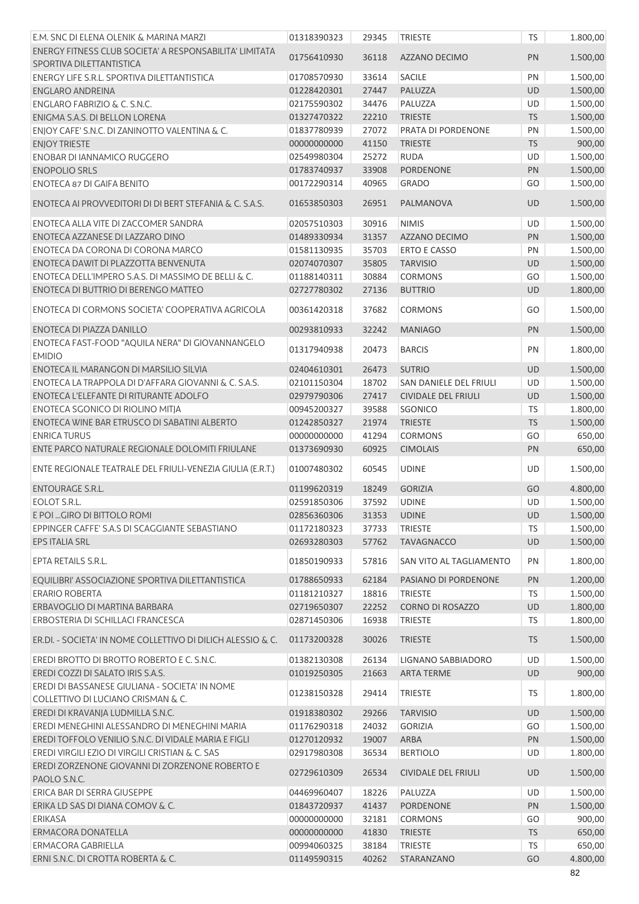| E.M. SNC DI ELENA OLENIK & MARINA MARZI                                       | 01318390323 | 29345 | <b>TRIESTE</b>             | <b>TS</b> | 1.800,00 |
|-------------------------------------------------------------------------------|-------------|-------|----------------------------|-----------|----------|
| ENERGY FITNESS CLUB SOCIETA' A RESPONSABILITA' LIMITATA                       | 01756410930 | 36118 | AZZANO DECIMO              | PN        | 1.500,00 |
| SPORTIVA DILETTANTISTICA                                                      |             |       |                            |           |          |
| ENERGY LIFE S.R.L. SPORTIVA DILETTANTISTICA                                   | 01708570930 | 33614 | <b>SACILE</b>              | PN        | 1.500,00 |
| <b>ENGLARO ANDREINA</b>                                                       | 01228420301 | 27447 | PALUZZA                    | UD        | 1.500,00 |
| ENGLARO FABRIZIO & C. S.N.C.                                                  | 02175590302 | 34476 | PALUZZA                    | UD        | 1.500,00 |
| ENIGMA S.A.S. DI BELLON LORENA                                                | 01327470322 | 22210 | <b>TRIESTE</b>             | <b>TS</b> | 1.500,00 |
| ENJOY CAFE' S.N.C. DI ZANINOTTO VALENTINA & C.                                | 01837780939 | 27072 | PRATA DI PORDENONE         | PN        | 1.500,00 |
| <b>ENJOY TRIESTE</b>                                                          | 00000000000 | 41150 | <b>TRIESTE</b>             | <b>TS</b> | 900,00   |
| ENOBAR DI IANNAMICO RUGGERO                                                   | 02549980304 | 25272 | <b>RUDA</b>                | UD        | 1.500,00 |
| <b>ENOPOLIO SRLS</b>                                                          | 01783740937 | 33908 | <b>PORDENONE</b>           | PN        | 1.500,00 |
| <b>ENOTECA 87 DI GAIFA BENITO</b>                                             | 00172290314 | 40965 | <b>GRADO</b>               | GO        | 1.500,00 |
| ENOTECA AI PROVVEDITORI DI DI BERT STEFANIA & C. S.A.S.                       | 01653850303 | 26951 | PALMANOVA                  | <b>UD</b> | 1.500,00 |
| ENOTECA ALLA VITE DI ZACCOMER SANDRA                                          | 02057510303 | 30916 | <b>NIMIS</b>               | UD        | 1.500,00 |
| ENOTECA AZZANESE DI LAZZARO DINO                                              | 01489330934 | 31357 | AZZANO DECIMO              | PN        | 1.500,00 |
| ENOTECA DA CORONA DI CORONA MARCO                                             | 01581130935 | 35703 | <b>ERTO E CASSO</b>        | PN        | 1.500,00 |
| ENOTECA DAWIT DI PLAZZOTTA BENVENUTA                                          | 02074070307 | 35805 | <b>TARVISIO</b>            | UD        | 1.500,00 |
| ENOTECA DELL'IMPERO S.A.S. DI MASSIMO DE BELLI & C.                           | 01188140311 | 30884 | CORMONS                    | GO        | 1.500,00 |
| ENOTECA DI BUTTRIO DI BERENGO MATTEO                                          | 02727780302 | 27136 | <b>BUTTRIO</b>             | UD        | 1.800,00 |
| ENOTECA DI CORMONS SOCIETA' COOPERATIVA AGRICOLA                              | 00361420318 | 37682 | <b>CORMONS</b>             | GO        | 1.500,00 |
|                                                                               |             |       |                            |           |          |
| ENOTECA DI PIAZZA DANILLO<br>ENOTECA FAST-FOOD "AQUILA NERA" DI GIOVANNANGELO | 00293810933 | 32242 | <b>MANIAGO</b>             | PN        | 1.500,00 |
| <b>EMIDIO</b>                                                                 | 01317940938 | 20473 | <b>BARCIS</b>              | PN        | 1.800,00 |
| ENOTECA IL MARANGON DI MARSILIO SILVIA                                        | 02404610301 | 26473 | <b>SUTRIO</b>              | UD        | 1.500,00 |
| ENOTECA LA TRAPPOLA DI D'AFFARA GIOVANNI & C. S.A.S.                          | 02101150304 | 18702 | SAN DANIELE DEL FRIULI     | UD        | 1.500,00 |
| ENOTECA L'ELEFANTE DI RITURANTE ADOLFO                                        | 02979790306 | 27417 | <b>CIVIDALE DEL FRIULI</b> | UD        | 1.500,00 |
| ENOTECA SGONICO DI RIOLINO MITJA                                              | 00945200327 | 39588 | SGONICO                    | <b>TS</b> | 1.800,00 |
| ENOTECA WINE BAR ETRUSCO DI SABATINI ALBERTO                                  | 01242850327 | 21974 | <b>TRIESTE</b>             | <b>TS</b> | 1.500,00 |
| <b>ENRICA TURUS</b>                                                           | 00000000000 | 41294 | <b>CORMONS</b>             | GO        | 650,00   |
| ENTE PARCO NATURALE REGIONALE DOLOMITI FRIULANE                               | 01373690930 | 60925 | <b>CIMOLAIS</b>            | PN        | 650,00   |
| ENTE REGIONALE TEATRALE DEL FRIULI-VENEZIA GIULIA (E.R.T.)                    | 01007480302 | 60545 | <b>UDINE</b>               | UD        | 1.500,00 |
| <b>ENTOURAGE S.R.L.</b>                                                       | 01199620319 | 18249 | <b>GORIZIA</b>             | GO        | 4.800,00 |
| EOLOT S.R.L.                                                                  | 02591850306 | 37592 | <b>UDINE</b>               | UD        | 1.500,00 |
| E POI  GIRO DI BITTOLO ROMI                                                   | 02856360306 | 31353 | <b>UDINE</b>               | UD        | 1.500,00 |
|                                                                               |             |       | <b>TRIESTE</b>             | <b>TS</b> |          |
| EPPINGER CAFFE' S.A.S DI SCAGGIANTE SEBASTIANO                                | 01172180323 | 37733 |                            |           | 1.500,00 |
| <b>EPS ITALIA SRL</b>                                                         | 02693280303 | 57762 | <b>TAVAGNACCO</b>          | UD        | 1.500,00 |
| EPTA RETAILS S.R.L.                                                           | 01850190933 | 57816 | SAN VITO AL TAGLIAMENTO    | PN        | 1.800,00 |
| EQUILIBRI' ASSOCIAZIONE SPORTIVA DILETTANTISTICA                              | 01788650933 | 62184 | PASIANO DI PORDENONE       | PN        | 1.200,00 |
| <b>ERARIO ROBERTA</b>                                                         | 01181210327 | 18816 | <b>TRIESTE</b>             | TS        | 1.500,00 |
| ERBAVOGLIO DI MARTINA BARBARA                                                 | 02719650307 | 22252 | <b>CORNO DI ROSAZZO</b>    | UD        | 1.800,00 |
| ERBOSTERIA DI SCHILLACI FRANCESCA                                             | 02871450306 | 16938 | <b>TRIESTE</b>             | TS        | 1.800,00 |
| ER.DI. - SOCIETA' IN NOME COLLETTIVO DI DILICH ALESSIO & C.                   | 01173200328 | 30026 | <b>TRIESTE</b>             | <b>TS</b> | 1.500,00 |
| EREDI BROTTO DI BROTTO ROBERTO E C. S.N.C.                                    | 01382130308 | 26134 | LIGNANO SABBIADORO         | UD        | 1.500,00 |
| EREDI COZZI DI SALATO IRIS S.A.S.                                             | 01019250305 | 21663 | <b>ARTA TERME</b>          | UD        | 900,00   |
| EREDI DI BASSANESE GIULIANA - SOCIETA' IN NOME                                |             |       |                            |           |          |
| COLLETTIVO DI LUCIANO CRISMAN & C.                                            | 01238150328 | 29414 | <b>TRIESTE</b>             | <b>TS</b> | 1.800,00 |
| EREDI DI KRAVANJA LUDMILLA S.N.C.                                             | 01918380302 | 29266 | <b>TARVISIO</b>            | <b>UD</b> | 1.500,00 |
| EREDI MENEGHINI ALESSANDRO DI MENEGHINI MARIA                                 | 01176290318 | 24032 | <b>GORIZIA</b>             | GO        | 1.500,00 |
| EREDI TOFFOLO VENILIO S.N.C. DI VIDALE MARIA E FIGLI                          | 01270120932 | 19007 | ARBA                       | PN        | 1.500,00 |
| EREDI VIRGILI EZIO DI VIRGILI CRISTIAN & C. SAS                               | 02917980308 | 36534 | <b>BERTIOLO</b>            | UD        | 1.800,00 |
| EREDI ZORZENONE GIOVANNI DI ZORZENONE ROBERTO E                               | 02729610309 | 26534 | <b>CIVIDALE DEL FRIULI</b> | <b>UD</b> | 1.500,00 |
| PAOLO S.N.C.                                                                  |             |       |                            |           |          |
| ERICA BAR DI SERRA GIUSEPPE                                                   | 04469960407 | 18226 | PALUZZA                    | UD        | 1.500,00 |
| ERIKA LD SAS DI DIANA COMOV & C.                                              | 01843720937 | 41437 | PORDENONE                  | PN        | 1.500,00 |
| <b>ERIKASA</b>                                                                | 00000000000 | 32181 | <b>CORMONS</b>             | GO        | 900,00   |
| ERMACORA DONATELLA                                                            | 00000000000 | 41830 | <b>TRIESTE</b>             | <b>TS</b> | 650,00   |
| ERMACORA GABRIELLA                                                            | 00994060325 | 38184 | TRIESTE                    | TS        | 650,00   |
| ERNI S.N.C. DI CROTTA ROBERTA & C.                                            | 01149590315 | 40262 | STARANZANO                 | GO        | 4.800,00 |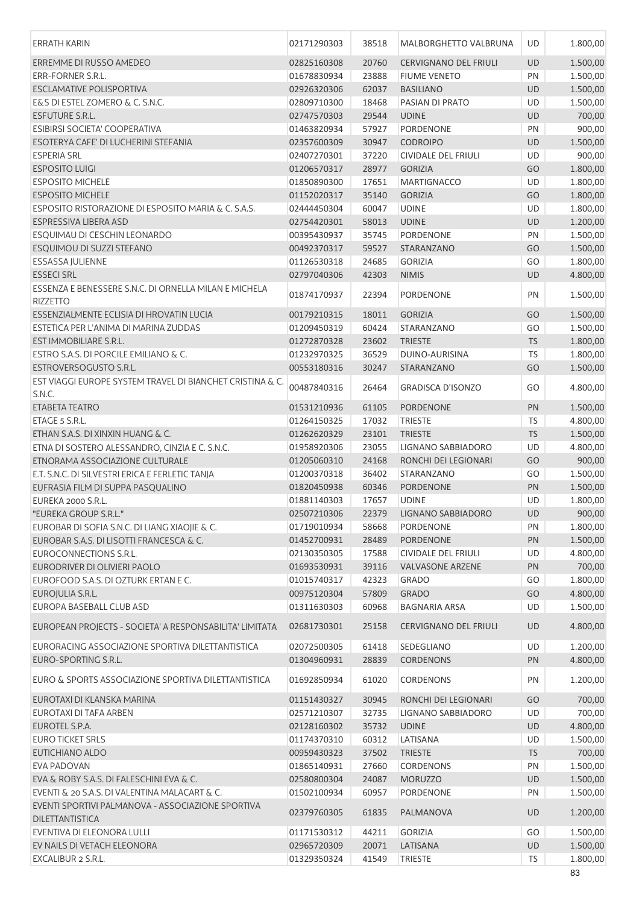| ERRATH KARIN                                                                | 02171290303                | 38518          | MALBORGHETTO VALBRUNA                          | UD        | 1.800,00             |
|-----------------------------------------------------------------------------|----------------------------|----------------|------------------------------------------------|-----------|----------------------|
| ERREMME DI RUSSO AMEDEO                                                     | 02825160308                | 20760          | <b>CERVIGNANO DEL FRIULI</b>                   | <b>UD</b> | 1.500,00             |
| <b>ERR-FORNER S.R.L.</b>                                                    | 01678830934                | 23888          | <b>FIUME VENETO</b>                            | PN        | 1.500,00             |
| <b>ESCLAMATIVE POLISPORTIVA</b>                                             | 02926320306                | 62037          | <b>BASILIANO</b>                               | <b>UD</b> | 1.500,00             |
| E&S DI ESTEL ZOMERO & C. S.N.C.                                             | 02809710300                | 18468          | PASIAN DI PRATO                                | <b>UD</b> | 1.500,00             |
| <b>ESFUTURE S.R.L.</b>                                                      | 02747570303                | 29544          | <b>UDINE</b>                                   | <b>UD</b> | 700,00               |
| <b>ESIBIRSI SOCIETA' COOPERATIVA</b>                                        | 01463820934                | 57927          | <b>PORDENONE</b>                               | PN        | 900,00               |
| ESOTERYA CAFE' DI LUCHERINI STEFANIA                                        | 02357600309                | 30947          | <b>CODROIPO</b>                                | <b>UD</b> | 1.500,00             |
| <b>ESPERIA SRL</b>                                                          | 02407270301                | 37220          | <b>CIVIDALE DEL FRIULI</b>                     | UD        | 900,00               |
| <b>ESPOSITO LUIGI</b>                                                       | 01206570317                | 28977          | <b>GORIZIA</b>                                 | GO        | 1.800,00             |
| <b>ESPOSITO MICHELE</b>                                                     | 01850890300                | 17651          | <b>MARTIGNACCO</b>                             | <b>UD</b> | 1.800,00             |
| <b>ESPOSITO MICHELE</b>                                                     | 01152020317                | 35140          | <b>GORIZIA</b>                                 | GO        | 1.800,00             |
| ESPOSITO RISTORAZIONE DI ESPOSITO MARIA & C. S.A.S.                         | 02444450304                | 60047          | <b>UDINE</b>                                   | <b>UD</b> | 1.800,00             |
| ESPRESSIVA LIBERA ASD                                                       | 02754420301                | 58013          | <b>UDINE</b>                                   | UD        | 1.200,00             |
| ESQUIMAU DI CESCHIN LEONARDO                                                | 00395430937                | 35745          | <b>PORDENONE</b>                               | PN        | 1.500,00             |
| ESQUIMOU DI SUZZI STEFANO                                                   | 00492370317                | 59527          | STARANZANO                                     | GO        | 1.500,00             |
| <b>ESSASSA JULIENNE</b>                                                     | 01126530318                | 24685          | <b>GORIZIA</b>                                 | GO        | 1.800,00             |
| <b>ESSECI SRL</b>                                                           | 02797040306                | 42303          | <b>NIMIS</b>                                   | <b>UD</b> | 4.800,00             |
| ESSENZA E BENESSERE S.N.C. DI ORNELLA MILAN E MICHELA<br><b>RIZZETTO</b>    | 01874170937                | 22394          | PORDENONE                                      | PN        | 1.500,00             |
| ESSENZIALMENTE ECLISIA DI HROVATIN LUCIA                                    | 00179210315                | 18011          | <b>GORIZIA</b>                                 | GO        | 1.500,00             |
| ESTETICA PER L'ANIMA DI MARINA ZUDDAS                                       | 01209450319                | 60424          | STARANZANO                                     | GO        | 1.500,00             |
| EST IMMOBILIARE S.R.L.                                                      | 01272870328                | 23602          | <b>TRIESTE</b>                                 | <b>TS</b> | 1.800,00             |
| ESTRO S.A.S. DI PORCILE EMILIANO & C.                                       | 01232970325                | 36529          | DUINO-AURISINA                                 | TS        | 1.800,00             |
| ESTROVERSOGUSTO S.R.L.                                                      | 00553180316                | 30247          | STARANZANO                                     | GO        | 1.500,00             |
| EST VIAGGI EUROPE SYSTEM TRAVEL DI BIANCHET CRISTINA & C.<br>S.N.C.         | 00487840316                | 26464          | <b>GRADISCA D'ISONZO</b>                       | GO        | 4.800,00             |
| ETABETA TEATRO                                                              | 01531210936                | 61105          | <b>PORDENONE</b>                               | PN        | 1.500,00             |
| ETAGE 5 S.R.L.                                                              | 01264150325                | 17032          | <b>TRIESTE</b>                                 | <b>TS</b> | 4.800,00             |
| ETHAN S.A.S. DI XINXIN HUANG & C.                                           | 01262620329                | 23101          | <b>TRIESTE</b>                                 | <b>TS</b> | 1.500,00             |
| ETNA DI SOSTERO ALESSANDRO, CINZIA E C. S.N.C.                              | 01958920306                | 23055          | LIGNANO SABBIADORO                             | UD        | 4.800,00             |
| ETNORAMA ASSOCIAZIONE CULTURALE                                             | 01205060310                | 24168          | RONCHI DEI LEGIONARI                           | GO        | 900,00               |
| E.T. S.N.C. DI SILVESTRI ERICA E FERLETIC TANJA                             | 01200370318                | 36402          | STARANZANO                                     | GO        | 1.500,00             |
| EUFRASIA FILM DI SUPPA PASQUALINO                                           | 01820450938                | 60346          | <b>PORDENONE</b>                               | PN        | 1.500,00             |
| EUREKA 2000 S.R.L.                                                          | 01881140303                | 17657          | <b>UDINE</b>                                   | UD        | 1.800,00             |
| "EUREKA GROUP S.R.L."                                                       |                            |                | 02507210306 22379 LIGNANO SABBIADORO           | UD        | 900,00               |
| EUROBAR DI SOFIA S.N.C. DI LIANG XIAOJIE & C.                               | 01719010934<br>01452700931 | 58668          | PORDENONE                                      | PN<br>PN  | 1.800,00             |
| EUROBAR S.A.S. DI LISOTTI FRANCESCA & C.<br>EUROCONNECTIONS S.R.L.          | 02130350305                | 28489          | <b>PORDENONE</b><br><b>CIVIDALE DEL FRIULI</b> | <b>UD</b> | 1.500,00<br>4.800,00 |
| EURODRIVER DI OLIVIERI PAOLO                                                | 01693530931                | 17588<br>39116 | <b>VALVASONE ARZENE</b>                        | PN        | 700,00               |
| EUROFOOD S.A.S. DI OZTURK ERTAN E C.                                        | 01015740317                | 42323          | <b>GRADO</b>                                   | GO        | 1.800,00             |
| EUROJULIA S.R.L.                                                            | 00975120304                | 57809          | <b>GRADO</b>                                   | GO        | 4.800,00             |
| EUROPA BASEBALL CLUB ASD                                                    | 01311630303                | 60968          | <b>BAGNARIA ARSA</b>                           | UD        | 1.500,00             |
|                                                                             |                            |                |                                                |           |                      |
| EUROPEAN PROJECTS - SOCIETA' A RESPONSABILITA' LIMITATA                     | 02681730301                | 25158          | <b>CERVIGNANO DEL FRIULI</b>                   | <b>UD</b> | 4.800,00             |
| EURORACING ASSOCIAZIONE SPORTIVA DILETTANTISTICA                            | 02072500305                | 61418          | SEDEGLIANO                                     | UD        | 1.200,00             |
| EURO-SPORTING S.R.L.                                                        | 01304960931                | 28839          | <b>CORDENONS</b>                               | PN        | 4.800,00             |
| EURO & SPORTS ASSOCIAZIONE SPORTIVA DILETTANTISTICA                         | 01692850934                | 61020          | <b>CORDENONS</b>                               | PN        | 1.200,00             |
| EUROTAXI DI KLANSKA MARINA                                                  | 01151430327                | 30945          | RONCHI DEI LEGIONARI                           | GO        | 700,00               |
| EUROTAXI DI TAFA ARBEN                                                      | 02571210307                | 32735          | LIGNANO SABBIADORO                             | UD        | 700,00               |
| EUROTEL S.P.A.                                                              | 02128160302                | 35732          | <b>UDINE</b>                                   | <b>UD</b> | 4.800,00             |
| <b>EURO TICKET SRLS</b>                                                     | 01174370310                | 60312          | LATISANA                                       | UD        | 1.500,00             |
| <b>EUTICHIANO ALDO</b>                                                      | 00959430323                | 37502          | <b>TRIESTE</b>                                 | <b>TS</b> | 700,00               |
| <b>EVA PADOVAN</b>                                                          | 01865140931                | 27660          | CORDENONS                                      | PN        | 1.500,00             |
| EVA & ROBY S.A.S. DI FALESCHINI EVA & C.                                    | 02580800304                | 24087          | <b>MORUZZO</b>                                 | UD        | 1.500,00             |
| EVENTI & 20 S.A.S. DI VALENTINA MALACART & C.                               | 01502100934                | 60957          | PORDENONE                                      | PN        | 1.500,00             |
| EVENTI SPORTIVI PALMANOVA - ASSOCIAZIONE SPORTIVA<br><b>DILETTANTISTICA</b> | 02379760305                | 61835          | PALMANOVA                                      | <b>UD</b> | 1.200,00             |
| EVENTIVA DI ELEONORA LULLI                                                  | 01171530312                | 44211          | <b>GORIZIA</b>                                 | GO        | 1.500,00             |
| EV NAILS DI VETACH ELEONORA                                                 | 02965720309                | 20071          | LATISANA                                       | UD        | 1.500,00             |
| EXCALIBUR 2 S.R.L.                                                          | 01329350324                | 41549          | <b>TRIESTE</b>                                 | TS.       | 1.800,00             |
|                                                                             |                            |                |                                                |           | 83                   |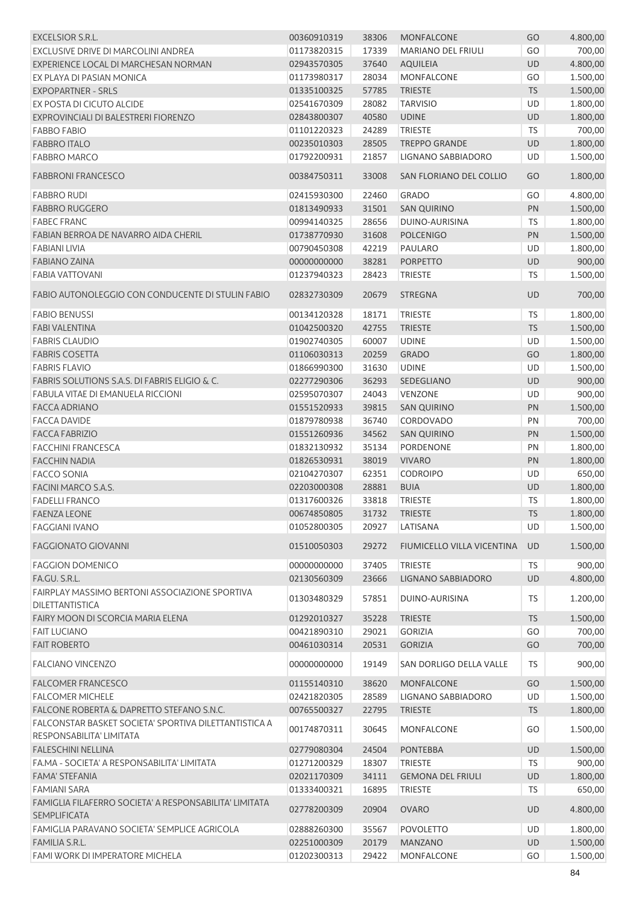| EXCELSIOR S.R.L.                                                                  | 00360910319 | 38306          | MONFALCONE                 | GO        | 4.800,00 |
|-----------------------------------------------------------------------------------|-------------|----------------|----------------------------|-----------|----------|
| EXCLUSIVE DRIVE DI MARCOLINI ANDREA                                               | 01173820315 | 17339          | MARIANO DEL FRIULI         | GO        | 700,00   |
| EXPERIENCE LOCAL DI MARCHESAN NORMAN                                              | 02943570305 | 37640          | <b>AQUILEIA</b>            | UD        | 4.800,00 |
| EX PLAYA DI PASIAN MONICA                                                         | 01173980317 | 28034          | <b>MONFALCONE</b>          | GO        | 1.500,00 |
| <b>EXPOPARTNER - SRLS</b>                                                         | 01335100325 | 57785          | <b>TRIESTE</b>             | <b>TS</b> | 1.500,00 |
| EX POSTA DI CICUTO ALCIDE                                                         | 02541670309 | 28082          | <b>TARVISIO</b>            | UD        | 1.800,00 |
| EXPROVINCIALI DI BALESTRERI FIORENZO                                              | 02843800307 | 40580          | <b>UDINE</b>               | UD        | 1.800,00 |
| <b>FABBO FABIO</b>                                                                | 01101220323 | 24289          | <b>TRIESTE</b>             | <b>TS</b> | 700,00   |
| <b>FABBRO ITALO</b>                                                               | 00235010303 | 28505          | <b>TREPPO GRANDE</b>       | UD        | 1.800,00 |
| <b>FABBRO MARCO</b>                                                               | 01792200931 | 21857          | LIGNANO SABBIADORO         | UD        | 1.500,00 |
| <b>FABBRONI FRANCESCO</b>                                                         | 00384750311 | 33008          | SAN FLORIANO DEL COLLIO    | GO        | 1.800,00 |
| <b>FABBRO RUDI</b>                                                                | 02415930300 | 22460          | <b>GRADO</b>               | GO        | 4.800,00 |
| <b>FABBRO RUGGERO</b>                                                             | 01813490933 | 31501          | <b>SAN QUIRINO</b>         | PN        | 1.500,00 |
| <b>FABEC FRANC</b>                                                                | 00994140325 | 28656          | DUINO-AURISINA             | <b>TS</b> | 1.800,00 |
| FABIAN BERROA DE NAVARRO AIDA CHERIL                                              | 01738770930 | 31608          | <b>POLCENIGO</b>           | PN        | 1.500,00 |
| <b>FABIANI LIVIA</b>                                                              | 00790450308 | 42219          | <b>PAULARO</b>             | UD        | 1.800,00 |
| <b>FABIANO ZAINA</b>                                                              | 00000000000 | 38281          | <b>PORPETTO</b>            | UD        | 900,00   |
| <b>FABIA VATTOVANI</b>                                                            | 01237940323 | 28423          | <b>TRIESTE</b>             | TS        | 1.500,00 |
| FABIO AUTONOLEGGIO CON CONDUCENTE DI STULIN FABIO                                 | 02832730309 | 20679          | <b>STREGNA</b>             | <b>UD</b> | 700,00   |
| <b>FABIO BENUSSI</b>                                                              | 00134120328 | 18171          | <b>TRIESTE</b>             | <b>TS</b> | 1.800,00 |
| <b>FABI VALENTINA</b>                                                             | 01042500320 | 42755          | <b>TRIESTE</b>             | <b>TS</b> | 1.500,00 |
| <b>FABRIS CLAUDIO</b>                                                             | 01902740305 | 60007          | <b>UDINE</b>               | UD        | 1.500,00 |
| <b>FABRIS COSETTA</b>                                                             | 01106030313 | 20259          | <b>GRADO</b>               | GO        | 1.800,00 |
| <b>FABRIS FLAVIO</b>                                                              | 01866990300 | 31630          | <b>UDINE</b>               | UD        | 1.500,00 |
| FABRIS SOLUTIONS S.A.S. DI FABRIS ELIGIO & C.                                     | 02277290306 |                | SEDEGLIANO                 | UD        | 900,00   |
| FABULA VITAE DI EMANUELA RICCIONI                                                 | 02595070307 | 36293<br>24043 | <b>VENZONE</b>             | UD        | 900,00   |
| <b>FACCA ADRIANO</b>                                                              |             |                |                            |           |          |
| <b>FACCA DAVIDE</b>                                                               | 01551520933 | 39815          | <b>SAN QUIRINO</b>         | PN        | 1.500,00 |
|                                                                                   | 01879780938 | 36740          | <b>CORDOVADO</b>           | PN        | 700,00   |
| <b>FACCA FABRIZIO</b>                                                             | 01551260936 | 34562          | <b>SAN QUIRINO</b>         | <b>PN</b> | 1.500,00 |
| <b>FACCHINI FRANCESCA</b>                                                         | 01832130932 | 35134          | PORDENONE                  | PN        | 1.800,00 |
| <b>FACCHIN NADIA</b>                                                              | 01826530931 | 38019          | <b>VIVARO</b>              | <b>PN</b> | 1.800,00 |
| <b>FACCO SONIA</b>                                                                | 02104270307 | 62351          | <b>CODROIPO</b>            | UD        | 650,00   |
| FACINI MARCO S.A.S.                                                               | 02203000308 | 28881          | <b>BUIA</b>                | UD        | 1.800,00 |
| <b>FADELLI FRANCO</b>                                                             | 01317600326 | 33818          | <b>TRIESTE</b>             | TS        | 1.800,00 |
| <b>FAENZA LEONE</b>                                                               | 00674850805 | 31732          | <b>TRIESTE</b>             | TS        | 1.800,00 |
| <b>FAGGIANI IVANO</b>                                                             | 01052800305 | 20927          | LATISANA                   | UD        | 1.500,00 |
| <b>FAGGIONATO GIOVANNI</b>                                                        | 01510050303 | 29272          | FIUMICELLO VILLA VICENTINA | <b>UD</b> | 1.500,00 |
| <b>FAGGION DOMENICO</b>                                                           | 00000000000 | 37405          | <b>TRIESTE</b>             | <b>TS</b> | 900,00   |
| FA.GU. S.R.L.                                                                     | 02130560309 | 23666          | <b>LIGNANO SABBIADORO</b>  | UD        | 4.800,00 |
| FAIRPLAY MASSIMO BERTONI ASSOCIAZIONE SPORTIVA<br>DILETTANTISTICA                 | 01303480329 | 57851          | DUINO-AURISINA             | TS        | 1.200,00 |
| FAIRY MOON DI SCORCIA MARIA ELENA                                                 | 01292010327 | 35228          | <b>TRIESTE</b>             | <b>TS</b> | 1.500,00 |
| <b>FAIT LUCIANO</b>                                                               | 00421890310 | 29021          | <b>GORIZIA</b>             | GO        | 700,00   |
| <b>FAIT ROBERTO</b>                                                               | 00461030314 | 20531          | <b>GORIZIA</b>             | GO        | 700,00   |
| <b>FALCIANO VINCENZO</b>                                                          | 00000000000 | 19149          | SAN DORLIGO DELLA VALLE    | <b>TS</b> | 900,00   |
| <b>FALCOMER FRANCESCO</b>                                                         | 01155140310 | 38620          | <b>MONFALCONE</b>          | GO        | 1.500,00 |
| <b>FALCOMER MICHELE</b>                                                           | 02421820305 | 28589          | LIGNANO SABBIADORO         | UD        | 1.500,00 |
| FALCONE ROBERTA & DAPRETTO STEFANO S.N.C.                                         | 00765500327 | 22795          | <b>TRIESTE</b>             | <b>TS</b> | 1.800,00 |
| FALCONSTAR BASKET SOCIETA' SPORTIVA DILETTANTISTICA A<br>RESPONSABILITA' LIMITATA | 00174870311 | 30645          | <b>MONFALCONE</b>          | GO        | 1.500,00 |
| <b>FALESCHINI NELLINA</b>                                                         | 02779080304 | 24504          | <b>PONTEBBA</b>            | UD        | 1.500,00 |
| FA.MA - SOCIETA' A RESPONSABILITA' LIMITATA                                       | 01271200329 | 18307          | <b>TRIESTE</b>             | <b>TS</b> | 900,00   |
| <b>FAMA' STEFANIA</b>                                                             | 02021170309 | 34111          | <b>GEMONA DEL FRIULI</b>   | UD        | 1.800,00 |
| <b>FAMIANI SARA</b>                                                               | 01333400321 | 16895          | <b>TRIESTE</b>             | <b>TS</b> | 650,00   |
|                                                                                   |             |                |                            |           |          |
| FAMIGLIA FILAFERRO SOCIETA' A RESPONSABILITA' LIMITATA<br><b>SEMPLIFICATA</b>     | 02778200309 | 20904          | <b>OVARO</b>               | UD        | 4.800,00 |
| FAMIGLIA PARAVANO SOCIETA' SEMPLICE AGRICOLA                                      | 02888260300 | 35567          | <b>POVOLETTO</b>           | UD        | 1.800,00 |
| FAMILIA S.R.L.                                                                    | 02251000309 | 20179          | <b>MANZANO</b>             | UD        | 1.500,00 |
| FAMI WORK DI IMPERATORE MICHELA                                                   | 01202300313 | 29422          | MONFALCONE                 | GO        | 1.500,00 |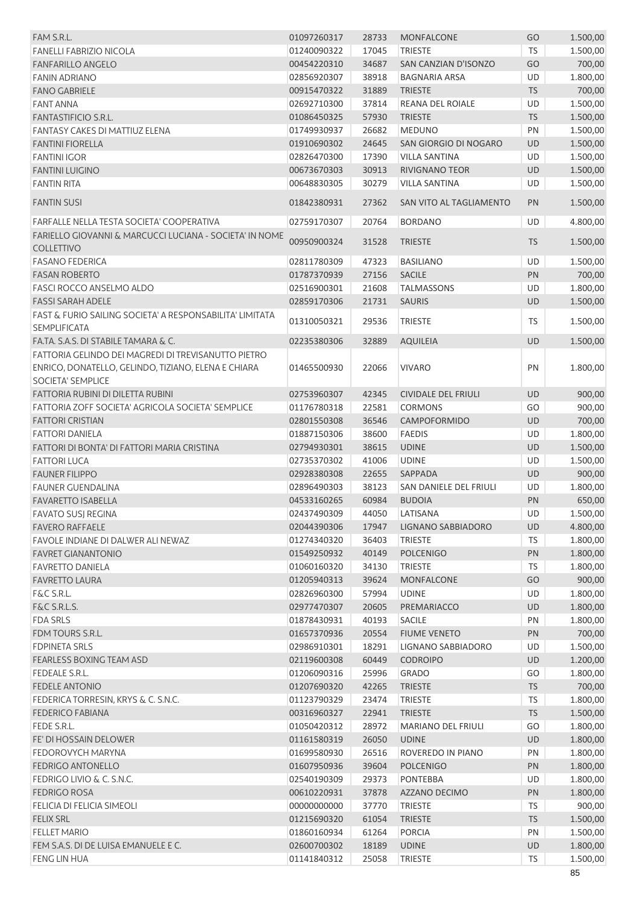| FAM S.R.L.                                                                                                                      | 01097260317                | 28733          | <b>MONFALCONE</b>                    | GO                     | 1.500,00             |
|---------------------------------------------------------------------------------------------------------------------------------|----------------------------|----------------|--------------------------------------|------------------------|----------------------|
| <b>FANELLI FABRIZIO NICOLA</b>                                                                                                  | 01240090322                | 17045          | <b>TRIESTE</b>                       | TS                     | 1.500,00             |
| <b>FANFARILLO ANGELO</b>                                                                                                        | 00454220310                | 34687          | SAN CANZIAN D'ISONZO                 | GO                     | 700,00               |
| <b>FANIN ADRIANO</b>                                                                                                            | 02856920307                | 38918          | <b>BAGNARIA ARSA</b>                 | <b>UD</b>              | 1.800,00             |
| <b>FANO GABRIELE</b>                                                                                                            | 00915470322                | 31889          | <b>TRIESTE</b>                       | <b>TS</b>              | 700,00               |
| <b>FANT ANNA</b>                                                                                                                | 02692710300                | 37814          | <b>REANA DEL ROIALE</b>              | <b>UD</b>              | 1.500,00             |
| <b>FANTASTIFICIO S.R.L.</b>                                                                                                     | 01086450325                | 57930          | <b>TRIESTE</b>                       | <b>TS</b>              | 1.500,00             |
| FANTASY CAKES DI MATTIUZ ELENA                                                                                                  | 01749930937                | 26682          | <b>MEDUNO</b>                        | PN                     | 1.500,00             |
| <b>FANTINI FIORELLA</b>                                                                                                         | 01910690302                | 24645          | SAN GIORGIO DI NOGARO                | UD                     | 1.500,00             |
| <b>FANTINI IGOR</b>                                                                                                             | 02826470300                | 17390          | <b>VILLA SANTINA</b>                 | UD                     | 1.500,00             |
| <b>FANTINI LUIGINO</b>                                                                                                          | 00673670303                | 30913          | <b>RIVIGNANO TEOR</b>                | UD                     | 1.500,00             |
| <b>FANTIN RITA</b>                                                                                                              | 00648830305                | 30279          | <b>VILLA SANTINA</b>                 | UD                     | 1.500,00             |
| <b>FANTIN SUSI</b>                                                                                                              | 01842380931                | 27362          | SAN VITO AL TAGLIAMENTO              | PN                     | 1.500,00             |
| FARFALLE NELLA TESTA SOCIETA' COOPERATIVA                                                                                       | 02759170307                | 20764          | <b>BORDANO</b>                       | UD                     | 4.800,00             |
| FARIELLO GIOVANNI & MARCUCCI LUCIANA - SOCIETA' IN NOME<br><b>COLLETTIVO</b>                                                    | 00950900324                | 31528          | <b>TRIESTE</b>                       | <b>TS</b>              | 1.500,00             |
| <b>FASANO FEDERICA</b>                                                                                                          | 02811780309                | 47323          | <b>BASILIANO</b>                     | UD                     | 1.500,00             |
| <b>FASAN ROBERTO</b>                                                                                                            | 01787370939                | 27156          | <b>SACILE</b>                        | PN                     | 700,00               |
| <b>FASCI ROCCO ANSELMO ALDO</b>                                                                                                 | 02516900301                | 21608          | <b>TALMASSONS</b>                    | UD                     | 1.800,00             |
| <b>FASSI SARAH ADELE</b>                                                                                                        | 02859170306                | 21731          | <b>SAURIS</b>                        | <b>UD</b>              | 1.500,00             |
| FAST & FURIO SAILING SOCIETA' A RESPONSABILITA' LIMITATA                                                                        |                            |                |                                      |                        |                      |
| <b>SEMPLIFICATA</b>                                                                                                             | 01310050321                | 29536          | <b>TRIESTE</b>                       | TS                     | 1.500,00             |
| FA.TA. S.A.S. DI STABILE TAMARA & C.                                                                                            | 02235380306                | 32889          | <b>AQUILEIA</b>                      | <b>UD</b>              | 1.500,00             |
| FATTORIA GELINDO DEI MAGREDI DI TREVISANUTTO PIETRO<br>ENRICO, DONATELLO, GELINDO, TIZIANO, ELENA E CHIARA<br>SOCIETA' SEMPLICE | 01465500930                | 22066          | <b>VIVARO</b>                        | PN                     | 1.800,00             |
| FATTORIA RUBINI DI DILETTA RUBINI                                                                                               | 02753960307                | 42345          | <b>CIVIDALE DEL FRIULI</b>           | UD                     | 900,00               |
| FATTORIA ZOFF SOCIETA' AGRICOLA SOCIETA' SEMPLICE                                                                               | 01176780318                | 22581          | <b>CORMONS</b>                       | GO                     | 900,00               |
| <b>FATTORI CRISTIAN</b>                                                                                                         | 02801550308                | 36546          | <b>CAMPOFORMIDO</b>                  | <b>UD</b>              | 700,00               |
| <b>FATTORI DANIELA</b>                                                                                                          | 01887150306                | 38600          | <b>FAEDIS</b>                        | UD                     | 1.800,00             |
| FATTORI DI BONTA' DI FATTORI MARIA CRISTINA                                                                                     | 02794930301                | 38615          | <b>UDINE</b>                         | UD                     | 1.500,00             |
| <b>FATTORI LUCA</b>                                                                                                             | 02735370302                | 41006          | <b>UDINE</b>                         | UD                     | 1.500,00             |
| <b>FAUNER FILIPPO</b>                                                                                                           | 02928380308                | 22655          | SAPPADA                              | <b>UD</b>              | 900,00               |
| <b>FAUNER GUENDALINA</b>                                                                                                        | 02896490303                | 38123          | SAN DANIELE DEL FRIULI               | UD                     | 1.800,00             |
| <b>FAVARETTO ISABELLA</b>                                                                                                       | 04533160265                | 60984          | <b>BUDOIA</b>                        | PN                     | 650,00               |
| <b>FAVATO SUSJ REGINA</b>                                                                                                       |                            |                | LATISANA                             |                        |                      |
| <b>FAVERO RAFFAELE</b>                                                                                                          | 02437490309<br>02044390306 | 44050<br>17947 |                                      | UD<br>UD               | 1.500,00<br>4.800,00 |
| FAVOLE INDIANE DI DALWER ALI NEWAZ                                                                                              | 01274340320                | 36403          | LIGNANO SABBIADORO<br><b>TRIESTE</b> | <b>TS</b>              | 1.800,00             |
| <b>FAVRET GIANANTONIO</b>                                                                                                       | 01549250932                | 40149          | <b>POLCENIGO</b>                     | PN                     |                      |
|                                                                                                                                 |                            |                |                                      |                        | 1.800,00             |
| <b>FAVRETTO DANIELA</b>                                                                                                         | 01060160320                | 34130          | <b>TRIESTE</b>                       | TS                     | 1.800,00             |
| <b>FAVRETTO LAURA</b>                                                                                                           | 01205940313<br>02826960300 | 39624          | <b>MONFALCONE</b><br><b>UDINE</b>    | GO                     | 900,00               |
| F&C S.R.L.                                                                                                                      |                            | 57994          |                                      | UD                     | 1.800,00             |
| F&C S.R.L.S.                                                                                                                    | 02977470307                | 20605          | PREMARIACCO<br>SACILE                | <b>UD</b><br>PN        | 1.800,00             |
| <b>FDA SRLS</b><br>FDM TOURS S.R.L.                                                                                             | 01878430931<br>01657370936 | 40193<br>20554 | <b>FIUME VENETO</b>                  | PN                     | 1.800,00<br>700,00   |
| <b>FDPINETA SRLS</b>                                                                                                            | 02986910301                | 18291          | LIGNANO SABBIADORO                   | UD                     | 1.500,00             |
| <b>FEARLESS BOXING TEAM ASD</b>                                                                                                 | 02119600308                | 60449          | <b>CODROIPO</b>                      | UD                     | 1.200,00             |
|                                                                                                                                 |                            |                |                                      |                        |                      |
| FEDEALE S.R.L.                                                                                                                  | 01206090316                | 25996          | <b>GRADO</b>                         | GO                     | 1.800,00             |
| <b>FEDELE ANTONIO</b>                                                                                                           | 01207690320                | 42265          | <b>TRIESTE</b>                       | <b>TS</b><br><b>TS</b> | 700,00               |
| FEDERICA TORRESIN, KRYS & C. S.N.C.                                                                                             | 01123790329                | 23474          | TRIESTE                              |                        | 1.800,00             |
| <b>FEDERICO FABIANA</b>                                                                                                         | 00316960327                | 22941          | <b>TRIESTE</b>                       | <b>TS</b>              | 1.500,00             |
| FEDE S.R.L.                                                                                                                     | 01050420312                | 28972          | MARIANO DEL FRIULI                   | GO                     | 1.800,00             |
| FE' DI HOSSAIN DELOWER                                                                                                          | 01161580319                | 26050          | <b>UDINE</b>                         | UD                     | 1.800,00             |
| FEDOROVYCH MARYNA                                                                                                               | 01699580930                | 26516          | ROVEREDO IN PIANO                    | PN                     | 1.800,00             |
| <b>FEDRIGO ANTONELLO</b>                                                                                                        | 01607950936                | 39604          | <b>POLCENIGO</b>                     | PN                     | 1.800,00             |
| FEDRIGO LIVIO & C. S.N.C.                                                                                                       | 02540190309                | 29373          | <b>PONTEBBA</b>                      | UD                     | 1.800,00             |
| <b>FEDRIGO ROSA</b>                                                                                                             | 00610220931                | 37878          | AZZANO DECIMO                        | PN                     | 1.800,00             |
| FELICIA DI FELICIA SIMEOLI                                                                                                      | 00000000000                | 37770          | <b>TRIESTE</b>                       | TS                     | 900,00               |
| <b>FELIX SRL</b>                                                                                                                | 01215690320                | 61054          | <b>TRIESTE</b>                       | <b>TS</b>              | 1.500,00             |
| <b>FELLET MARIO</b>                                                                                                             | 01860160934                | 61264          | <b>PORCIA</b>                        | PN                     | 1.500,00             |
| FEM S.A.S. DI DE LUISA EMANUELE E C.                                                                                            | 02600700302                | 18189          | <b>UDINE</b>                         | <b>UD</b>              | 1.800,00             |
| <b>FENG LIN HUA</b>                                                                                                             | 01141840312                | 25058          | TRIESTE                              | TS                     | 1.500,00             |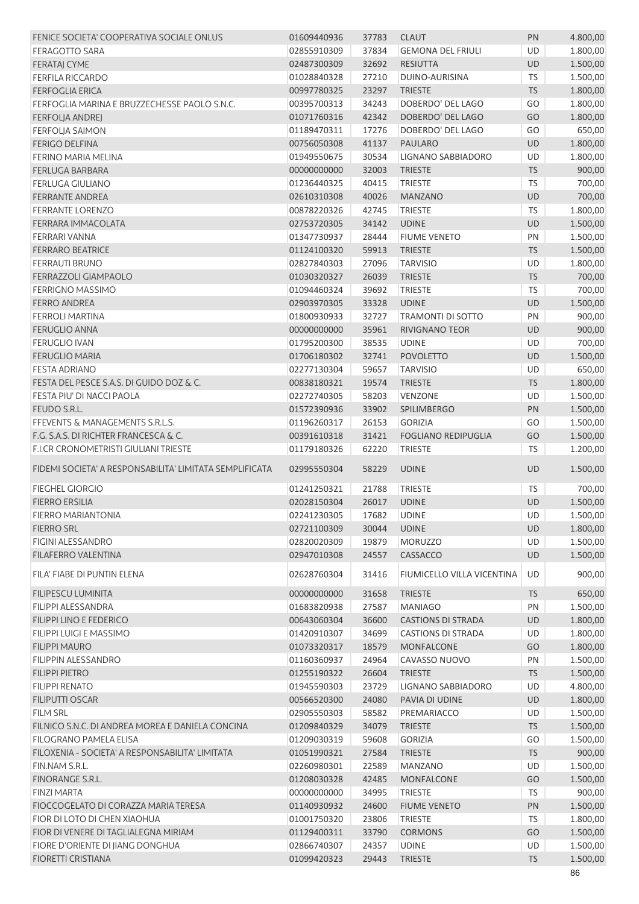| FENICE SOCIETA' COOPERATIVA SOCIALE ONLUS               | 01609440936 | 37783 | <b>CLAUT</b>               | PN        | 4.800,00       |
|---------------------------------------------------------|-------------|-------|----------------------------|-----------|----------------|
| FERAGOTTO SARA                                          | 02855910309 | 37834 | <b>GEMONA DEL FRIULI</b>   | <b>UD</b> | 1.800,00       |
| <b>FERATAI CYME</b>                                     | 02487300309 | 32692 | <b>RESIUTTA</b>            | UD        | 1.500,00       |
| <b>FERFILA RICCARDO</b>                                 | 01028840328 | 27210 | DUINO-AURISINA             | <b>TS</b> | 1.500,00       |
| <b>FERFOGLIA ERICA</b>                                  | 00997780325 | 23297 | <b>TRIESTE</b>             | <b>TS</b> | 1.800,00       |
| FERFOGLIA MARINA E BRUZZECHESSE PAOLO S.N.C.            | 00395700313 | 34243 | DOBERDO' DEL LAGO          | GO        | 1.800,00       |
| FERFOLJA ANDREJ                                         | 01071760316 | 42342 | DOBERDO' DEL LAGO          | GO        | 1.800,00       |
| <b>FERFOLJA SAIMON</b>                                  | 01189470311 | 17276 | DOBERDO' DEL LAGO          | GO        | 650,00         |
| <b>FERIGO DELFINA</b>                                   | 00756050308 | 41137 | <b>PAULARO</b>             | <b>UD</b> | 1.800,00       |
| FERINO MARIA MELINA                                     | 01949550675 | 30534 | <b>LIGNANO SABBIADORO</b>  | UD        | 1.800,00       |
| <b>FERLUGA BARBARA</b>                                  | 00000000000 | 32003 | <b>TRIESTE</b>             | <b>TS</b> | 900,00         |
| <b>FERLUGA GIULIANO</b>                                 | 01236440325 | 40415 | <b>TRIESTE</b>             | <b>TS</b> | 700,00         |
| <b>FERRANTE ANDREA</b>                                  | 02610310308 | 40026 | <b>MANZANO</b>             | UD        | 700,00         |
| <b>FERRANTE LORENZO</b>                                 | 00878220326 | 42745 | <b>TRIESTE</b>             | <b>TS</b> | 1.800,00       |
| FERRARA IMMACOLATA                                      | 02753720305 | 34142 | <b>UDINE</b>               | UD        | 1.500,00       |
| <b>FERRARI VANNA</b>                                    | 01347730937 | 28444 | <b>FIUME VENETO</b>        | PN        | 1.500,00       |
| <b>FERRARO BEATRICE</b>                                 | 01124100320 | 59913 | <b>TRIESTE</b>             | <b>TS</b> | 1.500,00       |
| <b>FERRAUTI BRUNO</b>                                   | 02827840303 | 27096 | <b>TARVISIO</b>            | UD        | 1.800,00       |
| FERRAZZOLI GIAMPAOLO                                    | 01030320327 | 26039 | <b>TRIESTE</b>             | <b>TS</b> | 700,00         |
| <b>FERRIGNO MASSIMO</b>                                 | 01094460324 | 39692 | <b>TRIESTE</b>             | TS        | 700,00         |
| <b>FERRO ANDREA</b>                                     | 02903970305 | 33328 | <b>UDINE</b>               | <b>UD</b> | 1.500,00       |
| <b>FERROLI MARTINA</b>                                  | 01800930933 | 32727 | <b>TRAMONTI DI SOTTO</b>   | PN        | 900,00         |
| <b>FERUGLIO ANNA</b>                                    | 00000000000 | 35961 | RIVIGNANO TEOR             | <b>UD</b> | 900,00         |
| <b>FERUGLIO IVAN</b>                                    | 01795200300 | 38535 | <b>UDINE</b>               | UD        | 700,00         |
| <b>FERUGLIO MARIA</b>                                   | 01706180302 | 32741 | <b>POVOLETTO</b>           | <b>UD</b> | 1.500,00       |
| <b>FESTA ADRIANO</b>                                    | 02277130304 | 59657 | <b>TARVISIO</b>            | UD        | 650,00         |
| FESTA DEL PESCE S.A.S. DI GUIDO DOZ & C.                | 00838180321 | 19574 | <b>TRIESTE</b>             | <b>TS</b> | 1.800,00       |
| FESTA PIU' DI NACCI PAOLA                               | 02272740305 | 58203 | <b>VENZONE</b>             | UD        | 1.500,00       |
| FEUDO S.R.L.                                            | 01572390936 | 33902 | SPILIMBERGO                | PN        | 1.500,00       |
| FFEVENTS & MANAGEMENTS S.R.L.S.                         | 01196260317 | 26153 | <b>GORIZIA</b>             | GO        | 1.500,00       |
| F.G. S.A.S. DI RICHTER FRANCESCA & C.                   | 00391610318 | 31421 | <b>FOGLIANO REDIPUGLIA</b> | GO        | 1.500,00       |
| F.I.CR CRONOMETRISTI GIULIANI TRIESTE                   | 01179180326 | 62220 | <b>TRIESTE</b>             | TS        | 1.200,00       |
| FIDEMI SOCIETA' A RESPONSABILITA' LIMITATA SEMPLIFICATA | 02995550304 | 58229 | <b>UDINE</b>               | <b>UD</b> | 1.500,00       |
| <b>FIEGHEL GIORGIO</b>                                  | 01241250321 | 21788 | <b>TRIESTE</b>             | <b>TS</b> | 700,00         |
| <b>FIERRO ERSILIA</b>                                   | 02028150304 | 26017 | <b>UDINE</b>               | <b>UD</b> | 1.500,00       |
| FIERRO MARIANTONIA                                      | 02241230305 | 17682 | <b>UDINE</b>               | UD        | 1.500,00       |
| <b>FIERRO SRL</b>                                       | 02721100309 | 30044 | <b>UDINE</b>               | <b>UD</b> | 1.800,00       |
|                                                         |             |       | <b>MORUZZO</b>             | UD        | 1.500,00       |
|                                                         |             |       |                            |           |                |
| <b>FIGINI ALESSANDRO</b>                                | 02820020309 | 19879 |                            | <b>UD</b> |                |
| <b>FILAFERRO VALENTINA</b>                              | 02947010308 | 24557 | CASSACCO                   |           | 1.500,00       |
| FILA' FIABE DI PUNTIN ELENA                             | 02628760304 | 31416 | FIUMICELLO VILLA VICENTINA | <b>UD</b> | 900,00         |
| <b>FILIPESCU LUMINITA</b>                               | 00000000000 | 31658 | <b>TRIESTE</b>             | <b>TS</b> | 650,00         |
| FILIPPI ALESSANDRA                                      | 01683820938 | 27587 | <b>MANIAGO</b>             | PN        | 1.500,00       |
| FILIPPI LINO E FEDERICO                                 | 00643060304 | 36600 | <b>CASTIONS DI STRADA</b>  | <b>UD</b> | 1.800,00       |
| FILIPPI LUIGI E MASSIMO                                 | 01420910307 | 34699 | <b>CASTIONS DI STRADA</b>  | <b>UD</b> | 1.800,00       |
| <b>FILIPPI MAURO</b>                                    | 01073320317 | 18579 | <b>MONFALCONE</b>          | GO        | 1.800,00       |
| <b>FILIPPIN ALESSANDRO</b>                              | 01160360937 | 24964 | CAVASSO NUOVO              | PN        | 1.500,00       |
| <b>FILIPPI PIETRO</b>                                   | 01255190322 | 26604 | <b>TRIESTE</b>             | <b>TS</b> | 1.500,00       |
| <b>FILIPPI RENATO</b>                                   | 01945590303 | 23729 | LIGNANO SABBIADORO         | UD        | 4.800,00       |
| <b>FILIPUTTI OSCAR</b>                                  | 00566520300 | 24080 | PAVIA DI UDINE             | <b>UD</b> | 1.800,00       |
| <b>FILM SRL</b>                                         | 02905550303 | 58582 | PREMARIACCO                | UD        | 1.500,00       |
| FILNICO S.N.C. DI ANDREA MOREA E DANIELA CONCINA        | 01209840329 | 34079 | <b>TRIESTE</b>             | <b>TS</b> | 1.500,00       |
| FILOGRANO PAMELA ELISA                                  | 01209030319 | 59608 | <b>GORIZIA</b>             | GO        | 1.500,00       |
| FILOXENIA - SOCIETA' A RESPONSABILITA' LIMITATA         | 01051990321 | 27584 | <b>TRIESTE</b>             | <b>TS</b> | 900,00         |
| FIN.NAM S.R.L.                                          | 02260980301 | 22589 | <b>MANZANO</b>             | UD        | 1.500,00       |
| FINORANGE S.R.L.                                        | 01208030328 | 42485 | <b>MONFALCONE</b>          | GO        | 1.500,00       |
| <b>FINZI MARTA</b>                                      | 00000000000 | 34995 | TRIESTE                    | <b>TS</b> | 900,00         |
| FIOCCOGELATO DI CORAZZA MARIA TERESA                    | 01140930932 | 24600 | <b>FIUME VENETO</b>        | <b>PN</b> | 1.500,00       |
| FIOR DI LOTO DI CHEN XIAOHUA                            | 01001750320 | 23806 | <b>TRIESTE</b>             | <b>TS</b> | 1.800,00       |
| FIOR DI VENERE DI TAGLIALEGNA MIRIAM                    | 01129400311 | 33790 | <b>CORMONS</b>             | GO        | 1.500,00       |
| FIORE D'ORIENTE DI JIANG DONGHUA                        | 02866740307 | 24357 | <b>UDINE</b>               | UD        | 1.500,00       |
| <b>FIORETTI CRISTIANA</b>                               | 01099420323 | 29443 | <b>TRIESTE</b>             | <b>TS</b> | 1.500,00<br>86 |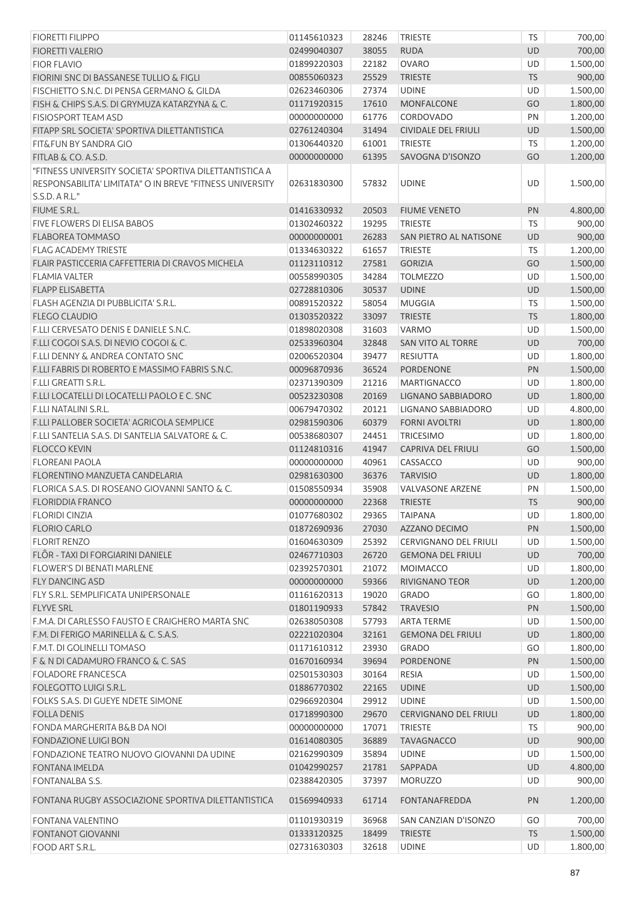| <b>FIORETTI FILIPPO</b>                                                                                             | 01145610323 | 28246 | <b>TRIESTE</b>               | <b>TS</b> | 700,00   |
|---------------------------------------------------------------------------------------------------------------------|-------------|-------|------------------------------|-----------|----------|
| <b>FIORETTI VALERIO</b>                                                                                             | 02499040307 | 38055 | <b>RUDA</b>                  | <b>UD</b> | 700,00   |
| <b>FIOR FLAVIO</b>                                                                                                  | 01899220303 | 22182 | <b>OVARO</b>                 | <b>UD</b> | 1.500,00 |
| FIORINI SNC DI BASSANESE TULLIO & FIGLI                                                                             | 00855060323 | 25529 | <b>TRIESTE</b>               | <b>TS</b> | 900,00   |
| FISCHIETTO S.N.C. DI PENSA GERMANO & GILDA                                                                          | 02623460306 | 27374 | <b>UDINE</b>                 | <b>UD</b> | 1.500,00 |
| FISH & CHIPS S.A.S. DI GRYMUZA KATARZYNA & C.                                                                       | 01171920315 | 17610 | <b>MONFALCONE</b>            | GO        | 1.800,00 |
| <b>FISIOSPORT TEAM ASD</b>                                                                                          | 00000000000 | 61776 | <b>CORDOVADO</b>             | PN        | 1.200,00 |
| FITAPP SRL SOCIETA' SPORTIVA DILETTANTISTICA                                                                        | 02761240304 | 31494 | <b>CIVIDALE DEL FRIULI</b>   | UD        | 1.500,00 |
| FIT&FUN BY SANDRA GIO                                                                                               | 01306440320 | 61001 | <b>TRIESTE</b>               | <b>TS</b> | 1.200,00 |
| FITLAB & CO. A.S.D.                                                                                                 | 00000000000 | 61395 | SAVOGNA D'ISONZO             | GO        | 1.200,00 |
| "FITNESS UNIVERSITY SOCIETA' SPORTIVA DILETTANTISTICA A<br>RESPONSABILITA' LIMITATA" O IN BREVE "FITNESS UNIVERSITY | 02631830300 | 57832 | <b>UDINE</b>                 | UD        | 1.500,00 |
| S.S.D. A R.L."                                                                                                      |             |       |                              |           |          |
| FIUME S.R.L.                                                                                                        | 01416330932 | 20503 | <b>FIUME VENETO</b>          | PN        | 4.800,00 |
| <b>FIVE FLOWERS DI ELISA BABOS</b>                                                                                  | 01302460322 | 19295 | <b>TRIESTE</b>               | <b>TS</b> | 900,00   |
| FLABOREA TOMMASO                                                                                                    | 00000000001 | 26283 | SAN PIETRO AL NATISONE       | UD        | 900,00   |
| <b>FLAG ACADEMY TRIESTE</b>                                                                                         | 01334630322 | 61657 | <b>TRIESTE</b>               | <b>TS</b> | 1.200,00 |
| FLAIR PASTICCERIA CAFFETTERIA DI CRAVOS MICHELA                                                                     | 01123110312 | 27581 | <b>GORIZIA</b>               | GO        | 1.500,00 |
| <b>FLAMIA VALTER</b>                                                                                                | 00558990305 | 34284 | <b>TOLMEZZO</b>              | UD        | 1.500,00 |
| <b>FLAPP ELISABETTA</b>                                                                                             | 02728810306 | 30537 | <b>UDINE</b>                 | <b>UD</b> | 1.500,00 |
| FLASH AGENZIA DI PUBBLICITA' S.R.L.                                                                                 | 00891520322 | 58054 | <b>MUGGIA</b>                | TS        | 1.500,00 |
| <b>FLEGO CLAUDIO</b>                                                                                                | 01303520322 | 33097 | <b>TRIESTE</b>               | <b>TS</b> | 1.800,00 |
| F.LLI CERVESATO DENIS E DANIELE S.N.C.                                                                              | 01898020308 | 31603 | <b>VARMO</b>                 | UD        | 1.500,00 |
| F.LLI COGOI S.A.S. DI NEVIO COGOI & C.                                                                              | 02533960304 | 32848 | SAN VITO AL TORRE            | UD        | 700,00   |
| F.LLI DENNY & ANDREA CONTATO SNC                                                                                    | 02006520304 | 39477 | <b>RESIUTTA</b>              | UD        | 1.800,00 |
| F.LLI FABRIS DI ROBERTO E MASSIMO FABRIS S.N.C.                                                                     | 00096870936 | 36524 | <b>PORDENONE</b>             | PN        | 1.500,00 |
| <b>F.LLI GREATTI S.R.L.</b>                                                                                         | 02371390309 | 21216 | <b>MARTIGNACCO</b>           | UD        | 1.800,00 |
| F.LLI LOCATELLI DI LOCATELLI PAOLO E C. SNC                                                                         | 00523230308 | 20169 | LIGNANO SABBIADORO           | UD        | 1.800,00 |
| <b>F.LLI NATALINI S.R.L.</b>                                                                                        | 00679470302 | 20121 | LIGNANO SABBIADORO           | UD        | 4.800,00 |
| F.LLI PALLOBER SOCIETA' AGRICOLA SEMPLICE                                                                           | 02981590306 | 60379 | <b>FORNI AVOLTRI</b>         | UD        | 1.800,00 |
| F.LLI SANTELIA S.A.S. DI SANTELIA SALVATORE & C.                                                                    | 00538680307 | 24451 | <b>TRICESIMO</b>             | UD        | 1.800,00 |
| <b>FLOCCO KEVIN</b>                                                                                                 | 01124810316 | 41947 | CAPRIVA DEL FRIULI           | GO        | 1.500,00 |
| <b>FLOREANI PAOLA</b>                                                                                               | 00000000000 | 40961 | CASSACCO                     | UD        | 900,00   |
| FLORENTINO MANZUETA CANDELARIA                                                                                      | 02981630300 | 36376 | <b>TARVISIO</b>              | <b>UD</b> | 1.800,00 |
| FLORICA S.A.S. DI ROSEANO GIOVANNI SANTO & C.                                                                       | 01508550934 | 35908 | <b>VALVASONE ARZENE</b>      | PN        | 1.500,00 |
| <b>FLORIDDIA FRANCO</b>                                                                                             | 00000000000 | 22368 | <b>TRIESTE</b>               | <b>TS</b> | 900,00   |
| <b>FLORIDI CINZIA</b>                                                                                               | 01077680302 | 29365 | <b>TAIPANA</b>               | UD        | 1.800,00 |
| <b>FLORIO CARLO</b>                                                                                                 | 01872690936 | 27030 | AZZANO DECIMO                | PN        | 1.500,00 |
| <b>FLORIT RENZO</b>                                                                                                 | 01604630309 | 25392 | <b>CERVIGNANO DEL FRIULI</b> | UD        | 1.500,00 |
| FLÔR - TAXI DI FORGIARINI DANIELE                                                                                   | 02467710303 | 26720 | <b>GEMONA DEL FRIULI</b>     | UD        | 700,00   |
| <b>FLOWER'S DI BENATI MARLENE</b>                                                                                   | 02392570301 | 21072 | <b>MOIMACCO</b>              | UD        | 1.800,00 |
| <b>FLY DANCING ASD</b>                                                                                              | 00000000000 | 59366 | <b>RIVIGNANO TEOR</b>        | UD        | 1.200,00 |
| FLY S.R.L. SEMPLIFICATA UNIPERSONALE                                                                                | 01161620313 | 19020 | <b>GRADO</b>                 | GO        | 1.800,00 |
| <b>FLYVE SRL</b>                                                                                                    | 01801190933 | 57842 | <b>TRAVESIO</b>              | PN        | 1.500,00 |
| F.M.A. DI CARLESSO FAUSTO E CRAIGHERO MARTA SNC                                                                     | 02638050308 | 57793 | <b>ARTA TERME</b>            | UD        | 1.500,00 |
| F.M. DI FERIGO MARINELLA & C. S.A.S.                                                                                | 02221020304 | 32161 | <b>GEMONA DEL FRIULI</b>     | UD        | 1.800,00 |
| F.M.T. DI GOLINELLI TOMASO                                                                                          | 01171610312 | 23930 | <b>GRADO</b>                 | GO        | 1.800,00 |
| F & N DI CADAMURO FRANCO & C. SAS                                                                                   | 01670160934 | 39694 | <b>PORDENONE</b>             | PN        | 1.500,00 |
| <b>FOLADORE FRANCESCA</b>                                                                                           | 02501530303 | 30164 | RESIA                        | UD        | 1.500,00 |
| FOLEGOTTO LUIGI S.R.L.                                                                                              | 01886770302 | 22165 | <b>UDINE</b>                 | <b>UD</b> | 1.500,00 |
| FOLKS S.A.S. DI GUEYE NDETE SIMONE                                                                                  | 02966920304 | 29912 | <b>UDINE</b>                 | <b>UD</b> |          |
|                                                                                                                     |             |       |                              |           | 1.500,00 |
| <b>FOLLA DENIS</b>                                                                                                  | 01718990300 | 29670 | <b>CERVIGNANO DEL FRIULI</b> | UD        | 1.800,00 |
| FONDA MARGHERITA B&B DA NOI                                                                                         | 00000000000 | 17071 | <b>TRIESTE</b>               | <b>TS</b> | 900,00   |
| <b>FONDAZIONE LUIGI BON</b>                                                                                         | 01614080305 | 36889 | <b>TAVAGNACCO</b>            | UD        | 900,00   |
| FONDAZIONE TEATRO NUOVO GIOVANNI DA UDINE                                                                           | 02162990309 | 35894 | <b>UDINE</b>                 | <b>UD</b> | 1.500,00 |
| <b>FONTANA IMELDA</b>                                                                                               | 01042990257 | 21781 | SAPPADA                      | UD        | 4.800,00 |
| FONTANALBA S.S.                                                                                                     | 02388420305 | 37397 | <b>MORUZZO</b>               | <b>UD</b> | 900,00   |
| FONTANA RUGBY ASSOCIAZIONE SPORTIVA DILETTANTISTICA                                                                 | 01569940933 | 61714 | FONTANAFREDDA                | <b>PN</b> | 1.200,00 |
| <b>FONTANA VALENTINO</b>                                                                                            | 01101930319 | 36968 | SAN CANZIAN D'ISONZO         | GO        | 700,00   |
| <b>FONTANOT GIOVANNI</b>                                                                                            | 01333120325 | 18499 | <b>TRIESTE</b>               | <b>TS</b> | 1.500,00 |
| FOOD ART S.R.L.                                                                                                     | 02731630303 | 32618 | <b>UDINE</b>                 | UD        | 1.800,00 |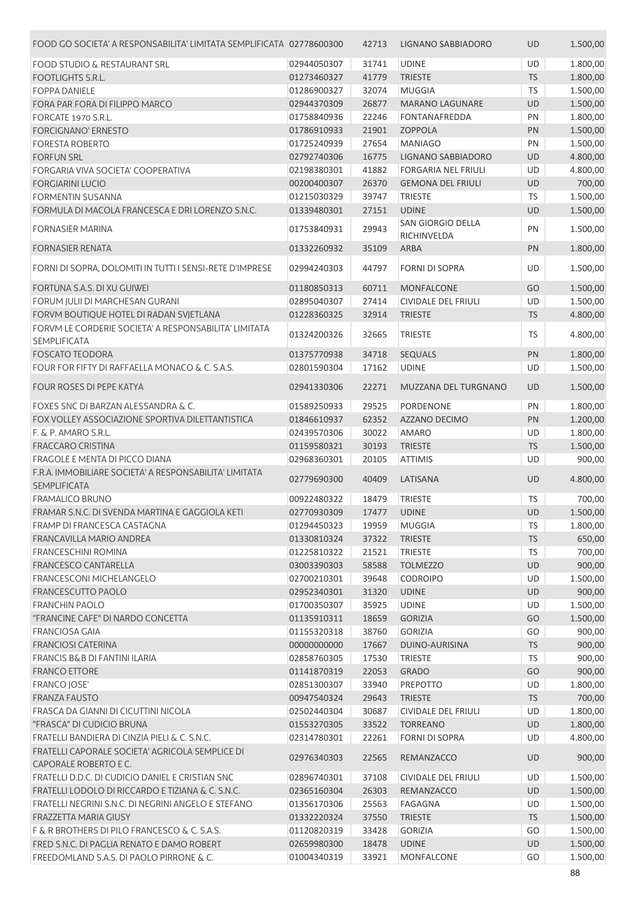| FOOD GO SOCIETA' A RESPONSABILITA' LIMITATA SEMPLIFICATA 02778600300                             |             | 42713 | LIGNANO SABBIADORO         | <b>UD</b> | 1.500,00 |
|--------------------------------------------------------------------------------------------------|-------------|-------|----------------------------|-----------|----------|
| <b>FOOD STUDIO &amp; RESTAURANT SRL</b>                                                          | 02944050307 | 31741 | <b>UDINE</b>               | <b>UD</b> | 1.800,00 |
| <b>FOOTLIGHTS S.R.L.</b>                                                                         | 01273460327 | 41779 | <b>TRIESTE</b>             | TS        | 1.800,00 |
| <b>FOPPA DANIELE</b>                                                                             | 01286900327 | 32074 | <b>MUGGIA</b>              | TS        | 1.500,00 |
| FORA PAR FORA DI FILIPPO MARCO                                                                   | 02944370309 | 26877 | <b>MARANO LAGUNARE</b>     | <b>UD</b> | 1.500,00 |
| FORCATE 1970 S.R.L.                                                                              | 01758840936 | 22246 | <b>FONTANAFREDDA</b>       | PN        | 1.800,00 |
| <b>FORCIGNANO' ERNESTO</b>                                                                       | 01786910933 | 21901 | <b>ZOPPOLA</b>             | PN        | 1.500,00 |
| <b>FORESTA ROBERTO</b>                                                                           | 01725240939 | 27654 | <b>MANIAGO</b>             | PN        | 1.500,00 |
| <b>FORFUN SRL</b>                                                                                | 02792740306 | 16775 | LIGNANO SABBIADORO         | <b>UD</b> | 4.800,00 |
| FORGARIA VIVA SOCIETA' COOPERATIVA                                                               | 02198380301 | 41882 | <b>FORGARIA NEL FRIULI</b> | <b>UD</b> | 4.800,00 |
| <b>FORGIARINI LUCIO</b>                                                                          | 00200400307 | 26370 | <b>GEMONA DEL FRIULI</b>   | <b>UD</b> | 700,00   |
| <b>FORMENTIN SUSANNA</b>                                                                         | 01215030329 | 39747 | <b>TRIESTE</b>             | TS        | 1.500,00 |
| FORMULA DI MACOLA FRANCESCA E DRI LORENZO S.N.C.                                                 | 01339480301 | 27151 | <b>UDINE</b>               | <b>UD</b> | 1.500,00 |
|                                                                                                  |             |       | SAN GIORGIO DELLA          |           |          |
| <b>FORNASIER MARINA</b>                                                                          | 01753840931 | 29943 | RICHINVELDA                | PN        | 1.500,00 |
| <b>FORNASIER RENATA</b>                                                                          | 01332260932 | 35109 | ARBA                       | PN        | 1.800,00 |
| FORNI DI SOPRA, DOLOMITI IN TUTTI I SENSI-RETE D'IMPRESE                                         | 02994240303 | 44797 | <b>FORNI DI SOPRA</b>      | UD        | 1.500,00 |
| FORTUNA S.A.S. DI XU GUIWEI                                                                      | 01180850313 | 60711 | <b>MONFALCONE</b>          | GO        | 1.500,00 |
| FORUM JULII DI MARCHESAN GURANI                                                                  | 02895040307 | 27414 | <b>CIVIDALE DEL FRIULI</b> | UD        | 1.500,00 |
| FORVM BOUTIQUE HOTEL DI RADAN SVJETLANA                                                          | 01228360325 | 32914 | <b>TRIESTE</b>             | <b>TS</b> | 4.800,00 |
| FORVM LE CORDERIE SOCIETA' A RESPONSABILITA' LIMITATA<br><b>SEMPLIFICATA</b>                     | 01324200326 | 32665 | <b>TRIESTE</b>             | <b>TS</b> | 4.800,00 |
| <b>FOSCATO TEODORA</b>                                                                           | 01375770938 | 34718 | <b>SEQUALS</b>             | PN        | 1.800,00 |
| FOUR FOR FIFTY DI RAFFAELLA MONACO & C. S.A.S.                                                   | 02801590304 | 17162 | <b>UDINE</b>               | UD        |          |
|                                                                                                  |             |       |                            |           | 1.500,00 |
| FOUR ROSES DI PEPE KATYA                                                                         | 02941330306 | 22271 | MUZZANA DEL TURGNANO       | <b>UD</b> | 1.500,00 |
| FOXES SNC DI BARZAN ALESSANDRA & C.                                                              | 01589250933 | 29525 | PORDENONE                  | PN        | 1.800,00 |
| FOX VOLLEY ASSOCIAZIONE SPORTIVA DILETTANTISTICA                                                 | 01846610937 | 62352 | AZZANO DECIMO              | PN        | 1.200,00 |
| F. & P. AMARO S.R.L.                                                                             | 02439570306 | 30022 | <b>AMARO</b>               | UD        | 1.800,00 |
| <b>FRACCARO CRISTINA</b>                                                                         | 01159580321 | 30193 | <b>TRIESTE</b>             | TS        | 1.500,00 |
| FRAGOLE E MENTA DI PICCO DIANA                                                                   | 02968360301 | 20105 | <b>ATTIMIS</b>             | <b>UD</b> | 900,00   |
| F.R.A. IMMOBILIARE SOCIETA' A RESPONSABILITA' LIMITATA<br><b>SEMPLIFICATA</b>                    | 02779690300 | 40409 | LATISANA                   | <b>UD</b> | 4.800,00 |
| <b>FRAMALICO BRUNO</b>                                                                           | 00922480322 | 18479 | <b>TRIESTE</b>             | <b>TS</b> | 700,00   |
| FRAMAR S.N.C. DI SVENDA MARTINA E GAGGIOLA KETI                                                  | 02770930309 | 17477 | <b>UDINE</b>               | <b>UD</b> | 1.500,00 |
| FRAMP DI FRANCESCA CASTAGNA                                                                      | 01294450323 | 19959 | <b>MUGGIA</b>              | <b>TS</b> | 1.800,00 |
| FRANCAVILLA MARIO ANDREA                                                                         | 01330810324 | 37322 | <b>TRIESTE</b>             | <b>TS</b> | 650,00   |
| <b>FRANCESCHINI ROMINA</b>                                                                       | 01225810322 | 21521 | <b>TRIESTE</b>             | <b>TS</b> | 700,00   |
| <b>FRANCESCO CANTARELLA</b>                                                                      | 03003390303 | 58588 | <b>TOLMEZZO</b>            | UD        | 900,00   |
| FRANCESCONI MICHELANGELO                                                                         | 02700210301 | 39648 | <b>CODROIPO</b>            | <b>UD</b> | 1.500,00 |
| FRANCESCUTTO PAOLO                                                                               | 02952340301 | 31320 | <b>UDINE</b>               | UD        | 900,00   |
| <b>FRANCHIN PAOLO</b>                                                                            | 01700350307 | 35925 | <b>UDINE</b>               | UD        | 1.500,00 |
| "FRANCINE CAFE" DI NARDO CONCETTA                                                                | 01135910311 | 18659 | <b>GORIZIA</b>             | GO        | 1.500,00 |
| <b>FRANCIOSA GAIA</b>                                                                            | 01155320318 | 38760 | <b>GORIZIA</b>             | GO        | 900,00   |
| <b>FRANCIOSI CATERINA</b>                                                                        | 00000000000 | 17667 | DUINO-AURISINA             | <b>TS</b> | 900,00   |
| <b>FRANCIS B&amp;B DI FANTINI ILARIA</b>                                                         | 02858760305 | 17530 | <b>TRIESTE</b>             | <b>TS</b> | 900,00   |
| <b>FRANCO ETTORE</b>                                                                             | 01141870319 | 22053 | <b>GRADO</b>               | GO        | 900,00   |
| <b>FRANCO JOSE'</b>                                                                              | 02851300307 | 33940 | <b>PREPOTTO</b>            | UD        | 1.800,00 |
|                                                                                                  | 00947540324 |       | <b>TRIESTE</b>             | <b>TS</b> | 700,00   |
| <b>FRANZA FAUSTO</b><br>FRASCA DA GIANNI DI CICUTTINI NICOLA                                     | 02502440304 | 29643 | <b>CIVIDALE DEL FRIULI</b> | UD        | 1.800,00 |
|                                                                                                  |             | 30687 |                            |           |          |
| "FRASCA" DI CUDICIO BRUNA                                                                        | 01553270305 | 33522 | <b>TORREANO</b>            | UD        | 1.800,00 |
| FRATELLI BANDIERA DI CINZIA PIELI & C. S.N.C.<br>FRATELLI CAPORALE SOCIETA' AGRICOLA SEMPLICE DI | 02314780301 | 22261 | <b>FORNI DI SOPRA</b>      | UD        | 4.800,00 |
| CAPORALE ROBERTO E C.                                                                            | 02976340303 | 22565 | REMANZACCO                 | <b>UD</b> | 900,00   |
| FRATELLI D.D.C. DI CUDICIO DANIEL E CRISTIAN SNC                                                 | 02896740301 | 37108 | <b>CIVIDALE DEL FRIULI</b> | UD        | 1.500,00 |
| FRATELLI LODOLO DI RICCARDO E TIZIANA & C. S.N.C.                                                | 02365160304 | 26303 | REMANZACCO                 | UD        | 1.500,00 |
| FRATELLI NEGRINI S.N.C. DI NEGRINI ANGELO E STEFANO                                              | 01356170306 | 25563 | FAGAGNA                    | UD        | 1.500,00 |
| FRAZZETTA MARIA GIUSY                                                                            | 01332220324 | 37550 | <b>TRIESTE</b>             | <b>TS</b> | 1.500,00 |
| F & R BROTHERS DI PILO FRANCESCO & C. S.A.S.                                                     | 01120820319 | 33428 | <b>GORIZIA</b>             | GO        | 1.500,00 |
| FRED S.N.C. DI PAGLIA RENATO E DAMO ROBERT                                                       | 02659980300 | 18478 | <b>UDINE</b>               | UD        | 1.500,00 |
| FREEDOMLAND S.A.S. DI PAOLO PIRRONE & C.                                                         | 01004340319 | 33921 | MONFALCONE                 | GO        | 1.500,00 |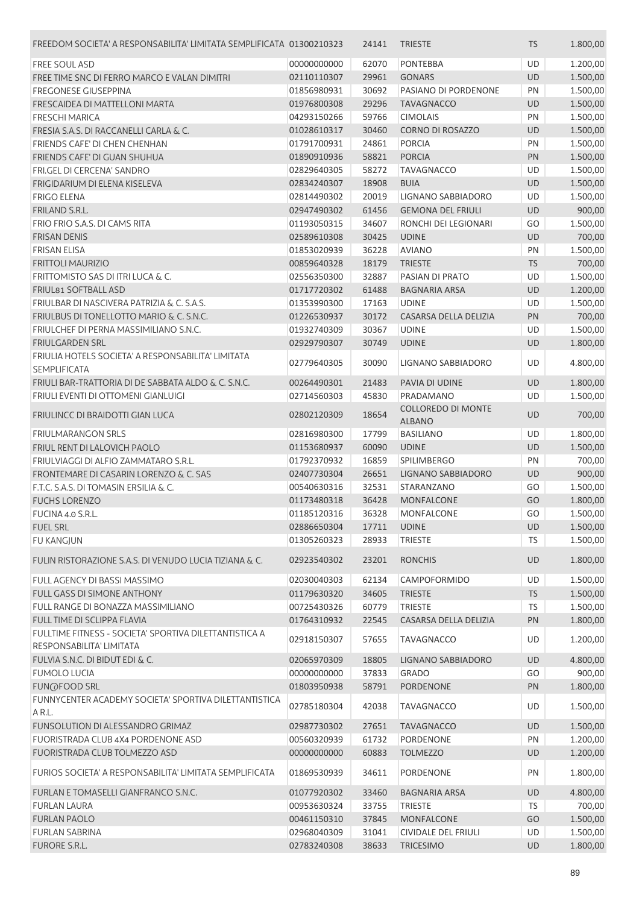| FREEDOM SOCIETA' A RESPONSABILITA' LIMITATA SEMPLIFICATA 01300210323               |             | 24141 | <b>TRIESTE</b>                             | TS.       | 1.800,00 |
|------------------------------------------------------------------------------------|-------------|-------|--------------------------------------------|-----------|----------|
| FREE SOUL ASD                                                                      | 00000000000 | 62070 | <b>PONTEBBA</b>                            | UD        | 1.200,00 |
| FREE TIME SNC DI FERRO MARCO E VALAN DIMITRI                                       | 02110110307 | 29961 | <b>GONARS</b>                              | UD        | 1.500,00 |
| <b>FREGONESE GIUSEPPINA</b>                                                        | 01856980931 | 30692 | PASIANO DI PORDENONE                       | PN        | 1.500,00 |
| <b>FRESCAIDEA DI MATTELLONI MARTA</b>                                              | 01976800308 | 29296 | <b>TAVAGNACCO</b>                          | <b>UD</b> | 1.500,00 |
| <b>FRESCHI MARICA</b>                                                              | 04293150266 | 59766 | <b>CIMOLAIS</b>                            | PN        | 1.500,00 |
| FRESIA S.A.S. DI RACCANELLI CARLA & C.                                             | 01028610317 | 30460 | <b>CORNO DI ROSAZZO</b>                    | UD        | 1.500,00 |
| FRIENDS CAFE' DI CHEN CHENHAN                                                      | 01791700931 | 24861 | <b>PORCIA</b>                              | PN        | 1.500,00 |
| FRIENDS CAFE' DI GUAN SHUHUA                                                       | 01890910936 | 58821 | <b>PORCIA</b>                              | PN        | 1.500,00 |
| <b>FRI.GEL DI CERCENA' SANDRO</b>                                                  | 02829640305 | 58272 | <b>TAVAGNACCO</b>                          | UD        | 1.500,00 |
| FRIGIDARIUM DI ELENA KISELEVA                                                      | 02834240307 | 18908 | <b>BUIA</b>                                | <b>UD</b> | 1.500,00 |
| <b>FRIGO ELENA</b>                                                                 | 02814490302 | 20019 | LIGNANO SABBIADORO                         | UD        | 1.500,00 |
| FRILAND S.R.L.                                                                     | 02947490302 | 61456 | <b>GEMONA DEL FRIULI</b>                   | <b>UD</b> | 900,00   |
| FRIO FRIO S.A.S. DI CAMS RITA                                                      | 01193050315 | 34607 | RONCHI DEI LEGIONARI                       | GO        | 1.500,00 |
| <b>FRISAN DENIS</b>                                                                | 02589610308 | 30425 | <b>UDINE</b>                               | <b>UD</b> | 700,00   |
| <b>FRISAN ELISA</b>                                                                | 01853020939 | 36228 | <b>AVIANO</b>                              | PN        | 1.500,00 |
| <b>FRITTOLI MAURIZIO</b>                                                           | 00859640328 | 18179 | <b>TRIESTE</b>                             | <b>TS</b> | 700,00   |
| FRITTOMISTO SAS DI ITRI LUCA & C.                                                  | 02556350300 | 32887 | PASIAN DI PRATO                            | UD        | 1.500,00 |
| FRIUL81 SOFTBALL ASD                                                               | 01717720302 | 61488 | <b>BAGNARIA ARSA</b>                       | <b>UD</b> | 1.200,00 |
| FRIULBAR DI NASCIVERA PATRIZIA & C. S.A.S.                                         | 01353990300 | 17163 | <b>UDINE</b>                               | UD        | 1.500,00 |
| FRIULBUS DI TONELLOTTO MARIO & C. S.N.C.                                           | 01226530937 | 30172 | CASARSA DELLA DELIZIA                      | PN        | 700,00   |
| FRIULCHEF DI PERNA MASSIMILIANO S.N.C.                                             | 01932740309 | 30367 | <b>UDINE</b>                               | UD        | 1.500,00 |
| <b>FRIULGARDEN SRL</b>                                                             | 02929790307 | 30749 | <b>UDINE</b>                               | <b>UD</b> | 1.800,00 |
| FRIULIA HOTELS SOCIETA' A RESPONSABILITA' LIMITATA<br><b>SEMPLIFICATA</b>          | 02779640305 | 30090 | LIGNANO SABBIADORO                         | UD        | 4.800,00 |
| FRIULI BAR-TRATTORIA DI DE SABBATA ALDO & C. S.N.C.                                | 00264490301 | 21483 | PAVIA DI UDINE                             | <b>UD</b> | 1.800,00 |
| FRIULI EVENTI DI OTTOMENI GIANLUIGI                                                | 02714560303 | 45830 | PRADAMANO                                  | <b>UD</b> | 1.500,00 |
| <b>FRIULINCC DI BRAIDOTTI GIAN LUCA</b>                                            | 02802120309 | 18654 | <b>COLLOREDO DI MONTE</b><br><b>ALBANO</b> | <b>UD</b> | 700,00   |
| <b>FRIULMARANGON SRLS</b>                                                          | 02816980300 | 17799 | <b>BASILIANO</b>                           | UD        | 1.800,00 |
| FRIUL RENT DI LALOVICH PAOLO                                                       | 01153680937 | 60090 | <b>UDINE</b>                               | <b>UD</b> | 1.500,00 |
| FRIULVIAGGI DI ALFIO ZAMMATARO S.R.L.                                              | 01792370932 | 16859 | SPILIMBERGO                                | PN        | 700,00   |
| FRONTEMARE DI CASARIN LORENZO & C. SAS                                             | 02407730304 | 26651 | <b>LIGNANO SABBIADORO</b>                  | <b>UD</b> | 900,00   |
| F.T.C. S.A.S. DI TOMASIN ERSILIA & C.                                              | 00540630316 | 32531 | STARANZANO                                 | GO        | 1.500,00 |
| <b>FUCHS LORENZO</b>                                                               | 01173480318 | 36428 | <b>MONFALCONE</b>                          | GO        | 1.800,00 |
| FUCINA 4.0 S.R.L.                                                                  | 01185120316 | 36328 | <b>MONFALCONE</b>                          | GO        | 1.500,00 |
| <b>FUEL SRL</b>                                                                    | 02886650304 | 17711 | <b>UDINE</b>                               | <b>UD</b> | 1.500,00 |
| <b>FU KANGJUN</b>                                                                  | 01305260323 | 28933 | <b>TRIESTE</b>                             | TS        | 1.500,00 |
| FULIN RISTORAZIONE S.A.S. DI VENUDO LUCIA TIZIANA & C.                             | 02923540302 | 23201 | <b>RONCHIS</b>                             | UD        | 1.800,00 |
| FULL AGENCY DI BASSI MASSIMO                                                       | 02030040303 | 62134 | CAMPOFORMIDO                               | UD        | 1.500,00 |
| FULL GASS DI SIMONE ANTHONY                                                        | 01179630320 | 34605 | <b>TRIESTE</b>                             | <b>TS</b> | 1.500,00 |
| <b>FULL RANGE DI BONAZZA MASSIMILIANO</b>                                          | 00725430326 | 60779 | <b>TRIESTE</b>                             | <b>TS</b> | 1.500,00 |
| FULL TIME DI SCLIPPA FLAVIA                                                        | 01764310932 | 22545 | CASARSA DELLA DELIZIA                      | PN        | 1.800,00 |
| FULLTIME FITNESS - SOCIETA' SPORTIVA DILETTANTISTICA A<br>RESPONSABILITA' LIMITATA | 02918150307 | 57655 | <b>TAVAGNACCO</b>                          | UD        | 1.200,00 |
| FULVIA S.N.C. DI BIDUT EDI & C.                                                    | 02065970309 | 18805 | LIGNANO SABBIADORO                         | <b>UD</b> | 4.800,00 |
| <b>FUMOLO LUCIA</b>                                                                | 00000000000 | 37833 | <b>GRADO</b>                               | GO        | 900,00   |
| FUN@FOOD SRL                                                                       | 01803950938 | 58791 | PORDENONE                                  | PN        | 1.800,00 |
| FUNNYCENTER ACADEMY SOCIETA' SPORTIVA DILETTANTISTICA<br>A R.L.                    | 02785180304 | 42038 | <b>TAVAGNACCO</b>                          | UD        | 1.500,00 |
| FUNSOLUTION DI ALESSANDRO GRIMAZ                                                   | 02987730302 | 27651 | <b>TAVAGNACCO</b>                          | <b>UD</b> | 1.500,00 |
| FUORISTRADA CLUB 4X4 PORDENONE ASD                                                 | 00560320939 | 61732 | PORDENONE                                  | PN        | 1.200,00 |
| FUORISTRADA CLUB TOLMEZZO ASD                                                      | 00000000000 | 60883 | <b>TOLMEZZO</b>                            | UD        | 1.200,00 |
| FURIOS SOCIETA' A RESPONSABILITA' LIMITATA SEMPLIFICATA                            | 01869530939 | 34611 | PORDENONE                                  | PN        | 1.800,00 |
| FURLAN E TOMASELLI GIANFRANCO S.N.C.                                               | 01077920302 | 33460 | <b>BAGNARIA ARSA</b>                       | <b>UD</b> | 4.800,00 |
| <b>FURLAN LAURA</b>                                                                | 00953630324 | 33755 | <b>TRIESTE</b>                             | <b>TS</b> | 700,00   |
| <b>FURLAN PAOLO</b>                                                                | 00461150310 | 37845 | <b>MONFALCONE</b>                          | GO        | 1.500,00 |
| <b>FURLAN SABRINA</b>                                                              | 02968040309 | 31041 | <b>CIVIDALE DEL FRIULI</b>                 | UD        | 1.500,00 |
| <b>FURORE S.R.L.</b>                                                               | 02783240308 | 38633 | <b>TRICESIMO</b>                           | UD        | 1.800,00 |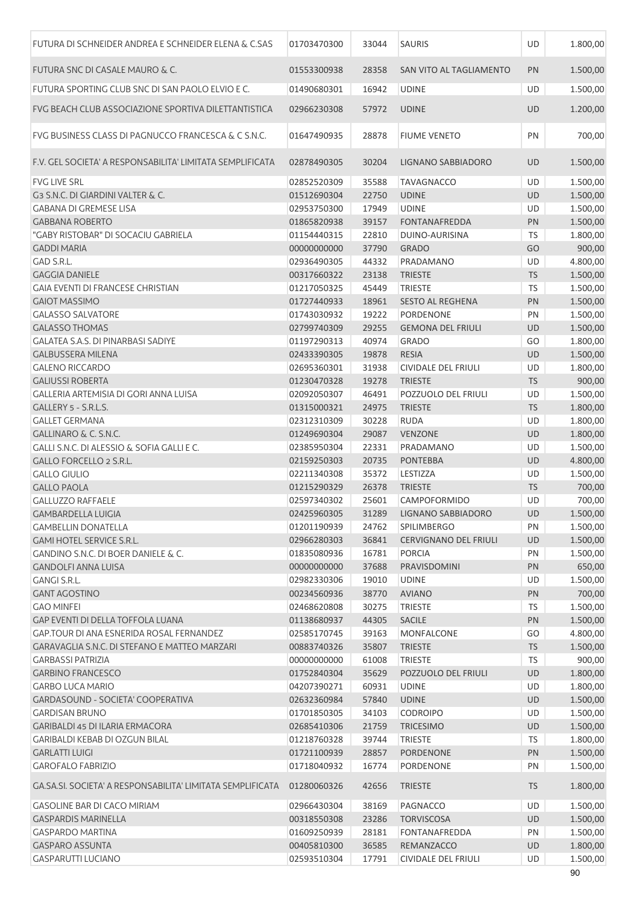| FUTURA DI SCHNEIDER ANDREA E SCHNEIDER ELENA & C.SAS                                      | 01703470300                | 33044          | <b>SAURIS</b>                                | UD              | 1.800,00             |
|-------------------------------------------------------------------------------------------|----------------------------|----------------|----------------------------------------------|-----------------|----------------------|
| <b>FUTURA SNC DI CASALE MAURO &amp; C.</b>                                                | 01553300938                | 28358          | SAN VITO AL TAGLIAMENTO                      | PN              | 1.500,00             |
| FUTURA SPORTING CLUB SNC DI SAN PAOLO ELVIO E C.                                          | 01490680301                | 16942          | <b>UDINE</b>                                 | UD              | 1.500,00             |
| FVG BEACH CLUB ASSOCIAZIONE SPORTIVA DILETTANTISTICA                                      | 02966230308                | 57972          | <b>UDINE</b>                                 | <b>UD</b>       | 1.200,00             |
| FVG BUSINESS CLASS DI PAGNUCCO FRANCESCA & C S.N.C.                                       | 01647490935                | 28878          | <b>FIUME VENETO</b>                          | PN              | 700,00               |
| F.V. GEL SOCIETA' A RESPONSABILITA' LIMITATA SEMPLIFICATA                                 | 02878490305                | 30204          | LIGNANO SABBIADORO                           | <b>UD</b>       | 1.500,00             |
| <b>FVG LIVE SRL</b>                                                                       | 02852520309                | 35588          | <b>TAVAGNACCO</b>                            | <b>UD</b>       | 1.500,00             |
| G3 S.N.C. DI GIARDINI VALTER & C.                                                         | 01512690304                | 22750          | <b>UDINE</b>                                 | <b>UD</b>       | 1.500,00             |
| <b>GABANA DI GREMESE LISA</b>                                                             | 02953750300                | 17949          | <b>UDINE</b>                                 | UD              | 1.500,00             |
| <b>GABBANA ROBERTO</b>                                                                    | 01865820938                | 39157          | <b>FONTANAFREDDA</b>                         | PN              | 1.500,00             |
| "GABY RISTOBAR" DI SOCACIU GABRIELA                                                       | 01154440315                | 22810          | DUINO-AURISINA                               | <b>TS</b>       | 1.800,00             |
| <b>GADDI MARIA</b>                                                                        | 00000000000                | 37790          | <b>GRADO</b>                                 | GO              | 900,00               |
| GAD S.R.L.                                                                                | 02936490305                | 44332          | PRADAMANO                                    | <b>UD</b>       | 4.800,00             |
| <b>GAGGIA DANIELE</b>                                                                     | 00317660322                | 23138          | <b>TRIESTE</b>                               | <b>TS</b>       | 1.500,00             |
| <b>GAIA EVENTI DI FRANCESE CHRISTIAN</b>                                                  | 01217050325                | 45449          | <b>TRIESTE</b>                               | <b>TS</b>       | 1.500,00             |
| <b>GAIOT MASSIMO</b>                                                                      | 01727440933                | 18961          | <b>SESTO AL REGHENA</b>                      | PN              | 1.500,00             |
| <b>GALASSO SALVATORE</b>                                                                  | 01743030932                | 19222          | <b>PORDENONE</b>                             | PN              | 1.500,00             |
| <b>GALASSO THOMAS</b>                                                                     | 02799740309                | 29255          | <b>GEMONA DEL FRIULI</b>                     | <b>UD</b>       | 1.500,00             |
| <b>GALATEA S.A.S. DI PINARBASI SADIYE</b>                                                 | 01197290313                | 40974          | <b>GRADO</b>                                 | GO              | 1.800,00             |
| <b>GALBUSSERA MILENA</b><br><b>GALENO RICCARDO</b>                                        | 02433390305                | 19878          | <b>RESIA</b>                                 | <b>UD</b><br>UD | 1.500,00             |
| <b>GALIUSSI ROBERTA</b>                                                                   | 02695360301<br>01230470328 | 31938<br>19278 | <b>CIVIDALE DEL FRIULI</b><br><b>TRIESTE</b> | <b>TS</b>       | 1.800,00<br>900,00   |
| GALLERIA ARTEMISIA DI GORI ANNA LUISA                                                     | 02092050307                | 46491          | POZZUOLO DEL FRIULI                          | UD              | 1.500,00             |
| GALLERY 5 - S.R.L.S.                                                                      | 01315000321                | 24975          | <b>TRIESTE</b>                               | <b>TS</b>       | 1.800,00             |
| <b>GALLET GERMANA</b>                                                                     | 02312310309                | 30228          | <b>RUDA</b>                                  | UD              | 1.800,00             |
| GALLINARO & C. S.N.C.                                                                     | 01249690304                | 29087          | <b>VENZONE</b>                               | UD              | 1.800,00             |
| GALLI S.N.C. DI ALESSIO & SOFIA GALLI E C.                                                | 02385950304                | 22331          | PRADAMANO                                    | UD              | 1.500,00             |
| GALLO FORCELLO 2 S.R.L.                                                                   | 02159250303                | 20735          | <b>PONTEBBA</b>                              | <b>UD</b>       | 4.800,00             |
| <b>GALLO GIULIO</b>                                                                       | 02211340308                | 35372          | LESTIZZA                                     | <b>UD</b>       | 1.500,00             |
| <b>GALLO PAOLA</b>                                                                        | 01215290329                | 26378          | <b>TRIESTE</b>                               | <b>TS</b>       | 700,00               |
| <b>GALLUZZO RAFFAELE</b>                                                                  | 02597340302                | 25601          | CAMPOFORMIDO                                 | UD              | 700,00               |
| <b>GAMBARDELLA LUIGIA</b>                                                                 | 02425960305                |                | 31289 LIGNANO SABBIADORO                     | UD              | 1.500,00             |
| <b>GAMBELLIN DONATELLA</b>                                                                | 01201190939                | 24762          | SPILIMBERGO                                  | PN              | 1.500,00             |
| <b>GAMI HOTEL SERVICE S.R.L.</b>                                                          | 02966280303                | 36841          | <b>CERVIGNANO DEL FRIULI</b>                 | <b>UD</b>       | 1.500,00             |
| GANDINO S.N.C. DI BOER DANIELE & C.                                                       | 01835080936                | 16781          | <b>PORCIA</b>                                | PN              | 1.500,00             |
| <b>GANDOLFI ANNA LUISA</b>                                                                | 00000000000                | 37688          | PRAVISDOMINI                                 | PN              | 650,00               |
| <b>GANGI S.R.L.</b>                                                                       | 02982330306                | 19010          | <b>UDINE</b>                                 | UD              | 1.500,00             |
| <b>GANT AGOSTINO</b>                                                                      | 00234560936                | 38770          | <b>AVIANO</b>                                | <b>PN</b>       | 700,00               |
| <b>GAO MINFEI</b>                                                                         | 02468620808                | 30275          | <b>TRIESTE</b>                               | TS              | 1.500,00             |
| GAP EVENTI DI DELLA TOFFOLA LUANA                                                         | 01138680937                | 44305          | <b>SACILE</b>                                | PN              | 1.500,00             |
| <b>GAP.TOUR DI ANA ESNERIDA ROSAL FERNANDEZ</b>                                           | 02585170745                | 39163          | MONFALCONE                                   | GO              | 4.800,00             |
| GARAVAGLIA S.N.C. DI STEFANO E MATTEO MARZARI                                             | 00883740326                | 35807          | <b>TRIESTE</b>                               | <b>TS</b>       | 1.500,00             |
| <b>GARBASSI PATRIZIA</b>                                                                  | 00000000000                | 61008          | <b>TRIESTE</b>                               | TS              | 900,00               |
| <b>GARBINO FRANCESCO</b>                                                                  | 01752840304                | 35629          | POZZUOLO DEL FRIULI                          | UD              | 1.800,00             |
| <b>GARBO LUCA MARIO</b>                                                                   | 04207390271                | 60931          | <b>UDINE</b>                                 | UD              | 1.800,00             |
| GARDASOUND - SOCIETA' COOPERATIVA                                                         | 02632360984                | 57840          | <b>UDINE</b>                                 | <b>UD</b>       | 1.500,00             |
| <b>GARDISAN BRUNO</b>                                                                     | 01701850305                | 34103          | <b>CODROIPO</b>                              | UD              | 1.500,00             |
| <b>GARIBALDI 45 DI ILARIA ERMACORA</b>                                                    | 02685410306                | 21759          | <b>TRICESIMO</b>                             | <b>UD</b>       | 1.500,00             |
| <b>GARIBALDI KEBAB DI OZGUN BILAL</b>                                                     | 01218760328                | 39744          | <b>TRIESTE</b>                               | TS              | 1.800,00             |
| <b>GARLATTI LUIGI</b>                                                                     | 01721100939                | 28857          | <b>PORDENONE</b>                             | PN              | 1.500,00             |
| <b>GAROFALO FABRIZIO</b>                                                                  | 01718040932                | 16774          | PORDENONE                                    | PN              | 1.500,00             |
| GA.SA.SI. SOCIETA' A RESPONSABILITA' LIMITATA SEMPLIFICATA<br>GASOLINE BAR DI CACO MIRIAM | 01280060326<br>02966430304 | 42656<br>38169 | <b>TRIESTE</b><br>PAGNACCO                   | <b>TS</b><br>UD | 1.800,00<br>1.500,00 |
| <b>GASPARDIS MARINELLA</b>                                                                | 00318550308                | 23286          | <b>TORVISCOSA</b>                            | <b>UD</b>       | 1.500,00             |
| <b>GASPARDO MARTINA</b>                                                                   | 01609250939                | 28181          | <b>FONTANAFREDDA</b>                         | PN              | 1.500,00             |
| GASPARO ASSUNTA                                                                           | 00405810300                | 36585          | REMANZACCO                                   | <b>UD</b>       | 1.800,00             |
| <b>GASPARUTTI LUCIANO</b>                                                                 | 02593510304                | 17791          | CIVIDALE DEL FRIULI                          | UD              | 1.500,00             |
|                                                                                           |                            |                |                                              |                 | 90                   |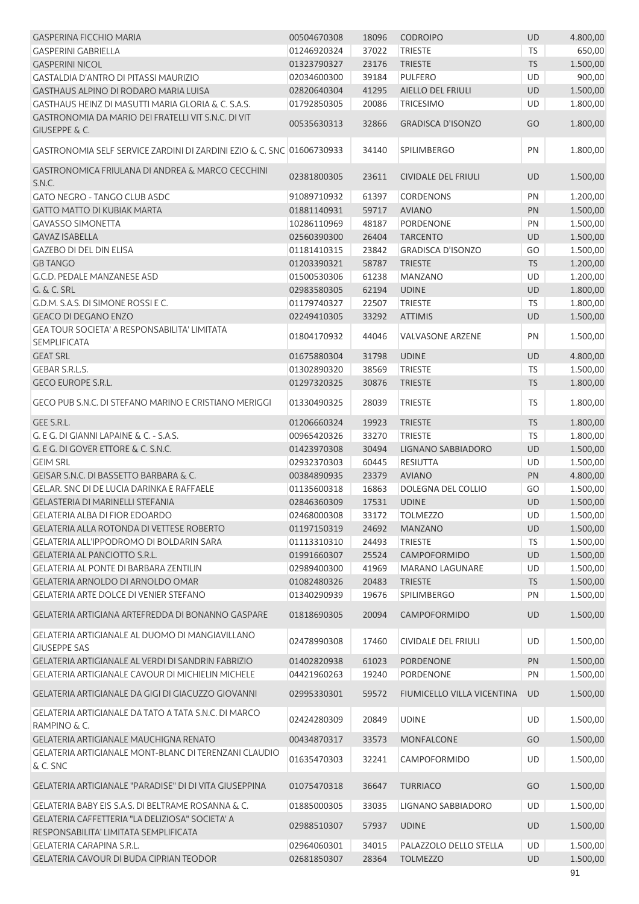| <b>GASPERINA FICCHIO MARIA</b>                                                           | 00504670308 | 18096 | <b>CODROIPO</b>            | UD        | 4.800,00 |
|------------------------------------------------------------------------------------------|-------------|-------|----------------------------|-----------|----------|
| <b>GASPERINI GABRIELLA</b>                                                               | 01246920324 | 37022 | <b>TRIESTE</b>             | <b>TS</b> | 650,00   |
| <b>GASPERINI NICOL</b>                                                                   | 01323790327 | 23176 | <b>TRIESTE</b>             | <b>TS</b> | 1.500,00 |
| GASTALDIA D'ANTRO DI PITASSI MAURIZIO                                                    | 02034600300 | 39184 | <b>PULFERO</b>             | UD        | 900,00   |
| GASTHAUS ALPINO DI RODARO MARIA LUISA                                                    | 02820640304 | 41295 | AIELLO DEL FRIULI          | UD        | 1.500,00 |
| GASTHAUS HEINZ DI MASUTTI MARIA GLORIA & C. S.A.S.                                       | 01792850305 | 20086 | <b>TRICESIMO</b>           | UD        | 1.800,00 |
| GASTRONOMIA DA MARIO DEI FRATELLI VIT S.N.C. DI VIT<br><b>GIUSEPPE &amp; C.</b>          | 00535630313 | 32866 | <b>GRADISCA D'ISONZO</b>   | GO        | 1.800,00 |
| GASTRONOMIA SELF SERVICE ZARDINI DI ZARDINI EZIO & C. SNC 01606730933                    |             | 34140 | <b>SPILIMBERGO</b>         | PN        | 1.800,00 |
| GASTRONOMICA FRIULANA DI ANDREA & MARCO CECCHINI<br>S.N.C.                               | 02381800305 | 23611 | <b>CIVIDALE DEL FRIULI</b> | UD        | 1.500,00 |
| GATO NEGRO - TANGO CLUB ASDC                                                             | 91089710932 | 61397 | <b>CORDENONS</b>           | PN        | 1.200,00 |
| <b>GATTO MATTO DI KUBIAK MARTA</b>                                                       | 01881140931 | 59717 | <b>AVIANO</b>              | PN        | 1.500,00 |
| <b>GAVASSO SIMONETTA</b>                                                                 | 10286110969 | 48187 | PORDENONE                  | PN        | 1.500,00 |
| <b>GAVAZ ISABELLA</b>                                                                    | 02560390300 | 26404 | <b>TARCENTO</b>            | UD        | 1.500,00 |
| <b>GAZEBO DI DEL DIN ELISA</b>                                                           | 01181410315 | 23842 | <b>GRADISCA D'ISONZO</b>   | GO        | 1.500,00 |
| <b>GB TANGO</b>                                                                          | 01203390321 | 58787 | <b>TRIESTE</b>             | <b>TS</b> | 1.200,00 |
| G.C.D. PEDALE MANZANESE ASD                                                              | 01500530306 | 61238 | MANZANO                    | UD        | 1.200,00 |
| G. & C. SRL                                                                              | 02983580305 | 62194 | <b>UDINE</b>               | UD        | 1.800,00 |
| G.D.M. S.A.S. DI SIMONE ROSSI E C.                                                       | 01179740327 | 22507 | <b>TRIESTE</b>             | TS        | 1.800,00 |
| <b>GEACO DI DEGANO ENZO</b>                                                              | 02249410305 | 33292 | <b>ATTIMIS</b>             | <b>UD</b> | 1.500,00 |
| <b>GEA TOUR SOCIETA' A RESPONSABILITA' LIMITATA</b><br><b>SEMPLIFICATA</b>               | 01804170932 | 44046 | <b>VALVASONE ARZENE</b>    | PN        | 1.500,00 |
| <b>GEAT SRL</b>                                                                          | 01675880304 | 31798 | <b>UDINE</b>               | UD        | 4.800,00 |
| GEBAR S.R.L.S.                                                                           | 01302890320 | 38569 | <b>TRIESTE</b>             | <b>TS</b> | 1.500,00 |
| <b>GECO EUROPE S.R.L.</b>                                                                | 01297320325 | 30876 | <b>TRIESTE</b>             | <b>TS</b> | 1.800,00 |
| GECO PUB S.N.C. DI STEFANO MARINO E CRISTIANO MERIGGI                                    | 01330490325 | 28039 | <b>TRIESTE</b>             | <b>TS</b> | 1.800,00 |
| GEE S.R.L.                                                                               | 01206660324 | 19923 | <b>TRIESTE</b>             | <b>TS</b> | 1.800,00 |
| G. E G. DI GIANNI LAPAINE & C. - S.A.S.                                                  | 00965420326 | 33270 | <b>TRIESTE</b>             | TS        | 1.800,00 |
| G. E G. DI GOVER ETTORE & C. S.N.C.                                                      | 01423970308 | 30494 | LIGNANO SABBIADORO         | UD        | 1.500,00 |
| <b>GEIM SRL</b>                                                                          | 02932370303 | 60445 | <b>RESIUTTA</b>            | UD        | 1.500,00 |
| GEISAR S.N.C. DI BASSETTO BARBARA & C.                                                   | 00384890935 | 23379 | <b>AVIANO</b>              | PN        | 4.800,00 |
| GELAR. SNC DI DE LUCIA DARINKA E RAFFAELE                                                | 01135600318 | 16863 | DOLEGNA DEL COLLIO         | GO        | 1.500,00 |
| <b>GELASTERIA DI MARINELLI STEFANIA</b>                                                  | 02846360309 | 17531 | <b>UDINE</b>               | <b>UD</b> | 1.500,00 |
| <b>GELATERIA ALBA DI FIOR EDOARDO</b>                                                    | 02468000308 | 33172 | <b>TOLMEZZO</b>            | UD        | 1.500,00 |
| <b>GELATERIA ALLA ROTONDA DI VETTESE ROBERTO</b>                                         | 01197150319 | 24692 | <b>MANZANO</b>             | UD        | 1.500,00 |
| GELATERIA ALL'IPPODROMO DI BOLDARIN SARA                                                 | 01113310310 | 24493 | <b>TRIESTE</b>             | <b>TS</b> | 1.500,00 |
| <b>GELATERIA AL PANCIOTTO S.R.L.</b>                                                     | 01991660307 | 25524 | CAMPOFORMIDO               | UD        | 1.500,00 |
| <b>GELATERIA AL PONTE DI BARBARA ZENTILIN</b>                                            | 02989400300 | 41969 | <b>MARANO LAGUNARE</b>     | UD        | 1.500,00 |
| GELATERIA ARNOLDO DI ARNOLDO OMAR                                                        | 01082480326 | 20483 | <b>TRIESTE</b>             | <b>TS</b> | 1.500,00 |
| <b>GELATERIA ARTE DOLCE DI VENIER STEFANO</b>                                            | 01340290939 | 19676 | <b>SPILIMBERGO</b>         | PN        | 1.500,00 |
| GELATERIA ARTIGIANA ARTEFREDDA DI BONANNO GASPARE                                        | 01818690305 | 20094 | <b>CAMPOFORMIDO</b>        | UD        | 1.500,00 |
| GELATERIA ARTIGIANALE AL DUOMO DI MANGIAVILLANO<br><b>GIUSEPPE SAS</b>                   | 02478990308 | 17460 | <b>CIVIDALE DEL FRIULI</b> | <b>UD</b> | 1.500,00 |
| GELATERIA ARTIGIANALE AL VERDI DI SANDRIN FABRIZIO                                       | 01402820938 | 61023 | <b>PORDENONE</b>           | <b>PN</b> | 1.500,00 |
| GELATERIA ARTIGIANALE CAVOUR DI MICHIELIN MICHELE                                        | 04421960263 | 19240 | PORDENONE                  | PN        | 1.500,00 |
| GELATERIA ARTIGIANALE DA GIGI DI GIACUZZO GIOVANNI                                       | 02995330301 | 59572 | FIUMICELLO VILLA VICENTINA | <b>UD</b> | 1.500,00 |
| GELATERIA ARTIGIANALE DA TATO A TATA S.N.C. DI MARCO<br>RAMPINO & C.                     | 02424280309 | 20849 | <b>UDINE</b>               | UD        | 1.500,00 |
| <b>GELATERIA ARTIGIANALE MAUCHIGNA RENATO</b>                                            | 00434870317 | 33573 | <b>MONFALCONE</b>          | GO        | 1.500,00 |
| GELATERIA ARTIGIANALE MONT-BLANC DI TERENZANI CLAUDIO<br>& C. SNC                        | 01635470303 | 32241 | CAMPOFORMIDO               | UD        | 1.500,00 |
| GELATERIA ARTIGIANALE "PARADISE" DI DI VITA GIUSEPPINA                                   | 01075470318 | 36647 | <b>TURRIACO</b>            | GO        | 1.500,00 |
| GELATERIA BABY EIS S.A.S. DI BELTRAME ROSANNA & C.                                       | 01885000305 | 33035 | LIGNANO SABBIADORO         | UD        | 1.500,00 |
| GELATERIA CAFFETTERIA "LA DELIZIOSA" SOCIETA' A<br>RESPONSABILITA' LIMITATA SEMPLIFICATA | 02988510307 | 57937 | <b>UDINE</b>               | <b>UD</b> | 1.500,00 |
| <b>GELATERIA CARAPINA S.R.L.</b>                                                         | 02964060301 | 34015 | PALAZZOLO DELLO STELLA     | UD        | 1.500,00 |
| <b>GELATERIA CAVOUR DI BUDA CIPRIAN TEODOR</b>                                           | 02681850307 | 28364 | <b>TOLMEZZO</b>            | <b>UD</b> | 1.500,00 |
|                                                                                          |             |       |                            |           | 91       |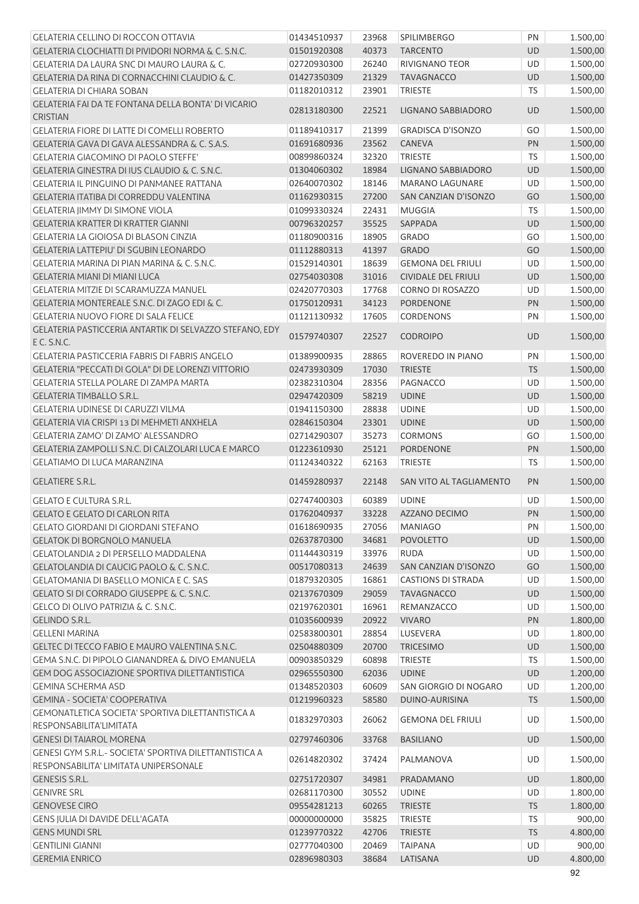| <b>GELATERIA CELLINO DI ROCCON OTTAVIA</b>                                                      | 01434510937 | 23968 | <b>SPILIMBERGO</b>         | PN        | 1.500,00       |
|-------------------------------------------------------------------------------------------------|-------------|-------|----------------------------|-----------|----------------|
| <b>GELATERIA CLOCHIATTI DI PIVIDORI NORMA &amp; C. S.N.C.</b>                                   | 01501920308 | 40373 | <b>TARCENTO</b>            | <b>UD</b> | 1.500,00       |
| <b>GELATERIA DA LAURA SNC DI MAURO LAURA &amp; C.</b>                                           | 02720930300 | 26240 | RIVIGNANO TEOR             | <b>UD</b> | 1.500,00       |
| GELATERIA DA RINA DI CORNACCHINI CLAUDIO & C.                                                   | 01427350309 | 21329 | <b>TAVAGNACCO</b>          | UD        | 1.500,00       |
| <b>GELATERIA DI CHIARA SOBAN</b>                                                                | 01182010312 | 23901 | <b>TRIESTE</b>             | TS        | 1.500,00       |
| GELATERIA FAI DA TE FONTANA DELLA BONTA' DI VICARIO<br><b>CRISTIAN</b>                          | 02813180300 | 22521 | LIGNANO SABBIADORO         | <b>UD</b> | 1.500,00       |
| GELATERIA FIORE DI LATTE DI COMELLI ROBERTO                                                     | 01189410317 | 21399 | <b>GRADISCA D'ISONZO</b>   | GO        | 1.500,00       |
| GELATERIA GAVA DI GAVA ALESSANDRA & C. S.A.S.                                                   | 01691680936 | 23562 | <b>CANEVA</b>              | <b>PN</b> | 1.500,00       |
| <b>GELATERIA GIACOMINO DI PAOLO STEFFE'</b>                                                     | 00899860324 | 32320 | <b>TRIESTE</b>             | <b>TS</b> | 1.500,00       |
| GELATERIA GINESTRA DI IUS CLAUDIO & C. S.N.C.                                                   | 01304060302 | 18984 | LIGNANO SABBIADORO         | UD        | 1.500,00       |
| GELATERIA IL PINGUINO DI PANMANEE RATTANA                                                       | 02640070302 | 18146 | MARANO LAGUNARE            | UD        | 1.500,00       |
| GELATERIA ITATIBA DI CORREDDU VALENTINA                                                         | 01162930315 | 27200 | SAN CANZIAN D'ISONZO       | GO        | 1.500,00       |
| GELATERIA JIMMY DI SIMONE VIOLA                                                                 | 01099330324 | 22431 | <b>MUGGIA</b>              | <b>TS</b> | 1.500,00       |
| GELATERIA KRATTER DI KRATTER GIANNI                                                             | 00796320257 | 35525 | SAPPADA                    | UD        | 1.500,00       |
| GELATERIA LA GIOIOSA DI BLASON CINZIA                                                           | 01180900316 | 18905 | <b>GRADO</b>               | GO        | 1.500,00       |
| <b>GELATERIA LATTEPIU' DI SGUBIN LEONARDO</b>                                                   | 01112880313 | 41397 | <b>GRADO</b>               | GO        | 1.500,00       |
| GELATERIA MARINA DI PIAN MARINA & C. S.N.C.                                                     | 01529140301 | 18639 | <b>GEMONA DEL FRIULI</b>   | UD        | 1.500,00       |
| <b>GELATERIA MIANI DI MIANI LUCA</b>                                                            | 02754030308 | 31016 | <b>CIVIDALE DEL FRIULI</b> | <b>UD</b> | 1.500,00       |
| GELATERIA MITZIE DI SCARAMUZZA MANUEL                                                           | 02420770303 | 17768 | CORNO DI ROSAZZO           | <b>UD</b> | 1.500,00       |
| GELATERIA MONTEREALE S.N.C. DI ZAGO EDI & C.                                                    | 01750120931 | 34123 | PORDENONE                  | PN        | 1.500,00       |
| <b>GELATERIA NUOVO FIORE DI SALA FELICE</b>                                                     | 01121130932 | 17605 | <b>CORDENONS</b>           | PN        | 1.500,00       |
| GELATERIA PASTICCERIA ANTARTIK DI SELVAZZO STEFANO, EDY<br>E C. S.N.C.                          | 01579740307 | 22527 | <b>CODROIPO</b>            | <b>UD</b> | 1.500,00       |
| GELATERIA PASTICCERIA FABRIS DI FABRIS ANGELO                                                   | 01389900935 | 28865 | ROVEREDO IN PIANO          | PN        | 1.500,00       |
| <b>GELATERIA "PECCATI DI GOLA" DI DE LORENZI VITTORIO</b>                                       | 02473930309 | 17030 | <b>TRIESTE</b>             | <b>TS</b> | 1.500,00       |
| <b>GELATERIA STELLA POLARE DI ZAMPA MARTA</b>                                                   | 02382310304 | 28356 | PAGNACCO                   | UD        | 1.500,00       |
| <b>GELATERIA TIMBALLO S.R.L.</b>                                                                | 02947420309 | 58219 | <b>UDINE</b>               | UD        | 1.500,00       |
| <b>GELATERIA UDINESE DI CARUZZI VILMA</b>                                                       | 01941150300 | 28838 | <b>UDINE</b>               | UD        | 1.500,00       |
| GELATERIA VIA CRISPI 13 DI MEHMETI ANXHELA                                                      | 02846150304 | 23301 | <b>UDINE</b>               | UD        | 1.500,00       |
| GELATERIA ZAMO' DI ZAMO' ALESSANDRO                                                             | 02714290307 | 35273 | <b>CORMONS</b>             | GO        | 1.500,00       |
| GELATERIA ZAMPOLLI S.N.C. DI CALZOLARI LUCA E MARCO                                             | 01223610930 |       |                            |           |                |
|                                                                                                 |             | 25121 | PORDENONE                  | PN        | 1.500,00       |
| GELATIAMO DI LUCA MARANZINA                                                                     | 01124340322 | 62163 | <b>TRIESTE</b>             | <b>TS</b> | 1.500,00       |
| <b>GELATIERE S.R.L.</b>                                                                         | 01459280937 | 22148 | SAN VITO AL TAGLIAMENTO    | PN        | 1.500,00       |
| <b>GELATO E CULTURA S.R.L.</b>                                                                  | 02747400303 | 60389 | <b>UDINE</b>               | UD        | 1.500,00       |
| <b>GELATO E GELATO DI CARLON RITA</b>                                                           | 01762040937 | 33228 | AZZANO DECIMO              | PN        | 1.500,00       |
| <b>GELATO GIORDANI DI GIORDANI STEFANO</b>                                                      | 01618690935 | 27056 | <b>MANIAGO</b>             | PN        | 1.500,00       |
| <b>GELATOK DI BORGNOLO MANUELA</b>                                                              | 02637870300 | 34681 | <b>POVOLETTO</b>           | <b>UD</b> | 1.500,00       |
| GELATOLANDIA 2 DI PERSELLO MADDALENA                                                            | 01144430319 | 33976 | <b>RUDA</b>                | UD        | 1.500,00       |
| <b>GELATOLANDIA DI CAUCIG PAOLO &amp; C. S.N.C.</b>                                             | 00517080313 | 24639 | SAN CANZIAN D'ISONZO       | GO        | 1.500,00       |
| <b>GELATOMANIA DI BASELLO MONICA E C. SAS</b>                                                   | 01879320305 | 16861 | <b>CASTIONS DI STRADA</b>  | <b>UD</b> | 1.500,00       |
| GELATO SI DI CORRADO GIUSEPPE & C. S.N.C.                                                       | 02137670309 | 29059 | <b>TAVAGNACCO</b>          | <b>UD</b> | 1.500,00       |
| GELCO DI OLIVO PATRIZIA & C. S.N.C.                                                             | 02197620301 | 16961 | REMANZACCO                 | UD        | 1.500,00       |
| <b>GELINDO S.R.L.</b>                                                                           | 01035600939 | 20922 | <b>VIVARO</b>              | PN        | 1.800,00       |
| <b>GELLENI MARINA</b>                                                                           | 02583800301 | 28854 | LUSEVERA                   | UD        | 1.800,00       |
| <b>GELTEC DI TECCO FABIO E MAURO VALENTINA S.N.C.</b>                                           | 02504880309 | 20700 | <b>TRICESIMO</b>           | <b>UD</b> | 1.500,00       |
| GEMA S.N.C. DI PIPOLO GIANANDREA & DIVO EMANUELA                                                | 00903850329 | 60898 | <b>TRIESTE</b>             | <b>TS</b> | 1.500,00       |
| <b>GEM DOG ASSOCIAZIONE SPORTIVA DILETTANTISTICA</b>                                            | 02965550300 | 62036 | <b>UDINE</b>               | UD        | 1.200,00       |
| <b>GEMINA SCHERMA ASD</b>                                                                       | 01348520303 | 60609 | SAN GIORGIO DI NOGARO      | UD        | 1.200,00       |
| <b>GEMINA - SOCIETA' COOPERATIVA</b>                                                            | 01219960323 | 58580 | DUINO-AURISINA             | <b>TS</b> | 1.500,00       |
| GEMONATLETICA SOCIETA' SPORTIVA DILETTANTISTICA A<br>RESPONSABILITA'LIMITATA                    | 01832970303 | 26062 | <b>GEMONA DEL FRIULI</b>   | <b>UD</b> | 1.500,00       |
| <b>GENESI DI TAIAROL MORENA</b>                                                                 | 02797460306 | 33768 | <b>BASILIANO</b>           | <b>UD</b> | 1.500,00       |
| GENESI GYM S.R.L.- SOCIETA' SPORTIVA DILETTANTISTICA A<br>RESPONSABILITA' LIMITATA UNIPERSONALE | 02614820302 | 37424 | PALMANOVA                  | UD        | 1.500,00       |
| <b>GENESIS S.R.L.</b>                                                                           | 02751720307 | 34981 | PRADAMANO                  | <b>UD</b> | 1.800,00       |
| <b>GENIVRE SRL</b>                                                                              | 02681170300 | 30552 | <b>UDINE</b>               | <b>UD</b> | 1.800,00       |
| <b>GENOVESE CIRO</b>                                                                            | 09554281213 | 60265 | <b>TRIESTE</b>             | <b>TS</b> | 1.800,00       |
| <b>GENS JULIA DI DAVIDE DELL'AGATA</b>                                                          | 00000000000 | 35825 | <b>TRIESTE</b>             | <b>TS</b> | 900,00         |
| <b>GENS MUNDI SRL</b>                                                                           | 01239770322 | 42706 | <b>TRIESTE</b>             | <b>TS</b> | 4.800,00       |
| <b>GENTILINI GIANNI</b>                                                                         | 02777040300 | 20469 | <b>TAIPANA</b>             | UD        | 900,00         |
| <b>GEREMIA ENRICO</b>                                                                           | 02896980303 | 38684 | LATISANA                   | <b>UD</b> | 4.800,00<br>92 |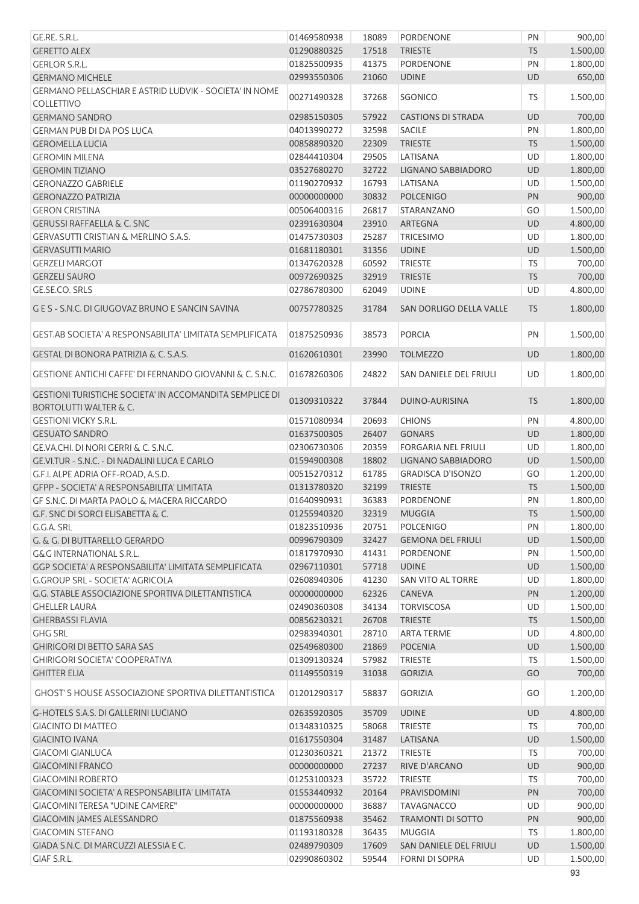| GE.RE. S.R.L.                                                  | 01469580938 | 18089 | <b>PORDENONE</b>           | PN        | 900,00   |
|----------------------------------------------------------------|-------------|-------|----------------------------|-----------|----------|
| <b>GERETTO ALEX</b>                                            | 01290880325 | 17518 | <b>TRIESTE</b>             | TS        | 1.500,00 |
| <b>GERLOR S.R.L.</b>                                           | 01825500935 | 41375 | PORDENONE                  | PN        | 1.800,00 |
| <b>GERMANO MICHELE</b>                                         | 02993550306 | 21060 | <b>UDINE</b>               | <b>UD</b> | 650,00   |
| GERMANO PELLASCHIAR E ASTRID LUDVIK - SOCIETA' IN NOME         |             |       |                            |           |          |
| COLLETTIVO                                                     | 00271490328 | 37268 | SGONICO                    | TS        | 1.500,00 |
| <b>GERMANO SANDRO</b>                                          | 02985150305 | 57922 | <b>CASTIONS DI STRADA</b>  | UD        | 700,00   |
| <b>GERMAN PUB DI DA POS LUCA</b>                               | 04013990272 | 32598 | <b>SACILE</b>              | PN        | 1.800,00 |
| <b>GEROMELLA LUCIA</b>                                         | 00858890320 | 22309 | <b>TRIESTE</b>             | <b>TS</b> | 1.500,00 |
| <b>GEROMIN MILENA</b>                                          | 02844410304 | 29505 | LATISANA                   | UD        | 1.800,00 |
| <b>GEROMIN TIZIANO</b>                                         | 03527680270 | 32722 | LIGNANO SABBIADORO         | UD        | 1.800,00 |
| <b>GERONAZZO GABRIELE</b>                                      | 01190270932 | 16793 | LATISANA                   | UD        | 1.500,00 |
| <b>GERONAZZO PATRIZIA</b>                                      | 00000000000 | 30832 | <b>POLCENIGO</b>           | PN        | 900,00   |
| <b>GERON CRISTINA</b>                                          | 00506400316 | 26817 | STARANZANO                 | GO        | 1.500,00 |
| <b>GERUSSI RAFFAELLA &amp; C. SNC</b>                          | 02391630304 | 23910 | ARTEGNA                    | UD        | 4.800,00 |
| <b>GERVASUTTI CRISTIAN &amp; MERLINO S.A.S.</b>                | 01475730303 | 25287 | <b>TRICESIMO</b>           | UD        | 1.800,00 |
| <b>GERVASUTTI MARIO</b>                                        | 01681180301 | 31356 | <b>UDINE</b>               | UD        | 1.500,00 |
| <b>GERZELI MARGOT</b>                                          | 01347620328 | 60592 | <b>TRIESTE</b>             | TS        | 700,00   |
| <b>GERZELI SAURO</b>                                           | 00972690325 | 32919 | <b>TRIESTE</b>             | TS        | 700,00   |
| GE.SE.CO. SRLS                                                 | 02786780300 | 62049 | <b>UDINE</b>               | UD        | 4.800,00 |
|                                                                |             |       |                            |           |          |
| G E S - S.N.C. DI GIUGOVAZ BRUNO E SANCIN SAVINA               | 00757780325 | 31784 | SAN DORLIGO DELLA VALLE    | <b>TS</b> | 1.800,00 |
|                                                                |             |       |                            |           |          |
| GEST.AB SOCIETA' A RESPONSABILITA' LIMITATA SEMPLIFICATA       | 01875250936 | 38573 | <b>PORCIA</b>              | PN        | 1.500,00 |
| GESTAL DI BONORA PATRIZIA & C. S.A.S.                          | 01620610301 | 23990 | <b>TOLMEZZO</b>            | UD        | 1.800,00 |
|                                                                |             |       |                            |           |          |
| GESTIONE ANTICHI CAFFE' DI FERNANDO GIOVANNI & C. S.N.C.       | 01678260306 | 24822 | SAN DANIELE DEL FRIULI     | UD        | 1.800,00 |
| <b>GESTIONI TURISTICHE SOCIETA' IN ACCOMANDITA SEMPLICE DI</b> |             |       |                            |           |          |
| <b>BORTOLUTTI WALTER &amp; C.</b>                              | 01309310322 | 37844 | DUINO-AURISINA             | <b>TS</b> | 1.800,00 |
| <b>GESTIONI VICKY S.R.L.</b>                                   | 01571080934 | 20693 | <b>CHIONS</b>              | PN        | 4.800,00 |
| <b>GESUATO SANDRO</b>                                          | 01637500305 | 26407 | <b>GONARS</b>              | UD        | 1.800,00 |
| GE.VA.CHI. DI NORI GERRI & C. S.N.C.                           | 02306730306 | 20359 | <b>FORGARIA NEL FRIULI</b> | UD        | 1.800,00 |
| GE.VI.TUR - S.N.C. - DI NADALINI LUCA E CARLO                  | 01594900308 | 18802 | LIGNANO SABBIADORO         | UD        | 1.500,00 |
| G.F.I. ALPE ADRIA OFF-ROAD, A.S.D.                             | 00515270312 | 61785 | <b>GRADISCA D'ISONZO</b>   | GO        | 1.200,00 |
| GFPP - SOCIETA' A RESPONSABILITA' LIMITATA                     | 01313780320 | 32199 | <b>TRIESTE</b>             | <b>TS</b> | 1.500,00 |
| GF S.N.C. DI MARTA PAOLO & MACERA RICCARDO                     | 01640990931 | 36383 | PORDENONE                  | PN        | 1.800,00 |
| G.F. SNC DI SORCI ELISABETTA & C.                              | 01255940320 | 32319 | <b>MUGGIA</b>              | TS        | 1.500,00 |
| G.G.A. SRL                                                     | 01823510936 | 20751 | <b>POLCENIGO</b>           | PN        | 1.800,00 |
| G. & G. DI BUTTARELLO GERARDO                                  | 00996790309 | 32427 | <b>GEMONA DEL FRIULI</b>   | <b>UD</b> | 1.500,00 |
| <b>G&amp;G INTERNATIONAL S.R.L.</b>                            | 01817970930 | 41431 | <b>PORDENONE</b>           | PN        | 1.500,00 |
| GGP SOCIETA' A RESPONSABILITA' LIMITATA SEMPLIFICATA           | 02967110301 | 57718 | <b>UDINE</b>               | <b>UD</b> | 1.500,00 |
| <b>G.GROUP SRL - SOCIETA' AGRICOLA</b>                         | 02608940306 | 41230 | SAN VITO AL TORRE          | UD        | 1.800,00 |
| G.G. STABLE ASSOCIAZIONE SPORTIVA DILETTANTISTICA              | 00000000000 | 62326 | CANEVA                     | PN        | 1.200,00 |
| <b>GHELLER LAURA</b>                                           | 02490360308 | 34134 | <b>TORVISCOSA</b>          | UD        | 1.500,00 |
| <b>GHERBASSI FLAVIA</b>                                        | 00856230321 | 26708 | <b>TRIESTE</b>             | <b>TS</b> | 1.500,00 |
| <b>GHG SRL</b>                                                 | 02983940301 | 28710 | <b>ARTA TERME</b>          | <b>UD</b> | 4.800,00 |
| <b>GHIRIGORI DI BETTO SARA SAS</b>                             | 02549680300 | 21869 | <b>POCENIA</b>             | <b>UD</b> | 1.500,00 |
|                                                                | 01309130324 | 57982 | <b>TRIESTE</b>             | <b>TS</b> | 1.500,00 |
| <b>GHIRIGORI SOCIETA' COOPERATIVA</b>                          |             |       |                            |           |          |
| <b>GHITTER ELIA</b>                                            | 01149550319 | 31038 | <b>GORIZIA</b>             | GO        | 700,00   |
| <b>GHOST' S HOUSE ASSOCIAZIONE SPORTIVA DILETTANTISTICA</b>    | 01201290317 | 58837 | <b>GORIZIA</b>             | GO        | 1.200,00 |
| G-HOTELS S.A.S. DI GALLERINI LUCIANO                           | 02635920305 | 35709 | <b>UDINE</b>               | <b>UD</b> | 4.800,00 |
| <b>GIACINTO DI MATTEO</b>                                      | 01348310325 | 58068 | <b>TRIESTE</b>             | <b>TS</b> | 700,00   |
| <b>GIACINTO IVANA</b>                                          | 01617550304 | 31487 | LATISANA                   | <b>UD</b> | 1.500,00 |
|                                                                |             |       |                            |           |          |
| <b>GIACOMI GIANLUCA</b>                                        | 01230360321 | 21372 | <b>TRIESTE</b>             | <b>TS</b> | 700,00   |
| <b>GIACOMINI FRANCO</b>                                        | 00000000000 | 27237 | RIVE D'ARCANO              | <b>UD</b> | 900,00   |
| <b>GIACOMINI ROBERTO</b>                                       | 01253100323 | 35722 | <b>TRIESTE</b>             | <b>TS</b> | 700,00   |
| GIACOMINI SOCIETA' A RESPONSABILITA' LIMITATA                  | 01553440932 | 20164 | PRAVISDOMINI               | PN        | 700,00   |
| <b>GIACOMINI TERESA "UDINE CAMERE"</b>                         | 00000000000 | 36887 | <b>TAVAGNACCO</b>          | UD        | 900,00   |
| <b>GIACOMIN JAMES ALESSANDRO</b>                               | 01875560938 | 35462 | <b>TRAMONTI DI SOTTO</b>   | PN        | 900,00   |
| <b>GIACOMIN STEFANO</b>                                        | 01193180328 | 36435 | <b>MUGGIA</b>              | <b>TS</b> | 1.800,00 |
| GIADA S.N.C. DI MARCUZZI ALESSIA E C.                          | 02489790309 | 17609 | SAN DANIELE DEL FRIULI     | UD        | 1.500,00 |
| GIAF S.R.L.                                                    | 02990860302 | 59544 | <b>FORNI DI SOPRA</b>      | UD        | 1.500,00 |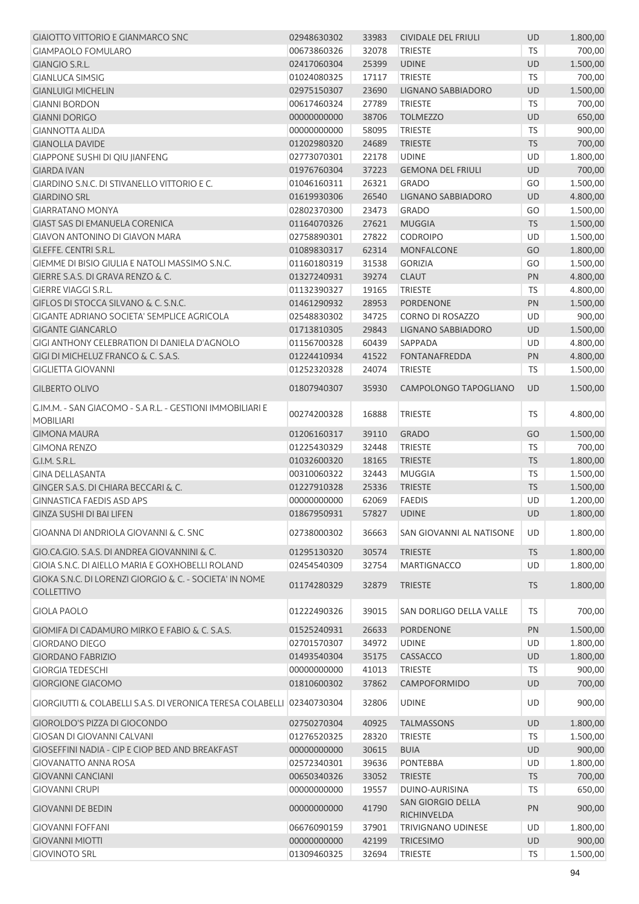| <b>TS</b><br>00673860326<br>32078<br><b>TRIESTE</b><br><b>GIAMPAOLO FOMULARO</b><br><b>UD</b><br>25399<br><b>UDINE</b><br>GIANGIO S.R.L.<br>02417060304<br><b>TS</b><br><b>GIANLUCA SIMSIG</b><br>01024080325<br>17117<br><b>TRIESTE</b><br><b>GIANLUIGI MICHELIN</b><br>02975150307<br>23690<br>LIGNANO SABBIADORO<br><b>UD</b><br><b>TS</b><br><b>GIANNI BORDON</b><br>00617460324<br>27789<br><b>TRIESTE</b><br>00000000000<br>38706<br><b>TOLMEZZO</b><br><b>UD</b><br><b>GIANNI DORIGO</b><br>00000000000<br>58095<br><b>TRIESTE</b><br>TS.<br><b>GIANNOTTA ALIDA</b><br><b>GIANOLLA DAVIDE</b><br>01202980320<br>24689<br><b>TRIESTE</b><br><b>TS</b><br><b>UDINE</b><br><b>UD</b><br>GIAPPONE SUSHI DI QIU JIANFENG<br>02773070301<br>22178<br><b>GIARDA IVAN</b><br>01976760304<br>37223<br><b>GEMONA DEL FRIULI</b><br><b>UD</b><br>GIARDINO S.N.C. DI STIVANELLO VITTORIO E C.<br>26321<br><b>GRADO</b><br>1.500,00<br>01046160311<br>GO<br>4.800,00<br><b>GIARDINO SRL</b><br>01619930306<br>26540<br>LIGNANO SABBIADORO<br><b>UD</b><br><b>GIARRATANO MONYA</b><br><b>GRADO</b><br>GO<br>1.500,00<br>02802370300<br>23473<br><b>GIAST SAS DI EMANUELA CORENICA</b><br>27621<br><b>MUGGIA</b><br><b>TS</b><br>1.500,00<br>01164070326<br><b>GIAVON ANTONINO DI GIAVON MARA</b><br><b>CODROIPO</b><br><b>UD</b><br>02758890301<br>27822<br>1.500,00<br>GI.EFFE. CENTRI S.R.L.<br>62314<br><b>MONFALCONE</b><br>GO<br>1.800,00<br>01089830317<br>GIEMME DI BISIO GIULIA E NATOLI MASSIMO S.N.C.<br>01160180319<br>31538<br><b>GORIZIA</b><br>GO<br>1.500,00<br>PN<br>GIERRE S.A.S. DI GRAVA RENZO & C.<br>39274<br><b>CLAUT</b><br>4.800,00<br>01327240931<br><b>GIERRE VIAGGI S.R.L.</b><br>01132390327<br>19165<br><b>TRIESTE</b><br>TS<br>4.800,00<br>GIFLOS DI STOCCA SILVANO & C. S.N.C.<br>PN<br>1.500,00<br>01461290932<br>28953<br><b>PORDENONE</b><br>GIGANTE ADRIANO SOCIETA' SEMPLICE AGRICOLA<br><b>UD</b><br>900,00<br>02548830302<br>34725<br><b>CORNO DI ROSAZZO</b><br>1.500,00<br><b>GIGANTE GIANCARLO</b><br>01713810305<br>29843<br>LIGNANO SABBIADORO<br><b>UD</b><br>GIGI ANTHONY CELEBRATION DI DANIELA D'AGNOLO<br>01156700328<br>60439<br>SAPPADA<br>UD<br>4.800,00<br>GIGI DI MICHELUZ FRANCO & C. S.A.S.<br>01224410934<br>41522<br><b>FONTANAFREDDA</b><br>PN<br>4.800,00<br><b>GIGLIETTA GIOVANNI</b><br>24074<br><b>TS</b><br>01252320328<br><b>TRIESTE</b><br>1.500,00<br><b>GILBERTO OLIVO</b><br>35930<br>CAMPOLONGO TAPOGLIANO<br><b>UD</b><br>01807940307<br>G.IM.M. - SAN GIACOMO - S.A R.L. - GESTIONI IMMOBILIARI E<br>00274200328<br>16888<br><b>TRIESTE</b><br>TS<br><b>MOBILIARI</b><br><b>GIMONA MAURA</b><br><b>GRADO</b><br>GO<br>01206160317<br>39110<br><b>GIMONA RENZO</b><br>01225430329<br>32448<br><b>TRIESTE</b><br>TS<br>G.I.M. S.R.L.<br>01032600320<br>18165<br><b>TRIESTE</b><br><b>TS</b><br><b>GINA DELLASANTA</b><br>00310060322<br><b>MUGGIA</b><br><b>TS</b><br>32443<br>GINGER S.A.S. DI CHIARA BECCARI & C.<br>01227910328<br>25336<br><b>TS</b><br><b>TRIESTE</b><br><b>GINNASTICA FAEDIS ASD APS</b><br>UD<br>00000000000<br>62069<br><b>FAEDIS</b><br>GINZA SUSHI DI BAI LIFEN<br>01867950931 57827 UDINE<br>UD<br>GIOANNA DI ANDRIOLA GIOVANNI & C. SNC<br>02738000302<br>36663<br>SAN GIOVANNI AL NATISONE<br>UD<br>GIO.CA.GIO. S.A.S. DI ANDREA GIOVANNINI & C.<br>30574<br>01295130320<br><b>TRIESTE</b><br><b>TS</b><br>GIOIA S.N.C. DI AIELLO MARIA E GOXHOBELLI ROLAND<br><b>UD</b><br>02454540309<br>32754<br><b>MARTIGNACCO</b><br>GIOKA S.N.C. DI LORENZI GIORGIO & C. - SOCIETA' IN NOME<br>01174280329<br>32879<br><b>TRIESTE</b><br><b>TS</b><br>COLLETTIVO<br><b>TS</b><br><b>GIOLA PAOLO</b><br>01222490326<br>39015<br>SAN DORLIGO DELLA VALLE<br>GIOMIFA DI CADAMURO MIRKO E FABIO & C. S.A.S.<br>PN<br>1.500,00<br>01525240931<br>26633<br><b>PORDENONE</b><br><b>UD</b><br>1.800,00<br><b>GIORDANO DIEGO</b><br>02701570307<br>34972<br><b>UDINE</b><br>1.800,00<br><b>GIORDANO FABRIZIO</b><br>01493540304<br>35175<br>CASSACCO<br><b>UD</b><br><b>GIORGIA TEDESCHI</b><br>00000000000<br>41013<br><b>TRIESTE</b><br>TS<br>900,00<br><b>UD</b><br><b>GIORGIONE GIACOMO</b><br>01810600302<br>37862<br><b>CAMPOFORMIDO</b><br>700,00<br>GIORGIUTTI & COLABELLI S.A.S. DI VERONICA TERESA COLABELLI 02340730304<br>32806<br><b>UDINE</b><br>UD<br><b>GIOROLDO'S PIZZA DI GIOCONDO</b><br>02750270304<br>40925<br><b>TALMASSONS</b><br><b>UD</b><br>28320<br><b>TS</b><br><b>GIOSAN DI GIOVANNI CALVANI</b><br>01276520325<br><b>TRIESTE</b> | <b>UD</b><br>GIOSEFFINI NADIA - CIP E CIOP BED AND BREAKFAST<br>00000000000<br>30615<br><b>BUIA</b><br>39636<br><b>UD</b><br><b>GIOVANATTO ANNA ROSA</b><br>02572340301<br><b>PONTEBBA</b><br><b>GIOVANNI CANCIANI</b><br>00650340326<br>33052<br><b>TRIESTE</b><br><b>TS</b><br>DUINO-AURISINA<br><b>TS</b><br><b>GIOVANNI CRUPI</b><br>00000000000<br>19557<br>SAN GIORGIO DELLA<br>41790<br>PN<br><b>GIOVANNI DE BEDIN</b><br>00000000000<br>RICHINVELDA<br>06676090159<br>37901<br><b>TRIVIGNANO UDINESE</b><br>UD<br><b>GIOVANNI FOFFANI</b><br>UD<br><b>GIOVANNI MIOTTI</b><br>00000000000<br>42199<br><b>TRICESIMO</b> | <b>GIAIOTTO VITTORIO E GIANMARCO SNC</b> | 02948630302 | 33983 | <b>CIVIDALE DEL FRIULI</b> | <b>UD</b> | 1.800,00 |
|----------------------------------------------------------------------------------------------------------------------------------------------------------------------------------------------------------------------------------------------------------------------------------------------------------------------------------------------------------------------------------------------------------------------------------------------------------------------------------------------------------------------------------------------------------------------------------------------------------------------------------------------------------------------------------------------------------------------------------------------------------------------------------------------------------------------------------------------------------------------------------------------------------------------------------------------------------------------------------------------------------------------------------------------------------------------------------------------------------------------------------------------------------------------------------------------------------------------------------------------------------------------------------------------------------------------------------------------------------------------------------------------------------------------------------------------------------------------------------------------------------------------------------------------------------------------------------------------------------------------------------------------------------------------------------------------------------------------------------------------------------------------------------------------------------------------------------------------------------------------------------------------------------------------------------------------------------------------------------------------------------------------------------------------------------------------------------------------------------------------------------------------------------------------------------------------------------------------------------------------------------------------------------------------------------------------------------------------------------------------------------------------------------------------------------------------------------------------------------------------------------------------------------------------------------------------------------------------------------------------------------------------------------------------------------------------------------------------------------------------------------------------------------------------------------------------------------------------------------------------------------------------------------------------------------------------------------------------------------------------------------------------------------------------------------------------------------------------------------------------------------------------------------------------------------------------------------------------------------------------------------------------------------------------------------------------------------------------------------------------------------------------------------------------------------------------------------------------------------------------------------------------------------------------------------------------------------------------------------------------------------------------------------------------------------------------------------------------------------------------------------------------------------------------------------------------------------------------------------------------------------------------------------------------------------------------------------------------------------------------------------------------------------------------------------------------------------------------------------------------------------------------------------------------------------------------------------------------------------------------------------------------------------------------------------------------------------------------------------------------------------------------------------------------------------------------------------------------------------------------------------------------------------------|-------------------------------------------------------------------------------------------------------------------------------------------------------------------------------------------------------------------------------------------------------------------------------------------------------------------------------------------------------------------------------------------------------------------------------------------------------------------------------------------------------------------------------------------------------------------------------------------------------------------------------|------------------------------------------|-------------|-------|----------------------------|-----------|----------|
|                                                                                                                                                                                                                                                                                                                                                                                                                                                                                                                                                                                                                                                                                                                                                                                                                                                                                                                                                                                                                                                                                                                                                                                                                                                                                                                                                                                                                                                                                                                                                                                                                                                                                                                                                                                                                                                                                                                                                                                                                                                                                                                                                                                                                                                                                                                                                                                                                                                                                                                                                                                                                                                                                                                                                                                                                                                                                                                                                                                                                                                                                                                                                                                                                                                                                                                                                                                                                                                                                                                                                                                                                                                                                                                                                                                                                                                                                                                                                                                                                                                                                                                                                                                                                                                                                                                                                                                                                                                                                                                                        |                                                                                                                                                                                                                                                                                                                                                                                                                                                                                                                                                                                                                               |                                          |             |       |                            |           | 700,00   |
|                                                                                                                                                                                                                                                                                                                                                                                                                                                                                                                                                                                                                                                                                                                                                                                                                                                                                                                                                                                                                                                                                                                                                                                                                                                                                                                                                                                                                                                                                                                                                                                                                                                                                                                                                                                                                                                                                                                                                                                                                                                                                                                                                                                                                                                                                                                                                                                                                                                                                                                                                                                                                                                                                                                                                                                                                                                                                                                                                                                                                                                                                                                                                                                                                                                                                                                                                                                                                                                                                                                                                                                                                                                                                                                                                                                                                                                                                                                                                                                                                                                                                                                                                                                                                                                                                                                                                                                                                                                                                                                                        |                                                                                                                                                                                                                                                                                                                                                                                                                                                                                                                                                                                                                               |                                          |             |       |                            |           | 1.500,00 |
|                                                                                                                                                                                                                                                                                                                                                                                                                                                                                                                                                                                                                                                                                                                                                                                                                                                                                                                                                                                                                                                                                                                                                                                                                                                                                                                                                                                                                                                                                                                                                                                                                                                                                                                                                                                                                                                                                                                                                                                                                                                                                                                                                                                                                                                                                                                                                                                                                                                                                                                                                                                                                                                                                                                                                                                                                                                                                                                                                                                                                                                                                                                                                                                                                                                                                                                                                                                                                                                                                                                                                                                                                                                                                                                                                                                                                                                                                                                                                                                                                                                                                                                                                                                                                                                                                                                                                                                                                                                                                                                                        |                                                                                                                                                                                                                                                                                                                                                                                                                                                                                                                                                                                                                               |                                          |             |       |                            |           | 700,00   |
|                                                                                                                                                                                                                                                                                                                                                                                                                                                                                                                                                                                                                                                                                                                                                                                                                                                                                                                                                                                                                                                                                                                                                                                                                                                                                                                                                                                                                                                                                                                                                                                                                                                                                                                                                                                                                                                                                                                                                                                                                                                                                                                                                                                                                                                                                                                                                                                                                                                                                                                                                                                                                                                                                                                                                                                                                                                                                                                                                                                                                                                                                                                                                                                                                                                                                                                                                                                                                                                                                                                                                                                                                                                                                                                                                                                                                                                                                                                                                                                                                                                                                                                                                                                                                                                                                                                                                                                                                                                                                                                                        |                                                                                                                                                                                                                                                                                                                                                                                                                                                                                                                                                                                                                               |                                          |             |       |                            |           | 1.500,00 |
|                                                                                                                                                                                                                                                                                                                                                                                                                                                                                                                                                                                                                                                                                                                                                                                                                                                                                                                                                                                                                                                                                                                                                                                                                                                                                                                                                                                                                                                                                                                                                                                                                                                                                                                                                                                                                                                                                                                                                                                                                                                                                                                                                                                                                                                                                                                                                                                                                                                                                                                                                                                                                                                                                                                                                                                                                                                                                                                                                                                                                                                                                                                                                                                                                                                                                                                                                                                                                                                                                                                                                                                                                                                                                                                                                                                                                                                                                                                                                                                                                                                                                                                                                                                                                                                                                                                                                                                                                                                                                                                                        |                                                                                                                                                                                                                                                                                                                                                                                                                                                                                                                                                                                                                               |                                          |             |       |                            |           | 700,00   |
|                                                                                                                                                                                                                                                                                                                                                                                                                                                                                                                                                                                                                                                                                                                                                                                                                                                                                                                                                                                                                                                                                                                                                                                                                                                                                                                                                                                                                                                                                                                                                                                                                                                                                                                                                                                                                                                                                                                                                                                                                                                                                                                                                                                                                                                                                                                                                                                                                                                                                                                                                                                                                                                                                                                                                                                                                                                                                                                                                                                                                                                                                                                                                                                                                                                                                                                                                                                                                                                                                                                                                                                                                                                                                                                                                                                                                                                                                                                                                                                                                                                                                                                                                                                                                                                                                                                                                                                                                                                                                                                                        |                                                                                                                                                                                                                                                                                                                                                                                                                                                                                                                                                                                                                               |                                          |             |       |                            |           | 650,00   |
|                                                                                                                                                                                                                                                                                                                                                                                                                                                                                                                                                                                                                                                                                                                                                                                                                                                                                                                                                                                                                                                                                                                                                                                                                                                                                                                                                                                                                                                                                                                                                                                                                                                                                                                                                                                                                                                                                                                                                                                                                                                                                                                                                                                                                                                                                                                                                                                                                                                                                                                                                                                                                                                                                                                                                                                                                                                                                                                                                                                                                                                                                                                                                                                                                                                                                                                                                                                                                                                                                                                                                                                                                                                                                                                                                                                                                                                                                                                                                                                                                                                                                                                                                                                                                                                                                                                                                                                                                                                                                                                                        |                                                                                                                                                                                                                                                                                                                                                                                                                                                                                                                                                                                                                               |                                          |             |       |                            |           | 900,00   |
|                                                                                                                                                                                                                                                                                                                                                                                                                                                                                                                                                                                                                                                                                                                                                                                                                                                                                                                                                                                                                                                                                                                                                                                                                                                                                                                                                                                                                                                                                                                                                                                                                                                                                                                                                                                                                                                                                                                                                                                                                                                                                                                                                                                                                                                                                                                                                                                                                                                                                                                                                                                                                                                                                                                                                                                                                                                                                                                                                                                                                                                                                                                                                                                                                                                                                                                                                                                                                                                                                                                                                                                                                                                                                                                                                                                                                                                                                                                                                                                                                                                                                                                                                                                                                                                                                                                                                                                                                                                                                                                                        |                                                                                                                                                                                                                                                                                                                                                                                                                                                                                                                                                                                                                               |                                          |             |       |                            |           | 700,00   |
|                                                                                                                                                                                                                                                                                                                                                                                                                                                                                                                                                                                                                                                                                                                                                                                                                                                                                                                                                                                                                                                                                                                                                                                                                                                                                                                                                                                                                                                                                                                                                                                                                                                                                                                                                                                                                                                                                                                                                                                                                                                                                                                                                                                                                                                                                                                                                                                                                                                                                                                                                                                                                                                                                                                                                                                                                                                                                                                                                                                                                                                                                                                                                                                                                                                                                                                                                                                                                                                                                                                                                                                                                                                                                                                                                                                                                                                                                                                                                                                                                                                                                                                                                                                                                                                                                                                                                                                                                                                                                                                                        |                                                                                                                                                                                                                                                                                                                                                                                                                                                                                                                                                                                                                               |                                          |             |       |                            |           | 1.800,00 |
|                                                                                                                                                                                                                                                                                                                                                                                                                                                                                                                                                                                                                                                                                                                                                                                                                                                                                                                                                                                                                                                                                                                                                                                                                                                                                                                                                                                                                                                                                                                                                                                                                                                                                                                                                                                                                                                                                                                                                                                                                                                                                                                                                                                                                                                                                                                                                                                                                                                                                                                                                                                                                                                                                                                                                                                                                                                                                                                                                                                                                                                                                                                                                                                                                                                                                                                                                                                                                                                                                                                                                                                                                                                                                                                                                                                                                                                                                                                                                                                                                                                                                                                                                                                                                                                                                                                                                                                                                                                                                                                                        |                                                                                                                                                                                                                                                                                                                                                                                                                                                                                                                                                                                                                               |                                          |             |       |                            |           | 700,00   |
|                                                                                                                                                                                                                                                                                                                                                                                                                                                                                                                                                                                                                                                                                                                                                                                                                                                                                                                                                                                                                                                                                                                                                                                                                                                                                                                                                                                                                                                                                                                                                                                                                                                                                                                                                                                                                                                                                                                                                                                                                                                                                                                                                                                                                                                                                                                                                                                                                                                                                                                                                                                                                                                                                                                                                                                                                                                                                                                                                                                                                                                                                                                                                                                                                                                                                                                                                                                                                                                                                                                                                                                                                                                                                                                                                                                                                                                                                                                                                                                                                                                                                                                                                                                                                                                                                                                                                                                                                                                                                                                                        |                                                                                                                                                                                                                                                                                                                                                                                                                                                                                                                                                                                                                               |                                          |             |       |                            |           |          |
|                                                                                                                                                                                                                                                                                                                                                                                                                                                                                                                                                                                                                                                                                                                                                                                                                                                                                                                                                                                                                                                                                                                                                                                                                                                                                                                                                                                                                                                                                                                                                                                                                                                                                                                                                                                                                                                                                                                                                                                                                                                                                                                                                                                                                                                                                                                                                                                                                                                                                                                                                                                                                                                                                                                                                                                                                                                                                                                                                                                                                                                                                                                                                                                                                                                                                                                                                                                                                                                                                                                                                                                                                                                                                                                                                                                                                                                                                                                                                                                                                                                                                                                                                                                                                                                                                                                                                                                                                                                                                                                                        |                                                                                                                                                                                                                                                                                                                                                                                                                                                                                                                                                                                                                               |                                          |             |       |                            |           |          |
|                                                                                                                                                                                                                                                                                                                                                                                                                                                                                                                                                                                                                                                                                                                                                                                                                                                                                                                                                                                                                                                                                                                                                                                                                                                                                                                                                                                                                                                                                                                                                                                                                                                                                                                                                                                                                                                                                                                                                                                                                                                                                                                                                                                                                                                                                                                                                                                                                                                                                                                                                                                                                                                                                                                                                                                                                                                                                                                                                                                                                                                                                                                                                                                                                                                                                                                                                                                                                                                                                                                                                                                                                                                                                                                                                                                                                                                                                                                                                                                                                                                                                                                                                                                                                                                                                                                                                                                                                                                                                                                                        |                                                                                                                                                                                                                                                                                                                                                                                                                                                                                                                                                                                                                               |                                          |             |       |                            |           |          |
|                                                                                                                                                                                                                                                                                                                                                                                                                                                                                                                                                                                                                                                                                                                                                                                                                                                                                                                                                                                                                                                                                                                                                                                                                                                                                                                                                                                                                                                                                                                                                                                                                                                                                                                                                                                                                                                                                                                                                                                                                                                                                                                                                                                                                                                                                                                                                                                                                                                                                                                                                                                                                                                                                                                                                                                                                                                                                                                                                                                                                                                                                                                                                                                                                                                                                                                                                                                                                                                                                                                                                                                                                                                                                                                                                                                                                                                                                                                                                                                                                                                                                                                                                                                                                                                                                                                                                                                                                                                                                                                                        |                                                                                                                                                                                                                                                                                                                                                                                                                                                                                                                                                                                                                               |                                          |             |       |                            |           |          |
|                                                                                                                                                                                                                                                                                                                                                                                                                                                                                                                                                                                                                                                                                                                                                                                                                                                                                                                                                                                                                                                                                                                                                                                                                                                                                                                                                                                                                                                                                                                                                                                                                                                                                                                                                                                                                                                                                                                                                                                                                                                                                                                                                                                                                                                                                                                                                                                                                                                                                                                                                                                                                                                                                                                                                                                                                                                                                                                                                                                                                                                                                                                                                                                                                                                                                                                                                                                                                                                                                                                                                                                                                                                                                                                                                                                                                                                                                                                                                                                                                                                                                                                                                                                                                                                                                                                                                                                                                                                                                                                                        |                                                                                                                                                                                                                                                                                                                                                                                                                                                                                                                                                                                                                               |                                          |             |       |                            |           |          |
|                                                                                                                                                                                                                                                                                                                                                                                                                                                                                                                                                                                                                                                                                                                                                                                                                                                                                                                                                                                                                                                                                                                                                                                                                                                                                                                                                                                                                                                                                                                                                                                                                                                                                                                                                                                                                                                                                                                                                                                                                                                                                                                                                                                                                                                                                                                                                                                                                                                                                                                                                                                                                                                                                                                                                                                                                                                                                                                                                                                                                                                                                                                                                                                                                                                                                                                                                                                                                                                                                                                                                                                                                                                                                                                                                                                                                                                                                                                                                                                                                                                                                                                                                                                                                                                                                                                                                                                                                                                                                                                                        |                                                                                                                                                                                                                                                                                                                                                                                                                                                                                                                                                                                                                               |                                          |             |       |                            |           |          |
|                                                                                                                                                                                                                                                                                                                                                                                                                                                                                                                                                                                                                                                                                                                                                                                                                                                                                                                                                                                                                                                                                                                                                                                                                                                                                                                                                                                                                                                                                                                                                                                                                                                                                                                                                                                                                                                                                                                                                                                                                                                                                                                                                                                                                                                                                                                                                                                                                                                                                                                                                                                                                                                                                                                                                                                                                                                                                                                                                                                                                                                                                                                                                                                                                                                                                                                                                                                                                                                                                                                                                                                                                                                                                                                                                                                                                                                                                                                                                                                                                                                                                                                                                                                                                                                                                                                                                                                                                                                                                                                                        |                                                                                                                                                                                                                                                                                                                                                                                                                                                                                                                                                                                                                               |                                          |             |       |                            |           |          |
|                                                                                                                                                                                                                                                                                                                                                                                                                                                                                                                                                                                                                                                                                                                                                                                                                                                                                                                                                                                                                                                                                                                                                                                                                                                                                                                                                                                                                                                                                                                                                                                                                                                                                                                                                                                                                                                                                                                                                                                                                                                                                                                                                                                                                                                                                                                                                                                                                                                                                                                                                                                                                                                                                                                                                                                                                                                                                                                                                                                                                                                                                                                                                                                                                                                                                                                                                                                                                                                                                                                                                                                                                                                                                                                                                                                                                                                                                                                                                                                                                                                                                                                                                                                                                                                                                                                                                                                                                                                                                                                                        |                                                                                                                                                                                                                                                                                                                                                                                                                                                                                                                                                                                                                               |                                          |             |       |                            |           |          |
|                                                                                                                                                                                                                                                                                                                                                                                                                                                                                                                                                                                                                                                                                                                                                                                                                                                                                                                                                                                                                                                                                                                                                                                                                                                                                                                                                                                                                                                                                                                                                                                                                                                                                                                                                                                                                                                                                                                                                                                                                                                                                                                                                                                                                                                                                                                                                                                                                                                                                                                                                                                                                                                                                                                                                                                                                                                                                                                                                                                                                                                                                                                                                                                                                                                                                                                                                                                                                                                                                                                                                                                                                                                                                                                                                                                                                                                                                                                                                                                                                                                                                                                                                                                                                                                                                                                                                                                                                                                                                                                                        |                                                                                                                                                                                                                                                                                                                                                                                                                                                                                                                                                                                                                               |                                          |             |       |                            |           |          |
|                                                                                                                                                                                                                                                                                                                                                                                                                                                                                                                                                                                                                                                                                                                                                                                                                                                                                                                                                                                                                                                                                                                                                                                                                                                                                                                                                                                                                                                                                                                                                                                                                                                                                                                                                                                                                                                                                                                                                                                                                                                                                                                                                                                                                                                                                                                                                                                                                                                                                                                                                                                                                                                                                                                                                                                                                                                                                                                                                                                                                                                                                                                                                                                                                                                                                                                                                                                                                                                                                                                                                                                                                                                                                                                                                                                                                                                                                                                                                                                                                                                                                                                                                                                                                                                                                                                                                                                                                                                                                                                                        |                                                                                                                                                                                                                                                                                                                                                                                                                                                                                                                                                                                                                               |                                          |             |       |                            |           |          |
|                                                                                                                                                                                                                                                                                                                                                                                                                                                                                                                                                                                                                                                                                                                                                                                                                                                                                                                                                                                                                                                                                                                                                                                                                                                                                                                                                                                                                                                                                                                                                                                                                                                                                                                                                                                                                                                                                                                                                                                                                                                                                                                                                                                                                                                                                                                                                                                                                                                                                                                                                                                                                                                                                                                                                                                                                                                                                                                                                                                                                                                                                                                                                                                                                                                                                                                                                                                                                                                                                                                                                                                                                                                                                                                                                                                                                                                                                                                                                                                                                                                                                                                                                                                                                                                                                                                                                                                                                                                                                                                                        |                                                                                                                                                                                                                                                                                                                                                                                                                                                                                                                                                                                                                               |                                          |             |       |                            |           |          |
|                                                                                                                                                                                                                                                                                                                                                                                                                                                                                                                                                                                                                                                                                                                                                                                                                                                                                                                                                                                                                                                                                                                                                                                                                                                                                                                                                                                                                                                                                                                                                                                                                                                                                                                                                                                                                                                                                                                                                                                                                                                                                                                                                                                                                                                                                                                                                                                                                                                                                                                                                                                                                                                                                                                                                                                                                                                                                                                                                                                                                                                                                                                                                                                                                                                                                                                                                                                                                                                                                                                                                                                                                                                                                                                                                                                                                                                                                                                                                                                                                                                                                                                                                                                                                                                                                                                                                                                                                                                                                                                                        |                                                                                                                                                                                                                                                                                                                                                                                                                                                                                                                                                                                                                               |                                          |             |       |                            |           |          |
|                                                                                                                                                                                                                                                                                                                                                                                                                                                                                                                                                                                                                                                                                                                                                                                                                                                                                                                                                                                                                                                                                                                                                                                                                                                                                                                                                                                                                                                                                                                                                                                                                                                                                                                                                                                                                                                                                                                                                                                                                                                                                                                                                                                                                                                                                                                                                                                                                                                                                                                                                                                                                                                                                                                                                                                                                                                                                                                                                                                                                                                                                                                                                                                                                                                                                                                                                                                                                                                                                                                                                                                                                                                                                                                                                                                                                                                                                                                                                                                                                                                                                                                                                                                                                                                                                                                                                                                                                                                                                                                                        |                                                                                                                                                                                                                                                                                                                                                                                                                                                                                                                                                                                                                               |                                          |             |       |                            |           |          |
|                                                                                                                                                                                                                                                                                                                                                                                                                                                                                                                                                                                                                                                                                                                                                                                                                                                                                                                                                                                                                                                                                                                                                                                                                                                                                                                                                                                                                                                                                                                                                                                                                                                                                                                                                                                                                                                                                                                                                                                                                                                                                                                                                                                                                                                                                                                                                                                                                                                                                                                                                                                                                                                                                                                                                                                                                                                                                                                                                                                                                                                                                                                                                                                                                                                                                                                                                                                                                                                                                                                                                                                                                                                                                                                                                                                                                                                                                                                                                                                                                                                                                                                                                                                                                                                                                                                                                                                                                                                                                                                                        |                                                                                                                                                                                                                                                                                                                                                                                                                                                                                                                                                                                                                               |                                          |             |       |                            |           |          |
|                                                                                                                                                                                                                                                                                                                                                                                                                                                                                                                                                                                                                                                                                                                                                                                                                                                                                                                                                                                                                                                                                                                                                                                                                                                                                                                                                                                                                                                                                                                                                                                                                                                                                                                                                                                                                                                                                                                                                                                                                                                                                                                                                                                                                                                                                                                                                                                                                                                                                                                                                                                                                                                                                                                                                                                                                                                                                                                                                                                                                                                                                                                                                                                                                                                                                                                                                                                                                                                                                                                                                                                                                                                                                                                                                                                                                                                                                                                                                                                                                                                                                                                                                                                                                                                                                                                                                                                                                                                                                                                                        |                                                                                                                                                                                                                                                                                                                                                                                                                                                                                                                                                                                                                               |                                          |             |       |                            |           |          |
|                                                                                                                                                                                                                                                                                                                                                                                                                                                                                                                                                                                                                                                                                                                                                                                                                                                                                                                                                                                                                                                                                                                                                                                                                                                                                                                                                                                                                                                                                                                                                                                                                                                                                                                                                                                                                                                                                                                                                                                                                                                                                                                                                                                                                                                                                                                                                                                                                                                                                                                                                                                                                                                                                                                                                                                                                                                                                                                                                                                                                                                                                                                                                                                                                                                                                                                                                                                                                                                                                                                                                                                                                                                                                                                                                                                                                                                                                                                                                                                                                                                                                                                                                                                                                                                                                                                                                                                                                                                                                                                                        |                                                                                                                                                                                                                                                                                                                                                                                                                                                                                                                                                                                                                               |                                          |             |       |                            |           |          |
|                                                                                                                                                                                                                                                                                                                                                                                                                                                                                                                                                                                                                                                                                                                                                                                                                                                                                                                                                                                                                                                                                                                                                                                                                                                                                                                                                                                                                                                                                                                                                                                                                                                                                                                                                                                                                                                                                                                                                                                                                                                                                                                                                                                                                                                                                                                                                                                                                                                                                                                                                                                                                                                                                                                                                                                                                                                                                                                                                                                                                                                                                                                                                                                                                                                                                                                                                                                                                                                                                                                                                                                                                                                                                                                                                                                                                                                                                                                                                                                                                                                                                                                                                                                                                                                                                                                                                                                                                                                                                                                                        |                                                                                                                                                                                                                                                                                                                                                                                                                                                                                                                                                                                                                               |                                          |             |       |                            |           | 1.500,00 |
|                                                                                                                                                                                                                                                                                                                                                                                                                                                                                                                                                                                                                                                                                                                                                                                                                                                                                                                                                                                                                                                                                                                                                                                                                                                                                                                                                                                                                                                                                                                                                                                                                                                                                                                                                                                                                                                                                                                                                                                                                                                                                                                                                                                                                                                                                                                                                                                                                                                                                                                                                                                                                                                                                                                                                                                                                                                                                                                                                                                                                                                                                                                                                                                                                                                                                                                                                                                                                                                                                                                                                                                                                                                                                                                                                                                                                                                                                                                                                                                                                                                                                                                                                                                                                                                                                                                                                                                                                                                                                                                                        |                                                                                                                                                                                                                                                                                                                                                                                                                                                                                                                                                                                                                               |                                          |             |       |                            |           | 4.800,00 |
|                                                                                                                                                                                                                                                                                                                                                                                                                                                                                                                                                                                                                                                                                                                                                                                                                                                                                                                                                                                                                                                                                                                                                                                                                                                                                                                                                                                                                                                                                                                                                                                                                                                                                                                                                                                                                                                                                                                                                                                                                                                                                                                                                                                                                                                                                                                                                                                                                                                                                                                                                                                                                                                                                                                                                                                                                                                                                                                                                                                                                                                                                                                                                                                                                                                                                                                                                                                                                                                                                                                                                                                                                                                                                                                                                                                                                                                                                                                                                                                                                                                                                                                                                                                                                                                                                                                                                                                                                                                                                                                                        |                                                                                                                                                                                                                                                                                                                                                                                                                                                                                                                                                                                                                               |                                          |             |       |                            |           | 1.500,00 |
|                                                                                                                                                                                                                                                                                                                                                                                                                                                                                                                                                                                                                                                                                                                                                                                                                                                                                                                                                                                                                                                                                                                                                                                                                                                                                                                                                                                                                                                                                                                                                                                                                                                                                                                                                                                                                                                                                                                                                                                                                                                                                                                                                                                                                                                                                                                                                                                                                                                                                                                                                                                                                                                                                                                                                                                                                                                                                                                                                                                                                                                                                                                                                                                                                                                                                                                                                                                                                                                                                                                                                                                                                                                                                                                                                                                                                                                                                                                                                                                                                                                                                                                                                                                                                                                                                                                                                                                                                                                                                                                                        |                                                                                                                                                                                                                                                                                                                                                                                                                                                                                                                                                                                                                               |                                          |             |       |                            |           | 700,00   |
|                                                                                                                                                                                                                                                                                                                                                                                                                                                                                                                                                                                                                                                                                                                                                                                                                                                                                                                                                                                                                                                                                                                                                                                                                                                                                                                                                                                                                                                                                                                                                                                                                                                                                                                                                                                                                                                                                                                                                                                                                                                                                                                                                                                                                                                                                                                                                                                                                                                                                                                                                                                                                                                                                                                                                                                                                                                                                                                                                                                                                                                                                                                                                                                                                                                                                                                                                                                                                                                                                                                                                                                                                                                                                                                                                                                                                                                                                                                                                                                                                                                                                                                                                                                                                                                                                                                                                                                                                                                                                                                                        |                                                                                                                                                                                                                                                                                                                                                                                                                                                                                                                                                                                                                               |                                          |             |       |                            |           | 1.800,00 |
|                                                                                                                                                                                                                                                                                                                                                                                                                                                                                                                                                                                                                                                                                                                                                                                                                                                                                                                                                                                                                                                                                                                                                                                                                                                                                                                                                                                                                                                                                                                                                                                                                                                                                                                                                                                                                                                                                                                                                                                                                                                                                                                                                                                                                                                                                                                                                                                                                                                                                                                                                                                                                                                                                                                                                                                                                                                                                                                                                                                                                                                                                                                                                                                                                                                                                                                                                                                                                                                                                                                                                                                                                                                                                                                                                                                                                                                                                                                                                                                                                                                                                                                                                                                                                                                                                                                                                                                                                                                                                                                                        |                                                                                                                                                                                                                                                                                                                                                                                                                                                                                                                                                                                                                               |                                          |             |       |                            |           | 1.500,00 |
|                                                                                                                                                                                                                                                                                                                                                                                                                                                                                                                                                                                                                                                                                                                                                                                                                                                                                                                                                                                                                                                                                                                                                                                                                                                                                                                                                                                                                                                                                                                                                                                                                                                                                                                                                                                                                                                                                                                                                                                                                                                                                                                                                                                                                                                                                                                                                                                                                                                                                                                                                                                                                                                                                                                                                                                                                                                                                                                                                                                                                                                                                                                                                                                                                                                                                                                                                                                                                                                                                                                                                                                                                                                                                                                                                                                                                                                                                                                                                                                                                                                                                                                                                                                                                                                                                                                                                                                                                                                                                                                                        |                                                                                                                                                                                                                                                                                                                                                                                                                                                                                                                                                                                                                               |                                          |             |       |                            |           | 1.500,00 |
|                                                                                                                                                                                                                                                                                                                                                                                                                                                                                                                                                                                                                                                                                                                                                                                                                                                                                                                                                                                                                                                                                                                                                                                                                                                                                                                                                                                                                                                                                                                                                                                                                                                                                                                                                                                                                                                                                                                                                                                                                                                                                                                                                                                                                                                                                                                                                                                                                                                                                                                                                                                                                                                                                                                                                                                                                                                                                                                                                                                                                                                                                                                                                                                                                                                                                                                                                                                                                                                                                                                                                                                                                                                                                                                                                                                                                                                                                                                                                                                                                                                                                                                                                                                                                                                                                                                                                                                                                                                                                                                                        |                                                                                                                                                                                                                                                                                                                                                                                                                                                                                                                                                                                                                               |                                          |             |       |                            |           | 1.200,00 |
|                                                                                                                                                                                                                                                                                                                                                                                                                                                                                                                                                                                                                                                                                                                                                                                                                                                                                                                                                                                                                                                                                                                                                                                                                                                                                                                                                                                                                                                                                                                                                                                                                                                                                                                                                                                                                                                                                                                                                                                                                                                                                                                                                                                                                                                                                                                                                                                                                                                                                                                                                                                                                                                                                                                                                                                                                                                                                                                                                                                                                                                                                                                                                                                                                                                                                                                                                                                                                                                                                                                                                                                                                                                                                                                                                                                                                                                                                                                                                                                                                                                                                                                                                                                                                                                                                                                                                                                                                                                                                                                                        |                                                                                                                                                                                                                                                                                                                                                                                                                                                                                                                                                                                                                               |                                          |             |       |                            |           | 1.800,00 |
|                                                                                                                                                                                                                                                                                                                                                                                                                                                                                                                                                                                                                                                                                                                                                                                                                                                                                                                                                                                                                                                                                                                                                                                                                                                                                                                                                                                                                                                                                                                                                                                                                                                                                                                                                                                                                                                                                                                                                                                                                                                                                                                                                                                                                                                                                                                                                                                                                                                                                                                                                                                                                                                                                                                                                                                                                                                                                                                                                                                                                                                                                                                                                                                                                                                                                                                                                                                                                                                                                                                                                                                                                                                                                                                                                                                                                                                                                                                                                                                                                                                                                                                                                                                                                                                                                                                                                                                                                                                                                                                                        |                                                                                                                                                                                                                                                                                                                                                                                                                                                                                                                                                                                                                               |                                          |             |       |                            |           | 1.800,00 |
|                                                                                                                                                                                                                                                                                                                                                                                                                                                                                                                                                                                                                                                                                                                                                                                                                                                                                                                                                                                                                                                                                                                                                                                                                                                                                                                                                                                                                                                                                                                                                                                                                                                                                                                                                                                                                                                                                                                                                                                                                                                                                                                                                                                                                                                                                                                                                                                                                                                                                                                                                                                                                                                                                                                                                                                                                                                                                                                                                                                                                                                                                                                                                                                                                                                                                                                                                                                                                                                                                                                                                                                                                                                                                                                                                                                                                                                                                                                                                                                                                                                                                                                                                                                                                                                                                                                                                                                                                                                                                                                                        |                                                                                                                                                                                                                                                                                                                                                                                                                                                                                                                                                                                                                               |                                          |             |       |                            |           | 1.800,00 |
|                                                                                                                                                                                                                                                                                                                                                                                                                                                                                                                                                                                                                                                                                                                                                                                                                                                                                                                                                                                                                                                                                                                                                                                                                                                                                                                                                                                                                                                                                                                                                                                                                                                                                                                                                                                                                                                                                                                                                                                                                                                                                                                                                                                                                                                                                                                                                                                                                                                                                                                                                                                                                                                                                                                                                                                                                                                                                                                                                                                                                                                                                                                                                                                                                                                                                                                                                                                                                                                                                                                                                                                                                                                                                                                                                                                                                                                                                                                                                                                                                                                                                                                                                                                                                                                                                                                                                                                                                                                                                                                                        |                                                                                                                                                                                                                                                                                                                                                                                                                                                                                                                                                                                                                               |                                          |             |       |                            |           | 1.800,00 |
|                                                                                                                                                                                                                                                                                                                                                                                                                                                                                                                                                                                                                                                                                                                                                                                                                                                                                                                                                                                                                                                                                                                                                                                                                                                                                                                                                                                                                                                                                                                                                                                                                                                                                                                                                                                                                                                                                                                                                                                                                                                                                                                                                                                                                                                                                                                                                                                                                                                                                                                                                                                                                                                                                                                                                                                                                                                                                                                                                                                                                                                                                                                                                                                                                                                                                                                                                                                                                                                                                                                                                                                                                                                                                                                                                                                                                                                                                                                                                                                                                                                                                                                                                                                                                                                                                                                                                                                                                                                                                                                                        |                                                                                                                                                                                                                                                                                                                                                                                                                                                                                                                                                                                                                               |                                          |             |       |                            |           | 1.800,00 |
|                                                                                                                                                                                                                                                                                                                                                                                                                                                                                                                                                                                                                                                                                                                                                                                                                                                                                                                                                                                                                                                                                                                                                                                                                                                                                                                                                                                                                                                                                                                                                                                                                                                                                                                                                                                                                                                                                                                                                                                                                                                                                                                                                                                                                                                                                                                                                                                                                                                                                                                                                                                                                                                                                                                                                                                                                                                                                                                                                                                                                                                                                                                                                                                                                                                                                                                                                                                                                                                                                                                                                                                                                                                                                                                                                                                                                                                                                                                                                                                                                                                                                                                                                                                                                                                                                                                                                                                                                                                                                                                                        |                                                                                                                                                                                                                                                                                                                                                                                                                                                                                                                                                                                                                               |                                          |             |       |                            |           | 700,00   |
|                                                                                                                                                                                                                                                                                                                                                                                                                                                                                                                                                                                                                                                                                                                                                                                                                                                                                                                                                                                                                                                                                                                                                                                                                                                                                                                                                                                                                                                                                                                                                                                                                                                                                                                                                                                                                                                                                                                                                                                                                                                                                                                                                                                                                                                                                                                                                                                                                                                                                                                                                                                                                                                                                                                                                                                                                                                                                                                                                                                                                                                                                                                                                                                                                                                                                                                                                                                                                                                                                                                                                                                                                                                                                                                                                                                                                                                                                                                                                                                                                                                                                                                                                                                                                                                                                                                                                                                                                                                                                                                                        |                                                                                                                                                                                                                                                                                                                                                                                                                                                                                                                                                                                                                               |                                          |             |       |                            |           |          |
|                                                                                                                                                                                                                                                                                                                                                                                                                                                                                                                                                                                                                                                                                                                                                                                                                                                                                                                                                                                                                                                                                                                                                                                                                                                                                                                                                                                                                                                                                                                                                                                                                                                                                                                                                                                                                                                                                                                                                                                                                                                                                                                                                                                                                                                                                                                                                                                                                                                                                                                                                                                                                                                                                                                                                                                                                                                                                                                                                                                                                                                                                                                                                                                                                                                                                                                                                                                                                                                                                                                                                                                                                                                                                                                                                                                                                                                                                                                                                                                                                                                                                                                                                                                                                                                                                                                                                                                                                                                                                                                                        |                                                                                                                                                                                                                                                                                                                                                                                                                                                                                                                                                                                                                               |                                          |             |       |                            |           |          |
|                                                                                                                                                                                                                                                                                                                                                                                                                                                                                                                                                                                                                                                                                                                                                                                                                                                                                                                                                                                                                                                                                                                                                                                                                                                                                                                                                                                                                                                                                                                                                                                                                                                                                                                                                                                                                                                                                                                                                                                                                                                                                                                                                                                                                                                                                                                                                                                                                                                                                                                                                                                                                                                                                                                                                                                                                                                                                                                                                                                                                                                                                                                                                                                                                                                                                                                                                                                                                                                                                                                                                                                                                                                                                                                                                                                                                                                                                                                                                                                                                                                                                                                                                                                                                                                                                                                                                                                                                                                                                                                                        |                                                                                                                                                                                                                                                                                                                                                                                                                                                                                                                                                                                                                               |                                          |             |       |                            |           |          |
|                                                                                                                                                                                                                                                                                                                                                                                                                                                                                                                                                                                                                                                                                                                                                                                                                                                                                                                                                                                                                                                                                                                                                                                                                                                                                                                                                                                                                                                                                                                                                                                                                                                                                                                                                                                                                                                                                                                                                                                                                                                                                                                                                                                                                                                                                                                                                                                                                                                                                                                                                                                                                                                                                                                                                                                                                                                                                                                                                                                                                                                                                                                                                                                                                                                                                                                                                                                                                                                                                                                                                                                                                                                                                                                                                                                                                                                                                                                                                                                                                                                                                                                                                                                                                                                                                                                                                                                                                                                                                                                                        |                                                                                                                                                                                                                                                                                                                                                                                                                                                                                                                                                                                                                               |                                          |             |       |                            |           |          |
|                                                                                                                                                                                                                                                                                                                                                                                                                                                                                                                                                                                                                                                                                                                                                                                                                                                                                                                                                                                                                                                                                                                                                                                                                                                                                                                                                                                                                                                                                                                                                                                                                                                                                                                                                                                                                                                                                                                                                                                                                                                                                                                                                                                                                                                                                                                                                                                                                                                                                                                                                                                                                                                                                                                                                                                                                                                                                                                                                                                                                                                                                                                                                                                                                                                                                                                                                                                                                                                                                                                                                                                                                                                                                                                                                                                                                                                                                                                                                                                                                                                                                                                                                                                                                                                                                                                                                                                                                                                                                                                                        |                                                                                                                                                                                                                                                                                                                                                                                                                                                                                                                                                                                                                               |                                          |             |       |                            |           |          |
|                                                                                                                                                                                                                                                                                                                                                                                                                                                                                                                                                                                                                                                                                                                                                                                                                                                                                                                                                                                                                                                                                                                                                                                                                                                                                                                                                                                                                                                                                                                                                                                                                                                                                                                                                                                                                                                                                                                                                                                                                                                                                                                                                                                                                                                                                                                                                                                                                                                                                                                                                                                                                                                                                                                                                                                                                                                                                                                                                                                                                                                                                                                                                                                                                                                                                                                                                                                                                                                                                                                                                                                                                                                                                                                                                                                                                                                                                                                                                                                                                                                                                                                                                                                                                                                                                                                                                                                                                                                                                                                                        |                                                                                                                                                                                                                                                                                                                                                                                                                                                                                                                                                                                                                               |                                          |             |       |                            |           | 900,00   |
|                                                                                                                                                                                                                                                                                                                                                                                                                                                                                                                                                                                                                                                                                                                                                                                                                                                                                                                                                                                                                                                                                                                                                                                                                                                                                                                                                                                                                                                                                                                                                                                                                                                                                                                                                                                                                                                                                                                                                                                                                                                                                                                                                                                                                                                                                                                                                                                                                                                                                                                                                                                                                                                                                                                                                                                                                                                                                                                                                                                                                                                                                                                                                                                                                                                                                                                                                                                                                                                                                                                                                                                                                                                                                                                                                                                                                                                                                                                                                                                                                                                                                                                                                                                                                                                                                                                                                                                                                                                                                                                                        |                                                                                                                                                                                                                                                                                                                                                                                                                                                                                                                                                                                                                               |                                          |             |       |                            |           | 1.800,00 |
|                                                                                                                                                                                                                                                                                                                                                                                                                                                                                                                                                                                                                                                                                                                                                                                                                                                                                                                                                                                                                                                                                                                                                                                                                                                                                                                                                                                                                                                                                                                                                                                                                                                                                                                                                                                                                                                                                                                                                                                                                                                                                                                                                                                                                                                                                                                                                                                                                                                                                                                                                                                                                                                                                                                                                                                                                                                                                                                                                                                                                                                                                                                                                                                                                                                                                                                                                                                                                                                                                                                                                                                                                                                                                                                                                                                                                                                                                                                                                                                                                                                                                                                                                                                                                                                                                                                                                                                                                                                                                                                                        |                                                                                                                                                                                                                                                                                                                                                                                                                                                                                                                                                                                                                               |                                          |             |       |                            |           | 1.500,00 |
|                                                                                                                                                                                                                                                                                                                                                                                                                                                                                                                                                                                                                                                                                                                                                                                                                                                                                                                                                                                                                                                                                                                                                                                                                                                                                                                                                                                                                                                                                                                                                                                                                                                                                                                                                                                                                                                                                                                                                                                                                                                                                                                                                                                                                                                                                                                                                                                                                                                                                                                                                                                                                                                                                                                                                                                                                                                                                                                                                                                                                                                                                                                                                                                                                                                                                                                                                                                                                                                                                                                                                                                                                                                                                                                                                                                                                                                                                                                                                                                                                                                                                                                                                                                                                                                                                                                                                                                                                                                                                                                                        |                                                                                                                                                                                                                                                                                                                                                                                                                                                                                                                                                                                                                               |                                          |             |       |                            |           | 900,00   |
|                                                                                                                                                                                                                                                                                                                                                                                                                                                                                                                                                                                                                                                                                                                                                                                                                                                                                                                                                                                                                                                                                                                                                                                                                                                                                                                                                                                                                                                                                                                                                                                                                                                                                                                                                                                                                                                                                                                                                                                                                                                                                                                                                                                                                                                                                                                                                                                                                                                                                                                                                                                                                                                                                                                                                                                                                                                                                                                                                                                                                                                                                                                                                                                                                                                                                                                                                                                                                                                                                                                                                                                                                                                                                                                                                                                                                                                                                                                                                                                                                                                                                                                                                                                                                                                                                                                                                                                                                                                                                                                                        |                                                                                                                                                                                                                                                                                                                                                                                                                                                                                                                                                                                                                               |                                          |             |       |                            |           | 1.800,00 |
|                                                                                                                                                                                                                                                                                                                                                                                                                                                                                                                                                                                                                                                                                                                                                                                                                                                                                                                                                                                                                                                                                                                                                                                                                                                                                                                                                                                                                                                                                                                                                                                                                                                                                                                                                                                                                                                                                                                                                                                                                                                                                                                                                                                                                                                                                                                                                                                                                                                                                                                                                                                                                                                                                                                                                                                                                                                                                                                                                                                                                                                                                                                                                                                                                                                                                                                                                                                                                                                                                                                                                                                                                                                                                                                                                                                                                                                                                                                                                                                                                                                                                                                                                                                                                                                                                                                                                                                                                                                                                                                                        |                                                                                                                                                                                                                                                                                                                                                                                                                                                                                                                                                                                                                               |                                          |             |       |                            |           | 700,00   |
|                                                                                                                                                                                                                                                                                                                                                                                                                                                                                                                                                                                                                                                                                                                                                                                                                                                                                                                                                                                                                                                                                                                                                                                                                                                                                                                                                                                                                                                                                                                                                                                                                                                                                                                                                                                                                                                                                                                                                                                                                                                                                                                                                                                                                                                                                                                                                                                                                                                                                                                                                                                                                                                                                                                                                                                                                                                                                                                                                                                                                                                                                                                                                                                                                                                                                                                                                                                                                                                                                                                                                                                                                                                                                                                                                                                                                                                                                                                                                                                                                                                                                                                                                                                                                                                                                                                                                                                                                                                                                                                                        |                                                                                                                                                                                                                                                                                                                                                                                                                                                                                                                                                                                                                               |                                          |             |       |                            |           | 650,00   |
|                                                                                                                                                                                                                                                                                                                                                                                                                                                                                                                                                                                                                                                                                                                                                                                                                                                                                                                                                                                                                                                                                                                                                                                                                                                                                                                                                                                                                                                                                                                                                                                                                                                                                                                                                                                                                                                                                                                                                                                                                                                                                                                                                                                                                                                                                                                                                                                                                                                                                                                                                                                                                                                                                                                                                                                                                                                                                                                                                                                                                                                                                                                                                                                                                                                                                                                                                                                                                                                                                                                                                                                                                                                                                                                                                                                                                                                                                                                                                                                                                                                                                                                                                                                                                                                                                                                                                                                                                                                                                                                                        |                                                                                                                                                                                                                                                                                                                                                                                                                                                                                                                                                                                                                               |                                          |             |       |                            |           | 900,00   |
|                                                                                                                                                                                                                                                                                                                                                                                                                                                                                                                                                                                                                                                                                                                                                                                                                                                                                                                                                                                                                                                                                                                                                                                                                                                                                                                                                                                                                                                                                                                                                                                                                                                                                                                                                                                                                                                                                                                                                                                                                                                                                                                                                                                                                                                                                                                                                                                                                                                                                                                                                                                                                                                                                                                                                                                                                                                                                                                                                                                                                                                                                                                                                                                                                                                                                                                                                                                                                                                                                                                                                                                                                                                                                                                                                                                                                                                                                                                                                                                                                                                                                                                                                                                                                                                                                                                                                                                                                                                                                                                                        |                                                                                                                                                                                                                                                                                                                                                                                                                                                                                                                                                                                                                               |                                          |             |       |                            |           | 1.800,00 |
|                                                                                                                                                                                                                                                                                                                                                                                                                                                                                                                                                                                                                                                                                                                                                                                                                                                                                                                                                                                                                                                                                                                                                                                                                                                                                                                                                                                                                                                                                                                                                                                                                                                                                                                                                                                                                                                                                                                                                                                                                                                                                                                                                                                                                                                                                                                                                                                                                                                                                                                                                                                                                                                                                                                                                                                                                                                                                                                                                                                                                                                                                                                                                                                                                                                                                                                                                                                                                                                                                                                                                                                                                                                                                                                                                                                                                                                                                                                                                                                                                                                                                                                                                                                                                                                                                                                                                                                                                                                                                                                                        |                                                                                                                                                                                                                                                                                                                                                                                                                                                                                                                                                                                                                               |                                          |             |       |                            |           | 900,00   |
|                                                                                                                                                                                                                                                                                                                                                                                                                                                                                                                                                                                                                                                                                                                                                                                                                                                                                                                                                                                                                                                                                                                                                                                                                                                                                                                                                                                                                                                                                                                                                                                                                                                                                                                                                                                                                                                                                                                                                                                                                                                                                                                                                                                                                                                                                                                                                                                                                                                                                                                                                                                                                                                                                                                                                                                                                                                                                                                                                                                                                                                                                                                                                                                                                                                                                                                                                                                                                                                                                                                                                                                                                                                                                                                                                                                                                                                                                                                                                                                                                                                                                                                                                                                                                                                                                                                                                                                                                                                                                                                                        | 32694<br><b>TRIESTE</b><br><b>TS</b><br><b>GIOVINOTO SRL</b><br>01309460325                                                                                                                                                                                                                                                                                                                                                                                                                                                                                                                                                   |                                          |             |       |                            |           | 1.500,00 |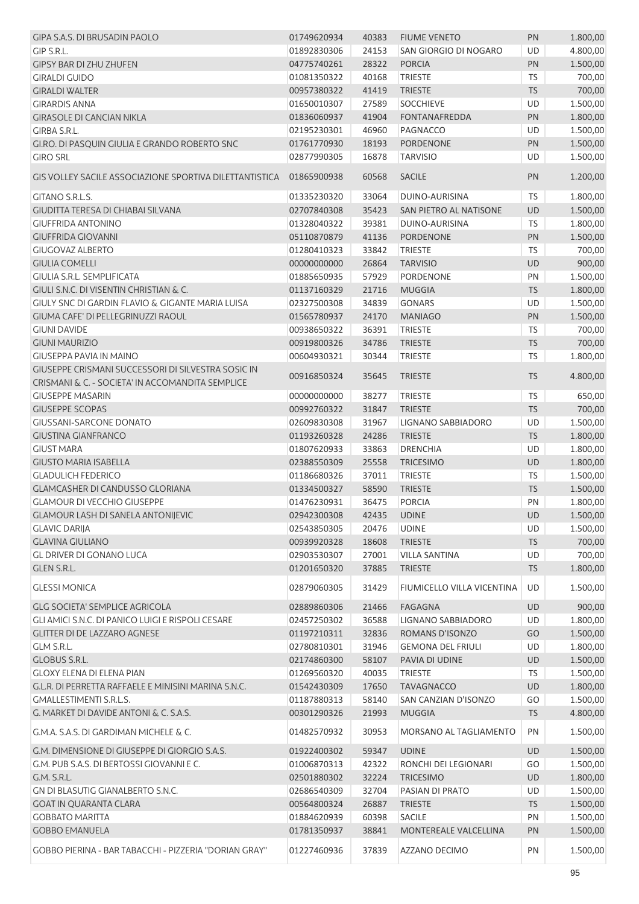| GIPA S.A.S. DI BRUSADIN PAOLO                                                                          | 01749620934 | 40383 | <b>FIUME VENETO</b>        | PN        | 1.800,00 |
|--------------------------------------------------------------------------------------------------------|-------------|-------|----------------------------|-----------|----------|
| GIP S.R.L.                                                                                             | 01892830306 | 24153 | SAN GIORGIO DI NOGARO      | UD        | 4.800,00 |
| <b>GIPSY BAR DI ZHU ZHUFEN</b>                                                                         | 04775740261 | 28322 | <b>PORCIA</b>              | PN        | 1.500,00 |
| <b>GIRALDI GUIDO</b>                                                                                   | 01081350322 | 40168 | <b>TRIESTE</b>             | <b>TS</b> | 700,00   |
| <b>GIRALDI WALTER</b>                                                                                  | 00957380322 | 41419 | <b>TRIESTE</b>             | <b>TS</b> | 700,00   |
| <b>GIRARDIS ANNA</b>                                                                                   | 01650010307 | 27589 | <b>SOCCHIEVE</b>           | UD        | 1.500,00 |
| <b>GIRASOLE DI CANCIAN NIKLA</b>                                                                       | 01836060937 | 41904 | <b>FONTANAFREDDA</b>       | PN        | 1.800,00 |
| GIRBA S.R.L.                                                                                           | 02195230301 | 46960 | <b>PAGNACCO</b>            | UD        | 1.500,00 |
| GI.RO. DI PASQUIN GIULIA E GRANDO ROBERTO SNC                                                          | 01761770930 | 18193 | <b>PORDENONE</b>           | PN        | 1.500,00 |
| <b>GIRO SRL</b>                                                                                        | 02877990305 | 16878 | <b>TARVISIO</b>            | <b>UD</b> | 1.500,00 |
| GIS VOLLEY SACILE ASSOCIAZIONE SPORTIVA DILETTANTISTICA                                                | 01865900938 | 60568 | <b>SACILE</b>              | PN        | 1.200,00 |
| GITANO S.R.L.S.                                                                                        | 01335230320 | 33064 | DUINO-AURISINA             | TS        | 1.800,00 |
| GIUDITTA TERESA DI CHIABAI SILVANA                                                                     | 02707840308 | 35423 | SAN PIETRO AL NATISONE     | UD        | 1.500,00 |
| <b>GIUFFRIDA ANTONINO</b>                                                                              | 01328040322 | 39381 | DUINO-AURISINA             | TS        | 1.800,00 |
| <b>GIUFFRIDA GIOVANNI</b>                                                                              | 05110870879 | 41136 | <b>PORDENONE</b>           | PN        | 1.500,00 |
| <b>GIUGOVAZ ALBERTO</b>                                                                                | 01280410323 | 33842 | <b>TRIESTE</b>             | TS        | 700,00   |
| <b>GIULIA COMELLI</b>                                                                                  | 00000000000 | 26864 | <b>TARVISIO</b>            | <b>UD</b> | 900,00   |
| GIULIA S.R.L. SEMPLIFICATA                                                                             | 01885650935 | 57929 | <b>PORDENONE</b>           | PN        | 1.500,00 |
| GIULI S.N.C. DI VISENTIN CHRISTIAN & C.                                                                | 01137160329 | 21716 | <b>MUGGIA</b>              | <b>TS</b> | 1.800,00 |
| <b>GIULY SNC DI GARDIN FLAVIO &amp; GIGANTE MARIA LUISA</b>                                            | 02327500308 | 34839 | <b>GONARS</b>              | UD        | 1.500,00 |
| GIUMA CAFE' DI PELLEGRINUZZI RAOUL                                                                     | 01565780937 | 24170 | <b>MANIAGO</b>             | PN        | 1.500,00 |
| <b>GIUNI DAVIDE</b>                                                                                    | 00938650322 | 36391 | <b>TRIESTE</b>             | <b>TS</b> | 700,00   |
| <b>GIUNI MAURIZIO</b>                                                                                  | 00919800326 | 34786 | <b>TRIESTE</b>             | <b>TS</b> | 700,00   |
| <b>GIUSEPPA PAVIA IN MAINO</b>                                                                         | 00604930321 | 30344 | <b>TRIESTE</b>             | TS        | 1.800,00 |
| GIUSEPPE CRISMANI SUCCESSORI DI SILVESTRA SOSIC IN<br>CRISMANI & C. - SOCIETA' IN ACCOMANDITA SEMPLICE | 00916850324 | 35645 | <b>TRIESTE</b>             | <b>TS</b> | 4.800,00 |
| <b>GIUSEPPE MASARIN</b>                                                                                | 00000000000 | 38277 | <b>TRIESTE</b>             | <b>TS</b> | 650,00   |
| <b>GIUSEPPE SCOPAS</b>                                                                                 | 00992760322 | 31847 | <b>TRIESTE</b>             | <b>TS</b> | 700,00   |
| <b>GIUSSANI-SARCONE DONATO</b>                                                                         | 02609830308 | 31967 | LIGNANO SABBIADORO         | UD        | 1.500,00 |
| <b>GIUSTINA GIANFRANCO</b>                                                                             |             |       |                            |           |          |
| <b>GIUST MARA</b>                                                                                      | 01193260328 | 24286 | <b>TRIESTE</b>             | <b>TS</b> | 1.800,00 |
|                                                                                                        | 01807620933 | 33863 | <b>DRENCHIA</b>            | UD        | 1.800,00 |
| <b>GIUSTO MARIA ISABELLA</b>                                                                           | 02388550309 | 25558 | <b>TRICESIMO</b>           | <b>UD</b> | 1.800,00 |
| <b>GLADULICH FEDERICO</b>                                                                              | 01186680326 | 37011 | <b>TRIESTE</b>             | TS        | 1.500,00 |
| <b>GLAMCASHER DI CANDUSSO GLORIANA</b>                                                                 | 01334500327 | 58590 | <b>TRIESTE</b>             | <b>TS</b> | 1.500,00 |
| <b>GLAMOUR DI VECCHIO GIUSEPPE</b>                                                                     | 01476230931 | 36475 | <b>PORCIA</b>              | PN        | 1.800,00 |
| <b>GLAMOUR LASH DI SANELA ANTONIJEVIC</b>                                                              | 02942300308 | 42435 | <b>UDINE</b>               | UD        | 1.500,00 |
| <b>GLAVIC DARIJA</b>                                                                                   | 02543850305 | 20476 | <b>UDINE</b>               | <b>UD</b> | 1.500,00 |
| <b>GLAVINA GIULIANO</b>                                                                                | 00939920328 | 18608 | <b>TRIESTE</b>             | <b>TS</b> | 700,00   |
| <b>GL DRIVER DI GONANO LUCA</b>                                                                        | 02903530307 | 27001 | <b>VILLA SANTINA</b>       | UD        | 700,00   |
| <b>GLEN S.R.L.</b>                                                                                     | 01201650320 | 37885 | <b>TRIESTE</b>             | <b>TS</b> | 1.800,00 |
| <b>GLESSI MONICA</b>                                                                                   | 02879060305 | 31429 | FIUMICELLO VILLA VICENTINA | UD        | 1.500,00 |
| <b>GLG SOCIETA' SEMPLICE AGRICOLA</b>                                                                  | 02889860306 | 21466 | <b>FAGAGNA</b>             | <b>UD</b> | 900,00   |
| GLI AMICI S.N.C. DI PANICO LUIGI E RISPOLI CESARE                                                      | 02457250302 | 36588 | LIGNANO SABBIADORO         | UD        | 1.800,00 |
| <b>GLITTER DI DE LAZZARO AGNESE</b>                                                                    | 01197210311 | 32836 | ROMANS D'ISONZO            | GO        | 1.500,00 |
| GLM S.R.L.                                                                                             | 02780810301 | 31946 | <b>GEMONA DEL FRIULI</b>   | <b>UD</b> | 1.800,00 |
| <b>GLOBUS S.R.L.</b>                                                                                   | 02174860300 | 58107 | PAVIA DI UDINE             | <b>UD</b> | 1.500,00 |
| <b>GLOXY ELENA DI ELENA PIAN</b>                                                                       | 01269560320 | 40035 | <b>TRIESTE</b>             | <b>TS</b> | 1.500,00 |
| G.L.R. DI PERRETTA RAFFAELE E MINISINI MARINA S.N.C.                                                   | 01542430309 | 17650 | <b>TAVAGNACCO</b>          | UD        | 1.800,00 |
| <b>GMALLESTIMENTI S.R.L.S.</b>                                                                         | 01187880313 | 58140 | SAN CANZIAN D'ISONZO       | GO        | 1.500,00 |
| G. MARKET DI DAVIDE ANTONI & C. S.A.S.                                                                 | 00301290326 | 21993 | <b>MUGGIA</b>              | <b>TS</b> | 4.800,00 |
| G.M.A. S.A.S. DI GARDIMAN MICHELE & C.                                                                 | 01482570932 | 30953 | MORSANO AL TAGLIAMENTO     | PN        | 1.500,00 |
| G.M. DIMENSIONE DI GIUSEPPE DI GIORGIO S.A.S.                                                          | 01922400302 | 59347 | <b>UDINE</b>               | <b>UD</b> | 1.500,00 |
| G.M. PUB S.A.S. DI BERTOSSI GIOVANNI E C.                                                              | 01006870313 | 42322 | RONCHI DEI LEGIONARI       | GO        | 1.500,00 |
| G.M. S.R.L.                                                                                            | 02501880302 | 32224 | <b>TRICESIMO</b>           | <b>UD</b> | 1.800,00 |
| GN DI BLASUTIG GIANALBERTO S.N.C.                                                                      | 02686540309 | 32704 | PASIAN DI PRATO            | UD        | 1.500,00 |
| <b>GOAT IN QUARANTA CLARA</b>                                                                          | 00564800324 | 26887 | <b>TRIESTE</b>             | <b>TS</b> | 1.500,00 |
| <b>GOBBATO MARITTA</b>                                                                                 | 01884620939 | 60398 | <b>SACILE</b>              | PN        | 1.500,00 |
| <b>GOBBO EMANUELA</b>                                                                                  | 01781350937 | 38841 | MONTEREALE VALCELLINA      | PN        | 1.500,00 |
| GOBBO PIERINA - BAR TABACCHI - PIZZERIA "DORIAN GRAY"                                                  | 01227460936 | 37839 | AZZANO DECIMO              | PN        | 1.500,00 |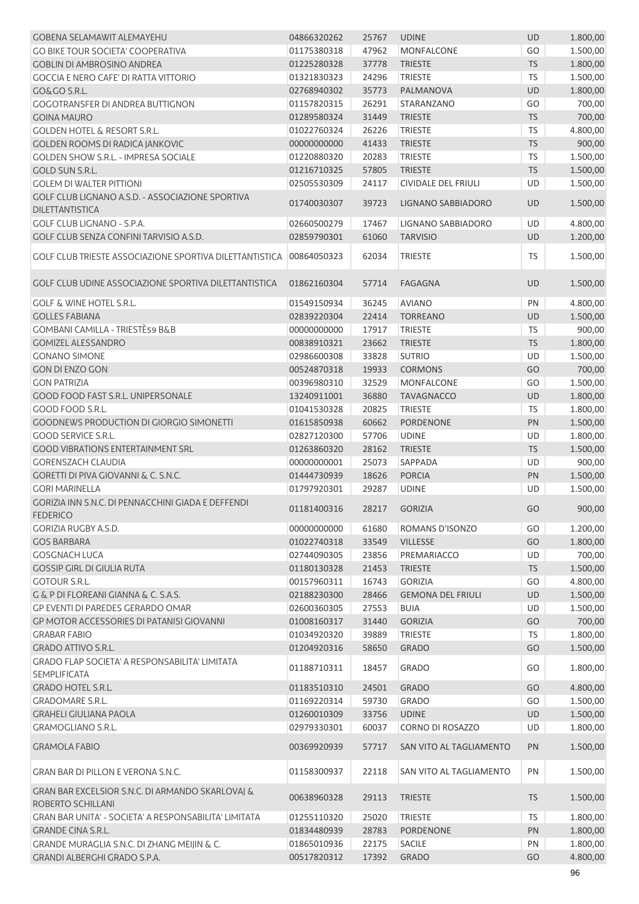| <b>GOBENA SELAMAWIT ALEMAYEHU</b>                                            | 04866320262 | 25767 | <b>UDINE</b>               | <b>UD</b>  | 1.800,00 |
|------------------------------------------------------------------------------|-------------|-------|----------------------------|------------|----------|
| <b>GO BIKE TOUR SOCIETA' COOPERATIVA</b>                                     | 01175380318 | 47962 | <b>MONFALCONE</b>          | GO         | 1.500,00 |
| <b>GOBLIN DI AMBROSINO ANDREA</b>                                            | 01225280328 | 37778 | <b>TRIESTE</b>             | <b>TS</b>  | 1.800,00 |
| GOCCIA E NERO CAFE' DI RATTA VITTORIO                                        | 01321830323 | 24296 | <b>TRIESTE</b>             | <b>TS</b>  | 1.500,00 |
| GO&GO S.R.L.                                                                 | 02768940302 | 35773 | PALMANOVA                  | <b>UD</b>  | 1.800,00 |
| <b>GOGOTRANSFER DI ANDREA BUTTIGNON</b>                                      | 01157820315 | 26291 | STARANZANO                 | GO         | 700,00   |
| <b>GOINA MAURO</b>                                                           | 01289580324 | 31449 | <b>TRIESTE</b>             | <b>TS</b>  | 700,00   |
| <b>GOLDEN HOTEL &amp; RESORT S.R.L.</b>                                      | 01022760324 | 26226 | <b>TRIESTE</b>             | <b>TS</b>  | 4.800,00 |
| GOLDEN ROOMS DI RADICA JANKOVIC                                              | 00000000000 | 41433 | <b>TRIESTE</b>             | <b>TS</b>  | 900,00   |
| <b>GOLDEN SHOW S.R.L. - IMPRESA SOCIALE</b>                                  | 01220880320 | 20283 | <b>TRIESTE</b>             | <b>TS</b>  | 1.500,00 |
| GOLD SUN S.R.L.                                                              | 01216710325 | 57805 | <b>TRIESTE</b>             | <b>TS</b>  | 1.500,00 |
| <b>GOLEM DI WALTER PITTIONI</b>                                              | 02505530309 | 24117 | <b>CIVIDALE DEL FRIULI</b> | UD         | 1.500,00 |
| GOLF CLUB LIGNANO A.S.D. - ASSOCIAZIONE SPORTIVA                             |             |       |                            |            |          |
| <b>DILETTANTISTICA</b>                                                       | 01740030307 | 39723 | LIGNANO SABBIADORO         | <b>UD</b>  | 1.500,00 |
| GOLF CLUB LIGNANO - S.P.A.                                                   | 02660500279 | 17467 | LIGNANO SABBIADORO         | <b>UD</b>  | 4.800,00 |
| GOLF CLUB SENZA CONFINI TARVISIO A.S.D.                                      | 02859790301 | 61060 | <b>TARVISIO</b>            | <b>UD</b>  | 1.200,00 |
| GOLF CLUB TRIESTE ASSOCIAZIONE SPORTIVA DILETTANTISTICA                      | 00864050323 | 62034 | <b>TRIESTE</b>             | TS         | 1.500,00 |
| GOLF CLUB UDINE ASSOCIAZIONE SPORTIVA DILETTANTISTICA                        | 01862160304 | 57714 | FAGAGNA                    | <b>UD</b>  | 1.500,00 |
| <b>GOLF &amp; WINE HOTEL S.R.L.</b>                                          | 01549150934 | 36245 | <b>AVIANO</b>              | PN         | 4.800,00 |
| <b>GOLLES FABIANA</b>                                                        | 02839220304 | 22414 | <b>TORREANO</b>            | <b>UD</b>  | 1.500,00 |
| <b>GOMBANI CAMILLA - TRIESTÈ59 B&amp;B</b>                                   | 00000000000 | 17917 | <b>TRIESTE</b>             | TS         | 900,00   |
| <b>GOMIZEL ALESSANDRO</b>                                                    | 00838910321 | 23662 | <b>TRIESTE</b>             | <b>TS</b>  | 1.800,00 |
| <b>GONANO SIMONE</b>                                                         | 02986600308 | 33828 | <b>SUTRIO</b>              | <b>UD</b>  | 1.500,00 |
| <b>GON DI ENZO GON</b>                                                       | 00524870318 | 19933 | <b>CORMONS</b>             | GO         | 700,00   |
| <b>GON PATRIZIA</b>                                                          | 00396980310 | 32529 | <b>MONFALCONE</b>          | GO         | 1.500,00 |
| <b>GOOD FOOD FAST S.R.L. UNIPERSONALE</b>                                    | 13240911001 | 36880 | <b>TAVAGNACCO</b>          | UD         | 1.800,00 |
| GOOD FOOD S.R.L.                                                             | 01041530328 | 20825 | <b>TRIESTE</b>             | ${\sf TS}$ | 1.800,00 |
| <b>GOODNEWS PRODUCTION DI GIORGIO SIMONETTI</b>                              | 01615850938 | 60662 | <b>PORDENONE</b>           | PN         | 1.500,00 |
| <b>GOOD SERVICE S.R.L.</b>                                                   | 02827120300 | 57706 | <b>UDINE</b>               | UD         | 1.800,00 |
| <b>GOOD VIBRATIONS ENTERTAINMENT SRL</b>                                     | 01263860320 | 28162 | <b>TRIESTE</b>             | <b>TS</b>  | 1.500,00 |
| <b>GORENSZACH CLAUDIA</b>                                                    | 00000000001 | 25073 | SAPPADA                    | UD         | 900,00   |
| <b>GORETTI DI PIVA GIOVANNI &amp; C. S.N.C.</b>                              | 01444730939 | 18626 | <b>PORCIA</b>              | PN         | 1.500,00 |
| <b>GORI MARINELLA</b>                                                        | 01797920301 | 29287 | <b>UDINE</b>               | UD         | 1.500,00 |
| GORIZIA INN S.N.C. DI PENNACCHINI GIADA E DEFFENDI                           |             |       |                            |            |          |
| <b>FEDERICO</b>                                                              | 01181400316 | 28217 | <b>GORIZIA</b>             | GO         | 900,00   |
| GORIZIA RUGBY A.S.D.                                                         | 00000000000 | 61680 | ROMANS D'ISONZO            | GO         | 1.200,00 |
| <b>GOS BARBARA</b>                                                           | 01022740318 | 33549 | <b>VILLESSE</b>            | GO         | 1.800,00 |
| <b>GOSGNACH LUCA</b>                                                         | 02744090305 | 23856 | PREMARIACCO                | UD         | 700,00   |
| <b>GOSSIP GIRL DI GIULIA RUTA</b>                                            | 01180130328 | 21453 | <b>TRIESTE</b>             | <b>TS</b>  | 1.500,00 |
| <b>GOTOUR S.R.L.</b>                                                         | 00157960311 | 16743 | <b>GORIZIA</b>             | GO         | 4.800,00 |
| G & P DI FLOREANI GIANNA & C. S.A.S.                                         | 02188230300 | 28466 | <b>GEMONA DEL FRIULI</b>   | UD         | 1.500,00 |
| <b>GP EVENTI DI PAREDES GERARDO OMAR</b>                                     | 02600360305 | 27553 | <b>BUIA</b>                | <b>UD</b>  | 1.500,00 |
| <b>GP MOTOR ACCESSORIES DI PATANISI GIOVANNI</b>                             | 01008160317 | 31440 | <b>GORIZIA</b>             | GO         | 700,00   |
| <b>GRABAR FABIO</b>                                                          | 01034920320 | 39889 | <b>TRIESTE</b>             | <b>TS</b>  | 1.800,00 |
| <b>GRADO ATTIVO S.R.L.</b>                                                   | 01204920316 | 58650 | <b>GRADO</b>               | GO         | 1.500,00 |
| <b>GRADO FLAP SOCIETA' A RESPONSABILITA' LIMITATA</b><br><b>SEMPLIFICATA</b> | 01188710311 | 18457 | <b>GRADO</b>               | GO         | 1.800,00 |
| <b>GRADO HOTEL S.R.L.</b>                                                    | 01183510310 | 24501 | <b>GRADO</b>               | GO         | 4.800,00 |
| <b>GRADOMARE S.R.L.</b>                                                      | 01169220314 | 59730 | <b>GRADO</b>               | GO         | 1.500,00 |
| <b>GRAHELI GIULIANA PAOLA</b>                                                | 01260010309 | 33756 | <b>UDINE</b>               | UD         | 1.500,00 |
| <b>GRAMOGLIANO S.R.L.</b>                                                    | 02979330301 | 60037 | CORNO DI ROSAZZO           | <b>UD</b>  | 1.800,00 |
|                                                                              |             |       |                            |            |          |
| <b>GRAMOLA FABIO</b>                                                         | 00369920939 | 57717 | SAN VITO AL TAGLIAMENTO    | PN         | 1.500,00 |
| GRAN BAR DI PILLON E VERONA S.N.C.                                           | 01158300937 | 22118 | SAN VITO AL TAGLIAMENTO    | PN         | 1.500,00 |
| GRAN BAR EXCELSIOR S.N.C. DI ARMANDO SKARLOVAJ &<br>ROBERTO SCHILLANI        | 00638960328 | 29113 | <b>TRIESTE</b>             | <b>TS</b>  | 1.500,00 |
| GRAN BAR UNITA' - SOCIETA' A RESPONSABILITA' LIMITATA                        | 01255110320 | 25020 | <b>TRIESTE</b>             | <b>TS</b>  | 1.800,00 |
| <b>GRANDE CINA S.R.L.</b>                                                    | 01834480939 | 28783 | <b>PORDENONE</b>           | PN         | 1.800,00 |
| GRANDE MURAGLIA S.N.C. DI ZHANG MEIJIN & C.                                  | 01865010936 | 22175 | <b>SACILE</b>              | PN         | 1.800,00 |
| GRANDI ALBERGHI GRADO S.P.A.                                                 | 00517820312 | 17392 | <b>GRADO</b>               | GO         | 4.800,00 |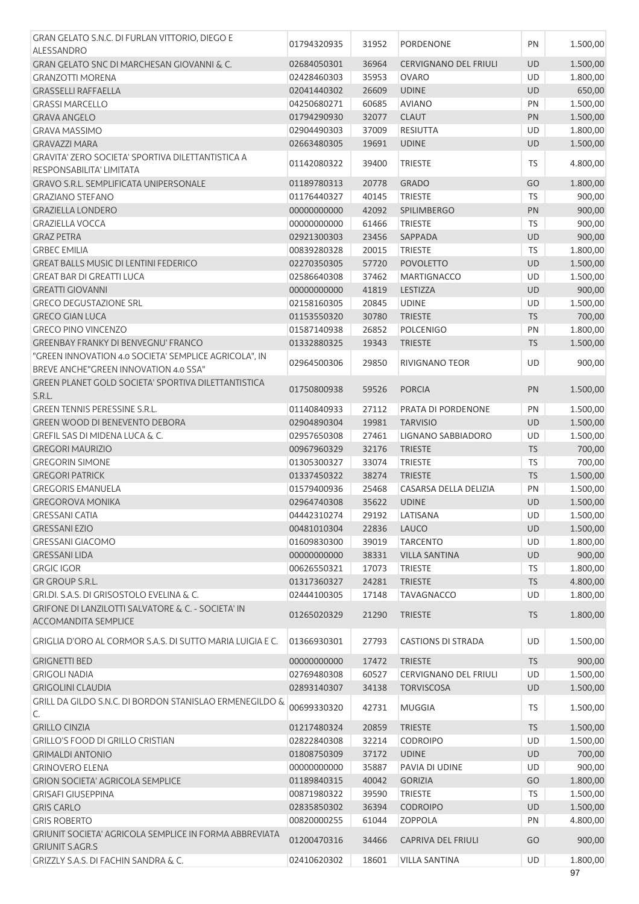| GRAN GELATO S.N.C. DI FURLAN VITTORIO, DIEGO E<br>ALESSANDRO                                   | 01794320935 | 31952 | PORDENONE                    | PN        | 1.500,00 |
|------------------------------------------------------------------------------------------------|-------------|-------|------------------------------|-----------|----------|
| GRAN GELATO SNC DI MARCHESAN GIOVANNI & C.                                                     | 02684050301 | 36964 | <b>CERVIGNANO DEL FRIULI</b> | <b>UD</b> | 1.500,00 |
| <b>GRANZOTTI MORENA</b>                                                                        | 02428460303 | 35953 | <b>OVARO</b>                 | UD        | 1.800,00 |
| <b>GRASSELLI RAFFAELLA</b>                                                                     | 02041440302 | 26609 | <b>UDINE</b>                 | <b>UD</b> | 650,00   |
| <b>GRASSI MARCELLO</b>                                                                         | 04250680271 | 60685 | <b>AVIANO</b>                | PN        | 1.500,00 |
| <b>GRAVA ANGELO</b>                                                                            | 01794290930 | 32077 | <b>CLAUT</b>                 | PN        | 1.500,00 |
| <b>GRAVA MASSIMO</b>                                                                           | 02904490303 | 37009 | <b>RESIUTTA</b>              | UD        | 1.800,00 |
| <b>GRAVAZZI MARA</b>                                                                           | 02663480305 | 19691 | <b>UDINE</b>                 | UD        | 1.500,00 |
| GRAVITA' ZERO SOCIETA' SPORTIVA DILETTANTISTICA A                                              |             |       |                              |           |          |
| RESPONSABILITA' LIMITATA                                                                       | 01142080322 | 39400 | <b>TRIESTE</b>               | TS        | 4.800,00 |
| GRAVO S.R.L. SEMPLIFICATA UNIPERSONALE                                                         | 01189780313 | 20778 | <b>GRADO</b>                 | GO        | 1.800,00 |
| <b>GRAZIANO STEFANO</b>                                                                        | 01176440327 | 40145 | <b>TRIESTE</b>               | <b>TS</b> | 900,00   |
| <b>GRAZIELLA LONDERO</b>                                                                       | 00000000000 | 42092 | <b>SPILIMBERGO</b>           | PN        | 900,00   |
| <b>GRAZIELLA VOCCA</b>                                                                         | 00000000000 | 61466 | <b>TRIESTE</b>               | TS        | 900,00   |
| <b>GRAZ PETRA</b>                                                                              | 02921300303 | 23456 | SAPPADA                      | UD        | 900,00   |
| <b>GRBEC EMILIA</b>                                                                            | 00839280328 | 20015 | <b>TRIESTE</b>               | TS        | 1.800,00 |
| <b>GREAT BALLS MUSIC DI LENTINI FEDERICO</b>                                                   | 02270350305 | 57720 | <b>POVOLETTO</b>             | <b>UD</b> | 1.500,00 |
| <b>GREAT BAR DI GREATTI LUCA</b>                                                               | 02586640308 | 37462 | <b>MARTIGNACCO</b>           | UD        | 1.500,00 |
| <b>GREATTI GIOVANNI</b>                                                                        | 00000000000 | 41819 | LESTIZZA                     | <b>UD</b> | 900,00   |
| <b>GRECO DEGUSTAZIONE SRL</b>                                                                  | 02158160305 | 20845 | <b>UDINE</b>                 | UD        | 1.500,00 |
| <b>GRECO GIAN LUCA</b>                                                                         | 01153550320 | 30780 | <b>TRIESTE</b>               | <b>TS</b> | 700,00   |
| <b>GRECO PINO VINCENZO</b>                                                                     | 01587140938 | 26852 | <b>POLCENIGO</b>             | PN        | 1.800,00 |
| <b>GREENBAY FRANKY DI BENVEGNU' FRANCO</b>                                                     | 01332880325 | 19343 | <b>TRIESTE</b>               | <b>TS</b> | 1.500,00 |
| "GREEN INNOVATION 4.0 SOCIETA' SEMPLICE AGRICOLA", IN<br>BREVE ANCHE"GREEN INNOVATION 4.0 SSA" | 02964500306 | 29850 | <b>RIVIGNANO TEOR</b>        | UD        | 900,00   |
| GREEN PLANET GOLD SOCIETA' SPORTIVA DILETTANTISTICA                                            | 01750800938 | 59526 | <b>PORCIA</b>                | PN        | 1.500,00 |
| S.R.L.                                                                                         |             |       |                              |           |          |
| GREEN TENNIS PERESSINE S.R.L.                                                                  | 01140840933 | 27112 | PRATA DI PORDENONE           | PN        | 1.500,00 |
| <b>GREEN WOOD DI BENEVENTO DEBORA</b>                                                          | 02904890304 | 19981 | <b>TARVISIO</b>              | <b>UD</b> | 1.500,00 |
| GREFIL SAS DI MIDENA LUCA & C.                                                                 | 02957650308 | 27461 | LIGNANO SABBIADORO           | UD        | 1.500,00 |
| <b>GREGORI MAURIZIO</b>                                                                        | 00967960329 | 32176 | <b>TRIESTE</b>               | <b>TS</b> | 700,00   |
| <b>GREGORIN SIMONE</b>                                                                         | 01305300327 | 33074 | <b>TRIESTE</b>               | TS        | 700,00   |
| <b>GREGORI PATRICK</b>                                                                         | 01337450322 | 38274 | <b>TRIESTE</b>               | <b>TS</b> | 1.500,00 |
| <b>GREGORIS EMANUELA</b>                                                                       | 01579400936 | 25468 | CASARSA DELLA DELIZIA        | PN        | 1.500,00 |
| <b>GREGOROVA MONIKA</b>                                                                        | 02964740308 | 35622 | <b>UDINE</b>                 | <b>UD</b> | 1.500,00 |
| <b>GRESSANI CATIA</b>                                                                          | 04442310274 | 29192 | LATISANA                     | UD        | 1.500,00 |
| <b>GRESSANI EZIO</b>                                                                           | 00481010304 | 22836 | <b>LAUCO</b>                 | <b>UD</b> | 1.500,00 |
| <b>GRESSANI GIACOMO</b>                                                                        | 01609830300 | 39019 | <b>TARCENTO</b>              | UD        | 1.800,00 |
| <b>GRESSANI LIDA</b>                                                                           | 00000000000 | 38331 | <b>VILLA SANTINA</b>         | <b>UD</b> | 900,00   |
| <b>GRGIC IGOR</b>                                                                              | 00626550321 | 17073 | <b>TRIESTE</b>               | TS        | 1.800,00 |
| <b>GR GROUP S.R.L.</b>                                                                         | 01317360327 | 24281 | <b>TRIESTE</b>               | <b>TS</b> | 4.800,00 |
| GRI.DI. S.A.S. DI GRISOSTOLO EVELINA & C.                                                      | 02444100305 | 17148 | <b>TAVAGNACCO</b>            | UD        | 1.800,00 |
| <b>GRIFONE DI LANZILOTTI SALVATORE &amp; C. - SOCIETA' IN</b><br><b>ACCOMANDITA SEMPLICE</b>   | 01265020329 | 21290 | <b>TRIESTE</b>               | <b>TS</b> | 1.800,00 |
| GRIGLIA D'ORO AL CORMOR S.A.S. DI SUTTO MARIA LUIGIA E C.                                      | 01366930301 | 27793 | <b>CASTIONS DI STRADA</b>    | UD        | 1.500,00 |
| <b>GRIGNETTI BED</b>                                                                           | 00000000000 | 17472 | <b>TRIESTE</b>               | <b>TS</b> | 900,00   |
| <b>GRIGOLI NADIA</b>                                                                           | 02769480308 | 60527 | <b>CERVIGNANO DEL FRIULI</b> | UD        | 1.500,00 |
| <b>GRIGOLINI CLAUDIA</b>                                                                       | 02893140307 | 34138 | <b>TORVISCOSA</b>            | UD        | 1.500,00 |
| GRILL DA GILDO S.N.C. DI BORDON STANISLAO ERMENEGILDO &                                        | 00699330320 | 42731 | <b>MUGGIA</b>                | TS        | 1.500,00 |
| C.                                                                                             |             |       |                              |           |          |
| <b>GRILLO CINZIA</b>                                                                           | 01217480324 | 20859 | <b>TRIESTE</b>               | <b>TS</b> | 1.500,00 |
| <b>GRILLO'S FOOD DI GRILLO CRISTIAN</b>                                                        | 02822840308 | 32214 | <b>CODROIPO</b>              | UD        | 1.500,00 |
| <b>GRIMALDI ANTONIO</b>                                                                        | 01808750309 | 37172 | <b>UDINE</b>                 | <b>UD</b> | 700,00   |
| <b>GRINOVERO ELENA</b>                                                                         | 00000000000 | 35887 | PAVIA DI UDINE               | UD        | 900,00   |
| <b>GRION SOCIETA' AGRICOLA SEMPLICE</b>                                                        | 01189840315 | 40042 | <b>GORIZIA</b>               | GO        | 1.800,00 |
| <b>GRISAFI GIUSEPPINA</b>                                                                      | 00871980322 | 39590 | TRIESTE                      | <b>TS</b> | 1.500,00 |
| <b>GRIS CARLO</b>                                                                              | 02835850302 | 36394 | <b>CODROIPO</b>              | <b>UD</b> | 1.500,00 |
| <b>GRIS ROBERTO</b>                                                                            | 00820000255 | 61044 | <b>ZOPPOLA</b>               | PN        | 4.800,00 |
| GRIUNIT SOCIETA' AGRICOLA SEMPLICE IN FORMA ABBREVIATA<br><b>GRIUNIT S.AGR.S</b>               | 01200470316 | 34466 | <b>CAPRIVA DEL FRIULI</b>    | GO        | 900,00   |
| GRIZZLY S.A.S. DI FACHIN SANDRA & C.                                                           | 02410620302 | 18601 | <b>VILLA SANTINA</b>         | UD        | 1.800,00 |
|                                                                                                |             |       |                              |           | 97       |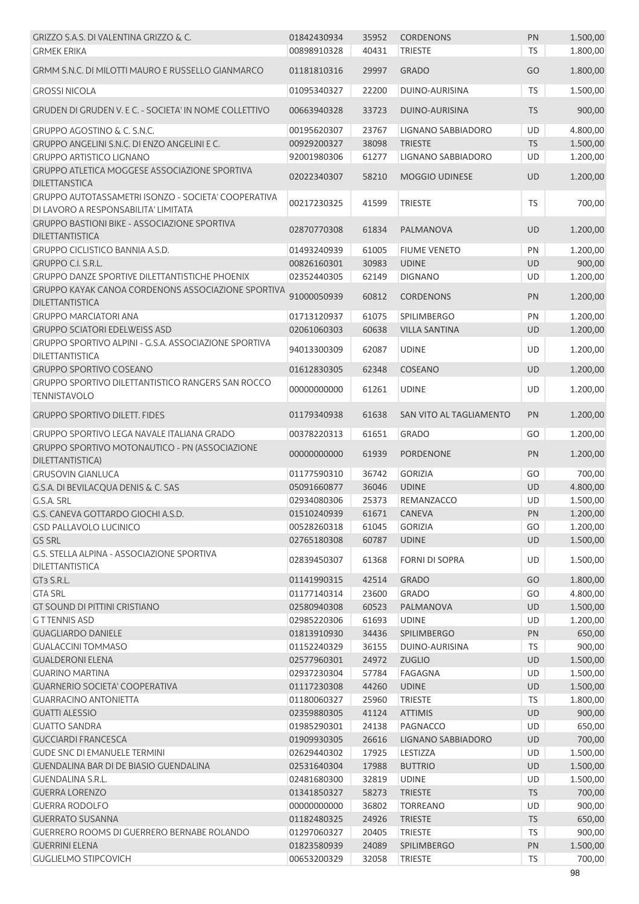| GRIZZO S.A.S. DI VALENTINA GRIZZO & C.                                                      | 01842430934 | 35952 | <b>CORDENONS</b>        | PN        | 1.500,00 |
|---------------------------------------------------------------------------------------------|-------------|-------|-------------------------|-----------|----------|
| <b>GRMEK ERIKA</b>                                                                          | 00898910328 | 40431 | <b>TRIESTE</b>          | TS        | 1.800,00 |
| GRMM S.N.C. DI MILOTTI MAURO E RUSSELLO GIANMARCO                                           | 01181810316 | 29997 | <b>GRADO</b>            | GO        | 1.800,00 |
| <b>GROSSI NICOLA</b>                                                                        | 01095340327 | 22200 | DUINO-AURISINA          | TS        | 1.500,00 |
| GRUDEN DI GRUDEN V. E C. - SOCIETA' IN NOME COLLETTIVO                                      | 00663940328 | 33723 | DUINO-AURISINA          | <b>TS</b> | 900,00   |
| <b>GRUPPO AGOSTINO &amp; C. S.N.C.</b>                                                      | 00195620307 | 23767 | LIGNANO SABBIADORO      | UD        | 4.800,00 |
| GRUPPO ANGELINI S.N.C. DI ENZO ANGELINI E C.                                                | 00929200327 | 38098 | <b>TRIESTE</b>          | <b>TS</b> | 1.500,00 |
| <b>GRUPPO ARTISTICO LIGNANO</b>                                                             | 92001980306 | 61277 | LIGNANO SABBIADORO      | UD        | 1.200,00 |
| <b>GRUPPO ATLETICA MOGGESE ASSOCIAZIONE SPORTIVA</b><br><b>DILETTANSTICA</b>                | 02022340307 | 58210 | <b>MOGGIO UDINESE</b>   | <b>UD</b> | 1.200,00 |
| GRUPPO AUTOTASSAMETRI ISONZO - SOCIETA' COOPERATIVA<br>DI LAVORO A RESPONSABILITA' LIMITATA | 00217230325 | 41599 | <b>TRIESTE</b>          | <b>TS</b> | 700,00   |
| <b>GRUPPO BASTIONI BIKE - ASSOCIAZIONE SPORTIVA</b><br><b>DILETTANTISTICA</b>               | 02870770308 | 61834 | PALMANOVA               | <b>UD</b> | 1.200,00 |
| GRUPPO CICLISTICO BANNIA A.S.D.                                                             | 01493240939 | 61005 | <b>FIUME VENETO</b>     | PN        | 1.200,00 |
| <b>GRUPPO C.I. S.R.L.</b>                                                                   | 00826160301 | 30983 | <b>UDINE</b>            | <b>UD</b> | 900,00   |
| GRUPPO DANZE SPORTIVE DILETTANTISTICHE PHOENIX                                              | 02352440305 | 62149 | <b>DIGNANO</b>          | UD        | 1.200,00 |
| GRUPPO KAYAK CANOA CORDENONS ASSOCIAZIONE SPORTIVA                                          | 91000050939 | 60812 | <b>CORDENONS</b>        | PN        | 1.200,00 |
| <b>DILETTANTISTICA</b>                                                                      |             |       |                         |           |          |
| <b>GRUPPO MARCIATORI ANA</b>                                                                | 01713120937 | 61075 | <b>SPILIMBERGO</b>      | PN        | 1.200,00 |
| <b>GRUPPO SCIATORI EDELWEISS ASD</b>                                                        | 02061060303 | 60638 | <b>VILLA SANTINA</b>    | UD        | 1.200,00 |
| GRUPPO SPORTIVO ALPINI - G.S.A. ASSOCIAZIONE SPORTIVA<br>DILETTANTISTICA                    | 94013300309 | 62087 | <b>UDINE</b>            | UD        | 1.200,00 |
| <b>GRUPPO SPORTIVO COSEANO</b>                                                              | 01612830305 | 62348 | COSEANO                 | <b>UD</b> | 1.200,00 |
| GRUPPO SPORTIVO DILETTANTISTICO RANGERS SAN ROCCO<br><b>TENNISTAVOLO</b>                    | 00000000000 | 61261 | <b>UDINE</b>            | <b>UD</b> | 1.200,00 |
| <b>GRUPPO SPORTIVO DILETT. FIDES</b>                                                        | 01179340938 | 61638 | SAN VITO AL TAGLIAMENTO | PN        | 1.200,00 |
| GRUPPO SPORTIVO LEGA NAVALE ITALIANA GRADO                                                  | 00378220313 | 61651 | <b>GRADO</b>            | GO        | 1.200,00 |
| GRUPPO SPORTIVO MOTONAUTICO - PN (ASSOCIAZIONE<br>DILETTANTISTICA)                          | 00000000000 | 61939 | <b>PORDENONE</b>        | PN        | 1.200,00 |
| <b>GRUSOVIN GIANLUCA</b>                                                                    | 01177590310 | 36742 | <b>GORIZIA</b>          | GO        | 700,00   |
| G.S.A. DI BEVILACQUA DENIS & C. SAS                                                         | 05091660877 | 36046 | <b>UDINE</b>            | UD        | 4.800,00 |
| G.S.A. SRL                                                                                  | 02934080306 | 25373 | REMANZACCO              | UD        | 1.500,00 |
| G.S. CANEVA GOTTARDO GIOCHI A.S.D.                                                          | 01510240939 | 61671 | CANEVA                  | <b>PN</b> | 1.200,00 |
| <b>GSD PALLAVOLO LUCINICO</b>                                                               | 00528260318 | 61045 | <b>GORIZIA</b>          | GO        | 1.200,00 |
| <b>GS SRL</b>                                                                               | 02765180308 | 60787 | <b>UDINE</b>            | UD        | 1.500,00 |
| G.S. STELLA ALPINA - ASSOCIAZIONE SPORTIVA<br>DILETTANTISTICA                               | 02839450307 | 61368 | <b>FORNI DI SOPRA</b>   | UD        | 1.500,00 |
| GT3 S.R.L.                                                                                  | 01141990315 | 42514 | <b>GRADO</b>            | GO        | 1.800,00 |
| <b>GTA SRL</b>                                                                              | 01177140314 | 23600 | <b>GRADO</b>            | GO        | 4.800,00 |
| <b>GT SOUND DI PITTINI CRISTIANO</b>                                                        | 02580940308 | 60523 | PALMANOVA               | UD        | 1.500,00 |
| <b>GTTENNIS ASD</b>                                                                         | 02985220306 | 61693 | <b>UDINE</b>            | UD        | 1.200,00 |
| <b>GUAGLIARDO DANIELE</b>                                                                   | 01813910930 | 34436 | <b>SPILIMBERGO</b>      | PN        | 650,00   |
| <b>GUALACCINI TOMMASO</b>                                                                   | 01152240329 | 36155 | DUINO-AURISINA          | TS        | 900,00   |
| <b>GUALDERONI ELENA</b>                                                                     | 02577960301 | 24972 | <b>ZUGLIO</b>           | UD        | 1.500,00 |
| <b>GUARINO MARTINA</b>                                                                      | 02937230304 | 57784 | <b>FAGAGNA</b>          | UD        | 1.500,00 |
| <b>GUARNERIO SOCIETA' COOPERATIVA</b>                                                       | 01117230308 | 44260 | <b>UDINE</b>            | UD        | 1.500,00 |
| <b>GUARRACINO ANTONIETTA</b>                                                                | 01180060327 | 25960 | <b>TRIESTE</b>          | <b>TS</b> | 1.800,00 |
| <b>GUATTI ALESSIO</b>                                                                       | 02359880305 | 41124 | <b>ATTIMIS</b>          | <b>UD</b> | 900,00   |
| <b>GUATTO SANDRA</b>                                                                        | 01985290301 | 24138 | PAGNACCO                | UD        | 650,00   |
| <b>GUCCIARDI FRANCESCA</b>                                                                  | 01909930305 | 26616 | LIGNANO SABBIADORO      | <b>UD</b> | 700,00   |
| <b>GUDE SNC DI EMANUELE TERMINI</b>                                                         | 02629440302 | 17925 | LESTIZZA                | UD        | 1.500,00 |
| <b>GUENDALINA BAR DI DE BIASIO GUENDALINA</b>                                               | 02531640304 | 17988 | <b>BUTTRIO</b>          | <b>UD</b> | 1.500,00 |
| <b>GUENDALINA S.R.L.</b>                                                                    | 02481680300 | 32819 | <b>UDINE</b>            | UD        | 1.500,00 |
| <b>GUERRA LORENZO</b>                                                                       | 01341850327 | 58273 | <b>TRIESTE</b>          | <b>TS</b> | 700,00   |
| <b>GUERRA RODOLFO</b>                                                                       | 00000000000 | 36802 | <b>TORREANO</b>         | <b>UD</b> | 900,00   |
| <b>GUERRATO SUSANNA</b>                                                                     | 01182480325 | 24926 | <b>TRIESTE</b>          | <b>TS</b> | 650,00   |
| <b>GUERRERO ROOMS DI GUERRERO BERNABE ROLANDO</b>                                           | 01297060327 | 20405 | <b>TRIESTE</b>          | <b>TS</b> | 900,00   |
| <b>GUERRINI ELENA</b>                                                                       | 01823580939 | 24089 | SPILIMBERGO             | PN        | 1.500,00 |
| <b>GUGLIELMO STIPCOVICH</b>                                                                 | 00653200329 | 32058 | <b>TRIESTE</b>          | TS        | 700,00   |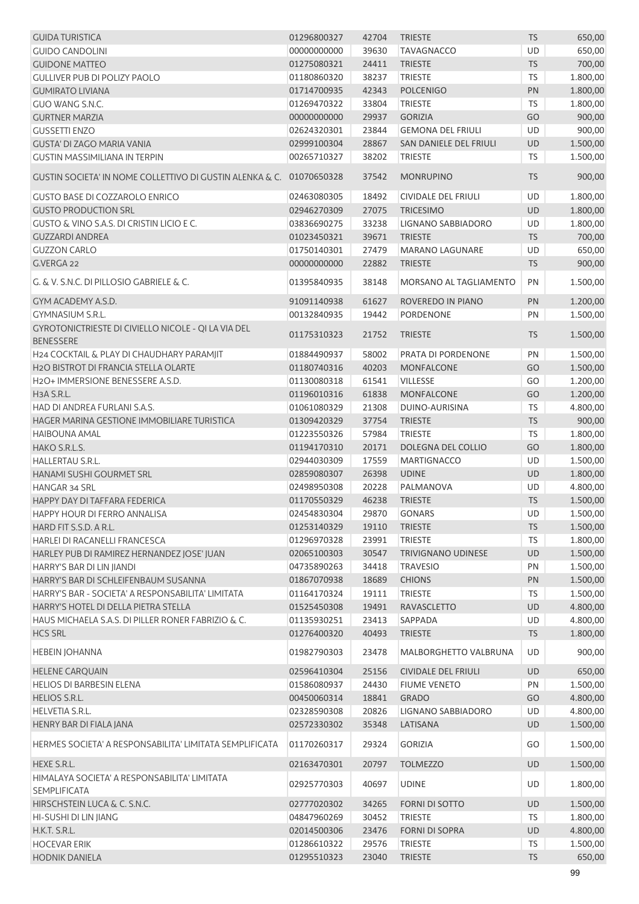| <b>GUIDA TURISTICA</b>                                   | 01296800327 | 42704 | <b>TRIESTE</b>             | <b>TS</b> | 650,00   |
|----------------------------------------------------------|-------------|-------|----------------------------|-----------|----------|
| <b>GUIDO CANDOLINI</b>                                   | 00000000000 | 39630 | <b>TAVAGNACCO</b>          | <b>UD</b> | 650,00   |
| <b>GUIDONE MATTEO</b>                                    | 01275080321 | 24411 | <b>TRIESTE</b>             | <b>TS</b> | 700,00   |
| <b>GULLIVER PUB DI POLIZY PAOLO</b>                      | 01180860320 | 38237 | <b>TRIESTE</b>             | <b>TS</b> | 1.800,00 |
| <b>GUMIRATO LIVIANA</b>                                  | 01714700935 | 42343 | <b>POLCENIGO</b>           | PN        | 1.800,00 |
| <b>GUO WANG S.N.C.</b>                                   | 01269470322 | 33804 | <b>TRIESTE</b>             | <b>TS</b> | 1.800,00 |
| <b>GURTNER MARZIA</b>                                    | 00000000000 | 29937 | <b>GORIZIA</b>             | GO        | 900,00   |
| <b>GUSSETTI ENZO</b>                                     | 02624320301 | 23844 | <b>GEMONA DEL FRIULI</b>   | <b>UD</b> | 900,00   |
| <b>GUSTA' DI ZAGO MARIA VANIA</b>                        | 02999100304 | 28867 | SAN DANIELE DEL FRIULI     | UD        | 1.500,00 |
| <b>GUSTIN MASSIMILIANA IN TERPIN</b>                     | 00265710327 | 38202 | <b>TRIESTE</b>             | <b>TS</b> | 1.500,00 |
| GUSTIN SOCIETA' IN NOME COLLETTIVO DI GUSTIN ALENKA & C. | 01070650328 | 37542 | <b>MONRUPINO</b>           | <b>TS</b> | 900,00   |
| <b>GUSTO BASE DI COZZAROLO ENRICO</b>                    | 02463080305 | 18492 | <b>CIVIDALE DEL FRIULI</b> | <b>UD</b> | 1.800,00 |
| <b>GUSTO PRODUCTION SRL</b>                              | 02946270309 | 27075 | <b>TRICESIMO</b>           | UD        | 1.800,00 |
| GUSTO & VINO S.A.S. DI CRISTIN LICIO E C.                | 03836690275 | 33238 | LIGNANO SABBIADORO         | UD        | 1.800,00 |
| <b>GUZZARDI ANDREA</b>                                   | 01023450321 | 39671 | <b>TRIESTE</b>             | <b>TS</b> | 700,00   |
| <b>GUZZON CARLO</b>                                      | 01750140301 | 27479 | <b>MARANO LAGUNARE</b>     | UD        | 650,00   |
| G.VERGA 22                                               | 00000000000 | 22882 | <b>TRIESTE</b>             | <b>TS</b> | 900,00   |
| G. & V. S.N.C. DI PILLOSIO GABRIELE & C.                 | 01395840935 | 38148 | MORSANO AL TAGLIAMENTO     | PN        | 1.500,00 |
| GYM ACADEMY A.S.D.                                       | 91091140938 | 61627 | ROVEREDO IN PIANO          | PN        | 1.200,00 |
| GYMNASIUM S.R.L.                                         | 00132840935 | 19442 | PORDENONE                  | PN        | 1.500,00 |
| GYROTONICTRIESTE DI CIVIELLO NICOLE - QI LA VIA DEL      |             |       |                            |           |          |
| <b>BENESSERE</b>                                         | 01175310323 | 21752 | <b>TRIESTE</b>             | <b>TS</b> | 1.500,00 |
| H24 COCKTAIL & PLAY DI CHAUDHARY PARAMJIT                | 01884490937 | 58002 | PRATA DI PORDENONE         | PN        | 1.500,00 |
| H2O BISTROT DI FRANCIA STELLA OLARTE                     | 01180740316 | 40203 | <b>MONFALCONE</b>          | GO        | 1.500,00 |
| H2O+ IMMERSIONE BENESSERE A.S.D.                         | 01130080318 | 61541 | <b>VILLESSE</b>            | GO        | 1.200,00 |
| H3A S.R.L.                                               | 01196010316 | 61838 | <b>MONFALCONE</b>          | GO        | 1.200,00 |
| HAD DI ANDREA FURLANI S.A.S.                             | 01061080329 | 21308 | DUINO-AURISINA             | <b>TS</b> | 4.800,00 |
| HAGER MARINA GESTIONE IMMOBILIARE TURISTICA              | 01309420329 | 37754 | <b>TRIESTE</b>             | <b>TS</b> | 900,00   |
| <b>HAIBOUNA AMAL</b>                                     | 01223550326 | 57984 | <b>TRIESTE</b>             | TS        | 1.800,00 |
| HAKO S.R.L.S.                                            | 01194170310 | 20171 | <b>DOLEGNA DEL COLLIO</b>  | GO        | 1.800,00 |
| <b>HALLERTAU S.R.L.</b>                                  | 02944030309 | 17559 | <b>MARTIGNACCO</b>         | <b>UD</b> | 1.500,00 |
| HANAMI SUSHI GOURMET SRL                                 | 02859080307 | 26398 | <b>UDINE</b>               | <b>UD</b> | 1.800,00 |
| <b>HANGAR 34 SRL</b>                                     | 02498950308 | 20228 | PALMANOVA                  | <b>UD</b> | 4.800,00 |
| HAPPY DAY DI TAFFARA FEDERICA                            | 01170550329 | 46238 | <b>TRIESTE</b>             | <b>TS</b> | 1.500,00 |
| HAPPY HOUR DI FERRO ANNALISA                             | 02454830304 |       | <b>GONARS</b>              | UD        | 1.500,00 |
| HARD FIT S.S.D. A R.L.                                   | 01253140329 | 19110 | <b>TRIESTE</b>             | <b>TS</b> | 1.500,00 |
| <b>HARLEI DI RACANELLI FRANCESCA</b>                     | 01296970328 | 23991 | <b>TRIESTE</b>             | <b>TS</b> | 1.800,00 |
| HARLEY PUB DI RAMIREZ HERNANDEZ JOSE' JUAN               | 02065100303 | 30547 | TRIVIGNANO UDINESE         | <b>UD</b> | 1.500,00 |
| HARRY'S BAR DI LIN JIANDI                                | 04735890263 | 34418 | <b>TRAVESIO</b>            | PN        | 1.500,00 |
| HARRY'S BAR DI SCHLEIFENBAUM SUSANNA                     | 01867070938 | 18689 | <b>CHIONS</b>              | PN        | 1.500,00 |
| HARRY'S BAR - SOCIETA' A RESPONSABILITA' LIMITATA        | 01164170324 | 19111 | <b>TRIESTE</b>             | <b>TS</b> | 1.500,00 |
| HARRY'S HOTEL DI DELLA PIETRA STELLA                     | 01525450308 | 19491 | <b>RAVASCLETTO</b>         | UD        | 4.800,00 |
| HAUS MICHAELA S.A.S. DI PILLER RONER FABRIZIO & C.       | 01135930251 | 23413 | SAPPADA                    | UD        | 4.800,00 |
| <b>HCS SRL</b>                                           | 01276400320 | 40493 | <b>TRIESTE</b>             | <b>TS</b> | 1.800,00 |
| <b>HEBEIN JOHANNA</b>                                    | 01982790303 | 23478 | MALBORGHETTO VALBRUNA      | UD        | 900,00   |
| <b>HELENE CARQUAIN</b>                                   | 02596410304 | 25156 | <b>CIVIDALE DEL FRIULI</b> | <b>UD</b> | 650,00   |
| <b>HELIOS DI BARBESIN ELENA</b>                          | 01586080937 | 24430 | <b>FIUME VENETO</b>        | PN        | 1.500,00 |
| HELIOS S.R.L.                                            | 00450060314 | 18841 | <b>GRADO</b>               | GO        | 4.800,00 |
| <b>HELVETIA S.R.L.</b>                                   | 02328590308 | 20826 | LIGNANO SABBIADORO         | <b>UD</b> | 4.800,00 |
| HENRY BAR DI FIALA JANA                                  | 02572330302 | 35348 | LATISANA                   | UD        | 1.500,00 |
| HERMES SOCIETA' A RESPONSABILITA' LIMITATA SEMPLIFICATA  | 01170260317 | 29324 | <b>GORIZIA</b>             | GO        | 1.500,00 |
| HEXE S.R.L.                                              | 02163470301 | 20797 | <b>TOLMEZZO</b>            | <b>UD</b> | 1.500,00 |
| HIMALAYA SOCIETA' A RESPONSABILITA' LIMITATA             |             |       |                            |           |          |
| <b>SEMPLIFICATA</b>                                      | 02925770303 | 40697 | <b>UDINE</b>               | <b>UD</b> | 1.800,00 |
| HIRSCHSTEIN LUCA & C. S.N.C.                             | 02777020302 | 34265 | <b>FORNI DI SOTTO</b>      | UD        | 1.500,00 |
| HI-SUSHI DI LIN JIANG                                    | 04847960269 | 30452 | <b>TRIESTE</b>             | <b>TS</b> | 1.800,00 |
| H.K.T. S.R.L.                                            | 02014500306 | 23476 | <b>FORNI DI SOPRA</b>      | UD        | 4.800,00 |
| <b>HOCEVAR ERIK</b>                                      | 01286610322 | 29576 | TRIESTE                    | <b>TS</b> | 1.500,00 |
| <b>HODNIK DANIELA</b>                                    | 01295510323 | 23040 | <b>TRIESTE</b>             | <b>TS</b> | 650,00   |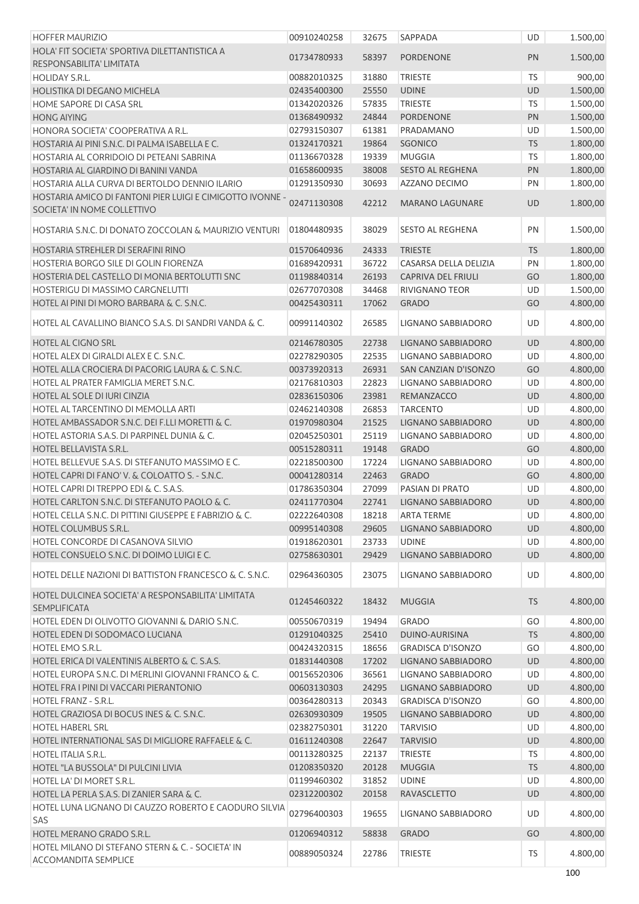| HOLA' FIT SOCIETA' SPORTIVA DILETTANTISTICA A<br>1.500,00<br>01734780933<br>58397<br><b>PORDENONE</b><br>PN<br>RESPONSABILITA' LIMITATA<br><b>HOLIDAY S.R.L.</b><br>00882010325<br>31880<br><b>TRIESTE</b><br>TS<br>UD<br>HOLISTIKA DI DEGANO MICHELA<br>02435400300<br>25550<br><b>UDINE</b><br>57835<br><b>TRIESTE</b><br><b>TS</b><br>1.500,00<br>HOME SAPORE DI CASA SRL<br>01342020326<br>PN<br>1.500,00<br>01368490932<br>24844<br>PORDENONE<br><b>HONG AIYING</b><br>HONORA SOCIETA' COOPERATIVA A R.L.<br>61381<br>1.500,00<br>02793150307<br>PRADAMANO<br>UD<br>19864<br><b>TS</b><br>1.800,00<br>HOSTARIA AI PINI S.N.C. DI PALMA ISABELLA E C.<br>01324170321<br><b>SGONICO</b><br>19339<br>TS<br>1.800,00<br>HOSTARIA AL CORRIDOIO DI PETEANI SABRINA<br>01136670328<br><b>MUGGIA</b><br>PN<br>HOSTARIA AL GIARDINO DI BANINI VANDA<br>38008<br><b>SESTO AL REGHENA</b><br>1.800,00<br>01658600935<br>HOSTARIA ALLA CURVA DI BERTOLDO DENNIO ILARIO<br>30693<br>PN<br>1.800,00<br>01291350930<br>AZZANO DECIMO<br>HOSTARIA AMICO DI FANTONI PIER LUIGI E CIMIGOTTO IVONNE -<br>02471130308<br>42212<br><b>MARANO LAGUNARE</b><br><b>UD</b><br>SOCIETA' IN NOME COLLETTIVO<br>HOSTARIA S.N.C. DI DONATO ZOCCOLAN & MAURIZIO VENTURI<br>01804480935<br>38029<br>PN<br>SESTO AL REGHENA<br>HOSTARIA STREHLER DI SERAFINI RINO<br>24333<br>01570640936<br><b>TRIESTE</b><br><b>TS</b><br>HOSTERIA BORGO SILE DI GOLIN FIORENZA<br>36722<br>PN<br>01689420931<br>CASARSA DELLA DELIZIA<br>HOSTERIA DEL CASTELLO DI MONIA BERTOLUTTI SNC<br>26193<br>01198840314<br>CAPRIVA DEL FRIULI<br>GO<br>HOSTERIGU DI MASSIMO CARGNELUTTI<br>34468<br><b>RIVIGNANO TEOR</b><br><b>UD</b><br>02677070308<br>HOTEL AI PINI DI MORO BARBARA & C. S.N.C.<br>00425430311<br>17062<br><b>GRADO</b><br>GO<br>HOTEL AL CAVALLINO BIANCO S.A.S. DI SANDRI VANDA & C.<br>00991140302<br>26585<br><b>UD</b><br>LIGNANO SABBIADORO<br><b>HOTEL AL CIGNO SRL</b><br>02146780305<br>22738<br>LIGNANO SABBIADORO<br>UD<br>HOTEL ALEX DI GIRALDI ALEX E C. S.N.C.<br>UD<br>02278290305<br>22535<br>LIGNANO SABBIADORO<br>HOTEL ALLA CROCIERA DI PACORIG LAURA & C. S.N.C.<br>26931<br>00373920313<br>SAN CANZIAN D'ISONZO<br>GO<br>HOTEL AL PRATER FAMIGLIA MERET S.N.C.<br>22823<br>UD<br>02176810303<br>LIGNANO SABBIADORO<br>HOTEL AL SOLE DI IURI CINZIA<br>23981<br>UD<br>02836150306<br>REMANZACCO<br>HOTEL AL TARCENTINO DI MEMOLLA ARTI<br>26853<br><b>TARCENTO</b><br>UD<br>02462140308<br>HOTEL AMBASSADOR S.N.C. DEI F.LLI MORETTI & C.<br>21525<br>UD<br>01970980304<br>LIGNANO SABBIADORO<br>HOTEL ASTORIA S.A.S. DI PARPINEL DUNIA & C.<br>25119<br>UD<br>02045250301<br>LIGNANO SABBIADORO<br>HOTEL BELLAVISTA S.R.L.<br>00515280311<br>19148<br><b>GRADO</b><br>GO<br>HOTEL BELLEVUE S.A.S. DI STEFANUTO MASSIMO E C.<br>17224<br>LIGNANO SABBIADORO<br>UD<br>02218500300<br>HOTEL CAPRI DI FANO' V. & COLOATTO S. - S.N.C.<br>00041280314<br>22463<br><b>GRADO</b><br>GO<br>27099<br>UD<br>HOTEL CAPRI DI TREPPO EDI & C. S.A.S.<br>01786350304<br>PASIAN DI PRATO<br><b>UD</b><br>02411770304<br>22741<br>LIGNANO SABBIADORO<br>HOTEL CARLTON S.N.C. DI STEFANUTO PAOLO & C.<br>HOTEL CELLA S.N.C. DI PITTINI GIUSEPPE E FABRIZIO & C.<br>02222640308<br>18218<br><b>ARTA TERME</b><br>UD<br>UD<br>HOTEL COLUMBUS S.R.L.<br>00995140308<br>29605<br>LIGNANO SABBIADORO<br><b>UDINE</b><br><b>UD</b><br>HOTEL CONCORDE DI CASANOVA SILVIO<br>01918620301<br>23733<br>HOTEL CONSUELO S.N.C. DI DOIMO LUIGI E C.<br>02758630301<br>29429<br><b>LIGNANO SABBIADORO</b><br><b>UD</b><br>HOTEL DELLE NAZIONI DI BATTISTON FRANCESCO & C. S.N.C.<br><b>UD</b><br>02964360305<br>23075<br>LIGNANO SABBIADORO<br>HOTEL DULCINEA SOCIETA' A RESPONSABILITA' LIMITATA<br>01245460322<br><b>MUGGIA</b><br>18432<br>TS<br><b>SEMPLIFICATA</b><br>HOTEL EDEN DI OLIVOTTO GIOVANNI & DARIO S.N.C.<br>00550670319<br>19494<br><b>GRADO</b><br>GO<br>HOTEL EDEN DI SODOMACO LUCIANA<br><b>TS</b><br>01291040325<br>25410<br>DUINO-AURISINA<br>HOTEL EMO S.R.L.<br>18656<br>GO<br>00424320315<br><b>GRADISCA D'ISONZO</b><br>HOTEL ERICA DI VALENTINIS ALBERTO & C. S.A.S.<br>01831440308<br>17202<br>LIGNANO SABBIADORO<br><b>UD</b><br>HOTEL EUROPA S.N.C. DI MERLINI GIOVANNI FRANCO & C.<br><b>UD</b><br>00156520306<br>36561<br>LIGNANO SABBIADORO<br>HOTEL FRA I PINI DI VACCARI PIERANTONIO<br>00603130303<br>24295<br>LIGNANO SABBIADORO<br><b>UD</b><br>HOTEL FRANZ - S.R.L.<br><b>GRADISCA D'ISONZO</b><br>00364280313<br>20343<br>GO<br>HOTEL GRAZIOSA DI BOCUS INES & C. S.N.C.<br>02630930309<br>19505<br>LIGNANO SABBIADORO<br><b>UD</b><br><b>HOTEL HABERL SRL</b><br><b>UD</b><br>02382750301<br>31220<br><b>TARVISIO</b><br>HOTEL INTERNATIONAL SAS DI MIGLIORE RAFFAELE & C.<br>01611240308<br>22647<br><b>TARVISIO</b><br><b>UD</b><br>HOTEL ITALIA S.R.L.<br>00113280325<br>22137<br><b>TRIESTE</b><br>TS<br>HOTEL "LA BUSSOLA" DI PULCINI LIVIA<br>01208350320<br>20128<br><b>MUGGIA</b><br><b>TS</b><br>HOTEL LA' DI MORET S.R.L.<br>01199460302<br>31852<br><b>UDINE</b><br>UD<br>HOTEL LA PERLA S.A.S. DI ZANIER SARA & C.<br>02312200302<br>20158<br>RAVASCLETTO<br><b>UD</b><br>HOTEL LUNA LIGNANO DI CAUZZO ROBERTO E CAODURO SILVIA<br>02796400303<br>19655<br>LIGNANO SABBIADORO<br>UD<br>SAS<br>HOTEL MERANO GRADO S.R.L.<br>01206940312<br>58838<br><b>GRADO</b><br>GO | <b>HOFFER MAURIZIO</b>                           | 00910240258 | 32675 | SAPPADA | <b>UD</b> | 1.500,00 |
|------------------------------------------------------------------------------------------------------------------------------------------------------------------------------------------------------------------------------------------------------------------------------------------------------------------------------------------------------------------------------------------------------------------------------------------------------------------------------------------------------------------------------------------------------------------------------------------------------------------------------------------------------------------------------------------------------------------------------------------------------------------------------------------------------------------------------------------------------------------------------------------------------------------------------------------------------------------------------------------------------------------------------------------------------------------------------------------------------------------------------------------------------------------------------------------------------------------------------------------------------------------------------------------------------------------------------------------------------------------------------------------------------------------------------------------------------------------------------------------------------------------------------------------------------------------------------------------------------------------------------------------------------------------------------------------------------------------------------------------------------------------------------------------------------------------------------------------------------------------------------------------------------------------------------------------------------------------------------------------------------------------------------------------------------------------------------------------------------------------------------------------------------------------------------------------------------------------------------------------------------------------------------------------------------------------------------------------------------------------------------------------------------------------------------------------------------------------------------------------------------------------------------------------------------------------------------------------------------------------------------------------------------------------------------------------------------------------------------------------------------------------------------------------------------------------------------------------------------------------------------------------------------------------------------------------------------------------------------------------------------------------------------------------------------------------------------------------------------------------------------------------------------------------------------------------------------------------------------------------------------------------------------------------------------------------------------------------------------------------------------------------------------------------------------------------------------------------------------------------------------------------------------------------------------------------------------------------------------------------------------------------------------------------------------------------------------------------------------------------------------------------------------------------------------------------------------------------------------------------------------------------------------------------------------------------------------------------------------------------------------------------------------------------------------------------------------------------------------------------------------------------------------------------------------------------------------------------------------------------------------------------------------------------------------------------------------------------------------------------------------------------------------------------------------------------------------------------------------------------------------------------------------------------------------------------------------------------------------------------------------------------------------------------------------------------------------------------------------------------------------------------------------------------------------------------------------------------------------------------------------------------------------------------------------------------------------------------------------------------------------------------------------------------------------------------------------------------------------------------------------------------------------------------------------------------------------------------------------------------------------------------------------------------------------------------------------------------------------------------------------------|--------------------------------------------------|-------------|-------|---------|-----------|----------|
|                                                                                                                                                                                                                                                                                                                                                                                                                                                                                                                                                                                                                                                                                                                                                                                                                                                                                                                                                                                                                                                                                                                                                                                                                                                                                                                                                                                                                                                                                                                                                                                                                                                                                                                                                                                                                                                                                                                                                                                                                                                                                                                                                                                                                                                                                                                                                                                                                                                                                                                                                                                                                                                                                                                                                                                                                                                                                                                                                                                                                                                                                                                                                                                                                                                                                                                                                                                                                                                                                                                                                                                                                                                                                                                                                                                                                                                                                                                                                                                                                                                                                                                                                                                                                                                                                                                                                                                                                                                                                                                                                                                                                                                                                                                                                                                                                                                                                                                                                                                                                                                                                                                                                                                                                                                                                                                                                                                    |                                                  |             |       |         |           |          |
|                                                                                                                                                                                                                                                                                                                                                                                                                                                                                                                                                                                                                                                                                                                                                                                                                                                                                                                                                                                                                                                                                                                                                                                                                                                                                                                                                                                                                                                                                                                                                                                                                                                                                                                                                                                                                                                                                                                                                                                                                                                                                                                                                                                                                                                                                                                                                                                                                                                                                                                                                                                                                                                                                                                                                                                                                                                                                                                                                                                                                                                                                                                                                                                                                                                                                                                                                                                                                                                                                                                                                                                                                                                                                                                                                                                                                                                                                                                                                                                                                                                                                                                                                                                                                                                                                                                                                                                                                                                                                                                                                                                                                                                                                                                                                                                                                                                                                                                                                                                                                                                                                                                                                                                                                                                                                                                                                                                    |                                                  |             |       |         |           |          |
|                                                                                                                                                                                                                                                                                                                                                                                                                                                                                                                                                                                                                                                                                                                                                                                                                                                                                                                                                                                                                                                                                                                                                                                                                                                                                                                                                                                                                                                                                                                                                                                                                                                                                                                                                                                                                                                                                                                                                                                                                                                                                                                                                                                                                                                                                                                                                                                                                                                                                                                                                                                                                                                                                                                                                                                                                                                                                                                                                                                                                                                                                                                                                                                                                                                                                                                                                                                                                                                                                                                                                                                                                                                                                                                                                                                                                                                                                                                                                                                                                                                                                                                                                                                                                                                                                                                                                                                                                                                                                                                                                                                                                                                                                                                                                                                                                                                                                                                                                                                                                                                                                                                                                                                                                                                                                                                                                                                    |                                                  |             |       |         |           | 900,00   |
|                                                                                                                                                                                                                                                                                                                                                                                                                                                                                                                                                                                                                                                                                                                                                                                                                                                                                                                                                                                                                                                                                                                                                                                                                                                                                                                                                                                                                                                                                                                                                                                                                                                                                                                                                                                                                                                                                                                                                                                                                                                                                                                                                                                                                                                                                                                                                                                                                                                                                                                                                                                                                                                                                                                                                                                                                                                                                                                                                                                                                                                                                                                                                                                                                                                                                                                                                                                                                                                                                                                                                                                                                                                                                                                                                                                                                                                                                                                                                                                                                                                                                                                                                                                                                                                                                                                                                                                                                                                                                                                                                                                                                                                                                                                                                                                                                                                                                                                                                                                                                                                                                                                                                                                                                                                                                                                                                                                    |                                                  |             |       |         |           | 1.500,00 |
|                                                                                                                                                                                                                                                                                                                                                                                                                                                                                                                                                                                                                                                                                                                                                                                                                                                                                                                                                                                                                                                                                                                                                                                                                                                                                                                                                                                                                                                                                                                                                                                                                                                                                                                                                                                                                                                                                                                                                                                                                                                                                                                                                                                                                                                                                                                                                                                                                                                                                                                                                                                                                                                                                                                                                                                                                                                                                                                                                                                                                                                                                                                                                                                                                                                                                                                                                                                                                                                                                                                                                                                                                                                                                                                                                                                                                                                                                                                                                                                                                                                                                                                                                                                                                                                                                                                                                                                                                                                                                                                                                                                                                                                                                                                                                                                                                                                                                                                                                                                                                                                                                                                                                                                                                                                                                                                                                                                    |                                                  |             |       |         |           |          |
|                                                                                                                                                                                                                                                                                                                                                                                                                                                                                                                                                                                                                                                                                                                                                                                                                                                                                                                                                                                                                                                                                                                                                                                                                                                                                                                                                                                                                                                                                                                                                                                                                                                                                                                                                                                                                                                                                                                                                                                                                                                                                                                                                                                                                                                                                                                                                                                                                                                                                                                                                                                                                                                                                                                                                                                                                                                                                                                                                                                                                                                                                                                                                                                                                                                                                                                                                                                                                                                                                                                                                                                                                                                                                                                                                                                                                                                                                                                                                                                                                                                                                                                                                                                                                                                                                                                                                                                                                                                                                                                                                                                                                                                                                                                                                                                                                                                                                                                                                                                                                                                                                                                                                                                                                                                                                                                                                                                    |                                                  |             |       |         |           |          |
|                                                                                                                                                                                                                                                                                                                                                                                                                                                                                                                                                                                                                                                                                                                                                                                                                                                                                                                                                                                                                                                                                                                                                                                                                                                                                                                                                                                                                                                                                                                                                                                                                                                                                                                                                                                                                                                                                                                                                                                                                                                                                                                                                                                                                                                                                                                                                                                                                                                                                                                                                                                                                                                                                                                                                                                                                                                                                                                                                                                                                                                                                                                                                                                                                                                                                                                                                                                                                                                                                                                                                                                                                                                                                                                                                                                                                                                                                                                                                                                                                                                                                                                                                                                                                                                                                                                                                                                                                                                                                                                                                                                                                                                                                                                                                                                                                                                                                                                                                                                                                                                                                                                                                                                                                                                                                                                                                                                    |                                                  |             |       |         |           |          |
|                                                                                                                                                                                                                                                                                                                                                                                                                                                                                                                                                                                                                                                                                                                                                                                                                                                                                                                                                                                                                                                                                                                                                                                                                                                                                                                                                                                                                                                                                                                                                                                                                                                                                                                                                                                                                                                                                                                                                                                                                                                                                                                                                                                                                                                                                                                                                                                                                                                                                                                                                                                                                                                                                                                                                                                                                                                                                                                                                                                                                                                                                                                                                                                                                                                                                                                                                                                                                                                                                                                                                                                                                                                                                                                                                                                                                                                                                                                                                                                                                                                                                                                                                                                                                                                                                                                                                                                                                                                                                                                                                                                                                                                                                                                                                                                                                                                                                                                                                                                                                                                                                                                                                                                                                                                                                                                                                                                    |                                                  |             |       |         |           |          |
|                                                                                                                                                                                                                                                                                                                                                                                                                                                                                                                                                                                                                                                                                                                                                                                                                                                                                                                                                                                                                                                                                                                                                                                                                                                                                                                                                                                                                                                                                                                                                                                                                                                                                                                                                                                                                                                                                                                                                                                                                                                                                                                                                                                                                                                                                                                                                                                                                                                                                                                                                                                                                                                                                                                                                                                                                                                                                                                                                                                                                                                                                                                                                                                                                                                                                                                                                                                                                                                                                                                                                                                                                                                                                                                                                                                                                                                                                                                                                                                                                                                                                                                                                                                                                                                                                                                                                                                                                                                                                                                                                                                                                                                                                                                                                                                                                                                                                                                                                                                                                                                                                                                                                                                                                                                                                                                                                                                    |                                                  |             |       |         |           |          |
|                                                                                                                                                                                                                                                                                                                                                                                                                                                                                                                                                                                                                                                                                                                                                                                                                                                                                                                                                                                                                                                                                                                                                                                                                                                                                                                                                                                                                                                                                                                                                                                                                                                                                                                                                                                                                                                                                                                                                                                                                                                                                                                                                                                                                                                                                                                                                                                                                                                                                                                                                                                                                                                                                                                                                                                                                                                                                                                                                                                                                                                                                                                                                                                                                                                                                                                                                                                                                                                                                                                                                                                                                                                                                                                                                                                                                                                                                                                                                                                                                                                                                                                                                                                                                                                                                                                                                                                                                                                                                                                                                                                                                                                                                                                                                                                                                                                                                                                                                                                                                                                                                                                                                                                                                                                                                                                                                                                    |                                                  |             |       |         |           |          |
|                                                                                                                                                                                                                                                                                                                                                                                                                                                                                                                                                                                                                                                                                                                                                                                                                                                                                                                                                                                                                                                                                                                                                                                                                                                                                                                                                                                                                                                                                                                                                                                                                                                                                                                                                                                                                                                                                                                                                                                                                                                                                                                                                                                                                                                                                                                                                                                                                                                                                                                                                                                                                                                                                                                                                                                                                                                                                                                                                                                                                                                                                                                                                                                                                                                                                                                                                                                                                                                                                                                                                                                                                                                                                                                                                                                                                                                                                                                                                                                                                                                                                                                                                                                                                                                                                                                                                                                                                                                                                                                                                                                                                                                                                                                                                                                                                                                                                                                                                                                                                                                                                                                                                                                                                                                                                                                                                                                    |                                                  |             |       |         |           |          |
|                                                                                                                                                                                                                                                                                                                                                                                                                                                                                                                                                                                                                                                                                                                                                                                                                                                                                                                                                                                                                                                                                                                                                                                                                                                                                                                                                                                                                                                                                                                                                                                                                                                                                                                                                                                                                                                                                                                                                                                                                                                                                                                                                                                                                                                                                                                                                                                                                                                                                                                                                                                                                                                                                                                                                                                                                                                                                                                                                                                                                                                                                                                                                                                                                                                                                                                                                                                                                                                                                                                                                                                                                                                                                                                                                                                                                                                                                                                                                                                                                                                                                                                                                                                                                                                                                                                                                                                                                                                                                                                                                                                                                                                                                                                                                                                                                                                                                                                                                                                                                                                                                                                                                                                                                                                                                                                                                                                    |                                                  |             |       |         |           | 1.800,00 |
|                                                                                                                                                                                                                                                                                                                                                                                                                                                                                                                                                                                                                                                                                                                                                                                                                                                                                                                                                                                                                                                                                                                                                                                                                                                                                                                                                                                                                                                                                                                                                                                                                                                                                                                                                                                                                                                                                                                                                                                                                                                                                                                                                                                                                                                                                                                                                                                                                                                                                                                                                                                                                                                                                                                                                                                                                                                                                                                                                                                                                                                                                                                                                                                                                                                                                                                                                                                                                                                                                                                                                                                                                                                                                                                                                                                                                                                                                                                                                                                                                                                                                                                                                                                                                                                                                                                                                                                                                                                                                                                                                                                                                                                                                                                                                                                                                                                                                                                                                                                                                                                                                                                                                                                                                                                                                                                                                                                    |                                                  |             |       |         |           | 1.500,00 |
|                                                                                                                                                                                                                                                                                                                                                                                                                                                                                                                                                                                                                                                                                                                                                                                                                                                                                                                                                                                                                                                                                                                                                                                                                                                                                                                                                                                                                                                                                                                                                                                                                                                                                                                                                                                                                                                                                                                                                                                                                                                                                                                                                                                                                                                                                                                                                                                                                                                                                                                                                                                                                                                                                                                                                                                                                                                                                                                                                                                                                                                                                                                                                                                                                                                                                                                                                                                                                                                                                                                                                                                                                                                                                                                                                                                                                                                                                                                                                                                                                                                                                                                                                                                                                                                                                                                                                                                                                                                                                                                                                                                                                                                                                                                                                                                                                                                                                                                                                                                                                                                                                                                                                                                                                                                                                                                                                                                    |                                                  |             |       |         |           | 1.800,00 |
|                                                                                                                                                                                                                                                                                                                                                                                                                                                                                                                                                                                                                                                                                                                                                                                                                                                                                                                                                                                                                                                                                                                                                                                                                                                                                                                                                                                                                                                                                                                                                                                                                                                                                                                                                                                                                                                                                                                                                                                                                                                                                                                                                                                                                                                                                                                                                                                                                                                                                                                                                                                                                                                                                                                                                                                                                                                                                                                                                                                                                                                                                                                                                                                                                                                                                                                                                                                                                                                                                                                                                                                                                                                                                                                                                                                                                                                                                                                                                                                                                                                                                                                                                                                                                                                                                                                                                                                                                                                                                                                                                                                                                                                                                                                                                                                                                                                                                                                                                                                                                                                                                                                                                                                                                                                                                                                                                                                    |                                                  |             |       |         |           | 1.800,00 |
|                                                                                                                                                                                                                                                                                                                                                                                                                                                                                                                                                                                                                                                                                                                                                                                                                                                                                                                                                                                                                                                                                                                                                                                                                                                                                                                                                                                                                                                                                                                                                                                                                                                                                                                                                                                                                                                                                                                                                                                                                                                                                                                                                                                                                                                                                                                                                                                                                                                                                                                                                                                                                                                                                                                                                                                                                                                                                                                                                                                                                                                                                                                                                                                                                                                                                                                                                                                                                                                                                                                                                                                                                                                                                                                                                                                                                                                                                                                                                                                                                                                                                                                                                                                                                                                                                                                                                                                                                                                                                                                                                                                                                                                                                                                                                                                                                                                                                                                                                                                                                                                                                                                                                                                                                                                                                                                                                                                    |                                                  |             |       |         |           | 1.800,00 |
|                                                                                                                                                                                                                                                                                                                                                                                                                                                                                                                                                                                                                                                                                                                                                                                                                                                                                                                                                                                                                                                                                                                                                                                                                                                                                                                                                                                                                                                                                                                                                                                                                                                                                                                                                                                                                                                                                                                                                                                                                                                                                                                                                                                                                                                                                                                                                                                                                                                                                                                                                                                                                                                                                                                                                                                                                                                                                                                                                                                                                                                                                                                                                                                                                                                                                                                                                                                                                                                                                                                                                                                                                                                                                                                                                                                                                                                                                                                                                                                                                                                                                                                                                                                                                                                                                                                                                                                                                                                                                                                                                                                                                                                                                                                                                                                                                                                                                                                                                                                                                                                                                                                                                                                                                                                                                                                                                                                    |                                                  |             |       |         |           | 1.500,00 |
|                                                                                                                                                                                                                                                                                                                                                                                                                                                                                                                                                                                                                                                                                                                                                                                                                                                                                                                                                                                                                                                                                                                                                                                                                                                                                                                                                                                                                                                                                                                                                                                                                                                                                                                                                                                                                                                                                                                                                                                                                                                                                                                                                                                                                                                                                                                                                                                                                                                                                                                                                                                                                                                                                                                                                                                                                                                                                                                                                                                                                                                                                                                                                                                                                                                                                                                                                                                                                                                                                                                                                                                                                                                                                                                                                                                                                                                                                                                                                                                                                                                                                                                                                                                                                                                                                                                                                                                                                                                                                                                                                                                                                                                                                                                                                                                                                                                                                                                                                                                                                                                                                                                                                                                                                                                                                                                                                                                    |                                                  |             |       |         |           | 4.800,00 |
|                                                                                                                                                                                                                                                                                                                                                                                                                                                                                                                                                                                                                                                                                                                                                                                                                                                                                                                                                                                                                                                                                                                                                                                                                                                                                                                                                                                                                                                                                                                                                                                                                                                                                                                                                                                                                                                                                                                                                                                                                                                                                                                                                                                                                                                                                                                                                                                                                                                                                                                                                                                                                                                                                                                                                                                                                                                                                                                                                                                                                                                                                                                                                                                                                                                                                                                                                                                                                                                                                                                                                                                                                                                                                                                                                                                                                                                                                                                                                                                                                                                                                                                                                                                                                                                                                                                                                                                                                                                                                                                                                                                                                                                                                                                                                                                                                                                                                                                                                                                                                                                                                                                                                                                                                                                                                                                                                                                    |                                                  |             |       |         |           | 4.800,00 |
|                                                                                                                                                                                                                                                                                                                                                                                                                                                                                                                                                                                                                                                                                                                                                                                                                                                                                                                                                                                                                                                                                                                                                                                                                                                                                                                                                                                                                                                                                                                                                                                                                                                                                                                                                                                                                                                                                                                                                                                                                                                                                                                                                                                                                                                                                                                                                                                                                                                                                                                                                                                                                                                                                                                                                                                                                                                                                                                                                                                                                                                                                                                                                                                                                                                                                                                                                                                                                                                                                                                                                                                                                                                                                                                                                                                                                                                                                                                                                                                                                                                                                                                                                                                                                                                                                                                                                                                                                                                                                                                                                                                                                                                                                                                                                                                                                                                                                                                                                                                                                                                                                                                                                                                                                                                                                                                                                                                    |                                                  |             |       |         |           | 4.800,00 |
|                                                                                                                                                                                                                                                                                                                                                                                                                                                                                                                                                                                                                                                                                                                                                                                                                                                                                                                                                                                                                                                                                                                                                                                                                                                                                                                                                                                                                                                                                                                                                                                                                                                                                                                                                                                                                                                                                                                                                                                                                                                                                                                                                                                                                                                                                                                                                                                                                                                                                                                                                                                                                                                                                                                                                                                                                                                                                                                                                                                                                                                                                                                                                                                                                                                                                                                                                                                                                                                                                                                                                                                                                                                                                                                                                                                                                                                                                                                                                                                                                                                                                                                                                                                                                                                                                                                                                                                                                                                                                                                                                                                                                                                                                                                                                                                                                                                                                                                                                                                                                                                                                                                                                                                                                                                                                                                                                                                    |                                                  |             |       |         |           | 4.800,00 |
|                                                                                                                                                                                                                                                                                                                                                                                                                                                                                                                                                                                                                                                                                                                                                                                                                                                                                                                                                                                                                                                                                                                                                                                                                                                                                                                                                                                                                                                                                                                                                                                                                                                                                                                                                                                                                                                                                                                                                                                                                                                                                                                                                                                                                                                                                                                                                                                                                                                                                                                                                                                                                                                                                                                                                                                                                                                                                                                                                                                                                                                                                                                                                                                                                                                                                                                                                                                                                                                                                                                                                                                                                                                                                                                                                                                                                                                                                                                                                                                                                                                                                                                                                                                                                                                                                                                                                                                                                                                                                                                                                                                                                                                                                                                                                                                                                                                                                                                                                                                                                                                                                                                                                                                                                                                                                                                                                                                    |                                                  |             |       |         |           | 4.800,00 |
|                                                                                                                                                                                                                                                                                                                                                                                                                                                                                                                                                                                                                                                                                                                                                                                                                                                                                                                                                                                                                                                                                                                                                                                                                                                                                                                                                                                                                                                                                                                                                                                                                                                                                                                                                                                                                                                                                                                                                                                                                                                                                                                                                                                                                                                                                                                                                                                                                                                                                                                                                                                                                                                                                                                                                                                                                                                                                                                                                                                                                                                                                                                                                                                                                                                                                                                                                                                                                                                                                                                                                                                                                                                                                                                                                                                                                                                                                                                                                                                                                                                                                                                                                                                                                                                                                                                                                                                                                                                                                                                                                                                                                                                                                                                                                                                                                                                                                                                                                                                                                                                                                                                                                                                                                                                                                                                                                                                    |                                                  |             |       |         |           | 4.800,00 |
|                                                                                                                                                                                                                                                                                                                                                                                                                                                                                                                                                                                                                                                                                                                                                                                                                                                                                                                                                                                                                                                                                                                                                                                                                                                                                                                                                                                                                                                                                                                                                                                                                                                                                                                                                                                                                                                                                                                                                                                                                                                                                                                                                                                                                                                                                                                                                                                                                                                                                                                                                                                                                                                                                                                                                                                                                                                                                                                                                                                                                                                                                                                                                                                                                                                                                                                                                                                                                                                                                                                                                                                                                                                                                                                                                                                                                                                                                                                                                                                                                                                                                                                                                                                                                                                                                                                                                                                                                                                                                                                                                                                                                                                                                                                                                                                                                                                                                                                                                                                                                                                                                                                                                                                                                                                                                                                                                                                    |                                                  |             |       |         |           | 4.800,00 |
|                                                                                                                                                                                                                                                                                                                                                                                                                                                                                                                                                                                                                                                                                                                                                                                                                                                                                                                                                                                                                                                                                                                                                                                                                                                                                                                                                                                                                                                                                                                                                                                                                                                                                                                                                                                                                                                                                                                                                                                                                                                                                                                                                                                                                                                                                                                                                                                                                                                                                                                                                                                                                                                                                                                                                                                                                                                                                                                                                                                                                                                                                                                                                                                                                                                                                                                                                                                                                                                                                                                                                                                                                                                                                                                                                                                                                                                                                                                                                                                                                                                                                                                                                                                                                                                                                                                                                                                                                                                                                                                                                                                                                                                                                                                                                                                                                                                                                                                                                                                                                                                                                                                                                                                                                                                                                                                                                                                    |                                                  |             |       |         |           | 4.800,00 |
|                                                                                                                                                                                                                                                                                                                                                                                                                                                                                                                                                                                                                                                                                                                                                                                                                                                                                                                                                                                                                                                                                                                                                                                                                                                                                                                                                                                                                                                                                                                                                                                                                                                                                                                                                                                                                                                                                                                                                                                                                                                                                                                                                                                                                                                                                                                                                                                                                                                                                                                                                                                                                                                                                                                                                                                                                                                                                                                                                                                                                                                                                                                                                                                                                                                                                                                                                                                                                                                                                                                                                                                                                                                                                                                                                                                                                                                                                                                                                                                                                                                                                                                                                                                                                                                                                                                                                                                                                                                                                                                                                                                                                                                                                                                                                                                                                                                                                                                                                                                                                                                                                                                                                                                                                                                                                                                                                                                    |                                                  |             |       |         |           | 4.800,00 |
|                                                                                                                                                                                                                                                                                                                                                                                                                                                                                                                                                                                                                                                                                                                                                                                                                                                                                                                                                                                                                                                                                                                                                                                                                                                                                                                                                                                                                                                                                                                                                                                                                                                                                                                                                                                                                                                                                                                                                                                                                                                                                                                                                                                                                                                                                                                                                                                                                                                                                                                                                                                                                                                                                                                                                                                                                                                                                                                                                                                                                                                                                                                                                                                                                                                                                                                                                                                                                                                                                                                                                                                                                                                                                                                                                                                                                                                                                                                                                                                                                                                                                                                                                                                                                                                                                                                                                                                                                                                                                                                                                                                                                                                                                                                                                                                                                                                                                                                                                                                                                                                                                                                                                                                                                                                                                                                                                                                    |                                                  |             |       |         |           | 4.800,00 |
|                                                                                                                                                                                                                                                                                                                                                                                                                                                                                                                                                                                                                                                                                                                                                                                                                                                                                                                                                                                                                                                                                                                                                                                                                                                                                                                                                                                                                                                                                                                                                                                                                                                                                                                                                                                                                                                                                                                                                                                                                                                                                                                                                                                                                                                                                                                                                                                                                                                                                                                                                                                                                                                                                                                                                                                                                                                                                                                                                                                                                                                                                                                                                                                                                                                                                                                                                                                                                                                                                                                                                                                                                                                                                                                                                                                                                                                                                                                                                                                                                                                                                                                                                                                                                                                                                                                                                                                                                                                                                                                                                                                                                                                                                                                                                                                                                                                                                                                                                                                                                                                                                                                                                                                                                                                                                                                                                                                    |                                                  |             |       |         |           | 4.800,00 |
|                                                                                                                                                                                                                                                                                                                                                                                                                                                                                                                                                                                                                                                                                                                                                                                                                                                                                                                                                                                                                                                                                                                                                                                                                                                                                                                                                                                                                                                                                                                                                                                                                                                                                                                                                                                                                                                                                                                                                                                                                                                                                                                                                                                                                                                                                                                                                                                                                                                                                                                                                                                                                                                                                                                                                                                                                                                                                                                                                                                                                                                                                                                                                                                                                                                                                                                                                                                                                                                                                                                                                                                                                                                                                                                                                                                                                                                                                                                                                                                                                                                                                                                                                                                                                                                                                                                                                                                                                                                                                                                                                                                                                                                                                                                                                                                                                                                                                                                                                                                                                                                                                                                                                                                                                                                                                                                                                                                    |                                                  |             |       |         |           | 4.800,00 |
|                                                                                                                                                                                                                                                                                                                                                                                                                                                                                                                                                                                                                                                                                                                                                                                                                                                                                                                                                                                                                                                                                                                                                                                                                                                                                                                                                                                                                                                                                                                                                                                                                                                                                                                                                                                                                                                                                                                                                                                                                                                                                                                                                                                                                                                                                                                                                                                                                                                                                                                                                                                                                                                                                                                                                                                                                                                                                                                                                                                                                                                                                                                                                                                                                                                                                                                                                                                                                                                                                                                                                                                                                                                                                                                                                                                                                                                                                                                                                                                                                                                                                                                                                                                                                                                                                                                                                                                                                                                                                                                                                                                                                                                                                                                                                                                                                                                                                                                                                                                                                                                                                                                                                                                                                                                                                                                                                                                    |                                                  |             |       |         |           | 4.800,00 |
|                                                                                                                                                                                                                                                                                                                                                                                                                                                                                                                                                                                                                                                                                                                                                                                                                                                                                                                                                                                                                                                                                                                                                                                                                                                                                                                                                                                                                                                                                                                                                                                                                                                                                                                                                                                                                                                                                                                                                                                                                                                                                                                                                                                                                                                                                                                                                                                                                                                                                                                                                                                                                                                                                                                                                                                                                                                                                                                                                                                                                                                                                                                                                                                                                                                                                                                                                                                                                                                                                                                                                                                                                                                                                                                                                                                                                                                                                                                                                                                                                                                                                                                                                                                                                                                                                                                                                                                                                                                                                                                                                                                                                                                                                                                                                                                                                                                                                                                                                                                                                                                                                                                                                                                                                                                                                                                                                                                    |                                                  |             |       |         |           | 4.800,00 |
|                                                                                                                                                                                                                                                                                                                                                                                                                                                                                                                                                                                                                                                                                                                                                                                                                                                                                                                                                                                                                                                                                                                                                                                                                                                                                                                                                                                                                                                                                                                                                                                                                                                                                                                                                                                                                                                                                                                                                                                                                                                                                                                                                                                                                                                                                                                                                                                                                                                                                                                                                                                                                                                                                                                                                                                                                                                                                                                                                                                                                                                                                                                                                                                                                                                                                                                                                                                                                                                                                                                                                                                                                                                                                                                                                                                                                                                                                                                                                                                                                                                                                                                                                                                                                                                                                                                                                                                                                                                                                                                                                                                                                                                                                                                                                                                                                                                                                                                                                                                                                                                                                                                                                                                                                                                                                                                                                                                    |                                                  |             |       |         |           | 4.800,00 |
|                                                                                                                                                                                                                                                                                                                                                                                                                                                                                                                                                                                                                                                                                                                                                                                                                                                                                                                                                                                                                                                                                                                                                                                                                                                                                                                                                                                                                                                                                                                                                                                                                                                                                                                                                                                                                                                                                                                                                                                                                                                                                                                                                                                                                                                                                                                                                                                                                                                                                                                                                                                                                                                                                                                                                                                                                                                                                                                                                                                                                                                                                                                                                                                                                                                                                                                                                                                                                                                                                                                                                                                                                                                                                                                                                                                                                                                                                                                                                                                                                                                                                                                                                                                                                                                                                                                                                                                                                                                                                                                                                                                                                                                                                                                                                                                                                                                                                                                                                                                                                                                                                                                                                                                                                                                                                                                                                                                    |                                                  |             |       |         |           | 4.800,00 |
|                                                                                                                                                                                                                                                                                                                                                                                                                                                                                                                                                                                                                                                                                                                                                                                                                                                                                                                                                                                                                                                                                                                                                                                                                                                                                                                                                                                                                                                                                                                                                                                                                                                                                                                                                                                                                                                                                                                                                                                                                                                                                                                                                                                                                                                                                                                                                                                                                                                                                                                                                                                                                                                                                                                                                                                                                                                                                                                                                                                                                                                                                                                                                                                                                                                                                                                                                                                                                                                                                                                                                                                                                                                                                                                                                                                                                                                                                                                                                                                                                                                                                                                                                                                                                                                                                                                                                                                                                                                                                                                                                                                                                                                                                                                                                                                                                                                                                                                                                                                                                                                                                                                                                                                                                                                                                                                                                                                    |                                                  |             |       |         |           | 4.800,00 |
|                                                                                                                                                                                                                                                                                                                                                                                                                                                                                                                                                                                                                                                                                                                                                                                                                                                                                                                                                                                                                                                                                                                                                                                                                                                                                                                                                                                                                                                                                                                                                                                                                                                                                                                                                                                                                                                                                                                                                                                                                                                                                                                                                                                                                                                                                                                                                                                                                                                                                                                                                                                                                                                                                                                                                                                                                                                                                                                                                                                                                                                                                                                                                                                                                                                                                                                                                                                                                                                                                                                                                                                                                                                                                                                                                                                                                                                                                                                                                                                                                                                                                                                                                                                                                                                                                                                                                                                                                                                                                                                                                                                                                                                                                                                                                                                                                                                                                                                                                                                                                                                                                                                                                                                                                                                                                                                                                                                    |                                                  |             |       |         |           | 4.800,00 |
|                                                                                                                                                                                                                                                                                                                                                                                                                                                                                                                                                                                                                                                                                                                                                                                                                                                                                                                                                                                                                                                                                                                                                                                                                                                                                                                                                                                                                                                                                                                                                                                                                                                                                                                                                                                                                                                                                                                                                                                                                                                                                                                                                                                                                                                                                                                                                                                                                                                                                                                                                                                                                                                                                                                                                                                                                                                                                                                                                                                                                                                                                                                                                                                                                                                                                                                                                                                                                                                                                                                                                                                                                                                                                                                                                                                                                                                                                                                                                                                                                                                                                                                                                                                                                                                                                                                                                                                                                                                                                                                                                                                                                                                                                                                                                                                                                                                                                                                                                                                                                                                                                                                                                                                                                                                                                                                                                                                    |                                                  |             |       |         |           | 4.800,00 |
|                                                                                                                                                                                                                                                                                                                                                                                                                                                                                                                                                                                                                                                                                                                                                                                                                                                                                                                                                                                                                                                                                                                                                                                                                                                                                                                                                                                                                                                                                                                                                                                                                                                                                                                                                                                                                                                                                                                                                                                                                                                                                                                                                                                                                                                                                                                                                                                                                                                                                                                                                                                                                                                                                                                                                                                                                                                                                                                                                                                                                                                                                                                                                                                                                                                                                                                                                                                                                                                                                                                                                                                                                                                                                                                                                                                                                                                                                                                                                                                                                                                                                                                                                                                                                                                                                                                                                                                                                                                                                                                                                                                                                                                                                                                                                                                                                                                                                                                                                                                                                                                                                                                                                                                                                                                                                                                                                                                    |                                                  |             |       |         |           | 4.800,00 |
|                                                                                                                                                                                                                                                                                                                                                                                                                                                                                                                                                                                                                                                                                                                                                                                                                                                                                                                                                                                                                                                                                                                                                                                                                                                                                                                                                                                                                                                                                                                                                                                                                                                                                                                                                                                                                                                                                                                                                                                                                                                                                                                                                                                                                                                                                                                                                                                                                                                                                                                                                                                                                                                                                                                                                                                                                                                                                                                                                                                                                                                                                                                                                                                                                                                                                                                                                                                                                                                                                                                                                                                                                                                                                                                                                                                                                                                                                                                                                                                                                                                                                                                                                                                                                                                                                                                                                                                                                                                                                                                                                                                                                                                                                                                                                                                                                                                                                                                                                                                                                                                                                                                                                                                                                                                                                                                                                                                    |                                                  |             |       |         |           | 4.800,00 |
|                                                                                                                                                                                                                                                                                                                                                                                                                                                                                                                                                                                                                                                                                                                                                                                                                                                                                                                                                                                                                                                                                                                                                                                                                                                                                                                                                                                                                                                                                                                                                                                                                                                                                                                                                                                                                                                                                                                                                                                                                                                                                                                                                                                                                                                                                                                                                                                                                                                                                                                                                                                                                                                                                                                                                                                                                                                                                                                                                                                                                                                                                                                                                                                                                                                                                                                                                                                                                                                                                                                                                                                                                                                                                                                                                                                                                                                                                                                                                                                                                                                                                                                                                                                                                                                                                                                                                                                                                                                                                                                                                                                                                                                                                                                                                                                                                                                                                                                                                                                                                                                                                                                                                                                                                                                                                                                                                                                    |                                                  |             |       |         |           | 4.800,00 |
|                                                                                                                                                                                                                                                                                                                                                                                                                                                                                                                                                                                                                                                                                                                                                                                                                                                                                                                                                                                                                                                                                                                                                                                                                                                                                                                                                                                                                                                                                                                                                                                                                                                                                                                                                                                                                                                                                                                                                                                                                                                                                                                                                                                                                                                                                                                                                                                                                                                                                                                                                                                                                                                                                                                                                                                                                                                                                                                                                                                                                                                                                                                                                                                                                                                                                                                                                                                                                                                                                                                                                                                                                                                                                                                                                                                                                                                                                                                                                                                                                                                                                                                                                                                                                                                                                                                                                                                                                                                                                                                                                                                                                                                                                                                                                                                                                                                                                                                                                                                                                                                                                                                                                                                                                                                                                                                                                                                    |                                                  |             |       |         |           | 4.800,00 |
|                                                                                                                                                                                                                                                                                                                                                                                                                                                                                                                                                                                                                                                                                                                                                                                                                                                                                                                                                                                                                                                                                                                                                                                                                                                                                                                                                                                                                                                                                                                                                                                                                                                                                                                                                                                                                                                                                                                                                                                                                                                                                                                                                                                                                                                                                                                                                                                                                                                                                                                                                                                                                                                                                                                                                                                                                                                                                                                                                                                                                                                                                                                                                                                                                                                                                                                                                                                                                                                                                                                                                                                                                                                                                                                                                                                                                                                                                                                                                                                                                                                                                                                                                                                                                                                                                                                                                                                                                                                                                                                                                                                                                                                                                                                                                                                                                                                                                                                                                                                                                                                                                                                                                                                                                                                                                                                                                                                    |                                                  |             |       |         |           | 4.800,00 |
|                                                                                                                                                                                                                                                                                                                                                                                                                                                                                                                                                                                                                                                                                                                                                                                                                                                                                                                                                                                                                                                                                                                                                                                                                                                                                                                                                                                                                                                                                                                                                                                                                                                                                                                                                                                                                                                                                                                                                                                                                                                                                                                                                                                                                                                                                                                                                                                                                                                                                                                                                                                                                                                                                                                                                                                                                                                                                                                                                                                                                                                                                                                                                                                                                                                                                                                                                                                                                                                                                                                                                                                                                                                                                                                                                                                                                                                                                                                                                                                                                                                                                                                                                                                                                                                                                                                                                                                                                                                                                                                                                                                                                                                                                                                                                                                                                                                                                                                                                                                                                                                                                                                                                                                                                                                                                                                                                                                    |                                                  |             |       |         |           | 4.800,00 |
|                                                                                                                                                                                                                                                                                                                                                                                                                                                                                                                                                                                                                                                                                                                                                                                                                                                                                                                                                                                                                                                                                                                                                                                                                                                                                                                                                                                                                                                                                                                                                                                                                                                                                                                                                                                                                                                                                                                                                                                                                                                                                                                                                                                                                                                                                                                                                                                                                                                                                                                                                                                                                                                                                                                                                                                                                                                                                                                                                                                                                                                                                                                                                                                                                                                                                                                                                                                                                                                                                                                                                                                                                                                                                                                                                                                                                                                                                                                                                                                                                                                                                                                                                                                                                                                                                                                                                                                                                                                                                                                                                                                                                                                                                                                                                                                                                                                                                                                                                                                                                                                                                                                                                                                                                                                                                                                                                                                    |                                                  |             |       |         |           | 4.800,00 |
|                                                                                                                                                                                                                                                                                                                                                                                                                                                                                                                                                                                                                                                                                                                                                                                                                                                                                                                                                                                                                                                                                                                                                                                                                                                                                                                                                                                                                                                                                                                                                                                                                                                                                                                                                                                                                                                                                                                                                                                                                                                                                                                                                                                                                                                                                                                                                                                                                                                                                                                                                                                                                                                                                                                                                                                                                                                                                                                                                                                                                                                                                                                                                                                                                                                                                                                                                                                                                                                                                                                                                                                                                                                                                                                                                                                                                                                                                                                                                                                                                                                                                                                                                                                                                                                                                                                                                                                                                                                                                                                                                                                                                                                                                                                                                                                                                                                                                                                                                                                                                                                                                                                                                                                                                                                                                                                                                                                    |                                                  |             |       |         |           | 4.800,00 |
|                                                                                                                                                                                                                                                                                                                                                                                                                                                                                                                                                                                                                                                                                                                                                                                                                                                                                                                                                                                                                                                                                                                                                                                                                                                                                                                                                                                                                                                                                                                                                                                                                                                                                                                                                                                                                                                                                                                                                                                                                                                                                                                                                                                                                                                                                                                                                                                                                                                                                                                                                                                                                                                                                                                                                                                                                                                                                                                                                                                                                                                                                                                                                                                                                                                                                                                                                                                                                                                                                                                                                                                                                                                                                                                                                                                                                                                                                                                                                                                                                                                                                                                                                                                                                                                                                                                                                                                                                                                                                                                                                                                                                                                                                                                                                                                                                                                                                                                                                                                                                                                                                                                                                                                                                                                                                                                                                                                    |                                                  |             |       |         |           | 4.800,00 |
|                                                                                                                                                                                                                                                                                                                                                                                                                                                                                                                                                                                                                                                                                                                                                                                                                                                                                                                                                                                                                                                                                                                                                                                                                                                                                                                                                                                                                                                                                                                                                                                                                                                                                                                                                                                                                                                                                                                                                                                                                                                                                                                                                                                                                                                                                                                                                                                                                                                                                                                                                                                                                                                                                                                                                                                                                                                                                                                                                                                                                                                                                                                                                                                                                                                                                                                                                                                                                                                                                                                                                                                                                                                                                                                                                                                                                                                                                                                                                                                                                                                                                                                                                                                                                                                                                                                                                                                                                                                                                                                                                                                                                                                                                                                                                                                                                                                                                                                                                                                                                                                                                                                                                                                                                                                                                                                                                                                    |                                                  |             |       |         |           | 4.800,00 |
|                                                                                                                                                                                                                                                                                                                                                                                                                                                                                                                                                                                                                                                                                                                                                                                                                                                                                                                                                                                                                                                                                                                                                                                                                                                                                                                                                                                                                                                                                                                                                                                                                                                                                                                                                                                                                                                                                                                                                                                                                                                                                                                                                                                                                                                                                                                                                                                                                                                                                                                                                                                                                                                                                                                                                                                                                                                                                                                                                                                                                                                                                                                                                                                                                                                                                                                                                                                                                                                                                                                                                                                                                                                                                                                                                                                                                                                                                                                                                                                                                                                                                                                                                                                                                                                                                                                                                                                                                                                                                                                                                                                                                                                                                                                                                                                                                                                                                                                                                                                                                                                                                                                                                                                                                                                                                                                                                                                    |                                                  |             |       |         |           | 4.800,00 |
|                                                                                                                                                                                                                                                                                                                                                                                                                                                                                                                                                                                                                                                                                                                                                                                                                                                                                                                                                                                                                                                                                                                                                                                                                                                                                                                                                                                                                                                                                                                                                                                                                                                                                                                                                                                                                                                                                                                                                                                                                                                                                                                                                                                                                                                                                                                                                                                                                                                                                                                                                                                                                                                                                                                                                                                                                                                                                                                                                                                                                                                                                                                                                                                                                                                                                                                                                                                                                                                                                                                                                                                                                                                                                                                                                                                                                                                                                                                                                                                                                                                                                                                                                                                                                                                                                                                                                                                                                                                                                                                                                                                                                                                                                                                                                                                                                                                                                                                                                                                                                                                                                                                                                                                                                                                                                                                                                                                    |                                                  |             |       |         |           | 4.800,00 |
|                                                                                                                                                                                                                                                                                                                                                                                                                                                                                                                                                                                                                                                                                                                                                                                                                                                                                                                                                                                                                                                                                                                                                                                                                                                                                                                                                                                                                                                                                                                                                                                                                                                                                                                                                                                                                                                                                                                                                                                                                                                                                                                                                                                                                                                                                                                                                                                                                                                                                                                                                                                                                                                                                                                                                                                                                                                                                                                                                                                                                                                                                                                                                                                                                                                                                                                                                                                                                                                                                                                                                                                                                                                                                                                                                                                                                                                                                                                                                                                                                                                                                                                                                                                                                                                                                                                                                                                                                                                                                                                                                                                                                                                                                                                                                                                                                                                                                                                                                                                                                                                                                                                                                                                                                                                                                                                                                                                    |                                                  |             |       |         |           | 4.800,00 |
|                                                                                                                                                                                                                                                                                                                                                                                                                                                                                                                                                                                                                                                                                                                                                                                                                                                                                                                                                                                                                                                                                                                                                                                                                                                                                                                                                                                                                                                                                                                                                                                                                                                                                                                                                                                                                                                                                                                                                                                                                                                                                                                                                                                                                                                                                                                                                                                                                                                                                                                                                                                                                                                                                                                                                                                                                                                                                                                                                                                                                                                                                                                                                                                                                                                                                                                                                                                                                                                                                                                                                                                                                                                                                                                                                                                                                                                                                                                                                                                                                                                                                                                                                                                                                                                                                                                                                                                                                                                                                                                                                                                                                                                                                                                                                                                                                                                                                                                                                                                                                                                                                                                                                                                                                                                                                                                                                                                    |                                                  |             |       |         |           | 4.800,00 |
|                                                                                                                                                                                                                                                                                                                                                                                                                                                                                                                                                                                                                                                                                                                                                                                                                                                                                                                                                                                                                                                                                                                                                                                                                                                                                                                                                                                                                                                                                                                                                                                                                                                                                                                                                                                                                                                                                                                                                                                                                                                                                                                                                                                                                                                                                                                                                                                                                                                                                                                                                                                                                                                                                                                                                                                                                                                                                                                                                                                                                                                                                                                                                                                                                                                                                                                                                                                                                                                                                                                                                                                                                                                                                                                                                                                                                                                                                                                                                                                                                                                                                                                                                                                                                                                                                                                                                                                                                                                                                                                                                                                                                                                                                                                                                                                                                                                                                                                                                                                                                                                                                                                                                                                                                                                                                                                                                                                    |                                                  |             |       |         |           | 4.800,00 |
|                                                                                                                                                                                                                                                                                                                                                                                                                                                                                                                                                                                                                                                                                                                                                                                                                                                                                                                                                                                                                                                                                                                                                                                                                                                                                                                                                                                                                                                                                                                                                                                                                                                                                                                                                                                                                                                                                                                                                                                                                                                                                                                                                                                                                                                                                                                                                                                                                                                                                                                                                                                                                                                                                                                                                                                                                                                                                                                                                                                                                                                                                                                                                                                                                                                                                                                                                                                                                                                                                                                                                                                                                                                                                                                                                                                                                                                                                                                                                                                                                                                                                                                                                                                                                                                                                                                                                                                                                                                                                                                                                                                                                                                                                                                                                                                                                                                                                                                                                                                                                                                                                                                                                                                                                                                                                                                                                                                    |                                                  |             |       |         |           | 4.800,00 |
|                                                                                                                                                                                                                                                                                                                                                                                                                                                                                                                                                                                                                                                                                                                                                                                                                                                                                                                                                                                                                                                                                                                                                                                                                                                                                                                                                                                                                                                                                                                                                                                                                                                                                                                                                                                                                                                                                                                                                                                                                                                                                                                                                                                                                                                                                                                                                                                                                                                                                                                                                                                                                                                                                                                                                                                                                                                                                                                                                                                                                                                                                                                                                                                                                                                                                                                                                                                                                                                                                                                                                                                                                                                                                                                                                                                                                                                                                                                                                                                                                                                                                                                                                                                                                                                                                                                                                                                                                                                                                                                                                                                                                                                                                                                                                                                                                                                                                                                                                                                                                                                                                                                                                                                                                                                                                                                                                                                    |                                                  |             |       |         |           | 4.800,00 |
|                                                                                                                                                                                                                                                                                                                                                                                                                                                                                                                                                                                                                                                                                                                                                                                                                                                                                                                                                                                                                                                                                                                                                                                                                                                                                                                                                                                                                                                                                                                                                                                                                                                                                                                                                                                                                                                                                                                                                                                                                                                                                                                                                                                                                                                                                                                                                                                                                                                                                                                                                                                                                                                                                                                                                                                                                                                                                                                                                                                                                                                                                                                                                                                                                                                                                                                                                                                                                                                                                                                                                                                                                                                                                                                                                                                                                                                                                                                                                                                                                                                                                                                                                                                                                                                                                                                                                                                                                                                                                                                                                                                                                                                                                                                                                                                                                                                                                                                                                                                                                                                                                                                                                                                                                                                                                                                                                                                    |                                                  |             |       |         |           | 4.800,00 |
|                                                                                                                                                                                                                                                                                                                                                                                                                                                                                                                                                                                                                                                                                                                                                                                                                                                                                                                                                                                                                                                                                                                                                                                                                                                                                                                                                                                                                                                                                                                                                                                                                                                                                                                                                                                                                                                                                                                                                                                                                                                                                                                                                                                                                                                                                                                                                                                                                                                                                                                                                                                                                                                                                                                                                                                                                                                                                                                                                                                                                                                                                                                                                                                                                                                                                                                                                                                                                                                                                                                                                                                                                                                                                                                                                                                                                                                                                                                                                                                                                                                                                                                                                                                                                                                                                                                                                                                                                                                                                                                                                                                                                                                                                                                                                                                                                                                                                                                                                                                                                                                                                                                                                                                                                                                                                                                                                                                    | HOTEL MILANO DI STEFANO STERN & C. - SOCIETA' IN |             |       |         |           |          |
| 00889050324<br>22786<br><b>TRIESTE</b><br>TS.<br><b>ACCOMANDITA SEMPLICE</b><br>100                                                                                                                                                                                                                                                                                                                                                                                                                                                                                                                                                                                                                                                                                                                                                                                                                                                                                                                                                                                                                                                                                                                                                                                                                                                                                                                                                                                                                                                                                                                                                                                                                                                                                                                                                                                                                                                                                                                                                                                                                                                                                                                                                                                                                                                                                                                                                                                                                                                                                                                                                                                                                                                                                                                                                                                                                                                                                                                                                                                                                                                                                                                                                                                                                                                                                                                                                                                                                                                                                                                                                                                                                                                                                                                                                                                                                                                                                                                                                                                                                                                                                                                                                                                                                                                                                                                                                                                                                                                                                                                                                                                                                                                                                                                                                                                                                                                                                                                                                                                                                                                                                                                                                                                                                                                                                                |                                                  |             |       |         |           | 4.800,00 |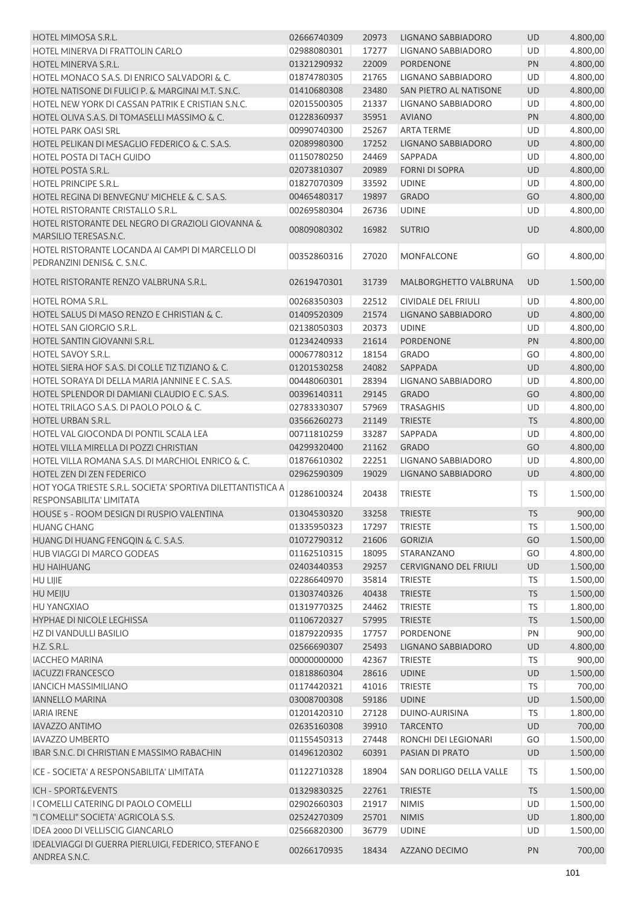| HOTEL MIMOSA S.R.L.                                                                     | 02666740309               | 20973 | LIGNANO SABBIADORO           | UD        | 4.800,00 |
|-----------------------------------------------------------------------------------------|---------------------------|-------|------------------------------|-----------|----------|
| <b>HOTEL MINERVA DI FRATTOLIN CARLO</b>                                                 | 02988080301               | 17277 | <b>LIGNANO SABBIADORO</b>    | UD        | 4.800,00 |
| HOTEL MINERVA S.R.L.                                                                    | 01321290932               | 22009 | <b>PORDENONE</b>             | PN        | 4.800,00 |
| HOTEL MONACO S.A.S. DI ENRICO SALVADORI & C.                                            | 01874780305               | 21765 | LIGNANO SABBIADORO           | <b>UD</b> | 4.800,00 |
| HOTEL NATISONE DI FULICI P. & MARGINAI M.T. S.N.C.                                      | 01410680308               | 23480 | SAN PIETRO AL NATISONE       | <b>UD</b> | 4.800,00 |
| HOTEL NEW YORK DI CASSAN PATRIK E CRISTIAN S.N.C.                                       | 02015500305               | 21337 | LIGNANO SABBIADORO           | <b>UD</b> | 4.800,00 |
| HOTEL OLIVA S.A.S. DI TOMASELLI MASSIMO & C.                                            | 01228360937               | 35951 | <b>AVIANO</b>                | PN        | 4.800,00 |
| <b>HOTEL PARK OASI SRL</b>                                                              | 00990740300               | 25267 | <b>ARTA TERME</b>            | <b>UD</b> | 4.800,00 |
| HOTEL PELIKAN DI MESAGLIO FEDERICO & C. S.A.S.                                          | 02089980300               | 17252 | LIGNANO SABBIADORO           | <b>UD</b> | 4.800,00 |
| HOTEL POSTA DI TACH GUIDO                                                               | 01150780250               | 24469 | SAPPADA                      | <b>UD</b> | 4.800,00 |
| HOTEL POSTA S.R.L.                                                                      | 02073810307               | 20989 | <b>FORNI DI SOPRA</b>        | UD        | 4.800,00 |
| <b>HOTEL PRINCIPE S.R.L.</b>                                                            | 01827070309               | 33592 | <b>UDINE</b>                 | <b>UD</b> | 4.800,00 |
| HOTEL REGINA DI BENVEGNU' MICHELE & C. S.A.S.                                           | 00465480317               | 19897 | <b>GRADO</b>                 | GO        | 4.800,00 |
| HOTEL RISTORANTE CRISTALLO S.R.L.                                                       | 00269580304               | 26736 | <b>UDINE</b>                 | <b>UD</b> | 4.800,00 |
| HOTEL RISTORANTE DEL NEGRO DI GRAZIOLI GIOVANNA &                                       |                           |       |                              |           |          |
| MARSILIO TERESAS.N.C.                                                                   | 00809080302               | 16982 | <b>SUTRIO</b>                | <b>UD</b> | 4.800,00 |
| HOTEL RISTORANTE LOCANDA AI CAMPI DI MARCELLO DI                                        | 00352860316               | 27020 | MONFALCONE                   | GO        | 4.800,00 |
| PEDRANZINI DENIS& C. S.N.C.                                                             |                           |       |                              |           |          |
| HOTEL RISTORANTE RENZO VALBRUNA S.R.L.                                                  | 02619470301               | 31739 | <b>MALBORGHETTO VALBRUNA</b> | UD        | 1.500,00 |
| <b>HOTEL ROMA S.R.L.</b>                                                                | 00268350303               | 22512 | <b>CIVIDALE DEL FRIULI</b>   | UD        | 4.800,00 |
| HOTEL SALUS DI MASO RENZO E CHRISTIAN & C.                                              | 01409520309               | 21574 | <b>LIGNANO SABBIADORO</b>    | <b>UD</b> | 4.800,00 |
| HOTEL SAN GIORGIO S.R.L.                                                                | 02138050303               | 20373 | <b>UDINE</b>                 | <b>UD</b> | 4.800,00 |
| HOTEL SANTIN GIOVANNI S.R.L.                                                            | 01234240933               | 21614 | <b>PORDENONE</b>             | PN        | 4.800,00 |
| <b>HOTEL SAVOY S.R.L.</b>                                                               | 00067780312               | 18154 | <b>GRADO</b>                 | GO        | 4.800,00 |
| HOTEL SIERA HOF S.A.S. DI COLLE TIZ TIZIANO & C.                                        | 01201530258               | 24082 | SAPPADA                      | <b>UD</b> | 4.800,00 |
| HOTEL SORAYA DI DELLA MARIA JANNINE E C. S.A.S.                                         | 00448060301               | 28394 | LIGNANO SABBIADORO           | <b>UD</b> | 4.800,00 |
| HOTEL SPLENDOR DI DAMIANI CLAUDIO E C. S.A.S.                                           | 00396140311               | 29145 | <b>GRADO</b>                 | GO        | 4.800,00 |
| HOTEL TRILAGO S.A.S. DI PAOLO POLO & C.                                                 | 02783330307               | 57969 | <b>TRASAGHIS</b>             | <b>UD</b> | 4.800,00 |
| HOTEL URBAN S.R.L.                                                                      | 03566260273               | 21149 | <b>TRIESTE</b>               | <b>TS</b> | 4.800,00 |
| HOTEL VAL GIOCONDA DI PONTIL SCALA LEA                                                  | 00711810259               | 33287 | SAPPADA                      | <b>UD</b> | 4.800,00 |
| HOTEL VILLA MIRELLA DI POZZI CHRISTIAN                                                  | 04299320400               | 21162 | <b>GRADO</b>                 | GO        | 4.800,00 |
| HOTEL VILLA ROMANA S.A.S. DI MARCHIOL ENRICO & C.                                       | 01876610302               | 22251 | LIGNANO SABBIADORO           | <b>UD</b> | 4.800,00 |
| HOTEL ZEN DI ZEN FEDERICO                                                               | 02962590309               | 19029 | LIGNANO SABBIADORO           | <b>UD</b> | 4.800,00 |
| HOT YOGA TRIESTE S.R.L. SOCIETA' SPORTIVA DILETTANTISTICA A<br>RESPONSABILITA' LIMITATA | 01286100324               | 20438 | <b>TRIESTE</b>               | <b>TS</b> | 1.500,00 |
| HOUSE 5 - ROOM DESIGN DI RUSPIO VALENTINA                                               | 01304530320 33258 TRIESTE |       |                              | <b>TS</b> | 900,00   |
| <b>HUANG CHANG</b>                                                                      | 01335950323               | 17297 | <b>TRIESTE</b>               | <b>TS</b> | 1.500,00 |
| HUANG DI HUANG FENGQIN & C. S.A.S.                                                      | 01072790312               | 21606 | <b>GORIZIA</b>               | GO        | 1.500,00 |
| <b>HUB VIAGGI DI MARCO GODEAS</b>                                                       | 01162510315               | 18095 | STARANZANO                   | GO        | 4.800,00 |
| HU HAIHUANG                                                                             | 02403440353               | 29257 | <b>CERVIGNANO DEL FRIULI</b> | UD        | 1.500,00 |
| <b>HU LIJIE</b>                                                                         | 02286640970               | 35814 | <b>TRIESTE</b>               | <b>TS</b> | 1.500,00 |
| HU MEIJU                                                                                | 01303740326               | 40438 | <b>TRIESTE</b>               | <b>TS</b> | 1.500,00 |
| <b>HU YANGXIAO</b>                                                                      | 01319770325               | 24462 | <b>TRIESTE</b>               | <b>TS</b> | 1.800,00 |
| HYPHAE DI NICOLE LEGHISSA                                                               | 01106720327               | 57995 | <b>TRIESTE</b>               | <b>TS</b> | 1.500,00 |
| <b>HZ DI VANDULLI BASILIO</b>                                                           | 01879220935               | 17757 | PORDENONE                    | PN        | 900,00   |
| <b>H.Z. S.R.L.</b>                                                                      | 02566690307               | 25493 | LIGNANO SABBIADORO           | UD        | 4.800,00 |
|                                                                                         |                           |       |                              |           |          |
| <b>IACCHEO MARINA</b>                                                                   | 00000000000               | 42367 | <b>TRIESTE</b>               | <b>TS</b> | 900,00   |
| <b>IACUZZI FRANCESCO</b><br><b>IANCICH MASSIMILIANO</b>                                 | 01818860304               | 28616 | <b>UDINE</b>                 | UD        | 1.500,00 |
|                                                                                         | 01174420321               | 41016 | <b>TRIESTE</b>               | <b>TS</b> | 700,00   |
| <b>IANNELLO MARINA</b>                                                                  | 03008700308               | 59186 | <b>UDINE</b>                 | UD        | 1.500,00 |
| <b>IARIA IRENE</b>                                                                      | 01201420310               | 27128 | DUINO-AURISINA               | TS        | 1.800,00 |
| <b>IAVAZZO ANTIMO</b>                                                                   | 02635160308               | 39910 | <b>TARCENTO</b>              | UD        | 700,00   |
| <b>IAVAZZO UMBERTO</b>                                                                  | 01155450313               | 27448 | RONCHI DEI LEGIONARI         | GO        | 1.500,00 |
| IBAR S.N.C. DI CHRISTIAN E MASSIMO RABACHIN                                             | 01496120302               | 60391 | PASIAN DI PRATO              | UD        | 1.500,00 |
| ICE - SOCIETA' A RESPONSABILITA' LIMITATA                                               | 01122710328               | 18904 | SAN DORLIGO DELLA VALLE      | TS        | 1.500,00 |
| <b>ICH - SPORT&amp;EVENTS</b>                                                           | 01329830325               | 22761 | <b>TRIESTE</b>               | <b>TS</b> | 1.500,00 |
| I COMELLI CATERING DI PAOLO COMELLI                                                     | 02902660303               | 21917 | <b>NIMIS</b>                 | UD        | 1.500,00 |
| "I COMELLI" SOCIETA' AGRICOLA S.S.                                                      | 02524270309               | 25701 | <b>NIMIS</b>                 | UD        | 1.800,00 |
| IDEA 2000 DI VELLISCIG GIANCARLO                                                        | 02566820300               | 36779 | <b>UDINE</b>                 | <b>UD</b> | 1.500,00 |
| IDEALVIAGGI DI GUERRA PIERLUIGI, FEDERICO, STEFANO E<br>ANDREA S.N.C.                   | 00266170935               | 18434 | AZZANO DECIMO                | PN        | 700,00   |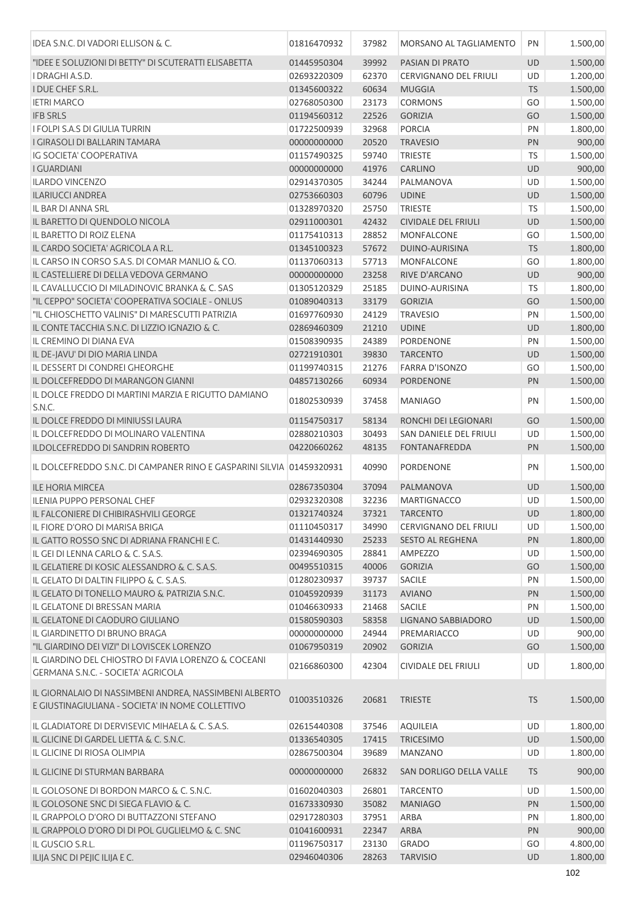| IDEA S.N.C. DI VADORI ELLISON & C.                                                                         | 01816470932                | 37982 | MORSANO AL TAGLIAMENTO       | PN        | 1.500,00 |
|------------------------------------------------------------------------------------------------------------|----------------------------|-------|------------------------------|-----------|----------|
| "IDEE E SOLUZIONI DI BETTY" DI SCUTERATTI ELISABETTA                                                       | 01445950304                | 39992 | PASIAN DI PRATO              | <b>UD</b> | 1.500,00 |
| I DRAGHI A.S.D.                                                                                            | 02693220309                | 62370 | <b>CERVIGNANO DEL FRIULI</b> | <b>UD</b> | 1.200,00 |
| <b>I DUE CHEF S.R.L.</b>                                                                                   | 01345600322                | 60634 | <b>MUGGIA</b>                | <b>TS</b> | 1.500,00 |
| <b>IETRI MARCO</b>                                                                                         | 02768050300                | 23173 | <b>CORMONS</b>               | GO        | 1.500,00 |
| <b>IFB SRLS</b>                                                                                            | 01194560312                | 22526 | <b>GORIZIA</b>               | GO        | 1.500,00 |
| I FOLPI S.A.S DI GIULIA TURRIN                                                                             | 01722500939                | 32968 | <b>PORCIA</b>                | PN        | 1.800,00 |
| I GIRASOLI DI BALLARIN TAMARA                                                                              | 00000000000                | 20520 | <b>TRAVESIO</b>              | PN        | 900,00   |
| IG SOCIETA' COOPERATIVA                                                                                    | 01157490325                | 59740 | <b>TRIESTE</b>               | TS        | 1.500,00 |
| <b>I GUARDIANI</b>                                                                                         | 00000000000                | 41976 | <b>CARLINO</b>               | <b>UD</b> | 900,00   |
| <b>ILARDO VINCENZO</b>                                                                                     | 02914370305                | 34244 | PALMANOVA                    | <b>UD</b> | 1.500,00 |
| <b>ILARIUCCI ANDREA</b>                                                                                    | 02753660303                | 60796 | <b>UDINE</b>                 | <b>UD</b> | 1.500,00 |
| IL BAR DI ANNA SRL                                                                                         | 01328970320                | 25750 | <b>TRIESTE</b>               | <b>TS</b> | 1.500,00 |
| IL BARETTO DI QUENDOLO NICOLA                                                                              | 02911000301                | 42432 | <b>CIVIDALE DEL FRIULI</b>   | <b>UD</b> | 1.500,00 |
| IL BARETTO DI ROIZ ELENA                                                                                   | 01175410313                | 28852 | <b>MONFALCONE</b>            | GO        | 1.500,00 |
| IL CARDO SOCIETA' AGRICOLA A R.L.                                                                          | 01345100323                | 57672 | DUINO-AURISINA               | <b>TS</b> | 1.800,00 |
| IL CARSO IN CORSO S.A.S. DI COMAR MANLIO & CO.                                                             | 01137060313                | 57713 | <b>MONFALCONE</b>            | GO        | 1.800,00 |
| IL CASTELLIERE DI DELLA VEDOVA GERMANO                                                                     | 00000000000                | 23258 | <b>RIVE D'ARCANO</b>         | <b>UD</b> | 900,00   |
| IL CAVALLUCCIO DI MILADINOVIC BRANKA & C. SAS                                                              | 01305120329                | 25185 | DUINO-AURISINA               | <b>TS</b> | 1.800,00 |
| "IL CEPPO" SOCIETA' COOPERATIVA SOCIALE - ONLUS                                                            | 01089040313                | 33179 | <b>GORIZIA</b>               | GO        | 1.500,00 |
| "IL CHIOSCHETTO VALINIS" DI MARESCUTTI PATRIZIA                                                            | 01697760930                | 24129 | <b>TRAVESIO</b>              | PN        | 1.500,00 |
| IL CONTE TACCHIA S.N.C. DI LIZZIO IGNAZIO & C.                                                             | 02869460309                | 21210 | <b>UDINE</b>                 | <b>UD</b> | 1.800,00 |
| IL CREMINO DI DIANA EVA                                                                                    | 01508390935                | 24389 | <b>PORDENONE</b>             | PN        | 1.500,00 |
| IL DE-JAVU' DI DIO MARIA LINDA                                                                             | 02721910301                | 39830 | <b>TARCENTO</b>              | <b>UD</b> | 1.500,00 |
| IL DESSERT DI CONDREI GHEORGHE                                                                             | 01199740315                | 21276 | <b>FARRA D'ISONZO</b>        | GO        | 1.500,00 |
| IL DOLCEFREDDO DI MARANGON GIANNI                                                                          | 04857130266                | 60934 | <b>PORDENONE</b>             | PN        | 1.500,00 |
| IL DOLCE FREDDO DI MARTINI MARZIA E RIGUTTO DAMIANO                                                        |                            |       |                              |           |          |
| S.N.C.                                                                                                     | 01802530939                | 37458 | <b>MANIAGO</b>               | PN        | 1.500,00 |
| IL DOLCE FREDDO DI MINIUSSI LAURA                                                                          | 01154750317                | 58134 | RONCHI DEI LEGIONARI         | GO        | 1.500,00 |
| IL DOLCEFREDDO DI MOLINARO VALENTINA                                                                       | 02880210303                | 30493 | SAN DANIELE DEL FRIULI       | UD        | 1.500,00 |
| ILDOLCEFREDDO DI SANDRIN ROBERTO                                                                           | 04220660262                | 48135 | <b>FONTANAFREDDA</b>         | PN        | 1.500,00 |
| IL DOLCEFREDDO S.N.C. DI CAMPANER RINO E GASPARINI SILVIA 01459320931                                      |                            | 40990 | PORDENONE                    | PN        | 1.500,00 |
| <b>ILE HORIA MIRCEA</b>                                                                                    | 02867350304                | 37094 | PALMANOVA                    | <b>UD</b> | 1.500,00 |
| <b>ILENIA PUPPO PERSONAL CHEF</b>                                                                          | 02932320308                | 32236 | <b>MARTIGNACCO</b>           | UD        | 1.500,00 |
| IL FALCONIERE DI CHIBIRASHVILI GEORGE                                                                      | 01321740324 37321 TARCENTO |       |                              | UD        | 1.800,00 |
| IL FIORE D'ORO DI MARISA BRIGA                                                                             | 01110450317                | 34990 | CERVIGNANO DEL FRIULI        | UD        | 1.500,00 |
| IL GATTO ROSSO SNC DI ADRIANA FRANCHI E C.                                                                 | 01431440930                | 25233 | SESTO AL REGHENA             | <b>PN</b> | 1.800,00 |
| IL GEI DI LENNA CARLO & C. S.A.S.                                                                          | 02394690305                | 28841 | AMPEZZO                      | UD        | 1.500,00 |
| IL GELATIERE DI KOSIC ALESSANDRO & C. S.A.S.                                                               | 00495510315                | 40006 | <b>GORIZIA</b>               | GO        | 1.500,00 |
| IL GELATO DI DALTIN FILIPPO & C. S.A.S.                                                                    | 01280230937                | 39737 | SACILE                       | PN        | 1.500,00 |
| IL GELATO DI TONELLO MAURO & PATRIZIA S.N.C.                                                               | 01045920939                | 31173 | <b>AVIANO</b>                | PN        | 1.500,00 |
| IL GELATONE DI BRESSAN MARIA                                                                               | 01046630933                | 21468 | SACILE                       | PN        | 1.500,00 |
| IL GELATONE DI CAODURO GIULIANO                                                                            | 01580590303                | 58358 | LIGNANO SABBIADORO           | <b>UD</b> | 1.500,00 |
| IL GIARDINETTO DI BRUNO BRAGA                                                                              | 00000000000                | 24944 | PREMARIACCO                  | UD        | 900,00   |
| "IL GIARDINO DEI VIZI" DI LOVISCEK LORENZO                                                                 | 01067950319                | 20902 | <b>GORIZIA</b>               | GO        | 1.500,00 |
| IL GIARDINO DEL CHIOSTRO DI FAVIA LORENZO & COCEANI                                                        |                            |       |                              |           |          |
| GERMANA S.N.C. - SOCIETA' AGRICOLA                                                                         | 02166860300                | 42304 | CIVIDALE DEL FRIULI          | <b>UD</b> | 1.800,00 |
| IL GIORNALAIO DI NASSIMBENI ANDREA, NASSIMBENI ALBERTO<br>E GIUSTINAGIULIANA - SOCIETA' IN NOME COLLETTIVO | 01003510326                | 20681 | <b>TRIESTE</b>               | <b>TS</b> | 1.500,00 |
|                                                                                                            |                            |       |                              |           |          |
| IL GLADIATORE DI DERVISEVIC MIHAELA & C. S.A.S.                                                            | 02615440308                | 37546 | <b>AQUILEIA</b>              | UD        | 1.800,00 |
| IL GLICINE DI GARDEL LIETTA & C. S.N.C.                                                                    | 01336540305                | 17415 | <b>TRICESIMO</b>             | <b>UD</b> | 1.500,00 |
| IL GLICINE DI RIOSA OLIMPIA                                                                                | 02867500304                | 39689 | MANZANO                      | UD        | 1.800,00 |
| IL GLICINE DI STURMAN BARBARA                                                                              | 00000000000                | 26832 | SAN DORLIGO DELLA VALLE      | <b>TS</b> | 900,00   |
| IL GOLOSONE DI BORDON MARCO & C. S.N.C.                                                                    | 01602040303                | 26801 | <b>TARCENTO</b>              | UD        | 1.500,00 |
| IL GOLOSONE SNC DI SIEGA FLAVIO & C.                                                                       | 01673330930                | 35082 | <b>MANIAGO</b>               | <b>PN</b> | 1.500,00 |
| IL GRAPPOLO D'ORO DI BUTTAZZONI STEFANO                                                                    | 02917280303                | 37951 | ARBA                         | PN        | 1.800,00 |
| IL GRAPPOLO D'ORO DI DI POL GUGLIELMO & C. SNC                                                             | 01041600931                | 22347 | ARBA                         | PN        | 900,00   |
| IL GUSCIO S.R.L.                                                                                           | 01196750317                | 23130 | <b>GRADO</b>                 | GO        | 4.800,00 |
| ILIJA SNC DI PEJIC ILIJA E C.                                                                              | 02946040306                | 28263 | <b>TARVISIO</b>              | UD        | 1.800,00 |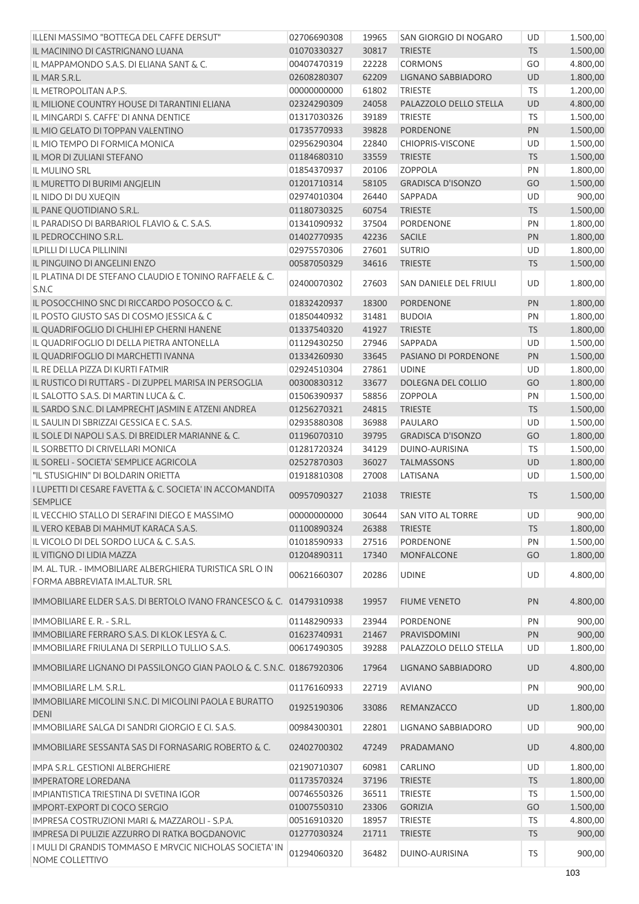| ILLENI MASSIMO "BOTTEGA DEL CAFFE DERSUT"                                   | 02706690308 | 19965 | SAN GIORGIO DI NOGARO    | UD        | 1.500,00 |
|-----------------------------------------------------------------------------|-------------|-------|--------------------------|-----------|----------|
| IL MACININO DI CASTRIGNANO LUANA                                            | 01070330327 | 30817 | <b>TRIESTE</b>           | <b>TS</b> | 1.500,00 |
| IL MAPPAMONDO S.A.S. DI ELIANA SANT & C.                                    | 00407470319 | 22228 | <b>CORMONS</b>           | GO        | 4.800,00 |
| IL MAR S.R.L.                                                               | 02608280307 | 62209 | LIGNANO SABBIADORO       | <b>UD</b> | 1.800,00 |
| IL METROPOLITAN A.P.S.                                                      | 00000000000 | 61802 | TRIESTE                  | <b>TS</b> | 1.200,00 |
| IL MILIONE COUNTRY HOUSE DI TARANTINI ELIANA                                | 02324290309 | 24058 | PALAZZOLO DELLO STELLA   | <b>UD</b> | 4.800,00 |
| IL MINGARDI S. CAFFE' DI ANNA DENTICE                                       | 01317030326 | 39189 | TRIESTE                  | <b>TS</b> | 1.500,00 |
| IL MIO GELATO DI TOPPAN VALENTINO                                           | 01735770933 | 39828 | <b>PORDENONE</b>         | PN        | 1.500,00 |
| IL MIO TEMPO DI FORMICA MONICA                                              | 02956290304 | 22840 | <b>CHIOPRIS-VISCONE</b>  | <b>UD</b> | 1.500,00 |
| IL MOR DI ZULIANI STEFANO                                                   | 01184680310 | 33559 | <b>TRIESTE</b>           | <b>TS</b> | 1.500,00 |
| IL MULINO SRL                                                               | 01854370937 | 20106 | <b>ZOPPOLA</b>           | PN        | 1.800,00 |
| IL MURETTO DI BURIMI ANGJELIN                                               | 01201710314 | 58105 | <b>GRADISCA D'ISONZO</b> | GO        | 1.500,00 |
| IL NIDO DI DU XUEQIN                                                        | 02974010304 | 26440 | SAPPADA                  | <b>UD</b> | 900,00   |
| IL PANE QUOTIDIANO S.R.L.                                                   | 01180730325 | 60754 | <b>TRIESTE</b>           | <b>TS</b> | 1.500,00 |
| IL PARADISO DI BARBARIOL FLAVIO & C. S.A.S.                                 | 01341090932 | 37504 | PORDENONE                | PN        | 1.800,00 |
| IL PEDROCCHINO S.R.L.                                                       | 01402770935 | 42236 | <b>SACILE</b>            | PN        | 1.800,00 |
| <b>ILPILLI DI LUCA PILLININI</b>                                            | 02975570306 | 27601 | <b>SUTRIO</b>            | <b>UD</b> | 1.800,00 |
| IL PINGUINO DI ANGELINI ENZO                                                | 00587050329 | 34616 | <b>TRIESTE</b>           | <b>TS</b> | 1.500,00 |
| IL PLATINA DI DE STEFANO CLAUDIO E TONINO RAFFAELE & C.                     |             |       |                          |           |          |
| S.N.C                                                                       | 02400070302 | 27603 | SAN DANIELE DEL FRIULI   | UD        | 1.800,00 |
| IL POSOCCHINO SNC DI RICCARDO POSOCCO & C.                                  | 01832420937 | 18300 | <b>PORDENONE</b>         | PN        | 1.800,00 |
| IL POSTO GIUSTO SAS DI COSMO JESSICA & C                                    | 01850440932 | 31481 | <b>BUDOIA</b>            | PN        | 1.800,00 |
| IL QUADRIFOGLIO DI CHLIHI EP CHERNI HANENE                                  | 01337540320 | 41927 | <b>TRIESTE</b>           | <b>TS</b> | 1.800,00 |
| IL QUADRIFOGLIO DI DELLA PIETRA ANTONELLA                                   | 01129430250 | 27946 | SAPPADA                  | UD        | 1.500,00 |
| IL QUADRIFOGLIO DI MARCHETTI IVANNA                                         | 01334260930 | 33645 | PASIANO DI PORDENONE     | PN        | 1.500,00 |
| IL RE DELLA PIZZA DI KURTI FATMIR                                           | 02924510304 | 27861 | <b>UDINE</b>             | UD        | 1.800,00 |
| IL RUSTICO DI RUTTARS - DI ZUPPEL MARISA IN PERSOGLIA                       | 00300830312 | 33677 | DOLEGNA DEL COLLIO       | GO        | 1.800,00 |
| IL SALOTTO S.A.S. DI MARTIN LUCA & C.                                       | 01506390937 | 58856 | <b>ZOPPOLA</b>           | PN        | 1.500,00 |
| IL SARDO S.N.C. DI LAMPRECHT JASMIN E ATZENI ANDREA                         | 01256270321 | 24815 | <b>TRIESTE</b>           | <b>TS</b> | 1.500,00 |
| IL SAULIN DI SBRIZZAI GESSICA E C. S.A.S.                                   | 02935880308 | 36988 | PAULARO                  | UD        | 1.500,00 |
| IL SOLE DI NAPOLI S.A.S. DI BREIDLER MARIANNE & C.                          | 01196070310 | 39795 | <b>GRADISCA D'ISONZO</b> | GO        | 1.800,00 |
| IL SORBETTO DI CRIVELLARI MONICA                                            | 01281720324 | 34129 | DUINO-AURISINA           | <b>TS</b> | 1.500,00 |
| IL SORELI - SOCIETA' SEMPLICE AGRICOLA                                      | 02527870303 | 36027 | <b>TALMASSONS</b>        | <b>UD</b> | 1.800,00 |
| "IL STUSIGHIN" DI BOLDARIN ORIETTA                                          | 01918810308 | 27008 | LATISANA                 | UD        | 1.500,00 |
| I LUPETTI DI CESARE FAVETTA & C. SOCIETA' IN ACCOMANDITA<br><b>SEMPLICE</b> | 00957090327 | 21038 | <b>TRIESTE</b>           | <b>TS</b> | 1.500,00 |
| IL VECCHIO STALLO DI SERAFINI DIEGO E MASSIMO                               | 00000000000 | 30644 | SAN VITO AL TORRE        | UD        | 900,00   |
| IL VERO KEBAB DI MAHMUT KARACA S.A.S.                                       | 01100890324 | 26388 | <b>TRIESTE</b>           | <b>TS</b> | 1.800,00 |
| IL VICOLO DI DEL SORDO LUCA & C. S.A.S.                                     | 01018590933 | 27516 | PORDENONE                | PN        | 1.500,00 |
| IL VITIGNO DI LIDIA MAZZA                                                   | 01204890311 | 17340 | <b>MONFALCONE</b>        | GO        | 1.800,00 |
| IM. AL. TUR. - IMMOBILIARE ALBERGHIERA TURISTICA SRL O IN                   | 00621660307 | 20286 | <b>UDINE</b>             | UD        | 4.800,00 |
| FORMA ABBREVIATA IM.AL.TUR. SRL                                             |             |       |                          |           |          |
| IMMOBILIARE ELDER S.A.S. DI BERTOLO IVANO FRANCESCO & C. 01479310938        |             | 19957 | <b>FIUME VENETO</b>      | PN        | 4.800,00 |
| IMMOBILIARE E. R. - S.R.L.                                                  | 01148290933 | 23944 | PORDENONE                | PN        | 900,00   |
| IMMOBILIARE FERRARO S.A.S. DI KLOK LESYA & C.                               | 01623740931 | 21467 | PRAVISDOMINI             | <b>PN</b> | 900,00   |
| IMMOBILIARE FRIULANA DI SERPILLO TULLIO S.A.S.                              | 00617490305 | 39288 | PALAZZOLO DELLO STELLA   | UD        | 1.800,00 |
| IMMOBILIARE LIGNANO DI PASSILONGO GIAN PAOLO & C. S.N.C. 01867920306        |             | 17964 | LIGNANO SABBIADORO       | <b>UD</b> | 4.800,00 |
| IMMOBILIARE L.M. S.R.L.                                                     | 01176160933 | 22719 | <b>AVIANO</b>            | PN        | 900,00   |
| IMMOBILIARE MICOLINI S.N.C. DI MICOLINI PAOLA E BURATTO<br><b>DENI</b>      | 01925190306 | 33086 | REMANZACCO               | <b>UD</b> | 1.800,00 |
| IMMOBILIARE SALGA DI SANDRI GIORGIO E CI. S.A.S.                            | 00984300301 | 22801 | LIGNANO SABBIADORO       | UD        | 900,00   |
| IMMOBILIARE SESSANTA SAS DI FORNASARIG ROBERTO & C.                         | 02402700302 | 47249 | PRADAMANO                | <b>UD</b> | 4.800,00 |
| IMPA S.R.L. GESTIONI ALBERGHIERE                                            | 02190710307 | 60981 | CARLINO                  | UD        | 1.800,00 |
| <b>IMPERATORE LOREDANA</b>                                                  | 01173570324 | 37196 | <b>TRIESTE</b>           | <b>TS</b> | 1.800,00 |
| IMPIANTISTICA TRIESTINA DI SVETINA IGOR                                     | 00746550326 | 36511 | <b>TRIESTE</b>           | TS        | 1.500,00 |
| <b>IMPORT-EXPORT DI COCO SERGIO</b>                                         | 01007550310 | 23306 | <b>GORIZIA</b>           | GO        | 1.500,00 |
| IMPRESA COSTRUZIONI MARI & MAZZAROLI - S.P.A.                               | 00516910320 | 18957 | TRIESTE                  | <b>TS</b> | 4.800,00 |
| IMPRESA DI PULIZIE AZZURRO DI RATKA BOGDANOVIC                              | 01277030324 | 21711 | <b>TRIESTE</b>           | <b>TS</b> | 900,00   |
| I MULI DI GRANDIS TOMMASO E MRVCIC NICHOLAS SOCIETA' IN<br>NOME COLLETTIVO  | 01294060320 | 36482 | DUINO-AURISINA           | TS        | 900,00   |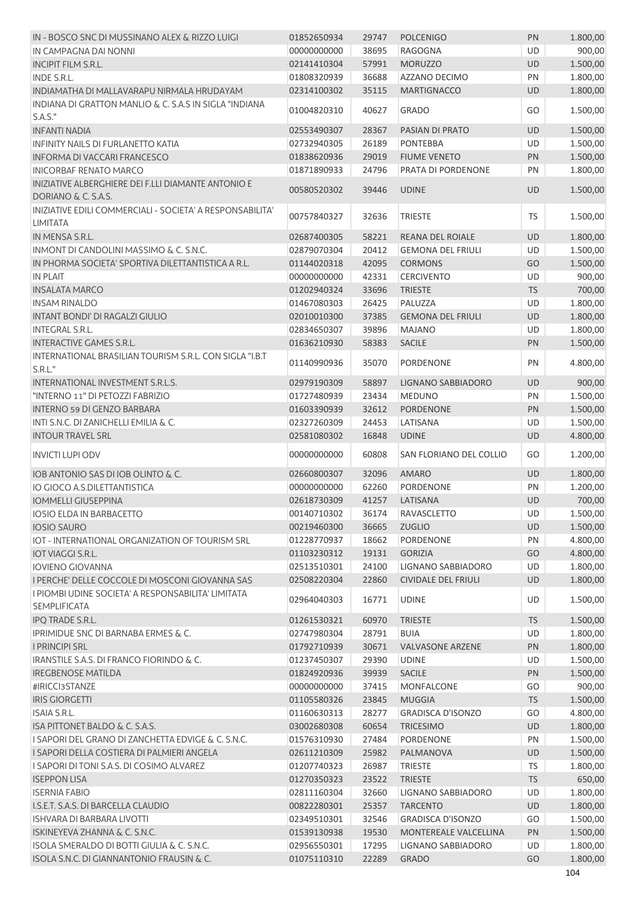| IN - BOSCO SNC DI MUSSINANO ALEX & RIZZO LUIGI                             | 01852650934 | 29747 | <b>POLCENIGO</b>           | PN        | 1.800,00 |
|----------------------------------------------------------------------------|-------------|-------|----------------------------|-----------|----------|
| IN CAMPAGNA DAI NONNI                                                      | 00000000000 | 38695 | <b>RAGOGNA</b>             | <b>UD</b> | 900,00   |
| <b>INCIPIT FILM S.R.L.</b>                                                 | 02141410304 | 57991 | <b>MORUZZO</b>             | <b>UD</b> | 1.500,00 |
| <b>INDE S.R.L.</b>                                                         | 01808320939 | 36688 | AZZANO DECIMO              | PN        | 1.800,00 |
| INDIAMATHA DI MALLAVARAPU NIRMALA HRUDAYAM                                 | 02314100302 | 35115 | <b>MARTIGNACCO</b>         | <b>UD</b> | 1.800,00 |
| INDIANA DI GRATTON MANLIO & C. S.A.S IN SIGLA "INDIANA<br>S.A.S."          | 01004820310 | 40627 | <b>GRADO</b>               | GO        | 1.500,00 |
| <b>INFANTI NADIA</b>                                                       | 02553490307 | 28367 | PASIAN DI PRATO            | UD        | 1.500,00 |
| <b>INFINITY NAILS DI FURLANETTO KATIA</b>                                  | 02732940305 | 26189 | <b>PONTEBBA</b>            | UD        | 1.500,00 |
| <b>INFORMA DI VACCARI FRANCESCO</b>                                        | 01838620936 | 29019 | <b>FIUME VENETO</b>        | PN        | 1.500,00 |
| <b>INICORBAF RENATO MARCO</b>                                              | 01871890933 | 24796 | PRATA DI PORDENONE         | PN        | 1.800,00 |
| INIZIATIVE ALBERGHIERE DEI F.LLI DIAMANTE ANTONIO E<br>DORIANO & C. S.A.S. | 00580520302 | 39446 | <b>UDINE</b>               | <b>UD</b> | 1.500,00 |
| INIZIATIVE EDILI COMMERCIALI - SOCIETA' A RESPONSABILITA'<br>LIMITATA      | 00757840327 | 32636 | <b>TRIESTE</b>             | TS        | 1.500,00 |
| IN MENSA S.R.L.                                                            | 02687400305 | 58221 | REANA DEL ROIALE           | UD        | 1.800,00 |
| INMONT DI CANDOLINI MASSIMO & C. S.N.C.                                    | 02879070304 | 20412 | <b>GEMONA DEL FRIULI</b>   | <b>UD</b> | 1.500,00 |
| IN PHORMA SOCIETA' SPORTIVA DILETTANTISTICA A R.L.                         | 01144020318 | 42095 | <b>CORMONS</b>             | GO        | 1.500,00 |
| <b>IN PLAIT</b>                                                            | 00000000000 | 42331 | <b>CERCIVENTO</b>          | <b>UD</b> | 900,00   |
| <b>INSALATA MARCO</b>                                                      | 01202940324 | 33696 | <b>TRIESTE</b>             | <b>TS</b> | 700,00   |
| <b>INSAM RINALDO</b>                                                       | 01467080303 | 26425 | PALUZZA                    | UD        | 1.800,00 |
| <b>INTANT BONDI' DI RAGALZI GIULIO</b>                                     | 02010010300 | 37385 | <b>GEMONA DEL FRIULI</b>   | UD        | 1.800,00 |
| <b>INTEGRAL S.R.L.</b>                                                     | 02834650307 | 39896 | <b>MAJANO</b>              | <b>UD</b> | 1.800,00 |
| <b>INTERACTIVE GAMES S.R.L.</b>                                            | 01636210930 | 58383 | <b>SACILE</b>              | PN        | 1.500,00 |
| INTERNATIONAL BRASILIAN TOURISM S.R.L. CON SIGLA "I.B.T<br>S.R.L."         | 01140990936 | 35070 | PORDENONE                  | PN        | 4.800,00 |
| INTERNATIONAL INVESTMENT S.R.L.S.                                          | 02979190309 | 58897 | LIGNANO SABBIADORO         | <b>UD</b> | 900,00   |
| "INTERNO 11" DI PETOZZI FABRIZIO                                           | 01727480939 | 23434 | <b>MEDUNO</b>              | PN        | 1.500,00 |
| <b>INTERNO 59 DI GENZO BARBARA</b>                                         | 01603390939 | 32612 | <b>PORDENONE</b>           | PN        | 1.500,00 |
| INTI S.N.C. DI ZANICHELLI EMILIA & C.                                      | 02327260309 | 24453 | LATISANA                   | UD        | 1.500,00 |
| <b>INTOUR TRAVEL SRL</b>                                                   | 02581080302 | 16848 | <b>UDINE</b>               | <b>UD</b> | 4.800,00 |
| <b>INVICTI LUPI ODV</b>                                                    | 00000000000 | 60808 | SAN FLORIANO DEL COLLIO    | GO        | 1.200,00 |
| IOB ANTONIO SAS DI IOB OLINTO & C.                                         | 02660800307 | 32096 | <b>AMARO</b>               | <b>UD</b> | 1.800,00 |
| IO GIOCO A.S.DILETTANTISTICA                                               | 00000000000 | 62260 | PORDENONE                  | PN        | 1.200,00 |
| <b>IOMMELLI GIUSEPPINA</b>                                                 | 02618730309 | 41257 | LATISANA                   | <b>UD</b> | 700,00   |
| IOSIO ELDA IN BARBACETTO                                                   | 00140710302 | 36174 | RAVASCLETTO                | UD.       | 1.500,00 |
| <b>IOSIO SAURO</b>                                                         | 00219460300 | 36665 | <b>ZUGLIO</b>              | <b>UD</b> | 1.500,00 |
| IOT - INTERNATIONAL ORGANIZATION OF TOURISM SRL                            | 01228770937 | 18662 | PORDENONE                  | PN        | 4.800,00 |
| <b>IOT VIAGGI S.R.L.</b>                                                   | 01103230312 | 19131 | <b>GORIZIA</b>             | GO        | 4.800,00 |
| <b>IOVIENO GIOVANNA</b>                                                    | 02513510301 | 24100 | LIGNANO SABBIADORO         | UD        | 1.800,00 |
| I PERCHE' DELLE COCCOLE DI MOSCONI GIOVANNA SAS                            | 02508220304 | 22860 | <b>CIVIDALE DEL FRIULI</b> | <b>UD</b> | 1.800,00 |
| I PIOMBI UDINE SOCIETA' A RESPONSABILITA' LIMITATA<br><b>SEMPLIFICATA</b>  | 02964040303 | 16771 | <b>UDINE</b>               | UD        | 1.500,00 |
| IPQ TRADE S.R.L.                                                           | 01261530321 | 60970 | <b>TRIESTE</b>             | <b>TS</b> | 1.500,00 |
| IPRIMIDUE SNC DI BARNABA ERMES & C.                                        | 02747980304 | 28791 | <b>BUIA</b>                | <b>UD</b> | 1.800,00 |
| <b>I PRINCIPI SRL</b>                                                      | 01792710939 | 30671 | <b>VALVASONE ARZENE</b>    | PN        | 1.800,00 |
| IRANSTILE S.A.S. DI FRANCO FIORINDO & C.                                   | 01237450307 | 29390 | <b>UDINE</b>               | UD        | 1.500,00 |
| <b>IREGBENOSE MATILDA</b>                                                  | 01824920936 | 39939 | <b>SACILE</b>              | PN        | 1.500,00 |
| #IRICCI3STANZE                                                             | 00000000000 | 37415 | MONFALCONE                 | GO        | 900,00   |
| <b>IRIS GIORGETTI</b>                                                      | 01105580326 | 23845 | <b>MUGGIA</b>              | <b>TS</b> | 1.500,00 |
| ISAIA S.R.L.                                                               | 01160630313 | 28277 | <b>GRADISCA D'ISONZO</b>   | GO        | 4.800,00 |
| ISA PITTONET BALDO & C. S.A.S.                                             | 03002680308 | 60654 | <b>TRICESIMO</b>           | UD        | 1.800,00 |
| I SAPORI DEL GRANO DI ZANCHETTA EDVIGE & C. S.N.C.                         | 01576310930 | 27484 | PORDENONE                  | PN        | 1.500,00 |
| I SAPORI DELLA COSTIERA DI PALMIERI ANGELA                                 | 02611210309 | 25982 | PALMANOVA                  | <b>UD</b> | 1.500,00 |
| I SAPORI DI TONI S.A.S. DI COSIMO ALVAREZ                                  | 01207740323 | 26987 | <b>TRIESTE</b>             | <b>TS</b> | 1.800,00 |
| <b>ISEPPON LISA</b>                                                        | 01270350323 | 23522 | <b>TRIESTE</b>             | <b>TS</b> | 650,00   |
| <b>ISERNIA FABIO</b>                                                       | 02811160304 | 32660 | LIGNANO SABBIADORO         | UD        | 1.800,00 |
| I.S.E.T. S.A.S. DI BARCELLA CLAUDIO                                        | 00822280301 | 25357 | <b>TARCENTO</b>            | <b>UD</b> | 1.800,00 |
| ISHVARA DI BARBARA LIVOTTI                                                 | 02349510301 | 32546 | <b>GRADISCA D'ISONZO</b>   | GO        | 1.500,00 |
| ISKINEYEVA ZHANNA & C. S.N.C.                                              | 01539130938 | 19530 | MONTEREALE VALCELLINA      | PN        | 1.500,00 |
| ISOLA SMERALDO DI BOTTI GIULIA & C. S.N.C.                                 | 02956550301 | 17295 | LIGNANO SABBIADORO         | UD        | 1.800,00 |
| ISOLA S.N.C. DI GIANNANTONIO FRAUSIN & C.                                  | 01075110310 | 22289 | <b>GRADO</b>               | GO        | 1.800,00 |
|                                                                            |             |       |                            |           | 104      |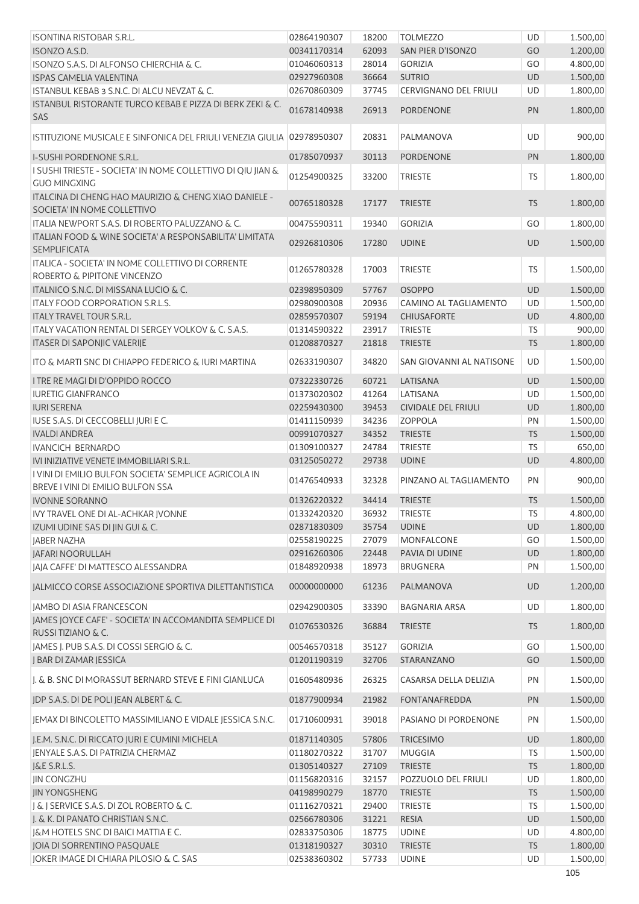| <b>ISONTINA RISTOBAR S.R.L.</b>                                                            | 02864190307                | 18200          | <b>TOLMEZZO</b>                  | UD                     | 1.500,00             |
|--------------------------------------------------------------------------------------------|----------------------------|----------------|----------------------------------|------------------------|----------------------|
| ISONZO A.S.D.                                                                              | 00341170314                | 62093          | SAN PIER D'ISONZO                | GO                     | 1.200,00             |
| ISONZO S.A.S. DI ALFONSO CHIERCHIA & C.                                                    | 01046060313                | 28014          | <b>GORIZIA</b>                   | GO                     | 4.800,00             |
| <b>ISPAS CAMELIA VALENTINA</b>                                                             | 02927960308                | 36664          | <b>SUTRIO</b>                    | <b>UD</b>              | 1.500,00             |
| ISTANBUL KEBAB 3 S.N.C. DI ALCU NEVZAT & C.                                                | 02670860309                | 37745          | <b>CERVIGNANO DEL FRIULI</b>     | UD                     | 1.800,00             |
| ISTANBUL RISTORANTE TURCO KEBAB E PIZZA DI BERK ZEKI & C.<br>SAS                           | 01678140938                | 26913          | <b>PORDENONE</b>                 | PN                     | 1.800,00             |
| ISTITUZIONE MUSICALE E SINFONICA DEL FRIULI VENEZIA GIULIA   02978950307                   |                            | 20831          | PALMANOVA                        | UD                     | 900,00               |
| I-SUSHI PORDENONE S.R.L.                                                                   | 01785070937                | 30113          | <b>PORDENONE</b>                 | PN                     | 1.800,00             |
| I SUSHI TRIESTE - SOCIETA' IN NOME COLLETTIVO DI QIU JIAN &<br><b>GUO MINGXING</b>         | 01254900325                | 33200          | <b>TRIESTE</b>                   | <b>TS</b>              | 1.800,00             |
| ITALCINA DI CHENG HAO MAURIZIO & CHENG XIAO DANIELE -<br>SOCIETA' IN NOME COLLETTIVO       | 00765180328                | 17177          | <b>TRIESTE</b>                   | <b>TS</b>              | 1.800,00             |
| ITALIA NEWPORT S.A.S. DI ROBERTO PALUZZANO & C.                                            | 00475590311                | 19340          | <b>GORIZIA</b>                   | GO                     | 1.800,00             |
| ITALIAN FOOD & WINE SOCIETA' A RESPONSABILITA' LIMITATA<br><b>SEMPLIFICATA</b>             | 02926810306                | 17280          | <b>UDINE</b>                     | <b>UD</b>              | 1.500,00             |
| ITALICA - SOCIETA' IN NOME COLLETTIVO DI CORRENTE<br>ROBERTO & PIPITONE VINCENZO           | 01265780328                | 17003          | <b>TRIESTE</b>                   | <b>TS</b>              | 1.500,00             |
| ITALNICO S.N.C. DI MISSANA LUCIO & C.                                                      | 02398950309                | 57767          | <b>OSOPPO</b>                    | <b>UD</b>              | 1.500,00             |
| ITALY FOOD CORPORATION S.R.L.S.                                                            | 02980900308                | 20936          | CAMINO AL TAGLIAMENTO            | UD                     | 1.500,00             |
| <b>ITALY TRAVEL TOUR S.R.L.</b>                                                            | 02859570307                | 59194          | CHIUSAFORTE                      | UD                     | 4.800,00             |
| ITALY VACATION RENTAL DI SERGEY VOLKOV & C. S.A.S.                                         | 01314590322                | 23917          | <b>TRIESTE</b>                   | <b>TS</b>              | 900,00               |
| <b>ITASER DI SAPONJIC VALERIJE</b>                                                         | 01208870327                | 21818          | <b>TRIESTE</b>                   | <b>TS</b>              | 1.800,00             |
| ITO & MARTI SNC DI CHIAPPO FEDERICO & IURI MARTINA                                         | 02633190307                | 34820          | SAN GIOVANNI AL NATISONE         | UD                     | 1.500,00             |
| I TRE RE MAGI DI D'OPPIDO ROCCO                                                            | 07322330726                | 60721          | LATISANA                         | UD                     | 1.500,00             |
| <b>IURETIG GIANFRANCO</b>                                                                  | 01373020302                | 41264          | LATISANA                         | UD                     | 1.500,00             |
| <b>IURI SERENA</b>                                                                         | 02259430300                | 39453          | <b>CIVIDALE DEL FRIULI</b>       | <b>UD</b>              | 1.800,00             |
| IUSE S.A.S. DI CECCOBELLI JURI E C.<br><b>IVALDI ANDREA</b>                                | 01411150939                | 34236          | <b>ZOPPOLA</b>                   | PN                     | 1.500,00             |
| <b>IVANCICH BERNARDO</b>                                                                   | 00991070327<br>01309100327 | 34352<br>24784 | <b>TRIESTE</b><br><b>TRIESTE</b> | <b>TS</b><br><b>TS</b> | 1.500,00<br>650,00   |
| IVI INIZIATIVE VENETE IMMOBILIARI S.R.L.                                                   | 03125050272                | 29738          | <b>UDINE</b>                     | <b>UD</b>              | 4.800,00             |
| I VINI DI EMILIO BULFON SOCIETA' SEMPLICE AGRICOLA IN<br>BREVE I VINI DI EMILIO BULFON SSA | 01476540933                | 32328          | PINZANO AL TAGLIAMENTO           | PN                     | 900,00               |
| <b>IVONNE SORANNO</b>                                                                      | 01326220322                | 34414          | <b>TRIESTE</b>                   | <b>TS</b>              | 1.500,00             |
| IVY TRAVEL ONE DI AL-ACHKAR JVONNE                                                         | 01332420320                | 36932          | <b>TRIESTE</b>                   | TS                     | 4.800,00             |
| IZUMI UDINE SAS DI JIN GUI & C.                                                            | 02871830309                | 35754          | <b>UDINE</b>                     | UD                     | 1.800,00             |
| <b>JABER NAZHA</b>                                                                         | 02558190225                | 27079          | MONFALCONE                       | GO                     | 1.500,00             |
| <b>JAFARI NOORULLAH</b>                                                                    | 02916260306                | 22448          | PAVIA DI UDINE                   | <b>UD</b>              | 1.800,00             |
| JAJA CAFFE' DI MATTESCO ALESSANDRA                                                         | 01848920938                | 18973          | <b>BRUGNERA</b>                  | PN                     | 1.500,00             |
| JALMICCO CORSE ASSOCIAZIONE SPORTIVA DILETTANTISTICA                                       | 00000000000                | 61236          | PALMANOVA                        | UD                     | 1.200,00             |
| <b>IAMBO DI ASIA FRANCESCON</b>                                                            | 02942900305                | 33390          | <b>BAGNARIA ARSA</b>             | UD                     | 1.800,00             |
| JAMES JOYCE CAFE' - SOCIETA' IN ACCOMANDITA SEMPLICE DI<br>RUSSI TIZIANO & C.              | 01076530326                | 36884          | <b>TRIESTE</b>                   | <b>TS</b>              | 1.800,00             |
| JAMES J. PUB S.A.S. DI COSSI SERGIO & C.                                                   | 00546570318                | 35127          | <b>GORIZIA</b>                   | GO                     | 1.500,00             |
| J BAR DI ZAMAR JESSICA                                                                     | 01201190319                | 32706          | STARANZANO                       | GO                     | 1.500,00             |
| I. & B. SNC DI MORASSUT BERNARD STEVE E FINI GIANLUCA                                      | 01605480936                | 26325          | CASARSA DELLA DELIZIA            | PN                     | 1.500,00             |
| JDP S.A.S. DI DE POLI JEAN ALBERT & C.                                                     | 01877900934                | 21982          | <b>FONTANAFREDDA</b>             | PN                     | 1.500,00             |
| JEMAX DI BINCOLETTO MASSIMILIANO E VIDALE JESSICA S.N.C.                                   | 01710600931                | 39018          | PASIANO DI PORDENONE             | PN                     | 1.500,00             |
| J.E.M. S.N.C. DI RICCATO JURI E CUMINI MICHELA                                             | 01871140305                | 57806          | <b>TRICESIMO</b>                 | <b>UD</b>              | 1.800,00             |
| JENYALE S.A.S. DI PATRIZIA CHERMAZ                                                         | 01180270322                | 31707          | <b>MUGGIA</b>                    | TS                     | 1.500,00             |
| J&E S.R.L.S.                                                                               | 01305140327                | 27109          | <b>TRIESTE</b>                   | <b>TS</b>              | 1.800,00             |
| <b>JIN CONGZHU</b>                                                                         | 01156820316                | 32157          | POZZUOLO DEL FRIULI              | UD                     | 1.800,00             |
| <b>JIN YONGSHENG</b>                                                                       | 04198990279                | 18770          | <b>TRIESTE</b>                   | <b>TS</b>              | 1.500,00             |
| J & J SERVICE S.A.S. DI ZOL ROBERTO & C.                                                   | 01116270321                | 29400          | <b>TRIESTE</b>                   | <b>TS</b>              | 1.500,00             |
| J. & K. DI PANATO CHRISTIAN S.N.C.<br>J&M HOTELS SNC DI BAICI MATTIA E C.                  | 02566780306<br>02833750306 | 31221<br>18775 | <b>RESIA</b><br><b>UDINE</b>     | UD<br>UD               | 1.500,00<br>4.800,00 |
| JOIA DI SORRENTINO PASQUALE                                                                | 01318190327                | 30310          | <b>TRIESTE</b>                   | <b>TS</b>              | 1.800,00             |
| JOKER IMAGE DI CHIARA PILOSIO & C. SAS                                                     | 02538360302                | 57733          | <b>UDINE</b>                     | UD                     | 1.500,00             |
|                                                                                            |                            |                |                                  |                        |                      |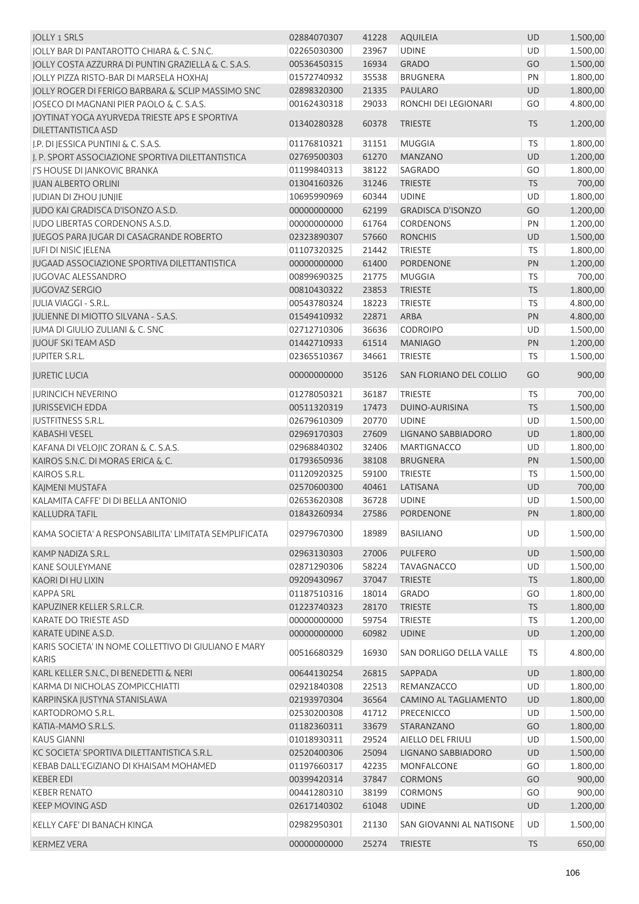| <b>JOLLY 1 SRLS</b>                                                  | 02884070307 | 41228 | AQUILEIA                 | <b>UD</b> | 1.500,00 |
|----------------------------------------------------------------------|-------------|-------|--------------------------|-----------|----------|
| JOLLY BAR DI PANTAROTTO CHIARA & C. S.N.C.                           | 02265030300 | 23967 | <b>UDINE</b>             | <b>UD</b> | 1.500,00 |
| JOLLY COSTA AZZURRA DI PUNTIN GRAZIELLA & C. S.A.S.                  | 00536450315 | 16934 | <b>GRADO</b>             | GO        | 1.500,00 |
| JOLLY PIZZA RISTO-BAR DI MARSELA HOXHAJ                              | 01572740932 | 35538 | <b>BRUGNERA</b>          | PN        | 1.800,00 |
| JOLLY ROGER DI FERIGO BARBARA & SCLIP MASSIMO SNC                    | 02898320300 | 21335 | <b>PAULARO</b>           | UD        | 1.800,00 |
| JOSECO DI MAGNANI PIER PAOLO & C. S.A.S.                             | 00162430318 | 29033 | RONCHI DEI LEGIONARI     | GO        | 4.800,00 |
| JOYTINAT YOGA AYURVEDA TRIESTE APS E SPORTIVA<br>DILETTANTISTICA ASD | 01340280328 | 60378 | <b>TRIESTE</b>           | <b>TS</b> | 1.200,00 |
| J.P. DI JESSICA PUNTINI & C. S.A.S.                                  | 01176810321 | 31151 | <b>MUGGIA</b>            | <b>TS</b> | 1.800,00 |
| J. P. SPORT ASSOCIAZIONE SPORTIVA DILETTANTISTICA                    | 02769500303 | 61270 | <b>MANZANO</b>           | <b>UD</b> | 1.200,00 |
| I'S HOUSE DI JANKOVIC BRANKA                                         | 01199840313 | 38122 | SAGRADO                  | GO        | 1.800,00 |
| <b>JUAN ALBERTO ORLINI</b>                                           | 01304160326 | 31246 | <b>TRIESTE</b>           | <b>TS</b> | 700,00   |
| <b>JUDIAN DI ZHOU JUNJIE</b>                                         | 10695990969 | 60344 | <b>UDINE</b>             | UD        | 1.800,00 |
| JUDO KAI GRADISCA D'ISONZO A.S.D.                                    | 00000000000 | 62199 | <b>GRADISCA D'ISONZO</b> | GO        | 1.200,00 |
| JUDO LIBERTAS CORDENONS A.S.D.                                       | 00000000000 | 61764 | <b>CORDENONS</b>         | PN        | 1.200,00 |
| <b>JUEGOS PARA JUGAR DI CASAGRANDE ROBERTO</b>                       | 02323890307 | 57660 | <b>RONCHIS</b>           | UD        | 1.500,00 |
|                                                                      |             |       |                          |           |          |
| JUFI DI NISIC JELENA                                                 | 01107320325 | 21442 | <b>TRIESTE</b>           | TS        | 1.800,00 |
| <b>JUGAAD ASSOCIAZIONE SPORTIVA DILETTANTISTICA</b>                  | 00000000000 | 61400 | <b>PORDENONE</b>         | PN        | 1.200,00 |
| <b>JUGOVAC ALESSANDRO</b>                                            | 00899690325 | 21775 | <b>MUGGIA</b>            | TS        | 700,00   |
| <b>JUGOVAZ SERGIO</b>                                                | 00810430322 | 23853 | <b>TRIESTE</b>           | <b>TS</b> | 1.800,00 |
| <b>JULIA VIAGGI - S.R.L.</b>                                         | 00543780324 | 18223 | <b>TRIESTE</b>           | TS        | 4.800,00 |
| JULIENNE DI MIOTTO SILVANA - S.A.S.                                  | 01549410932 | 22871 | ARBA                     | PN        | 4.800,00 |
| JUMA DI GIULIO ZULIANI & C. SNC                                      | 02712710306 | 36636 | <b>CODROIPO</b>          | UD        | 1.500,00 |
| <b>JUOUF SKITEAM ASD</b>                                             | 01442710933 | 61514 | <b>MANIAGO</b>           | PN        | 1.200,00 |
| JUPITER S.R.L.                                                       | 02365510367 | 34661 | <b>TRIESTE</b>           | <b>TS</b> | 1.500,00 |
| <b>JURETIC LUCIA</b>                                                 | 00000000000 | 35126 | SAN FLORIANO DEL COLLIO  | GO        | 900,00   |
| <b>JURINCICH NEVERINO</b>                                            | 01278050321 | 36187 | <b>TRIESTE</b>           | <b>TS</b> | 700,00   |
| <b>JURISSEVICH EDDA</b>                                              | 00511320319 | 17473 | DUINO-AURISINA           | <b>TS</b> | 1.500,00 |
| <b>JUSTFITNESS S.R.L.</b>                                            | 02679610309 | 20770 | <b>UDINE</b>             | UD        | 1.500,00 |
| <b>KABASHI VESEL</b>                                                 | 02969170303 | 27609 | LIGNANO SABBIADORO       | UD        | 1.800,00 |
| KAFANA DI VELOJIC ZORAN & C. S.A.S.                                  | 02968840302 | 32406 | <b>MARTIGNACCO</b>       | UD        | 1.800,00 |
| KAIROS S.N.C. DI MORAS ERICA & C.                                    | 01793650936 | 38108 | <b>BRUGNERA</b>          | PN        | 1.500,00 |
| KAIROS S.R.L.                                                        | 01120920325 | 59100 | <b>TRIESTE</b>           | <b>TS</b> | 1.500,00 |
| <b>KAJMENI MUSTAFA</b>                                               | 02570600300 | 40461 | LATISANA                 | UD        | 700,00   |
| KALAMITA CAFFE' DI DI BELLA ANTONIO                                  | 02653620308 | 36728 | <b>UDINE</b>             | <b>UD</b> | 1.500,00 |
| <b>KALLUDRA TAFIL</b>                                                | 01843260934 | 27586 | PORDENONE                | <b>PN</b> | 1.800,00 |
| KAMA SOCIETA' A RESPONSABILITA' LIMITATA SEMPLIFICATA                | 02979670300 | 18989 | <b>BASILIANO</b>         | UD        | 1.500,00 |
| KAMP NADIZA S.R.L.                                                   | 02963130303 | 27006 | <b>PULFERO</b>           | UD        | 1.500,00 |
| <b>KANE SOULEYMANE</b>                                               | 02871290306 | 58224 | <b>TAVAGNACCO</b>        | UD        | 1.500,00 |
| <b>KAORI DI HU LIXIN</b>                                             | 09209430967 | 37047 | <b>TRIESTE</b>           | <b>TS</b> | 1.800,00 |
| <b>KAPPA SRL</b>                                                     | 01187510316 | 18014 | <b>GRADO</b>             | GO        | 1.800,00 |
| KAPUZINER KELLER S.R.L.C.R.                                          | 01223740323 | 28170 | <b>TRIESTE</b>           | <b>TS</b> | 1.800,00 |
| <b>KARATE DO TRIESTE ASD</b>                                         | 00000000000 | 59754 | <b>TRIESTE</b>           | <b>TS</b> | 1.200,00 |
| KARATE UDINE A.S.D.                                                  | 00000000000 | 60982 | <b>UDINE</b>             | <b>UD</b> | 1.200,00 |
| KARIS SOCIETA' IN NOME COLLETTIVO DI GIULIANO E MARY<br><b>KARIS</b> | 00516680329 | 16930 | SAN DORLIGO DELLA VALLE  | <b>TS</b> | 4.800,00 |
| KARL KELLER S.N.C., DI BENEDETTI & NERI                              | 00644130254 | 26815 | SAPPADA                  | <b>UD</b> | 1.800,00 |
| KARMA DI NICHOLAS ZOMPICCHIATTI                                      | 02921840308 | 22513 | REMANZACCO               | UD        | 1.800,00 |
|                                                                      |             |       |                          |           |          |
| KARPINSKA JUSTYNA STANISLAWA                                         | 02193970304 | 36564 | CAMINO AL TAGLIAMENTO    | <b>UD</b> | 1.800,00 |
| KARTODROMO S.R.L.                                                    | 02530200308 | 41712 | <b>PRECENICCO</b>        | UD        | 1.500,00 |
| KATIA-MAMO S.R.L.S.                                                  | 01182360311 | 33679 | STARANZANO               | GO        | 1.800,00 |
| <b>KAUS GIANNI</b>                                                   | 01018930311 | 29524 | AIELLO DEL FRIULI        | UD        | 1.500,00 |
| KC SOCIETA' SPORTIVA DILETTANTISTICA S.R.L.                          | 02520400306 | 25094 | LIGNANO SABBIADORO       | <b>UD</b> | 1.500,00 |
| KEBAB DALL'EGIZIANO DI KHAISAM MOHAMED                               | 01197660317 | 42235 | <b>MONFALCONE</b>        | GO        | 1.800,00 |
| <b>KEBER EDI</b>                                                     | 00399420314 | 37847 | <b>CORMONS</b>           | GO        | 900,00   |
| <b>KEBER RENATO</b>                                                  | 00441280310 | 38199 | <b>CORMONS</b>           | GO        | 900,00   |
| <b>KEEP MOVING ASD</b>                                               | 02617140302 | 61048 | <b>UDINE</b>             | <b>UD</b> | 1.200,00 |
| KELLY CAFE' DI BANACH KINGA                                          | 02982950301 | 21130 | SAN GIOVANNI AL NATISONE | UD        | 1.500,00 |
| <b>KERMEZ VERA</b>                                                   | 00000000000 | 25274 | <b>TRIESTE</b>           | <b>TS</b> | 650,00   |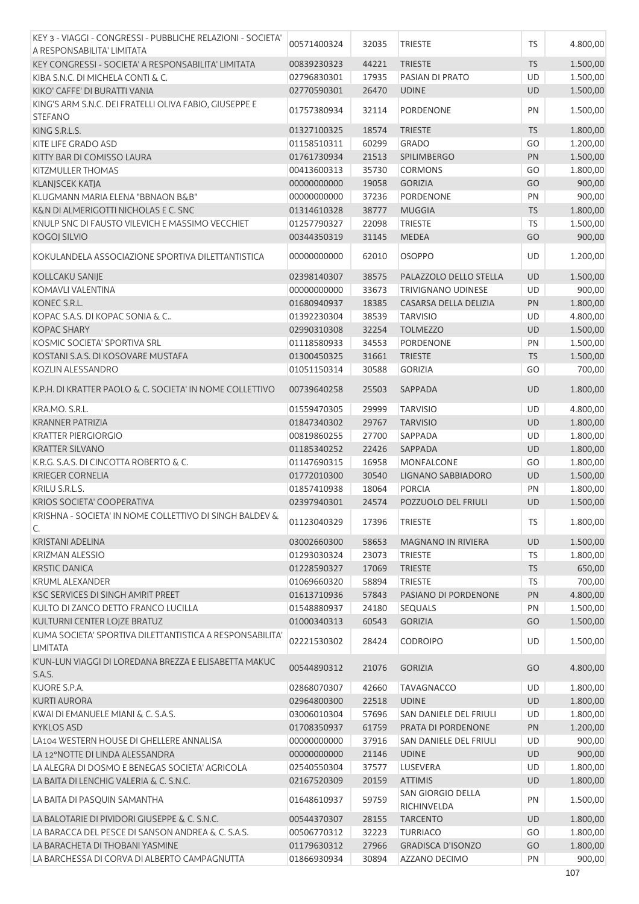| KEY 3 - VIAGGI - CONGRESSI - PUBBLICHE RELAZIONI - SOCIETA'                 |             |       |                                  |           |          |
|-----------------------------------------------------------------------------|-------------|-------|----------------------------------|-----------|----------|
| A RESPONSABILITA' LIMITATA                                                  | 00571400324 | 32035 | <b>TRIESTE</b>                   | <b>TS</b> | 4.800,00 |
| KEY CONGRESSI - SOCIETA' A RESPONSABILITA' LIMITATA                         | 00839230323 | 44221 | <b>TRIESTE</b>                   | <b>TS</b> | 1.500,00 |
| KIBA S.N.C. DI MICHELA CONTI & C.                                           | 02796830301 | 17935 | PASIAN DI PRATO                  | UD        | 1.500,00 |
| KIKO' CAFFE' DI BURATTI VANIA                                               | 02770590301 | 26470 | <b>UDINE</b>                     | <b>UD</b> | 1.500,00 |
| KING'S ARM S.N.C. DEI FRATELLI OLIVA FABIO, GIUSEPPE E                      | 01757380934 | 32114 | <b>PORDENONE</b>                 | PN        | 1.500,00 |
| <b>STEFANO</b>                                                              |             |       |                                  |           |          |
| KING S.R.L.S.                                                               | 01327100325 | 18574 | <b>TRIESTE</b>                   | <b>TS</b> | 1.800,00 |
| <b>KITE LIFE GRADO ASD</b>                                                  | 01158510311 | 60299 | <b>GRADO</b>                     | GO        | 1.200,00 |
| KITTY BAR DI COMISSO LAURA                                                  | 01761730934 | 21513 | <b>SPILIMBERGO</b>               | PN        | 1.500,00 |
| <b>KITZMULLER THOMAS</b>                                                    | 00413600313 | 35730 | <b>CORMONS</b>                   | GO        | 1.800,00 |
| <b>KLANJSCEK KATJA</b>                                                      | 00000000000 | 19058 | <b>GORIZIA</b>                   | GO        | 900,00   |
| KLUGMANN MARIA ELENA "BBNAON B&B"                                           | 00000000000 | 37236 | PORDENONE                        | PN        | 900,00   |
| K&N DI ALMERIGOTTI NICHOLAS E C. SNC                                        | 01314610328 | 38777 | <b>MUGGIA</b>                    | <b>TS</b> | 1.800,00 |
| KNULP SNC DI FAUSTO VILEVICH E MASSIMO VECCHIET                             | 01257790327 | 22098 | <b>TRIESTE</b>                   | TS        | 1.500,00 |
| <b>KOGOJ SILVIO</b>                                                         | 00344350319 | 31145 | <b>MEDEA</b>                     | GO        | 900,00   |
| KOKULANDELA ASSOCIAZIONE SPORTIVA DILETTANTISTICA                           | 00000000000 | 62010 | <b>OSOPPO</b>                    | UD        | 1.200,00 |
| KOLLCAKU SANIJE                                                             | 02398140307 | 38575 | PALAZZOLO DELLO STELLA           | <b>UD</b> | 1.500,00 |
| KOMAVLI VALENTINA                                                           | 00000000000 | 33673 | <b>TRIVIGNANO UDINESE</b>        | UD        | 900,00   |
| KONEC S.R.L.                                                                | 01680940937 | 18385 | CASARSA DELLA DELIZIA            | PN        | 1.800,00 |
| KOPAC S.A.S. DI KOPAC SONIA & C                                             |             |       | <b>TARVISIO</b>                  |           |          |
|                                                                             | 01392230304 | 38539 |                                  | UD        | 4.800,00 |
| <b>KOPAC SHARY</b>                                                          | 02990310308 | 32254 | <b>TOLMEZZO</b>                  | UD        | 1.500,00 |
| KOSMIC SOCIETA' SPORTIVA SRL                                                | 01118580933 | 34553 | PORDENONE                        | PN        | 1.500,00 |
| KOSTANI S.A.S. DI KOSOVARE MUSTAFA                                          | 01300450325 | 31661 | <b>TRIESTE</b>                   | <b>TS</b> | 1.500,00 |
| KOZLIN ALESSANDRO                                                           | 01051150314 | 30588 | <b>GORIZIA</b>                   | GO        | 700,00   |
| K.P.H. DI KRATTER PAOLO & C. SOCIETA' IN NOME COLLETTIVO                    | 00739640258 | 25503 | SAPPADA                          | <b>UD</b> | 1.800,00 |
| KRA.MO. S.R.L.                                                              | 01559470305 | 29999 | <b>TARVISIO</b>                  | UD        | 4.800,00 |
| <b>KRANNER PATRIZIA</b>                                                     | 01847340302 | 29767 | <b>TARVISIO</b>                  | UD        | 1.800,00 |
| <b>KRATTER PIERGIORGIO</b>                                                  | 00819860255 | 27700 | SAPPADA                          | UD        | 1.800,00 |
| <b>KRATTER SILVANO</b>                                                      | 01185340252 | 22426 | SAPPADA                          | <b>UD</b> | 1.800,00 |
| K.R.G. S.A.S. DI CINCOTTA ROBERTO & C.                                      | 01147690315 | 16958 | MONFALCONE                       | GO        | 1.800,00 |
| <b>KRIEGER CORNELIA</b>                                                     | 01772010300 | 30540 | LIGNANO SABBIADORO               | UD        | 1.500,00 |
| KRILU S.R.L.S.                                                              | 01857410938 | 18064 | <b>PORCIA</b>                    | PN        | 1.800,00 |
| <b>KRIOS SOCIETA' COOPERATIVA</b>                                           | 02397940301 | 24574 | POZZUOLO DEL FRIULI              | <b>UD</b> | 1.500,00 |
|                                                                             |             |       |                                  |           |          |
| KRISHNA - SOCIETA' IN NOME COLLETTIVO DI SINGH BALDEV &<br>C.               | 01123040329 | 17396 | <b>TRIESTE</b>                   | TS        | 1.800,00 |
| <b>KRISTANI ADELINA</b>                                                     | 03002660300 | 58653 | MAGNANO IN RIVIERA               | <b>UD</b> | 1.500,00 |
| <b>KRIZMAN ALESSIO</b>                                                      | 01293030324 | 23073 | <b>TRIESTE</b>                   | <b>TS</b> | 1.800,00 |
| <b>KRSTIC DANICA</b>                                                        | 01228590327 | 17069 | <b>TRIESTE</b>                   | <b>TS</b> | 650,00   |
| <b>KRUML ALEXANDER</b>                                                      | 01069660320 | 58894 | <b>TRIESTE</b>                   | <b>TS</b> | 700,00   |
| KSC SERVICES DI SINGH AMRIT PREET                                           | 01613710936 | 57843 | PASIANO DI PORDENONE             | PN        | 4.800,00 |
| KULTO DI ZANCO DETTO FRANCO LUCILLA                                         | 01548880937 | 24180 | <b>SEQUALS</b>                   | PN        | 1.500,00 |
| KULTURNI CENTER LOJZE BRATUZ                                                | 01000340313 | 60543 | <b>GORIZIA</b>                   | GO        | 1.500,00 |
| KUMA SOCIETA' SPORTIVA DILETTANTISTICA A RESPONSABILITA'<br><b>LIMITATA</b> | 02221530302 | 28424 | <b>CODROIPO</b>                  | <b>UD</b> | 1.500,00 |
| K'UN-LUN VIAGGI DI LOREDANA BREZZA E ELISABETTA MAKUC                       | 00544890312 | 21076 | <b>GORIZIA</b>                   | GO        | 4.800,00 |
| S.A.S.                                                                      |             |       |                                  |           |          |
| KUORE S.P.A.                                                                | 02868070307 | 42660 | <b>TAVAGNACCO</b>                | UD        | 1.800,00 |
| <b>KURTI AURORA</b>                                                         | 02964800300 | 22518 | <b>UDINE</b>                     | UD        | 1.800,00 |
| KWAI DI EMANUELE MIANI & C. S.A.S.                                          | 03006010304 | 57696 | SAN DANIELE DEL FRIULI           | UD        | 1.800,00 |
| <b>KYKLOS ASD</b>                                                           | 01708350937 | 61759 | PRATA DI PORDENONE               | <b>PN</b> | 1.200,00 |
| LA104 WESTERN HOUSE DI GHELLERE ANNALISA                                    | 00000000000 | 37916 | SAN DANIELE DEL FRIULI           | UD        | 900,00   |
| LA 12°NOTTE DI LINDA ALESSANDRA                                             | 00000000000 | 21146 | <b>UDINE</b>                     | <b>UD</b> | 900,00   |
| LA ALEGRA DI DOSMO E BENEGAS SOCIETA' AGRICOLA                              | 02540550304 | 37577 | LUSEVERA                         | <b>UD</b> | 1.800,00 |
| LA BAITA DI LENCHIG VALERIA & C. S.N.C.                                     | 02167520309 | 20159 | <b>ATTIMIS</b>                   | <b>UD</b> | 1.800,00 |
| LA BAITA DI PASQUIN SAMANTHA                                                | 01648610937 | 59759 | SAN GIORGIO DELLA<br>RICHINVELDA | PN        | 1.500,00 |
| LA BALOTARIE DI PIVIDORI GIUSEPPE & C. S.N.C.                               | 00544370307 | 28155 | <b>TARCENTO</b>                  | <b>UD</b> | 1.800,00 |
| LA BARACCA DEL PESCE DI SANSON ANDREA & C. S.A.S.                           | 00506770312 | 32223 | <b>TURRIACO</b>                  | GO        | 1.800,00 |
| LA BARACHETA DI THOBANI YASMINE                                             | 01179630312 | 27966 | <b>GRADISCA D'ISONZO</b>         | GO        | 1.800,00 |
| LA BARCHESSA DI CORVA DI ALBERTO CAMPAGNUTTA                                | 01866930934 | 30894 | AZZANO DECIMO                    | PN        | 900,00   |
|                                                                             |             |       |                                  |           |          |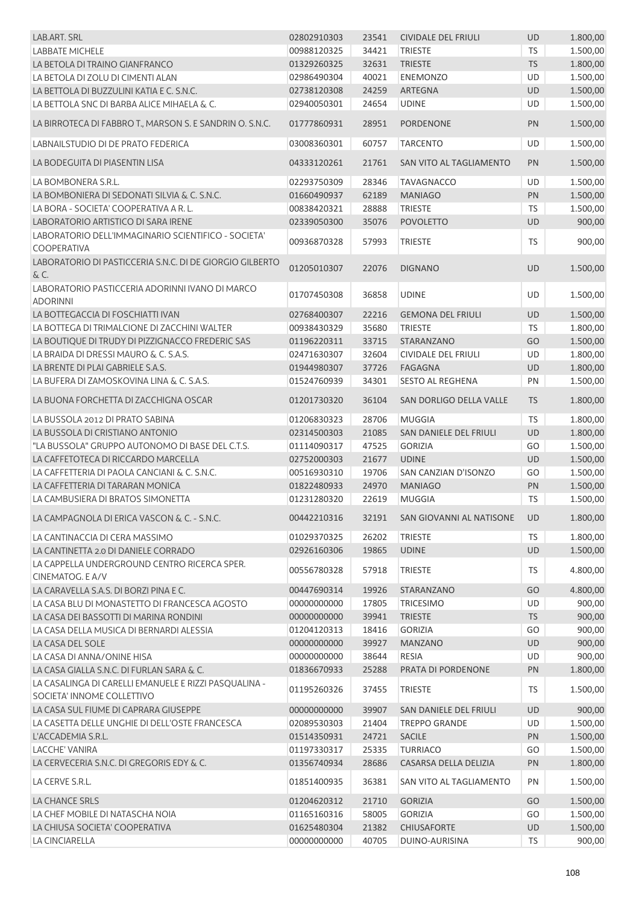| LAB.ART. SRL                                                                        | 02802910303 | 23541 | <b>CIVIDALE DEL FRIULI</b> | UD        | 1.800,00 |
|-------------------------------------------------------------------------------------|-------------|-------|----------------------------|-----------|----------|
| <b>LABBATE MICHELE</b>                                                              | 00988120325 | 34421 | <b>TRIESTE</b>             | <b>TS</b> | 1.500,00 |
| LA BETOLA DI TRAINO GIANFRANCO                                                      | 01329260325 | 32631 | <b>TRIESTE</b>             | <b>TS</b> | 1.800,00 |
| LA BETOLA DI ZOLU DI CIMENTI ALAN                                                   | 02986490304 | 40021 | <b>ENEMONZO</b>            | UD        | 1.500,00 |
| LA BETTOLA DI BUZZULINI KATIA E C. S.N.C.                                           | 02738120308 | 24259 | ARTEGNA                    | <b>UD</b> | 1.500,00 |
| LA BETTOLA SNC DI BARBA ALICE MIHAELA & C.                                          | 02940050301 | 24654 | <b>UDINE</b>               | UD        | 1.500,00 |
| LA BIRROTECA DI FABBRO T., MARSON S. E SANDRIN O. S.N.C.                            | 01777860931 | 28951 | <b>PORDENONE</b>           | PN        | 1.500,00 |
| LABNAILSTUDIO DI DE PRATO FEDERICA                                                  | 03008360301 | 60757 | <b>TARCENTO</b>            | <b>UD</b> | 1.500,00 |
|                                                                                     |             |       |                            |           |          |
| LA BODEGUITA DI PIASENTIN LISA                                                      | 04333120261 | 21761 | SAN VITO AL TAGLIAMENTO    | PN        | 1.500,00 |
| LA BOMBONERA S.R.L.                                                                 | 02293750309 | 28346 | <b>TAVAGNACCO</b>          | <b>UD</b> | 1.500,00 |
| LA BOMBONIERA DI SEDONATI SILVIA & C. S.N.C.                                        | 01660490937 | 62189 | <b>MANIAGO</b>             | PN        | 1.500,00 |
| LA BORA - SOCIETA' COOPERATIVA A R. L.                                              | 00838420321 | 28888 | <b>TRIESTE</b>             | <b>TS</b> | 1.500,00 |
| LABORATORIO ARTISTICO DI SARA IRENE                                                 | 02339050300 | 35076 | <b>POVOLETTO</b>           | <b>UD</b> | 900,00   |
| LABORATORIO DELL'IMMAGINARIO SCIENTIFICO - SOCIETA'<br>COOPERATIVA                  | 00936870328 | 57993 | <b>TRIESTE</b>             | <b>TS</b> | 900,00   |
| LABORATORIO DI PASTICCERIA S.N.C. DI DE GIORGIO GILBERTO                            |             |       |                            |           |          |
| & C.                                                                                | 01205010307 | 22076 | <b>DIGNANO</b>             | UD        | 1.500,00 |
| LABORATORIO PASTICCERIA ADORINNI IVANO DI MARCO<br><b>ADORINNI</b>                  | 01707450308 | 36858 | <b>UDINE</b>               | UD        | 1.500,00 |
| LA BOTTEGACCIA DI FOSCHIATTI IVAN                                                   | 02768400307 | 22216 | <b>GEMONA DEL FRIULI</b>   | UD        | 1.500,00 |
| LA BOTTEGA DI TRIMALCIONE DI ZACCHINI WALTER                                        | 00938430329 | 35680 | <b>TRIESTE</b>             | TS        | 1.800,00 |
| LA BOUTIQUE DI TRUDY DI PIZZIGNACCO FREDERIC SAS                                    | 01196220311 | 33715 | STARANZANO                 | GO        | 1.500,00 |
| LA BRAIDA DI DRESSI MAURO & C. S.A.S.                                               | 02471630307 | 32604 | <b>CIVIDALE DEL FRIULI</b> | UD        | 1.800,00 |
| LA BRENTE DI PLAI GABRIELE S.A.S.                                                   | 01944980307 | 37726 | <b>FAGAGNA</b>             | UD        | 1.800,00 |
| LA BUFERA DI ZAMOSKOVINA LINA & C. S.A.S.                                           | 01524760939 | 34301 | <b>SESTO AL REGHENA</b>    | PN        | 1.500,00 |
|                                                                                     |             |       |                            |           |          |
| LA BUONA FORCHETTA DI ZACCHIGNA OSCAR                                               | 01201730320 | 36104 | SAN DORLIGO DELLA VALLE    | <b>TS</b> | 1.800,00 |
| LA BUSSOLA 2012 DI PRATO SABINA                                                     | 01206830323 | 28706 | <b>MUGGIA</b>              | <b>TS</b> | 1.800,00 |
| LA BUSSOLA DI CRISTIANO ANTONIO                                                     | 02314500303 | 21085 | SAN DANIELE DEL FRIULI     | UD        | 1.800,00 |
| "LA BUSSOLA" GRUPPO AUTONOMO DI BASE DEL C.T.S.                                     | 01114090317 | 47525 | <b>GORIZIA</b>             | GO        | 1.500,00 |
| LA CAFFETOTECA DI RICCARDO MARCELLA                                                 | 02752000303 | 21677 | <b>UDINE</b>               | UD        | 1.500,00 |
| LA CAFFETTERIA DI PAOLA CANCIANI & C. S.N.C.                                        | 00516930310 | 19706 | SAN CANZIAN D'ISONZO       | GO        | 1.500,00 |
| LA CAFFETTERIA DI TARARAN MONICA                                                    | 01822480933 | 24970 | <b>MANIAGO</b>             | PN        | 1.500,00 |
| LA CAMBUSIERA DI BRATOS SIMONETTA                                                   | 01231280320 | 22619 | <b>MUGGIA</b>              | TS        | 1.500,00 |
| LA CAMPAGNOLA DI ERICA VASCON & C. - S.N.C.                                         | 00442210316 | 32191 | SAN GIOVANNI AL NATISONE   | <b>UD</b> | 1.800,00 |
| LA CANTINACCIA DI CERA MASSIMO                                                      | 01029370325 | 26202 | <b>TRIESTE</b>             | <b>TS</b> | 1.800,00 |
| LA CANTINETTA 2.0 DI DANIELE CORRADO                                                | 02926160306 | 19865 | <b>UDINE</b>               | <b>UD</b> | 1.500,00 |
| LA CAPPELLA UNDERGROUND CENTRO RICERCA SPER.                                        | 00556780328 | 57918 | <b>TRIESTE</b>             | TS        | 4.800,00 |
| CINEMATOG. E A/V                                                                    |             |       |                            |           |          |
| LA CARAVELLA S.A.S. DI BORZI PINA E C.                                              | 00447690314 | 19926 | STARANZANO                 | GO        | 4.800,00 |
| LA CASA BLU DI MONASTETTO DI FRANCESCA AGOSTO                                       | 00000000000 | 17805 | <b>TRICESIMO</b>           | <b>UD</b> | 900,00   |
| LA CASA DEI BASSOTTI DI MARINA RONDINI                                              | 00000000000 | 39941 | <b>TRIESTE</b>             | <b>TS</b> | 900,00   |
| LA CASA DELLA MUSICA DI BERNARDI ALESSIA                                            | 01204120313 | 18416 | <b>GORIZIA</b>             | GO        | 900,00   |
| LA CASA DEL SOLE                                                                    | 00000000000 | 39927 | <b>MANZANO</b>             | <b>UD</b> | 900,00   |
| LA CASA DI ANNA/ONINE HISA                                                          | 00000000000 | 38644 | <b>RESIA</b>               | <b>UD</b> | 900,00   |
| LA CASA GIALLA S.N.C. DI FURLAN SARA & C.                                           | 01836670933 | 25288 | PRATA DI PORDENONE         | <b>PN</b> | 1.800,00 |
| LA CASALINGA DI CARELLI EMANUELE E RIZZI PASQUALINA -<br>SOCIETA' INNOME COLLETTIVO | 01195260326 | 37455 | <b>TRIESTE</b>             | <b>TS</b> | 1.500,00 |
| LA CASA SUL FIUME DI CAPRARA GIUSEPPE                                               | 00000000000 | 39907 | SAN DANIELE DEL FRIULI     | UD        | 900,00   |
| LA CASETTA DELLE UNGHIE DI DELL'OSTE FRANCESCA                                      | 02089530303 | 21404 | <b>TREPPO GRANDE</b>       | <b>UD</b> | 1.500,00 |
| L'ACCADEMIA S.R.L.                                                                  | 01514350931 | 24721 | SACILE                     | PN        | 1.500,00 |
| LACCHE' VANIRA                                                                      | 01197330317 | 25335 | <b>TURRIACO</b>            | GO        | 1.500,00 |
| LA CERVECERIA S.N.C. DI GREGORIS EDY & C.                                           | 01356740934 | 28686 | CASARSA DELLA DELIZIA      | PN        | 1.800,00 |
|                                                                                     |             |       |                            |           |          |
| LA CERVE S.R.L.                                                                     | 01851400935 | 36381 | SAN VITO AL TAGLIAMENTO    | PN        | 1.500,00 |
| LA CHANCE SRLS                                                                      | 01204620312 | 21710 | <b>GORIZIA</b>             | GO        | 1.500,00 |
| LA CHEF MOBILE DI NATASCHA NOIA                                                     | 01165160316 | 58005 | <b>GORIZIA</b>             | GO        | 1.500,00 |
| LA CHIUSA SOCIETA' COOPERATIVA                                                      | 01625480304 | 21382 | <b>CHIUSAFORTE</b>         | <b>UD</b> | 1.500,00 |
| LA CINCIARELLA                                                                      | 00000000000 | 40705 | DUINO-AURISINA             | <b>TS</b> | 900,00   |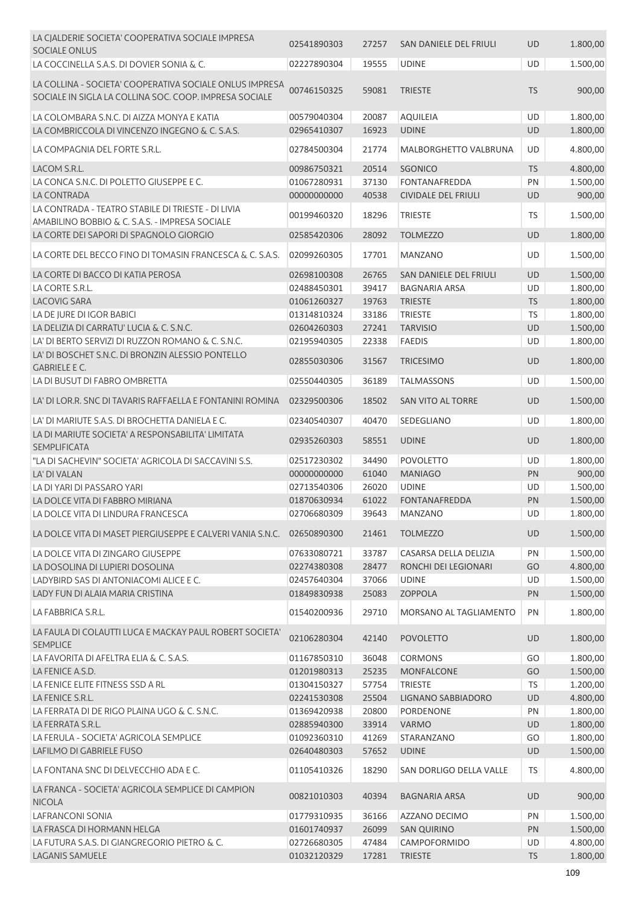| LA CJALDERIE SOCIETA' COOPERATIVA SOCIALE IMPRESA<br>SOCIALE ONLUS                                                | 02541890303                | 27257 | SAN DANIELE DEL FRIULI         | UD         | 1.800,00           |
|-------------------------------------------------------------------------------------------------------------------|----------------------------|-------|--------------------------------|------------|--------------------|
| LA COCCINELLA S.A.S. DI DOVIER SONIA & C.                                                                         | 02227890304                | 19555 | <b>UDINE</b>                   | UD         | 1.500,00           |
| LA COLLINA - SOCIETA' COOPERATIVA SOCIALE ONLUS IMPRESA<br>SOCIALE IN SIGLA LA COLLINA SOC. COOP. IMPRESA SOCIALE | 00746150325                | 59081 | <b>TRIESTE</b>                 | <b>TS</b>  | 900,00             |
| LA COLOMBARA S.N.C. DI AIZZA MONYA E KATIA                                                                        | 00579040304                | 20087 | <b>AQUILEIA</b>                | UD         | 1.800,00           |
| LA COMBRICCOLA DI VINCENZO INGEGNO & C. S.A.S.                                                                    | 02965410307                | 16923 | <b>UDINE</b>                   | UD         | 1.800,00           |
| LA COMPAGNIA DEL FORTE S.R.L.                                                                                     | 02784500304                | 21774 | <b>MALBORGHETTO VALBRUNA</b>   | UD         | 4.800,00           |
| LACOM S.R.L.                                                                                                      | 00986750321                | 20514 | <b>SGONICO</b>                 | <b>TS</b>  | 4.800,00           |
| LA CONCA S.N.C. DI POLETTO GIUSEPPE E C.                                                                          | 01067280931                | 37130 | <b>FONTANAFREDDA</b>           | PN         | 1.500,00           |
| LA CONTRADA                                                                                                       | 00000000000                | 40538 | <b>CIVIDALE DEL FRIULI</b>     | UD         | 900,00             |
| LA CONTRADA - TEATRO STABILE DI TRIESTE - DI LIVIA<br>AMABILINO BOBBIO & C. S.A.S. - IMPRESA SOCIALE              | 00199460320                | 18296 | <b>TRIESTE</b>                 | TS         | 1.500,00           |
| LA CORTE DEI SAPORI DI SPAGNOLO GIORGIO                                                                           | 02585420306                | 28092 | <b>TOLMEZZO</b>                | UD         | 1.800,00           |
| LA CORTE DEL BECCO FINO DI TOMASIN FRANCESCA & C. S.A.S.                                                          | 02099260305                | 17701 | <b>MANZANO</b>                 | UD         | 1.500,00           |
| LA CORTE DI BACCO DI KATIA PEROSA                                                                                 | 02698100308                | 26765 | SAN DANIELE DEL FRIULI         | UD         | 1.500,00           |
| LA CORTE S.R.L.                                                                                                   | 02488450301                | 39417 | <b>BAGNARIA ARSA</b>           | UD         | 1.800,00           |
| <b>LACOVIG SARA</b>                                                                                               | 01061260327                | 19763 | <b>TRIESTE</b>                 | <b>TS</b>  | 1.800,00           |
| LA DE JURE DI IGOR BABICI                                                                                         | 01314810324                | 33186 | <b>TRIESTE</b>                 | TS         | 1.800,00           |
| LA DELIZIA DI CARRATU' LUCIA & C. S.N.C.                                                                          | 02604260303                | 27241 | <b>TARVISIO</b>                | UD         | 1.500,00           |
| LA' DI BERTO SERVIZI DI RUZZON ROMANO & C. S.N.C.                                                                 | 02195940305                | 22338 | <b>FAEDIS</b>                  | UD         | 1.800,00           |
| LA' DI BOSCHET S.N.C. DI BRONZIN ALESSIO PONTELLO<br><b>GABRIELE E C.</b>                                         | 02855030306                | 31567 | <b>TRICESIMO</b>               | <b>UD</b>  | 1.800,00           |
| LA DI BUSUT DI FABRO OMBRETTA                                                                                     | 02550440305                | 36189 | <b>TALMASSONS</b>              | UD         | 1.500,00           |
| LA' DI LOR.R. SNC DI TAVARIS RAFFAELLA E FONTANINI ROMINA                                                         | 02329500306                | 18502 | SAN VITO AL TORRE              | UD         | 1.500,00           |
| LA' DI MARIUTE S.A.S. DI BROCHETTA DANIELA E C.                                                                   | 02340540307                | 40470 | SEDEGLIANO                     | UD         | 1.800,00           |
| LA DI MARIUTE SOCIETA' A RESPONSABILITA' LIMITATA<br><b>SEMPLIFICATA</b>                                          | 02935260303                | 58551 | <b>UDINE</b>                   | <b>UD</b>  | 1.800,00           |
|                                                                                                                   | 02517230302                |       | <b>POVOLETTO</b>               |            |                    |
| "LA DI SACHEVIN" SOCIETA' AGRICOLA DI SACCAVINI S.S.<br>LA' DI VALAN                                              |                            | 34490 |                                | UD         | 1.800,00<br>900,00 |
| LA DI YARI DI PASSARO YARI                                                                                        | 00000000000                | 61040 | <b>MANIAGO</b><br><b>UDINE</b> | PN         |                    |
|                                                                                                                   | 02713540306                | 26020 |                                | UD         | 1.500,00           |
| LA DOLCE VITA DI FABBRO MIRIANA<br>LA DOLCE VITA DI LINDURA FRANCESCA                                             | 01870630934<br>02706680309 | 61022 | <b>FONTANAFREDDA</b>           | PN<br>UD   | 1.500,00           |
|                                                                                                                   |                            | 39643 | <b>MANZANO</b>                 |            | 1.800,00           |
| LA DOLCE VITA DI MASET PIERGIUSEPPE E CALVERI VANIA S.N.C.                                                        | 02650890300                | 21461 | <b>TOLMEZZO</b>                | <b>UD</b>  | 1.500,00           |
| LA DOLCE VITA DI ZINGARO GIUSEPPE                                                                                 | 07633080721                | 33787 | CASARSA DELLA DELIZIA          | PN         | 1.500,00           |
| LA DOSOLINA DI LUPIERI DOSOLINA                                                                                   | 02274380308                | 28477 | RONCHI DEI LEGIONARI           | GO         | 4.800,00           |
| LADYBIRD SAS DI ANTONIACOMI ALICE E C.                                                                            | 02457640304                | 37066 | <b>UDINE</b>                   | UD         | 1.500,00           |
| LADY FUN DI ALAIA MARIA CRISTINA                                                                                  | 01849830938                | 25083 | ZOPPOLA                        | PN         | 1.500,00           |
| LA FABBRICA S.R.L.                                                                                                | 01540200936                | 29710 | MORSANO AL TAGLIAMENTO         | PN         | 1.800,00           |
| LA FAULA DI COLAUTTI LUCA E MACKAY PAUL ROBERT SOCIETA'<br><b>SEMPLICE</b>                                        | 02106280304                | 42140 | <b>POVOLETTO</b>               | <b>UD</b>  | 1.800,00           |
| LA FAVORITA DI AFELTRA ELIA & C. S.A.S.                                                                           | 01167850310                | 36048 | <b>CORMONS</b>                 | GO         | 1.800,00           |
| LA FENICE A.S.D.                                                                                                  | 01201980313                | 25235 | <b>MONFALCONE</b>              | GO         | 1.500,00           |
| LA FENICE ELITE FITNESS SSD A RL                                                                                  | 01304150327                | 57754 | <b>TRIESTE</b>                 | <b>TS</b>  | 1.200,00           |
| LA FENICE S.R.L.                                                                                                  | 02241530308                | 25504 | LIGNANO SABBIADORO             | UD         | 4.800,00           |
| LA FERRATA DI DE RIGO PLAINA UGO & C. S.N.C.                                                                      | 01369420938                | 20800 | PORDENONE                      | ${\sf PN}$ | 1.800,00           |
| LA FERRATA S.R.L.                                                                                                 | 02885940300                | 33914 | <b>VARMO</b>                   | <b>UD</b>  | 1.800,00           |
| LA FERULA - SOCIETA' AGRICOLA SEMPLICE                                                                            | 01092360310                | 41269 | STARANZANO                     | GO         | 1.800,00           |
| LAFILMO DI GABRIELE FUSO                                                                                          | 02640480303                | 57652 | <b>UDINE</b>                   | <b>UD</b>  | 1.500,00           |
| LA FONTANA SNC DI DELVECCHIO ADA E C.                                                                             | 01105410326                | 18290 | SAN DORLIGO DELLA VALLE        | <b>TS</b>  | 4.800,00           |
| LA FRANCA - SOCIETA' AGRICOLA SEMPLICE DI CAMPION<br><b>NICOLA</b>                                                | 00821010303                | 40394 | <b>BAGNARIA ARSA</b>           | UD         | 900,00             |
| <b>LAFRANCONI SONIA</b>                                                                                           | 01779310935                | 36166 | AZZANO DECIMO                  | PN         | 1.500,00           |
| LA FRASCA DI HORMANN HELGA                                                                                        | 01601740937                | 26099 | <b>SAN QUIRINO</b>             | PN         | 1.500,00           |
| LA FUTURA S.A.S. DI GIANGREGORIO PIETRO & C.                                                                      | 02726680305                | 47484 | CAMPOFORMIDO                   | UD         | 4.800,00           |
| LAGANIS SAMUELE                                                                                                   | 01032120329                | 17281 | <b>TRIESTE</b>                 | <b>TS</b>  | 1.800,00           |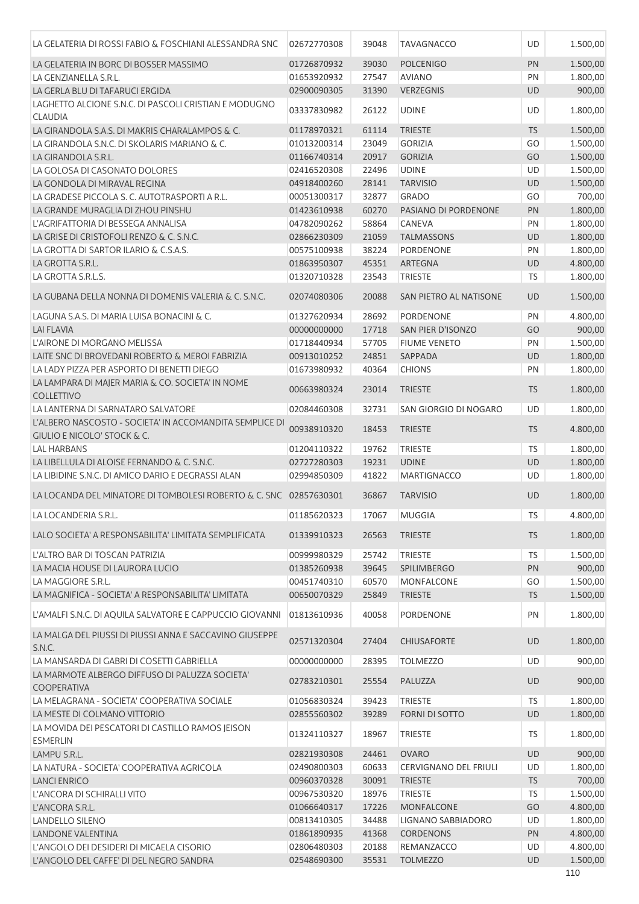| LA GELATERIA DI ROSSI FABIO & FOSCHIANI ALESSANDRA SNC                                  | 02672770308                | 39048          | <b>TAVAGNACCO</b>                | UD              | 1.500,00             |
|-----------------------------------------------------------------------------------------|----------------------------|----------------|----------------------------------|-----------------|----------------------|
| LA GELATERIA IN BORC DI BOSSER MASSIMO                                                  | 01726870932                | 39030          | <b>POLCENIGO</b>                 | PN              | 1.500,00             |
| LA GENZIANELLA S.R.L.                                                                   | 01653920932                | 27547          | <b>AVIANO</b>                    | PN              | 1.800,00             |
| LA GERLA BLU DI TAFARUCI ERGIDA                                                         | 02900090305                | 31390          | <b>VERZEGNIS</b>                 | <b>UD</b>       | 900,00               |
| LAGHETTO ALCIONE S.N.C. DI PASCOLI CRISTIAN E MODUGNO<br><b>CLAUDIA</b>                 | 03337830982                | 26122          | <b>UDINE</b>                     | UD              | 1.800,00             |
| LA GIRANDOLA S.A.S. DI MAKRIS CHARALAMPOS & C.                                          | 01178970321                | 61114          | <b>TRIESTE</b>                   | <b>TS</b>       | 1.500,00             |
| LA GIRANDOLA S.N.C. DI SKOLARIS MARIANO & C.                                            | 01013200314                | 23049          | <b>GORIZIA</b>                   | GO              | 1.500,00             |
| LA GIRANDOLA S.R.L.                                                                     | 01166740314                | 20917          | <b>GORIZIA</b>                   | GO              | 1.500,00             |
| LA GOLOSA DI CASONATO DOLORES                                                           | 02416520308                | 22496          | <b>UDINE</b>                     | <b>UD</b>       | 1.500,00             |
| LA GONDOLA DI MIRAVAL REGINA                                                            | 04918400260                | 28141          | <b>TARVISIO</b>                  | UD              | 1.500,00             |
| LA GRADESE PICCOLA S. C. AUTOTRASPORTI A R.L.                                           | 00051300317                | 32877          | <b>GRADO</b>                     | GO              | 700,00               |
| LA GRANDE MURAGLIA DI ZHOU PINSHU                                                       | 01423610938                | 60270          | PASIANO DI PORDENONE             | PN              | 1.800,00             |
| L'AGRIFATTORIA DI BESSEGA ANNALISA                                                      | 04782090262                | 58864          | CANEVA                           | PN              | 1.800,00             |
| LA GRISE DI CRISTOFOLI RENZO & C. S.N.C.                                                | 02866230309                | 21059          | <b>TALMASSONS</b>                | <b>UD</b>       | 1.800,00             |
| LA GROTTA DI SARTOR ILARIO & C.S.A.S.                                                   | 00575100938                | 38224          | <b>PORDENONE</b>                 | PN              | 1.800,00             |
| LA GROTTA S.R.L.                                                                        | 01863950307                | 45351          | ARTEGNA                          | UD              | 4.800,00             |
| LA GROTTA S.R.L.S.                                                                      | 01320710328                | 23543          | <b>TRIESTE</b>                   | TS              | 1.800,00             |
| LA GUBANA DELLA NONNA DI DOMENIS VALERIA & C. S.N.C.                                    | 02074080306                | 20088          | SAN PIETRO AL NATISONE           | <b>UD</b>       | 1.500,00             |
| LAGUNA S.A.S. DI MARIA LUISA BONACINI & C.                                              | 01327620934                | 28692          | PORDENONE                        | PN              | 4.800,00             |
| <b>LAI FLAVIA</b>                                                                       | 00000000000                | 17718          | SAN PIER D'ISONZO                | GO              | 900,00               |
| L'AIRONE DI MORGANO MELISSA                                                             | 01718440934                | 57705          | <b>FIUME VENETO</b>              | PN              | 1.500,00             |
| LAITE SNC DI BROVEDANI ROBERTO & MEROI FABRIZIA                                         | 00913010252                | 24851          | SAPPADA                          | <b>UD</b>       | 1.800,00             |
| LA LADY PIZZA PER ASPORTO DI BENETTI DIEGO                                              | 01673980932                | 40364          | <b>CHIONS</b>                    | PN              | 1.800,00             |
| LA LAMPARA DI MAJER MARIA & CO. SOCIETA' IN NOME<br>COLLETTIVO                          | 00663980324                | 23014          | <b>TRIESTE</b>                   | <b>TS</b>       | 1.800,00             |
| LA LANTERNA DI SARNATARO SALVATORE                                                      | 02084460308                | 32731          | SAN GIORGIO DI NOGARO            | UD              | 1.800,00             |
| L'ALBERO NASCOSTO - SOCIETA' IN ACCOMANDITA SEMPLICE DI<br>GIULIO E NICOLO' STOCK & C.  | 00938910320                | 18453          | <b>TRIESTE</b>                   | <b>TS</b>       | 4.800,00             |
| <b>LAL HARBANS</b>                                                                      | 01204110322                | 19762          | <b>TRIESTE</b>                   | <b>TS</b>       | 1.800,00             |
| LA LIBELLULA DI ALOISE FERNANDO & C. S.N.C.                                             | 02727280303                | 19231          | <b>UDINE</b>                     | UD              | 1.800,00             |
| LA LIBIDINE S.N.C. DI AMICO DARIO E DEGRASSI ALAN                                       | 02994850309                | 41822          | <b>MARTIGNACCO</b>               | UD              | 1.800,00             |
| LA LOCANDA DEL MINATORE DI TOMBOLESI ROBERTO & C. SNC 02857630301                       |                            | 36867          | <b>TARVISIO</b>                  | <b>UD</b>       | 1.800,00             |
| LA LOCANDERIA S.R.L.                                                                    | 01185620323 17067 MUGGIA   |                |                                  | <b>TS</b>       | 4.800,00             |
|                                                                                         |                            |                |                                  |                 |                      |
| LALO SOCIETA' A RESPONSABILITA' LIMITATA SEMPLIFICATA<br>L'ALTRO BAR DI TOSCAN PATRIZIA | 01339910323<br>00999980329 | 26563<br>25742 | <b>TRIESTE</b><br><b>TRIESTE</b> | <b>TS</b><br>TS | 1.800,00<br>1.500,00 |
| LA MACIA HOUSE DI LAURORA LUCIO                                                         | 01385260938                | 39645          | <b>SPILIMBERGO</b>               | PN              | 900,00               |
| LA MAGGIORE S.R.L.                                                                      | 00451740310                | 60570          | MONFALCONE                       | GO              |                      |
| LA MAGNIFICA - SOCIETA' A RESPONSABILITA' LIMITATA                                      | 00650070329                | 25849          | <b>TRIESTE</b>                   | <b>TS</b>       | 1.500,00<br>1.500,00 |
|                                                                                         |                            |                |                                  |                 |                      |
| L'AMALFI S.N.C. DI AQUILA SALVATORE E CAPPUCCIO GIOVANNI                                | 01813610936                | 40058          | <b>PORDENONE</b>                 | PN              | 1.800,00             |
| LA MALGA DEL PIUSSI DI PIUSSI ANNA E SACCAVINO GIUSEPPE<br>S.N.C.                       | 02571320304                | 27404          | <b>CHIUSAFORTE</b>               | <b>UD</b>       | 1.800,00             |
| LA MANSARDA DI GABRI DI COSETTI GABRIELLA                                               | 00000000000                | 28395          | <b>TOLMEZZO</b>                  | UD              | 900,00               |
| LA MARMOTE ALBERGO DIFFUSO DI PALUZZA SOCIETA'<br><b>COOPERATIVA</b>                    | 02783210301                | 25554          | PALUZZA                          | <b>UD</b>       | 900,00               |
| LA MELAGRANA - SOCIETA' COOPERATIVA SOCIALE                                             | 01056830324                | 39423          | <b>TRIESTE</b>                   | TS              | 1.800,00             |
| LA MESTE DI COLMANO VITTORIO                                                            | 02855560302                | 39289          | <b>FORNI DI SOTTO</b>            | <b>UD</b>       | 1.800,00             |
| LA MOVIDA DEI PESCATORI DI CASTILLO RAMOS JEISON<br><b>ESMERLIN</b>                     | 01324110327                | 18967          | <b>TRIESTE</b>                   | TS              | 1.800,00             |
| LAMPU S.R.L.                                                                            | 02821930308                | 24461          | <b>OVARO</b>                     | <b>UD</b>       | 900,00               |
| LA NATURA - SOCIETA' COOPERATIVA AGRICOLA                                               | 02490800303                | 60633          | CERVIGNANO DEL FRIULI            | UD              | 1.800,00             |
| <b>LANCI ENRICO</b>                                                                     | 00960370328                | 30091          | <b>TRIESTE</b>                   | <b>TS</b>       | 700,00               |
| L'ANCORA DI SCHIRALLI VITO                                                              | 00967530320                | 18976          | <b>TRIESTE</b>                   | <b>TS</b>       | 1.500,00             |
| L'ANCORA S.R.L.                                                                         | 01066640317                | 17226          | <b>MONFALCONE</b>                | GO              | 4.800,00             |
| LANDELLO SILENO                                                                         | 00813410305                | 34488          | LIGNANO SABBIADORO               | <b>UD</b>       | 1.800,00             |
| <b>LANDONE VALENTINA</b>                                                                | 01861890935                | 41368          | <b>CORDENONS</b>                 | <b>PN</b>       | 4.800,00             |
| L'ANGOLO DEI DESIDERI DI MICAELA CISORIO                                                | 02806480303                | 20188          | REMANZACCO                       | <b>UD</b>       | 4.800,00             |
| L'ANGOLO DEL CAFFE' DI DEL NEGRO SANDRA                                                 | 02548690300                | 35531          | <b>TOLMEZZO</b>                  | <b>UD</b>       | 1.500,00             |
|                                                                                         |                            |                |                                  |                 | 110                  |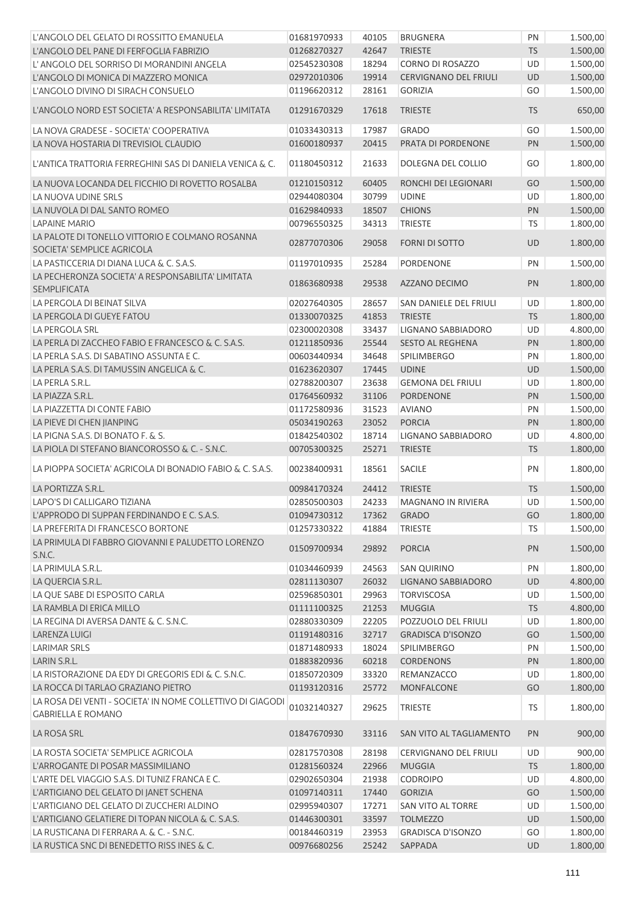| L'ANGOLO DEL GELATO DI ROSSITTO EMANUELA                                                | 01681970933 | 40105 | <b>BRUGNERA</b>              | PN        | 1.500,00 |
|-----------------------------------------------------------------------------------------|-------------|-------|------------------------------|-----------|----------|
| L'ANGOLO DEL PANE DI FERFOGLIA FABRIZIO                                                 | 01268270327 | 42647 | <b>TRIESTE</b>               | <b>TS</b> | 1.500,00 |
| L'ANGOLO DEL SORRISO DI MORANDINI ANGELA                                                | 02545230308 | 18294 | CORNO DI ROSAZZO             | UD        | 1.500,00 |
| L'ANGOLO DI MONICA DI MAZZERO MONICA                                                    | 02972010306 | 19914 | <b>CERVIGNANO DEL FRIULI</b> | UD        | 1.500,00 |
| L'ANGOLO DIVINO DI SIRACH CONSUELO                                                      | 01196620312 | 28161 | <b>GORIZIA</b>               | GO        | 1.500,00 |
|                                                                                         |             |       |                              |           |          |
| L'ANGOLO NORD EST SOCIETA' A RESPONSABILITA' LIMITATA                                   | 01291670329 | 17618 | <b>TRIESTE</b>               | <b>TS</b> | 650,00   |
| LA NOVA GRADESE - SOCIETA' COOPERATIVA                                                  | 01033430313 | 17987 | <b>GRADO</b>                 | GO        | 1.500,00 |
| LA NOVA HOSTARIA DI TREVISIOL CLAUDIO                                                   | 01600180937 | 20415 | PRATA DI PORDENONE           | PN        | 1.500,00 |
| L'ANTICA TRATTORIA FERREGHINI SAS DI DANIELA VENICA & C.                                | 01180450312 | 21633 | DOLEGNA DEL COLLIO           | GO        | 1.800,00 |
| LA NUOVA LOCANDA DEL FICCHIO DI ROVETTO ROSALBA                                         | 01210150312 | 60405 | RONCHI DEI LEGIONARI         | GO        | 1.500,00 |
| LA NUOVA UDINE SRLS                                                                     | 02944080304 | 30799 | <b>UDINE</b>                 | <b>UD</b> | 1.800,00 |
| LA NUVOLA DI DAL SANTO ROMEO                                                            | 01629840933 | 18507 | <b>CHIONS</b>                | PN        | 1.500,00 |
| <b>LAPAINE MARIO</b>                                                                    | 00796550325 | 34313 | <b>TRIESTE</b>               | TS        | 1.800,00 |
| LA PALOTE DI TONELLO VITTORIO E COLMANO ROSANNA<br>SOCIETA' SEMPLICE AGRICOLA           | 02877070306 | 29058 | <b>FORNI DI SOTTO</b>        | <b>UD</b> | 1.800,00 |
| LA PASTICCERIA DI DIANA LUCA & C. S.A.S.                                                | 01197010935 | 25284 | <b>PORDENONE</b>             | PN        | 1.500,00 |
| LA PECHERONZA SOCIETA' A RESPONSABILITA' LIMITATA                                       |             |       |                              |           |          |
| <b>SEMPLIFICATA</b>                                                                     | 01863680938 | 29538 | AZZANO DECIMO                | PN        | 1.800,00 |
| LA PERGOLA DI BEINAT SILVA                                                              | 02027640305 | 28657 | SAN DANIELE DEL FRIULI       | <b>UD</b> | 1.800,00 |
| LA PERGOLA DI GUEYE FATOU                                                               | 01330070325 | 41853 | <b>TRIESTE</b>               | <b>TS</b> | 1.800,00 |
| LA PERGOLA SRL                                                                          | 02300020308 | 33437 | <b>LIGNANO SABBIADORO</b>    | UD        | 4.800,00 |
| LA PERLA DI ZACCHEO FABIO E FRANCESCO & C. S.A.S.                                       | 01211850936 | 25544 | <b>SESTO AL REGHENA</b>      | PN        | 1.800,00 |
| LA PERLA S.A.S. DI SABATINO ASSUNTA E C.                                                | 00603440934 | 34648 | SPILIMBERGO                  | PN        | 1.800,00 |
| LA PERLA S.A.S. DI TAMUSSIN ANGELICA & C.                                               | 01623620307 | 17445 | <b>UDINE</b>                 | UD        | 1.500,00 |
| LA PERLA S.R.L.                                                                         | 02788200307 | 23638 | <b>GEMONA DEL FRIULI</b>     | UD        | 1.800,00 |
| LA PIAZZA S.R.L.                                                                        | 01764560932 | 31106 | <b>PORDENONE</b>             | PN        | 1.500,00 |
| LA PIAZZETTA DI CONTE FABIO                                                             | 01172580936 | 31523 | <b>AVIANO</b>                | PN        | 1.500,00 |
| LA PIEVE DI CHEN JIANPING                                                               | 05034190263 | 23052 | <b>PORCIA</b>                | PN        | 1.800,00 |
| LA PIGNA S.A.S. DI BONATO F. & S.                                                       | 01842540302 | 18714 | LIGNANO SABBIADORO           | <b>UD</b> | 4.800,00 |
| LA PIOLA DI STEFANO BIANCOROSSO & C. - S.N.C.                                           | 00705300325 | 25271 | <b>TRIESTE</b>               | <b>TS</b> | 1.800,00 |
| LA PIOPPA SOCIETA' AGRICOLA DI BONADIO FABIO & C. S.A.S.                                | 00238400931 | 18561 | <b>SACILE</b>                | PN        | 1.800,00 |
| LA PORTIZZA S.R.L.                                                                      | 00984170324 | 24412 | <b>TRIESTE</b>               | <b>TS</b> | 1.500,00 |
| LAPO'S DI CALLIGARO TIZIANA                                                             | 02850500303 | 24233 | MAGNANO IN RIVIERA           | <b>UD</b> | 1.500,00 |
| L'APPRODO DI SUPPAN FERDINANDO E C. S.A.S.                                              | 01094730312 | 17362 | <b>GRADO</b>                 | GO        | 1.800,00 |
| LA PREFERITA DI FRANCESCO BORTONE                                                       | 01257330322 | 41884 | <b>TRIESTE</b>               | TS.       | 1.500,00 |
| LA PRIMULA DI FABBRO GIOVANNI E PALUDETTO LORENZO                                       |             |       |                              |           |          |
| S.N.C.                                                                                  | 01509700934 | 29892 | <b>PORCIA</b>                | PN        | 1.500,00 |
| LA PRIMULA S.R.L.                                                                       | 01034460939 | 24563 | <b>SAN QUIRINO</b>           | PN        | 1.800,00 |
| LA QUERCIA S.R.L.                                                                       | 02811130307 | 26032 | <b>LIGNANO SABBIADORO</b>    | <b>UD</b> | 4.800,00 |
| LA QUE SABE DI ESPOSITO CARLA                                                           | 02596850301 | 29963 | <b>TORVISCOSA</b>            | UD        | 1.500,00 |
| LA RAMBLA DI ERICA MILLO                                                                | 01111100325 | 21253 | <b>MUGGIA</b>                | <b>TS</b> | 4.800,00 |
| LA REGINA DI AVERSA DANTE & C. S.N.C.                                                   | 02880330309 | 22205 | POZZUOLO DEL FRIULI          | UD        | 1.800,00 |
| LARENZA LUIGI                                                                           | 01191480316 | 32717 | <b>GRADISCA D'ISONZO</b>     | GO        | 1.500,00 |
| <b>LARIMAR SRLS</b>                                                                     | 01871480933 | 18024 | <b>SPILIMBERGO</b>           | PN        | 1.500,00 |
| LARIN S.R.L.                                                                            | 01883820936 | 60218 | <b>CORDENONS</b>             | PN        | 1.800,00 |
| LA RISTORAZIONE DA EDY DI GREGORIS EDI & C. S.N.C.                                      | 01850720309 | 33320 | REMANZACCO                   | UD        | 1.800,00 |
| LA ROCCA DI TARLAO GRAZIANO PIETRO                                                      | 01193120316 | 25772 | <b>MONFALCONE</b>            | GO        | 1.800,00 |
| LA ROSA DEI VENTI - SOCIETA' IN NOME COLLETTIVO DI GIAGODI<br><b>GABRIELLA E ROMANO</b> | 01032140327 | 29625 | <b>TRIESTE</b>               | <b>TS</b> | 1.800,00 |
| LA ROSA SRL                                                                             | 01847670930 | 33116 | SAN VITO AL TAGLIAMENTO      | PN        | 900,00   |
| LA ROSTA SOCIETA' SEMPLICE AGRICOLA                                                     | 02817570308 | 28198 | <b>CERVIGNANO DEL FRIULI</b> | UD        | 900,00   |
| L'ARROGANTE DI POSAR MASSIMILIANO                                                       | 01281560324 | 22966 | <b>MUGGIA</b>                | <b>TS</b> | 1.800,00 |
| L'ARTE DEL VIAGGIO S.A.S. DI TUNIZ FRANCA E C.                                          | 02902650304 | 21938 | <b>CODROIPO</b>              | UD        | 4.800,00 |
| L'ARTIGIANO DEL GELATO DI JANET SCHENA                                                  | 01097140311 | 17440 | <b>GORIZIA</b>               | GO        | 1.500,00 |
| L'ARTIGIANO DEL GELATO DI ZUCCHERI ALDINO                                               |             |       | SAN VITO AL TORRE            |           |          |
|                                                                                         | 02995940307 | 17271 |                              | UD        | 1.500,00 |
| L'ARTIGIANO GELATIERE DI TOPAN NICOLA & C. S.A.S.                                       | 01446300301 | 33597 | <b>TOLMEZZO</b>              | UD        | 1.500,00 |
| LA RUSTICANA DI FERRARA A. & C. - S.N.C.                                                | 00184460319 | 23953 | <b>GRADISCA D'ISONZO</b>     | GO        | 1.800,00 |
| LA RUSTICA SNC DI BENEDETTO RISS INES & C.                                              | 00976680256 | 25242 | SAPPADA                      | <b>UD</b> | 1.800,00 |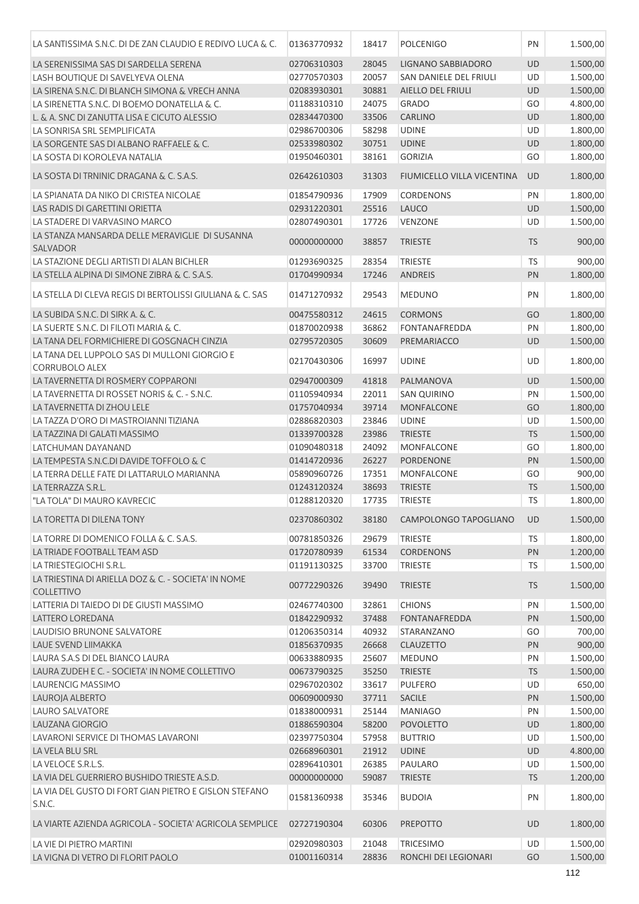| LA SANTISSIMA S.N.C. DI DE ZAN CLAUDIO E REDIVO LUCA & C.             | 01363770932                | 18417          | <b>POLCENIGO</b>           | PN              | 1.500,00             |
|-----------------------------------------------------------------------|----------------------------|----------------|----------------------------|-----------------|----------------------|
| LA SERENISSIMA SAS DI SARDELLA SERENA                                 | 02706310303                | 28045          | LIGNANO SABBIADORO         | <b>UD</b>       | 1.500,00             |
| LASH BOUTIQUE DI SAVELYEVA OLENA                                      | 02770570303                | 20057          | SAN DANIELE DEL FRIULI     | <b>UD</b>       | 1.500,00             |
| LA SIRENA S.N.C. DI BLANCH SIMONA & VRECH ANNA                        | 02083930301                | 30881          | <b>AIELLO DEL FRIULI</b>   | <b>UD</b>       | 1.500,00             |
| LA SIRENETTA S.N.C. DI BOEMO DONATELLA & C.                           | 01188310310                | 24075          | <b>GRADO</b>               | GO              | 4.800,00             |
| L. & A. SNC DI ZANUTTA LISA E CICUTO ALESSIO                          | 02834470300                | 33506          | CARLINO                    | <b>UD</b>       | 1.800,00             |
| LA SONRISA SRL SEMPLIFICATA                                           | 02986700306                | 58298          | <b>UDINE</b>               | UD              | 1.800,00             |
| LA SORGENTE SAS DI ALBANO RAFFAELE & C.                               | 02533980302                | 30751          | <b>UDINE</b>               | <b>UD</b>       | 1.800,00             |
| LA SOSTA DI KOROLEVA NATALIA                                          | 01950460301                | 38161          | <b>GORIZIA</b>             | GO              | 1.800,00             |
| LA SOSTA DI TRNINIC DRAGANA & C. S.A.S.                               | 02642610303                | 31303          | FIUMICELLO VILLA VICENTINA | <b>UD</b>       | 1.800,00             |
| LA SPIANATA DA NIKO DI CRISTEA NICOLAE                                | 01854790936                | 17909          | <b>CORDENONS</b>           | PN              | 1.800,00             |
| LAS RADIS DI GARETTINI ORIETTA                                        | 02931220301                | 25516          | LAUCO                      | <b>UD</b>       | 1.500,00             |
| LA STADERE DI VARVASINO MARCO                                         | 02807490301                | 17726          | <b>VENZONE</b>             | <b>UD</b>       | 1.500,00             |
| LA STANZA MANSARDA DELLE MERAVIGLIE DI SUSANNA<br><b>SALVADOR</b>     | 00000000000                | 38857          | <b>TRIESTE</b>             | <b>TS</b>       | 900,00               |
| LA STAZIONE DEGLI ARTISTI DI ALAN BICHLER                             | 01293690325                | 28354          | <b>TRIESTE</b>             | <b>TS</b>       | 900,00               |
| LA STELLA ALPINA DI SIMONE ZIBRA & C. S.A.S.                          | 01704990934                | 17246          | <b>ANDREIS</b>             | PN              | 1.800,00             |
| LA STELLA DI CLEVA REGIS DI BERTOLISSI GIULIANA & C. SAS              | 01471270932                | 29543          | <b>MEDUNO</b>              | PN              | 1.800,00             |
| LA SUBIDA S.N.C. DI SIRK A. & C.                                      | 00475580312                | 24615          | <b>CORMONS</b>             | GO              | 1.800,00             |
| LA SUERTE S.N.C. DI FILOTI MARIA & C.                                 | 01870020938                | 36862          | <b>FONTANAFREDDA</b>       | PN              | 1.800,00             |
| LA TANA DEL FORMICHIERE DI GOSGNACH CINZIA                            | 02795720305                | 30609          | PREMARIACCO                | <b>UD</b>       | 1.500,00             |
| LA TANA DEL LUPPOLO SAS DI MULLONI GIORGIO E<br><b>CORRUBOLO ALEX</b> | 02170430306                | 16997          | <b>UDINE</b>               | <b>UD</b>       | 1.800,00             |
| LA TAVERNETTA DI ROSMERY COPPARONI                                    | 02947000309                | 41818          | PALMANOVA                  | <b>UD</b>       | 1.500,00             |
| LA TAVERNETTA DI ROSSET NORIS & C. - S.N.C.                           | 01105940934                | 22011          | <b>SAN QUIRINO</b>         | PN              | 1.500,00             |
| LA TAVERNETTA DI ZHOU LELE                                            | 01757040934                | 39714          | <b>MONFALCONE</b>          | GO              | 1.800,00             |
| LA TAZZA D'ORO DI MASTROIANNI TIZIANA                                 | 02886820303                | 23846          | <b>UDINE</b>               | UD              | 1.500,00             |
| LA TAZZINA DI GALATI MASSIMO                                          | 01339700328                | 23986          | <b>TRIESTE</b>             | <b>TS</b>       | 1.500,00             |
| LATCHUMAN DAYANAND                                                    | 01090480318                | 24092          | <b>MONFALCONE</b>          | GO              | 1.800,00             |
| LA TEMPESTA S.N.C.DI DAVIDE TOFFOLO & C                               | 01414720936                | 26227          | <b>PORDENONE</b>           | PN              | 1.500,00             |
| LA TERRA DELLE FATE DI LATTARULO MARIANNA                             | 05890960726                | 17351          | <b>MONFALCONE</b>          | GO              | 900,00               |
| LA TERRAZZA S.R.L.                                                    | 01243120324                | 38693          | <b>TRIESTE</b>             | <b>TS</b>       | 1.500,00             |
| "LA TOLA" DI MAURO KAVRECIC                                           | 01288120320                | 17735          | <b>TRIESTE</b>             | <b>TS</b>       | 1.800,00             |
| LA TORETTA DI DILENA TONY                                             | 02370860302                | 38180          | CAMPOLONGO TAPOGLIANO      | <b>UD</b>       | 1.500,00             |
| LA TORRE DI DOMENICO FOLLA & C. S.A.S.                                | 00781850326                | 29679          | TRIESTE                    | TS              | 1.800,00             |
| LA TRIADE FOOTBALL TEAM ASD                                           | 01720780939                | 61534          | <b>CORDENONS</b>           | <b>PN</b>       | 1.200,00             |
| LA TRIESTEGIOCHI S.R.L.                                               | 01191130325                | 33700          | <b>TRIESTE</b>             | <b>TS</b>       | 1.500,00             |
| LA TRIESTINA DI ARIELLA DOZ & C. - SOCIETA' IN NOME<br>COLLETTIVO     | 00772290326                | 39490          | <b>TRIESTE</b>             | <b>TS</b>       | 1.500,00             |
| LATTERIA DI TAIEDO DI DE GIUSTI MASSIMO                               | 02467740300                | 32861          | <b>CHIONS</b>              | PN              | 1.500,00             |
| LATTERO LOREDANA                                                      | 01842290932                | 37488          | <b>FONTANAFREDDA</b>       | PN              | 1.500,00             |
| LAUDISIO BRUNONE SALVATORE                                            | 01206350314                | 40932          | STARANZANO                 | GO              | 700,00               |
| LAUE SVEND LIIMAKKA                                                   | 01856370935                | 26668          | <b>CLAUZETTO</b>           | PN              | 900,00               |
| LAURA S.A.S DI DEL BIANCO LAURA                                       | 00633880935                | 25607          | <b>MEDUNO</b>              | PN              | 1.500,00             |
| LAURA ZUDEH E C. - SOCIETA' IN NOME COLLETTIVO                        | 00673790325                | 35250          | <b>TRIESTE</b>             | <b>TS</b>       | 1.500,00             |
| LAURENCIG MASSIMO                                                     | 02967020302                | 33617          | <b>PULFERO</b>             | UD              | 650,00               |
| LAUROJA ALBERTO                                                       | 00609000930                | 37711          | SACILE<br><b>MANIAGO</b>   | <b>PN</b><br>PN | 1.500,00             |
| <b>LAURO SALVATORE</b>                                                | 01838000931<br>01886590304 | 25144<br>58200 | <b>POVOLETTO</b>           | <b>UD</b>       | 1.500,00<br>1.800,00 |
| LAUZANA GIORGIO<br>LAVARONI SERVICE DI THOMAS LAVARONI                | 02397750304                | 57958          | <b>BUTTRIO</b>             | UD              | 1.500,00             |
| LA VELA BLU SRL                                                       | 02668960301                | 21912          | <b>UDINE</b>               | UD              | 4.800,00             |
| LA VELOCE S.R.L.S.                                                    | 02896410301                | 26385          | <b>PAULARO</b>             | UD              | 1.500,00             |
| LA VIA DEL GUERRIERO BUSHIDO TRIESTE A.S.D.                           | 00000000000                | 59087          | <b>TRIESTE</b>             | <b>TS</b>       | 1.200,00             |
| LA VIA DEL GUSTO DI FORT GIAN PIETRO E GISLON STEFANO                 |                            |                |                            |                 |                      |
| S.N.C.                                                                | 01581360938                | 35346          | <b>BUDOIA</b>              | PN              | 1.800,00             |
| LA VIARTE AZIENDA AGRICOLA - SOCIETA' AGRICOLA SEMPLICE               | 02727190304                | 60306          | <b>PREPOTTO</b>            | UD              | 1.800,00             |
| LA VIE DI PIETRO MARTINI                                              | 02920980303                | 21048          | <b>TRICESIMO</b>           | UD              | 1.500,00             |
| LA VIGNA DI VETRO DI FLORIT PAOLO                                     | 01001160314                | 28836          | RONCHI DEI LEGIONARI       | GO              | 1.500,00             |
|                                                                       |                            |                |                            |                 |                      |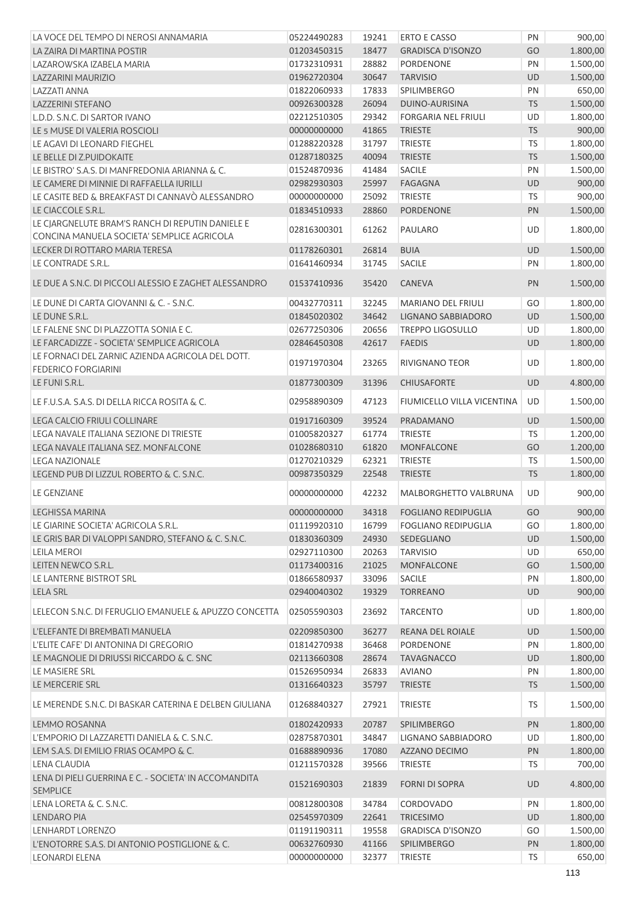| LA VOCE DEL TEMPO DI NEROSI ANNAMARIA                                                          | 05224490283 | 19241 | <b>ERTO E CASSO</b>                   | PN        | 900,00   |
|------------------------------------------------------------------------------------------------|-------------|-------|---------------------------------------|-----------|----------|
| LA ZAIRA DI MARTINA POSTIR                                                                     | 01203450315 | 18477 | <b>GRADISCA D'ISONZO</b>              | GO        | 1.800,00 |
| LAZAROWSKA IZABELA MARIA                                                                       | 01732310931 | 28882 | <b>PORDENONE</b>                      | PN        | 1.500,00 |
| LAZZARINI MAURIZIO                                                                             | 01962720304 | 30647 | <b>TARVISIO</b>                       | <b>UD</b> | 1.500,00 |
| <b>LAZZATI ANNA</b>                                                                            | 01822060933 | 17833 | <b>SPILIMBERGO</b>                    | PN        | 650,00   |
| <b>LAZZERINI STEFANO</b>                                                                       | 00926300328 | 26094 | DUINO-AURISINA                        | <b>TS</b> | 1.500,00 |
| L.D.D. S.N.C. DI SARTOR IVANO                                                                  | 02212510305 | 29342 | <b>FORGARIA NEL FRIULI</b>            | <b>UD</b> | 1.800,00 |
| LE 5 MUSE DI VALERIA ROSCIOLI                                                                  | 00000000000 | 41865 | <b>TRIESTE</b>                        | <b>TS</b> | 900,00   |
| LE AGAVI DI LEONARD FIEGHEL                                                                    | 01288220328 | 31797 | <b>TRIESTE</b>                        | TS        | 1.800,00 |
| LE BELLE DI Z.PUIDOKAITE                                                                       | 01287180325 | 40094 | <b>TRIESTE</b>                        | <b>TS</b> | 1.500,00 |
| LE BISTRO' S.A.S. DI MANFREDONIA ARIANNA & C.                                                  | 01524870936 | 41484 | <b>SACILE</b>                         | PN        | 1.500,00 |
| LE CAMERE DI MINNIE DI RAFFAELLA IURILLI                                                       | 02982930303 | 25997 | <b>FAGAGNA</b>                        | <b>UD</b> | 900,00   |
| LE CASITE BED & BREAKFAST DI CANNAVÒ ALESSANDRO                                                | 00000000000 | 25092 | <b>TRIESTE</b>                        | TS.       | 900,00   |
|                                                                                                |             | 28860 |                                       |           |          |
| LE CIACCOLE S.R.L.                                                                             | 01834510933 |       | <b>PORDENONE</b>                      | PN        | 1.500,00 |
| LE CJARGNELUTE BRAM'S RANCH DI REPUTIN DANIELE E<br>CONCINA MANUELA SOCIETA' SEMPLICE AGRICOLA | 02816300301 | 61262 | PAULARO                               | UD        | 1.800,00 |
| LECKER DI ROTTARO MARIA TERESA                                                                 | 01178260301 | 26814 | <b>BUIA</b>                           | <b>UD</b> | 1.500,00 |
| LE CONTRADE S.R.L.                                                                             | 01641460934 | 31745 | <b>SACILE</b>                         | PN        | 1.800,00 |
|                                                                                                |             |       |                                       |           |          |
| LE DUE A S.N.C. DI PICCOLI ALESSIO E ZAGHET ALESSANDRO                                         | 01537410936 | 35420 | CANEVA                                | PN        | 1.500,00 |
| LE DUNE DI CARTA GIOVANNI & C. - S.N.C.                                                        | 00432770311 | 32245 | MARIANO DEL FRIULI                    | GO        | 1.800,00 |
| LE DUNE S.R.L.                                                                                 | 01845020302 | 34642 | LIGNANO SABBIADORO                    | <b>UD</b> | 1.500,00 |
| LE FALENE SNC DI PLAZZOTTA SONIA E C.                                                          | 02677250306 | 20656 | <b>TREPPO LIGOSULLO</b>               | UD        | 1.800,00 |
| LE FARCADIZZE - SOCIETA' SEMPLICE AGRICOLA                                                     | 02846450308 | 42617 | <b>FAEDIS</b>                         | <b>UD</b> | 1.800,00 |
| LE FORNACI DEL ZARNIC AZIENDA AGRICOLA DEL DOTT.                                               | 01971970304 | 23265 | <b>RIVIGNANO TEOR</b>                 | UD        | 1.800,00 |
| <b>FEDERICO FORGIARINI</b><br>LE FUNI S.R.L.                                                   | 01877300309 | 31396 | <b>CHIUSAFORTE</b>                    | <b>UD</b> | 4.800,00 |
| LE F.U.S.A. S.A.S. DI DELLA RICCA ROSITA & C.                                                  | 02958890309 | 47123 | FIUMICELLO VILLA VICENTINA            | UD        | 1.500,00 |
|                                                                                                |             |       |                                       |           |          |
| LEGA CALCIO FRIULI COLLINARE                                                                   | 01917160309 | 39524 | PRADAMANO                             | UD        | 1.500,00 |
| LEGA NAVALE ITALIANA SEZIONE DI TRIESTE                                                        | 01005820327 | 61774 | <b>TRIESTE</b>                        | <b>TS</b> | 1.200,00 |
| LEGA NAVALE ITALIANA SEZ. MONFALCONE                                                           | 01028680310 | 61820 | <b>MONFALCONE</b>                     | GO        | 1.200,00 |
| <b>LEGA NAZIONALE</b>                                                                          | 01270210329 | 62321 | <b>TRIESTE</b>                        | <b>TS</b> | 1.500,00 |
| LEGEND PUB DI LIZZUL ROBERTO & C. S.N.C.                                                       | 00987350329 | 22548 | <b>TRIESTE</b>                        | <b>TS</b> | 1.800,00 |
| <b>LE GENZIANE</b>                                                                             | 00000000000 | 42232 | MALBORGHETTO VALBRUNA                 | UD        | 900,00   |
| <b>LEGHISSA MARINA</b>                                                                         |             |       | 00000000000 34318 FOGLIANO REDIPUGLIA | GO        | 900,00   |
| LE GIARINE SOCIETA' AGRICOLA S.R.L.                                                            | 01119920310 | 16799 | <b>FOGLIANO REDIPUGLIA</b>            | GO        | 1.800,00 |
| LE GRIS BAR DI VALOPPI SANDRO, STEFANO & C. S.N.C.                                             | 01830360309 | 24930 | SEDEGLIANO                            | <b>UD</b> | 1.500,00 |
| <b>LEILA MEROI</b>                                                                             | 02927110300 | 20263 | <b>TARVISIO</b>                       | UD        | 650,00   |
| LEITEN NEWCO S.R.L.                                                                            | 01173400316 | 21025 | <b>MONFALCONE</b>                     | GO        | 1.500,00 |
| LE LANTERNE BISTROT SRL                                                                        | 01866580937 | 33096 | SACILE                                | PN        | 1.800,00 |
| <b>LELA SRL</b>                                                                                | 02940040302 | 19329 | <b>TORREANO</b>                       | <b>UD</b> | 900,00   |
|                                                                                                |             |       |                                       |           |          |
| LELECON S.N.C. DI FERUGLIO EMANUELE & APUZZO CONCETTA                                          | 02505590303 | 23692 | <b>TARCENTO</b>                       | UD        | 1.800,00 |
| L'ELEFANTE DI BREMBATI MANUELA                                                                 | 02209850300 | 36277 | REANA DEL ROIALE                      | UD        | 1.500,00 |
| L'ELITE CAFE' DI ANTONINA DI GREGORIO                                                          | 01814270938 | 36468 | PORDENONE                             | PN        | 1.800,00 |
| LE MAGNOLIE DI DRIUSSI RICCARDO & C. SNC                                                       | 02113660308 | 28674 | <b>TAVAGNACCO</b>                     | <b>UD</b> | 1.800,00 |
| LE MASIERE SRL                                                                                 | 01526950934 | 26833 | <b>AVIANO</b>                         | PN        | 1.800,00 |
| LE MERCERIE SRL                                                                                | 01316640323 | 35797 | <b>TRIESTE</b>                        | <b>TS</b> | 1.500,00 |
| LE MERENDE S.N.C. DI BASKAR CATERINA E DELBEN GIULIANA                                         | 01268840327 | 27921 | <b>TRIESTE</b>                        | TS.       | 1.500,00 |
| LEMMO ROSANNA                                                                                  | 01802420933 | 20787 | <b>SPILIMBERGO</b>                    | PN        | 1.800,00 |
| L'EMPORIO DI LAZZARETTI DANIELA & C. S.N.C.                                                    | 02875870301 | 34847 | LIGNANO SABBIADORO                    | UD        | 1.800,00 |
| LEM S.A.S. DI EMILIO FRIAS OCAMPO & C.                                                         | 01688890936 | 17080 | AZZANO DECIMO                         | PN        | 1.800,00 |
| LENA CLAUDIA                                                                                   | 01211570328 | 39566 | <b>TRIESTE</b>                        | <b>TS</b> | 700,00   |
| LENA DI PIELI GUERRINA E C. - SOCIETA' IN ACCOMANDITA                                          | 01521690303 | 21839 | <b>FORNI DI SOPRA</b>                 | <b>UD</b> | 4.800,00 |
| <b>SEMPLICE</b>                                                                                |             |       |                                       |           |          |
| LENA LORETA & C. S.N.C.                                                                        | 00812800308 | 34784 | CORDOVADO                             | PN        | 1.800,00 |
| <b>LENDARO PIA</b>                                                                             | 02545970309 | 22641 | <b>TRICESIMO</b>                      | UD        | 1.800,00 |
| LENHARDT LORENZO                                                                               | 01191190311 | 19558 | <b>GRADISCA D'ISONZO</b>              | GO        | 1.500,00 |
| L'ENOTORRE S.A.S. DI ANTONIO POSTIGLIONE & C.                                                  | 00632760930 | 41166 | <b>SPILIMBERGO</b>                    | <b>PN</b> | 1.800,00 |
| <b>LEONARDI ELENA</b>                                                                          | 00000000000 | 32377 | <b>TRIESTE</b>                        | <b>TS</b> | 650,00   |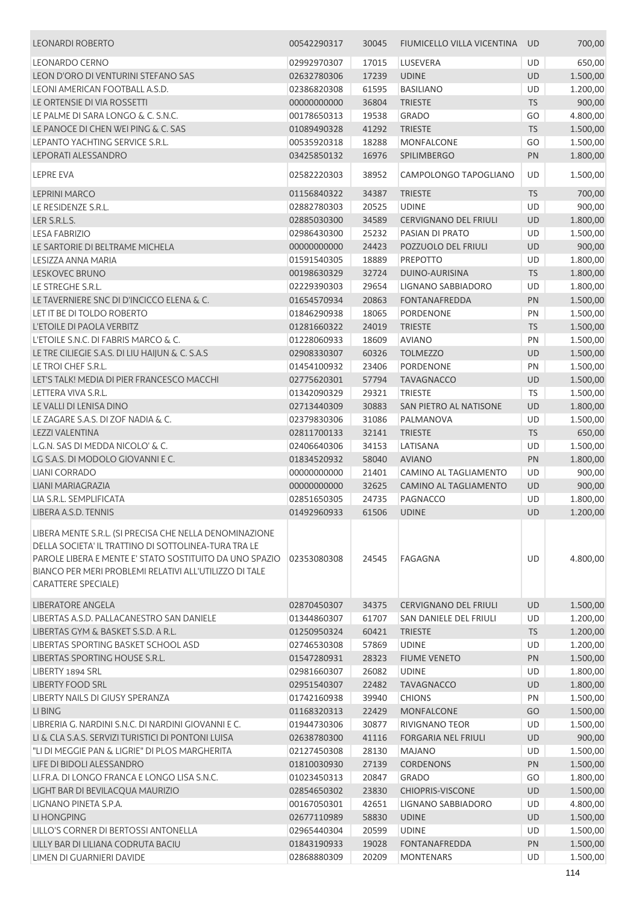| <b>LEONARDI ROBERTO</b>                                                                                                                                                                                                                                            | 00542290317 | 30045 | FIUMICELLO VILLA VICENTINA   | <b>UD</b> | 700,00   |
|--------------------------------------------------------------------------------------------------------------------------------------------------------------------------------------------------------------------------------------------------------------------|-------------|-------|------------------------------|-----------|----------|
| LEONARDO CERNO                                                                                                                                                                                                                                                     | 02992970307 | 17015 | LUSEVERA                     | UD        | 650,00   |
| LEON D'ORO DI VENTURINI STEFANO SAS                                                                                                                                                                                                                                | 02632780306 | 17239 | <b>UDINE</b>                 | <b>UD</b> | 1.500,00 |
| LEONI AMERICAN FOOTBALL A.S.D.                                                                                                                                                                                                                                     | 02386820308 | 61595 | <b>BASILIANO</b>             | UD        | 1.200,00 |
| LE ORTENSIE DI VIA ROSSETTI                                                                                                                                                                                                                                        | 00000000000 | 36804 | <b>TRIESTE</b>               | <b>TS</b> | 900,00   |
| LE PALME DI SARA LONGO & C. S.N.C.                                                                                                                                                                                                                                 | 00178650313 | 19538 | <b>GRADO</b>                 | GO        | 4.800,00 |
| LE PANOCE DI CHEN WEI PING & C. SAS                                                                                                                                                                                                                                | 01089490328 | 41292 | <b>TRIESTE</b>               | <b>TS</b> | 1.500,00 |
| LEPANTO YACHTING SERVICE S.R.L.                                                                                                                                                                                                                                    | 00535920318 | 18288 | <b>MONFALCONE</b>            | GO        | 1.500,00 |
| LEPORATI ALESSANDRO                                                                                                                                                                                                                                                | 03425850132 | 16976 | <b>SPILIMBERGO</b>           | PN        | 1.800,00 |
| LEPRE EVA                                                                                                                                                                                                                                                          | 02582220303 | 38952 | CAMPOLONGO TAPOGLIANO        | UD        | 1.500,00 |
| LEPRINI MARCO                                                                                                                                                                                                                                                      | 01156840322 | 34387 | <b>TRIESTE</b>               | <b>TS</b> | 700,00   |
| LE RESIDENZE S.R.L.                                                                                                                                                                                                                                                | 02882780303 | 20525 | <b>UDINE</b>                 | UD        | 900,00   |
| LER S.R.L.S.                                                                                                                                                                                                                                                       | 02885030300 | 34589 | <b>CERVIGNANO DEL FRIULI</b> | UD        | 1.800,00 |
| <b>LESA FABRIZIO</b>                                                                                                                                                                                                                                               | 02986430300 | 25232 | PASIAN DI PRATO              | UD        | 1.500,00 |
| LE SARTORIE DI BELTRAME MICHELA                                                                                                                                                                                                                                    | 00000000000 | 24423 | POZZUOLO DEL FRIULI          | UD        | 900,00   |
| LESIZZA ANNA MARIA                                                                                                                                                                                                                                                 | 01591540305 | 18889 | <b>PREPOTTO</b>              | UD        | 1.800,00 |
| <b>LESKOVEC BRUNO</b>                                                                                                                                                                                                                                              | 00198630329 | 32724 | DUINO-AURISINA               | <b>TS</b> | 1.800,00 |
| LE STREGHE S.R.L.                                                                                                                                                                                                                                                  | 02229390303 | 29654 | <b>LIGNANO SABBIADORO</b>    | UD        | 1.800,00 |
| LE TAVERNIERE SNC DI D'INCICCO ELENA & C.                                                                                                                                                                                                                          | 01654570934 | 20863 | <b>FONTANAFREDDA</b>         | PN        | 1.500,00 |
| LET IT BE DI TOLDO ROBERTO                                                                                                                                                                                                                                         | 01846290938 | 18065 | <b>PORDENONE</b>             | PN        | 1.500,00 |
| L'ETOILE DI PAOLA VERBITZ                                                                                                                                                                                                                                          | 01281660322 | 24019 | <b>TRIESTE</b>               | <b>TS</b> | 1.500,00 |
| L'ETOILE S.N.C. DI FABRIS MARCO & C.                                                                                                                                                                                                                               | 01228060933 | 18609 | <b>AVIANO</b>                | PN        | 1.500,00 |
| LE TRE CILIEGIE S.A.S. DI LIU HAIJUN & C. S.A.S                                                                                                                                                                                                                    | 02908330307 | 60326 | <b>TOLMEZZO</b>              | UD        | 1.500,00 |
| LE TROI CHEF S.R.L.                                                                                                                                                                                                                                                | 01454100932 | 23406 | PORDENONE                    | PN        | 1.500,00 |
| LET'S TALK! MEDIA DI PIER FRANCESCO MACCHI                                                                                                                                                                                                                         | 02775620301 | 57794 | <b>TAVAGNACCO</b>            | UD        | 1.500,00 |
| LETTERA VIVA S.R.L.                                                                                                                                                                                                                                                | 01342090329 | 29321 | <b>TRIESTE</b>               | TS        | 1.500,00 |
| LE VALLI DI LENISA DINO                                                                                                                                                                                                                                            | 02713440309 | 30883 | SAN PIETRO AL NATISONE       | UD        | 1.800,00 |
| LE ZAGARE S.A.S. DI ZOF NADIA & C.                                                                                                                                                                                                                                 | 02379830306 | 31086 | PALMANOVA                    | UD        | 1.500,00 |
| LEZZI VALENTINA                                                                                                                                                                                                                                                    | 02811700133 | 32141 | <b>TRIESTE</b>               | <b>TS</b> | 650,00   |
| L.G.N. SAS DI MEDDA NICOLO' & C.                                                                                                                                                                                                                                   | 02406640306 | 34153 | LATISANA                     | UD        | 1.500,00 |
| LG S.A.S. DI MODOLO GIOVANNI E C.                                                                                                                                                                                                                                  | 01834520932 | 58040 | <b>AVIANO</b>                | PN        | 1.800,00 |
| <b>LIANI CORRADO</b>                                                                                                                                                                                                                                               | 00000000000 | 21401 | CAMINO AL TAGLIAMENTO        | UD        | 900,00   |
| LIANI MARIAGRAZIA                                                                                                                                                                                                                                                  | 00000000000 | 32625 | CAMINO AL TAGLIAMENTO        | UD        | 900,00   |
| LIA S.R.L. SEMPLIFICATA                                                                                                                                                                                                                                            | 02851650305 | 24735 | <b>PAGNACCO</b>              | UD        | 1.800,00 |
| LIBERA A.S.D. TENNIS                                                                                                                                                                                                                                               | 01492960933 | 61506 | <b>UDINE</b>                 | <b>UD</b> | 1.200,00 |
| LIBERA MENTE S.R.L. (SI PRECISA CHE NELLA DENOMINAZIONE<br>DELLA SOCIETA' IL TRATTINO DI SOTTOLINEA-TURA TRA LE<br>PAROLE LIBERA E MENTE E' STATO SOSTITUITO DA UNO SPAZIO<br>BIANCO PER MERI PROBLEMI RELATIVI ALL'UTILIZZO DI TALE<br><b>CARATTERE SPECIALE)</b> | 02353080308 | 24545 | FAGAGNA                      | UD        | 4.800,00 |
| <b>LIBERATORE ANGELA</b>                                                                                                                                                                                                                                           | 02870450307 | 34375 | <b>CERVIGNANO DEL FRIULI</b> | UD        | 1.500,00 |
| LIBERTAS A.S.D. PALLACANESTRO SAN DANIELE                                                                                                                                                                                                                          | 01344860307 | 61707 | SAN DANIELE DEL FRIULI       | UD        | 1.200,00 |
| LIBERTAS GYM & BASKET S.S.D. A R.L.                                                                                                                                                                                                                                | 01250950324 | 60421 | <b>TRIESTE</b>               | <b>TS</b> | 1.200,00 |
| LIBERTAS SPORTING BASKET SCHOOL ASD                                                                                                                                                                                                                                | 02746530308 | 57869 | <b>UDINE</b>                 | <b>UD</b> | 1.200,00 |
| LIBERTAS SPORTING HOUSE S.R.L.                                                                                                                                                                                                                                     | 01547280931 | 28323 | <b>FIUME VENETO</b>          | <b>PN</b> | 1.500,00 |
| LIBERTY 1894 SRL                                                                                                                                                                                                                                                   | 02981660307 | 26082 | <b>UDINE</b>                 | UD        | 1.800,00 |
| LIBERTY FOOD SRL                                                                                                                                                                                                                                                   | 02951540307 | 22482 | <b>TAVAGNACCO</b>            | UD        | 1.800,00 |
| LIBERTY NAILS DI GIUSY SPERANZA                                                                                                                                                                                                                                    | 01742160938 | 39940 | <b>CHIONS</b>                | PN        | 1.500,00 |
| LI BING                                                                                                                                                                                                                                                            | 01168320313 | 22429 | <b>MONFALCONE</b>            | GO        | 1.500,00 |
| LIBRERIA G. NARDINI S.N.C. DI NARDINI GIOVANNI E C.                                                                                                                                                                                                                | 01944730306 | 30877 | <b>RIVIGNANO TEOR</b>        | UD        | 1.500,00 |
| LI & CLA S.A.S. SERVIZI TURISTICI DI PONTONI LUISA                                                                                                                                                                                                                 | 02638780300 | 41116 | <b>FORGARIA NEL FRIULI</b>   | UD        | 900,00   |
| "LI DI MEGGIE PAN & LIGRIE" DI PLOS MARGHERITA                                                                                                                                                                                                                     | 02127450308 | 28130 | <b>MAJANO</b>                | UD        | 1.500,00 |
| LIFE DI BIDOLI ALESSANDRO                                                                                                                                                                                                                                          | 01810030930 | 27139 | <b>CORDENONS</b>             | <b>PN</b> | 1.500,00 |
| LI.FR.A. DI LONGO FRANCA E LONGO LISA S.N.C.                                                                                                                                                                                                                       | 01023450313 | 20847 | <b>GRADO</b>                 | GO        | 1.800,00 |
| LIGHT BAR DI BEVILACQUA MAURIZIO                                                                                                                                                                                                                                   | 02854650302 | 23830 | <b>CHIOPRIS-VISCONE</b>      | <b>UD</b> | 1.500,00 |
| LIGNANO PINETA S.P.A.                                                                                                                                                                                                                                              | 00167050301 | 42651 | LIGNANO SABBIADORO           | <b>UD</b> | 4.800,00 |
| LI HONGPING                                                                                                                                                                                                                                                        | 02677110989 | 58830 | <b>UDINE</b>                 | <b>UD</b> | 1.500,00 |
| LILLO'S CORNER DI BERTOSSI ANTONELLA                                                                                                                                                                                                                               | 02965440304 | 20599 | <b>UDINE</b>                 | UD        | 1.500,00 |
| LILLY BAR DI LILIANA CODRUTA BACIU                                                                                                                                                                                                                                 | 01843190933 | 19028 | <b>FONTANAFREDDA</b>         | PN        | 1.500,00 |
| LIMEN DI GUARNIERI DAVIDE                                                                                                                                                                                                                                          | 02868880309 | 20209 | <b>MONTENARS</b>             | UD        | 1.500,00 |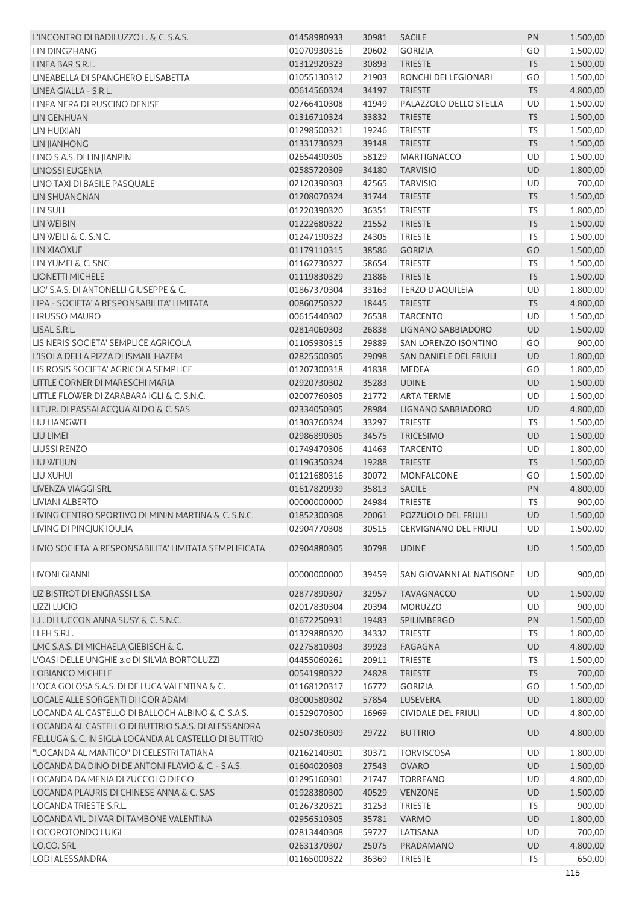| L'INCONTRO DI BADILUZZO L. & C. S.A.S.                 | 01458980933 | 30981 | <b>SACILE</b>                | PN              | 1.500,00 |
|--------------------------------------------------------|-------------|-------|------------------------------|-----------------|----------|
| LIN DINGZHANG                                          | 01070930316 | 20602 | <b>GORIZIA</b>               | GO              | 1.500,00 |
| LINEA BAR S.R.L.                                       | 01312920323 | 30893 | <b>TRIESTE</b>               | <b>TS</b>       | 1.500,00 |
| LINEABELLA DI SPANGHERO ELISABETTA                     | 01055130312 | 21903 | RONCHI DEI LEGIONARI         | GO              | 1.500,00 |
| LINEA GIALLA - S.R.L.                                  | 00614560324 | 34197 | <b>TRIESTE</b>               | <b>TS</b>       | 4.800,00 |
| LINFA NERA DI RUSCINO DENISE                           | 02766410308 | 41949 | PALAZZOLO DELLO STELLA       | UD              | 1.500,00 |
| LIN GENHUAN                                            | 01316710324 | 33832 | <b>TRIESTE</b>               | <b>TS</b>       | 1.500,00 |
| LIN HUIXIAN                                            | 01298500321 | 19246 | <b>TRIESTE</b>               | <b>TS</b>       | 1.500,00 |
| <b>LIN JIANHONG</b>                                    | 01331730323 | 39148 | <b>TRIESTE</b>               | <b>TS</b>       | 1.500,00 |
| LINO S.A.S. DI LIN JIANPIN                             | 02654490305 | 58129 | <b>MARTIGNACCO</b>           | <b>UD</b>       | 1.500,00 |
| <b>LINOSSI EUGENIA</b>                                 | 02585720309 | 34180 | <b>TARVISIO</b>              | UD              | 1.800,00 |
| LINO TAXI DI BASILE PASQUALE                           | 02120390303 | 42565 | <b>TARVISIO</b>              | <b>UD</b>       | 700,00   |
| LIN SHUANGNAN                                          | 01208070324 | 31744 | <b>TRIESTE</b>               | <b>TS</b>       | 1.500,00 |
| <b>LIN SULI</b>                                        | 01220390320 | 36351 | <b>TRIESTE</b>               | <b>TS</b>       | 1.800,00 |
| LIN WEIBIN                                             | 01222680322 | 21552 | <b>TRIESTE</b>               | <b>TS</b>       | 1.500,00 |
| LIN WEILI & C. S.N.C.                                  | 01247190323 | 24305 | <b>TRIESTE</b>               | TS              | 1.500,00 |
| LIN XIAOXUE                                            | 01179110315 | 38586 | <b>GORIZIA</b>               | GO              | 1.500,00 |
| LIN YUMEI & C. SNC                                     | 01162730327 | 58654 | <b>TRIESTE</b>               | TS              | 1.500,00 |
| LIONETTI MICHELE                                       | 01119830329 |       | <b>TRIESTE</b>               | <b>TS</b>       | 1.500,00 |
| LIO' S.A.S. DI ANTONELLI GIUSEPPE & C.                 | 01867370304 | 21886 | <b>TERZO D'AQUILEIA</b>      |                 |          |
|                                                        |             | 33163 |                              | UD<br><b>TS</b> | 1.800,00 |
| LIPA - SOCIETA' A RESPONSABILITA' LIMITATA             | 00860750322 | 18445 | <b>TRIESTE</b>               |                 | 4.800,00 |
| <b>LIRUSSO MAURO</b>                                   | 00615440302 | 26538 | <b>TARCENTO</b>              | UD              | 1.500,00 |
| LISAL S.R.L.                                           | 02814060303 | 26838 | LIGNANO SABBIADORO           | <b>UD</b>       | 1.500,00 |
| LIS NERIS SOCIETA' SEMPLICE AGRICOLA                   | 01105930315 | 29889 | SAN LORENZO ISONTINO         | GO              | 900,00   |
| L'ISOLA DELLA PIZZA DI ISMAIL HAZEM                    | 02825500305 | 29098 | SAN DANIELE DEL FRIULI       | <b>UD</b>       | 1.800,00 |
| LIS ROSIS SOCIETA' AGRICOLA SEMPLICE                   | 01207300318 | 41838 | <b>MEDEA</b>                 | GO              | 1.800,00 |
| LITTLE CORNER DI MARESCHI MARIA                        | 02920730302 | 35283 | <b>UDINE</b>                 | UD              | 1.500,00 |
| LITTLE FLOWER DI ZARABARA IGLI & C. S.N.C.             | 02007760305 | 21772 | <b>ARTA TERME</b>            | <b>UD</b>       | 1.500,00 |
| LI.TUR. DI PASSALACQUA ALDO & C. SAS                   | 02334050305 | 28984 | LIGNANO SABBIADORO           | <b>UD</b>       | 4.800,00 |
| <b>LIU LIANGWEI</b>                                    | 01303760324 | 33297 | <b>TRIESTE</b>               | <b>TS</b>       | 1.500,00 |
| LIU LIMEI                                              | 02986890305 | 34575 | <b>TRICESIMO</b>             | <b>UD</b>       | 1.500,00 |
| <b>LIUSSI RENZO</b>                                    | 01749470306 | 41463 | <b>TARCENTO</b>              | UD              | 1.800,00 |
| LIU WEIJUN                                             | 01196350324 | 19288 | <b>TRIESTE</b>               | <b>TS</b>       | 1.500,00 |
| LIU XUHUI                                              | 01121680316 | 30072 | <b>MONFALCONE</b>            | GO              | 1.500,00 |
| LIVENZA VIAGGI SRL                                     | 01617820939 | 35813 | SACILE                       | PN              | 4.800,00 |
| LIVIANI ALBERTO                                        | 00000000000 | 24984 | <b>TRIESTE</b>               | TS              | 900,00   |
| LIVING CENTRO SPORTIVO DI MININ MARTINA & C. S.N.C.    | 01852300308 | 20061 | POZZUOLO DEL FRIULI          | UD              | 1.500,00 |
| LIVING DI PINCJUK IOULIA                               | 02904770308 | 30515 | <b>CERVIGNANO DEL FRIULI</b> | UD              | 1.500,00 |
| LIVIO SOCIETA' A RESPONSABILITA' LIMITATA SEMPLIFICATA | 02904880305 | 30798 | <b>UDINE</b>                 | <b>UD</b>       | 1.500,00 |
| <b>LIVONI GIANNI</b>                                   | 00000000000 | 39459 | SAN GIOVANNI AL NATISONE     | <b>UD</b>       | 900,00   |
| LIZ BISTROT DI ENGRASSI LISA                           | 02877890307 | 32957 | <b>TAVAGNACCO</b>            | <b>UD</b>       | 1.500,00 |
| <b>LIZZI LUCIO</b>                                     | 02017830304 | 20394 | <b>MORUZZO</b>               | UD              | 900,00   |
| L.L. DI LUCCON ANNA SUSY & C. S.N.C.                   | 01672250931 | 19483 | SPILIMBERGO                  | PN              | 1.500,00 |
| LLFH S.R.L.                                            | 01329880320 | 34332 | <b>TRIESTE</b>               | <b>TS</b>       | 1.800,00 |
| LMC S.A.S. DI MICHAELA GIEBISCH & C.                   | 02275810303 | 39923 | <b>FAGAGNA</b>               | UD              | 4.800,00 |
| L'OASI DELLE UNGHIE 3.0 DI SILVIA BORTOLUZZI           | 04455060261 | 20911 | <b>TRIESTE</b>               | <b>TS</b>       | 1.500,00 |
| <b>LOBIANCO MICHELE</b>                                | 00541980322 | 24828 | <b>TRIESTE</b>               | <b>TS</b>       | 700,00   |
| L'OCA GOLOSA S.A.S. DI DE LUCA VALENTINA & C.          | 01168120317 | 16772 | <b>GORIZIA</b>               | GO              | 1.500,00 |
| LOCALE ALLE SORGENTI DI IGOR ADAMI                     | 03000580302 | 57854 | LUSEVERA                     | <b>UD</b>       | 1.800,00 |
| LOCANDA AL CASTELLO DI BALLOCH ALBINO & C. S.A.S.      | 01529070300 | 16969 | <b>CIVIDALE DEL FRIULI</b>   | UD              | 4.800,00 |
| LOCANDA AL CASTELLO DI BUTTRIO S.A.S. DI ALESSANDRA    | 02507360309 | 29722 | <b>BUTTRIO</b>               | <b>UD</b>       | 4.800,00 |
| FELLUGA & C. IN SIGLA LOCANDA AL CASTELLO DI BUTTRIO   |             |       |                              |                 |          |
| "LOCANDA AL MANTICO" DI CELESTRI TATIANA               | 02162140301 | 30371 | <b>TORVISCOSA</b>            | UD              | 1.800,00 |
| LOCANDA DA DINO DI DE ANTONI FLAVIO & C. - S.A.S.      | 01604020303 | 27543 | <b>OVARO</b>                 | UD              | 1.500,00 |
| LOCANDA DA MENIA DI ZUCCOLO DIEGO                      | 01295160301 | 21747 | <b>TORREANO</b>              | UD              | 4.800,00 |
| LOCANDA PLAURIS DI CHINESE ANNA & C. SAS               | 01928380300 | 40529 | VENZONE                      | <b>UD</b>       | 1.500,00 |
| LOCANDA TRIESTE S.R.L.                                 | 01267320321 | 31253 | <b>TRIESTE</b>               | <b>TS</b>       | 900,00   |
| LOCANDA VIL DI VAR DI TAMBONE VALENTINA                | 02956510305 | 35781 | VARMO                        | <b>UD</b>       | 1.800,00 |
| LOCOROTONDO LUIGI                                      | 02813440308 | 59727 | LATISANA                     | UD              | 700,00   |
| LO.CO. SRL                                             | 02631370307 | 25075 | PRADAMANO                    | <b>UD</b>       | 4.800,00 |
| <b>LODI ALESSANDRA</b>                                 | 01165000322 | 36369 | <b>TRIESTE</b>               | TS              | 650,00   |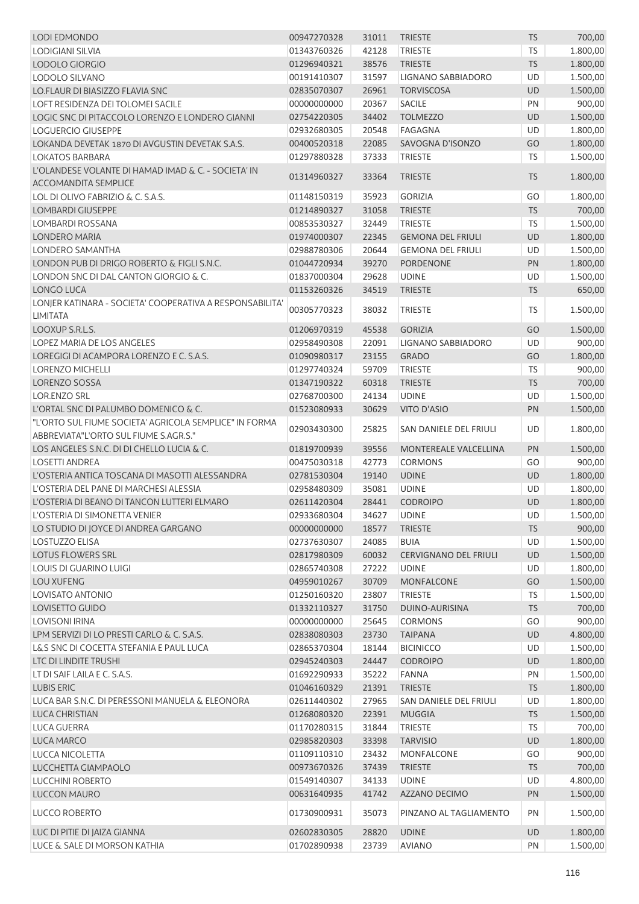| <b>LODI EDMONDO</b>                                                                             | 00947270328 | 31011 | <b>TRIESTE</b>               | <b>TS</b> | 700,00   |
|-------------------------------------------------------------------------------------------------|-------------|-------|------------------------------|-----------|----------|
| <b>LODIGIANI SILVIA</b>                                                                         | 01343760326 | 42128 | <b>TRIESTE</b>               | <b>TS</b> | 1.800,00 |
| <b>LODOLO GIORGIO</b>                                                                           | 01296940321 | 38576 | <b>TRIESTE</b>               | <b>TS</b> | 1.800,00 |
| LODOLO SILVANO                                                                                  | 00191410307 | 31597 | LIGNANO SABBIADORO           | <b>UD</b> | 1.500,00 |
| LO.FLAUR DI BIASIZZO FLAVIA SNC                                                                 | 02835070307 | 26961 | <b>TORVISCOSA</b>            | <b>UD</b> | 1.500,00 |
| LOFT RESIDENZA DEI TOLOMEI SACILE                                                               | 00000000000 | 20367 | <b>SACILE</b>                | PN        | 900,00   |
| LOGIC SNC DI PITACCOLO LORENZO E LONDERO GIANNI                                                 | 02754220305 | 34402 | <b>TOLMEZZO</b>              | <b>UD</b> | 1.500,00 |
| <b>LOGUERCIO GIUSEPPE</b>                                                                       | 02932680305 | 20548 | <b>FAGAGNA</b>               | UD        | 1.800,00 |
| LOKANDA DEVETAK 1870 DI AVGUSTIN DEVETAK S.A.S.                                                 | 00400520318 | 22085 | SAVOGNA D'ISONZO             | GO        | 1.800,00 |
| <b>LOKATOS BARBARA</b>                                                                          | 01297880328 | 37333 | <b>TRIESTE</b>               | TS        | 1.500,00 |
| L'OLANDESE VOLANTE DI HAMAD IMAD & C. - SOCIETA' IN<br><b>ACCOMANDITA SEMPLICE</b>              | 01314960327 | 33364 | <b>TRIESTE</b>               | <b>TS</b> | 1.800,00 |
| LOL DI OLIVO FABRIZIO & C. S.A.S.                                                               | 01148150319 | 35923 | <b>GORIZIA</b>               | GO        | 1.800,00 |
| <b>LOMBARDI GIUSEPPE</b>                                                                        | 01214890327 | 31058 | <b>TRIESTE</b>               | <b>TS</b> | 700,00   |
| LOMBARDI ROSSANA                                                                                | 00853530327 | 32449 | <b>TRIESTE</b>               | TS        | 1.500,00 |
| LONDERO MARIA                                                                                   | 01974000307 | 22345 | <b>GEMONA DEL FRIULI</b>     | UD        | 1.800,00 |
| <b>LONDERO SAMANTHA</b>                                                                         | 02988780306 | 20644 | <b>GEMONA DEL FRIULI</b>     | <b>UD</b> | 1.500,00 |
| LONDON PUB DI DRIGO ROBERTO & FIGLI S.N.C.                                                      | 01044720934 | 39270 | <b>PORDENONE</b>             | PN        | 1.800,00 |
| LONDON SNC DI DAL CANTON GIORGIO & C.                                                           | 01837000304 | 29628 | <b>UDINE</b>                 | UD        | 1.500,00 |
| <b>LONGO LUCA</b>                                                                               | 01153260326 | 34519 | <b>TRIESTE</b>               | <b>TS</b> | 650,00   |
| LONJER KATINARA - SOCIETA' COOPERATIVA A RESPONSABILITA'                                        |             |       |                              |           |          |
| <b>LIMITATA</b>                                                                                 | 00305770323 | 38032 | <b>TRIESTE</b>               | <b>TS</b> | 1.500,00 |
| LOOXUP S.R.L.S.                                                                                 | 01206970319 | 45538 | <b>GORIZIA</b>               | GO        | 1.500,00 |
| LOPEZ MARIA DE LOS ANGELES                                                                      | 02958490308 | 22091 | LIGNANO SABBIADORO           | UD        | 900,00   |
| LOREGIGI DI ACAMPORA LORENZO E C. S.A.S.                                                        | 01090980317 | 23155 | <b>GRADO</b>                 | GO        | 1.800,00 |
| <b>LORENZO MICHELLI</b>                                                                         | 01297740324 | 59709 | <b>TRIESTE</b>               | TS        | 900,00   |
| <b>LORENZO SOSSA</b>                                                                            | 01347190322 | 60318 | <b>TRIESTE</b>               | <b>TS</b> | 700,00   |
| <b>LOR.ENZO SRL</b>                                                                             | 02768700300 | 24134 | <b>UDINE</b>                 | UD        | 1.500,00 |
| L'ORTAL SNC DI PALUMBO DOMENICO & C.                                                            | 01523080933 | 30629 | VITO D'ASIO                  | PN        | 1.500,00 |
| "L'ORTO SUL FIUME SOCIETA' AGRICOLA SEMPLICE" IN FORMA<br>ABBREVIATA"L'ORTO SUL FIUME S.AGR.S." | 02903430300 | 25825 | SAN DANIELE DEL FRIULI       | UD        | 1.800,00 |
| LOS ANGELES S.N.C. DI DI CHELLO LUCIA & C.                                                      | 01819700939 | 39556 | MONTEREALE VALCELLINA        | PN        | 1.500,00 |
| <b>LOSETTI ANDREA</b>                                                                           | 00475030318 | 42773 | <b>CORMONS</b>               | GO        | 900,00   |
| L'OSTERIA ANTICA TOSCANA DI MASOTTI ALESSANDRA                                                  | 02781530304 | 19140 | <b>UDINE</b>                 | UD        | 1.800,00 |
| L'OSTERIA DEL PANE DI MARCHESI ALESSIA                                                          | 02958480309 | 35081 | <b>UDINE</b>                 | UD        | 1.800,00 |
| L'OSTERIA DI BEANO DI TANCON LUTTERI ELMARO                                                     | 02611420304 | 28441 | <b>CODROIPO</b>              | <b>UD</b> | 1.800,00 |
| L'OSTERIA DI SIMONETTA VENIER                                                                   | 02933680304 | 34627 | <b>UDINE</b>                 | UD        | 1.500,00 |
| LO STUDIO DI JOYCE DI ANDREA GARGANO                                                            | 00000000000 | 18577 | <b>TRIESTE</b>               | <b>TS</b> | 900,00   |
| <b>LOSTUZZO ELISA</b>                                                                           | 02737630307 | 24085 | <b>BUIA</b>                  | UD        | 1.500,00 |
| LOTUS FLOWERS SRL                                                                               | 02817980309 | 60032 | <b>CERVIGNANO DEL FRIULI</b> | <b>UD</b> | 1.500,00 |
| LOUIS DI GUARINO LUIGI                                                                          | 02865740308 | 27222 | <b>UDINE</b>                 | UD        | 1.800,00 |
| <b>LOU XUFENG</b>                                                                               | 04959010267 | 30709 | <b>MONFALCONE</b>            | GO        | 1.500,00 |
| LOVISATO ANTONIO                                                                                | 01250160320 | 23807 | <b>TRIESTE</b>               | <b>TS</b> | 1.500,00 |
| LOVISETTO GUIDO                                                                                 | 01332110327 | 31750 | <b>DUINO-AURISINA</b>        | <b>TS</b> | 700,00   |
| <b>LOVISONI IRINA</b>                                                                           | 00000000000 | 25645 | <b>CORMONS</b>               | GO        | 900,00   |
| LPM SERVIZI DI LO PRESTI CARLO & C. S.A.S.                                                      | 02838080303 | 23730 | <b>TAIPANA</b>               | <b>UD</b> | 4.800,00 |
| L&S SNC DI COCETTA STEFANIA E PAUL LUCA                                                         | 02865370304 | 18144 | <b>BICINICCO</b>             | <b>UD</b> | 1.500,00 |
| LTC DI LINDITE TRUSHI                                                                           | 02945240303 | 24447 | <b>CODROIPO</b>              | <b>UD</b> | 1.800,00 |
| LT DI SAIF LAILA E C. S.A.S.                                                                    | 01692290933 | 35222 | <b>FANNA</b>                 | PN        | 1.500,00 |
| <b>LUBIS ERIC</b>                                                                               | 01046160329 | 21391 | <b>TRIESTE</b>               | <b>TS</b> | 1.800,00 |
| LUCA BAR S.N.C. DI PERESSONI MANUELA & ELEONORA                                                 | 02611440302 | 27965 | SAN DANIELE DEL FRIULI       | UD        | 1.800,00 |
| <b>LUCA CHRISTIAN</b>                                                                           | 01268080320 | 22391 | <b>MUGGIA</b>                | <b>TS</b> | 1.500,00 |
| LUCA GUERRA                                                                                     | 01170280315 | 31844 | <b>TRIESTE</b>               | <b>TS</b> | 700,00   |
| <b>LUCA MARCO</b>                                                                               | 02985820303 | 33398 | <b>TARVISIO</b>              | <b>UD</b> | 1.800,00 |
| <b>LUCCA NICOLETTA</b>                                                                          | 01109110310 | 23432 | <b>MONFALCONE</b>            | GO        | 900,00   |
| LUCCHETTA GIAMPAOLO                                                                             | 00973670326 | 37439 | <b>TRIESTE</b>               | <b>TS</b> | 700,00   |
| <b>LUCCHINI ROBERTO</b>                                                                         | 01549140307 | 34133 | <b>UDINE</b>                 | UD        | 4.800,00 |
| LUCCON MAURO                                                                                    | 00631640935 | 41742 | AZZANO DECIMO                | PN        | 1.500,00 |
| <b>LUCCO ROBERTO</b>                                                                            | 01730900931 | 35073 | PINZANO AL TAGLIAMENTO       | PN        | 1.500,00 |
| LUC DI PITIE DI JAIZA GIANNA                                                                    | 02602830305 | 28820 | <b>UDINE</b>                 | <b>UD</b> | 1.800,00 |
| LUCE & SALE DI MORSON KATHIA                                                                    | 01702890938 | 23739 | <b>AVIANO</b>                | PN        | 1.500,00 |
|                                                                                                 |             |       |                              |           |          |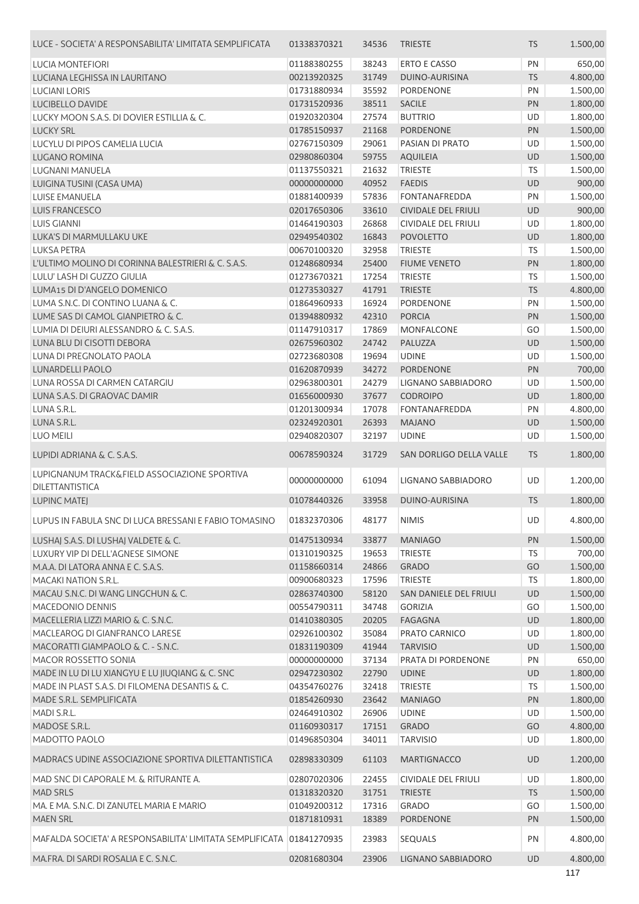| LUCE - SOCIETA' A RESPONSABILITA' LIMITATA SEMPLIFICATA                    | 01338370321                | 34536          | <b>TRIESTE</b>                 | <b>TS</b> | 1.500,00             |
|----------------------------------------------------------------------------|----------------------------|----------------|--------------------------------|-----------|----------------------|
| LUCIA MONTEFIORI                                                           | 01188380255                | 38243          | <b>ERTO E CASSO</b>            | PN        | 650,00               |
| LUCIANA LEGHISSA IN LAURITANO                                              | 00213920325                | 31749          | DUINO-AURISINA                 | <b>TS</b> | 4.800,00             |
| <b>LUCIANI LORIS</b>                                                       | 01731880934                | 35592          | PORDENONE                      | PN        | 1.500,00             |
| <b>LUCIBELLO DAVIDE</b>                                                    | 01731520936                | 38511          | <b>SACILE</b>                  | PN        | 1.800,00             |
| LUCKY MOON S.A.S. DI DOVIER ESTILLIA & C.                                  | 01920320304                | 27574          | <b>BUTTRIO</b>                 | UD        | 1.800,00             |
| <b>LUCKY SRL</b>                                                           | 01785150937                | 21168          | <b>PORDENONE</b>               | PN        | 1.500,00             |
| LUCYLU DI PIPOS CAMELIA LUCIA                                              | 02767150309                | 29061          | PASIAN DI PRATO                | UD        | 1.500,00             |
| <b>LUGANO ROMINA</b>                                                       | 02980860304                | 59755          | <b>AQUILEIA</b>                | UD        | 1.500,00             |
| <b>LUGNANI MANUELA</b>                                                     | 01137550321                | 21632          | <b>TRIESTE</b>                 | <b>TS</b> | 1.500,00             |
| LUIGINA TUSINI (CASA UMA)                                                  | 00000000000                | 40952          | <b>FAEDIS</b>                  | <b>UD</b> | 900,00               |
| <b>LUISE EMANUELA</b>                                                      | 01881400939                | 57836          | <b>FONTANAFREDDA</b>           | PN        | 1.500,00             |
| <b>LUIS FRANCESCO</b>                                                      | 02017650306                | 33610          | <b>CIVIDALE DEL FRIULI</b>     | <b>UD</b> | 900,00               |
| <b>LUIS GIANNI</b>                                                         | 01464190303                | 26868          | <b>CIVIDALE DEL FRIULI</b>     | UD        | 1.800,00             |
| LUKA'S DI MARMULLAKU UKE                                                   | 02949540302                | 16843          | <b>POVOLETTO</b>               | <b>UD</b> | 1.800,00             |
| LUKSA PETRA                                                                | 00670100320                | 32958          | <b>TRIESTE</b>                 | TS        | 1.500,00             |
| L'ULTIMO MOLINO DI CORINNA BALESTRIERI & C. S.A.S.                         | 01248680934                | 25400          | <b>FIUME VENETO</b>            | PN        | 1.800,00             |
| LULU' LASH DI GUZZO GIULIA                                                 | 01273670321                | 17254          | <b>TRIESTE</b>                 | TS        | 1.500,00             |
| LUMA15 DI D'ANGELO DOMENICO                                                | 01273530327                | 41791          | <b>TRIESTE</b>                 | <b>TS</b> | 4.800,00             |
| LUMA S.N.C. DI CONTINO LUANA & C.                                          | 01864960933                | 16924          | PORDENONE                      | PN        | 1.500,00             |
| LUME SAS DI CAMOL GIANPIETRO & C.                                          | 01394880932                | 42310          | <b>PORCIA</b>                  | PN        | 1.500,00             |
| LUMIA DI DEIURI ALESSANDRO & C. S.A.S.                                     | 01147910317                | 17869          | <b>MONFALCONE</b>              | GO        | 1.500,00             |
| LUNA BLU DI CISOTTI DEBORA                                                 | 02675960302                | 24742          | PALUZZA                        | UD        | 1.500,00             |
| LUNA DI PREGNOLATO PAOLA                                                   | 02723680308                | 19694          | <b>UDINE</b>                   | <b>UD</b> | 1.500,00             |
| LUNARDELLI PAOLO                                                           | 01620870939                | 34272          | PORDENONE                      | PN        | 700,00               |
| LUNA ROSSA DI CARMEN CATARGIU                                              | 02963800301                | 24279          | LIGNANO SABBIADORO             | UD        | 1.500,00             |
| LUNA S.A.S. DI GRAOVAC DAMIR                                               | 01656000930                | 37677          | <b>CODROIPO</b>                | <b>UD</b> | 1.800,00             |
| LUNA S.R.L.                                                                | 01201300934                | 17078          | FONTANAFREDDA                  | PN        | 4.800,00             |
| LUNA S.R.L.                                                                | 02324920301                | 26393          | <b>MAJANO</b>                  | <b>UD</b> | 1.500,00             |
| <b>LUO MEILI</b>                                                           | 02940820307                | 32197          | <b>UDINE</b>                   | <b>UD</b> | 1.500,00             |
| LUPIDI ADRIANA & C. S.A.S.                                                 | 00678590324                | 31729          | SAN DORLIGO DELLA VALLE        | <b>TS</b> | 1.800,00             |
| LUPIGNANUM TRACK&FIELD ASSOCIAZIONE SPORTIVA<br><b>DILETTANTISTICA</b>     | 00000000000                | 61094          | <b>LIGNANO SABBIADORO</b>      | UD        | 1.200,00             |
| <b>LUPINC MATEJ</b>                                                        | 01078440326                | 33958          | DUINO-AURISINA                 | <b>TS</b> | 1.800,00             |
|                                                                            |                            |                |                                |           |                      |
| LUPUS IN FABULA SNC DI LUCA BRESSANI E FABIO TOMASINO                      | 01832370306                | 48177          | <b>NIMIS</b>                   | UD        | 4.800,00             |
| LUSHAJ S.A.S. DI LUSHAJ VALDETE & C.                                       | 01475130934                | 33877          | <b>MANIAGO</b>                 | PN        | 1.500,00             |
| LUXURY VIP DI DELL'AGNESE SIMONE                                           | 01310190325                | 19653          | <b>TRIESTE</b>                 | <b>TS</b> | 700,00               |
| M.A.A. DI LATORA ANNA E C. S.A.S.                                          | 01158660314                | 24866          | <b>GRADO</b>                   | GO        | 1.500,00             |
| <b>MACAKI NATION S.R.L.</b>                                                | 00900680323                | 17596          | <b>TRIESTE</b>                 | TS        | 1.800,00             |
| MACAU S.N.C. DI WANG LINGCHUN & C.                                         | 02863740300                | 58120          | SAN DANIELE DEL FRIULI         | <b>UD</b> | 1.500,00             |
| <b>MACEDONIO DENNIS</b>                                                    | 00554790311                | 34748          | <b>GORIZIA</b>                 | GO        | 1.500,00             |
| MACELLERIA LIZZI MARIO & C. S.N.C.                                         | 01410380305                | 20205          | <b>FAGAGNA</b>                 | <b>UD</b> | 1.800,00             |
| MACLEAROG DI GIANFRANCO LARESE                                             | 02926100302                | 35084          | PRATO CARNICO                  | UD        | 1.800,00             |
| MACORATTI GIAMPAOLO & C. - S.N.C.                                          | 01831190309                | 41944          | <b>TARVISIO</b>                | UD        | 1.500,00             |
| <b>MACOR ROSSETTO SONIA</b>                                                | 00000000000                | 37134          | PRATA DI PORDENONE             | PN        | 650,00               |
| MADE IN LU DI LU XIANGYU E LU JIUQIANG & C. SNC                            | 02947230302                | 22790          | <b>UDINE</b>                   | <b>UD</b> | 1.800,00             |
| MADE IN PLAST S.A.S. DI FILOMENA DESANTIS & C.<br>MADE S.R.L. SEMPLIFICATA | 04354760276                | 32418          | <b>TRIESTE</b>                 | TS        | 1.500,00             |
| MADI S.R.L.                                                                | 01854260930<br>02464910302 | 23642<br>26906 | <b>MANIAGO</b><br><b>UDINE</b> | PN<br>UD  | 1.800,00<br>1.500,00 |
| MADOSE S.R.L.                                                              | 01160930317                | 17151          | <b>GRADO</b>                   | GO        | 4.800,00             |
| MADOTTO PAOLO                                                              | 01496850304                | 34011          | <b>TARVISIO</b>                | UD        |                      |
|                                                                            |                            |                |                                |           | 1.800,00             |
| MADRACS UDINE ASSOCIAZIONE SPORTIVA DILETTANTISTICA                        | 02898330309                | 61103          | <b>MARTIGNACCO</b>             | UD        | 1.200,00             |
| MAD SNC DI CAPORALE M. & RITURANTE A.                                      | 02807020306                | 22455          | <b>CIVIDALE DEL FRIULI</b>     | UD        | 1.800,00             |
| <b>MAD SRLS</b>                                                            | 01318320320                | 31751          | <b>TRIESTE</b>                 | <b>TS</b> | 1.500,00             |
| MA. E MA. S.N.C. DI ZANUTEL MARIA E MARIO                                  | 01049200312                | 17316          | <b>GRADO</b>                   | GO        | 1.500,00             |
| <b>MAEN SRL</b>                                                            | 01871810931                | 18389          | <b>PORDENONE</b>               | PN        | 1.500,00             |
| MAFALDA SOCIETA' A RESPONSABILITA' LIMITATA SEMPLIFICATA 01841270935       |                            | 23983          | <b>SEQUALS</b>                 | PN        | 4.800,00             |
| MA.FRA. DI SARDI ROSALIA E C. S.N.C.                                       | 02081680304                | 23906          | LIGNANO SABBIADORO             | <b>UD</b> | 4.800,00             |
|                                                                            |                            |                |                                |           | 117                  |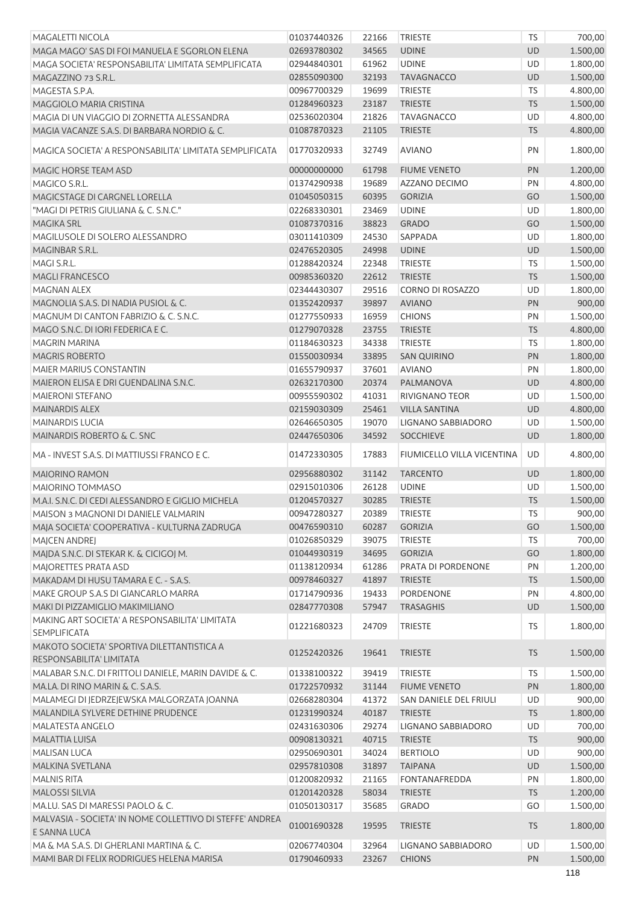| <b>MAGALETTI NICOLA</b>                                                  | 01037440326 | 22166 | <b>TRIESTE</b>             | <b>TS</b> | 700,00   |
|--------------------------------------------------------------------------|-------------|-------|----------------------------|-----------|----------|
| MAGA MAGO' SAS DI FOI MANUELA E SGORLON ELENA                            | 02693780302 | 34565 | <b>UDINE</b>               | UD        | 1.500,00 |
| MAGA SOCIETA' RESPONSABILITA' LIMITATA SEMPLIFICATA                      | 02944840301 | 61962 | <b>UDINE</b>               | <b>UD</b> | 1.800,00 |
| MAGAZZINO 73 S.R.L.                                                      | 02855090300 | 32193 | <b>TAVAGNACCO</b>          | UD        | 1.500,00 |
| MAGESTA S.P.A.                                                           | 00967700329 | 19699 | <b>TRIESTE</b>             | <b>TS</b> | 4.800,00 |
| MAGGIOLO MARIA CRISTINA                                                  | 01284960323 | 23187 | <b>TRIESTE</b>             | <b>TS</b> | 1.500,00 |
| MAGIA DI UN VIAGGIO DI ZORNETTA ALESSANDRA                               | 02536020304 | 21826 | <b>TAVAGNACCO</b>          | UD        | 4.800,00 |
| MAGIA VACANZE S.A.S. DI BARBARA NORDIO & C.                              | 01087870323 | 21105 | <b>TRIESTE</b>             | <b>TS</b> | 4.800,00 |
| MAGICA SOCIETA' A RESPONSABILITA' LIMITATA SEMPLIFICATA                  | 01770320933 | 32749 | <b>AVIANO</b>              | PN        | 1.800,00 |
| MAGIC HORSE TEAM ASD                                                     | 00000000000 | 61798 | <b>FIUME VENETO</b>        | PN        | 1.200,00 |
| MAGICO S.R.L.                                                            | 01374290938 | 19689 | AZZANO DECIMO              | PN        | 4.800,00 |
| MAGICSTAGE DI CARGNEL LORELLA                                            | 01045050315 | 60395 | <b>GORIZIA</b>             | GO        | 1.500,00 |
| "MAGI DI PETRIS GIULIANA & C. S.N.C."                                    | 02268330301 | 23469 | <b>UDINE</b>               | UD        | 1.800,00 |
| <b>MAGIKA SRL</b>                                                        | 01087370316 | 38823 | <b>GRADO</b>               | GO        | 1.500,00 |
| MAGILUSOLE DI SOLERO ALESSANDRO                                          | 03011410309 | 24530 | SAPPADA                    | UD        | 1.800,00 |
| MAGINBAR S.R.L.                                                          | 02476520305 | 24998 | <b>UDINE</b>               | UD        | 1.500,00 |
| MAGI S.R.L.                                                              | 01288420324 | 22348 | <b>TRIESTE</b>             | TS        | 1.500,00 |
| <b>MAGLI FRANCESCO</b>                                                   | 00985360320 | 22612 | <b>TRIESTE</b>             | <b>TS</b> | 1.500,00 |
| MAGNAN ALEX                                                              | 02344430307 | 29516 | <b>CORNO DI ROSAZZO</b>    | UD        | 1.800,00 |
| MAGNOLIA S.A.S. DI NADIA PUSIOL & C.                                     | 01352420937 | 39897 | <b>AVIANO</b>              | PN        | 900,00   |
| MAGNUM DI CANTON FABRIZIO & C. S.N.C.                                    | 01277550933 | 16959 | <b>CHIONS</b>              | PN        | 1.500,00 |
| MAGO S.N.C. DI IORI FEDERICA E C.                                        | 01279070328 | 23755 | <b>TRIESTE</b>             | <b>TS</b> | 4.800,00 |
| <b>MAGRIN MARINA</b>                                                     | 01184630323 | 34338 | TRIESTE                    | TS        | 1.800,00 |
| <b>MAGRIS ROBERTO</b>                                                    | 01550030934 | 33895 | <b>SAN QUIRINO</b>         | PN        | 1.800,00 |
| MAIER MARIUS CONSTANTIN                                                  | 01655790937 | 37601 | <b>AVIANO</b>              | PN        | 1.800,00 |
| MAIERON ELISA E DRI GUENDALINA S.N.C.                                    | 02632170300 | 20374 | PALMANOVA                  | <b>UD</b> | 4.800,00 |
| <b>MAIERONI STEFANO</b>                                                  | 00955590302 | 41031 | RIVIGNANO TEOR             | <b>UD</b> | 1.500,00 |
| <b>MAINARDIS ALEX</b>                                                    | 02159030309 | 25461 | <b>VILLA SANTINA</b>       | <b>UD</b> | 4.800,00 |
| <b>MAINARDIS LUCIA</b>                                                   | 02646650305 | 19070 | LIGNANO SABBIADORO         | UD        | 1.500,00 |
| MAINARDIS ROBERTO & C. SNC                                               | 02447650306 | 34592 | <b>SOCCHIEVE</b>           | <b>UD</b> | 1.800,00 |
| MA - INVEST S.A.S. DI MATTIUSSI FRANCO E C.                              | 01472330305 | 17883 | FIUMICELLO VILLA VICENTINA | UD        | 4.800,00 |
| <b>MAIORINO RAMON</b>                                                    | 02956880302 | 31142 | <b>TARCENTO</b>            | <b>UD</b> | 1.800,00 |
| MAIORINO TOMMASO                                                         | 02915010306 | 26128 | <b>UDINE</b>               | UD        | 1.500,00 |
| M.A.I. S.N.C. DI CEDI ALESSANDRO E GIGLIO MICHELA                        | 01204570327 | 30285 | <b>TRIESTE</b>             | <b>TS</b> | 1.500,00 |
| MAISON 3 MAGNONI DI DANIELE VALMARIN                                     | 00947280327 | 20389 | <b>TRIESTE</b>             | <b>TS</b> | 900,00   |
| MAJA SOCIETA' COOPERATIVA - KULTURNA ZADRUGA                             | 00476590310 | 60287 | <b>GORIZIA</b>             | GO        | 1.500,00 |
| MAJCEN ANDREJ                                                            | 01026850329 | 39075 | <b>TRIESTE</b>             | <b>TS</b> | 700,00   |
| MAJDA S.N.C. DI STEKAR K. & CICIGOJ M.                                   | 01044930319 | 34695 | <b>GORIZIA</b>             | GO        | 1.800,00 |
| MAJORETTES PRATA ASD                                                     | 01138120934 | 61286 | PRATA DI PORDENONE         | PN        | 1.200,00 |
| MAKADAM DI HUSU TAMARA E C. - S.A.S.                                     | 00978460327 | 41897 | <b>TRIESTE</b>             | <b>TS</b> | 1.500,00 |
| MAKE GROUP S.A.S DI GIANCARLO MARRA                                      | 01714790936 | 19433 | <b>PORDENONE</b>           | PN        | 4.800,00 |
| MAKI DI PIZZAMIGLIO MAKIMILIANO                                          | 02847770308 | 57947 | <b>TRASAGHIS</b>           | <b>UD</b> | 1.500,00 |
| MAKING ART SOCIETA' A RESPONSABILITA' LIMITATA<br><b>SEMPLIFICATA</b>    | 01221680323 | 24709 | <b>TRIESTE</b>             | <b>TS</b> | 1.800,00 |
| MAKOTO SOCIETA' SPORTIVA DILETTANTISTICA A<br>RESPONSABILITA' LIMITATA   | 01252420326 | 19641 | <b>TRIESTE</b>             | <b>TS</b> | 1.500,00 |
| MALABAR S.N.C. DI FRITTOLI DANIELE, MARIN DAVIDE & C.                    | 01338100322 | 39419 | <b>TRIESTE</b>             | TS.       | 1.500,00 |
| MA.LA. DI RINO MARIN & C. S.A.S.                                         | 01722570932 | 31144 | <b>FIUME VENETO</b>        | PN        | 1.800,00 |
| MALAMEGI DI JEDRZEJEWSKA MALGORZATA JOANNA                               | 02668280304 | 41372 | SAN DANIELE DEL FRIULI     | UD        | 900,00   |
| MALANDILA SYLVERE DETHINE PRUDENCE                                       | 01231990324 | 40187 | <b>TRIESTE</b>             | <b>TS</b> | 1.800,00 |
| MALATESTA ANGELO                                                         | 02431630306 | 29274 | LIGNANO SABBIADORO         | UD        | 700,00   |
| <b>MALATTIA LUISA</b>                                                    | 00908130321 | 40715 | <b>TRIESTE</b>             | <b>TS</b> | 900,00   |
| <b>MALISAN LUCA</b>                                                      | 02950690301 | 34024 | <b>BERTIOLO</b>            | <b>UD</b> | 900,00   |
| MALKINA SVETLANA                                                         | 02957810308 | 31897 | <b>TAIPANA</b>             | <b>UD</b> | 1.500,00 |
| <b>MALNIS RITA</b>                                                       | 01200820932 | 21165 | <b>FONTANAFREDDA</b>       | PN        | 1.800,00 |
| MALOSSI SILVIA                                                           | 01201420328 | 58034 | <b>TRIESTE</b>             | <b>TS</b> | 1.200,00 |
| MA.LU. SAS DI MARESSI PAOLO & C.                                         | 01050130317 | 35685 | <b>GRADO</b>               | GO        | 1.500,00 |
| MALVASIA - SOCIETA' IN NOME COLLETTIVO DI STEFFE' ANDREA<br>E SANNA LUCA | 01001690328 | 19595 | <b>TRIESTE</b>             | <b>TS</b> | 1.800,00 |
| MA & MA S.A.S. DI GHERLANI MARTINA & C.                                  | 02067740304 | 32964 | LIGNANO SABBIADORO         | UD        | 1.500,00 |
| MAMI BAR DI FELIX RODRIGUES HELENA MARISA                                | 01790460933 | 23267 | <b>CHIONS</b>              | PN        | 1.500,00 |
|                                                                          |             |       |                            |           | 118      |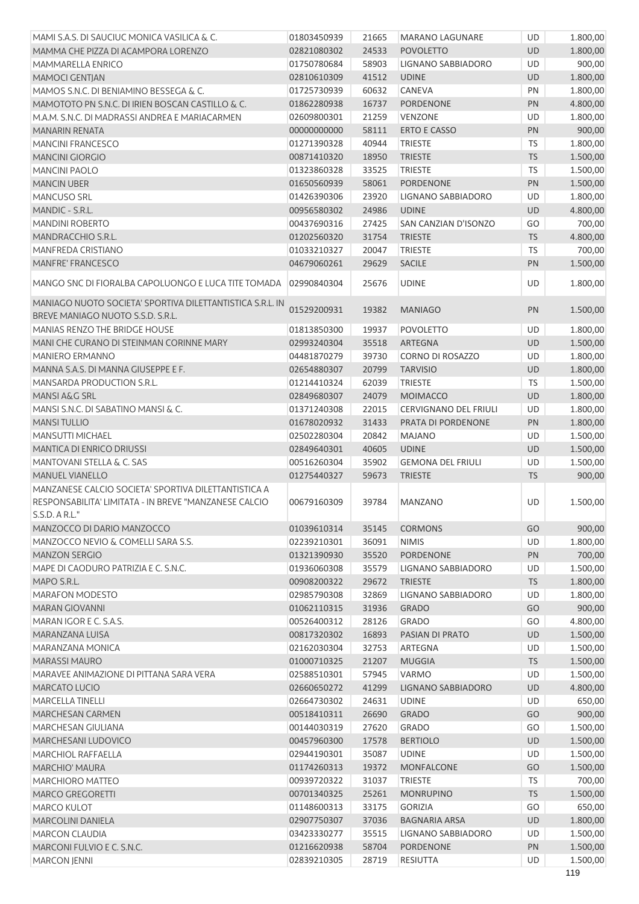| MAMI S.A.S. DI SAUCIUC MONICA VASILICA & C.                                                    | 01803450939 | 21665 | <b>MARANO LAGUNARE</b>    | UD        | 1.800,00 |
|------------------------------------------------------------------------------------------------|-------------|-------|---------------------------|-----------|----------|
| MAMMA CHE PIZZA DI ACAMPORA LORENZO                                                            | 02821080302 | 24533 | <b>POVOLETTO</b>          | <b>UD</b> | 1.800,00 |
| <b>MAMMARELLA ENRICO</b>                                                                       | 01750780684 | 58903 | LIGNANO SABBIADORO        | UD        | 900,00   |
| MAMOCI GENTJAN                                                                                 | 02810610309 | 41512 | <b>UDINE</b>              | <b>UD</b> | 1.800,00 |
| MAMOS S.N.C. DI BENIAMINO BESSEGA & C.                                                         | 01725730939 | 60632 | CANEVA                    | PN        | 1.800,00 |
| MAMOTOTO PN S.N.C. DI IRIEN BOSCAN CASTILLO & C.                                               | 01862280938 | 16737 | PORDENONE                 | PN        | 4.800,00 |
| M.A.M. S.N.C. DI MADRASSI ANDREA E MARIACARMEN                                                 | 02609800301 | 21259 | VENZONE                   | <b>UD</b> | 1.800,00 |
| <b>MANARIN RENATA</b>                                                                          | 00000000000 | 58111 | <b>ERTO E CASSO</b>       | PN        | 900,00   |
| <b>MANCINI FRANCESCO</b>                                                                       | 01271390328 | 40944 | <b>TRIESTE</b>            | TS        | 1.800,00 |
| <b>MANCINI GIORGIO</b>                                                                         | 00871410320 | 18950 | <b>TRIESTE</b>            | <b>TS</b> | 1.500,00 |
| <b>MANCINI PAOLO</b>                                                                           | 01323860328 | 33525 | <b>TRIESTE</b>            | TS        | 1.500,00 |
| <b>MANCIN UBER</b>                                                                             | 01650560939 | 58061 | <b>PORDENONE</b>          | PN        | 1.500,00 |
| <b>MANCUSO SRL</b>                                                                             | 01426390306 | 23920 | LIGNANO SABBIADORO        | UD        | 1.800,00 |
| MANDIC - S.R.L.                                                                                | 00956580302 | 24986 | <b>UDINE</b>              | <b>UD</b> | 4.800,00 |
| <b>MANDINI ROBERTO</b>                                                                         | 00437690316 | 27425 | SAN CANZIAN D'ISONZO      | GO        | 700,00   |
| MANDRACCHIO S.R.L.                                                                             | 01202560320 | 31754 | <b>TRIESTE</b>            | <b>TS</b> | 4.800,00 |
| MANFREDA CRISTIANO                                                                             | 01033210327 | 20047 | <b>TRIESTE</b>            | TS        | 700,00   |
| MANFRE' FRANCESCO                                                                              | 04679060261 | 29629 | <b>SACILE</b>             | PN        | 1.500,00 |
| MANGO SNC DI FIORALBA CAPOLUONGO E LUCA TITE TOMADA                                            | 02990840304 | 25676 | <b>UDINE</b>              | UD        | 1.800,00 |
| MANIAGO NUOTO SOCIETA' SPORTIVA DILETTANTISTICA S.R.L. IN<br>BREVE MANIAGO NUOTO S.S.D. S.R.L. | 01529200931 | 19382 | <b>MANIAGO</b>            | PN        | 1.500,00 |
|                                                                                                |             |       |                           |           |          |
| MANIAS RENZO THE BRIDGE HOUSE                                                                  | 01813850300 | 19937 | <b>POVOLETTO</b>          | UD        | 1.800,00 |
| MANI CHE CURANO DI STEINMAN CORINNE MARY                                                       | 02993240304 | 35518 | <b>ARTEGNA</b>            | UD        | 1.500,00 |
| MANIERO ERMANNO                                                                                | 04481870279 | 39730 | <b>CORNO DI ROSAZZO</b>   | UD        | 1.800,00 |
| MANNA S.A.S. DI MANNA GIUSEPPE E F.                                                            | 02654880307 | 20799 | <b>TARVISIO</b>           | UD        | 1.800,00 |
| MANSARDA PRODUCTION S.R.L.                                                                     | 01214410324 | 62039 | TRIESTE                   | <b>TS</b> | 1.500,00 |
| MANSI A&G SRL                                                                                  | 02849680307 | 24079 | <b>MOIMACCO</b>           | UD        | 1.800,00 |
| MANSI S.N.C. DI SABATINO MANSI & C.                                                            | 01371240308 | 22015 | CERVIGNANO DEL FRIULI     | UD        | 1.800,00 |
| <b>MANSI TULLIO</b>                                                                            | 01678020932 | 31433 | PRATA DI PORDENONE        | PN        | 1.800,00 |
| MANSUTTI MICHAEL                                                                               | 02502280304 | 20842 | <b>MAJANO</b>             | UD        | 1.500,00 |
| <b>MANTICA DI ENRICO DRIUSSI</b>                                                               | 02849640301 | 40605 | <b>UDINE</b>              | <b>UD</b> | 1.500,00 |
| MANTOVANI STELLA & C. SAS                                                                      | 00516260304 | 35902 | <b>GEMONA DEL FRIULI</b>  | <b>UD</b> | 1.500,00 |
| MANUEL VIANELLO                                                                                | 01275440327 | 59673 | <b>TRIESTE</b>            | <b>TS</b> | 900,00   |
| MANZANESE CALCIO SOCIETA' SPORTIVA DILETTANTISTICA A                                           |             |       |                           |           |          |
| RESPONSABILITA' LIMITATA - IN BREVE "MANZANESE CALCIO                                          | 00679160309 | 39784 | <b>MANZANO</b>            | UD        | 1.500,00 |
| S.S.D. A R.L."                                                                                 |             |       |                           |           |          |
| MANZOCCO DI DARIO MANZOCCO                                                                     | 01039610314 | 35145 | <b>CORMONS</b>            | GO        | 900,00   |
| MANZOCCO NEVIO & COMELLI SARA S.S.                                                             | 02239210301 | 36091 | <b>NIMIS</b>              | UD        | 1.800,00 |
| <b>MANZON SERGIO</b>                                                                           | 01321390930 | 35520 | <b>PORDENONE</b>          | PN        | 700,00   |
| MAPE DI CAODURO PATRIZIA E C. S.N.C.                                                           | 01936060308 | 35579 | <b>LIGNANO SABBIADORO</b> | <b>UD</b> | 1.500,00 |
| MAPO S.R.L.                                                                                    | 00908200322 | 29672 | <b>TRIESTE</b>            | <b>TS</b> | 1.800,00 |
| <b>MARAFON MODESTO</b>                                                                         | 02985790308 | 32869 | LIGNANO SABBIADORO        | UD        | 1.800,00 |
| <b>MARAN GIOVANNI</b>                                                                          | 01062110315 | 31936 | <b>GRADO</b>              | GO        | 900,00   |
| MARAN IGOR E C. S.A.S.                                                                         | 00526400312 | 28126 | <b>GRADO</b>              | GO        | 4.800,00 |
| MARANZANA LUISA                                                                                | 00817320302 | 16893 | <b>PASIAN DI PRATO</b>    | <b>UD</b> | 1.500,00 |
| MARANZANA MONICA                                                                               | 02162030304 | 32753 | ARTEGNA                   | UD        | 1.500,00 |
| <b>MARASSI MAURO</b>                                                                           | 01000710325 | 21207 | <b>MUGGIA</b>             | <b>TS</b> | 1.500,00 |
| MARAVEE ANIMAZIONE DI PITTANA SARA VERA                                                        | 02588510301 | 57945 | VARMO                     | <b>UD</b> | 1.500,00 |
| <b>MARCATO LUCIO</b>                                                                           | 02660650272 | 41299 | LIGNANO SABBIADORO        | UD        | 4.800,00 |
| <b>MARCELLA TINELLI</b>                                                                        | 02664730302 | 24631 | <b>UDINE</b>              | UD        | 650,00   |
| <b>MARCHESAN CARMEN</b>                                                                        | 00518410311 | 26690 | <b>GRADO</b>              | GO        | 900,00   |
| MARCHESAN GIULIANA                                                                             | 00144030319 | 27620 | <b>GRADO</b>              | GO        | 1.500,00 |
| MARCHESANI LUDOVICO                                                                            | 00457960300 | 17578 | <b>BERTIOLO</b>           | <b>UD</b> | 1.500,00 |
| MARCHIOL RAFFAELLA                                                                             | 02944190301 | 35087 | <b>UDINE</b>              | UD        | 1.500,00 |
| <b>MARCHIO' MAURA</b>                                                                          | 01174260313 | 19372 | <b>MONFALCONE</b>         | GO        | 1.500,00 |
| <b>MARCHIORO MATTEO</b>                                                                        | 00939720322 | 31037 | TRIESTE                   | <b>TS</b> | 700,00   |
| <b>MARCO GREGORETTI</b>                                                                        | 00701340325 | 25261 | <b>MONRUPINO</b>          | <b>TS</b> | 1.500,00 |
| <b>MARCO KULOT</b>                                                                             | 01148600313 | 33175 | <b>GORIZIA</b>            | GO        | 650,00   |
| <b>MARCOLINI DANIELA</b>                                                                       | 02907750307 | 37036 | <b>BAGNARIA ARSA</b>      | <b>UD</b> | 1.800,00 |
| <b>MARCON CLAUDIA</b>                                                                          | 03423330277 | 35515 | LIGNANO SABBIADORO        | UD        | 1.500,00 |
| MARCONI FULVIO E C. S.N.C.                                                                     | 01216620938 | 58704 | <b>PORDENONE</b>          | PN        | 1.500,00 |
| <b>MARCON JENNI</b>                                                                            | 02839210305 | 28719 | RESIUTTA                  | UD        | 1.500,00 |
|                                                                                                |             |       |                           |           |          |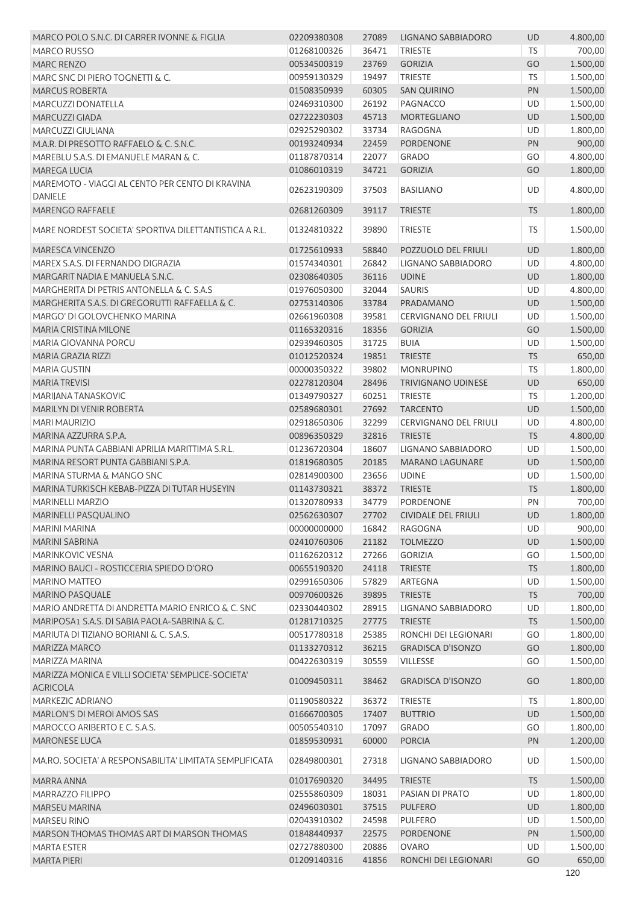| MARCO POLO S.N.C. DI CARRER IVONNE & FIGLIA                                                      | 02209380308 | 27089 | LIGNANO SABBIADORO           | <b>UD</b> | 4.800,00 |
|--------------------------------------------------------------------------------------------------|-------------|-------|------------------------------|-----------|----------|
| <b>MARCO RUSSO</b>                                                                               | 01268100326 | 36471 | <b>TRIESTE</b>               | <b>TS</b> | 700,00   |
| <b>MARC RENZO</b>                                                                                | 00534500319 | 23769 | <b>GORIZIA</b>               | GO        | 1.500,00 |
| MARC SNC DI PIERO TOGNETTI & C.                                                                  | 00959130329 | 19497 | <b>TRIESTE</b>               | <b>TS</b> | 1.500,00 |
| <b>MARCUS ROBERTA</b>                                                                            | 01508350939 | 60305 | <b>SAN QUIRINO</b>           | PN        | 1.500,00 |
| MARCUZZI DONATELLA                                                                               | 02469310300 | 26192 | PAGNACCO                     | UD        | 1.500,00 |
| MARCUZZI GIADA                                                                                   | 02722230303 | 45713 | <b>MORTEGLIANO</b>           | <b>UD</b> | 1.500,00 |
| MARCUZZI GIULIANA                                                                                | 02925290302 | 33734 | RAGOGNA                      | UD        | 1.800,00 |
| M.A.R. DI PRESOTTO RAFFAELO & C. S.N.C.                                                          | 00193240934 | 22459 | <b>PORDENONE</b>             | PN        | 900,00   |
| MAREBLU S.A.S. DI EMANUELE MARAN & C.                                                            | 01187870314 | 22077 | <b>GRADO</b>                 | GO        | 4.800,00 |
| MAREGA LUCIA                                                                                     | 01086010319 | 34721 | <b>GORIZIA</b>               | GO        | 1.800,00 |
| MAREMOTO - VIAGGI AL CENTO PER CENTO DI KRAVINA<br><b>DANIELE</b>                                | 02623190309 | 37503 | <b>BASILIANO</b>             | UD        | 4.800,00 |
| MARENGO RAFFAELE                                                                                 | 02681260309 | 39117 | <b>TRIESTE</b>               | <b>TS</b> | 1.800,00 |
| MARE NORDEST SOCIETA' SPORTIVA DILETTANTISTICA A R.L.                                            | 01324810322 | 39890 | <b>TRIESTE</b>               | TS        | 1.500,00 |
| MARESCA VINCENZO                                                                                 | 01725610933 | 58840 | POZZUOLO DEL FRIULI          | UD        | 1.800,00 |
| MAREX S.A.S. DI FERNANDO DIGRAZIA                                                                | 01574340301 | 26842 | LIGNANO SABBIADORO           | <b>UD</b> | 4.800,00 |
| MARGARIT NADIA E MANUELA S.N.C.                                                                  | 02308640305 | 36116 | <b>UDINE</b>                 | <b>UD</b> | 1.800,00 |
| MARGHERITA DI PETRIS ANTONELLA & C. S.A.S                                                        | 01976050300 | 32044 | <b>SAURIS</b>                | UD        | 4.800,00 |
| MARGHERITA S.A.S. DI GREGORUTTI RAFFAELLA & C.                                                   | 02753140306 | 33784 | PRADAMANO                    | <b>UD</b> | 1.500,00 |
| MARGO' DI GOLOVCHENKO MARINA                                                                     | 02661960308 | 39581 | <b>CERVIGNANO DEL FRIULI</b> | <b>UD</b> | 1.500,00 |
| MARIA CRISTINA MILONE                                                                            | 01165320316 | 18356 | <b>GORIZIA</b>               | GO        | 1.500,00 |
| MARIA GIOVANNA PORCU                                                                             | 02939460305 | 31725 | <b>BUIA</b>                  | UD        | 1.500,00 |
| MARIA GRAZIA RIZZI                                                                               | 01012520324 | 19851 | <b>TRIESTE</b>               | <b>TS</b> | 650,00   |
| <b>MARIA GUSTIN</b>                                                                              | 00000350322 | 39802 | <b>MONRUPINO</b>             | <b>TS</b> | 1.800,00 |
| <b>MARIA TREVISI</b>                                                                             | 02278120304 | 28496 | <b>TRIVIGNANO UDINESE</b>    | <b>UD</b> | 650,00   |
| MARIJANA TANASKOVIC                                                                              | 01349790327 | 60251 | <b>TRIESTE</b>               | <b>TS</b> | 1.200,00 |
| MARILYN DI VENIR ROBERTA                                                                         | 02589680301 | 27692 | <b>TARCENTO</b>              | UD        | 1.500,00 |
| <b>MARI MAURIZIO</b>                                                                             | 02918650306 | 32299 | <b>CERVIGNANO DEL FRIULI</b> | UD        | 4.800,00 |
| MARINA AZZURRA S.P.A.                                                                            | 00896350329 | 32816 | <b>TRIESTE</b>               | <b>TS</b> | 4.800,00 |
| MARINA PUNTA GABBIANI APRILIA MARITTIMA S.R.L.                                                   | 01236720304 | 18607 | LIGNANO SABBIADORO           | <b>UD</b> | 1.500,00 |
| MARINA RESORT PUNTA GABBIANI S.P.A.                                                              | 01819680305 | 20185 | <b>MARANO LAGUNARE</b>       | <b>UD</b> | 1.500,00 |
| <b>MARINA STURMA &amp; MANGO SNC</b>                                                             | 02814900300 | 23656 | <b>UDINE</b>                 | UD        | 1.500,00 |
| MARINA TURKISCH KEBAB-PIZZA DI TUTAR HUSEYIN                                                     | 01143730321 | 38372 | <b>TRIESTE</b>               | <b>TS</b> | 1.800,00 |
| <b>MARINELLI MARZIO</b>                                                                          | 01320780933 | 34779 | <b>PORDENONE</b>             | PN        | 700,00   |
| MARINELLI PASQUALINO                                                                             | 02562630307 |       | 27702 CIVIDALE DEL FRIULI    | UD        | 1.800,00 |
| MARINI MARINA                                                                                    | 00000000000 | 16842 | <b>RAGOGNA</b>               | UD        | 900,00   |
| <b>MARINI SABRINA</b>                                                                            | 02410760306 | 21182 | <b>TOLMEZZO</b>              | UD        | 1.500,00 |
| MARINKOVIC VESNA                                                                                 | 01162620312 | 27266 | <b>GORIZIA</b>               | GO        | 1.500,00 |
| MARINO BAUCI - ROSTICCERIA SPIEDO D'ORO                                                          | 00655190320 | 24118 | <b>TRIESTE</b>               | <b>TS</b> | 1.800,00 |
|                                                                                                  | 02991650306 |       | <b>ARTEGNA</b>               |           |          |
| <b>MARINO MATTEO</b>                                                                             |             | 57829 |                              | UD        | 1.500,00 |
| <b>MARINO PASQUALE</b>                                                                           | 00970600326 | 39895 | <b>TRIESTE</b>               | <b>TS</b> | 700,00   |
| MARIO ANDRETTA DI ANDRETTA MARIO ENRICO & C. SNC<br>MARIPOSA1 S.A.S. DI SABIA PAOLA-SABRINA & C. | 02330440302 | 28915 | LIGNANO SABBIADORO           | UD        | 1.800,00 |
|                                                                                                  | 01281710325 | 27775 | <b>TRIESTE</b>               | <b>TS</b> | 1.500,00 |
| MARIUTA DI TIZIANO BORIANI & C. S.A.S.                                                           | 00517780318 | 25385 | RONCHI DEI LEGIONARI         | GO        | 1.800,00 |
| MARIZZA MARCO                                                                                    | 01133270312 | 36215 | <b>GRADISCA D'ISONZO</b>     | GO        | 1.800,00 |
| MARIZZA MARINA                                                                                   | 00422630319 | 30559 | <b>VILLESSE</b>              | GO        | 1.500,00 |
| MARIZZA MONICA E VILLI SOCIETA' SEMPLICE-SOCIETA'<br><b>AGRICOLA</b>                             | 01009450311 | 38462 | <b>GRADISCA D'ISONZO</b>     | GO        | 1.800,00 |
| MARKEZIC ADRIANO                                                                                 | 01190580322 | 36372 | <b>TRIESTE</b>               | <b>TS</b> | 1.800,00 |
| MARLON'S DI MEROI AMOS SAS                                                                       | 01666700305 | 17407 | <b>BUTTRIO</b>               | UD        | 1.500,00 |
| MAROCCO ARIBERTO E C. S.A.S.                                                                     | 00505540310 | 17097 | <b>GRADO</b>                 | GO        | 1.800,00 |
| MARONESE LUCA                                                                                    | 01859530931 | 60000 | <b>PORCIA</b>                | PN        | 1.200,00 |
| MA.RO. SOCIETA' A RESPONSABILITA' LIMITATA SEMPLIFICATA                                          | 02849800301 | 27318 | LIGNANO SABBIADORO           | UD        | 1.500,00 |
| MARRA ANNA                                                                                       | 01017690320 | 34495 | <b>TRIESTE</b>               | <b>TS</b> | 1.500,00 |
| <b>MARRAZZO FILIPPO</b>                                                                          | 02555860309 | 18031 | PASIAN DI PRATO              | UD        | 1.800,00 |
| <b>MARSEU MARINA</b>                                                                             | 02496030301 | 37515 | <b>PULFERO</b>               | <b>UD</b> | 1.800,00 |
| MARSEU RINO                                                                                      | 02043910302 | 24598 | <b>PULFERO</b>               | UD        | 1.500,00 |
| MARSON THOMAS THOMAS ART DI MARSON THOMAS                                                        | 01848440937 | 22575 | <b>PORDENONE</b>             | PN        | 1.500,00 |
| <b>MARTA ESTER</b>                                                                               | 02727880300 | 20886 | <b>OVARO</b>                 | <b>UD</b> | 1.500,00 |
| <b>MARTA PIERI</b>                                                                               | 01209140316 | 41856 | RONCHI DEI LEGIONARI         | GO        | 650,00   |
|                                                                                                  |             |       |                              |           |          |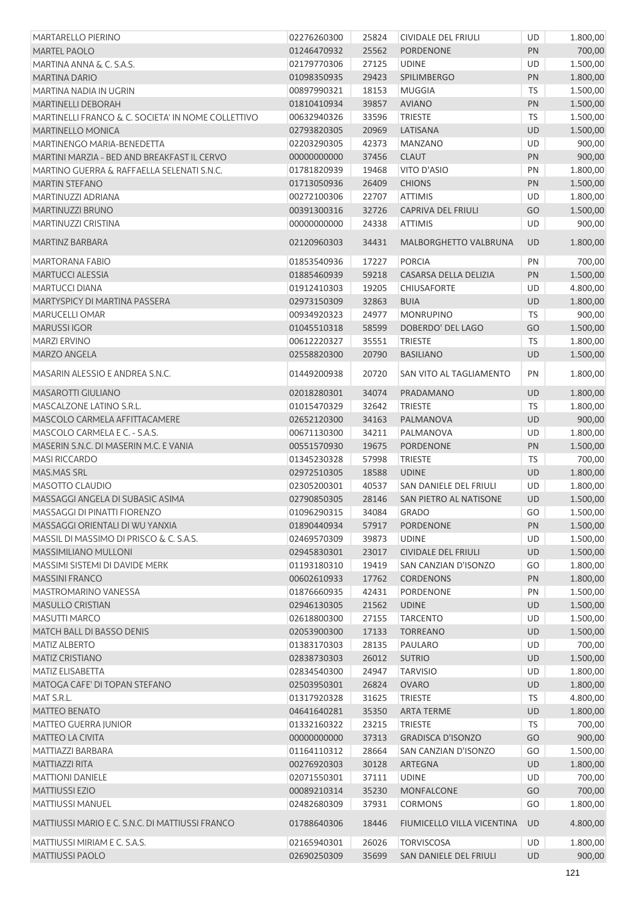| <b>MARTARELLO PIERINO</b>                          | 02276260300             | 25824 | CIVIDALE DEL FRIULI        | UD        | 1.800,00 |
|----------------------------------------------------|-------------------------|-------|----------------------------|-----------|----------|
| MARTEL PAOLO                                       | 01246470932             | 25562 | <b>PORDENONE</b>           | PN        | 700,00   |
| MARTINA ANNA & C. S.A.S.                           | 02179770306             | 27125 | <b>UDINE</b>               | <b>UD</b> | 1.500,00 |
| <b>MARTINA DARIO</b>                               | 01098350935             | 29423 | SPILIMBERGO                | PN        | 1.800,00 |
| MARTINA NADIA IN UGRIN                             | 00897990321             | 18153 | <b>MUGGIA</b>              | <b>TS</b> | 1.500,00 |
| MARTINELLI DEBORAH                                 | 01810410934             | 39857 | <b>AVIANO</b>              | PN        | 1.500,00 |
| MARTINELLI FRANCO & C. SOCIETA' IN NOME COLLETTIVO | 00632940326             | 33596 | <b>TRIESTE</b>             | <b>TS</b> | 1.500,00 |
| <b>MARTINELLO MONICA</b>                           | 02793820305             | 20969 | LATISANA                   | UD        | 1.500,00 |
| MARTINENGO MARIA-BENEDETTA                         | 02203290305             | 42373 | <b>MANZANO</b>             | <b>UD</b> | 900,00   |
| MARTINI MARZIA - BED AND BREAKFAST IL CERVO        | 00000000000             | 37456 | <b>CLAUT</b>               | PN        | 900,00   |
| MARTINO GUERRA & RAFFAELLA SELENATI S.N.C.         | 01781820939             | 19468 | VITO D'ASIO                | PN        | 1.800,00 |
| <b>MARTIN STEFANO</b>                              | 01713050936             | 26409 | <b>CHIONS</b>              | PN        | 1.500,00 |
| MARTINUZZI ADRIANA                                 | 00272100306             | 22707 | <b>ATTIMIS</b>             | UD        | 1.800,00 |
| MARTINUZZI BRUNO                                   | 00391300316             | 32726 | CAPRIVA DEL FRIULI         | GO        | 1.500,00 |
| MARTINUZZI CRISTINA                                | 00000000000             | 24338 | <b>ATTIMIS</b>             | UD        | 900,00   |
|                                                    |                         |       |                            |           |          |
| <b>MARTINZ BARBARA</b>                             | 02120960303             | 34431 | MALBORGHETTO VALBRUNA      | UD        | 1.800,00 |
| <b>MARTORANA FABIO</b>                             | 01853540936             | 17227 | <b>PORCIA</b>              | PN        | 700,00   |
| MARTUCCI ALESSIA                                   | 01885460939             | 59218 | CASARSA DELLA DELIZIA      | PN        | 1.500,00 |
| <b>MARTUCCI DIANA</b>                              | 01912410303             | 19205 | CHIUSAFORTE                | UD        | 4.800,00 |
| MARTYSPICY DI MARTINA PASSERA                      | 02973150309             | 32863 | <b>BUIA</b>                | <b>UD</b> | 1.800,00 |
| MARUCELLI OMAR                                     | 00934920323             | 24977 | <b>MONRUPINO</b>           | <b>TS</b> | 900,00   |
| MARUSSI IGOR                                       | 01045510318             | 58599 | DOBERDO' DEL LAGO          | GO        | 1.500,00 |
| <b>MARZI ERVINO</b>                                | 00612220327             | 35551 | <b>TRIESTE</b>             | TS        | 1.800,00 |
| <b>MARZO ANGELA</b>                                | 02558820300             | 20790 | <b>BASILIANO</b>           | <b>UD</b> | 1.500,00 |
| MASARIN ALESSIO E ANDREA S.N.C.                    | 01449200938             | 20720 | SAN VITO AL TAGLIAMENTO    | PN        | 1.800,00 |
| <b>MASAROTTI GIULIANO</b>                          | 02018280301             | 34074 | PRADAMANO                  | UD        | 1.800,00 |
| MASCALZONE LATINO S.R.L.                           | 01015470329             | 32642 | <b>TRIESTE</b>             | <b>TS</b> | 1.800,00 |
| MASCOLO CARMELA AFFITTACAMERE                      | 02652120300             | 34163 | PALMANOVA                  | UD        | 900,00   |
| MASCOLO CARMELA E C. - S.A.S.                      | 00671130300             | 34211 | PALMANOVA                  | <b>UD</b> | 1.800,00 |
| MASERIN S.N.C. DI MASERIN M.C. E VANIA             | 00551570930             | 19675 | PORDENONE                  | PN        | 1.500,00 |
| <b>MASI RICCARDO</b>                               | 01345230328             | 57998 | <b>TRIESTE</b>             | <b>TS</b> | 700,00   |
| MAS.MAS SRL                                        | 02972510305             | 18588 | <b>UDINE</b>               | UD        | 1.800,00 |
| <b>MASOTTO CLAUDIO</b>                             | 02305200301             | 40537 | SAN DANIELE DEL FRIULI     | UD        | 1.800,00 |
| MASSAGGI ANGELA DI SUBASIC ASIMA                   | 02790850305             | 28146 | SAN PIETRO AL NATISONE     | <b>UD</b> | 1.500,00 |
| MASSAGGI DI PINATTI FIORENZO                       | 01096290315 34084 GRADO |       |                            | GO        | 1.500,00 |
| MASSAGGI ORIENTALI DI WU YANXIA                    | 01890440934             | 57917 | PORDENONE                  | PN        | 1.500,00 |
| MASSIL DI MASSIMO DI PRISCO & C. S.A.S.            | 02469570309             | 39873 | <b>UDINE</b>               | UD        | 1.500,00 |
| MASSIMILIANO MULLONI                               | 02945830301             | 23017 | <b>CIVIDALE DEL FRIULI</b> | UD        | 1.500,00 |
| MASSIMI SISTEMI DI DAVIDE MERK                     | 01193180310             | 19419 | SAN CANZIAN D'ISONZO       | GO        | 1.800,00 |
| <b>MASSINI FRANCO</b>                              | 00602610933             | 17762 | <b>CORDENONS</b>           | PN        | 1.800,00 |
| MASTROMARINO VANESSA                               | 01876660935             | 42431 | PORDENONE                  | PN        | 1.500,00 |
| <b>MASULLO CRISTIAN</b>                            | 02946130305             | 21562 | <b>UDINE</b>               | <b>UD</b> | 1.500,00 |
| MASUTTI MARCO                                      | 02618800300             | 27155 | <b>TARCENTO</b>            | UD        | 1.500,00 |
| MATCH BALL DI BASSO DENIS                          | 02053900300             | 17133 | <b>TORREANO</b>            | <b>UD</b> | 1.500,00 |
| <b>MATIZ ALBERTO</b>                               | 01383170303             | 28135 | PAULARO                    | UD        | 700,00   |
| MATIZ CRISTIANO                                    | 02838730303             | 26012 | <b>SUTRIO</b>              | <b>UD</b> | 1.500,00 |
| <b>MATIZ ELISABETTA</b>                            | 02834540300             | 24947 | <b>TARVISIO</b>            | UD        | 1.800,00 |
| MATOGA CAFE' DI TOPAN STEFANO                      | 02503950301             | 26824 | <b>OVARO</b>               | UD        | 1.800,00 |
| MAT S.R.L.                                         | 01317920328             | 31625 | <b>TRIESTE</b>             | <b>TS</b> | 4.800,00 |
|                                                    | 04641640281             |       | <b>ARTA TERME</b>          | <b>UD</b> | 1.800,00 |
| <b>MATTEO BENATO</b>                               |                         | 35350 |                            |           |          |
| <b>MATTEO GUERRA JUNIOR</b>                        | 01332160322             | 23215 | <b>TRIESTE</b>             | <b>TS</b> | 700,00   |
| <b>MATTEO LA CIVITA</b><br>MATTIAZZI BARBARA       | 00000000000             | 37313 | <b>GRADISCA D'ISONZO</b>   | GO        | 900,00   |
|                                                    | 01164110312             | 28664 | SAN CANZIAN D'ISONZO       | GO        | 1.500,00 |
| MATTIAZZI RITA                                     | 00276920303             | 30128 | <b>ARTEGNA</b>             | <b>UD</b> | 1.800,00 |
| <b>MATTIONI DANIELE</b>                            | 02071550301             | 37111 | <b>UDINE</b>               | UD        | 700,00   |
| <b>MATTIUSSI EZIO</b>                              | 00089210314             | 35230 | <b>MONFALCONE</b>          | GO        | 700,00   |
| <b>MATTIUSSI MANUEL</b>                            | 02482680309             | 37931 | <b>CORMONS</b>             | GO        | 1.800,00 |
| MATTIUSSI MARIO E C. S.N.C. DI MATTIUSSI FRANCO    | 01788640306             | 18446 | FIUMICELLO VILLA VICENTINA | <b>UD</b> | 4.800,00 |
| MATTIUSSI MIRIAM E C. S.A.S.                       | 02165940301             | 26026 | <b>TORVISCOSA</b>          | UD        | 1.800,00 |
| <b>MATTIUSSI PAOLO</b>                             | 02690250309             | 35699 | SAN DANIELE DEL FRIULI     | <b>UD</b> | 900,00   |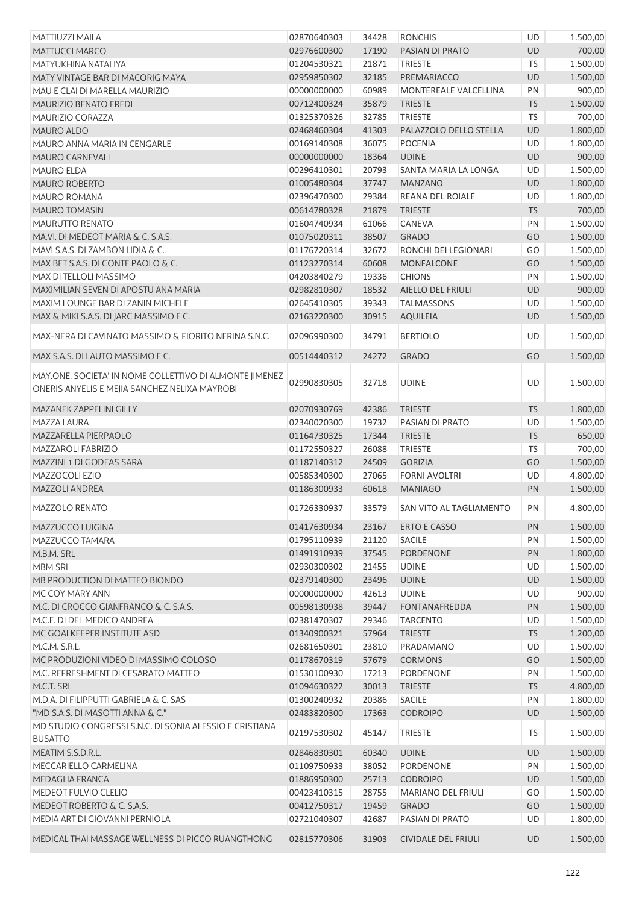| <b>MATTIUZZI MAILA</b>                                                                                   | 02870640303 | 34428 | <b>RONCHIS</b>             | UD        | 1.500,00 |
|----------------------------------------------------------------------------------------------------------|-------------|-------|----------------------------|-----------|----------|
| <b>MATTUCCI MARCO</b>                                                                                    | 02976600300 | 17190 | PASIAN DI PRATO            | <b>UD</b> | 700,00   |
| MATYUKHINA NATALIYA                                                                                      | 01204530321 | 21871 | <b>TRIESTE</b>             | <b>TS</b> | 1.500,00 |
| MATY VINTAGE BAR DI MACORIG MAYA                                                                         | 02959850302 | 32185 | PREMARIACCO                | <b>UD</b> | 1.500,00 |
| MAU E CLAI DI MARELLA MAURIZIO                                                                           | 00000000000 | 60989 | MONTEREALE VALCELLINA      | PN        | 900,00   |
| MAURIZIO BENATO EREDI                                                                                    | 00712400324 | 35879 | <b>TRIESTE</b>             | <b>TS</b> | 1.500,00 |
| MAURIZIO CORAZZA                                                                                         | 01325370326 | 32785 | <b>TRIESTE</b>             | <b>TS</b> | 700,00   |
| <b>MAURO ALDO</b>                                                                                        | 02468460304 | 41303 | PALAZZOLO DELLO STELLA     | UD        | 1.800,00 |
| MAURO ANNA MARIA IN CENGARLE                                                                             | 00169140308 | 36075 | <b>POCENIA</b>             | UD        | 1.800,00 |
| <b>MAURO CARNEVALI</b>                                                                                   | 00000000000 | 18364 | <b>UDINE</b>               | <b>UD</b> | 900,00   |
| <b>MAURO ELDA</b>                                                                                        | 00296410301 | 20793 | SANTA MARIA LA LONGA       | UD        | 1.500,00 |
| <b>MAURO ROBERTO</b>                                                                                     | 01005480304 | 37747 | <b>MANZANO</b>             | UD        | 1.800,00 |
| <b>MAURO ROMANA</b>                                                                                      | 02396470300 | 29384 | REANA DEL ROIALE           | UD        | 1.800,00 |
| <b>MAURO TOMASIN</b>                                                                                     | 00614780328 | 21879 | <b>TRIESTE</b>             | <b>TS</b> | 700,00   |
| MAURUTTO RENATO                                                                                          | 01604740934 | 61066 | CANEVA                     | PN        | 1.500,00 |
| MA.VI. DI MEDEOT MARIA & C. S.A.S.                                                                       | 01075020311 | 38507 | <b>GRADO</b>               | GO        | 1.500,00 |
| MAVI S.A.S. DI ZAMBON LIDIA & C.                                                                         | 01176720314 | 32672 | RONCHI DEI LEGIONARI       | GO        | 1.500,00 |
| MAX BET S.A.S. DI CONTE PAOLO & C.                                                                       | 01123270314 | 60608 | <b>MONFALCONE</b>          | GO        | 1.500,00 |
| MAX DI TELLOLI MASSIMO                                                                                   | 04203840279 | 19336 | <b>CHIONS</b>              | PN        | 1.500,00 |
| MAXIMILIAN SEVEN DI APOSTU ANA MARIA                                                                     | 02982810307 | 18532 | AIELLO DEL FRIULI          | UD        | 900,00   |
| MAXIM LOUNGE BAR DI ZANIN MICHELE                                                                        | 02645410305 | 39343 | <b>TALMASSONS</b>          | UD        | 1.500,00 |
| MAX & MIKI S.A.S. DI JARC MASSIMO E C.                                                                   | 02163220300 | 30915 | <b>AQUILEIA</b>            | <b>UD</b> | 1.500,00 |
|                                                                                                          |             |       |                            |           |          |
| MAX-NERA DI CAVINATO MASSIMO & FIORITO NERINA S.N.C.                                                     | 02096990300 | 34791 | <b>BERTIOLO</b>            | UD        | 1.500,00 |
| MAX S.A.S. DI LAUTO MASSIMO E C.                                                                         | 00514440312 | 24272 | <b>GRADO</b>               | GO        | 1.500,00 |
| MAY.ONE. SOCIETA' IN NOME COLLETTIVO DI ALMONTE JIMENEZ<br>ONERIS ANYELIS E MEJIA SANCHEZ NELIXA MAYROBI | 02990830305 | 32718 | <b>UDINE</b>               | UD        | 1.500,00 |
| MAZANEK ZAPPELINI GILLY                                                                                  | 02070930769 | 42386 | <b>TRIESTE</b>             | <b>TS</b> | 1.800,00 |
| MAZZA LAURA                                                                                              | 02340020300 | 19732 | PASIAN DI PRATO            | UD        | 1.500,00 |
| MAZZARELLA PIERPAOLO                                                                                     | 01164730325 | 17344 | <b>TRIESTE</b>             | <b>TS</b> | 650,00   |
| MAZZAROLI FABRIZIO                                                                                       | 01172550327 | 26088 | <b>TRIESTE</b>             | <b>TS</b> | 700,00   |
| MAZZINI 1 DI GODEAS SARA                                                                                 | 01187140312 | 24509 | <b>GORIZIA</b>             | GO        | 1.500,00 |
| MAZZOCOLI EZIO                                                                                           | 00585340300 | 27065 | <b>FORNI AVOLTRI</b>       | UD        | 4.800,00 |
| <b>MAZZOLI ANDREA</b>                                                                                    | 01186300933 | 60618 | <b>MANIAGO</b>             | PN        | 1.500,00 |
| MAZZOLO RENATO                                                                                           | 01726330937 | 33579 | SAN VITO AL TAGLIAMENTO    | PN        | 4.800,00 |
| MAZZUCCO LUIGINA                                                                                         | 01417630934 | 23167 | <b>ERTO E CASSO</b>        | PN        | 1.500,00 |
| MAZZUCCO TAMARA                                                                                          | 01795110939 | 21120 | SACILE                     | PN        | 1.500,00 |
| M.B.M. SRL                                                                                               | 01491910939 | 37545 | <b>PORDENONE</b>           | PN        | 1.800,00 |
| <b>MBM SRL</b>                                                                                           | 02930300302 | 21455 | <b>UDINE</b>               | UD        | 1.500,00 |
| MB PRODUCTION DI MATTEO BIONDO                                                                           | 02379140300 | 23496 | <b>UDINE</b>               | <b>UD</b> | 1.500,00 |
| MC COY MARY ANN                                                                                          | 00000000000 | 42613 | <b>UDINE</b>               | UD        | 900,00   |
| M.C. DI CROCCO GIANFRANCO & C. S.A.S.                                                                    | 00598130938 | 39447 | <b>FONTANAFREDDA</b>       | PN        | 1.500,00 |
| M.C.E. DI DEL MEDICO ANDREA                                                                              | 02381470307 | 29346 | <b>TARCENTO</b>            | UD        | 1.500,00 |
| MC GOALKEEPER INSTITUTE ASD                                                                              | 01340900321 | 57964 | <b>TRIESTE</b>             | <b>TS</b> | 1.200,00 |
| M.C.M. S.R.L.                                                                                            | 02681650301 | 23810 | PRADAMANO                  | UD        | 1.500,00 |
| MC PRODUZIONI VIDEO DI MASSIMO COLOSO                                                                    | 01178670319 | 57679 | <b>CORMONS</b>             | GO        | 1.500,00 |
| M.C. REFRESHMENT DI CESARATO MATTEO                                                                      | 01530100930 | 17213 | PORDENONE                  | PN        | 1.500,00 |
| M.C.T. SRL                                                                                               | 01094630322 | 30013 | <b>TRIESTE</b>             | <b>TS</b> | 4.800,00 |
| M.D.A. DI FILIPPUTTI GABRIELA & C. SAS                                                                   | 01300240932 | 20386 | <b>SACILE</b>              | PN        | 1.800,00 |
| "MD S.A.S. DI MASOTTI ANNA & C."                                                                         | 02483820300 | 17363 | <b>CODROIPO</b>            | <b>UD</b> | 1.500,00 |
| MD STUDIO CONGRESSI S.N.C. DI SONIA ALESSIO E CRISTIANA                                                  |             |       |                            |           |          |
| <b>BUSATTO</b>                                                                                           | 02197530302 | 45147 | <b>TRIESTE</b>             | <b>TS</b> | 1.500,00 |
| MEATIM S.S.D.R.L.                                                                                        | 02846830301 | 60340 | <b>UDINE</b>               | <b>UD</b> | 1.500,00 |
| MECCARIELLO CARMELINA                                                                                    | 01109750933 | 38052 | PORDENONE                  | PN        | 1.500,00 |
| MEDAGLIA FRANCA                                                                                          | 01886950300 | 25713 | <b>CODROIPO</b>            | UD        | 1.500,00 |
| MEDEOT FULVIO CLELIO                                                                                     | 00423410315 | 28755 | MARIANO DEL FRIULI         | GO        | 1.500,00 |
| MEDEOT ROBERTO & C. S.A.S.                                                                               | 00412750317 | 19459 | <b>GRADO</b>               | GO        | 1.500,00 |
| MEDIA ART DI GIOVANNI PERNIOLA                                                                           | 02721040307 | 42687 | PASIAN DI PRATO            | <b>UD</b> | 1.800,00 |
| MEDICAL THAI MASSAGE WELLNESS DI PICCO RUANGTHONG                                                        | 02815770306 | 31903 | <b>CIVIDALE DEL FRIULI</b> | <b>UD</b> | 1.500,00 |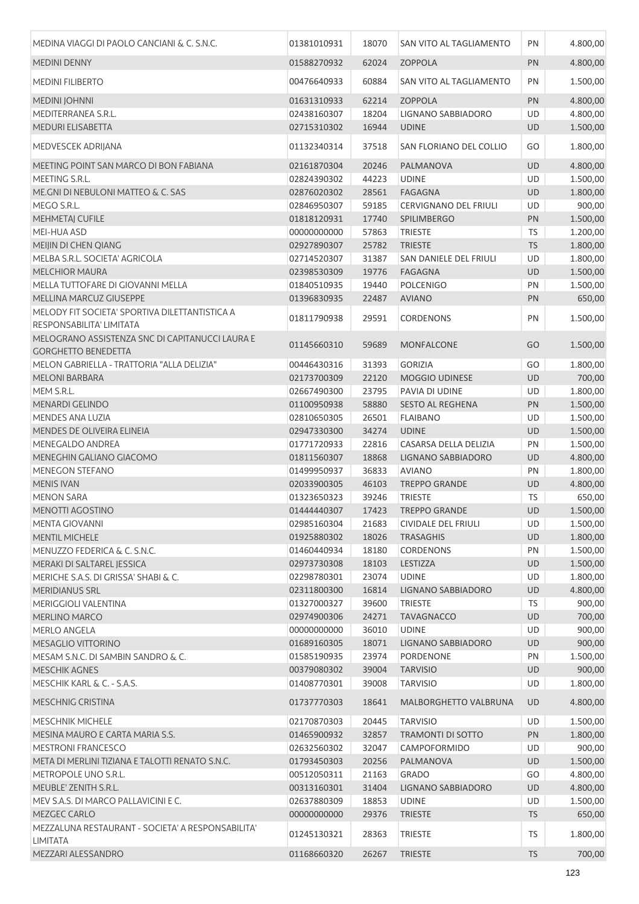| MEDINA VIAGGI DI PAOLO CANCIANI & C. S.N.C.       | 01381010931 | 18070 | SAN VITO AL TAGLIAMENTO      | PN        | 4.800,00 |
|---------------------------------------------------|-------------|-------|------------------------------|-----------|----------|
| <b>MEDINI DENNY</b>                               | 01588270932 | 62024 | <b>ZOPPOLA</b>               | PN        | 4.800,00 |
| <b>MEDINI FILIBERTO</b>                           | 00476640933 | 60884 | SAN VITO AL TAGLIAMENTO      | PN        | 1.500,00 |
| <b>MEDINI JOHNNI</b>                              | 01631310933 | 62214 | <b>ZOPPOLA</b>               | PN        | 4.800,00 |
| MEDITERRANEA S.R.L.                               | 02438160307 | 18204 | LIGNANO SABBIADORO           | <b>UD</b> | 4.800,00 |
| <b>MEDURI ELISABETTA</b>                          | 02715310302 | 16944 | <b>UDINE</b>                 | UD        | 1.500,00 |
| MEDVESCEK ADRIJANA                                | 01132340314 | 37518 | SAN FLORIANO DEL COLLIO      | GO        | 1.800,00 |
| MEETING POINT SAN MARCO DI BON FABIANA            | 02161870304 | 20246 | PALMANOVA                    | <b>UD</b> | 4.800,00 |
| MEETING S.R.L.                                    | 02824390302 | 44223 | <b>UDINE</b>                 | <b>UD</b> | 1.500,00 |
| ME.GNI DI NEBULONI MATTEO & C. SAS                | 02876020302 | 28561 | <b>FAGAGNA</b>               | <b>UD</b> | 1.800,00 |
| MEGO S.R.L.                                       | 02846950307 | 59185 | <b>CERVIGNANO DEL FRIULI</b> | <b>UD</b> | 900,00   |
| <b>MEHMETAJ CUFILE</b>                            | 01818120931 | 17740 | <b>SPILIMBERGO</b>           | PN        | 1.500,00 |
| MEI-HUA ASD                                       | 00000000000 | 57863 | <b>TRIESTE</b>               | <b>TS</b> | 1.200,00 |
| MEIJIN DI CHEN QIANG                              | 02927890307 | 25782 | <b>TRIESTE</b>               | <b>TS</b> | 1.800,00 |
| MELBA S.R.L. SOCIETA' AGRICOLA                    | 02714520307 | 31387 | SAN DANIELE DEL FRIULI       | UD        | 1.800,00 |
| <b>MELCHIOR MAURA</b>                             | 02398530309 | 19776 | <b>FAGAGNA</b>               | <b>UD</b> | 1.500,00 |
| MELLA TUTTOFARE DI GIOVANNI MELLA                 | 01840510935 | 19440 | <b>POLCENIGO</b>             | PN        | 1.500,00 |
| MELLINA MARCUZ GIUSEPPE                           | 01396830935 | 22487 | <b>AVIANO</b>                | PN        | 650,00   |
| MELODY FIT SOCIETA' SPORTIVA DILETTANTISTICA A    |             |       |                              |           |          |
| RESPONSABILITA' LIMITATA                          | 01811790938 | 29591 | <b>CORDENONS</b>             | PN        | 1.500,00 |
| MELOGRANO ASSISTENZA SNC DI CAPITANUCCI LAURA E   | 01145660310 | 59689 | <b>MONFALCONE</b>            | GO        | 1.500,00 |
| <b>GORGHETTO BENEDETTA</b>                        |             |       |                              |           |          |
| MELON GABRIELLA - TRATTORIA "ALLA DELIZIA"        | 00446430316 | 31393 | <b>GORIZIA</b>               | GO        | 1.800,00 |
| <b>MELONI BARBARA</b>                             | 02173700309 | 22120 | <b>MOGGIO UDINESE</b>        | <b>UD</b> | 700,00   |
| MEM S.R.L.                                        | 02667490300 | 23795 | PAVIA DI UDINE               | <b>UD</b> | 1.800,00 |
| <b>MENARDI GELINDO</b>                            | 01100950938 | 58880 | <b>SESTO AL REGHENA</b>      | PN        | 1.500,00 |
| MENDES ANA LUZIA                                  | 02810650305 | 26501 | <b>FLAIBANO</b>              | UD        | 1.500,00 |
| MENDES DE OLIVEIRA ELINEIA                        | 02947330300 | 34274 | <b>UDINE</b>                 | <b>UD</b> | 1.500,00 |
| MENEGALDO ANDREA                                  | 01771720933 | 22816 | CASARSA DELLA DELIZIA        | PN        | 1.500,00 |
| MENEGHIN GALIANO GIACOMO                          | 01811560307 | 18868 | LIGNANO SABBIADORO           | <b>UD</b> | 4.800,00 |
| <b>MENEGON STEFANO</b>                            | 01499950937 | 36833 | <b>AVIANO</b>                | PN        | 1.800,00 |
| <b>MENIS IVAN</b>                                 | 02033900305 | 46103 | <b>TREPPO GRANDE</b>         | <b>UD</b> | 4.800,00 |
| <b>MENON SARA</b>                                 | 01323650323 | 39246 | <b>TRIESTE</b>               | <b>TS</b> | 650,00   |
| <b>MENOTTI AGOSTINO</b>                           | 01444440307 | 17423 | <b>TREPPO GRANDE</b>         | <b>UD</b> | 1.500,00 |
| <b>MENTA GIOVANNI</b>                             | 02985160304 | 21683 | <b>CIVIDALE DEL FRIULI</b>   | UD        | 1.500,00 |
| MENTIL MICHELE                                    | 01925880302 | 18026 | <b>TRASAGHIS</b>             | UD        | 1.800,00 |
| MENUZZO FEDERICA & C. S.N.C.                      | 01460440934 | 18180 | <b>CORDENONS</b>             | PN        | 1.500,00 |
| MERAKI DI SALTAREL JESSICA                        | 02973730308 | 18103 | LESTIZZA                     | <b>UD</b> | 1.500,00 |
| MERICHE S.A.S. DI GRISSA' SHABI & C.              | 02298780301 | 23074 | <b>UDINE</b>                 | UD        | 1.800,00 |
| <b>MERIDIANUS SRL</b>                             | 02311800300 | 16814 | LIGNANO SABBIADORO           | <b>UD</b> | 4.800,00 |
| MERIGGIOLI VALENTINA                              | 01327000327 | 39600 | TRIESTE                      | <b>TS</b> | 900,00   |
| <b>MERLINO MARCO</b>                              | 02974900306 | 24271 | <b>TAVAGNACCO</b>            | <b>UD</b> | 700,00   |
| <b>MERLO ANGELA</b>                               | 00000000000 | 36010 | <b>UDINE</b>                 | <b>UD</b> | 900,00   |
| MESAGLIO VITTORINO                                | 01689160305 | 18071 | LIGNANO SABBIADORO           | UD        | 900,00   |
| MESAM S.N.C. DI SAMBIN SANDRO & C.                | 01585190935 | 23974 | PORDENONE                    | PN        | 1.500,00 |
| <b>MESCHIK AGNES</b>                              | 00379080302 | 39004 | <b>TARVISIO</b>              | UD        | 900,00   |
| MESCHIK KARL & C. - S.A.S.                        | 01408770301 | 39008 | <b>TARVISIO</b>              | <b>UD</b> | 1.800,00 |
| <b>MESCHNIG CRISTINA</b>                          | 01737770303 | 18641 | MALBORGHETTO VALBRUNA        | <b>UD</b> | 4.800,00 |
| <b>MESCHNIK MICHELE</b>                           | 02170870303 | 20445 | <b>TARVISIO</b>              | UD        | 1.500,00 |
| MESINA MAURO E CARTA MARIA S.S.                   | 01465900932 | 32857 | <b>TRAMONTI DI SOTTO</b>     | <b>PN</b> | 1.800,00 |
| <b>MESTRONI FRANCESCO</b>                         | 02632560302 | 32047 | CAMPOFORMIDO                 | UD        | 900,00   |
| META DI MERLINI TIZIANA E TALOTTI RENATO S.N.C.   | 01793450303 | 20256 | PALMANOVA                    | <b>UD</b> | 1.500,00 |
| METROPOLE UNO S.R.L.                              | 00512050311 | 21163 | <b>GRADO</b>                 | GO        | 4.800,00 |
| MEUBLE' ZENITH S.R.L.                             | 00313160301 | 31404 | LIGNANO SABBIADORO           | <b>UD</b> | 4.800,00 |
| MEV S.A.S. DI MARCO PALLAVICINI E C.              | 02637880309 | 18853 | <b>UDINE</b>                 | <b>UD</b> | 1.500,00 |
| MEZGEC CARLO                                      | 00000000000 | 29376 | <b>TRIESTE</b>               | <b>TS</b> | 650,00   |
| MEZZALUNA RESTAURANT - SOCIETA' A RESPONSABILITA' | 01245130321 | 28363 | TRIESTE                      | TS        | 1.800,00 |
| <b>LIMITATA</b>                                   |             |       |                              | <b>TS</b> | 700,00   |
| MEZZARI ALESSANDRO                                | 01168660320 | 26267 | <b>TRIESTE</b>               |           |          |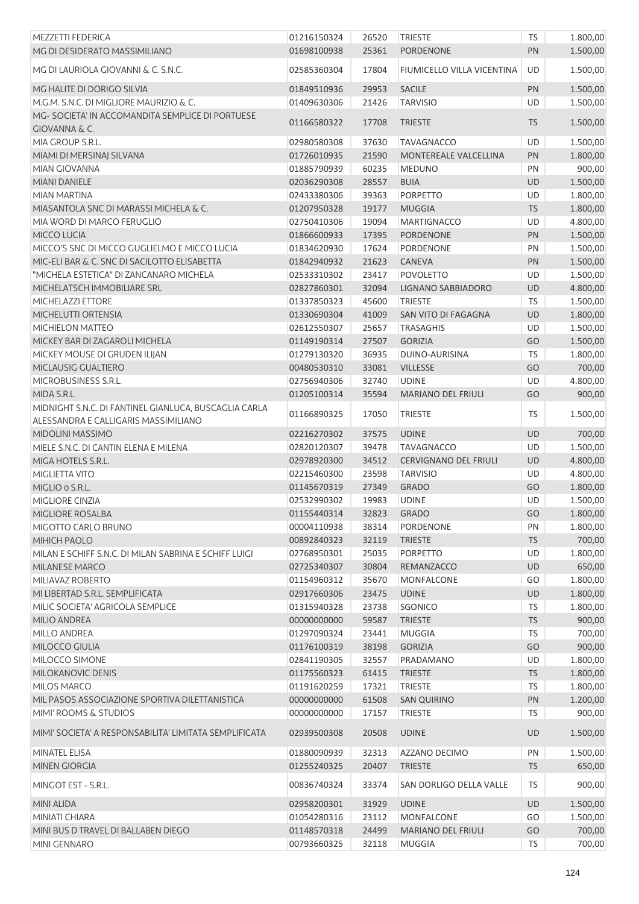| PN<br>MG DI DESIDERATO MASSIMILIANO<br>01698100938<br>25361<br><b>PORDENONE</b><br>1.500,00<br>MG DI LAURIOLA GIOVANNI & C. S.N.C.<br>17804<br>1.500,00<br>02585360304<br>FIUMICELLO VILLA VICENTINA<br>UD<br>MG HALITE DI DORIGO SILVIA<br>29953<br>PN<br>1.500,00<br>01849510936<br><b>SACILE</b><br>21426<br>UD<br>1.500,00<br>M.G.M. S.N.C. DI MIGLIORE MAURIZIO & C.<br>01409630306<br><b>TARVISIO</b><br>MG-SOCIETA' IN ACCOMANDITA SEMPLICE DI PORTUESE<br>01166580322<br>17708<br><b>TRIESTE</b><br><b>TS</b><br>1.500,00<br>GIOVANNA & C.<br>37630<br>UD<br>1.500,00<br>MIA GROUP S.R.L.<br>02980580308<br><b>TAVAGNACCO</b><br>PN<br>1.800,00<br>MIAMI DI MERSINAJ SILVANA<br>01726010935<br>21590<br>MONTEREALE VALCELLINA<br>PN<br>900,00<br><b>MIAN GIOVANNA</b><br>01885790939<br>60235<br><b>MEDUNO</b><br>1.500,00<br>02036290308<br>28557<br><b>BUIA</b><br><b>UD</b><br><b>MIANI DANIELE</b><br>UD<br>02433380306<br>39363<br><b>PORPETTO</b><br>1.800,00<br>MIAN MARTINA<br><b>TS</b><br>19177<br><b>MUGGIA</b><br>1.800,00<br>MIASANTOLA SNC DI MARASSI MICHELA & C.<br>01207950328<br>UD<br>4.800,00<br>MIA WORD DI MARCO FERUGLIO<br>02750410306<br>19094<br><b>MARTIGNACCO</b><br>PN<br>1.500,00<br>MICCO LUCIA<br>01866600933<br>17395<br><b>PORDENONE</b><br>MICCO'S SNC DI MICCO GUGLIELMO E MICCO LUCIA<br>17624<br>PN<br>1.500,00<br>01834620930<br>PORDENONE<br>MIC-ELI BAR & C. SNC DI SACILOTTO ELISABETTA<br>21623<br>PN<br>1.500,00<br>01842940932<br><b>CANEVA</b><br>"MICHELA ESTETICA" DI ZANCANARO MICHELA<br>23417<br>UD<br>1.500,00<br>02533310302<br><b>POVOLETTO</b><br>MICHELATSCH IMMOBILIARE SRL<br>32094<br>4.800,00<br>02827860301<br><b>LIGNANO SABBIADORO</b><br><b>UD</b><br>MICHELAZZI ETTORE<br>45600<br>TS<br>01337850323<br><b>TRIESTE</b><br>1.500,00<br>MICHELUTTI ORTENSIA<br>UD<br>1.800,00<br>01330690304<br>41009<br>SAN VITO DI FAGAGNA<br><b>MICHIELON MATTEO</b><br>25657<br>UD<br>1.500,00<br>02612550307<br><b>TRASAGHIS</b><br>MICKEY BAR DI ZAGAROLI MICHELA<br>1.500,00<br>01149190314<br>27507<br><b>GORIZIA</b><br>GO<br>MICKEY MOUSE DI GRUDEN ILIJAN<br>36935<br><b>DUINO-AURISINA</b><br><b>TS</b><br>1.800,00<br>01279130320<br>MICLAUSIG GUALTIERO<br>33081<br>GO<br>700,00<br>00480530310<br><b>VILLESSE</b><br>UD<br>MICROBUSINESS S.R.L.<br>32740<br><b>UDINE</b><br>4.800,00<br>02756940306<br>MIDA S.R.L.<br>900,00<br>01205100314<br>35594<br><b>MARIANO DEL FRIULI</b><br>GO<br>MIDNIGHT S.N.C. DI FANTINEL GIANLUCA, BUSCAGLIA CARLA<br><b>TS</b><br>01166890325<br>17050<br><b>TRIESTE</b><br>1.500,00<br>ALESSANDRA E CALLIGARIS MASSIMILIANO<br>UD<br><b>MIDOLINI MASSIMO</b><br>02216270302<br>37575<br><b>UDINE</b><br>700,00<br>MIELE S.N.C. DI CANTIN ELENA E MILENA<br>UD<br>1.500,00<br>02820120307<br>39478<br><b>TAVAGNACCO</b><br>MIGA HOTELS S.R.L.<br>34512<br>4.800,00<br>02978920300<br><b>CERVIGNANO DEL FRIULI</b><br><b>UD</b><br>MIGLIETTA VITO<br>23598<br><b>TARVISIO</b><br>UD<br>4.800,00<br>02215460300<br>MIGLIO o S.R.L.<br>01145670319<br>27349<br><b>GRADO</b><br>GO<br>1.800,00<br>19983<br>UD<br>1.500,00<br>MIGLIORE CINZIA<br>02532990302<br><b>UDINE</b><br>MIGLIORE ROSALBA<br>01155440314<br>32823<br><b>GRADO</b><br>GO<br>1.800,00<br>MIGOTTO CARLO BRUNO<br>00004110938<br>38314<br><b>PORDENONE</b><br>PN<br>1.800,00<br><b>TS</b><br>700,00<br>00892840323<br>32119<br><b>TRIESTE</b><br><b>MIHICH PAOLO</b><br>25035<br>PORPETTO<br>UD<br>1.800,00<br>MILAN E SCHIFF S.N.C. DI MILAN SABRINA E SCHIFF LUIGI<br>02768950301<br>650,00<br><b>MILANESE MARCO</b><br>02725340307<br>30804<br>REMANZACCO<br><b>UD</b><br>01154960312<br>35670<br><b>MONFALCONE</b><br>GO<br>1.800,00<br>MILIAVAZ ROBERTO<br><b>UDINE</b><br>1.800,00<br>MI LIBERTAD S.R.L. SEMPLIFICATA<br>02917660306<br>23475<br><b>UD</b><br><b>SGONICO</b><br>TS<br>1.800,00<br>MILIC SOCIETA' AGRICOLA SEMPLICE<br>01315940328<br>23738<br><b>TS</b><br>900,00<br>MILIO ANDREA<br>00000000000<br>59587<br><b>TRIESTE</b><br>TS<br>01297090324<br>23441<br><b>MUGGIA</b><br>700,00<br><b>MILLO ANDREA</b><br>900,00<br>01176100319<br>38198<br><b>GORIZIA</b><br>GO<br>MILOCCO GIULIA<br>UD<br>1.800,00<br>MILOCCO SIMONE<br>02841190305<br>32557<br>PRADAMANO<br>MILOKANOVIC DENIS<br>1.800,00<br>01175560323<br>61415<br><b>TRIESTE</b><br><b>TS</b><br>MILOS MARCO<br>01191620259<br>17321<br><b>TRIESTE</b><br><b>TS</b><br>1.800,00<br>MIL PASOS ASSOCIAZIONE SPORTIVA DILETTANISTICA<br>00000000000<br>61508<br>PN<br>1.200,00<br><b>SAN QUIRINO</b><br>TS<br>900,00<br>MIMI' ROOMS & STUDIOS<br>00000000000<br>17157<br><b>TRIESTE</b><br>MIMI' SOCIETA' A RESPONSABILITA' LIMITATA SEMPLIFICATA<br>02939500308<br>20508<br><b>UDINE</b><br><b>UD</b><br>1.500,00<br>PN<br>1.500,00<br>MINATEL ELISA<br>01880090939<br>32313<br>AZZANO DECIMO<br><b>MINEN GIORGIA</b><br>01255240325<br>20407<br><b>TRIESTE</b><br><b>TS</b><br>650,00<br>00836740324<br>33374<br>SAN DORLIGO DELLA VALLE<br><b>TS</b><br>900,00<br>MINGOT EST - S.R.L.<br>1.500,00<br>MINI ALIDA<br>02958200301<br>31929<br><b>UDINE</b><br><b>UD</b><br>MINIATI CHIARA<br>1.500,00<br>01054280316<br>23112<br><b>MONFALCONE</b><br>GO<br>MINI BUS D TRAVEL DI BALLABEN DIEGO<br>01148570318<br>24499<br><b>MARIANO DEL FRIULI</b><br>GO<br>700,00<br>MINI GENNARO<br>700,00<br>00793660325<br>32118<br><b>MUGGIA</b><br>TS | MEZZETTI FEDERICA | 01216150324 | 26520 | <b>TRIESTE</b> | TS | 1.800,00 |
|------------------------------------------------------------------------------------------------------------------------------------------------------------------------------------------------------------------------------------------------------------------------------------------------------------------------------------------------------------------------------------------------------------------------------------------------------------------------------------------------------------------------------------------------------------------------------------------------------------------------------------------------------------------------------------------------------------------------------------------------------------------------------------------------------------------------------------------------------------------------------------------------------------------------------------------------------------------------------------------------------------------------------------------------------------------------------------------------------------------------------------------------------------------------------------------------------------------------------------------------------------------------------------------------------------------------------------------------------------------------------------------------------------------------------------------------------------------------------------------------------------------------------------------------------------------------------------------------------------------------------------------------------------------------------------------------------------------------------------------------------------------------------------------------------------------------------------------------------------------------------------------------------------------------------------------------------------------------------------------------------------------------------------------------------------------------------------------------------------------------------------------------------------------------------------------------------------------------------------------------------------------------------------------------------------------------------------------------------------------------------------------------------------------------------------------------------------------------------------------------------------------------------------------------------------------------------------------------------------------------------------------------------------------------------------------------------------------------------------------------------------------------------------------------------------------------------------------------------------------------------------------------------------------------------------------------------------------------------------------------------------------------------------------------------------------------------------------------------------------------------------------------------------------------------------------------------------------------------------------------------------------------------------------------------------------------------------------------------------------------------------------------------------------------------------------------------------------------------------------------------------------------------------------------------------------------------------------------------------------------------------------------------------------------------------------------------------------------------------------------------------------------------------------------------------------------------------------------------------------------------------------------------------------------------------------------------------------------------------------------------------------------------------------------------------------------------------------------------------------------------------------------------------------------------------------------------------------------------------------------------------------------------------------------------------------------------------------------------------------------------------------------------------------------------------------------------------------------------------------------------------------------------------------------------------------------------------------------------------------------------------------------------------------------------------------------------------------------------------------------------------------------------------------------------------------------------------------------------------------------------------------------------------------------------------------------------------------------------------------------------------------------------------------------------------------------------------------------------------------------------------------------------------------------------------------------------------------------------------------------------------------------------------------------------------------------------------------------------------------------------------------------|-------------------|-------------|-------|----------------|----|----------|
|                                                                                                                                                                                                                                                                                                                                                                                                                                                                                                                                                                                                                                                                                                                                                                                                                                                                                                                                                                                                                                                                                                                                                                                                                                                                                                                                                                                                                                                                                                                                                                                                                                                                                                                                                                                                                                                                                                                                                                                                                                                                                                                                                                                                                                                                                                                                                                                                                                                                                                                                                                                                                                                                                                                                                                                                                                                                                                                                                                                                                                                                                                                                                                                                                                                                                                                                                                                                                                                                                                                                                                                                                                                                                                                                                                                                                                                                                                                                                                                                                                                                                                                                                                                                                                                                                                                                                                                                                                                                                                                                                                                                                                                                                                                                                                                                                                                                                                                                                                                                                                                                                                                                                                                                                                                                                                                                                                                                |                   |             |       |                |    |          |
|                                                                                                                                                                                                                                                                                                                                                                                                                                                                                                                                                                                                                                                                                                                                                                                                                                                                                                                                                                                                                                                                                                                                                                                                                                                                                                                                                                                                                                                                                                                                                                                                                                                                                                                                                                                                                                                                                                                                                                                                                                                                                                                                                                                                                                                                                                                                                                                                                                                                                                                                                                                                                                                                                                                                                                                                                                                                                                                                                                                                                                                                                                                                                                                                                                                                                                                                                                                                                                                                                                                                                                                                                                                                                                                                                                                                                                                                                                                                                                                                                                                                                                                                                                                                                                                                                                                                                                                                                                                                                                                                                                                                                                                                                                                                                                                                                                                                                                                                                                                                                                                                                                                                                                                                                                                                                                                                                                                                |                   |             |       |                |    |          |
|                                                                                                                                                                                                                                                                                                                                                                                                                                                                                                                                                                                                                                                                                                                                                                                                                                                                                                                                                                                                                                                                                                                                                                                                                                                                                                                                                                                                                                                                                                                                                                                                                                                                                                                                                                                                                                                                                                                                                                                                                                                                                                                                                                                                                                                                                                                                                                                                                                                                                                                                                                                                                                                                                                                                                                                                                                                                                                                                                                                                                                                                                                                                                                                                                                                                                                                                                                                                                                                                                                                                                                                                                                                                                                                                                                                                                                                                                                                                                                                                                                                                                                                                                                                                                                                                                                                                                                                                                                                                                                                                                                                                                                                                                                                                                                                                                                                                                                                                                                                                                                                                                                                                                                                                                                                                                                                                                                                                |                   |             |       |                |    |          |
|                                                                                                                                                                                                                                                                                                                                                                                                                                                                                                                                                                                                                                                                                                                                                                                                                                                                                                                                                                                                                                                                                                                                                                                                                                                                                                                                                                                                                                                                                                                                                                                                                                                                                                                                                                                                                                                                                                                                                                                                                                                                                                                                                                                                                                                                                                                                                                                                                                                                                                                                                                                                                                                                                                                                                                                                                                                                                                                                                                                                                                                                                                                                                                                                                                                                                                                                                                                                                                                                                                                                                                                                                                                                                                                                                                                                                                                                                                                                                                                                                                                                                                                                                                                                                                                                                                                                                                                                                                                                                                                                                                                                                                                                                                                                                                                                                                                                                                                                                                                                                                                                                                                                                                                                                                                                                                                                                                                                |                   |             |       |                |    |          |
|                                                                                                                                                                                                                                                                                                                                                                                                                                                                                                                                                                                                                                                                                                                                                                                                                                                                                                                                                                                                                                                                                                                                                                                                                                                                                                                                                                                                                                                                                                                                                                                                                                                                                                                                                                                                                                                                                                                                                                                                                                                                                                                                                                                                                                                                                                                                                                                                                                                                                                                                                                                                                                                                                                                                                                                                                                                                                                                                                                                                                                                                                                                                                                                                                                                                                                                                                                                                                                                                                                                                                                                                                                                                                                                                                                                                                                                                                                                                                                                                                                                                                                                                                                                                                                                                                                                                                                                                                                                                                                                                                                                                                                                                                                                                                                                                                                                                                                                                                                                                                                                                                                                                                                                                                                                                                                                                                                                                |                   |             |       |                |    |          |
|                                                                                                                                                                                                                                                                                                                                                                                                                                                                                                                                                                                                                                                                                                                                                                                                                                                                                                                                                                                                                                                                                                                                                                                                                                                                                                                                                                                                                                                                                                                                                                                                                                                                                                                                                                                                                                                                                                                                                                                                                                                                                                                                                                                                                                                                                                                                                                                                                                                                                                                                                                                                                                                                                                                                                                                                                                                                                                                                                                                                                                                                                                                                                                                                                                                                                                                                                                                                                                                                                                                                                                                                                                                                                                                                                                                                                                                                                                                                                                                                                                                                                                                                                                                                                                                                                                                                                                                                                                                                                                                                                                                                                                                                                                                                                                                                                                                                                                                                                                                                                                                                                                                                                                                                                                                                                                                                                                                                |                   |             |       |                |    |          |
|                                                                                                                                                                                                                                                                                                                                                                                                                                                                                                                                                                                                                                                                                                                                                                                                                                                                                                                                                                                                                                                                                                                                                                                                                                                                                                                                                                                                                                                                                                                                                                                                                                                                                                                                                                                                                                                                                                                                                                                                                                                                                                                                                                                                                                                                                                                                                                                                                                                                                                                                                                                                                                                                                                                                                                                                                                                                                                                                                                                                                                                                                                                                                                                                                                                                                                                                                                                                                                                                                                                                                                                                                                                                                                                                                                                                                                                                                                                                                                                                                                                                                                                                                                                                                                                                                                                                                                                                                                                                                                                                                                                                                                                                                                                                                                                                                                                                                                                                                                                                                                                                                                                                                                                                                                                                                                                                                                                                |                   |             |       |                |    |          |
|                                                                                                                                                                                                                                                                                                                                                                                                                                                                                                                                                                                                                                                                                                                                                                                                                                                                                                                                                                                                                                                                                                                                                                                                                                                                                                                                                                                                                                                                                                                                                                                                                                                                                                                                                                                                                                                                                                                                                                                                                                                                                                                                                                                                                                                                                                                                                                                                                                                                                                                                                                                                                                                                                                                                                                                                                                                                                                                                                                                                                                                                                                                                                                                                                                                                                                                                                                                                                                                                                                                                                                                                                                                                                                                                                                                                                                                                                                                                                                                                                                                                                                                                                                                                                                                                                                                                                                                                                                                                                                                                                                                                                                                                                                                                                                                                                                                                                                                                                                                                                                                                                                                                                                                                                                                                                                                                                                                                |                   |             |       |                |    |          |
|                                                                                                                                                                                                                                                                                                                                                                                                                                                                                                                                                                                                                                                                                                                                                                                                                                                                                                                                                                                                                                                                                                                                                                                                                                                                                                                                                                                                                                                                                                                                                                                                                                                                                                                                                                                                                                                                                                                                                                                                                                                                                                                                                                                                                                                                                                                                                                                                                                                                                                                                                                                                                                                                                                                                                                                                                                                                                                                                                                                                                                                                                                                                                                                                                                                                                                                                                                                                                                                                                                                                                                                                                                                                                                                                                                                                                                                                                                                                                                                                                                                                                                                                                                                                                                                                                                                                                                                                                                                                                                                                                                                                                                                                                                                                                                                                                                                                                                                                                                                                                                                                                                                                                                                                                                                                                                                                                                                                |                   |             |       |                |    |          |
|                                                                                                                                                                                                                                                                                                                                                                                                                                                                                                                                                                                                                                                                                                                                                                                                                                                                                                                                                                                                                                                                                                                                                                                                                                                                                                                                                                                                                                                                                                                                                                                                                                                                                                                                                                                                                                                                                                                                                                                                                                                                                                                                                                                                                                                                                                                                                                                                                                                                                                                                                                                                                                                                                                                                                                                                                                                                                                                                                                                                                                                                                                                                                                                                                                                                                                                                                                                                                                                                                                                                                                                                                                                                                                                                                                                                                                                                                                                                                                                                                                                                                                                                                                                                                                                                                                                                                                                                                                                                                                                                                                                                                                                                                                                                                                                                                                                                                                                                                                                                                                                                                                                                                                                                                                                                                                                                                                                                |                   |             |       |                |    |          |
|                                                                                                                                                                                                                                                                                                                                                                                                                                                                                                                                                                                                                                                                                                                                                                                                                                                                                                                                                                                                                                                                                                                                                                                                                                                                                                                                                                                                                                                                                                                                                                                                                                                                                                                                                                                                                                                                                                                                                                                                                                                                                                                                                                                                                                                                                                                                                                                                                                                                                                                                                                                                                                                                                                                                                                                                                                                                                                                                                                                                                                                                                                                                                                                                                                                                                                                                                                                                                                                                                                                                                                                                                                                                                                                                                                                                                                                                                                                                                                                                                                                                                                                                                                                                                                                                                                                                                                                                                                                                                                                                                                                                                                                                                                                                                                                                                                                                                                                                                                                                                                                                                                                                                                                                                                                                                                                                                                                                |                   |             |       |                |    |          |
|                                                                                                                                                                                                                                                                                                                                                                                                                                                                                                                                                                                                                                                                                                                                                                                                                                                                                                                                                                                                                                                                                                                                                                                                                                                                                                                                                                                                                                                                                                                                                                                                                                                                                                                                                                                                                                                                                                                                                                                                                                                                                                                                                                                                                                                                                                                                                                                                                                                                                                                                                                                                                                                                                                                                                                                                                                                                                                                                                                                                                                                                                                                                                                                                                                                                                                                                                                                                                                                                                                                                                                                                                                                                                                                                                                                                                                                                                                                                                                                                                                                                                                                                                                                                                                                                                                                                                                                                                                                                                                                                                                                                                                                                                                                                                                                                                                                                                                                                                                                                                                                                                                                                                                                                                                                                                                                                                                                                |                   |             |       |                |    |          |
|                                                                                                                                                                                                                                                                                                                                                                                                                                                                                                                                                                                                                                                                                                                                                                                                                                                                                                                                                                                                                                                                                                                                                                                                                                                                                                                                                                                                                                                                                                                                                                                                                                                                                                                                                                                                                                                                                                                                                                                                                                                                                                                                                                                                                                                                                                                                                                                                                                                                                                                                                                                                                                                                                                                                                                                                                                                                                                                                                                                                                                                                                                                                                                                                                                                                                                                                                                                                                                                                                                                                                                                                                                                                                                                                                                                                                                                                                                                                                                                                                                                                                                                                                                                                                                                                                                                                                                                                                                                                                                                                                                                                                                                                                                                                                                                                                                                                                                                                                                                                                                                                                                                                                                                                                                                                                                                                                                                                |                   |             |       |                |    |          |
|                                                                                                                                                                                                                                                                                                                                                                                                                                                                                                                                                                                                                                                                                                                                                                                                                                                                                                                                                                                                                                                                                                                                                                                                                                                                                                                                                                                                                                                                                                                                                                                                                                                                                                                                                                                                                                                                                                                                                                                                                                                                                                                                                                                                                                                                                                                                                                                                                                                                                                                                                                                                                                                                                                                                                                                                                                                                                                                                                                                                                                                                                                                                                                                                                                                                                                                                                                                                                                                                                                                                                                                                                                                                                                                                                                                                                                                                                                                                                                                                                                                                                                                                                                                                                                                                                                                                                                                                                                                                                                                                                                                                                                                                                                                                                                                                                                                                                                                                                                                                                                                                                                                                                                                                                                                                                                                                                                                                |                   |             |       |                |    |          |
|                                                                                                                                                                                                                                                                                                                                                                                                                                                                                                                                                                                                                                                                                                                                                                                                                                                                                                                                                                                                                                                                                                                                                                                                                                                                                                                                                                                                                                                                                                                                                                                                                                                                                                                                                                                                                                                                                                                                                                                                                                                                                                                                                                                                                                                                                                                                                                                                                                                                                                                                                                                                                                                                                                                                                                                                                                                                                                                                                                                                                                                                                                                                                                                                                                                                                                                                                                                                                                                                                                                                                                                                                                                                                                                                                                                                                                                                                                                                                                                                                                                                                                                                                                                                                                                                                                                                                                                                                                                                                                                                                                                                                                                                                                                                                                                                                                                                                                                                                                                                                                                                                                                                                                                                                                                                                                                                                                                                |                   |             |       |                |    |          |
|                                                                                                                                                                                                                                                                                                                                                                                                                                                                                                                                                                                                                                                                                                                                                                                                                                                                                                                                                                                                                                                                                                                                                                                                                                                                                                                                                                                                                                                                                                                                                                                                                                                                                                                                                                                                                                                                                                                                                                                                                                                                                                                                                                                                                                                                                                                                                                                                                                                                                                                                                                                                                                                                                                                                                                                                                                                                                                                                                                                                                                                                                                                                                                                                                                                                                                                                                                                                                                                                                                                                                                                                                                                                                                                                                                                                                                                                                                                                                                                                                                                                                                                                                                                                                                                                                                                                                                                                                                                                                                                                                                                                                                                                                                                                                                                                                                                                                                                                                                                                                                                                                                                                                                                                                                                                                                                                                                                                |                   |             |       |                |    |          |
|                                                                                                                                                                                                                                                                                                                                                                                                                                                                                                                                                                                                                                                                                                                                                                                                                                                                                                                                                                                                                                                                                                                                                                                                                                                                                                                                                                                                                                                                                                                                                                                                                                                                                                                                                                                                                                                                                                                                                                                                                                                                                                                                                                                                                                                                                                                                                                                                                                                                                                                                                                                                                                                                                                                                                                                                                                                                                                                                                                                                                                                                                                                                                                                                                                                                                                                                                                                                                                                                                                                                                                                                                                                                                                                                                                                                                                                                                                                                                                                                                                                                                                                                                                                                                                                                                                                                                                                                                                                                                                                                                                                                                                                                                                                                                                                                                                                                                                                                                                                                                                                                                                                                                                                                                                                                                                                                                                                                |                   |             |       |                |    |          |
|                                                                                                                                                                                                                                                                                                                                                                                                                                                                                                                                                                                                                                                                                                                                                                                                                                                                                                                                                                                                                                                                                                                                                                                                                                                                                                                                                                                                                                                                                                                                                                                                                                                                                                                                                                                                                                                                                                                                                                                                                                                                                                                                                                                                                                                                                                                                                                                                                                                                                                                                                                                                                                                                                                                                                                                                                                                                                                                                                                                                                                                                                                                                                                                                                                                                                                                                                                                                                                                                                                                                                                                                                                                                                                                                                                                                                                                                                                                                                                                                                                                                                                                                                                                                                                                                                                                                                                                                                                                                                                                                                                                                                                                                                                                                                                                                                                                                                                                                                                                                                                                                                                                                                                                                                                                                                                                                                                                                |                   |             |       |                |    |          |
|                                                                                                                                                                                                                                                                                                                                                                                                                                                                                                                                                                                                                                                                                                                                                                                                                                                                                                                                                                                                                                                                                                                                                                                                                                                                                                                                                                                                                                                                                                                                                                                                                                                                                                                                                                                                                                                                                                                                                                                                                                                                                                                                                                                                                                                                                                                                                                                                                                                                                                                                                                                                                                                                                                                                                                                                                                                                                                                                                                                                                                                                                                                                                                                                                                                                                                                                                                                                                                                                                                                                                                                                                                                                                                                                                                                                                                                                                                                                                                                                                                                                                                                                                                                                                                                                                                                                                                                                                                                                                                                                                                                                                                                                                                                                                                                                                                                                                                                                                                                                                                                                                                                                                                                                                                                                                                                                                                                                |                   |             |       |                |    |          |
|                                                                                                                                                                                                                                                                                                                                                                                                                                                                                                                                                                                                                                                                                                                                                                                                                                                                                                                                                                                                                                                                                                                                                                                                                                                                                                                                                                                                                                                                                                                                                                                                                                                                                                                                                                                                                                                                                                                                                                                                                                                                                                                                                                                                                                                                                                                                                                                                                                                                                                                                                                                                                                                                                                                                                                                                                                                                                                                                                                                                                                                                                                                                                                                                                                                                                                                                                                                                                                                                                                                                                                                                                                                                                                                                                                                                                                                                                                                                                                                                                                                                                                                                                                                                                                                                                                                                                                                                                                                                                                                                                                                                                                                                                                                                                                                                                                                                                                                                                                                                                                                                                                                                                                                                                                                                                                                                                                                                |                   |             |       |                |    |          |
|                                                                                                                                                                                                                                                                                                                                                                                                                                                                                                                                                                                                                                                                                                                                                                                                                                                                                                                                                                                                                                                                                                                                                                                                                                                                                                                                                                                                                                                                                                                                                                                                                                                                                                                                                                                                                                                                                                                                                                                                                                                                                                                                                                                                                                                                                                                                                                                                                                                                                                                                                                                                                                                                                                                                                                                                                                                                                                                                                                                                                                                                                                                                                                                                                                                                                                                                                                                                                                                                                                                                                                                                                                                                                                                                                                                                                                                                                                                                                                                                                                                                                                                                                                                                                                                                                                                                                                                                                                                                                                                                                                                                                                                                                                                                                                                                                                                                                                                                                                                                                                                                                                                                                                                                                                                                                                                                                                                                |                   |             |       |                |    |          |
|                                                                                                                                                                                                                                                                                                                                                                                                                                                                                                                                                                                                                                                                                                                                                                                                                                                                                                                                                                                                                                                                                                                                                                                                                                                                                                                                                                                                                                                                                                                                                                                                                                                                                                                                                                                                                                                                                                                                                                                                                                                                                                                                                                                                                                                                                                                                                                                                                                                                                                                                                                                                                                                                                                                                                                                                                                                                                                                                                                                                                                                                                                                                                                                                                                                                                                                                                                                                                                                                                                                                                                                                                                                                                                                                                                                                                                                                                                                                                                                                                                                                                                                                                                                                                                                                                                                                                                                                                                                                                                                                                                                                                                                                                                                                                                                                                                                                                                                                                                                                                                                                                                                                                                                                                                                                                                                                                                                                |                   |             |       |                |    |          |
|                                                                                                                                                                                                                                                                                                                                                                                                                                                                                                                                                                                                                                                                                                                                                                                                                                                                                                                                                                                                                                                                                                                                                                                                                                                                                                                                                                                                                                                                                                                                                                                                                                                                                                                                                                                                                                                                                                                                                                                                                                                                                                                                                                                                                                                                                                                                                                                                                                                                                                                                                                                                                                                                                                                                                                                                                                                                                                                                                                                                                                                                                                                                                                                                                                                                                                                                                                                                                                                                                                                                                                                                                                                                                                                                                                                                                                                                                                                                                                                                                                                                                                                                                                                                                                                                                                                                                                                                                                                                                                                                                                                                                                                                                                                                                                                                                                                                                                                                                                                                                                                                                                                                                                                                                                                                                                                                                                                                |                   |             |       |                |    |          |
|                                                                                                                                                                                                                                                                                                                                                                                                                                                                                                                                                                                                                                                                                                                                                                                                                                                                                                                                                                                                                                                                                                                                                                                                                                                                                                                                                                                                                                                                                                                                                                                                                                                                                                                                                                                                                                                                                                                                                                                                                                                                                                                                                                                                                                                                                                                                                                                                                                                                                                                                                                                                                                                                                                                                                                                                                                                                                                                                                                                                                                                                                                                                                                                                                                                                                                                                                                                                                                                                                                                                                                                                                                                                                                                                                                                                                                                                                                                                                                                                                                                                                                                                                                                                                                                                                                                                                                                                                                                                                                                                                                                                                                                                                                                                                                                                                                                                                                                                                                                                                                                                                                                                                                                                                                                                                                                                                                                                |                   |             |       |                |    |          |
|                                                                                                                                                                                                                                                                                                                                                                                                                                                                                                                                                                                                                                                                                                                                                                                                                                                                                                                                                                                                                                                                                                                                                                                                                                                                                                                                                                                                                                                                                                                                                                                                                                                                                                                                                                                                                                                                                                                                                                                                                                                                                                                                                                                                                                                                                                                                                                                                                                                                                                                                                                                                                                                                                                                                                                                                                                                                                                                                                                                                                                                                                                                                                                                                                                                                                                                                                                                                                                                                                                                                                                                                                                                                                                                                                                                                                                                                                                                                                                                                                                                                                                                                                                                                                                                                                                                                                                                                                                                                                                                                                                                                                                                                                                                                                                                                                                                                                                                                                                                                                                                                                                                                                                                                                                                                                                                                                                                                |                   |             |       |                |    |          |
|                                                                                                                                                                                                                                                                                                                                                                                                                                                                                                                                                                                                                                                                                                                                                                                                                                                                                                                                                                                                                                                                                                                                                                                                                                                                                                                                                                                                                                                                                                                                                                                                                                                                                                                                                                                                                                                                                                                                                                                                                                                                                                                                                                                                                                                                                                                                                                                                                                                                                                                                                                                                                                                                                                                                                                                                                                                                                                                                                                                                                                                                                                                                                                                                                                                                                                                                                                                                                                                                                                                                                                                                                                                                                                                                                                                                                                                                                                                                                                                                                                                                                                                                                                                                                                                                                                                                                                                                                                                                                                                                                                                                                                                                                                                                                                                                                                                                                                                                                                                                                                                                                                                                                                                                                                                                                                                                                                                                |                   |             |       |                |    |          |
|                                                                                                                                                                                                                                                                                                                                                                                                                                                                                                                                                                                                                                                                                                                                                                                                                                                                                                                                                                                                                                                                                                                                                                                                                                                                                                                                                                                                                                                                                                                                                                                                                                                                                                                                                                                                                                                                                                                                                                                                                                                                                                                                                                                                                                                                                                                                                                                                                                                                                                                                                                                                                                                                                                                                                                                                                                                                                                                                                                                                                                                                                                                                                                                                                                                                                                                                                                                                                                                                                                                                                                                                                                                                                                                                                                                                                                                                                                                                                                                                                                                                                                                                                                                                                                                                                                                                                                                                                                                                                                                                                                                                                                                                                                                                                                                                                                                                                                                                                                                                                                                                                                                                                                                                                                                                                                                                                                                                |                   |             |       |                |    |          |
|                                                                                                                                                                                                                                                                                                                                                                                                                                                                                                                                                                                                                                                                                                                                                                                                                                                                                                                                                                                                                                                                                                                                                                                                                                                                                                                                                                                                                                                                                                                                                                                                                                                                                                                                                                                                                                                                                                                                                                                                                                                                                                                                                                                                                                                                                                                                                                                                                                                                                                                                                                                                                                                                                                                                                                                                                                                                                                                                                                                                                                                                                                                                                                                                                                                                                                                                                                                                                                                                                                                                                                                                                                                                                                                                                                                                                                                                                                                                                                                                                                                                                                                                                                                                                                                                                                                                                                                                                                                                                                                                                                                                                                                                                                                                                                                                                                                                                                                                                                                                                                                                                                                                                                                                                                                                                                                                                                                                |                   |             |       |                |    |          |
|                                                                                                                                                                                                                                                                                                                                                                                                                                                                                                                                                                                                                                                                                                                                                                                                                                                                                                                                                                                                                                                                                                                                                                                                                                                                                                                                                                                                                                                                                                                                                                                                                                                                                                                                                                                                                                                                                                                                                                                                                                                                                                                                                                                                                                                                                                                                                                                                                                                                                                                                                                                                                                                                                                                                                                                                                                                                                                                                                                                                                                                                                                                                                                                                                                                                                                                                                                                                                                                                                                                                                                                                                                                                                                                                                                                                                                                                                                                                                                                                                                                                                                                                                                                                                                                                                                                                                                                                                                                                                                                                                                                                                                                                                                                                                                                                                                                                                                                                                                                                                                                                                                                                                                                                                                                                                                                                                                                                |                   |             |       |                |    |          |
|                                                                                                                                                                                                                                                                                                                                                                                                                                                                                                                                                                                                                                                                                                                                                                                                                                                                                                                                                                                                                                                                                                                                                                                                                                                                                                                                                                                                                                                                                                                                                                                                                                                                                                                                                                                                                                                                                                                                                                                                                                                                                                                                                                                                                                                                                                                                                                                                                                                                                                                                                                                                                                                                                                                                                                                                                                                                                                                                                                                                                                                                                                                                                                                                                                                                                                                                                                                                                                                                                                                                                                                                                                                                                                                                                                                                                                                                                                                                                                                                                                                                                                                                                                                                                                                                                                                                                                                                                                                                                                                                                                                                                                                                                                                                                                                                                                                                                                                                                                                                                                                                                                                                                                                                                                                                                                                                                                                                |                   |             |       |                |    |          |
|                                                                                                                                                                                                                                                                                                                                                                                                                                                                                                                                                                                                                                                                                                                                                                                                                                                                                                                                                                                                                                                                                                                                                                                                                                                                                                                                                                                                                                                                                                                                                                                                                                                                                                                                                                                                                                                                                                                                                                                                                                                                                                                                                                                                                                                                                                                                                                                                                                                                                                                                                                                                                                                                                                                                                                                                                                                                                                                                                                                                                                                                                                                                                                                                                                                                                                                                                                                                                                                                                                                                                                                                                                                                                                                                                                                                                                                                                                                                                                                                                                                                                                                                                                                                                                                                                                                                                                                                                                                                                                                                                                                                                                                                                                                                                                                                                                                                                                                                                                                                                                                                                                                                                                                                                                                                                                                                                                                                |                   |             |       |                |    |          |
|                                                                                                                                                                                                                                                                                                                                                                                                                                                                                                                                                                                                                                                                                                                                                                                                                                                                                                                                                                                                                                                                                                                                                                                                                                                                                                                                                                                                                                                                                                                                                                                                                                                                                                                                                                                                                                                                                                                                                                                                                                                                                                                                                                                                                                                                                                                                                                                                                                                                                                                                                                                                                                                                                                                                                                                                                                                                                                                                                                                                                                                                                                                                                                                                                                                                                                                                                                                                                                                                                                                                                                                                                                                                                                                                                                                                                                                                                                                                                                                                                                                                                                                                                                                                                                                                                                                                                                                                                                                                                                                                                                                                                                                                                                                                                                                                                                                                                                                                                                                                                                                                                                                                                                                                                                                                                                                                                                                                |                   |             |       |                |    |          |
|                                                                                                                                                                                                                                                                                                                                                                                                                                                                                                                                                                                                                                                                                                                                                                                                                                                                                                                                                                                                                                                                                                                                                                                                                                                                                                                                                                                                                                                                                                                                                                                                                                                                                                                                                                                                                                                                                                                                                                                                                                                                                                                                                                                                                                                                                                                                                                                                                                                                                                                                                                                                                                                                                                                                                                                                                                                                                                                                                                                                                                                                                                                                                                                                                                                                                                                                                                                                                                                                                                                                                                                                                                                                                                                                                                                                                                                                                                                                                                                                                                                                                                                                                                                                                                                                                                                                                                                                                                                                                                                                                                                                                                                                                                                                                                                                                                                                                                                                                                                                                                                                                                                                                                                                                                                                                                                                                                                                |                   |             |       |                |    |          |
|                                                                                                                                                                                                                                                                                                                                                                                                                                                                                                                                                                                                                                                                                                                                                                                                                                                                                                                                                                                                                                                                                                                                                                                                                                                                                                                                                                                                                                                                                                                                                                                                                                                                                                                                                                                                                                                                                                                                                                                                                                                                                                                                                                                                                                                                                                                                                                                                                                                                                                                                                                                                                                                                                                                                                                                                                                                                                                                                                                                                                                                                                                                                                                                                                                                                                                                                                                                                                                                                                                                                                                                                                                                                                                                                                                                                                                                                                                                                                                                                                                                                                                                                                                                                                                                                                                                                                                                                                                                                                                                                                                                                                                                                                                                                                                                                                                                                                                                                                                                                                                                                                                                                                                                                                                                                                                                                                                                                |                   |             |       |                |    |          |
|                                                                                                                                                                                                                                                                                                                                                                                                                                                                                                                                                                                                                                                                                                                                                                                                                                                                                                                                                                                                                                                                                                                                                                                                                                                                                                                                                                                                                                                                                                                                                                                                                                                                                                                                                                                                                                                                                                                                                                                                                                                                                                                                                                                                                                                                                                                                                                                                                                                                                                                                                                                                                                                                                                                                                                                                                                                                                                                                                                                                                                                                                                                                                                                                                                                                                                                                                                                                                                                                                                                                                                                                                                                                                                                                                                                                                                                                                                                                                                                                                                                                                                                                                                                                                                                                                                                                                                                                                                                                                                                                                                                                                                                                                                                                                                                                                                                                                                                                                                                                                                                                                                                                                                                                                                                                                                                                                                                                |                   |             |       |                |    |          |
|                                                                                                                                                                                                                                                                                                                                                                                                                                                                                                                                                                                                                                                                                                                                                                                                                                                                                                                                                                                                                                                                                                                                                                                                                                                                                                                                                                                                                                                                                                                                                                                                                                                                                                                                                                                                                                                                                                                                                                                                                                                                                                                                                                                                                                                                                                                                                                                                                                                                                                                                                                                                                                                                                                                                                                                                                                                                                                                                                                                                                                                                                                                                                                                                                                                                                                                                                                                                                                                                                                                                                                                                                                                                                                                                                                                                                                                                                                                                                                                                                                                                                                                                                                                                                                                                                                                                                                                                                                                                                                                                                                                                                                                                                                                                                                                                                                                                                                                                                                                                                                                                                                                                                                                                                                                                                                                                                                                                |                   |             |       |                |    |          |
|                                                                                                                                                                                                                                                                                                                                                                                                                                                                                                                                                                                                                                                                                                                                                                                                                                                                                                                                                                                                                                                                                                                                                                                                                                                                                                                                                                                                                                                                                                                                                                                                                                                                                                                                                                                                                                                                                                                                                                                                                                                                                                                                                                                                                                                                                                                                                                                                                                                                                                                                                                                                                                                                                                                                                                                                                                                                                                                                                                                                                                                                                                                                                                                                                                                                                                                                                                                                                                                                                                                                                                                                                                                                                                                                                                                                                                                                                                                                                                                                                                                                                                                                                                                                                                                                                                                                                                                                                                                                                                                                                                                                                                                                                                                                                                                                                                                                                                                                                                                                                                                                                                                                                                                                                                                                                                                                                                                                |                   |             |       |                |    |          |
|                                                                                                                                                                                                                                                                                                                                                                                                                                                                                                                                                                                                                                                                                                                                                                                                                                                                                                                                                                                                                                                                                                                                                                                                                                                                                                                                                                                                                                                                                                                                                                                                                                                                                                                                                                                                                                                                                                                                                                                                                                                                                                                                                                                                                                                                                                                                                                                                                                                                                                                                                                                                                                                                                                                                                                                                                                                                                                                                                                                                                                                                                                                                                                                                                                                                                                                                                                                                                                                                                                                                                                                                                                                                                                                                                                                                                                                                                                                                                                                                                                                                                                                                                                                                                                                                                                                                                                                                                                                                                                                                                                                                                                                                                                                                                                                                                                                                                                                                                                                                                                                                                                                                                                                                                                                                                                                                                                                                |                   |             |       |                |    |          |
|                                                                                                                                                                                                                                                                                                                                                                                                                                                                                                                                                                                                                                                                                                                                                                                                                                                                                                                                                                                                                                                                                                                                                                                                                                                                                                                                                                                                                                                                                                                                                                                                                                                                                                                                                                                                                                                                                                                                                                                                                                                                                                                                                                                                                                                                                                                                                                                                                                                                                                                                                                                                                                                                                                                                                                                                                                                                                                                                                                                                                                                                                                                                                                                                                                                                                                                                                                                                                                                                                                                                                                                                                                                                                                                                                                                                                                                                                                                                                                                                                                                                                                                                                                                                                                                                                                                                                                                                                                                                                                                                                                                                                                                                                                                                                                                                                                                                                                                                                                                                                                                                                                                                                                                                                                                                                                                                                                                                |                   |             |       |                |    |          |
|                                                                                                                                                                                                                                                                                                                                                                                                                                                                                                                                                                                                                                                                                                                                                                                                                                                                                                                                                                                                                                                                                                                                                                                                                                                                                                                                                                                                                                                                                                                                                                                                                                                                                                                                                                                                                                                                                                                                                                                                                                                                                                                                                                                                                                                                                                                                                                                                                                                                                                                                                                                                                                                                                                                                                                                                                                                                                                                                                                                                                                                                                                                                                                                                                                                                                                                                                                                                                                                                                                                                                                                                                                                                                                                                                                                                                                                                                                                                                                                                                                                                                                                                                                                                                                                                                                                                                                                                                                                                                                                                                                                                                                                                                                                                                                                                                                                                                                                                                                                                                                                                                                                                                                                                                                                                                                                                                                                                |                   |             |       |                |    |          |
|                                                                                                                                                                                                                                                                                                                                                                                                                                                                                                                                                                                                                                                                                                                                                                                                                                                                                                                                                                                                                                                                                                                                                                                                                                                                                                                                                                                                                                                                                                                                                                                                                                                                                                                                                                                                                                                                                                                                                                                                                                                                                                                                                                                                                                                                                                                                                                                                                                                                                                                                                                                                                                                                                                                                                                                                                                                                                                                                                                                                                                                                                                                                                                                                                                                                                                                                                                                                                                                                                                                                                                                                                                                                                                                                                                                                                                                                                                                                                                                                                                                                                                                                                                                                                                                                                                                                                                                                                                                                                                                                                                                                                                                                                                                                                                                                                                                                                                                                                                                                                                                                                                                                                                                                                                                                                                                                                                                                |                   |             |       |                |    |          |
|                                                                                                                                                                                                                                                                                                                                                                                                                                                                                                                                                                                                                                                                                                                                                                                                                                                                                                                                                                                                                                                                                                                                                                                                                                                                                                                                                                                                                                                                                                                                                                                                                                                                                                                                                                                                                                                                                                                                                                                                                                                                                                                                                                                                                                                                                                                                                                                                                                                                                                                                                                                                                                                                                                                                                                                                                                                                                                                                                                                                                                                                                                                                                                                                                                                                                                                                                                                                                                                                                                                                                                                                                                                                                                                                                                                                                                                                                                                                                                                                                                                                                                                                                                                                                                                                                                                                                                                                                                                                                                                                                                                                                                                                                                                                                                                                                                                                                                                                                                                                                                                                                                                                                                                                                                                                                                                                                                                                |                   |             |       |                |    |          |
|                                                                                                                                                                                                                                                                                                                                                                                                                                                                                                                                                                                                                                                                                                                                                                                                                                                                                                                                                                                                                                                                                                                                                                                                                                                                                                                                                                                                                                                                                                                                                                                                                                                                                                                                                                                                                                                                                                                                                                                                                                                                                                                                                                                                                                                                                                                                                                                                                                                                                                                                                                                                                                                                                                                                                                                                                                                                                                                                                                                                                                                                                                                                                                                                                                                                                                                                                                                                                                                                                                                                                                                                                                                                                                                                                                                                                                                                                                                                                                                                                                                                                                                                                                                                                                                                                                                                                                                                                                                                                                                                                                                                                                                                                                                                                                                                                                                                                                                                                                                                                                                                                                                                                                                                                                                                                                                                                                                                |                   |             |       |                |    |          |
|                                                                                                                                                                                                                                                                                                                                                                                                                                                                                                                                                                                                                                                                                                                                                                                                                                                                                                                                                                                                                                                                                                                                                                                                                                                                                                                                                                                                                                                                                                                                                                                                                                                                                                                                                                                                                                                                                                                                                                                                                                                                                                                                                                                                                                                                                                                                                                                                                                                                                                                                                                                                                                                                                                                                                                                                                                                                                                                                                                                                                                                                                                                                                                                                                                                                                                                                                                                                                                                                                                                                                                                                                                                                                                                                                                                                                                                                                                                                                                                                                                                                                                                                                                                                                                                                                                                                                                                                                                                                                                                                                                                                                                                                                                                                                                                                                                                                                                                                                                                                                                                                                                                                                                                                                                                                                                                                                                                                |                   |             |       |                |    |          |
|                                                                                                                                                                                                                                                                                                                                                                                                                                                                                                                                                                                                                                                                                                                                                                                                                                                                                                                                                                                                                                                                                                                                                                                                                                                                                                                                                                                                                                                                                                                                                                                                                                                                                                                                                                                                                                                                                                                                                                                                                                                                                                                                                                                                                                                                                                                                                                                                                                                                                                                                                                                                                                                                                                                                                                                                                                                                                                                                                                                                                                                                                                                                                                                                                                                                                                                                                                                                                                                                                                                                                                                                                                                                                                                                                                                                                                                                                                                                                                                                                                                                                                                                                                                                                                                                                                                                                                                                                                                                                                                                                                                                                                                                                                                                                                                                                                                                                                                                                                                                                                                                                                                                                                                                                                                                                                                                                                                                |                   |             |       |                |    |          |
|                                                                                                                                                                                                                                                                                                                                                                                                                                                                                                                                                                                                                                                                                                                                                                                                                                                                                                                                                                                                                                                                                                                                                                                                                                                                                                                                                                                                                                                                                                                                                                                                                                                                                                                                                                                                                                                                                                                                                                                                                                                                                                                                                                                                                                                                                                                                                                                                                                                                                                                                                                                                                                                                                                                                                                                                                                                                                                                                                                                                                                                                                                                                                                                                                                                                                                                                                                                                                                                                                                                                                                                                                                                                                                                                                                                                                                                                                                                                                                                                                                                                                                                                                                                                                                                                                                                                                                                                                                                                                                                                                                                                                                                                                                                                                                                                                                                                                                                                                                                                                                                                                                                                                                                                                                                                                                                                                                                                |                   |             |       |                |    |          |
|                                                                                                                                                                                                                                                                                                                                                                                                                                                                                                                                                                                                                                                                                                                                                                                                                                                                                                                                                                                                                                                                                                                                                                                                                                                                                                                                                                                                                                                                                                                                                                                                                                                                                                                                                                                                                                                                                                                                                                                                                                                                                                                                                                                                                                                                                                                                                                                                                                                                                                                                                                                                                                                                                                                                                                                                                                                                                                                                                                                                                                                                                                                                                                                                                                                                                                                                                                                                                                                                                                                                                                                                                                                                                                                                                                                                                                                                                                                                                                                                                                                                                                                                                                                                                                                                                                                                                                                                                                                                                                                                                                                                                                                                                                                                                                                                                                                                                                                                                                                                                                                                                                                                                                                                                                                                                                                                                                                                |                   |             |       |                |    |          |
|                                                                                                                                                                                                                                                                                                                                                                                                                                                                                                                                                                                                                                                                                                                                                                                                                                                                                                                                                                                                                                                                                                                                                                                                                                                                                                                                                                                                                                                                                                                                                                                                                                                                                                                                                                                                                                                                                                                                                                                                                                                                                                                                                                                                                                                                                                                                                                                                                                                                                                                                                                                                                                                                                                                                                                                                                                                                                                                                                                                                                                                                                                                                                                                                                                                                                                                                                                                                                                                                                                                                                                                                                                                                                                                                                                                                                                                                                                                                                                                                                                                                                                                                                                                                                                                                                                                                                                                                                                                                                                                                                                                                                                                                                                                                                                                                                                                                                                                                                                                                                                                                                                                                                                                                                                                                                                                                                                                                |                   |             |       |                |    |          |
|                                                                                                                                                                                                                                                                                                                                                                                                                                                                                                                                                                                                                                                                                                                                                                                                                                                                                                                                                                                                                                                                                                                                                                                                                                                                                                                                                                                                                                                                                                                                                                                                                                                                                                                                                                                                                                                                                                                                                                                                                                                                                                                                                                                                                                                                                                                                                                                                                                                                                                                                                                                                                                                                                                                                                                                                                                                                                                                                                                                                                                                                                                                                                                                                                                                                                                                                                                                                                                                                                                                                                                                                                                                                                                                                                                                                                                                                                                                                                                                                                                                                                                                                                                                                                                                                                                                                                                                                                                                                                                                                                                                                                                                                                                                                                                                                                                                                                                                                                                                                                                                                                                                                                                                                                                                                                                                                                                                                |                   |             |       |                |    |          |
|                                                                                                                                                                                                                                                                                                                                                                                                                                                                                                                                                                                                                                                                                                                                                                                                                                                                                                                                                                                                                                                                                                                                                                                                                                                                                                                                                                                                                                                                                                                                                                                                                                                                                                                                                                                                                                                                                                                                                                                                                                                                                                                                                                                                                                                                                                                                                                                                                                                                                                                                                                                                                                                                                                                                                                                                                                                                                                                                                                                                                                                                                                                                                                                                                                                                                                                                                                                                                                                                                                                                                                                                                                                                                                                                                                                                                                                                                                                                                                                                                                                                                                                                                                                                                                                                                                                                                                                                                                                                                                                                                                                                                                                                                                                                                                                                                                                                                                                                                                                                                                                                                                                                                                                                                                                                                                                                                                                                |                   |             |       |                |    |          |
|                                                                                                                                                                                                                                                                                                                                                                                                                                                                                                                                                                                                                                                                                                                                                                                                                                                                                                                                                                                                                                                                                                                                                                                                                                                                                                                                                                                                                                                                                                                                                                                                                                                                                                                                                                                                                                                                                                                                                                                                                                                                                                                                                                                                                                                                                                                                                                                                                                                                                                                                                                                                                                                                                                                                                                                                                                                                                                                                                                                                                                                                                                                                                                                                                                                                                                                                                                                                                                                                                                                                                                                                                                                                                                                                                                                                                                                                                                                                                                                                                                                                                                                                                                                                                                                                                                                                                                                                                                                                                                                                                                                                                                                                                                                                                                                                                                                                                                                                                                                                                                                                                                                                                                                                                                                                                                                                                                                                |                   |             |       |                |    |          |
|                                                                                                                                                                                                                                                                                                                                                                                                                                                                                                                                                                                                                                                                                                                                                                                                                                                                                                                                                                                                                                                                                                                                                                                                                                                                                                                                                                                                                                                                                                                                                                                                                                                                                                                                                                                                                                                                                                                                                                                                                                                                                                                                                                                                                                                                                                                                                                                                                                                                                                                                                                                                                                                                                                                                                                                                                                                                                                                                                                                                                                                                                                                                                                                                                                                                                                                                                                                                                                                                                                                                                                                                                                                                                                                                                                                                                                                                                                                                                                                                                                                                                                                                                                                                                                                                                                                                                                                                                                                                                                                                                                                                                                                                                                                                                                                                                                                                                                                                                                                                                                                                                                                                                                                                                                                                                                                                                                                                |                   |             |       |                |    |          |
|                                                                                                                                                                                                                                                                                                                                                                                                                                                                                                                                                                                                                                                                                                                                                                                                                                                                                                                                                                                                                                                                                                                                                                                                                                                                                                                                                                                                                                                                                                                                                                                                                                                                                                                                                                                                                                                                                                                                                                                                                                                                                                                                                                                                                                                                                                                                                                                                                                                                                                                                                                                                                                                                                                                                                                                                                                                                                                                                                                                                                                                                                                                                                                                                                                                                                                                                                                                                                                                                                                                                                                                                                                                                                                                                                                                                                                                                                                                                                                                                                                                                                                                                                                                                                                                                                                                                                                                                                                                                                                                                                                                                                                                                                                                                                                                                                                                                                                                                                                                                                                                                                                                                                                                                                                                                                                                                                                                                |                   |             |       |                |    |          |
|                                                                                                                                                                                                                                                                                                                                                                                                                                                                                                                                                                                                                                                                                                                                                                                                                                                                                                                                                                                                                                                                                                                                                                                                                                                                                                                                                                                                                                                                                                                                                                                                                                                                                                                                                                                                                                                                                                                                                                                                                                                                                                                                                                                                                                                                                                                                                                                                                                                                                                                                                                                                                                                                                                                                                                                                                                                                                                                                                                                                                                                                                                                                                                                                                                                                                                                                                                                                                                                                                                                                                                                                                                                                                                                                                                                                                                                                                                                                                                                                                                                                                                                                                                                                                                                                                                                                                                                                                                                                                                                                                                                                                                                                                                                                                                                                                                                                                                                                                                                                                                                                                                                                                                                                                                                                                                                                                                                                |                   |             |       |                |    |          |
|                                                                                                                                                                                                                                                                                                                                                                                                                                                                                                                                                                                                                                                                                                                                                                                                                                                                                                                                                                                                                                                                                                                                                                                                                                                                                                                                                                                                                                                                                                                                                                                                                                                                                                                                                                                                                                                                                                                                                                                                                                                                                                                                                                                                                                                                                                                                                                                                                                                                                                                                                                                                                                                                                                                                                                                                                                                                                                                                                                                                                                                                                                                                                                                                                                                                                                                                                                                                                                                                                                                                                                                                                                                                                                                                                                                                                                                                                                                                                                                                                                                                                                                                                                                                                                                                                                                                                                                                                                                                                                                                                                                                                                                                                                                                                                                                                                                                                                                                                                                                                                                                                                                                                                                                                                                                                                                                                                                                |                   |             |       |                |    |          |
|                                                                                                                                                                                                                                                                                                                                                                                                                                                                                                                                                                                                                                                                                                                                                                                                                                                                                                                                                                                                                                                                                                                                                                                                                                                                                                                                                                                                                                                                                                                                                                                                                                                                                                                                                                                                                                                                                                                                                                                                                                                                                                                                                                                                                                                                                                                                                                                                                                                                                                                                                                                                                                                                                                                                                                                                                                                                                                                                                                                                                                                                                                                                                                                                                                                                                                                                                                                                                                                                                                                                                                                                                                                                                                                                                                                                                                                                                                                                                                                                                                                                                                                                                                                                                                                                                                                                                                                                                                                                                                                                                                                                                                                                                                                                                                                                                                                                                                                                                                                                                                                                                                                                                                                                                                                                                                                                                                                                |                   |             |       |                |    |          |
|                                                                                                                                                                                                                                                                                                                                                                                                                                                                                                                                                                                                                                                                                                                                                                                                                                                                                                                                                                                                                                                                                                                                                                                                                                                                                                                                                                                                                                                                                                                                                                                                                                                                                                                                                                                                                                                                                                                                                                                                                                                                                                                                                                                                                                                                                                                                                                                                                                                                                                                                                                                                                                                                                                                                                                                                                                                                                                                                                                                                                                                                                                                                                                                                                                                                                                                                                                                                                                                                                                                                                                                                                                                                                                                                                                                                                                                                                                                                                                                                                                                                                                                                                                                                                                                                                                                                                                                                                                                                                                                                                                                                                                                                                                                                                                                                                                                                                                                                                                                                                                                                                                                                                                                                                                                                                                                                                                                                |                   |             |       |                |    |          |
|                                                                                                                                                                                                                                                                                                                                                                                                                                                                                                                                                                                                                                                                                                                                                                                                                                                                                                                                                                                                                                                                                                                                                                                                                                                                                                                                                                                                                                                                                                                                                                                                                                                                                                                                                                                                                                                                                                                                                                                                                                                                                                                                                                                                                                                                                                                                                                                                                                                                                                                                                                                                                                                                                                                                                                                                                                                                                                                                                                                                                                                                                                                                                                                                                                                                                                                                                                                                                                                                                                                                                                                                                                                                                                                                                                                                                                                                                                                                                                                                                                                                                                                                                                                                                                                                                                                                                                                                                                                                                                                                                                                                                                                                                                                                                                                                                                                                                                                                                                                                                                                                                                                                                                                                                                                                                                                                                                                                |                   |             |       |                |    |          |
|                                                                                                                                                                                                                                                                                                                                                                                                                                                                                                                                                                                                                                                                                                                                                                                                                                                                                                                                                                                                                                                                                                                                                                                                                                                                                                                                                                                                                                                                                                                                                                                                                                                                                                                                                                                                                                                                                                                                                                                                                                                                                                                                                                                                                                                                                                                                                                                                                                                                                                                                                                                                                                                                                                                                                                                                                                                                                                                                                                                                                                                                                                                                                                                                                                                                                                                                                                                                                                                                                                                                                                                                                                                                                                                                                                                                                                                                                                                                                                                                                                                                                                                                                                                                                                                                                                                                                                                                                                                                                                                                                                                                                                                                                                                                                                                                                                                                                                                                                                                                                                                                                                                                                                                                                                                                                                                                                                                                |                   |             |       |                |    |          |
|                                                                                                                                                                                                                                                                                                                                                                                                                                                                                                                                                                                                                                                                                                                                                                                                                                                                                                                                                                                                                                                                                                                                                                                                                                                                                                                                                                                                                                                                                                                                                                                                                                                                                                                                                                                                                                                                                                                                                                                                                                                                                                                                                                                                                                                                                                                                                                                                                                                                                                                                                                                                                                                                                                                                                                                                                                                                                                                                                                                                                                                                                                                                                                                                                                                                                                                                                                                                                                                                                                                                                                                                                                                                                                                                                                                                                                                                                                                                                                                                                                                                                                                                                                                                                                                                                                                                                                                                                                                                                                                                                                                                                                                                                                                                                                                                                                                                                                                                                                                                                                                                                                                                                                                                                                                                                                                                                                                                |                   |             |       |                |    |          |
|                                                                                                                                                                                                                                                                                                                                                                                                                                                                                                                                                                                                                                                                                                                                                                                                                                                                                                                                                                                                                                                                                                                                                                                                                                                                                                                                                                                                                                                                                                                                                                                                                                                                                                                                                                                                                                                                                                                                                                                                                                                                                                                                                                                                                                                                                                                                                                                                                                                                                                                                                                                                                                                                                                                                                                                                                                                                                                                                                                                                                                                                                                                                                                                                                                                                                                                                                                                                                                                                                                                                                                                                                                                                                                                                                                                                                                                                                                                                                                                                                                                                                                                                                                                                                                                                                                                                                                                                                                                                                                                                                                                                                                                                                                                                                                                                                                                                                                                                                                                                                                                                                                                                                                                                                                                                                                                                                                                                |                   |             |       |                |    |          |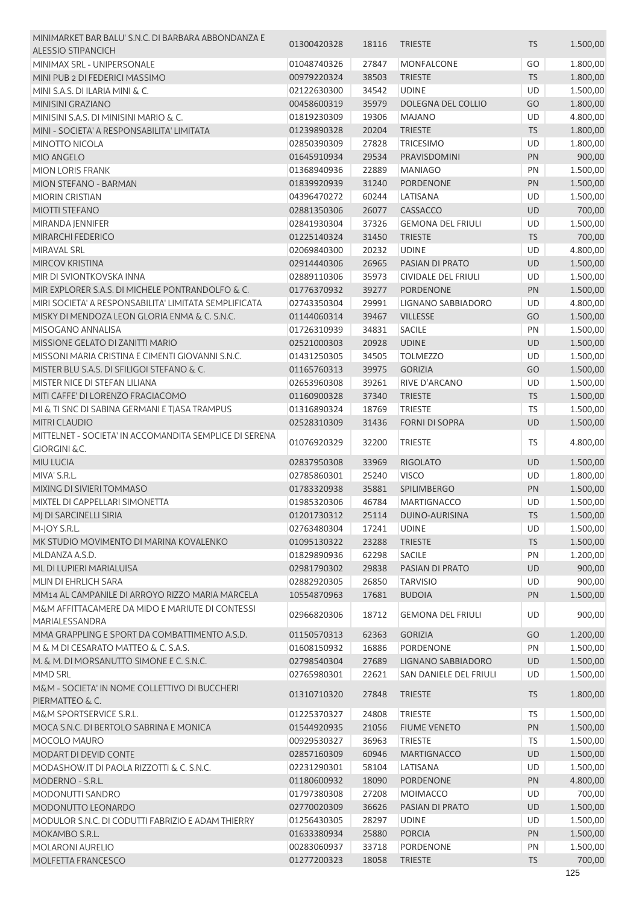| MINIMARKET BAR BALU' S.N.C. DI BARBARA ABBONDANZA E                               |             |       |                            |           |          |
|-----------------------------------------------------------------------------------|-------------|-------|----------------------------|-----------|----------|
| <b>ALESSIO STIPANCICH</b>                                                         | 01300420328 | 18116 | <b>TRIESTE</b>             | <b>TS</b> | 1.500,00 |
| MINIMAX SRL - UNIPERSONALE                                                        | 01048740326 | 27847 | <b>MONFALCONE</b>          | GO        | 1.800,00 |
| MINI PUB 2 DI FEDERICI MASSIMO                                                    | 00979220324 | 38503 | <b>TRIESTE</b>             | <b>TS</b> | 1.800,00 |
| MINI S.A.S. DI ILARIA MINI & C.                                                   | 02122630300 | 34542 | <b>UDINE</b>               | UD        | 1.500,00 |
| MINISINI GRAZIANO                                                                 | 00458600319 | 35979 | DOLEGNA DEL COLLIO         | GO        | 1.800,00 |
| MINISINI S.A.S. DI MINISINI MARIO & C.                                            | 01819230309 | 19306 | <b>MAJANO</b>              | UD        | 4.800,00 |
|                                                                                   |             |       |                            |           |          |
| MINI - SOCIETA' A RESPONSABILITA' LIMITATA                                        | 01239890328 | 20204 | <b>TRIESTE</b>             | <b>TS</b> | 1.800,00 |
| <b>MINOTTO NICOLA</b>                                                             | 02850390309 | 27828 | <b>TRICESIMO</b>           | <b>UD</b> | 1.800,00 |
| MIO ANGELO                                                                        | 01645910934 | 29534 | PRAVISDOMINI               | PN        | 900,00   |
| <b>MION LORIS FRANK</b>                                                           | 01368940936 | 22889 | <b>MANIAGO</b>             | PN        | 1.500,00 |
| MION STEFANO - BARMAN                                                             | 01839920939 | 31240 | <b>PORDENONE</b>           | <b>PN</b> | 1.500,00 |
| <b>MIORIN CRISTIAN</b>                                                            | 04396470272 | 60244 | LATISANA                   | <b>UD</b> | 1.500,00 |
| <b>MIOTTI STEFANO</b>                                                             | 02881350306 | 26077 | CASSACCO                   | <b>UD</b> | 700,00   |
| MIRANDA JENNIFER                                                                  | 02841930304 | 37326 | <b>GEMONA DEL FRIULI</b>   | UD        | 1.500,00 |
| <b>MIRARCHI FEDERICO</b>                                                          | 01225140324 | 31450 | <b>TRIESTE</b>             | <b>TS</b> | 700,00   |
| MIRAVAL SRL                                                                       | 02069840300 | 20232 | <b>UDINE</b>               | UD        | 4.800,00 |
| <b>MIRCOV KRISTINA</b>                                                            | 02914440306 | 26965 | PASIAN DI PRATO            | <b>UD</b> | 1.500,00 |
| MIR DI SVIONTKOVSKA INNA                                                          | 02889110306 | 35973 | <b>CIVIDALE DEL FRIULI</b> | UD        | 1.500,00 |
| MIR EXPLORER S.A.S. DI MICHELE PONTRANDOLFO & C.                                  | 01776370932 | 39277 | <b>PORDENONE</b>           | <b>PN</b> | 1.500,00 |
| MIRI SOCIETA' A RESPONSABILITA' LIMITATA SEMPLIFICATA                             | 02743350304 | 29991 | LIGNANO SABBIADORO         | UD        | 4.800,00 |
| MISKY DI MENDOZA LEON GLORIA ENMA & C. S.N.C.                                     | 01144060314 | 39467 | <b>VILLESSE</b>            | GO        | 1.500,00 |
| MISOGANO ANNALISA                                                                 | 01726310939 | 34831 | <b>SACILE</b>              | PN        |          |
|                                                                                   |             |       |                            |           | 1.500,00 |
| MISSIONE GELATO DI ZANITTI MARIO                                                  | 02521000303 | 20928 | <b>UDINE</b>               | <b>UD</b> | 1.500,00 |
| MISSONI MARIA CRISTINA E CIMENTI GIOVANNI S.N.C.                                  | 01431250305 | 34505 | <b>TOLMEZZO</b>            | UD        | 1.500,00 |
| MISTER BLU S.A.S. DI SFILIGOI STEFANO & C.                                        | 01165760313 | 39975 | <b>GORIZIA</b>             | GO        | 1.500,00 |
| MISTER NICE DI STEFAN LILIANA                                                     | 02653960308 | 39261 | RIVE D'ARCANO              | UD        | 1.500,00 |
| MITI CAFFE' DI LORENZO FRAGIACOMO                                                 | 01160900328 | 37340 | <b>TRIESTE</b>             | <b>TS</b> | 1.500,00 |
| MI & TI SNC DI SABINA GERMANI E TJASA TRAMPUS                                     | 01316890324 | 18769 | <b>TRIESTE</b>             | TS        | 1.500,00 |
| MITRI CLAUDIO                                                                     | 02528310309 | 31436 | <b>FORNI DI SOPRA</b>      | <b>UD</b> | 1.500,00 |
| MITTELNET - SOCIETA' IN ACCOMANDITA SEMPLICE DI SERENA<br><b>GIORGINI &amp;C.</b> | 01076920329 | 32200 | <b>TRIESTE</b>             | TS        | 4.800,00 |
|                                                                                   |             |       |                            |           |          |
| MIU LUCIA                                                                         | 02837950308 | 33969 | <b>RIGOLATO</b>            | <b>UD</b> | 1.500,00 |
| MIVA' S.R.L.                                                                      | 02785860301 | 25240 | <b>VISCO</b>               | UD        | 1.800,00 |
| MIXING DI SIVIERI TOMMASO                                                         | 01783320938 | 35881 | SPILIMBERGO                | PN        | 1.500,00 |
| MIXTEL DI CAPPELLARI SIMONETTA                                                    | 01985320306 | 46784 | <b>MARTIGNACCO</b>         | UD        | 1.500,00 |
| MJ DI SARCINELLI SIRIA                                                            | 01201730312 |       | 25114 DUINO-AURISINA       | <b>TS</b> | 1.500,00 |
| M-JOY S.R.L.                                                                      | 02763480304 | 17241 | <b>UDINE</b>               | UD        | 1.500,00 |
| MK STUDIO MOVIMENTO DI MARINA KOVALENKO                                           | 01095130322 | 23288 | <b>TRIESTE</b>             | <b>TS</b> | 1.500,00 |
| MLDANZA A.S.D.                                                                    | 01829890936 | 62298 | <b>SACILE</b>              | PN        | 1.200,00 |
| ML DI LUPIERI MARIALUISA                                                          | 02981790302 | 29838 | PASIAN DI PRATO            | <b>UD</b> | 900,00   |
| MLIN DI EHRLICH SARA                                                              | 02882920305 | 26850 | <b>TARVISIO</b>            | <b>UD</b> | 900,00   |
| MM14 AL CAMPANILE DI ARROYO RIZZO MARIA MARCELA                                   | 10554870963 | 17681 | <b>BUDOIA</b>              | PN        | 1.500,00 |
| M&M AFFITTACAMERE DA MIDO E MARIUTE DI CONTESSI                                   | 02966820306 | 18712 | <b>GEMONA DEL FRIULI</b>   | UD        | 900,00   |
| MARIALESSANDRA                                                                    |             |       |                            |           |          |
| MMA GRAPPLING E SPORT DA COMBATTIMENTO A.S.D.                                     | 01150570313 | 62363 | <b>GORIZIA</b>             | GO        | 1.200,00 |
| M & M DI CESARATO MATTEO & C. S.A.S.                                              | 01608150932 | 16886 | <b>PORDENONE</b>           | PN        | 1.500,00 |
| M. & M. DI MORSANUTTO SIMONE E C. S.N.C.                                          | 02798540304 | 27689 | LIGNANO SABBIADORO         | <b>UD</b> | 1.500,00 |
| <b>MMD SRL</b>                                                                    | 02765980301 | 22621 | SAN DANIELE DEL FRIULI     | UD        | 1.500,00 |
| M&M - SOCIETA' IN NOME COLLETTIVO DI BUCCHERI                                     | 01310710320 | 27848 | <b>TRIESTE</b>             | <b>TS</b> | 1.800,00 |
| PIERMATTEO & C.                                                                   |             |       |                            |           |          |
| M&M SPORTSERVICE S.R.L.                                                           | 01225370327 | 24808 | <b>TRIESTE</b>             | TS        | 1.500,00 |
| MOCA S.N.C. DI BERTOLO SABRINA E MONICA                                           | 01544920935 | 21056 | <b>FIUME VENETO</b>        | PN        | 1.500,00 |
| MOCOLO MAURO                                                                      | 00929530327 | 36963 | <b>TRIESTE</b>             | <b>TS</b> | 1.500,00 |
| MODART DI DEVID CONTE                                                             | 02857160309 | 60946 | <b>MARTIGNACCO</b>         | UD        | 1.500,00 |
| MODASHOW.IT DI PAOLA RIZZOTTI & C. S.N.C.                                         | 02231290301 | 58104 | LATISANA                   | <b>UD</b> | 1.500,00 |
| MODERNO - S.R.L.                                                                  | 01180600932 | 18090 | <b>PORDENONE</b>           | PN        | 4.800,00 |
| MODONUTTI SANDRO                                                                  | 01797380308 | 27208 | <b>MOIMACCO</b>            | UD        | 700,00   |
| MODONUTTO LEONARDO                                                                | 02770020309 | 36626 | PASIAN DI PRATO            | UD        | 1.500,00 |
| MODULOR S.N.C. DI CODUTTI FABRIZIO E ADAM THIERRY                                 | 01256430305 | 28297 | <b>UDINE</b>               | UD        | 1.500,00 |
| MOKAMBO S.R.L.                                                                    | 01633380934 | 25880 | <b>PORCIA</b>              | PN        | 1.500,00 |
| <b>MOLARONI AURELIO</b>                                                           | 00283060937 | 33718 | <b>PORDENONE</b>           | PN        | 1.500,00 |
| MOLFETTA FRANCESCO                                                                | 01277200323 | 18058 | <b>TRIESTE</b>             | <b>TS</b> | 700,00   |
|                                                                                   |             |       |                            |           | 125      |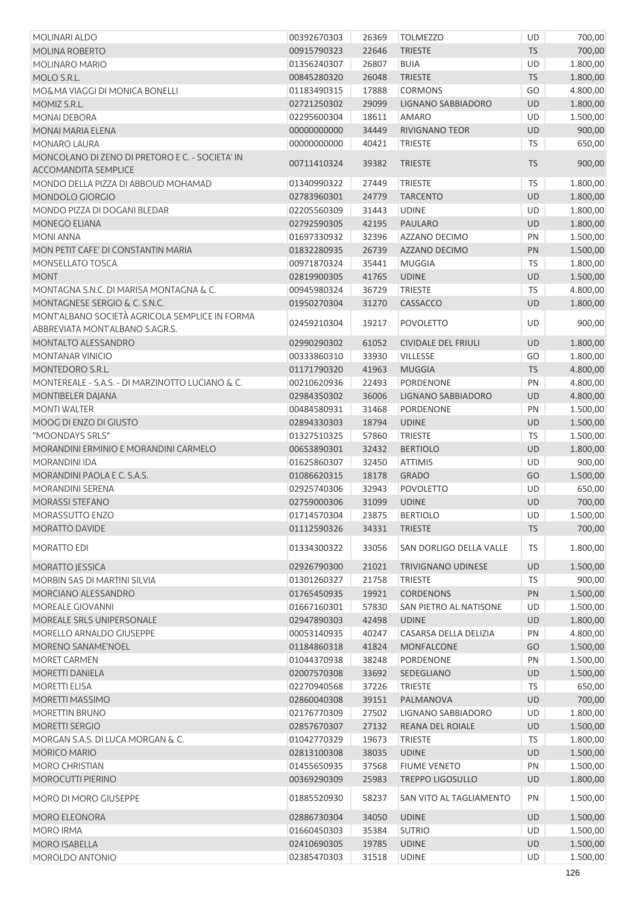| <b>MOLINARI ALDO</b>                                                    | 00392670303 | 26369 | <b>TOLMEZZO</b>            | <b>UD</b> | 700,00   |
|-------------------------------------------------------------------------|-------------|-------|----------------------------|-----------|----------|
| <b>MOLINA ROBERTO</b>                                                   | 00915790323 | 22646 | <b>TRIESTE</b>             | <b>TS</b> | 700,00   |
| <b>MOLINARO MARIO</b>                                                   | 01356240307 | 26807 | <b>BUIA</b>                | UD        | 1.800,00 |
| MOLO S.R.L.                                                             | 00845280320 | 26048 | <b>TRIESTE</b>             | <b>TS</b> | 1.800,00 |
| MO&MA VIAGGI DI MONICA BONELLI                                          | 01183490315 | 17888 | <b>CORMONS</b>             | GO        | 4.800,00 |
| MOMIZ S.R.L.                                                            | 02721250302 | 29099 | LIGNANO SABBIADORO         | UD        | 1.800,00 |
| <b>MONAI DEBORA</b>                                                     | 02295600304 | 18611 | <b>AMARO</b>               | UD        | 1.500,00 |
| <b>MONAI MARIA ELENA</b>                                                | 00000000000 | 34449 | <b>RIVIGNANO TEOR</b>      | UD        | 900,00   |
| <b>MONARO LAURA</b>                                                     | 00000000000 | 40421 | <b>TRIESTE</b>             | TS        | 650,00   |
| MONCOLANO DI ZENO DI PRETORO E C. - SOCIETA' IN<br>ACCOMANDITA SEMPLICE | 00711410324 | 39382 | <b>TRIESTE</b>             | <b>TS</b> | 900,00   |
| MONDO DELLA PIZZA DI ABBOUD MOHAMAD                                     | 01340990322 | 27449 | <b>TRIESTE</b>             | <b>TS</b> | 1.800,00 |
| MONDOLO GIORGIO                                                         | 02783960301 | 24779 | <b>TARCENTO</b>            | UD        | 1.800,00 |
| MONDO PIZZA DI DOGANI BLEDAR                                            | 02205560309 | 31443 | <b>UDINE</b>               | <b>UD</b> | 1.800,00 |
| MONEGO ELIANA                                                           | 02792590305 | 42195 | <b>PAULARO</b>             | UD        | 1.800,00 |
| <b>MONI ANNA</b>                                                        | 01697330932 | 32396 | AZZANO DECIMO              | PN        | 1.500,00 |
| MON PETIT CAFE' DI CONSTANTIN MARIA                                     | 01832280935 | 26739 | AZZANO DECIMO              | PN        | 1.500,00 |
| MONSELLATO TOSCA                                                        | 00971870324 | 35441 | <b>MUGGIA</b>              | <b>TS</b> | 1.800,00 |
| <b>MONT</b>                                                             | 02819900305 | 41765 | <b>UDINE</b>               | UD        | 1.500,00 |
| MONTAGNA S.N.C. DI MARISA MONTAGNA & C.                                 | 00945980324 | 36729 | <b>TRIESTE</b>             | TS        | 4.800,00 |
| MONTAGNESE SERGIO & C. S.N.C.                                           | 01950270304 | 31270 | CASSACCO                   | <b>UD</b> |          |
| MONT'ALBANO SOCIETÀ AGRICOLA SEMPLICE IN FORMA                          |             |       |                            |           | 1.800,00 |
| ABBREVIATA MONT'ALBANO S.AGR.S.                                         | 02459210304 | 19217 | <b>POVOLETTO</b>           | UD        | 900,00   |
| MONTALTO ALESSANDRO                                                     | 02990290302 | 61052 | <b>CIVIDALE DEL FRIULI</b> | UD        | 1.800,00 |
| <b>MONTANAR VINICIO</b>                                                 | 00333860310 | 33930 | <b>VILLESSE</b>            | GO        | 1.800,00 |
| MONTEDORO S.R.L.                                                        | 01171790320 | 41963 | <b>MUGGIA</b>              | <b>TS</b> | 4.800,00 |
| MONTEREALE - S.A.S. - DI MARZINOTTO LUCIANO & C.                        | 00210620936 | 22493 | PORDENONE                  | PN        | 4.800,00 |
| <b>MONTIBELER DAJANA</b>                                                | 02984350302 | 36006 | LIGNANO SABBIADORO         | <b>UD</b> | 4.800,00 |
| <b>MONTI WALTER</b>                                                     | 00484580931 | 31468 | PORDENONE                  | PN        | 1.500,00 |
| MOOG DI ENZO DI GIUSTO                                                  | 02894330303 | 18794 | <b>UDINE</b>               | <b>UD</b> | 1.500,00 |
| "MOONDAYS SRLS"                                                         | 01327510325 | 57860 | <b>TRIESTE</b>             | <b>TS</b> | 1.500,00 |
| MORANDINI ERMINIO E MORANDINI CARMELO                                   | 00653890301 | 32432 | <b>BERTIOLO</b>            | <b>UD</b> | 1.800,00 |
| <b>MORANDINI IDA</b>                                                    | 01625860307 | 32450 | <b>ATTIMIS</b>             | UD        | 900,00   |
| MORANDINI PAOLA E C. S.A.S.                                             | 01086620315 | 18178 | <b>GRADO</b>               | GO        | 1.500,00 |
| MORANDINI SERENA                                                        | 02925740306 | 32943 | <b>POVOLETTO</b>           | UD        | 650,00   |
| MORASSI STEFANO                                                         | 02759000306 | 31099 | <b>UDINE</b>               | <b>UD</b> | 700,00   |
| MORASSUTTO ENZO                                                         | 01714570304 | 23875 | <b>BERTIOLO</b>            | UD        | 1.500,00 |
| <b>MORATTO DAVIDE</b>                                                   | 01112590326 | 34331 | <b>TRIESTE</b>             | <b>TS</b> | 700,00   |
| MORATTO EDI                                                             | 01334300322 | 33056 | SAN DORLIGO DELLA VALLE    | <b>TS</b> | 1.800,00 |
| <b>MORATTO JESSICA</b>                                                  | 02926790300 | 21021 | <b>TRIVIGNANO UDINESE</b>  | UD        | 1.500,00 |
| MORBIN SAS DI MARTINI SILVIA                                            | 01301260327 | 21758 | <b>TRIESTE</b>             | <b>TS</b> | 900,00   |
| MORCIANO ALESSANDRO                                                     | 01765450935 | 19921 | <b>CORDENONS</b>           | PN        | 1.500,00 |
| MOREALE GIOVANNI                                                        | 01667160301 | 57830 | SAN PIETRO AL NATISONE     | UD        | 1.500,00 |
| MOREALE SRLS UNIPERSONALE                                               | 02947890303 | 42498 | <b>UDINE</b>               | UD        | 1.800,00 |
| MORELLO ARNALDO GIUSEPPE                                                | 00053140935 | 40247 | CASARSA DELLA DELIZIA      | PN        | 4.800,00 |
| MORENO SANAME'NOEL                                                      | 01184860318 | 41824 | MONFALCONE                 | GO        | 1.500,00 |
| MORET CARMEN                                                            | 01044370938 | 38248 | <b>PORDENONE</b>           | PN        | 1.500,00 |
| MORETTI DANIELA                                                         | 02007570308 | 33692 | SEDEGLIANO                 | <b>UD</b> | 1.500,00 |
| <b>MORETTI ELISA</b>                                                    | 02270940568 | 37226 | <b>TRIESTE</b>             | <b>TS</b> | 650,00   |
| <b>MORETTI MASSIMO</b>                                                  | 02860040308 | 39151 | PALMANOVA                  | <b>UD</b> | 700,00   |
| <b>MORETTIN BRUNO</b>                                                   | 02176770309 | 27502 | LIGNANO SABBIADORO         | <b>UD</b> | 1.800,00 |
| MORETTI SERGIO                                                          | 02857670307 | 27132 | REANA DEL ROIALE           | UD        | 1.500,00 |
| MORGAN S.A.S. DI LUCA MORGAN & C.                                       | 01042770329 | 19673 | <b>TRIESTE</b>             | <b>TS</b> | 1.800,00 |
| <b>MORICO MARIO</b>                                                     | 02813100308 | 38035 | <b>UDINE</b>               | <b>UD</b> | 1.500,00 |
| MORO CHRISTIAN                                                          | 01455650935 | 37568 | <b>FIUME VENETO</b>        | PN        | 1.500,00 |
| MOROCUTTI PIERINO                                                       | 00369290309 | 25983 | <b>TREPPO LIGOSULLO</b>    | <b>UD</b> | 1.800,00 |
| MORO DI MORO GIUSEPPE                                                   | 01885520930 | 58237 | SAN VITO AL TAGLIAMENTO    | PN        | 1.500,00 |
| <b>MORO ELEONORA</b>                                                    | 02886730304 | 34050 | <b>UDINE</b>               | <b>UD</b> | 1.500,00 |
| MORO IRMA                                                               | 01660450303 | 35384 | <b>SUTRIO</b>              | UD        | 1.500,00 |
| MORO ISABELLA                                                           | 02410690305 |       | <b>UDINE</b>               | <b>UD</b> |          |
| MOROLDO ANTONIO                                                         |             | 19785 | <b>UDINE</b>               |           | 1.500,00 |
|                                                                         | 02385470303 | 31518 |                            | UD        | 1.500,00 |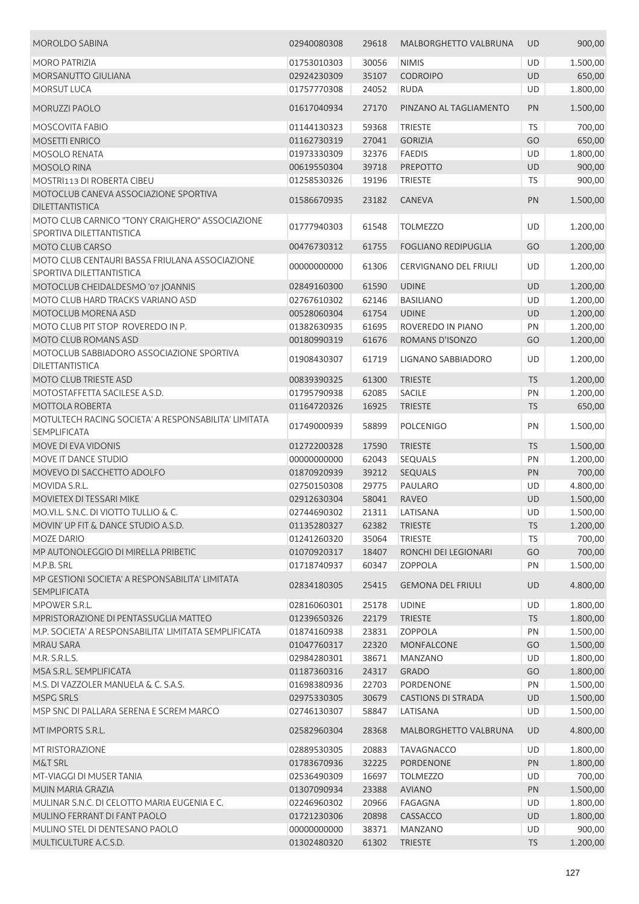| <b>MOROLDO SABINA</b>                                                       | 02940080308 | 29618 | MALBORGHETTO VALBRUNA        | <b>UD</b> | 900,00   |
|-----------------------------------------------------------------------------|-------------|-------|------------------------------|-----------|----------|
| MORO PATRIZIA                                                               | 01753010303 | 30056 | <b>NIMIS</b>                 | UD        | 1.500,00 |
| MORSANUTTO GIULIANA                                                         | 02924230309 | 35107 | <b>CODROIPO</b>              | <b>UD</b> | 650,00   |
| MORSUT LUCA                                                                 | 01757770308 | 24052 | <b>RUDA</b>                  | UD        | 1.800,00 |
| <b>MORUZZI PAOLO</b>                                                        | 01617040934 | 27170 | PINZANO AL TAGLIAMENTO       | PN        | 1.500,00 |
| MOSCOVITA FABIO                                                             | 01144130323 | 59368 | <b>TRIESTE</b>               | <b>TS</b> | 700,00   |
| MOSETTI ENRICO                                                              | 01162730319 | 27041 | <b>GORIZIA</b>               | GO        | 650,00   |
| <b>MOSOLO RENATA</b>                                                        | 01973330309 | 32376 | <b>FAEDIS</b>                | <b>UD</b> | 1.800,00 |
| <b>MOSOLO RINA</b>                                                          | 00619550304 | 39718 | <b>PREPOTTO</b>              | UD        | 900,00   |
| MOSTRI113 DI ROBERTA CIBEU                                                  | 01258530326 | 19196 | <b>TRIESTE</b>               | TS        | 900,00   |
| MOTOCLUB CANEVA ASSOCIAZIONE SPORTIVA<br><b>DILETTANTISTICA</b>             | 01586670935 | 23182 | <b>CANEVA</b>                | PN        | 1.500,00 |
| MOTO CLUB CARNICO "TONY CRAIGHERO" ASSOCIAZIONE<br>SPORTIVA DILETTANTISTICA | 01777940303 | 61548 | <b>TOLMEZZO</b>              | UD        | 1.200,00 |
|                                                                             |             |       |                              |           |          |
| MOTO CLUB CARSO                                                             | 00476730312 | 61755 | <b>FOGLIANO REDIPUGLIA</b>   | GO        | 1.200,00 |
| MOTO CLUB CENTAURI BASSA FRIULANA ASSOCIAZIONE<br>SPORTIVA DILETTANTISTICA  | 00000000000 | 61306 | <b>CERVIGNANO DEL FRIULI</b> | UD        | 1.200,00 |
| MOTOCLUB CHEIDALDESMO '07 JOANNIS                                           | 02849160300 | 61590 | <b>UDINE</b>                 | UD        | 1.200,00 |
| MOTO CLUB HARD TRACKS VARIANO ASD                                           | 02767610302 | 62146 | <b>BASILIANO</b>             | UD        | 1.200,00 |
| MOTOCLUB MORENA ASD                                                         | 00528060304 | 61754 | <b>UDINE</b>                 | UD        | 1.200,00 |
| MOTO CLUB PIT STOP ROVEREDO IN P.                                           | 01382630935 | 61695 | ROVEREDO IN PIANO            | PN        | 1.200,00 |
| MOTO CLUB ROMANS ASD                                                        | 00180990319 | 61676 | ROMANS D'ISONZO              | GO        | 1.200,00 |
| MOTOCLUB SABBIADORO ASSOCIAZIONE SPORTIVA                                   |             |       |                              |           |          |
| DILETTANTISTICA                                                             | 01908430307 | 61719 | LIGNANO SABBIADORO           | UD        | 1.200,00 |
| MOTO CLUB TRIESTE ASD                                                       | 00839390325 | 61300 | <b>TRIESTE</b>               | <b>TS</b> | 1.200,00 |
| MOTOSTAFFETTA SACILESE A.S.D.                                               | 01795790938 | 62085 | <b>SACILE</b>                | PN        | 1.200,00 |
| MOTTOLA ROBERTA                                                             | 01164720326 | 16925 | <b>TRIESTE</b>               | <b>TS</b> | 650,00   |
| MOTULTECH RACING SOCIETA' A RESPONSABILITA' LIMITATA<br><b>SEMPLIFICATA</b> | 01749000939 | 58899 | <b>POLCENIGO</b>             | PN        | 1.500,00 |
| MOVE DI EVA VIDONIS                                                         |             |       |                              |           |          |
|                                                                             | 01272200328 | 17590 | <b>TRIESTE</b>               | <b>TS</b> | 1.500,00 |
| MOVE IT DANCE STUDIO<br>MOVEVO DI SACCHETTO ADOLFO                          | 00000000000 | 62043 | <b>SEQUALS</b>               | PN        | 1.200,00 |
|                                                                             | 01870920939 | 39212 | <b>SEQUALS</b>               | PN        | 700,00   |
| MOVIDA S.R.L.                                                               | 02750150308 | 29775 | <b>PAULARO</b>               | UD        | 4.800,00 |
| MOVIETEX DI TESSARI MIKE                                                    | 02912630304 | 58041 | <b>RAVEO</b>                 | <b>UD</b> | 1.500,00 |
| MO.VI.L. S.N.C. DI VIOTTO TULLIO & C.                                       | 02744690302 | 21311 | LATISANA                     | <b>UD</b> | 1.500,00 |
| MOVIN' UP FIT & DANCE STUDIO A.S.D.                                         | 01135280327 | 62382 | <b>TRIESTE</b>               | <b>TS</b> | 1.200,00 |
| <b>MOZE DARIO</b>                                                           | 01241260320 | 35064 | <b>TRIESTE</b>               | <b>TS</b> | 700,00   |
| MP AUTONOLEGGIO DI MIRELLA PRIBETIC                                         | 01070920317 | 18407 | RONCHI DEI LEGIONARI         | GO        | 700,00   |
| M.P.B. SRL                                                                  | 01718740937 | 60347 | <b>ZOPPOLA</b>               | PN        | 1.500,00 |
| MP GESTIONI SOCIETA' A RESPONSABILITA' LIMITATA<br><b>SEMPLIFICATA</b>      | 02834180305 | 25415 | <b>GEMONA DEL FRIULI</b>     | <b>UD</b> | 4.800,00 |
| MPOWER S.R.L.                                                               | 02816060301 | 25178 | <b>UDINE</b>                 | UD        | 1.800,00 |
| MPRISTORAZIONE DI PENTASSUGLIA MATTEO                                       | 01239650326 | 22179 | <b>TRIESTE</b>               | <b>TS</b> | 1.800,00 |
| M.P. SOCIETA' A RESPONSABILITA' LIMITATA SEMPLIFICATA                       | 01874160938 | 23831 | ZOPPOLA                      | PN        | 1.500,00 |
| <b>MRAU SARA</b>                                                            | 01047760317 | 22320 | <b>MONFALCONE</b>            | GO        | 1.500,00 |
| M.R. S.R.L.S.                                                               | 02984280301 | 38671 | <b>MANZANO</b>               | UD        | 1.800,00 |
| MSA S.R.L. SEMPLIFICATA                                                     | 01187360316 | 24317 | <b>GRADO</b>                 | GO        | 1.800,00 |
| M.S. DI VAZZOLER MANUELA & C. S.A.S.                                        | 01698380936 | 22703 | PORDENONE                    | PN        | 1.500,00 |
| MSPG SRLS                                                                   | 02975330305 | 30679 | <b>CASTIONS DI STRADA</b>    | <b>UD</b> | 1.500,00 |
| MSP SNC DI PALLARA SERENA E SCREM MARCO                                     | 02746130307 | 58847 | LATISANA                     | UD        | 1.500,00 |
| MT IMPORTS S.R.L.                                                           | 02582960304 | 28368 | MALBORGHETTO VALBRUNA        | <b>UD</b> | 4.800,00 |
| MT RISTORAZIONE                                                             | 02889530305 | 20883 | <b>TAVAGNACCO</b>            | UD        | 1.800,00 |
| M&T SRL                                                                     | 01783670936 | 32225 | PORDENONE                    | <b>PN</b> | 1.800,00 |
| MT-VIAGGI DI MUSER TANIA                                                    | 02536490309 | 16697 | <b>TOLMEZZO</b>              | UD        | 700,00   |
|                                                                             | 01307090934 |       | <b>AVIANO</b>                | PN        | 1.500,00 |
| MUIN MARIA GRAZIA                                                           |             | 23388 |                              |           |          |
| MULINAR S.N.C. DI CELOTTO MARIA EUGENIA E C.                                | 02246960302 | 20966 | <b>FAGAGNA</b>               | UD        | 1.800,00 |
| MULINO FERRANT DI FANT PAOLO                                                | 01721230306 | 20898 | CASSACCO                     | UD        | 1.800,00 |
| MULINO STEL DI DENTESANO PAOLO                                              | 00000000000 | 38371 | <b>MANZANO</b>               | UD        | 900,00   |
| MULTICULTURE A.C.S.D.                                                       | 01302480320 | 61302 | <b>TRIESTE</b>               | <b>TS</b> | 1.200,00 |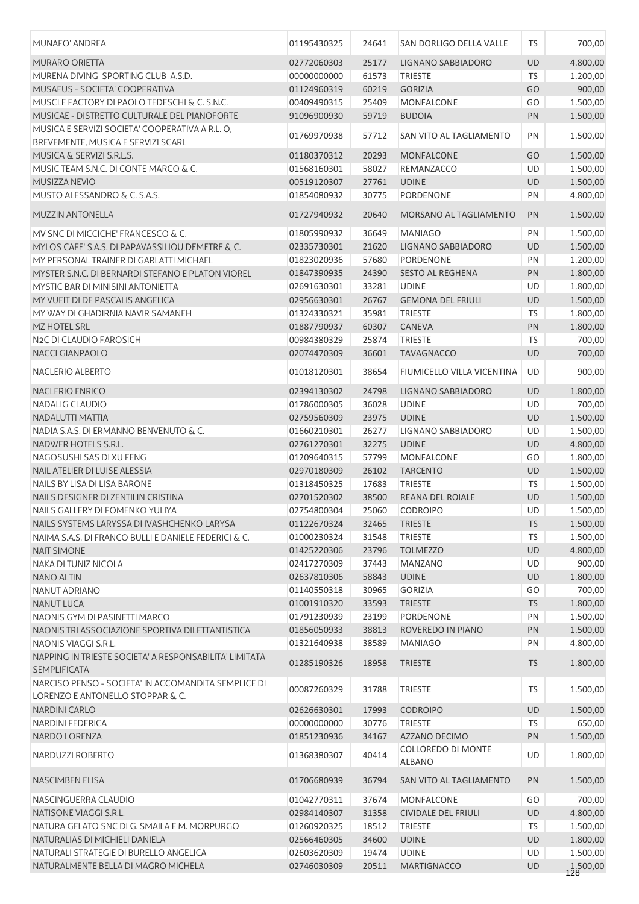| MUNAFO' ANDREA                                                                        | 01195430325 | 24641 | SAN DORLIGO DELLA VALLE             | TS        | 700,00   |
|---------------------------------------------------------------------------------------|-------------|-------|-------------------------------------|-----------|----------|
| <b>MURARO ORIETTA</b>                                                                 | 02772060303 | 25177 | LIGNANO SABBIADORO                  | UD        | 4.800,00 |
| MURENA DIVING SPORTING CLUB A.S.D.                                                    | 00000000000 | 61573 | TRIESTE                             | <b>TS</b> | 1.200,00 |
| MUSAEUS - SOCIETA' COOPERATIVA                                                        | 01124960319 | 60219 | <b>GORIZIA</b>                      | GO        | 900,00   |
| MUSCLE FACTORY DI PAOLO TEDESCHI & C. S.N.C.                                          | 00409490315 | 25409 | MONFALCONE                          | GO        | 1.500,00 |
| MUSICAE - DISTRETTO CULTURALE DEL PIANOFORTE                                          | 91096900930 | 59719 | <b>BUDOIA</b>                       | PN        | 1.500,00 |
| MUSICA E SERVIZI SOCIETA' COOPERATIVA A R.L. O,<br>BREVEMENTE, MUSICA E SERVIZI SCARL | 01769970938 | 57712 | SAN VITO AL TAGLIAMENTO             | PN        | 1.500,00 |
| MUSICA & SERVIZI S.R.L.S.                                                             | 01180370312 | 20293 | <b>MONFALCONE</b>                   | GO        | 1.500,00 |
| MUSIC TEAM S.N.C. DI CONTE MARCO & C.                                                 | 01568160301 | 58027 | REMANZACCO                          | UD        | 1.500,00 |
| <b>MUSIZZA NEVIO</b>                                                                  | 00519120307 | 27761 | <b>UDINE</b>                        | <b>UD</b> | 1.500,00 |
| MUSTO ALESSANDRO & C. S.A.S.                                                          | 01854080932 | 30775 | PORDENONE                           | PN        | 4.800,00 |
| <b>MUZZIN ANTONELLA</b>                                                               | 01727940932 | 20640 | MORSANO AL TAGLIAMENTO              | PN        | 1.500,00 |
| MV SNC DI MICCICHE' FRANCESCO & C.                                                    | 01805990932 | 36649 | <b>MANIAGO</b>                      | PN        | 1.500,00 |
| MYLOS CAFE' S.A.S. DI PAPAVASSILIOU DEMETRE & C.                                      | 02335730301 | 21620 | LIGNANO SABBIADORO                  | UD        | 1.500,00 |
| MY PERSONAL TRAINER DI GARLATTI MICHAEL                                               | 01823020936 | 57680 | PORDENONE                           | PN        | 1.200,00 |
| MYSTER S.N.C. DI BERNARDI STEFANO E PLATON VIOREL                                     | 01847390935 | 24390 | <b>SESTO AL REGHENA</b>             | PN        | 1.800,00 |
| MYSTIC BAR DI MINISINI ANTONIETTA                                                     | 02691630301 | 33281 | <b>UDINE</b>                        | UD        | 1.800,00 |
| MY VUEIT DI DE PASCALIS ANGELICA                                                      | 02956630301 | 26767 | <b>GEMONA DEL FRIULI</b>            | UD        | 1.500,00 |
| MY WAY DI GHADIRNIA NAVIR SAMANEH                                                     | 01324330321 | 35981 | <b>TRIESTE</b>                      | TS        |          |
|                                                                                       |             |       |                                     |           | 1.800,00 |
| MZ HOTEL SRL                                                                          | 01887790937 | 60307 | <b>CANEVA</b>                       | PN        | 1.800,00 |
| N <sub>2</sub> C DI CLAUDIO FAROSICH                                                  | 00984380329 | 25874 | <b>TRIESTE</b>                      | TS        | 700,00   |
| <b>NACCI GIANPAOLO</b>                                                                | 02074470309 | 36601 | <b>TAVAGNACCO</b>                   | <b>UD</b> | 700,00   |
| NACLERIO ALBERTO                                                                      | 01018120301 | 38654 | FIUMICELLO VILLA VICENTINA          | <b>UD</b> | 900,00   |
| <b>NACLERIO ENRICO</b>                                                                | 02394130302 | 24798 | LIGNANO SABBIADORO                  | UD        | 1.800,00 |
| <b>NADALIG CLAUDIO</b>                                                                | 01786000305 | 36028 | <b>UDINE</b>                        | UD        | 700,00   |
| NADALUTTI MATTIA                                                                      | 02759560309 | 23975 | <b>UDINE</b>                        | UD        | 1.500,00 |
| NADIA S.A.S. DI ERMANNO BENVENUTO & C.                                                | 01660210301 | 26277 | LIGNANO SABBIADORO                  | UD        | 1.500,00 |
| NADWER HOTELS S.R.L.                                                                  | 02761270301 | 32275 | <b>UDINE</b>                        | <b>UD</b> | 4.800,00 |
| NAGOSUSHI SAS DI XU FENG                                                              | 01209640315 | 57799 | <b>MONFALCONE</b>                   | GO        | 1.800,00 |
| NAIL ATELIER DI LUISE ALESSIA                                                         | 02970180309 | 26102 | <b>TARCENTO</b>                     | UD        | 1.500,00 |
| NAILS BY LISA DI LISA BARONE                                                          | 01318450325 | 17683 | <b>TRIESTE</b>                      | TS        | 1.500,00 |
| NAILS DESIGNER DI ZENTILIN CRISTINA                                                   | 02701520302 | 38500 | <b>REANA DEL ROIALE</b>             | <b>UD</b> | 1.500,00 |
| NAILS GALLERY DI FOMENKO YULIYA                                                       | 02754800304 | 25060 | <b>CODROIPO</b>                     | UD        | 1.500,00 |
| NAILS SYSTEMS LARYSSA DI IVASHCHENKO LARYSA                                           | 01122670324 | 32465 | <b>TRIESTE</b>                      | TS        | 1.500,00 |
| NAIMA S.A.S. DI FRANCO BULLI E DANIELE FEDERICI & C.                                  | 01000230324 | 31548 | TRIESTE                             | <b>TS</b> | 1.500,00 |
| <b>NAIT SIMONE</b>                                                                    | 01425220306 | 23796 | <b>TOLMEZZO</b>                     | <b>UD</b> | 4.800,00 |
| NAKA DI TUNIZ NICOLA                                                                  | 02417270309 | 37443 | <b>MANZANO</b>                      | UD        | 900,00   |
| <b>NANO ALTIN</b>                                                                     | 02637810306 | 58843 | <b>UDINE</b>                        | <b>UD</b> | 1.800,00 |
| NANUT ADRIANO                                                                         | 01140550318 | 30965 | <b>GORIZIA</b>                      | GO        | 700,00   |
| <b>NANUT LUCA</b>                                                                     | 01001910320 | 33593 | <b>TRIESTE</b>                      | <b>TS</b> | 1.800,00 |
| NAONIS GYM DI PASINETTI MARCO                                                         | 01791230939 | 23199 | PORDENONE                           | PN        | 1.500,00 |
| NAONIS TRI ASSOCIAZIONE SPORTIVA DILETTANTISTICA                                      | 01856050933 | 38813 | ROVEREDO IN PIANO                   | PN        | 1.500,00 |
| NAONIS VIAGGI S.R.L.                                                                  | 01321640938 | 38589 | <b>MANIAGO</b>                      | PN        | 4.800,00 |
| NAPPING IN TRIESTE SOCIETA' A RESPONSABILITA' LIMITATA<br>SEMPLIFICATA                | 01285190326 | 18958 | <b>TRIESTE</b>                      | <b>TS</b> | 1.800,00 |
| NARCISO PENSO - SOCIETA' IN ACCOMANDITA SEMPLICE DI                                   | 00087260329 | 31788 | <b>TRIESTE</b>                      | <b>TS</b> | 1.500,00 |
| LORENZO E ANTONELLO STOPPAR & C.                                                      |             |       |                                     |           |          |
| <b>NARDINI CARLO</b>                                                                  | 02626630301 | 17993 | <b>CODROIPO</b>                     | UD        | 1.500,00 |
| <b>NARDINI FEDERICA</b>                                                               | 00000000000 | 30776 | <b>TRIESTE</b>                      | TS        | 650,00   |
| NARDO LORENZA                                                                         | 01851230936 | 34167 | AZZANO DECIMO                       | PN        | 1.500,00 |
| NARDUZZI ROBERTO                                                                      | 01368380307 | 40414 | COLLOREDO DI MONTE<br><b>ALBANO</b> | UD        | 1.800,00 |
| NASCIMBEN ELISA                                                                       | 01706680939 | 36794 | SAN VITO AL TAGLIAMENTO             | PN        | 1.500,00 |
| NASCINGUERRA CLAUDIO                                                                  | 01042770311 | 37674 | <b>MONFALCONE</b>                   | GO        | 700,00   |
| NATISONE VIAGGI S.R.L.                                                                | 02984140307 | 31358 | <b>CIVIDALE DEL FRIULI</b>          | <b>UD</b> | 4.800,00 |
| NATURA GELATO SNC DI G. SMAILA E M. MORPURGO                                          | 01260920325 | 18512 | <b>TRIESTE</b>                      | TS        | 1.500,00 |
| NATURALIAS DI MICHIELI DANIELA                                                        | 02566460305 | 34600 | <b>UDINE</b>                        | <b>UD</b> | 1.800,00 |
| NATURALI STRATEGIE DI BURELLO ANGELICA                                                | 02603620309 | 19474 | <b>UDINE</b>                        | <b>UD</b> | 1.500,00 |
| NATURALMENTE BELLA DI MAGRO MICHELA                                                   | 02746030309 | 20511 | <b>MARTIGNACCO</b>                  | <b>UD</b> |          |
|                                                                                       |             |       |                                     |           | 1.500,00 |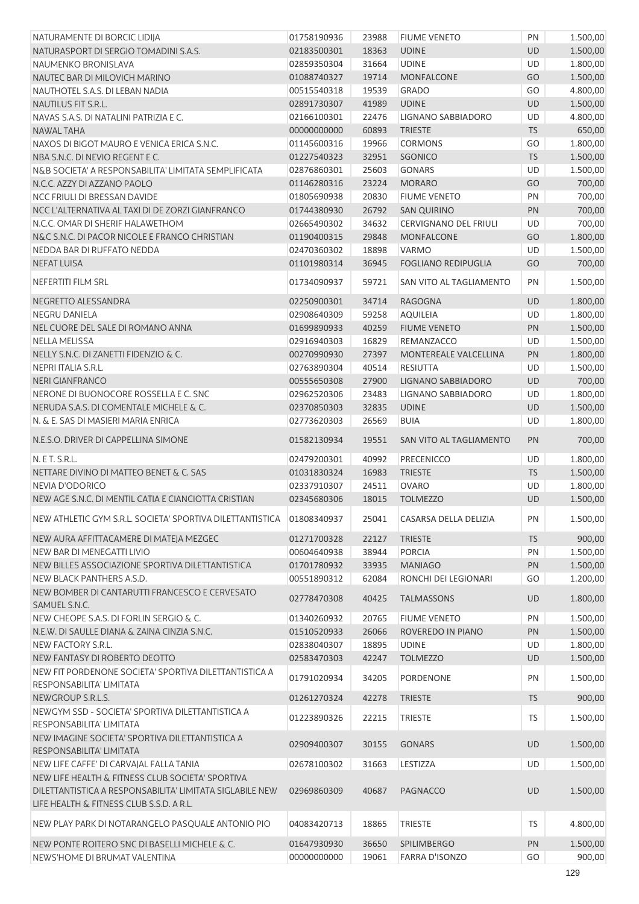| NATURAMENTE DI BORCIC LIDIJA                                                                         | 01758190936 | 23988 | <b>FIUME VENETO</b>        | PN        | 1.500,00 |
|------------------------------------------------------------------------------------------------------|-------------|-------|----------------------------|-----------|----------|
| NATURASPORT DI SERGIO TOMADINI S.A.S.                                                                | 02183500301 | 18363 | <b>UDINE</b>               | <b>UD</b> | 1.500,00 |
| NAUMENKO BRONISLAVA                                                                                  | 02859350304 | 31664 | <b>UDINE</b>               | <b>UD</b> | 1.800,00 |
| NAUTEC BAR DI MILOVICH MARINO                                                                        | 01088740327 | 19714 | <b>MONFALCONE</b>          | GO        | 1.500,00 |
| NAUTHOTEL S.A.S. DI LEBAN NADIA                                                                      | 00515540318 | 19539 | <b>GRADO</b>               | GO        | 4.800,00 |
| NAUTILUS FIT S.R.L.                                                                                  | 02891730307 | 41989 | <b>UDINE</b>               | <b>UD</b> | 1.500,00 |
| NAVAS S.A.S. DI NATALINI PATRIZIA E C.                                                               | 02166100301 | 22476 | LIGNANO SABBIADORO         | <b>UD</b> | 4.800,00 |
| NAWAL TAHA                                                                                           | 00000000000 | 60893 | <b>TRIESTE</b>             | <b>TS</b> | 650,00   |
| NAXOS DI BIGOT MAURO E VENICA ERICA S.N.C.                                                           | 01145600316 | 19966 | <b>CORMONS</b>             | GO        | 1.800,00 |
| NBA S.N.C. DI NEVIO REGENTE C.                                                                       | 01227540323 | 32951 | SGONICO                    | <b>TS</b> | 1.500,00 |
| N&B SOCIETA' A RESPONSABILITA' LIMITATA SEMPLIFICATA                                                 | 02876860301 | 25603 | <b>GONARS</b>              | <b>UD</b> | 1.500,00 |
| N.C.C. AZZY DI AZZANO PAOLO                                                                          | 01146280316 | 23224 | <b>MORARO</b>              | GO        | 700,00   |
| NCC FRIULI DI BRESSAN DAVIDE                                                                         | 01805690938 | 20830 | <b>FIUME VENETO</b>        | PN        | 700,00   |
| NCC L'ALTERNATIVA AL TAXI DI DE ZORZI GIANFRANCO                                                     | 01744380930 | 26792 | <b>SAN QUIRINO</b>         | PN        | 700,00   |
| N.C.C. OMAR DI SHERIF HALAWETHOM                                                                     | 02665490302 | 34632 | CERVIGNANO DEL FRIULI      | UD        | 700,00   |
| N&C S.N.C. DI PACOR NICOLE E FRANCO CHRISTIAN                                                        | 01190400315 | 29848 | <b>MONFALCONE</b>          | GO        | 1.800,00 |
| NEDDA BAR DI RUFFATO NEDDA                                                                           | 02470360302 | 18898 | VARMO                      | UD        | 1.500,00 |
| <b>NEFAT LUISA</b>                                                                                   | 01101980314 | 36945 | <b>FOGLIANO REDIPUGLIA</b> | GO        | 700,00   |
| NEFERTITI FILM SRL                                                                                   | 01734090937 | 59721 | SAN VITO AL TAGLIAMENTO    | PN        | 1.500,00 |
|                                                                                                      |             |       |                            |           |          |
| NEGRETTO ALESSANDRA                                                                                  | 02250900301 | 34714 | <b>RAGOGNA</b>             | UD        | 1.800,00 |
| <b>NEGRU DANIELA</b>                                                                                 | 02908640309 | 59258 | <b>AQUILEIA</b>            | <b>UD</b> | 1.800,00 |
| NEL CUORE DEL SALE DI ROMANO ANNA                                                                    | 01699890933 | 40259 | <b>FIUME VENETO</b>        | PN        | 1.500,00 |
| <b>NELLA MELISSA</b>                                                                                 | 02916940303 | 16829 | REMANZACCO                 | UD        | 1.500,00 |
| NELLY S.N.C. DI ZANETTI FIDENZIO & C.                                                                | 00270990930 | 27397 | MONTEREALE VALCELLINA      | PN        | 1.800,00 |
| NEPRI ITALIA S.R.L.                                                                                  | 02763890304 | 40514 | RESIUTTA                   | UD        | 1.500,00 |
| <b>NERI GIANFRANCO</b>                                                                               | 00555650308 | 27900 | LIGNANO SABBIADORO         | UD        | 700,00   |
| NERONE DI BUONOCORE ROSSELLA E C. SNC                                                                | 02962520306 | 23483 | LIGNANO SABBIADORO         | UD        | 1.800,00 |
| NERUDA S.A.S. DI COMENTALE MICHELE & C.                                                              | 02370850303 | 32835 | <b>UDINE</b>               | <b>UD</b> | 1.500,00 |
| N. & E. SAS DI MASIERI MARIA ENRICA                                                                  | 02773620303 | 26569 | <b>BUIA</b>                | UD        | 1.800,00 |
| N.E.S.O. DRIVER DI CAPPELLINA SIMONE                                                                 | 01582130934 | 19551 | SAN VITO AL TAGLIAMENTO    | PN        | 700,00   |
| N. E T. S.R.L.                                                                                       | 02479200301 | 40992 | <b>PRECENICCO</b>          | UD        | 1.800,00 |
| NETTARE DIVINO DI MATTEO BENET & C. SAS                                                              | 01031830324 | 16983 | <b>TRIESTE</b>             | <b>TS</b> | 1.500,00 |
| <b>NEVIA D'ODORICO</b>                                                                               | 02337910307 | 24511 | <b>OVARO</b>               | UD        | 1.800,00 |
| NEW AGE S.N.C. DI MENTIL CATIA E CIANCIOTTA CRISTIAN                                                 | 02345680306 | 18015 | <b>TOLMEZZO</b>            | <b>UD</b> | 1.500,00 |
| NEW ATHLETIC GYM S.R.L. SOCIETA' SPORTIVA DILETTANTISTICA                                            | 01808340937 | 25041 | CASARSA DELLA DELIZIA      | PN        | 1.500,00 |
| NEW AURA AFFITTACAMERE DI MATEIA MEZGEC                                                              | 01271700328 | 22127 | <b>TRIESTE</b>             | <b>TS</b> | 900,00   |
| NEW BAR DI MENEGATTI LIVIO                                                                           | 00604640938 | 38944 | <b>PORCIA</b>              | PN        | 1.500,00 |
| NEW BILLES ASSOCIAZIONE SPORTIVA DILETTANTISTICA                                                     | 01701780932 | 33935 | <b>MANIAGO</b>             | PN        | 1.500,00 |
| NEW BLACK PANTHERS A.S.D.                                                                            | 00551890312 | 62084 | RONCHI DEI LEGIONARI       | GO        | 1.200,00 |
| NEW BOMBER DI CANTARUTTI FRANCESCO E CERVESATO                                                       |             |       |                            |           |          |
| SAMUEL S.N.C.                                                                                        | 02778470308 | 40425 | <b>TALMASSONS</b>          | <b>UD</b> | 1.800,00 |
| NEW CHEOPE S.A.S. DI FORLIN SERGIO & C.                                                              | 01340260932 | 20765 | <b>FIUME VENETO</b>        | PN        | 1.500,00 |
| N.E.W. DI SAULLE DIANA & ZAINA CINZIA S.N.C.                                                         | 01510520933 | 26066 | ROVEREDO IN PIANO          | PN        | 1.500,00 |
| NEW FACTORY S.R.L.                                                                                   | 02838040307 | 18895 | <b>UDINE</b>               | UD        | 1.800,00 |
| NEW FANTASY DI ROBERTO DEOTTO                                                                        | 02583470303 | 42247 | <b>TOLMEZZO</b>            | UD        | 1.500,00 |
| NEW FIT PORDENONE SOCIETA' SPORTIVA DILETTANTISTICA A                                                | 01791020934 | 34205 | PORDENONE                  | PN        | 1.500,00 |
| RESPONSABILITA' LIMITATA                                                                             |             |       |                            |           |          |
| NEWGROUP S.R.L.S.<br>NEWGYM SSD - SOCIETA' SPORTIVA DILETTANTISTICA A                                | 01261270324 | 42278 | <b>TRIESTE</b>             | <b>TS</b> | 900,00   |
| RESPONSABILITA' LIMITATA                                                                             | 01223890326 | 22215 | <b>TRIESTE</b>             | <b>TS</b> | 1.500,00 |
| NEW IMAGINE SOCIETA' SPORTIVA DILETTANTISTICA A<br>RESPONSABILITA' LIMITATA                          | 02909400307 | 30155 | <b>GONARS</b>              | <b>UD</b> | 1.500,00 |
| NEW LIFE CAFFE' DI CARVAJAL FALLA TANIA                                                              | 02678100302 | 31663 | LESTIZZA                   | UD        | 1.500,00 |
| NEW LIFE HEALTH & FITNESS CLUB SOCIETA' SPORTIVA                                                     |             |       |                            |           |          |
| DILETTANTISTICA A RESPONSABILITA' LIMITATA SIGLABILE NEW<br>LIFE HEALTH & FITNESS CLUB S.S.D. A R.L. | 02969860309 | 40687 | <b>PAGNACCO</b>            | <b>UD</b> | 1.500,00 |
| NEW PLAY PARK DI NOTARANGELO PASQUALE ANTONIO PIO                                                    | 04083420713 | 18865 | <b>TRIESTE</b>             | <b>TS</b> | 4.800,00 |
| NEW PONTE ROITERO SNC DI BASELLI MICHELE & C.                                                        | 01647930930 | 36650 | <b>SPILIMBERGO</b>         | PN        | 1.500,00 |
| NEWS'HOME DI BRUMAT VALENTINA                                                                        | 00000000000 | 19061 | FARRA D'ISONZO             | GO        | 900,00   |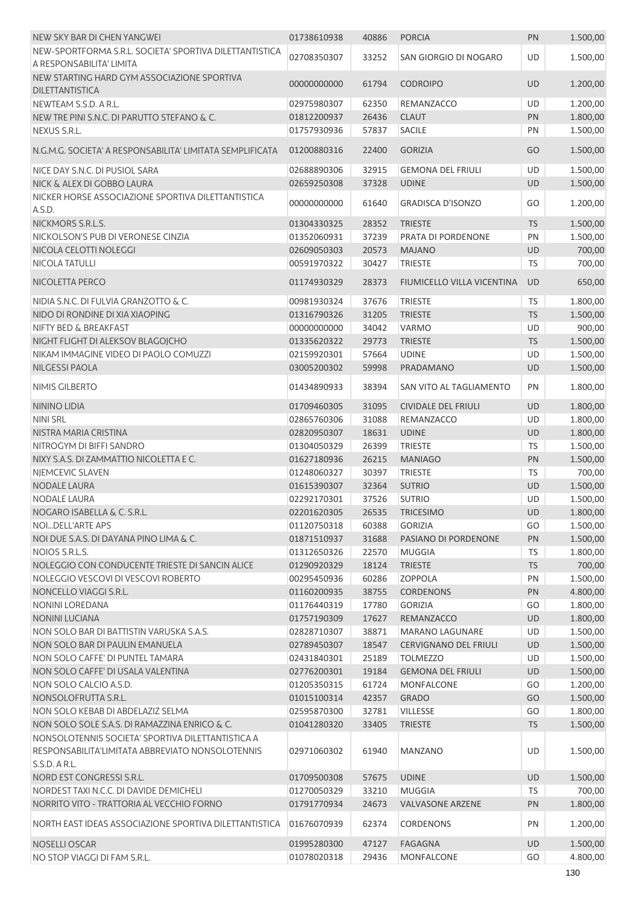| NEW SKY BAR DI CHEN YANGWEI                                 | 01738610938                | 40886          | <b>PORCIA</b>                                | PN                     | 1.500,00           |
|-------------------------------------------------------------|----------------------------|----------------|----------------------------------------------|------------------------|--------------------|
| NEW-SPORTFORMA S.R.L. SOCIETA' SPORTIVA DILETTANTISTICA     |                            |                |                                              |                        |                    |
| A RESPONSABILITA' LIMITA                                    | 02708350307                | 33252          | SAN GIORGIO DI NOGARO                        | UD                     | 1.500,00           |
| NEW STARTING HARD GYM ASSOCIAZIONE SPORTIVA                 |                            |                |                                              |                        |                    |
| <b>DILETTANTISTICA</b>                                      | 00000000000                | 61794          | <b>CODROIPO</b>                              | <b>UD</b>              | 1.200,00           |
| NEWTEAM S.S.D. A R.L.                                       | 02975980307                | 62350          | REMANZACCO                                   | UD                     | 1.200,00           |
| NEW TRE PINI S.N.C. DI PARUTTO STEFANO & C.                 | 01812200937                | 26436          | <b>CLAUT</b>                                 | PN                     | 1.800,00           |
| NEXUS S.R.L.                                                | 01757930936                | 57837          | <b>SACILE</b>                                | PN                     | 1.500,00           |
| N.G.M.G. SOCIETA' A RESPONSABILITA' LIMITATA SEMPLIFICATA   | 01200880316                | 22400          | <b>GORIZIA</b>                               | GO                     | 1.500,00           |
| NICE DAY S.N.C. DI PUSIOL SARA                              | 02688890306                | 32915          | <b>GEMONA DEL FRIULI</b>                     | UD                     | 1.500,00           |
| NICK & ALEX DI GOBBO LAURA                                  | 02659250308                | 37328          | <b>UDINE</b>                                 | <b>UD</b>              | 1.500,00           |
| NICKER HORSE ASSOCIAZIONE SPORTIVA DILETTANTISTICA          |                            |                |                                              |                        |                    |
| A.S.D.                                                      | 00000000000                | 61640          | <b>GRADISCA D'ISONZO</b>                     | GO                     | 1.200,00           |
| NICKMORS S.R.L.S.                                           | 01304330325                | 28352          | <b>TRIESTE</b>                               | <b>TS</b>              | 1.500,00           |
| NICKOLSON'S PUB DI VERONESE CINZIA                          | 01352060931                | 37239          | PRATA DI PORDENONE                           | PN                     | 1.500,00           |
| NICOLA CELOTTI NOLEGGI                                      | 02609050303                | 20573          | <b>MAJANO</b>                                | <b>UD</b>              | 700,00             |
| <b>NICOLA TATULLI</b>                                       | 00591970322                | 30427          | <b>TRIESTE</b>                               | <b>TS</b>              | 700,00             |
|                                                             |                            |                |                                              |                        |                    |
| NICOLETTA PERCO<br>NIDIA S.N.C. DI FULVIA GRANZOTTO & C.    | 01174930329<br>00981930324 | 28373<br>37676 | FIUMICELLO VILLA VICENTINA<br><b>TRIESTE</b> | <b>UD</b><br><b>TS</b> | 650,00<br>1.800,00 |
| NIDO DI RONDINE DI XIA XIAOPING                             | 01316790326                | 31205          | <b>TRIESTE</b>                               | <b>TS</b>              | 1.500,00           |
| <b>NIFTY BED &amp; BREAKFAST</b>                            | 00000000000                | 34042          | <b>VARMO</b>                                 | UD                     | 900,00             |
| NIGHT FLIGHT DI ALEKSOV BLAGOJCHO                           | 01335620322                | 29773          | <b>TRIESTE</b>                               | <b>TS</b>              | 1.500,00           |
| NIKAM IMMAGINE VIDEO DI PAOLO COMUZZI                       | 02159920301                | 57664          | <b>UDINE</b>                                 | UD                     | 1.500,00           |
| NILGESSI PAOLA                                              | 03005200302                | 59998          | PRADAMANO                                    | UD                     | 1.500,00           |
|                                                             |                            |                |                                              |                        |                    |
| NIMIS GILBERTO                                              | 01434890933                | 38394          | SAN VITO AL TAGLIAMENTO                      | PN                     | 1.800,00           |
| <b>NININO LIDIA</b>                                         | 01709460305                | 31095          | <b>CIVIDALE DEL FRIULI</b>                   | UD                     | 1.800,00           |
| <b>NINI SRL</b>                                             | 02865760306                | 31088          | REMANZACCO                                   | UD                     | 1.800,00           |
| NISTRA MARIA CRISTINA                                       | 02820950307                | 18631          | <b>UDINE</b>                                 | UD                     | 1.800,00           |
| NITROGYM DI BIFFI SANDRO                                    | 01304050329                | 26399          | <b>TRIESTE</b>                               | <b>TS</b>              | 1.500,00           |
| NIXY S.A.S. DI ZAMMATTIO NICOLETTA E C.                     | 01627180936                | 26215          | <b>MANIAGO</b>                               | PN                     | 1.500,00           |
| NJEMCEVIC SLAVEN                                            | 01248060327                | 30397          | <b>TRIESTE</b>                               | <b>TS</b>              | 700,00             |
| NODALE LAURA                                                | 01615390307                | 32364          | <b>SUTRIO</b>                                | <b>UD</b>              | 1.500,00           |
| <b>NODALE LAURA</b>                                         | 02292170301                | 37526          | <b>SUTRIO</b>                                | UD                     | 1.500,00           |
| NOGARO ISABELLA & C. S.R.L.                                 | 02201620305                | 26535          | <b>TRICESIMO</b>                             | UD                     | 1.800,00           |
| NOIDELL'ARTE APS<br>NOI DUE S.A.S. DI DAYANA PINO LIMA & C. | 01120750318                | 60388          | <b>GORIZIA</b>                               | GO                     | 1.500,00           |
| NOIOS S.R.L.S.                                              | 01871510937<br>01312650326 | 31688<br>22570 | PASIANO DI PORDENONE<br><b>MUGGIA</b>        | PN<br><b>TS</b>        | 1.500,00           |
| NOLEGGIO CON CONDUCENTE TRIESTE DI SANCIN ALICE             | 01290920329                | 18124          | <b>TRIESTE</b>                               | <b>TS</b>              | 1.800,00<br>700,00 |
| NOLEGGIO VESCOVI DI VESCOVI ROBERTO                         | 00295450936                | 60286          | <b>ZOPPOLA</b>                               | PN                     | 1.500,00           |
| NONCELLO VIAGGI S.R.L.                                      | 01160200935                | 38755          | <b>CORDENONS</b>                             | PN                     | 4.800,00           |
| <b>NONINI LOREDANA</b>                                      | 01176440319                | 17780          | <b>GORIZIA</b>                               | GO                     | 1.800,00           |
| NONINI LUCIANA                                              | 01757190309                | 17627          | REMANZACCO                                   | <b>UD</b>              | 1.800,00           |
| NON SOLO BAR DI BATTISTIN VARUSKA S.A.S.                    | 02828710307                | 38871          | MARANO LAGUNARE                              | <b>UD</b>              | 1.500,00           |
| NON SOLO BAR DI PAULIN EMANUELA                             | 02789450307                | 18547          | <b>CERVIGNANO DEL FRIULI</b>                 | <b>UD</b>              | 1.500,00           |
| NON SOLO CAFFE' DI PUNTEL TAMARA                            | 02431840301                | 25189          | <b>TOLMEZZO</b>                              | UD                     | 1.500,00           |
| NON SOLO CAFFE' DI USALA VALENTINA                          | 02776200301                | 19184          | <b>GEMONA DEL FRIULI</b>                     | <b>UD</b>              | 1.500,00           |
| NON SOLO CALCIO A.S.D.                                      | 01205350315                | 61724          | <b>MONFALCONE</b>                            | GO                     | 1.200,00           |
| NONSOLOFRUTTA S.R.L.                                        | 01015100314                | 42357          | <b>GRADO</b>                                 | GO                     | 1.500,00           |
| NON SOLO KEBAB DI ABDELAZIZ SELMA                           | 02595870300                | 32781          | VILLESSE                                     | GO                     | 1.800,00           |
| NON SOLO SOLE S.A.S. DI RAMAZZINA ENRICO & C.               | 01041280320                | 33405          | <b>TRIESTE</b>                               | <b>TS</b>              | 1.500,00           |
| NONSOLOTENNIS SOCIETA' SPORTIVA DILETTANTISTICA A           |                            |                |                                              |                        |                    |
| RESPONSABILITA'LIMITATA ABBREVIATO NONSOLOTENNIS            | 02971060302                | 61940          | MANZANO                                      | UD                     | 1.500,00           |
| S.S.D. A R.L.<br>NORD EST CONGRESSI S.R.L.                  | 01709500308                | 57675          | <b>UDINE</b>                                 | <b>UD</b>              | 1.500,00           |
| NORDEST TAXI N.C.C. DI DAVIDE DEMICHELI                     | 01270050329                | 33210          | <b>MUGGIA</b>                                | <b>TS</b>              | 700,00             |
| NORRITO VITO - TRATTORIA AL VECCHIO FORNO                   | 01791770934                | 24673          | <b>VALVASONE ARZENE</b>                      | PN                     | 1.800,00           |
| NORTH EAST IDEAS ASSOCIAZIONE SPORTIVA DILETTANTISTICA      | 01676070939                | 62374          | <b>CORDENONS</b>                             | PN                     | 1.200,00           |
|                                                             |                            |                |                                              |                        |                    |
| NOSELLI OSCAR                                               | 01995280300                | 47127          | <b>FAGAGNA</b>                               | <b>UD</b>              | 1.500,00           |
| NO STOP VIAGGI DI FAM S.R.L.                                | 01078020318                | 29436          | MONFALCONE                                   | GO                     | 4.800,00           |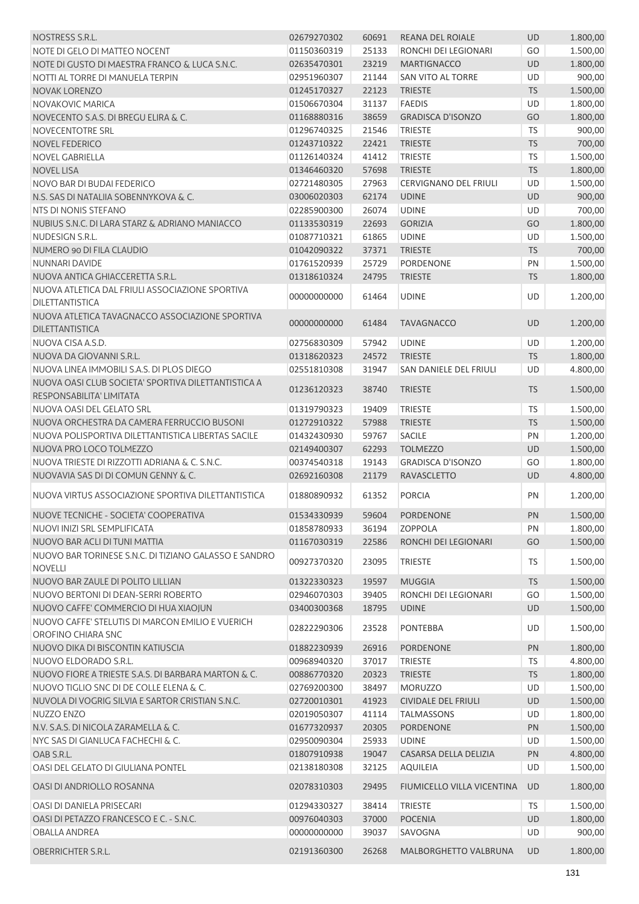| NOSTRESS S.R.L.                                                                 | 02679270302 | 60691 | REANA DEL ROIALE             | <b>UD</b> | 1.800,00 |
|---------------------------------------------------------------------------------|-------------|-------|------------------------------|-----------|----------|
| NOTE DI GELO DI MATTEO NOCENT                                                   | 01150360319 | 25133 | RONCHI DEI LEGIONARI         | GO        | 1.500,00 |
| NOTE DI GUSTO DI MAESTRA FRANCO & LUCA S.N.C.                                   | 02635470301 | 23219 | <b>MARTIGNACCO</b>           | <b>UD</b> | 1.800,00 |
| NOTTI AL TORRE DI MANUELA TERPIN                                                | 02951960307 | 21144 | SAN VITO AL TORRE            | UD        | 900,00   |
| <b>NOVAK LORENZO</b>                                                            | 01245170327 | 22123 | <b>TRIESTE</b>               | <b>TS</b> | 1.500,00 |
| <b>NOVAKOVIC MARICA</b>                                                         | 01506670304 | 31137 | <b>FAEDIS</b>                | <b>UD</b> | 1.800,00 |
| NOVECENTO S.A.S. DI BREGU ELIRA & C.                                            | 01168880316 | 38659 | <b>GRADISCA D'ISONZO</b>     | GO        | 1.800,00 |
| NOVECENTOTRE SRL                                                                | 01296740325 | 21546 | <b>TRIESTE</b>               | <b>TS</b> | 900,00   |
| <b>NOVEL FEDERICO</b>                                                           | 01243710322 | 22421 | <b>TRIESTE</b>               | <b>TS</b> | 700,00   |
| <b>NOVEL GABRIELLA</b>                                                          | 01126140324 | 41412 | <b>TRIESTE</b>               | <b>TS</b> | 1.500,00 |
| <b>NOVEL LISA</b>                                                               | 01346460320 | 57698 | <b>TRIESTE</b>               | <b>TS</b> | 1.800,00 |
| NOVO BAR DI BUDAI FEDERICO                                                      | 02721480305 | 27963 | <b>CERVIGNANO DEL FRIULI</b> | <b>UD</b> | 1.500,00 |
| N.S. SAS DI NATALIIA SOBENNYKOVA & C.                                           | 03006020303 | 62174 | <b>UDINE</b>                 | UD        | 900,00   |
| NTS DI NONIS STEFANO                                                            | 02285900300 | 26074 | <b>UDINE</b>                 | UD        | 700,00   |
| NUBIUS S.N.C. DI LARA STARZ & ADRIANO MANIACCO                                  | 01133530319 | 22693 | <b>GORIZIA</b>               | GO        | 1.800,00 |
| NUDESIGN S.R.L.                                                                 | 01087710321 | 61865 | <b>UDINE</b>                 | <b>UD</b> | 1.500,00 |
| NUMERO 90 DI FILA CLAUDIO                                                       | 01042090322 | 37371 | <b>TRIESTE</b>               | <b>TS</b> | 700,00   |
| <b>NUNNARI DAVIDE</b>                                                           | 01761520939 | 25729 | PORDENONE                    | PN        | 1.500,00 |
| NUOVA ANTICA GHIACCERETTA S.R.L.                                                | 01318610324 | 24795 | <b>TRIESTE</b>               | <b>TS</b> | 1.800,00 |
| NUOVA ATLETICA DAL FRIULI ASSOCIAZIONE SPORTIVA                                 |             |       |                              |           |          |
| DILETTANTISTICA                                                                 | 00000000000 | 61464 | <b>UDINE</b>                 | UD        | 1.200,00 |
| NUOVA ATLETICA TAVAGNACCO ASSOCIAZIONE SPORTIVA                                 | 00000000000 | 61484 | <b>TAVAGNACCO</b>            | UD        | 1.200,00 |
| DILETTANTISTICA                                                                 |             |       |                              |           |          |
| NUOVA CISA A.S.D.                                                               | 02756830309 | 57942 | <b>UDINE</b>                 | UD        | 1.200,00 |
| NUOVA DA GIOVANNI S.R.L.                                                        | 01318620323 | 24572 | <b>TRIESTE</b>               | <b>TS</b> | 1.800,00 |
| NUOVA LINEA IMMOBILI S.A.S. DI PLOS DIEGO                                       | 02551810308 | 31947 | SAN DANIELE DEL FRIULI       | UD        | 4.800,00 |
| NUOVA OASI CLUB SOCIETA' SPORTIVA DILETTANTISTICA A<br>RESPONSABILITA' LIMITATA | 01236120323 | 38740 | <b>TRIESTE</b>               | <b>TS</b> | 1.500,00 |
| NUOVA OASI DEL GELATO SRL                                                       | 01319790323 | 19409 | <b>TRIESTE</b>               | TS        | 1.500,00 |
| NUOVA ORCHESTRA DA CAMERA FERRUCCIO BUSONI                                      | 01272910322 | 57988 | <b>TRIESTE</b>               | <b>TS</b> | 1.500,00 |
| NUOVA POLISPORTIVA DILETTANTISTICA LIBERTAS SACILE                              | 01432430930 | 59767 | <b>SACILE</b>                | PN        | 1.200,00 |
| NUOVA PRO LOCO TOLMEZZO                                                         | 02149400307 | 62293 | <b>TOLMEZZO</b>              | UD        | 1.500,00 |
| NUOVA TRIESTE DI RIZZOTTI ADRIANA & C. S.N.C.                                   | 00374540318 | 19143 | <b>GRADISCA D'ISONZO</b>     | GO        | 1.800,00 |
| NUOVAVIA SAS DI DI COMUN GENNY & C.                                             | 02692160308 | 21179 | <b>RAVASCLETTO</b>           | UD        | 4.800,00 |
| NUOVA VIRTUS ASSOCIAZIONE SPORTIVA DILETTANTISTICA                              | 01880890932 | 61352 | <b>PORCIA</b>                | PN        | 1.200,00 |
| NUOVE TECNICHE - SOCIETA' COOPERATIVA                                           | 01534330939 | 59604 | PORDENONE                    | PN        | 1.500,00 |
| NUOVI INIZI SRL SEMPLIFICATA                                                    | 01858780933 | 36194 | <b>ZOPPOLA</b>               | PN        | 1.800,00 |
| NUOVO BAR ACLI DI TUNI MATTIA                                                   | 01167030319 | 22586 | RONCHI DEI LEGIONARI         | GO        | 1.500,00 |
| NUOVO BAR TORINESE S.N.C. DI TIZIANO GALASSO E SANDRO<br><b>NOVELLI</b>         | 00927370320 | 23095 | <b>TRIESTE</b>               | TS        | 1.500,00 |
| NUOVO BAR ZAULE DI POLITO LILLIAN                                               | 01322330323 | 19597 | <b>MUGGIA</b>                | <b>TS</b> | 1.500,00 |
| NUOVO BERTONI DI DEAN-SERRI ROBERTO                                             | 02946070303 | 39405 | RONCHI DEI LEGIONARI         | GO        | 1.500,00 |
| NUOVO CAFFE' COMMERCIO DI HUA XIAOJUN                                           | 03400300368 | 18795 | <b>UDINE</b>                 | <b>UD</b> | 1.500,00 |
| NUOVO CAFFE' STELUTIS DI MARCON EMILIO E VUERICH                                |             |       |                              |           |          |
| OROFINO CHIARA SNC                                                              | 02822290306 | 23528 | <b>PONTEBBA</b>              | <b>UD</b> | 1.500,00 |
| NUOVO DIKA DI BISCONTIN KATIUSCIA                                               | 01882230939 | 26916 | PORDENONE                    | PN        | 1.800,00 |
| NUOVO ELDORADO S.R.L.                                                           | 00968940320 | 37017 | TRIESTE                      | TS        | 4.800,00 |
| NUOVO FIORE A TRIESTE S.A.S. DI BARBARA MARTON & C.                             | 00886770320 | 20323 | <b>TRIESTE</b>               | <b>TS</b> | 1.800,00 |
| NUOVO TIGLIO SNC DI DE COLLE ELENA & C.                                         | 02769200300 | 38497 | <b>MORUZZO</b>               | UD        | 1.500,00 |
| NUVOLA DI VOGRIG SILVIA E SARTOR CRISTIAN S.N.C.                                | 02720010301 | 41923 | <b>CIVIDALE DEL FRIULI</b>   | <b>UD</b> | 1.500,00 |
| NUZZO ENZO                                                                      | 02019050307 | 41114 | <b>TALMASSONS</b>            | UD        | 1.800,00 |
| N.V. S.A.S. DI NICOLA ZARAMELLA & C.                                            | 01677320937 | 20305 | <b>PORDENONE</b>             | <b>PN</b> | 1.500,00 |
| NYC SAS DI GIANLUCA FACHECHI & C.                                               | 02950090304 | 25933 | <b>UDINE</b>                 | UD        | 1.500,00 |
| OAB S.R.L.                                                                      | 01807910938 | 19047 | CASARSA DELLA DELIZIA        | PN        | 4.800,00 |
| OASI DEL GELATO DI GIULIANA PONTEL                                              | 02138180308 | 32125 | <b>AQUILEIA</b>              | <b>UD</b> | 1.500,00 |
| OASI DI ANDRIOLLO ROSANNA                                                       | 02078310303 | 29495 | FIUMICELLO VILLA VICENTINA   | <b>UD</b> | 1.800,00 |
| OASI DI DANIELA PRISECARI                                                       | 01294330327 | 38414 | <b>TRIESTE</b>               | TS.       | 1.500,00 |
| OASI DI PETAZZO FRANCESCO E C. - S.N.C.                                         | 00976040303 | 37000 | <b>POCENIA</b>               | UD        | 1.800,00 |
| OBALLA ANDREA                                                                   | 00000000000 | 39037 | SAVOGNA                      | UD        | 900,00   |
| OBERRICHTER S.R.L.                                                              | 02191360300 | 26268 | MALBORGHETTO VALBRUNA        | <b>UD</b> | 1.800,00 |
|                                                                                 |             |       |                              |           |          |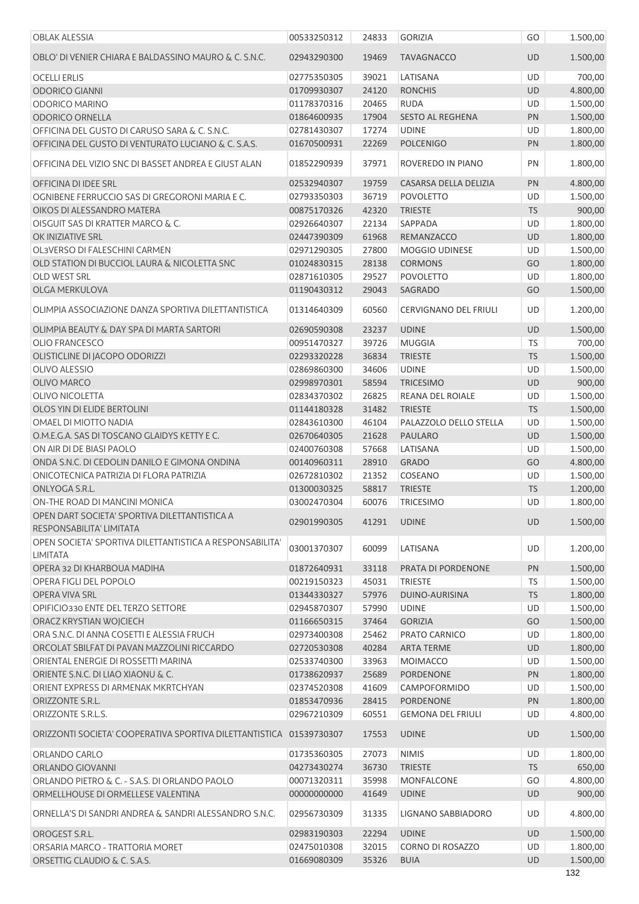| <b>OBLAK ALESSIA</b>                                                        | 00533250312                | 24833          | <b>GORIZIA</b>                     | GO              | 1.500,00 |
|-----------------------------------------------------------------------------|----------------------------|----------------|------------------------------------|-----------------|----------|
| OBLO' DI VENIER CHIARA E BALDASSINO MAURO & C. S.N.C.                       | 02943290300                | 19469          | <b>TAVAGNACCO</b>                  | <b>UD</b>       | 1.500,00 |
| <b>OCELLI ERLIS</b>                                                         | 02775350305                | 39021          | LATISANA                           | UD              | 700,00   |
| <b>ODORICO GIANNI</b>                                                       | 01709930307                | 24120          | <b>RONCHIS</b>                     | UD              | 4.800,00 |
| <b>ODORICO MARINO</b>                                                       | 01178370316                | 20465          | <b>RUDA</b>                        | UD              | 1.500,00 |
| <b>ODORICO ORNELLA</b>                                                      | 01864600935                | 17904          | <b>SESTO AL REGHENA</b>            | PN              | 1.500,00 |
| OFFICINA DEL GUSTO DI CARUSO SARA & C. S.N.C.                               | 02781430307                | 17274          | <b>UDINE</b>                       | UD              | 1.800,00 |
| OFFICINA DEL GUSTO DI VENTURATO LUCIANO & C. S.A.S.                         | 01670500931                | 22269          | <b>POLCENIGO</b>                   | PN              | 1.800,00 |
| OFFICINA DEL VIZIO SNC DI BASSET ANDREA E GIUST ALAN                        | 01852290939                | 37971          | ROVEREDO IN PIANO                  | PN              | 1.800,00 |
| OFFICINA DI IDEE SRL                                                        | 02532940307                | 19759          | CASARSA DELLA DELIZIA              | PN              | 4.800,00 |
| OGNIBENE FERRUCCIO SAS DI GREGORONI MARIA E C.                              | 02793350303                | 36719          | <b>POVOLETTO</b>                   | UD              | 1.500,00 |
| OIKOS DI ALESSANDRO MATERA                                                  | 00875170326                | 42320          | <b>TRIESTE</b>                     | <b>TS</b>       | 900,00   |
| OISGUIT SAS DI KRATTER MARCO & C.                                           | 02926640307                | 22134          | SAPPADA                            | UD              | 1.800,00 |
| OK INIZIATIVE SRL                                                           | 02447390309                | 61968          | REMANZACCO                         | <b>UD</b>       | 1.800,00 |
| OL3VERSO DI FALESCHINI CARMEN                                               | 02971290305                | 27800          | MOGGIO UDINESE                     | UD              | 1.500,00 |
| OLD STATION DI BUCCIOL LAURA & NICOLETTA SNC                                | 01024830315                | 28138          | <b>CORMONS</b>                     | GO              | 1.800,00 |
| <b>OLD WEST SRL</b>                                                         | 02871610305                | 29527          | <b>POVOLETTO</b>                   | UD              | 1.800,00 |
| OLGA MERKULOVA                                                              | 01190430312                | 29043          | SAGRADO                            | GO              | 1.500,00 |
| OLIMPIA ASSOCIAZIONE DANZA SPORTIVA DILETTANTISTICA                         | 01314640309                | 60560          | <b>CERVIGNANO DEL FRIULI</b>       | UD              | 1.200,00 |
| OLIMPIA BEAUTY & DAY SPA DI MARTA SARTORI                                   | 02690590308                | 23237          | <b>UDINE</b>                       | UD              | 1.500,00 |
| <b>OLIO FRANCESCO</b>                                                       | 00951470327                | 39726          | <b>MUGGIA</b>                      | TS              | 700,00   |
| OLISTICLINE DI JACOPO ODORIZZI                                              | 02293320228                | 36834          | <b>TRIESTE</b>                     | <b>TS</b>       | 1.500,00 |
| OLIVO ALESSIO                                                               | 02869860300                | 34606          | <b>UDINE</b>                       | <b>UD</b>       | 1.500,00 |
| OLIVO MARCO                                                                 | 02998970301                | 58594          | <b>TRICESIMO</b>                   | <b>UD</b>       | 900,00   |
| <b>OLIVO NICOLETTA</b>                                                      | 02834370302                | 26825          | REANA DEL ROIALE                   | UD              | 1.500,00 |
| OLOS YIN DI ELIDE BERTOLINI                                                 | 01144180328                | 31482          | <b>TRIESTE</b>                     | <b>TS</b>       | 1.500,00 |
| OMAEL DI MIOTTO NADIA                                                       | 02843610300                | 46104          | PALAZZOLO DELLO STELLA             | UD              | 1.500,00 |
| O.M.E.G.A. SAS DI TOSCANO GLAIDYS KETTY E C.                                | 02670640305                | 21628          | <b>PAULARO</b>                     | <b>UD</b>       | 1.500,00 |
| ON AIR DI DE BIASI PAOLO                                                    | 02400760308                | 57668          | LATISANA                           | UD              | 1.500,00 |
| ONDA S.N.C. DI CEDOLIN DANILO E GIMONA ONDINA                               | 00140960311                | 28910          | <b>GRADO</b>                       | GO              | 4.800,00 |
| ONICOTECNICA PATRIZIA DI FLORA PATRIZIA                                     | 02672810302                | 21352          | COSEANO                            | UD              |          |
|                                                                             |                            |                |                                    |                 | 1.500,00 |
| ONLYOGA S.R.L.                                                              | 01300030325<br>03002470304 | 58817<br>60076 | <b>TRIESTE</b><br><b>TRICESIMO</b> | <b>TS</b><br>UD | 1.200,00 |
| ON-THE ROAD DI MANCINI MONICA                                               |                            |                |                                    |                 | 1.800,00 |
| OPEN DART SOCIETA' SPORTIVA DILETTANTISTICA A<br>RESPONSABILITA' LIMITATA   | 02901990305                | 41291          | <b>UDINE</b>                       | <b>UD</b>       | 1.500,00 |
| OPEN SOCIETA' SPORTIVA DILETTANTISTICA A RESPONSABILITA'<br><b>LIMITATA</b> | 03001370307                | 60099          | LATISANA                           | UD              | 1.200,00 |
| OPERA 32 DI KHARBOUA MADIHA                                                 | 01872640931                | 33118          | PRATA DI PORDENONE                 | PN              | 1.500,00 |
| OPERA FIGLI DEL POPOLO                                                      | 00219150323                | 45031          | <b>TRIESTE</b>                     | <b>TS</b>       | 1.500,00 |
| OPERA VIVA SRL                                                              | 01344330327                | 57976          | DUINO-AURISINA                     | <b>TS</b>       | 1.800,00 |
| OPIFICIO330 ENTE DEL TERZO SETTORE                                          | 02945870307                | 57990          | <b>UDINE</b>                       | <b>UD</b>       | 1.500,00 |
| ORACZ KRYSTIAN WOJCIECH                                                     | 01166650315                | 37464          | <b>GORIZIA</b>                     | GO              | 1.500,00 |
| ORA S.N.C. DI ANNA COSETTI E ALESSIA FRUCH                                  | 02973400308                | 25462          | PRATO CARNICO                      | <b>UD</b>       | 1.800,00 |
| ORCOLAT SBILFAT DI PAVAN MAZZOLINI RICCARDO                                 | 02720530308                | 40284          | <b>ARTA TERME</b>                  | <b>UD</b>       | 1.800,00 |
| ORIENTAL ENERGIE DI ROSSETTI MARINA                                         | 02533740300                | 33963          | <b>MOIMACCO</b>                    | UD              | 1.500,00 |
| ORIENTE S.N.C. DI LIAO XIAONU & C.                                          | 01738620937                | 25689          | <b>PORDENONE</b>                   | <b>PN</b>       | 1.800,00 |
| ORIENT EXPRESS DI ARMENAK MKRTCHYAN                                         | 02374520308                | 41609          | CAMPOFORMIDO                       | UD              | 1.500,00 |
| ORIZZONTE S.R.L.                                                            | 01853470936                | 28415          | <b>PORDENONE</b>                   | <b>PN</b>       | 1.800,00 |
| ORIZZONTE S.R.L.S.                                                          | 02967210309                | 60551          | <b>GEMONA DEL FRIULI</b>           | UD              | 4.800,00 |
| ORIZZONTI SOCIETA' COOPERATIVA SPORTIVA DILETTANTISTICA 01539730307         |                            | 17553          | <b>UDINE</b>                       | <b>UD</b>       | 1.500,00 |
| ORLANDO CARLO                                                               | 01735360305                | 27073          | <b>NIMIS</b>                       | UD              | 1.800,00 |
| ORLANDO GIOVANNI                                                            | 04273430274                | 36730          | <b>TRIESTE</b>                     | <b>TS</b>       | 650,00   |
| ORLANDO PIETRO & C. - S.A.S. DI ORLANDO PAOLO                               | 00071320311                | 35998          | MONFALCONE                         | GO              | 4.800,00 |
| ORMELLHOUSE DI ORMELLESE VALENTINA                                          | 00000000000                | 41649          | <b>UDINE</b>                       | <b>UD</b>       | 900,00   |
| ORNELLA'S DI SANDRI ANDREA & SANDRI ALESSANDRO S.N.C.                       | 02956730309                | 31335          | LIGNANO SABBIADORO                 | UD              | 4.800,00 |
| OROGEST S.R.L.                                                              | 02983190303                | 22294          | <b>UDINE</b>                       | UD              | 1.500,00 |
| ORSARIA MARCO - TRATTORIA MORET                                             | 02475010308                | 32015          | CORNO DI ROSAZZO                   | UD              | 1.800,00 |
| ORSETTIG CLAUDIO & C. S.A.S.                                                | 01669080309                | 35326          | <b>BUIA</b>                        | <b>UD</b>       | 1.500,00 |
|                                                                             |                            |                |                                    |                 | 132      |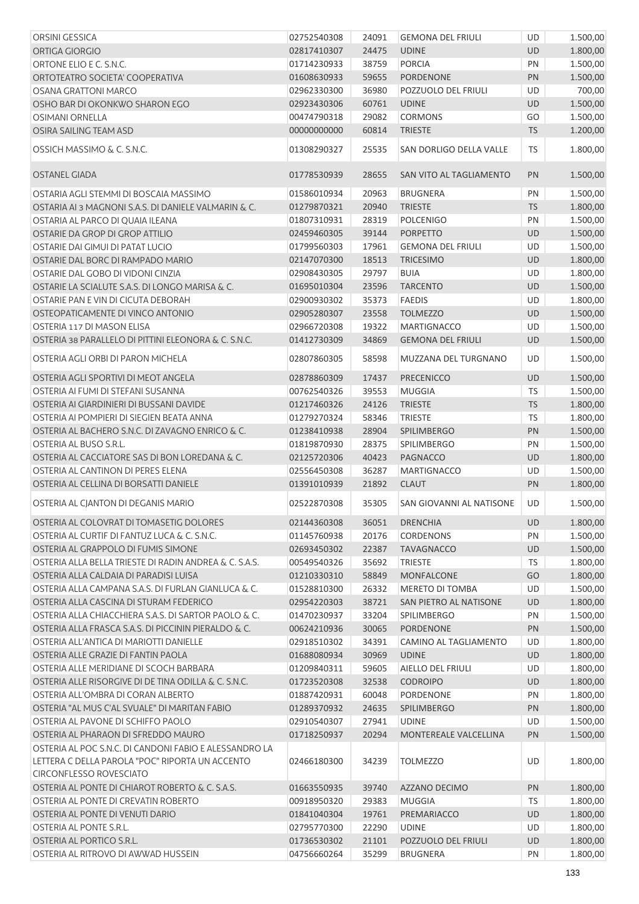| ORSINI GESSICA                                                                    | 02752540308 | 24091 | <b>GEMONA DEL FRIULI</b>     | UD        | 1.500,00 |
|-----------------------------------------------------------------------------------|-------------|-------|------------------------------|-----------|----------|
| ORTIGA GIORGIO                                                                    | 02817410307 | 24475 | <b>UDINE</b>                 | <b>UD</b> | 1.800,00 |
| ORTONE ELIO E C. S.N.C.                                                           | 01714230933 | 38759 | <b>PORCIA</b>                | PN        | 1.500,00 |
| ORTOTEATRO SOCIETA' COOPERATIVA                                                   | 01608630933 | 59655 | <b>PORDENONE</b>             | PN        | 1.500,00 |
| <b>OSANA GRATTONI MARCO</b>                                                       | 02962330300 | 36980 | POZZUOLO DEL FRIULI          | UD        | 700,00   |
| OSHO BAR DI OKONKWO SHARON EGO                                                    | 02923430306 | 60761 | <b>UDINE</b>                 | <b>UD</b> | 1.500,00 |
| <b>OSIMANI ORNELLA</b>                                                            | 00474790318 | 29082 | <b>CORMONS</b>               | GO        | 1.500,00 |
| OSIRA SAILING TEAM ASD                                                            | 00000000000 | 60814 | <b>TRIESTE</b>               | <b>TS</b> | 1.200,00 |
| OSSICH MASSIMO & C. S.N.C.                                                        | 01308290327 | 25535 | SAN DORLIGO DELLA VALLE      | <b>TS</b> | 1.800,00 |
| <b>OSTANEL GIADA</b>                                                              | 01778530939 | 28655 | SAN VITO AL TAGLIAMENTO      | PN        | 1.500,00 |
| OSTARIA AGLI STEMMI DI BOSCAIA MASSIMO                                            | 01586010934 | 20963 | <b>BRUGNERA</b>              | PN        | 1.500,00 |
| OSTARIA AI 3 MAGNONI S.A.S. DI DANIELE VALMARIN & C.                              | 01279870321 | 20940 | <b>TRIESTE</b>               | <b>TS</b> | 1.800,00 |
| OSTARIA AL PARCO DI QUAIA ILEANA                                                  | 01807310931 | 28319 | <b>POLCENIGO</b>             | PN        | 1.500,00 |
| OSTARIE DA GROP DI GROP ATTILIO                                                   | 02459460305 | 39144 | <b>PORPETTO</b>              | UD        | 1.500,00 |
| OSTARIE DAI GIMUI DI PATAT LUCIO                                                  | 01799560303 | 17961 | <b>GEMONA DEL FRIULI</b>     | UD        | 1.500,00 |
| OSTARIE DAL BORC DI RAMPADO MARIO                                                 | 02147070300 | 18513 | <b>TRICESIMO</b>             | UD        | 1.800,00 |
| OSTARIE DAL GOBO DI VIDONI CINZIA                                                 | 02908430305 | 29797 | <b>BUIA</b>                  | UD        | 1.800,00 |
| OSTARIE LA SCIALUTE S.A.S. DI LONGO MARISA & C.                                   | 01695010304 | 23596 | <b>TARCENTO</b>              | UD        | 1.500,00 |
| OSTARIE PAN E VIN DI CICUTA DEBORAH                                               | 02900930302 | 35373 | <b>FAEDIS</b>                | UD        | 1.800,00 |
| OSTEOPATICAMENTE DI VINCO ANTONIO                                                 | 02905280307 | 23558 | <b>TOLMEZZO</b>              | UD        | 1.500,00 |
| OSTERIA 117 DI MASON ELISA                                                        | 02966720308 | 19322 | <b>MARTIGNACCO</b>           | UD        | 1.500,00 |
| OSTERIA 38 PARALLELO DI PITTINI ELEONORA & C. S.N.C.                              | 01412730309 | 34869 | <b>GEMONA DEL FRIULI</b>     | <b>UD</b> | 1.500,00 |
| OSTERIA AGLI ORBI DI PARON MICHELA                                                | 02807860305 | 58598 | MUZZANA DEL TURGNANO         | UD        | 1.500,00 |
| OSTERIA AGLI SPORTIVI DI MEOT ANGELA                                              | 02878860309 | 17437 | <b>PRECENICCO</b>            | UD        | 1.500,00 |
| OSTERIA AI FUMI DI STEFANI SUSANNA                                                | 00762540326 | 39553 | <b>MUGGIA</b>                | TS        | 1.500,00 |
| OSTERIA AI GIARDINIERI DI BUSSANI DAVIDE                                          | 01217460326 | 24126 | <b>TRIESTE</b>               | <b>TS</b> | 1.800,00 |
| OSTERIA AI POMPIERI DI SIEGIEN BEATA ANNA                                         | 01279270324 | 58346 | <b>TRIESTE</b>               | <b>TS</b> | 1.800,00 |
| OSTERIA AL BACHERO S.N.C. DI ZAVAGNO ENRICO & C.                                  | 01238410938 | 28904 | SPILIMBERGO                  | PN        | 1.500,00 |
| OSTERIA AL BUSO S.R.L.                                                            | 01819870930 | 28375 | SPILIMBERGO                  | PN        | 1.500,00 |
| OSTERIA AL CACCIATORE SAS DI BON LOREDANA & C.                                    | 02125720306 | 40423 | <b>PAGNACCO</b>              | UD        | 1.800,00 |
| OSTERIA AL CANTINON DI PERES ELENA                                                | 02556450308 | 36287 | <b>MARTIGNACCO</b>           | UD        | 1.500,00 |
| OSTERIA AL CELLINA DI BORSATTI DANIELE                                            | 01391010939 | 21892 | <b>CLAUT</b>                 | PN        | 1.800,00 |
| OSTERIA AL CJANTON DI DEGANIS MARIO                                               | 02522870308 | 35305 | SAN GIOVANNI AL NATISONE     | UD        | 1.500,00 |
| OSTERIA AL COLOVRAT DI TOMASETIG DOLORES                                          | 02144360308 | 36051 | <b>DRENCHIA</b>              | UD        | 1.800,00 |
| OSTERIA AL CURTIF DI FANTUZ LUCA & C. S.N.C.                                      | 01145760938 | 20176 | CORDENONS                    | PN        | 1.500,00 |
| OSTERIA AL GRAPPOLO DI FUMIS SIMONE                                               | 02693450302 | 22387 | <b>TAVAGNACCO</b>            | UD        | 1.500,00 |
| OSTERIA ALLA BELLA TRIESTE DI RADIN ANDREA & C. S.A.S.                            | 00549540326 | 35692 | <b>TRIESTE</b>               | <b>TS</b> | 1.800,00 |
| OSTERIA ALLA CALDAIA DI PARADISI LUISA                                            | 01210330310 | 58849 | MONFALCONE                   | GO        | 1.800,00 |
| OSTERIA ALLA CAMPANA S.A.S. DI FURLAN GIANLUCA & C.                               | 01528810300 | 26332 | <b>MERETO DI TOMBA</b>       | UD        | 1.500,00 |
| OSTERIA ALLA CASCINA DI STURAM FEDERICO                                           | 02954220303 | 38721 | SAN PIETRO AL NATISONE       | UD        | 1.800,00 |
| OSTERIA ALLA CHIACCHIERA S.A.S. DI SARTOR PAOLO & C.                              | 01470230937 | 33204 | SPILIMBERGO                  | PN        | 1.500,00 |
| OSTERIA ALLA FRASCA S.A.S. DI PICCININ PIERALDO & C.                              | 00624210936 | 30065 | PORDENONE                    | PN        | 1.500,00 |
| OSTERIA ALL'ANTICA DI MARIOTTI DANIELLE                                           | 02918510302 | 34391 | CAMINO AL TAGLIAMENTO        | <b>UD</b> | 1.800,00 |
| OSTERIA ALLE GRAZIE DI FANTIN PAOLA                                               | 01688080934 | 30969 | <b>UDINE</b>                 | <b>UD</b> | 1.800,00 |
| OSTERIA ALLE MERIDIANE DI SCOCH BARBARA                                           | 01209840311 | 59605 | AIELLO DEL FRIULI            | UD        | 1.800,00 |
| OSTERIA ALLE RISORGIVE DI DE TINA ODILLA & C. S.N.C.                              | 01723520308 | 32538 | <b>CODROIPO</b>              | UD        | 1.800,00 |
| OSTERIA ALL'OMBRA DI CORAN ALBERTO                                                | 01887420931 | 60048 | PORDENONE                    | PN        | 1.800,00 |
| OSTERIA "AL MUS C'AL SVUALE" DI MARITAN FABIO                                     | 01289370932 | 24635 | SPILIMBERGO                  | PN        | 1.800,00 |
| OSTERIA AL PAVONE DI SCHIFFO PAOLO                                                | 02910540307 | 27941 | <b>UDINE</b>                 | <b>UD</b> | 1.500,00 |
| OSTERIA AL PHARAON DI SFREDDO MAURO                                               | 01718250937 | 20294 | <b>MONTEREALE VALCELLINA</b> | PN        | 1.500,00 |
| OSTERIA AL POC S.N.C. DI CANDONI FABIO E ALESSANDRO LA                            |             |       |                              |           |          |
| LETTERA C DELLA PAROLA "POC" RIPORTA UN ACCENTO<br><b>CIRCONFLESSO ROVESCIATO</b> | 02466180300 | 34239 | <b>TOLMEZZO</b>              | UD        | 1.800,00 |
| OSTERIA AL PONTE DI CHIAROT ROBERTO & C. S.A.S.                                   | 01663550935 | 39740 | AZZANO DECIMO                | PN        | 1.800,00 |
| OSTERIA AL PONTE DI CREVATIN ROBERTO                                              | 00918950320 | 29383 | <b>MUGGIA</b>                | <b>TS</b> | 1.800,00 |
| OSTERIA AL PONTE DI VENUTI DARIO                                                  | 01841040304 | 19761 | PREMARIACCO                  | UD        | 1.800,00 |
| OSTERIA AL PONTE S.R.L.                                                           | 02795770300 | 22290 | <b>UDINE</b>                 | UD        | 1.800,00 |
| OSTERIA AL PORTICO S.R.L.                                                         | 01736530302 | 21101 | POZZUOLO DEL FRIULI          | UD        | 1.800,00 |
| OSTERIA AL RITROVO DI AWWAD HUSSEIN                                               | 04756660264 | 35299 | <b>BRUGNERA</b>              | PN        | 1.800,00 |
|                                                                                   |             |       |                              |           |          |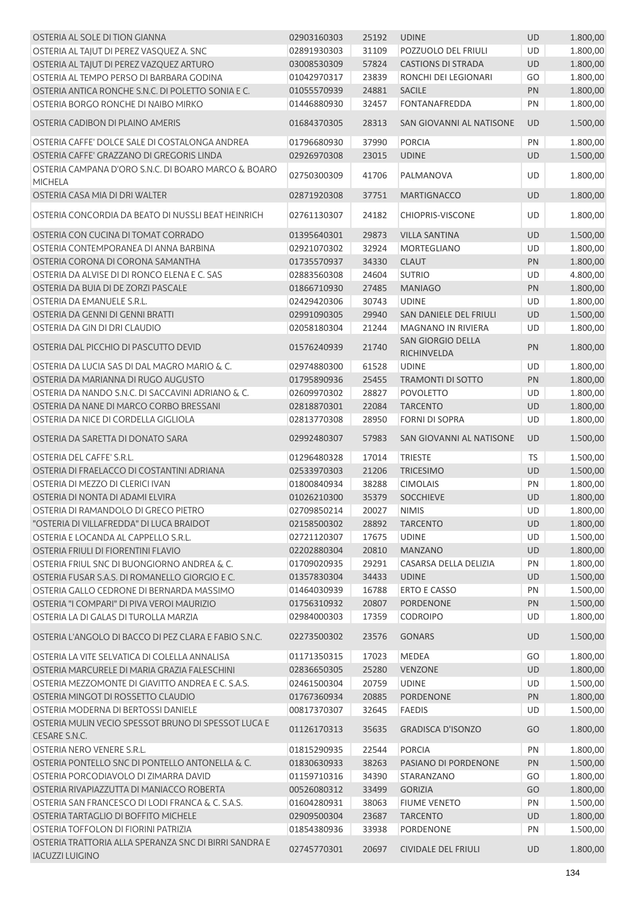| OSTERIA AL SOLE DI TION GIANNA                                        | 02903160303 | 25192 | <b>UDINE</b>               | <b>UD</b> | 1.800,00 |
|-----------------------------------------------------------------------|-------------|-------|----------------------------|-----------|----------|
| OSTERIA AL TAJUT DI PEREZ VASQUEZ A. SNC                              | 02891930303 | 31109 | POZZUOLO DEL FRIULI        | <b>UD</b> | 1.800,00 |
| OSTERIA AL TAJUT DI PEREZ VAZQUEZ ARTURO                              | 03008530309 | 57824 | <b>CASTIONS DI STRADA</b>  | <b>UD</b> | 1.800,00 |
| OSTERIA AL TEMPO PERSO DI BARBARA GODINA                              | 01042970317 | 23839 | RONCHI DEI LEGIONARI       | GO        | 1.800,00 |
| OSTERIA ANTICA RONCHE S.N.C. DI POLETTO SONIA E C.                    | 01055570939 | 24881 | <b>SACILE</b>              | PN        | 1.800,00 |
| OSTERIA BORGO RONCHE DI NAIBO MIRKO                                   | 01446880930 | 32457 | <b>FONTANAFREDDA</b>       | PN        | 1.800,00 |
| OSTERIA CADIBON DI PLAINO AMERIS                                      | 01684370305 | 28313 | SAN GIOVANNI AL NATISONE   | <b>UD</b> | 1.500,00 |
| OSTERIA CAFFE' DOLCE SALE DI COSTALONGA ANDREA                        | 01796680930 | 37990 | <b>PORCIA</b>              | PN        | 1.800,00 |
| OSTERIA CAFFE' GRAZZANO DI GREGORIS LINDA                             | 02926970308 | 23015 | <b>UDINE</b>               | <b>UD</b> | 1.500,00 |
| OSTERIA CAMPANA D'ORO S.N.C. DI BOARO MARCO & BOARO<br><b>MICHELA</b> | 02750300309 | 41706 | PALMANOVA                  | UD        | 1.800,00 |
| OSTERIA CASA MIA DI DRI WALTER                                        | 02871920308 | 37751 | <b>MARTIGNACCO</b>         | <b>UD</b> | 1.800,00 |
| OSTERIA CONCORDIA DA BEATO DI NUSSLI BEAT HEINRICH                    | 02761130307 | 24182 | <b>CHIOPRIS-VISCONE</b>    | UD        | 1.800,00 |
| OSTERIA CON CUCINA DI TOMAT CORRADO                                   | 01395640301 | 29873 | <b>VILLA SANTINA</b>       | <b>UD</b> | 1.500,00 |
| OSTERIA CONTEMPORANEA DI ANNA BARBINA                                 | 02921070302 | 32924 | MORTEGLIANO                | UD        | 1.800,00 |
| OSTERIA CORONA DI CORONA SAMANTHA                                     | 01735570937 | 34330 | <b>CLAUT</b>               | PN        | 1.800,00 |
| OSTERIA DA ALVISE DI DI RONCO ELENA E C. SAS                          | 02883560308 | 24604 | <b>SUTRIO</b>              | UD        | 4.800,00 |
| OSTERIA DA BUIA DI DE ZORZI PASCALE                                   | 01866710930 | 27485 | <b>MANIAGO</b>             | PN        | 1.800,00 |
| OSTERIA DA EMANUELE S.R.L.                                            | 02429420306 | 30743 | <b>UDINE</b>               | UD        | 1.800,00 |
| OSTERIA DA GENNI DI GENNI BRATTI                                      | 02991090305 | 29940 | SAN DANIELE DEL FRIULI     | <b>UD</b> | 1.500,00 |
| OSTERIA DA GIN DI DRI CLAUDIO                                         | 02058180304 | 21244 | MAGNANO IN RIVIERA         | UD        | 1.800,00 |
|                                                                       |             |       | <b>SAN GIORGIO DELLA</b>   |           |          |
| OSTERIA DAL PICCHIO DI PASCUTTO DEVID                                 | 01576240939 | 21740 | RICHINVELDA                | PN        | 1.800,00 |
| OSTERIA DA LUCIA SAS DI DAL MAGRO MARIO & C.                          | 02974880300 | 61528 | <b>UDINE</b>               | UD        | 1.800,00 |
| OSTERIA DA MARIANNA DI RUGO AUGUSTO                                   | 01795890936 | 25455 | <b>TRAMONTI DI SOTTO</b>   | PN        | 1.800,00 |
| OSTERIA DA NANDO S.N.C. DI SACCAVINI ADRIANO & C.                     | 02609970302 | 28827 | <b>POVOLETTO</b>           | UD        | 1.800,00 |
| OSTERIA DA NANE DI MARCO CORBO BRESSANI                               | 02818870301 | 22084 | <b>TARCENTO</b>            | <b>UD</b> | 1.800,00 |
| OSTERIA DA NICE DI CORDELLA GIGLIOLA                                  | 02813770308 | 28950 | <b>FORNI DI SOPRA</b>      | UD        | 1.800,00 |
| OSTERIA DA SARETTA DI DONATO SARA                                     | 02992480307 | 57983 | SAN GIOVANNI AL NATISONE   | <b>UD</b> | 1.500,00 |
| OSTERIA DEL CAFFE' S.R.L.                                             | 01296480328 | 17014 | <b>TRIESTE</b>             | <b>TS</b> | 1.500,00 |
| OSTERIA DI FRAELACCO DI COSTANTINI ADRIANA                            | 02533970303 | 21206 | <b>TRICESIMO</b>           | <b>UD</b> | 1.500,00 |
| OSTERIA DI MEZZO DI CLERICI IVAN                                      | 01800840934 | 38288 | <b>CIMOLAIS</b>            | PN        | 1.800,00 |
| OSTERIA DI NONTA DI ADAMI ELVIRA                                      | 01026210300 | 35379 | <b>SOCCHIEVE</b>           | <b>UD</b> | 1.800,00 |
| OSTERIA DI RAMANDOLO DI GRECO PIETRO                                  | 02709850214 | 20027 | <b>NIMIS</b>               | UD        | 1.800,00 |
| "OSTERIA DI VILLAFREDDA" DI LUCA BRAIDOT                              | 02158500302 | 28892 | <b>TARCENTO</b>            | UD        | 1.800,00 |
| OSTERIA E LOCANDA AL CAPPELLO S.R.L.                                  | 02721120307 | 17675 | <b>UDINE</b>               | UD        | 1.500,00 |
| OSTERIA FRIULI DI FIORENTINI FLAVIO                                   | 02202880304 | 20810 | <b>MANZANO</b>             | UD        | 1.800,00 |
| OSTERIA FRIUL SNC DI BUONGIORNO ANDREA & C.                           | 01709020935 | 29291 | CASARSA DELLA DELIZIA      | PN        | 1.800,00 |
| OSTERIA FUSAR S.A.S. DI ROMANELLO GIORGIO E C.                        | 01357830304 | 34433 | <b>UDINE</b>               | UD        | 1.500,00 |
| OSTERIA GALLO CEDRONE DI BERNARDA MASSIMO                             | 01464030939 | 16788 | <b>ERTO E CASSO</b>        | PN        | 1.500,00 |
| OSTERIA "I COMPARI" DI PIVA VEROI MAURIZIO                            | 01756310932 | 20807 | PORDENONE                  | PN        | 1.500,00 |
| OSTERIA LA DI GALAS DI TUROLLA MARZIA                                 | 02984000303 | 17359 | <b>CODROIPO</b>            | UD        | 1.800,00 |
| OSTERIA L'ANGOLO DI BACCO DI PEZ CLARA E FABIO S.N.C.                 | 02273500302 | 23576 | <b>GONARS</b>              | <b>UD</b> | 1.500,00 |
| OSTERIA LA VITE SELVATICA DI COLELLA ANNALISA                         | 01171350315 | 17023 | <b>MEDEA</b>               | GO        | 1.800,00 |
| OSTERIA MARCURELE DI MARIA GRAZIA FALESCHINI                          | 02836650305 | 25280 | <b>VENZONE</b>             | UD        | 1.800,00 |
| OSTERIA MEZZOMONTE DI GIAVITTO ANDREA E C. S.A.S.                     | 02461500304 | 20759 | <b>UDINE</b>               | UD        | 1.500,00 |
| OSTERIA MINGOT DI ROSSETTO CLAUDIO                                    | 01767360934 | 20885 | PORDENONE                  | PN        | 1.800,00 |
| OSTERIA MODERNA DI BERTOSSI DANIELE                                   | 00817370307 | 32645 | <b>FAEDIS</b>              | UD        | 1.500,00 |
| OSTERIA MULIN VECIO SPESSOT BRUNO DI SPESSOT LUCA E                   |             |       |                            |           |          |
| CESARE S.N.C.                                                         | 01126170313 | 35635 | <b>GRADISCA D'ISONZO</b>   | GO        | 1.800,00 |
| OSTERIA NERO VENERE S.R.L.                                            | 01815290935 | 22544 | <b>PORCIA</b>              | PN        | 1.800,00 |
| OSTERIA PONTELLO SNC DI PONTELLO ANTONELLA & C.                       | 01830630933 | 38263 | PASIANO DI PORDENONE       | PN        | 1.500,00 |
| OSTERIA PORCODIAVOLO DI ZIMARRA DAVID                                 | 01159710316 | 34390 | STARANZANO                 | GO        | 1.800,00 |
| OSTERIA RIVAPIAZZUTTA DI MANIACCO ROBERTA                             | 00526080312 | 33499 | <b>GORIZIA</b>             | GO        | 1.800,00 |
| OSTERIA SAN FRANCESCO DI LODI FRANCA & C. S.A.S.                      | 01604280931 | 38063 | <b>FIUME VENETO</b>        | PN        | 1.500,00 |
| OSTERIA TARTAGLIO DI BOFFITO MICHELE                                  | 02909500304 | 23687 | <b>TARCENTO</b>            | UD        | 1.800,00 |
| OSTERIA TOFFOLON DI FIORINI PATRIZIA                                  | 01854380936 | 33938 | PORDENONE                  | PN        | 1.500,00 |
| OSTERIA TRATTORIA ALLA SPERANZA SNC DI BIRRI SANDRA E                 | 02745770301 | 20697 | <b>CIVIDALE DEL FRIULI</b> | UD        | 1.800,00 |
| <b>IACUZZI LUIGINO</b>                                                |             |       |                            |           |          |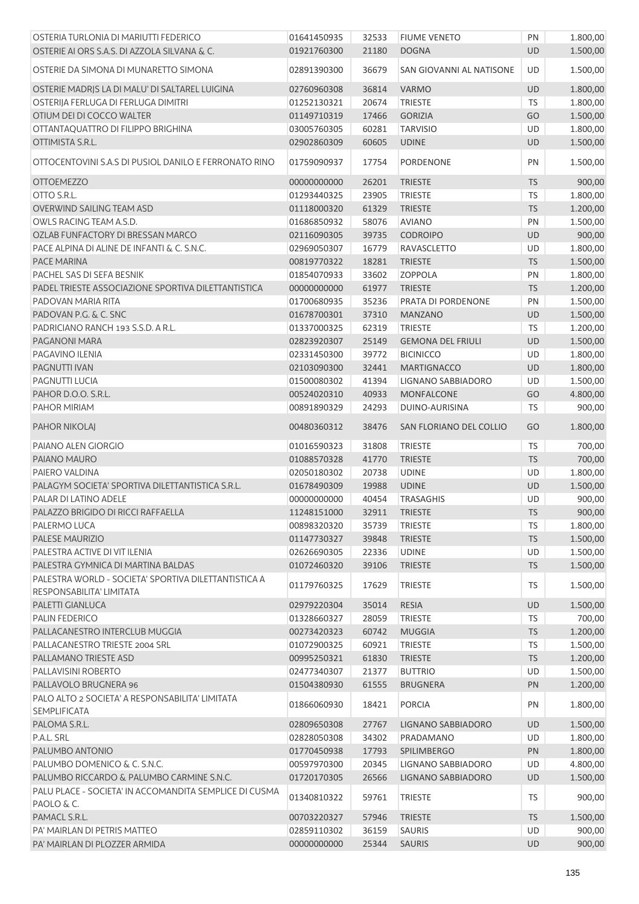| OSTERIA TURLONIA DI MARIUTTI FEDERICO                  | 01641450935 | 32533         | <b>FIUME VENETO</b>      | PN        | 1.800,00 |
|--------------------------------------------------------|-------------|---------------|--------------------------|-----------|----------|
| OSTERIE AI ORS S.A.S. DI AZZOLA SILVANA & C.           | 01921760300 | 21180         | <b>DOGNA</b>             | <b>UD</b> | 1.500,00 |
|                                                        |             |               |                          |           |          |
| OSTERIE DA SIMONA DI MUNARETTO SIMONA                  | 02891390300 | 36679         | SAN GIOVANNI AL NATISONE | UD        | 1.500,00 |
| OSTERIE MADRIS LA DI MALU' DI SALTAREL LUIGINA         | 02760960308 | 36814         | <b>VARMO</b>             | <b>UD</b> | 1.800,00 |
| OSTERIJA FERLUGA DI FERLUGA DIMITRI                    | 01252130321 | 20674         | <b>TRIESTE</b>           | TS        | 1.800,00 |
| OTIUM DEI DI COCCO WALTER                              | 01149710319 | 17466         | <b>GORIZIA</b>           | GO        | 1.500,00 |
| OTTANTAQUATTRO DI FILIPPO BRIGHINA                     | 03005760305 | 60281         | <b>TARVISIO</b>          | <b>UD</b> | 1.800,00 |
| OTTIMISTA S.R.L.                                       | 02902860309 | 60605         | <b>UDINE</b>             | <b>UD</b> | 1.500,00 |
|                                                        |             |               |                          |           |          |
| OTTOCENTOVINI S.A.S DI PUSIOL DANILO E FERRONATO RINO  | 01759090937 | 17754         | <b>PORDENONE</b>         | PN        | 1.500,00 |
| <b>OTTOEMEZZO</b>                                      | 00000000000 | 26201         | <b>TRIESTE</b>           | <b>TS</b> | 900,00   |
| OTTO S.R.L.                                            | 01293440325 | 23905         | <b>TRIESTE</b>           | TS        | 1.800,00 |
| OVERWIND SAILING TEAM ASD                              | 01118000320 | 61329         | <b>TRIESTE</b>           | <b>TS</b> | 1.200,00 |
| OWLS RACING TEAM A.S.D.                                | 01686850932 | 58076         | <b>AVIANO</b>            | PN        | 1.500,00 |
| OZLAB FUNFACTORY DI BRESSAN MARCO                      | 02116090305 | 39735         | <b>CODROIPO</b>          | <b>UD</b> | 900,00   |
| PACE ALPINA DI ALINE DE INFANTI & C. S.N.C.            | 02969050307 | 16779         | <b>RAVASCLETTO</b>       | <b>UD</b> | 1.800,00 |
| PACE MARINA                                            | 00819770322 | 18281         | <b>TRIESTE</b>           | <b>TS</b> | 1.500,00 |
| PACHEL SAS DI SEFA BESNIK                              | 01854070933 | 33602         | <b>ZOPPOLA</b>           | PN        | 1.800,00 |
| PADEL TRIESTE ASSOCIAZIONE SPORTIVA DILETTANTISTICA    | 00000000000 | 61977         | <b>TRIESTE</b>           | <b>TS</b> | 1.200,00 |
| PADOVAN MARIA RITA                                     | 01700680935 | 35236         | PRATA DI PORDENONE       | PN        | 1.500,00 |
| PADOVAN P.G. & C. SNC                                  | 01678700301 | 37310         | <b>MANZANO</b>           | UD        | 1.500,00 |
|                                                        |             |               |                          |           |          |
| PADRICIANO RANCH 193 S.S.D. A R.L.                     | 01337000325 | 62319         | <b>TRIESTE</b>           | TS        | 1.200,00 |
| PAGANONI MARA                                          | 02823920307 | 25149         | <b>GEMONA DEL FRIULI</b> | UD        | 1.500,00 |
| PAGAVINO ILENIA                                        | 02331450300 | 39772         | <b>BICINICCO</b>         | <b>UD</b> | 1.800,00 |
| PAGNUTTI IVAN                                          | 02103090300 | 32441         | <b>MARTIGNACCO</b>       | UD        | 1.800,00 |
| PAGNUTTI LUCIA                                         | 01500080302 | 41394         | LIGNANO SABBIADORO       | UD        | 1.500,00 |
| PAHOR D.O.O. S.R.L.                                    | 00524020310 | 40933         | <b>MONFALCONE</b>        | GO        | 4.800,00 |
| PAHOR MIRIAM                                           | 00891890329 | 24293         | DUINO-AURISINA           | TS        | 900,00   |
| PAHOR NIKOLAJ                                          | 00480360312 | 38476         | SAN FLORIANO DEL COLLIO  | GO        | 1.800,00 |
| PAIANO ALEN GIORGIO                                    | 01016590323 | 31808         | <b>TRIESTE</b>           | TS        | 700,00   |
| PAIANO MAURO                                           | 01088570328 | 41770         | <b>TRIESTE</b>           | <b>TS</b> | 700,00   |
| PAIERO VALDINA                                         | 02050180302 | 20738         | <b>UDINE</b>             | UD        | 1.800,00 |
| PALAGYM SOCIETA' SPORTIVA DILETTANTISTICA S.R.L.       | 01678490309 | 19988         | <b>UDINE</b>             | <b>UD</b> | 1.500,00 |
| PALAR DI LATINO ADELE                                  | 00000000000 | 40454         | <b>TRASAGHIS</b>         | <b>UD</b> | 900,00   |
| PALAZZO BRIGIDO DI RICCI RAFFAELLA                     | 11248151000 | 32911 TRIESTE |                          | <b>TS</b> | 900,00   |
| PALERMO LUCA                                           | 00898320320 | 35739         | <b>TRIESTE</b>           | <b>TS</b> | 1.800,00 |
| PALESE MAURIZIO                                        | 01147730327 | 39848         | <b>TRIESTE</b>           | <b>TS</b> | 1.500,00 |
| PALESTRA ACTIVE DI VIT ILENIA                          | 02626690305 | 22336         | <b>UDINE</b>             | UD        | 1.500,00 |
| PALESTRA GYMNICA DI MARTINA BALDAS                     | 01072460320 | 39106         | <b>TRIESTE</b>           | <b>TS</b> | 1.500,00 |
| PALESTRA WORLD - SOCIETA' SPORTIVA DILETTANTISTICA A   |             |               |                          |           |          |
| RESPONSABILITA' LIMITATA                               | 01179760325 | 17629         | <b>TRIESTE</b>           | <b>TS</b> | 1.500,00 |
| PALETTI GIANLUCA                                       | 02979220304 | 35014         | <b>RESIA</b>             | <b>UD</b> | 1.500,00 |
| PALIN FEDERICO                                         | 01328660327 | 28059         | <b>TRIESTE</b>           | <b>TS</b> | 700,00   |
| PALLACANESTRO INTERCLUB MUGGIA                         | 00273420323 | 60742         | <b>MUGGIA</b>            | <b>TS</b> | 1.200,00 |
| PALLACANESTRO TRIESTE 2004 SRL                         | 01072900325 | 60921         | <b>TRIESTE</b>           | TS        | 1.500,00 |
| PALLAMANO TRIESTE ASD                                  | 00995250321 | 61830         | <b>TRIESTE</b>           | <b>TS</b> | 1.200,00 |
| PALLAVISINI ROBERTO                                    | 02477340307 | 21377         | <b>BUTTRIO</b>           | UD        | 1.500,00 |
| PALLAVOLO BRUGNERA 96                                  | 01504380930 | 61555         | <b>BRUGNERA</b>          | <b>PN</b> | 1.200,00 |
| PALO ALTO 2 SOCIETA' A RESPONSABILITA' LIMITATA        |             |               |                          |           |          |
| <b>SEMPLIFICATA</b>                                    | 01866060930 | 18421         | <b>PORCIA</b>            | PN        | 1.800,00 |
| PALOMA S.R.L.                                          | 02809650308 | 27767         | LIGNANO SABBIADORO       | <b>UD</b> | 1.500,00 |
| P.A.L. SRL                                             | 02828050308 | 34302         | PRADAMANO                | <b>UD</b> | 1.800,00 |
| PALUMBO ANTONIO                                        | 01770450938 | 17793         | SPILIMBERGO              | PN        | 1.800,00 |
| PALUMBO DOMENICO & C. S.N.C.                           | 00597970300 | 20345         | LIGNANO SABBIADORO       | <b>UD</b> | 4.800,00 |
| PALUMBO RICCARDO & PALUMBO CARMINE S.N.C.              | 01720170305 | 26566         | LIGNANO SABBIADORO       | <b>UD</b> | 1.500,00 |
| PALU PLACE - SOCIETA' IN ACCOMANDITA SEMPLICE DI CUSMA |             |               |                          |           |          |
| PAOLO & C.                                             | 01340810322 | 59761         | TRIESTE                  | TS        | 900,00   |
| PAMACL S.R.L.                                          | 00703220327 | 57946         | <b>TRIESTE</b>           | <b>TS</b> | 1.500,00 |
| PA' MAIRLAN DI PETRIS MATTEO                           | 02859110302 | 36159         | SAURIS                   | <b>UD</b> | 900,00   |
| PA' MAIRLAN DI PLOZZER ARMIDA                          | 00000000000 | 25344         | <b>SAURIS</b>            | <b>UD</b> | 900,00   |
|                                                        |             |               |                          |           |          |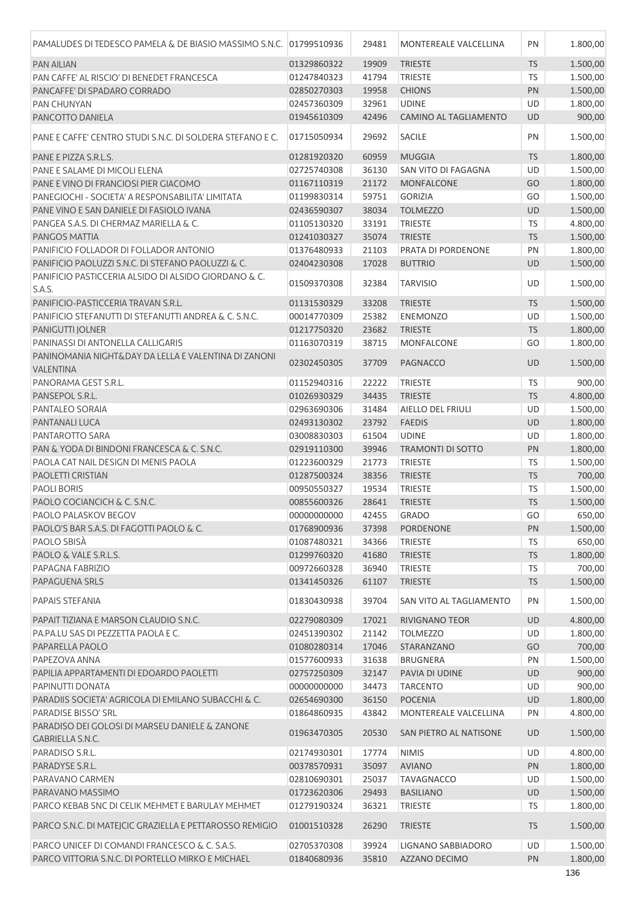| PAMALUDES DI TEDESCO PAMELA & DE BIASIO MASSIMO S.N.C. 101799510936 |             | 29481 | MONTEREALE VALCELLINA    | PN        | 1.800,00 |
|---------------------------------------------------------------------|-------------|-------|--------------------------|-----------|----------|
| <b>PAN AILIAN</b>                                                   | 01329860322 | 19909 | <b>TRIESTE</b>           | <b>TS</b> | 1.500,00 |
| PAN CAFFE' AL RISCIO' DI BENEDET FRANCESCA                          | 01247840323 | 41794 | <b>TRIESTE</b>           | <b>TS</b> | 1.500,00 |
| PANCAFFE' DI SPADARO CORRADO                                        | 02850270303 | 19958 | <b>CHIONS</b>            | PN        | 1.500,00 |
| PAN CHUNYAN                                                         | 02457360309 | 32961 | <b>UDINE</b>             | UD        | 1.800,00 |
| PANCOTTO DANIELA                                                    | 01945610309 | 42496 | CAMINO AL TAGLIAMENTO    | <b>UD</b> | 900,00   |
|                                                                     |             |       |                          |           |          |
| PANE E CAFFE' CENTRO STUDI S.N.C. DI SOLDERA STEFANO E C.           | 01715050934 | 29692 | <b>SACILE</b>            | PN        | 1.500,00 |
| PANE E PIZZA S.R.L.S.                                               | 01281920320 | 60959 | <b>MUGGIA</b>            | <b>TS</b> | 1.800,00 |
| PANE E SALAME DI MICOLI ELENA                                       | 02725740308 | 36130 | SAN VITO DI FAGAGNA      | UD        | 1.500,00 |
| PANE E VINO DI FRANCIOSI PIER GIACOMO                               | 01167110319 | 21172 | <b>MONFALCONE</b>        | GO        | 1.800,00 |
| PANEGIOCHI - SOCIETA' A RESPONSABILITA' LIMITATA                    | 01199830314 | 59751 | <b>GORIZIA</b>           | GO        | 1.500,00 |
| PANE VINO E SAN DANIELE DI FASIOLO IVANA                            | 02436590307 | 38034 | <b>TOLMEZZO</b>          | UD        | 1.500,00 |
| PANGEA S.A.S. DI CHERMAZ MARIELLA & C.                              | 01105130320 | 33191 | <b>TRIESTE</b>           | TS        | 4.800,00 |
| <b>PANGOS MATTIA</b>                                                | 01241030327 | 35074 | <b>TRIESTE</b>           | <b>TS</b> | 1.500,00 |
| PANIFICIO FOLLADOR DI FOLLADOR ANTONIO                              | 01376480933 | 21103 | PRATA DI PORDENONE       | PN        | 1.800,00 |
| PANIFICIO PAOLUZZI S.N.C. DI STEFANO PAOLUZZI & C.                  | 02404230308 | 17028 | <b>BUTTRIO</b>           | <b>UD</b> | 1.500,00 |
| PANIFICIO PASTICCERIA ALSIDO DI ALSIDO GIORDANO & C.                |             |       |                          |           |          |
| S.A.S.                                                              | 01509370308 | 32384 | <b>TARVISIO</b>          | UD        | 1.500,00 |
| PANIFICIO-PASTICCERIA TRAVAN S.R.L.                                 | 01131530329 | 33208 | <b>TRIESTE</b>           | <b>TS</b> | 1.500,00 |
| PANIFICIO STEFANUTTI DI STEFANUTTI ANDREA & C. S.N.C.               | 00014770309 | 25382 | <b>ENEMONZO</b>          | UD        | 1.500,00 |
| <b>PANIGUTTI JOLNER</b>                                             | 01217750320 | 23682 | <b>TRIESTE</b>           | <b>TS</b> | 1.800,00 |
| PANINASSI DI ANTONELLA CALLIGARIS                                   | 01163070319 | 38715 | MONFALCONE               | GO        | 1.800,00 |
| PANINOMANIA NIGHT&DAY DA LELLA E VALENTINA DI ZANONI                | 02302450305 | 37709 | <b>PAGNACCO</b>          | <b>UD</b> | 1.500,00 |
| VALENTINA                                                           |             |       |                          |           |          |
| PANORAMA GEST S.R.L.                                                | 01152940316 | 22222 | <b>TRIESTE</b>           | TS        | 900,00   |
| PANSEPOL S.R.L.                                                     | 01026930329 | 34435 | <b>TRIESTE</b>           | <b>TS</b> | 4.800,00 |
| PANTALEO SORAIA                                                     | 02963690306 | 31484 | AIELLO DEL FRIULI        | UD        | 1.500,00 |
| PANTANALI LUCA                                                      | 02493130302 | 23792 | <b>FAEDIS</b>            | UD        | 1.800,00 |
| PANTAROTTO SARA                                                     | 03008830303 | 61504 | <b>UDINE</b>             | UD        | 1.800,00 |
| PAN & YODA DI BINDONI FRANCESCA & C. S.N.C.                         | 02919110300 | 39946 | <b>TRAMONTI DI SOTTO</b> | PN        | 1.800,00 |
| PAOLA CAT NAIL DESIGN DI MENIS PAOLA                                | 01223600329 | 21773 | <b>TRIESTE</b>           | <b>TS</b> | 1.500,00 |
| <b>PAOLETTI CRISTIAN</b>                                            | 01287500324 | 38356 | <b>TRIESTE</b>           | <b>TS</b> | 700,00   |
| <b>PAOLI BORIS</b>                                                  | 00950550327 | 19534 | <b>TRIESTE</b>           | <b>TS</b> | 1.500,00 |
| PAOLO COCIANCICH & C. S.N.C.                                        | 00855600326 | 28641 | <b>TRIESTE</b>           | <b>TS</b> | 1.500,00 |
| PAOLO PALASKOV BEGOV                                                | 00000000000 | 42455 | GRADO                    | GO        | 650,00   |
| PAOLO'S BAR S.A.S. DI FAGOTTI PAOLO & C.                            | 01768900936 | 37398 | PORDENONE                | PN        | 1.500,00 |
| PAOLO SBISÀ                                                         | 01087480321 | 34366 | <b>TRIESTE</b>           | <b>TS</b> | 650,00   |
| PAOLO & VALE S.R.L.S.                                               | 01299760320 | 41680 | <b>TRIESTE</b>           | <b>TS</b> | 1.800,00 |
| PAPAGNA FABRIZIO                                                    | 00972660328 | 36940 | <b>TRIESTE</b>           | <b>TS</b> | 700,00   |
| PAPAGUENA SRLS                                                      | 01341450326 | 61107 | <b>TRIESTE</b>           | <b>TS</b> | 1.500,00 |
| PAPAIS STEFANIA                                                     | 01830430938 | 39704 | SAN VITO AL TAGLIAMENTO  | PN        | 1.500,00 |
| PAPAIT TIZIANA E MARSON CLAUDIO S.N.C.                              | 02279080309 | 17021 | <b>RIVIGNANO TEOR</b>    | UD        | 4.800,00 |
| PA.PA.LU SAS DI PEZZETTA PAOLA E C.                                 | 02451390302 | 21142 | <b>TOLMEZZO</b>          | UD        | 1.800,00 |
| PAPARELLA PAOLO                                                     | 01080280314 | 17046 | STARANZANO               | GO        | 700,00   |
| PAPEZOVA ANNA                                                       | 01577600933 | 31638 | <b>BRUGNERA</b>          | PN        | 1.500,00 |
| PAPILIA APPARTAMENTI DI EDOARDO PAOLETTI                            | 02757250309 | 32147 | PAVIA DI UDINE           | UD        | 900,00   |
| PAPINUTTI DONATA                                                    | 00000000000 | 34473 | <b>TARCENTO</b>          | <b>UD</b> | 900,00   |
| PARADIIS SOCIETA' AGRICOLA DI EMILANO SUBACCHI & C.                 | 02654690300 | 36150 | <b>POCENIA</b>           | UD        | 1.800,00 |
| <b>PARADISE BISSO' SRL</b>                                          | 01864860935 | 43842 | MONTEREALE VALCELLINA    | PN        | 4.800,00 |
| PARADISO DEI GOLOSI DI MARSEU DANIELE & ZANONE                      |             |       |                          |           |          |
| <b>GABRIELLA S.N.C.</b>                                             | 01963470305 | 20530 | SAN PIETRO AL NATISONE   | <b>UD</b> | 1.500,00 |
| PARADISO S.R.L.                                                     | 02174930301 | 17774 | <b>NIMIS</b>             | UD        | 4.800,00 |
| PARADYSE S.R.L.                                                     | 00378570931 | 35097 | <b>AVIANO</b>            | PN        | 1.800,00 |
| PARAVANO CARMEN                                                     | 02810690301 | 25037 | <b>TAVAGNACCO</b>        | <b>UD</b> | 1.500,00 |
| PARAVANO MASSIMO                                                    | 01723620306 | 29493 | <b>BASILIANO</b>         | <b>UD</b> | 1.500,00 |
| PARCO KEBAB SNC DI CELIK MEHMET E BARULAY MEHMET                    | 01279190324 | 36321 | <b>TRIESTE</b>           | <b>TS</b> | 1.800,00 |
| PARCO S.N.C. DI MATEJCIC GRAZIELLA E PETTAROSSO REMIGIO             | 01001510328 | 26290 | <b>TRIESTE</b>           | <b>TS</b> | 1.500,00 |
| PARCO UNICEF DI COMANDI FRANCESCO & C. S.A.S.                       | 02705370308 | 39924 | LIGNANO SABBIADORO       | UD        | 1.500,00 |
| PARCO VITTORIA S.N.C. DI PORTELLO MIRKO E MICHAEL                   | 01840680936 | 35810 | AZZANO DECIMO            | <b>PN</b> | 1.800,00 |
|                                                                     |             |       |                          |           | 136      |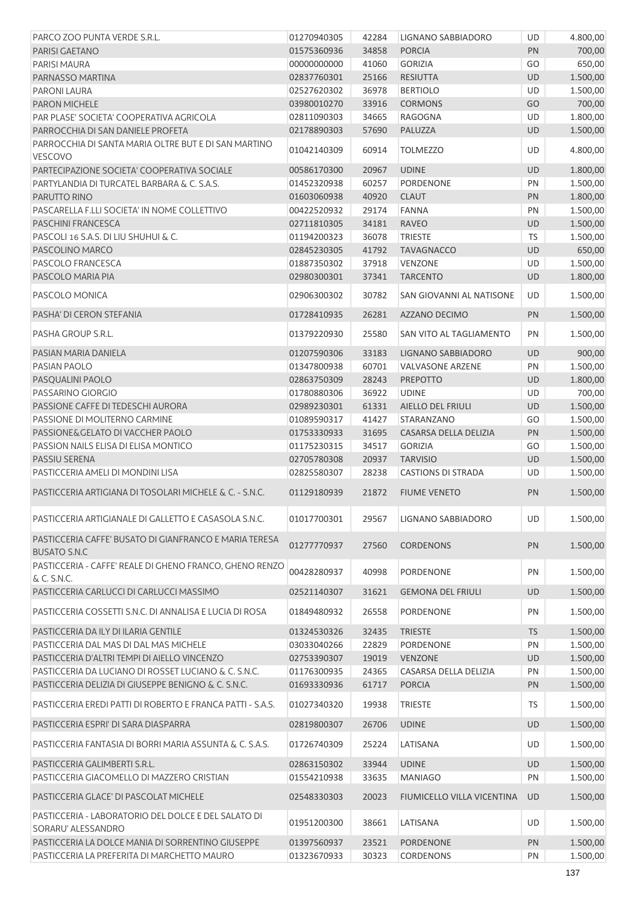| PARCO ZOO PUNTA VERDE S.R.L.                                                                                      | 01270940305                | 42284          | LIGNANO SABBIADORO              | UD              | 4.800,00             |
|-------------------------------------------------------------------------------------------------------------------|----------------------------|----------------|---------------------------------|-----------------|----------------------|
| PARISI GAETANO                                                                                                    | 01575360936                | 34858          | <b>PORCIA</b>                   | PN              | 700,00               |
| PARISI MAURA                                                                                                      | 00000000000                | 41060          | <b>GORIZIA</b>                  | GO              | 650,00               |
| PARNASSO MARTINA                                                                                                  | 02837760301                | 25166          | <b>RESIUTTA</b>                 | UD              | 1.500,00             |
| PARONI LAURA                                                                                                      | 02527620302                | 36978          | <b>BERTIOLO</b>                 | UD              | 1.500,00             |
| <b>PARON MICHELE</b>                                                                                              | 03980010270                | 33916          | <b>CORMONS</b>                  | GO              | 700,00               |
| PAR PLASE' SOCIETA' COOPERATIVA AGRICOLA                                                                          | 02811090303                | 34665          | <b>RAGOGNA</b>                  | UD              | 1.800,00             |
| PARROCCHIA DI SAN DANIELE PROFETA                                                                                 | 02178890303                | 57690          | PALUZZA                         | <b>UD</b>       | 1.500,00             |
| PARROCCHIA DI SANTA MARIA OLTRE BUT E DI SAN MARTINO<br>VESCOVO                                                   | 01042140309                | 60914          | <b>TOLMEZZO</b>                 | UD              | 4.800,00             |
| PARTECIPAZIONE SOCIETA' COOPERATIVA SOCIALE                                                                       | 00586170300                | 20967          | <b>UDINE</b>                    | UD              | 1.800,00             |
|                                                                                                                   |                            |                |                                 |                 |                      |
| PARTYLANDIA DI TURCATEL BARBARA & C. S.A.S.                                                                       | 01452320938                | 60257          | PORDENONE                       | PN              | 1.500,00             |
| PARUTTO RINO                                                                                                      | 01603060938                | 40920          | <b>CLAUT</b>                    | PN              | 1.800,00             |
| PASCARELLA F.LLI SOCIETA' IN NOME COLLETTIVO                                                                      | 00422520932                | 29174          | <b>FANNA</b>                    | PN              | 1.500,00             |
| PASCHINI FRANCESCA                                                                                                | 02711810305                | 34181          | <b>RAVEO</b>                    | UD              | 1.500,00             |
| PASCOLI 16 S.A.S. DI LIU SHUHUI & C.                                                                              | 01194200323                | 36078          | <b>TRIESTE</b>                  | <b>TS</b>       | 1.500,00             |
| PASCOLINO MARCO                                                                                                   | 02845230305                | 41792          | <b>TAVAGNACCO</b>               | <b>UD</b>       | 650,00               |
| PASCOLO FRANCESCA                                                                                                 | 01887350302                | 37918          | VENZONE                         | UD              | 1.500,00             |
| PASCOLO MARIA PIA                                                                                                 | 02980300301                | 37341          | <b>TARCENTO</b>                 | <b>UD</b>       | 1.800,00             |
| PASCOLO MONICA                                                                                                    | 02906300302                | 30782          | SAN GIOVANNI AL NATISONE        | UD              | 1.500,00             |
| PASHA' DI CERON STEFANIA                                                                                          | 01728410935                | 26281          | AZZANO DECIMO                   | PN              | 1.500,00             |
| PASHA GROUP S.R.L.                                                                                                | 01379220930                | 25580          | SAN VITO AL TAGLIAMENTO         | PN              | 1.500,00             |
| PASIAN MARIA DANIELA                                                                                              | 01207590306                | 33183          | LIGNANO SABBIADORO              | UD              | 900,00               |
| PASIAN PAOLO                                                                                                      | 01347800938                | 60701          | <b>VALVASONE ARZENE</b>         | PN              | 1.500,00             |
| PASQUALINI PAOLO                                                                                                  | 02863750309                | 28243          | <b>PREPOTTO</b>                 | UD              | 1.800,00             |
| PASSARINO GIORGIO                                                                                                 | 01780880306                | 36922          | <b>UDINE</b>                    | UD              | 700,00               |
| PASSIONE CAFFE DI TEDESCHI AURORA                                                                                 | 02989230301                | 61331          | AIELLO DEL FRIULI               | <b>UD</b>       | 1.500,00             |
| PASSIONE DI MOLITERNO CARMINE                                                                                     | 01089590317                | 41427          | STARANZANO                      | GO              | 1.500,00             |
| PASSIONE& GELATO DI VACCHER PAOLO                                                                                 | 01753330933                | 31695          | CASARSA DELLA DELIZIA           | PN              | 1.500,00             |
| PASSION NAILS ELISA DI ELISA MONTICO                                                                              | 01175230315                | 34517          | <b>GORIZIA</b>                  | GO              | 1.500,00             |
| PASSIU SERENA                                                                                                     | 02705780308                | 20937          | <b>TARVISIO</b>                 | UD              | 1.500,00             |
| PASTICCERIA AMELI DI MONDINI LISA                                                                                 | 02825580307                | 28238          | <b>CASTIONS DI STRADA</b>       | UD              | 1.500,00             |
|                                                                                                                   |                            |                |                                 |                 |                      |
| PASTICCERIA ARTIGIANA DI TOSOLARI MICHELE & C. - S.N.C.                                                           | 01129180939                | 21872          | <b>FIUME VENETO</b>             | PN              | 1.500,00             |
| PASTICCERIA ARTIGIANALE DI GALLETTO E CASASOLA S.N.C.                                                             | 01017700301                | 29567          | LIGNANO SABBIADORO              | UD              | 1.500,00             |
| PASTICCERIA CAFFE' BUSATO DI GIANFRANCO E MARIA TERESA<br><b>BUSATO S.N.C</b>                                     | 01277770937                | 27560          | <b>CORDENONS</b>                | PN              | 1.500,00             |
| PASTICCERIA - CAFFE' REALE DI GHENO FRANCO, GHENO RENZO<br>& C. S.N.C.                                            | 00428280937                | 40998          | PORDENONE                       | PN              | 1.500,00             |
| PASTICCERIA CARLUCCI DI CARLUCCI MASSIMO                                                                          | 02521140307                | 31621          | <b>GEMONA DEL FRIULI</b>        | <b>UD</b>       | 1.500,00             |
| PASTICCERIA COSSETTI S.N.C. DI ANNALISA E LUCIA DI ROSA                                                           | 01849480932                | 26558          | PORDENONE                       | PN              | 1.500,00             |
| PASTICCERIA DA ILY DI ILARIA GENTILE                                                                              | 01324530326                | 32435          | <b>TRIESTE</b>                  | <b>TS</b>       | 1.500,00             |
| PASTICCERIA DAL MAS DI DAL MAS MICHELE                                                                            | 03033040266                | 22829          | <b>PORDENONE</b>                | PN              | 1.500,00             |
|                                                                                                                   |                            |                |                                 |                 |                      |
| PASTICCERIA D'ALTRI TEMPI DI AIELLO VINCENZO                                                                      | 02753390307                | 19019          | <b>VENZONE</b>                  | UD              | 1.500,00             |
| PASTICCERIA DA LUCIANO DI ROSSET LUCIANO & C. S.N.C.                                                              | 01176300935                | 24365          | CASARSA DELLA DELIZIA           | PN              | 1.500,00             |
| PASTICCERIA DELIZIA DI GIUSEPPE BENIGNO & C. S.N.C.<br>PASTICCERIA EREDI PATTI DI ROBERTO E FRANCA PATTI - S.A.S. | 01693330936<br>01027340320 | 61717<br>19938 | <b>PORCIA</b><br><b>TRIESTE</b> | PN<br><b>TS</b> | 1.500,00<br>1.500,00 |
| PASTICCERIA ESPRI' DI SARA DIASPARRA                                                                              | 02819800307                | 26706          | <b>UDINE</b>                    | UD              | 1.500,00             |
|                                                                                                                   |                            |                |                                 |                 |                      |
| PASTICCERIA FANTASIA DI BORRI MARIA ASSUNTA & C. S.A.S.                                                           | 01726740309                | 25224          | LATISANA                        | UD              | 1.500,00             |
| PASTICCERIA GALIMBERTI S.R.L.                                                                                     | 02863150302                | 33944          | <b>UDINE</b>                    | UD              | 1.500,00             |
| PASTICCERIA GIACOMELLO DI MAZZERO CRISTIAN                                                                        | 01554210938                | 33635          | <b>MANIAGO</b>                  | PN              | 1.500,00             |
| PASTICCERIA GLACE' DI PASCOLAT MICHELE                                                                            | 02548330303                | 20023          | FIUMICELLO VILLA VICENTINA      | <b>UD</b>       | 1.500,00             |
| PASTICCERIA - LABORATORIO DEL DOLCE E DEL SALATO DI<br>SORARU' ALESSANDRO                                         | 01951200300                | 38661          | LATISANA                        | UD              | 1.500,00             |
| PASTICCERIA LA DOLCE MANIA DI SORRENTINO GIUSEPPE                                                                 | 01397560937                | 23521          | <b>PORDENONE</b>                | PN              | 1.500,00             |
| PASTICCERIA LA PREFERITA DI MARCHETTO MAURO                                                                       | 01323670933                | 30323          | CORDENONS                       | PN              | 1.500,00             |
|                                                                                                                   |                            |                |                                 |                 |                      |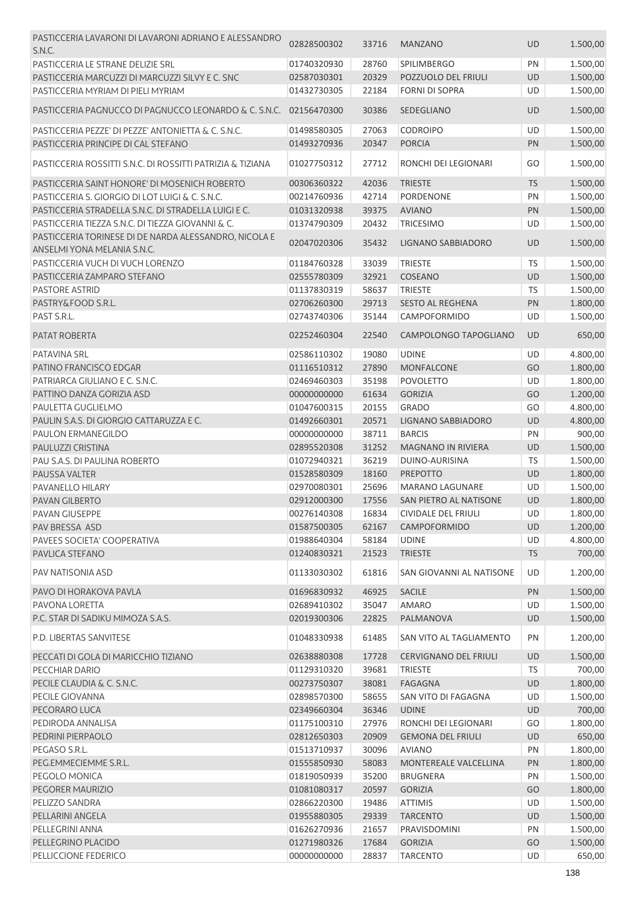| PASTICCERIA LAVARONI DI LAVARONI ADRIANO E ALESSANDRO             | 02828500302 | 33716 | <b>MANZANO</b>                                 | <b>UD</b> | 1.500,00 |
|-------------------------------------------------------------------|-------------|-------|------------------------------------------------|-----------|----------|
| S.N.C.                                                            |             |       |                                                |           |          |
| PASTICCERIA LE STRANE DELIZIE SRL                                 | 01740320930 | 28760 | <b>SPILIMBERGO</b>                             | PN        | 1.500,00 |
| PASTICCERIA MARCUZZI DI MARCUZZI SILVY E C. SNC                   | 02587030301 | 20329 | POZZUOLO DEL FRIULI                            | UD        | 1.500,00 |
| PASTICCERIA MYRIAM DI PIELI MYRIAM                                | 01432730305 | 22184 | <b>FORNI DI SOPRA</b>                          | <b>UD</b> | 1.500,00 |
| PASTICCERIA PAGNUCCO DI PAGNUCCO LEONARDO & C. S.N.C. 02156470300 |             | 30386 | SEDEGLIANO                                     | <b>UD</b> | 1.500,00 |
| PASTICCERIA PEZZE' DI PEZZE' ANTONIETTA & C. S.N.C.               | 01498580305 | 27063 | <b>CODROIPO</b>                                | <b>UD</b> | 1.500,00 |
| PASTICCERIA PRINCIPE DI CAL STEFANO                               | 01493270936 | 20347 | <b>PORCIA</b>                                  | PN        | 1.500,00 |
| PASTICCERIA ROSSITTI S.N.C. DI ROSSITTI PATRIZIA & TIZIANA        | 01027750312 | 27712 | RONCHI DEI LEGIONARI                           | GO        | 1.500,00 |
| PASTICCERIA SAINT HONORE' DI MOSENICH ROBERTO                     | 00306360322 | 42036 | <b>TRIESTE</b>                                 | <b>TS</b> | 1.500,00 |
| PASTICCERIA S. GIORGIO DI LOT LUIGI & C. S.N.C.                   | 00214760936 | 42714 | <b>PORDENONE</b>                               | PN        | 1.500,00 |
| PASTICCERIA STRADELLA S.N.C. DI STRADELLA LUIGI E C.              | 01031320938 | 39375 | <b>AVIANO</b>                                  | PN        | 1.500,00 |
| PASTICCERIA TIEZZA S.N.C. DI TIEZZA GIOVANNI & C.                 | 01374790309 | 20432 | <b>TRICESIMO</b>                               | UD        | 1.500,00 |
| PASTICCERIA TORINESE DI DE NARDA ALESSANDRO, NICOLA E             |             |       |                                                |           |          |
| ANSELMI YONA MELANIA S.N.C.                                       | 02047020306 | 35432 | LIGNANO SABBIADORO                             | <b>UD</b> | 1.500,00 |
| PASTICCERIA VUCH DI VUCH LORENZO                                  | 01184760328 | 33039 | <b>TRIESTE</b>                                 | TS        | 1.500,00 |
| PASTICCERIA ZAMPARO STEFANO                                       | 02555780309 | 32921 | COSEANO                                        | <b>UD</b> | 1.500,00 |
| <b>PASTORE ASTRID</b>                                             | 01137830319 | 58637 | <b>TRIESTE</b>                                 | <b>TS</b> | 1.500,00 |
| PASTRY&FOOD S.R.L.                                                | 02706260300 | 29713 | <b>SESTO AL REGHENA</b>                        | PN        | 1.800,00 |
| PAST S.R.L.                                                       | 02743740306 | 35144 | CAMPOFORMIDO                                   | UD        | 1.500,00 |
| PATAT ROBERTA                                                     | 02252460304 | 22540 | CAMPOLONGO TAPOGLIANO                          | <b>UD</b> | 650,00   |
|                                                                   |             |       |                                                |           |          |
| PATAVINA SRL                                                      | 02586110302 | 19080 | <b>UDINE</b>                                   | UD        | 4.800,00 |
| PATINO FRANCISCO EDGAR                                            | 01116510312 | 27890 | MONFALCONE                                     | GO        | 1.800,00 |
| PATRIARCA GIULIANO E C. S.N.C.                                    | 02469460303 | 35198 | <b>POVOLETTO</b>                               | UD        | 1.800,00 |
| PATTINO DANZA GORIZIA ASD                                         | 00000000000 | 61634 | <b>GORIZIA</b>                                 | GO        | 1.200,00 |
| PAULETTA GUGLIELMO                                                | 01047600315 | 20155 | <b>GRADO</b>                                   | GO        | 4.800,00 |
| PAULIN S.A.S. DI GIORGIO CATTARUZZA E C.                          | 01492660301 | 20571 | LIGNANO SABBIADORO                             | UD        | 4.800,00 |
| PAULON ERMANEGILDO                                                | 00000000000 | 38711 | <b>BARCIS</b>                                  | PN        | 900,00   |
| PAULUZZI CRISTINA                                                 | 02895520308 | 31252 | MAGNANO IN RIVIERA                             | UD        | 1.500,00 |
| PAU S.A.S. DI PAULINA ROBERTO                                     | 01072940321 | 36219 | DUINO-AURISINA                                 | <b>TS</b> | 1.500,00 |
| <b>PAUSSA VALTER</b>                                              | 01528580309 | 18160 | <b>PREPOTTO</b>                                | UD        | 1.800,00 |
| PAVANELLO HILARY                                                  | 02970080301 | 25696 | <b>MARANO LAGUNARE</b>                         | <b>UD</b> | 1.500,00 |
| <b>PAVAN GILBERTO</b>                                             | 02912000300 | 17556 | SAN PIETRO AL NATISONE                         | <b>UD</b> | 1.800,00 |
| PAVAN GIUSEPPE                                                    | 00276140308 | 16834 | CIVIDALE DEL FRIULI                            | UD        | 1.800,00 |
| PAV BRESSA ASD                                                    | 01587500305 | 62167 | CAMPOFORMIDO                                   | <b>UD</b> | 1.200,00 |
| PAVEES SOCIETA' COOPERATIVA                                       | 01988640304 | 58184 | <b>UDINE</b>                                   | UD        | 4.800,00 |
| PAVLICA STEFANO                                                   | 01240830321 | 21523 | <b>TRIESTE</b>                                 | <b>TS</b> | 700,00   |
| PAV NATISONIA ASD                                                 | 01133030302 | 61816 | SAN GIOVANNI AL NATISONE                       | UD.       | 1.200,00 |
| PAVO DI HORAKOVA PAVLA                                            | 01696830932 | 46925 | <b>SACILE</b>                                  | <b>PN</b> | 1.500,00 |
| PAVONA LORETTA                                                    | 02689410302 | 35047 | AMARO                                          | UD        | 1.500,00 |
| P.C. STAR DI SADIKU MIMOZA S.A.S.                                 | 02019300306 | 22825 | PALMANOVA                                      | <b>UD</b> | 1.500,00 |
| P.D. LIBERTAS SANVITESE                                           | 01048330938 | 61485 | SAN VITO AL TAGLIAMENTO                        | PN        | 1.200,00 |
| PECCATI DI GOLA DI MARICCHIO TIZIANO                              | 02638880308 | 17728 |                                                | <b>UD</b> | 1.500,00 |
|                                                                   | 01129310320 |       | <b>CERVIGNANO DEL FRIULI</b><br><b>TRIESTE</b> | TS        |          |
| PECCHIAR DARIO                                                    |             | 39681 |                                                |           | 700,00   |
| PECILE CLAUDIA & C. S.N.C.                                        | 00273750307 | 38081 | <b>FAGAGNA</b>                                 | <b>UD</b> | 1.800,00 |
| PECILE GIOVANNA                                                   | 02898570300 | 58655 | SAN VITO DI FAGAGNA                            | UD        | 1.500,00 |
| PECORARO LUCA                                                     | 02349660304 | 36346 | <b>UDINE</b>                                   | <b>UD</b> | 700,00   |
| PEDIRODA ANNALISA                                                 | 01175100310 | 27976 | RONCHI DEI LEGIONARI                           | GO        | 1.800,00 |
| PEDRINI PIERPAOLO                                                 | 02812650303 | 20909 | <b>GEMONA DEL FRIULI</b>                       | <b>UD</b> | 650,00   |
| PEGASO S.R.L.                                                     | 01513710937 | 30096 | <b>AVIANO</b>                                  | PN        | 1.800,00 |
| PEG.EMMECIEMME S.R.L.                                             | 01555850930 | 58083 | MONTEREALE VALCELLINA                          | <b>PN</b> | 1.800,00 |
| PEGOLO MONICA                                                     | 01819050939 | 35200 | <b>BRUGNERA</b>                                | PN        | 1.500,00 |
| PEGORER MAURIZIO                                                  | 01081080317 | 20597 | <b>GORIZIA</b>                                 | GO        | 1.800,00 |
| PELIZZO SANDRA                                                    | 02866220300 | 19486 | <b>ATTIMIS</b>                                 | UD        | 1.500,00 |
| PELLARINI ANGELA                                                  | 01955880305 | 29339 | <b>TARCENTO</b>                                | <b>UD</b> | 1.500,00 |
| PELLEGRINI ANNA                                                   | 01626270936 | 21657 | PRAVISDOMINI                                   | PN        | 1.500,00 |
| PELLEGRINO PLACIDO                                                | 01271980326 | 17684 | <b>GORIZIA</b>                                 | GO        | 1.500,00 |
| PELLICCIONE FEDERICO                                              | 00000000000 | 28837 | <b>TARCENTO</b>                                | UD        | 650,00   |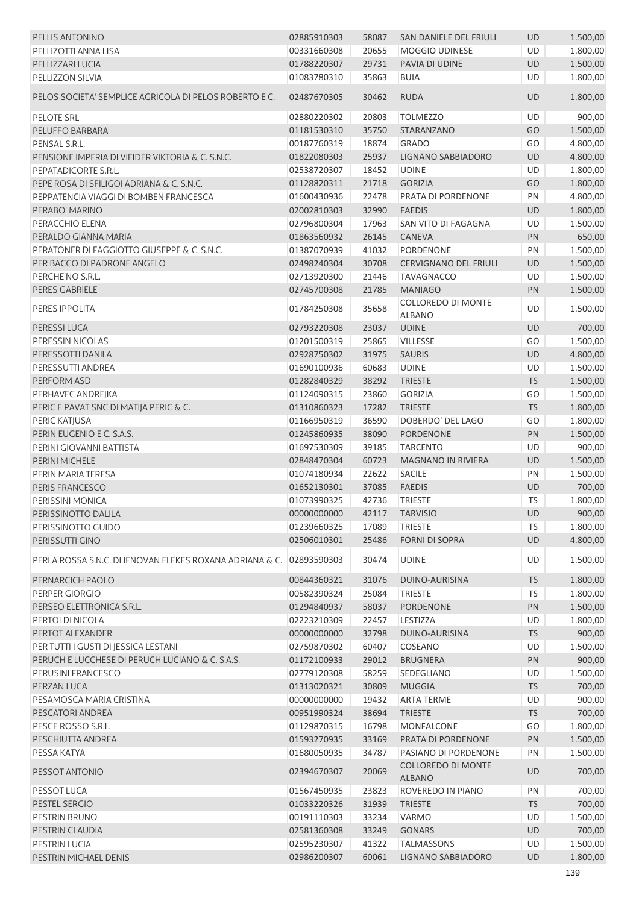| PELLIS ANTONINO                                          | 02885910303                  | 58087 | SAN DANIELE DEL FRIULI                     | <b>UD</b> | 1.500,00 |
|----------------------------------------------------------|------------------------------|-------|--------------------------------------------|-----------|----------|
| PELLIZOTTI ANNA LISA                                     | 00331660308                  | 20655 | <b>MOGGIO UDINESE</b>                      | UD        | 1.800,00 |
| PELLIZZARI LUCIA                                         | 01788220307                  | 29731 | PAVIA DI UDINE                             | <b>UD</b> | 1.500,00 |
| PELLIZZON SILVIA                                         | 01083780310                  | 35863 | <b>BUIA</b>                                | <b>UD</b> | 1.800,00 |
| PELOS SOCIETA' SEMPLICE AGRICOLA DI PELOS ROBERTO E C.   | 02487670305                  | 30462 | <b>RUDA</b>                                | <b>UD</b> | 1.800,00 |
| PELOTE SRL                                               | 02880220302                  | 20803 | <b>TOLMEZZO</b>                            | <b>UD</b> | 900,00   |
| PELUFFO BARBARA                                          | 01181530310                  | 35750 | STARANZANO                                 | GO        | 1.500,00 |
| PENSAL S.R.L.                                            | 00187760319                  | 18874 | <b>GRADO</b>                               | GO        | 4.800,00 |
| PENSIONE IMPERIA DI VIEIDER VIKTORIA & C. S.N.C.         | 01822080303                  | 25937 | LIGNANO SABBIADORO                         | <b>UD</b> | 4.800,00 |
| PEPATADICORTE S.R.L.                                     | 02538720307                  | 18452 | <b>UDINE</b>                               | <b>UD</b> | 1.800,00 |
| PEPE ROSA DI SFILIGOI ADRIANA & C. S.N.C.                | 01128820311                  | 21718 | <b>GORIZIA</b>                             | GO        | 1.800,00 |
| PEPPATENCIA VIAGGI DI BOMBEN FRANCESCA                   | 01600430936                  | 22478 | PRATA DI PORDENONE                         | PN        | 4.800,00 |
| PERABO' MARINO                                           | 02002810303                  | 32990 | <b>FAEDIS</b>                              | <b>UD</b> |          |
|                                                          |                              |       |                                            |           | 1.800,00 |
| PERACCHIO ELENA                                          | 02796800304                  | 17963 | SAN VITO DI FAGAGNA                        | UD        | 1.500,00 |
| PERALDO GIANNA MARIA                                     | 01863560932                  | 26145 | CANEVA                                     | PN        | 650,00   |
| PERATONER DI FAGGIOTTO GIUSEPPE & C. S.N.C.              | 01387070939                  | 41032 | PORDENONE                                  | PN        | 1.500,00 |
| PER BACCO DI PADRONE ANGELO                              | 02498240304                  | 30708 | <b>CERVIGNANO DEL FRIULI</b>               | <b>UD</b> | 1.500,00 |
| PERCHE'NO S.R.L.                                         | 02713920300                  | 21446 | <b>TAVAGNACCO</b>                          | UD        | 1.500,00 |
| <b>PERES GABRIELE</b>                                    | 02745700308                  | 21785 | <b>MANIAGO</b>                             | PN        | 1.500,00 |
| PERES IPPOLITA                                           | 01784250308                  | 35658 | <b>COLLOREDO DI MONTE</b><br><b>ALBANO</b> | UD        | 1.500,00 |
| PERESSI LUCA                                             | 02793220308                  | 23037 | <b>UDINE</b>                               | UD        | 700,00   |
| PERESSIN NICOLAS                                         | 01201500319                  | 25865 | VILLESSE                                   | GO        | 1.500,00 |
| PERESSOTTI DANILA                                        | 02928750302                  | 31975 | <b>SAURIS</b>                              | <b>UD</b> | 4.800,00 |
| PERESSUTTI ANDREA                                        | 01690100936                  | 60683 | <b>UDINE</b>                               | UD        | 1.500,00 |
| PERFORM ASD                                              | 01282840329                  | 38292 | <b>TRIESTE</b>                             | <b>TS</b> | 1.500,00 |
| PERHAVEC ANDREJKA                                        | 01124090315                  | 23860 | <b>GORIZIA</b>                             | GO        | 1.500,00 |
| PERIC E PAVAT SNC DI MATIJA PERIC & C.                   | 01310860323                  | 17282 | <b>TRIESTE</b>                             | <b>TS</b> | 1.800,00 |
| PERIC KATJUSA                                            | 01166950319                  | 36590 | DOBERDO' DEL LAGO                          | GO        | 1.800,00 |
| PERIN EUGENIO E C. S.A.S.                                | 01245860935                  | 38090 | PORDENONE                                  | PN        | 1.500,00 |
| PERINI GIOVANNI BATTISTA                                 | 01697530309                  | 39185 | <b>TARCENTO</b>                            | UD        | 900,00   |
| PERINI MICHELE                                           | 02848470304                  | 60723 | <b>MAGNANO IN RIVIERA</b>                  | <b>UD</b> | 1.500,00 |
| PERIN MARIA TERESA                                       | 01074180934                  | 22622 | <b>SACILE</b>                              | PN        | 1.500,00 |
| PERIS FRANCESCO                                          | 01652130301                  | 37085 | <b>FAEDIS</b>                              | <b>UD</b> | 700,00   |
|                                                          | 01073990325                  |       |                                            |           |          |
| PERISSINI MONICA                                         |                              | 42736 | <b>TRIESTE</b>                             | TS        | 1.800,00 |
| PERISSINOTTO DALILA                                      | 00000000000  42117  TARVISIO |       |                                            | UD        | 900,00   |
| PERISSINOTTO GUIDO                                       | 01239660325                  | 17089 | <b>TRIESTE</b>                             | TS.       | 1.800,00 |
| PERISSUTTI GINO                                          | 02506010301                  | 25486 | <b>FORNI DI SOPRA</b>                      | <b>UD</b> | 4.800,00 |
| PERLA ROSSA S.N.C. DI IENOVAN ELEKES ROXANA ADRIANA & C. | 02893590303                  | 30474 | <b>UDINE</b>                               | UD        | 1.500,00 |
| PERNARCICH PAOLO                                         | 00844360321                  | 31076 | DUINO-AURISINA                             | <b>TS</b> | 1.800,00 |
| PERPER GIORGIO                                           | 00582390324                  | 25084 | <b>TRIESTE</b>                             | <b>TS</b> | 1.800,00 |
| PERSEO ELETTRONICA S.R.L.                                | 01294840937                  | 58037 | <b>PORDENONE</b>                           | PN        | 1.500,00 |
| PERTOLDI NICOLA                                          | 02223210309                  | 22457 | LESTIZZA                                   | UD        | 1.800,00 |
| PERTOT ALEXANDER                                         | 00000000000                  | 32798 | DUINO-AURISINA                             | <b>TS</b> | 900,00   |
| PER TUTTI I GUSTI DI JESSICA LESTANI                     | 02759870302                  | 60407 | COSEANO                                    | <b>UD</b> | 1.500,00 |
| PERUCH E LUCCHESE DI PERUCH LUCIANO & C. S.A.S.          | 01172100933                  | 29012 | <b>BRUGNERA</b>                            | PN        | 900,00   |
| PERUSINI FRANCESCO                                       | 02779120308                  | 58259 | SEDEGLIANO                                 | UD        | 1.500,00 |
| PERZAN LUCA                                              | 01313020321                  | 30809 | <b>MUGGIA</b>                              | <b>TS</b> | 700,00   |
| PESAMOSCA MARIA CRISTINA                                 | 00000000000                  | 19432 | <b>ARTA TERME</b>                          | <b>UD</b> | 900,00   |
| PESCATORI ANDREA                                         | 00951990324                  | 38694 | <b>TRIESTE</b>                             | <b>TS</b> | 700,00   |
| PESCE ROSSO S.R.L.                                       | 01129870315                  | 16798 | <b>MONFALCONE</b>                          | GO        | 1.800,00 |
| PESCHIUTTA ANDREA                                        | 01593270935                  | 33169 | PRATA DI PORDENONE                         | PN        | 1.500,00 |
| PESSA KATYA                                              | 01680050935                  | 34787 | PASIANO DI PORDENONE                       | PN        | 1.500,00 |
| PESSOT ANTONIO                                           | 02394670307                  | 20069 | <b>COLLOREDO DI MONTE</b><br><b>ALBANO</b> | <b>UD</b> | 700,00   |
| PESSOT LUCA                                              | 01567450935                  | 23823 | ROVEREDO IN PIANO                          | PN        | 700,00   |
| PESTEL SERGIO                                            | 01033220326                  | 31939 | <b>TRIESTE</b>                             | <b>TS</b> | 700,00   |
| PESTRIN BRUNO                                            | 00191110303                  | 33234 | VARMO                                      | UD        | 1.500,00 |
| PESTRIN CLAUDIA                                          | 02581360308                  | 33249 | <b>GONARS</b>                              | UD        | 700,00   |
| PESTRIN LUCIA                                            | 02595230307                  | 41322 | <b>TALMASSONS</b>                          | UD        | 1.500,00 |
| PESTRIN MICHAEL DENIS                                    |                              |       |                                            |           |          |
|                                                          | 02986200307                  | 60061 | LIGNANO SABBIADORO                         | UD        | 1.800,00 |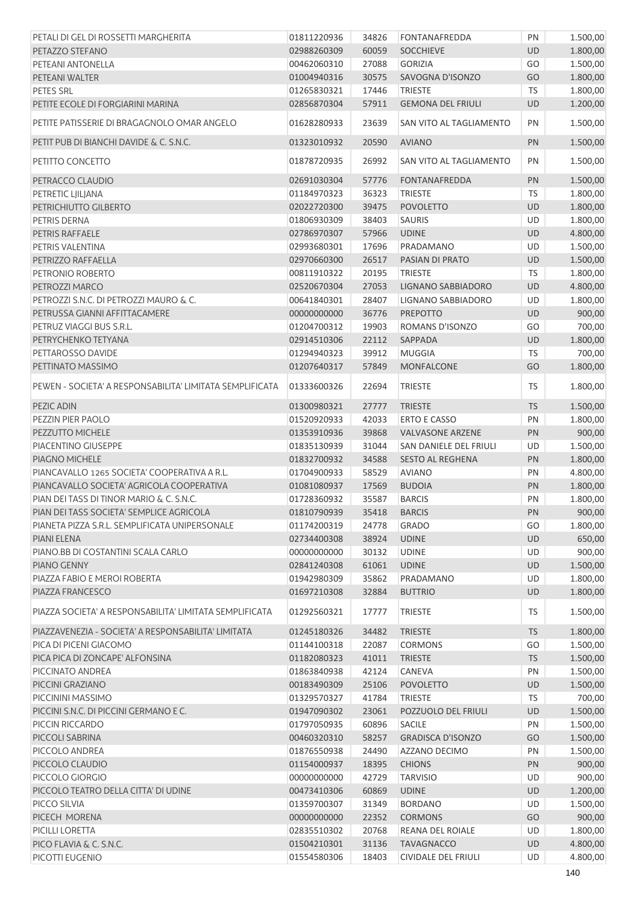| PETALI DI GEL DI ROSSETTI MARGHERITA                     | 01811220936              | 34826 | <b>FONTANAFREDDA</b>       | PN        | 1.500,00 |
|----------------------------------------------------------|--------------------------|-------|----------------------------|-----------|----------|
| PETAZZO STEFANO                                          | 02988260309              | 60059 | <b>SOCCHIEVE</b>           | <b>UD</b> | 1.800,00 |
| PETEANI ANTONELLA                                        | 00462060310              | 27088 | <b>GORIZIA</b>             | GO        | 1.500,00 |
| PETEANI WALTER                                           | 01004940316              | 30575 | SAVOGNA D'ISONZO           | GO        | 1.800,00 |
| PETES SRL                                                | 01265830321              | 17446 | <b>TRIESTE</b>             | TS        | 1.800,00 |
| PETITE ECOLE DI FORGIARINI MARINA                        | 02856870304              | 57911 | <b>GEMONA DEL FRIULI</b>   | UD        | 1.200,00 |
| PETITE PATISSERIE DI BRAGAGNOLO OMAR ANGELO              | 01628280933              | 23639 | SAN VITO AL TAGLIAMENTO    | PN        | 1.500,00 |
| PETIT PUB DI BIANCHI DAVIDE & C. S.N.C.                  | 01323010932              | 20590 | <b>AVIANO</b>              | PN        | 1.500,00 |
| PETITTO CONCETTO                                         | 01878720935              | 26992 | SAN VITO AL TAGLIAMENTO    | PN        | 1.500,00 |
| PETRACCO CLAUDIO                                         | 02691030304              | 57776 | <b>FONTANAFREDDA</b>       | PN        | 1.500,00 |
| PETRETIC LJILJANA                                        | 01184970323              | 36323 | <b>TRIESTE</b>             | TS        | 1.800,00 |
| PETRICHIUTTO GILBERTO                                    | 02022720300              | 39475 | <b>POVOLETTO</b>           | UD        | 1.800,00 |
| PETRIS DERNA                                             | 01806930309              | 38403 | <b>SAURIS</b>              | UD        | 1.800,00 |
| PETRIS RAFFAELE                                          | 02786970307              | 57966 | <b>UDINE</b>               | UD        | 4.800,00 |
| PETRIS VALENTINA                                         | 02993680301              | 17696 | PRADAMANO                  | UD        | 1.500,00 |
| PETRIZZO RAFFAELLA                                       | 02970660300              | 26517 | PASIAN DI PRATO            | UD        | 1.500,00 |
| PETRONIO ROBERTO                                         | 00811910322              | 20195 | <b>TRIESTE</b>             | TS        | 1.800,00 |
| PETROZZI MARCO                                           | 02520670304              | 27053 | LIGNANO SABBIADORO         | <b>UD</b> | 4.800,00 |
| PETROZZI S.N.C. DI PETROZZI MAURO & C.                   | 00641840301              | 28407 | LIGNANO SABBIADORO         | UD        | 1.800,00 |
| PETRUSSA GIANNI AFFITTACAMERE                            | 00000000000              | 36776 | <b>PREPOTTO</b>            | UD        | 900,00   |
| PETRUZ VIAGGI BUS S.R.L.                                 | 01204700312              | 19903 | ROMANS D'ISONZO            | GO        | 700,00   |
| PETRYCHENKO TETYANA                                      | 02914510306              | 22112 | SAPPADA                    | <b>UD</b> | 1.800,00 |
| PETTAROSSO DAVIDE                                        | 01294940323              | 39912 | <b>MUGGIA</b>              | <b>TS</b> | 700,00   |
| PETTINATO MASSIMO                                        | 01207640317              | 57849 | <b>MONFALCONE</b>          | GO        | 1.800,00 |
|                                                          |                          |       |                            |           |          |
| PEWEN - SOCIETA' A RESPONSABILITA' LIMITATA SEMPLIFICATA | 01333600326              | 22694 | <b>TRIESTE</b>             | TS        | 1.800,00 |
| PEZIC ADIN                                               | 01300980321              | 27777 | <b>TRIESTE</b>             | <b>TS</b> | 1.500,00 |
| PEZZIN PIER PAOLO                                        | 01520920933              | 42033 | <b>ERTO E CASSO</b>        | PN        | 1.800,00 |
| PEZZUTTO MICHELE                                         | 01353910936              | 39868 | <b>VALVASONE ARZENE</b>    | PN        | 900,00   |
| PIACENTINO GIUSEPPE                                      | 01835130939              | 31044 | SAN DANIELE DEL FRIULI     | UD        | 1.500,00 |
| PIAGNO MICHELE                                           | 01832700932              | 34588 | <b>SESTO AL REGHENA</b>    | PN        | 1.800,00 |
| PIANCAVALLO 1265 SOCIETA' COOPERATIVA A R.L.             | 01704900933              | 58529 | <b>AVIANO</b>              | PN        | 4.800,00 |
| PIANCAVALLO SOCIETA' AGRICOLA COOPERATIVA                | 01081080937              | 17569 | <b>BUDOIA</b>              | PN        | 1.800,00 |
| PIAN DEI TASS DI TINOR MARIO & C. S.N.C.                 | 01728360932              | 35587 | <b>BARCIS</b>              | PN        | 1.800,00 |
| PIAN DEI TASS SOCIETA' SEMPLICE AGRICOLA                 | 01810790939 35418 BARCIS |       |                            | PN        | 900,00   |
| PIANETA PIZZA S.R.L. SEMPLIFICATA UNIPERSONALE           | 01174200319              | 24778 | <b>GRADO</b>               | GO        | 1.800,00 |
| <b>PIANI ELENA</b>                                       | 02734400308              | 38924 | <b>UDINE</b>               | <b>UD</b> | 650,00   |
| PIANO.BB DI COSTANTINI SCALA CARLO                       | 00000000000              | 30132 | <b>UDINE</b>               | <b>UD</b> | 900,00   |
| PIANO GENNY                                              | 02841240308              | 61061 | <b>UDINE</b>               | UD        | 1.500,00 |
| PIAZZA FABIO E MEROI ROBERTA                             | 01942980309              | 35862 | PRADAMANO                  | UD        | 1.800,00 |
| PIAZZA FRANCESCO                                         | 01697210308              | 32884 | <b>BUTTRIO</b>             | <b>UD</b> | 1.800,00 |
| PIAZZA SOCIETA' A RESPONSABILITA' LIMITATA SEMPLIFICATA  | 01292560321              | 17777 | <b>TRIESTE</b>             | TS        | 1.500,00 |
| PIAZZAVENEZIA - SOCIETA' A RESPONSABILITA' LIMITATA      | 01245180326              | 34482 | <b>TRIESTE</b>             | <b>TS</b> | 1.800,00 |
| PICA DI PICENI GIACOMO                                   | 01144100318              | 22087 | <b>CORMONS</b>             | GO        | 1.500,00 |
| PICA PICA DI ZONCAPE' ALFONSINA                          | 01182080323              | 41011 | <b>TRIESTE</b>             | <b>TS</b> | 1.500,00 |
| PICCINATO ANDREA                                         | 01863840938              | 42124 | CANEVA                     | PN        | 1.500,00 |
| PICCINI GRAZIANO                                         | 00183490309              | 25106 | <b>POVOLETTO</b>           | UD        | 1.500,00 |
| PICCININI MASSIMO                                        | 01329570327              | 41784 | <b>TRIESTE</b>             | <b>TS</b> | 700,00   |
| PICCINI S.N.C. DI PICCINI GERMANO E C.                   | 01947090302              | 23061 | POZZUOLO DEL FRIULI        | UD        | 1.500,00 |
| PICCIN RICCARDO                                          | 01797050935              | 60896 | <b>SACILE</b>              | PN        | 1.500,00 |
| PICCOLI SABRINA                                          | 00460320310              | 58257 | <b>GRADISCA D'ISONZO</b>   | GO        | 1.500,00 |
| PICCOLO ANDREA                                           | 01876550938              | 24490 | AZZANO DECIMO              | PN        | 1.500,00 |
| PICCOLO CLAUDIO                                          | 01154000937              | 18395 | <b>CHIONS</b>              | PN        | 900,00   |
| PICCOLO GIORGIO                                          | 00000000000              | 42729 | <b>TARVISIO</b>            | UD        | 900,00   |
| PICCOLO TEATRO DELLA CITTA' DI UDINE                     | 00473410306              | 60869 | <b>UDINE</b>               | UD        | 1.200,00 |
| PICCO SILVIA                                             | 01359700307              | 31349 | <b>BORDANO</b>             | UD        | 1.500,00 |
| PICECH MORENA                                            | 00000000000              | 22352 | <b>CORMONS</b>             | GO        | 900,00   |
| PICILLI LORETTA                                          | 02835510302              | 20768 | REANA DEL ROIALE           | UD        | 1.800,00 |
| PICO FLAVIA & C. S.N.C.                                  | 01504210301              | 31136 | <b>TAVAGNACCO</b>          | UD        | 4.800,00 |
| PICOTTI EUGENIO                                          | 01554580306              | 18403 | <b>CIVIDALE DEL FRIULI</b> | UD        | 4.800,00 |
|                                                          |                          |       |                            |           |          |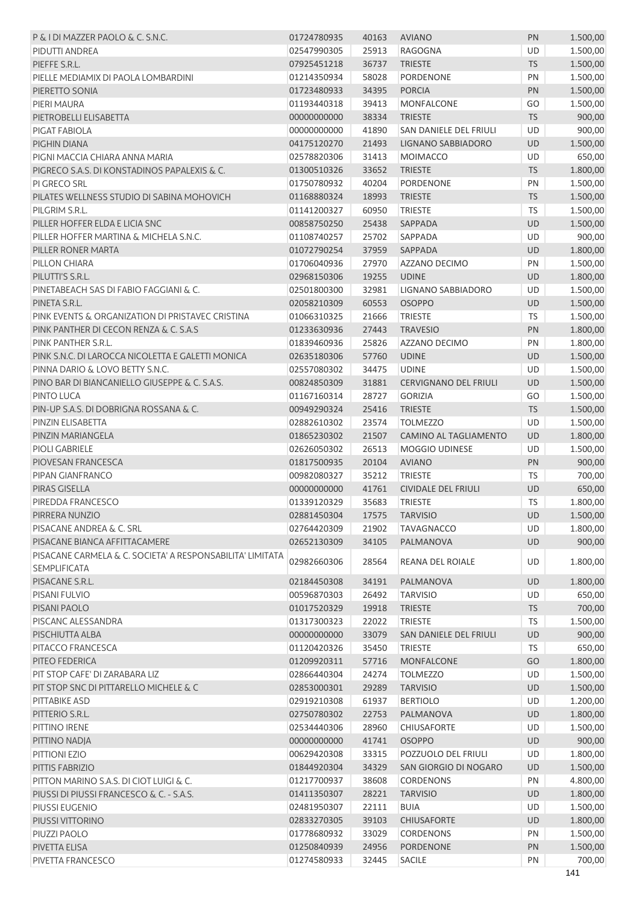| P & I DI MAZZER PAOLO & C. S.N.C.                         | 01724780935 | 40163 | <b>AVIANO</b>                | PN        | 1.500,00 |
|-----------------------------------------------------------|-------------|-------|------------------------------|-----------|----------|
| PIDUTTI ANDREA                                            | 02547990305 | 25913 | RAGOGNA                      | <b>UD</b> | 1.500,00 |
| PIEFFE S.R.L.                                             | 07925451218 | 36737 | <b>TRIESTE</b>               | <b>TS</b> | 1.500,00 |
| PIELLE MEDIAMIX DI PAOLA LOMBARDINI                       | 01214350934 | 58028 | PORDENONE                    | PN        | 1.500,00 |
| PIERETTO SONIA                                            | 01723480933 | 34395 | <b>PORCIA</b>                | PN        | 1.500,00 |
| PIERI MAURA                                               | 01193440318 | 39413 | <b>MONFALCONE</b>            | GO        | 1.500,00 |
| PIETROBELLI ELISABETTA                                    | 00000000000 | 38334 | <b>TRIESTE</b>               | <b>TS</b> | 900,00   |
| PIGAT FABIOLA                                             | 00000000000 | 41890 | SAN DANIELE DEL FRIULI       | <b>UD</b> | 900,00   |
| PIGHIN DIANA                                              | 04175120270 | 21493 | LIGNANO SABBIADORO           | <b>UD</b> | 1.500,00 |
| PIGNI MACCIA CHIARA ANNA MARIA                            | 02578820306 | 31413 | <b>MOIMACCO</b>              | <b>UD</b> | 650,00   |
| PIGRECO S.A.S. DI KONSTADINOS PAPALEXIS & C.              | 01300510326 | 33652 | <b>TRIESTE</b>               | <b>TS</b> | 1.800,00 |
| PI GRECO SRL                                              | 01750780932 | 40204 | <b>PORDENONE</b>             | PN        | 1.500,00 |
| PILATES WELLNESS STUDIO DI SABINA MOHOVICH                | 01168880324 | 18993 | <b>TRIESTE</b>               | <b>TS</b> | 1.500,00 |
| PILGRIM S.R.L.                                            | 01141200327 | 60950 | <b>TRIESTE</b>               | <b>TS</b> | 1.500,00 |
| PILLER HOFFER ELDA E LICIA SNC                            | 00858750250 | 25438 | SAPPADA                      | <b>UD</b> | 1.500,00 |
| PILLER HOFFER MARTINA & MICHELA S.N.C.                    | 01108740257 | 25702 | SAPPADA                      | <b>UD</b> | 900,00   |
| PILLER RONER MARTA                                        | 01072790254 | 37959 | SAPPADA                      | <b>UD</b> | 1.800,00 |
| PILLON CHIARA                                             | 01706040936 | 27970 | AZZANO DECIMO                | PN        | 1.500,00 |
| PILUTTI'S S.R.L.                                          | 02968150306 | 19255 | <b>UDINE</b>                 | <b>UD</b> | 1.800,00 |
| PINETABEACH SAS DI FABIO FAGGIANI & C.                    | 02501800300 | 32981 | LIGNANO SABBIADORO           | <b>UD</b> | 1.500,00 |
| PINETA S.R.L.                                             | 02058210309 | 60553 | <b>OSOPPO</b>                | <b>UD</b> | 1.500,00 |
| PINK EVENTS & ORGANIZATION DI PRISTAVEC CRISTINA          | 01066310325 | 21666 | <b>TRIESTE</b>               | TS        | 1.500,00 |
| PINK PANTHER DI CECON RENZA & C. S.A.S                    | 01233630936 | 27443 | <b>TRAVESIO</b>              | PN        | 1.800,00 |
| PINK PANTHER S.R.L.                                       | 01839460936 | 25826 | <b>AZZANO DECIMO</b>         | PN        | 1.800,00 |
| PINK S.N.C. DI LAROCCA NICOLETTA E GALETTI MONICA         | 02635180306 | 57760 | <b>UDINE</b>                 | <b>UD</b> | 1.500,00 |
| PINNA DARIO & LOVO BETTY S.N.C.                           | 02557080302 | 34475 | <b>UDINE</b>                 | <b>UD</b> | 1.500,00 |
| PINO BAR DI BIANCANIELLO GIUSEPPE & C. S.A.S.             | 00824850309 | 31881 | <b>CERVIGNANO DEL FRIULI</b> | <b>UD</b> | 1.500,00 |
| PINTO LUCA                                                | 01167160314 | 28727 | <b>GORIZIA</b>               | GO        | 1.500,00 |
| PIN-UP S.A.S. DI DOBRIGNA ROSSANA & C.                    | 00949290324 | 25416 | <b>TRIESTE</b>               | <b>TS</b> | 1.500,00 |
| PINZIN ELISABETTA                                         | 02882610302 | 23574 | <b>TOLMEZZO</b>              | UD        | 1.500,00 |
| PINZIN MARIANGELA                                         | 01865230302 | 21507 | CAMINO AL TAGLIAMENTO        | <b>UD</b> | 1.800,00 |
| <b>PIOLI GABRIELE</b>                                     | 02626050302 | 26513 | MOGGIO UDINESE               | UD        | 1.500,00 |
| PIOVESAN FRANCESCA                                        | 01817500935 | 20104 | <b>AVIANO</b>                | PN        | 900,00   |
| PIPAN GIANFRANCO                                          | 00982080327 | 35212 | <b>TRIESTE</b>               | <b>TS</b> | 700,00   |
| PIRAS GISELLA                                             | 00000000000 | 41761 | CIVIDALE DEL FRIULI          | <b>UD</b> | 650,00   |
| PIREDDA FRANCESCO                                         | 01339120329 | 35683 | <b>TRIESTE</b>               | TS.       | 1.800,00 |
| PIRRERA NUNZIO                                            | 02881450304 | 17575 | <b>TARVISIO</b>              | UD        | 1.500,00 |
| PISACANE ANDREA & C. SRL                                  | 02764420309 | 21902 | <b>TAVAGNACCO</b>            | <b>UD</b> | 1.800,00 |
| PISACANE BIANCA AFFITTACAMERE                             | 02652130309 | 34105 | PALMANOVA                    | <b>UD</b> | 900,00   |
| PISACANE CARMELA & C. SOCIETA' A RESPONSABILITA' LIMITATA |             |       |                              |           |          |
| <b>SEMPLIFICATA</b>                                       | 02982660306 | 28564 | REANA DEL ROIALE             | UD        | 1.800,00 |
| PISACANE S.R.L.                                           | 02184450308 | 34191 | PALMANOVA                    | <b>UD</b> | 1.800,00 |
| PISANI FULVIO                                             | 00596870303 | 26492 | <b>TARVISIO</b>              | <b>UD</b> | 650,00   |
| PISANI PAOLO                                              | 01017520329 | 19918 | <b>TRIESTE</b>               | <b>TS</b> | 700,00   |
| PISCANC ALESSANDRA                                        | 01317300323 | 22022 | <b>TRIESTE</b>               | <b>TS</b> | 1.500,00 |
| PISCHIUTTA ALBA                                           | 00000000000 | 33079 | SAN DANIELE DEL FRIULI       | UD        | 900,00   |
| PITACCO FRANCESCA                                         | 01120420326 | 35450 | <b>TRIESTE</b>               | <b>TS</b> | 650,00   |
| PITEO FEDERICA                                            | 01209920311 | 57716 | <b>MONFALCONE</b>            | GO        | 1.800,00 |
| PIT STOP CAFE' DI ZARABARA LIZ                            | 02866440304 | 24274 | <b>TOLMEZZO</b>              | UD        | 1.500,00 |
| PIT STOP SNC DI PITTARELLO MICHELE & C                    | 02853000301 | 29289 | <b>TARVISIO</b>              | <b>UD</b> | 1.500,00 |
| PITTABIKE ASD                                             | 02919210308 | 61937 | <b>BERTIOLO</b>              | <b>UD</b> | 1.200,00 |
| PITTERIO S.R.L.                                           | 02750780302 | 22753 | PALMANOVA                    | <b>UD</b> | 1.800,00 |
| PITTINO IRENE                                             | 02534440306 | 28960 | <b>CHIUSAFORTE</b>           | <b>UD</b> | 1.500,00 |
| PITTINO NADJA                                             | 00000000000 | 41741 | <b>OSOPPO</b>                | <b>UD</b> | 900,00   |
| PITTIONI EZIO                                             | 00629420308 | 33315 | POZZUOLO DEL FRIULI          | UD        | 1.800,00 |
| PITTIS FABRIZIO                                           | 01844920304 | 34329 | SAN GIORGIO DI NOGARO        | <b>UD</b> | 1.500,00 |
| PITTON MARINO S.A.S. DI CIOT LUIGI & C.                   | 01217700937 | 38608 | <b>CORDENONS</b>             | PN        | 4.800,00 |
| PIUSSI DI PIUSSI FRANCESCO & C. - S.A.S.                  | 01411350307 | 28221 | <b>TARVISIO</b>              | <b>UD</b> | 1.800,00 |
| PIUSSI EUGENIO                                            | 02481950307 | 22111 | <b>BUIA</b>                  | UD        | 1.500,00 |
| PIUSSI VITTORINO                                          | 02833270305 | 39103 | <b>CHIUSAFORTE</b>           | <b>UD</b> | 1.800,00 |
| PIUZZI PAOLO                                              | 01778680932 | 33029 | CORDENONS                    | PN        | 1.500,00 |
| PIVETTA ELISA                                             | 01250840939 | 24956 | <b>PORDENONE</b>             | PN        | 1.500,00 |
| PIVETTA FRANCESCO                                         | 01274580933 | 32445 | <b>SACILE</b>                | PN        | 700,00   |
|                                                           |             |       |                              |           |          |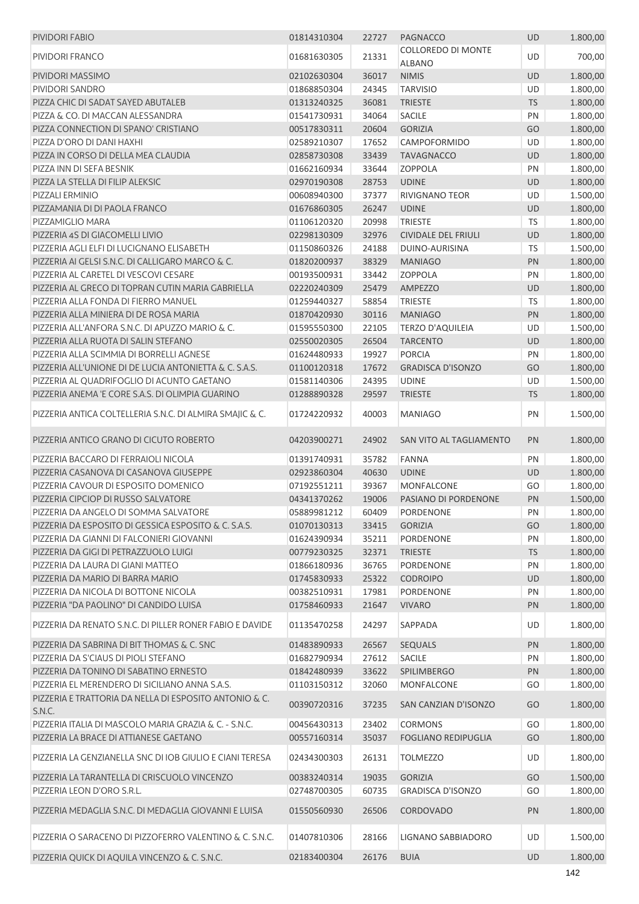| PIVIDORI FABIO                                                             | 01814310304                | 22727          | PAGNACCO                                   | <b>UD</b> | 1.800,00             |
|----------------------------------------------------------------------------|----------------------------|----------------|--------------------------------------------|-----------|----------------------|
| PIVIDORI FRANCO                                                            | 01681630305                | 21331          | <b>COLLOREDO DI MONTE</b><br><b>ALBANO</b> | <b>UD</b> | 700,00               |
| PIVIDORI MASSIMO                                                           | 02102630304                | 36017          | <b>NIMIS</b>                               | UD        | 1.800,00             |
| PIVIDORI SANDRO                                                            | 01868850304                | 24345          | <b>TARVISIO</b>                            | <b>UD</b> | 1.800,00             |
| PIZZA CHIC DI SADAT SAYED ABUTALEB                                         | 01313240325                | 36081          | <b>TRIESTE</b>                             | <b>TS</b> | 1.800,00             |
| PIZZA & CO. DI MACCAN ALESSANDRA                                           | 01541730931                | 34064          | <b>SACILE</b>                              | PN        | 1.800,00             |
| PIZZA CONNECTION DI SPANO' CRISTIANO                                       | 00517830311                | 20604          | <b>GORIZIA</b>                             | GO        | 1.800,00             |
| PIZZA D'ORO DI DANI HAXHI                                                  | 02589210307                | 17652          | CAMPOFORMIDO                               | <b>UD</b> | 1.800,00             |
| PIZZA IN CORSO DI DELLA MEA CLAUDIA                                        | 02858730308                | 33439          | <b>TAVAGNACCO</b>                          | <b>UD</b> | 1.800,00             |
| PIZZA INN DI SEFA BESNIK                                                   | 01662160934                | 33644          | <b>ZOPPOLA</b>                             | PN        | 1.800,00             |
| PIZZA LA STELLA DI FILIP ALEKSIC                                           | 02970190308                | 28753          | <b>UDINE</b>                               | <b>UD</b> | 1.800,00             |
| PIZZALI ERMINIO                                                            | 00608940300                | 37377          | RIVIGNANO TEOR                             | <b>UD</b> | 1.500,00             |
| PIZZAMANIA DI DI PAOLA FRANCO                                              | 01676860305                | 26247          | <b>UDINE</b>                               | <b>UD</b> | 1.800,00             |
| PIZZAMIGLIO MARA                                                           | 01106120320                | 20998          | <b>TRIESTE</b>                             | TS        | 1.800,00             |
| PIZZERIA 4S DI GIACOMELLI LIVIO                                            | 02298130309                | 32976          | <b>CIVIDALE DEL FRIULI</b>                 | <b>UD</b> | 1.800,00             |
| PIZZERIA AGLI ELFI DI LUCIGNANO ELISABETH                                  | 01150860326                | 24188          | <b>DUINO-AURISINA</b>                      | <b>TS</b> | 1.500,00             |
| PIZZERIA AI GELSI S.N.C. DI CALLIGARO MARCO & C.                           | 01820200937                | 38329          | <b>MANIAGO</b>                             | PN        | 1.800,00             |
| PIZZERIA AL CARETEL DI VESCOVI CESARE                                      | 00193500931                | 33442          | <b>ZOPPOLA</b>                             | PN        | 1.800,00             |
| PIZZERIA AL GRECO DI TOPRAN CUTIN MARIA GABRIELLA                          | 02220240309                | 25479          | AMPEZZO                                    | <b>UD</b> | 1.800,00             |
| PIZZERIA ALLA FONDA DI FIERRO MANUEL                                       | 01259440327                | 58854          | <b>TRIESTE</b>                             | <b>TS</b> | 1.800,00             |
| PIZZERIA ALLA MINIERA DI DE ROSA MARIA                                     | 01870420930                | 30116          | <b>MANIAGO</b>                             | PN        | 1.800,00             |
| PIZZERIA ALL'ANFORA S.N.C. DI APUZZO MARIO & C.                            | 01595550300                | 22105          | <b>TERZO D'AQUILEIA</b>                    | UD        | 1.500,00             |
| PIZZERIA ALLA RUOTA DI SALIN STEFANO                                       | 02550020305                | 26504          | <b>TARCENTO</b>                            | <b>UD</b> | 1.800,00             |
| PIZZERIA ALLA SCIMMIA DI BORRELLI AGNESE                                   | 01624480933                | 19927          | <b>PORCIA</b>                              | PN        | 1.800,00             |
| PIZZERIA ALL'UNIONE DI DE LUCIA ANTONIETTA & C. S.A.S.                     | 01100120318                | 17672          | <b>GRADISCA D'ISONZO</b>                   | GO        | 1.800,00             |
| PIZZERIA AL QUADRIFOGLIO DI ACUNTO GAETANO                                 | 01581140306                | 24395          | <b>UDINE</b>                               | UD        | 1.500,00             |
| PIZZERIA ANEMA 'E CORE S.A.S. DI OLIMPIA GUARINO                           | 01288890328                | 29597          | <b>TRIESTE</b>                             | <b>TS</b> | 1.800,00             |
| PIZZERIA ANTICA COLTELLERIA S.N.C. DI ALMIRA SMAJIC & C.                   | 01724220932                | 40003          | <b>MANIAGO</b>                             | PN        | 1.500,00             |
| PIZZERIA ANTICO GRANO DI CICUTO ROBERTO                                    | 04203900271                | 24902          | SAN VITO AL TAGLIAMENTO                    | PN        | 1.800,00             |
| PIZZERIA BACCARO DI FERRAIOLI NICOLA                                       | 01391740931                | 35782          | <b>FANNA</b>                               | PN        | 1.800,00             |
| PIZZERIA CASANOVA DI CASANOVA GIUSEPPE                                     | 02923860304                | 40630          | <b>UDINE</b>                               | <b>UD</b> | 1.800,00             |
| PIZZERIA CAVOUR DI ESPOSITO DOMENICO                                       | 07192551211                | 39367          | <b>MONFALCONE</b>                          | GO        | 1.800,00             |
| PIZZERIA CIPCIOP DI RUSSO SALVATORE                                        | 04341370262                | 19006          | PASIANO DI PORDENONE                       | PN        | 1.500,00             |
| PIZZERIA DA ANGELO DI SOMMA SALVATORE                                      | 05889981212                | 60409          | PORDENONE                                  | PN        | 1.800,00             |
| PIZZERIA DA ESPOSITO DI GESSICA ESPOSITO & C. S.A.S.                       | 01070130313                | 33415          | <b>GORIZIA</b>                             | GO        | 1.800,00             |
| PIZZERIA DA GIANNI DI FALCONIERI GIOVANNI                                  | 01624390934                | 35211          | <b>PORDENONE</b>                           | PN        | 1.800,00             |
| PIZZERIA DA GIGI DI PETRAZZUOLO LUIGI                                      | 00779230325                | 32371          | <b>TRIESTE</b>                             | <b>TS</b> | 1.800,00             |
| PIZZERIA DA LAURA DI GIANI MATTEO                                          | 01866180936                | 36765          | <b>PORDENONE</b>                           | PN        | 1.800,00             |
| PIZZERIA DA MARIO DI BARRA MARIO                                           | 01745830933                | 25322          | <b>CODROIPO</b>                            | UD        | 1.800,00             |
| PIZZERIA DA NICOLA DI BOTTONE NICOLA                                       | 00382510931                | 17981          | PORDENONE                                  | PN        | 1.800,00             |
| PIZZERIA "DA PAOLINO" DI CANDIDO LUISA                                     | 01758460933                | 21647          | <b>VIVARO</b>                              | PN        | 1.800,00             |
| PIZZERIA DA RENATO S.N.C. DI PILLER RONER FABIO E DAVIDE                   | 01135470258                | 24297          | SAPPADA                                    | UD        | 1.800,00             |
| PIZZERIA DA SABRINA DI BIT THOMAS & C. SNC                                 | 01483890933                | 26567          | <b>SEQUALS</b>                             | PN        | 1.800,00             |
| PIZZERIA DA S'CIAUS DI PIOLI STEFANO                                       | 01682790934                | 27612          | SACILE                                     | PN        | 1.800,00             |
| PIZZERIA DA TONINO DI SABATINO ERNESTO                                     | 01842480939                | 33622          | SPILIMBERGO                                | PN        | 1.800,00             |
| PIZZERIA EL MERENDERO DI SICILIANO ANNA S.A.S.                             | 01103150312                | 32060          | <b>MONFALCONE</b>                          | GO        | 1.800,00             |
| PIZZERIA E TRATTORIA DA NELLA DI ESPOSITO ANTONIO & C.<br>S.N.C.           | 00390720316                | 37235          | SAN CANZIAN D'ISONZO                       | GO        | 1.800,00             |
| PIZZERIA ITALIA DI MASCOLO MARIA GRAZIA & C. - S.N.C.                      | 00456430313                | 23402          | <b>CORMONS</b>                             | GO        | 1.800,00             |
| PIZZERIA LA BRACE DI ATTIANESE GAETANO                                     | 00557160314                | 35037          | <b>FOGLIANO REDIPUGLIA</b>                 | GO        | 1.800,00             |
| PIZZERIA LA GENZIANELLA SNC DI IOB GIULIO E CIANI TERESA                   | 02434300303                | 26131          | <b>TOLMEZZO</b>                            | UD        | 1.800,00             |
| PIZZERIA LA TARANTELLA DI CRISCUOLO VINCENZO<br>PIZZERIA LEON D'ORO S.R.L. | 00383240314<br>02748700305 | 19035<br>60735 | <b>GORIZIA</b><br><b>GRADISCA D'ISONZO</b> | GO<br>GO  | 1.500,00<br>1.800,00 |
| PIZZERIA MEDAGLIA S.N.C. DI MEDAGLIA GIOVANNI E LUISA                      | 01550560930                | 26506          | CORDOVADO                                  | PN        | 1.800,00             |
| PIZZERIA O SARACENO DI PIZZOFERRO VALENTINO & C. S.N.C.                    | 01407810306                | 28166          | LIGNANO SABBIADORO                         | UD        | 1.500,00             |
| PIZZERIA QUICK DI AQUILA VINCENZO & C. S.N.C.                              | 02183400304                | 26176          | <b>BUIA</b>                                | UD        | 1.800,00             |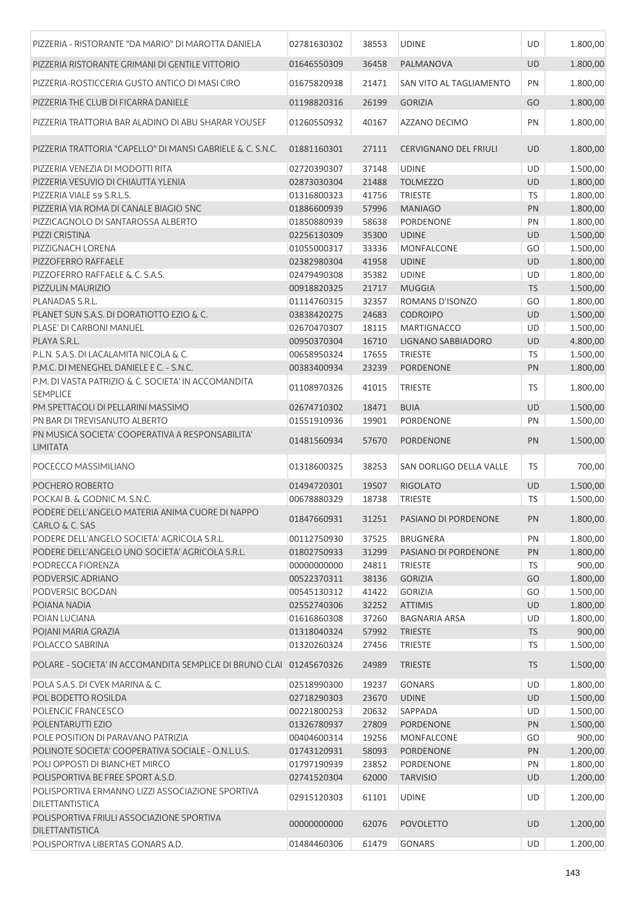| 01646550309<br>36458<br>PALMANOVA<br><b>UD</b><br>1.800,00<br>PIZZERIA RISTORANTE GRIMANI DI GENTILE VITTORIO<br>PIZZERIA-ROSTICCERIA GUSTO ANTICO DI MASI CIRO<br>PN<br>1.800,00<br>01675820938<br>21471<br>SAN VITO AL TAGLIAMENTO<br>PIZZERIA THE CLUB DI FICARRA DANIELE<br>01198820316<br>26199<br><b>GORIZIA</b><br>GO<br>1.800,00<br>PIZZERIA TRATTORIA BAR ALADINO DI ABU SHARAR YOUSEF<br>40167<br>PN<br>1.800,00<br>01260550932<br>AZZANO DECIMO<br>PIZZERIA TRATTORIA "CAPELLO" DI MANSI GABRIELE & C. S.N.C.<br>01881160301<br>27111<br><b>CERVIGNANO DEL FRIULI</b><br><b>UD</b><br>1.800,00<br><b>UD</b><br>1.500,00<br>PIZZERIA VENEZIA DI MODOTTI RITA<br>02720390307<br>37148<br><b>UDINE</b><br>PIZZERIA VESUVIO DI CHIAUTTA YLENIA<br>02873030304<br>21488<br><b>TOLMEZZO</b><br><b>UD</b><br>1.800,00<br>41756<br><b>TRIESTE</b><br>1.800,00<br>PIZZERIA VIALE 59 S.R.L.S.<br>01316800323<br>TS<br>1.800,00<br>PIZZERIA VIA ROMA DI CANALE BIAGIO SNC<br>01886600939<br>57996<br><b>MANIAGO</b><br>PN<br>58638<br><b>PORDENONE</b><br>PN<br>1.800,00<br>PIZZICAGNOLO DI SANTAROSSA ALBERTO<br>01850880939<br>PIZZI CRISTINA<br><b>UDINE</b><br>1.500,00<br>02256130309<br>35300<br>UD<br>PIZZIGNACH LORENA<br>33336<br><b>MONFALCONE</b><br>GO<br>1.500,00<br>01055000317<br>PIZZOFERRO RAFFAELE<br>1.800,00<br>02382980304<br>41958<br><b>UDINE</b><br><b>UD</b><br>PIZZOFERRO RAFFAELE & C. S.A.S.<br>35382<br><b>UDINE</b><br><b>UD</b><br>1.800,00<br>02479490308<br>PIZZULIN MAURIZIO<br>1.500,00<br>00918820325<br>21717<br><b>MUGGIA</b><br><b>TS</b><br>PLANADAS S.R.L.<br>32357<br>1.800,00<br>01114760315<br>ROMANS D'ISONZO<br>GO<br>PLANET SUN S.A.S. DI DORATIOTTO EZIO & C.<br><b>UD</b><br>1.500,00<br>03838420275<br>24683<br><b>CODROIPO</b><br>PLASE' DI CARBONI MANUEL<br>18115<br>UD<br>1.500,00<br>02670470307<br><b>MARTIGNACCO</b><br>PLAYA S.R.L.<br>16710<br><b>UD</b><br>4.800,00<br>00950370304<br>LIGNANO SABBIADORO<br>P.L.N. S.A.S. DI LACALAMITA NICOLA & C.<br>17655<br>TS<br>00658950324<br><b>TRIESTE</b><br>1.500,00<br>P.M.C. DI MENEGHEL DANIELE E C. - S.N.C.<br>23239<br>00383400934<br><b>PORDENONE</b><br>PN<br>1.800,00<br>P.M. DI VASTA PATRIZIO & C. SOCIETA' IN ACCOMANDITA<br>1.800,00<br>01108970326<br>41015<br><b>TRIESTE</b><br>TS<br><b>SEMPLICE</b><br>PM SPETTACOLI DI PELLARINI MASSIMO<br>1.500,00<br>02674710302<br>18471<br><b>BUIA</b><br>UD<br>PN BAR DI TREVISANUTO ALBERTO<br>19901<br>PN<br>01551910936<br>PORDENONE<br>1.500,00<br>PN MUSICA SOCIETA' COOPERATIVA A RESPONSABILITA'<br>1.500,00<br>01481560934<br>57670<br><b>PORDENONE</b><br>PN<br><b>LIMITATA</b><br>POCECCO MASSIMILIANO<br>38253<br>SAN DORLIGO DELLA VALLE<br>700,00<br>01318600325<br>TS.<br>1.500,00<br>POCHERO ROBERTO<br>01494720301<br>19507<br><b>RIGOLATO</b><br>UD<br>POCKAI B. & GODNIC M. S.N.C.<br><b>TS</b><br>1.500,00<br>00678880329<br>18738<br><b>TRIESTE</b><br>PODERE DELL'ANGELO MATERIA ANIMA CUORE DI NAPPO<br>PN<br>1.800,00<br>01847660931<br>31251<br>PASIANO DI PORDENONE<br><b>CARLO &amp; C. SAS</b><br>PODERE DELL'ANGELO SOCIETA' AGRICOLA S.R.L.<br>00112750930<br>37525<br><b>BRUGNERA</b><br>PN<br>1.800,00<br>PODERE DELL'ANGELO UNO SOCIETA' AGRICOLA S.R.L.<br>1.800,00<br>01802750933<br>31299<br>PASIANO DI PORDENONE<br>PN<br>PODRECCA FIORENZA<br>900,00<br>00000000000<br>24811<br><b>TRIESTE</b><br><b>TS</b><br>PODVERSIC ADRIANO<br>1.800,00<br>00522370311<br>38136<br><b>GORIZIA</b><br>GO<br>PODVERSIC BOGDAN<br>41422<br>GO<br>1.500,00<br>00545130312<br><b>GORIZIA</b><br>UD<br>1.800,00<br>POIANA NADIA<br>02552740306<br>32252<br><b>ATTIMIS</b><br><b>BAGNARIA ARSA</b><br>UD<br>1.800,00<br>POIAN LUCIANA<br>01616860308<br>37260<br>900,00<br>01318040324<br>57992<br><b>TRIESTE</b><br><b>TS</b><br>POJANI MARIA GRAZIA<br>POLACCO SABRINA<br>01320260324<br>27456<br><b>TRIESTE</b><br><b>TS</b><br>1.500,00<br>POLARE - SOCIETA' IN ACCOMANDITA SEMPLICE DI BRUNO CLAI 01245670326<br>1.500,00<br>24989<br><b>TRIESTE</b><br><b>TS</b><br>UD<br>1.800,00<br>POLA S.A.S. DI CVEK MARINA & C.<br>02518990300<br>19237<br><b>GONARS</b><br>1.500,00<br>POL BODETTO ROSILDA<br>02718290303<br>23670<br><b>UDINE</b><br><b>UD</b><br>00221800253<br>20632<br>SAPPADA<br>UD<br>1.500,00<br>POLENCIC FRANCESCO<br>PN<br>1.500,00<br>POLENTARUTTI EZIO<br>01326780937<br>27809<br><b>PORDENONE</b><br>GO<br>900,00<br>POLE POSITION DI PARAVANO PATRIZIA<br>00404600314<br>19256<br><b>MONFALCONE</b><br>POLINOTE SOCIETA' COOPERATIVA SOCIALE - O.N.L.U.S.<br>1.200,00<br>01743120931<br>58093<br><b>PORDENONE</b><br>PN<br>POLI OPPOSTI DI BIANCHET MIRCO<br>1.800,00<br>01797190939<br>23852<br>PORDENONE<br>PN<br>POLISPORTIVA BE FREE SPORT A.S.D.<br>02741520304<br>62000<br><b>TARVISIO</b><br>UD<br>1.200,00<br>POLISPORTIVA ERMANNO LIZZI ASSOCIAZIONE SPORTIVA<br>1.200,00<br>02915120303<br>61101<br><b>UDINE</b><br>UD<br>DILETTANTISTICA<br>POLISPORTIVA FRIULI ASSOCIAZIONE SPORTIVA<br>1.200,00<br>00000000000<br>62076<br><b>POVOLETTO</b><br>UD<br>DILETTANTISTICA<br>POLISPORTIVA LIBERTAS GONARS A.D.<br>1.200,00<br>01484460306<br>61479<br><b>GONARS</b><br>UD | PIZZERIA - RISTORANTE "DA MARIO" DI MAROTTA DANIELA | 02781630302 | 38553 | <b>UDINE</b> | UD | 1.800,00 |
|-----------------------------------------------------------------------------------------------------------------------------------------------------------------------------------------------------------------------------------------------------------------------------------------------------------------------------------------------------------------------------------------------------------------------------------------------------------------------------------------------------------------------------------------------------------------------------------------------------------------------------------------------------------------------------------------------------------------------------------------------------------------------------------------------------------------------------------------------------------------------------------------------------------------------------------------------------------------------------------------------------------------------------------------------------------------------------------------------------------------------------------------------------------------------------------------------------------------------------------------------------------------------------------------------------------------------------------------------------------------------------------------------------------------------------------------------------------------------------------------------------------------------------------------------------------------------------------------------------------------------------------------------------------------------------------------------------------------------------------------------------------------------------------------------------------------------------------------------------------------------------------------------------------------------------------------------------------------------------------------------------------------------------------------------------------------------------------------------------------------------------------------------------------------------------------------------------------------------------------------------------------------------------------------------------------------------------------------------------------------------------------------------------------------------------------------------------------------------------------------------------------------------------------------------------------------------------------------------------------------------------------------------------------------------------------------------------------------------------------------------------------------------------------------------------------------------------------------------------------------------------------------------------------------------------------------------------------------------------------------------------------------------------------------------------------------------------------------------------------------------------------------------------------------------------------------------------------------------------------------------------------------------------------------------------------------------------------------------------------------------------------------------------------------------------------------------------------------------------------------------------------------------------------------------------------------------------------------------------------------------------------------------------------------------------------------------------------------------------------------------------------------------------------------------------------------------------------------------------------------------------------------------------------------------------------------------------------------------------------------------------------------------------------------------------------------------------------------------------------------------------------------------------------------------------------------------------------------------------------------------------------------------------------------------------------------------------------------------------------------------------------------------------------------------------------------------------------------------------------------------------------------------------------------------------------------------------------------------------------------------------------------------------------------------------------------------------------------------------------------------------------------------------------------------------------------------------------------------------------------------------------------------------------------------------------------------------------------------------------------------------------------------------------------------------------------------------------------------------------------------------------------------------------------------------------------------|-----------------------------------------------------|-------------|-------|--------------|----|----------|
|                                                                                                                                                                                                                                                                                                                                                                                                                                                                                                                                                                                                                                                                                                                                                                                                                                                                                                                                                                                                                                                                                                                                                                                                                                                                                                                                                                                                                                                                                                                                                                                                                                                                                                                                                                                                                                                                                                                                                                                                                                                                                                                                                                                                                                                                                                                                                                                                                                                                                                                                                                                                                                                                                                                                                                                                                                                                                                                                                                                                                                                                                                                                                                                                                                                                                                                                                                                                                                                                                                                                                                                                                                                                                                                                                                                                                                                                                                                                                                                                                                                                                                                                                                                                                                                                                                                                                                                                                                                                                                                                                                                                                                                                                                                                                                                                                                                                                                                                                                                                                                                                                                                                                                                               |                                                     |             |       |              |    |          |
|                                                                                                                                                                                                                                                                                                                                                                                                                                                                                                                                                                                                                                                                                                                                                                                                                                                                                                                                                                                                                                                                                                                                                                                                                                                                                                                                                                                                                                                                                                                                                                                                                                                                                                                                                                                                                                                                                                                                                                                                                                                                                                                                                                                                                                                                                                                                                                                                                                                                                                                                                                                                                                                                                                                                                                                                                                                                                                                                                                                                                                                                                                                                                                                                                                                                                                                                                                                                                                                                                                                                                                                                                                                                                                                                                                                                                                                                                                                                                                                                                                                                                                                                                                                                                                                                                                                                                                                                                                                                                                                                                                                                                                                                                                                                                                                                                                                                                                                                                                                                                                                                                                                                                                                               |                                                     |             |       |              |    |          |
|                                                                                                                                                                                                                                                                                                                                                                                                                                                                                                                                                                                                                                                                                                                                                                                                                                                                                                                                                                                                                                                                                                                                                                                                                                                                                                                                                                                                                                                                                                                                                                                                                                                                                                                                                                                                                                                                                                                                                                                                                                                                                                                                                                                                                                                                                                                                                                                                                                                                                                                                                                                                                                                                                                                                                                                                                                                                                                                                                                                                                                                                                                                                                                                                                                                                                                                                                                                                                                                                                                                                                                                                                                                                                                                                                                                                                                                                                                                                                                                                                                                                                                                                                                                                                                                                                                                                                                                                                                                                                                                                                                                                                                                                                                                                                                                                                                                                                                                                                                                                                                                                                                                                                                                               |                                                     |             |       |              |    |          |
|                                                                                                                                                                                                                                                                                                                                                                                                                                                                                                                                                                                                                                                                                                                                                                                                                                                                                                                                                                                                                                                                                                                                                                                                                                                                                                                                                                                                                                                                                                                                                                                                                                                                                                                                                                                                                                                                                                                                                                                                                                                                                                                                                                                                                                                                                                                                                                                                                                                                                                                                                                                                                                                                                                                                                                                                                                                                                                                                                                                                                                                                                                                                                                                                                                                                                                                                                                                                                                                                                                                                                                                                                                                                                                                                                                                                                                                                                                                                                                                                                                                                                                                                                                                                                                                                                                                                                                                                                                                                                                                                                                                                                                                                                                                                                                                                                                                                                                                                                                                                                                                                                                                                                                                               |                                                     |             |       |              |    |          |
|                                                                                                                                                                                                                                                                                                                                                                                                                                                                                                                                                                                                                                                                                                                                                                                                                                                                                                                                                                                                                                                                                                                                                                                                                                                                                                                                                                                                                                                                                                                                                                                                                                                                                                                                                                                                                                                                                                                                                                                                                                                                                                                                                                                                                                                                                                                                                                                                                                                                                                                                                                                                                                                                                                                                                                                                                                                                                                                                                                                                                                                                                                                                                                                                                                                                                                                                                                                                                                                                                                                                                                                                                                                                                                                                                                                                                                                                                                                                                                                                                                                                                                                                                                                                                                                                                                                                                                                                                                                                                                                                                                                                                                                                                                                                                                                                                                                                                                                                                                                                                                                                                                                                                                                               |                                                     |             |       |              |    |          |
|                                                                                                                                                                                                                                                                                                                                                                                                                                                                                                                                                                                                                                                                                                                                                                                                                                                                                                                                                                                                                                                                                                                                                                                                                                                                                                                                                                                                                                                                                                                                                                                                                                                                                                                                                                                                                                                                                                                                                                                                                                                                                                                                                                                                                                                                                                                                                                                                                                                                                                                                                                                                                                                                                                                                                                                                                                                                                                                                                                                                                                                                                                                                                                                                                                                                                                                                                                                                                                                                                                                                                                                                                                                                                                                                                                                                                                                                                                                                                                                                                                                                                                                                                                                                                                                                                                                                                                                                                                                                                                                                                                                                                                                                                                                                                                                                                                                                                                                                                                                                                                                                                                                                                                                               |                                                     |             |       |              |    |          |
|                                                                                                                                                                                                                                                                                                                                                                                                                                                                                                                                                                                                                                                                                                                                                                                                                                                                                                                                                                                                                                                                                                                                                                                                                                                                                                                                                                                                                                                                                                                                                                                                                                                                                                                                                                                                                                                                                                                                                                                                                                                                                                                                                                                                                                                                                                                                                                                                                                                                                                                                                                                                                                                                                                                                                                                                                                                                                                                                                                                                                                                                                                                                                                                                                                                                                                                                                                                                                                                                                                                                                                                                                                                                                                                                                                                                                                                                                                                                                                                                                                                                                                                                                                                                                                                                                                                                                                                                                                                                                                                                                                                                                                                                                                                                                                                                                                                                                                                                                                                                                                                                                                                                                                                               |                                                     |             |       |              |    |          |
|                                                                                                                                                                                                                                                                                                                                                                                                                                                                                                                                                                                                                                                                                                                                                                                                                                                                                                                                                                                                                                                                                                                                                                                                                                                                                                                                                                                                                                                                                                                                                                                                                                                                                                                                                                                                                                                                                                                                                                                                                                                                                                                                                                                                                                                                                                                                                                                                                                                                                                                                                                                                                                                                                                                                                                                                                                                                                                                                                                                                                                                                                                                                                                                                                                                                                                                                                                                                                                                                                                                                                                                                                                                                                                                                                                                                                                                                                                                                                                                                                                                                                                                                                                                                                                                                                                                                                                                                                                                                                                                                                                                                                                                                                                                                                                                                                                                                                                                                                                                                                                                                                                                                                                                               |                                                     |             |       |              |    |          |
|                                                                                                                                                                                                                                                                                                                                                                                                                                                                                                                                                                                                                                                                                                                                                                                                                                                                                                                                                                                                                                                                                                                                                                                                                                                                                                                                                                                                                                                                                                                                                                                                                                                                                                                                                                                                                                                                                                                                                                                                                                                                                                                                                                                                                                                                                                                                                                                                                                                                                                                                                                                                                                                                                                                                                                                                                                                                                                                                                                                                                                                                                                                                                                                                                                                                                                                                                                                                                                                                                                                                                                                                                                                                                                                                                                                                                                                                                                                                                                                                                                                                                                                                                                                                                                                                                                                                                                                                                                                                                                                                                                                                                                                                                                                                                                                                                                                                                                                                                                                                                                                                                                                                                                                               |                                                     |             |       |              |    |          |
|                                                                                                                                                                                                                                                                                                                                                                                                                                                                                                                                                                                                                                                                                                                                                                                                                                                                                                                                                                                                                                                                                                                                                                                                                                                                                                                                                                                                                                                                                                                                                                                                                                                                                                                                                                                                                                                                                                                                                                                                                                                                                                                                                                                                                                                                                                                                                                                                                                                                                                                                                                                                                                                                                                                                                                                                                                                                                                                                                                                                                                                                                                                                                                                                                                                                                                                                                                                                                                                                                                                                                                                                                                                                                                                                                                                                                                                                                                                                                                                                                                                                                                                                                                                                                                                                                                                                                                                                                                                                                                                                                                                                                                                                                                                                                                                                                                                                                                                                                                                                                                                                                                                                                                                               |                                                     |             |       |              |    |          |
|                                                                                                                                                                                                                                                                                                                                                                                                                                                                                                                                                                                                                                                                                                                                                                                                                                                                                                                                                                                                                                                                                                                                                                                                                                                                                                                                                                                                                                                                                                                                                                                                                                                                                                                                                                                                                                                                                                                                                                                                                                                                                                                                                                                                                                                                                                                                                                                                                                                                                                                                                                                                                                                                                                                                                                                                                                                                                                                                                                                                                                                                                                                                                                                                                                                                                                                                                                                                                                                                                                                                                                                                                                                                                                                                                                                                                                                                                                                                                                                                                                                                                                                                                                                                                                                                                                                                                                                                                                                                                                                                                                                                                                                                                                                                                                                                                                                                                                                                                                                                                                                                                                                                                                                               |                                                     |             |       |              |    |          |
|                                                                                                                                                                                                                                                                                                                                                                                                                                                                                                                                                                                                                                                                                                                                                                                                                                                                                                                                                                                                                                                                                                                                                                                                                                                                                                                                                                                                                                                                                                                                                                                                                                                                                                                                                                                                                                                                                                                                                                                                                                                                                                                                                                                                                                                                                                                                                                                                                                                                                                                                                                                                                                                                                                                                                                                                                                                                                                                                                                                                                                                                                                                                                                                                                                                                                                                                                                                                                                                                                                                                                                                                                                                                                                                                                                                                                                                                                                                                                                                                                                                                                                                                                                                                                                                                                                                                                                                                                                                                                                                                                                                                                                                                                                                                                                                                                                                                                                                                                                                                                                                                                                                                                                                               |                                                     |             |       |              |    |          |
|                                                                                                                                                                                                                                                                                                                                                                                                                                                                                                                                                                                                                                                                                                                                                                                                                                                                                                                                                                                                                                                                                                                                                                                                                                                                                                                                                                                                                                                                                                                                                                                                                                                                                                                                                                                                                                                                                                                                                                                                                                                                                                                                                                                                                                                                                                                                                                                                                                                                                                                                                                                                                                                                                                                                                                                                                                                                                                                                                                                                                                                                                                                                                                                                                                                                                                                                                                                                                                                                                                                                                                                                                                                                                                                                                                                                                                                                                                                                                                                                                                                                                                                                                                                                                                                                                                                                                                                                                                                                                                                                                                                                                                                                                                                                                                                                                                                                                                                                                                                                                                                                                                                                                                                               |                                                     |             |       |              |    |          |
|                                                                                                                                                                                                                                                                                                                                                                                                                                                                                                                                                                                                                                                                                                                                                                                                                                                                                                                                                                                                                                                                                                                                                                                                                                                                                                                                                                                                                                                                                                                                                                                                                                                                                                                                                                                                                                                                                                                                                                                                                                                                                                                                                                                                                                                                                                                                                                                                                                                                                                                                                                                                                                                                                                                                                                                                                                                                                                                                                                                                                                                                                                                                                                                                                                                                                                                                                                                                                                                                                                                                                                                                                                                                                                                                                                                                                                                                                                                                                                                                                                                                                                                                                                                                                                                                                                                                                                                                                                                                                                                                                                                                                                                                                                                                                                                                                                                                                                                                                                                                                                                                                                                                                                                               |                                                     |             |       |              |    |          |
|                                                                                                                                                                                                                                                                                                                                                                                                                                                                                                                                                                                                                                                                                                                                                                                                                                                                                                                                                                                                                                                                                                                                                                                                                                                                                                                                                                                                                                                                                                                                                                                                                                                                                                                                                                                                                                                                                                                                                                                                                                                                                                                                                                                                                                                                                                                                                                                                                                                                                                                                                                                                                                                                                                                                                                                                                                                                                                                                                                                                                                                                                                                                                                                                                                                                                                                                                                                                                                                                                                                                                                                                                                                                                                                                                                                                                                                                                                                                                                                                                                                                                                                                                                                                                                                                                                                                                                                                                                                                                                                                                                                                                                                                                                                                                                                                                                                                                                                                                                                                                                                                                                                                                                                               |                                                     |             |       |              |    |          |
|                                                                                                                                                                                                                                                                                                                                                                                                                                                                                                                                                                                                                                                                                                                                                                                                                                                                                                                                                                                                                                                                                                                                                                                                                                                                                                                                                                                                                                                                                                                                                                                                                                                                                                                                                                                                                                                                                                                                                                                                                                                                                                                                                                                                                                                                                                                                                                                                                                                                                                                                                                                                                                                                                                                                                                                                                                                                                                                                                                                                                                                                                                                                                                                                                                                                                                                                                                                                                                                                                                                                                                                                                                                                                                                                                                                                                                                                                                                                                                                                                                                                                                                                                                                                                                                                                                                                                                                                                                                                                                                                                                                                                                                                                                                                                                                                                                                                                                                                                                                                                                                                                                                                                                                               |                                                     |             |       |              |    |          |
|                                                                                                                                                                                                                                                                                                                                                                                                                                                                                                                                                                                                                                                                                                                                                                                                                                                                                                                                                                                                                                                                                                                                                                                                                                                                                                                                                                                                                                                                                                                                                                                                                                                                                                                                                                                                                                                                                                                                                                                                                                                                                                                                                                                                                                                                                                                                                                                                                                                                                                                                                                                                                                                                                                                                                                                                                                                                                                                                                                                                                                                                                                                                                                                                                                                                                                                                                                                                                                                                                                                                                                                                                                                                                                                                                                                                                                                                                                                                                                                                                                                                                                                                                                                                                                                                                                                                                                                                                                                                                                                                                                                                                                                                                                                                                                                                                                                                                                                                                                                                                                                                                                                                                                                               |                                                     |             |       |              |    |          |
|                                                                                                                                                                                                                                                                                                                                                                                                                                                                                                                                                                                                                                                                                                                                                                                                                                                                                                                                                                                                                                                                                                                                                                                                                                                                                                                                                                                                                                                                                                                                                                                                                                                                                                                                                                                                                                                                                                                                                                                                                                                                                                                                                                                                                                                                                                                                                                                                                                                                                                                                                                                                                                                                                                                                                                                                                                                                                                                                                                                                                                                                                                                                                                                                                                                                                                                                                                                                                                                                                                                                                                                                                                                                                                                                                                                                                                                                                                                                                                                                                                                                                                                                                                                                                                                                                                                                                                                                                                                                                                                                                                                                                                                                                                                                                                                                                                                                                                                                                                                                                                                                                                                                                                                               |                                                     |             |       |              |    |          |
|                                                                                                                                                                                                                                                                                                                                                                                                                                                                                                                                                                                                                                                                                                                                                                                                                                                                                                                                                                                                                                                                                                                                                                                                                                                                                                                                                                                                                                                                                                                                                                                                                                                                                                                                                                                                                                                                                                                                                                                                                                                                                                                                                                                                                                                                                                                                                                                                                                                                                                                                                                                                                                                                                                                                                                                                                                                                                                                                                                                                                                                                                                                                                                                                                                                                                                                                                                                                                                                                                                                                                                                                                                                                                                                                                                                                                                                                                                                                                                                                                                                                                                                                                                                                                                                                                                                                                                                                                                                                                                                                                                                                                                                                                                                                                                                                                                                                                                                                                                                                                                                                                                                                                                                               |                                                     |             |       |              |    |          |
|                                                                                                                                                                                                                                                                                                                                                                                                                                                                                                                                                                                                                                                                                                                                                                                                                                                                                                                                                                                                                                                                                                                                                                                                                                                                                                                                                                                                                                                                                                                                                                                                                                                                                                                                                                                                                                                                                                                                                                                                                                                                                                                                                                                                                                                                                                                                                                                                                                                                                                                                                                                                                                                                                                                                                                                                                                                                                                                                                                                                                                                                                                                                                                                                                                                                                                                                                                                                                                                                                                                                                                                                                                                                                                                                                                                                                                                                                                                                                                                                                                                                                                                                                                                                                                                                                                                                                                                                                                                                                                                                                                                                                                                                                                                                                                                                                                                                                                                                                                                                                                                                                                                                                                                               |                                                     |             |       |              |    |          |
|                                                                                                                                                                                                                                                                                                                                                                                                                                                                                                                                                                                                                                                                                                                                                                                                                                                                                                                                                                                                                                                                                                                                                                                                                                                                                                                                                                                                                                                                                                                                                                                                                                                                                                                                                                                                                                                                                                                                                                                                                                                                                                                                                                                                                                                                                                                                                                                                                                                                                                                                                                                                                                                                                                                                                                                                                                                                                                                                                                                                                                                                                                                                                                                                                                                                                                                                                                                                                                                                                                                                                                                                                                                                                                                                                                                                                                                                                                                                                                                                                                                                                                                                                                                                                                                                                                                                                                                                                                                                                                                                                                                                                                                                                                                                                                                                                                                                                                                                                                                                                                                                                                                                                                                               |                                                     |             |       |              |    |          |
|                                                                                                                                                                                                                                                                                                                                                                                                                                                                                                                                                                                                                                                                                                                                                                                                                                                                                                                                                                                                                                                                                                                                                                                                                                                                                                                                                                                                                                                                                                                                                                                                                                                                                                                                                                                                                                                                                                                                                                                                                                                                                                                                                                                                                                                                                                                                                                                                                                                                                                                                                                                                                                                                                                                                                                                                                                                                                                                                                                                                                                                                                                                                                                                                                                                                                                                                                                                                                                                                                                                                                                                                                                                                                                                                                                                                                                                                                                                                                                                                                                                                                                                                                                                                                                                                                                                                                                                                                                                                                                                                                                                                                                                                                                                                                                                                                                                                                                                                                                                                                                                                                                                                                                                               |                                                     |             |       |              |    |          |
|                                                                                                                                                                                                                                                                                                                                                                                                                                                                                                                                                                                                                                                                                                                                                                                                                                                                                                                                                                                                                                                                                                                                                                                                                                                                                                                                                                                                                                                                                                                                                                                                                                                                                                                                                                                                                                                                                                                                                                                                                                                                                                                                                                                                                                                                                                                                                                                                                                                                                                                                                                                                                                                                                                                                                                                                                                                                                                                                                                                                                                                                                                                                                                                                                                                                                                                                                                                                                                                                                                                                                                                                                                                                                                                                                                                                                                                                                                                                                                                                                                                                                                                                                                                                                                                                                                                                                                                                                                                                                                                                                                                                                                                                                                                                                                                                                                                                                                                                                                                                                                                                                                                                                                                               |                                                     |             |       |              |    |          |
|                                                                                                                                                                                                                                                                                                                                                                                                                                                                                                                                                                                                                                                                                                                                                                                                                                                                                                                                                                                                                                                                                                                                                                                                                                                                                                                                                                                                                                                                                                                                                                                                                                                                                                                                                                                                                                                                                                                                                                                                                                                                                                                                                                                                                                                                                                                                                                                                                                                                                                                                                                                                                                                                                                                                                                                                                                                                                                                                                                                                                                                                                                                                                                                                                                                                                                                                                                                                                                                                                                                                                                                                                                                                                                                                                                                                                                                                                                                                                                                                                                                                                                                                                                                                                                                                                                                                                                                                                                                                                                                                                                                                                                                                                                                                                                                                                                                                                                                                                                                                                                                                                                                                                                                               |                                                     |             |       |              |    |          |
|                                                                                                                                                                                                                                                                                                                                                                                                                                                                                                                                                                                                                                                                                                                                                                                                                                                                                                                                                                                                                                                                                                                                                                                                                                                                                                                                                                                                                                                                                                                                                                                                                                                                                                                                                                                                                                                                                                                                                                                                                                                                                                                                                                                                                                                                                                                                                                                                                                                                                                                                                                                                                                                                                                                                                                                                                                                                                                                                                                                                                                                                                                                                                                                                                                                                                                                                                                                                                                                                                                                                                                                                                                                                                                                                                                                                                                                                                                                                                                                                                                                                                                                                                                                                                                                                                                                                                                                                                                                                                                                                                                                                                                                                                                                                                                                                                                                                                                                                                                                                                                                                                                                                                                                               |                                                     |             |       |              |    |          |
|                                                                                                                                                                                                                                                                                                                                                                                                                                                                                                                                                                                                                                                                                                                                                                                                                                                                                                                                                                                                                                                                                                                                                                                                                                                                                                                                                                                                                                                                                                                                                                                                                                                                                                                                                                                                                                                                                                                                                                                                                                                                                                                                                                                                                                                                                                                                                                                                                                                                                                                                                                                                                                                                                                                                                                                                                                                                                                                                                                                                                                                                                                                                                                                                                                                                                                                                                                                                                                                                                                                                                                                                                                                                                                                                                                                                                                                                                                                                                                                                                                                                                                                                                                                                                                                                                                                                                                                                                                                                                                                                                                                                                                                                                                                                                                                                                                                                                                                                                                                                                                                                                                                                                                                               |                                                     |             |       |              |    |          |
|                                                                                                                                                                                                                                                                                                                                                                                                                                                                                                                                                                                                                                                                                                                                                                                                                                                                                                                                                                                                                                                                                                                                                                                                                                                                                                                                                                                                                                                                                                                                                                                                                                                                                                                                                                                                                                                                                                                                                                                                                                                                                                                                                                                                                                                                                                                                                                                                                                                                                                                                                                                                                                                                                                                                                                                                                                                                                                                                                                                                                                                                                                                                                                                                                                                                                                                                                                                                                                                                                                                                                                                                                                                                                                                                                                                                                                                                                                                                                                                                                                                                                                                                                                                                                                                                                                                                                                                                                                                                                                                                                                                                                                                                                                                                                                                                                                                                                                                                                                                                                                                                                                                                                                                               |                                                     |             |       |              |    |          |
|                                                                                                                                                                                                                                                                                                                                                                                                                                                                                                                                                                                                                                                                                                                                                                                                                                                                                                                                                                                                                                                                                                                                                                                                                                                                                                                                                                                                                                                                                                                                                                                                                                                                                                                                                                                                                                                                                                                                                                                                                                                                                                                                                                                                                                                                                                                                                                                                                                                                                                                                                                                                                                                                                                                                                                                                                                                                                                                                                                                                                                                                                                                                                                                                                                                                                                                                                                                                                                                                                                                                                                                                                                                                                                                                                                                                                                                                                                                                                                                                                                                                                                                                                                                                                                                                                                                                                                                                                                                                                                                                                                                                                                                                                                                                                                                                                                                                                                                                                                                                                                                                                                                                                                                               |                                                     |             |       |              |    |          |
|                                                                                                                                                                                                                                                                                                                                                                                                                                                                                                                                                                                                                                                                                                                                                                                                                                                                                                                                                                                                                                                                                                                                                                                                                                                                                                                                                                                                                                                                                                                                                                                                                                                                                                                                                                                                                                                                                                                                                                                                                                                                                                                                                                                                                                                                                                                                                                                                                                                                                                                                                                                                                                                                                                                                                                                                                                                                                                                                                                                                                                                                                                                                                                                                                                                                                                                                                                                                                                                                                                                                                                                                                                                                                                                                                                                                                                                                                                                                                                                                                                                                                                                                                                                                                                                                                                                                                                                                                                                                                                                                                                                                                                                                                                                                                                                                                                                                                                                                                                                                                                                                                                                                                                                               |                                                     |             |       |              |    |          |
|                                                                                                                                                                                                                                                                                                                                                                                                                                                                                                                                                                                                                                                                                                                                                                                                                                                                                                                                                                                                                                                                                                                                                                                                                                                                                                                                                                                                                                                                                                                                                                                                                                                                                                                                                                                                                                                                                                                                                                                                                                                                                                                                                                                                                                                                                                                                                                                                                                                                                                                                                                                                                                                                                                                                                                                                                                                                                                                                                                                                                                                                                                                                                                                                                                                                                                                                                                                                                                                                                                                                                                                                                                                                                                                                                                                                                                                                                                                                                                                                                                                                                                                                                                                                                                                                                                                                                                                                                                                                                                                                                                                                                                                                                                                                                                                                                                                                                                                                                                                                                                                                                                                                                                                               |                                                     |             |       |              |    |          |
|                                                                                                                                                                                                                                                                                                                                                                                                                                                                                                                                                                                                                                                                                                                                                                                                                                                                                                                                                                                                                                                                                                                                                                                                                                                                                                                                                                                                                                                                                                                                                                                                                                                                                                                                                                                                                                                                                                                                                                                                                                                                                                                                                                                                                                                                                                                                                                                                                                                                                                                                                                                                                                                                                                                                                                                                                                                                                                                                                                                                                                                                                                                                                                                                                                                                                                                                                                                                                                                                                                                                                                                                                                                                                                                                                                                                                                                                                                                                                                                                                                                                                                                                                                                                                                                                                                                                                                                                                                                                                                                                                                                                                                                                                                                                                                                                                                                                                                                                                                                                                                                                                                                                                                                               |                                                     |             |       |              |    |          |
|                                                                                                                                                                                                                                                                                                                                                                                                                                                                                                                                                                                                                                                                                                                                                                                                                                                                                                                                                                                                                                                                                                                                                                                                                                                                                                                                                                                                                                                                                                                                                                                                                                                                                                                                                                                                                                                                                                                                                                                                                                                                                                                                                                                                                                                                                                                                                                                                                                                                                                                                                                                                                                                                                                                                                                                                                                                                                                                                                                                                                                                                                                                                                                                                                                                                                                                                                                                                                                                                                                                                                                                                                                                                                                                                                                                                                                                                                                                                                                                                                                                                                                                                                                                                                                                                                                                                                                                                                                                                                                                                                                                                                                                                                                                                                                                                                                                                                                                                                                                                                                                                                                                                                                                               |                                                     |             |       |              |    |          |
|                                                                                                                                                                                                                                                                                                                                                                                                                                                                                                                                                                                                                                                                                                                                                                                                                                                                                                                                                                                                                                                                                                                                                                                                                                                                                                                                                                                                                                                                                                                                                                                                                                                                                                                                                                                                                                                                                                                                                                                                                                                                                                                                                                                                                                                                                                                                                                                                                                                                                                                                                                                                                                                                                                                                                                                                                                                                                                                                                                                                                                                                                                                                                                                                                                                                                                                                                                                                                                                                                                                                                                                                                                                                                                                                                                                                                                                                                                                                                                                                                                                                                                                                                                                                                                                                                                                                                                                                                                                                                                                                                                                                                                                                                                                                                                                                                                                                                                                                                                                                                                                                                                                                                                                               |                                                     |             |       |              |    |          |
|                                                                                                                                                                                                                                                                                                                                                                                                                                                                                                                                                                                                                                                                                                                                                                                                                                                                                                                                                                                                                                                                                                                                                                                                                                                                                                                                                                                                                                                                                                                                                                                                                                                                                                                                                                                                                                                                                                                                                                                                                                                                                                                                                                                                                                                                                                                                                                                                                                                                                                                                                                                                                                                                                                                                                                                                                                                                                                                                                                                                                                                                                                                                                                                                                                                                                                                                                                                                                                                                                                                                                                                                                                                                                                                                                                                                                                                                                                                                                                                                                                                                                                                                                                                                                                                                                                                                                                                                                                                                                                                                                                                                                                                                                                                                                                                                                                                                                                                                                                                                                                                                                                                                                                                               |                                                     |             |       |              |    |          |
|                                                                                                                                                                                                                                                                                                                                                                                                                                                                                                                                                                                                                                                                                                                                                                                                                                                                                                                                                                                                                                                                                                                                                                                                                                                                                                                                                                                                                                                                                                                                                                                                                                                                                                                                                                                                                                                                                                                                                                                                                                                                                                                                                                                                                                                                                                                                                                                                                                                                                                                                                                                                                                                                                                                                                                                                                                                                                                                                                                                                                                                                                                                                                                                                                                                                                                                                                                                                                                                                                                                                                                                                                                                                                                                                                                                                                                                                                                                                                                                                                                                                                                                                                                                                                                                                                                                                                                                                                                                                                                                                                                                                                                                                                                                                                                                                                                                                                                                                                                                                                                                                                                                                                                                               |                                                     |             |       |              |    |          |
|                                                                                                                                                                                                                                                                                                                                                                                                                                                                                                                                                                                                                                                                                                                                                                                                                                                                                                                                                                                                                                                                                                                                                                                                                                                                                                                                                                                                                                                                                                                                                                                                                                                                                                                                                                                                                                                                                                                                                                                                                                                                                                                                                                                                                                                                                                                                                                                                                                                                                                                                                                                                                                                                                                                                                                                                                                                                                                                                                                                                                                                                                                                                                                                                                                                                                                                                                                                                                                                                                                                                                                                                                                                                                                                                                                                                                                                                                                                                                                                                                                                                                                                                                                                                                                                                                                                                                                                                                                                                                                                                                                                                                                                                                                                                                                                                                                                                                                                                                                                                                                                                                                                                                                                               |                                                     |             |       |              |    |          |
|                                                                                                                                                                                                                                                                                                                                                                                                                                                                                                                                                                                                                                                                                                                                                                                                                                                                                                                                                                                                                                                                                                                                                                                                                                                                                                                                                                                                                                                                                                                                                                                                                                                                                                                                                                                                                                                                                                                                                                                                                                                                                                                                                                                                                                                                                                                                                                                                                                                                                                                                                                                                                                                                                                                                                                                                                                                                                                                                                                                                                                                                                                                                                                                                                                                                                                                                                                                                                                                                                                                                                                                                                                                                                                                                                                                                                                                                                                                                                                                                                                                                                                                                                                                                                                                                                                                                                                                                                                                                                                                                                                                                                                                                                                                                                                                                                                                                                                                                                                                                                                                                                                                                                                                               |                                                     |             |       |              |    |          |
|                                                                                                                                                                                                                                                                                                                                                                                                                                                                                                                                                                                                                                                                                                                                                                                                                                                                                                                                                                                                                                                                                                                                                                                                                                                                                                                                                                                                                                                                                                                                                                                                                                                                                                                                                                                                                                                                                                                                                                                                                                                                                                                                                                                                                                                                                                                                                                                                                                                                                                                                                                                                                                                                                                                                                                                                                                                                                                                                                                                                                                                                                                                                                                                                                                                                                                                                                                                                                                                                                                                                                                                                                                                                                                                                                                                                                                                                                                                                                                                                                                                                                                                                                                                                                                                                                                                                                                                                                                                                                                                                                                                                                                                                                                                                                                                                                                                                                                                                                                                                                                                                                                                                                                                               |                                                     |             |       |              |    |          |
|                                                                                                                                                                                                                                                                                                                                                                                                                                                                                                                                                                                                                                                                                                                                                                                                                                                                                                                                                                                                                                                                                                                                                                                                                                                                                                                                                                                                                                                                                                                                                                                                                                                                                                                                                                                                                                                                                                                                                                                                                                                                                                                                                                                                                                                                                                                                                                                                                                                                                                                                                                                                                                                                                                                                                                                                                                                                                                                                                                                                                                                                                                                                                                                                                                                                                                                                                                                                                                                                                                                                                                                                                                                                                                                                                                                                                                                                                                                                                                                                                                                                                                                                                                                                                                                                                                                                                                                                                                                                                                                                                                                                                                                                                                                                                                                                                                                                                                                                                                                                                                                                                                                                                                                               |                                                     |             |       |              |    |          |
|                                                                                                                                                                                                                                                                                                                                                                                                                                                                                                                                                                                                                                                                                                                                                                                                                                                                                                                                                                                                                                                                                                                                                                                                                                                                                                                                                                                                                                                                                                                                                                                                                                                                                                                                                                                                                                                                                                                                                                                                                                                                                                                                                                                                                                                                                                                                                                                                                                                                                                                                                                                                                                                                                                                                                                                                                                                                                                                                                                                                                                                                                                                                                                                                                                                                                                                                                                                                                                                                                                                                                                                                                                                                                                                                                                                                                                                                                                                                                                                                                                                                                                                                                                                                                                                                                                                                                                                                                                                                                                                                                                                                                                                                                                                                                                                                                                                                                                                                                                                                                                                                                                                                                                                               |                                                     |             |       |              |    |          |
|                                                                                                                                                                                                                                                                                                                                                                                                                                                                                                                                                                                                                                                                                                                                                                                                                                                                                                                                                                                                                                                                                                                                                                                                                                                                                                                                                                                                                                                                                                                                                                                                                                                                                                                                                                                                                                                                                                                                                                                                                                                                                                                                                                                                                                                                                                                                                                                                                                                                                                                                                                                                                                                                                                                                                                                                                                                                                                                                                                                                                                                                                                                                                                                                                                                                                                                                                                                                                                                                                                                                                                                                                                                                                                                                                                                                                                                                                                                                                                                                                                                                                                                                                                                                                                                                                                                                                                                                                                                                                                                                                                                                                                                                                                                                                                                                                                                                                                                                                                                                                                                                                                                                                                                               |                                                     |             |       |              |    |          |
|                                                                                                                                                                                                                                                                                                                                                                                                                                                                                                                                                                                                                                                                                                                                                                                                                                                                                                                                                                                                                                                                                                                                                                                                                                                                                                                                                                                                                                                                                                                                                                                                                                                                                                                                                                                                                                                                                                                                                                                                                                                                                                                                                                                                                                                                                                                                                                                                                                                                                                                                                                                                                                                                                                                                                                                                                                                                                                                                                                                                                                                                                                                                                                                                                                                                                                                                                                                                                                                                                                                                                                                                                                                                                                                                                                                                                                                                                                                                                                                                                                                                                                                                                                                                                                                                                                                                                                                                                                                                                                                                                                                                                                                                                                                                                                                                                                                                                                                                                                                                                                                                                                                                                                                               |                                                     |             |       |              |    |          |
|                                                                                                                                                                                                                                                                                                                                                                                                                                                                                                                                                                                                                                                                                                                                                                                                                                                                                                                                                                                                                                                                                                                                                                                                                                                                                                                                                                                                                                                                                                                                                                                                                                                                                                                                                                                                                                                                                                                                                                                                                                                                                                                                                                                                                                                                                                                                                                                                                                                                                                                                                                                                                                                                                                                                                                                                                                                                                                                                                                                                                                                                                                                                                                                                                                                                                                                                                                                                                                                                                                                                                                                                                                                                                                                                                                                                                                                                                                                                                                                                                                                                                                                                                                                                                                                                                                                                                                                                                                                                                                                                                                                                                                                                                                                                                                                                                                                                                                                                                                                                                                                                                                                                                                                               |                                                     |             |       |              |    |          |
|                                                                                                                                                                                                                                                                                                                                                                                                                                                                                                                                                                                                                                                                                                                                                                                                                                                                                                                                                                                                                                                                                                                                                                                                                                                                                                                                                                                                                                                                                                                                                                                                                                                                                                                                                                                                                                                                                                                                                                                                                                                                                                                                                                                                                                                                                                                                                                                                                                                                                                                                                                                                                                                                                                                                                                                                                                                                                                                                                                                                                                                                                                                                                                                                                                                                                                                                                                                                                                                                                                                                                                                                                                                                                                                                                                                                                                                                                                                                                                                                                                                                                                                                                                                                                                                                                                                                                                                                                                                                                                                                                                                                                                                                                                                                                                                                                                                                                                                                                                                                                                                                                                                                                                                               |                                                     |             |       |              |    |          |
|                                                                                                                                                                                                                                                                                                                                                                                                                                                                                                                                                                                                                                                                                                                                                                                                                                                                                                                                                                                                                                                                                                                                                                                                                                                                                                                                                                                                                                                                                                                                                                                                                                                                                                                                                                                                                                                                                                                                                                                                                                                                                                                                                                                                                                                                                                                                                                                                                                                                                                                                                                                                                                                                                                                                                                                                                                                                                                                                                                                                                                                                                                                                                                                                                                                                                                                                                                                                                                                                                                                                                                                                                                                                                                                                                                                                                                                                                                                                                                                                                                                                                                                                                                                                                                                                                                                                                                                                                                                                                                                                                                                                                                                                                                                                                                                                                                                                                                                                                                                                                                                                                                                                                                                               |                                                     |             |       |              |    |          |
|                                                                                                                                                                                                                                                                                                                                                                                                                                                                                                                                                                                                                                                                                                                                                                                                                                                                                                                                                                                                                                                                                                                                                                                                                                                                                                                                                                                                                                                                                                                                                                                                                                                                                                                                                                                                                                                                                                                                                                                                                                                                                                                                                                                                                                                                                                                                                                                                                                                                                                                                                                                                                                                                                                                                                                                                                                                                                                                                                                                                                                                                                                                                                                                                                                                                                                                                                                                                                                                                                                                                                                                                                                                                                                                                                                                                                                                                                                                                                                                                                                                                                                                                                                                                                                                                                                                                                                                                                                                                                                                                                                                                                                                                                                                                                                                                                                                                                                                                                                                                                                                                                                                                                                                               |                                                     |             |       |              |    |          |
|                                                                                                                                                                                                                                                                                                                                                                                                                                                                                                                                                                                                                                                                                                                                                                                                                                                                                                                                                                                                                                                                                                                                                                                                                                                                                                                                                                                                                                                                                                                                                                                                                                                                                                                                                                                                                                                                                                                                                                                                                                                                                                                                                                                                                                                                                                                                                                                                                                                                                                                                                                                                                                                                                                                                                                                                                                                                                                                                                                                                                                                                                                                                                                                                                                                                                                                                                                                                                                                                                                                                                                                                                                                                                                                                                                                                                                                                                                                                                                                                                                                                                                                                                                                                                                                                                                                                                                                                                                                                                                                                                                                                                                                                                                                                                                                                                                                                                                                                                                                                                                                                                                                                                                                               |                                                     |             |       |              |    |          |
|                                                                                                                                                                                                                                                                                                                                                                                                                                                                                                                                                                                                                                                                                                                                                                                                                                                                                                                                                                                                                                                                                                                                                                                                                                                                                                                                                                                                                                                                                                                                                                                                                                                                                                                                                                                                                                                                                                                                                                                                                                                                                                                                                                                                                                                                                                                                                                                                                                                                                                                                                                                                                                                                                                                                                                                                                                                                                                                                                                                                                                                                                                                                                                                                                                                                                                                                                                                                                                                                                                                                                                                                                                                                                                                                                                                                                                                                                                                                                                                                                                                                                                                                                                                                                                                                                                                                                                                                                                                                                                                                                                                                                                                                                                                                                                                                                                                                                                                                                                                                                                                                                                                                                                                               |                                                     |             |       |              |    |          |
|                                                                                                                                                                                                                                                                                                                                                                                                                                                                                                                                                                                                                                                                                                                                                                                                                                                                                                                                                                                                                                                                                                                                                                                                                                                                                                                                                                                                                                                                                                                                                                                                                                                                                                                                                                                                                                                                                                                                                                                                                                                                                                                                                                                                                                                                                                                                                                                                                                                                                                                                                                                                                                                                                                                                                                                                                                                                                                                                                                                                                                                                                                                                                                                                                                                                                                                                                                                                                                                                                                                                                                                                                                                                                                                                                                                                                                                                                                                                                                                                                                                                                                                                                                                                                                                                                                                                                                                                                                                                                                                                                                                                                                                                                                                                                                                                                                                                                                                                                                                                                                                                                                                                                                                               |                                                     |             |       |              |    |          |
|                                                                                                                                                                                                                                                                                                                                                                                                                                                                                                                                                                                                                                                                                                                                                                                                                                                                                                                                                                                                                                                                                                                                                                                                                                                                                                                                                                                                                                                                                                                                                                                                                                                                                                                                                                                                                                                                                                                                                                                                                                                                                                                                                                                                                                                                                                                                                                                                                                                                                                                                                                                                                                                                                                                                                                                                                                                                                                                                                                                                                                                                                                                                                                                                                                                                                                                                                                                                                                                                                                                                                                                                                                                                                                                                                                                                                                                                                                                                                                                                                                                                                                                                                                                                                                                                                                                                                                                                                                                                                                                                                                                                                                                                                                                                                                                                                                                                                                                                                                                                                                                                                                                                                                                               |                                                     |             |       |              |    |          |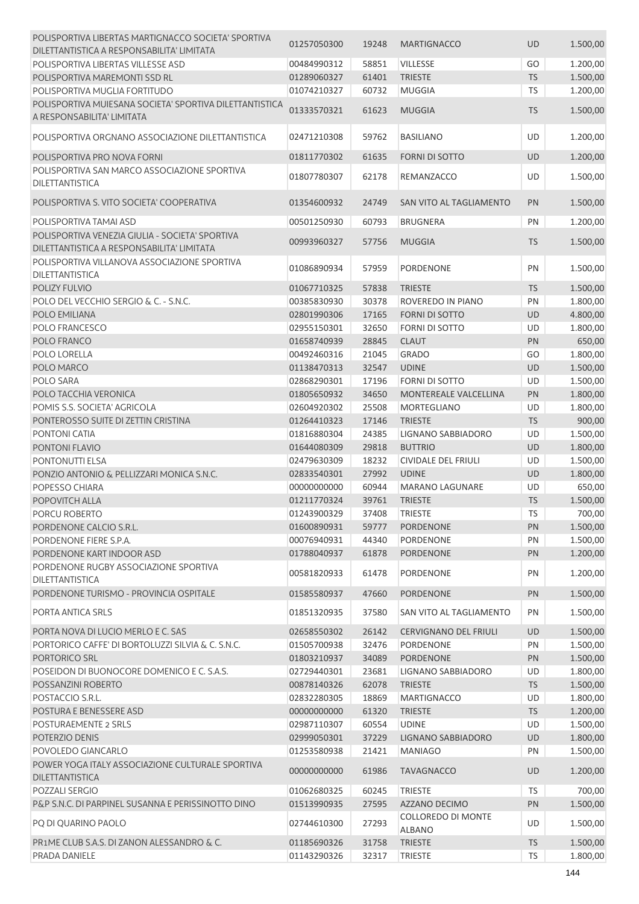| POLISPORTIVA LIBERTAS MARTIGNACCO SOCIETA' SPORTIVA     |             |       |                              |            |          |
|---------------------------------------------------------|-------------|-------|------------------------------|------------|----------|
| DILETTANTISTICA A RESPONSABILITA' LIMITATA              | 01257050300 | 19248 | <b>MARTIGNACCO</b>           | UD         | 1.500,00 |
| POLISPORTIVA LIBERTAS VILLESSE ASD                      | 00484990312 | 58851 | <b>VILLESSE</b>              | GO         | 1.200,00 |
| POLISPORTIVA MAREMONTI SSD RL                           | 01289060327 | 61401 | <b>TRIESTE</b>               | <b>TS</b>  | 1.500,00 |
| POLISPORTIVA MUGLIA FORTITUDO                           | 01074210327 | 60732 | <b>MUGGIA</b>                | <b>TS</b>  | 1.200,00 |
| POLISPORTIVA MUIESANA SOCIETA' SPORTIVA DILETTANTISTICA |             |       |                              |            |          |
| A RESPONSABILITA' LIMITATA                              | 01333570321 | 61623 | <b>MUGGIA</b>                | <b>TS</b>  | 1.500,00 |
|                                                         |             |       |                              |            |          |
| POLISPORTIVA ORGNANO ASSOCIAZIONE DILETTANTISTICA       | 02471210308 | 59762 | <b>BASILIANO</b>             | UD         | 1.200,00 |
| POLISPORTIVA PRO NOVA FORNI                             | 01811770302 | 61635 | <b>FORNI DI SOTTO</b>        | UD         | 1.200,00 |
| POLISPORTIVA SAN MARCO ASSOCIAZIONE SPORTIVA            |             |       |                              |            |          |
| <b>DILETTANTISTICA</b>                                  | 01807780307 | 62178 | REMANZACCO                   | UD         | 1.500,00 |
|                                                         |             |       |                              |            |          |
| POLISPORTIVA S. VITO SOCIETA' COOPERATIVA               | 01354600932 | 24749 | SAN VITO AL TAGLIAMENTO      | PN         | 1.500,00 |
| POLISPORTIVA TAMAI ASD                                  | 00501250930 | 60793 | <b>BRUGNERA</b>              | PN         | 1.200,00 |
| POLISPORTIVA VENEZIA GIULIA - SOCIETA' SPORTIVA         |             |       |                              |            |          |
| DILETTANTISTICA A RESPONSABILITA' LIMITATA              | 00993960327 | 57756 | <b>MUGGIA</b>                | <b>TS</b>  | 1.500,00 |
| POLISPORTIVA VILLANOVA ASSOCIAZIONE SPORTIVA            | 01086890934 | 57959 | <b>PORDENONE</b>             | PN         | 1.500,00 |
| <b>DILETTANTISTICA</b>                                  |             |       |                              |            |          |
| POLIZY FULVIO                                           | 01067710325 | 57838 | <b>TRIESTE</b>               | <b>TS</b>  | 1.500,00 |
| POLO DEL VECCHIO SERGIO & C. - S.N.C.                   | 00385830930 | 30378 | ROVEREDO IN PIANO            | PN         | 1.800,00 |
| POLO EMILIANA                                           | 02801990306 | 17165 | FORNI DI SOTTO               | UD         | 4.800,00 |
| <b>POLO FRANCESCO</b>                                   | 02955150301 | 32650 | <b>FORNI DI SOTTO</b>        | UD         | 1.800,00 |
| POLO FRANCO                                             | 01658740939 | 28845 | <b>CLAUT</b>                 | PN         | 650,00   |
| POLO LORELLA                                            | 00492460316 | 21045 | <b>GRADO</b>                 | GO         | 1.800,00 |
| POLO MARCO                                              | 01138470313 | 32547 | <b>UDINE</b>                 | <b>UD</b>  | 1.500,00 |
| POLO SARA                                               | 02868290301 | 17196 | <b>FORNI DI SOTTO</b>        | UD         | 1.500,00 |
| POLO TACCHIA VERONICA                                   | 01805650932 | 34650 | MONTEREALE VALCELLINA        | PN         | 1.800,00 |
| POMIS S.S. SOCIETA' AGRICOLA                            | 02604920302 | 25508 | MORTEGLIANO                  | UD         | 1.800,00 |
| PONTEROSSO SUITE DI ZETTIN CRISTINA                     | 01264410323 | 17146 | <b>TRIESTE</b>               | <b>TS</b>  | 900,00   |
| PONTONI CATIA                                           | 01816880304 | 24385 | LIGNANO SABBIADORO           | UD         | 1.500,00 |
| PONTONI FLAVIO                                          | 01644080309 | 29818 | <b>BUTTRIO</b>               | UD         | 1.800,00 |
| PONTONUTTI ELSA                                         | 02479630309 | 18232 | <b>CIVIDALE DEL FRIULI</b>   | UD         | 1.500,00 |
| PONZIO ANTONIO & PELLIZZARI MONICA S.N.C.               | 02833540301 | 27992 | <b>UDINE</b>                 | UD         | 1.800,00 |
| POPESSO CHIARA                                          |             |       |                              | UD         |          |
|                                                         | 00000000000 | 60944 | <b>MARANO LAGUNARE</b>       |            | 650,00   |
| POPOVITCH ALLA                                          | 01211770324 | 39761 | <b>TRIESTE</b>               | <b>TS</b>  | 1.500,00 |
| PORCU ROBERTO                                           | 01243900329 | 37408 | TRIESTE                      | ${\sf TS}$ | 700,00   |
| PORDENONE CALCIO S.R.L.                                 | 01600890931 | 59777 | <b>PORDENONE</b>             | <b>PN</b>  | 1.500,00 |
| PORDENONE FIERE S.P.A.                                  | 00076940931 | 44340 | PORDENONE                    | PN         | 1.500,00 |
| PORDENONE KART INDOOR ASD                               | 01788040937 | 61878 | <b>PORDENONE</b>             | <b>PN</b>  | 1.200,00 |
| PORDENONE RUGBY ASSOCIAZIONE SPORTIVA                   | 00581820933 | 61478 | PORDENONE                    | PN         | 1.200,00 |
| DILETTANTISTICA                                         |             |       |                              |            |          |
| PORDENONE TURISMO - PROVINCIA OSPITALE                  | 01585580937 | 47660 | <b>PORDENONE</b>             | PN         | 1.500,00 |
| PORTA ANTICA SRLS                                       | 01851320935 | 37580 | SAN VITO AL TAGLIAMENTO      | PN         | 1.500,00 |
| PORTA NOVA DI LUCIO MERLO E C. SAS                      | 02658550302 | 26142 | <b>CERVIGNANO DEL FRIULI</b> | UD         | 1.500,00 |
| PORTORICO CAFFE' DI BORTOLUZZI SILVIA & C. S.N.C.       | 01505700938 | 32476 | PORDENONE                    | PN         | 1.500,00 |
|                                                         |             |       |                              |            |          |
| PORTORICO SRL                                           | 01803210937 | 34089 | PORDENONE                    | PN         | 1.500,00 |
| POSEIDON DI BUONOCORE DOMENICO E C. S.A.S.              | 02729440301 | 23681 | LIGNANO SABBIADORO           | UD         | 1.800,00 |
| POSSANZINI ROBERTO                                      | 00878140326 | 62078 | <b>TRIESTE</b>               | <b>TS</b>  | 1.500,00 |
| POSTACCIO S.R.L.                                        | 02832280305 | 18869 | <b>MARTIGNACCO</b>           | UD         | 1.800,00 |
| POSTURA E BENESSERE ASD                                 | 00000000000 | 61320 | <b>TRIESTE</b>               | <b>TS</b>  | 1.200,00 |
| POSTURAEMENTE 2 SRLS                                    | 02987110307 | 60554 | <b>UDINE</b>                 | <b>UD</b>  | 1.500,00 |
| POTERZIO DENIS                                          | 02999050301 | 37229 | LIGNANO SABBIADORO           | UD         | 1.800,00 |
| POVOLEDO GIANCARLO                                      | 01253580938 | 21421 | <b>MANIAGO</b>               | PN         | 1.500,00 |
| POWER YOGA ITALY ASSOCIAZIONE CULTURALE SPORTIVA        | 00000000000 | 61986 | <b>TAVAGNACCO</b>            | UD         | 1.200,00 |
| <b>DILETTANTISTICA</b>                                  |             |       |                              |            |          |
| POZZALI SERGIO                                          | 01062680325 | 60245 | <b>TRIESTE</b>               | <b>TS</b>  | 700,00   |
| P&P S.N.C. DI PARPINEL SUSANNA E PERISSINOTTO DINO      | 01513990935 | 27595 | AZZANO DECIMO                | PN         | 1.500,00 |
| PQ DI QUARINO PAOLO                                     | 02744610300 | 27293 | COLLOREDO DI MONTE           | UD         | 1.500,00 |
|                                                         |             |       | <b>ALBANO</b>                |            |          |
| PR1ME CLUB S.A.S. DI ZANON ALESSANDRO & C.              | 01185690326 | 31758 | <b>TRIESTE</b>               | <b>TS</b>  | 1.500,00 |
| PRADA DANIELE                                           | 01143290326 | 32317 | <b>TRIESTE</b>               | TS         | 1.800,00 |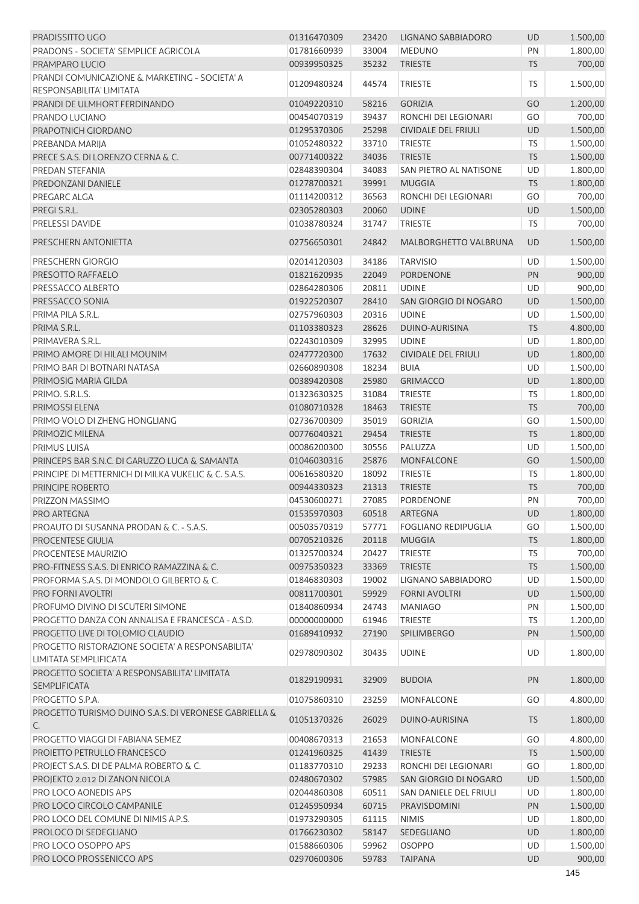| <b>PRADISSITTO UGO</b>                                                    | 01316470309 | 23420 | LIGNANO SABBIADORO         | <b>UD</b> | 1.500,00 |
|---------------------------------------------------------------------------|-------------|-------|----------------------------|-----------|----------|
| PRADONS - SOCIETA' SEMPLICE AGRICOLA                                      | 01781660939 | 33004 | <b>MEDUNO</b>              | PN        | 1.800,00 |
| PRAMPARO LUCIO                                                            | 00939950325 | 35232 | <b>TRIESTE</b>             | <b>TS</b> | 700,00   |
| PRANDI COMUNICAZIONE & MARKETING - SOCIETA' A                             | 01209480324 | 44574 | <b>TRIESTE</b>             | TS        | 1.500,00 |
| RESPONSABILITA' LIMITATA                                                  |             |       |                            |           |          |
| PRANDI DE ULMHORT FERDINANDO                                              | 01049220310 | 58216 | <b>GORIZIA</b>             | GO        | 1.200,00 |
| PRANDO LUCIANO                                                            | 00454070319 | 39437 | RONCHI DEI LEGIONARI       | GO        | 700,00   |
| PRAPOTNICH GIORDANO                                                       | 01295370306 | 25298 | <b>CIVIDALE DEL FRIULI</b> | <b>UD</b> | 1.500,00 |
| PREBANDA MARIIA                                                           | 01052480322 | 33710 | <b>TRIESTE</b>             | TS        | 1.500,00 |
| PRECE S.A.S. DI LORENZO CERNA & C.                                        | 00771400322 | 34036 | <b>TRIESTE</b>             | <b>TS</b> | 1.500,00 |
| PREDAN STEFANIA                                                           | 02848390304 | 34083 | SAN PIETRO AL NATISONE     | UD        | 1.800,00 |
| PREDONZANI DANIELE                                                        | 01278700321 | 39991 | <b>MUGGIA</b>              | <b>TS</b> | 1.800,00 |
| PREGARC ALGA                                                              | 01114200312 | 36563 | RONCHI DEI LEGIONARI       | GO        | 700,00   |
| PREGI S.R.L.                                                              | 02305280303 | 20060 | <b>UDINE</b>               | UD        | 1.500,00 |
| PRELESSI DAVIDE                                                           | 01038780324 | 31747 | <b>TRIESTE</b>             | TS        | 700,00   |
| PRESCHERN ANTONIETTA                                                      | 02756650301 | 24842 | MALBORGHETTO VALBRUNA      | <b>UD</b> | 1.500,00 |
| PRESCHERN GIORGIO                                                         | 02014120303 | 34186 | <b>TARVISIO</b>            | UD        | 1.500,00 |
| PRESOTTO RAFFAELO                                                         | 01821620935 | 22049 | <b>PORDENONE</b>           | PN        | 900,00   |
| PRESSACCO ALBERTO                                                         | 02864280306 | 20811 | <b>UDINE</b>               | UD        | 900,00   |
| PRESSACCO SONIA                                                           | 01922520307 | 28410 | SAN GIORGIO DI NOGARO      | UD        | 1.500,00 |
| PRIMA PILA S.R.L.                                                         | 02757960303 | 20316 | <b>UDINE</b>               | UD        | 1.500,00 |
| PRIMA S.R.L.                                                              | 01103380323 | 28626 | DUINO-AURISINA             | <b>TS</b> | 4.800,00 |
| PRIMAVERA S.R.L.                                                          | 02243010309 | 32995 | <b>UDINE</b>               | UD        | 1.800,00 |
| PRIMO AMORE DI HILALI MOUNIM                                              | 02477720300 | 17632 | <b>CIVIDALE DEL FRIULI</b> | <b>UD</b> | 1.800,00 |
| PRIMO BAR DI BOTNARI NATASA                                               | 02660890308 | 18234 | <b>BUIA</b>                | UD        | 1.500,00 |
| PRIMOSIG MARIA GILDA                                                      | 00389420308 | 25980 | <b>GRIMACCO</b>            | <b>UD</b> | 1.800,00 |
| PRIMO. S.R.L.S.                                                           | 01323630325 | 31084 | <b>TRIESTE</b>             | <b>TS</b> | 1.800,00 |
| PRIMOSSI ELENA                                                            | 01080710328 | 18463 | <b>TRIESTE</b>             | <b>TS</b> | 700,00   |
| PRIMO VOLO DI ZHENG HONGLIANG                                             | 02736700309 | 35019 | <b>GORIZIA</b>             | GO        | 1.500,00 |
| PRIMOZIC MILENA                                                           | 00776040321 | 29454 | <b>TRIESTE</b>             | <b>TS</b> | 1.800,00 |
| PRIMUS LUISA                                                              | 00086200300 | 30556 | PALUZZA                    | UD        | 1.500,00 |
| PRINCEPS BAR S.N.C. DI GARUZZO LUCA & SAMANTA                             | 01046030316 | 25876 | <b>MONFALCONE</b>          | GO        | 1.500,00 |
| PRINCIPE DI METTERNICH DI MILKA VUKELIC & C. S.A.S.                       | 00616580320 | 18092 | <b>TRIESTE</b>             | <b>TS</b> | 1.800,00 |
| PRINCIPE ROBERTO                                                          | 00944330323 | 21313 | <b>TRIESTE</b>             | <b>TS</b> | 700,00   |
| PRIZZON MASSIMO                                                           | 04530600271 | 27085 | PORDENONE                  | PN        | 700,00   |
| PRO ARTEGNA                                                               | 01535970303 |       | 60518 ARTEGNA              | <b>UD</b> | 1.800,00 |
| PROAUTO DI SUSANNA PRODAN & C. - S.A.S.                                   | 00503570319 | 57771 | <b>FOGLIANO REDIPUGLIA</b> | GO        | 1.500,00 |
| PROCENTESE GIULIA                                                         | 00705210326 | 20118 | <b>MUGGIA</b>              | <b>TS</b> | 1.800,00 |
| PROCENTESE MAURIZIO                                                       | 01325700324 | 20427 | <b>TRIESTE</b>             | <b>TS</b> | 700,00   |
| PRO-FITNESS S.A.S. DI ENRICO RAMAZZINA & C.                               | 00975350323 | 33369 | <b>TRIESTE</b>             | <b>TS</b> | 1.500,00 |
| PROFORMA S.A.S. DI MONDOLO GILBERTO & C.                                  | 01846830303 | 19002 | LIGNANO SABBIADORO         | UD        | 1.500,00 |
| PRO FORNI AVOLTRI                                                         | 00811700301 | 59929 | <b>FORNI AVOLTRI</b>       | UD        | 1.500,00 |
| PROFUMO DIVINO DI SCUTERI SIMONE                                          | 01840860934 | 24743 | <b>MANIAGO</b>             | PN        | 1.500,00 |
| PROGETTO DANZA CON ANNALISA E FRANCESCA - A.S.D.                          | 00000000000 | 61946 | <b>TRIESTE</b>             | <b>TS</b> | 1.200,00 |
| PROGETTO LIVE DI TOLOMIO CLAUDIO                                          | 01689410932 | 27190 | <b>SPILIMBERGO</b>         | PN        | 1.500,00 |
| PROGETTO RISTORAZIONE SOCIETA' A RESPONSABILITA'<br>LIMITATA SEMPLIFICATA | 02978090302 | 30435 | <b>UDINE</b>               | UD        | 1.800,00 |
| PROGETTO SOCIETA' A RESPONSABILITA' LIMITATA                              | 01829190931 | 32909 | <b>BUDOIA</b>              | PN        | 1.800,00 |
| <b>SEMPLIFICATA</b>                                                       |             |       |                            |           |          |
| PROGETTO S.P.A.                                                           | 01075860310 | 23259 | MONFALCONE                 | GO        | 4.800,00 |
| PROGETTO TURISMO DUINO S.A.S. DI VERONESE GABRIELLA &<br>C.               | 01051370326 | 26029 | DUINO-AURISINA             | TS        | 1.800,00 |
| PROGETTO VIAGGI DI FABIANA SEMEZ                                          | 00408670313 | 21653 | MONFALCONE                 | GO        | 4.800,00 |
| PROIETTO PETRULLO FRANCESCO                                               | 01241960325 | 41439 | <b>TRIESTE</b>             | <b>TS</b> | 1.500,00 |
| PROJECT S.A.S. DI DE PALMA ROBERTO & C.                                   | 01183770310 | 29233 | RONCHI DEI LEGIONARI       | GO        | 1.800,00 |
| PROJEKTO 2.012 DI ZANON NICOLA                                            | 02480670302 | 57985 | SAN GIORGIO DI NOGARO      | UD        | 1.500,00 |
| PRO LOCO AONEDIS APS                                                      | 02044860308 | 60511 | SAN DANIELE DEL FRIULI     | UD        | 1.800,00 |
| PRO LOCO CIRCOLO CAMPANILE                                                | 01245950934 | 60715 | <b>PRAVISDOMINI</b>        | PN        | 1.500,00 |
| PRO LOCO DEL COMUNE DI NIMIS A.P.S.                                       | 01973290305 | 61115 | <b>NIMIS</b>               | UD        | 1.800,00 |
| PROLOCO DI SEDEGLIANO                                                     | 01766230302 | 58147 | SEDEGLIANO                 | <b>UD</b> | 1.800,00 |
| PRO LOCO OSOPPO APS                                                       | 01588660306 | 59962 | <b>OSOPPO</b>              | <b>UD</b> | 1.500,00 |
| PRO LOCO PROSSENICCO APS                                                  | 02970600306 | 59783 | <b>TAIPANA</b>             | <b>UD</b> | 900,00   |
|                                                                           |             |       |                            |           | 145      |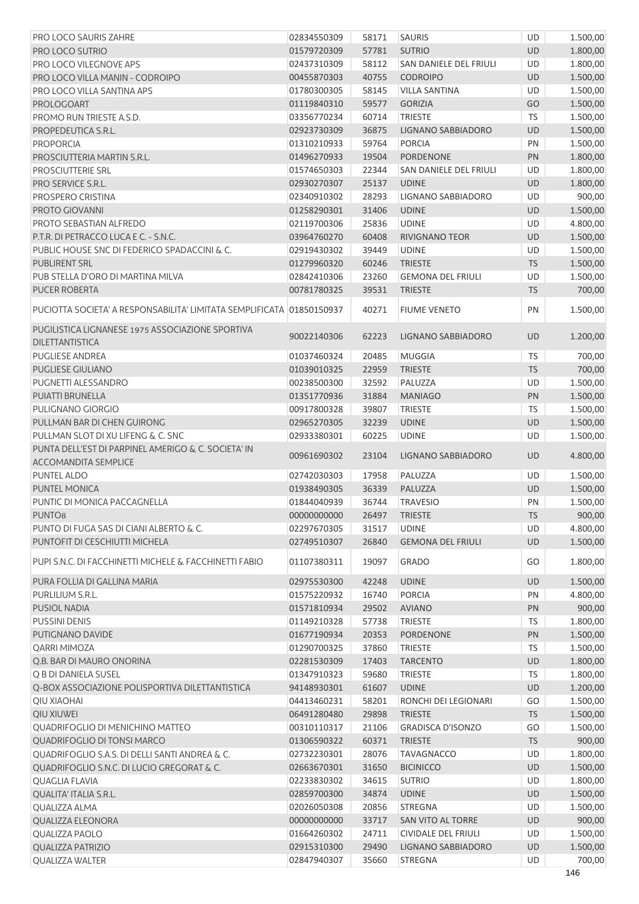| PRO LOCO SAURIS ZAHRE                                                 | 02834550309 | 58171 | <b>SAURIS</b>              | UD        | 1.500,00           |
|-----------------------------------------------------------------------|-------------|-------|----------------------------|-----------|--------------------|
| PRO LOCO SUTRIO                                                       | 01579720309 | 57781 | <b>SUTRIO</b>              | <b>UD</b> | 1.800,00           |
| PRO LOCO VILEGNOVE APS                                                | 02437310309 | 58112 | SAN DANIELE DEL FRIULI     | <b>UD</b> | 1.800,00           |
| PRO LOCO VILLA MANIN - CODROIPO                                       | 00455870303 | 40755 | <b>CODROIPO</b>            | UD        | 1.500,00           |
| PRO LOCO VILLA SANTINA APS                                            | 01780300305 | 58145 | <b>VILLA SANTINA</b>       | <b>UD</b> | 1.500,00           |
| PROLOGOART                                                            | 01119840310 | 59577 | <b>GORIZIA</b>             | GO        | 1.500,00           |
| PROMO RUN TRIESTE A.S.D.                                              | 03356770234 | 60714 | <b>TRIESTE</b>             | TS        | 1.500,00           |
| PROPEDEUTICA S.R.L.                                                   | 02923730309 | 36875 | LIGNANO SABBIADORO         | UD        | 1.500,00           |
| <b>PROPORCIA</b>                                                      | 01310210933 | 59764 | <b>PORCIA</b>              | PN        | 1.500,00           |
| PROSCIUTTERIA MARTIN S.R.L.                                           | 01496270933 | 19504 | <b>PORDENONE</b>           | PN        | 1.800,00           |
| PROSCIUTTERIE SRL                                                     | 01574650303 | 22344 | SAN DANIELE DEL FRIULI     | UD        | 1.800,00           |
| <b>PRO SERVICE S.R.L.</b>                                             | 02930270307 | 25137 | <b>UDINE</b>               | UD        | 1.800,00           |
| PROSPERO CRISTINA                                                     | 02340910302 | 28293 | LIGNANO SABBIADORO         | UD        | 900,00             |
| PROTO GIOVANNI                                                        | 01258290301 | 31406 | <b>UDINE</b>               | UD        | 1.500,00           |
| PROTO SEBASTIAN ALFREDO                                               | 02119700306 | 25836 | <b>UDINE</b>               | UD        | 4.800,00           |
| P.T.R. DI PETRACCO LUCA E C. - S.N.C.                                 | 03964760270 | 60408 | <b>RIVIGNANO TEOR</b>      | UD        | 1.500,00           |
| PUBLIC HOUSE SNC DI FEDERICO SPADACCINI & C.                          | 02919430302 | 39449 | <b>UDINE</b>               | UD        |                    |
|                                                                       |             |       |                            |           | 1.500,00           |
| <b>PUBLIRENT SRL</b>                                                  | 01279960320 | 60246 | <b>TRIESTE</b>             | <b>TS</b> | 1.500,00           |
| PUB STELLA D'ORO DI MARTINA MILVA                                     | 02842410306 | 23260 | <b>GEMONA DEL FRIULI</b>   | UD        | 1.500,00           |
| <b>PUCER ROBERTA</b>                                                  | 00781780325 | 39531 | <b>TRIESTE</b>             | <b>TS</b> | 700,00             |
| PUCIOTTA SOCIETA' A RESPONSABILITA' LIMITATA SEMPLIFICATA 01850150937 |             | 40271 | <b>FIUME VENETO</b>        | PN        | 1.500,00           |
| PUGILISTICA LIGNANESE 1975 ASSOCIAZIONE SPORTIVA<br>DILETTANTISTICA   | 90022140306 | 62223 | LIGNANO SABBIADORO         | <b>UD</b> | 1.200,00           |
| PUGLIESE ANDREA                                                       | 01037460324 | 20485 | <b>MUGGIA</b>              | TS        | 700,00             |
| <b>PUGLIESE GIULIANO</b>                                              | 01039010325 | 22959 | <b>TRIESTE</b>             | <b>TS</b> | 700,00             |
| PUGNETTI ALESSANDRO                                                   | 00238500300 | 32592 | PALUZZA                    | UD        | 1.500,00           |
| <b>PUIATTI BRUNELLA</b>                                               | 01351770936 | 31884 | <b>MANIAGO</b>             | PN        | 1.500,00           |
| PULIGNANO GIORGIO                                                     | 00917800328 | 39807 | <b>TRIESTE</b>             | <b>TS</b> | 1.500,00           |
| PULLMAN BAR DI CHEN GUIRONG                                           | 02965270305 | 32239 | <b>UDINE</b>               | <b>UD</b> | 1.500,00           |
| PULLMAN SLOT DI XU LIFENG & C. SNC                                    | 02933380301 | 60225 | <b>UDINE</b>               | <b>UD</b> | 1.500,00           |
| PUNTA DELL'EST DI PARPINEL AMERIGO & C. SOCIETA' IN                   |             |       |                            |           |                    |
| <b>ACCOMANDITA SEMPLICE</b>                                           | 00961690302 | 23104 | LIGNANO SABBIADORO         | <b>UD</b> | 4.800,00           |
| <b>PUNTEL ALDO</b>                                                    | 02742030303 | 17958 | PALUZZA                    | UD        | 1.500,00           |
| PUNTEL MONICA                                                         | 01938490305 | 36339 | PALUZZA                    | <b>UD</b> | 1.500,00           |
| PUNTIC DI MONICA PACCAGNELLA                                          | 01844040939 | 36744 | <b>TRAVESIO</b>            | PN        |                    |
|                                                                       |             |       |                            |           | 1.500,00<br>900,00 |
| PUNTO8                                                                | 00000000000 | 26497 | <b>TRIESTE</b>             | <b>TS</b> |                    |
| PUNTO DI FUGA SAS DI CIANI ALBERTO & C.                               | 02297670305 | 31517 | <b>UDINE</b>               | <b>UD</b> | 4.800,00           |
| PUNTOFIT DI CESCHIUTTI MICHELA                                        | 02749510307 | 26840 | <b>GEMONA DEL FRIULI</b>   | <b>UD</b> | 1.500,00           |
| PUPI S.N.C. DI FACCHINETTI MICHELE & FACCHINETTI FABIO                | 01107380311 | 19097 | <b>GRADO</b>               | GO        | 1.800,00           |
| PURA FOLLIA DI GALLINA MARIA                                          | 02975530300 | 42248 | <b>UDINE</b>               | UD        | 1.500,00           |
| PURLILIUM S.R.L.                                                      | 01575220932 | 16740 | <b>PORCIA</b>              | PN        | 4.800,00           |
| <b>PUSIOL NADIA</b>                                                   | 01571810934 | 29502 | <b>AVIANO</b>              | PN        | 900,00             |
| <b>PUSSINI DENIS</b>                                                  | 01149210328 | 57738 | <b>TRIESTE</b>             | <b>TS</b> | 1.800,00           |
| PUTIGNANO DAVIDE                                                      | 01677190934 | 20353 | <b>PORDENONE</b>           | PN        | 1.500,00           |
| <b>QARRI MIMOZA</b>                                                   | 01290700325 | 37860 | <b>TRIESTE</b>             | <b>TS</b> | 1.500,00           |
| Q.B. BAR DI MAURO ONORINA                                             | 02281530309 | 17403 | <b>TARCENTO</b>            | UD        | 1.800,00           |
| Q B DI DANIELA SUSEL                                                  | 01347910323 | 59680 | <b>TRIESTE</b>             | <b>TS</b> | 1.800,00           |
| Q-BOX ASSOCIAZIONE POLISPORTIVA DILETTANTISTICA                       | 94148930301 | 61607 | <b>UDINE</b>               | <b>UD</b> | 1.200,00           |
| <b>QIU XIAOHAI</b>                                                    | 04413460231 | 58201 | RONCHI DEI LEGIONARI       | GO        | 1.500,00           |
| QIU XIUWEI                                                            | 06491280480 | 29898 | <b>TRIESTE</b>             | <b>TS</b> | 1.500,00           |
| QUADRIFOGLIO DI MENICHINO MATTEO                                      | 00310110317 | 21106 | <b>GRADISCA D'ISONZO</b>   | GO        | 1.500,00           |
| <b>QUADRIFOGLIO DI TONSI MARCO</b>                                    | 01306590322 | 60371 | <b>TRIESTE</b>             | <b>TS</b> | 900,00             |
| QUADRIFOGLIO S.A.S. DI DELLI SANTI ANDREA & C.                        | 02732230301 | 28076 | <b>TAVAGNACCO</b>          | <b>UD</b> | 1.800,00           |
|                                                                       |             |       |                            |           |                    |
| QUADRIFOGLIO S.N.C. DI LUCIO GREGORAT & C.                            | 02663670301 | 31650 | <b>BICINICCO</b>           | UD        | 1.500,00           |
| <b>QUAGLIA FLAVIA</b>                                                 | 02233830302 | 34615 | <b>SUTRIO</b>              | UD        | 1.800,00           |
| QUALITA' ITALIA S.R.L.                                                | 02859700300 | 34874 | <b>UDINE</b>               | UD        | 1.500,00           |
| QUALIZZA ALMA                                                         | 02026050308 | 20856 | <b>STREGNA</b>             | UD        | 1.500,00           |
| QUALIZZA ELEONORA                                                     | 00000000000 | 33717 | SAN VITO AL TORRE          | UD        | 900,00             |
| <b>QUALIZZA PAOLO</b>                                                 | 01664260302 | 24711 | <b>CIVIDALE DEL FRIULI</b> | UD        | 1.500,00           |
| <b>QUALIZZA PATRIZIO</b>                                              | 02915310300 | 29490 | LIGNANO SABBIADORO         | <b>UD</b> | 1.500,00           |
| <b>QUALIZZA WALTER</b>                                                | 02847940307 | 35660 | <b>STREGNA</b>             | UD        | 700,00             |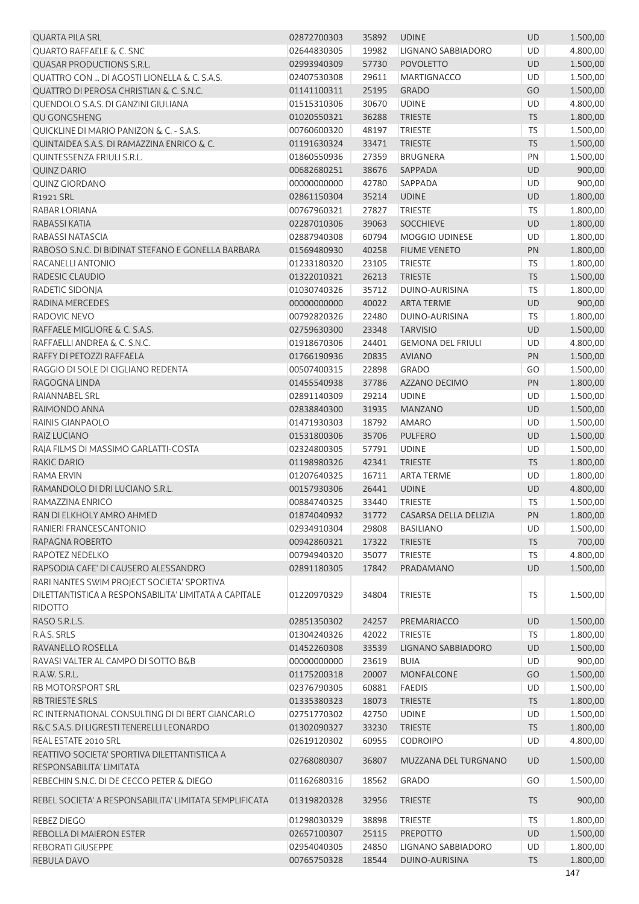| <b>QUARTA PILA SRL</b>                                                                                         | 02872700303 | 35892 | <b>UDINE</b>             | <b>UD</b> | 1.500,00 |
|----------------------------------------------------------------------------------------------------------------|-------------|-------|--------------------------|-----------|----------|
| QUARTO RAFFAELE & C. SNC                                                                                       | 02644830305 | 19982 | LIGNANO SABBIADORO       | <b>UD</b> | 4.800,00 |
| <b>QUASAR PRODUCTIONS S.R.L.</b>                                                                               | 02993940309 | 57730 | <b>POVOLETTO</b>         | UD        | 1.500,00 |
| QUATTRO CON  DI AGOSTI LIONELLA & C. S.A.S.                                                                    | 02407530308 | 29611 | <b>MARTIGNACCO</b>       | UD        | 1.500,00 |
| QUATTRO DI PEROSA CHRISTIAN & C. S.N.C.                                                                        | 01141100311 | 25195 | <b>GRADO</b>             | GO        | 1.500,00 |
| QUENDOLO S.A.S. DI GANZINI GIULIANA                                                                            | 01515310306 | 30670 | <b>UDINE</b>             | UD        | 4.800,00 |
| QU GONGSHENG                                                                                                   | 01020550321 | 36288 | <b>TRIESTE</b>           | <b>TS</b> | 1.800,00 |
| QUICKLINE DI MARIO PANIZON & C. - S.A.S.                                                                       | 00760600320 | 48197 | <b>TRIESTE</b>           | TS        | 1.500,00 |
| QUINTAIDEA S.A.S. DI RAMAZZINA ENRICO & C.                                                                     | 01191630324 | 33471 | <b>TRIESTE</b>           | <b>TS</b> | 1.500,00 |
| QUINTESSENZA FRIULI S.R.L.                                                                                     | 01860550936 | 27359 | <b>BRUGNERA</b>          | PN        | 1.500,00 |
| <b>QUINZ DARIO</b>                                                                                             | 00682680251 | 38676 | SAPPADA                  | UD        | 900,00   |
| <b>QUINZ GIORDANO</b>                                                                                          | 00000000000 | 42780 | SAPPADA                  | UD        | 900,00   |
| R1921 SRL                                                                                                      | 02861150304 | 35214 | <b>UDINE</b>             | <b>UD</b> | 1.800,00 |
| RABAR LORIANA                                                                                                  | 00767960321 | 27827 | <b>TRIESTE</b>           | <b>TS</b> | 1.800,00 |
| RABASSI KATIA                                                                                                  | 02287010306 | 39063 | <b>SOCCHIEVE</b>         | UD        | 1.800,00 |
| RABASSI NATASCIA                                                                                               | 02887940308 | 60794 | <b>MOGGIO UDINESE</b>    | <b>UD</b> | 1.800,00 |
| RABOSO S.N.C. DI BIDINAT STEFANO E GONELLA BARBARA                                                             | 01569480930 | 40258 | <b>FIUME VENETO</b>      | PN        | 1.800,00 |
| RACANELLI ANTONIO                                                                                              | 01233180320 | 23105 | <b>TRIESTE</b>           | <b>TS</b> | 1.800,00 |
| RADESIC CLAUDIO                                                                                                | 01322010321 | 26213 | <b>TRIESTE</b>           | <b>TS</b> | 1.500,00 |
| RADETIC SIDONJA                                                                                                | 01030740326 | 35712 | DUINO-AURISINA           | TS        | 1.800,00 |
| RADINA MERCEDES                                                                                                | 00000000000 | 40022 | <b>ARTA TERME</b>        | <b>UD</b> | 900,00   |
| RADOVIC NEVO                                                                                                   | 00792820326 | 22480 | DUINO-AURISINA           | TS        | 1.800,00 |
| RAFFAELE MIGLIORE & C. S.A.S.                                                                                  | 02759630300 | 23348 | <b>TARVISIO</b>          | UD        | 1.500,00 |
| RAFFAELLI ANDREA & C. S.N.C.                                                                                   | 01918670306 | 24401 | <b>GEMONA DEL FRIULI</b> | <b>UD</b> | 4.800,00 |
| RAFFY DI PETOZZI RAFFAELA                                                                                      | 01766190936 | 20835 | <b>AVIANO</b>            | PN        | 1.500,00 |
| RAGGIO DI SOLE DI CIGLIANO REDENTA                                                                             | 00507400315 | 22898 | <b>GRADO</b>             | GO        | 1.500,00 |
| RAGOGNA LINDA                                                                                                  | 01455540938 | 37786 | AZZANO DECIMO            | PN        | 1.800,00 |
| <b>RAIANNABEL SRL</b>                                                                                          | 02891140309 | 29214 | <b>UDINE</b>             | UD        | 1.500,00 |
| RAIMONDO ANNA                                                                                                  | 02838840300 | 31935 | <b>MANZANO</b>           | <b>UD</b> | 1.500,00 |
| RAINIS GIANPAOLO                                                                                               | 01471930303 | 18792 | <b>AMARO</b>             | UD        | 1.500,00 |
| RAIZ LUCIANO                                                                                                   | 01531800306 | 35706 | <b>PULFERO</b>           | <b>UD</b> | 1.500,00 |
| RAJA FILMS DI MASSIMO GARLATTI-COSTA                                                                           | 02324800305 | 57791 | <b>UDINE</b>             | UD        | 1.500,00 |
| <b>RAKIC DARIO</b>                                                                                             | 01198980326 | 42341 | <b>TRIESTE</b>           | <b>TS</b> | 1.800,00 |
| <b>RAMA ERVIN</b>                                                                                              | 01207640325 | 16711 | <b>ARTA TERME</b>        | UD        | 1.800,00 |
| RAMANDOLO DI DRI LUCIANO S.R.L.                                                                                | 00157930306 | 26441 | <b>UDINE</b>             | UD        | 4.800,00 |
| RAMAZZINA ENRICO                                                                                               | 00884740325 | 33440 | <b>TRIESTE</b>           | <b>TS</b> | 1.500,00 |
| RAN DI ELKHOLY AMRO AHMED                                                                                      | 01874040932 | 31772 | CASARSA DELLA DELIZIA    | <b>PN</b> | 1.800,00 |
| RANIERI FRANCESCANTONIO                                                                                        | 02934910304 | 29808 | <b>BASILIANO</b>         | UD        | 1.500,00 |
| RAPAGNA ROBERTO                                                                                                | 00942860321 | 17322 | <b>TRIESTE</b>           | <b>TS</b> | 700,00   |
| RAPOTEZ NEDELKO                                                                                                | 00794940320 | 35077 | <b>TRIESTE</b>           | <b>TS</b> | 4.800,00 |
| RAPSODIA CAFE' DI CAUSERO ALESSANDRO                                                                           | 02891180305 | 17842 | PRADAMANO                | <b>UD</b> | 1.500,00 |
| RARI NANTES SWIM PROJECT SOCIETA' SPORTIVA<br>DILETTANTISTICA A RESPONSABILITA' LIMITATA A CAPITALE<br>RIDOTTO | 01220970329 | 34804 | <b>TRIESTE</b>           | TS        | 1.500,00 |
| RASO S.R.L.S.                                                                                                  | 02851350302 | 24257 | PREMARIACCO              | UD        | 1.500,00 |
| R.A.S. SRLS                                                                                                    | 01304240326 | 42022 | TRIESTE                  | <b>TS</b> | 1.800,00 |
| RAVANELLO ROSELLA                                                                                              | 01452260308 | 33539 | LIGNANO SABBIADORO       | <b>UD</b> | 1.500,00 |
| RAVASI VALTER AL CAMPO DI SOTTO B&B                                                                            | 00000000000 | 23619 | <b>BUIA</b>              | UD        | 900,00   |
| R.A.W. S.R.L.                                                                                                  | 01175200318 | 20007 | <b>MONFALCONE</b>        | GO        | 1.500,00 |
| RB MOTORSPORT SRL                                                                                              | 02376790305 | 60881 | <b>FAEDIS</b>            | <b>UD</b> | 1.500,00 |
| <b>RB TRIESTE SRLS</b>                                                                                         | 01335380323 | 18073 | <b>TRIESTE</b>           | <b>TS</b> | 1.800,00 |
| RC INTERNATIONAL CONSULTING DI DI BERT GIANCARLO                                                               | 02751770302 | 42750 | <b>UDINE</b>             | UD        | 1.500,00 |
| R&C S.A.S. DI LIGRESTI TENERELLI LEONARDO                                                                      | 01302090327 | 33230 | <b>TRIESTE</b>           | <b>TS</b> | 1.800,00 |
| REAL ESTATE 2010 SRL                                                                                           | 02619120302 | 60955 | <b>CODROIPO</b>          | UD        | 4.800,00 |
| REATTIVO SOCIETA' SPORTIVA DILETTANTISTICA A                                                                   |             |       |                          |           |          |
| RESPONSABILITA' LIMITATA                                                                                       | 02768080307 | 36807 | MUZZANA DEL TURGNANO     | <b>UD</b> | 1.500,00 |
| REBECHIN S.N.C. DI DE CECCO PETER & DIEGO                                                                      | 01162680316 | 18562 | <b>GRADO</b>             | GO        | 1.500,00 |
| REBEL SOCIETA' A RESPONSABILITA' LIMITATA SEMPLIFICATA                                                         | 01319820328 | 32956 | <b>TRIESTE</b>           | <b>TS</b> | 900,00   |
| <b>REBEZ DIEGO</b>                                                                                             | 01298030329 | 38898 | <b>TRIESTE</b>           | <b>TS</b> | 1.800,00 |
| REBOLLA DI MAIERON ESTER                                                                                       | 02657100307 | 25115 | <b>PREPOTTO</b>          | UD        | 1.500,00 |
| <b>REBORATI GIUSEPPE</b>                                                                                       | 02954040305 | 24850 | LIGNANO SABBIADORO       | <b>UD</b> | 1.800,00 |
| <b>REBULA DAVO</b>                                                                                             | 00765750328 | 18544 | DUINO-AURISINA           | <b>TS</b> | 1.800,00 |
|                                                                                                                |             |       |                          |           | 147      |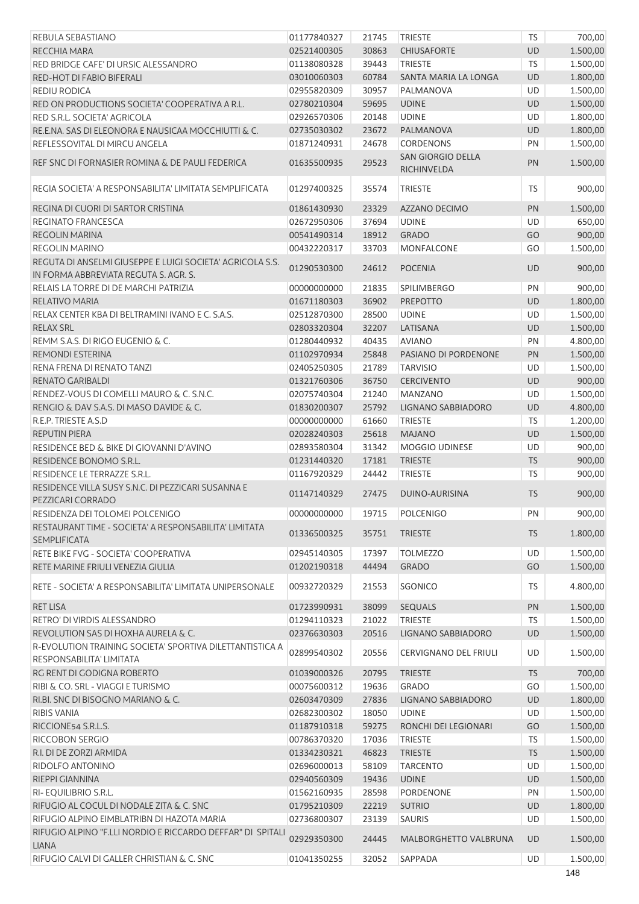| REBULA SEBASTIANO                                                                                  | 01177840327 | 21745 | <b>TRIESTE</b>                                 | <b>TS</b> | 700,00   |
|----------------------------------------------------------------------------------------------------|-------------|-------|------------------------------------------------|-----------|----------|
| RECCHIA MARA                                                                                       | 02521400305 | 30863 | <b>CHIUSAFORTE</b>                             | <b>UD</b> | 1.500,00 |
| RED BRIDGE CAFE' DI URSIC ALESSANDRO                                                               | 01138080328 | 39443 | <b>TRIESTE</b>                                 | <b>TS</b> | 1.500,00 |
| RED-HOT DI FABIO BIFERALI                                                                          | 03010060303 | 60784 | SANTA MARIA LA LONGA                           | <b>UD</b> | 1.800,00 |
| <b>REDIU RODICA</b>                                                                                | 02955820309 | 30957 | PALMANOVA                                      | <b>UD</b> | 1.500,00 |
| RED ON PRODUCTIONS SOCIETA' COOPERATIVA A R.L.                                                     | 02780210304 | 59695 | <b>UDINE</b>                                   | UD        | 1.500,00 |
| RED S.R.L. SOCIETA' AGRICOLA                                                                       | 02926570306 | 20148 | <b>UDINE</b>                                   | UD        | 1.800,00 |
| RE.E.NA. SAS DI ELEONORA E NAUSICAA MOCCHIUTTI & C.                                                | 02735030302 | 23672 | PALMANOVA                                      | UD        | 1.800,00 |
| REFLESSOVITAL DI MIRCU ANGELA                                                                      | 01871240931 | 24678 | <b>CORDENONS</b>                               | PN        | 1.500,00 |
| REF SNC DI FORNASIER ROMINA & DE PAULI FEDERICA                                                    | 01635500935 | 29523 | <b>SAN GIORGIO DELLA</b><br><b>RICHINVELDA</b> | PN        | 1.500,00 |
| REGIA SOCIETA' A RESPONSABILITA' LIMITATA SEMPLIFICATA                                             | 01297400325 | 35574 | <b>TRIESTE</b>                                 | TS        | 900,00   |
| REGINA DI CUORI DI SARTOR CRISTINA                                                                 | 01861430930 | 23329 | AZZANO DECIMO                                  | PN        | 1.500,00 |
| <b>REGINATO FRANCESCA</b>                                                                          | 02672950306 | 37694 | <b>UDINE</b>                                   | <b>UD</b> | 650,00   |
| <b>REGOLIN MARINA</b>                                                                              | 00541490314 | 18912 | <b>GRADO</b>                                   | GO        | 900,00   |
| <b>REGOLIN MARINO</b>                                                                              | 00432220317 | 33703 | MONFALCONE                                     | GO        | 1.500,00 |
| REGUTA DI ANSELMI GIUSEPPE E LUIGI SOCIETA' AGRICOLA S.S.<br>IN FORMA ABBREVIATA REGUTA S. AGR. S. | 01290530300 | 24612 | <b>POCENIA</b>                                 | <b>UD</b> | 900,00   |
| RELAIS LA TORRE DI DE MARCHI PATRIZIA                                                              | 00000000000 | 21835 | <b>SPILIMBERGO</b>                             | PN        | 900,00   |
| RELATIVO MARIA                                                                                     | 01671180303 | 36902 | <b>PREPOTTO</b>                                | <b>UD</b> | 1.800,00 |
| RELAX CENTER KBA DI BELTRAMINI IVANO E C. S.A.S.                                                   | 02512870300 | 28500 | <b>UDINE</b>                                   | UD        | 1.500,00 |
| <b>RELAX SRL</b>                                                                                   | 02803320304 | 32207 | LATISANA                                       | <b>UD</b> | 1.500,00 |
| REMM S.A.S. DI RIGO EUGENIO & C.                                                                   | 01280440932 | 40435 | <b>AVIANO</b>                                  | PN        | 4.800,00 |
| REMONDI ESTERINA                                                                                   | 01102970934 | 25848 | PASIANO DI PORDENONE                           | PN        | 1.500,00 |
| RENA FRENA DI RENATO TANZI                                                                         | 02405250305 | 21789 | <b>TARVISIO</b>                                | <b>UD</b> | 1.500,00 |
| <b>RENATO GARIBALDI</b>                                                                            | 01321760306 | 36750 | <b>CERCIVENTO</b>                              | UD        | 900,00   |
| RENDEZ-VOUS DI COMELLI MAURO & C. S.N.C.                                                           | 02075740304 | 21240 | <b>MANZANO</b>                                 | UD        | 1.500,00 |
| RENGIO & DAV S.A.S. DI MASO DAVIDE & C.                                                            | 01830200307 | 25792 | LIGNANO SABBIADORO                             | <b>UD</b> | 4.800,00 |
| R.E.P. TRIESTE A.S.D                                                                               | 00000000000 | 61660 | <b>TRIESTE</b>                                 | TS        | 1.200,00 |
| <b>REPUTIN PIERA</b>                                                                               | 02028240303 | 25618 | <b>MAJANO</b>                                  | <b>UD</b> | 1.500,00 |
| RESIDENCE BED & BIKE DI GIOVANNI D'AVINO                                                           | 02893580304 | 31342 | MOGGIO UDINESE                                 | <b>UD</b> | 900,00   |
| RESIDENCE BONOMO S.R.L.                                                                            | 01231440320 | 17181 | <b>TRIESTE</b>                                 | <b>TS</b> | 900,00   |
| RESIDENCE LE TERRAZZE S.R.L.                                                                       | 01167920329 | 24442 | <b>TRIESTE</b>                                 | <b>TS</b> | 900,00   |
| RESIDENCE VILLA SUSY S.N.C. DI PEZZICARI SUSANNA E<br>PEZZICARI CORRADO                            | 01147140329 | 27475 | <b>DUINO-AURISINA</b>                          | <b>TS</b> | 900,00   |
| RESIDENZA DEI TOLOMEI POLCENIGO                                                                    | 00000000000 | 19715 | <b>POLCENIGO</b>                               | PN        | 900,00   |
| RESTAURANT TIME - SOCIETA' A RESPONSABILITA' LIMITATA<br><b>SEMPLIFICATA</b>                       | 01336500325 | 35751 | <b>TRIESTE</b>                                 | <b>TS</b> | 1.800,00 |
| RETE BIKE FVG - SOCIETA' COOPERATIVA                                                               | 02945140305 | 17397 | <b>TOLMEZZO</b>                                | <b>UD</b> | 1.500,00 |
| RETE MARINE FRIULI VENEZIA GIULIA                                                                  | 01202190318 | 44494 | <b>GRADO</b>                                   | GO        | 1.500,00 |
| RETE - SOCIETA' A RESPONSABILITA' LIMITATA UNIPERSONALE                                            | 00932720329 | 21553 | SGONICO                                        | TS        | 4.800,00 |
| <b>RET LISA</b>                                                                                    | 01723990931 | 38099 | <b>SEQUALS</b>                                 | PN        | 1.500,00 |
| RETRO' DI VIRDIS ALESSANDRO                                                                        | 01294110323 | 21022 | <b>TRIESTE</b>                                 | <b>TS</b> | 1.500,00 |
| REVOLUTION SAS DI HOXHA AURELA & C.                                                                | 02376630303 | 20516 | LIGNANO SABBIADORO                             | UD        | 1.500,00 |
| R-EVOLUTION TRAINING SOCIETA' SPORTIVA DILETTANTISTICA A<br>RESPONSABILITA' LIMITATA               | 02899540302 | 20556 | CERVIGNANO DEL FRIULI                          | <b>UD</b> | 1.500,00 |
| RG RENT DI GODIGNA ROBERTO                                                                         | 01039000326 | 20795 | <b>TRIESTE</b>                                 | <b>TS</b> | 700,00   |
| RIBI & CO. SRL - VIAGGI E TURISMO                                                                  | 00075600312 | 19636 | <b>GRADO</b>                                   | GO        | 1.500,00 |
| RI.BI. SNC DI BISOGNO MARIANO & C.                                                                 | 02603470309 | 27836 | LIGNANO SABBIADORO                             | UD        | 1.800,00 |
| <b>RIBIS VANIA</b>                                                                                 | 02682300302 | 18050 | <b>UDINE</b>                                   | UD        | 1.500,00 |
| RICCIONE54 S.R.L.S.                                                                                | 01187910318 | 59275 | RONCHI DEI LEGIONARI                           | GO        | 1.500,00 |
| RICCOBON SERGIO                                                                                    | 00786370320 | 17036 | <b>TRIESTE</b>                                 | <b>TS</b> | 1.500,00 |
| R.I. DI DE ZORZI ARMIDA                                                                            | 01334230321 | 46823 | <b>TRIESTE</b>                                 | <b>TS</b> | 1.500,00 |
| RIDOLFO ANTONINO                                                                                   | 02696000013 | 58109 | <b>TARCENTO</b>                                | UD        | 1.500,00 |
| RIEPPI GIANNINA                                                                                    | 02940560309 | 19436 | <b>UDINE</b>                                   | <b>UD</b> | 1.500,00 |
| RI-EQUILIBRIO S.R.L.                                                                               | 01562160935 | 28598 | <b>PORDENONE</b>                               | PN        | 1.500,00 |
| RIFUGIO AL COCUL DI NODALE ZITA & C. SNC                                                           | 01795210309 | 22219 | <b>SUTRIO</b>                                  | <b>UD</b> | 1.800,00 |
| RIFUGIO ALPINO EIMBLATRIBN DI HAZOTA MARIA                                                         | 02736800307 | 23139 | SAURIS                                         | UD        | 1.500,00 |
| RIFUGIO ALPINO "F.LLI NORDIO E RICCARDO DEFFAR" DI SPITALI<br><b>LIANA</b>                         | 02929350300 | 24445 | MALBORGHETTO VALBRUNA                          | UD        | 1.500,00 |
| RIFUGIO CALVI DI GALLER CHRISTIAN & C. SNC                                                         | 01041350255 | 32052 | SAPPADA                                        | <b>UD</b> | 1.500,00 |
|                                                                                                    |             |       |                                                |           | 148      |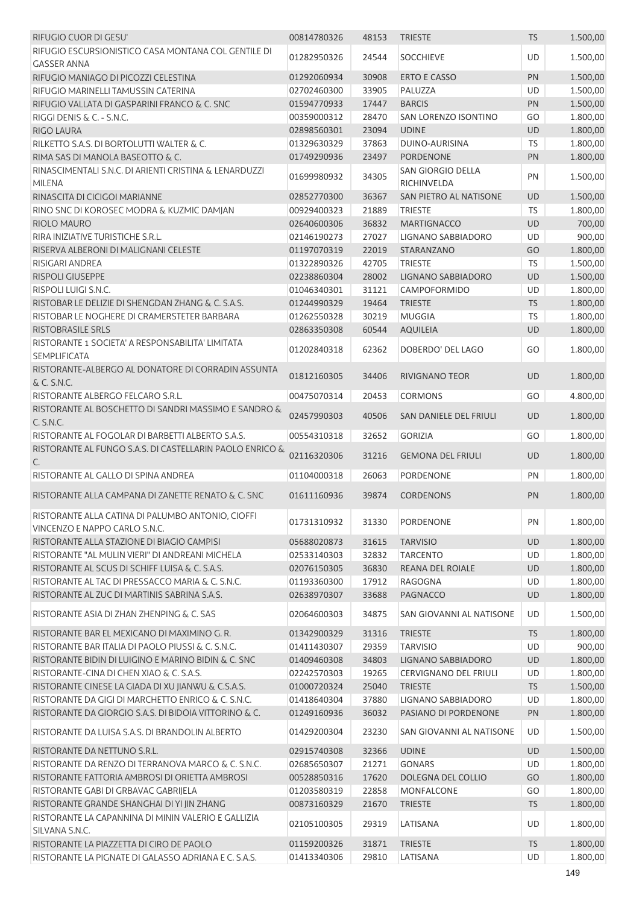| RIFUGIO CUOR DI GESU'                                                                            | 00814780326                | 48153          | <b>TRIESTE</b>                   | <b>TS</b>       | 1.500,00             |
|--------------------------------------------------------------------------------------------------|----------------------------|----------------|----------------------------------|-----------------|----------------------|
| RIFUGIO ESCURSIONISTICO CASA MONTANA COL GENTILE DI                                              | 01282950326                | 24544          | <b>SOCCHIEVE</b>                 | <b>UD</b>       | 1.500,00             |
| <b>GASSER ANNA</b>                                                                               |                            |                |                                  |                 |                      |
| RIFUGIO MANIAGO DI PICOZZI CELESTINA                                                             | 01292060934                | 30908          | <b>ERTO E CASSO</b>              | PN              | 1.500,00             |
| RIFUGIO MARINELLI TAMUSSIN CATERINA                                                              | 02702460300                | 33905          | PALUZZA                          | <b>UD</b>       | 1.500,00             |
| RIFUGIO VALLATA DI GASPARINI FRANCO & C. SNC                                                     | 01594770933                | 17447          | <b>BARCIS</b>                    | PN              | 1.500,00             |
| RIGGI DENIS & C. - S.N.C.                                                                        | 00359000312                | 28470          | SAN LORENZO ISONTINO             | GO              | 1.800,00             |
| <b>RIGO LAURA</b>                                                                                | 02898560301                | 23094          | <b>UDINE</b>                     | UD              | 1.800,00             |
| RILKETTO S.A.S. DI BORTOLUTTI WALTER & C.                                                        | 01329630329                | 37863          | DUINO-AURISINA                   | <b>TS</b>       | 1.800,00             |
| RIMA SAS DI MANOLA BASEOTTO & C.                                                                 | 01749290936                | 23497          | <b>PORDENONE</b>                 | PN              | 1.800,00             |
| RINASCIMENTALI S.N.C. DI ARIENTI CRISTINA & LENARDUZZI<br><b>MILENA</b>                          | 01699980932                | 34305          | SAN GIORGIO DELLA<br>RICHINVELDA | PN              | 1.500,00             |
| RINASCITA DI CICIGOI MARIANNE                                                                    | 02852770300                | 36367          | SAN PIETRO AL NATISONE           | <b>UD</b>       | 1.500,00             |
| RINO SNC DI KOROSEC MODRA & KUZMIC DAMJAN                                                        | 00929400323                | 21889          | <b>TRIESTE</b>                   | TS              | 1.800,00             |
| RIOLO MAURO                                                                                      | 02640600306                | 36832          | <b>MARTIGNACCO</b>               | <b>UD</b>       | 700,00               |
| RIRA INIZIATIVE TURISTICHE S.R.L.                                                                | 02146190273                | 27027          | LIGNANO SABBIADORO               | UD              | 900,00               |
| RISERVA ALBERONI DI MALIGNANI CELESTE                                                            | 01197070319                | 22019          | STARANZANO                       | GO              | 1.800,00             |
| RISIGARI ANDREA                                                                                  | 01322890326                | 42705          | <b>TRIESTE</b>                   | <b>TS</b>       | 1.500,00             |
| <b>RISPOLI GIUSEPPE</b>                                                                          | 02238860304                | 28002          | <b>LIGNANO SABBIADORO</b>        | <b>UD</b>       | 1.500,00             |
| RISPOLI LUIGI S.N.C.                                                                             | 01046340301                | 31121          | CAMPOFORMIDO                     | UD              | 1.800,00             |
| RISTOBAR LE DELIZIE DI SHENGDAN ZHANG & C. S.A.S.                                                | 01244990329                | 19464          | <b>TRIESTE</b>                   | <b>TS</b>       | 1.800,00             |
| RISTOBAR LE NOGHERE DI CRAMERSTETER BARBARA                                                      | 01262550328                | 30219          | <b>MUGGIA</b>                    | TS              | 1.800,00             |
| <b>RISTOBRASILE SRLS</b>                                                                         | 02863350308                | 60544          | <b>AQUILEIA</b>                  | UD              | 1.800,00             |
| RISTORANTE 1 SOCIETA' A RESPONSABILITA' LIMITATA<br><b>SEMPLIFICATA</b>                          | 01202840318                | 62362          | DOBERDO' DEL LAGO                | GO              | 1.800,00             |
| RISTORANTE-ALBERGO AL DONATORE DI CORRADIN ASSUNTA<br>& C. S.N.C.                                | 01812160305                | 34406          | <b>RIVIGNANO TEOR</b>            | <b>UD</b>       | 1.800,00             |
| RISTORANTE ALBERGO FELCARO S.R.L.                                                                | 00475070314                | 20453          | <b>CORMONS</b>                   | GO              | 4.800,00             |
| RISTORANTE AL BOSCHETTO DI SANDRI MASSIMO E SANDRO &<br>C. S.N.C.                                | 02457990303                | 40506          | SAN DANIELE DEL FRIULI           | <b>UD</b>       | 1.800,00             |
| RISTORANTE AL FOGOLAR DI BARBETTI ALBERTO S.A.S.                                                 | 00554310318                | 32652          | <b>GORIZIA</b>                   | GO              | 1.800,00             |
| RISTORANTE AL FUNGO S.A.S. DI CASTELLARIN PAOLO ENRICO &<br>C.                                   | 02116320306                | 31216          | <b>GEMONA DEL FRIULI</b>         | <b>UD</b>       | 1.800,00             |
| RISTORANTE AL GALLO DI SPINA ANDREA                                                              | 01104000318                | 26063          | PORDENONE                        | PN              | 1.800,00             |
| RISTORANTE ALLA CAMPANA DI ZANETTE RENATO & C. SNC                                               | 01611160936                | 39874          | <b>CORDENONS</b>                 | PN              | 1.800,00             |
| RISTORANTE ALLA CATINA DI PALUMBO ANTONIO, CIOFFI                                                | 01731310932                | 31330          | <b>PORDENONE</b>                 | PN              | 1.800,00             |
| VINCENZO E NAPPO CARLO S.N.C.                                                                    |                            |                |                                  |                 |                      |
| RISTORANTE ALLA STAZIONE DI BIAGIO CAMPISI                                                       | 05688020873                | 31615          | <b>TARVISIO</b>                  | <b>UD</b>       | 1.800,00             |
| RISTORANTE "AL MULIN VIERI" DI ANDREANI MICHELA                                                  | 02533140303                | 32832          | <b>TARCENTO</b>                  | <b>UD</b>       | 1.800,00             |
| RISTORANTE AL SCUS DI SCHIFF LUISA & C. S.A.S.                                                   | 02076150305                | 36830          | <b>REANA DEL ROIALE</b>          | UD              | 1.800,00             |
| RISTORANTE AL TAC DI PRESSACCO MARIA & C. S.N.C.<br>RISTORANTE AL ZUC DI MARTINIS SABRINA S.A.S. | 01193360300<br>02638970307 | 17912<br>33688 | RAGOGNA<br><b>PAGNACCO</b>       | UD<br><b>UD</b> | 1.800,00<br>1.800,00 |
|                                                                                                  |                            |                |                                  |                 |                      |
| RISTORANTE ASIA DI ZHAN ZHENPING & C. SAS                                                        | 02064600303                | 34875          | SAN GIOVANNI AL NATISONE         | UD              | 1.500,00             |
| RISTORANTE BAR EL MEXICANO DI MAXIMINO G.R.                                                      | 01342900329                | 31316          | <b>TRIESTE</b>                   | <b>TS</b>       | 1.800,00             |
| RISTORANTE BAR ITALIA DI PAOLO PIUSSI & C. S.N.C.                                                | 01411430307                | 29359          | <b>TARVISIO</b>                  | <b>UD</b>       | 900,00               |
| RISTORANTE BIDIN DI LUIGINO E MARINO BIDIN & C. SNC                                              | 01409460308                | 34803          | LIGNANO SABBIADORO               | <b>UD</b>       | 1.800,00             |
| RISTORANTE-CINA DI CHEN XIAO & C. S.A.S.                                                         | 02242570303                | 19265          | <b>CERVIGNANO DEL FRIULI</b>     | UD              | 1.800,00             |
| RISTORANTE CINESE LA GIADA DI XU JIANWU & C.S.A.S.                                               | 01000720324                | 25040          | <b>TRIESTE</b>                   | <b>TS</b>       | 1.500,00             |
| RISTORANTE DA GIGI DI MARCHETTO ENRICO & C. S.N.C.                                               | 01418640304                | 37880          | LIGNANO SABBIADORO               | <b>UD</b>       | 1.800,00             |
| RISTORANTE DA GIORGIO S.A.S. DI BIDOIA VITTORINO & C.                                            | 01249160936                | 36032          | PASIANO DI PORDENONE             | <b>PN</b>       | 1.800,00             |
| RISTORANTE DA LUISA S.A.S. DI BRANDOLIN ALBERTO                                                  | 01429200304                | 23230          | SAN GIOVANNI AL NATISONE         | UD.             | 1.500,00             |
| RISTORANTE DA NETTUNO S.R.L.                                                                     | 02915740308                | 32366          | <b>UDINE</b>                     | <b>UD</b>       | 1.500,00             |
| RISTORANTE DA RENZO DI TERRANOVA MARCO & C. S.N.C.                                               | 02685650307                | 21271          | <b>GONARS</b>                    | UD              | 1.800,00             |
| RISTORANTE FATTORIA AMBROSI DI ORIETTA AMBROSI                                                   | 00528850316                | 17620          | DOLEGNA DEL COLLIO               | GO              | 1.800,00             |
| RISTORANTE GABI DI GRBAVAC GABRIJELA                                                             | 01203580319                | 22858          | <b>MONFALCONE</b>                | GO              | 1.800,00             |
| RISTORANTE GRANDE SHANGHAI DI YI JIN ZHANG                                                       | 00873160329                | 21670          | <b>TRIESTE</b>                   | <b>TS</b>       | 1.800,00             |
| RISTORANTE LA CAPANNINA DI MININ VALERIO E GALLIZIA<br>SILVANA S.N.C.                            | 02105100305                | 29319          | LATISANA                         | UD              | 1.800,00             |
| RISTORANTE LA PIAZZETTA DI CIRO DE PAOLO                                                         | 01159200326                | 31871          | <b>TRIESTE</b>                   | <b>TS</b>       | 1.800,00             |
| RISTORANTE LA PIGNATE DI GALASSO ADRIANA E C. S.A.S.                                             | 01413340306                | 29810          | LATISANA                         | UD              | 1.800,00             |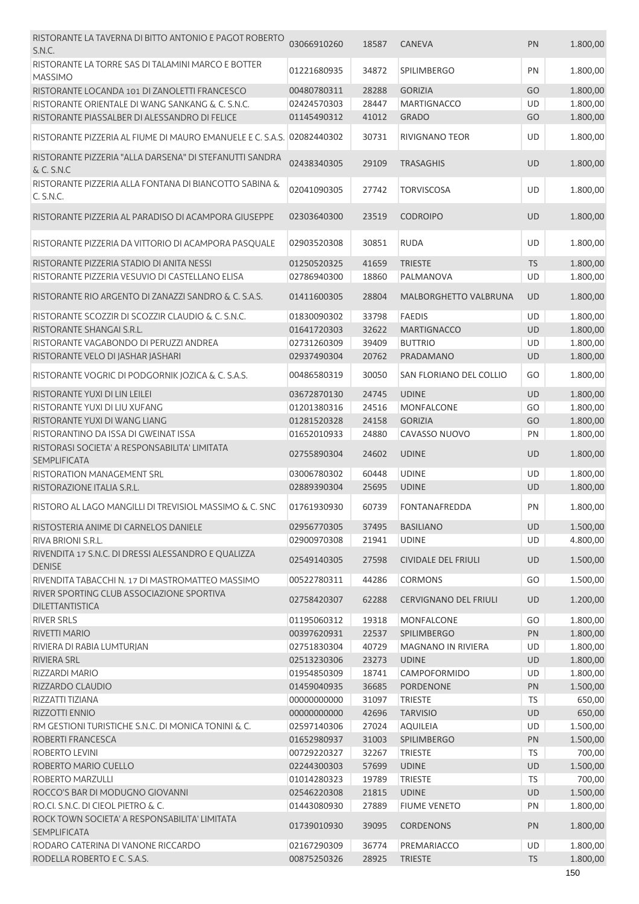| RISTORANTE LA TAVERNA DI BITTO ANTONIO E PAGOT ROBERTO<br>S.N.C.                  | 03066910260 | 18587 | <b>CANEVA</b>                | PN        | 1.800,00 |
|-----------------------------------------------------------------------------------|-------------|-------|------------------------------|-----------|----------|
| RISTORANTE LA TORRE SAS DI TALAMINI MARCO E BOTTER<br><b>MASSIMO</b>              | 01221680935 | 34872 | <b>SPILIMBERGO</b>           | PN        | 1.800,00 |
| RISTORANTE LOCANDA 101 DI ZANOLETTI FRANCESCO                                     | 00480780311 | 28288 | <b>GORIZIA</b>               | GO        | 1.800,00 |
| RISTORANTE ORIENTALE DI WANG SANKANG & C. S.N.C.                                  | 02424570303 | 28447 | <b>MARTIGNACCO</b>           | <b>UD</b> | 1.800,00 |
| RISTORANTE PIASSALBER DI ALESSANDRO DI FELICE                                     | 01145490312 | 41012 | <b>GRADO</b>                 | GO        | 1.800,00 |
| RISTORANTE PIZZERIA AL FIUME DI MAURO EMANUELE E C. S.A.S. 02082440302            |             | 30731 | RIVIGNANO TEOR               | UD        | 1.800,00 |
| RISTORANTE PIZZERIA "ALLA DARSENA" DI STEFANUTTI SANDRA                           | 02438340305 | 29109 | <b>TRASAGHIS</b>             | UD        | 1.800,00 |
| & C. S.N.C<br>RISTORANTE PIZZERIA ALLA FONTANA DI BIANCOTTO SABINA &<br>C. S.N.C. | 02041090305 | 27742 | <b>TORVISCOSA</b>            | UD        | 1.800,00 |
| RISTORANTE PIZZERIA AL PARADISO DI ACAMPORA GIUSEPPE                              | 02303640300 | 23519 | <b>CODROIPO</b>              | UD        | 1.800,00 |
| RISTORANTE PIZZERIA DA VITTORIO DI ACAMPORA PASQUALE                              | 02903520308 | 30851 | <b>RUDA</b>                  | UD        | 1.800,00 |
| RISTORANTE PIZZERIA STADIO DI ANITA NESSI                                         | 01250520325 | 41659 | <b>TRIESTE</b>               | <b>TS</b> | 1.800,00 |
| RISTORANTE PIZZERIA VESUVIO DI CASTELLANO ELISA                                   | 02786940300 | 18860 | PALMANOVA                    | UD        | 1.800,00 |
| RISTORANTE RIO ARGENTO DI ZANAZZI SANDRO & C. S.A.S.                              | 01411600305 | 28804 | MALBORGHETTO VALBRUNA        | UD        | 1.800,00 |
|                                                                                   |             |       |                              |           |          |
| RISTORANTE SCOZZIR DI SCOZZIR CLAUDIO & C. S.N.C.                                 | 01830090302 | 33798 | <b>FAEDIS</b>                | UD        | 1.800,00 |
| RISTORANTE SHANGAI S.R.L.                                                         | 01641720303 | 32622 | <b>MARTIGNACCO</b>           | UD        | 1.800,00 |
| RISTORANTE VAGABONDO DI PERUZZI ANDREA                                            | 02731260309 | 39409 | <b>BUTTRIO</b>               | UD        | 1.800,00 |
| RISTORANTE VELO DI JASHAR JASHARI                                                 | 02937490304 | 20762 | PRADAMANO                    | <b>UD</b> | 1.800,00 |
| RISTORANTE VOGRIC DI PODGORNIK JOZICA & C. S.A.S.                                 | 00486580319 | 30050 | SAN FLORIANO DEL COLLIO      | GO        | 1.800,00 |
| RISTORANTE YUXI DI LIN LEILEI                                                     | 03672870130 | 24745 | <b>UDINE</b>                 | UD        | 1.800,00 |
| RISTORANTE YUXI DI LIU XUFANG                                                     | 01201380316 | 24516 | <b>MONFALCONE</b>            | GO        | 1.800,00 |
| RISTORANTE YUXI DI WANG LIANG                                                     | 01281520328 | 24158 | <b>GORIZIA</b>               | GO        | 1.800,00 |
| RISTORANTINO DA ISSA DI GWEINAT ISSA                                              | 01652010933 | 24880 | CAVASSO NUOVO                | PN        | 1.800,00 |
| RISTORASI SOCIETA' A RESPONSABILITA' LIMITATA<br><b>SEMPLIFICATA</b>              | 02755890304 | 24602 | <b>UDINE</b>                 | UD        | 1.800,00 |
| RISTORATION MANAGEMENT SRL                                                        | 03006780302 | 60448 | <b>UDINE</b>                 | UD        | 1.800,00 |
| RISTORAZIONE ITALIA S.R.L.                                                        | 02889390304 | 25695 | <b>UDINE</b>                 | UD        | 1.800,00 |
| RISTORO AL LAGO MANGILLI DI TREVISIOL MASSIMO & C. SNC                            | 01761930930 | 60739 | FONTANAFREDDA                | PN        | 1.800,00 |
| RISTOSTERIA ANIME DI CARNELOS DANIELE                                             | 02956770305 | 37495 | <b>BASILIANO</b>             | <b>UD</b> | 1.500,00 |
| RIVA BRIONI S.R.L.                                                                | 02900970308 | 21941 | <b>UDINE</b>                 | <b>UD</b> | 4.800,00 |
| RIVENDITA 17 S.N.C. DI DRESSI ALESSANDRO E QUALIZZA<br><b>DENISE</b>              | 02549140305 | 27598 | CIVIDALE DEL FRIULI          | <b>UD</b> | 1.500,00 |
| RIVENDITA TABACCHI N. 17 DI MASTROMATTEO MASSIMO                                  | 00522780311 | 44286 | <b>CORMONS</b>               | GO        | 1.500,00 |
| RIVER SPORTING CLUB ASSOCIAZIONE SPORTIVA<br><b>DILETTANTISTICA</b>               | 02758420307 | 62288 | <b>CERVIGNANO DEL FRIULI</b> | <b>UD</b> | 1.200,00 |
| <b>RIVER SRLS</b>                                                                 | 01195060312 | 19318 | <b>MONFALCONE</b>            | GO        | 1.800,00 |
| RIVETTI MARIO                                                                     | 00397620931 | 22537 | <b>SPILIMBERGO</b>           | PN        | 1.800,00 |
| RIVIERA DI RABIA LUMTURJAN                                                        | 02751830304 | 40729 | MAGNANO IN RIVIERA           | UD        | 1.800,00 |
| <b>RIVIERA SRL</b>                                                                | 02513230306 | 23273 | <b>UDINE</b>                 | <b>UD</b> | 1.800,00 |
| RIZZARDI MARIO                                                                    | 01954850309 | 18741 | CAMPOFORMIDO                 | UD        | 1.800,00 |
| RIZZARDO CLAUDIO                                                                  | 01459040935 | 36685 | PORDENONE                    | PN        | 1.500,00 |
| RIZZATTI TIZIANA                                                                  | 00000000000 | 31097 | <b>TRIESTE</b>               | <b>TS</b> | 650,00   |
| RIZZOTTI ENNIO                                                                    | 00000000000 | 42696 | <b>TARVISIO</b>              | UD        | 650,00   |
| RM GESTIONI TURISTICHE S.N.C. DI MONICA TONINI & C.                               | 02597140306 | 27024 | <b>AQUILEIA</b>              | UD        | 1.500,00 |
| ROBERTI FRANCESCA                                                                 | 01652980937 | 31003 | SPILIMBERGO                  | PN        | 1.500,00 |
| ROBERTO LEVINI                                                                    | 00729220327 | 32267 | <b>TRIESTE</b>               | <b>TS</b> | 700,00   |
| ROBERTO MARIO CUELLO                                                              | 02244300303 | 57699 | <b>UDINE</b>                 | UD        | 1.500,00 |
| ROBERTO MARZULLI                                                                  | 01014280323 | 19789 | <b>TRIESTE</b>               | <b>TS</b> | 700,00   |
| ROCCO'S BAR DI MODUGNO GIOVANNI                                                   | 02546220308 | 21815 | <b>UDINE</b>                 | UD        | 1.500,00 |
| RO.CI. S.N.C. DI CIEOL PIETRO & C.                                                | 01443080930 | 27889 | <b>FIUME VENETO</b>          | PN        | 1.800,00 |
| ROCK TOWN SOCIETA' A RESPONSABILITA' LIMITATA<br><b>SEMPLIFICATA</b>              | 01739010930 | 39095 | <b>CORDENONS</b>             | PN        | 1.800,00 |
| RODARO CATERINA DI VANONE RICCARDO                                                | 02167290309 | 36774 | PREMARIACCO                  | <b>UD</b> | 1.800,00 |
| RODELLA ROBERTO E C. S.A.S.                                                       | 00875250326 | 28925 | <b>TRIESTE</b>               | <b>TS</b> | 1.800,00 |
|                                                                                   |             |       |                              |           | 150      |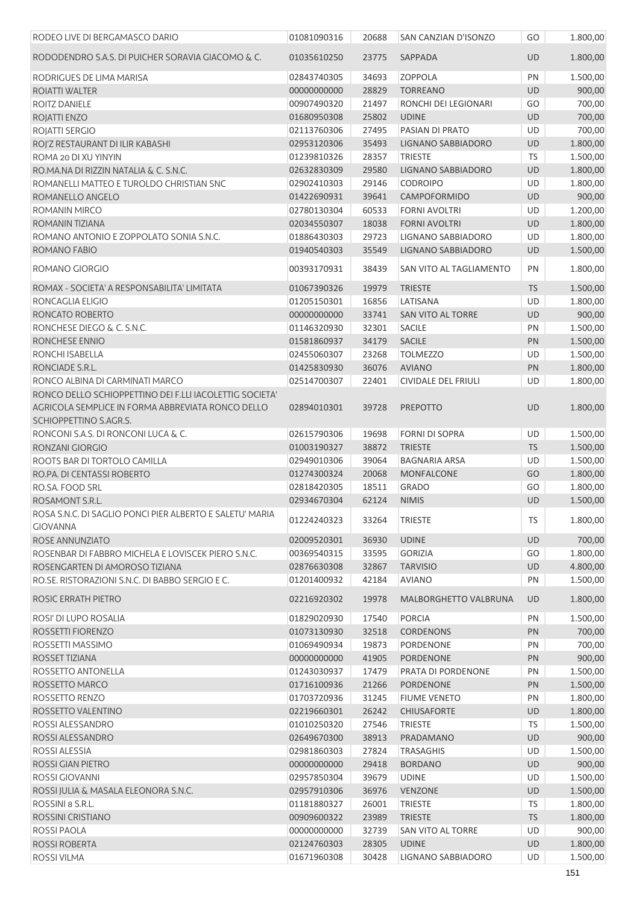| RODEO LIVE DI BERGAMASCO DARIO                                                             | 01081090316 | 20688 | SAN CANZIAN D'ISONZO       | GO        | 1.800,00 |
|--------------------------------------------------------------------------------------------|-------------|-------|----------------------------|-----------|----------|
| RODODENDRO S.A.S. DI PUICHER SORAVIA GIACOMO & C.                                          | 01035610250 | 23775 | SAPPADA                    | <b>UD</b> | 1.800,00 |
| RODRIGUES DE LIMA MARISA                                                                   | 02843740305 | 34693 | <b>ZOPPOLA</b>             | PN        | 1.500,00 |
| <b>ROIATTI WALTER</b>                                                                      | 00000000000 | 28829 | <b>TORREANO</b>            | <b>UD</b> | 900,00   |
| ROITZ DANIELE                                                                              | 00907490320 | 21497 | RONCHI DEI LEGIONARI       | GO        | 700,00   |
| ROJATTI ENZO                                                                               | 01680950308 | 25802 | <b>UDINE</b>               | UD        | 700,00   |
| ROJATTI SERGIO                                                                             | 02113760306 | 27495 | PASIAN DI PRATO            | UD        | 700,00   |
| ROJ'Z RESTAURANT DI ILIR KABASHI                                                           | 02953120306 | 35493 | LIGNANO SABBIADORO         | UD        | 1.800,00 |
| ROMA 20 DI XU YINYIN                                                                       | 01239810326 | 28357 | <b>TRIESTE</b>             | <b>TS</b> | 1.500,00 |
| RO.MA.NA DI RIZZIN NATALIA & C. S.N.C.                                                     | 02632830309 | 29580 | LIGNANO SABBIADORO         | <b>UD</b> | 1.800,00 |
| ROMANELLI MATTEO E TUROLDO CHRISTIAN SNC                                                   | 02902410303 | 29146 | <b>CODROIPO</b>            | UD        | 1.800,00 |
| ROMANELLO ANGELO                                                                           | 01422690931 | 39641 | CAMPOFORMIDO               | UD        | 900,00   |
| ROMANIN MIRCO                                                                              | 02780130304 | 60533 | <b>FORNI AVOLTRI</b>       | UD        | 1.200,00 |
| ROMANIN TIZIANA                                                                            | 02034550307 | 18038 | <b>FORNI AVOLTRI</b>       | UD        | 1.800,00 |
| ROMANO ANTONIO E ZOPPOLATO SONIA S.N.C.                                                    | 01886430303 | 29723 | LIGNANO SABBIADORO         | UD        | 1.800,00 |
| ROMANO FABIO                                                                               | 01940540303 | 35549 | LIGNANO SABBIADORO         | <b>UD</b> | 1.500,00 |
| ROMANO GIORGIO                                                                             | 00393170931 | 38439 | SAN VITO AL TAGLIAMENTO    | PN        | 1.800,00 |
|                                                                                            |             |       |                            |           |          |
| ROMAX - SOCIETA' A RESPONSABILITA' LIMITATA<br>RONCAGLIA ELIGIO                            | 01067390326 | 19979 | <b>TRIESTE</b>             | <b>TS</b> | 1.500,00 |
|                                                                                            | 01205150301 | 16856 | LATISANA                   | UD        | 1.800,00 |
| RONCATO ROBERTO                                                                            | 00000000000 | 33741 | SAN VITO AL TORRE          | <b>UD</b> | 900,00   |
| RONCHESE DIEGO & C. S.N.C.                                                                 | 01146320930 | 32301 | <b>SACILE</b>              | PN        | 1.500,00 |
| RONCHESE ENNIO                                                                             | 01581860937 | 34179 | <b>SACILE</b>              | PN        | 1.500,00 |
| RONCHI ISABELLA                                                                            | 02455060307 | 23268 | <b>TOLMEZZO</b>            | UD        | 1.500,00 |
| RONCIADE S.R.L.                                                                            | 01425830930 | 36076 | <b>AVIANO</b>              | PN        | 1.800,00 |
| RONCO ALBINA DI CARMINATI MARCO<br>RONCO DELLO SCHIOPPETTINO DEI F.LLI IACOLETTIG SOCIETA' | 02514700307 | 22401 | <b>CIVIDALE DEL FRIULI</b> | UD        | 1.800,00 |
| AGRICOLA SEMPLICE IN FORMA ABBREVIATA RONCO DELLO<br>SCHIOPPETTINO S.AGR.S.                | 02894010301 | 39728 | <b>PREPOTTO</b>            | <b>UD</b> | 1.800,00 |
| RONCONI S.A.S. DI RONCONI LUCA & C.                                                        | 02615790306 | 19698 | <b>FORNI DI SOPRA</b>      | UD        | 1.500,00 |
| RONZANI GIORGIO                                                                            | 01003190327 | 38872 | <b>TRIESTE</b>             | TS        | 1.500,00 |
| ROOTS BAR DI TORTOLO CAMILLA                                                               | 02949010306 | 39064 | <b>BAGNARIA ARSA</b>       | UD        | 1.500,00 |
| RO.PA. DI CENTASSI ROBERTO                                                                 | 01274300324 | 20068 | <b>MONFALCONE</b>          | GO        | 1.800,00 |
| RO.SA. FOOD SRL                                                                            | 02818420305 | 18511 | <b>GRADO</b>               | GO        | 1.800,00 |
| ROSAMONT S.R.L.                                                                            | 02934670304 | 62124 | <b>NIMIS</b>               | <b>UD</b> | 1.500,00 |
| ROSA S.N.C. DI SAGLIO PONCI PIER ALBERTO E SALETU' MARIA<br><b>GIOVANNA</b>                | 01224240323 | 33264 | <b>TRIESTE</b>             | TS        | 1.800,00 |
| ROSE ANNUNZIATO                                                                            | 02009520301 | 36930 | <b>UDINE</b>               | <b>UD</b> | 700,00   |
|                                                                                            | 00369540315 |       |                            |           |          |
| ROSENBAR DI FABBRO MICHELA E LOVISCEK PIERO S.N.C.                                         |             | 33595 | <b>GORIZIA</b>             | GO        | 1.800,00 |
| ROSENGARTEN DI AMOROSO TIZIANA                                                             | 02876630308 | 32867 | <b>TARVISIO</b>            | UD        | 4.800,00 |
| RO.SE. RISTORAZIONI S.N.C. DI BABBO SERGIO E C.                                            | 01201400932 | 42184 | <b>AVIANO</b>              | PN        | 1.500,00 |
| ROSIC ERRATH PIETRO                                                                        | 02216920302 | 19978 | MALBORGHETTO VALBRUNA      | <b>UD</b> | 1.800,00 |
| ROSI' DI LUPO ROSALIA                                                                      | 01829020930 | 17540 | <b>PORCIA</b>              | PN        | 1.500,00 |
| ROSSETTI FIORENZO                                                                          | 01073130930 | 32518 | <b>CORDENONS</b>           | PN        | 700,00   |
| ROSSETTI MASSIMO                                                                           | 01069490934 | 19873 | <b>PORDENONE</b>           | PN        | 700,00   |
| ROSSET TIZIANA                                                                             | 00000000000 | 41905 | PORDENONE                  | PN        | 900,00   |
| ROSSETTO ANTONELLA                                                                         | 01243030937 | 17479 | PRATA DI PORDENONE         | PN        | 1.500,00 |
| ROSSETTO MARCO                                                                             | 01716100936 | 21266 | <b>PORDENONE</b>           | PN        | 1.500,00 |
| ROSSETTO RENZO                                                                             | 01703720936 | 31245 | <b>FIUME VENETO</b>        | PN        | 1.800,00 |
| ROSSETTO VALENTINO                                                                         | 02219660301 | 26242 | <b>CHIUSAFORTE</b>         | <b>UD</b> | 1.800,00 |
| ROSSI ALESSANDRO                                                                           | 01010250320 | 27546 | <b>TRIESTE</b>             | <b>TS</b> | 1.500,00 |
| ROSSI ALESSANDRO                                                                           | 02649670300 | 38913 | PRADAMANO                  | UD        | 900,00   |
| ROSSI ALESSIA                                                                              | 02981860303 | 27824 | <b>TRASAGHIS</b>           | UD        | 1.500,00 |
| ROSSI GIAN PIETRO                                                                          | 00000000000 | 29418 | <b>BORDANO</b>             | UD        | 900,00   |
| ROSSI GIOVANNI                                                                             | 02957850304 | 39679 | <b>UDINE</b>               | UD        | 1.500,00 |
| ROSSI JULIA & MASALA ELEONORA S.N.C.                                                       | 02957910306 | 36976 | VENZONE                    | UD        | 1.500,00 |
| ROSSINI 8 S.R.L.                                                                           | 01181880327 | 26001 | <b>TRIESTE</b>             | <b>TS</b> | 1.800,00 |
| ROSSINI CRISTIANO                                                                          | 00909600322 | 23989 | <b>TRIESTE</b>             | <b>TS</b> | 1.800,00 |
| ROSSI PAOLA                                                                                | 00000000000 | 32739 | SAN VITO AL TORRE          | UD        | 900,00   |
| ROSSI ROBERTA                                                                              | 02124760303 | 28305 | <b>UDINE</b>               | UD        | 1.800,00 |
| ROSSI VILMA                                                                                | 01671960308 | 30428 | LIGNANO SABBIADORO         | UD        | 1.500,00 |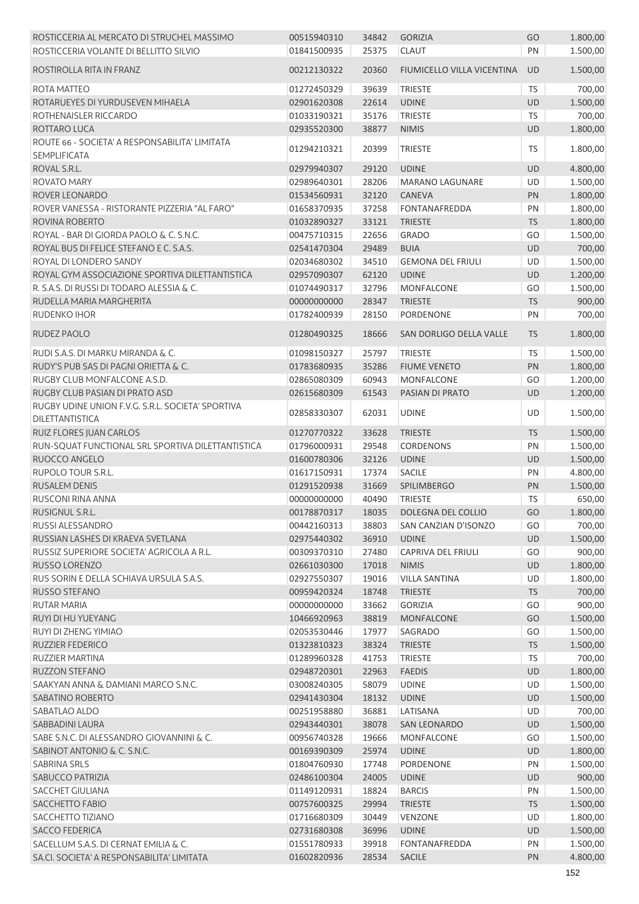| ROSTICCERIA AL MERCATO DI STRUCHEL MASSIMO        | 00515940310 | 34842 | <b>GORIZIA</b>                         | GO        | 1.800,00 |
|---------------------------------------------------|-------------|-------|----------------------------------------|-----------|----------|
| ROSTICCERIA VOLANTE DI BELLITTO SILVIO            | 01841500935 | 25375 | <b>CLAUT</b>                           | PN        | 1.500,00 |
|                                                   |             |       |                                        |           |          |
| ROSTIROLLA RITA IN FRANZ                          | 00212130322 | 20360 | FIUMICELLO VILLA VICENTINA             | <b>UD</b> | 1.500,00 |
| ROTA MATTEO                                       | 01272450329 | 39639 | <b>TRIESTE</b>                         | <b>TS</b> | 700,00   |
| ROTARUEYES DI YURDUSEVEN MIHAELA                  | 02901620308 | 22614 | <b>UDINE</b>                           | <b>UD</b> | 1.500,00 |
| ROTHENAISLER RICCARDO                             | 01033190321 | 35176 | <b>TRIESTE</b>                         | <b>TS</b> | 700,00   |
| ROTTARO LUCA                                      | 02935520300 | 38877 | <b>NIMIS</b>                           | <b>UD</b> |          |
|                                                   |             |       |                                        |           | 1.800,00 |
| ROUTE 66 - SOCIETA' A RESPONSABILITA' LIMITATA    | 01294210321 | 20399 | <b>TRIESTE</b>                         | TS        | 1.800,00 |
| <b>SEMPLIFICATA</b>                               |             |       |                                        |           |          |
| ROVAL S.R.L.                                      | 02979940307 | 29120 | <b>UDINE</b>                           | <b>UD</b> | 4.800,00 |
| ROVATO MARY                                       | 02989640301 | 28206 | <b>MARANO LAGUNARE</b>                 | <b>UD</b> | 1.500,00 |
| ROVER LEONARDO                                    | 01534560931 | 32120 | <b>CANEVA</b>                          | PN        | 1.800,00 |
| ROVER VANESSA - RISTORANTE PIZZERIA "AL FARO"     | 01658370935 | 37258 | <b>FONTANAFREDDA</b>                   | PN        | 1.800,00 |
| ROVINA ROBERTO                                    | 01032890327 | 33121 | <b>TRIESTE</b>                         | <b>TS</b> | 1.800,00 |
| ROYAL - BAR DI GIORDA PAOLO & C. S.N.C.           | 00475710315 | 22656 | <b>GRADO</b>                           | GO        | 1.500,00 |
| ROYAL BUS DI FELICE STEFANO E C. S.A.S.           | 02541470304 | 29489 | <b>BUIA</b>                            | UD        | 700,00   |
| ROYAL DI LONDERO SANDY                            | 02034680302 | 34510 | <b>GEMONA DEL FRIULI</b>               | <b>UD</b> | 1.500,00 |
| ROYAL GYM ASSOCIAZIONE SPORTIVA DILETTANTISTICA   | 02957090307 | 62120 | <b>UDINE</b>                           | <b>UD</b> | 1.200,00 |
| R. S.A.S. DI RUSSI DI TODARO ALESSIA & C.         | 01074490317 | 32796 | <b>MONFALCONE</b>                      | GO        | 1.500,00 |
| RUDELLA MARIA MARGHERITA                          | 00000000000 | 28347 | <b>TRIESTE</b>                         | <b>TS</b> | 900,00   |
| RUDENKO IHOR                                      | 01782400939 | 28150 | <b>PORDENONE</b>                       | PN        | 700,00   |
|                                                   |             |       |                                        |           |          |
| RUDEZ PAOLO                                       | 01280490325 | 18666 | SAN DORLIGO DELLA VALLE                | <b>TS</b> | 1.800,00 |
| RUDI S.A.S. DI MARKU MIRANDA & C.                 | 01098150327 | 25797 | TRIESTE                                | <b>TS</b> | 1.500,00 |
| RUDY'S PUB SAS DI PAGNI ORIETTA & C.              | 01783680935 | 35286 | <b>FIUME VENETO</b>                    | PN        | 1.800,00 |
| RUGBY CLUB MONFALCONE A.S.D.                      | 02865080309 | 60943 | <b>MONFALCONE</b>                      | GO        | 1.200,00 |
| RUGBY CLUB PASIAN DI PRATO ASD                    | 02615680309 | 61543 | PASIAN DI PRATO                        | <b>UD</b> | 1.200,00 |
| RUGBY UDINE UNION F.V.G. S.R.L. SOCIETA' SPORTIVA |             |       |                                        |           |          |
| DILETTANTISTICA                                   | 02858330307 | 62031 | <b>UDINE</b>                           | <b>UD</b> | 1.500,00 |
| RUIZ FLORES JUAN CARLOS                           |             | 33628 | <b>TRIESTE</b>                         | <b>TS</b> |          |
|                                                   | 01270770322 |       | <b>CORDENONS</b>                       |           | 1.500,00 |
| RUN-SQUAT FUNCTIONAL SRL SPORTIVA DILETTANTISTICA | 01796000931 | 29548 |                                        | PN        | 1.500,00 |
| RUOCCO ANGELO                                     | 01600780306 | 32126 | <b>UDINE</b>                           | UD        | 1.500,00 |
| RUPOLO TOUR S.R.L.                                | 01617150931 | 17374 | <b>SACILE</b>                          | PN        | 4.800,00 |
| <b>RUSALEM DENIS</b>                              | 01291520938 | 31669 | SPILIMBERGO                            | <b>PN</b> | 1.500,00 |
| <b>RUSCONI RINA ANNA</b>                          | 00000000000 | 40490 | <b>TRIESTE</b>                         | TS        | 650,00   |
| RUSIGNUL S.R.L.                                   |             |       | 00178870317  18035  DOLEGNA DEL COLLIO | GO        | 1.800,00 |
| RUSSI ALESSANDRO                                  | 00442160313 | 38803 | SAN CANZIAN D'ISONZO                   | GO        | 700,00   |
| RUSSIAN LASHES DI KRAEVA SVETLANA                 | 02975440302 | 36910 | <b>UDINE</b>                           | <b>UD</b> | 1.500,00 |
| RUSSIZ SUPERIORE SOCIETA' AGRICOLA A R.L.         | 00309370310 | 27480 | CAPRIVA DEL FRIULI                     | GO        | 900,00   |
| RUSSO LORENZO                                     | 02661030300 | 17018 | <b>NIMIS</b>                           | <b>UD</b> | 1.800,00 |
| RUS SORIN E DELLA SCHIAVA URSULA S.A.S.           | 02927550307 | 19016 | <b>VILLA SANTINA</b>                   | UD        | 1.800,00 |
| RUSSO STEFANO                                     | 00959420324 | 18748 | <b>TRIESTE</b>                         | <b>TS</b> | 700,00   |
| <b>RUTAR MARIA</b>                                | 00000000000 | 33662 | <b>GORIZIA</b>                         | GO        | 900,00   |
| RUYI DI HU YUEYANG                                | 10466920963 | 38819 | <b>MONFALCONE</b>                      | GO        | 1.500,00 |
| RUYI DI ZHENG YIMIAO                              | 02053530446 | 17977 | <b>SAGRADO</b>                         | GO        | 1.500,00 |
|                                                   | 01323810323 | 38324 | <b>TRIESTE</b>                         | <b>TS</b> |          |
| <b>RUZZIER FEDERICO</b>                           |             |       |                                        |           | 1.500,00 |
| RUZZIER MARTINA                                   | 01289960328 | 41753 | <b>TRIESTE</b>                         | TS        | 700,00   |
| <b>RUZZON STEFANO</b>                             | 02948720301 | 22963 | <b>FAEDIS</b>                          | <b>UD</b> | 1.800,00 |
| SAAKYAN ANNA & DAMIANI MARCO S.N.C.               | 03008240305 | 58079 | <b>UDINE</b>                           | UD        | 1.500,00 |
| <b>SABATINO ROBERTO</b>                           | 02941430304 | 18132 | <b>UDINE</b>                           | <b>UD</b> | 1.500,00 |
| SABATLAO ALDO                                     | 00251958880 | 36881 | LATISANA                               | <b>UD</b> | 700,00   |
| SABBADINI LAURA                                   | 02943440301 | 38078 | <b>SAN LEONARDO</b>                    | <b>UD</b> | 1.500,00 |
| SABE S.N.C. DI ALESSANDRO GIOVANNINI & C.         | 00956740328 | 19666 | <b>MONFALCONE</b>                      | GO        | 1.500,00 |
| SABINOT ANTONIO & C. S.N.C.                       | 00169390309 | 25974 | <b>UDINE</b>                           | <b>UD</b> | 1.800,00 |
| SABRINA SRLS                                      | 01804760930 | 17748 | PORDENONE                              | PN        | 1.500,00 |
| <b>SABUCCO PATRIZIA</b>                           | 02486100304 | 24005 | <b>UDINE</b>                           | <b>UD</b> | 900,00   |
| <b>SACCHET GIULIANA</b>                           | 01149120931 | 18824 | <b>BARCIS</b>                          | PN        | 1.500,00 |
| <b>SACCHETTO FABIO</b>                            | 00757600325 | 29994 | <b>TRIESTE</b>                         | <b>TS</b> | 1.500,00 |
| SACCHETTO TIZIANO                                 | 01716680309 | 30449 | <b>VENZONE</b>                         | UD        | 1.800,00 |
| <b>SACCO FEDERICA</b>                             | 02731680308 | 36996 | <b>UDINE</b>                           | <b>UD</b> | 1.500,00 |
| SACELLUM S.A.S. DI CERNAT EMILIA & C.             | 01551780933 | 39918 | <b>FONTANAFREDDA</b>                   | PN        | 1.500,00 |
| SA.CI. SOCIETA' A RESPONSABILITA' LIMITATA        | 01602820936 |       | <b>SACILE</b>                          | <b>PN</b> |          |
|                                                   |             | 28534 |                                        |           | 4.800,00 |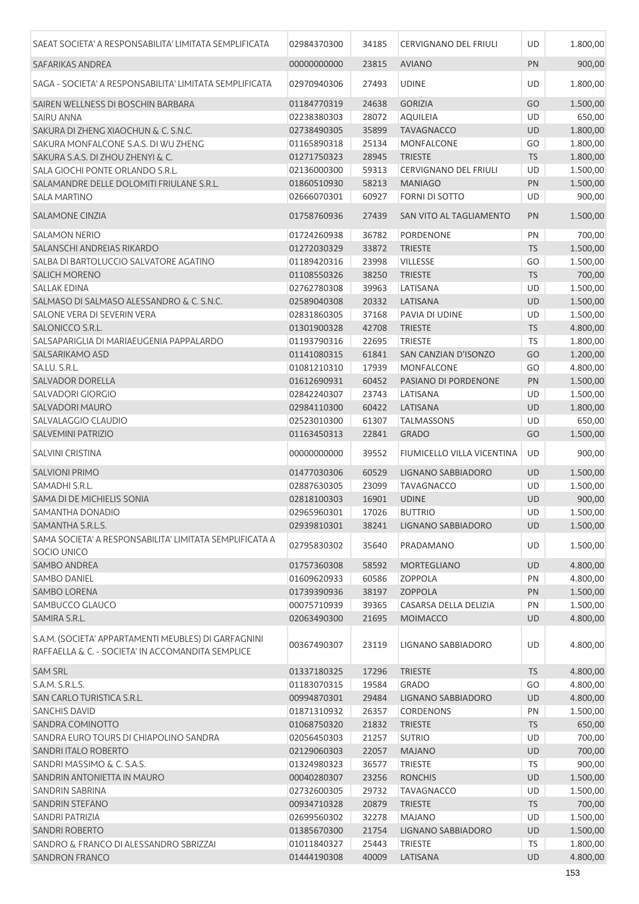| SAEAT SOCIETA' A RESPONSABILITA' LIMITATA SEMPLIFICATA                                                    | 02984370300 | 34185 | <b>CERVIGNANO DEL FRIULI</b> | UD        | 1.800,00 |
|-----------------------------------------------------------------------------------------------------------|-------------|-------|------------------------------|-----------|----------|
| <b>SAFARIKAS ANDREA</b>                                                                                   | 00000000000 | 23815 | <b>AVIANO</b>                | PN        | 900,00   |
| SAGA - SOCIETA' A RESPONSABILITA' LIMITATA SEMPLIFICATA                                                   | 02970940306 | 27493 | <b>UDINE</b>                 | UD        | 1.800,00 |
|                                                                                                           |             |       |                              |           |          |
| SAIREN WELLNESS DI BOSCHIN BARBARA                                                                        | 01184770319 | 24638 | <b>GORIZIA</b>               | GO        | 1.500,00 |
| <b>SAIRU ANNA</b>                                                                                         | 02238380303 | 28072 | AQUILEIA                     | <b>UD</b> | 650,00   |
| SAKURA DI ZHENG XIAOCHUN & C. S.N.C.                                                                      | 02738490305 | 35899 | <b>TAVAGNACCO</b>            | UD        | 1.800,00 |
| SAKURA MONFALCONE S.A.S. DI WU ZHENG                                                                      | 01165890318 | 25134 | <b>MONFALCONE</b>            | GO        | 1.800,00 |
| SAKURA S.A.S. DI ZHOU ZHENYI & C.                                                                         | 01271750323 | 28945 | <b>TRIESTE</b>               | <b>TS</b> | 1.800,00 |
| SALA GIOCHI PONTE ORLANDO S.R.L.                                                                          | 02136000300 | 59313 | <b>CERVIGNANO DEL FRIULI</b> | UD        | 1.500,00 |
| SALAMANDRE DELLE DOLOMITI FRIULANE S.R.L.                                                                 | 01860510930 | 58213 | <b>MANIAGO</b>               | PN        | 1.500,00 |
| <b>SALA MARTINO</b>                                                                                       | 02666070301 | 60927 | <b>FORNI DI SOTTO</b>        | UD        | 900,00   |
|                                                                                                           |             |       |                              |           |          |
| <b>SALAMONE CINZIA</b>                                                                                    | 01758760936 | 27439 | SAN VITO AL TAGLIAMENTO      | <b>PN</b> | 1.500,00 |
| <b>SALAMON NERIO</b>                                                                                      | 01724260938 | 36782 | <b>PORDENONE</b>             | PN        | 700,00   |
| SALANSCHI ANDREIAS RIKARDO                                                                                | 01272030329 | 33872 | <b>TRIESTE</b>               | <b>TS</b> | 1.500,00 |
| SALBA DI BARTOLUCCIO SALVATORE AGATINO                                                                    | 01189420316 | 23998 | <b>VILLESSE</b>              | GO        | 1.500,00 |
| <b>SALICH MORENO</b>                                                                                      | 01108550326 | 38250 | <b>TRIESTE</b>               | <b>TS</b> | 700,00   |
| <b>SALLAK EDINA</b>                                                                                       | 02762780308 | 39963 | LATISANA                     | UD        | 1.500,00 |
| SALMASO DI SALMASO ALESSANDRO & C. S.N.C.                                                                 | 02589040308 | 20332 | LATISANA                     | <b>UD</b> | 1.500,00 |
|                                                                                                           |             |       |                              |           |          |
| SALONE VERA DI SEVERIN VERA                                                                               | 02831860305 | 37168 | PAVIA DI UDINE               | UD        | 1.500,00 |
| SALONICCO S.R.L.                                                                                          | 01301900328 | 42708 | <b>TRIESTE</b>               | <b>TS</b> | 4.800,00 |
| SALSAPARIGLIA DI MARIAEUGENIA PAPPALARDO                                                                  | 01193790316 | 22695 | <b>TRIESTE</b>               | <b>TS</b> | 1.800,00 |
| <b>SALSARIKAMO ASD</b>                                                                                    | 01141080315 | 61841 | SAN CANZIAN D'ISONZO         | GO        | 1.200,00 |
| SA.LU. S.R.L.                                                                                             | 01081210310 | 17939 | <b>MONFALCONE</b>            | GO        | 4.800,00 |
| <b>SALVADOR DORELLA</b>                                                                                   | 01612690931 | 60452 | PASIANO DI PORDENONE         | PN        | 1.500,00 |
| <b>SALVADORI GIORGIO</b>                                                                                  | 02842240307 | 23743 | LATISANA                     | UD        | 1.500,00 |
| <b>SALVADORI MAURO</b>                                                                                    | 02984110300 | 60422 | LATISANA                     | UD        | 1.800,00 |
| SALVALAGGIO CLAUDIO                                                                                       | 02523010300 | 61307 | <b>TALMASSONS</b>            | UD        | 650,00   |
|                                                                                                           |             |       |                              |           |          |
| <b>SALVEMINI PATRIZIO</b>                                                                                 | 01163450313 | 22841 | <b>GRADO</b>                 | GO        | 1.500,00 |
| <b>SALVINI CRISTINA</b>                                                                                   | 00000000000 | 39552 | FIUMICELLO VILLA VICENTINA   | UD        | 900,00   |
| <b>SALVIONI PRIMO</b>                                                                                     | 01477030306 | 60529 | LIGNANO SABBIADORO           | UD        | 1.500,00 |
| SAMADHI S.R.L.                                                                                            | 02887630305 | 23099 | <b>TAVAGNACCO</b>            | UD        | 1.500,00 |
| SAMA DI DE MICHIELIS SONIA                                                                                | 02818100303 | 16901 | <b>UDINE</b>                 | <b>UD</b> | 900,00   |
| SAMANTHA DONADIO                                                                                          | 02965960301 | 17026 | <b>BUTTRIO</b>               | UD        | 1.500,00 |
|                                                                                                           | 02939810301 |       |                              |           |          |
| SAMANTHA S.R.L.S.                                                                                         |             | 38241 | LIGNANO SABBIADORO           | <b>UD</b> | 1.500,00 |
| SAMA SOCIETA' A RESPONSABILITA' LIMITATA SEMPLIFICATA A<br><b>SOCIO UNICO</b>                             | 02795830302 | 35640 | PRADAMANO                    | UD        | 1.500,00 |
| SAMBO ANDREA                                                                                              | 01757360308 | 58592 | <b>MORTEGLIANO</b>           | UD        | 4.800,00 |
| <b>SAMBO DANIEL</b>                                                                                       | 01609620933 | 60586 | ZOPPOLA                      | PN        | 4.800,00 |
| SAMBO LORENA                                                                                              | 01739390936 | 38197 | <b>ZOPPOLA</b>               | PN        | 1.500,00 |
| SAMBUCCO GLAUCO                                                                                           | 00075710939 | 39365 | CASARSA DELLA DELIZIA        | PN        | 1.500,00 |
| SAMIRA S.R.L.                                                                                             | 02063490300 | 21695 | <b>MOIMACCO</b>              | <b>UD</b> | 4.800,00 |
|                                                                                                           |             |       |                              |           |          |
| S.A.M. (SOCIETA' APPARTAMENTI MEUBLES) DI GARFAGNINI<br>RAFFAELLA & C. - SOCIETA' IN ACCOMANDITA SEMPLICE | 00367490307 | 23119 | <b>LIGNANO SABBIADORO</b>    | UD        | 4.800,00 |
| <b>SAM SRL</b>                                                                                            | 01337180325 | 17296 | <b>TRIESTE</b>               | <b>TS</b> | 4.800,00 |
| S.A.M. S.R.L.S.                                                                                           | 01183070315 | 19584 | <b>GRADO</b>                 | GO        | 4.800,00 |
| SAN CARLO TURISTICA S.R.L.                                                                                | 00994870301 | 29484 | LIGNANO SABBIADORO           | UD        | 4.800,00 |
| <b>SANCHIS DAVID</b>                                                                                      | 01871310932 | 26357 | <b>CORDENONS</b>             | PN        | 1.500,00 |
|                                                                                                           |             |       |                              |           |          |
| SANDRA COMINOTTO                                                                                          | 01068750320 | 21832 | <b>TRIESTE</b>               | <b>TS</b> | 650,00   |
| SANDRA EURO TOURS DI CHIAPOLINO SANDRA                                                                    | 02056450303 | 21257 | <b>SUTRIO</b>                | <b>UD</b> | 700,00   |
| SANDRI ITALO ROBERTO                                                                                      | 02129060303 | 22057 | <b>MAJANO</b>                | UD        | 700,00   |
| SANDRI MASSIMO & C. S.A.S.                                                                                | 01324980323 | 36577 | <b>TRIESTE</b>               | <b>TS</b> | 900,00   |
| SANDRIN ANTONIETTA IN MAURO                                                                               | 00040280307 | 23256 | <b>RONCHIS</b>               | <b>UD</b> | 1.500,00 |
| <b>SANDRIN SABRINA</b>                                                                                    | 02732600305 | 29732 | <b>TAVAGNACCO</b>            | <b>UD</b> | 1.500,00 |
| SANDRIN STEFANO                                                                                           | 00934710328 | 20879 | <b>TRIESTE</b>               | <b>TS</b> | 700,00   |
| SANDRI PATRIZIA                                                                                           | 02699560302 | 32278 | <b>MAJANO</b>                | UD        | 1.500,00 |
| <b>SANDRI ROBERTO</b>                                                                                     | 01385670300 | 21754 | LIGNANO SABBIADORO           | UD        | 1.500,00 |
| SANDRO & FRANCO DI ALESSANDRO SBRIZZAI                                                                    | 01011840327 | 25443 | <b>TRIESTE</b>               | <b>TS</b> | 1.800,00 |
| <b>SANDRON FRANCO</b>                                                                                     | 01444190308 | 40009 | LATISANA                     | UD        | 4.800,00 |
|                                                                                                           |             |       |                              |           |          |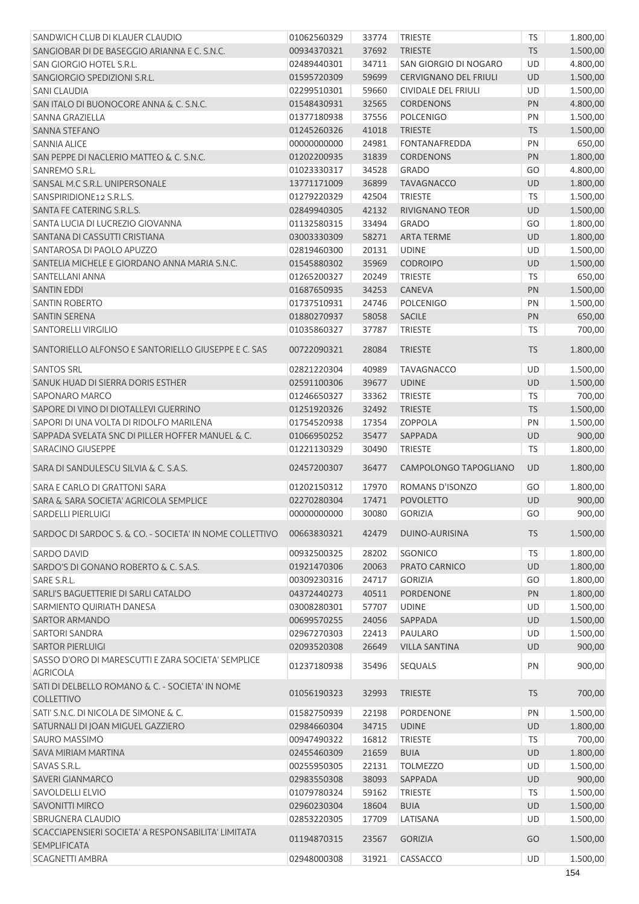| SANDWICH CLUB DI KLAUER CLAUDIO                                       | 01062560329 | 33774 | <b>TRIESTE</b>               | TS        | 1.800,00        |
|-----------------------------------------------------------------------|-------------|-------|------------------------------|-----------|-----------------|
| SANGIOBAR DI DE BASEGGIO ARIANNA E C. S.N.C.                          | 00934370321 | 37692 | <b>TRIESTE</b>               | <b>TS</b> | 1.500,00        |
| SAN GIORGIO HOTEL S.R.L.                                              | 02489440301 | 34711 | SAN GIORGIO DI NOGARO        | UD        | 4.800,00        |
| SANGIORGIO SPEDIZIONI S.R.L.                                          | 01595720309 | 59699 | <b>CERVIGNANO DEL FRIULI</b> | <b>UD</b> | 1.500,00        |
| <b>SANI CLAUDIA</b>                                                   | 02299510301 | 59660 | CIVIDALE DEL FRIULI          | UD        | 1.500,00        |
| SAN ITALO DI BUONOCORE ANNA & C. S.N.C.                               | 01548430931 | 32565 | <b>CORDENONS</b>             | PN        | 4.800,00        |
| SANNA GRAZIELLA                                                       | 01377180938 | 37556 | <b>POLCENIGO</b>             | PN        | 1.500,00        |
| SANNA STEFANO                                                         | 01245260326 | 41018 | <b>TRIESTE</b>               | <b>TS</b> | 1.500,00        |
| <b>SANNIA ALICE</b>                                                   | 00000000000 | 24981 | FONTANAFREDDA                | PN        | 650,00          |
| SAN PEPPE DI NACLERIO MATTEO & C. S.N.C.                              | 01202200935 | 31839 | <b>CORDENONS</b>             | PN        | 1.800,00        |
| SANREMO S.R.L.                                                        | 01023330317 | 34528 | <b>GRADO</b>                 | GO        | 4.800,00        |
| SANSAL M.C S.R.L. UNIPERSONALE                                        | 13771171009 | 36899 | <b>TAVAGNACCO</b>            | UD        | 1.800,00        |
| SANSPIRIDIONE12 S.R.L.S.                                              | 01279220329 | 42504 | <b>TRIESTE</b>               | <b>TS</b> | 1.500,00        |
| SANTA FE CATERING S.R.L.S.                                            | 02849940305 | 42132 | <b>RIVIGNANO TEOR</b>        | UD        | 1.500,00        |
| SANTA LUCIA DI LUCREZIO GIOVANNA                                      | 01132580315 | 33494 | <b>GRADO</b>                 | GO        | 1.800,00        |
| SANTANA DI CASSUTTI CRISTIANA                                         | 03003330309 | 58271 | <b>ARTA TERME</b>            | UD        | 1.800,00        |
| SANTAROSA DI PAOLO APUZZO                                             | 02819460300 | 20131 | <b>UDINE</b>                 | UD        | 1.500,00        |
| SANTELIA MICHELE E GIORDANO ANNA MARIA S.N.C.                         | 01545880302 | 35969 | <b>CODROIPO</b>              | <b>UD</b> | 1.500,00        |
| SANTELLANI ANNA                                                       | 01265200327 | 20249 | <b>TRIESTE</b>               | TS        | 650,00          |
| <b>SANTIN EDDI</b>                                                    | 01687650935 | 34253 | CANEVA                       | PN        | 1.500,00        |
| <b>SANTIN ROBERTO</b>                                                 | 01737510931 | 24746 | <b>POLCENIGO</b>             | PN        | 1.500,00        |
| <b>SANTIN SERENA</b>                                                  | 01880270937 | 58058 | <b>SACILE</b>                | PN        | 650,00          |
| <b>SANTORELLI VIRGILIO</b>                                            | 01035860327 | 37787 | <b>TRIESTE</b>               | TS        | 700,00          |
| SANTORIELLO ALFONSO E SANTORIELLO GIUSEPPE E C. SAS                   | 00722090321 | 28084 | <b>TRIESTE</b>               | <b>TS</b> | 1.800,00        |
| <b>SANTOS SRL</b>                                                     | 02821220304 | 40989 | <b>TAVAGNACCO</b>            | UD        | 1.500,00        |
| SANUK HUAD DI SIERRA DORIS ESTHER                                     | 02591100306 | 39677 | <b>UDINE</b>                 | UD        | 1.500,00        |
| SAPONARO MARCO                                                        | 01246650327 | 33362 | <b>TRIESTE</b>               | TS        | 700,00          |
| SAPORE DI VINO DI DIOTALLEVI GUERRINO                                 | 01251920326 | 32492 | <b>TRIESTE</b>               | <b>TS</b> | 1.500,00        |
| SAPORI DI UNA VOLTA DI RIDOLFO MARILENA                               | 01754520938 | 17354 | <b>ZOPPOLA</b>               | PN        | 1.500,00        |
| SAPPADA SVELATA SNC DI PILLER HOFFER MANUEL & C.                      | 01066950252 | 35477 | SAPPADA                      | <b>UD</b> | 900,00          |
| SARACINO GIUSEPPE                                                     | 01221130329 | 30490 | <b>TRIESTE</b>               | <b>TS</b> | 1.800,00        |
| SARA DI SANDULESCU SILVIA & C. S.A.S.                                 | 02457200307 | 36477 | CAMPOLONGO TAPOGLIANO        | <b>UD</b> | 1.800,00        |
| SARA E CARLO DI GRATTONI SARA                                         | 01202150312 | 17970 | ROMANS D'ISONZO              | GO        | 1.800,00        |
| SARA & SARA SOCIETA' AGRICOLA SEMPLICE                                | 02270280304 | 17471 | <b>POVOLETTO</b>             | <b>UD</b> | 900,00          |
| SARDELLI PIERLUIGI                                                    | 00000000000 | 30080 | <b>GORIZIA</b>               | GO        | 900,00          |
| SARDOC DI SARDOC S. & CO. - SOCIETA' IN NOME COLLETTIVO               | 00663830321 | 42479 | DUINO-AURISINA               | <b>TS</b> | 1.500,00        |
| SARDO DAVID                                                           | 00932500325 | 28202 | SGONICO                      | <b>TS</b> | 1.800,00        |
| SARDO'S DI GONANO ROBERTO & C. S.A.S.                                 | 01921470306 | 20063 | PRATO CARNICO                | UD        | 1.800,00        |
| SARE S.R.L.                                                           | 00309230316 | 24717 | <b>GORIZIA</b>               | GO        | 1.800,00        |
| SARLI'S BAGUETTERIE DI SARLI CATALDO                                  | 04372440273 | 40511 | <b>PORDENONE</b>             | PN        | 1.800,00        |
| SARMIENTO QUIRIATH DANESA                                             | 03008280301 | 57707 | <b>UDINE</b>                 | <b>UD</b> | 1.500,00        |
| <b>SARTOR ARMANDO</b>                                                 | 00699570255 | 24056 | SAPPADA                      | UD        | 1.500,00        |
| <b>SARTORI SANDRA</b>                                                 | 02967270303 | 22413 | PAULARO                      | UD        | 1.500,00        |
| <b>SARTOR PIERLUIGI</b>                                               | 02093520308 | 26649 | <b>VILLA SANTINA</b>         | <b>UD</b> | 900,00          |
| SASSO D'ORO DI MARESCUTTI E ZARA SOCIETA' SEMPLICE<br><b>AGRICOLA</b> | 01237180938 | 35496 | <b>SEQUALS</b>               | PN        | 900,00          |
| SATI DI DELBELLO ROMANO & C. - SOCIETA' IN NOME<br>COLLETTIVO         | 01056190323 | 32993 | <b>TRIESTE</b>               | <b>TS</b> | 700,00          |
| SATI' S.N.C. DI NICOLA DE SIMONE & C.                                 | 01582750939 | 22198 | PORDENONE                    | PN        | 1.500,00        |
| SATURNALI DI JOAN MIGUEL GAZZIERO                                     | 02984660304 | 34715 | <b>UDINE</b>                 | UD        | 1.800,00        |
| SAURO MASSIMO                                                         | 00947490322 | 16812 | <b>TRIESTE</b>               | <b>TS</b> | 700,00          |
| SAVA MIRIAM MARTINA                                                   | 02455460309 | 21659 | <b>BUIA</b>                  | <b>UD</b> | 1.800,00        |
| SAVAS S.R.L.                                                          | 00255950305 | 22131 | <b>TOLMEZZO</b>              | <b>UD</b> | 1.500,00        |
| SAVERI GIANMARCO                                                      | 02983550308 | 38093 | SAPPADA                      | <b>UD</b> | 900,00          |
| <b>SAVOLDELLI ELVIO</b>                                               | 01079780324 | 59162 | <b>TRIESTE</b>               | <b>TS</b> | 1.500,00        |
| <b>SAVONITTI MIRCO</b>                                                | 02960230304 | 18604 | <b>BUIA</b>                  | UD        | 1.500,00        |
| SBRUGNERA CLAUDIO                                                     | 02853220305 | 17709 | LATISANA                     | UD        | 1.500,00        |
| SCACCIAPENSIERI SOCIETA' A RESPONSABILITA' LIMITATA                   | 01194870315 | 23567 | <b>GORIZIA</b>               | GO        | 1.500,00        |
| <b>SEMPLIFICATA</b>                                                   |             |       |                              |           |                 |
| SCAGNETTI AMBRA                                                       | 02948000308 | 31921 | CASSACCO                     | <b>UD</b> | 1.500,00<br>154 |
|                                                                       |             |       |                              |           |                 |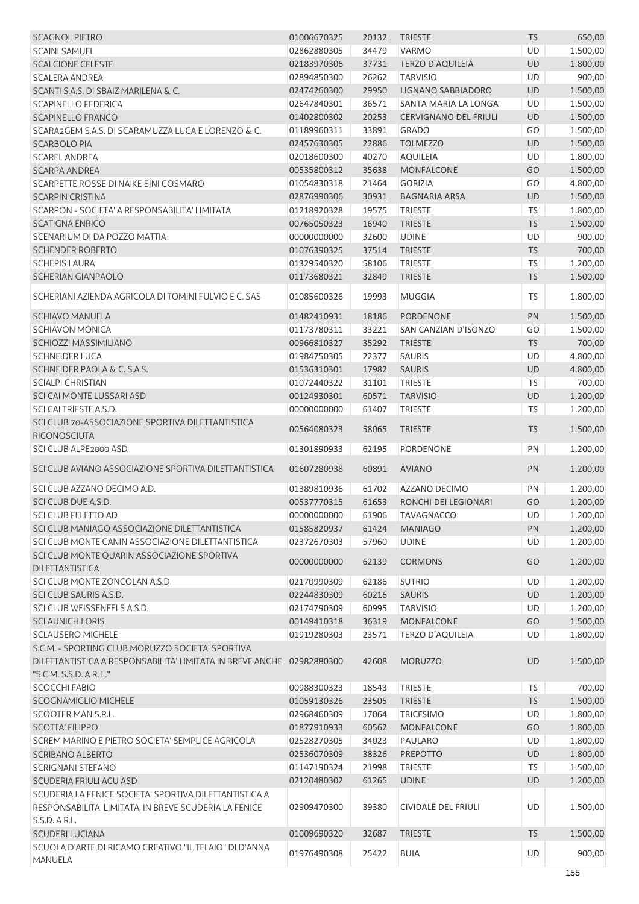| <b>SCAGNOL PIETRO</b>                                                                                                            | 01006670325 | 20132 | <b>TRIESTE</b>               | <b>TS</b> | 650,00   |
|----------------------------------------------------------------------------------------------------------------------------------|-------------|-------|------------------------------|-----------|----------|
| <b>SCAINI SAMUEL</b>                                                                                                             | 02862880305 | 34479 | <b>VARMO</b>                 | <b>UD</b> | 1.500,00 |
| <b>SCALCIONE CELESTE</b>                                                                                                         | 02183970306 | 37731 | <b>TERZO D'AQUILEIA</b>      | <b>UD</b> | 1.800,00 |
| <b>SCALERA ANDREA</b>                                                                                                            | 02894850300 | 26262 | <b>TARVISIO</b>              | <b>UD</b> | 900,00   |
| SCANTI S.A.S. DI SBAIZ MARILENA & C.                                                                                             | 02474260300 | 29950 | LIGNANO SABBIADORO           | <b>UD</b> | 1.500,00 |
| <b>SCAPINELLO FEDERICA</b>                                                                                                       | 02647840301 | 36571 | SANTA MARIA LA LONGA         | UD        | 1.500,00 |
| <b>SCAPINELLO FRANCO</b>                                                                                                         | 01402800302 | 20253 | <b>CERVIGNANO DEL FRIULI</b> | <b>UD</b> | 1.500,00 |
| SCARA2GEM S.A.S. DI SCARAMUZZA LUCA E LORENZO & C.                                                                               | 01189960311 | 33891 | <b>GRADO</b>                 | GO        | 1.500,00 |
| <b>SCARBOLO PIA</b>                                                                                                              | 02457630305 | 22886 | <b>TOLMEZZO</b>              | UD        | 1.500,00 |
| <b>SCAREL ANDREA</b>                                                                                                             | 02018600300 | 40270 | AQUILEIA                     | <b>UD</b> | 1.800,00 |
| <b>SCARPA ANDREA</b>                                                                                                             | 00535800312 | 35638 | <b>MONFALCONE</b>            | GO        | 1.500,00 |
| SCARPETTE ROSSE DI NAIKE SINI COSMARO                                                                                            | 01054830318 | 21464 | <b>GORIZIA</b>               | GO        | 4.800,00 |
| <b>SCARPIN CRISTINA</b>                                                                                                          | 02876990306 | 30931 | <b>BAGNARIA ARSA</b>         | UD        | 1.500,00 |
| SCARPON - SOCIETA' A RESPONSABILITA' LIMITATA                                                                                    | 01218920328 | 19575 | <b>TRIESTE</b>               | <b>TS</b> | 1.800,00 |
| <b>SCATIGNA ENRICO</b>                                                                                                           | 00765050323 | 16940 | <b>TRIESTE</b>               | <b>TS</b> | 1.500,00 |
| SCENARIUM DI DA POZZO MATTIA                                                                                                     | 00000000000 | 32600 | <b>UDINE</b>                 | UD        | 900,00   |
| <b>SCHENDER ROBERTO</b>                                                                                                          | 01076390325 | 37514 | <b>TRIESTE</b>               | <b>TS</b> | 700,00   |
| <b>SCHEPIS LAURA</b>                                                                                                             | 01329540320 | 58106 | <b>TRIESTE</b>               | <b>TS</b> | 1.200,00 |
| <b>SCHERIAN GIANPAOLO</b>                                                                                                        | 01173680321 | 32849 | <b>TRIESTE</b>               | <b>TS</b> | 1.500,00 |
| SCHERIANI AZIENDA AGRICOLA DI TOMINI FULVIO E C. SAS                                                                             | 01085600326 | 19993 | <b>MUGGIA</b>                | TS        | 1.800,00 |
| <b>SCHIAVO MANUELA</b>                                                                                                           | 01482410931 | 18186 | PORDENONE                    | PN        | 1.500,00 |
| <b>SCHIAVON MONICA</b>                                                                                                           | 01173780311 | 33221 | SAN CANZIAN D'ISONZO         | GO        | 1.500,00 |
| SCHIOZZI MASSIMILIANO                                                                                                            | 00966810327 | 35292 | <b>TRIESTE</b>               | <b>TS</b> | 700,00   |
| <b>SCHNEIDER LUCA</b>                                                                                                            | 01984750305 | 22377 | SAURIS                       | UD        | 4.800,00 |
| <b>SCHNEIDER PAOLA &amp; C. S.A.S.</b>                                                                                           | 01536310301 | 17982 | <b>SAURIS</b>                | <b>UD</b> | 4.800,00 |
| <b>SCIALPI CHRISTIAN</b>                                                                                                         | 01072440322 | 31101 | <b>TRIESTE</b>               | TS        | 700,00   |
| SCI CAI MONTE LUSSARI ASD                                                                                                        | 00124930301 | 60571 | <b>TARVISIO</b>              | UD        | 1.200,00 |
| SCI CAI TRIESTE A.S.D.                                                                                                           | 00000000000 | 61407 | <b>TRIESTE</b>               | TS        | 1.200,00 |
| SCI CLUB 70-ASSOCIAZIONE SPORTIVA DILETTANTISTICA                                                                                | 00564080323 | 58065 | <b>TRIESTE</b>               | <b>TS</b> | 1.500,00 |
| <b>RICONOSCIUTA</b>                                                                                                              |             |       |                              |           |          |
| SCI CLUB ALPE2000 ASD                                                                                                            | 01301890933 | 62195 | PORDENONE                    | PN        | 1.200,00 |
| SCI CLUB AVIANO ASSOCIAZIONE SPORTIVA DILETTANTISTICA                                                                            | 01607280938 | 60891 | <b>AVIANO</b>                | PN        | 1.200,00 |
| SCI CLUB AZZANO DECIMO A.D.                                                                                                      | 01389810936 | 61702 | AZZANO DECIMO                | PN        | 1.200,00 |
| SCI CLUB DUE A.S.D.                                                                                                              | 00537770315 | 61653 | RONCHI DEI LEGIONARI         | GO        | 1.200,00 |
| SCI CLUB FELETTO AD                                                                                                              | 00000000000 | 61906 | <b>TAVAGNACCO</b>            | UD        | 1.200,00 |
| SCI CLUB MANIAGO ASSOCIAZIONE DILETTANTISTICA                                                                                    | 01585820937 | 61424 | <b>MANIAGO</b>               | PN        | 1.200,00 |
| SCI CLUB MONTE CANIN ASSOCIAZIONE DILETTANTISTICA                                                                                | 02372670303 | 57960 | <b>UDINE</b>                 | UD        | 1.200,00 |
| SCI CLUB MONTE QUARIN ASSOCIAZIONE SPORTIVA<br><b>DILETTANTISTICA</b>                                                            | 00000000000 | 62139 | <b>CORMONS</b>               | GO        | 1.200,00 |
| SCI CLUB MONTE ZONCOLAN A.S.D.                                                                                                   | 02170990309 | 62186 | <b>SUTRIO</b>                | UD        | 1.200,00 |
| SCI CLUB SAURIS A.S.D.                                                                                                           | 02244830309 | 60216 | <b>SAURIS</b>                | UD        | 1.200,00 |
| SCI CLUB WEISSENFELS A.S.D.                                                                                                      | 02174790309 | 60995 | <b>TARVISIO</b>              | <b>UD</b> | 1.200,00 |
| <b>SCLAUNICH LORIS</b>                                                                                                           | 00149410318 | 36319 | MONFALCONE                   | GO        | 1.500,00 |
| <b>SCLAUSERO MICHELE</b>                                                                                                         | 01919280303 | 23571 | <b>TERZO D'AQUILEIA</b>      | UD        | 1.800,00 |
| S.C.M. - SPORTING CLUB MORUZZO SOCIETA' SPORTIVA<br>DILETTANTISTICA A RESPONSABILITA' LIMITATA IN BREVE ANCHE 02982880300        |             | 42608 | <b>MORUZZO</b>               | <b>UD</b> | 1.500,00 |
| "S.C.M. S.S.D. A R. L."                                                                                                          |             |       |                              |           |          |
| <b>SCOCCHI FABIO</b>                                                                                                             | 00988300323 | 18543 | <b>TRIESTE</b>               | <b>TS</b> | 700,00   |
| <b>SCOGNAMIGLIO MICHELE</b>                                                                                                      | 01059130326 | 23505 | <b>TRIESTE</b>               | <b>TS</b> | 1.500,00 |
| <b>SCOOTER MAN S.R.L.</b>                                                                                                        | 02968460309 | 17064 | <b>TRICESIMO</b>             | <b>UD</b> | 1.800,00 |
| <b>SCOTTA' FILIPPO</b>                                                                                                           | 01877910933 | 60562 | <b>MONFALCONE</b>            | GO        | 1.800,00 |
| SCREM MARINO E PIETRO SOCIETA' SEMPLICE AGRICOLA                                                                                 | 02528270305 | 34023 | PAULARO                      | UD        | 1.800,00 |
| <b>SCRIBANO ALBERTO</b>                                                                                                          | 02536070309 | 38326 | <b>PREPOTTO</b>              | UD        | 1.800,00 |
| <b>SCRIGNANI STEFANO</b>                                                                                                         | 01147190324 | 21998 | <b>TRIESTE</b>               | <b>TS</b> | 1.500,00 |
| <b>SCUDERIA FRIULI ACU ASD</b>                                                                                                   | 02120480302 | 61265 | <b>UDINE</b>                 | UD        | 1.200,00 |
| SCUDERIA LA FENICE SOCIETA' SPORTIVA DILETTANTISTICA A<br>RESPONSABILITA' LIMITATA, IN BREVE SCUDERIA LA FENICE<br>S.S.D. A R.L. | 02909470300 | 39380 | CIVIDALE DEL FRIULI          | UD        | 1.500,00 |
| <b>SCUDERI LUCIANA</b>                                                                                                           | 01009690320 | 32687 | <b>TRIESTE</b>               | <b>TS</b> | 1.500,00 |
| SCUOLA D'ARTE DI RICAMO CREATIVO "IL TELAIO" DI D'ANNA                                                                           | 01976490308 | 25422 | <b>BUIA</b>                  | UD        | 900,00   |
| <b>MANUELA</b>                                                                                                                   |             |       |                              |           |          |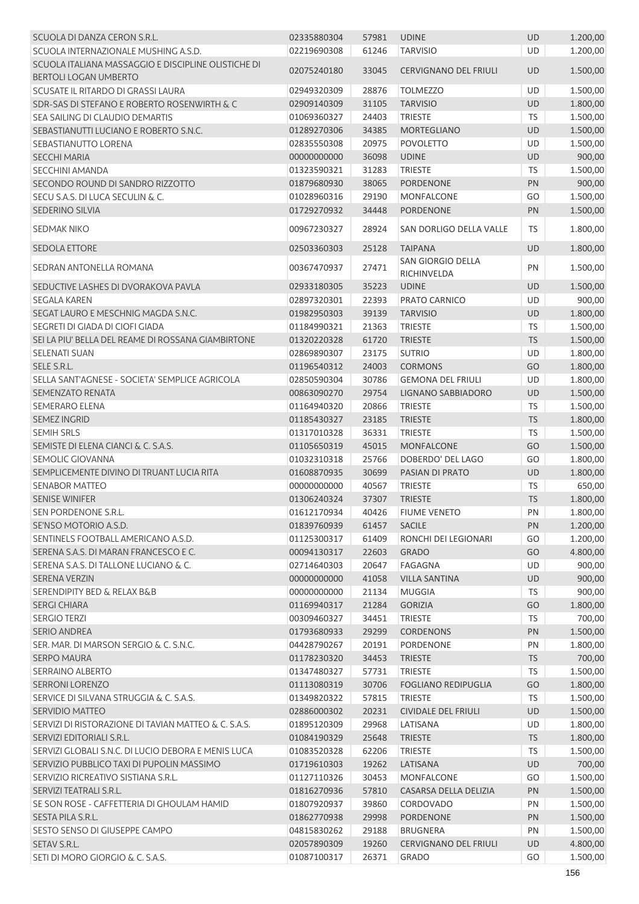| SCUOLA DI DANZA CERON S.R.L.                                                        | 02335880304       | 57981 | <b>UDINE</b>                            | <b>UD</b> | 1.200,00 |
|-------------------------------------------------------------------------------------|-------------------|-------|-----------------------------------------|-----------|----------|
| SCUOLA INTERNAZIONALE MUSHING A.S.D.                                                | 02219690308       | 61246 | <b>TARVISIO</b>                         | <b>UD</b> | 1.200,00 |
| SCUOLA ITALIANA MASSAGGIO E DISCIPLINE OLISTICHE DI<br><b>BERTOLI LOGAN UMBERTO</b> | 02075240180       | 33045 | <b>CERVIGNANO DEL FRIULI</b>            | <b>UD</b> | 1.500,00 |
| SCUSATE IL RITARDO DI GRASSI LAURA                                                  | 02949320309       | 28876 | <b>TOLMEZZO</b>                         | UD        | 1.500,00 |
| SDR-SAS DI STEFANO E ROBERTO ROSENWIRTH & C                                         | 02909140309       | 31105 | <b>TARVISIO</b>                         | UD        | 1.800,00 |
| SEA SAILING DI CLAUDIO DEMARTIS                                                     | 01069360327       | 24403 | <b>TRIESTE</b>                          | TS        | 1.500,00 |
| SEBASTIANUTTI LUCIANO E ROBERTO S.N.C.                                              | 01289270306       | 34385 | <b>MORTEGLIANO</b>                      | UD        | 1.500,00 |
| SEBASTIANUTTO LORENA                                                                | 02835550308       | 20975 | <b>POVOLETTO</b>                        | UD        | 1.500,00 |
| <b>SECCHI MARIA</b>                                                                 | 00000000000       | 36098 | <b>UDINE</b>                            | <b>UD</b> | 900,00   |
| <b>SECCHINI AMANDA</b>                                                              | 01323590321       | 31283 | <b>TRIESTE</b>                          | <b>TS</b> | 1.500,00 |
| SECONDO ROUND DI SANDRO RIZZOTTO                                                    | 01879680930       | 38065 | <b>PORDENONE</b>                        | PN        | 900,00   |
| SECU S.A.S. DI LUCA SECULIN & C.                                                    | 01028960316       | 29190 | <b>MONFALCONE</b>                       | GO        | 1.500,00 |
| <b>SEDERINO SILVIA</b>                                                              | 01729270932       | 34448 | <b>PORDENONE</b>                        | PN        | 1.500,00 |
|                                                                                     |                   |       |                                         |           |          |
| SEDMAK NIKO                                                                         | 00967230327       | 28924 | SAN DORLIGO DELLA VALLE                 | TS        | 1.800,00 |
| <b>SEDOLA ETTORE</b>                                                                | 02503360303       | 25128 | <b>TAIPANA</b>                          | <b>UD</b> | 1.800,00 |
| SEDRAN ANTONELLA ROMANA                                                             | 00367470937       | 27471 | SAN GIORGIO DELLA<br><b>RICHINVELDA</b> | PN        | 1.500,00 |
| SEDUCTIVE LASHES DI DVORAKOVA PAVLA                                                 | 02933180305       | 35223 | <b>UDINE</b>                            | UD        | 1.500,00 |
| <b>SEGALA KAREN</b>                                                                 | 02897320301       | 22393 | PRATO CARNICO                           | UD        | 900,00   |
| SEGAT LAURO E MESCHNIG MAGDA S.N.C.                                                 | 01982950303       | 39139 | <b>TARVISIO</b>                         | <b>UD</b> | 1.800,00 |
| SEGRETI DI GIADA DI CIOFI GIADA                                                     | 01184990321       | 21363 | <b>TRIESTE</b>                          | TS        | 1.500,00 |
| SEI LA PIU' BELLA DEL REAME DI ROSSANA GIAMBIRTONE                                  | 01320220328       | 61720 | <b>TRIESTE</b>                          | <b>TS</b> | 1.500,00 |
| <b>SELENATI SUAN</b>                                                                | 02869890307       | 23175 | <b>SUTRIO</b>                           | UD        | 1.800,00 |
| SELE S.R.L.                                                                         | 01196540312       | 24003 | <b>CORMONS</b>                          | GO        | 1.800,00 |
| SELLA SANT'AGNESE - SOCIETA' SEMPLICE AGRICOLA                                      | 02850590304       | 30786 | <b>GEMONA DEL FRIULI</b>                | UD        | 1.800,00 |
| <b>SEMENZATO RENATA</b>                                                             | 00863090270       | 29754 | LIGNANO SABBIADORO                      | <b>UD</b> | 1.500,00 |
| <b>SEMERARO ELENA</b>                                                               | 01164940320       | 20866 | <b>TRIESTE</b>                          | TS        | 1.500,00 |
| <b>SEMEZ INGRID</b>                                                                 | 01185430327       | 23185 | <b>TRIESTE</b>                          | <b>TS</b> | 1.800,00 |
| <b>SEMIH SRLS</b>                                                                   | 01317010328       | 36331 | <b>TRIESTE</b>                          | TS        | 1.500,00 |
| SEMISTE DI ELENA CIANCI & C. S.A.S.                                                 | 01105650319       | 45015 | <b>MONFALCONE</b>                       | GO        | 1.500,00 |
| SEMOLIC GIOVANNA                                                                    | 01032310318       | 25766 | DOBERDO' DEL LAGO                       | GO        | 1.800,00 |
| SEMPLICEMENTE DIVINO DI TRUANT LUCIA RITA                                           | 01608870935       | 30699 | <b>PASIAN DI PRATO</b>                  | <b>UD</b> | 1.800,00 |
| <b>SENABOR MATTEO</b>                                                               | 00000000000       | 40567 | <b>TRIESTE</b>                          | TS        | 650,00   |
| <b>SENISE WINIFER</b>                                                               | 01306240324       | 37307 | <b>TRIESTE</b>                          | <b>TS</b> | 1.800,00 |
| SEN PORDENONE S.R.L.                                                                | 01612170934 40426 |       | <b>FIUME VENETO</b>                     | PN        | 1.800,00 |
| SE'NSO MOTORIO A.S.D.                                                               | 01839760939       | 61457 | <b>SACILE</b>                           | PN        | 1.200,00 |
| SENTINELS FOOTBALL AMERICANO A.S.D.                                                 | 01125300317       | 61409 | RONCHI DEI LEGIONARI                    | GO        | 1.200,00 |
| SERENA S.A.S. DI MARAN FRANCESCO E C.                                               | 00094130317       | 22603 | <b>GRADO</b>                            | GO        | 4.800,00 |
| SERENA S.A.S. DI TALLONE LUCIANO & C.                                               | 02714640303       | 20647 | FAGAGNA                                 | UD        | 900,00   |
| <b>SERENA VERZIN</b>                                                                | 00000000000       | 41058 | <b>VILLA SANTINA</b>                    | <b>UD</b> | 900,00   |
| <b>SERENDIPITY BED &amp; RELAX B&amp;B</b>                                          | 00000000000       | 21134 | <b>MUGGIA</b>                           | <b>TS</b> | 900,00   |
| <b>SERGI CHIARA</b>                                                                 | 01169940317       | 21284 | <b>GORIZIA</b>                          | GO        | 1.800,00 |
| <b>SERGIO TERZI</b>                                                                 | 00309460327       | 34451 | <b>TRIESTE</b>                          | <b>TS</b> | 700,00   |
| <b>SERIO ANDREA</b>                                                                 | 01793680933       | 29299 | <b>CORDENONS</b>                        | PN        | 1.500,00 |
| SER, MAR, DI MARSON SERGIO & C. S.N.C.                                              | 04428790267       | 20191 | PORDENONE                               | PN        | 1.800,00 |
| <b>SERPO MAURA</b>                                                                  | 01178230320       | 34453 | <b>TRIESTE</b>                          | <b>TS</b> | 700,00   |
| SERRAINO ALBERTO                                                                    | 01347480327       | 57731 | <b>TRIESTE</b>                          | <b>TS</b> | 1.500,00 |
| <b>SERRONI LORENZO</b>                                                              | 01113080319       | 30706 | <b>FOGLIANO REDIPUGLIA</b>              | GO        | 1.800,00 |
| SERVICE DI SILVANA STRUGGIA & C. S.A.S.                                             | 01349820322       | 57815 | <b>TRIESTE</b>                          | <b>TS</b> | 1.500,00 |
| <b>SERVIDIO MATTEO</b>                                                              | 02886000302       | 20231 | <b>CIVIDALE DEL FRIULI</b>              | UD        | 1.500,00 |
| SERVIZI DI RISTORAZIONE DI TAVIAN MATTEO & C. S.A.S.                                | 01895120309       | 29968 | LATISANA                                | UD        | 1.800,00 |
| SERVIZI EDITORIALI S.R.L.                                                           | 01084190329       | 25648 | <b>TRIESTE</b>                          | <b>TS</b> | 1.800,00 |
| SERVIZI GLOBALI S.N.C. DI LUCIO DEBORA E MENIS LUCA                                 | 01083520328       | 62206 | <b>TRIESTE</b>                          | TS        | 1.500,00 |
| SERVIZIO PUBBLICO TAXI DI PUPOLIN MASSIMO                                           | 01719610303       | 19262 | LATISANA                                | <b>UD</b> | 700,00   |
| SERVIZIO RICREATIVO SISTIANA S.R.L.                                                 | 01127110326       | 30453 | MONFALCONE                              | GO        | 1.500,00 |
| SERVIZI TEATRALI S.R.L.                                                             | 01816270936       | 57810 | CASARSA DELLA DELIZIA                   | PN        | 1.500,00 |
| SE SON ROSE - CAFFETTERIA DI GHOULAM HAMID                                          | 01807920937       | 39860 | CORDOVADO                               | PN        | 1.500,00 |
| SESTA PILA S.R.L.                                                                   | 01862770938       | 29998 | PORDENONE                               | <b>PN</b> | 1.500,00 |
| SESTO SENSO DI GIUSEPPE CAMPO                                                       | 04815830262       | 29188 | <b>BRUGNERA</b>                         | PN        | 1.500,00 |
|                                                                                     |                   |       |                                         |           |          |
| SETAV S.R.L.<br>SETI DI MORO GIORGIO & C. S.A.S.                                    | 02057890309       | 19260 | <b>CERVIGNANO DEL FRIULI</b>            | <b>UD</b> | 4.800,00 |
|                                                                                     | 01087100317       | 26371 | <b>GRADO</b>                            | GO        | 1.500,00 |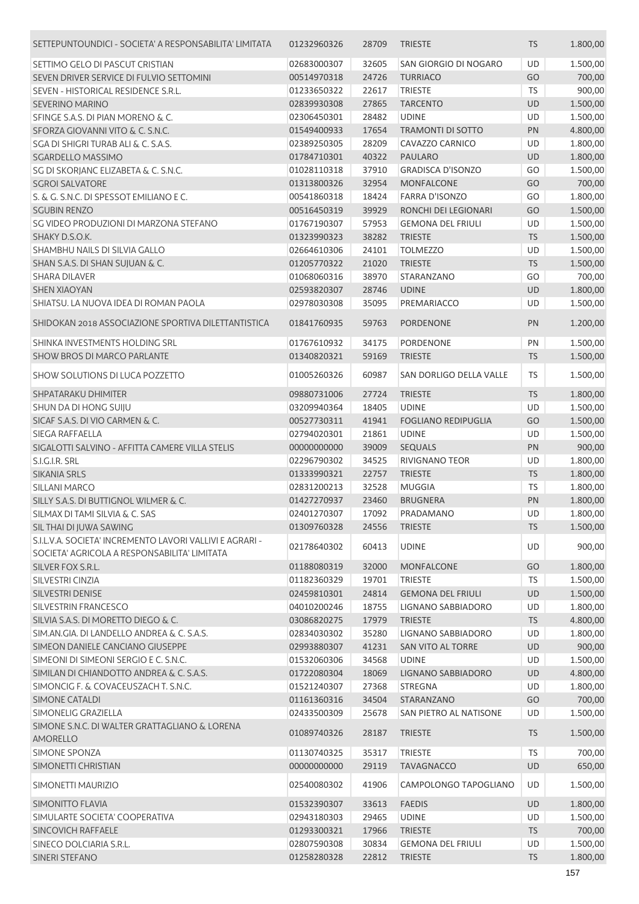| SETTEPUNTOUNDICI - SOCIETA' A RESPONSABILITA' LIMITATA                                                   | 01232960326 | 28709 | <b>TRIESTE</b>             | <b>TS</b> | 1.800,00 |
|----------------------------------------------------------------------------------------------------------|-------------|-------|----------------------------|-----------|----------|
| SETTIMO GELO DI PASCUT CRISTIAN                                                                          | 02683000307 | 32605 | SAN GIORGIO DI NOGARO      | UD        | 1.500,00 |
| SEVEN DRIVER SERVICE DI FULVIO SETTOMINI                                                                 | 00514970318 | 24726 | <b>TURRIACO</b>            | GO        | 700,00   |
| SEVEN - HISTORICAL RESIDENCE S.R.L.                                                                      | 01233650322 | 22617 | <b>TRIESTE</b>             | TS        | 900,00   |
| <b>SEVERINO MARINO</b>                                                                                   | 02839930308 | 27865 | <b>TARCENTO</b>            | UD        | 1.500,00 |
| SFINGE S.A.S. DI PIAN MORENO & C.                                                                        | 02306450301 | 28482 | <b>UDINE</b>               | UD        | 1.500,00 |
| SFORZA GIOVANNI VITO & C. S.N.C.                                                                         | 01549400933 | 17654 | <b>TRAMONTI DI SOTTO</b>   | PN        | 4.800,00 |
| SGA DI SHIGRI TURAB ALI & C. S.A.S.                                                                      | 02389250305 | 28209 | CAVAZZO CARNICO            | UD        | 1.800,00 |
| <b>SGARDELLO MASSIMO</b>                                                                                 | 01784710301 | 40322 | <b>PAULARO</b>             | UD        | 1.800,00 |
| SG DI SKORJANC ELIZABETA & C. S.N.C.                                                                     | 01028110318 | 37910 | <b>GRADISCA D'ISONZO</b>   | GO        | 1.500,00 |
| <b>SGROI SALVATORE</b>                                                                                   | 01313800326 | 32954 | <b>MONFALCONE</b>          | GO        | 700,00   |
| S. & G. S.N.C. DI SPESSOT EMILIANO E C.                                                                  | 00541860318 | 18424 | <b>FARRA D'ISONZO</b>      | GO        | 1.800,00 |
| <b>SGUBIN RENZO</b>                                                                                      | 00516450319 | 39929 | RONCHI DEI LEGIONARI       | GO        | 1.500,00 |
| SG VIDEO PRODUZIONI DI MARZONA STEFANO                                                                   | 01767190307 | 57953 | <b>GEMONA DEL FRIULI</b>   | UD        | 1.500,00 |
| SHAKY D.S.O.K.                                                                                           | 01323990323 | 38282 | <b>TRIESTE</b>             | <b>TS</b> | 1.500,00 |
| SHAMBHU NAILS DI SILVIA GALLO                                                                            | 02664610306 | 24101 | <b>TOLMEZZO</b>            | UD        | 1.500,00 |
| SHAN S.A.S. DI SHAN SUJUAN & C.                                                                          | 01205770322 | 21020 | <b>TRIESTE</b>             | <b>TS</b> | 1.500,00 |
| <b>SHARA DILAVER</b>                                                                                     | 01068060316 | 38970 | STARANZANO                 | GO        | 700,00   |
| <b>SHEN XIAOYAN</b>                                                                                      | 02593820307 | 28746 | <b>UDINE</b>               | <b>UD</b> | 1.800,00 |
| SHIATSU. LA NUOVA IDEA DI ROMAN PAOLA                                                                    | 02978030308 | 35095 | PREMARIACCO                | UD        | 1.500,00 |
| SHIDOKAN 2018 ASSOCIAZIONE SPORTIVA DILETTANTISTICA                                                      | 01841760935 | 59763 | <b>PORDENONE</b>           | PN        | 1.200,00 |
| SHINKA INVESTMENTS HOLDING SRL                                                                           | 01767610932 | 34175 | PORDENONE                  | PN        | 1.500,00 |
| <b>SHOW BROS DI MARCO PARLANTE</b>                                                                       | 01340820321 | 59169 | <b>TRIESTE</b>             | <b>TS</b> | 1.500,00 |
| SHOW SOLUTIONS DI LUCA POZZETTO                                                                          | 01005260326 | 60987 | SAN DORLIGO DELLA VALLE    | TS        | 1.500,00 |
| SHPATARAKU DHIMITER                                                                                      | 09880731006 | 27724 | <b>TRIESTE</b>             | <b>TS</b> | 1.800,00 |
| SHUN DA DI HONG SUIJU                                                                                    | 03209940364 | 18405 | <b>UDINE</b>               | UD        | 1.500,00 |
| SICAF S.A.S. DI VIO CARMEN & C.                                                                          | 00527730311 | 41941 | <b>FOGLIANO REDIPUGLIA</b> | GO        | 1.500,00 |
| SIEGA RAFFAELLA                                                                                          | 02794020301 | 21861 | <b>UDINE</b>               | UD        | 1.500,00 |
| SIGALOTTI SALVINO - AFFITTA CAMERE VILLA STELIS                                                          | 00000000000 | 39009 | <b>SEQUALS</b>             | PN        | 900,00   |
| S.I.G.I.R. SRL                                                                                           | 02296790302 | 34525 | <b>RIVIGNANO TEOR</b>      | UD        | 1.800,00 |
| <b>SIKANIA SRLS</b>                                                                                      | 01333990321 | 22757 | <b>TRIESTE</b>             | <b>TS</b> | 1.800,00 |
| SILLANI MARCO                                                                                            | 02831200213 | 32528 | <b>MUGGIA</b>              | <b>TS</b> | 1.800,00 |
| SILLY S.A.S. DI BUTTIGNOL WILMER & C.                                                                    | 01427270937 | 23460 | <b>BRUGNERA</b>            | PN        | 1.800,00 |
| SILMAX DI TAMI SILVIA & C. SAS                                                                           | 02401270307 | 17092 | PRADAMANO                  | UD        | 1.800,00 |
| SIL THAI DI JUWA SAWING                                                                                  | 01309760328 | 24556 | <b>TRIESTE</b>             | <b>TS</b> | 1.500,00 |
| S.I.L.V.A. SOCIETA' INCREMENTO LAVORI VALLIVI E AGRARI -<br>SOCIETA' AGRICOLA A RESPONSABILITA' LIMITATA | 02178640302 | 60413 | <b>UDINE</b>               | UD        | 900,00   |
| SILVER FOX S.R.L.                                                                                        | 01188080319 | 32000 | MONFALCONE                 | GO        | 1.800,00 |
| SILVESTRI CINZIA                                                                                         | 01182360329 | 19701 | TRIESTE                    | TS        | 1.500,00 |
| SILVESTRI DENISE                                                                                         | 02459810301 | 24814 | <b>GEMONA DEL FRIULI</b>   | UD        | 1.500,00 |
| SILVESTRIN FRANCESCO                                                                                     | 04010200246 | 18755 | LIGNANO SABBIADORO         | UD        | 1.800,00 |
| SILVIA S.A.S. DI MORETTO DIEGO & C.                                                                      | 03086820275 | 17979 | <b>TRIESTE</b>             | <b>TS</b> | 4.800,00 |
| SIM, AN, GIA, DI LANDELLO ANDREA & C. S.A.S.                                                             | 02834030302 | 35280 | LIGNANO SABBIADORO         | UD        | 1.800,00 |
| SIMEON DANIELE CANCIANO GIUSEPPE                                                                         | 02993880307 | 41231 | SAN VITO AL TORRE          | <b>UD</b> | 900,00   |
| SIMEONI DI SIMEONI SERGIO E C. S.N.C.                                                                    | 01532060306 | 34568 | <b>UDINE</b>               | UD        | 1.500,00 |
| SIMILAN DI CHIANDOTTO ANDREA & C. S.A.S.                                                                 | 01722080304 | 18069 | LIGNANO SABBIADORO         | <b>UD</b> | 4.800,00 |
| SIMONCIG F. & COVACEUSZACH T. S.N.C.                                                                     | 01521240307 | 27368 | <b>STREGNA</b>             | UD        | 1.800,00 |
| SIMONE CATALDI                                                                                           | 01161360316 | 34504 | STARANZANO                 | GO        | 700,00   |
| SIMONELIG GRAZIELLA                                                                                      | 02433500309 | 25678 | SAN PIETRO AL NATISONE     | UD        | 1.500,00 |
| SIMONE S.N.C. DI WALTER GRATTAGLIANO & LORENA                                                            | 01089740326 | 28187 | <b>TRIESTE</b>             | TS        | 1.500,00 |
| AMORELLO                                                                                                 |             |       |                            |           |          |
| SIMONE SPONZA                                                                                            | 01130740325 | 35317 | <b>TRIESTE</b>             | TS        | 700,00   |
| SIMONETTI CHRISTIAN                                                                                      | 00000000000 | 29119 | <b>TAVAGNACCO</b>          | <b>UD</b> | 650,00   |
| SIMONETTI MAURIZIO                                                                                       | 02540080302 | 41906 | CAMPOLONGO TAPOGLIANO      | UD        | 1.500,00 |
| <b>SIMONITTO FLAVIA</b>                                                                                  | 01532390307 | 33613 | <b>FAEDIS</b>              | <b>UD</b> | 1.800,00 |
| SIMULARTE SOCIETA' COOPERATIVA                                                                           | 02943180303 | 29465 | <b>UDINE</b>               | UD        | 1.500,00 |
| SINCOVICH RAFFAELE                                                                                       | 01293300321 | 17966 | <b>TRIESTE</b>             | <b>TS</b> | 700,00   |
| SINECO DOLCIARIA S.R.L.                                                                                  | 02807590308 | 30834 | <b>GEMONA DEL FRIULI</b>   | UD        | 1.500,00 |
| SINERI STEFANO                                                                                           | 01258280328 | 22812 | <b>TRIESTE</b>             | <b>TS</b> | 1.800,00 |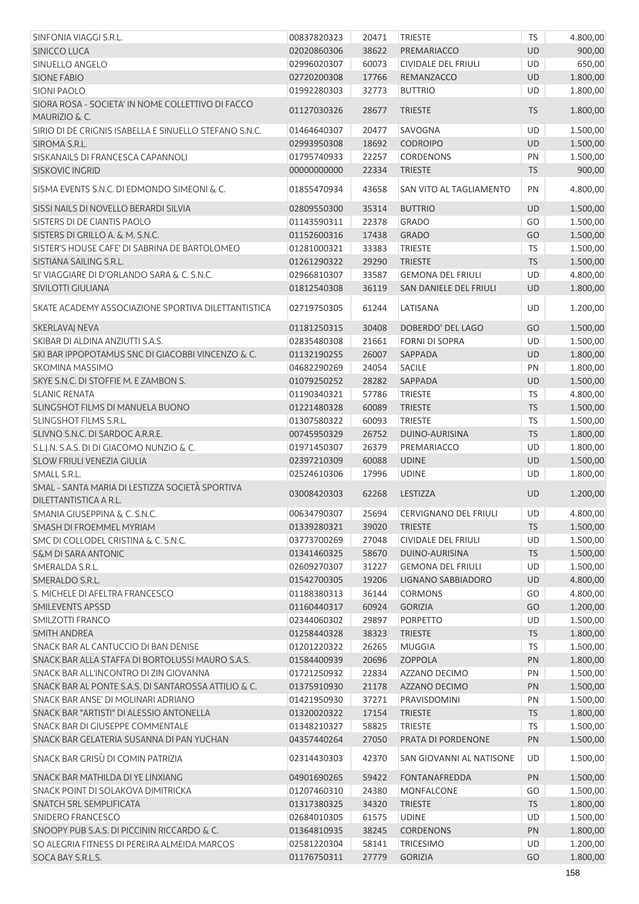| SINFONIA VIAGGI S.R.L.                                             | 00837820323 | 20471 | <b>TRIESTE</b>             | <b>TS</b> | 4.800,00 |
|--------------------------------------------------------------------|-------------|-------|----------------------------|-----------|----------|
| SINICCO LUCA                                                       | 02020860306 | 38622 | PREMARIACCO                | <b>UD</b> | 900,00   |
| SINUELLO ANGELO                                                    | 02996020307 | 60073 | <b>CIVIDALE DEL FRIULI</b> | <b>UD</b> | 650,00   |
| <b>SIONE FABIO</b>                                                 | 02720200308 | 17766 | REMANZACCO                 | <b>UD</b> | 1.800,00 |
| <b>SIONI PAOLO</b>                                                 | 01992280303 | 32773 | <b>BUTTRIO</b>             | <b>UD</b> | 1.800,00 |
| SIORA ROSA - SOCIETA' IN NOME COLLETTIVO DI FACCO<br>MAURIZIO & C. | 01127030326 | 28677 | <b>TRIESTE</b>             | <b>TS</b> | 1.800,00 |
| SIRIO DI DE CRIGNIS ISABELLA E SINUELLO STEFANO S.N.C.             | 01464640307 | 20477 | SAVOGNA                    | UD        | 1.500,00 |
| SIROMA S.R.L.                                                      | 02993950308 | 18692 | <b>CODROIPO</b>            | <b>UD</b> | 1.500,00 |
| SISKANAILS DI FRANCESCA CAPANNOLI                                  | 01795740933 | 22257 | <b>CORDENONS</b>           | PN        | 1.500,00 |
| <b>SISKOVIC INGRID</b>                                             | 00000000000 | 22334 | <b>TRIESTE</b>             | <b>TS</b> | 900,00   |
| SISMA EVENTS S.N.C. DI EDMONDO SIMEONI & C.                        | 01855470934 | 43658 | SAN VITO AL TAGLIAMENTO    | PN        | 4.800,00 |
| SISSI NAILS DI NOVELLO BERARDI SILVIA                              | 02809550300 | 35314 | <b>BUTTRIO</b>             | UD        | 1.500,00 |
| SISTERS DI DE CIANTIS PAOLO                                        | 01143590311 | 22378 | <b>GRADO</b>               | GO        | 1.500,00 |
| SISTERS DI GRILLO A. & M. S.N.C.                                   | 01152600316 | 17438 | <b>GRADO</b>               | GO        | 1.500,00 |
| SISTER'S HOUSE CAFE' DI SABRINA DE BARTOLOMEO                      | 01281000321 | 33383 | <b>TRIESTE</b>             | <b>TS</b> | 1.500,00 |
| SISTIANA SAILING S.R.L.                                            | 01261290322 | 29290 | <b>TRIESTE</b>             | <b>TS</b> | 1.500,00 |
| SI' VIAGGIARE DI D'ORLANDO SARA & C. S.N.C.                        | 02966810307 | 33587 | <b>GEMONA DEL FRIULI</b>   | <b>UD</b> | 4.800,00 |
| SIVILOTTI GIULIANA                                                 | 01812540308 | 36119 | SAN DANIELE DEL FRIULI     | <b>UD</b> | 1.800,00 |
| SKATE ACADEMY ASSOCIAZIONE SPORTIVA DILETTANTISTICA                | 02719750305 | 61244 | LATISANA                   | UD        | 1.200,00 |
| <b>SKERLAVAJ NEVA</b>                                              | 01181250315 | 30408 | DOBERDO' DEL LAGO          | GO        | 1.500,00 |
| SKIBAR DI ALDINA ANZIUTTI S.A.S.                                   | 02835480308 | 21661 | <b>FORNI DI SOPRA</b>      | <b>UD</b> | 1.500,00 |
| SKI BAR IPPOPOTAMUS SNC DI GIACOBBI VINCENZO & C.                  | 01132190255 | 26007 | SAPPADA                    | UD        | 1.800,00 |
| <b>SKOMINA MASSIMO</b>                                             | 04682290269 | 24054 | <b>SACILE</b>              | PN        | 1.800,00 |
| SKYE S.N.C. DI STOFFIE M. E ZAMBON S.                              | 01079250252 | 28282 | SAPPADA                    | UD        | 1.500,00 |
| <b>SLANIC RENATA</b>                                               | 01190340321 | 57786 | <b>TRIESTE</b>             | TS        | 4.800,00 |
| SLINGSHOT FILMS DI MANUELA BUONO                                   | 01221480328 | 60089 | <b>TRIESTE</b>             | <b>TS</b> | 1.500,00 |
| SLINGSHOT FILMS S.R.L.                                             | 01307580322 | 60093 | <b>TRIESTE</b>             | <b>TS</b> | 1.500,00 |
| SLIVNO S.N.C. DI SARDOC A.R.R.E.                                   | 00745950329 | 26752 | DUINO-AURISINA             | <b>TS</b> | 1.800,00 |
| S.L.J.N. S.A.S. DI DI GIACOMO NUNZIO & C.                          | 01971450307 | 26379 | PREMARIACCO                | UD        | 1.800,00 |
| SLOW FRIULI VENEZIA GIULIA                                         | 02397210309 | 60088 | <b>UDINE</b>               | <b>UD</b> | 1.500,00 |
| SMALL S.R.L.                                                       | 02524610306 | 17996 | <b>UDINE</b>               | <b>UD</b> | 1.800,00 |
| SMAL - SANTA MARIA DI LESTIZZA SOCIETÀ SPORTIVA                    |             |       |                            |           |          |
| DILETTANTISTICA A R.L.                                             | 03008420303 | 62268 | LESTIZZA                   | <b>UD</b> | 1.200,00 |
| SMANIA GIUSEPPINA & C. S.N.C.                                      | 00634790307 | 25694 | CERVIGNANO DEL FRIULI      | UD        | 4.800,00 |
| SMASH DI FROEMMEL MYRIAM                                           | 01339280321 | 39020 | <b>TRIESTE</b>             | <b>TS</b> | 1.500,00 |
| SMC DI COLLODEL CRISTINA & C. S.N.C.                               | 03773700269 | 27048 | <b>CIVIDALE DEL FRIULI</b> | UD        | 1.500,00 |
| <b>S&amp;M DI SARA ANTONIC</b>                                     | 01341460325 | 58670 | DUINO-AURISINA             | <b>TS</b> | 1.500,00 |
| SMERALDA S.R.L.                                                    | 02609270307 | 31227 | <b>GEMONA DEL FRIULI</b>   | <b>UD</b> | 1.500,00 |
| SMERALDO S.R.L.                                                    | 01542700305 | 19206 | LIGNANO SABBIADORO         | <b>UD</b> | 4.800,00 |
| S. MICHELE DI AFELTRA FRANCESCO                                    | 01188380313 | 36144 | <b>CORMONS</b>             | GO        | 4.800,00 |
| SMILEVENTS APSSD                                                   | 01160440317 | 60924 | <b>GORIZIA</b>             | GO        | 1.200,00 |
| SMILZOTTI FRANCO                                                   | 02344060302 | 29897 | <b>PORPETTO</b>            | UD        | 1.500,00 |
| <b>SMITH ANDREA</b>                                                | 01258440328 | 38323 | <b>TRIESTE</b>             | <b>TS</b> | 1.800,00 |
| SNACK BAR AL CANTUCCIO DI BAN DENISE                               | 01201220322 | 26265 | <b>MUGGIA</b>              | TS        | 1.500,00 |
| SNACK BAR ALLA STAFFA DI BORTOLUSSI MAURO S.A.S.                   | 01584400939 | 20696 | <b>ZOPPOLA</b>             | PN        | 1.800,00 |
| SNACK BAR ALL'INCONTRO DI ZIN GIOVANNA                             | 01721250932 | 22834 | AZZANO DECIMO              | PN        | 1.500,00 |
| SNACK BAR AL PONTE S.A.S. DI SANTAROSSA ATTILIO & C.               | 01375910930 | 21178 | AZZANO DECIMO              | PN        | 1.500,00 |
| SNACK BAR ANSE' DI MOLINARI ADRIANO                                | 01421950930 | 37271 | PRAVISDOMINI               | PN        | 1.500,00 |
| SNACK BAR "ARTISTI" DI ALESSIO ANTONELLA                           | 01320020322 | 17154 | <b>TRIESTE</b>             | <b>TS</b> | 1.800,00 |
| SNACK BAR DI GIUSEPPE COMMENTALE                                   | 01348210327 | 58825 | <b>TRIESTE</b>             | <b>TS</b> | 1.500,00 |
| SNACK BAR GELATERIA SUSANNA DI PAN YUCHAN                          | 04357440264 | 27050 | PRATA DI PORDENONE         | PN        | 1.500,00 |
| SNACK BAR GRISÙ DI COMIN PATRIZIA                                  | 02314430303 | 42370 | SAN GIOVANNI AL NATISONE   | UD        | 1.500,00 |
| SNACK BAR MATHILDA DI YE LINXIANG                                  | 04901690265 | 59422 | <b>FONTANAFREDDA</b>       | PN        | 1.500,00 |
| SNACK POINT DI SOLAKOVA DIMITRICKA                                 | 01207460310 | 24380 | MONFALCONE                 | GO        | 1.500,00 |
| SNATCH SRL SEMPLIFICATA                                            | 01317380325 | 34320 | <b>TRIESTE</b>             | <b>TS</b> | 1.800,00 |
| SNIDERO FRANCESCO                                                  | 02684010305 | 61575 | <b>UDINE</b>               | UD        | 1.500,00 |
| SNOOPY PUB S.A.S. DI PICCININ RICCARDO & C.                        | 01364810935 | 38245 | <b>CORDENONS</b>           | PN        | 1.800,00 |
| SO ALEGRIA FITNESS DI PEREIRA ALMEIDA MARCOS                       | 02581220304 | 58141 | <b>TRICESIMO</b>           | UD        | 1.200,00 |
| SOCA BAY S.R.L.S.                                                  | 01176750311 | 27779 | <b>GORIZIA</b>             | GO        | 1.800,00 |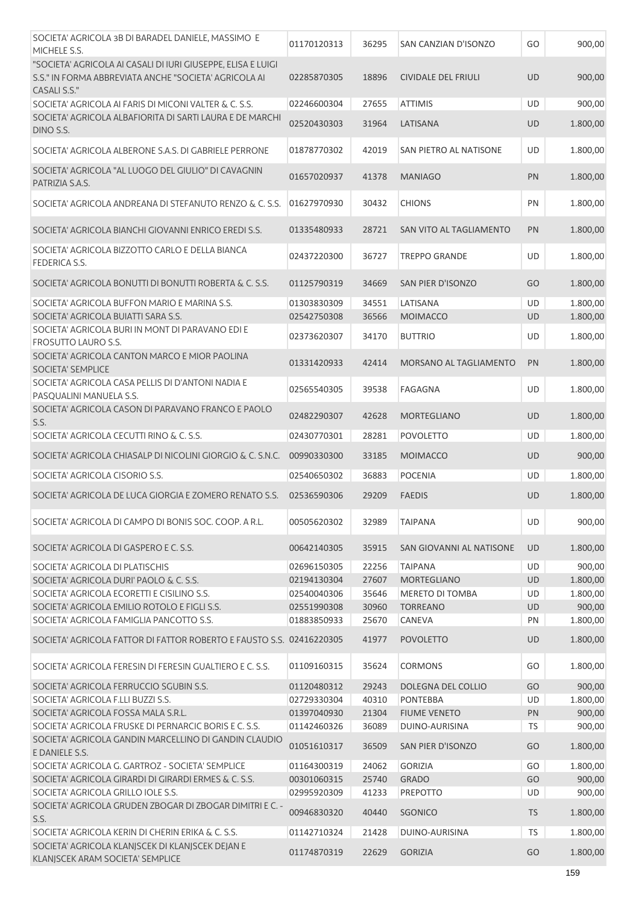| SOCIETA' AGRICOLA 3B DI BARADEL DANIELE, MASSIMO E<br>MICHELE S.S.                                                                           | 01170120313                | 36295          | SAN CANZIAN D'ISONZO                         | GO              | 900,00               |
|----------------------------------------------------------------------------------------------------------------------------------------------|----------------------------|----------------|----------------------------------------------|-----------------|----------------------|
| "SOCIETA' AGRICOLA AI CASALI DI IURI GIUSEPPE, ELISA E LUIGI<br>S.S." IN FORMA ABBREVIATA ANCHE "SOCIETA' AGRICOLA AI<br><b>CASALI S.S."</b> | 02285870305                | 18896          | CIVIDALE DEL FRIULI                          | <b>UD</b>       | 900,00               |
| SOCIETA' AGRICOLA AI FARIS DI MICONI VALTER & C. S.S.                                                                                        | 02246600304                | 27655          | <b>ATTIMIS</b>                               | <b>UD</b>       | 900,00               |
| SOCIETA' AGRICOLA ALBAFIORITA DI SARTI LAURA E DE MARCHI<br>DINO S.S.                                                                        | 02520430303                | 31964          | LATISANA                                     | <b>UD</b>       | 1.800,00             |
| SOCIETA' AGRICOLA ALBERONE S.A.S. DI GABRIELE PERRONE                                                                                        | 01878770302                | 42019          | SAN PIETRO AL NATISONE                       | <b>UD</b>       | 1.800,00             |
| SOCIETA' AGRICOLA "AL LUOGO DEL GIULIO" DI CAVAGNIN<br>PATRIZIA S.A.S.                                                                       | 01657020937                | 41378          | <b>MANIAGO</b>                               | PN              | 1.800,00             |
| SOCIETA' AGRICOLA ANDREANA DI STEFANUTO RENZO & C. S.S.                                                                                      | 01627970930                | 30432          | <b>CHIONS</b>                                | PN              | 1.800,00             |
| SOCIETA' AGRICOLA BIANCHI GIOVANNI ENRICO EREDI S.S.                                                                                         | 01335480933                | 28721          | SAN VITO AL TAGLIAMENTO                      | PN              | 1.800,00             |
| SOCIETA' AGRICOLA BIZZOTTO CARLO E DELLA BIANCA<br><b>FEDERICA S.S.</b>                                                                      | 02437220300                | 36727          | <b>TREPPO GRANDE</b>                         | UD              | 1.800,00             |
| SOCIETA' AGRICOLA BONUTTI DI BONUTTI ROBERTA & C. S.S.                                                                                       | 01125790319                | 34669          | SAN PIER D'ISONZO                            | GO              | 1.800,00             |
| SOCIETA' AGRICOLA BUFFON MARIO E MARINA S.S.                                                                                                 | 01303830309                | 34551          | LATISANA                                     | <b>UD</b>       | 1.800,00             |
| SOCIETA' AGRICOLA BUIATTI SARA S.S.                                                                                                          | 02542750308                | 36566          | <b>MOIMACCO</b>                              | UD              | 1.800,00             |
| SOCIETA' AGRICOLA BURI IN MONT DI PARAVANO EDI E<br><b>FROSUTTO LAURO S.S.</b>                                                               | 02373620307                | 34170          | <b>BUTTRIO</b>                               | <b>UD</b>       | 1.800,00             |
| SOCIETA' AGRICOLA CANTON MARCO E MIOR PAOLINA<br>SOCIETA' SEMPLICE                                                                           | 01331420933                | 42414          | MORSANO AL TAGLIAMENTO                       | PN              | 1.800,00             |
| SOCIETA' AGRICOLA CASA PELLIS DI D'ANTONI NADIA E<br>PASQUALINI MANUELA S.S.                                                                 | 02565540305                | 39538          | FAGAGNA                                      | <b>UD</b>       | 1.800,00             |
| SOCIETA' AGRICOLA CASON DI PARAVANO FRANCO E PAOLO<br>S.S.                                                                                   | 02482290307                | 42628          | <b>MORTEGLIANO</b>                           | <b>UD</b>       | 1.800,00             |
| SOCIETA' AGRICOLA CECUTTI RINO & C. S.S.                                                                                                     | 02430770301                | 28281          | <b>POVOLETTO</b>                             | <b>UD</b>       | 1.800,00             |
| SOCIETA' AGRICOLA CHIASALP DI NICOLINI GIORGIO & C. S.N.C.                                                                                   | 00990330300                | 33185          | <b>MOIMACCO</b>                              | <b>UD</b>       | 900,00               |
| SOCIETA' AGRICOLA CISORIO S.S.                                                                                                               | 02540650302                | 36883          | <b>POCENIA</b>                               | UD              | 1.800,00             |
| SOCIETA' AGRICOLA DE LUCA GIORGIA E ZOMERO RENATO S.S.                                                                                       | 02536590306                | 29209          | <b>FAEDIS</b>                                | <b>UD</b>       | 1.800,00             |
| SOCIETA' AGRICOLA DI CAMPO DI BONIS SOC. COOP. A R.L.                                                                                        | 00505620302                | 32989          | <b>TAIPANA</b>                               | UD              | 900,00               |
| SOCIETA' AGRICOLA DI GASPERO E C. S.S.                                                                                                       | 00642140305                | 35915          | SAN GIOVANNI AL NATISONE                     | <b>UD</b>       | 1.800,00             |
| SOCIETA' AGRICOLA DI PLATISCHIS                                                                                                              | 02696150305                | 22256          | <b>TAIPANA</b>                               | <b>UD</b>       | 900,00               |
| SOCIETA' AGRICOLA DURI' PAOLO & C. S.S.<br>SOCIETA' AGRICOLA ECORETTI E CISILINO S.S.                                                        | 02194130304<br>02540040306 | 27607<br>35646 | <b>MORTEGLIANO</b><br><b>MERETO DI TOMBA</b> | UD<br><b>UD</b> | 1.800,00<br>1.800,00 |
| SOCIETA' AGRICOLA EMILIO ROTOLO E FIGLI S.S.                                                                                                 | 02551990308                | 30960          | <b>TORREANO</b>                              | UD              | 900,00               |
| SOCIETA' AGRICOLA FAMIGLIA PANCOTTO S.S.                                                                                                     | 01883850933                | 25670          | CANEVA                                       | PN              | 1.800,00             |
| SOCIETA' AGRICOLA FATTOR DI FATTOR ROBERTO E FAUSTO S.S. 02416220305                                                                         |                            | 41977          | <b>POVOLETTO</b>                             | UD              | 1.800,00             |
| SOCIETA' AGRICOLA FERESIN DI FERESIN GUALTIERO E C. S.S.                                                                                     | 01109160315                | 35624          | <b>CORMONS</b>                               | GO              | 1.800,00             |
| SOCIETA' AGRICOLA FERRUCCIO SGUBIN S.S.                                                                                                      | 01120480312                | 29243          | DOLEGNA DEL COLLIO                           | GO              | 900,00               |
| SOCIETA' AGRICOLA F.LLI BUZZI S.S.                                                                                                           | 02729330304                | 40310          | <b>PONTEBBA</b>                              | <b>UD</b>       | 1.800,00             |
| SOCIETA' AGRICOLA FOSSA MALA S.R.L.                                                                                                          | 01397040930                | 21304          | <b>FIUME VENETO</b>                          | PN              | 900,00               |
| SOCIETA' AGRICOLA FRUSKE DI PERNARCIC BORIS E C. S.S.                                                                                        | 01142460326                | 36089          | DUINO-AURISINA                               | TS              | 900,00               |
| SOCIETA' AGRICOLA GANDIN MARCELLINO DI GANDIN CLAUDIO<br>E DANIELE S.S.                                                                      | 01051610317                | 36509          | SAN PIER D'ISONZO                            | GO              | 1.800,00             |
| SOCIETA' AGRICOLA G. GARTROZ - SOCIETA' SEMPLICE                                                                                             | 01164300319                | 24062          | <b>GORIZIA</b>                               | GO              | 1.800,00             |
| SOCIETA' AGRICOLA GIRARDI DI GIRARDI ERMES & C. S.S.                                                                                         | 00301060315                | 25740          | <b>GRADO</b>                                 | GO              | 900,00               |
| SOCIETA' AGRICOLA GRILLO IOLE S.S.                                                                                                           | 02995920309                | 41233          | <b>PREPOTTO</b>                              | <b>UD</b>       | 900,00               |
| SOCIETA' AGRICOLA GRUDEN ZBOGAR DI ZBOGAR DIMITRI E C. -<br>S.S.                                                                             | 00946830320                | 40440          | SGONICO                                      | <b>TS</b>       | 1.800,00             |
| SOCIETA' AGRICOLA KERIN DI CHERIN ERIKA & C. S.S.                                                                                            | 01142710324                | 21428          | DUINO-AURISINA                               | <b>TS</b>       | 1.800,00             |
| SOCIETA' AGRICOLA KLANJSCEK DI KLANJSCEK DEJAN E<br>KLANJSCEK ARAM SOCIETA' SEMPLICE                                                         | 01174870319                | 22629          | <b>GORIZIA</b>                               | GO              | 1.800,00             |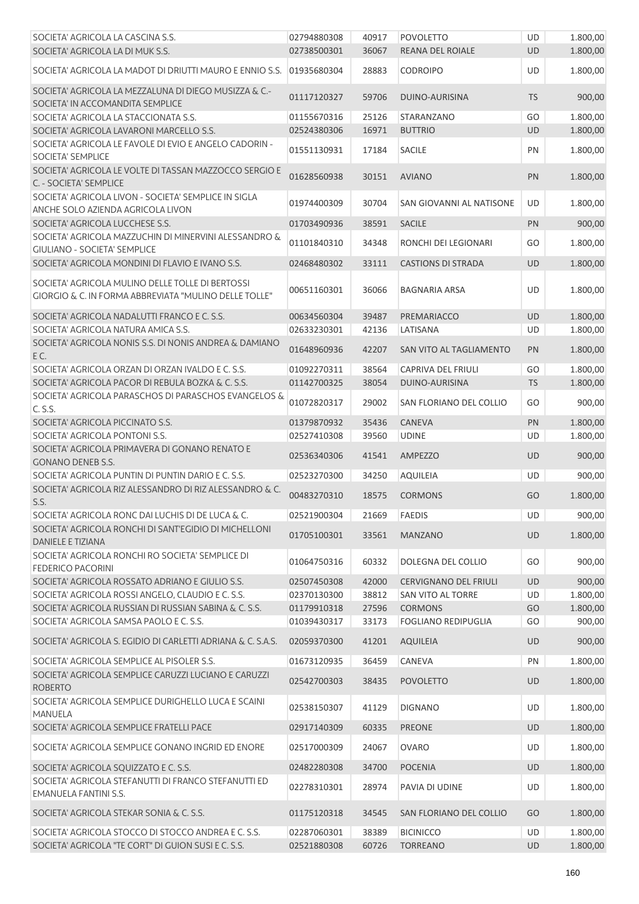| SOCIETA' AGRICOLA LA CASCINA S.S.                                                                         | 02794880308 | 40917 | <b>POVOLETTO</b>             | UD        | 1.800,00 |
|-----------------------------------------------------------------------------------------------------------|-------------|-------|------------------------------|-----------|----------|
| SOCIETA' AGRICOLA LA DI MUK S.S.                                                                          | 02738500301 | 36067 | <b>REANA DEL ROIALE</b>      | <b>UD</b> | 1.800,00 |
| SOCIETA' AGRICOLA LA MADOT DI DRIUTTI MAURO E ENNIO S.S.                                                  | 01935680304 | 28883 | <b>CODROIPO</b>              | <b>UD</b> | 1.800,00 |
| SOCIETA' AGRICOLA LA MEZZALUNA DI DIEGO MUSIZZA & C.-<br>SOCIETA' IN ACCOMANDITA SEMPLICE                 | 01117120327 | 59706 | DUINO-AURISINA               | <b>TS</b> | 900,00   |
| SOCIETA' AGRICOLA LA STACCIONATA S.S.                                                                     | 01155670316 | 25126 | STARANZANO                   | GO        | 1.800,00 |
| SOCIETA' AGRICOLA LAVARONI MARCELLO S.S.                                                                  | 02524380306 | 16971 | <b>BUTTRIO</b>               | <b>UD</b> | 1.800,00 |
| SOCIETA' AGRICOLA LE FAVOLE DI EVIO E ANGELO CADORIN -<br><b>SOCIETA' SEMPLICE</b>                        | 01551130931 | 17184 | <b>SACILE</b>                | PN        | 1.800,00 |
| SOCIETA' AGRICOLA LE VOLTE DI TASSAN MAZZOCCO SERGIO E<br>C. - SOCIETA' SEMPLICE                          | 01628560938 | 30151 | <b>AVIANO</b>                | PN        | 1.800,00 |
| SOCIETA' AGRICOLA LIVON - SOCIETA' SEMPLICE IN SIGLA<br>ANCHE SOLO AZIENDA AGRICOLA LIVON                 | 01974400309 | 30704 | SAN GIOVANNI AL NATISONE     | <b>UD</b> | 1.800,00 |
| SOCIETA' AGRICOLA LUCCHESE S.S.                                                                           | 01703490936 | 38591 | <b>SACILE</b>                | PN        | 900,00   |
| SOCIETA' AGRICOLA MAZZUCHIN DI MINERVINI ALESSANDRO &<br><b>GIULIANO - SOCIETA' SEMPLICE</b>              | 01101840310 | 34348 | RONCHI DEI LEGIONARI         | GO        | 1.800,00 |
| SOCIETA' AGRICOLA MONDINI DI FLAVIO E IVANO S.S.                                                          | 02468480302 | 33111 | <b>CASTIONS DI STRADA</b>    | <b>UD</b> | 1.800,00 |
| SOCIETA' AGRICOLA MULINO DELLE TOLLE DI BERTOSSI<br>GIORGIO & C. IN FORMA ABBREVIATA "MULINO DELLE TOLLE" | 00651160301 | 36066 | <b>BAGNARIA ARSA</b>         | <b>UD</b> | 1.800,00 |
| SOCIETA' AGRICOLA NADALUTTI FRANCO E C. S.S.                                                              | 00634560304 | 39487 | PREMARIACCO                  | <b>UD</b> | 1.800,00 |
| SOCIETA' AGRICOLA NATURA AMICA S.S.                                                                       | 02633230301 | 42136 | LATISANA                     | UD        | 1.800,00 |
| SOCIETA' AGRICOLA NONIS S.S. DI NONIS ANDREA & DAMIANO<br>EC.                                             | 01648960936 | 42207 | SAN VITO AL TAGLIAMENTO      | PN        | 1.800,00 |
| SOCIETA' AGRICOLA ORZAN DI ORZAN IVALDO E C. S.S.                                                         | 01092270311 | 38564 | <b>CAPRIVA DEL FRIULI</b>    | GO        | 1.800,00 |
| SOCIETA' AGRICOLA PACOR DI REBULA BOZKA & C. S.S.                                                         | 01142700325 | 38054 | DUINO-AURISINA               | <b>TS</b> | 1.800,00 |
| SOCIETA' AGRICOLA PARASCHOS DI PARASCHOS EVANGELOS &<br>C. S.S.                                           | 01072820317 | 29002 | SAN FLORIANO DEL COLLIO      | GO        | 900,00   |
| SOCIETA' AGRICOLA PICCINATO S.S.                                                                          | 01379870932 | 35436 | <b>CANEVA</b>                | PN        | 1.800,00 |
| SOCIETA' AGRICOLA PONTONI S.S.                                                                            | 02527410308 | 39560 | <b>UDINE</b>                 | UD        | 1.800,00 |
| SOCIETA' AGRICOLA PRIMAVERA DI GONANO RENATO E<br><b>GONANO DENEB S.S.</b>                                | 02536340306 | 41541 | <b>AMPEZZO</b>               | <b>UD</b> | 900,00   |
| SOCIETA' AGRICOLA PUNTIN DI PUNTIN DARIO E C. S.S.                                                        | 02523270300 | 34250 | <b>AQUILEIA</b>              | <b>UD</b> | 900,00   |
| SOCIETA' AGRICOLA RIZ ALESSANDRO DI RIZ ALESSANDRO & C.<br>S.S.                                           | 00483270310 | 18575 | <b>CORMONS</b>               | GO        | 1.800,00 |
| SOCIETA' AGRICOLA RONC DAI LUCHIS DI DE LUCA & C.                                                         | 02521900304 | 21669 | <b>FAEDIS</b>                | <b>UD</b> | 900,00   |
| SOCIETA' AGRICOLA RONCHI DI SANT'EGIDIO DI MICHELLONI<br><b>DANIELE E TIZIANA</b>                         | 01705100301 | 33561 | <b>MANZANO</b>               | <b>UD</b> | 1.800,00 |
| SOCIETA' AGRICOLA RONCHI RO SOCIETA' SEMPLICE DI<br><b>FEDERICO PACORINI</b>                              | 01064750316 | 60332 | DOLEGNA DEL COLLIO           | GO        | 900,00   |
| SOCIETA' AGRICOLA ROSSATO ADRIANO E GIULIO S.S.                                                           | 02507450308 | 42000 | <b>CERVIGNANO DEL FRIULI</b> | <b>UD</b> | 900,00   |
| SOCIETA' AGRICOLA ROSSI ANGELO, CLAUDIO E C. S.S.                                                         | 02370130300 | 38812 | <b>SAN VITO AL TORRE</b>     | <b>UD</b> | 1.800,00 |
| SOCIETA' AGRICOLA RUSSIAN DI RUSSIAN SABINA & C. S.S.                                                     | 01179910318 | 27596 | <b>CORMONS</b>               | GO        | 1.800,00 |
| SOCIETA' AGRICOLA SAMSA PAOLO E C. S.S.                                                                   | 01039430317 | 33173 | <b>FOGLIANO REDIPUGLIA</b>   | GO        | 900,00   |
| SOCIETA' AGRICOLA S. EGIDIO DI CARLETTI ADRIANA & C. S.A.S.                                               | 02059370300 | 41201 | <b>AQUILEIA</b>              | <b>UD</b> | 900,00   |
| SOCIETA' AGRICOLA SEMPLICE AL PISOLER S.S.                                                                | 01673120935 | 36459 | CANEVA                       | PN        | 1.800,00 |
| SOCIETA' AGRICOLA SEMPLICE CARUZZI LUCIANO E CARUZZI<br><b>ROBERTO</b>                                    | 02542700303 | 38435 | <b>POVOLETTO</b>             | UD        | 1.800,00 |
| SOCIETA' AGRICOLA SEMPLICE DURIGHELLO LUCA E SCAINI<br><b>MANUELA</b>                                     | 02538150307 | 41129 | <b>DIGNANO</b>               | UD        | 1.800,00 |
| SOCIETA' AGRICOLA SEMPLICE FRATELLI PACE                                                                  | 02917140309 | 60335 | <b>PREONE</b>                | UD        | 1.800,00 |
| SOCIETA' AGRICOLA SEMPLICE GONANO INGRID ED ENORE                                                         | 02517000309 | 24067 | <b>OVARO</b>                 | UD        | 1.800,00 |
| SOCIETA' AGRICOLA SQUIZZATO E C. S.S.                                                                     | 02482280308 | 34700 | <b>POCENIA</b>               | <b>UD</b> | 1.800,00 |
| SOCIETA' AGRICOLA STEFANUTTI DI FRANCO STEFANUTTI ED<br>EMANUELA FANTINI S.S.                             | 02278310301 | 28974 | PAVIA DI UDINE               | UD        | 1.800,00 |
| SOCIETA' AGRICOLA STEKAR SONIA & C. S.S.                                                                  | 01175120318 | 34545 | SAN FLORIANO DEL COLLIO      | GO        | 1.800,00 |
| SOCIETA' AGRICOLA STOCCO DI STOCCO ANDREA E C. S.S.                                                       | 02287060301 | 38389 | <b>BICINICCO</b>             | UD        | 1.800,00 |
| SOCIETA' AGRICOLA "TE CORT" DI GUION SUSI E C. S.S.                                                       | 02521880308 | 60726 | <b>TORREANO</b>              | <b>UD</b> | 1.800,00 |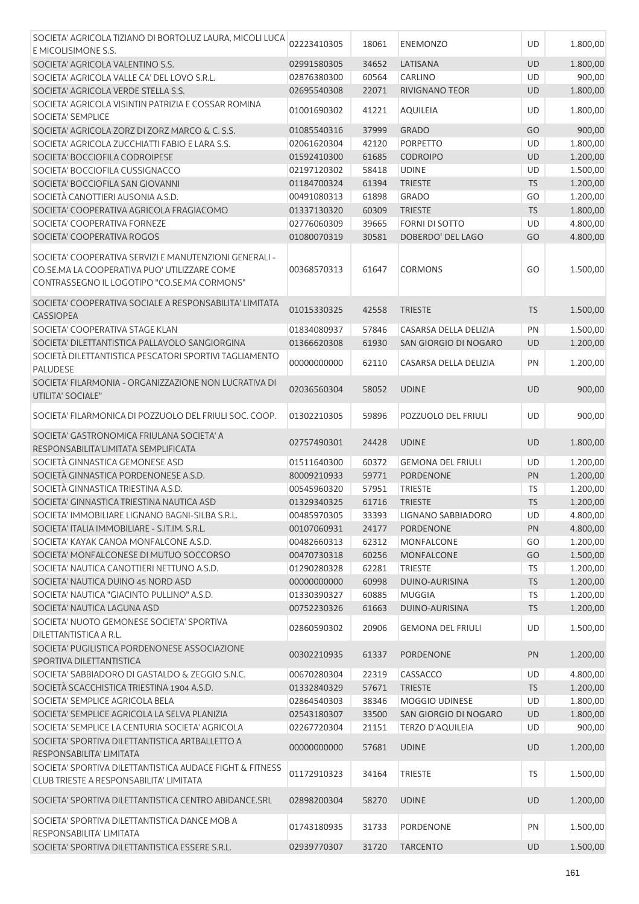| SOCIETA' AGRICOLA TIZIANO DI BORTOLUZ LAURA, MICOLI LUCA                                                                                              |             |       |                          |           |          |
|-------------------------------------------------------------------------------------------------------------------------------------------------------|-------------|-------|--------------------------|-----------|----------|
| E MICOLISIMONE S.S.                                                                                                                                   | 02223410305 | 18061 | <b>ENEMONZO</b>          | UD        | 1.800,00 |
| SOCIETA' AGRICOLA VALENTINO S.S.                                                                                                                      | 02991580305 | 34652 | LATISANA                 | UD        | 1.800,00 |
| SOCIETA' AGRICOLA VALLE CA' DEL LOVO S.R.L.                                                                                                           | 02876380300 | 60564 | CARLINO                  | UD        | 900,00   |
| SOCIETA' AGRICOLA VERDE STELLA S.S.                                                                                                                   | 02695540308 | 22071 | <b>RIVIGNANO TEOR</b>    | UD        | 1.800,00 |
| SOCIETA' AGRICOLA VISINTIN PATRIZIA E COSSAR ROMINA<br>SOCIETA' SEMPLICE                                                                              | 01001690302 | 41221 | <b>AQUILEIA</b>          | UD        | 1.800,00 |
| SOCIETA' AGRICOLA ZORZ DI ZORZ MARCO & C. S.S.                                                                                                        | 01085540316 | 37999 | <b>GRADO</b>             | GO        | 900,00   |
| SOCIETA' AGRICOLA ZUCCHIATTI FABIO E LARA S.S.                                                                                                        | 02061620304 | 42120 | <b>PORPETTO</b>          | UD        | 1.800,00 |
| SOCIETA' BOCCIOFILA CODROIPESE                                                                                                                        | 01592410300 | 61685 | <b>CODROIPO</b>          | UD        | 1.200,00 |
| SOCIETA' BOCCIOFILA CUSSIGNACCO                                                                                                                       | 02197120302 | 58418 | <b>UDINE</b>             | UD        | 1.500,00 |
| SOCIETA' BOCCIOFILA SAN GIOVANNI                                                                                                                      | 01184700324 | 61394 | <b>TRIESTE</b>           | <b>TS</b> | 1.200,00 |
| SOCIETÀ CANOTTIERI AUSONIA A.S.D.                                                                                                                     |             |       | <b>GRADO</b>             | GO        |          |
|                                                                                                                                                       | 00491080313 | 61898 |                          |           | 1.200,00 |
| SOCIETA' COOPERATIVA AGRICOLA FRAGIACOMO                                                                                                              | 01337130320 | 60309 | <b>TRIESTE</b>           | <b>TS</b> | 1.800,00 |
| SOCIETA' COOPERATIVA FORNEZE                                                                                                                          | 02776060309 | 39665 | FORNI DI SOTTO           | UD        | 4.800,00 |
| SOCIETA' COOPERATIVA ROGOS                                                                                                                            | 01080070319 | 30581 | DOBERDO' DEL LAGO        | GO        | 4.800,00 |
| SOCIETA' COOPERATIVA SERVIZI E MANUTENZIONI GENERALI -<br>CO.SE.MA LA COOPERATIVA PUO' UTILIZZARE COME<br>CONTRASSEGNO IL LOGOTIPO "CO.SE.MA CORMONS" | 00368570313 | 61647 | <b>CORMONS</b>           | GO        | 1.500,00 |
| SOCIETA' COOPERATIVA SOCIALE A RESPONSABILITA' LIMITATA<br><b>CASSIOPEA</b>                                                                           | 01015330325 | 42558 | <b>TRIESTE</b>           | <b>TS</b> | 1.500,00 |
| SOCIETA' COOPERATIVA STAGE KLAN                                                                                                                       | 01834080937 | 57846 | CASARSA DELLA DELIZIA    | PN        | 1.500,00 |
| SOCIETA' DILETTANTISTICA PALLAVOLO SANGIORGINA                                                                                                        | 01366620308 | 61930 | SAN GIORGIO DI NOGARO    | UD        | 1.200,00 |
| SOCIETÀ DILETTANTISTICA PESCATORI SPORTIVI TAGLIAMENTO<br><b>PALUDESE</b>                                                                             | 00000000000 | 62110 | CASARSA DELLA DELIZIA    | PN        | 1.200,00 |
| SOCIETA' FILARMONIA - ORGANIZZAZIONE NON LUCRATIVA DI<br>UTILITA' SOCIALE"                                                                            | 02036560304 | 58052 | <b>UDINE</b>             | <b>UD</b> | 900,00   |
| SOCIETA' FILARMONICA DI POZZUOLO DEL FRIULI SOC. COOP.                                                                                                | 01302210305 | 59896 | POZZUOLO DEL FRIULI      | UD        | 900,00   |
| SOCIETA' GASTRONOMICA FRIULANA SOCIETA' A<br>RESPONSABILITA'LIMITATA SEMPLIFICATA                                                                     | 02757490301 | 24428 | <b>UDINE</b>             | UD        | 1.800,00 |
| SOCIETÀ GINNASTICA GEMONESE ASD                                                                                                                       | 01511640300 | 60372 | <b>GEMONA DEL FRIULI</b> | UD        | 1.200,00 |
| SOCIETÀ GINNASTICA PORDENONESE A.S.D.                                                                                                                 | 80009210933 | 59771 | <b>PORDENONE</b>         | PN        | 1.200,00 |
| SOCIETÀ GINNASTICA TRIESTINA A.S.D.                                                                                                                   | 00545960320 | 57951 | <b>TRIESTE</b>           | <b>TS</b> | 1.200,00 |
| SOCIETA' GINNASTICA TRIESTINA NAUTICA ASD                                                                                                             | 01329340325 | 61716 | <b>TRIESTE</b>           | <b>TS</b> | 1.200,00 |
| SOCIETA' IMMOBILIARE LIGNANO BAGNI-SILBA S.R.L.                                                                                                       | 00485970305 | 33393 | LIGNANO SABBIADORO       | UD        | 4.800,00 |
| SOCIETA' ITALIA IMMOBILIARE - S.IT.IM. S.R.L.                                                                                                         | 00107060931 | 24177 | PORDENONE                | PN        | 4.800,00 |
| SOCIETA' KAYAK CANOA MONFALCONE A.S.D.                                                                                                                | 00482660313 | 62312 | <b>MONFALCONE</b>        | GO        | 1.200,00 |
| SOCIETA' MONFALCONESE DI MUTUO SOCCORSO                                                                                                               | 00470730318 | 60256 | <b>MONFALCONE</b>        | GO        | 1.500,00 |
| SOCIETA' NAUTICA CANOTTIERI NETTUNO A.S.D.                                                                                                            | 01290280328 | 62281 | <b>TRIESTE</b>           | <b>TS</b> | 1.200,00 |
| SOCIETA' NAUTICA DUINO 45 NORD ASD                                                                                                                    | 00000000000 | 60998 | DUINO-AURISINA           | <b>TS</b> | 1.200,00 |
| SOCIETA' NAUTICA "GIACINTO PULLINO" A.S.D.                                                                                                            | 01330390327 | 60885 | <b>MUGGIA</b>            | <b>TS</b> | 1.200,00 |
| SOCIETA' NAUTICA LAGUNA ASD                                                                                                                           | 00752230326 | 61663 | <b>DUINO-AURISINA</b>    | <b>TS</b> | 1.200,00 |
| SOCIETA' NUOTO GEMONESE SOCIETA' SPORTIVA                                                                                                             |             |       |                          |           |          |
| DILETTANTISTICA A R.L.                                                                                                                                | 02860590302 | 20906 | <b>GEMONA DEL FRIULI</b> | UD        | 1.500,00 |
| SOCIETA' PUGILISTICA PORDENONESE ASSOCIAZIONE                                                                                                         | 00302210935 | 61337 | <b>PORDENONE</b>         | PN        | 1.200,00 |
| SPORTIVA DILETTANTISTICA                                                                                                                              |             |       |                          |           |          |
| SOCIETA' SABBIADORO DI GASTALDO & ZEGGIO S.N.C.                                                                                                       | 00670280304 | 22319 | CASSACCO                 | UD        | 4.800,00 |
| SOCIETÀ SCACCHISTICA TRIESTINA 1904 A.S.D.                                                                                                            | 01332840329 | 57671 | <b>TRIESTE</b>           | <b>TS</b> | 1.200,00 |
| SOCIETA' SEMPLICE AGRICOLA BELA                                                                                                                       | 02864540303 | 38346 | MOGGIO UDINESE           | <b>UD</b> | 1.800,00 |
| SOCIETA' SEMPLICE AGRICOLA LA SELVA PLANIZIA                                                                                                          | 02543180307 | 33500 | SAN GIORGIO DI NOGARO    | <b>UD</b> | 1.800,00 |
| SOCIETA' SEMPLICE LA CENTURIA SOCIETA' AGRICOLA                                                                                                       | 02267720304 | 21151 | <b>TERZO D'AQUILEIA</b>  | UD        | 900,00   |
| SOCIETA' SPORTIVA DILETTANTISTICA ARTBALLETTO A<br>RESPONSABILITA' LIMITATA                                                                           | 00000000000 | 57681 | <b>UDINE</b>             | UD        | 1.200,00 |
| SOCIETA' SPORTIVA DILETTANTISTICA AUDACE FIGHT & FITNESS<br>CLUB TRIESTE A RESPONSABILITA' LIMITATA                                                   | 01172910323 | 34164 | <b>TRIESTE</b>           | <b>TS</b> | 1.500,00 |
| SOCIETA' SPORTIVA DILETTANTISTICA CENTRO ABIDANCE.SRL                                                                                                 | 02898200304 | 58270 | <b>UDINE</b>             | UD        | 1.200,00 |
| SOCIETA' SPORTIVA DILETTANTISTICA DANCE MOB A<br>RESPONSABILITA' LIMITATA                                                                             | 01743180935 | 31733 | PORDENONE                | PN        | 1.500,00 |
| SOCIETA' SPORTIVA DILETTANTISTICA ESSERE S.R.L.                                                                                                       | 02939770307 | 31720 | <b>TARCENTO</b>          | <b>UD</b> | 1.500,00 |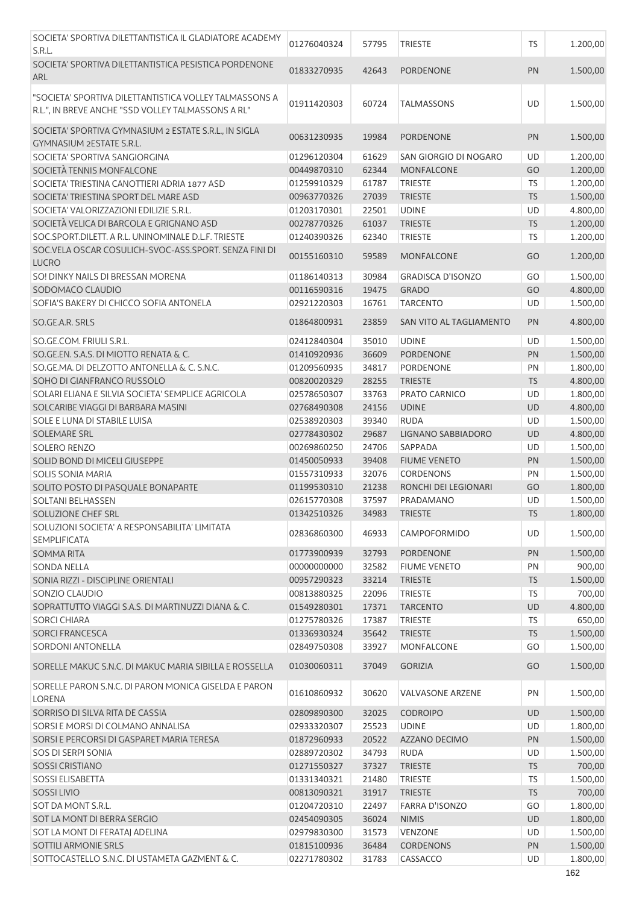| SOCIETA' SPORTIVA DILETTANTISTICA IL GLADIATORE ACADEMY<br>S.R.L.                                            | 01276040324 | 57795 | <b>TRIESTE</b>           | <b>TS</b> | 1.200,00 |
|--------------------------------------------------------------------------------------------------------------|-------------|-------|--------------------------|-----------|----------|
| SOCIETA' SPORTIVA DILETTANTISTICA PESISTICA PORDENONE<br>ARL                                                 | 01833270935 | 42643 | <b>PORDENONE</b>         | PN        | 1.500,00 |
| "SOCIETA' SPORTIVA DILETTANTISTICA VOLLEY TALMASSONS A<br>R.L.", IN BREVE ANCHE "SSD VOLLEY TALMASSONS A RL" | 01911420303 | 60724 | <b>TALMASSONS</b>        | UD        | 1.500,00 |
| SOCIETA' SPORTIVA GYMNASIUM 2 ESTATE S.R.L., IN SIGLA<br>GYMNASIUM 2ESTATE S.R.L.                            | 00631230935 | 19984 | <b>PORDENONE</b>         | PN        | 1.500,00 |
| SOCIETA' SPORTIVA SANGIORGINA                                                                                | 01296120304 | 61629 | SAN GIORGIO DI NOGARO    | UD        | 1.200,00 |
| SOCIETÀ TENNIS MONFALCONE                                                                                    | 00449870310 | 62344 | <b>MONFALCONE</b>        | GO        | 1.200,00 |
| SOCIETA' TRIESTINA CANOTTIERI ADRIA 1877 ASD                                                                 | 01259910329 | 61787 | <b>TRIESTE</b>           | TS        | 1.200,00 |
| SOCIETA' TRIESTINA SPORT DEL MARE ASD                                                                        | 00963770326 | 27039 | <b>TRIESTE</b>           | <b>TS</b> | 1.500,00 |
| SOCIETA' VALORIZZAZIONI EDILIZIE S.R.L.                                                                      | 01203170301 | 22501 | <b>UDINE</b>             | UD        | 4.800,00 |
| SOCIETÀ VELICA DI BARCOLA E GRIGNANO ASD                                                                     | 00278770326 | 61037 | <b>TRIESTE</b>           | <b>TS</b> | 1.200,00 |
| SOC.SPORT.DILETT. A R.L. UNINOMINALE D.L.F. TRIESTE                                                          | 01240390326 | 62340 | <b>TRIESTE</b>           | <b>TS</b> | 1.200,00 |
| SOC. VELA OSCAR COSULICH-SVOC-ASS. SPORT. SENZA FINI DI<br><b>LUCRO</b>                                      | 00155160310 | 59589 | <b>MONFALCONE</b>        | GO        | 1.200,00 |
| SO! DINKY NAILS DI BRESSAN MORENA                                                                            | 01186140313 | 30984 | <b>GRADISCA D'ISONZO</b> | GO        | 1.500,00 |
| SODOMACO CLAUDIO                                                                                             | 00116590316 | 19475 | <b>GRADO</b>             | GO        | 4.800,00 |
| SOFIA'S BAKERY DI CHICCO SOFIA ANTONELA                                                                      | 02921220303 | 16761 | <b>TARCENTO</b>          | UD        | 1.500,00 |
| SO.GE.A.R. SRLS                                                                                              | 01864800931 | 23859 | SAN VITO AL TAGLIAMENTO  | PN        | 4.800,00 |
| SO.GE.COM. FRIULI S.R.L.                                                                                     | 02412840304 | 35010 | <b>UDINE</b>             | UD        | 1.500,00 |
| SO.GE.EN. S.A.S. DI MIOTTO RENATA & C.                                                                       | 01410920936 | 36609 | <b>PORDENONE</b>         | PN        | 1.500,00 |
| SO.GE.MA. DI DELZOTTO ANTONELLA & C. S.N.C.                                                                  | 01209560935 | 34817 | PORDENONE                | PN        | 1.800,00 |
| SOHO DI GIANFRANCO RUSSOLO                                                                                   | 00820020329 | 28255 | <b>TRIESTE</b>           | <b>TS</b> | 4.800,00 |
| SOLARI ELIANA E SILVIA SOCIETA' SEMPLICE AGRICOLA                                                            | 02578650307 | 33763 | PRATO CARNICO            | UD        | 1.800,00 |
| SOLCARIBE VIAGGI DI BARBARA MASINI                                                                           | 02768490308 | 24156 | <b>UDINE</b>             | UD        | 4.800,00 |
| SOLE E LUNA DI STABILE LUISA                                                                                 | 02538920303 | 39340 | <b>RUDA</b>              | UD        | 1.500,00 |
| SOLEMARE SRL                                                                                                 | 02778430302 | 29687 | LIGNANO SABBIADORO       | UD        | 4.800,00 |
| <b>SOLERO RENZO</b>                                                                                          | 00269860250 | 24706 | SAPPADA                  | UD        | 1.500,00 |
| SOLID BOND DI MICELI GIUSEPPE                                                                                | 01450050933 | 39408 | <b>FIUME VENETO</b>      | PN        | 1.500,00 |
| <b>SOLIS SONIA MARIA</b>                                                                                     | 01557310933 | 32076 | CORDENONS                | PN        | 1.500,00 |
| SOLITO POSTO DI PASQUALE BONAPARTE                                                                           | 01199530310 | 21238 | RONCHI DEI LEGIONARI     | GO        | 1.800,00 |
| <b>SOLTANI BELHASSEN</b>                                                                                     | 02615770308 | 37597 | PRADAMANO                | UD        | 1.500,00 |
| SOLUZIONE CHEF SRL                                                                                           | 01342510326 | 34983 | <b>TRIESTE</b>           | TS        | 1.800,00 |
| SOLUZIONI SOCIETA' A RESPONSABILITA' LIMITATA<br><b>SEMPLIFICATA</b>                                         | 02836860300 | 46933 | CAMPOFORMIDO             | <b>UD</b> | 1.500,00 |
| <b>SOMMA RITA</b>                                                                                            | 01773900939 | 32793 | <b>PORDENONE</b>         | PN        | 1.500,00 |
| <b>SONDA NELLA</b>                                                                                           | 00000000000 | 32582 | <b>FIUME VENETO</b>      | PN        | 900,00   |
| SONIA RIZZI - DISCIPLINE ORIENTALI                                                                           | 00957290323 | 33214 | <b>TRIESTE</b>           | <b>TS</b> | 1.500,00 |
| SONZIO CLAUDIO                                                                                               | 00813880325 | 22096 | <b>TRIESTE</b>           | <b>TS</b> | 700,00   |
| SOPRATTUTTO VIAGGI S.A.S. DI MARTINUZZI DIANA & C.                                                           | 01549280301 | 17371 | <b>TARCENTO</b>          | UD        | 4.800,00 |
| <b>SORCI CHIARA</b>                                                                                          | 01275780326 | 17387 | <b>TRIESTE</b>           | <b>TS</b> | 650,00   |
| <b>SORCI FRANCESCA</b>                                                                                       | 01336930324 | 35642 | <b>TRIESTE</b>           | <b>TS</b> | 1.500,00 |
| <b>SORDONI ANTONELLA</b>                                                                                     | 02849750308 | 33927 | MONFALCONE               | GO        | 1.500,00 |
| SORELLE MAKUC S.N.C. DI MAKUC MARIA SIBILLA E ROSSELLA                                                       | 01030060311 | 37049 | <b>GORIZIA</b>           | GO        | 1.500,00 |
| SORELLE PARON S.N.C. DI PARON MONICA GISELDA E PARON<br>LORENA                                               | 01610860932 | 30620 | <b>VALVASONE ARZENE</b>  | PN        | 1.500,00 |
| SORRISO DI SILVA RITA DE CASSIA                                                                              | 02809890300 | 32025 | <b>CODROIPO</b>          | <b>UD</b> | 1.500,00 |
| SORSI E MORSI DI COLMANO ANNALISA                                                                            | 02933320307 | 25523 | <b>UDINE</b>             | UD        | 1.800,00 |
| SORSI E PERCORSI DI GASPARET MARIA TERESA                                                                    | 01872960933 | 20522 | AZZANO DECIMO            | <b>PN</b> | 1.500,00 |
| SOS DI SERPI SONIA                                                                                           | 02889720302 | 34793 | <b>RUDA</b>              | UD        | 1.500,00 |
| <b>SOSSI CRISTIANO</b>                                                                                       | 01271550327 | 37327 | <b>TRIESTE</b>           | <b>TS</b> | 700,00   |
| <b>SOSSI ELISABETTA</b>                                                                                      | 01331340321 | 21480 | <b>TRIESTE</b>           | <b>TS</b> | 1.500,00 |
| <b>SOSSILIVIO</b>                                                                                            | 00813090321 | 31917 | <b>TRIESTE</b>           | <b>TS</b> | 700,00   |
| SOT DA MONT S.R.L.                                                                                           | 01204720310 | 22497 | <b>FARRA D'ISONZO</b>    | GO        | 1.800,00 |
| SOT LA MONT DI BERRA SERGIO                                                                                  | 02454090305 | 36024 | <b>NIMIS</b>             | <b>UD</b> | 1.800,00 |
| SOT LA MONT DI FERATAJ ADELINA                                                                               | 02979830300 | 31573 | <b>VENZONE</b>           | <b>UD</b> | 1.500,00 |
| SOTTILI ARMONIE SRLS                                                                                         | 01815100936 | 36484 | <b>CORDENONS</b>         | PN        | 1.500,00 |
| SOTTOCASTELLO S.N.C. DI USTAMETA GAZMENT & C.                                                                | 02271780302 | 31783 | CASSACCO                 | UD        | 1.800,00 |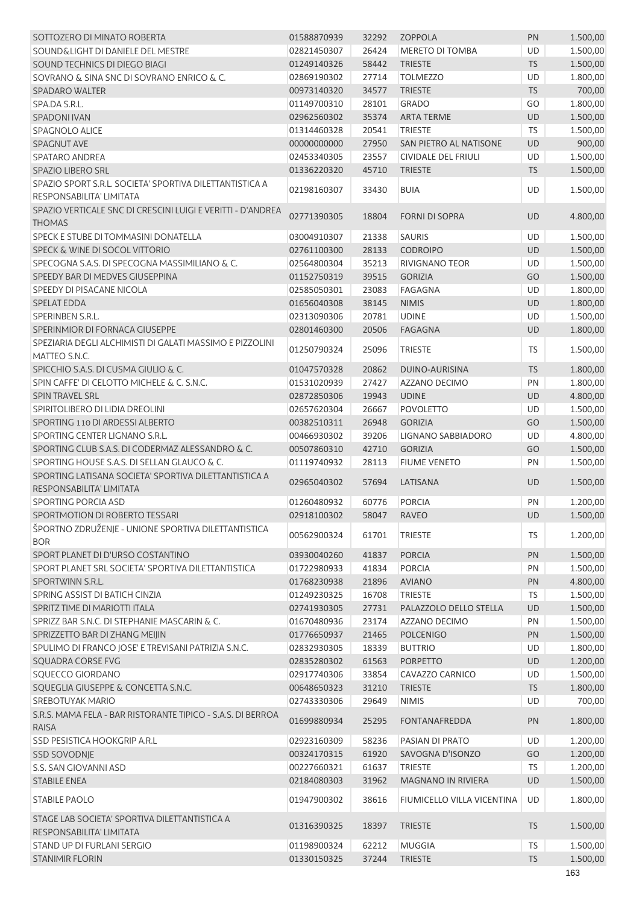| SOTTOZERO DI MINATO ROBERTA                                                         | 01588870939 | 32292 | <b>ZOPPOLA</b>             | PN        | 1.500,00 |
|-------------------------------------------------------------------------------------|-------------|-------|----------------------------|-----------|----------|
| SOUND&LIGHT DI DANIELE DEL MESTRE                                                   | 02821450307 | 26424 | <b>MERETO DI TOMBA</b>     | <b>UD</b> | 1.500,00 |
| SOUND TECHNICS DI DIEGO BIAGI                                                       | 01249140326 | 58442 | <b>TRIESTE</b>             | <b>TS</b> | 1.500,00 |
| SOVRANO & SINA SNC DI SOVRANO ENRICO & C.                                           | 02869190302 | 27714 | <b>TOLMEZZO</b>            | UD        | 1.800,00 |
| SPADARO WALTER                                                                      | 00973140320 | 34577 | <b>TRIESTE</b>             | <b>TS</b> | 700,00   |
| SPA.DA S.R.L.                                                                       | 01149700310 | 28101 | <b>GRADO</b>               | GO        | 1.800,00 |
| <b>SPADONI IVAN</b>                                                                 | 02962560302 | 35374 | <b>ARTA TERME</b>          | <b>UD</b> | 1.500,00 |
| SPAGNOLO ALICE                                                                      | 01314460328 | 20541 | <b>TRIESTE</b>             | <b>TS</b> | 1.500,00 |
| <b>SPAGNUT AVE</b>                                                                  | 00000000000 | 27950 | SAN PIETRO AL NATISONE     | <b>UD</b> | 900,00   |
| <b>SPATARO ANDREA</b>                                                               | 02453340305 | 23557 | <b>CIVIDALE DEL FRIULI</b> | <b>UD</b> | 1.500,00 |
| SPAZIO LIBERO SRL                                                                   | 01336220320 | 45710 | <b>TRIESTE</b>             | <b>TS</b> | 1.500,00 |
| SPAZIO SPORT S.R.L. SOCIETA' SPORTIVA DILETTANTISTICA A<br>RESPONSABILITA' LIMITATA | 02198160307 | 33430 | <b>BUIA</b>                | UD        | 1.500,00 |
| SPAZIO VERTICALE SNC DI CRESCINI LUIGI E VERITTI - D'ANDREA<br><b>THOMAS</b>        | 02771390305 | 18804 | <b>FORNI DI SOPRA</b>      | <b>UD</b> | 4.800,00 |
| SPECK E STUBE DI TOMMASINI DONATELLA                                                | 03004910307 | 21338 | <b>SAURIS</b>              | <b>UD</b> | 1.500,00 |
| SPECK & WINE DI SOCOL VITTORIO                                                      | 02761100300 | 28133 | <b>CODROIPO</b>            | <b>UD</b> | 1.500,00 |
| SPECOGNA S.A.S. DI SPECOGNA MASSIMILIANO & C.                                       | 02564800304 | 35213 | <b>RIVIGNANO TEOR</b>      | UD        | 1.500,00 |
| SPEEDY BAR DI MEDVES GIUSEPPINA                                                     | 01152750319 | 39515 | <b>GORIZIA</b>             | GO        | 1.500,00 |
| SPEEDY DI PISACANE NICOLA                                                           | 02585050301 | 23083 | <b>FAGAGNA</b>             | UD        | 1.800,00 |
| <b>SPELAT EDDA</b>                                                                  | 01656040308 | 38145 | <b>NIMIS</b>               | <b>UD</b> | 1.800,00 |
| SPERINBEN S.R.L.                                                                    | 02313090306 | 20781 | <b>UDINE</b>               | UD        | 1.500,00 |
| SPERINMIOR DI FORNACA GIUSEPPE                                                      | 02801460300 | 20506 | <b>FAGAGNA</b>             | <b>UD</b> | 1.800,00 |
| SPEZIARIA DEGLI ALCHIMISTI DI GALATI MASSIMO E PIZZOLINI<br>MATTEO S.N.C.           | 01250790324 | 25096 | <b>TRIESTE</b>             | <b>TS</b> | 1.500,00 |
| SPICCHIO S.A.S. DI CUSMA GIULIO & C.                                                | 01047570328 | 20862 | DUINO-AURISINA             | <b>TS</b> | 1.800,00 |
| SPIN CAFFE' DI CELOTTO MICHELE & C. S.N.C.                                          | 01531020939 | 27427 | AZZANO DECIMO              | PN        | 1.800,00 |
| <b>SPIN TRAVEL SRL</b>                                                              | 02872850306 | 19943 | <b>UDINE</b>               | UD        | 4.800,00 |
| SPIRITOLIBERO DI LIDIA DREOLINI                                                     | 02657620304 | 26667 | <b>POVOLETTO</b>           | UD        | 1.500,00 |
| SPORTING 110 DI ARDESSI ALBERTO                                                     | 00382510311 | 26948 | <b>GORIZIA</b>             | GO        | 1.500,00 |
| SPORTING CENTER LIGNANO S.R.L.                                                      | 00466930302 | 39206 | LIGNANO SABBIADORO         | UD        | 4.800,00 |
| SPORTING CLUB S.A.S. DI CODERMAZ ALESSANDRO & C.                                    | 00507860310 | 42710 | <b>GORIZIA</b>             | GO        | 1.500,00 |
| SPORTING HOUSE S.A.S. DI SELLAN GLAUCO & C.                                         | 01119740932 | 28113 | <b>FIUME VENETO</b>        | PN        | 1.500,00 |
| SPORTING LATISANA SOCIETA' SPORTIVA DILETTANTISTICA A<br>RESPONSABILITA' LIMITATA   | 02965040302 | 57694 | LATISANA                   | <b>UD</b> | 1.500,00 |
| <b>SPORTING PORCIA ASD</b>                                                          | 01260480932 | 60776 | <b>PORCIA</b>              | PN        | 1.200,00 |
| SPORTMOTION DI ROBERTO TESSARI                                                      | 02918100302 | 58047 | <b>RAVEO</b>               | UD        | 1.500,00 |
| ŠPORTNO ZDRUŽENJE - UNIONE SPORTIVA DILETTANTISTICA<br><b>BOR</b>                   | 00562900324 | 61701 | <b>TRIESTE</b>             | TS        | 1.200,00 |
| SPORT PLANET DI D'URSO COSTANTINO                                                   | 03930040260 | 41837 | <b>PORCIA</b>              | PN        | 1.500,00 |
| SPORT PLANET SRL SOCIETA' SPORTIVA DILETTANTISTICA                                  | 01722980933 | 41834 | <b>PORCIA</b>              | PN        | 1.500,00 |
| SPORTWINN S.R.L.                                                                    | 01768230938 | 21896 | <b>AVIANO</b>              | PN        | 4.800,00 |
| SPRING ASSIST DI BATICH CINZIA                                                      | 01249230325 | 16708 | TRIESTE                    | <b>TS</b> | 1.500,00 |
| SPRITZ TIME DI MARIOTTI ITALA                                                       | 02741930305 | 27731 | PALAZZOLO DELLO STELLA     | UD        | 1.500,00 |
| SPRIZZ BAR S.N.C. DI STEPHANIE MASCARIN & C.                                        | 01670480936 | 23174 | AZZANO DECIMO              | PN        | 1.500,00 |
| SPRIZZETTO BAR DI ZHANG MEIJIN                                                      | 01776650937 | 21465 | <b>POLCENIGO</b>           | PN        | 1.500,00 |
| SPULIMO DI FRANCO JOSE' E TREVISANI PATRIZIA S.N.C.                                 | 02832930305 | 18339 | <b>BUTTRIO</b>             | UD        | 1.800,00 |
| SQUADRA CORSE FVG                                                                   | 02835280302 | 61563 | <b>PORPETTO</b>            | UD        | 1.200,00 |
| SQUECCO GIORDANO                                                                    | 02917740306 | 33854 | CAVAZZO CARNICO            | UD        | 1.500,00 |
| SQUEGLIA GIUSEPPE & CONCETTA S.N.C.                                                 | 00648650323 | 31210 | <b>TRIESTE</b>             | <b>TS</b> | 1.800,00 |
| <b>SREBOTUYAK MARIO</b>                                                             | 02743330306 | 29649 | <b>NIMIS</b>               | <b>UD</b> | 700,00   |
| S.R.S. MAMA FELA - BAR RISTORANTE TIPICO - S.A.S. DI BERROA<br><b>RAISA</b>         | 01699880934 | 25295 | <b>FONTANAFREDDA</b>       | PN        | 1.800,00 |
| SSD PESISTICA HOOKGRIP A.R.L                                                        | 02923160309 | 58236 | PASIAN DI PRATO            | UD        | 1.200,00 |
| <b>SSD SOVODNJE</b>                                                                 | 00324170315 | 61920 | SAVOGNA D'ISONZO           | GO        | 1.200,00 |
| S.S. SAN GIOVANNI ASD                                                               | 00227660321 | 61637 | <b>TRIESTE</b>             | <b>TS</b> | 1.200,00 |
| <b>STABILE ENEA</b>                                                                 | 02184080303 | 31962 | MAGNANO IN RIVIERA         | UD        | 1.500,00 |
| <b>STABILE PAOLO</b>                                                                | 01947900302 | 38616 | FIUMICELLO VILLA VICENTINA | UD        | 1.800,00 |
| STAGE LAB SOCIETA' SPORTIVA DILETTANTISTICA A<br>RESPONSABILITA' LIMITATA           | 01316390325 | 18397 | <b>TRIESTE</b>             | <b>TS</b> | 1.500,00 |
| STAND UP DI FURLANI SERGIO                                                          | 01198900324 | 62212 | <b>MUGGIA</b>              | <b>TS</b> | 1.500,00 |
| <b>STANIMIR FLORIN</b>                                                              | 01330150325 | 37244 | <b>TRIESTE</b>             | <b>TS</b> | 1.500,00 |
|                                                                                     |             |       |                            |           | 163      |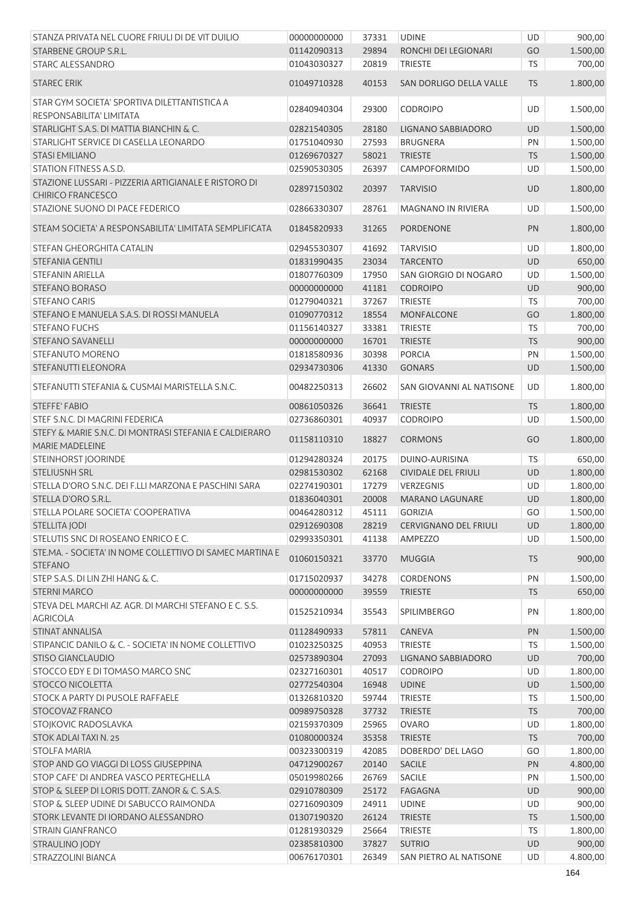| STANZA PRIVATA NEL CUORE FRIULI DI DE VIT DUILIO                                 | 00000000000       | 37331 | <b>UDINE</b>                 | UD              | 900,00   |
|----------------------------------------------------------------------------------|-------------------|-------|------------------------------|-----------------|----------|
| STARBENE GROUP S.R.L.                                                            | 01142090313       | 29894 | RONCHI DEI LEGIONARI         | GO              | 1.500,00 |
| <b>STARC ALESSANDRO</b>                                                          | 01043030327       | 20819 | <b>TRIESTE</b>               | TS              | 700,00   |
| <b>STAREC ERIK</b>                                                               | 01049710328       | 40153 | SAN DORLIGO DELLA VALLE      | <b>TS</b>       | 1.800,00 |
| STAR GYM SOCIETA' SPORTIVA DILETTANTISTICA A<br>RESPONSABILITA' LIMITATA         | 02840940304       | 29300 | <b>CODROIPO</b>              | UD              | 1.500,00 |
| STARLIGHT S.A.S. DI MATTIA BIANCHIN & C.                                         | 02821540305       | 28180 | LIGNANO SABBIADORO           | <b>UD</b>       | 1.500,00 |
| STARLIGHT SERVICE DI CASELLA LEONARDO                                            | 01751040930       | 27593 | <b>BRUGNERA</b>              | PN              | 1.500,00 |
| <b>STASI EMILIANO</b>                                                            | 01269670327       | 58021 | <b>TRIESTE</b>               | <b>TS</b>       | 1.500,00 |
| STATION FITNESS A.S.D.                                                           | 02590530305       | 26397 | CAMPOFORMIDO                 | UD              | 1.500,00 |
| STAZIONE LUSSARI - PIZZERIA ARTIGIANALE E RISTORO DI<br><b>CHIRICO FRANCESCO</b> | 02897150302       | 20397 | <b>TARVISIO</b>              | <b>UD</b>       | 1.800,00 |
| STAZIONE SUONO DI PACE FEDERICO                                                  | 02866330307       | 28761 | <b>MAGNANO IN RIVIERA</b>    | UD              | 1.500,00 |
|                                                                                  |                   |       |                              |                 |          |
| STEAM SOCIETA' A RESPONSABILITA' LIMITATA SEMPLIFICATA                           | 01845820933       | 31265 | <b>PORDENONE</b>             | PN              | 1.800,00 |
| STEFAN GHEORGHITA CATALIN                                                        | 02945530307       | 41692 | <b>TARVISIO</b>              | UD              | 1.800,00 |
| <b>STEFANIA GENTILI</b>                                                          | 01831990435       | 23034 | <b>TARCENTO</b>              | <b>UD</b>       | 650,00   |
| <b>STEFANIN ARIELLA</b>                                                          | 01807760309       | 17950 | SAN GIORGIO DI NOGARO        | UD              | 1.500,00 |
| <b>STEFANO BORASO</b>                                                            | 00000000000       | 41181 | <b>CODROIPO</b>              | <b>UD</b>       | 900,00   |
| <b>STEFANO CARIS</b>                                                             | 01279040321       | 37267 | <b>TRIESTE</b>               | TS              | 700,00   |
| STEFANO E MANUELA S.A.S. DI ROSSI MANUELA                                        | 01090770312       | 18554 | <b>MONFALCONE</b>            | GO              | 1.800,00 |
| <b>STEFANO FUCHS</b>                                                             | 01156140327       | 33381 | <b>TRIESTE</b>               | TS              | 700,00   |
| <b>STEFANO SAVANELLI</b>                                                         | 00000000000       | 16701 | <b>TRIESTE</b>               | <b>TS</b>       | 900,00   |
| STEFANUTO MORENO                                                                 | 01818580936       | 30398 | <b>PORCIA</b>                | PN              | 1.500,00 |
| STEFANUTTI ELEONORA                                                              | 02934730306       | 41330 | <b>GONARS</b>                | <b>UD</b>       | 1.500,00 |
| STEFANUTTI STEFANIA & CUSMAI MARISTELLA S.N.C.                                   | 00482250313       | 26602 | SAN GIOVANNI AL NATISONE     | UD              | 1.800,00 |
| <b>STEFFE' FABIO</b>                                                             | 00861050326       | 36641 | <b>TRIESTE</b>               | <b>TS</b>       | 1.800,00 |
| STEF S.N.C. DI MAGRINI FEDERICA                                                  | 02736860301       | 40937 | <b>CODROIPO</b>              | UD              | 1.500,00 |
| STEFY & MARIE S.N.C. DI MONTRASI STEFANIA E CALDIERARO                           |                   |       |                              |                 |          |
| MARIE MADELEINE                                                                  | 01158110310       | 18827 | <b>CORMONS</b>               | GO              | 1.800,00 |
| <b>STEINHORST JOORINDE</b>                                                       | 01294280324       | 20175 | DUINO-AURISINA               | <b>TS</b>       | 650,00   |
| STELIUSNH SRL                                                                    | 02981530302       | 62168 | <b>CIVIDALE DEL FRIULI</b>   | UD              | 1.800,00 |
| STELLA D'ORO S.N.C. DEI F.LLI MARZONA E PASCHINI SARA                            | 02274190301       | 17279 | <b>VERZEGNIS</b>             | UD              | 1.800,00 |
| STELLA D'ORO S.R.L.                                                              | 01836040301       | 20008 | <b>MARANO LAGUNARE</b>       | <b>UD</b>       | 1.800,00 |
| STELLA POLARE SOCIETA' COOPERATIVA                                               | 00464280312 45111 |       | <b>GORIZIA</b>               | GO              | 1.500,00 |
| STELLITA JODI                                                                    | 02912690308       | 28219 | <b>CERVIGNANO DEL FRIULI</b> | <b>UD</b>       | 1.800,00 |
| STELUTIS SNC DI ROSEANO ENRICO E C.                                              | 02993350301       | 41138 | <b>AMPEZZO</b>               | <b>UD</b>       | 1.500,00 |
| STE.MA. - SOCIETA' IN NOME COLLETTIVO DI SAMEC MARTINA E<br><b>STEFANO</b>       | 01060150321       | 33770 | <b>MUGGIA</b>                | <b>TS</b>       | 900,00   |
| STEP S.A.S. DI LIN ZHI HANG & C.                                                 | 01715020937       | 34278 | <b>CORDENONS</b>             | PN              | 1.500,00 |
| <b>STERNI MARCO</b>                                                              | 00000000000       | 39559 | <b>TRIESTE</b>               | <b>TS</b>       | 650,00   |
| STEVA DEL MARCHI AZ. AGR. DI MARCHI STEFANO E C. S.S.<br><b>AGRICOLA</b>         | 01525210934       | 35543 | <b>SPILIMBERGO</b>           | PN              | 1.800,00 |
| STINAT ANNALISA                                                                  | 01128490933       | 57811 | <b>CANEVA</b>                | PN              | 1.500,00 |
| STIPANCIC DANILO & C. - SOCIETA' IN NOME COLLETTIVO                              | 01023250325       | 40953 | <b>TRIESTE</b>               | <b>TS</b>       | 1.500,00 |
| <b>STISO GIANCLAUDIO</b>                                                         | 02573890304       | 27093 | LIGNANO SABBIADORO           | <b>UD</b>       | 700,00   |
| STOCCO EDY E DI TOMASO MARCO SNC                                                 | 02327160301       | 40517 | <b>CODROIPO</b>              | <b>UD</b>       | 1.800,00 |
|                                                                                  |                   |       |                              |                 |          |
| <b>STOCCO NICOLETTA</b>                                                          | 02772540304       | 16948 | <b>UDINE</b>                 | UD<br><b>TS</b> | 1.500,00 |
| STOCK A PARTY DI PUSOLE RAFFAELE                                                 | 01326810320       | 59744 | <b>TRIESTE</b>               |                 | 1.500,00 |
| STOCOVAZ FRANCO                                                                  | 00989750328       | 37732 | <b>TRIESTE</b>               | <b>TS</b>       | 700,00   |
| STOJKOVIC RADOSLAVKA                                                             | 02159370309       | 25965 | <b>OVARO</b>                 | <b>UD</b>       | 1.800,00 |
| STOK ADLAI TAXI N. 25                                                            | 01080000324       | 35358 | <b>TRIESTE</b>               | <b>TS</b>       | 700,00   |
| <b>STOLFA MARIA</b>                                                              | 00323300319       | 42085 | DOBERDO' DEL LAGO            | GO              | 1.800,00 |
| STOP AND GO VIAGGI DI LOSS GIUSEPPINA                                            | 04712900267       | 20140 | <b>SACILE</b>                | PN              | 4.800,00 |
| STOP CAFE' DI ANDREA VASCO PERTEGHELLA                                           | 05019980266       | 26769 | <b>SACILE</b>                | PN              | 1.500,00 |
| STOP & SLEEP DI LORIS DOTT. ZANOR & C. S.A.S.                                    | 02910780309       | 25172 | <b>FAGAGNA</b>               | <b>UD</b>       | 900,00   |
| STOP & SLEEP UDINE DI SABUCCO RAIMONDA                                           | 02716090309       | 24911 | <b>UDINE</b>                 | UD              | 900,00   |
| STORK LEVANTE DI IORDANO ALESSANDRO                                              | 01307190320       | 26124 | <b>TRIESTE</b>               | <b>TS</b>       | 1.500,00 |
| <b>STRAIN GIANFRANCO</b>                                                         | 01281930329       | 25664 | <b>TRIESTE</b>               | <b>TS</b>       | 1.800,00 |
| STRAULINO JODY                                                                   | 02385810300       | 37827 | <b>SUTRIO</b>                | <b>UD</b>       | 900,00   |
| STRAZZOLINI BIANCA                                                               | 00676170301       | 26349 | SAN PIETRO AL NATISONE       | <b>UD</b>       | 4.800,00 |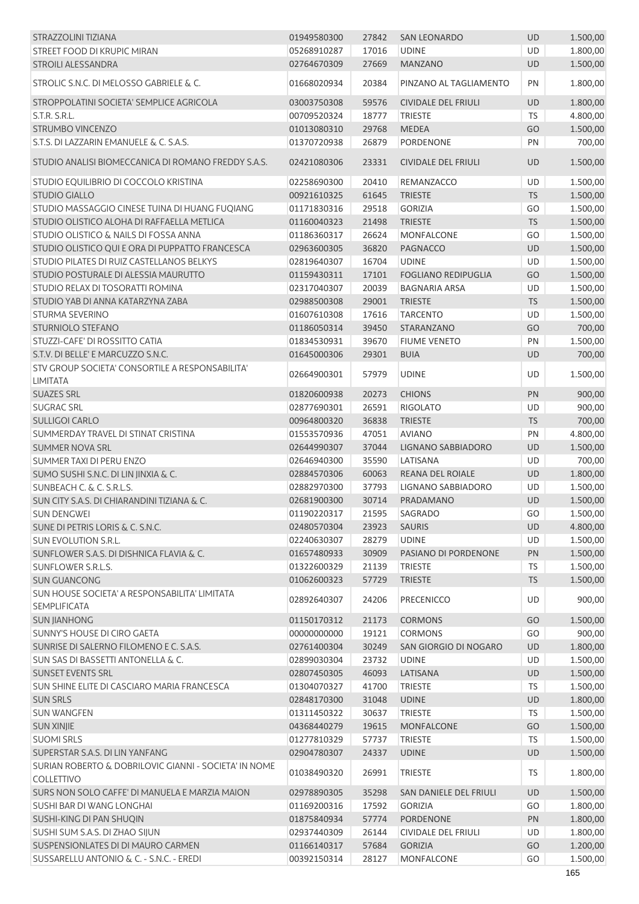| STRAZZOLINI TIZIANA                                                 | 01949580300 | 27842          | <b>SAN LEONARDO</b>                            | <b>UD</b>       | 1.500,00 |
|---------------------------------------------------------------------|-------------|----------------|------------------------------------------------|-----------------|----------|
| STREET FOOD DI KRUPIC MIRAN                                         | 05268910287 | 17016          | <b>UDINE</b>                                   | UD              | 1.800,00 |
| <b>STROILI ALESSANDRA</b>                                           | 02764670309 | 27669          | <b>MANZANO</b>                                 | <b>UD</b>       | 1.500,00 |
| STROLIC S.N.C. DI MELOSSO GABRIELE & C.                             | 01668020934 | 20384          | PINZANO AL TAGLIAMENTO                         | PN              | 1.800,00 |
| STROPPOLATINI SOCIETA' SEMPLICE AGRICOLA                            | 03003750308 | 59576          | <b>CIVIDALE DEL FRIULI</b>                     | <b>UD</b>       | 1.800,00 |
| S.T.R. S.R.L.                                                       | 00709520324 | 18777          | <b>TRIESTE</b>                                 | TS              | 4.800,00 |
| <b>STRUMBO VINCENZO</b>                                             | 01013080310 | 29768          | <b>MEDEA</b>                                   | GO              | 1.500,00 |
| S.T.S. DI LAZZARIN EMANUELE & C. S.A.S.                             | 01370720938 | 26879          | <b>PORDENONE</b>                               | PN              | 700,00   |
|                                                                     |             |                |                                                |                 |          |
| STUDIO ANALISI BIOMECCANICA DI ROMANO FREDDY S.A.S.                 | 02421080306 | 23331          | <b>CIVIDALE DEL FRIULI</b>                     | <b>UD</b>       | 1.500,00 |
| STUDIO EQUILIBRIO DI COCCOLO KRISTINA                               | 02258690300 | 20410          | REMANZACCO                                     | UD              | 1.500,00 |
| <b>STUDIO GIALLO</b>                                                | 00921610325 | 61645          | <b>TRIESTE</b>                                 | <b>TS</b>       | 1.500,00 |
| STUDIO MASSAGGIO CINESE TUINA DI HUANG FUQIANG                      | 01171830316 | 29518          | <b>GORIZIA</b>                                 | GO              | 1.500,00 |
| STUDIO OLISTICO ALOHA DI RAFFAELLA METLICA                          | 01160040323 | 21498          | <b>TRIESTE</b>                                 | <b>TS</b>       | 1.500,00 |
| STUDIO OLISTICO & NAILS DI FOSSA ANNA                               | 01186360317 | 26624          | <b>MONFALCONE</b>                              | GO              | 1.500,00 |
| STUDIO OLISTICO QUI E ORA DI PUPPATTO FRANCESCA                     | 02963600305 | 36820          | <b>PAGNACCO</b>                                | UD              | 1.500,00 |
| STUDIO PILATES DI RUIZ CASTELLANOS BELKYS                           | 02819640307 | 16704          | <b>UDINE</b>                                   | UD              | 1.500,00 |
| STUDIO POSTURALE DI ALESSIA MAURUTTO                                | 01159430311 | 17101          | <b>FOGLIANO REDIPUGLIA</b>                     | GO              | 1.500,00 |
| STUDIO RELAX DI TOSORATTI ROMINA                                    | 02317040307 | 20039          | <b>BAGNARIA ARSA</b>                           | <b>UD</b>       | 1.500,00 |
| STUDIO YAB DI ANNA KATARZYNA ZABA                                   | 02988500308 | 29001          | <b>TRIESTE</b>                                 | <b>TS</b>       | 1.500,00 |
| <b>STURMA SEVERINO</b>                                              | 01607610308 | 17616          | <b>TARCENTO</b>                                | UD              | 1.500,00 |
| STURNIOLO STEFANO                                                   | 01186050314 | 39450          | STARANZANO                                     | GO              | 700,00   |
| STUZZI-CAFE' DI ROSSITTO CATIA                                      | 01834530931 | 39670          | <b>FIUME VENETO</b>                            | PN              | 1.500,00 |
| S.T.V. DI BELLE' E MARCUZZO S.N.C.                                  | 01645000306 | 29301          | <b>BUIA</b>                                    | <b>UD</b>       | 700,00   |
| STV GROUP SOCIETA' CONSORTILE A RESPONSABILITA'<br><b>LIMITATA</b>  | 02664900301 | 57979          | <b>UDINE</b>                                   | UD              | 1.500,00 |
| <b>SUAZES SRL</b>                                                   | 01820600938 | 20273          | <b>CHIONS</b>                                  | PN              | 900,00   |
| <b>SUGRAC SRL</b>                                                   | 02877690301 | 26591          | <b>RIGOLATO</b>                                | UD              | 900,00   |
| <b>SULLIGOI CARLO</b>                                               | 00964800320 | 36838          | <b>TRIESTE</b>                                 | <b>TS</b>       | 700,00   |
| SUMMERDAY TRAVEL DI STINAT CRISTINA                                 | 01553570936 | 47051          | <b>AVIANO</b>                                  | PN              | 4.800,00 |
| <b>SUMMER NOVA SRL</b>                                              | 02644990307 | 37044          | LIGNANO SABBIADORO                             | <b>UD</b>       | 1.500,00 |
| SUMMER TAXI DI PERU ENZO                                            | 02646940300 | 35590          | LATISANA                                       | UD              | 700,00   |
| SUMO SUSHI S.N.C. DI LIN JINXIA & C.                                | 02884570306 | 60063          | REANA DEL ROIALE                               | UD              | 1.800,00 |
| SUNBEACH C. & C. S.R.L.S.                                           | 02882970300 | 37793          | LIGNANO SABBIADORO                             | <b>UD</b>       | 1.500,00 |
| SUN CITY S.A.S. DI CHIARANDINI TIZIANA & C.                         | 02681900300 | 30714          | PRADAMANO                                      | <b>UD</b>       | 1.500,00 |
| <b>SUN DENGWEI</b>                                                  | 01190220317 |                | SAGRADO                                        |                 | 1.500,00 |
| SUNE DI PETRIS LORIS & C. S.N.C.                                    | 02480570304 | 21595<br>23923 | <b>SAURIS</b>                                  | GO<br><b>UD</b> | 4.800,00 |
| <b>SUN EVOLUTION S.R.L.</b>                                         | 02240630307 |                | <b>UDINE</b>                                   | UD              | 1.500,00 |
| SUNFLOWER S.A.S. DI DISHNICA FLAVIA & C.                            | 01657480933 | 28279<br>30909 | PASIANO DI PORDENONE                           | PN              | 1.500,00 |
| SUNFLOWER S.R.L.S.                                                  | 01322600329 | 21139          | <b>TRIESTE</b>                                 | <b>TS</b>       | 1.500,00 |
| <b>SUN GUANCONG</b>                                                 |             |                |                                                |                 |          |
| SUN HOUSE SOCIETA' A RESPONSABILITA' LIMITATA                       | 01062600323 | 57729          | <b>TRIESTE</b>                                 | <b>TS</b>       | 1.500,00 |
| SEMPLIFICATA                                                        | 02892640307 | 24206          | PRECENICCO                                     | UD              | 900,00   |
| <b>SUN JIANHONG</b>                                                 | 01150170312 | 21173          | <b>CORMONS</b>                                 | GO              | 1.500,00 |
| SUNNY'S HOUSE DI CIRO GAETA                                         | 00000000000 | 19121          | <b>CORMONS</b>                                 | GO              | 900,00   |
| SUNRISE DI SALERNO FILOMENO E C. S.A.S.                             | 02761400304 | 30249          | SAN GIORGIO DI NOGARO                          | <b>UD</b>       | 1.800,00 |
| SUN SAS DI BASSETTI ANTONELLA & C.                                  | 02899030304 | 23732          | <b>UDINE</b>                                   | UD              | 1.500,00 |
| <b>SUNSET EVENTS SRL</b>                                            | 02807450305 | 46093          | LATISANA                                       | <b>UD</b>       | 1.500,00 |
| SUN SHINE ELITE DI CASCIARO MARIA FRANCESCA                         | 01304070327 | 41700          | <b>TRIESTE</b>                                 | <b>TS</b>       | 1.500,00 |
| <b>SUN SRLS</b>                                                     | 02848170300 | 31048          | <b>UDINE</b>                                   | UD              | 1.800,00 |
| <b>SUN WANGFEN</b>                                                  | 01311450322 | 30637          | <b>TRIESTE</b>                                 | <b>TS</b>       | 1.500,00 |
| <b>SUN XINJIE</b>                                                   | 04368440279 | 19615          | <b>MONFALCONE</b>                              | GO              | 1.500,00 |
| <b>SUOMI SRLS</b>                                                   | 01277810329 | 57737          | <b>TRIESTE</b>                                 | <b>TS</b>       | 1.500,00 |
| SUPERSTAR S.A.S. DI LIN YANFANG                                     | 02904780307 | 24337          | <b>UDINE</b>                                   | <b>UD</b>       | 1.500,00 |
| SURIAN ROBERTO & DOBRILOVIC GIANNI - SOCIETA' IN NOME<br>COLLETTIVO | 01038490320 | 26991          | <b>TRIESTE</b>                                 | TS              | 1.800,00 |
| SURS NON SOLO CAFFE' DI MANUELA E MARZIA MAION                      | 02978890305 | 35298          | SAN DANIELE DEL FRIULI                         | <b>UD</b>       | 1.500,00 |
| SUSHI BAR DI WANG LONGHAI                                           | 01169200316 | 17592          | <b>GORIZIA</b>                                 | GO              | 1.800,00 |
|                                                                     |             |                |                                                | PN              |          |
| SUSHI-KING DI PAN SHUQIN                                            | 01875840934 | 57774          | <b>PORDENONE</b><br><b>CIVIDALE DEL FRIULI</b> |                 | 1.800,00 |
| SUSHI SUM S.A.S. DI ZHAO SIJUN                                      | 02937440309 | 26144          |                                                | UD              | 1.800,00 |
| SUSPENSIONLATES DI DI MAURO CARMEN                                  | 01166140317 | 57684          | <b>GORIZIA</b>                                 | GO              | 1.200,00 |
| SUSSARELLU ANTONIO & C. - S.N.C. - EREDI                            | 00392150314 | 28127          | <b>MONFALCONE</b>                              | GO              | 1.500,00 |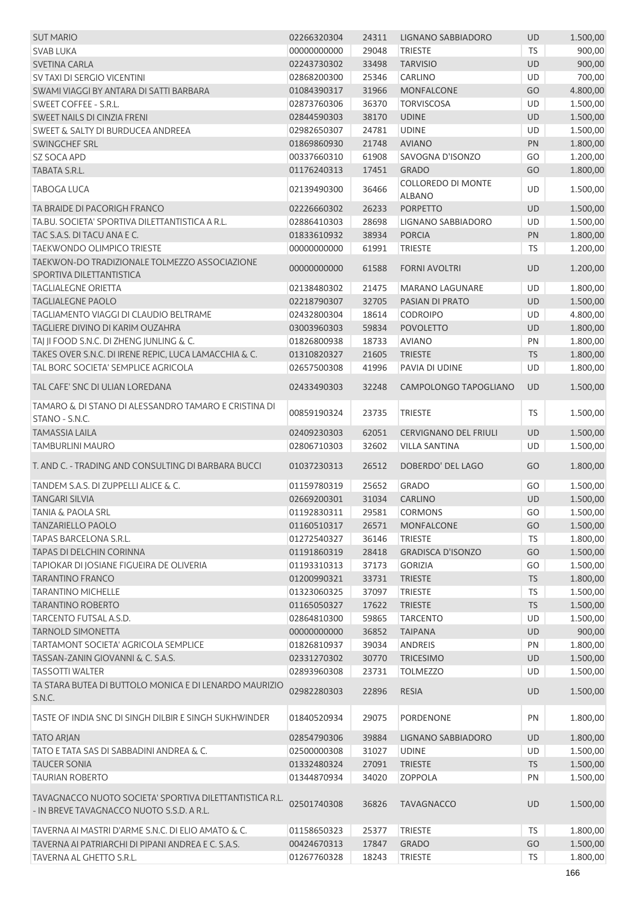| <b>SUT MARIO</b>                                                          | 02266320304 | 24311 | LIGNANO SABBIADORO                         | <b>UD</b> | 1.500,00 |
|---------------------------------------------------------------------------|-------------|-------|--------------------------------------------|-----------|----------|
| <b>SVAB LUKA</b>                                                          | 00000000000 | 29048 | <b>TRIESTE</b>                             | TS        | 900,00   |
| <b>SVETINA CARLA</b>                                                      | 02243730302 | 33498 | <b>TARVISIO</b>                            | <b>UD</b> | 900,00   |
| SV TAXI DI SERGIO VICENTINI                                               | 02868200300 | 25346 | <b>CARLINO</b>                             | <b>UD</b> | 700,00   |
| SWAMI VIAGGI BY ANTARA DI SATTI BARBARA                                   | 01084390317 | 31966 | <b>MONFALCONE</b>                          | GO        | 4.800,00 |
| SWEET COFFEE - S.R.L.                                                     | 02873760306 | 36370 | <b>TORVISCOSA</b>                          | UD        | 1.500,00 |
| SWEET NAILS DI CINZIA FRENI                                               | 02844590303 | 38170 | <b>UDINE</b>                               | <b>UD</b> | 1.500,00 |
| <b>SWEET &amp; SALTY DI BURDUCEA ANDREEA</b>                              | 02982650307 | 24781 | <b>UDINE</b>                               | UD        | 1.500,00 |
| SWINGCHEF SRL                                                             | 01869860930 | 21748 | <b>AVIANO</b>                              | PN        | 1.800,00 |
| <b>SZ SOCA APD</b>                                                        | 00337660310 | 61908 | SAVOGNA D'ISONZO                           | GO        | 1.200,00 |
| TABATA S.R.L.                                                             | 01176240313 | 17451 | <b>GRADO</b>                               | GO        | 1.800,00 |
| TABOGA LUCA                                                               | 02139490300 | 36466 | <b>COLLOREDO DI MONTE</b><br><b>ALBANO</b> | UD        | 1.500,00 |
| TA BRAIDE DI PACORIGH FRANCO                                              | 02226660302 | 26233 | <b>PORPETTO</b>                            | <b>UD</b> | 1.500,00 |
| TA.BU. SOCIETA' SPORTIVA DILETTANTISTICA A R.L.                           | 02886410303 | 28698 | LIGNANO SABBIADORO                         | <b>UD</b> | 1.500,00 |
| TAC S.A.S. DI TACU ANA E C.                                               | 01833610932 | 38934 | <b>PORCIA</b>                              | PN        | 1.800,00 |
| <b>TAEKWONDO OLIMPICO TRIESTE</b>                                         | 00000000000 | 61991 | <b>TRIESTE</b>                             | TS        | 1.200,00 |
| TAEKWON-DO TRADIZIONALE TOLMEZZO ASSOCIAZIONE<br>SPORTIVA DILETTANTISTICA | 00000000000 | 61588 | <b>FORNI AVOLTRI</b>                       | <b>UD</b> | 1.200,00 |
| <b>TAGLIALEGNE ORIETTA</b>                                                | 02138480302 | 21475 | <b>MARANO LAGUNARE</b>                     | UD        | 1.800,00 |
| <b>TAGLIALEGNE PAOLO</b>                                                  | 02218790307 | 32705 | PASIAN DI PRATO                            | <b>UD</b> | 1.500,00 |
| TAGLIAMENTO VIAGGI DI CLAUDIO BELTRAME                                    | 02432800304 | 18614 | <b>CODROIPO</b>                            | <b>UD</b> | 4.800,00 |
| TAGLIERE DIVINO DI KARIM OUZAHRA                                          | 03003960303 | 59834 | <b>POVOLETTO</b>                           | <b>UD</b> | 1.800,00 |
| TAJ JI FOOD S.N.C. DI ZHENG JUNLING & C.                                  | 01826800938 | 18733 | <b>AVIANO</b>                              | PN        | 1.800,00 |
| TAKES OVER S.N.C. DI IRENE REPIC, LUCA LAMACCHIA & C.                     | 01310820327 | 21605 | <b>TRIESTE</b>                             | <b>TS</b> | 1.800,00 |
| TAL BORC SOCIETA' SEMPLICE AGRICOLA                                       | 02657500308 | 41996 | PAVIA DI UDINE                             | UD        | 1.800,00 |
|                                                                           |             |       |                                            |           |          |
| TAL CAFE' SNC DI ULIAN LOREDANA                                           | 02433490303 | 32248 | CAMPOLONGO TAPOGLIANO                      | <b>UD</b> | 1.500,00 |
| TAMARO & DI STANO DI ALESSANDRO TAMARO E CRISTINA DI<br>STANO - S.N.C.    | 00859190324 | 23735 | TRIESTE                                    | TS        | 1.500,00 |
|                                                                           |             |       |                                            |           |          |
| <b>TAMASSIA LAILA</b><br><b>TAMBURLINI MAURO</b>                          | 02409230303 | 62051 | <b>CERVIGNANO DEL FRIULI</b>               | <b>UD</b> | 1.500,00 |
|                                                                           | 02806710303 | 32602 | <b>VILLA SANTINA</b>                       | UD        | 1.500,00 |
| T. AND C. - TRADING AND CONSULTING DI BARBARA BUCCI                       | 01037230313 | 26512 | DOBERDO' DEL LAGO                          | GO        | 1.800,00 |
| TANDEM S.A.S. DI ZUPPELLI ALICE & C.                                      | 01159780319 | 25652 | <b>GRADO</b>                               | GO        | 1.500,00 |
| <b>TANGARI SILVIA</b>                                                     | 02669200301 | 31034 | <b>CARLINO</b>                             | UD        | 1.500,00 |
| <b>TANIA &amp; PAOLA SRL</b>                                              | 01192830311 | 29581 | <b>CORMONS</b>                             | GO        | 1.500,00 |
| <b>TANZARIELLO PAOLO</b>                                                  | 01160510317 | 26571 | <b>MONFALCONE</b>                          | GO        | 1.500,00 |
| TAPAS BARCELONA S.R.L.                                                    | 01272540327 | 36146 | <b>TRIESTE</b>                             | <b>TS</b> | 1.800,00 |
| <b>TAPAS DI DELCHIN CORINNA</b>                                           | 01191860319 | 28418 | <b>GRADISCA D'ISONZO</b>                   | GO        | 1.500,00 |
| TAPIOKAR DI JOSIANE FIGUEIRA DE OLIVERIA                                  | 01193310313 | 37173 | <b>GORIZIA</b>                             | GO        | 1.500,00 |
| <b>TARANTINO FRANCO</b>                                                   | 01200990321 | 33731 | <b>TRIESTE</b>                             | <b>TS</b> | 1.800,00 |
| <b>TARANTINO MICHELLE</b>                                                 | 01323060325 | 37097 | <b>TRIESTE</b>                             | TS        | 1.500,00 |
| <b>TARANTINO ROBERTO</b>                                                  | 01165050327 | 17622 | <b>TRIESTE</b>                             | <b>TS</b> | 1.500,00 |
| <b>TARCENTO FUTSAL A.S.D.</b>                                             | 02864810300 | 59865 | <b>TARCENTO</b>                            | <b>UD</b> | 1.500,00 |
| <b>TARNOLD SIMONETTA</b>                                                  | 00000000000 | 36852 | <b>TAIPANA</b>                             | UD        | 900,00   |
| TARTAMONT SOCIETA' AGRICOLA SEMPLICE                                      | 01826810937 | 39034 | ANDREIS                                    | PN        | 1.800,00 |
| TASSAN-ZANIN GIOVANNI & C. S.A.S.                                         | 02331270302 | 30770 | <b>TRICESIMO</b>                           | <b>UD</b> | 1.500,00 |
| <b>TASSOTTI WALTER</b>                                                    | 02893960308 | 23731 | <b>TOLMEZZO</b>                            | UD        | 1.500,00 |
| TA STARA BUTEA DI BUTTOLO MONICA E DI LENARDO MAURIZIO                    |             |       |                                            |           |          |
| S.N.C.                                                                    | 02982280303 | 22896 | <b>RESIA</b>                               | <b>UD</b> | 1.500,00 |
| TASTE OF INDIA SNC DI SINGH DILBIR E SINGH SUKHWINDER                     | 01840520934 | 29075 | <b>PORDENONE</b>                           | PN        | 1.800,00 |
| <b>TATO ARJAN</b>                                                         | 02854790306 | 39884 | LIGNANO SABBIADORO                         | <b>UD</b> | 1.800,00 |
| TATO E TATA SAS DI SABBADINI ANDREA & C.                                  | 02500000308 | 31027 | <b>UDINE</b>                               | UD        | 1.500,00 |
| <b>TAUCER SONIA</b>                                                       | 01332480324 | 27091 | <b>TRIESTE</b>                             | <b>TS</b> | 1.500,00 |
| <b>TAURIAN ROBERTO</b>                                                    | 01344870934 | 34020 | <b>ZOPPOLA</b>                             | PN        | 1.500,00 |
| TAVAGNACCO NUOTO SOCIETA' SPORTIVA DILETTANTISTICA R.L.                   | 02501740308 |       |                                            |           |          |
| - IN BREVE TAVAGNACCO NUOTO S.S.D. A R.L.                                 |             | 36826 | <b>TAVAGNACCO</b>                          | <b>UD</b> | 1.500,00 |
| TAVERNA AI MASTRI D'ARME S.N.C. DI ELIO AMATO & C.                        | 01158650323 | 25377 | <b>TRIESTE</b>                             | TS        | 1.800,00 |
| TAVERNA AI PATRIARCHI DI PIPANI ANDREA E C. S.A.S.                        | 00424670313 | 17847 | <b>GRADO</b>                               | GO        | 1.500,00 |
| TAVERNA AL GHETTO S.R.L.                                                  | 01267760328 | 18243 | <b>TRIESTE</b>                             | <b>TS</b> | 1.800,00 |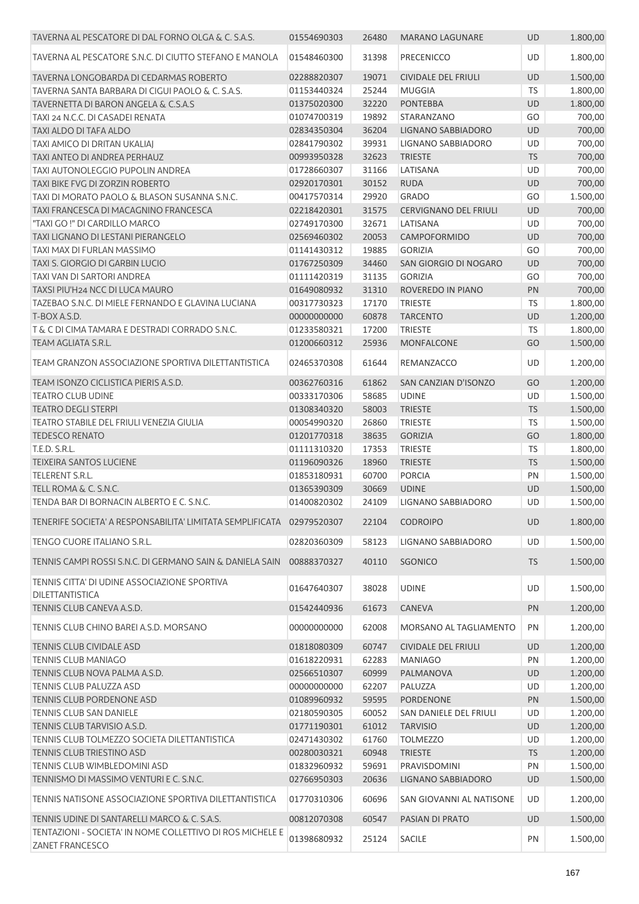| TAVERNA AL PESCATORE DI DAL FORNO OLGA & C. S.A.S.                           | 01554690303 | 26480 | <b>MARANO LAGUNARE</b>       | <b>UD</b> | 1.800,00 |
|------------------------------------------------------------------------------|-------------|-------|------------------------------|-----------|----------|
| TAVERNA AL PESCATORE S.N.C. DI CIUTTO STEFANO E MANOLA                       | 01548460300 | 31398 | PRECENICCO                   | UD        | 1.800,00 |
| TAVERNA LONGOBARDA DI CEDARMAS ROBERTO                                       | 02288820307 | 19071 | CIVIDALE DEL FRIULI          | <b>UD</b> | 1.500,00 |
| TAVERNA SANTA BARBARA DI CIGUI PAOLO & C. S.A.S.                             | 01153440324 | 25244 | <b>MUGGIA</b>                | <b>TS</b> | 1.800,00 |
| TAVERNETTA DI BARON ANGELA & C.S.A.S                                         | 01375020300 | 32220 | <b>PONTEBBA</b>              | UD        | 1.800,00 |
| TAXI 24 N.C.C. DI CASADEI RENATA                                             | 01074700319 | 19892 | STARANZANO                   | GO        | 700,00   |
| TAXI ALDO DI TAFA ALDO                                                       | 02834350304 | 36204 | LIGNANO SABBIADORO           | UD        | 700,00   |
| TAXI AMICO DI DRITAN UKALIAJ                                                 | 02841790302 | 39931 | LIGNANO SABBIADORO           | UD        | 700,00   |
| TAXI ANTEO DI ANDREA PERHAUZ                                                 | 00993950328 | 32623 | <b>TRIESTE</b>               | <b>TS</b> | 700,00   |
| <b>TAXI AUTONOLEGGIO PUPOLIN ANDREA</b>                                      | 01728660307 | 31166 | LATISANA                     | UD        | 700,00   |
| TAXI BIKE FVG DI ZORZIN ROBERTO                                              | 02920170301 | 30152 | <b>RUDA</b>                  | UD        | 700,00   |
| TAXI DI MORATO PAOLO & BLASON SUSANNA S.N.C.                                 | 00417570314 | 29920 | <b>GRADO</b>                 | GO        | 1.500,00 |
| TAXI FRANCESCA DI MACAGNINO FRANCESCA                                        | 02218420301 | 31575 | <b>CERVIGNANO DEL FRIULI</b> | <b>UD</b> | 700,00   |
| "TAXI GO !" DI CARDILLO MARCO                                                | 02749170300 | 32671 | LATISANA                     | <b>UD</b> | 700,00   |
| TAXI LIGNANO DI LESTANI PIERANGELO                                           | 02569460302 | 20053 | CAMPOFORMIDO                 | <b>UD</b> | 700,00   |
| <b>TAXI MAX DI FURLAN MASSIMO</b>                                            | 01141430312 | 19885 | <b>GORIZIA</b>               | GO        | 700,00   |
| TAXI S. GIORGIO DI GARBIN LUCIO                                              | 01767250309 | 34460 | SAN GIORGIO DI NOGARO        | <b>UD</b> | 700,00   |
| TAXI VAN DI SARTORI ANDREA                                                   | 01111420319 | 31135 | <b>GORIZIA</b>               | GO        | 700,00   |
| TAXSI PIU'H24 NCC DI LUCA MAURO                                              | 01649080932 | 31310 | <b>ROVEREDO IN PIANO</b>     | PN        | 700,00   |
| TAZEBAO S.N.C. DI MIELE FERNANDO E GLAVINA LUCIANA                           | 00317730323 | 17170 | <b>TRIESTE</b>               | <b>TS</b> | 1.800,00 |
| T-BOX A.S.D.                                                                 | 00000000000 | 60878 | <b>TARCENTO</b>              | UD        | 1.200,00 |
| T & C DI CIMA TAMARA E DESTRADI CORRADO S.N.C.                               | 01233580321 | 17200 | <b>TRIESTE</b>               | TS        | 1.800,00 |
| TEAM AGLIATA S.R.L.                                                          | 01200660312 | 25936 | <b>MONFALCONE</b>            | GO        | 1.500,00 |
| TEAM GRANZON ASSOCIAZIONE SPORTIVA DILETTANTISTICA                           | 02465370308 | 61644 | REMANZACCO                   | UD        | 1.200,00 |
| TEAM ISONZO CICLISTICA PIERIS A.S.D.                                         |             |       |                              |           |          |
| <b>TEATRO CLUB UDINE</b>                                                     | 00362760316 | 61862 | SAN CANZIAN D'ISONZO         | GO        | 1.200,00 |
|                                                                              | 00333170306 | 58685 | <b>UDINE</b>                 | UD        | 1.500,00 |
| <b>TEATRO DEGLI STERPI</b>                                                   | 01308340320 | 58003 | <b>TRIESTE</b>               | <b>TS</b> | 1.500,00 |
| TEATRO STABILE DEL FRIULI VENEZIA GIULIA                                     | 00054990320 | 26860 | <b>TRIESTE</b>               | <b>TS</b> | 1.500,00 |
| <b>TEDESCO RENATO</b><br>T.E.D. S.R.L.                                       | 01201770318 | 38635 | <b>GORIZIA</b>               | GO        | 1.800,00 |
|                                                                              | 01111310320 | 17353 | <b>TRIESTE</b>               | <b>TS</b> | 1.800,00 |
| <b>TEIXEIRA SANTOS LUCIENE</b>                                               | 01196090326 | 18960 | <b>TRIESTE</b>               | <b>TS</b> | 1.500,00 |
| <b>TELERENT S.R.L.</b>                                                       | 01853180931 | 60700 | <b>PORCIA</b>                | PN        | 1.500,00 |
| TELL ROMA & C. S.N.C.                                                        | 01365390309 | 30669 | <b>UDINE</b>                 | <b>UD</b> | 1.500,00 |
| TENDA BAR DI BORNACIN ALBERTO E C. S.N.C.                                    | 01400820302 | 24109 | LIGNANO SABBIADORO           | UD        | 1.500,00 |
| TENERIFE SOCIETA' A RESPONSABILITA' LIMITATA SEMPLIFICATA 02979520307        |             | 22104 | <b>CODROIPO</b>              | UD        | 1.800,00 |
| TENGO CUORE ITALIANO S.R.L.                                                  | 02820360309 | 58123 | LIGNANO SABBIADORO           | UD        | 1.500,00 |
| TENNIS CAMPI ROSSI S.N.C. DI GERMANO SAIN & DANIELA SAIN                     | 00888370327 | 40110 | SGONICO                      | <b>TS</b> | 1.500,00 |
| TENNIS CITTA' DI UDINE ASSOCIAZIONE SPORTIVA<br>DILETTANTISTICA              | 01647640307 | 38028 | <b>UDINE</b>                 | <b>UD</b> | 1.500,00 |
| TENNIS CLUB CANEVA A.S.D.                                                    | 01542440936 | 61673 | <b>CANEVA</b>                | PN        | 1.200,00 |
| TENNIS CLUB CHINO BAREI A.S.D. MORSANO                                       | 00000000000 | 62008 | MORSANO AL TAGLIAMENTO       | PN        | 1.200,00 |
| TENNIS CLUB CIVIDALE ASD                                                     | 01818080309 | 60747 | <b>CIVIDALE DEL FRIULI</b>   | UD        | 1.200,00 |
| <b>TENNIS CLUB MANIAGO</b>                                                   | 01618220931 | 62283 | <b>MANIAGO</b>               | PN        | 1.200,00 |
| TENNIS CLUB NOVA PALMA A.S.D.                                                | 02566510307 | 60999 | PALMANOVA                    | UD        | 1.200,00 |
| TENNIS CLUB PALUZZA ASD                                                      | 00000000000 | 62207 | PALUZZA                      | UD        | 1.200,00 |
| TENNIS CLUB PORDENONE ASD                                                    | 01089960932 | 59595 | <b>PORDENONE</b>             | PN        | 1.500,00 |
| TENNIS CLUB SAN DANIELE                                                      | 02180590305 | 60052 | SAN DANIELE DEL FRIULI       | <b>UD</b> | 1.200,00 |
| TENNIS CLUB TARVISIO A.S.D.                                                  | 01771190301 | 61012 | <b>TARVISIO</b>              | UD        | 1.200,00 |
| TENNIS CLUB TOLMEZZO SOCIETA DILETTANTISTICA                                 | 02471430302 | 61760 | <b>TOLMEZZO</b>              | UD        | 1.200,00 |
| TENNIS CLUB TRIESTINO ASD                                                    | 00280030321 | 60948 | <b>TRIESTE</b>               | <b>TS</b> | 1.200,00 |
| TENNIS CLUB WIMBLEDOMINI ASD                                                 | 01832960932 | 59691 | PRAVISDOMINI                 | PN        | 1.500,00 |
| TENNISMO DI MASSIMO VENTURI E C. S.N.C.                                      | 02766950303 | 20636 | LIGNANO SABBIADORO           | UD        | 1.500,00 |
| TENNIS NATISONE ASSOCIAZIONE SPORTIVA DILETTANTISTICA                        | 01770310306 | 60696 | SAN GIOVANNI AL NATISONE     | UD        | 1.200,00 |
| TENNIS UDINE DI SANTARELLI MARCO & C. S.A.S.                                 | 00812070308 | 60547 | PASIAN DI PRATO              | UD        | 1.500,00 |
| TENTAZIONI - SOCIETA' IN NOME COLLETTIVO DI ROS MICHELE E<br>ZANET FRANCESCO | 01398680932 | 25124 | SACILE                       | PN        | 1.500,00 |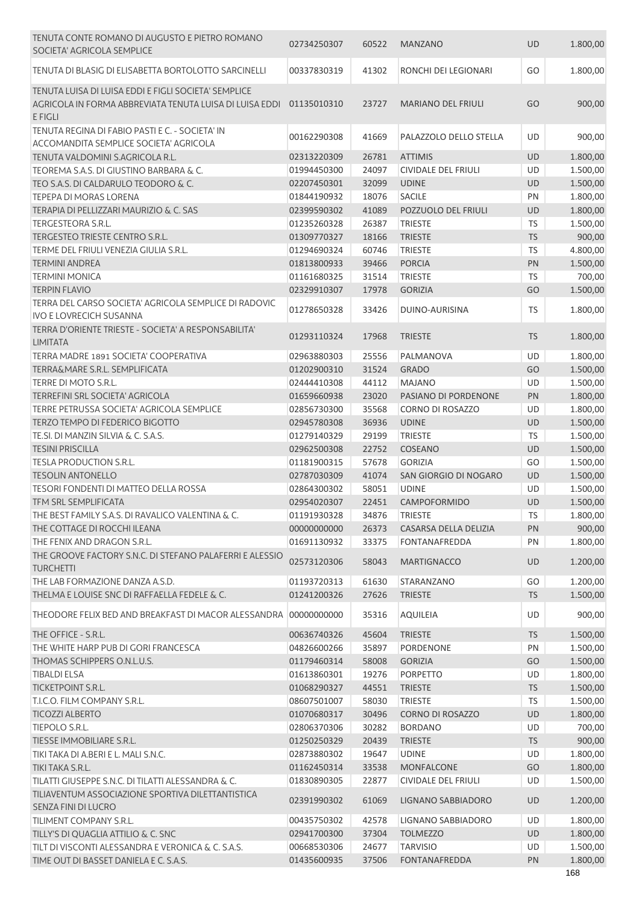| TENUTA CONTE ROMANO DI AUGUSTO E PIETRO ROMANO<br>SOCIETA' AGRICOLA SEMPLICE                                               | 02734250307 | 60522 | <b>MANZANO</b>             | <b>UD</b> | 1.800,00             |
|----------------------------------------------------------------------------------------------------------------------------|-------------|-------|----------------------------|-----------|----------------------|
| TENUTA DI BLASIG DI ELISABETTA BORTOLOTTO SARCINELLI                                                                       | 00337830319 | 41302 | RONCHI DEI LEGIONARI       | GO        | 1.800,00             |
| TENUTA LUISA DI LUISA EDDI E FIGLI SOCIETA' SEMPLICE<br>AGRICOLA IN FORMA ABBREVIATA TENUTA LUISA DI LUISA EDDI<br>E FIGLI | 01135010310 | 23727 | <b>MARIANO DEL FRIULI</b>  | GO        | 900,00               |
| TENUTA REGINA DI FABIO PASTI E C. - SOCIETA' IN<br>ACCOMANDITA SEMPLICE SOCIETA' AGRICOLA                                  | 00162290308 | 41669 | PALAZZOLO DELLO STELLA     | UD        | 900,00               |
| TENUTA VALDOMINI S.AGRICOLA R.L.                                                                                           | 02313220309 | 26781 | <b>ATTIMIS</b>             | <b>UD</b> | 1.800,00             |
| TEOREMA S.A.S. DI GIUSTINO BARBARA & C.                                                                                    | 01994450300 | 24097 | <b>CIVIDALE DEL FRIULI</b> | UD        | 1.500,00             |
| TEO S.A.S. DI CALDARULO TEODORO & C.                                                                                       | 02207450301 | 32099 | <b>UDINE</b>               | <b>UD</b> | 1.500,00             |
| TEPEPA DI MORAS LORENA                                                                                                     | 01844190932 | 18076 | <b>SACILE</b>              | PN        | 1.800,00             |
| TERAPIA DI PELLIZZARI MAURIZIO & C. SAS                                                                                    | 02399590302 | 41089 | POZZUOLO DEL FRIULI        | <b>UD</b> | 1.800,00             |
| <b>TERGESTEORA S.R.L.</b>                                                                                                  | 01235260328 | 26387 | <b>TRIESTE</b>             | <b>TS</b> | 1.500,00             |
| TERGESTEO TRIESTE CENTRO S.R.L.                                                                                            | 01309770327 | 18166 | <b>TRIESTE</b>             | <b>TS</b> | 900,00               |
| TERME DEL FRIULI VENEZIA GIULIA S.R.L.                                                                                     | 01294690324 | 60746 | <b>TRIESTE</b>             | TS        | 4.800,00             |
| <b>TERMINI ANDREA</b>                                                                                                      | 01813800933 | 39466 | <b>PORCIA</b>              | PN        | 1.500,00             |
| <b>TERMINI MONICA</b>                                                                                                      | 01161680325 | 31514 | <b>TRIESTE</b>             | TS        | 700,00               |
| <b>TERPIN FLAVIO</b>                                                                                                       | 02329910307 | 17978 | <b>GORIZIA</b>             | GO        | 1.500,00             |
| TERRA DEL CARSO SOCIETA' AGRICOLA SEMPLICE DI RADOVIC<br><b>IVO E LOVRECICH SUSANNA</b>                                    | 01278650328 | 33426 | DUINO-AURISINA             | TS        | 1.800,00             |
| TERRA D'ORIENTE TRIESTE - SOCIETA' A RESPONSABILITA'<br><b>LIMITATA</b>                                                    | 01293110324 | 17968 | <b>TRIESTE</b>             | <b>TS</b> | 1.800,00             |
| TERRA MADRE 1891 SOCIETA' COOPERATIVA                                                                                      | 02963880303 | 25556 | PALMANOVA                  | UD        | 1.800,00             |
| TERRA&MARE S.R.L. SEMPLIFICATA                                                                                             | 01202900310 | 31524 | <b>GRADO</b>               | GO        | 1.500,00             |
| TERRE DI MOTO S.R.L.                                                                                                       | 02444410308 | 44112 | <b>MAJANO</b>              | UD        | 1.500,00             |
| TERREFINI SRL SOCIETA' AGRICOLA                                                                                            | 01659660938 | 23020 | PASIANO DI PORDENONE       | PN        | 1.800,00             |
| TERRE PETRUSSA SOCIETA' AGRICOLA SEMPLICE                                                                                  | 02856730300 | 35568 | <b>CORNO DI ROSAZZO</b>    | UD        | 1.800,00             |
| TERZO TEMPO DI FEDERICO BIGOTTO                                                                                            | 02945780308 | 36936 | <b>UDINE</b>               | UD        | 1.500,00             |
| TE.SI. DI MANZIN SILVIA & C. S.A.S.                                                                                        | 01279140329 | 29199 | <b>TRIESTE</b>             | <b>TS</b> |                      |
| <b>TESINI PRISCILLA</b>                                                                                                    | 02962500308 | 22752 | COSEANO                    | <b>UD</b> | 1.500,00<br>1.500,00 |
| <b>TESLA PRODUCTION S.R.L.</b>                                                                                             | 01181900315 | 57678 | <b>GORIZIA</b>             | GO        | 1.500,00             |
| <b>TESOLIN ANTONELLO</b>                                                                                                   | 02787030309 | 41074 | SAN GIORGIO DI NOGARO      | <b>UD</b> | 1.500,00             |
|                                                                                                                            | 02864300302 | 58051 | <b>UDINE</b>               | UD        | 1.500,00             |
| TESORI FONDENTI DI MATTEO DELLA ROSSA<br>TFM SRL SEMPLIFICATA                                                              | 02954020307 | 22451 | CAMPOFORMIDO               | <b>UD</b> | 1.500,00             |
|                                                                                                                            |             |       |                            |           |                      |
| THE BEST FAMILY S.A.S. DI RAVALICO VALENTINA & C.<br>THE COTTAGE DI ROCCHI ILEANA                                          | 01191930328 | 34876 | TRIESTE                    | TS        | 1.800,00<br>900,00   |
| THE FENIX AND DRAGON S.R.L.                                                                                                | 00000000000 | 26373 | CASARSA DELLA DELIZIA      | <b>PN</b> |                      |
|                                                                                                                            | 01691130932 | 33375 | <b>FONTANAFREDDA</b>       | PN        | 1.800,00             |
| THE GROOVE FACTORY S.N.C. DI STEFANO PALAFERRI E ALESSIO<br><b>TURCHETTI</b>                                               | 02573120306 | 58043 | <b>MARTIGNACCO</b>         | <b>UD</b> | 1.200,00             |
| THE LAB FORMAZIONE DANZA A.S.D.                                                                                            | 01193720313 | 61630 | STARANZANO                 | GO        | 1.200,00             |
| THELMA E LOUISE SNC DI RAFFAELLA FEDELE & C.                                                                               | 01241200326 | 27626 | <b>TRIESTE</b>             | <b>TS</b> | 1.500,00             |
| THEODORE FELIX BED AND BREAKFAST DI MACOR ALESSANDRA                                                                       | 00000000000 | 35316 | <b>AQUILEIA</b>            | <b>UD</b> | 900,00               |
| THE OFFICE - S.R.L.                                                                                                        | 00636740326 | 45604 | <b>TRIESTE</b>             | <b>TS</b> | 1.500,00             |
| THE WHITE HARP PUB DI GORI FRANCESCA                                                                                       | 04826600266 | 35897 | PORDENONE                  | PN        | 1.500,00             |
| THOMAS SCHIPPERS O.N.L.U.S.                                                                                                | 01179460314 | 58008 | <b>GORIZIA</b>             | GO        | 1.500,00             |
| <b>TIBALDI ELSA</b>                                                                                                        | 01613860301 | 19276 | <b>PORPETTO</b>            | UD        | 1.800,00             |
| TICKETPOINT S.R.L.                                                                                                         | 01068290327 | 44551 | <b>TRIESTE</b>             | <b>TS</b> | 1.500,00             |
| T.I.C.O. FILM COMPANY S.R.L.                                                                                               | 08607501007 | 58030 | <b>TRIESTE</b>             | <b>TS</b> | 1.500,00             |
| <b>TICOZZI ALBERTO</b>                                                                                                     | 01070680317 | 30496 | <b>CORNO DI ROSAZZO</b>    | UD        | 1.800,00             |
| TIEPOLO S.R.L.                                                                                                             | 02806370306 | 30282 | <b>BORDANO</b>             | UD        | 700,00               |
| TIESSE IMMOBILIARE S.R.L.                                                                                                  | 01250250329 | 20439 | <b>TRIESTE</b>             | <b>TS</b> | 900,00               |
| TIKI TAKA DI A.BERI E L. MALI S.N.C.                                                                                       | 02873880302 | 19647 | <b>UDINE</b>               | UD        | 1.800,00             |
| TIKI TAKA S.R.L.                                                                                                           | 01162450314 | 33538 | <b>MONFALCONE</b>          | GO        | 1.800,00             |
| TILATTI GIUSEPPE S.N.C. DI TILATTI ALESSANDRA & C.                                                                         | 01830890305 | 22877 | <b>CIVIDALE DEL FRIULI</b> | <b>UD</b> | 1.500,00             |
| TILIAVENTUM ASSOCIAZIONE SPORTIVA DILETTANTISTICA<br>SENZA FINI DI LUCRO                                                   | 02391990302 | 61069 | LIGNANO SABBIADORO         | <b>UD</b> | 1.200,00             |
| TILIMENT COMPANY S.R.L.                                                                                                    | 00435750302 | 42578 | LIGNANO SABBIADORO         | UD        | 1.800,00             |
| TILLY'S DI QUAGLIA ATTILIO & C. SNC                                                                                        | 02941700300 | 37304 | <b>TOLMEZZO</b>            | <b>UD</b> | 1.800,00             |
| TILT DI VISCONTI ALESSANDRA E VERONICA & C. S.A.S.                                                                         | 00668530306 | 24677 | <b>TARVISIO</b>            | UD        | 1.500,00             |
| TIME OUT DI BASSET DANIELA E C. S.A.S.                                                                                     | 01435600935 | 37506 | <b>FONTANAFREDDA</b>       | <b>PN</b> | 1.800,00             |
|                                                                                                                            |             |       |                            |           |                      |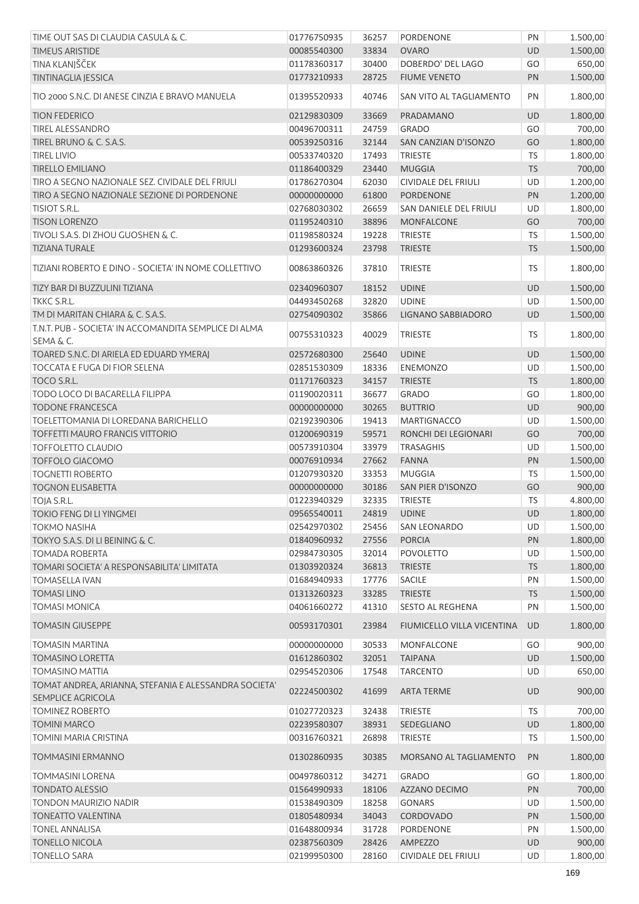| TIME OUT SAS DI CLAUDIA CASULA & C.                                               | 01776750935 | 36257 | <b>PORDENONE</b>           | PN        | 1.500,00 |
|-----------------------------------------------------------------------------------|-------------|-------|----------------------------|-----------|----------|
| <b>TIMEUS ARISTIDE</b>                                                            | 00085540300 | 33834 | <b>OVARO</b>               | <b>UD</b> | 1.500,00 |
| TINA KLANJŠČEK                                                                    | 01178360317 | 30400 | DOBERDO' DEL LAGO          | GO        | 650,00   |
| <b>TINTINAGLIA JESSICA</b>                                                        | 01773210933 | 28725 | <b>FIUME VENETO</b>        | PN        | 1.500,00 |
| TIO 2000 S.N.C. DI ANESE CINZIA E BRAVO MANUELA                                   | 01395520933 | 40746 | SAN VITO AL TAGLIAMENTO    | PN        | 1.800,00 |
| <b>TION FEDERICO</b>                                                              | 02129830309 | 33669 | PRADAMANO                  | <b>UD</b> | 1.800,00 |
| <b>TIREL ALESSANDRO</b>                                                           | 00496700311 | 24759 | <b>GRADO</b>               | GO        | 700,00   |
| TIREL BRUNO & C. S.A.S.                                                           | 00539250316 | 32144 | SAN CANZIAN D'ISONZO       | GO        | 1.800,00 |
| <b>TIREL LIVIO</b>                                                                | 00533740320 | 17493 | <b>TRIESTE</b>             | TS        | 1.800,00 |
| <b>TIRELLO EMILIANO</b>                                                           | 01186400329 | 23440 | <b>MUGGIA</b>              | <b>TS</b> | 700,00   |
| TIRO A SEGNO NAZIONALE SEZ. CIVIDALE DEL FRIULI                                   | 01786270304 | 62030 | <b>CIVIDALE DEL FRIULI</b> | UD        | 1.200,00 |
| TIRO A SEGNO NAZIONALE SEZIONE DI PORDENONE                                       | 00000000000 | 61800 | PORDENONE                  | PN        | 1.200,00 |
| <b>TISIOT S.R.L.</b>                                                              | 02768030302 | 26659 | SAN DANIELE DEL FRIULI     | UD        | 1.800,00 |
| <b>TISON LORENZO</b>                                                              | 01195240310 | 38896 | <b>MONFALCONE</b>          | GO        | 700,00   |
| TIVOLI S.A.S. DI ZHOU GUOSHEN & C.                                                | 01198580324 | 19228 | <b>TRIESTE</b>             | <b>TS</b> | 1.500,00 |
| <b>TIZIANA TURALE</b>                                                             | 01293600324 | 23798 |                            | <b>TS</b> |          |
|                                                                                   |             |       | <b>TRIESTE</b>             |           | 1.500,00 |
| TIZIANI ROBERTO E DINO - SOCIETA' IN NOME COLLETTIVO                              | 00863860326 | 37810 | <b>TRIESTE</b>             | TS        | 1.800,00 |
| TIZY BAR DI BUZZULINI TIZIANA                                                     | 02340960307 | 18152 | <b>UDINE</b>               | <b>UD</b> | 1.500,00 |
| <b>TKKC S.R.L.</b>                                                                | 04493450268 | 32820 | <b>UDINE</b>               | <b>UD</b> | 1.500,00 |
| TM DI MARITAN CHIARA & C. S.A.S.                                                  | 02754090302 | 35866 | LIGNANO SABBIADORO         | <b>UD</b> | 1.500,00 |
| T.N.T. PUB - SOCIETA' IN ACCOMANDITA SEMPLICE DI ALMA<br>SEMA & C.                | 00755310323 | 40029 | <b>TRIESTE</b>             | TS        | 1.800,00 |
| TOARED S.N.C. DI ARIELA ED EDUARD YMERAJ                                          | 02572680300 | 25640 | <b>UDINE</b>               | UD        | 1.500,00 |
| <b>TOCCATA E FUGA DI FIOR SELENA</b>                                              | 02851530309 | 18336 | <b>ENEMONZO</b>            | <b>UD</b> | 1.500,00 |
| TOCO S.R.L.                                                                       | 01171760323 | 34157 | <b>TRIESTE</b>             | <b>TS</b> | 1.800,00 |
| TODO LOCO DI BACARELLA FILIPPA                                                    | 01190020311 | 36677 | <b>GRADO</b>               | GO        | 1.800,00 |
| <b>TODONE FRANCESCA</b>                                                           | 00000000000 | 30265 | <b>BUTTRIO</b>             | UD        | 900,00   |
| TOELETTOMANIA DI LOREDANA BARICHELLO                                              | 02192390306 | 19413 | <b>MARTIGNACCO</b>         | <b>UD</b> | 1.500,00 |
| <b>TOFFETTI MAURO FRANCIS VITTORIO</b>                                            | 01200690319 | 59571 | RONCHI DEI LEGIONARI       | GO        | 700,00   |
| <b>TOFFOLETTO CLAUDIO</b>                                                         | 00573910304 | 33979 | <b>TRASAGHIS</b>           | UD        | 1.500,00 |
| <b>TOFFOLO GIACOMO</b>                                                            | 00076910934 | 27662 | <b>FANNA</b>               | PN        | 1.500,00 |
| <b>TOGNETTI ROBERTO</b>                                                           | 01207930320 | 33353 | <b>MUGGIA</b>              | TS        | 1.500,00 |
| <b>TOGNON ELISABETTA</b>                                                          | 00000000000 | 30186 | SAN PIER D'ISONZO          | GO        | 900,00   |
| TOJA S.R.L.                                                                       | 01223940329 | 32335 | <b>TRIESTE</b>             | <b>TS</b> | 4.800,00 |
| TOKIO FENG DI LI YINGMEI                                                          | 09565540011 | 24819 | <b>UDINE</b>               | UD.       | 1.800,00 |
| <b>TOKMO NASIHA</b>                                                               | 02542970302 | 25456 | <b>SAN LEONARDO</b>        | UD        | 1.500,00 |
| TOKYO S.A.S. DI LI BEINING & C.                                                   | 01840960932 | 27556 | <b>PORCIA</b>              | PN        | 1.800,00 |
| <b>TOMADA ROBERTA</b>                                                             | 02984730305 | 32014 | <b>POVOLETTO</b>           | UD        | 1.500,00 |
| TOMARI SOCIETA' A RESPONSABILITA' LIMITATA                                        | 01303920324 | 36813 | <b>TRIESTE</b>             | <b>TS</b> | 1.800,00 |
| <b>TOMASELLA IVAN</b>                                                             | 01684940933 | 17776 | <b>SACILE</b>              | PN        | 1.500,00 |
| <b>TOMASI LINO</b>                                                                | 01313260323 | 33285 | <b>TRIESTE</b>             | <b>TS</b> | 1.500,00 |
| <b>TOMASI MONICA</b>                                                              | 04061660272 | 41310 | <b>SESTO AL REGHENA</b>    | PN        | 1.500,00 |
| <b>TOMASIN GIUSEPPE</b>                                                           | 00593170301 | 23984 | FIUMICELLO VILLA VICENTINA | <b>UD</b> | 1.800,00 |
|                                                                                   |             |       |                            |           |          |
| TOMASIN MARTINA                                                                   | 00000000000 | 30533 | <b>MONFALCONE</b>          | GO        | 900,00   |
| <b>TOMASINO LORETTA</b>                                                           | 01612860302 | 32051 | <b>TAIPANA</b>             | <b>UD</b> | 1.500,00 |
| <b>TOMASINO MATTIA</b>                                                            | 02954520306 | 17548 | <b>TARCENTO</b>            | UD        | 650,00   |
| TOMAT ANDREA, ARIANNA, STEFANIA E ALESSANDRA SOCIETA'<br><b>SEMPLICE AGRICOLA</b> | 02224500302 | 41699 | <b>ARTA TERME</b>          | <b>UD</b> | 900,00   |
| <b>TOMINEZ ROBERTO</b>                                                            | 01027720323 | 32438 | <b>TRIESTE</b>             | <b>TS</b> | 700,00   |
| <b>TOMINI MARCO</b>                                                               | 02239580307 | 38931 | SEDEGLIANO                 | <b>UD</b> | 1.800,00 |
| TOMINI MARIA CRISTINA                                                             | 00316760321 | 26898 | <b>TRIESTE</b>             | <b>TS</b> | 1.500,00 |
| <b>TOMMASINI ERMANNO</b>                                                          | 01302860935 | 30385 | MORSANO AL TAGLIAMENTO     | <b>PN</b> | 1.800,00 |
| TOMMASINI LORENA                                                                  | 00497860312 | 34271 | <b>GRADO</b>               | GO        | 1.800,00 |
| <b>TONDATO ALESSIO</b>                                                            | 01564990933 | 18106 | AZZANO DECIMO              | PN        | 700,00   |
| <b>TONDON MAURIZIO NADIR</b>                                                      | 01538490309 | 18258 | <b>GONARS</b>              | UD        | 1.500,00 |
| <b>TONEATTO VALENTINA</b>                                                         | 01805480934 | 34043 | CORDOVADO                  | PN        | 1.500,00 |
| <b>TONEL ANNALISA</b>                                                             | 01648800934 | 31728 | PORDENONE                  | PN        | 1.500,00 |
| <b>TONELLO NICOLA</b>                                                             | 02387560309 | 28426 | AMPEZZO                    | <b>UD</b> | 900,00   |
| <b>TONELLO SARA</b>                                                               | 02199950300 | 28160 | <b>CIVIDALE DEL FRIULI</b> | UD        | 1.800,00 |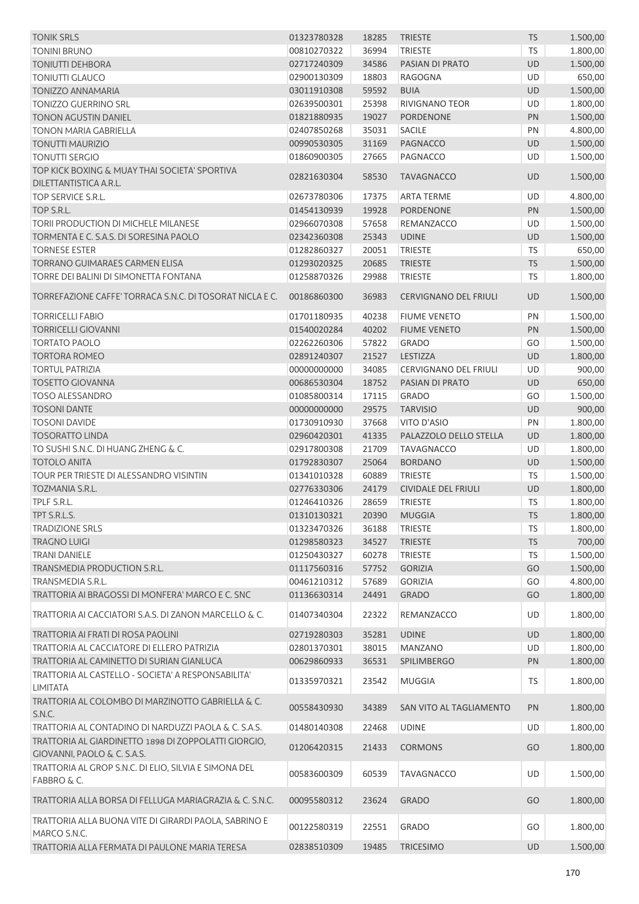| <b>TONIK SRLS</b>                                                                   | 01323780328                | 18285          | <b>TRIESTE</b>                                 | <b>TS</b>              | 1.500,00             |
|-------------------------------------------------------------------------------------|----------------------------|----------------|------------------------------------------------|------------------------|----------------------|
| <b>TONINI BRUNO</b>                                                                 | 00810270322                | 36994          | <b>TRIESTE</b>                                 | <b>TS</b>              | 1.800,00             |
| <b>TONIUTTI DEHBORA</b>                                                             | 02717240309                | 34586          | PASIAN DI PRATO                                | <b>UD</b>              | 1.500,00             |
| <b>TONIUTTI GLAUCO</b>                                                              | 02900130309                | 18803          | RAGOGNA                                        | <b>UD</b>              | 650,00               |
| <b>TONIZZO ANNAMARIA</b>                                                            | 03011910308                | 59592          | <b>BUIA</b>                                    | <b>UD</b>              | 1.500,00             |
| TONIZZO GUERRINO SRL                                                                | 02639500301                | 25398          | <b>RIVIGNANO TEOR</b>                          | UD                     | 1.800,00             |
| <b>TONON AGUSTIN DANIEL</b>                                                         | 01821880935                | 19027          | <b>PORDENONE</b>                               | PN                     | 1.500,00             |
| <b>TONON MARIA GABRIELLA</b>                                                        | 02407850268                | 35031          | <b>SACILE</b>                                  | PN                     | 4.800,00             |
| <b>TONUTTI MAURIZIO</b>                                                             | 00990530305                | 31169          | <b>PAGNACCO</b>                                | <b>UD</b>              | 1.500,00             |
| <b>TONUTTI SERGIO</b>                                                               | 01860900305                | 27665          | PAGNACCO                                       | UD                     | 1.500,00             |
| TOP KICK BOXING & MUAY THAI SOCIETA' SPORTIVA<br>DILETTANTISTICA A.R.L.             | 02821630304                | 58530          | <b>TAVAGNACCO</b>                              | <b>UD</b>              | 1.500,00             |
| TOP SERVICE S.R.L.                                                                  | 02673780306                | 17375          | <b>ARTA TERME</b>                              | <b>UD</b>              | 4.800,00             |
| TOP S.R.L.                                                                          | 01454130939                | 19928          | <b>PORDENONE</b>                               | PN                     | 1.500,00             |
| TORII PRODUCTION DI MICHELE MILANESE                                                | 02966070308                | 57658          | REMANZACCO                                     | UD                     | 1.500,00             |
| TORMENTA E C. S.A.S. DI SORESINA PAOLO                                              | 02342360308                | 25343          | <b>UDINE</b>                                   | <b>UD</b>              | 1.500,00             |
| <b>TORNESE ESTER</b>                                                                | 01282860327                | 20051          | <b>TRIESTE</b>                                 | TS                     | 650,00               |
| <b>TORRANO GUIMARAES CARMEN ELISA</b>                                               |                            |                |                                                | <b>TS</b>              |                      |
| TORRE DEI BALINI DI SIMONETTA FONTANA                                               | 01293020325                | 20685          | <b>TRIESTE</b>                                 |                        | 1.500,00             |
| TORREFAZIONE CAFFE' TORRACA S.N.C. DI TOSORAT NICLA E C.                            | 01258870326<br>00186860300 | 29988<br>36983 | <b>TRIESTE</b><br><b>CERVIGNANO DEL FRIULI</b> | <b>TS</b><br><b>UD</b> | 1.800,00<br>1.500,00 |
|                                                                                     |                            |                |                                                |                        |                      |
| <b>TORRICELLI FABIO</b>                                                             | 01701180935                | 40238          | <b>FIUME VENETO</b>                            | PN                     | 1.500,00             |
| <b>TORRICELLI GIOVANNI</b>                                                          | 01540020284                | 40202          | <b>FIUME VENETO</b>                            | PN                     | 1.500,00             |
| <b>TORTATO PAOLO</b>                                                                | 02262260306                | 57822          | GRADO                                          | GO                     | 1.500,00             |
| <b>TORTORA ROMEO</b>                                                                | 02891240307                | 21527          | LESTIZZA                                       | <b>UD</b>              | 1.800,00             |
| <b>TORTUL PATRIZIA</b>                                                              | 00000000000                | 34085          | <b>CERVIGNANO DEL FRIULI</b>                   | UD                     | 900,00               |
| <b>TOSETTO GIOVANNA</b>                                                             | 00686530304                | 18752          | PASIAN DI PRATO                                | UD                     | 650,00               |
| <b>TOSO ALESSANDRO</b>                                                              | 01085800314                | 17115          | <b>GRADO</b>                                   | GO                     | 1.500,00             |
| <b>TOSONI DANTE</b>                                                                 | 00000000000                | 29575          | <b>TARVISIO</b>                                | <b>UD</b>              | 900,00               |
| <b>TOSONI DAVIDE</b>                                                                | 01730910930                | 37668          | VITO D'ASIO                                    | PN                     | 1.800,00             |
| <b>TOSORATTO LINDA</b>                                                              | 02960420301                | 41335          | PALAZZOLO DELLO STELLA                         | <b>UD</b>              | 1.800,00             |
| TO SUSHI S.N.C. DI HUANG ZHENG & C.                                                 | 02917800308                | 21709          | <b>TAVAGNACCO</b>                              | UD                     | 1.800,00             |
| <b>TOTOLO ANITA</b>                                                                 | 01792830307                | 25064          | <b>BORDANO</b>                                 | <b>UD</b>              | 1.500,00             |
| TOUR PER TRIESTE DI ALESSANDRO VISINTIN                                             | 01341010328                | 60889          | TRIESTE                                        | <b>TS</b>              | 1.500,00             |
| TOZMANIA S.R.L.                                                                     | 02776330306                | 24179          | <b>CIVIDALE DEL FRIULI</b>                     | <b>UD</b>              | 1.800,00             |
| TPLF S.R.L.                                                                         | 01246410326                | 28659          | <b>TRIESTE</b>                                 | <b>TS</b>              | 1.800,00             |
| TPT S.R.L.S.                                                                        | 01310130321                | 20390          | <b>MUGGIA</b>                                  | TS                     | 1.800,00             |
| <b>TRADIZIONE SRLS</b>                                                              | 01323470326                | 36188          | <b>TRIESTE</b>                                 | TS                     | 1.800,00             |
| <b>TRAGNO LUIGI</b>                                                                 | 01298580323                | 34527          | <b>TRIESTE</b>                                 | <b>TS</b>              | 700,00               |
| <b>TRANI DANIELE</b>                                                                | 01250430327                | 60278          | <b>TRIESTE</b>                                 | <b>TS</b>              | 1.500,00             |
| TRANSMEDIA PRODUCTION S.R.L.                                                        | 01117560316                | 57752          | <b>GORIZIA</b>                                 | GO                     | 1.500,00             |
| <b>TRANSMEDIA S.R.L.</b>                                                            | 00461210312                | 57689          | <b>GORIZIA</b>                                 | GO                     | 4.800,00             |
| TRATTORIA AI BRAGOSSI DI MONFERA' MARCO E C. SNC                                    | 01136630314                | 24491          | <b>GRADO</b>                                   | GO                     | 1.800,00             |
| TRATTORIA AI CACCIATORI S.A.S. DI ZANON MARCELLO & C.                               | 01407340304                | 22322          | REMANZACCO                                     | <b>UD</b>              | 1.800,00             |
| TRATTORIA AI FRATI DI ROSA PAOLINI                                                  | 02719280303                | 35281          | <b>UDINE</b>                                   | <b>UD</b>              | 1.800,00             |
| TRATTORIA AL CACCIATORE DI ELLERO PATRIZIA                                          | 02801370301                | 38015          | <b>MANZANO</b>                                 | <b>UD</b>              | 1.800,00             |
| TRATTORIA AL CAMINETTO DI SURIAN GIANLUCA                                           | 00629860933                | 36531          | <b>SPILIMBERGO</b>                             | PN                     | 1.800,00             |
| TRATTORIA AL CASTELLO - SOCIETA' A RESPONSABILITA'                                  | 01335970321                | 23542          | <b>MUGGIA</b>                                  | TS                     | 1.800,00             |
| <b>LIMITATA</b>                                                                     |                            |                |                                                |                        |                      |
| TRATTORIA AL COLOMBO DI MARZINOTTO GABRIELLA & C.<br>S.N.C.                         | 00558430930                | 34389          | SAN VITO AL TAGLIAMENTO                        | PN                     | 1.800,00             |
| TRATTORIA AL CONTADINO DI NARDUZZI PAOLA & C. S.A.S.                                | 01480140308                | 22468          | <b>UDINE</b>                                   | UD                     | 1.800,00             |
| TRATTORIA AL GIARDINETTO 1898 DI ZOPPOLATTI GIORGIO,<br>GIOVANNI, PAOLO & C. S.A.S. | 01206420315                | 21433          | <b>CORMONS</b>                                 | GO                     | 1.800,00             |
| TRATTORIA AL GROP S.N.C. DI ELIO, SILVIA E SIMONA DEL<br>FABBRO & C.                | 00583600309                | 60539          | <b>TAVAGNACCO</b>                              | UD                     | 1.500,00             |
| TRATTORIA ALLA BORSA DI FELLUGA MARIAGRAZIA & C. S.N.C.                             | 00095580312                | 23624          | <b>GRADO</b>                                   | GO                     | 1.800,00             |
| TRATTORIA ALLA BUONA VITE DI GIRARDI PAOLA, SABRINO E<br>MARCO S.N.C.               | 00122580319                | 22551          | GRADO                                          | GO                     | 1.800,00             |
| TRATTORIA ALLA FERMATA DI PAULONE MARIA TERESA                                      | 02838510309                | 19485          | <b>TRICESIMO</b>                               | <b>UD</b>              | 1.500,00             |
|                                                                                     |                            |                |                                                |                        |                      |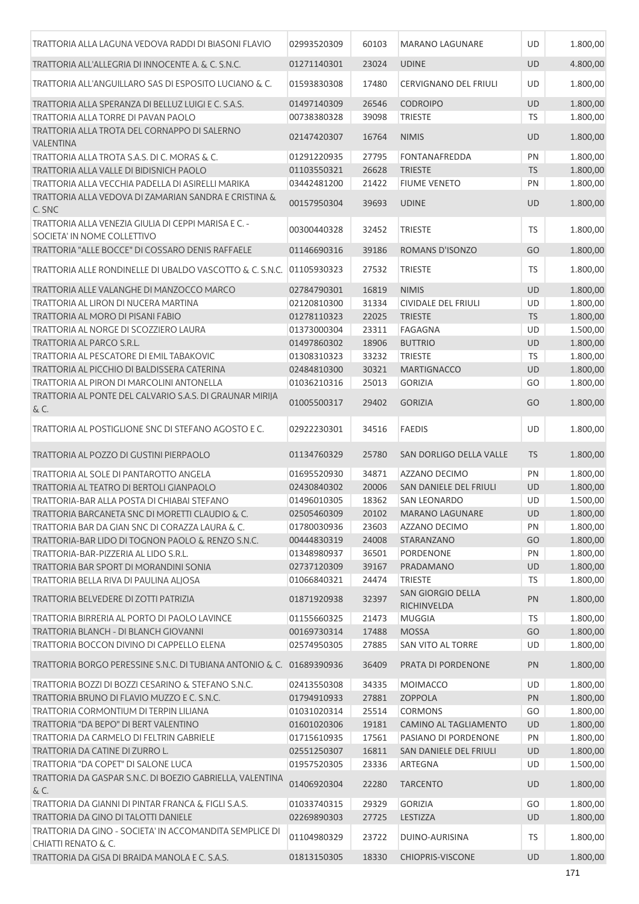| TRATTORIA ALLA LAGUNA VEDOVA RADDI DI BIASONI FLAVIO                                                  | 02993520309                | 60103          | <b>MARANO LAGUNARE</b>                       | UD              | 1.800,00             |
|-------------------------------------------------------------------------------------------------------|----------------------------|----------------|----------------------------------------------|-----------------|----------------------|
| TRATTORIA ALL'ALLEGRIA DI INNOCENTE A. & C. S.N.C.                                                    | 01271140301                | 23024          | <b>UDINE</b>                                 | <b>UD</b>       | 4.800,00             |
| TRATTORIA ALL'ANGUILLARO SAS DI ESPOSITO LUCIANO & C.                                                 | 01593830308                | 17480          | <b>CERVIGNANO DEL FRIULI</b>                 | UD              | 1.800,00             |
| TRATTORIA ALLA SPERANZA DI BELLUZ LUIGI E C. S.A.S.                                                   | 01497140309                | 26546          | <b>CODROIPO</b>                              | <b>UD</b>       | 1.800,00             |
| TRATTORIA ALLA TORRE DI PAVAN PAOLO                                                                   | 00738380328                | 39098          | <b>TRIESTE</b>                               | <b>TS</b>       | 1.800,00             |
| TRATTORIA ALLA TROTA DEL CORNAPPO DI SALERNO                                                          |                            |                |                                              |                 |                      |
| <b>VALENTINA</b>                                                                                      | 02147420307                | 16764          | <b>NIMIS</b>                                 | <b>UD</b>       | 1.800,00             |
| TRATTORIA ALLA TROTA S.A.S. DI C. MORAS & C.                                                          | 01291220935                | 27795          | <b>FONTANAFREDDA</b>                         | PN              | 1.800,00             |
| TRATTORIA ALLA VALLE DI BIDISNICH PAOLO                                                               | 01103550321                | 26628          | <b>TRIESTE</b>                               | <b>TS</b>       | 1.800,00             |
| TRATTORIA ALLA VECCHIA PADELLA DI ASIRELLI MARIKA                                                     | 03442481200                | 21422          | <b>FIUME VENETO</b>                          | PN              | 1.800,00             |
| TRATTORIA ALLA VEDOVA DI ZAMARIAN SANDRA E CRISTINA &<br>C. SNC                                       | 00157950304                | 39693          | <b>UDINE</b>                                 | <b>UD</b>       | 1.800,00             |
| TRATTORIA ALLA VENEZIA GIULIA DI CEPPI MARISA E C. -<br>SOCIETA' IN NOME COLLETTIVO                   | 00300440328                | 32452          | <b>TRIESTE</b>                               | <b>TS</b>       | 1.800,00             |
| TRATTORIA "ALLE BOCCE" DI COSSARO DENIS RAFFAELE                                                      | 01146690316                | 39186          | ROMANS D'ISONZO                              | GO              | 1.800,00             |
| TRATTORIA ALLE RONDINELLE DI UBALDO VASCOTTO & C. S.N.C.                                              | 01105930323                | 27532          | <b>TRIESTE</b>                               | TS              | 1.800,00             |
| TRATTORIA ALLE VALANGHE DI MANZOCCO MARCO                                                             |                            |                |                                              | <b>UD</b>       |                      |
| TRATTORIA AL LIRON DI NUCERA MARTINA                                                                  | 02784790301                | 16819          | <b>NIMIS</b>                                 | UD              | 1.800,00             |
| TRATTORIA AL MORO DI PISANI FABIO                                                                     | 02120810300<br>01278110323 | 31334<br>22025 | <b>CIVIDALE DEL FRIULI</b><br><b>TRIESTE</b> | <b>TS</b>       | 1.800,00<br>1.800,00 |
| TRATTORIA AL NORGE DI SCOZZIERO LAURA                                                                 |                            |                |                                              |                 |                      |
| TRATTORIA AL PARCO S.R.L.                                                                             | 01373000304                | 23311          | <b>FAGAGNA</b>                               | UD              | 1.500,00             |
| TRATTORIA AL PESCATORE DI EMIL TABAKOVIC                                                              | 01497860302                | 18906          | <b>BUTTRIO</b>                               | UD<br><b>TS</b> | 1.800,00             |
| TRATTORIA AL PICCHIO DI BALDISSERA CATERINA                                                           | 01308310323                | 33232          | <b>TRIESTE</b>                               |                 | 1.800,00             |
|                                                                                                       | 02484810300                | 30321          | <b>MARTIGNACCO</b>                           | UD              | 1.800,00             |
| TRATTORIA AL PIRON DI MARCOLINI ANTONELLA<br>TRATTORIA AL PONTE DEL CALVARIO S.A.S. DI GRAUNAR MIRIJA | 01036210316                | 25013          | <b>GORIZIA</b>                               | GO              | 1.800,00             |
| & C.                                                                                                  | 01005500317                | 29402          | <b>GORIZIA</b>                               | GO              | 1.800,00             |
| TRATTORIA AL POSTIGLIONE SNC DI STEFANO AGOSTO E C.                                                   | 02922230301                | 34516          | <b>FAEDIS</b>                                | UD              | 1.800,00             |
| TRATTORIA AL POZZO DI GUSTINI PIERPAOLO                                                               | 01134760329                | 25780          | SAN DORLIGO DELLA VALLE                      | <b>TS</b>       | 1.800,00             |
| TRATTORIA AL SOLE DI PANTAROTTO ANGELA                                                                | 01695520930                | 34871          | <b>AZZANO DECIMO</b>                         | PN              | 1.800,00             |
| TRATTORIA AL TEATRO DI BERTOLI GIANPAOLO                                                              | 02430840302                | 20006          | <b>SAN DANIELE DEL FRIULI</b>                | UD              | 1.800,00             |
| TRATTORIA-BAR ALLA POSTA DI CHIABAI STEFANO                                                           | 01496010305                | 18362          | <b>SAN LEONARDO</b>                          | UD              | 1.500,00             |
| TRATTORIA BARCANETA SNC DI MORETTI CLAUDIO & C.                                                       | 02505460309                | 20102          | MARANO LAGUNARE                              | UD              | 1.800,00             |
| TRATTORIA BAR DA GIAN SNC DI CORAZZA LAURA & C.                                                       | 01780030936                | 23603          | AZZANO DECIMO                                | PN              | 1.800,00             |
| TRATTORIA-BAR LIDO DI TOGNON PAOLO & RENZO S.N.C.                                                     | 00444830319                | 24008          | STARANZANO                                   | GO              | 1.800,00             |
| TRATTORIA-BAR-PIZZERIA AL LIDO S.R.L.                                                                 | 01348980937                | 36501          | PORDENONE                                    | PN              | 1.800,00             |
| TRATTORIA BAR SPORT DI MORANDINI SONIA                                                                | 02737120309                | 39167          | PRADAMANO                                    | UD              | 1.800,00             |
| TRATTORIA BELLA RIVA DI PAULINA ALJOSA                                                                | 01066840321                | 24474          | <b>TRIESTE</b>                               | <b>TS</b>       | 1.800,00             |
| TRATTORIA BELVEDERE DI ZOTTI PATRIZIA                                                                 | 01871920938                | 32397          | <b>SAN GIORGIO DELLA</b><br>RICHINVELDA      | PN              | 1.800,00             |
| TRATTORIA BIRRERIA AL PORTO DI PAOLO LAVINCE                                                          | 01155660325                | 21473          | <b>MUGGIA</b>                                | <b>TS</b>       | 1.800,00             |
| TRATTORIA BLANCH - DI BLANCH GIOVANNI                                                                 | 00169730314                | 17488          | <b>MOSSA</b>                                 | GO              | 1.800,00             |
| TRATTORIA BOCCON DIVINO DI CAPPELLO ELENA                                                             | 02574950305                | 27885          | SAN VITO AL TORRE                            | UD              | 1.800,00             |
| TRATTORIA BORGO PERESSINE S.N.C. DI TUBIANA ANTONIO & C. 01689390936                                  |                            | 36409          | PRATA DI PORDENONE                           | PN              | 1.800,00             |
| TRATTORIA BOZZI DI BOZZI CESARINO & STEFANO S.N.C.                                                    | 02413550308                | 34335          | <b>MOIMACCO</b>                              | UD              | 1.800,00             |
| TRATTORIA BRUNO DI FLAVIO MUZZO E C. S.N.C.                                                           | 01794910933                | 27881          | ZOPPOLA                                      | PN              | 1.800,00             |
| TRATTORIA CORMONTIUM DI TERPIN LILIANA                                                                | 01031020314                | 25514          | <b>CORMONS</b>                               | GO              | 1.800,00             |
| TRATTORIA "DA BEPO" DI BERT VALENTINO                                                                 | 01601020306                | 19181          | CAMINO AL TAGLIAMENTO                        | <b>UD</b>       | 1.800,00             |
| TRATTORIA DA CARMELO DI FELTRIN GABRIELE                                                              | 01715610935                | 17561          | PASIANO DI PORDENONE                         | PN              | 1.800,00             |
| TRATTORIA DA CATINE DI ZURRO L.                                                                       | 02551250307                | 16811          | SAN DANIELE DEL FRIULI                       | <b>UD</b>       | 1.800,00             |
| TRATTORIA "DA COPET" DI SALONE LUCA                                                                   | 01957520305                | 23336          | ARTEGNA                                      | UD              | 1.500,00             |
| TRATTORIA DA GASPAR S.N.C. DI BOEZIO GABRIELLA, VALENTINA<br>& C.                                     | 01406920304                | 22280          | <b>TARCENTO</b>                              | <b>UD</b>       | 1.800,00             |
| TRATTORIA DA GIANNI DI PINTAR FRANCA & FIGLI S.A.S.                                                   | 01033740315                | 29329          | <b>GORIZIA</b>                               | GO              | 1.800,00             |
| TRATTORIA DA GINO DI TALOTTI DANIELE                                                                  | 02269890303                | 27725          | LESTIZZA                                     | UD              | 1.800,00             |
| TRATTORIA DA GINO - SOCIETA' IN ACCOMANDITA SEMPLICE DI                                               | 01104980329                | 23722          | DUINO-AURISINA                               | TS              | 1.800,00             |
| CHIATTI RENATO & C.                                                                                   |                            |                |                                              |                 |                      |
| TRATTORIA DA GISA DI BRAIDA MANOLA E C. S.A.S.                                                        | 01813150305                | 18330          | CHIOPRIS-VISCONE                             | <b>UD</b>       | 1.800,00             |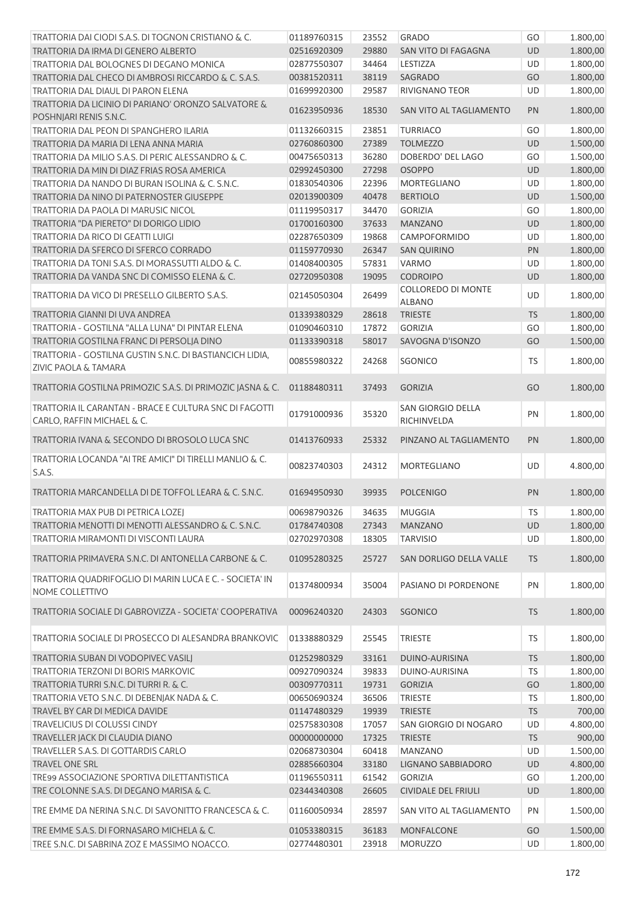| TRATTORIA DAI CIODI S.A.S. DI TOGNON CRISTIANO & C.                                         | 01189760315 | 23552 | <b>GRADO</b>                               | GO        | 1.800,00 |
|---------------------------------------------------------------------------------------------|-------------|-------|--------------------------------------------|-----------|----------|
| TRATTORIA DA IRMA DI GENERO ALBERTO                                                         | 02516920309 | 29880 | SAN VITO DI FAGAGNA                        | <b>UD</b> | 1.800,00 |
| TRATTORIA DAL BOLOGNES DI DEGANO MONICA                                                     | 02877550307 | 34464 | LESTIZZA                                   | <b>UD</b> | 1.800,00 |
| TRATTORIA DAL CHECO DI AMBROSI RICCARDO & C. S.A.S.                                         | 00381520311 | 38119 | <b>SAGRADO</b>                             | GO        | 1.800,00 |
| TRATTORIA DAL DIAUL DI PARON ELENA                                                          | 01699920300 | 29587 | <b>RIVIGNANO TEOR</b>                      | <b>UD</b> | 1.800,00 |
| TRATTORIA DA LICINIO DI PARIANO' ORONZO SALVATORE &<br>POSHNJARI RENIS S.N.C.               | 01623950936 | 18530 | SAN VITO AL TAGLIAMENTO                    | PN        | 1.800,00 |
| TRATTORIA DAL PEON DI SPANGHERO ILARIA                                                      | 01132660315 | 23851 | <b>TURRIACO</b>                            | GO        | 1.800,00 |
| TRATTORIA DA MARIA DI LENA ANNA MARIA                                                       | 02760860300 | 27389 | <b>TOLMEZZO</b>                            | UD        | 1.500,00 |
| TRATTORIA DA MILIO S.A.S. DI PERIC ALESSANDRO & C.                                          | 00475650313 | 36280 | DOBERDO' DEL LAGO                          | GO        | 1.500,00 |
| TRATTORIA DA MIN DI DIAZ FRIAS ROSA AMERICA                                                 | 02992450300 | 27298 | <b>OSOPPO</b>                              | UD        | 1.800,00 |
| TRATTORIA DA NANDO DI BURAN ISOLINA & C. S.N.C.                                             | 01830540306 | 22396 | <b>MORTEGLIANO</b>                         | UD        | 1.800,00 |
| TRATTORIA DA NINO DI PATERNOSTER GIUSEPPE                                                   | 02013900309 | 40478 | <b>BERTIOLO</b>                            | UD        | 1.500,00 |
| TRATTORIA DA PAOLA DI MARUSIC NICOL                                                         | 01119950317 | 34470 | <b>GORIZIA</b>                             | GO        | 1.800,00 |
| TRATTORIA "DA PIERETO" DI DORIGO LIDIO                                                      | 01700160300 | 37633 | <b>MANZANO</b>                             | <b>UD</b> | 1.800,00 |
| TRATTORIA DA RICO DI GEATTI LUIGI                                                           | 02287650309 | 19868 | CAMPOFORMIDO                               | UD        | 1.800,00 |
|                                                                                             |             |       |                                            |           |          |
| TRATTORIA DA SFERCO DI SFERCO CORRADO                                                       | 01159770930 | 26347 | <b>SAN QUIRINO</b>                         | PN        | 1.800,00 |
| TRATTORIA DA TONI S.A.S. DI MORASSUTTI ALDO & C.                                            | 01408400305 | 57831 | VARMO                                      | UD        | 1.800,00 |
| TRATTORIA DA VANDA SNC DI COMISSO ELENA & C.                                                | 02720950308 | 19095 | <b>CODROIPO</b>                            | <b>UD</b> | 1.800,00 |
| TRATTORIA DA VICO DI PRESELLO GILBERTO S.A.S.                                               | 02145050304 | 26499 | <b>COLLOREDO DI MONTE</b><br><b>ALBANO</b> | UD        | 1.800,00 |
| TRATTORIA GIANNI DI UVA ANDREA                                                              | 01339380329 | 28618 | <b>TRIESTE</b>                             | <b>TS</b> | 1.800,00 |
| TRATTORIA - GOSTILNA "ALLA LUNA" DI PINTAR ELENA                                            | 01090460310 | 17872 | <b>GORIZIA</b>                             | GO        | 1.800,00 |
| TRATTORIA GOSTILNA FRANC DI PERSOLJA DINO                                                   | 01133390318 | 58017 | SAVOGNA D'ISONZO                           | GO        | 1.500,00 |
| TRATTORIA - GOSTILNA GUSTIN S.N.C. DI BASTIANCICH LIDIA,<br><b>ZIVIC PAOLA &amp; TAMARA</b> | 00855980322 | 24268 | <b>SGONICO</b>                             | TS        | 1.800,00 |
| TRATTORIA GOSTILNA PRIMOZIC S.A.S. DI PRIMOZIC JASNA & C.                                   | 01188480311 | 37493 | <b>GORIZIA</b>                             | GO        | 1.800,00 |
| TRATTORIA IL CARANTAN - BRACE E CULTURA SNC DI FAGOTTI<br>CARLO, RAFFIN MICHAEL & C.        | 01791000936 | 35320 | SAN GIORGIO DELLA<br>RICHINVELDA           | PN        | 1.800,00 |
| TRATTORIA IVANA & SECONDO DI BROSOLO LUCA SNC                                               | 01413760933 | 25332 | PINZANO AL TAGLIAMENTO                     | PN        | 1.800,00 |
| TRATTORIA LOCANDA "AI TRE AMICI" DI TIRELLI MANLIO & C.<br>S.A.S.                           | 00823740303 | 24312 | MORTEGLIANO                                | UD        | 4.800,00 |
| TRATTORIA MARCANDELLA DI DE TOFFOL LEARA & C. S.N.C.                                        | 01694950930 | 39935 | <b>POLCENIGO</b>                           | PN        | 1.800,00 |
| TRATTORIA MAX PUB DI PETRICA LOZEJ                                                          | 00698790326 |       | 34635 MUGGIA                               | $T_S$     | 1.800,00 |
| TRATTORIA MENOTTI DI MENOTTI ALESSANDRO & C. S.N.C.                                         | 01784740308 | 27343 | <b>MANZANO</b>                             | <b>UD</b> | 1.800,00 |
| TRATTORIA MIRAMONTI DI VISCONTI LAURA                                                       | 02702970308 | 18305 | <b>TARVISIO</b>                            | UD        | 1.800,00 |
| TRATTORIA PRIMAVERA S.N.C. DI ANTONELLA CARBONE & C.                                        | 01095280325 | 25727 | SAN DORLIGO DELLA VALLE                    | <b>TS</b> | 1.800,00 |
| TRATTORIA QUADRIFOGLIO DI MARIN LUCA E C. - SOCIETA' IN<br>NOME COLLETTIVO                  | 01374800934 | 35004 | PASIANO DI PORDENONE                       | PN        | 1.800,00 |
| TRATTORIA SOCIALE DI GABROVIZZA - SOCIETA' COOPERATIVA                                      | 00096240320 | 24303 | SGONICO                                    | <b>TS</b> | 1.800,00 |
| TRATTORIA SOCIALE DI PROSECCO DI ALESANDRA BRANKOVIC                                        | 01338880329 | 25545 | TRIESTE                                    | <b>TS</b> | 1.800,00 |
| TRATTORIA SUBAN DI VODOPIVEC VASILJ                                                         | 01252980329 | 33161 | DUINO-AURISINA                             | <b>TS</b> | 1.800,00 |
| TRATTORIA TERZONI DI BORIS MARKOVIC                                                         | 00927090324 | 39833 | DUINO-AURISINA                             | TS        | 1.800,00 |
| TRATTORIA TURRI S.N.C. DI TURRI R. & C.                                                     | 00309770311 | 19731 | <b>GORIZIA</b>                             | GO        | 1.800,00 |
| TRATTORIA VETO S.N.C. DI DEBENJAK NADA & C.                                                 | 00650690324 | 36506 | <b>TRIESTE</b>                             | <b>TS</b> | 1.800,00 |
| TRAVEL BY CAR DI MEDICA DAVIDE                                                              | 01147480329 | 19939 | <b>TRIESTE</b>                             | <b>TS</b> | 700,00   |
| <b>TRAVELICIUS DI COLUSSI CINDY</b>                                                         | 02575830308 | 17057 | SAN GIORGIO DI NOGARO                      | UD        | 4.800,00 |
|                                                                                             |             |       |                                            |           |          |
| TRAVELLER JACK DI CLAUDIA DIANO                                                             | 00000000000 | 17325 | <b>TRIESTE</b>                             | <b>TS</b> | 900,00   |
| TRAVELLER S.A.S. DI GOTTARDIS CARLO                                                         | 02068730304 | 60418 | MANZANO                                    | UD        | 1.500,00 |
| <b>TRAVEL ONE SRL</b>                                                                       | 02885660304 | 33180 | LIGNANO SABBIADORO                         | <b>UD</b> | 4.800,00 |
| TRE99 ASSOCIAZIONE SPORTIVA DILETTANTISTICA                                                 | 01196550311 | 61542 | <b>GORIZIA</b>                             | GO        | 1.200,00 |
| TRE COLONNE S.A.S. DI DEGANO MARISA & C.                                                    | 02344340308 | 26605 | <b>CIVIDALE DEL FRIULI</b>                 | <b>UD</b> | 1.800,00 |
| TRE EMME DA NERINA S.N.C. DI SAVONITTO FRANCESCA & C.                                       | 01160050934 | 28597 | SAN VITO AL TAGLIAMENTO                    | PN        | 1.500,00 |
| TRE EMME S.A.S. DI FORNASARO MICHELA & C.                                                   | 01053380315 | 36183 | <b>MONFALCONE</b>                          | GO        | 1.500,00 |
| TREE S.N.C. DI SABRINA ZOZ E MASSIMO NOACCO.                                                | 02774480301 | 23918 | <b>MORUZZO</b>                             | UD        | 1.800,00 |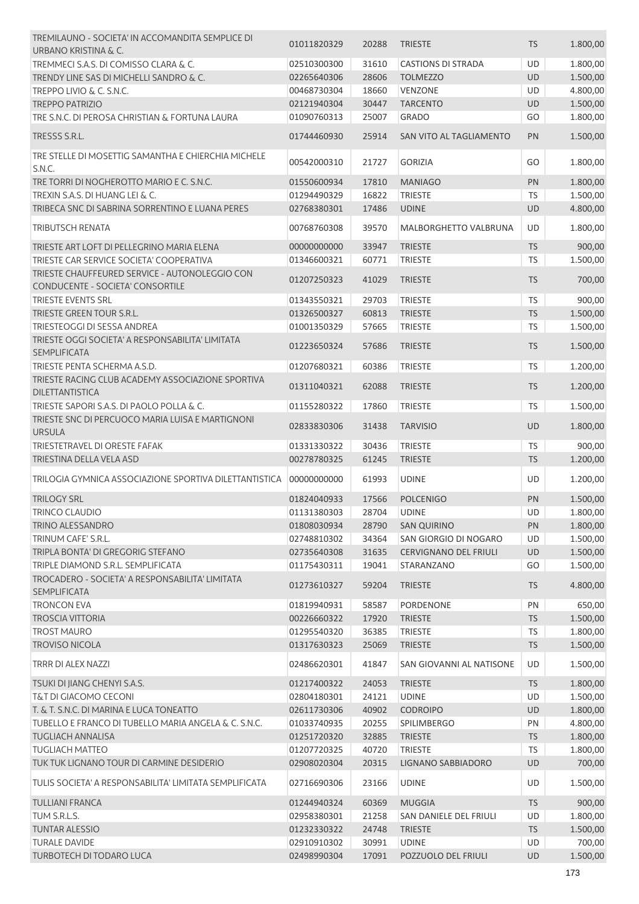| TREMILAUNO - SOCIETA' IN ACCOMANDITA SEMPLICE DI                                   | 01011820329 | 20288 | <b>TRIESTE</b>               | <b>TS</b> | 1.800,00 |
|------------------------------------------------------------------------------------|-------------|-------|------------------------------|-----------|----------|
| <b>URBANO KRISTINA &amp; C.</b>                                                    |             |       |                              |           |          |
| TREMMECI S.A.S. DI COMISSO CLARA & C.                                              | 02510300300 | 31610 | <b>CASTIONS DI STRADA</b>    | <b>UD</b> | 1.800,00 |
| TRENDY LINE SAS DI MICHELLI SANDRO & C.                                            | 02265640306 | 28606 | <b>TOLMEZZO</b>              | <b>UD</b> | 1.500,00 |
| TREPPO LIVIO & C. S.N.C.                                                           | 00468730304 | 18660 | <b>VENZONE</b>               | <b>UD</b> | 4.800,00 |
| <b>TREPPO PATRIZIO</b>                                                             | 02121940304 | 30447 | <b>TARCENTO</b>              | <b>UD</b> | 1.500,00 |
| TRE S.N.C. DI PEROSA CHRISTIAN & FORTUNA LAURA                                     | 01090760313 | 25007 | <b>GRADO</b>                 | GO        | 1.800,00 |
| TRESSS S.R.L.                                                                      | 01744460930 | 25914 | SAN VITO AL TAGLIAMENTO      | PN        | 1.500,00 |
| TRE STELLE DI MOSETTIG SAMANTHA E CHIERCHIA MICHELE<br>S.N.C.                      | 00542000310 | 21727 | <b>GORIZIA</b>               | GO        | 1.800,00 |
| TRE TORRI DI NOGHEROTTO MARIO E C. S.N.C.                                          | 01550600934 | 17810 | <b>MANIAGO</b>               | PN        | 1.800,00 |
| TREXIN S.A.S. DI HUANG LEI & C.                                                    | 01294490329 | 16822 | <b>TRIESTE</b>               | TS        | 1.500,00 |
| TRIBECA SNC DI SABRINA SORRENTINO E LUANA PERES                                    | 02768380301 | 17486 | <b>UDINE</b>                 | <b>UD</b> | 4.800,00 |
|                                                                                    |             |       |                              |           |          |
| <b>TRIBUTSCH RENATA</b>                                                            | 00768760308 | 39570 | MALBORGHETTO VALBRUNA        | UD        | 1.800,00 |
| TRIESTE ART LOFT DI PELLEGRINO MARIA ELENA                                         | 00000000000 | 33947 | <b>TRIESTE</b>               | <b>TS</b> | 900,00   |
| TRIESTE CAR SERVICE SOCIETA' COOPERATIVA                                           | 01346600321 | 60771 | <b>TRIESTE</b>               | TS        | 1.500,00 |
| TRIESTE CHAUFFEURED SERVICE - AUTONOLEGGIO CON<br>CONDUCENTE - SOCIETA' CONSORTILE | 01207250323 | 41029 | <b>TRIESTE</b>               | <b>TS</b> | 700,00   |
| <b>TRIESTE EVENTS SRL</b>                                                          | 01343550321 | 29703 | <b>TRIESTE</b>               | <b>TS</b> | 900,00   |
| TRIESTE GREEN TOUR S.R.L.                                                          | 01326500327 | 60813 | <b>TRIESTE</b>               | <b>TS</b> | 1.500,00 |
| TRIESTEOGGI DI SESSA ANDREA                                                        | 01001350329 | 57665 | <b>TRIESTE</b>               | TS        | 1.500,00 |
| TRIESTE OGGI SOCIETA' A RESPONSABILITA' LIMITATA                                   |             |       |                              |           |          |
| <b>SEMPLIFICATA</b>                                                                | 01223650324 | 57686 | <b>TRIESTE</b>               | <b>TS</b> | 1.500,00 |
| TRIESTE PENTA SCHERMA A.S.D.                                                       | 01207680321 | 60386 | <b>TRIESTE</b>               | <b>TS</b> | 1.200,00 |
| TRIESTE RACING CLUB ACADEMY ASSOCIAZIONE SPORTIVA<br><b>DILETTANTISTICA</b>        | 01311040321 | 62088 | <b>TRIESTE</b>               | <b>TS</b> | 1.200,00 |
| TRIESTE SAPORI S.A.S. DI PAOLO POLLA & C.                                          | 01155280322 | 17860 | <b>TRIESTE</b>               | TS        | 1.500,00 |
| TRIESTE SNC DI PERCUOCO MARIA LUISA E MARTIGNONI                                   | 02833830306 | 31438 | <b>TARVISIO</b>              | <b>UD</b> | 1.800,00 |
| <b>URSULA</b>                                                                      |             |       |                              |           |          |
| TRIESTETRAVEL DI ORESTE FAFAK                                                      | 01331330322 | 30436 | <b>TRIESTE</b>               | <b>TS</b> | 900,00   |
| TRIESTINA DELLA VELA ASD                                                           | 00278780325 | 61245 | <b>TRIESTE</b>               | <b>TS</b> | 1.200,00 |
| TRILOGIA GYMNICA ASSOCIAZIONE SPORTIVA DILETTANTISTICA                             | 00000000000 | 61993 | <b>UDINE</b>                 | UD        | 1.200,00 |
| <b>TRILOGY SRL</b>                                                                 | 01824040933 | 17566 | <b>POLCENIGO</b>             | PN        | 1.500,00 |
| <b>TRINCO CLAUDIO</b>                                                              | 01131380303 | 28704 | <b>UDINE</b>                 | UD        | 1.800,00 |
| <b>TRINO ALESSANDRO</b>                                                            | 01808030934 | 28790 | <b>SAN QUIRINO</b>           | <b>PN</b> | 1.800,00 |
| TRINUM CAFE' S.R.L.                                                                | 02748810302 | 34364 | SAN GIORGIO DI NOGARO        | <b>UD</b> | 1.500,00 |
| TRIPLA BONTA' DI GREGORIG STEFANO                                                  | 02735640308 | 31635 | <b>CERVIGNANO DEL FRIULI</b> | <b>UD</b> | 1.500,00 |
| TRIPLE DIAMOND S.R.L. SEMPLIFICATA                                                 | 01175430311 | 19041 | STARANZANO                   | GO        | 1.500,00 |
| TROCADERO - SOCIETA' A RESPONSABILITA' LIMITATA<br><b>SEMPLIFICATA</b>             | 01273610327 | 59204 | <b>TRIESTE</b>               | <b>TS</b> | 4.800,00 |
| <b>TRONCON EVA</b>                                                                 | 01819940931 | 58587 | PORDENONE                    | PN        | 650,00   |
| <b>TROSCIA VITTORIA</b>                                                            | 00226660322 | 17920 | <b>TRIESTE</b>               | <b>TS</b> | 1.500,00 |
| <b>TROST MAURO</b>                                                                 | 01295540320 | 36385 | <b>TRIESTE</b>               | <b>TS</b> | 1.800,00 |
| <b>TROVISO NICOLA</b>                                                              | 01317630323 | 25069 | <b>TRIESTE</b>               | <b>TS</b> | 1.500,00 |
| <b>TRRR DI ALEX NAZZI</b>                                                          | 02486620301 | 41847 | SAN GIOVANNI AL NATISONE     | UD        | 1.500,00 |
| TSUKI DI JIANG CHENYI S.A.S.                                                       | 01217400322 | 24053 | <b>TRIESTE</b>               | <b>TS</b> | 1.800,00 |
| <b>T&amp;T DI GIACOMO CECONI</b>                                                   | 02804180301 | 24121 | <b>UDINE</b>                 | UD        | 1.500,00 |
| T. & T. S.N.C. DI MARINA E LUCA TONEATTO                                           | 02611730306 | 40902 | <b>CODROIPO</b>              | UD        | 1.800,00 |
| TUBELLO E FRANCO DI TUBELLO MARIA ANGELA & C. S.N.C.                               | 01033740935 | 20255 | SPILIMBERGO                  | PN        | 4.800,00 |
| <b>TUGLIACH ANNALISA</b>                                                           | 01251720320 | 32885 | <b>TRIESTE</b>               | <b>TS</b> | 1.800,00 |
| <b>TUGLIACH MATTEO</b>                                                             | 01207720325 | 40720 | <b>TRIESTE</b>               | <b>TS</b> | 1.800,00 |
| TUK TUK LIGNANO TOUR DI CARMINE DESIDERIO                                          | 02908020304 | 20315 | LIGNANO SABBIADORO           | <b>UD</b> | 700,00   |
| TULIS SOCIETA' A RESPONSABILITA' LIMITATA SEMPLIFICATA                             | 02716690306 | 23166 | <b>UDINE</b>                 | UD        | 1.500,00 |
|                                                                                    |             |       |                              |           |          |
| <b>TULLIANI FRANCA</b>                                                             | 01244940324 | 60369 | <b>MUGGIA</b>                | <b>TS</b> | 900,00   |
| TUM S.R.L.S.                                                                       | 02958380301 | 21258 | SAN DANIELE DEL FRIULI       | UD        | 1.800,00 |
| <b>TUNTAR ALESSIO</b>                                                              | 01232330322 | 24748 | <b>TRIESTE</b>               | <b>TS</b> | 1.500,00 |
| <b>TURALE DAVIDE</b>                                                               | 02910910302 | 30991 | <b>UDINE</b>                 | UD        | 700,00   |
| TURBOTECH DI TODARO LUCA                                                           | 02498990304 | 17091 | POZZUOLO DEL FRIULI          | <b>UD</b> | 1.500,00 |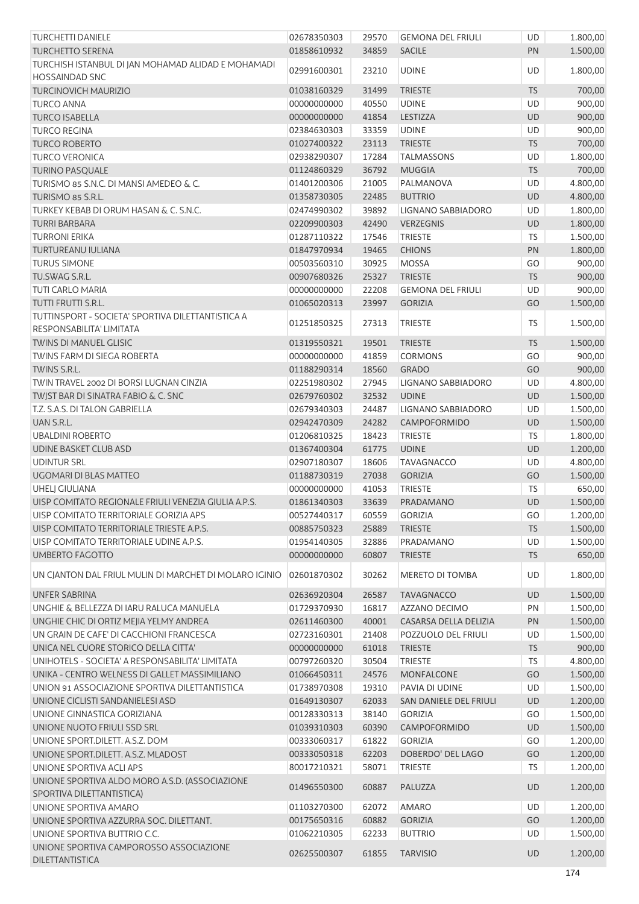| <b>TURCHETTI DANIELE</b>                                                    | 02678350303 | 29570 | <b>GEMONA DEL FRIULI</b> | UD        | 1.800,00 |
|-----------------------------------------------------------------------------|-------------|-------|--------------------------|-----------|----------|
| <b>TURCHETTO SERENA</b>                                                     | 01858610932 | 34859 | <b>SACILE</b>            | <b>PN</b> | 1.500,00 |
| TURCHISH ISTANBUL DI JAN MOHAMAD ALIDAD E MOHAMADI                          |             |       |                          |           |          |
| <b>HOSSAINDAD SNC</b>                                                       | 02991600301 | 23210 | <b>UDINE</b>             | UD        | 1.800,00 |
| <b>TURCINOVICH MAURIZIO</b>                                                 | 01038160329 | 31499 | <b>TRIESTE</b>           | <b>TS</b> | 700,00   |
| <b>TURCO ANNA</b>                                                           | 00000000000 | 40550 | <b>UDINE</b>             | <b>UD</b> | 900,00   |
| <b>TURCO ISABELLA</b>                                                       | 00000000000 | 41854 | LESTIZZA                 | UD        | 900,00   |
| <b>TURCO REGINA</b>                                                         | 02384630303 | 33359 | <b>UDINE</b>             | UD        | 900,00   |
| <b>TURCO ROBERTO</b>                                                        | 01027400322 | 23113 | <b>TRIESTE</b>           | <b>TS</b> | 700,00   |
| <b>TURCO VERONICA</b>                                                       | 02938290307 | 17284 | <b>TALMASSONS</b>        | UD        | 1.800,00 |
| <b>TURINO PASQUALE</b>                                                      | 01124860329 | 36792 | <b>MUGGIA</b>            | <b>TS</b> | 700,00   |
| TURISMO 85 S.N.C. DI MANSI AMEDEO & C.                                      | 01401200306 | 21005 | PALMANOVA                | UD        | 4.800,00 |
| TURISMO 85 S.R.L.                                                           | 01358730305 | 22485 | <b>BUTTRIO</b>           | <b>UD</b> | 4.800,00 |
| TURKEY KEBAB DI ORUM HASAN & C. S.N.C.                                      | 02474990302 | 39892 | LIGNANO SABBIADORO       | <b>UD</b> | 1.800,00 |
| <b>TURRI BARBARA</b>                                                        | 02209900303 | 42490 | VERZEGNIS                | UD        | 1.800,00 |
| <b>TURRONI ERIKA</b>                                                        | 01287110322 | 17546 | <b>TRIESTE</b>           | <b>TS</b> | 1.500,00 |
| <b>TURTUREANU IULIANA</b>                                                   | 01847970934 | 19465 | <b>CHIONS</b>            | PN        | 1.800,00 |
| <b>TURUS SIMONE</b>                                                         | 00503560310 | 30925 | <b>MOSSA</b>             | GO        | 900,00   |
| TU.SWAG S.R.L.                                                              | 00907680326 | 25327 | <b>TRIESTE</b>           | <b>TS</b> | 900,00   |
| <b>TUTI CARLO MARIA</b>                                                     | 00000000000 | 22208 | <b>GEMONA DEL FRIULI</b> | <b>UD</b> | 900,00   |
| <b>TUTTI FRUTTI S.R.L.</b>                                                  | 01065020313 | 23997 | <b>GORIZIA</b>           | GO        | 1.500,00 |
| TUTTINSPORT - SOCIETA' SPORTIVA DILETTANTISTICA A                           |             |       |                          |           |          |
| RESPONSABILITA' LIMITATA                                                    | 01251850325 | 27313 | <b>TRIESTE</b>           | <b>TS</b> | 1.500,00 |
|                                                                             |             |       |                          |           |          |
| <b>TWINS DI MANUEL GLISIC</b>                                               | 01319550321 | 19501 | <b>TRIESTE</b>           | TS        | 1.500,00 |
| <b>TWINS FARM DI SIEGA ROBERTA</b>                                          | 00000000000 | 41859 | <b>CORMONS</b>           | GO        | 900,00   |
| TWINS S.R.L.                                                                | 01188290314 | 18560 | <b>GRADO</b>             | GO        | 900,00   |
| TWIN TRAVEL 2002 DI BORSI LUGNAN CINZIA                                     | 02251980302 | 27945 | LIGNANO SABBIADORO       | UD        | 4.800,00 |
| TWJST BAR DI SINATRA FABIO & C. SNC                                         | 02679760302 | 32532 | <b>UDINE</b>             | UD        | 1.500,00 |
| T.Z. S.A.S. DI TALON GABRIELLA                                              | 02679340303 | 24487 | LIGNANO SABBIADORO       | <b>UD</b> | 1.500,00 |
| UAN S.R.L.                                                                  | 02942470309 | 24282 | CAMPOFORMIDO             | UD        | 1.500,00 |
| <b>UBALDINI ROBERTO</b>                                                     | 01206810325 | 18423 | <b>TRIESTE</b>           | <b>TS</b> | 1.800,00 |
| UDINE BASKET CLUB ASD                                                       | 01367400304 | 61775 | <b>UDINE</b>             | <b>UD</b> | 1.200,00 |
| <b>UDINTUR SRL</b>                                                          | 02907180307 | 18606 | <b>TAVAGNACCO</b>        | UD        | 4.800,00 |
| UGOMARI DI BLAS MATTEO                                                      | 01188730319 | 27038 | <b>GORIZIA</b>           | GO        | 1.500,00 |
| <b>UHELJ GIULIANA</b>                                                       | 00000000000 | 41053 | <b>TRIESTE</b>           | <b>TS</b> | 650,00   |
| UISP COMITATO REGIONALE FRIULI VENEZIA GIULIA A.P.S.                        | 01861340303 | 33639 | PRADAMANO                | <b>UD</b> | 1.500,00 |
| UISP COMITATO TERRITORIALE GORIZIA APS                                      | 00527440317 | 60559 | <b>GORIZIA</b>           | GO        | 1.200,00 |
| UISP COMITATO TERRITORIALE TRIESTE A.P.S.                                   | 00885750323 | 25889 | <b>TRIESTE</b>           | <b>TS</b> | 1.500,00 |
| UISP COMITATO TERRITORIALE UDINE A.P.S.                                     | 01954140305 | 32886 | PRADAMANO                | UD        | 1.500,00 |
| <b>UMBERTO FAGOTTO</b>                                                      | 00000000000 | 60807 | <b>TRIESTE</b>           | <b>TS</b> | 650,00   |
|                                                                             |             |       |                          |           |          |
| UN CJANTON DAL FRIUL MULIN DI MARCHET DI MOLARO IGINIO                      | 02601870302 | 30262 | <b>MERETO DI TOMBA</b>   | UD        | 1.800,00 |
| <b>UNFER SABRINA</b>                                                        | 02636920304 | 26587 | <b>TAVAGNACCO</b>        | <b>UD</b> | 1.500,00 |
| UNGHIE & BELLEZZA DI IARU RALUCA MANUELA                                    | 01729370930 | 16817 | AZZANO DECIMO            | PN        | 1.500,00 |
| UNGHIE CHIC DI ORTIZ MEJIA YELMY ANDREA                                     | 02611460300 | 40001 | CASARSA DELLA DELIZIA    | PN        | 1.500,00 |
| UN GRAIN DE CAFE' DI CACCHIONI FRANCESCA                                    | 02723160301 | 21408 | POZZUOLO DEL FRIULI      | UD        | 1.500,00 |
| UNICA NEL CUORE STORICO DELLA CITTA'                                        | 00000000000 | 61018 | <b>TRIESTE</b>           | <b>TS</b> | 900,00   |
| UNIHOTELS - SOCIETA' A RESPONSABILITA' LIMITATA                             | 00797260320 | 30504 | <b>TRIESTE</b>           | <b>TS</b> | 4.800,00 |
| UNIKA - CENTRO WELNESS DI GALLET MASSIMILIANO                               | 01066450311 | 24576 | <b>MONFALCONE</b>        | GO        | 1.500,00 |
| UNION 91 ASSOCIAZIONE SPORTIVA DILETTANTISTICA                              | 01738970308 | 19310 | PAVIA DI UDINE           | UD        | 1.500,00 |
| UNIONE CICLISTI SANDANIELESI ASD                                            | 01649130307 | 62033 | SAN DANIELE DEL FRIULI   | <b>UD</b> | 1.200,00 |
| UNIONE GINNASTICA GORIZIANA                                                 | 00128330313 | 38140 | <b>GORIZIA</b>           | GO        | 1.500,00 |
| UNIONE NUOTO FRIULI SSD SRL                                                 | 01039310303 | 60390 | CAMPOFORMIDO             | <b>UD</b> | 1.500,00 |
| UNIONE SPORT.DILETT. A.S.Z. DOM                                             | 00333060317 | 61822 | <b>GORIZIA</b>           | GO        | 1.200,00 |
| UNIONE SPORT.DILETT. A.S.Z. MLADOST                                         | 00333050318 | 62203 | DOBERDO' DEL LAGO        | GO        | 1.200,00 |
| UNIONE SPORTIVA ACLI APS                                                    | 80017210321 | 58071 | <b>TRIESTE</b>           | TS        | 1.200,00 |
|                                                                             |             |       |                          |           |          |
| UNIONE SPORTIVA ALDO MORO A.S.D. (ASSOCIAZIONE<br>SPORTIVA DILETTANTISTICA) | 01496550300 | 60887 | PALUZZA                  | UD        | 1.200,00 |
| UNIONE SPORTIVA AMARO                                                       | 01103270300 | 62072 | <b>AMARO</b>             | UD        | 1.200,00 |
| UNIONE SPORTIVA AZZURRA SOC. DILETTANT.                                     | 00175650316 | 60882 | <b>GORIZIA</b>           | GO        | 1.200,00 |
| UNIONE SPORTIVA BUTTRIO C.C.                                                | 01062210305 | 62233 | <b>BUTTRIO</b>           | UD        | 1.500,00 |
| UNIONE SPORTIVA CAMPOROSSO ASSOCIAZIONE                                     |             |       |                          |           |          |
| DILETTANTISTICA                                                             | 02625500307 | 61855 | <b>TARVISIO</b>          | <b>UD</b> | 1.200,00 |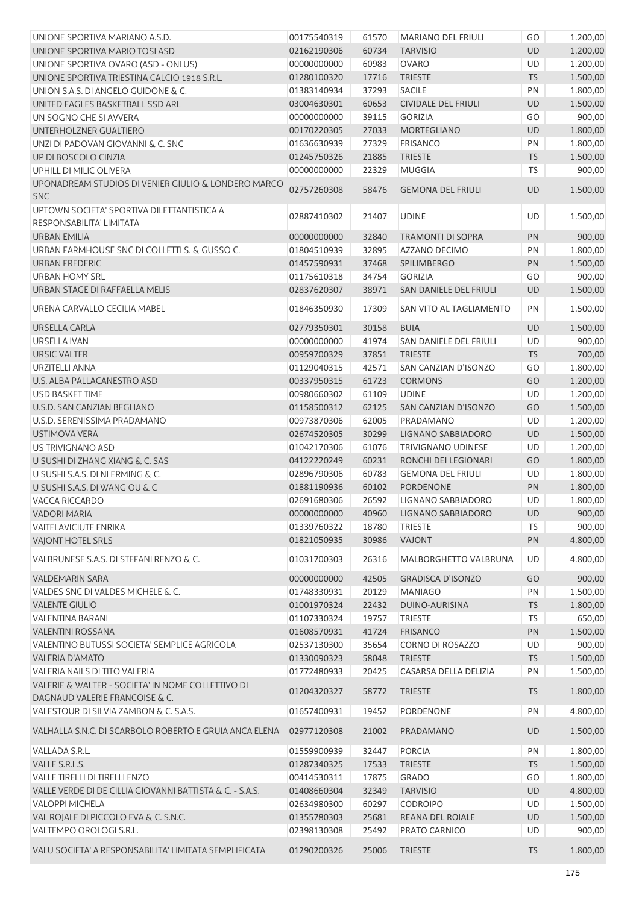| UNIONE SPORTIVA MARIANO A.S.D.                                                      | 00175540319 | 61570 | <b>MARIANO DEL FRIULI</b>     | GO        | 1.200,00 |
|-------------------------------------------------------------------------------------|-------------|-------|-------------------------------|-----------|----------|
| UNIONE SPORTIVA MARIO TOSI ASD                                                      | 02162190306 | 60734 | <b>TARVISIO</b>               | <b>UD</b> | 1.200,00 |
| UNIONE SPORTIVA OVARO (ASD - ONLUS)                                                 | 00000000000 | 60983 | <b>OVARO</b>                  | <b>UD</b> | 1.200,00 |
| UNIONE SPORTIVA TRIESTINA CALCIO 1918 S.R.L.                                        | 01280100320 | 17716 | <b>TRIESTE</b>                | <b>TS</b> | 1.500,00 |
| UNION S.A.S. DI ANGELO GUIDONE & C.                                                 | 01383140934 | 37293 | <b>SACILE</b>                 | PN        | 1.800,00 |
| UNITED EAGLES BASKETBALL SSD ARL                                                    | 03004630301 | 60653 | <b>CIVIDALE DEL FRIULI</b>    | <b>UD</b> | 1.500,00 |
| UN SOGNO CHE SI AVVERA                                                              | 00000000000 | 39115 | <b>GORIZIA</b>                | GO        | 900,00   |
| UNTERHOLZNER GUALTIERO                                                              | 00170220305 | 27033 | <b>MORTEGLIANO</b>            | <b>UD</b> | 1.800,00 |
| UNZI DI PADOVAN GIOVANNI & C. SNC                                                   | 01636630939 | 27329 | <b>FRISANCO</b>               | PN        | 1.800,00 |
| UP DI BOSCOLO CINZIA                                                                | 01245750326 | 21885 | <b>TRIESTE</b>                | <b>TS</b> | 1.500,00 |
| <b>UPHILL DI MILIC OLIVERA</b>                                                      | 00000000000 | 22329 | <b>MUGGIA</b>                 | <b>TS</b> | 900,00   |
| UPONADREAM STUDIOS DI VENIER GIULIO & LONDERO MARCO<br><b>SNC</b>                   | 02757260308 | 58476 | <b>GEMONA DEL FRIULI</b>      | <b>UD</b> | 1.500,00 |
| UPTOWN SOCIETA' SPORTIVA DILETTANTISTICA A                                          | 02887410302 | 21407 | <b>UDINE</b>                  | <b>UD</b> | 1.500,00 |
| RESPONSABILITA' LIMITATA<br>URBAN EMILIA                                            | 00000000000 | 32840 | <b>TRAMONTI DI SOPRA</b>      | PN        | 900,00   |
| URBAN FARMHOUSE SNC DI COLLETTI S. & GUSSO C.                                       | 01804510939 | 32895 | AZZANO DECIMO                 | PN        | 1.800,00 |
| <b>URBAN FREDERIC</b>                                                               | 01457590931 | 37468 | SPILIMBERGO                   | PN        | 1.500,00 |
| <b>URBAN HOMY SRL</b>                                                               | 01175610318 | 34754 | <b>GORIZIA</b>                | GO        | 900,00   |
| URBAN STAGE DI RAFFAELLA MELIS                                                      | 02837620307 | 38971 | <b>SAN DANIELE DEL FRIULI</b> | <b>UD</b> | 1.500,00 |
| URENA CARVALLO CECILIA MABEL                                                        | 01846350930 | 17309 | SAN VITO AL TAGLIAMENTO       | PN        | 1.500,00 |
|                                                                                     |             |       |                               |           |          |
| URSELLA CARLA                                                                       | 02779350301 | 30158 | <b>BUIA</b>                   | <b>UD</b> | 1.500,00 |
| <b>URSELLA IVAN</b>                                                                 | 00000000000 | 41974 | SAN DANIELE DEL FRIULI        | <b>UD</b> | 900,00   |
| <b>URSIC VALTER</b>                                                                 | 00959700329 | 37851 | <b>TRIESTE</b>                | <b>TS</b> | 700,00   |
| URZITELLI ANNA                                                                      | 01129040315 | 42571 | SAN CANZIAN D'ISONZO          | GO        | 1.800,00 |
| U.S. ALBA PALLACANESTRO ASD                                                         | 00337950315 | 61723 | <b>CORMONS</b>                | GO        | 1.200,00 |
| <b>USD BASKET TIME</b>                                                              | 00980660302 | 61109 | <b>UDINE</b>                  | <b>UD</b> | 1.200,00 |
| U.S.D. SAN CANZIAN BEGLIANO                                                         | 01158500312 | 62125 | SAN CANZIAN D'ISONZO          | GO        | 1.500,00 |
| U.S.D. SERENISSIMA PRADAMANO                                                        | 00973870306 | 62005 | PRADAMANO                     | UD        | 1.200,00 |
| <b>USTIMOVA VERA</b>                                                                | 02674520305 | 30299 | LIGNANO SABBIADORO            | <b>UD</b> | 1.500,00 |
| <b>US TRIVIGNANO ASD</b>                                                            | 01042170306 | 61076 | <b>TRIVIGNANO UDINESE</b>     | UD        | 1.200,00 |
| U SUSHI DI ZHANG XIANG & C. SAS                                                     | 04122220249 | 60231 | RONCHI DEI LEGIONARI          | GO        | 1.800,00 |
| U SUSHI S.A.S. DI NI ERMING & C.                                                    | 02896790306 | 60783 | <b>GEMONA DEL FRIULI</b>      | UD        | 1.800,00 |
| U SUSHI S.A.S. DI WANG OU & C                                                       | 01881190936 | 60102 | <b>PORDENONE</b>              | PN        | 1.800,00 |
| VACCA RICCARDO                                                                      | 02691680306 | 26592 | LIGNANO SABBIADORO            | UD        | 1.800,00 |
| <b>VADORI MARIA</b>                                                                 | 00000000000 | 40960 | LIGNANO SABBIADORO            | UD        | 900,00   |
| <b>VAITELAVICIUTE ENRIKA</b>                                                        | 01339760322 | 18780 | <b>TRIESTE</b>                | <b>TS</b> | 900,00   |
| VAJONT HOTEL SRLS                                                                   | 01821050935 | 30986 | VAJONT                        | PN        | 4.800,00 |
| VALBRUNESE S.A.S. DI STEFANI RENZO & C.                                             | 01031700303 | 26316 | <b>MALBORGHETTO VALBRUNA</b>  | UD        | 4.800,00 |
| <b>VALDEMARIN SARA</b>                                                              | 00000000000 | 42505 | <b>GRADISCA D'ISONZO</b>      | GO        | 900,00   |
| VALDES SNC DI VALDES MICHELE & C.                                                   | 01748330931 | 20129 | <b>MANIAGO</b>                | PN        | 1.500,00 |
| <b>VALENTE GIULIO</b>                                                               | 01001970324 | 22432 | DUINO-AURISINA                | <b>TS</b> | 1.800,00 |
| <b>VALENTINA BARANI</b>                                                             | 01107330324 | 19757 | TRIESTE                       | <b>TS</b> | 650,00   |
| <b>VALENTINI ROSSANA</b>                                                            | 01608570931 | 41724 | <b>FRISANCO</b>               | PN        | 1.500,00 |
| VALENTINO BUTUSSI SOCIETA' SEMPLICE AGRICOLA                                        | 02537130300 | 35654 | CORNO DI ROSAZZO              | UD        | 900,00   |
| <b>VALERIA D'AMATO</b>                                                              | 01330090323 | 58048 | <b>TRIESTE</b>                | <b>TS</b> | 1.500,00 |
| VALERIA NAILS DI TITO VALERIA                                                       | 01772480933 | 20425 | CASARSA DELLA DELIZIA         | PN        | 1.500,00 |
| VALERIE & WALTER - SOCIETA' IN NOME COLLETTIVO DI<br>DAGNAUD VALERIE FRANCOISE & C. | 01204320327 | 58772 | <b>TRIESTE</b>                | <b>TS</b> | 1.800,00 |
| VALESTOUR DI SILVIA ZAMBON & C. S.A.S.                                              | 01657400931 | 19452 | PORDENONE                     | PN        | 4.800,00 |
| VALHALLA S.N.C. DI SCARBOLO ROBERTO E GRUIA ANCA ELENA                              | 02977120308 | 21002 | PRADAMANO                     | <b>UD</b> | 1.500,00 |
| VALLADA S.R.L.                                                                      | 01559900939 | 32447 | <b>PORCIA</b>                 | PN        | 1.800,00 |
| VALLE S.R.L.S.                                                                      | 01287340325 | 17533 | <b>TRIESTE</b>                | <b>TS</b> | 1.500,00 |
| VALLE TIRELLI DI TIRELLI ENZO                                                       | 00414530311 | 17875 | <b>GRADO</b>                  | GO        | 1.800,00 |
| VALLE VERDE DI DE CILLIA GIOVANNI BATTISTA & C. - S.A.S.                            | 01408660304 | 32349 | <b>TARVISIO</b>               | UD        | 4.800,00 |
| <b>VALOPPI MICHELA</b>                                                              | 02634980300 | 60297 | <b>CODROIPO</b>               | UD        | 1.500,00 |
| VAL ROJALE DI PICCOLO EVA & C. S.N.C.                                               | 01355780303 | 25681 | <b>REANA DEL ROIALE</b>       | <b>UD</b> | 1.500,00 |
| VALTEMPO OROLOGI S.R.L.                                                             | 02398130308 | 25492 | PRATO CARNICO                 | UD        |          |
|                                                                                     |             |       |                               |           | 900,00   |
| VALU SOCIETA' A RESPONSABILITA' LIMITATA SEMPLIFICATA                               | 01290200326 | 25006 | <b>TRIESTE</b>                | <b>TS</b> | 1.800,00 |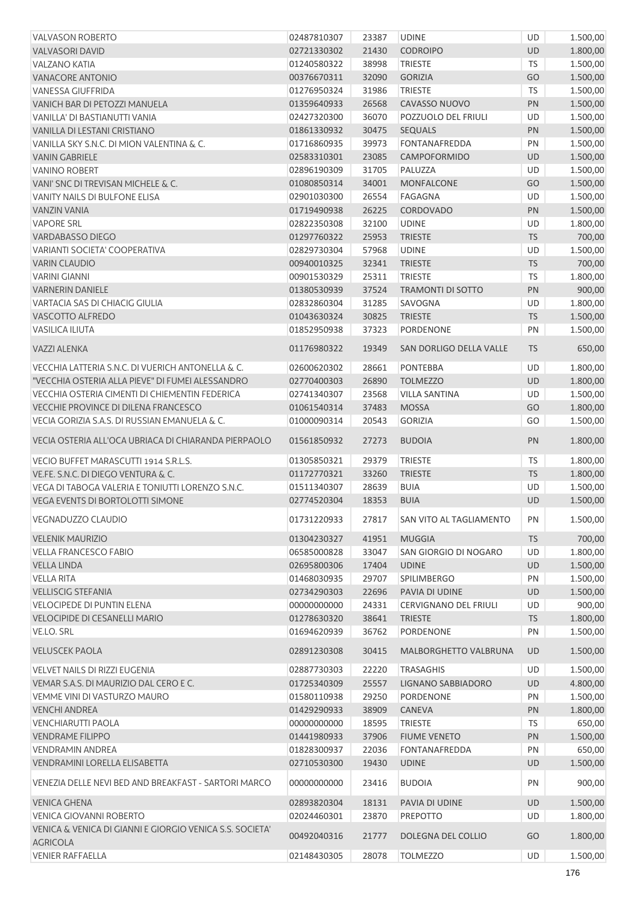| <b>VALVASON ROBERTO</b>                                                     | 02487810307 | 23387 | <b>UDINE</b>                 | UD        | 1.500,00 |
|-----------------------------------------------------------------------------|-------------|-------|------------------------------|-----------|----------|
| <b>VALVASORI DAVID</b>                                                      | 02721330302 | 21430 | <b>CODROIPO</b>              | <b>UD</b> | 1.800,00 |
| <b>VALZANO KATIA</b>                                                        | 01240580322 | 38998 | <b>TRIESTE</b>               | <b>TS</b> | 1.500,00 |
| <b>VANACORE ANTONIO</b>                                                     | 00376670311 | 32090 | <b>GORIZIA</b>               | GO        | 1.500,00 |
| <b>VANESSA GIUFFRIDA</b>                                                    | 01276950324 | 31986 | <b>TRIESTE</b>               | TS        | 1.500,00 |
| VANICH BAR DI PETOZZI MANUELA                                               | 01359640933 | 26568 | CAVASSO NUOVO                | <b>PN</b> | 1.500,00 |
| VANILLA' DI BASTIANUTTI VANIA                                               | 02427320300 | 36070 | POZZUOLO DEL FRIULI          | UD        | 1.500,00 |
| VANILLA DI LESTANI CRISTIANO                                                | 01861330932 | 30475 | <b>SEQUALS</b>               | <b>PN</b> | 1.500,00 |
| VANILLA SKY S.N.C. DI MION VALENTINA & C.                                   | 01716860935 | 39973 | <b>FONTANAFREDDA</b>         | PN        | 1.500,00 |
| <b>VANIN GABRIELE</b>                                                       | 02583310301 | 23085 | CAMPOFORMIDO                 | <b>UD</b> | 1.500,00 |
| <b>VANINO ROBERT</b>                                                        | 02896190309 | 31705 | PALUZZA                      | UD        | 1.500,00 |
| VANI' SNC DI TREVISAN MICHELE & C.                                          | 01080850314 | 34001 | <b>MONFALCONE</b>            | GO        | 1.500,00 |
| VANITY NAILS DI BULFONE ELISA                                               | 02901030300 | 26554 | <b>FAGAGNA</b>               | UD        | 1.500,00 |
| <b>VANZIN VANIA</b>                                                         | 01719490938 | 26225 | <b>CORDOVADO</b>             | <b>PN</b> | 1.500,00 |
| <b>VAPORE SRL</b>                                                           | 02822350308 | 32100 | <b>UDINE</b>                 | UD        | 1.800,00 |
| <b>VARDABASSO DIEGO</b>                                                     | 01297760322 | 25953 | <b>TRIESTE</b>               | <b>TS</b> | 700,00   |
| VARIANTI SOCIETA' COOPERATIVA                                               | 02829730304 | 57968 | <b>UDINE</b>                 | UD        | 1.500,00 |
| <b>VARIN CLAUDIO</b>                                                        | 00940010325 | 32341 | <b>TRIESTE</b>               | <b>TS</b> | 700,00   |
| <b>VARINI GIANNI</b>                                                        | 00901530329 | 25311 | <b>TRIESTE</b>               | <b>TS</b> | 1.800,00 |
| <b>VARNERIN DANIELE</b>                                                     | 01380530939 | 37524 | <b>TRAMONTI DI SOTTO</b>     | PN        | 900,00   |
| VARTACIA SAS DI CHIACIG GIULIA                                              | 02832860304 | 31285 | SAVOGNA                      | UD        | 1.800,00 |
| VASCOTTO ALFREDO                                                            | 01043630324 | 30825 | <b>TRIESTE</b>               | <b>TS</b> | 1.500,00 |
| <b>VASILICA ILIUTA</b>                                                      | 01852950938 | 37323 | PORDENONE                    | PN        | 1.500,00 |
| VAZZI ALENKA                                                                | 01176980322 | 19349 | SAN DORLIGO DELLA VALLE      | <b>TS</b> | 650,00   |
| VECCHIA LATTERIA S.N.C. DI VUERICH ANTONELLA & C.                           | 02600620302 | 28661 | <b>PONTEBBA</b>              | UD        | 1.800,00 |
| "VECCHIA OSTERIA ALLA PIEVE" DI FUMEI ALESSANDRO                            | 02770400303 | 26890 | <b>TOLMEZZO</b>              | <b>UD</b> | 1.800,00 |
| VECCHIA OSTERIA CIMENTI DI CHIEMENTIN FEDERICA                              | 02741340307 | 23568 | <b>VILLA SANTINA</b>         | UD        | 1.500,00 |
| VECCHIE PROVINCE DI DILENA FRANCESCO                                        | 01061540314 | 37483 | <b>MOSSA</b>                 | GO        | 1.800,00 |
| VECIA GORIZIA S.A.S. DI RUSSIAN EMANUELA & C.                               | 01000090314 | 20543 | <b>GORIZIA</b>               | GO        | 1.500,00 |
| VECIA OSTERIA ALL'OCA UBRIACA DI CHIARANDA PIERPAOLO                        | 01561850932 | 27273 | <b>BUDOIA</b>                | PN        | 1.800,00 |
| VECIO BUFFET MARASCUTTI 1914 S.R.L.S.                                       | 01305850321 | 29379 | <b>TRIESTE</b>               | <b>TS</b> | 1.800,00 |
| VE.FE, S.N.C. DI DIEGO VENTURA & C.                                         | 01172770321 | 33260 | <b>TRIESTE</b>               | <b>TS</b> | 1.800,00 |
| VEGA DI TABOGA VALERIA E TONIUTTI LORENZO S.N.C.                            | 01511340307 | 28639 | <b>BUIA</b>                  | UD        | 1.500,00 |
| VEGA EVENTS DI BORTOLOTTI SIMONE                                            | 02774520304 | 18353 | <b>BUIA</b>                  | <b>UD</b> | 1.500,00 |
| <b>VEGNADUZZO CLAUDIO</b>                                                   | 01731220933 | 27817 | SAN VITO AL TAGLIAMENTO      | PN        | 1.500,00 |
| <b>VELENIK MAURIZIO</b>                                                     | 01304230327 | 41951 | <b>MUGGIA</b>                | <b>TS</b> | 700,00   |
| <b>VELLA FRANCESCO FABIO</b>                                                | 06585000828 | 33047 | SAN GIORGIO DI NOGARO        | <b>UD</b> | 1.800,00 |
| <b>VELLA LINDA</b>                                                          | 02695800306 | 17404 | <b>UDINE</b>                 | <b>UD</b> | 1.500,00 |
| <b>VELLA RITA</b>                                                           | 01468030935 | 29707 | <b>SPILIMBERGO</b>           | PN        | 1.500,00 |
| <b>VELLISCIG STEFANIA</b>                                                   | 02734290303 | 22696 | PAVIA DI UDINE               | <b>UD</b> | 1.500,00 |
| <b>VELOCIPEDE DI PUNTIN ELENA</b>                                           | 00000000000 | 24331 | <b>CERVIGNANO DEL FRIULI</b> | <b>UD</b> | 900,00   |
| <b>VELOCIPIDE DI CESANELLI MARIO</b>                                        | 01278630320 | 38641 | <b>TRIESTE</b>               | <b>TS</b> | 1.800,00 |
| VE.LO. SRL                                                                  | 01694620939 | 36762 | PORDENONE                    | PN        | 1.500,00 |
| <b>VELUSCEK PAOLA</b>                                                       | 02891230308 | 30415 | <b>MALBORGHETTO VALBRUNA</b> | <b>UD</b> | 1.500,00 |
| VELVET NAILS DI RIZZI EUGENIA                                               | 02887730303 | 22220 | <b>TRASAGHIS</b>             | UD        | 1.500,00 |
| VEMAR S.A.S. DI MAURIZIO DAL CERO E C.                                      | 01725340309 | 25557 | LIGNANO SABBIADORO           | <b>UD</b> | 4.800,00 |
| VEMME VINI DI VASTURZO MAURO                                                | 01580110938 | 29250 | PORDENONE                    | PN        | 1.500,00 |
| <b>VENCHI ANDREA</b>                                                        | 01429290933 | 38909 | CANEVA                       | <b>PN</b> | 1.800,00 |
| <b>VENCHIARUTTI PAOLA</b>                                                   | 00000000000 | 18595 | <b>TRIESTE</b>               | TS        | 650,00   |
| <b>VENDRAME FILIPPO</b>                                                     | 01441980933 | 37906 | <b>FIUME VENETO</b>          | <b>PN</b> | 1.500,00 |
| <b>VENDRAMIN ANDREA</b>                                                     | 01828300937 | 22036 | FONTANAFREDDA                | PN        | 650,00   |
| VENDRAMINI LORELLA ELISABETTA                                               | 02710530300 | 19430 | <b>UDINE</b>                 | <b>UD</b> | 1.500,00 |
| VENEZIA DELLE NEVI BED AND BREAKFAST - SARTORI MARCO                        | 00000000000 | 23416 | <b>BUDOIA</b>                | PN        | 900,00   |
|                                                                             | 02893820304 | 18131 | PAVIA DI UDINE               | <b>UD</b> |          |
| <b>VENICA GHENA</b><br><b>VENICA GIOVANNI ROBERTO</b>                       |             | 23870 | PREPOTTO                     | UD        | 1.500,00 |
|                                                                             | 02024460301 |       |                              |           | 1.800,00 |
| VENICA & VENICA DI GIANNI E GIORGIO VENICA S.S. SOCIETA'<br><b>AGRICOLA</b> | 00492040316 | 21777 | DOLEGNA DEL COLLIO           | GO        | 1.800,00 |
| <b>VENIER RAFFAELLA</b>                                                     | 02148430305 | 28078 | <b>TOLMEZZO</b>              | UD        | 1.500,00 |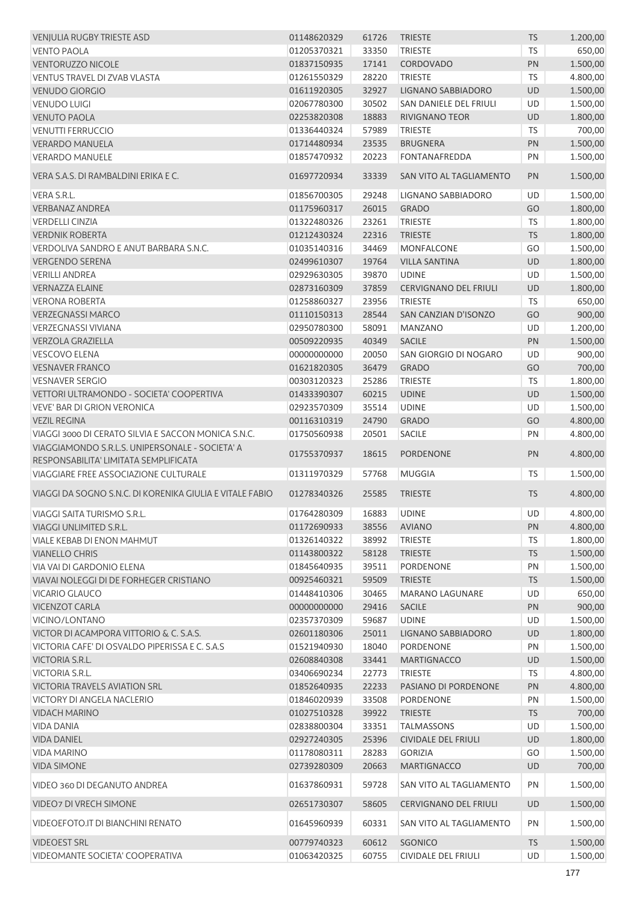| <b>VENJULIA RUGBY TRIESTE ASD</b>                                                        | 01148620329             | 61726 | <b>TRIESTE</b>               | <b>TS</b> | 1.200,00           |
|------------------------------------------------------------------------------------------|-------------------------|-------|------------------------------|-----------|--------------------|
| <b>VENTO PAOLA</b>                                                                       | 01205370321             | 33350 | <b>TRIESTE</b>               | <b>TS</b> | 650,00             |
| <b>VENTORUZZO NICOLE</b>                                                                 | 01837150935             | 17141 | CORDOVADO                    | PN        | 1.500,00           |
| VENTUS TRAVEL DI ZVAB VLASTA                                                             | 01261550329             | 28220 | <b>TRIESTE</b>               | <b>TS</b> | 4.800,00           |
| <b>VENUDO GIORGIO</b>                                                                    | 01611920305             | 32927 | LIGNANO SABBIADORO           | <b>UD</b> | 1.500,00           |
| <b>VENUDO LUIGI</b>                                                                      | 02067780300             | 30502 | SAN DANIELE DEL FRIULI       | UD        | 1.500,00           |
| <b>VENUTO PAOLA</b>                                                                      | 02253820308             | 18883 | <b>RIVIGNANO TEOR</b>        | UD        | 1.800,00           |
| <b>VENUTTI FERRUCCIO</b>                                                                 | 01336440324             | 57989 | <b>TRIESTE</b>               | <b>TS</b> | 700,00             |
| <b>VERARDO MANUELA</b>                                                                   | 01714480934             | 23535 | <b>BRUGNERA</b>              | PN        | 1.500,00           |
| <b>VERARDO MANUELE</b>                                                                   | 01857470932             | 20223 | <b>FONTANAFREDDA</b>         | PN        | 1.500,00           |
| VERA S.A.S. DI RAMBALDINI ERIKA E C.                                                     | 01697720934             | 33339 | SAN VITO AL TAGLIAMENTO      | PN        | 1.500,00           |
| VERA S.R.L.                                                                              | 01856700305             | 29248 | LIGNANO SABBIADORO           | UD        | 1.500,00           |
| <b>VERBANAZ ANDREA</b>                                                                   | 01175960317             | 26015 | <b>GRADO</b>                 | GO        | 1.800,00           |
| <b>VERDELLI CINZIA</b>                                                                   | 01322480326             | 23261 | TRIESTE                      | <b>TS</b> | 1.800,00           |
| <b>VERDNIK ROBERTA</b>                                                                   | 01212430324             | 22316 | <b>TRIESTE</b>               | <b>TS</b> | 1.800,00           |
| VERDOLIVA SANDRO E ANUT BARBARA S.N.C.                                                   | 01035140316             | 34469 | MONFALCONE                   | GO        | 1.500,00           |
| <b>VERGENDO SERENA</b>                                                                   | 02499610307             | 19764 | <b>VILLA SANTINA</b>         | UD        | 1.800,00           |
| <b>VERILLI ANDREA</b>                                                                    | 02929630305             | 39870 | <b>UDINE</b>                 | UD        | 1.500,00           |
| <b>VERNAZZA ELAINE</b>                                                                   | 02873160309             | 37859 | <b>CERVIGNANO DEL FRIULI</b> | UD        | 1.800,00           |
| <b>VERONA ROBERTA</b>                                                                    | 01258860327             | 23956 | <b>TRIESTE</b>               | <b>TS</b> | 650,00             |
| <b>VERZEGNASSI MARCO</b>                                                                 | 01110150313             | 28544 | SAN CANZIAN D'ISONZO         | GO        | 900,00             |
| <b>VERZEGNASSI VIVIANA</b>                                                               | 02950780300             | 58091 | <b>MANZANO</b>               | UD        | 1.200,00           |
|                                                                                          | 00509220935             |       | <b>SACILE</b>                |           |                    |
| <b>VERZOLA GRAZIELLA</b>                                                                 |                         | 40349 |                              | PN        | 1.500,00           |
| <b>VESCOVO ELENA</b>                                                                     | 00000000000             | 20050 | SAN GIORGIO DI NOGARO        | UD        | 900,00             |
| <b>VESNAVER FRANCO</b>                                                                   | 01621820305             | 36479 | <b>GRADO</b>                 | GO        | 700,00             |
| <b>VESNAVER SERGIO</b>                                                                   | 00303120323             | 25286 | <b>TRIESTE</b>               | <b>TS</b> | 1.800,00           |
| VETTORI ULTRAMONDO - SOCIETA' COOPERTIVA                                                 | 01433390307             | 60215 | <b>UDINE</b>                 | UD        | 1.500,00           |
| <b>VEVE' BAR DI GRION VERONICA</b>                                                       | 02923570309             | 35514 | <b>UDINE</b>                 | <b>UD</b> | 1.500,00           |
| <b>VEZIL REGINA</b>                                                                      | 00116310319             | 24790 | <b>GRADO</b>                 | GO        | 4.800,00           |
| VIAGGI 3000 DI CERATO SILVIA E SACCON MONICA S.N.C.                                      | 01750560938             | 20501 | <b>SACILE</b>                | PN        | 4.800,00           |
| VIAGGIAMONDO S.R.L.S. UNIPERSONALE - SOCIETA' A<br>RESPONSABILITA' LIMITATA SEMPLIFICATA | 01755370937             | 18615 | <b>PORDENONE</b>             | PN        | 4.800,00           |
| VIAGGIARE FREE ASSOCIAZIONE CULTURALE                                                    | 01311970329             | 57768 | <b>MUGGIA</b>                | <b>TS</b> | 1.500,00           |
| VIAGGI DA SOGNO S.N.C. DI KORENIKA GIULIA E VITALE FABIO                                 | 01278340326             | 25585 | <b>TRIESTE</b>               | <b>TS</b> | 4.800,00           |
| VIAGGI SAITA TURISMO S.R.L.                                                              | 01764280309 16883 UDINE |       |                              | <b>UD</b> | 4.800,00           |
| VIAGGI UNLIMITED S.R.L.                                                                  | 01172690933             | 38556 | <b>AVIANO</b>                | PN        | 4.800,00           |
| <b>VIALE KEBAB DI ENON MAHMUT</b>                                                        | 01326140322             | 38992 | <b>TRIESTE</b>               | TS        | 1.800,00           |
| <b>VIANELLO CHRIS</b>                                                                    | 01143800322             | 58128 | <b>TRIESTE</b>               | <b>TS</b> | 1.500,00           |
| VIA VAI DI GARDONIO ELENA                                                                | 01845640935             | 39511 | PORDENONE                    | PN        | 1.500,00           |
| VIAVAI NOLEGGI DI DE FORHEGER CRISTIANO                                                  | 00925460321             | 59509 | <b>TRIESTE</b>               | <b>TS</b> | 1.500,00           |
| VICARIO GLAUCO                                                                           | 01448410306             | 30465 | <b>MARANO LAGUNARE</b>       | UD        | 650,00             |
| <b>VICENZOT CARLA</b>                                                                    | 00000000000             | 29416 | <b>SACILE</b>                | <b>PN</b> | 900,00             |
| VICINO/LONTANO                                                                           | 02357370309             | 59687 | <b>UDINE</b>                 | UD        | 1.500,00           |
| VICTOR DI ACAMPORA VITTORIO & C. S.A.S.                                                  | 02601180306             | 25011 | LIGNANO SABBIADORO           | <b>UD</b> | 1.800,00           |
| VICTORIA CAFE' DI OSVALDO PIPERISSA E C. S.A.S                                           | 01521940930             | 18040 | PORDENONE                    | PN        | 1.500,00           |
| VICTORIA S.R.L.                                                                          | 02608840308             | 33441 | <b>MARTIGNACCO</b>           | <b>UD</b> | 1.500,00           |
| <b>VICTORIA S.R.L.</b>                                                                   | 03406690234             | 22773 | <b>TRIESTE</b>               | <b>TS</b> | 4.800,00           |
| <b>VICTORIA TRAVELS AVIATION SRL</b>                                                     | 01852640935             | 22233 | PASIANO DI PORDENONE         | PN        | 4.800,00           |
| VICTORY DI ANGELA NACLERIO                                                               | 01846020939             | 33508 | PORDENONE                    | PN        |                    |
| <b>VIDACH MARINO</b>                                                                     | 01027510328             | 39922 | <b>TRIESTE</b>               | <b>TS</b> | 1.500,00<br>700,00 |
| <b>VIDA DANIA</b>                                                                        |                         |       |                              |           |                    |
|                                                                                          | 02838800304             | 33351 | <b>TALMASSONS</b>            | UD        | 1.500,00           |
| <b>VIDA DANIEL</b>                                                                       | 02927240305             | 25396 | <b>CIVIDALE DEL FRIULI</b>   | <b>UD</b> | 1.800,00           |
| <b>VIDA MARINO</b>                                                                       | 01178080311             | 28283 | <b>GORIZIA</b>               | GO        | 1.500,00           |
| <b>VIDA SIMONE</b>                                                                       | 02739280309             | 20663 | <b>MARTIGNACCO</b>           | <b>UD</b> | 700,00             |
| VIDEO 360 DI DEGANUTO ANDREA                                                             | 01637860931             | 59728 | SAN VITO AL TAGLIAMENTO      | PN        | 1.500,00           |
| VIDEO7 DI VRECH SIMONE                                                                   | 02651730307             | 58605 | <b>CERVIGNANO DEL FRIULI</b> | UD        | 1.500,00           |
| VIDEOEFOTO.IT DI BIANCHINI RENATO                                                        | 01645960939             | 60331 | SAN VITO AL TAGLIAMENTO      | PN        | 1.500,00           |
| <b>VIDEOEST SRL</b>                                                                      | 00779740323             | 60612 | SGONICO                      | <b>TS</b> | 1.500,00           |
| VIDEOMANTE SOCIETA' COOPERATIVA                                                          | 01063420325             | 60755 | <b>CIVIDALE DEL FRIULI</b>   | UD        | 1.500,00           |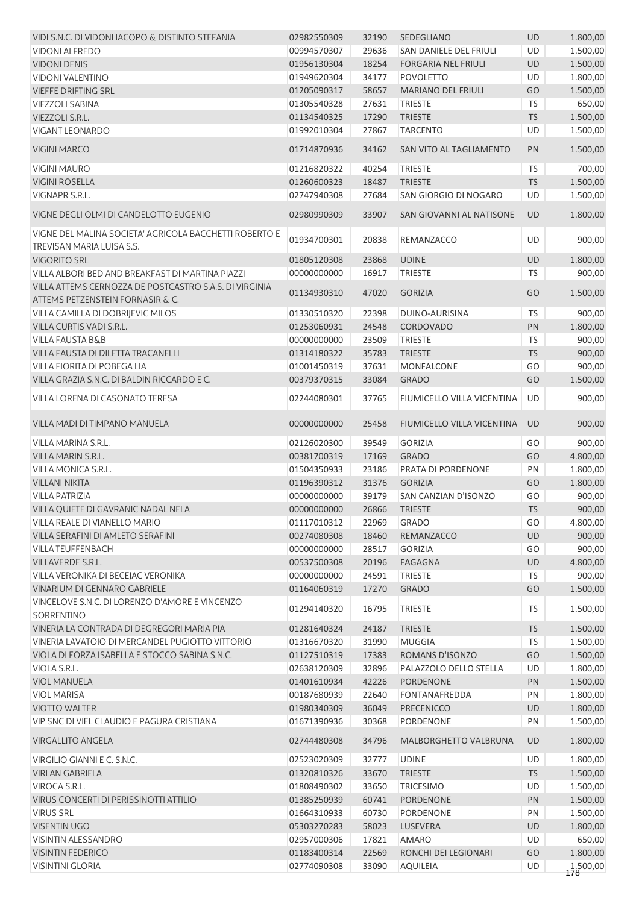| VIDI S.N.C. DI VIDONI IACOPO & DISTINTO STEFANIA                                           | 02982550309 | 32190 | SEDEGLIANO                 | UD        | 1.800,00 |
|--------------------------------------------------------------------------------------------|-------------|-------|----------------------------|-----------|----------|
| <b>VIDONI ALFREDO</b>                                                                      | 00994570307 | 29636 | SAN DANIELE DEL FRIULI     | <b>UD</b> | 1.500,00 |
| <b>VIDONI DENIS</b>                                                                        | 01956130304 | 18254 | <b>FORGARIA NEL FRIULI</b> | UD        | 1.500,00 |
| <b>VIDONI VALENTINO</b>                                                                    | 01949620304 | 34177 | <b>POVOLETTO</b>           | UD        | 1.800,00 |
| <b>VIEFFE DRIFTING SRL</b>                                                                 | 01205090317 | 58657 | <b>MARIANO DEL FRIULI</b>  | GO        | 1.500,00 |
| <b>VIEZZOLI SABINA</b>                                                                     | 01305540328 | 27631 | <b>TRIESTE</b>             | <b>TS</b> | 650,00   |
| VIEZZOLI S.R.L.                                                                            | 01134540325 | 17290 | <b>TRIESTE</b>             | <b>TS</b> | 1.500,00 |
| <b>VIGANT LEONARDO</b>                                                                     | 01992010304 | 27867 | <b>TARCENTO</b>            | <b>UD</b> | 1.500,00 |
| <b>VIGINI MARCO</b>                                                                        | 01714870936 | 34162 | SAN VITO AL TAGLIAMENTO    | PN        | 1.500,00 |
| <b>VIGINI MAURO</b>                                                                        | 01216820322 | 40254 | <b>TRIESTE</b>             | TS        | 700,00   |
| <b>VIGINI ROSELLA</b>                                                                      | 01260600323 | 18487 | <b>TRIESTE</b>             | <b>TS</b> | 1.500,00 |
| <b>VIGNAPR S.R.L.</b>                                                                      | 02747940308 | 27684 | SAN GIORGIO DI NOGARO      | UD        | 1.500,00 |
| VIGNE DEGLI OLMI DI CANDELOTTO EUGENIO                                                     | 02980990309 | 33907 | SAN GIOVANNI AL NATISONE   | <b>UD</b> | 1.800,00 |
| VIGNE DEL MALINA SOCIETA' AGRICOLA BACCHETTI ROBERTO E<br>TREVISAN MARIA LUISA S.S.        | 01934700301 | 20838 | REMANZACCO                 | UD        | 900,00   |
| <b>VIGORITO SRL</b>                                                                        | 01805120308 | 23868 | <b>UDINE</b>               | <b>UD</b> | 1.800,00 |
| VILLA ALBORI BED AND BREAKFAST DI MARTINA PIAZZI                                           | 00000000000 | 16917 | <b>TRIESTE</b>             | TS        | 900,00   |
| VILLA ATTEMS CERNOZZA DE POSTCASTRO S.A.S. DI VIRGINIA<br>ATTEMS PETZENSTEIN FORNASIR & C. | 01134930310 | 47020 | <b>GORIZIA</b>             | GO        | 1.500,00 |
| VILLA CAMILLA DI DOBRIJEVIC MILOS                                                          | 01330510320 | 22398 | <b>DUINO-AURISINA</b>      | TS        | 900,00   |
| VILLA CURTIS VADI S.R.L.                                                                   | 01253060931 | 24548 | <b>CORDOVADO</b>           | PN        | 1.800,00 |
| <b>VILLA FAUSTA B&amp;B</b>                                                                | 00000000000 | 23509 | <b>TRIESTE</b>             | <b>TS</b> | 900,00   |
| VILLA FAUSTA DI DILETTA TRACANELLI                                                         | 01314180322 | 35783 | <b>TRIESTE</b>             | <b>TS</b> | 900,00   |
| VILLA FIORITA DI POBEGA LIA                                                                | 01001450319 | 37631 | MONFALCONE                 | GO        | 900,00   |
| VILLA GRAZIA S.N.C. DI BALDIN RICCARDO E C.                                                | 00379370315 | 33084 | <b>GRADO</b>               | GO        | 1.500,00 |
|                                                                                            |             |       |                            |           |          |
| VILLA LORENA DI CASONATO TERESA                                                            | 02244080301 | 37765 | FIUMICELLO VILLA VICENTINA | <b>UD</b> | 900,00   |
| VILLA MADI DI TIMPANO MANUELA                                                              | 00000000000 | 25458 | FIUMICELLO VILLA VICENTINA | UD        | 900,00   |
| VILLA MARINA S.R.L.                                                                        | 02126020300 | 39549 | <b>GORIZIA</b>             | GO        | 900,00   |
| VILLA MARIN S.R.L.                                                                         | 00381700319 | 17169 | <b>GRADO</b>               | GO        | 4.800,00 |
| <b>VILLA MONICA S.R.L.</b>                                                                 | 01504350933 | 23186 | PRATA DI PORDENONE         | PN        | 1.800,00 |
| <b>VILLANI NIKITA</b>                                                                      | 01196390312 | 31376 | <b>GORIZIA</b>             | GO        | 1.800,00 |
| <b>VILLA PATRIZIA</b>                                                                      | 00000000000 | 39179 | SAN CANZIAN D'ISONZO       | GO        | 900,00   |
| VILLA QUIETE DI GAVRANIC NADAL NELA                                                        | 00000000000 | 26866 | <b>TRIESTE</b>             | <b>TS</b> | 900,00   |
| VILLA REALE DI VIANELLO MARIO                                                              | 01117010312 | 22969 | <b>GRADO</b>               | GO        | 4.800,00 |
| VILLA SERAFINI DI AMLETO SERAFINI                                                          | 00274080308 | 18460 | REMANZACCO                 | <b>UD</b> | 900,00   |
| <b>VILLA TEUFFENBACH</b>                                                                   | 00000000000 | 28517 | <b>GORIZIA</b>             | GO        | 900,00   |
| VILLAVERDE S.R.L.                                                                          | 00537500308 | 20196 | <b>FAGAGNA</b>             | <b>UD</b> | 4.800,00 |
| VILLA VERONIKA DI BECEJAC VERONIKA                                                         | 00000000000 | 24591 | <b>TRIESTE</b>             | <b>TS</b> | 900,00   |
| <b>VINARIUM DI GENNARO GABRIELE</b>                                                        | 01164060319 | 17270 | <b>GRADO</b>               | GO        | 1.500,00 |
| VINCELOVE S.N.C. DI LORENZO D'AMORE E VINCENZO<br>SORRENTINO                               | 01294140320 | 16795 | <b>TRIESTE</b>             | TS        | 1.500,00 |
| VINERIA LA CONTRADA DI DEGREGORI MARIA PIA                                                 | 01281640324 | 24187 | <b>TRIESTE</b>             | <b>TS</b> | 1.500,00 |
| VINERIA LAVATOIO DI MERCANDEL PUGIOTTO VITTORIO                                            | 01316670320 | 31990 | <b>MUGGIA</b>              | TS        | 1.500,00 |
| VIOLA DI FORZA ISABELLA E STOCCO SABINA S.N.C.                                             | 01127510319 | 17383 | ROMANS D'ISONZO            | GO        | 1.500,00 |
| VIOLA S.R.L.                                                                               | 02638120309 | 32896 | PALAZZOLO DELLO STELLA     | UD        | 1.800,00 |
| <b>VIOL MANUELA</b>                                                                        | 01401610934 | 42226 | PORDENONE                  | PN        | 1.500,00 |
| <b>VIOL MARISA</b>                                                                         | 00187680939 | 22640 | <b>FONTANAFREDDA</b>       | PN        | 1.800,00 |
| <b>VIOTTO WALTER</b>                                                                       | 01980340309 | 36049 | <b>PRECENICCO</b>          | UD        | 1.800,00 |
| VIP SNC DI VIEL CLAUDIO E PAGURA CRISTIANA                                                 | 01671390936 | 30368 | <b>PORDENONE</b>           | PN        | 1.500,00 |
| <b>VIRGALLITO ANGELA</b>                                                                   | 02744480308 | 34796 | MALBORGHETTO VALBRUNA      | <b>UD</b> | 1.800,00 |
| VIRGILIO GIANNI E C. S.N.C.                                                                | 02523020309 | 32777 | <b>UDINE</b>               | UD        | 1.800,00 |
| <b>VIRLAN GABRIELA</b>                                                                     | 01320810326 | 33670 | <b>TRIESTE</b>             | <b>TS</b> | 1.500,00 |
| VIROCA S.R.L.                                                                              | 01808490302 | 33650 | <b>TRICESIMO</b>           | UD        | 1.500,00 |
| VIRUS CONCERTI DI PERISSINOTTI ATTILIO                                                     | 01385250939 | 60741 | <b>PORDENONE</b>           | PN        | 1.500,00 |
| <b>VIRUS SRL</b>                                                                           | 01664310933 | 60730 | <b>PORDENONE</b>           | PN        | 1.500,00 |
| <b>VISENTIN UGO</b>                                                                        | 05303270283 | 58023 | LUSEVERA                   | UD        | 1.800,00 |
| <b>VISINTIN ALESSANDRO</b>                                                                 | 02957000306 | 17821 | <b>AMARO</b>               | UD        | 650,00   |
| <b>VISINTIN FEDERICO</b>                                                                   | 01183400314 | 22569 | RONCHI DEI LEGIONARI       | GO        | 1.800,00 |
| <b>VISINTINI GLORIA</b>                                                                    | 02774090308 | 33090 | <b>AQUILEIA</b>            | UD        |          |
|                                                                                            |             |       |                            |           | 1.500,00 |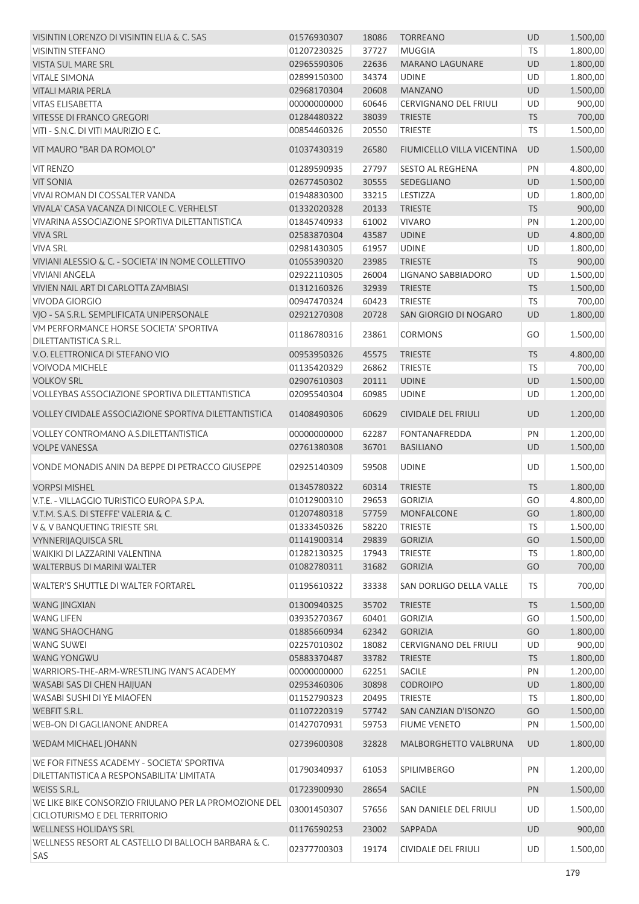| VISINTIN LORENZO DI VISINTIN ELIA & C. SAS                                               | 01576930307                      | 18086 | <b>TORREANO</b>              | UD        | 1.500,00 |
|------------------------------------------------------------------------------------------|----------------------------------|-------|------------------------------|-----------|----------|
| <b>VISINTIN STEFANO</b>                                                                  | 01207230325                      | 37727 | <b>MUGGIA</b>                | <b>TS</b> | 1.800,00 |
| <b>VISTA SUL MARE SRL</b>                                                                | 02965590306                      | 22636 | <b>MARANO LAGUNARE</b>       | <b>UD</b> | 1.800,00 |
| <b>VITALE SIMONA</b>                                                                     | 02899150300                      | 34374 | <b>UDINE</b>                 | UD        | 1.800,00 |
| <b>VITALI MARIA PERLA</b>                                                                | 02968170304                      | 20608 | <b>MANZANO</b>               | <b>UD</b> | 1.500,00 |
| <b>VITAS ELISABETTA</b>                                                                  | 00000000000                      | 60646 | <b>CERVIGNANO DEL FRIULI</b> | UD        | 900,00   |
| <b>VITESSE DI FRANCO GREGORI</b>                                                         | 01284480322                      | 38039 | <b>TRIESTE</b>               | <b>TS</b> | 700,00   |
| VITI - S.N.C. DI VITI MAURIZIO E C.                                                      | 00854460326                      | 20550 | <b>TRIESTE</b>               | <b>TS</b> | 1.500,00 |
| VIT MAURO "BAR DA ROMOLO"                                                                | 01037430319                      | 26580 | FIUMICELLO VILLA VICENTINA   | <b>UD</b> | 1.500,00 |
| <b>VIT RENZO</b>                                                                         | 01289590935                      | 27797 | <b>SESTO AL REGHENA</b>      | PN        | 4.800,00 |
| <b>VIT SONIA</b>                                                                         | 02677450302                      | 30555 | SEDEGLIANO                   | <b>UD</b> | 1.500,00 |
| VIVAI ROMAN DI COSSALTER VANDA                                                           | 01948830300                      | 33215 | LESTIZZA                     | UD        | 1.800,00 |
| VIVALA' CASA VACANZA DI NICOLE C. VERHELST                                               | 01332020328                      | 20133 | <b>TRIESTE</b>               | <b>TS</b> | 900,00   |
| VIVARINA ASSOCIAZIONE SPORTIVA DILETTANTISTICA                                           | 01845740933                      | 61002 | <b>VIVARO</b>                | PN        | 1.200,00 |
| <b>VIVA SRL</b>                                                                          | 02583870304                      | 43587 | <b>UDINE</b>                 | UD        | 4.800,00 |
| <b>VIVA SRL</b>                                                                          | 02981430305                      | 61957 | <b>UDINE</b>                 | UD        | 1.800,00 |
| VIVIANI ALESSIO & C. - SOCIETA' IN NOME COLLETTIVO                                       | 01055390320                      | 23985 | <b>TRIESTE</b>               | <b>TS</b> | 900,00   |
| <b>VIVIANI ANGELA</b>                                                                    | 02922110305                      | 26004 | <b>LIGNANO SABBIADORO</b>    | UD        | 1.500,00 |
| VIVIEN NAIL ART DI CARLOTTA ZAMBIASI                                                     | 01312160326                      | 32939 | <b>TRIESTE</b>               | <b>TS</b> | 1.500,00 |
| <b>VIVODA GIORGIO</b>                                                                    | 00947470324                      | 60423 | <b>TRIESTE</b>               | <b>TS</b> | 700,00   |
| VJO - SA S.R.L. SEMPLIFICATA UNIPERSONALE                                                | 02921270308                      | 20728 | SAN GIORGIO DI NOGARO        | <b>UD</b> | 1.800,00 |
| VM PERFORMANCE HORSE SOCIETA' SPORTIVA                                                   |                                  |       |                              |           |          |
| DILETTANTISTICA S.R.L.                                                                   | 01186780316                      | 23861 | <b>CORMONS</b>               | GO        | 1.500,00 |
| V.O. ELETTRONICA DI STEFANO VIO                                                          | 00953950326                      | 45575 | <b>TRIESTE</b>               | <b>TS</b> | 4.800,00 |
| <b>VOIVODA MICHELE</b>                                                                   | 01135420329                      | 26862 | <b>TRIESTE</b>               | <b>TS</b> | 700,00   |
| <b>VOLKOV SRL</b>                                                                        | 02907610303                      | 20111 | <b>UDINE</b>                 | <b>UD</b> | 1.500,00 |
| VOLLEYBAS ASSOCIAZIONE SPORTIVA DILETTANTISTICA                                          | 02095540304                      | 60985 | <b>UDINE</b>                 | UD        | 1.200,00 |
| VOLLEY CIVIDALE ASSOCIAZIONE SPORTIVA DILETTANTISTICA                                    | 01408490306                      | 60629 | <b>CIVIDALE DEL FRIULI</b>   | <b>UD</b> | 1.200,00 |
| VOLLEY CONTROMANO A.S.DILETTANTISTICA                                                    | 00000000000                      | 62287 | <b>FONTANAFREDDA</b>         | PN        | 1.200,00 |
| <b>VOLPE VANESSA</b>                                                                     | 02761380308                      | 36701 | <b>BASILIANO</b>             | <b>UD</b> | 1.500,00 |
| VONDE MONADIS ANIN DA BEPPE DI PETRACCO GIUSEPPE                                         | 02925140309                      | 59508 | <b>UDINE</b>                 | UD        | 1.500,00 |
| <b>VORPSI MISHEL</b>                                                                     | 01345780322                      | 60314 | <b>TRIESTE</b>               | <b>TS</b> | 1.800,00 |
| V.T.E. - VILLAGGIO TURISTICO EUROPA S.P.A.                                               | 01012900310                      | 29653 | <b>GORIZIA</b>               | GO        | 4.800,00 |
| V.T.M. S.A.S. DI STEFFE' VALERIA & C.                                                    | 01207480318   57759   MONFALCONE |       |                              | GO        | 1.800,00 |
| V & V BANQUETING TRIESTE SRL                                                             | 01333450326                      | 58220 | <b>TRIESTE</b>               | <b>TS</b> | 1.500,00 |
| <b>VYNNERIJAQUISCA SRL</b>                                                               | 01141900314                      | 29839 | <b>GORIZIA</b>               | GO        | 1.500,00 |
| WAIKIKI DI LAZZARINI VALENTINA                                                           | 01282130325                      | 17943 | <b>TRIESTE</b>               | <b>TS</b> | 1.800,00 |
| WALTERBUS DI MARINI WALTER                                                               | 01082780311                      | 31682 | <b>GORIZIA</b>               | GO        | 700,00   |
| WALTER'S SHUTTLE DI WALTER FORTAREL                                                      | 01195610322                      | 33338 | SAN DORLIGO DELLA VALLE      | <b>TS</b> | 700,00   |
| <b>WANG JINGXIAN</b>                                                                     | 01300940325                      | 35702 | <b>TRIESTE</b>               | <b>TS</b> | 1.500,00 |
| <b>WANG LIFEN</b>                                                                        | 03935270367                      | 60401 | <b>GORIZIA</b>               | GO        | 1.500,00 |
| <b>WANG SHAOCHANG</b>                                                                    | 01885660934                      | 62342 | <b>GORIZIA</b>               | GO        | 1.800,00 |
|                                                                                          | 02257010302                      |       |                              |           |          |
| <b>WANG SUWEI</b>                                                                        |                                  | 18082 | <b>CERVIGNANO DEL FRIULI</b> | UD        | 900,00   |
| WANG YONGWU                                                                              | 05883370487                      | 33782 | <b>TRIESTE</b>               | <b>TS</b> | 1.800,00 |
| WARRIORS-THE-ARM-WRESTLING IVAN'S ACADEMY                                                | 00000000000                      | 62251 | SACILE                       | PN        | 1.200,00 |
| WASABI SAS DI CHEN HAIJUAN                                                               | 02953460306                      | 30898 | <b>CODROIPO</b>              | UD        | 1.800,00 |
| WASABI SUSHI DI YE MIAOFEN                                                               | 01152790323                      | 20495 | <b>TRIESTE</b>               | <b>TS</b> | 1.800,00 |
| <b>WEBFIT S.R.L.</b>                                                                     | 01107220319                      | 57742 | SAN CANZIAN D'ISONZO         | GO        | 1.500,00 |
| WEB-ON DI GAGLIANONE ANDREA                                                              | 01427070931                      | 59753 | <b>FIUME VENETO</b>          | PN        | 1.500,00 |
| WEDAM MICHAEL JOHANN                                                                     | 02739600308                      | 32828 | MALBORGHETTO VALBRUNA        | UD        | 1.800,00 |
| WE FOR FITNESS ACADEMY - SOCIETA' SPORTIVA<br>DILETTANTISTICA A RESPONSABILITA' LIMITATA | 01790340937                      | 61053 | <b>SPILIMBERGO</b>           | PN        | 1.200,00 |
| WEISS S.R.L.                                                                             | 01723900930                      | 28654 | <b>SACILE</b>                | PN        | 1.500,00 |
| WE LIKE BIKE CONSORZIO FRIULANO PER LA PROMOZIONE DEL                                    | 03001450307                      | 57656 | SAN DANIELE DEL FRIULI       | UD        | 1.500,00 |
| CICLOTURISMO E DEL TERRITORIO<br><b>WELLNESS HOLIDAYS SRL</b>                            |                                  |       |                              |           |          |
| WELLNESS RESORT AL CASTELLO DI BALLOCH BARBARA & C.                                      | 01176590253                      | 23002 | SAPPADA                      | UD        | 900,00   |
| <b>SAS</b>                                                                               | 02377700303                      | 19174 | <b>CIVIDALE DEL FRIULI</b>   | <b>UD</b> | 1.500,00 |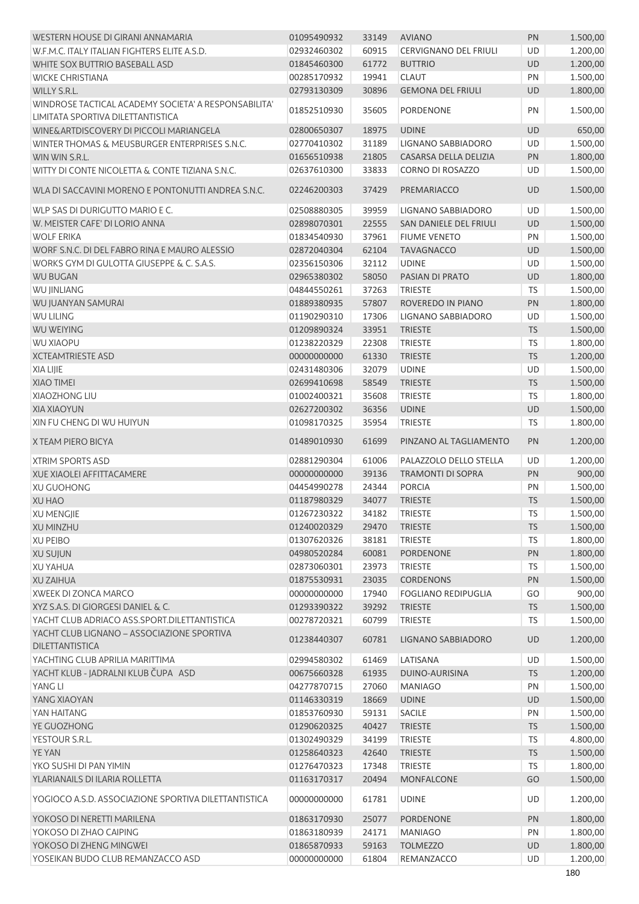| WESTERN HOUSE DI GIRANI ANNAMARIA                                                         | 01095490932 | 33149 | <b>AVIANO</b>              | PN        | 1.500,00 |
|-------------------------------------------------------------------------------------------|-------------|-------|----------------------------|-----------|----------|
| W.F.M.C. ITALY ITALIAN FIGHTERS ELITE A.S.D.                                              | 02932460302 | 60915 | CERVIGNANO DEL FRIULI      | <b>UD</b> | 1.200,00 |
| WHITE SOX BUTTRIO BASEBALL ASD                                                            | 01845460300 | 61772 | <b>BUTTRIO</b>             | <b>UD</b> | 1.200,00 |
| <b>WICKE CHRISTIANA</b>                                                                   | 00285170932 | 19941 | <b>CLAUT</b>               | PN        | 1.500,00 |
| WILLY S.R.L.                                                                              | 02793130309 | 30896 | <b>GEMONA DEL FRIULI</b>   | <b>UD</b> | 1.800,00 |
| WINDROSE TACTICAL ACADEMY SOCIETA' A RESPONSABILITA'<br>LIMITATA SPORTIVA DILETTANTISTICA | 01852510930 | 35605 | PORDENONE                  | PN        | 1.500,00 |
| WINE&ARTDISCOVERY DI PICCOLI MARIANGELA                                                   | 02800650307 | 18975 | <b>UDINE</b>               | <b>UD</b> | 650,00   |
| WINTER THOMAS & MEUSBURGER ENTERPRISES S.N.C.                                             | 02770410302 | 31189 | <b>LIGNANO SABBIADORO</b>  | UD        | 1.500,00 |
| WIN WIN S.R.L.                                                                            | 01656510938 | 21805 | CASARSA DELLA DELIZIA      | PN        | 1.800,00 |
| WITTY DI CONTE NICOLETTA & CONTE TIZIANA S.N.C.                                           | 02637610300 | 33833 | CORNO DI ROSAZZO           | <b>UD</b> | 1.500,00 |
| WLA DI SACCAVINI MORENO E PONTONUTTI ANDREA S.N.C.                                        | 02246200303 | 37429 | PREMARIACCO                | <b>UD</b> | 1.500,00 |
| WLP SAS DI DURIGUTTO MARIO E C.                                                           | 02508880305 | 39959 | LIGNANO SABBIADORO         | UD        | 1.500,00 |
| W. MEISTER CAFE' DI LORIO ANNA                                                            | 02898070301 | 22555 | SAN DANIELE DEL FRIULI     | <b>UD</b> | 1.500,00 |
| <b>WOLF ERIKA</b>                                                                         | 01834540930 | 37961 | <b>FIUME VENETO</b>        | PN        | 1.500,00 |
| WORF S.N.C. DI DEL FABRO RINA E MAURO ALESSIO                                             | 02872040304 | 62104 | <b>TAVAGNACCO</b>          | <b>UD</b> | 1.500,00 |
| WORKS GYM DI GULOTTA GIUSEPPE & C. S.A.S.                                                 | 02356150306 | 32112 | <b>UDINE</b>               | UD        | 1.500,00 |
| <b>WU BUGAN</b>                                                                           | 02965380302 | 58050 | PASIAN DI PRATO            | <b>UD</b> | 1.800,00 |
| <b>WU JINLIANG</b>                                                                        | 04844550261 | 37263 | <b>TRIESTE</b>             | TS        | 1.500,00 |
| WU JUANYAN SAMURAI                                                                        | 01889380935 | 57807 | ROVEREDO IN PIANO          | PN        | 1.800,00 |
| <b>WU LILING</b>                                                                          | 01190290310 | 17306 | LIGNANO SABBIADORO         | UD        | 1.500,00 |
| <b>WU WEIYING</b>                                                                         | 01209890324 | 33951 | <b>TRIESTE</b>             | <b>TS</b> | 1.500,00 |
| <b>WU XIAOPU</b>                                                                          | 01238220329 | 22308 | <b>TRIESTE</b>             | TS        | 1.800,00 |
| <b>XCTEAMTRIESTE ASD</b>                                                                  | 00000000000 | 61330 | <b>TRIESTE</b>             | <b>TS</b> | 1.200,00 |
| <b>XIA LIJIE</b>                                                                          | 02431480306 | 32079 | <b>UDINE</b>               | UD        | 1.500,00 |
| <b>XIAO TIMEI</b>                                                                         | 02699410698 | 58549 | <b>TRIESTE</b>             | <b>TS</b> | 1.500,00 |
| <b>XIAOZHONG LIU</b>                                                                      | 01002400321 | 35608 | <b>TRIESTE</b>             | <b>TS</b> | 1.800,00 |
| <b>XIA XIAOYUN</b>                                                                        | 02627200302 | 36356 | <b>UDINE</b>               | UD        | 1.500,00 |
| XIN FU CHENG DI WU HUIYUN                                                                 | 01098170325 | 35954 | <b>TRIESTE</b>             | TS        | 1.800,00 |
|                                                                                           |             |       |                            |           |          |
| X TEAM PIERO BICYA                                                                        | 01489010930 | 61699 | PINZANO AL TAGLIAMENTO     | PN        | 1.200,00 |
| <b>XTRIM SPORTS ASD</b>                                                                   | 02881290304 | 61006 | PALAZZOLO DELLO STELLA     | UD        | 1.200,00 |
| XUE XIAOLEI AFFITTACAMERE                                                                 | 00000000000 | 39136 | <b>TRAMONTI DI SOPRA</b>   | PN        | 900,00   |
| <b>XU GUOHONG</b>                                                                         | 04454990278 | 24344 | <b>PORCIA</b>              | PN        | 1.500,00 |
| <b>XU HAO</b>                                                                             | 01187980329 | 34077 | <b>TRIESTE</b>             | <b>TS</b> | 1.500,00 |
| <b>XU MENGJIE</b>                                                                         | 01267230322 | 34182 | TRIESTE                    | TS        | 1.500,00 |
| XU MINZHU                                                                                 | 01240020329 | 29470 | <b>TRIESTE</b>             | <b>TS</b> | 1.500,00 |
| <b>XU PEIBO</b>                                                                           | 01307620326 | 38181 | <b>TRIESTE</b>             | <b>TS</b> | 1.800,00 |
| <b>XU SUJUN</b>                                                                           | 04980520284 | 60081 | <b>PORDENONE</b>           | PN        | 1.800,00 |
| <b>XU YAHUA</b>                                                                           | 02873060301 | 23973 | <b>TRIESTE</b>             | <b>TS</b> | 1.500,00 |
| <b>XU ZAIHUA</b>                                                                          | 01875530931 | 23035 | <b>CORDENONS</b>           | PN        | 1.500,00 |
| XWEEK DI ZONCA MARCO                                                                      | 00000000000 | 17940 | <b>FOGLIANO REDIPUGLIA</b> | GO        | 900,00   |
| XYZ S.A.S. DI GIORGESI DANIEL & C.                                                        | 01293390322 | 39292 | <b>TRIESTE</b>             | <b>TS</b> | 1.500,00 |
| YACHT CLUB ADRIACO ASS.SPORT.DILETTANTISTICA                                              | 00278720321 | 60799 | <b>TRIESTE</b>             | <b>TS</b> | 1.500,00 |
| YACHT CLUB LIGNANO - ASSOCIAZIONE SPORTIVA<br>DILETTANTISTICA                             | 01238440307 | 60781 | LIGNANO SABBIADORO         | <b>UD</b> | 1.200,00 |
| YACHTING CLUB APRILIA MARITTIMA                                                           | 02994580302 | 61469 | LATISANA                   | UD        | 1.500,00 |
| YACHT KLUB - JADRALNI KLUB ČUPA ASD                                                       | 00675660328 | 61935 | DUINO-AURISINA             | <b>TS</b> | 1.200,00 |
| YANG LI                                                                                   | 04277870715 | 27060 | <b>MANIAGO</b>             | PN        | 1.500,00 |
| YANG XIAOYAN                                                                              | 01146330319 | 18669 | <b>UDINE</b>               | <b>UD</b> | 1.500,00 |
| YAN HAITANG                                                                               | 01853760930 | 59131 | SACILE                     | PN        | 1.500,00 |
| YE GUOZHONG                                                                               | 01290620325 | 40427 | <b>TRIESTE</b>             | <b>TS</b> | 1.500,00 |
| YESTOUR S.R.L.                                                                            | 01302490329 | 34199 | <b>TRIESTE</b>             | TS        | 4.800,00 |
| YE YAN                                                                                    | 01258640323 | 42640 | <b>TRIESTE</b>             | <b>TS</b> | 1.500,00 |
| YKO SUSHI DI PAN YIMIN                                                                    | 01276470323 | 17348 | TRIESTE                    | <b>TS</b> | 1.800,00 |
| YLARIANAILS DI ILARIA ROLLETTA                                                            | 01163170317 | 20494 | <b>MONFALCONE</b>          | GO        | 1.500,00 |
| YOGIOCO A.S.D. ASSOCIAZIONE SPORTIVA DILETTANTISTICA                                      | 00000000000 | 61781 | <b>UDINE</b>               | UD        | 1.200,00 |
| YOKOSO DI NERETTI MARILENA                                                                | 01863170930 | 25077 | <b>PORDENONE</b>           | PN        | 1.800,00 |
| YOKOSO DI ZHAO CAIPING                                                                    | 01863180939 | 24171 | <b>MANIAGO</b>             | PN        | 1.800,00 |
| YOKOSO DI ZHENG MINGWEI                                                                   | 01865870933 | 59163 | <b>TOLMEZZO</b>            | <b>UD</b> | 1.800,00 |
| YOSEIKAN BUDO CLUB REMANZACCO ASD                                                         | 00000000000 | 61804 | REMANZACCO                 | UD        | 1.200,00 |
|                                                                                           |             |       |                            |           |          |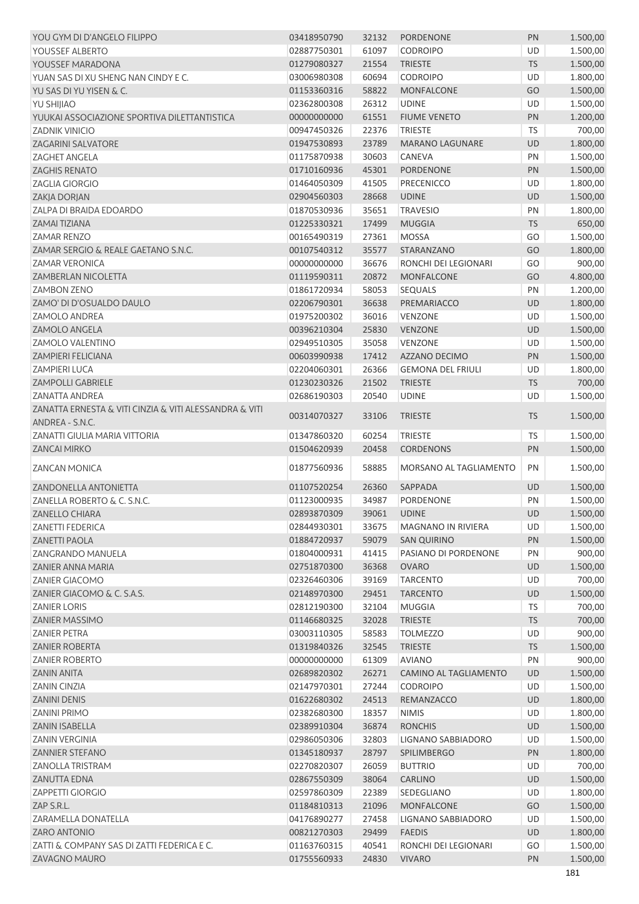| YOU GYM DI D'ANGELO FILIPPO                            | 03418950790             | 32132 | <b>PORDENONE</b>          | PN        | 1.500,00 |
|--------------------------------------------------------|-------------------------|-------|---------------------------|-----------|----------|
| YOUSSEF ALBERTO                                        | 02887750301             | 61097 | <b>CODROIPO</b>           | UD        | 1.500,00 |
| YOUSSEF MARADONA                                       | 01279080327             | 21554 | <b>TRIESTE</b>            | <b>TS</b> | 1.500,00 |
| YUAN SAS DI XU SHENG NAN CINDY E C.                    | 03006980308             | 60694 | <b>CODROIPO</b>           | <b>UD</b> | 1.800,00 |
| YU SAS DI YU YISEN & C.                                | 01153360316             | 58822 | <b>MONFALCONE</b>         | GO        | 1.500,00 |
| <b>YU SHIJIAO</b>                                      | 02362800308             | 26312 | <b>UDINE</b>              | <b>UD</b> | 1.500,00 |
| YUUKAI ASSOCIAZIONE SPORTIVA DILETTANTISTICA           | 00000000000             | 61551 | <b>FIUME VENETO</b>       | PN        | 1.200,00 |
| <b>ZADNIK VINICIO</b>                                  | 00947450326             | 22376 | <b>TRIESTE</b>            | TS        | 700,00   |
| <b>ZAGARINI SALVATORE</b>                              | 01947530893             | 23789 | <b>MARANO LAGUNARE</b>    | <b>UD</b> | 1.800,00 |
| ZAGHET ANGELA                                          | 01175870938             | 30603 | CANEVA                    | PN        | 1.500,00 |
| ZAGHIS RENATO                                          | 01710160936             | 45301 | <b>PORDENONE</b>          | PN        | 1.500,00 |
| <b>ZAGLIA GIORGIO</b>                                  | 01464050309             | 41505 | <b>PRECENICCO</b>         | UD        | 1.800,00 |
| ZAKJA DORJAN                                           | 02904560303             | 28668 | <b>UDINE</b>              | <b>UD</b> | 1.500,00 |
| ZALPA DI BRAIDA EDOARDO                                | 01870530936             | 35651 | <b>TRAVESIO</b>           | PN        | 1.800,00 |
| ZAMAI TIZIANA                                          | 01225330321             | 17499 | <b>MUGGIA</b>             | <b>TS</b> | 650,00   |
| <b>ZAMAR RENZO</b>                                     | 00165490319             | 27361 | MOSSA                     | GO        | 1.500,00 |
| ZAMAR SERGIO & REALE GAETANO S.N.C.                    | 00107540312             | 35577 | STARANZANO                | GO        | 1.800,00 |
| <b>ZAMAR VERONICA</b>                                  | 00000000000             | 36676 | RONCHI DEI LEGIONARI      | GO        | 900,00   |
| ZAMBERLAN NICOLETTA                                    | 01119590311             | 20872 | <b>MONFALCONE</b>         | GO        | 4.800,00 |
| <b>ZAMBON ZENO</b>                                     | 01861720934             | 58053 | SEQUALS                   | PN        | 1.200,00 |
| ZAMO' DI D'OSUALDO DAULO                               | 02206790301             | 36638 | PREMARIACCO               | <b>UD</b> | 1.800,00 |
| <b>ZAMOLO ANDREA</b>                                   | 01975200302             | 36016 | <b>VENZONE</b>            | <b>UD</b> | 1.500,00 |
| ZAMOLO ANGELA                                          | 00396210304             | 25830 | <b>VENZONE</b>            | <b>UD</b> | 1.500,00 |
| ZAMOLO VALENTINO                                       | 02949510305             | 35058 | <b>VENZONE</b>            | UD        | 1.500,00 |
| <b>ZAMPIERI FELICIANA</b>                              | 00603990938             | 17412 | AZZANO DECIMO             | PN        | 1.500,00 |
| ZAMPIERI LUCA                                          | 02204060301             | 26366 | <b>GEMONA DEL FRIULI</b>  | <b>UD</b> | 1.800,00 |
| ZAMPOLLI GABRIELE                                      | 01230230326             | 21502 | <b>TRIESTE</b>            | <b>TS</b> | 700,00   |
| <b>ZANATTA ANDREA</b>                                  | 02686190303             | 20540 | <b>UDINE</b>              | UD        | 1.500,00 |
| ZANATTA ERNESTA & VITI CINZIA & VITI ALESSANDRA & VITI | 00314070327             | 33106 | <b>TRIESTE</b>            | <b>TS</b> | 1.500,00 |
| ANDREA - S.N.C.                                        |                         |       |                           |           |          |
| ZANATTI GIULIA MARIA VITTORIA                          | 01347860320             | 60254 | <b>TRIESTE</b>            | <b>TS</b> | 1.500,00 |
| <b>ZANCAI MIRKO</b>                                    | 01504620939             | 20458 | <b>CORDENONS</b>          | PN        | 1.500,00 |
| <b>ZANCAN MONICA</b>                                   | 01877560936             | 58885 | MORSANO AL TAGLIAMENTO    | PN        | 1.500,00 |
| <b>ZANDONELLA ANTONIETTA</b>                           | 01107520254             | 26360 | SAPPADA                   | <b>UD</b> | 1.500,00 |
| ZANELLA ROBERTO & C. S.N.C.                            | 01123000935             | 34987 | PORDENONE                 | PN        | 1.500,00 |
| ZANELLO CHIARA                                         | 02893870309 39061 UDINE |       |                           | UD        | 1.500,00 |
| <b>ZANETTI FEDERICA</b>                                | 02844930301             | 33675 | <b>MAGNANO IN RIVIERA</b> | UD        | 1.500,00 |
| <b>ZANETTI PAOLA</b>                                   | 01884720937             | 59079 | <b>SAN QUIRINO</b>        | PN        | 1.500,00 |
| <b>ZANGRANDO MANUELA</b>                               | 01804000931             | 41415 | PASIANO DI PORDENONE      | PN        | 900,00   |
| <b>ZANIER ANNA MARIA</b>                               | 02751870300             | 36368 | <b>OVARO</b>              | <b>UD</b> | 1.500,00 |
| <b>ZANIER GIACOMO</b>                                  | 02326460306             | 39169 | <b>TARCENTO</b>           | UD        | 700,00   |
| ZANIER GIACOMO & C. S.A.S.                             | 02148970300             | 29451 | <b>TARCENTO</b>           | <b>UD</b> | 1.500,00 |
| <b>ZANIER LORIS</b>                                    | 02812190300             | 32104 | <b>MUGGIA</b>             | <b>TS</b> | 700,00   |
| <b>ZANIER MASSIMO</b>                                  | 01146680325             | 32028 | <b>TRIESTE</b>            | <b>TS</b> | 700,00   |
| <b>ZANIER PETRA</b>                                    | 03003110305             | 58583 | <b>TOLMEZZO</b>           | UD        | 900,00   |
| <b>ZANIER ROBERTA</b>                                  | 01319840326             | 32545 | <b>TRIESTE</b>            | <b>TS</b> | 1.500,00 |
| <b>ZANIER ROBERTO</b>                                  | 00000000000             | 61309 | <b>AVIANO</b>             | PN        | 900,00   |
| <b>ZANIN ANITA</b>                                     | 02689820302             | 26271 | CAMINO AL TAGLIAMENTO     | <b>UD</b> | 1.500,00 |
| <b>ZANIN CINZIA</b>                                    | 02147970301             | 27244 | <b>CODROIPO</b>           | UD        | 1.500,00 |
| <b>ZANINI DENIS</b>                                    | 01622680302             | 24513 | REMANZACCO                | <b>UD</b> | 1.800,00 |
| ZANINI PRIMO                                           | 02382680300             | 18357 | <b>NIMIS</b>              | UD        | 1.800,00 |
| <b>ZANIN ISABELLA</b>                                  | 02389910304             | 36874 | <b>RONCHIS</b>            | <b>UD</b> | 1.500,00 |
| ZANIN VERGINIA                                         | 02986050306             | 32803 | LIGNANO SABBIADORO        | <b>UD</b> | 1.500,00 |
| <b>ZANNIER STEFANO</b>                                 | 01345180937             | 28797 | SPILIMBERGO               | PN        | 1.800,00 |
| ZANOLLA TRISTRAM                                       | 02270820307             | 26059 | <b>BUTTRIO</b>            | UD        | 700,00   |
| <b>ZANUTTA EDNA</b>                                    | 02867550309             | 38064 | CARLINO                   | <b>UD</b> | 1.500,00 |
| <b>ZAPPETTI GIORGIO</b>                                | 02597860309             | 22389 | SEDEGLIANO                | UD        | 1.800,00 |
| ZAP S.R.L.                                             | 01184810313             | 21096 | <b>MONFALCONE</b>         | GO        | 1.500,00 |
| ZARAMELLA DONATELLA                                    | 04176890277             | 27458 | LIGNANO SABBIADORO        | UD        | 1.500,00 |
| <b>ZARO ANTONIO</b>                                    | 00821270303             | 29499 | <b>FAEDIS</b>             | <b>UD</b> | 1.800,00 |
| ZATTI & COMPANY SAS DI ZATTI FEDERICA E C.             | 01163760315             | 40541 | RONCHI DEI LEGIONARI      | GO        | 1.500,00 |
| ZAVAGNO MAURO                                          | 01755560933             | 24830 | <b>VIVARO</b>             | PN        | 1.500,00 |
|                                                        |                         |       |                           |           | 181      |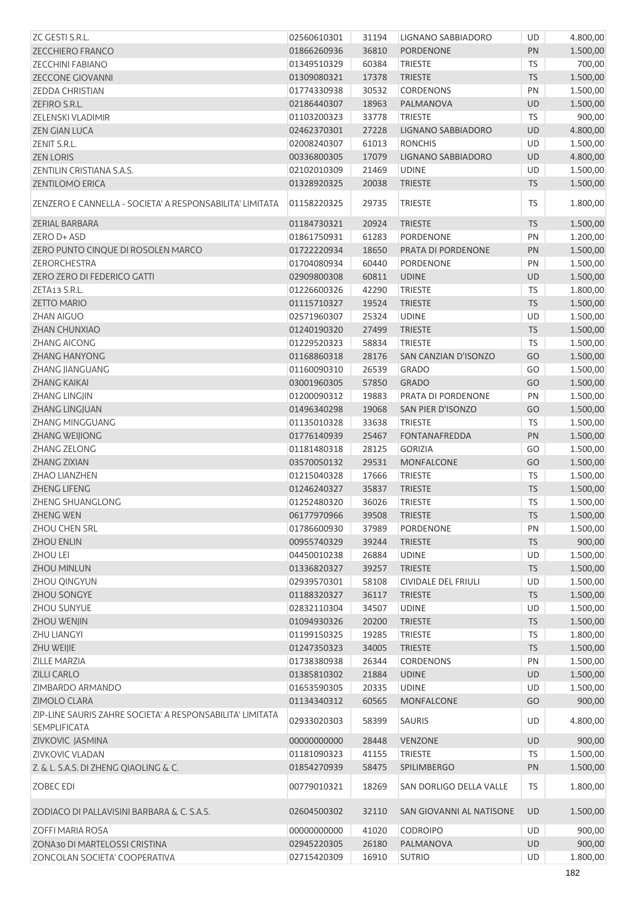| ZC GESTI S.R.L.                                                                  | 02560610301                | 31194          | LIGNANO SABBIADORO               | UD        | 4.800,00 |
|----------------------------------------------------------------------------------|----------------------------|----------------|----------------------------------|-----------|----------|
| <b>ZECCHIERO FRANCO</b>                                                          | 01866260936                | 36810          | <b>PORDENONE</b>                 | PN        | 1.500,00 |
| <b>ZECCHINI FABIANO</b>                                                          | 01349510329                | 60384          | <b>TRIESTE</b>                   | TS        | 700,00   |
| <b>ZECCONE GIOVANNI</b>                                                          | 01309080321                | 17378          | <b>TRIESTE</b>                   | <b>TS</b> | 1.500,00 |
| <b>ZEDDA CHRISTIAN</b>                                                           | 01774330938                | 30532          | <b>CORDENONS</b>                 | PN        | 1.500,00 |
| ZEFIRO S.R.L.                                                                    | 02186440307                | 18963          | PALMANOVA                        | <b>UD</b> | 1.500,00 |
| <b>ZELENSKI VLADIMIR</b>                                                         | 01103200323                | 33778          | <b>TRIESTE</b>                   | <b>TS</b> | 900,00   |
| <b>ZEN GIAN LUCA</b>                                                             | 02462370301                | 27228          | LIGNANO SABBIADORO               | <b>UD</b> | 4.800,00 |
| ZENIT S.R.L.                                                                     | 02008240307                | 61013          | <b>RONCHIS</b>                   | UD        | 1.500,00 |
| <b>ZEN LORIS</b>                                                                 | 00336800305                | 17079          | LIGNANO SABBIADORO               | UD        | 4.800,00 |
| ZENTILIN CRISTIANA S.A.S.                                                        | 02102010309                | 21469          | <b>UDINE</b>                     | UD        | 1.500,00 |
| <b>ZENTILOMO ERICA</b>                                                           | 01328920325                | 20038          | <b>TRIESTE</b>                   | <b>TS</b> | 1.500,00 |
| ZENZERO E CANNELLA - SOCIETA' A RESPONSABILITA' LIMITATA                         | 01158220325                | 29735          | <b>TRIESTE</b>                   | TS        | 1.800,00 |
| ZERIAL BARBARA                                                                   | 01184730321                | 20924          | <b>TRIESTE</b>                   | <b>TS</b> | 1.500,00 |
| ZERO D+ ASD                                                                      | 01861750931                | 61283          | <b>PORDENONE</b>                 | PN        | 1.200,00 |
| ZERO PUNTO CINQUE DI ROSOLEN MARCO                                               | 01722220934                | 18650          | PRATA DI PORDENONE               | PN        | 1.500,00 |
| ZERORCHESTRA                                                                     | 01704080934                | 60440          | PORDENONE                        | PN        | 1.500,00 |
| ZERO ZERO DI FEDERICO GATTI                                                      | 02909800308                | 60811          | <b>UDINE</b>                     | UD        | 1.500,00 |
| ZETA13 S.R.L.                                                                    | 01226600326                | 42290          | <b>TRIESTE</b>                   | <b>TS</b> | 1.800,00 |
| <b>ZETTO MARIO</b>                                                               | 01115710327                | 19524          | <b>TRIESTE</b>                   | <b>TS</b> | 1.500,00 |
| <b>ZHAN AIGUO</b>                                                                | 02571960307                | 25324          | <b>UDINE</b>                     | UD        | 1.500,00 |
| ZHAN CHUNXIAO                                                                    | 01240190320                | 27499          | <b>TRIESTE</b>                   | <b>TS</b> | 1.500,00 |
| <b>ZHANG AICONG</b>                                                              | 01229520323                | 58834          | <b>TRIESTE</b>                   | <b>TS</b> | 1.500,00 |
| ZHANG HANYONG                                                                    | 01168860318                | 28176          | SAN CANZIAN D'ISONZO             | GO        | 1.500,00 |
| ZHANG JIANGUANG                                                                  | 01160090310                | 26539          | <b>GRADO</b>                     | GO        | 1.500,00 |
| <b>ZHANG KAIKAI</b>                                                              | 03001960305                | 57850          | <b>GRADO</b>                     | GO        | 1.500,00 |
| <b>ZHANG LINGJIN</b>                                                             | 01200090312                | 19883          | PRATA DI PORDENONE               | PN        | 1.500,00 |
| ZHANG LINGJUAN                                                                   | 01496340298                | 19068          | SAN PIER D'ISONZO                | GO        | 1.500,00 |
| <b>ZHANG MINGGUANG</b>                                                           | 01135010328                | 33638          | <b>TRIESTE</b>                   | <b>TS</b> | 1.500,00 |
| ZHANG WEIJIONG                                                                   | 01776140939                | 25467          | <b>FONTANAFREDDA</b>             | PN        | 1.500,00 |
| ZHANG ZELONG                                                                     | 01181480318                | 28125          | <b>GORIZIA</b>                   | GO        | 1.500,00 |
| ZHANG ZIXIAN                                                                     | 03570050132                | 29531          | <b>MONFALCONE</b>                | GO        | 1.500,00 |
| ZHAO LIANZHEN                                                                    | 01215040328                | 17666          | <b>TRIESTE</b>                   | <b>TS</b> | 1.500,00 |
| <b>ZHENG LIFENG</b>                                                              | 01246240327                | 35837          | <b>TRIESTE</b>                   | <b>TS</b> | 1.500,00 |
| ZHENG SHUANGLONG                                                                 | 01252480320                | 36026          | <b>TRIESTE</b>                   | <b>TS</b> | 1.500,00 |
| <b>ZHENG WEN</b>                                                                 | 06177970966                | 39508          | <b>TRIESTE</b>                   | TS        | 1.500,00 |
| ZHOU CHEN SRL                                                                    | 01786600930                | 37989          | PORDENONE                        | PN        | 1.500,00 |
| <b>ZHOU ENLIN</b>                                                                | 00955740329                | 39244          | <b>TRIESTE</b>                   | <b>TS</b> | 900,00   |
| <b>ZHOU LEI</b>                                                                  | 04450010238                | 26884          | <b>UDINE</b>                     | UD        | 1.500,00 |
|                                                                                  | 01336820327                |                | <b>TRIESTE</b>                   | <b>TS</b> | 1.500,00 |
| ZHOU MINLUN                                                                      | 02939570301                | 39257<br>58108 | CIVIDALE DEL FRIULI              | UD        | 1.500,00 |
| ZHOU QINGYUN<br><b>ZHOU SONGYE</b>                                               |                            |                |                                  |           |          |
|                                                                                  | 01188320327                | 36117          | <b>TRIESTE</b><br><b>UDINE</b>   | <b>TS</b> | 1.500,00 |
| ZHOU SUNYUE                                                                      | 02832110304                | 34507          |                                  | UD        | 1.500,00 |
| <b>ZHOU WENJIN</b><br><b>ZHU LIANGYI</b>                                         | 01094930326<br>01199150325 | 20200          | <b>TRIESTE</b><br><b>TRIESTE</b> | <b>TS</b> | 1.500,00 |
|                                                                                  |                            | 19285          |                                  | TS        | 1.800,00 |
| ZHU WEIJIE                                                                       | 01247350323                | 34005          | <b>TRIESTE</b>                   | <b>TS</b> | 1.500,00 |
| <b>ZILLE MARZIA</b>                                                              | 01738380938                | 26344          | <b>CORDENONS</b>                 | PN        | 1.500,00 |
| <b>ZILLI CARLO</b>                                                               | 01385810302                | 21884          | <b>UDINE</b>                     | <b>UD</b> | 1.500,00 |
| ZIMBARDO ARMANDO                                                                 | 01653590305                | 20335          | <b>UDINE</b>                     | UD        | 1.500,00 |
| ZIMOLO CLARA                                                                     | 01134340312                | 60565          | <b>MONFALCONE</b>                | GO        | 900,00   |
| ZIP-LINE SAURIS ZAHRE SOCIETA' A RESPONSABILITA' LIMITATA<br><b>SEMPLIFICATA</b> | 02933020303                | 58399          | <b>SAURIS</b>                    | UD        | 4.800,00 |
| ZIVKOVIC JASMINA                                                                 | 00000000000                | 28448          | VENZONE                          | <b>UD</b> | 900,00   |
| <b>ZIVKOVIC VLADAN</b>                                                           | 01181090323                | 41155          | <b>TRIESTE</b>                   | <b>TS</b> | 1.500,00 |
| Z. & L. S.A.S. DI ZHENG QIAOLING & C.                                            | 01854270939                | 58475          | SPILIMBERGO                      | PN        | 1.500,00 |
| <b>ZOBEC EDI</b>                                                                 | 00779010321                | 18269          | SAN DORLIGO DELLA VALLE          | <b>TS</b> | 1.800,00 |
| ZODIACO DI PALLAVISINI BARBARA & C. S.A.S.                                       | 02604500302                | 32110          | SAN GIOVANNI AL NATISONE         | <b>UD</b> | 1.500,00 |
| ZOFFI MARIA ROSA                                                                 | 00000000000                | 41020          | <b>CODROIPO</b>                  | UD        | 900,00   |
| ZONA30 DI MARTELOSSI CRISTINA                                                    | 02945220305                | 26180          | PALMANOVA                        | <b>UD</b> | 900,00   |
| ZONCOLAN SOCIETA' COOPERATIVA                                                    | 02715420309                | 16910          | <b>SUTRIO</b>                    | UD        | 1.800,00 |